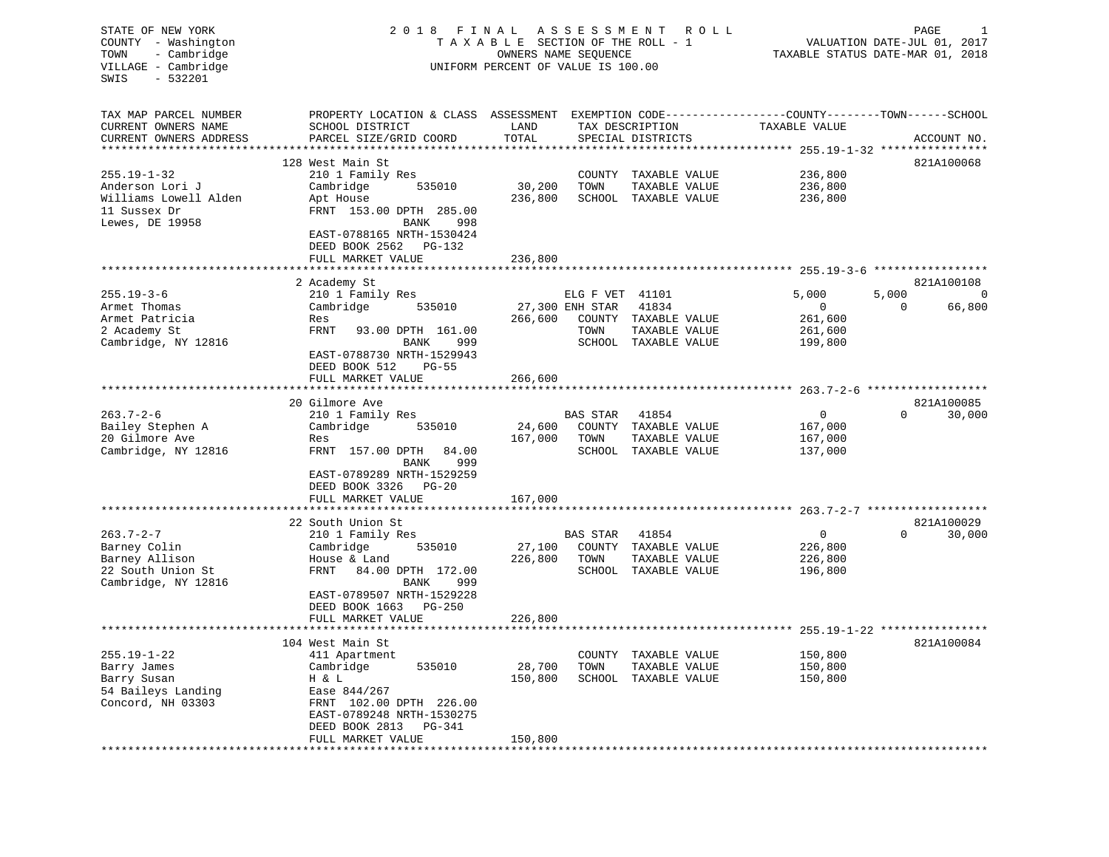STATE OF NEW YORK 2 0 1 8 F I N A L A S S E S S M E N T R O L L PAGE 1 COUNTY - Washington T A X A B L E SECTION OF THE ROLL - 1 VALUATION DATE-JUL 01, 2017 TOWN - Cambridge **OWNERS NAME SEQUENCE TAXABLE STATUS DATE-MAR 01, 2018** VILLAGE - Cambridge UNIFORM PERCENT OF VALUE IS 100.00 SWIS - 532201TAX MAP PARCEL NUMBER PROPERTY LOCATION & CLASS ASSESSMENT EXEMPTION CODE------------------COUNTY--------TOWN------SCHOOL CURRENT OWNERS NAME SCHOOL DISTRICT LAND TAX DESCRIPTION TAXABLE VALUECURRENT OWNERS ADDRESS PARCEL SIZE/GRID COORD TOTAL SPECIAL DISTRICTS ACCOUNT NO. \*\*\*\*\*\*\*\*\*\*\*\*\*\*\*\*\*\*\*\*\*\*\*\*\*\*\*\*\*\*\*\*\*\*\*\*\*\*\*\*\*\*\*\*\*\*\*\*\*\*\*\*\*\*\*\*\*\*\*\*\*\*\*\*\*\*\*\*\*\*\*\*\*\*\*\*\*\*\*\*\*\*\*\*\*\*\*\*\*\*\*\*\*\*\*\*\*\*\*\*\*\*\* 255.19-1-32 \*\*\*\*\*\*\*\*\*\*\*\*\*\*\*\* 128 West Main St. 6821A100068 255.19-1-32 210 1 Family Res COUNTY TAXABLE VALUE 236,800 Anderson Lori J Cambridge 535010 30,200 TOWN TAXABLE VALUE 236,800 Williams Lowell Alden Apt House 236,800 SCHOOL TAXABLE VALUE 236,800 11 Sussex Dr FRNT 153.00 DPTH 285.00Lewes, DE 19958 BANK 998 EAST-0788165 NRTH-1530424 DEED BOOK 2562 PG-132 FULL MARKET VALUE 236,800 \*\*\*\*\*\*\*\*\*\*\*\*\*\*\*\*\*\*\*\*\*\*\*\*\*\*\*\*\*\*\*\*\*\*\*\*\*\*\*\*\*\*\*\*\*\*\*\*\*\*\*\*\*\*\*\*\*\*\*\*\*\*\*\*\*\*\*\*\*\*\*\*\*\*\*\*\*\*\*\*\*\*\*\*\*\*\*\*\*\*\*\*\*\*\*\*\*\*\*\*\*\*\* 255.19-3-6 \*\*\*\*\*\*\*\*\*\*\*\*\*\*\*\*\*821A100108 2 Academy St<br>210 1 Family Res 255.19-3-6 210 1 Family Res ELG F VET 41101 5 ,000 5 ,000 0 Armet Thomas Cambridge 535010 27,300 ENH STAR 41834 0 0 66,800 Armet Patricia Res 266,600 COUNTY TAXABLE VALUE 261,600 2 Academy St FRNT 93.00 DPTH 161.00 TOWN TAXABLE VALUE 261,600 Cambridge, NY 12816 BANK 999 SCHOOL TAXABLE VALUE 199,800 EAST-0788730 NRTH-1529943 DEED BOOK 512 PG-55FULL MARKET VALUE 266,600 \*\*\*\*\*\*\*\*\*\*\*\*\*\*\*\*\*\*\*\*\*\*\*\*\*\*\*\*\*\*\*\*\*\*\*\*\*\*\*\*\*\*\*\*\*\*\*\*\*\*\*\*\*\*\*\*\*\*\*\*\*\*\*\*\*\*\*\*\*\*\*\*\*\*\*\*\*\*\*\*\*\*\*\*\*\*\*\*\*\*\*\*\*\*\*\*\*\*\*\*\*\*\* 263.7-2-6 \*\*\*\*\*\*\*\*\*\*\*\*\*\*\*\*\*\*20 Gilmore Ave 821A100085 263.7-2-6 210 1 Family Res BAS STAR 41854 0 0 30,000 Bailey Stephen A Cambridge 535010 24,600 COUNTY TAXABLE VALUE 167,000 20 Gilmore Ave Res 167,000 TOWN TAXABLE VALUE 167,000 Cambridge, NY 12816 FRNT 157.00 DPTH 84.00 SCHOOL TAXABLE VALUE 137,000 BANK 999 EAST-0789289 NRTH-1529259 DEED BOOK 3326 PG-20FULL MARKET VALUE 167,000 \*\*\*\*\*\*\*\*\*\*\*\*\*\*\*\*\*\*\*\*\*\*\*\*\*\*\*\*\*\*\*\*\*\*\*\*\*\*\*\*\*\*\*\*\*\*\*\*\*\*\*\*\*\*\*\*\*\*\*\*\*\*\*\*\*\*\*\*\*\*\*\*\*\*\*\*\*\*\*\*\*\*\*\*\*\*\*\*\*\*\*\*\*\*\*\*\*\*\*\*\*\*\* 263.7-2-7 \*\*\*\*\*\*\*\*\*\*\*\*\*\*\*\*\*\* 22 South Union St 821A100029263.7-2-7 210 1 Family Res BAS STAR 41854 0 0 30,000 Barney Colin Cambridge 535010 27,100 COUNTY TAXABLE VALUE 226,800 Barney Allison House & Land 226,800 TOWN TAXABLE VALUE 226,800 22 South Union St FRNT 84.00 DPTH 172.00 SCHOOL TAXABLE VALUE 196,800 Cambridge, NY 12816 BANK 999 EAST-0789507 NRTH-1529228 DEED BOOK 1663 PG-250FULL MARKET VALUE 226,800 \*\*\*\*\*\*\*\*\*\*\*\*\*\*\*\*\*\*\*\*\*\*\*\*\*\*\*\*\*\*\*\*\*\*\*\*\*\*\*\*\*\*\*\*\*\*\*\*\*\*\*\*\*\*\*\*\*\*\*\*\*\*\*\*\*\*\*\*\*\*\*\*\*\*\*\*\*\*\*\*\*\*\*\*\*\*\*\*\*\*\*\*\*\*\*\*\*\*\*\*\*\*\* 255.19-1-22 \*\*\*\*\*\*\*\*\*\*\*\*\*\*\*\* 104 West Main St 821A100084255.19-1-22 411 Apartment COUNTY TAXABLE VALUE 150,800 Barry James Cambridge 535010 28,700 TOWN TAXABLE VALUE 150,800 Barry Susan H & L 150,800 SCHOOL TAXABLE VALUE 150,800 54 Baileys Landing EXTREM 102.00 DPTH 226.00<br>
S4 Baileys Landing<br>
Concord, NH 03303 FRNT 102.00 DPTH 226.00 EAST-0789248 NRTH-1530275 DEED BOOK 2813 PG-341FULL MARKET VALUE 150,800 \*\*\*\*\*\*\*\*\*\*\*\*\*\*\*\*\*\*\*\*\*\*\*\*\*\*\*\*\*\*\*\*\*\*\*\*\*\*\*\*\*\*\*\*\*\*\*\*\*\*\*\*\*\*\*\*\*\*\*\*\*\*\*\*\*\*\*\*\*\*\*\*\*\*\*\*\*\*\*\*\*\*\*\*\*\*\*\*\*\*\*\*\*\*\*\*\*\*\*\*\*\*\*\*\*\*\*\*\*\*\*\*\*\*\*\*\*\*\*\*\*\*\*\*\*\*\*\*\*\*\*\*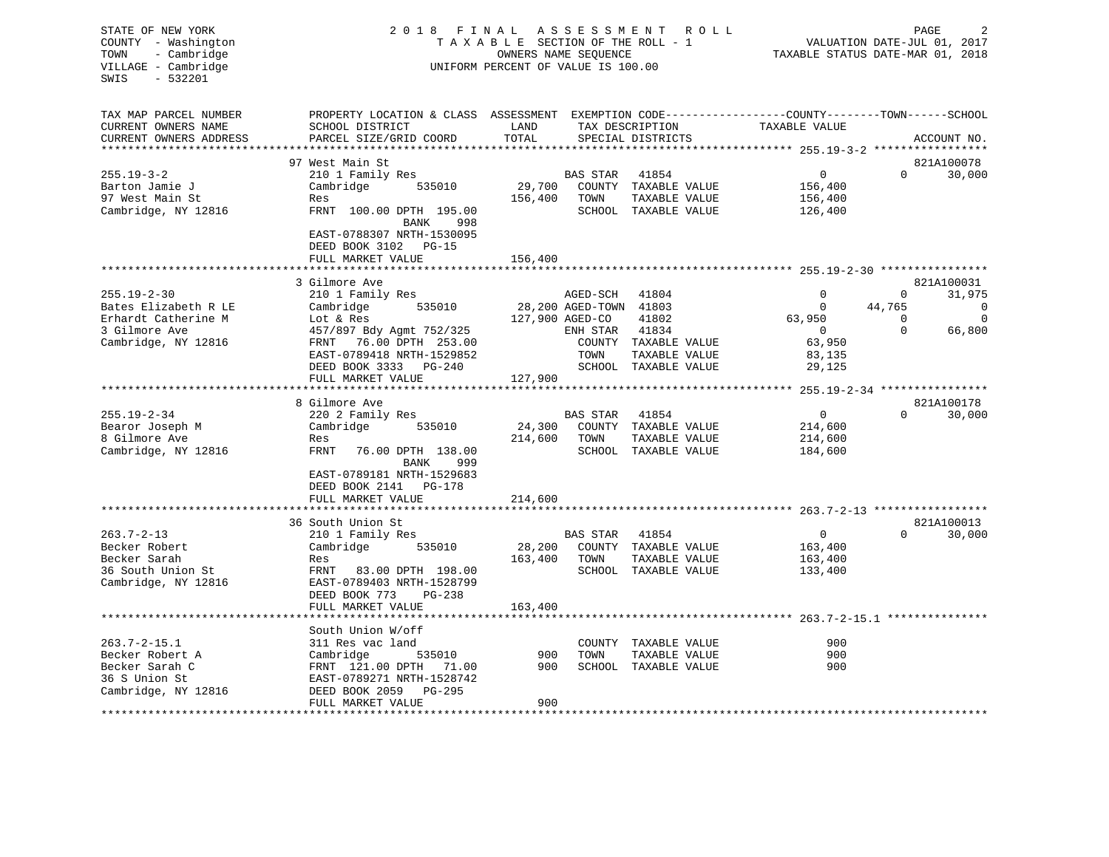| STATE OF NEW YORK<br>COUNTY - Washington<br>TOWN<br>- Cambridge<br>VILLAGE - Cambridge<br>$-532201$<br>SWIS | R O L L<br>PAGE<br>VALUATION DATE-JUL 01, 2017<br>TAXABLE STATUS DATE-MAR 01, 2018                                                           |                 |                        |                                      |                          |                    |                  |
|-------------------------------------------------------------------------------------------------------------|----------------------------------------------------------------------------------------------------------------------------------------------|-----------------|------------------------|--------------------------------------|--------------------------|--------------------|------------------|
| TAX MAP PARCEL NUMBER<br>CURRENT OWNERS NAME<br>CURRENT OWNERS ADDRESS                                      | PROPERTY LOCATION & CLASS ASSESSMENT EXEMPTION CODE---------------COUNTY-------TOWN------SCHOOL<br>SCHOOL DISTRICT<br>PARCEL SIZE/GRID COORD | LAND<br>TOTAL   |                        | TAX DESCRIPTION<br>SPECIAL DISTRICTS | TAXABLE VALUE            |                    | ACCOUNT NO.      |
|                                                                                                             |                                                                                                                                              |                 |                        |                                      |                          |                    |                  |
|                                                                                                             | 97 West Main St                                                                                                                              |                 |                        |                                      |                          |                    | 821A100078       |
| $255.19 - 3 - 2$                                                                                            | 210 1 Family Res                                                                                                                             |                 | BAS STAR               | 41854                                | $\overline{0}$           | $\Omega$           | 30,000           |
| Barton Jamie J                                                                                              | Cambridge 535010                                                                                                                             |                 |                        | 29,700 COUNTY TAXABLE VALUE          | 156,400                  |                    |                  |
| 97 West Main St                                                                                             | Res                                                                                                                                          | 156,400         | TOWN                   | TAXABLE VALUE                        | 156,400                  |                    |                  |
| Cambridge, NY 12816                                                                                         | FRNT 100.00 DPTH 195.00<br>998<br>BANK                                                                                                       |                 |                        | SCHOOL TAXABLE VALUE                 | 126,400                  |                    |                  |
|                                                                                                             | EAST-0788307 NRTH-1530095<br>DEED BOOK 3102 PG-15<br>FULL MARKET VALUE                                                                       | 156,400         |                        |                                      |                          |                    |                  |
|                                                                                                             | ***********************                                                                                                                      |                 |                        |                                      |                          |                    |                  |
|                                                                                                             | 3 Gilmore Ave                                                                                                                                |                 |                        |                                      |                          |                    | 821A100031       |
| $255.19 - 2 - 30$                                                                                           | 210 1 Family Res                                                                                                                             |                 | AGED-SCH               | 41804                                | $\Omega$                 | $\mathbf{0}$       | 31,975           |
| Bates Elizabeth R LE<br>Erhardt Catherine M                                                                 | Cambridge<br>535010                                                                                                                          | 127,900 AGED-CO | 28,200 AGED-TOWN 41803 | 41802                                | $\overline{0}$<br>63,950 | 44,765<br>$\Omega$ | 0<br>$\mathbf 0$ |
| 3 Gilmore Ave                                                                                               | Lot & Res<br>457/897 Bdy Agmt 752/325                                                                                                        |                 | ENH STAR               | 41834                                | $\overline{0}$           | $\Omega$           | 66,800           |
| Cambridge, NY 12816                                                                                         | FRNT 76.00 DPTH 253.00                                                                                                                       |                 |                        | COUNTY TAXABLE VALUE                 | 63,950                   |                    |                  |
|                                                                                                             | EAST-0789418 NRTH-1529852                                                                                                                    |                 | TOWN                   | TAXABLE VALUE                        | 83,135                   |                    |                  |
|                                                                                                             | DEED BOOK 3333 PG-240                                                                                                                        |                 |                        | SCHOOL TAXABLE VALUE                 | 29,125                   |                    |                  |
|                                                                                                             | FULL MARKET VALUE                                                                                                                            | 127,900         |                        |                                      |                          |                    |                  |
|                                                                                                             | *******************                                                                                                                          |                 |                        |                                      |                          |                    |                  |
|                                                                                                             | 8 Gilmore Ave                                                                                                                                |                 |                        |                                      |                          |                    | 821A100178       |
| $255.19 - 2 - 34$                                                                                           | 220 2 Family Res                                                                                                                             |                 | BAS STAR               | 41854                                | $\mathbf{0}$             | $\Omega$           | 30,000           |
| Bearor Joseph M                                                                                             | Cambridge 535010                                                                                                                             | 24,300          |                        | COUNTY TAXABLE VALUE                 | 214,600                  |                    |                  |
| 8 Gilmore Ave                                                                                               | Res                                                                                                                                          | 214,600         | TOWN                   | TAXABLE VALUE                        | 214,600                  |                    |                  |
| Cambridge, NY 12816                                                                                         | FRNT<br>76.00 DPTH 138.00<br>999<br>BANK<br>EAST-0789181 NRTH-1529683<br>DEED BOOK 2141 PG-178                                               |                 |                        | SCHOOL TAXABLE VALUE                 | 184,600                  |                    |                  |
|                                                                                                             | FULL MARKET VALUE                                                                                                                            | 214,600         |                        |                                      |                          |                    |                  |
|                                                                                                             |                                                                                                                                              |                 |                        |                                      |                          |                    |                  |
|                                                                                                             | 36 South Union St                                                                                                                            |                 |                        |                                      |                          |                    | 821A100013       |
| $263.7 - 2 - 13$                                                                                            | 210 1 Family Res                                                                                                                             |                 | <b>BAS STAR</b>        | 41854                                | $\mathbf{0}$             | $\Omega$           | 30,000           |
| Becker Robert                                                                                               | Cambridge<br>535010                                                                                                                          | 28,200          |                        | COUNTY TAXABLE VALUE                 | 163,400                  |                    |                  |
| Becker Sarah                                                                                                | Res                                                                                                                                          | 163,400         | TOWN                   | TAXABLE VALUE                        | 163,400                  |                    |                  |
| 36 South Union St                                                                                           | FRNT 83.00 DPTH 198.00                                                                                                                       |                 |                        | SCHOOL TAXABLE VALUE                 | 133,400                  |                    |                  |
| Cambridge, NY 12816                                                                                         | EAST-0789403 NRTH-1528799                                                                                                                    |                 |                        |                                      |                          |                    |                  |
|                                                                                                             | DEED BOOK 773<br>PG-238                                                                                                                      |                 |                        |                                      |                          |                    |                  |
|                                                                                                             | FULL MARKET VALUE                                                                                                                            | 163,400         |                        |                                      |                          |                    |                  |
|                                                                                                             |                                                                                                                                              |                 |                        |                                      |                          |                    |                  |
|                                                                                                             | South Union W/off                                                                                                                            |                 |                        |                                      |                          |                    |                  |
| $263.7 - 2 - 15.1$                                                                                          | 311 Res vac land                                                                                                                             | 900             |                        | COUNTY TAXABLE VALUE                 | 900                      |                    |                  |
| Becker Robert A                                                                                             | Cambridge<br>535010                                                                                                                          | 900             | TOWN                   | TAXABLE VALUE                        | 900<br>900               |                    |                  |
| Becker Sarah C<br>36 S Union St                                                                             | FRNT 121.00 DPTH 71.00<br>EAST-0789271 NRTH-1528742                                                                                          |                 |                        | SCHOOL TAXABLE VALUE                 |                          |                    |                  |
| Cambridge, NY 12816                                                                                         | DEED BOOK 2059<br>PG-295                                                                                                                     |                 |                        |                                      |                          |                    |                  |
| ***********                                                                                                 | FULL MARKET VALUE                                                                                                                            | 900             |                        |                                      |                          |                    |                  |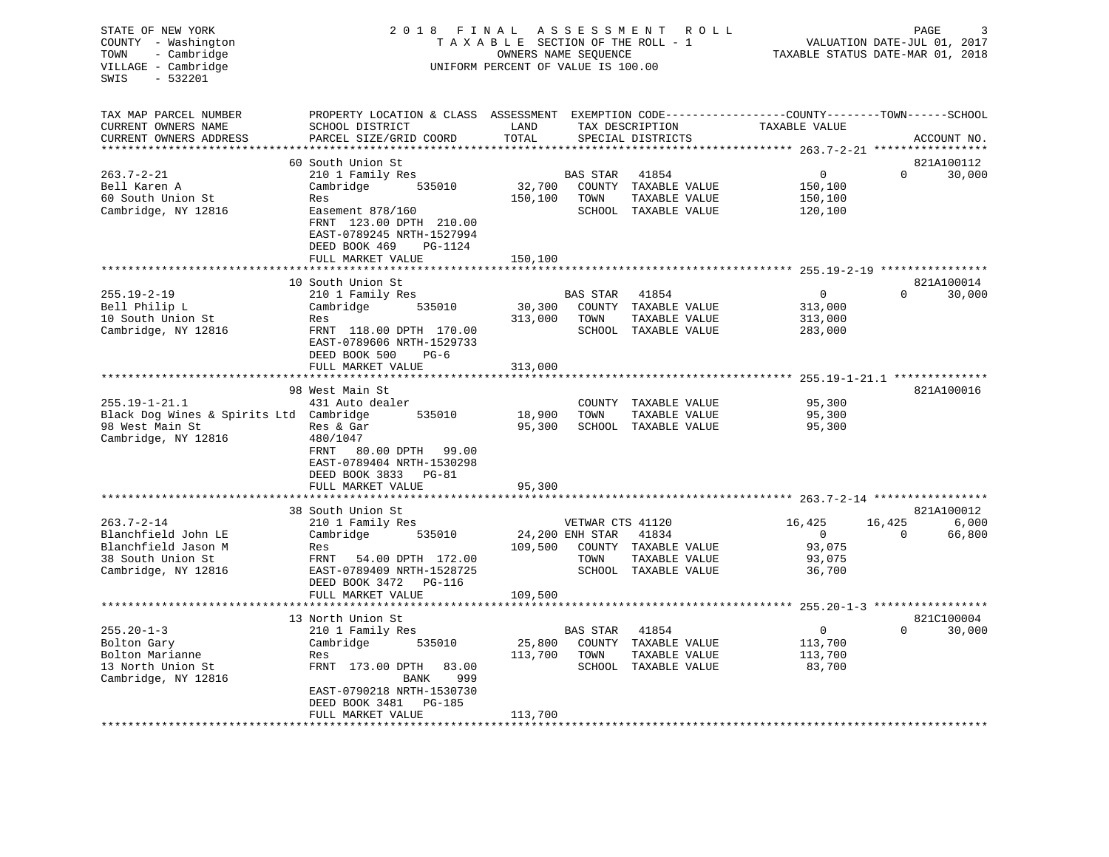| STATE OF NEW YORK<br>COUNTY - Washington<br>- Cambridge<br>TOWN<br>VILLAGE - Cambridge<br>SWIS<br>- 532201 | 2 0 1 8<br>FINAL<br>TAXABLE SECTION OF THE ROLL - 1<br>UNIFORM PERCENT OF VALUE IS 100.00                                                                                   | <b>ROLL</b><br>PAGE<br>VALUATION DATE-JUL 01, 2017<br>TAXABLE STATUS DATE-MAR 01, 2018 |                                             |                                                                        |                                                     |                       |                               |
|------------------------------------------------------------------------------------------------------------|-----------------------------------------------------------------------------------------------------------------------------------------------------------------------------|----------------------------------------------------------------------------------------|---------------------------------------------|------------------------------------------------------------------------|-----------------------------------------------------|-----------------------|-------------------------------|
| TAX MAP PARCEL NUMBER<br>CURRENT OWNERS NAME<br>CURRENT OWNERS ADDRESS                                     | PROPERTY LOCATION & CLASS ASSESSMENT EXEMPTION CODE----------------COUNTY-------TOWN------SCHOOL<br>SCHOOL DISTRICT<br>PARCEL SIZE/GRID COORD                               | LAND<br>TOTAL                                                                          |                                             | TAX DESCRIPTION<br>SPECIAL DISTRICTS                                   | TAXABLE VALUE                                       |                       | ACCOUNT NO.                   |
| **********************                                                                                     | ***********************                                                                                                                                                     |                                                                                        |                                             |                                                                        |                                                     |                       |                               |
| $263.7 - 2 - 21$<br>Bell Karen A<br>60 South Union St<br>Cambridge, NY 12816                               | 60 South Union St<br>210 1 Family Res<br>Cambridge<br>535010<br>Res<br>Easement 878/160<br>FRNT 123.00 DPTH 210.00<br>EAST-0789245 NRTH-1527994<br>DEED BOOK 469<br>PG-1124 | 32,700<br>150,100                                                                      | BAS STAR<br>TOWN                            | 41854<br>COUNTY TAXABLE VALUE<br>TAXABLE VALUE<br>SCHOOL TAXABLE VALUE | $\mathbf 0$<br>150,100<br>150,100<br>120,100        | $\Omega$              | 821A100112<br>30,000          |
|                                                                                                            | FULL MARKET VALUE                                                                                                                                                           | 150,100                                                                                |                                             |                                                                        |                                                     |                       |                               |
| $255.19 - 2 - 19$<br>Bell Philip L<br>10 South Union St<br>Cambridge, NY 12816                             | 10 South Union St<br>210 1 Family Res<br>Cambridge<br>535010<br>Res<br>FRNT 118.00 DPTH 170.00<br>EAST-0789606 NRTH-1529733                                                 | 30,300<br>313,000                                                                      | BAS STAR<br>TOWN                            | 41854<br>COUNTY TAXABLE VALUE<br>TAXABLE VALUE<br>SCHOOL TAXABLE VALUE | $\mathbf{0}$<br>313,000<br>313,000<br>283,000       | $\Omega$              | 821A100014<br>30,000          |
|                                                                                                            | DEED BOOK 500<br>$PG-6$<br>FULL MARKET VALUE<br>******************************                                                                                              | 313,000                                                                                |                                             |                                                                        |                                                     |                       |                               |
|                                                                                                            | 98 West Main St                                                                                                                                                             |                                                                                        |                                             |                                                                        |                                                     |                       | 821A100016                    |
| $255.19 - 1 - 21.1$<br>Black Dog Wines & Spirits Ltd Cambridge<br>98 West Main St<br>Cambridge, NY 12816   | 431 Auto dealer<br>535010<br>Res & Gar<br>480/1047<br>FRNT<br>80.00 DPTH 99.00<br>EAST-0789404 NRTH-1530298<br>DEED BOOK 3833<br>PG-81                                      | 18,900<br>95,300                                                                       | COUNTY<br>TOWN                              | TAXABLE VALUE<br>TAXABLE VALUE<br>SCHOOL TAXABLE VALUE                 | 95,300<br>95,300<br>95,300                          |                       |                               |
|                                                                                                            | FULL MARKET VALUE                                                                                                                                                           | 95,300                                                                                 |                                             |                                                                        |                                                     |                       |                               |
|                                                                                                            |                                                                                                                                                                             |                                                                                        |                                             |                                                                        | ************ 263.7-2-14 ******************          |                       |                               |
| $263.7 - 2 - 14$<br>Blanchfield John LE<br>Blanchfield Jason M<br>38 South Union St<br>Cambridge, NY 12816 | 38 South Union St<br>210 1 Family Res<br>Cambridge<br>535010<br>Res<br>FRNT<br>54.00 DPTH 172.00<br>EAST-0789409 NRTH-1528725                                               | 109,500                                                                                | VETWAR CTS 41120<br>24,200 ENH STAR<br>TOWN | 41834<br>COUNTY TAXABLE VALUE<br>TAXABLE VALUE<br>SCHOOL TAXABLE VALUE | 16,425<br>$\mathbf 0$<br>93,075<br>93,075<br>36,700 | 16,425<br>$\mathbf 0$ | 821A100012<br>6,000<br>66,800 |
|                                                                                                            | DEED BOOK 3472<br>PG-116                                                                                                                                                    |                                                                                        |                                             |                                                                        |                                                     |                       |                               |
|                                                                                                            | FULL MARKET VALUE<br>* * * * * * * * * * * * * * *                                                                                                                          | 109,500                                                                                |                                             |                                                                        | ******* 255.20-1-3 *****************                |                       |                               |
|                                                                                                            | 13 North Union St                                                                                                                                                           |                                                                                        |                                             |                                                                        |                                                     |                       | 821C100004                    |
| $255.20 - 1 - 3$<br>Bolton Gary<br>Bolton Marianne<br>13 North Union St<br>Cambridge, NY 12816             | 210 1 Family Res<br>Cambridge<br>535010<br>Res<br>FRNT 173.00 DPTH<br>83.00<br>BANK<br>999<br>EAST-0790218 NRTH-1530730<br>DEED BOOK 3481<br>PG-185                         | 25,800<br>113,700                                                                      | BAS STAR<br>COUNTY<br>TOWN                  | 41854<br>TAXABLE VALUE<br>TAXABLE VALUE<br>SCHOOL TAXABLE VALUE        | $\mathbf 0$<br>113,700<br>113,700<br>83,700         | $\Omega$              | 30,000                        |
|                                                                                                            | FULL MARKET VALUE                                                                                                                                                           | 113,700                                                                                |                                             |                                                                        |                                                     |                       |                               |
|                                                                                                            |                                                                                                                                                                             |                                                                                        |                                             |                                                                        |                                                     |                       |                               |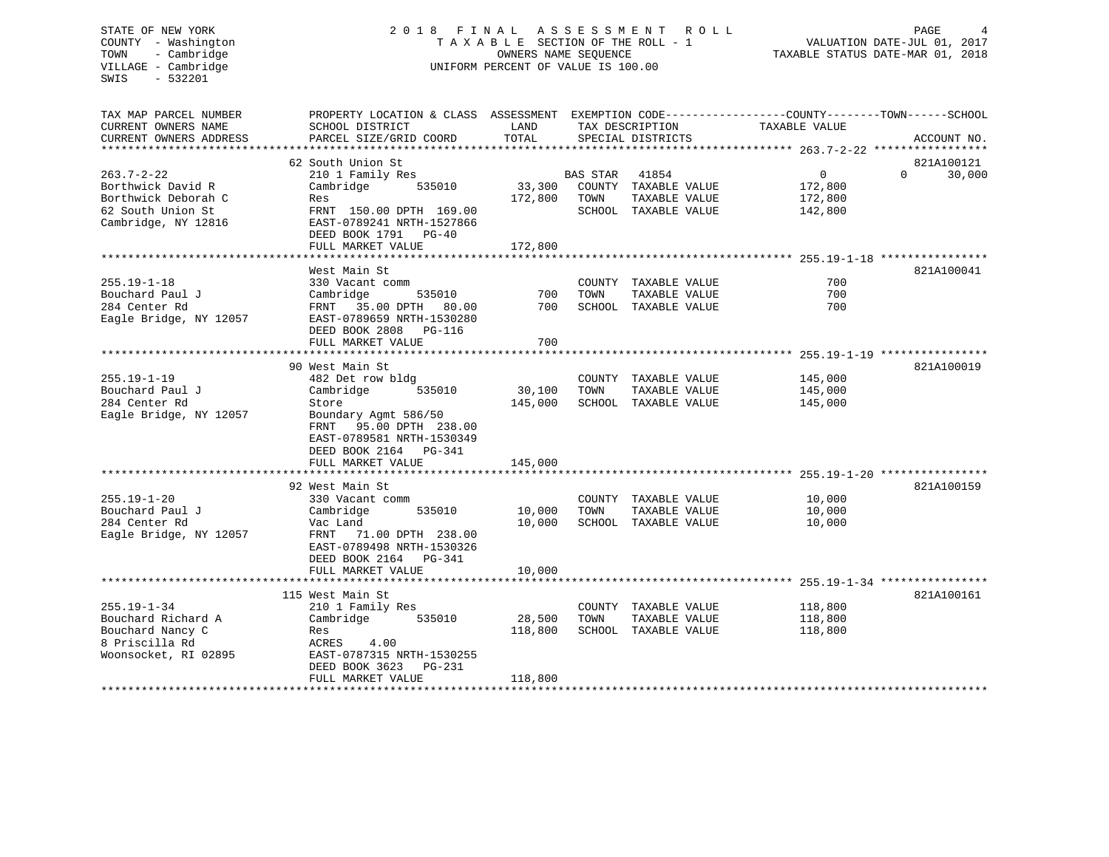# STATE OF NEW YORK 2 0 1 8 F I N A L A S S E S S M E N T R O L L PAGE 4 COUNTY - Washington T A X A B L E SECTION OF THE ROLL - 1 VALUATION DATE-JUL 01, 2017 TOWN - Cambridge OWNERS NAME SEQUENCE TAXABLE STATUS DATE-MAR 01, 2018 UNIFORM PERCENT OF VALUE IS 100.00

| TAX MAP PARCEL NUMBER  | PROPERTY LOCATION & CLASS ASSESSMENT EXEMPTION CODE---------------COUNTY-------TOWN-----SCHOOL |                         |          |                             |                                                                  |          |             |
|------------------------|------------------------------------------------------------------------------------------------|-------------------------|----------|-----------------------------|------------------------------------------------------------------|----------|-------------|
| CURRENT OWNERS NAME    | SCHOOL DISTRICT                                                                                | LAND                    |          | TAX DESCRIPTION             | TAXABLE VALUE                                                    |          |             |
| CURRENT OWNERS ADDRESS | PARCEL SIZE/GRID COORD                                                                         | TOTAL                   |          | SPECIAL DISTRICTS           |                                                                  |          | ACCOUNT NO. |
|                        |                                                                                                |                         |          |                             |                                                                  |          |             |
|                        | 62 South Union St                                                                              |                         |          |                             |                                                                  |          | 821A100121  |
| $263.7 - 2 - 22$       | 210 1 Family Res                                                                               |                         | BAS STAR | 41854                       | $\mathbf{0}$                                                     | $\Omega$ | 30,000      |
| Borthwick David R      | Cambridge<br>535010                                                                            |                         |          | 33,300 COUNTY TAXABLE VALUE | 172,800                                                          |          |             |
| Borthwick Deborah C    | Res                                                                                            | 172,800                 | TOWN     | TAXABLE VALUE               | 172,800                                                          |          |             |
| 62 South Union St      | FRNT 150.00 DPTH 169.00                                                                        |                         |          | SCHOOL TAXABLE VALUE        | 142,800                                                          |          |             |
| Cambridge, NY 12816    | EAST-0789241 NRTH-1527866                                                                      |                         |          |                             |                                                                  |          |             |
|                        | DEED BOOK 1791 PG-40                                                                           |                         |          |                             |                                                                  |          |             |
|                        | FULL MARKET VALUE                                                                              | 172,800                 |          |                             |                                                                  |          |             |
|                        |                                                                                                |                         |          |                             |                                                                  |          |             |
|                        | West Main St                                                                                   |                         |          |                             |                                                                  |          | 821A100041  |
| $255.19 - 1 - 18$      | 330 Vacant comm                                                                                |                         |          | COUNTY TAXABLE VALUE        | 700                                                              |          |             |
| Bouchard Paul J        | 535010<br>Cambridge                                                                            | 700                     | TOWN     | TAXABLE VALUE               | 700                                                              |          |             |
| 284 Center Rd          | FRNT 35.00 DPTH 80.00                                                                          | 700                     |          | SCHOOL TAXABLE VALUE        | 700                                                              |          |             |
| Eagle Bridge, NY 12057 | EAST-0789659 NRTH-1530280                                                                      |                         |          |                             |                                                                  |          |             |
|                        | DEED BOOK 2808 PG-116                                                                          |                         |          |                             |                                                                  |          |             |
|                        | FULL MARKET VALUE                                                                              | 700                     |          |                             |                                                                  |          |             |
|                        | ******************************                                                                 | * * * * * * * * * * * * |          |                             | *********************************** 255.19-1-19 **************** |          |             |
|                        | 90 West Main St                                                                                |                         |          |                             |                                                                  |          | 821A100019  |
| $255.19 - 1 - 19$      | 482 Det row bldg                                                                               |                         |          | COUNTY TAXABLE VALUE        | 145,000                                                          |          |             |
| Bouchard Paul J        | 535010<br>Cambridge                                                                            | 30,100                  | TOWN     | TAXABLE VALUE               | 145,000                                                          |          |             |
| 284 Center Rd          | Store                                                                                          | 145,000                 |          | SCHOOL TAXABLE VALUE        | 145,000                                                          |          |             |
| Eagle Bridge, NY 12057 | Boundary Agmt 586/50                                                                           |                         |          |                             |                                                                  |          |             |
|                        | 95.00 DPTH 238.00<br>FRNT                                                                      |                         |          |                             |                                                                  |          |             |
|                        | EAST-0789581 NRTH-1530349                                                                      |                         |          |                             |                                                                  |          |             |
|                        | DEED BOOK 2164 PG-341                                                                          |                         |          |                             |                                                                  |          |             |
|                        | FULL MARKET VALUE                                                                              | 145,000                 |          |                             |                                                                  |          |             |
|                        |                                                                                                |                         |          |                             |                                                                  |          |             |
|                        | 92 West Main St                                                                                |                         |          |                             |                                                                  |          | 821A100159  |
| $255.19 - 1 - 20$      | 330 Vacant comm                                                                                |                         |          | COUNTY TAXABLE VALUE        | 10,000                                                           |          |             |
| Bouchard Paul J        | Cambridge<br>535010                                                                            | 10,000                  | TOWN     | TAXABLE VALUE               | 10,000                                                           |          |             |
| 284 Center Rd          | Vac Land                                                                                       | 10,000                  |          | SCHOOL TAXABLE VALUE        | 10,000                                                           |          |             |
|                        | 71.00 DPTH 238.00                                                                              |                         |          |                             |                                                                  |          |             |
| Eagle Bridge, NY 12057 | FRNT<br>EAST-0789498 NRTH-1530326                                                              |                         |          |                             |                                                                  |          |             |
|                        | DEED BOOK 2164 PG-341                                                                          |                         |          |                             |                                                                  |          |             |
|                        |                                                                                                |                         |          |                             |                                                                  |          |             |
|                        | FULL MARKET VALUE                                                                              | 10,000                  |          |                             |                                                                  |          |             |
|                        |                                                                                                |                         |          |                             |                                                                  |          |             |
| $255.19 - 1 - 34$      | 115 West Main St                                                                               |                         |          |                             |                                                                  |          | 821A100161  |
|                        | 210 1 Family Res                                                                               |                         |          | COUNTY TAXABLE VALUE        | 118,800                                                          |          |             |
| Bouchard Richard A     | Cambridge 535010                                                                               | 28,500                  | TOWN     | TAXABLE VALUE               | 118,800                                                          |          |             |
| Bouchard Nancy C       | Res                                                                                            | 118,800                 |          | SCHOOL TAXABLE VALUE        | 118,800                                                          |          |             |
| 8 Priscilla Rd         | 4.00<br>ACRES                                                                                  |                         |          |                             |                                                                  |          |             |
| Woonsocket, RI 02895   | EAST-0787315 NRTH-1530255                                                                      |                         |          |                             |                                                                  |          |             |
|                        | DEED BOOK 3623 PG-231                                                                          |                         |          |                             |                                                                  |          |             |
|                        | FULL MARKET VALUE                                                                              | 118,800                 |          |                             |                                                                  |          |             |
|                        |                                                                                                |                         |          |                             |                                                                  |          |             |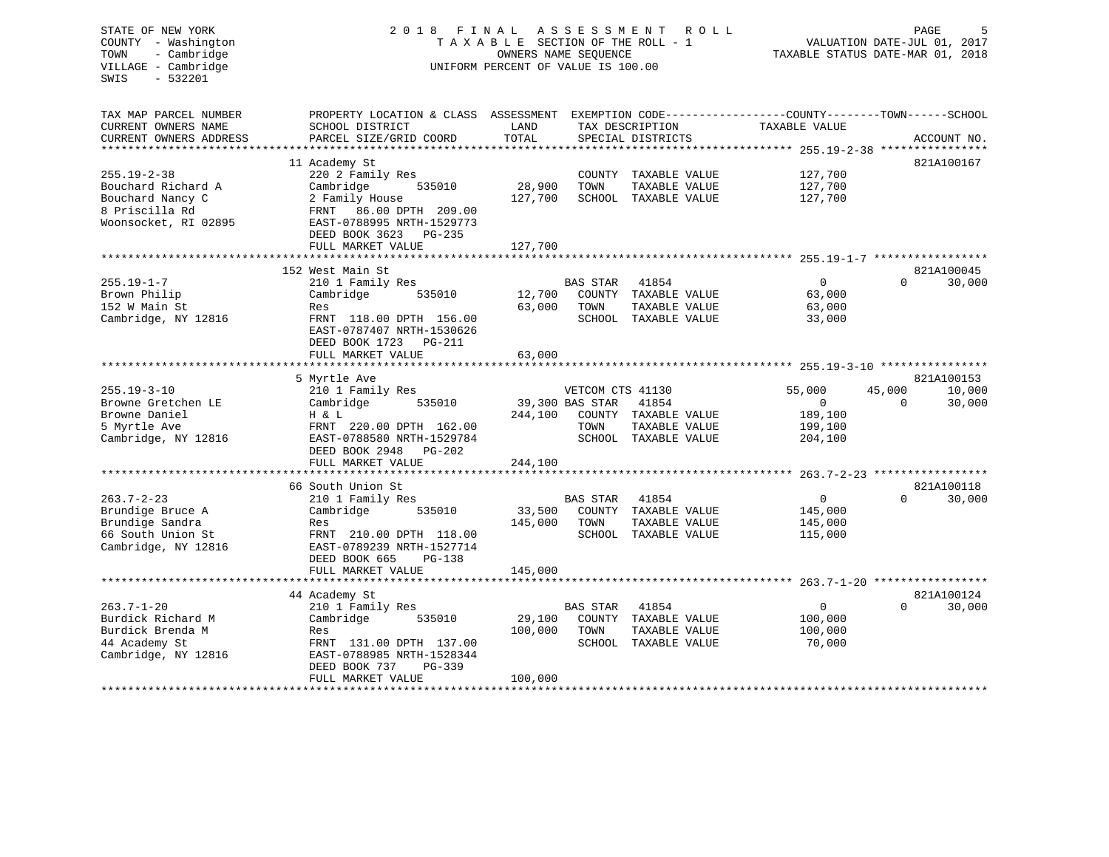| STATE OF NEW YORK<br>COUNTY - Washington<br>- Cambridge<br>TOWN<br>VILLAGE - Cambridge<br>$-532201$<br>SWIS | 2018                                                                                                                                          | FINAL<br>TAXABLE SECTION OF THE ROLL - 1<br>OWNERS NAME SEQUENCE<br>UNIFORM PERCENT OF VALUE IS 100.00 | A S S E S S M E N T | PAGE<br>5<br>VALUATION DATE-JUL 01, 2017<br>TAXABLE STATUS DATE-MAR 01, 2018 |                    |          |             |
|-------------------------------------------------------------------------------------------------------------|-----------------------------------------------------------------------------------------------------------------------------------------------|--------------------------------------------------------------------------------------------------------|---------------------|------------------------------------------------------------------------------|--------------------|----------|-------------|
| TAX MAP PARCEL NUMBER<br>CURRENT OWNERS NAME<br>CURRENT OWNERS ADDRESS                                      | PROPERTY LOCATION & CLASS ASSESSMENT EXEMPTION CODE----------------COUNTY-------TOWN------SCHOOL<br>SCHOOL DISTRICT<br>PARCEL SIZE/GRID COORD | LAND<br>TOTAL                                                                                          |                     | TAX DESCRIPTION<br>SPECIAL DISTRICTS                                         | TAXABLE VALUE      |          | ACCOUNT NO. |
| ***********************                                                                                     |                                                                                                                                               |                                                                                                        |                     |                                                                              |                    |          |             |
|                                                                                                             | 11 Academy St                                                                                                                                 |                                                                                                        |                     |                                                                              |                    |          | 821A100167  |
| $255.19 - 2 - 38$<br>Bouchard Richard A                                                                     | 220 2 Family Res<br>Cambridge<br>535010                                                                                                       | 28,900                                                                                                 | TOWN                | COUNTY TAXABLE VALUE<br>TAXABLE VALUE                                        | 127,700<br>127,700 |          |             |
| Bouchard Nancy C                                                                                            | 2 Family House                                                                                                                                | 127,700                                                                                                |                     | SCHOOL TAXABLE VALUE                                                         | 127,700            |          |             |
| 8 Priscilla Rd                                                                                              | FRNT 86.00 DPTH 209.00                                                                                                                        |                                                                                                        |                     |                                                                              |                    |          |             |
| Woonsocket, RI 02895                                                                                        | EAST-0788995 NRTH-1529773                                                                                                                     |                                                                                                        |                     |                                                                              |                    |          |             |
|                                                                                                             | DEED BOOK 3623 PG-235                                                                                                                         |                                                                                                        |                     |                                                                              |                    |          |             |
|                                                                                                             | FULL MARKET VALUE                                                                                                                             | 127,700                                                                                                |                     |                                                                              |                    |          |             |
|                                                                                                             |                                                                                                                                               |                                                                                                        |                     |                                                                              |                    |          |             |
|                                                                                                             | 152 West Main St                                                                                                                              |                                                                                                        |                     |                                                                              |                    |          | 821A100045  |
| $255.19 - 1 - 7$                                                                                            | 210 1 Family Res                                                                                                                              |                                                                                                        | <b>BAS STAR</b>     | 41854                                                                        | $\overline{0}$     | $\Omega$ | 30,000      |
| Brown Philip                                                                                                | 535010<br>Cambridge                                                                                                                           | 12,700                                                                                                 |                     | COUNTY TAXABLE VALUE                                                         | 63,000             |          |             |
| 152 W Main St<br>Cambridge, NY 12816                                                                        | Res<br>FRNT 118.00 DPTH 156.00                                                                                                                | 63,000                                                                                                 | TOWN                | TAXABLE VALUE<br>SCHOOL TAXABLE VALUE                                        | 63,000<br>33,000   |          |             |
|                                                                                                             | EAST-0787407 NRTH-1530626                                                                                                                     |                                                                                                        |                     |                                                                              |                    |          |             |
|                                                                                                             | DEED BOOK 1723 PG-211                                                                                                                         |                                                                                                        |                     |                                                                              |                    |          |             |
|                                                                                                             | FULL MARKET VALUE                                                                                                                             | 63,000                                                                                                 |                     |                                                                              |                    |          |             |
|                                                                                                             |                                                                                                                                               |                                                                                                        |                     |                                                                              |                    |          |             |
|                                                                                                             | 5 Myrtle Ave                                                                                                                                  |                                                                                                        |                     |                                                                              |                    |          | 821A100153  |
| $255.19 - 3 - 10$                                                                                           | 210 1 Family Res                                                                                                                              |                                                                                                        | VETCOM CTS 41130    |                                                                              | 55,000             | 45,000   | 10,000      |
| Browne Gretchen LE                                                                                          | 535010<br>Cambridge                                                                                                                           |                                                                                                        | 39,300 BAS STAR     | 41854                                                                        | $\mathbf{0}$       | $\Omega$ | 30,000      |
| Browne Daniel                                                                                               | H & L                                                                                                                                         | 244,100                                                                                                |                     | COUNTY TAXABLE VALUE                                                         | 189,100            |          |             |
| 5 Myrtle Ave                                                                                                | FRNT 220.00 DPTH 162.00                                                                                                                       |                                                                                                        | TOWN                | TAXABLE VALUE                                                                | 199,100            |          |             |
| Cambridge, NY 12816                                                                                         | EAST-0788580 NRTH-1529784                                                                                                                     |                                                                                                        |                     | SCHOOL TAXABLE VALUE                                                         | 204,100            |          |             |
|                                                                                                             | DEED BOOK 2948 PG-202<br>FULL MARKET VALUE                                                                                                    | 244,100                                                                                                |                     |                                                                              |                    |          |             |
|                                                                                                             |                                                                                                                                               |                                                                                                        |                     |                                                                              |                    |          |             |
|                                                                                                             | 66 South Union St                                                                                                                             |                                                                                                        |                     |                                                                              |                    |          | 821A100118  |
| $263.7 - 2 - 23$                                                                                            | 210 1 Family Res                                                                                                                              |                                                                                                        | BAS STAR            | 41854                                                                        | $\overline{0}$     | $\Omega$ | 30,000      |
| Brundige Bruce A                                                                                            | Cambridge<br>535010                                                                                                                           | 33,500                                                                                                 |                     | COUNTY TAXABLE VALUE                                                         | 145,000            |          |             |
| Brundige Sandra                                                                                             | Res                                                                                                                                           | 145,000                                                                                                | TOWN                | TAXABLE VALUE                                                                | 145,000            |          |             |
| 66 South Union St                                                                                           | FRNT 210.00 DPTH 118.00                                                                                                                       |                                                                                                        |                     | SCHOOL TAXABLE VALUE                                                         | 115,000            |          |             |
| Cambridge, NY 12816                                                                                         | EAST-0789239 NRTH-1527714                                                                                                                     |                                                                                                        |                     |                                                                              |                    |          |             |
|                                                                                                             | DEED BOOK 665<br>PG-138                                                                                                                       |                                                                                                        |                     |                                                                              |                    |          |             |
|                                                                                                             | FULL MARKET VALUE                                                                                                                             | 145,000                                                                                                |                     |                                                                              |                    |          |             |
|                                                                                                             |                                                                                                                                               |                                                                                                        |                     |                                                                              |                    |          |             |
|                                                                                                             | 44 Academy St                                                                                                                                 |                                                                                                        |                     |                                                                              |                    |          | 821A100124  |
| $263.7 - 1 - 20$                                                                                            | 210 1 Family Res                                                                                                                              |                                                                                                        | BAS STAR            | 41854                                                                        | $\mathbf 0$        | $\Omega$ | 30,000      |
| Burdick Richard M                                                                                           | Cambridge<br>535010                                                                                                                           | 29,100                                                                                                 |                     | COUNTY TAXABLE VALUE                                                         | 100,000            |          |             |
| Burdick Brenda M<br>44 Academy St                                                                           | Res<br>FRNT 131.00 DPTH 137.00                                                                                                                | 100,000                                                                                                | TOWN                | TAXABLE VALUE<br>SCHOOL TAXABLE VALUE                                        | 100,000<br>70,000  |          |             |
| Cambridge, NY 12816                                                                                         | EAST-0788985 NRTH-1528344                                                                                                                     |                                                                                                        |                     |                                                                              |                    |          |             |
|                                                                                                             | DEED BOOK 737<br>PG-339                                                                                                                       |                                                                                                        |                     |                                                                              |                    |          |             |
|                                                                                                             | FULL MARKET VALUE                                                                                                                             | 100,000                                                                                                |                     |                                                                              |                    |          |             |
|                                                                                                             |                                                                                                                                               | * * * * * * * * * * * * * * * * * * *                                                                  |                     |                                                                              |                    |          |             |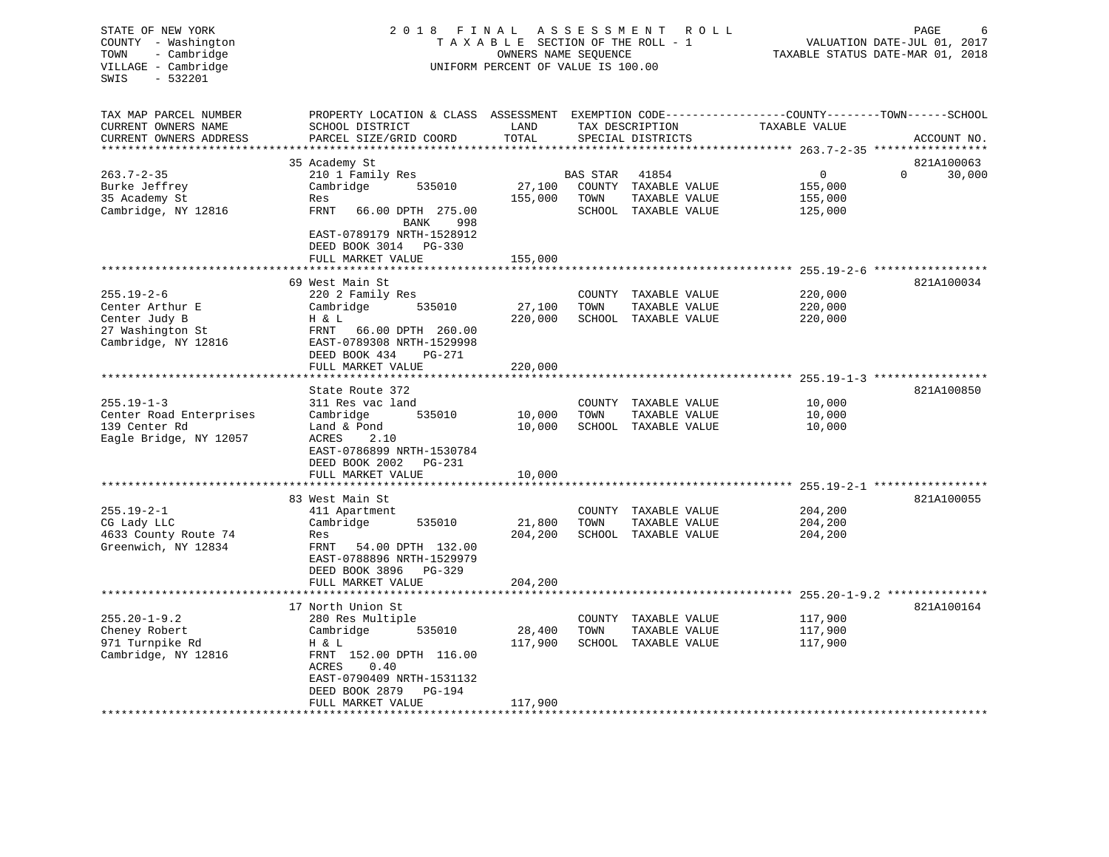| STATE OF NEW YORK<br>COUNTY - Washington<br>- Cambridge<br>TOWN<br>VILLAGE - Cambridge<br>$-532201$<br>SWIS | 2018 FINAL ASSESSMENT                                                                                                                        | TAXABLE SECTION OF THE ROLL - 1<br>OWNERS NAME SEQUENCE<br>UNIFORM PERCENT OF VALUE IS 100.00 | PAGE<br>6<br>VALUATION DATE-JUL 01, 2017<br>TAXABLE STATUS DATE-MAR 01, 2018 |                                       |                                    |              |             |
|-------------------------------------------------------------------------------------------------------------|----------------------------------------------------------------------------------------------------------------------------------------------|-----------------------------------------------------------------------------------------------|------------------------------------------------------------------------------|---------------------------------------|------------------------------------|--------------|-------------|
| TAX MAP PARCEL NUMBER<br>CURRENT OWNERS NAME<br>CURRENT OWNERS ADDRESS                                      | PROPERTY LOCATION & CLASS ASSESSMENT EXEMPTION CODE----------------COUNTY-------TOWN-----SCHOOL<br>SCHOOL DISTRICT<br>PARCEL SIZE/GRID COORD | LAND<br>TOTAL                                                                                 |                                                                              | TAX DESCRIPTION<br>SPECIAL DISTRICTS  | TAXABLE VALUE                      |              | ACCOUNT NO. |
|                                                                                                             |                                                                                                                                              |                                                                                               |                                                                              |                                       |                                    |              |             |
|                                                                                                             | 35 Academy St                                                                                                                                |                                                                                               |                                                                              |                                       |                                    |              | 821A100063  |
| $263.7 - 2 - 35$                                                                                            | 210 1 Family Res                                                                                                                             |                                                                                               | BAS STAR                                                                     | 41854                                 | 0                                  | $\mathbf{0}$ | 30,000      |
| Burke Jeffrey                                                                                               | Cambridge<br>535010                                                                                                                          | 27,100                                                                                        |                                                                              | COUNTY TAXABLE VALUE                  | 155,000                            |              |             |
| 35 Academy St                                                                                               | Res                                                                                                                                          | 155,000                                                                                       | TOWN                                                                         | TAXABLE VALUE                         | 155,000                            |              |             |
| Cambridge, NY 12816                                                                                         | FRNT<br>66.00 DPTH 275.00<br>BANK<br>998                                                                                                     |                                                                                               |                                                                              | SCHOOL TAXABLE VALUE                  | 125,000                            |              |             |
|                                                                                                             | EAST-0789179 NRTH-1528912<br>DEED BOOK 3014 PG-330                                                                                           |                                                                                               |                                                                              |                                       |                                    |              |             |
|                                                                                                             | FULL MARKET VALUE<br>***********************                                                                                                 | 155,000                                                                                       |                                                                              |                                       |                                    |              |             |
|                                                                                                             |                                                                                                                                              |                                                                                               |                                                                              |                                       |                                    |              |             |
| $255.19 - 2 - 6$                                                                                            | 69 West Main St<br>220 2 Family Res                                                                                                          |                                                                                               |                                                                              | COUNTY TAXABLE VALUE                  | 220,000                            |              | 821A100034  |
| Center Arthur E                                                                                             | Cambridge<br>535010                                                                                                                          | 27,100                                                                                        | TOWN                                                                         | TAXABLE VALUE                         | 220,000                            |              |             |
| Center Judy B                                                                                               | H & L                                                                                                                                        | 220,000                                                                                       |                                                                              | SCHOOL TAXABLE VALUE                  | 220,000                            |              |             |
| 27 Washington St                                                                                            | FRNT 66.00 DPTH 260.00                                                                                                                       |                                                                                               |                                                                              |                                       |                                    |              |             |
| Cambridge, NY 12816                                                                                         | EAST-0789308 NRTH-1529998<br>DEED BOOK 434<br>PG-271                                                                                         |                                                                                               |                                                                              |                                       |                                    |              |             |
|                                                                                                             | FULL MARKET VALUE                                                                                                                            | 220,000                                                                                       |                                                                              |                                       |                                    |              |             |
|                                                                                                             |                                                                                                                                              |                                                                                               |                                                                              |                                       | $255.19 - 1 - 3$ ***************** |              |             |
|                                                                                                             | State Route 372                                                                                                                              |                                                                                               |                                                                              |                                       |                                    |              | 821A100850  |
| $255.19 - 1 - 3$                                                                                            | 311 Res vac land<br>535010                                                                                                                   |                                                                                               |                                                                              | COUNTY TAXABLE VALUE                  | 10,000                             |              |             |
| Center Road Enterprises<br>139 Center Rd                                                                    | Cambridge<br>Land & Pond                                                                                                                     | 10,000<br>10,000                                                                              | TOWN                                                                         | TAXABLE VALUE<br>SCHOOL TAXABLE VALUE | 10,000<br>10,000                   |              |             |
| Eagle Bridge, NY 12057                                                                                      | ACRES<br>2.10                                                                                                                                |                                                                                               |                                                                              |                                       |                                    |              |             |
|                                                                                                             | EAST-0786899 NRTH-1530784                                                                                                                    |                                                                                               |                                                                              |                                       |                                    |              |             |
|                                                                                                             | DEED BOOK 2002    PG-231                                                                                                                     |                                                                                               |                                                                              |                                       |                                    |              |             |
|                                                                                                             | FULL MARKET VALUE                                                                                                                            | 10,000                                                                                        |                                                                              |                                       |                                    |              |             |
|                                                                                                             | * * * * * * * * * * * * * * * * * *                                                                                                          |                                                                                               |                                                                              |                                       |                                    |              |             |
|                                                                                                             | 83 West Main St                                                                                                                              |                                                                                               |                                                                              |                                       |                                    |              | 821A100055  |
| $255.19 - 2 - 1$                                                                                            | 411 Apartment                                                                                                                                |                                                                                               | COUNTY                                                                       | TAXABLE VALUE                         | 204,200                            |              |             |
| CG Lady LLC                                                                                                 | Cambridge<br>535010                                                                                                                          | 21,800                                                                                        | TOWN                                                                         | TAXABLE VALUE                         | 204,200                            |              |             |
| 4633 County Route 74                                                                                        | Res                                                                                                                                          | 204,200                                                                                       |                                                                              | SCHOOL TAXABLE VALUE                  | 204,200                            |              |             |
| Greenwich, NY 12834                                                                                         | 54.00 DPTH 132.00<br>FRNT                                                                                                                    |                                                                                               |                                                                              |                                       |                                    |              |             |
|                                                                                                             | EAST-0788896 NRTH-1529979<br>DEED BOOK 3896<br>PG-329                                                                                        |                                                                                               |                                                                              |                                       |                                    |              |             |
|                                                                                                             | FULL MARKET VALUE                                                                                                                            | 204,200                                                                                       |                                                                              |                                       |                                    |              |             |
|                                                                                                             |                                                                                                                                              |                                                                                               |                                                                              |                                       |                                    |              |             |
|                                                                                                             | 17 North Union St                                                                                                                            |                                                                                               |                                                                              |                                       |                                    |              | 821A100164  |
| $255.20 - 1 - 9.2$                                                                                          | 280 Res Multiple                                                                                                                             |                                                                                               | COUNTY                                                                       | TAXABLE VALUE                         | 117,900                            |              |             |
| Cheney Robert                                                                                               | Cambridge<br>535010                                                                                                                          | 28,400                                                                                        | TOWN                                                                         | TAXABLE VALUE                         | 117,900                            |              |             |
| 971 Turnpike Rd                                                                                             | H & L                                                                                                                                        | 117,900                                                                                       |                                                                              | SCHOOL TAXABLE VALUE                  | 117,900                            |              |             |
| Cambridge, NY 12816                                                                                         | FRNT 152.00 DPTH 116.00                                                                                                                      |                                                                                               |                                                                              |                                       |                                    |              |             |
|                                                                                                             | ACRES<br>0.40                                                                                                                                |                                                                                               |                                                                              |                                       |                                    |              |             |
|                                                                                                             | EAST-0790409 NRTH-1531132                                                                                                                    |                                                                                               |                                                                              |                                       |                                    |              |             |
|                                                                                                             | DEED BOOK 2879<br>PG-194                                                                                                                     |                                                                                               |                                                                              |                                       |                                    |              |             |
|                                                                                                             | FULL MARKET VALUE                                                                                                                            | 117,900                                                                                       |                                                                              |                                       |                                    |              |             |
|                                                                                                             |                                                                                                                                              |                                                                                               |                                                                              |                                       |                                    |              |             |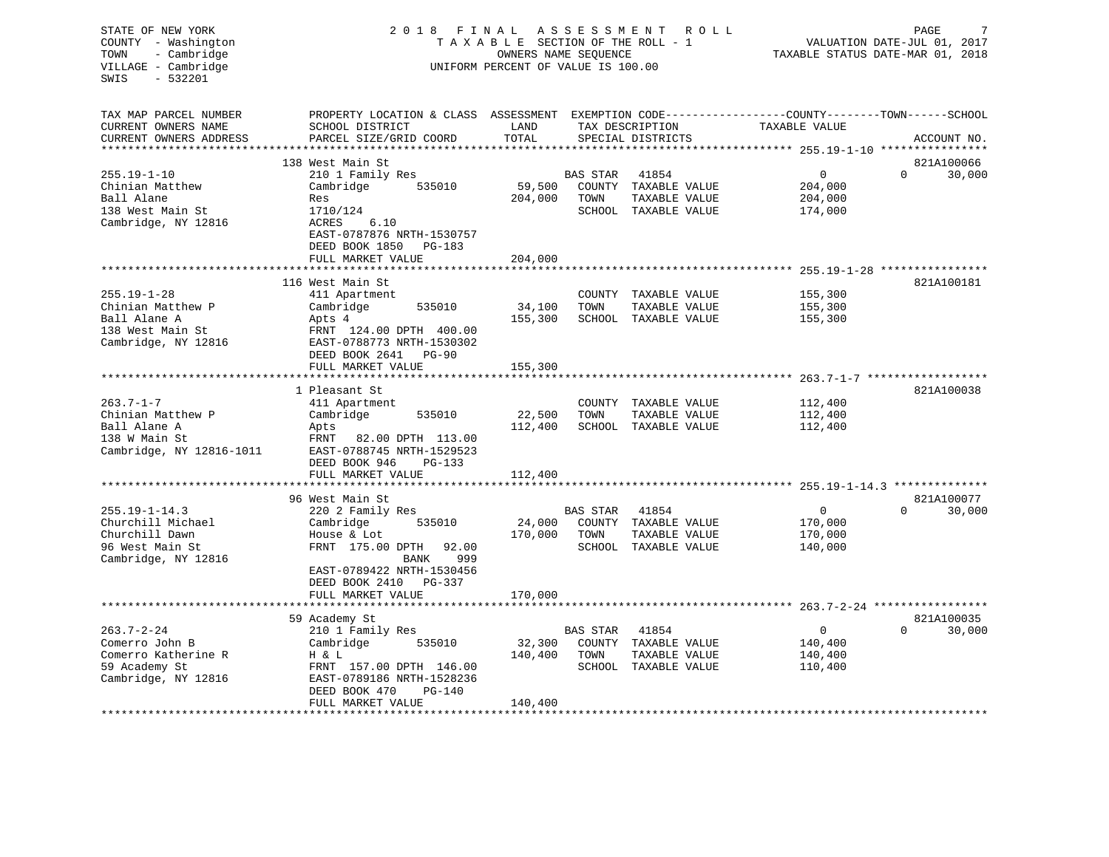| STATE OF NEW YORK<br>COUNTY - Washington<br>TOWN<br>- Cambridge<br>VILLAGE - Cambridge<br>$-532201$<br>SWIS | 2018 FINAL<br>TAXABLE SECTION OF THE ROLL - 1<br>UNIFORM PERCENT OF VALUE IS 100.00                                                         | R O L L       | PAGE<br>VALUATION DATE-JUL 01, 2017<br>TAXABLE STATUS DATE-MAR 01, 2018 |                                       |                                                                    |                                  |
|-------------------------------------------------------------------------------------------------------------|---------------------------------------------------------------------------------------------------------------------------------------------|---------------|-------------------------------------------------------------------------|---------------------------------------|--------------------------------------------------------------------|----------------------------------|
| TAX MAP PARCEL NUMBER<br>CURRENT OWNERS NAME<br>CURRENT OWNERS ADDRESS                                      | PROPERTY LOCATION & CLASS ASSESSMENT EXEMPTION CODE---------------COUNTY-------TOWN-----SCHOOL<br>SCHOOL DISTRICT<br>PARCEL SIZE/GRID COORD | LAND<br>TOTAL |                                                                         | TAX DESCRIPTION<br>SPECIAL DISTRICTS  | TAXABLE VALUE                                                      | ACCOUNT NO.                      |
|                                                                                                             |                                                                                                                                             |               |                                                                         |                                       |                                                                    |                                  |
| $255.19 - 1 - 10$                                                                                           | 138 West Main St<br>210 1 Family Res                                                                                                        |               | BAS STAR                                                                | 41854                                 | $\overline{0}$                                                     | 821A100066<br>$\Omega$<br>30,000 |
| Chinian Matthew                                                                                             | Cambridge<br>535010                                                                                                                         | 59,500        |                                                                         | COUNTY TAXABLE VALUE                  | 204,000                                                            |                                  |
| Ball Alane                                                                                                  | Res                                                                                                                                         | 204,000       | TOWN                                                                    | TAXABLE VALUE                         | 204,000                                                            |                                  |
| 138 West Main St                                                                                            | 1710/124                                                                                                                                    |               |                                                                         | SCHOOL TAXABLE VALUE                  | 174,000                                                            |                                  |
| Cambridge, NY 12816                                                                                         | 6.10<br>ACRES<br>EAST-0787876 NRTH-1530757<br>DEED BOOK 1850<br>PG-183                                                                      |               |                                                                         |                                       |                                                                    |                                  |
|                                                                                                             | FULL MARKET VALUE                                                                                                                           | 204,000       |                                                                         |                                       |                                                                    |                                  |
|                                                                                                             | ******************<br>116 West Main St                                                                                                      |               |                                                                         |                                       | ************************************ 255.19-1-28 ***************** | 821A100181                       |
| $255.19 - 1 - 28$                                                                                           | 411 Apartment                                                                                                                               |               |                                                                         | COUNTY TAXABLE VALUE                  | 155,300                                                            |                                  |
| Chinian Matthew P                                                                                           | 535010<br>Cambridge                                                                                                                         | 34,100        | TOWN                                                                    | TAXABLE VALUE                         | 155,300                                                            |                                  |
| Ball Alane A                                                                                                | Apts 4                                                                                                                                      | 155,300       |                                                                         | SCHOOL TAXABLE VALUE                  | 155,300                                                            |                                  |
| 138 West Main St                                                                                            | FRNT 124.00 DPTH 400.00                                                                                                                     |               |                                                                         |                                       |                                                                    |                                  |
| Cambridge, NY 12816                                                                                         | EAST-0788773 NRTH-1530302                                                                                                                   |               |                                                                         |                                       |                                                                    |                                  |
|                                                                                                             | DEED BOOK 2641 PG-90                                                                                                                        |               |                                                                         |                                       |                                                                    |                                  |
|                                                                                                             | FULL MARKET VALUE                                                                                                                           | 155,300       |                                                                         |                                       |                                                                    |                                  |
|                                                                                                             | *********************                                                                                                                       |               |                                                                         |                                       |                                                                    |                                  |
| $263.7 - 1 - 7$                                                                                             | 1 Pleasant St<br>411 Apartment                                                                                                              |               |                                                                         | COUNTY TAXABLE VALUE                  | 112,400                                                            | 821A100038                       |
| Chinian Matthew P                                                                                           | Cambridge<br>535010                                                                                                                         | 22,500        | TOWN                                                                    | TAXABLE VALUE                         | 112,400                                                            |                                  |
| Ball Alane A                                                                                                | Apts                                                                                                                                        | 112,400       |                                                                         | SCHOOL TAXABLE VALUE                  | 112,400                                                            |                                  |
| 138 W Main St                                                                                               | FRNT<br>82.00 DPTH 113.00                                                                                                                   |               |                                                                         |                                       |                                                                    |                                  |
| Cambridge, NY 12816-1011                                                                                    | EAST-0788745 NRTH-1529523                                                                                                                   |               |                                                                         |                                       |                                                                    |                                  |
|                                                                                                             | DEED BOOK 946<br>$PG-133$                                                                                                                   |               |                                                                         |                                       |                                                                    |                                  |
|                                                                                                             | FULL MARKET VALUE                                                                                                                           | 112,400       |                                                                         |                                       |                                                                    |                                  |
|                                                                                                             |                                                                                                                                             |               |                                                                         |                                       |                                                                    |                                  |
|                                                                                                             | 96 West Main St                                                                                                                             |               |                                                                         |                                       |                                                                    | 821A100077                       |
| $255.19 - 1 - 14.3$                                                                                         | 220 2 Family Res                                                                                                                            |               | BAS STAR                                                                | 41854                                 | 0                                                                  | 30,000<br>$\Omega$               |
| Churchill Michael                                                                                           | 535010<br>Cambridge                                                                                                                         | 24,000        |                                                                         | COUNTY TAXABLE VALUE                  | 170,000                                                            |                                  |
| Churchill Dawn<br>96 West Main St                                                                           | House & Lot<br>FRNT 175.00 DPTH 92.00                                                                                                       | 170,000       | TOWN                                                                    | TAXABLE VALUE<br>SCHOOL TAXABLE VALUE | 170,000<br>140,000                                                 |                                  |
| Cambridge, NY 12816                                                                                         | BANK<br>999                                                                                                                                 |               |                                                                         |                                       |                                                                    |                                  |
|                                                                                                             | EAST-0789422 NRTH-1530456                                                                                                                   |               |                                                                         |                                       |                                                                    |                                  |
|                                                                                                             | DEED BOOK 2410 PG-337                                                                                                                       |               |                                                                         |                                       |                                                                    |                                  |
|                                                                                                             | FULL MARKET VALUE                                                                                                                           | 170,000       |                                                                         |                                       |                                                                    |                                  |
|                                                                                                             |                                                                                                                                             |               |                                                                         |                                       |                                                                    |                                  |
|                                                                                                             | 59 Academy St                                                                                                                               |               |                                                                         |                                       |                                                                    | 821A100035                       |
| $263.7 - 2 - 24$                                                                                            | 210 1 Family Res                                                                                                                            |               | <b>BAS STAR</b>                                                         | 41854                                 | 0                                                                  | 30,000<br>$\Omega$               |
| Comerro John B                                                                                              | Cambridge<br>535010                                                                                                                         | 32,300        |                                                                         | COUNTY TAXABLE VALUE                  | 140,400                                                            |                                  |
| Comerro Katherine R                                                                                         | H & L                                                                                                                                       | 140,400       | TOWN                                                                    | TAXABLE VALUE                         | 140,400                                                            |                                  |
| 59 Academy St                                                                                               | FRNT 157.00 DPTH 146.00                                                                                                                     |               |                                                                         | SCHOOL TAXABLE VALUE                  | 110,400                                                            |                                  |
| Cambridge, NY 12816                                                                                         | EAST-0789186 NRTH-1528236<br>$PG-140$                                                                                                       |               |                                                                         |                                       |                                                                    |                                  |
|                                                                                                             | DEED BOOK 470<br>FULL MARKET VALUE                                                                                                          | 140,400       |                                                                         |                                       |                                                                    |                                  |
|                                                                                                             |                                                                                                                                             |               |                                                                         |                                       |                                                                    |                                  |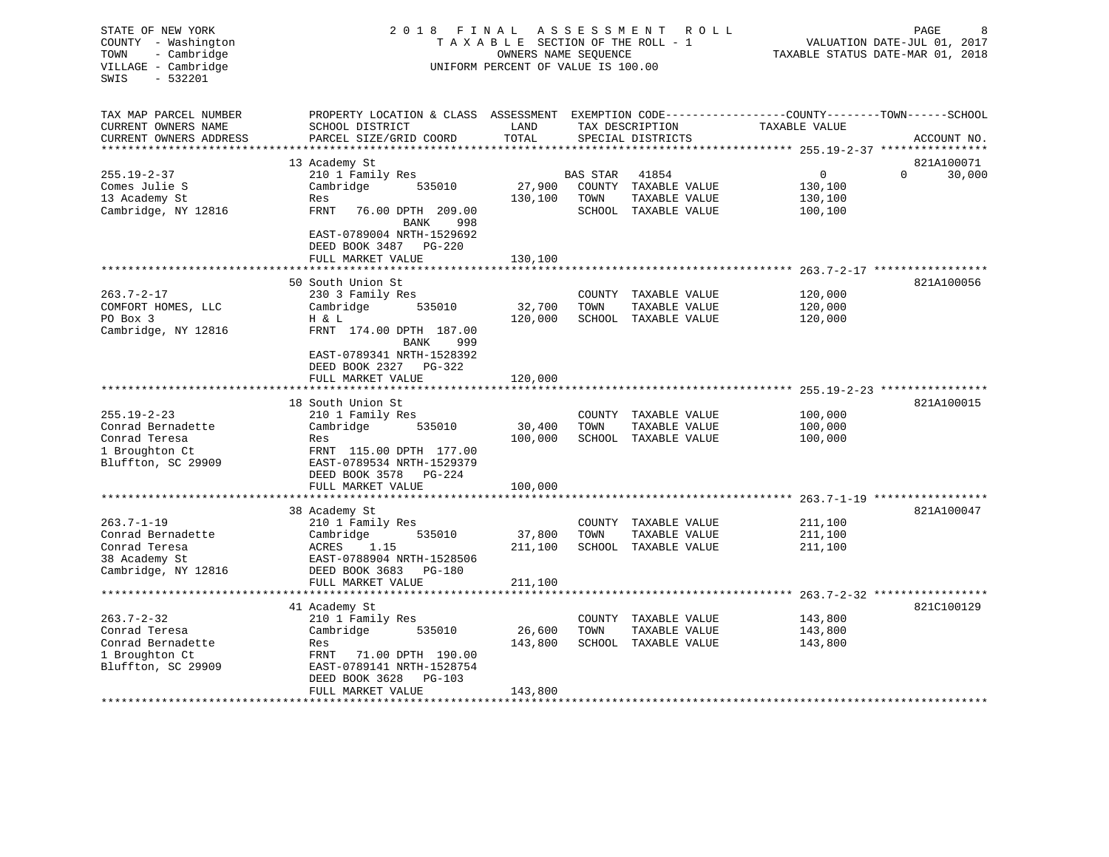| STATE OF NEW YORK<br>COUNTY - Washington<br>TOWN<br>- Cambridge<br>VILLAGE - Cambridge<br>SWIS<br>$-532201$ | 2018 FINAL                                                                                                                                   | TAXABLE SECTION OF THE ROLL - 1<br>OWNERS NAME SEQUENCE<br>UNIFORM PERCENT OF VALUE IS 100.00 | ASSESSMENT | R O L L                              |                                               | PAGE<br>8<br>VALUATION DATE-JUL 01, 2017<br>TAXABLE STATUS DATE-MAR 01, 2018 |
|-------------------------------------------------------------------------------------------------------------|----------------------------------------------------------------------------------------------------------------------------------------------|-----------------------------------------------------------------------------------------------|------------|--------------------------------------|-----------------------------------------------|------------------------------------------------------------------------------|
| TAX MAP PARCEL NUMBER<br>CURRENT OWNERS NAME<br>CURRENT OWNERS ADDRESS                                      | PROPERTY LOCATION & CLASS ASSESSMENT EXEMPTION CODE----------------COUNTY-------TOWN-----SCHOOL<br>SCHOOL DISTRICT<br>PARCEL SIZE/GRID COORD | LAND<br>TOTAL                                                                                 |            | TAX DESCRIPTION<br>SPECIAL DISTRICTS | TAXABLE VALUE                                 | ACCOUNT NO.                                                                  |
| ***********************                                                                                     |                                                                                                                                              |                                                                                               |            |                                      |                                               |                                                                              |
|                                                                                                             | 13 Academy St                                                                                                                                |                                                                                               |            |                                      |                                               | 821A100071                                                                   |
| $255.19 - 2 - 37$                                                                                           | 210 1 Family Res                                                                                                                             |                                                                                               | BAS STAR   | 41854                                | $\overline{0}$                                | $\Omega$<br>30,000                                                           |
| Comes Julie S                                                                                               | Cambridge<br>535010                                                                                                                          | 27,900                                                                                        | COUNTY     | TAXABLE VALUE                        | 130,100                                       |                                                                              |
| 13 Academy St                                                                                               | Res                                                                                                                                          | 130,100                                                                                       | TOWN       | TAXABLE VALUE                        | 130,100                                       |                                                                              |
| Cambridge, NY 12816                                                                                         | FRNT<br>76.00 DPTH 209.00                                                                                                                    |                                                                                               |            | SCHOOL TAXABLE VALUE                 | 100,100                                       |                                                                              |
|                                                                                                             | BANK<br>998<br>EAST-0789004 NRTH-1529692<br>DEED BOOK 3487 PG-220                                                                            |                                                                                               |            |                                      |                                               |                                                                              |
|                                                                                                             | FULL MARKET VALUE                                                                                                                            | 130,100                                                                                       |            |                                      |                                               |                                                                              |
|                                                                                                             | * * * * * * * * * * * * * * * * * * *                                                                                                        |                                                                                               |            |                                      |                                               |                                                                              |
| $263.7 - 2 - 17$                                                                                            | 50 South Union St<br>230 3 Family Res                                                                                                        |                                                                                               |            | COUNTY TAXABLE VALUE                 | 120,000                                       | 821A100056                                                                   |
| COMFORT HOMES, LLC                                                                                          | Cambridge<br>535010                                                                                                                          | 32,700                                                                                        | TOWN       | TAXABLE VALUE                        | 120,000                                       |                                                                              |
| PO Box 3                                                                                                    | H & L                                                                                                                                        | 120,000                                                                                       |            | SCHOOL TAXABLE VALUE                 | 120,000                                       |                                                                              |
| Cambridge, NY 12816                                                                                         | FRNT 174.00 DPTH 187.00                                                                                                                      |                                                                                               |            |                                      |                                               |                                                                              |
|                                                                                                             | BANK<br>999                                                                                                                                  |                                                                                               |            |                                      |                                               |                                                                              |
|                                                                                                             | EAST-0789341 NRTH-1528392                                                                                                                    |                                                                                               |            |                                      |                                               |                                                                              |
|                                                                                                             | DEED BOOK 2327 PG-322                                                                                                                        |                                                                                               |            |                                      |                                               |                                                                              |
|                                                                                                             | FULL MARKET VALUE                                                                                                                            | 120,000                                                                                       |            |                                      |                                               |                                                                              |
|                                                                                                             |                                                                                                                                              |                                                                                               |            |                                      |                                               |                                                                              |
|                                                                                                             | 18 South Union St                                                                                                                            |                                                                                               |            |                                      |                                               | 821A100015                                                                   |
| $255.19 - 2 - 23$                                                                                           | 210 1 Family Res                                                                                                                             |                                                                                               |            | COUNTY TAXABLE VALUE                 | 100,000                                       |                                                                              |
| Conrad Bernadette                                                                                           | Cambridge<br>535010                                                                                                                          | 30,400                                                                                        | TOWN       | TAXABLE VALUE                        | 100,000                                       |                                                                              |
| Conrad Teresa<br>1 Broughton Ct                                                                             | Res<br>FRNT 115.00 DPTH 177.00                                                                                                               | 100,000                                                                                       |            | SCHOOL TAXABLE VALUE                 | 100,000                                       |                                                                              |
| Bluffton, SC 29909                                                                                          | EAST-0789534 NRTH-1529379                                                                                                                    |                                                                                               |            |                                      |                                               |                                                                              |
|                                                                                                             | DEED BOOK 3578 PG-224                                                                                                                        |                                                                                               |            |                                      |                                               |                                                                              |
|                                                                                                             | FULL MARKET VALUE                                                                                                                            | 100,000                                                                                       |            |                                      |                                               |                                                                              |
|                                                                                                             |                                                                                                                                              |                                                                                               |            |                                      |                                               | $263.7 - 1 - 19$ *****************                                           |
|                                                                                                             | 38 Academy St                                                                                                                                |                                                                                               |            |                                      |                                               | 821A100047                                                                   |
| $263.7 - 1 - 19$                                                                                            | 210 1 Family Res                                                                                                                             |                                                                                               |            | COUNTY TAXABLE VALUE                 | 211,100                                       |                                                                              |
| Conrad Bernadette                                                                                           | Cambridge<br>535010                                                                                                                          | 37,800                                                                                        | TOWN       | TAXABLE VALUE                        | 211,100                                       |                                                                              |
| Conrad Teresa                                                                                               | ACRES<br>1.15                                                                                                                                | 211,100                                                                                       |            | SCHOOL TAXABLE VALUE                 | 211,100                                       |                                                                              |
| 38 Academy St                                                                                               | EAST-0788904 NRTH-1528506                                                                                                                    |                                                                                               |            |                                      |                                               |                                                                              |
| Cambridge, NY 12816                                                                                         | DEED BOOK 3683<br>PG-180                                                                                                                     |                                                                                               |            |                                      |                                               |                                                                              |
|                                                                                                             | FULL MARKET VALUE<br>****************                                                                                                        | 211,100                                                                                       |            |                                      | **************** 263.7-2-32 ***************** |                                                                              |
|                                                                                                             | 41 Academy St                                                                                                                                |                                                                                               |            |                                      |                                               | 821C100129                                                                   |
| $263.7 - 2 - 32$                                                                                            | 210 1 Family Res                                                                                                                             |                                                                                               |            | COUNTY TAXABLE VALUE                 | 143,800                                       |                                                                              |
| Conrad Teresa                                                                                               | Cambridge<br>535010                                                                                                                          | 26,600                                                                                        | TOWN       | TAXABLE VALUE                        | 143,800                                       |                                                                              |
| Conrad Bernadette                                                                                           | Res                                                                                                                                          | 143,800                                                                                       |            | SCHOOL TAXABLE VALUE                 | 143,800                                       |                                                                              |
| 1 Broughton Ct                                                                                              | FRNT<br>71.00 DPTH 190.00                                                                                                                    |                                                                                               |            |                                      |                                               |                                                                              |
| Bluffton, SC 29909                                                                                          | EAST-0789141 NRTH-1528754                                                                                                                    |                                                                                               |            |                                      |                                               |                                                                              |
|                                                                                                             | DEED BOOK 3628<br>PG-103                                                                                                                     |                                                                                               |            |                                      |                                               |                                                                              |
|                                                                                                             | FULL MARKET VALUE                                                                                                                            | 143,800                                                                                       |            |                                      |                                               |                                                                              |
|                                                                                                             |                                                                                                                                              |                                                                                               |            |                                      |                                               |                                                                              |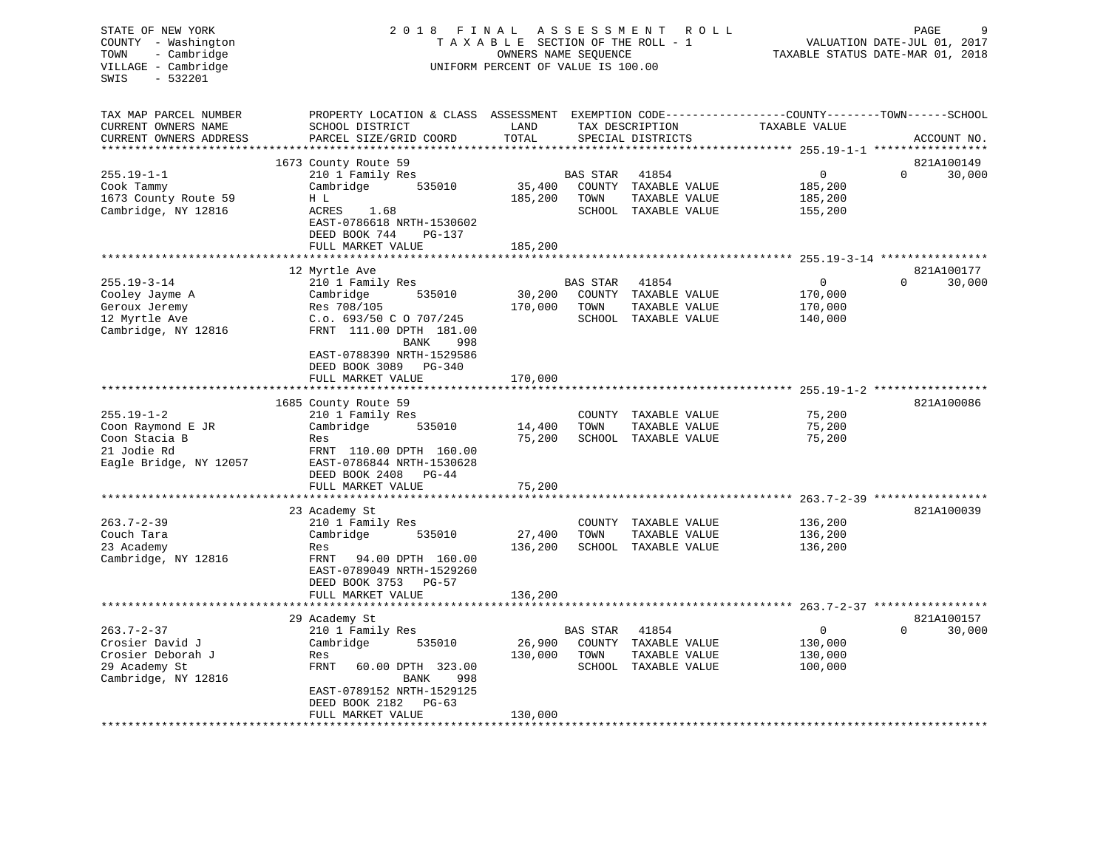| STATE OF NEW YORK<br>COUNTY<br>- Washington       | 2 0 1 8<br>FINAL                        | TAXABLE SECTION OF THE ROLL - 1                            | A S S E S S M E N T | R O L L                        |                                                              | 9<br>PAGE<br>VALUATION DATE-JUL 01, 2017 |
|---------------------------------------------------|-----------------------------------------|------------------------------------------------------------|---------------------|--------------------------------|--------------------------------------------------------------|------------------------------------------|
| - Cambridge<br>TOWN<br>VILLAGE - Cambridge        |                                         | OWNERS NAME SEQUENCE<br>UNIFORM PERCENT OF VALUE IS 100.00 |                     |                                |                                                              | TAXABLE STATUS DATE-MAR 01, 2018         |
| $-532201$<br>SWIS                                 |                                         |                                                            |                     |                                |                                                              |                                          |
| TAX MAP PARCEL NUMBER                             | PROPERTY LOCATION & CLASS               | ASSESSMENT                                                 |                     |                                | EXEMPTION CODE-----------------COUNTY-------TOWN------SCHOOL |                                          |
| CURRENT OWNERS NAME                               | SCHOOL DISTRICT                         | LAND                                                       |                     | TAX DESCRIPTION                | TAXABLE VALUE                                                |                                          |
| CURRENT OWNERS ADDRESS<br>*********************** | PARCEL SIZE/GRID COORD                  | TOTAL                                                      |                     | SPECIAL DISTRICTS              |                                                              | ACCOUNT NO.                              |
|                                                   | 1673 County Route 59                    |                                                            |                     |                                |                                                              | 821A100149                               |
| $255.19 - 1 - 1$                                  | 210 1 Family Res                        |                                                            | <b>BAS STAR</b>     | 41854                          | $\Omega$                                                     | $\Omega$<br>30,000                       |
| Cook Tammy                                        | Cambridge<br>535010                     | 35,400                                                     | COUNTY              | TAXABLE VALUE                  | 185,200                                                      |                                          |
| 1673 County Route 59                              | H L                                     | 185,200                                                    | TOWN                | TAXABLE VALUE                  | 185,200                                                      |                                          |
| Cambridge, NY 12816                               | ACRES<br>1.68                           |                                                            |                     | SCHOOL TAXABLE VALUE           | 155,200                                                      |                                          |
|                                                   | EAST-0786618 NRTH-1530602               |                                                            |                     |                                |                                                              |                                          |
|                                                   | DEED BOOK 744<br>PG-137                 |                                                            |                     |                                |                                                              |                                          |
|                                                   | FULL MARKET VALUE                       | 185,200                                                    |                     |                                |                                                              |                                          |
|                                                   | 12 Myrtle Ave                           |                                                            |                     |                                |                                                              | 821A100177                               |
| $255.19 - 3 - 14$                                 | 210 1 Family Res                        |                                                            | <b>BAS STAR</b>     | 41854                          | $\Omega$                                                     | 30,000<br>$\Omega$                       |
| Cooley Jayme A                                    | Cambridge<br>535010                     | 30,200                                                     | COUNTY              | TAXABLE VALUE                  | 170,000                                                      |                                          |
| Geroux Jeremy                                     | Res 708/105                             | 170,000                                                    | TOWN                | TAXABLE VALUE                  | 170,000                                                      |                                          |
| 12 Myrtle Ave                                     | C.o. 693/50 C O 707/245                 |                                                            | SCHOOL              | TAXABLE VALUE                  | 140,000                                                      |                                          |
| Cambridge, NY 12816                               | FRNT 111.00 DPTH 181.00                 |                                                            |                     |                                |                                                              |                                          |
|                                                   | 998<br>BANK                             |                                                            |                     |                                |                                                              |                                          |
|                                                   | EAST-0788390 NRTH-1529586               |                                                            |                     |                                |                                                              |                                          |
|                                                   | DEED BOOK 3089<br>PG-340                |                                                            |                     |                                |                                                              |                                          |
|                                                   | FULL MARKET VALUE                       | 170,000                                                    |                     |                                |                                                              |                                          |
|                                                   | 1685 County Route 59                    |                                                            |                     |                                |                                                              | 821A100086                               |
| $255.19 - 1 - 2$                                  | 210 1 Family Res                        |                                                            | COUNTY              | TAXABLE VALUE                  | 75,200                                                       |                                          |
| Coon Raymond E JR                                 | Cambridge<br>535010                     | 14,400                                                     | TOWN                | TAXABLE VALUE                  | 75,200                                                       |                                          |
| Coon Stacia B                                     | Res                                     | 75,200                                                     | SCHOOL              | TAXABLE VALUE                  | 75,200                                                       |                                          |
| 21 Jodie Rd                                       | FRNT 110.00 DPTH 160.00                 |                                                            |                     |                                |                                                              |                                          |
| Eagle Bridge, NY 12057                            | EAST-0786844 NRTH-1530628               |                                                            |                     |                                |                                                              |                                          |
|                                                   | DEED BOOK 2408<br>PG-44                 |                                                            |                     |                                |                                                              |                                          |
|                                                   | FULL MARKET VALUE                       | 75,200                                                     |                     |                                |                                                              |                                          |
|                                                   |                                         |                                                            |                     |                                |                                                              |                                          |
| $263.7 - 2 - 39$                                  | 23 Academy St<br>210 1 Family Res       |                                                            | COUNTY              | TAXABLE VALUE                  | 136,200                                                      | 821A100039                               |
| Couch Tara                                        | 535010<br>Cambridge                     | 27,400                                                     | TOWN                | TAXABLE VALUE                  | 136,200                                                      |                                          |
| 23 Academy                                        | Res                                     | 136,200                                                    |                     | SCHOOL TAXABLE VALUE           | 136,200                                                      |                                          |
| Cambridge, NY 12816                               | FRNT<br>94.00 DPTH 160.00               |                                                            |                     |                                |                                                              |                                          |
|                                                   | EAST-0789049 NRTH-1529260               |                                                            |                     |                                |                                                              |                                          |
|                                                   | DEED BOOK 3753<br>PG-57                 |                                                            |                     |                                |                                                              |                                          |
|                                                   | FULL MARKET VALUE                       | 136,200                                                    |                     |                                |                                                              |                                          |
|                                                   | *****************************           |                                                            |                     |                                |                                                              |                                          |
|                                                   | 29 Academy St                           |                                                            |                     |                                |                                                              | 821A100157                               |
| $263.7 - 2 - 37$                                  | 210 1 Family Res                        |                                                            | <b>BAS STAR</b>     | 41854                          | $\mathbf 0$                                                  | $\Omega$<br>30,000                       |
| Crosier David J<br>Crosier Deborah J              | Cambridge<br>535010                     | 26,900<br>130,000                                          | COUNTY              | TAXABLE VALUE                  | 130,000                                                      |                                          |
| 29 Academy St                                     | Res<br><b>FRNT</b><br>60.00 DPTH 323.00 |                                                            | TOWN<br>SCHOOL      | TAXABLE VALUE<br>TAXABLE VALUE | 130,000<br>100,000                                           |                                          |
| Cambridge, NY 12816                               | BANK<br>998                             |                                                            |                     |                                |                                                              |                                          |
|                                                   | EAST-0789152 NRTH-1529125               |                                                            |                     |                                |                                                              |                                          |
|                                                   | DEED BOOK 2182<br>$PG-63$               |                                                            |                     |                                |                                                              |                                          |
|                                                   | FULL MARKET VALUE                       | 130,000                                                    |                     |                                |                                                              |                                          |
|                                                   |                                         |                                                            |                     |                                |                                                              |                                          |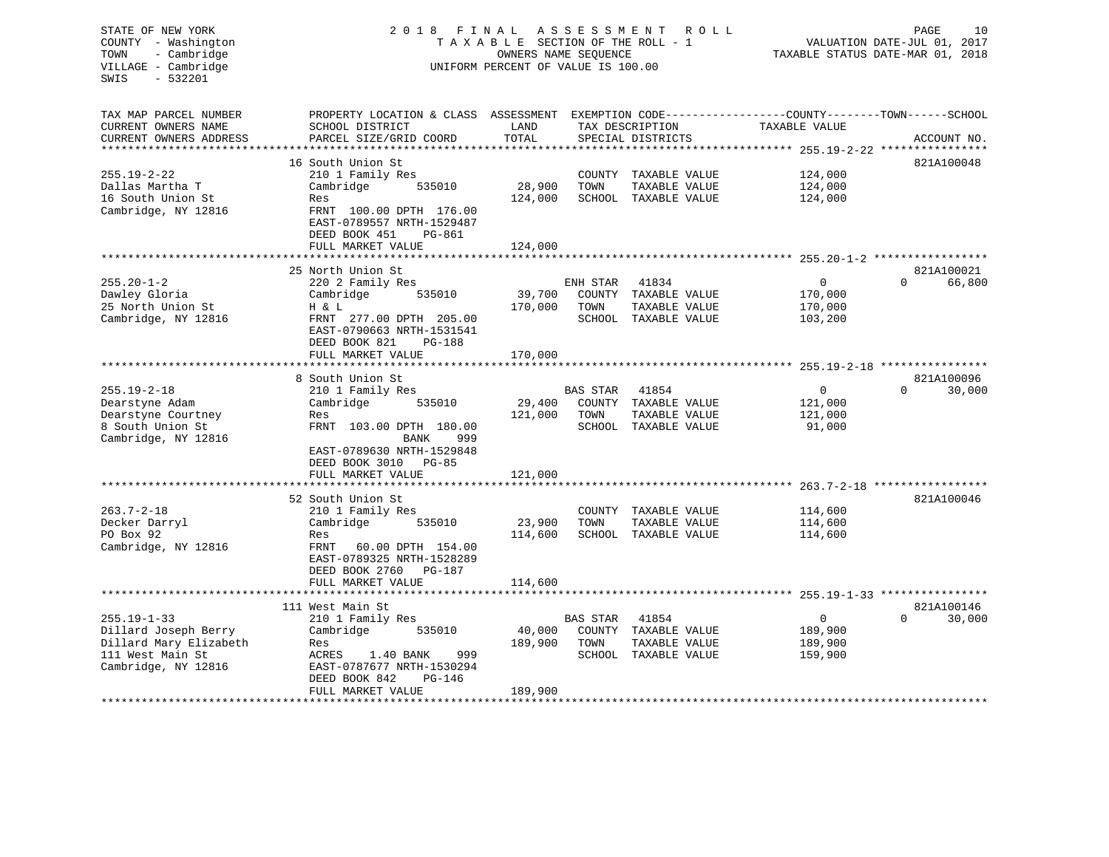#### STATE OF NEW YORK 2 0 1 8 F I N A L A S S E S S M E N T R O L L PAGE 10COUNTY - Washington  $T A X A B L E$  SECTION OF THE ROLL - 1<br>TOWN - Cambridge  $\sim$  000NERS NAME SEQUENCE TOWN - Cambridge OWNERS NAME SEQUENCE TAXABLE STATUS DATE-MAR 01, 2018 UNIFORM PERCENT OF VALUE IS 100.00

| TAX MAP PARCEL NUMBER                           | PROPERTY LOCATION & CLASS ASSESSMENT                 |         |                 |                      | EXEMPTION CODE-----------------COUNTY-------TOWN------SCHOOL |                    |
|-------------------------------------------------|------------------------------------------------------|---------|-----------------|----------------------|--------------------------------------------------------------|--------------------|
| CURRENT OWNERS NAME                             | SCHOOL DISTRICT                                      | LAND    |                 | TAX DESCRIPTION      | TAXABLE VALUE                                                |                    |
| CURRENT OWNERS ADDRESS<br>********************* | PARCEL SIZE/GRID COORD                               | TOTAL   |                 | SPECIAL DISTRICTS    |                                                              | ACCOUNT NO.        |
|                                                 |                                                      |         |                 |                      |                                                              |                    |
|                                                 | 16 South Union St                                    |         |                 |                      |                                                              | 821A100048         |
| $255.19 - 2 - 22$                               | 210 1 Family Res                                     |         |                 | COUNTY TAXABLE VALUE | 124,000                                                      |                    |
| Dallas Martha T                                 | Cambridge<br>535010                                  | 28,900  | TOWN            | TAXABLE VALUE        | 124,000                                                      |                    |
| 16 South Union St                               | Res                                                  | 124,000 |                 | SCHOOL TAXABLE VALUE | 124,000                                                      |                    |
| Cambridge, NY 12816                             | FRNT 100.00 DPTH 176.00<br>EAST-0789557 NRTH-1529487 |         |                 |                      |                                                              |                    |
|                                                 | DEED BOOK 451<br>PG-861                              |         |                 |                      |                                                              |                    |
|                                                 | FULL MARKET VALUE                                    | 124,000 |                 |                      |                                                              |                    |
|                                                 |                                                      |         |                 |                      |                                                              |                    |
|                                                 | 25 North Union St                                    |         |                 |                      |                                                              | 821A100021         |
| $255.20 - 1 - 2$                                | 220 2 Family Res                                     |         | ENH STAR        | 41834                | $\mathbf{0}$                                                 | 66,800<br>$\Omega$ |
| Dawley Gloria                                   | Cambridge<br>535010                                  | 39,700  | COUNTY          | TAXABLE VALUE        | 170,000                                                      |                    |
| 25 North Union St                               | H & L                                                | 170,000 | TOWN            | TAXABLE VALUE        | 170,000                                                      |                    |
| Cambridge, NY 12816                             | FRNT 277.00 DPTH 205.00                              |         | SCHOOL          | TAXABLE VALUE        | 103,200                                                      |                    |
|                                                 | EAST-0790663 NRTH-1531541                            |         |                 |                      |                                                              |                    |
|                                                 | DEED BOOK 821<br><b>PG-188</b>                       |         |                 |                      |                                                              |                    |
|                                                 | FULL MARKET VALUE                                    | 170,000 |                 |                      |                                                              |                    |
|                                                 |                                                      |         |                 |                      |                                                              |                    |
|                                                 | 8 South Union St                                     |         |                 |                      |                                                              | 821A100096         |
| $255.19 - 2 - 18$                               | 210 1 Family Res                                     |         | <b>BAS STAR</b> | 41854                | $\mathbf{0}$                                                 | 30,000<br>$\Omega$ |
| Dearstyne Adam                                  | Cambridge<br>535010                                  | 29,400  |                 | COUNTY TAXABLE VALUE | 121,000                                                      |                    |
| Dearstyne Courtney                              | Res                                                  | 121,000 | TOWN            | TAXABLE VALUE        | 121,000                                                      |                    |
| 8 South Union St                                | FRNT 103.00 DPTH 180.00                              |         | SCHOOL          | TAXABLE VALUE        | 91,000                                                       |                    |
| Cambridge, NY 12816                             | <b>BANK</b><br>999                                   |         |                 |                      |                                                              |                    |
|                                                 | EAST-0789630 NRTH-1529848                            |         |                 |                      |                                                              |                    |
|                                                 | DEED BOOK 3010<br>$PG-85$                            |         |                 |                      |                                                              |                    |
|                                                 | FULL MARKET VALUE                                    | 121,000 |                 |                      |                                                              |                    |
|                                                 |                                                      |         |                 |                      |                                                              |                    |
|                                                 | 52 South Union St                                    |         |                 |                      |                                                              | 821A100046         |
| $263.7 - 2 - 18$                                | 210 1 Family Res                                     |         |                 | COUNTY TAXABLE VALUE | 114,600                                                      |                    |
| Decker Darryl                                   | Cambridge<br>535010                                  | 23,900  | TOWN            | TAXABLE VALUE        | 114,600                                                      |                    |
| PO Box 92                                       | Res                                                  | 114,600 |                 | SCHOOL TAXABLE VALUE | 114,600                                                      |                    |
| Cambridge, NY 12816                             | FRNT<br>60.00 DPTH 154.00                            |         |                 |                      |                                                              |                    |
|                                                 | EAST-0789325 NRTH-1528289                            |         |                 |                      |                                                              |                    |
|                                                 | DEED BOOK 2760<br>PG-187                             |         |                 |                      |                                                              |                    |
|                                                 | FULL MARKET VALUE                                    | 114,600 |                 |                      |                                                              |                    |
|                                                 | **************************                           |         |                 |                      |                                                              |                    |
|                                                 | 111 West Main St                                     |         |                 |                      |                                                              | 821A100146         |
| $255.19 - 1 - 33$                               | 210 1 Family Res                                     |         | <b>BAS STAR</b> | 41854                | $\mathbf{0}$                                                 | 30,000<br>$\Omega$ |
| Dillard Joseph Berry                            | Cambridge<br>535010                                  | 40,000  |                 | COUNTY TAXABLE VALUE | 189,900                                                      |                    |
| Dillard Mary Elizabeth                          | Res                                                  | 189,900 | TOWN            | TAXABLE VALUE        | 189,900                                                      |                    |
| 111 West Main St                                | 999<br>ACRES<br>1.40 BANK                            |         | SCHOOL          | TAXABLE VALUE        | 159,900                                                      |                    |
| Cambridge, NY 12816                             | EAST-0787677 NRTH-1530294                            |         |                 |                      |                                                              |                    |
|                                                 | DEED BOOK 842<br>PG-146                              |         |                 |                      |                                                              |                    |
|                                                 | FULL MARKET VALUE                                    | 189,900 |                 |                      |                                                              |                    |
|                                                 |                                                      |         |                 |                      |                                                              |                    |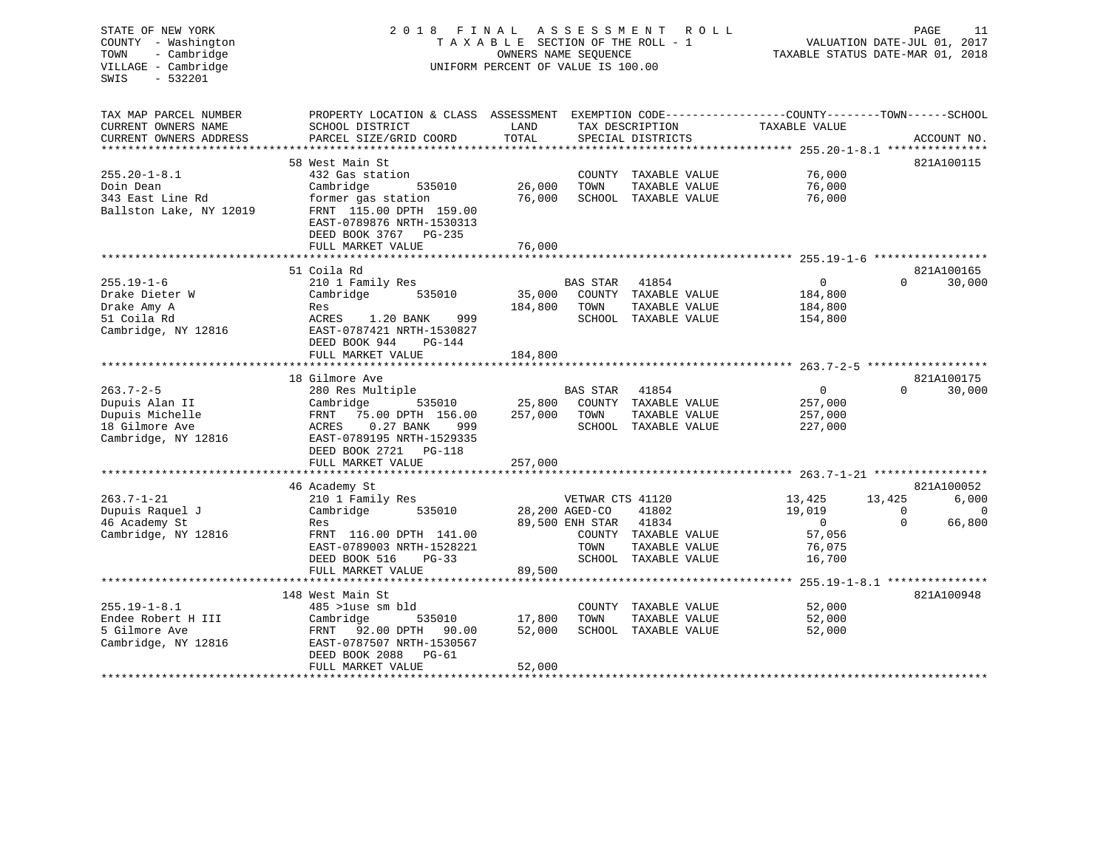| STATE OF NEW YORK<br>COUNTY - Washington<br>- Cambridge<br>TOWN<br>VILLAGE - Cambridge<br>$-532201$<br>SWIS | 2018                                                                                                                                                         | FINAL<br>TAXABLE SECTION OF THE ROLL - 1<br>OWNERS NAME SEQUENCE<br>UNIFORM PERCENT OF VALUE IS 100.00 | A S S E S S M E N T                       | R O L L<br>PAGE<br>VALUATION DATE-JUL 01, 2017<br>TAXABLE STATUS DATE-MAR 01, 2018 |                                                                  |                      |                      |  |
|-------------------------------------------------------------------------------------------------------------|--------------------------------------------------------------------------------------------------------------------------------------------------------------|--------------------------------------------------------------------------------------------------------|-------------------------------------------|------------------------------------------------------------------------------------|------------------------------------------------------------------|----------------------|----------------------|--|
| TAX MAP PARCEL NUMBER<br>CURRENT OWNERS NAME<br>CURRENT OWNERS ADDRESS                                      | PROPERTY LOCATION & CLASS ASSESSMENT EXEMPTION CODE----------------COUNTY-------TOWN------SCHOOL<br>SCHOOL DISTRICT<br>PARCEL SIZE/GRID COORD                | LAND<br>TOTAL                                                                                          |                                           | TAX DESCRIPTION<br>SPECIAL DISTRICTS                                               | TAXABLE VALUE                                                    |                      | ACCOUNT NO.          |  |
|                                                                                                             |                                                                                                                                                              |                                                                                                        |                                           |                                                                                    |                                                                  |                      |                      |  |
| $255.20 - 1 - 8.1$<br>Doin Dean<br>343 East Line Rd<br>Ballston Lake, NY 12019                              | 58 West Main St<br>432 Gas station<br>Cambridge<br>535010<br>former gas station<br>FRNT 115.00 DPTH 159.00                                                   | 26,000<br>76,000                                                                                       | TOWN                                      | COUNTY TAXABLE VALUE<br>TAXABLE VALUE<br>SCHOOL TAXABLE VALUE                      | 76,000<br>76,000<br>76,000                                       |                      | 821A100115           |  |
|                                                                                                             | EAST-0789876 NRTH-1530313<br>DEED BOOK 3767 PG-235<br>FULL MARKET VALUE                                                                                      | 76,000                                                                                                 |                                           |                                                                                    |                                                                  |                      |                      |  |
|                                                                                                             |                                                                                                                                                              |                                                                                                        |                                           |                                                                                    |                                                                  |                      |                      |  |
| $255.19 - 1 - 6$<br>Drake Dieter W                                                                          | 51 Coila Rd<br>210 1 Family Res<br>535010<br>Cambridge                                                                                                       | 35,000                                                                                                 | <b>BAS STAR</b>                           | 41854<br>COUNTY TAXABLE VALUE                                                      | $\mathbf 0$<br>184,800                                           | $\Omega$             | 821A100165<br>30,000 |  |
| Drake Amy A<br>51 Coila Rd<br>Cambridge, NY 12816                                                           | Res<br>ACRES<br>1.20 BANK<br>999<br>EAST-0787421 NRTH-1530827<br>DEED BOOK 944<br>PG-144                                                                     | 184,800                                                                                                | TOWN                                      | TAXABLE VALUE<br>SCHOOL TAXABLE VALUE                                              | 184,800<br>154,800                                               |                      |                      |  |
|                                                                                                             | FULL MARKET VALUE<br>************************                                                                                                                | 184,800                                                                                                |                                           |                                                                                    |                                                                  |                      |                      |  |
|                                                                                                             | 18 Gilmore Ave                                                                                                                                               |                                                                                                        |                                           |                                                                                    |                                                                  |                      | 821A100175           |  |
| $263.7 - 2 - 5$<br>Dupuis Alan II<br>Dupuis Michelle<br>18 Gilmore Ave<br>Cambridge, NY 12816               | 280 Res Multiple<br>535010<br>Cambridge<br>75.00 DPTH 156.00<br>FRNT<br>ACRES<br>$0.27$ BANK<br>999<br>EAST-0789195 NRTH-1529335<br>DEED BOOK 2721<br>PG-118 | 25,800<br>257,000                                                                                      | BAS STAR<br>TOWN                          | 41854<br>COUNTY TAXABLE VALUE<br>TAXABLE VALUE<br>SCHOOL TAXABLE VALUE             | $\overline{0}$<br>257,000<br>257,000<br>227,000                  | $\Omega$             | 30,000               |  |
|                                                                                                             | FULL MARKET VALUE                                                                                                                                            | 257,000                                                                                                |                                           |                                                                                    |                                                                  |                      |                      |  |
| $263.7 - 1 - 21$                                                                                            | 46 Academy St                                                                                                                                                |                                                                                                        | VETWAR CTS 41120                          |                                                                                    |                                                                  | 13,425               | 821A100052           |  |
| Dupuis Raquel J<br>46 Academy St<br>Cambridge, NY 12816                                                     | 210 1 Family Res<br>Cambridge<br>535010<br>Res<br>FRNT 116.00 DPTH 141.00<br>EAST-0789003 NRTH-1528221<br>DEED BOOK 516<br>$PG-33$<br>FULL MARKET VALUE      | 89,500                                                                                                 | 28,200 AGED-CO<br>89,500 ENH STAR<br>TOWN | 41802<br>41834<br>COUNTY TAXABLE VALUE<br>TAXABLE VALUE<br>SCHOOL TAXABLE VALUE    | 13,425<br>19,019<br>$\overline{0}$<br>57,056<br>76,075<br>16,700 | $\Omega$<br>$\Omega$ | 6,000<br>0<br>66,800 |  |
|                                                                                                             | *******************                                                                                                                                          |                                                                                                        |                                           |                                                                                    | *********** 255.19-1-8.1 ****************                        |                      |                      |  |
| $255.19 - 1 - 8.1$<br>Endee Robert H III<br>5 Gilmore Ave<br>Cambridge, NY 12816                            | 148 West Main St<br>485 >luse sm bld<br>Cambridge<br>535010<br>FRNT<br>92.00 DPTH<br>90.00<br>EAST-0787507 NRTH-1530567<br>DEED BOOK 2088<br>PG-61           | 17,800<br>52,000                                                                                       | TOWN                                      | COUNTY TAXABLE VALUE<br>TAXABLE VALUE<br>SCHOOL TAXABLE VALUE                      | 52,000<br>52,000<br>52,000                                       |                      | 821A100948           |  |
|                                                                                                             | FULL MARKET VALUE<br>                                                                                                                                        | 52,000<br>********                                                                                     |                                           |                                                                                    |                                                                  |                      |                      |  |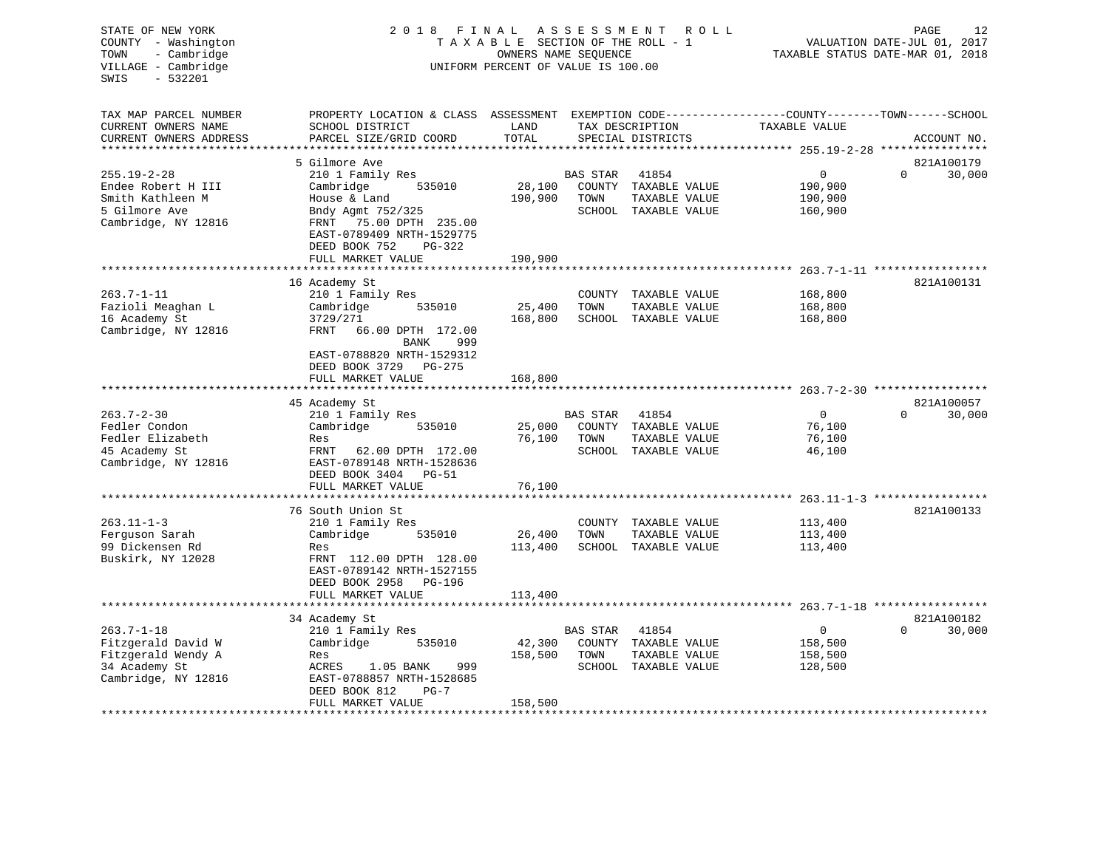| STATE OF NEW YORK<br>COUNTY - Washington<br>- Cambridge<br>TOWN<br>VILLAGE - Cambridge<br>$-532201$<br>SWIS | 2018 FINAL<br>TAXABLE SECTION OF THE ROLL - 1<br>UNIFORM PERCENT OF VALUE IS 100.00                                                         | PAGE<br>12<br>VALUATION DATE-JUL 01, 2017<br>TAXABLE STATUS DATE-MAR 01, 2018 |                 |                                       |                                                     |                                     |
|-------------------------------------------------------------------------------------------------------------|---------------------------------------------------------------------------------------------------------------------------------------------|-------------------------------------------------------------------------------|-----------------|---------------------------------------|-----------------------------------------------------|-------------------------------------|
| TAX MAP PARCEL NUMBER<br>CURRENT OWNERS NAME<br>CURRENT OWNERS ADDRESS                                      | PROPERTY LOCATION & CLASS ASSESSMENT EXEMPTION CODE---------------COUNTY-------TOWN-----SCHOOL<br>SCHOOL DISTRICT<br>PARCEL SIZE/GRID COORD | LAND<br>TOTAL                                                                 |                 | TAX DESCRIPTION<br>SPECIAL DISTRICTS  | TAXABLE VALUE                                       | ACCOUNT NO.                         |
|                                                                                                             |                                                                                                                                             |                                                                               |                 |                                       |                                                     |                                     |
|                                                                                                             | 5 Gilmore Ave                                                                                                                               |                                                                               |                 |                                       |                                                     | 821A100179                          |
| $255.19 - 2 - 28$                                                                                           | 210 1 Family Res                                                                                                                            |                                                                               | BAS STAR        | 41854                                 | $\mathbf{0}$                                        | $\Omega$<br>30,000                  |
| Endee Robert H III                                                                                          | 535010<br>Cambridge                                                                                                                         | 28,100                                                                        |                 | COUNTY TAXABLE VALUE                  | 190,900                                             |                                     |
| Smith Kathleen M                                                                                            | House & Land                                                                                                                                | 190,900                                                                       | TOWN            | TAXABLE VALUE                         | 190,900                                             |                                     |
| 5 Gilmore Ave                                                                                               | Bndy Agmt 752/325                                                                                                                           |                                                                               |                 | SCHOOL TAXABLE VALUE                  | 160,900                                             |                                     |
| Cambridge, NY 12816                                                                                         | FRNT 75.00 DPTH 235.00                                                                                                                      |                                                                               |                 |                                       |                                                     |                                     |
|                                                                                                             | EAST-0789409 NRTH-1529775                                                                                                                   |                                                                               |                 |                                       |                                                     |                                     |
|                                                                                                             | DEED BOOK 752<br>PG-322                                                                                                                     |                                                                               |                 |                                       |                                                     |                                     |
|                                                                                                             | FULL MARKET VALUE                                                                                                                           | 190,900                                                                       |                 |                                       |                                                     |                                     |
|                                                                                                             |                                                                                                                                             |                                                                               |                 |                                       | ********************* 263.7-1-11 ****************** |                                     |
| $263.7 - 1 - 11$                                                                                            | 16 Academy St                                                                                                                               |                                                                               |                 |                                       |                                                     | 821A100131                          |
|                                                                                                             | 210 1 Family Res<br>535010<br>Cambridge                                                                                                     | 25,400                                                                        | TOWN            | COUNTY TAXABLE VALUE<br>TAXABLE VALUE | 168,800                                             |                                     |
| Fazioli Meaghan L<br>16 Academy St                                                                          | 3729/271                                                                                                                                    | 168,800                                                                       |                 | SCHOOL TAXABLE VALUE                  | 168,800<br>168,800                                  |                                     |
| Cambridge, NY 12816                                                                                         | FRNT<br>66.00 DPTH 172.00                                                                                                                   |                                                                               |                 |                                       |                                                     |                                     |
|                                                                                                             | BANK<br>999<br>EAST-0788820 NRTH-1529312<br>DEED BOOK 3729 PG-275<br>FULL MARKET VALUE                                                      | 168,800                                                                       |                 |                                       |                                                     |                                     |
|                                                                                                             |                                                                                                                                             |                                                                               |                 |                                       |                                                     |                                     |
|                                                                                                             | 45 Academy St                                                                                                                               |                                                                               |                 |                                       |                                                     | 821A100057                          |
| $263.7 - 2 - 30$                                                                                            | 210 1 Family Res                                                                                                                            |                                                                               | BAS STAR        | 41854                                 | $\Omega$                                            | 30,000<br>$\Omega$                  |
| Fedler Condon                                                                                               | 535010<br>Cambridge                                                                                                                         | 25,000                                                                        |                 | COUNTY TAXABLE VALUE                  | 76,100                                              |                                     |
| Fedler Elizabeth                                                                                            | Res                                                                                                                                         | 76,100                                                                        | TOWN            | TAXABLE VALUE                         | 76,100                                              |                                     |
| 45 Academy St<br>Cambridge, NY 12816                                                                        | FRNT<br>62.00 DPTH 172.00<br>EAST-0789148 NRTH-1528636                                                                                      |                                                                               |                 | SCHOOL TAXABLE VALUE                  | 46,100                                              |                                     |
|                                                                                                             | DEED BOOK 3404 PG-51                                                                                                                        |                                                                               |                 |                                       |                                                     |                                     |
|                                                                                                             | FULL MARKET VALUE                                                                                                                           | 76,100                                                                        |                 |                                       |                                                     |                                     |
|                                                                                                             |                                                                                                                                             |                                                                               |                 |                                       |                                                     | $263.11 - 1 - 3$ ****************** |
|                                                                                                             | 76 South Union St                                                                                                                           |                                                                               |                 |                                       |                                                     | 821A100133                          |
| $263.11 - 1 - 3$                                                                                            | 210 1 Family Res                                                                                                                            |                                                                               |                 | COUNTY TAXABLE VALUE                  | 113,400                                             |                                     |
| Ferguson Sarah                                                                                              | Cambridge<br>535010                                                                                                                         | 26,400                                                                        | TOWN            | TAXABLE VALUE                         | 113,400                                             |                                     |
| 99 Dickensen Rd                                                                                             | Res                                                                                                                                         | 113,400                                                                       |                 | SCHOOL TAXABLE VALUE                  | 113,400                                             |                                     |
| Buskirk, NY 12028                                                                                           | FRNT 112.00 DPTH 128.00<br>EAST-0789142 NRTH-1527155                                                                                        |                                                                               |                 |                                       |                                                     |                                     |
|                                                                                                             | DEED BOOK 2958<br>PG-196                                                                                                                    |                                                                               |                 |                                       |                                                     |                                     |
|                                                                                                             | FULL MARKET VALUE                                                                                                                           | 113,400                                                                       |                 |                                       |                                                     |                                     |
|                                                                                                             | ************************                                                                                                                    |                                                                               |                 |                                       |                                                     |                                     |
|                                                                                                             | 34 Academy St                                                                                                                               |                                                                               |                 |                                       |                                                     | 821A100182                          |
| $263.7 - 1 - 18$                                                                                            | 210 1 Family Res                                                                                                                            |                                                                               | <b>BAS STAR</b> | 41854                                 | $\mathbf 0$                                         | 30,000<br>$\Omega$                  |
| Fitzgerald David W                                                                                          | Cambridge<br>535010                                                                                                                         | 42,300                                                                        |                 | COUNTY TAXABLE VALUE                  | 158,500                                             |                                     |
| Fitzgerald Wendy A                                                                                          | Res                                                                                                                                         | 158,500                                                                       | TOWN            | TAXABLE VALUE                         | 158,500                                             |                                     |
| 34 Academy St                                                                                               | ACRES<br>1.05 BANK<br>999                                                                                                                   |                                                                               |                 | SCHOOL TAXABLE VALUE                  | 128,500                                             |                                     |
| Cambridge, NY 12816                                                                                         | EAST-0788857 NRTH-1528685                                                                                                                   |                                                                               |                 |                                       |                                                     |                                     |
|                                                                                                             | DEED BOOK 812<br>$PG-7$                                                                                                                     |                                                                               |                 |                                       |                                                     |                                     |
|                                                                                                             | FULL MARKET VALUE                                                                                                                           | 158,500                                                                       |                 |                                       |                                                     |                                     |
|                                                                                                             | *****************                                                                                                                           |                                                                               |                 |                                       |                                                     |                                     |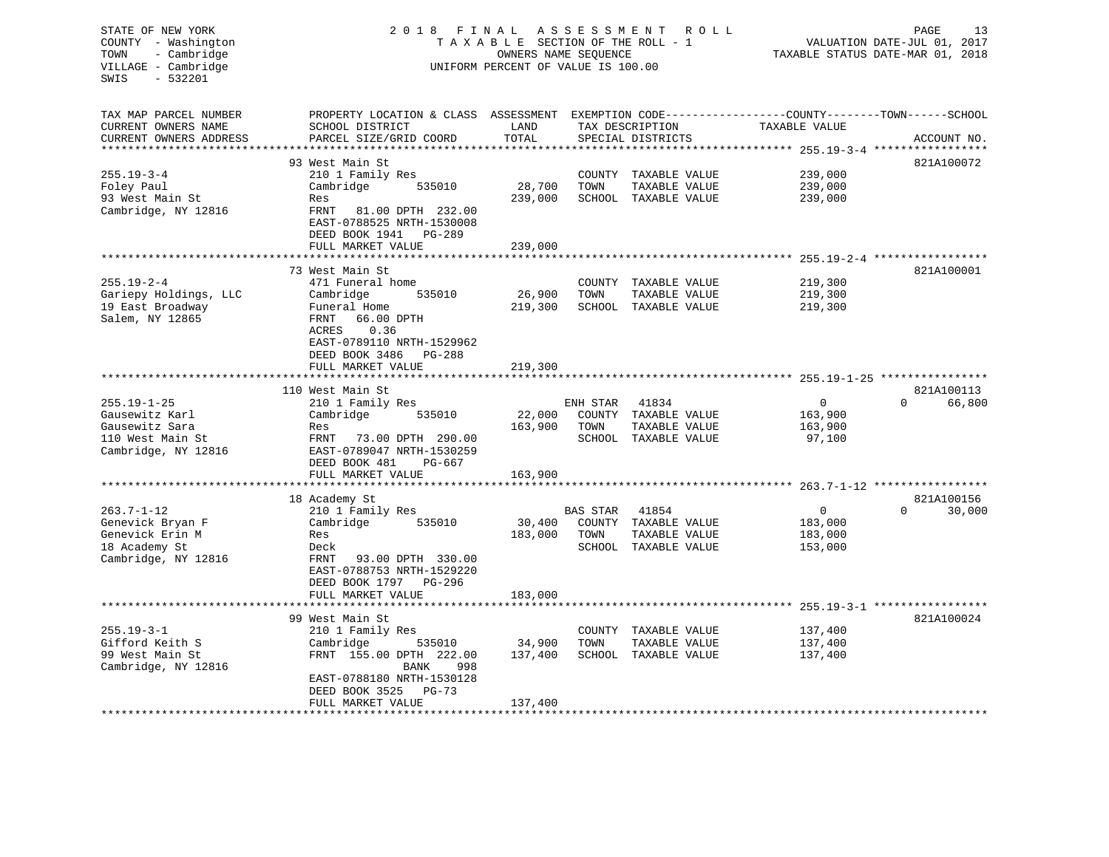VILLAGE - Cambridge  $U$  on the UNIFORM PERCENT OF VALUE IS 100.00 SWIS - 532201TAX MAP PARCEL NUMBER PROPERTY LOCATION & CLASS ASSESSMENT EXEMPTION CODE------------------COUNTY--------TOWN------SCHOOL CURRENT OWNERS NAME SCHOOL DISTRICT LAND TAX DESCRIPTION TAXABLE VALUECURRENT OWNERS ADDRESS PARCEL SIZE/GRID COORD TOTAL SPECIAL DISTRICTS ACCOUNT NO. \*\*\*\*\*\*\*\*\*\*\*\*\*\*\*\*\*\*\*\*\*\*\*\*\*\*\*\*\*\*\*\*\*\*\*\*\*\*\*\*\*\*\*\*\*\*\*\*\*\*\*\*\*\*\*\*\*\*\*\*\*\*\*\*\*\*\*\*\*\*\*\*\*\*\*\*\*\*\*\*\*\*\*\*\*\*\*\*\*\*\*\*\*\*\*\*\*\*\*\*\*\*\* 255.19-3-4 \*\*\*\*\*\*\*\*\*\*\*\*\*\*\*\*\*

DEED BOOK 3525 PG-73

FULL MARKET VALUE 137,400

93 West Main St 821A100072 255.19-3-4 210 1 Family Res COUNTY TAXABLE VALUE 239,000 Foley Paul Cambridge 535010 28,700 TOWN TAXABLE VALUE 239,000 93 West Main St Res 239,000 SCHOOL TAXABLE VALUE 239,000 Cambridge, NY 12816 FRNT 81.00 DPTH 232.00 EAST-0788525 NRTH-1530008 DEED BOOK 1941 PG-289 FULL MARKET VALUE 239,000 \*\*\*\*\*\*\*\*\*\*\*\*\*\*\*\*\*\*\*\*\*\*\*\*\*\*\*\*\*\*\*\*\*\*\*\*\*\*\*\*\*\*\*\*\*\*\*\*\*\*\*\*\*\*\*\*\*\*\*\*\*\*\*\*\*\*\*\*\*\*\*\*\*\*\*\*\*\*\*\*\*\*\*\*\*\*\*\*\*\*\*\*\*\*\*\*\*\*\*\*\*\*\* 255.19-2-4 \*\*\*\*\*\*\*\*\*\*\*\*\*\*\*\*\*821A100001 73 West Main St 255.19-2-4 471 Funeral home COUNTY TAXABLE VALUE 219,300 Gariepy Holdings, LLC Cambridge 535010 26,900 TOWN TAXABLE VALUE 219,300 19 East Broadway Funeral Home 219,300 SCHOOL TAXABLE VALUE 219,300 Salem, NY 12865 FRNT 66.00 DPTH ACRES 0.36 EAST-0789110 NRTH-1529962 DEED BOOK 3486 PG-288FULL MARKET VALUE 219,300 \*\*\*\*\*\*\*\*\*\*\*\*\*\*\*\*\*\*\*\*\*\*\*\*\*\*\*\*\*\*\*\*\*\*\*\*\*\*\*\*\*\*\*\*\*\*\*\*\*\*\*\*\*\*\*\*\*\*\*\*\*\*\*\*\*\*\*\*\*\*\*\*\*\*\*\*\*\*\*\*\*\*\*\*\*\*\*\*\*\*\*\*\*\*\*\*\*\*\*\*\*\*\* 255.19-1-25 \*\*\*\*\*\*\*\*\*\*\*\*\*\*\*\*110 West Main St 821A100113 255.19-1-25 210 1 Family Res ENH STAR 41834 0 0 66,800 Gausewitz Karl Cambridge 535010 22,000 COUNTY TAXABLE VALUE 163,900 Gausewitz Sara Res 163,900 TOWN TAXABLE VALUE 163,900 110 West Main St FRNT 73.00 DPTH 290.00 SCHOOL TAXABLE VALUE 97,100 Cambridge, NY 12816 EAST-0789047 NRTH-1530259 DEED BOOK 481 PG-667FULL MARKET VALUE 163,900 \*\*\*\*\*\*\*\*\*\*\*\*\*\*\*\*\*\*\*\*\*\*\*\*\*\*\*\*\*\*\*\*\*\*\*\*\*\*\*\*\*\*\*\*\*\*\*\*\*\*\*\*\*\*\*\*\*\*\*\*\*\*\*\*\*\*\*\*\*\*\*\*\*\*\*\*\*\*\*\*\*\*\*\*\*\*\*\*\*\*\*\*\*\*\*\*\*\*\*\*\*\*\* 263.7-1-12 \*\*\*\*\*\*\*\*\*\*\*\*\*\*\*\*\*18 Academy St 821A100156 263.7-1-12 210 1 Family Res BAS STAR 41854 0 0 30,000 Genevick Bryan F Cambridge 535010 30,400 COUNTY TAXABLE VALUE 183,000 Genevick Erin M **Res** 183,000 TOWN TAXABLE VALUE 183,000 18 Academy St Deck SCHOOL TAXABLE VALUE 153,000 Cambridge, NY 12816 FRNT 93.00 DPTH 330.00 EAST-0788753 NRTH-1529220 DEED BOOK 1797 PG-296 FULL MARKET VALUE 183,000 \*\*\*\*\*\*\*\*\*\*\*\*\*\*\*\*\*\*\*\*\*\*\*\*\*\*\*\*\*\*\*\*\*\*\*\*\*\*\*\*\*\*\*\*\*\*\*\*\*\*\*\*\*\*\*\*\*\*\*\*\*\*\*\*\*\*\*\*\*\*\*\*\*\*\*\*\*\*\*\*\*\*\*\*\*\*\*\*\*\*\*\*\*\*\*\*\*\*\*\*\*\*\* 255.19-3-1 \*\*\*\*\*\*\*\*\*\*\*\*\*\*\*\*\* 99 West Main St 821A100024255.19-3-1 210 1 Family Res COUNTY TAXABLE VALUE 137,400 Gifford Keith S Cambridge 535010 34,900 TOWN TAXABLE VALUE 137,400 99 West Main St FRNT 155.00 DPTH 222.00 137,400 SCHOOL TAXABLE VALUE 137,400 Cambridge, NY 12816 BANK 998 EAST-0788180 NRTH-1530128

\*\*\*\*\*\*\*\*\*\*\*\*\*\*\*\*\*\*\*\*\*\*\*\*\*\*\*\*\*\*\*\*\*\*\*\*\*\*\*\*\*\*\*\*\*\*\*\*\*\*\*\*\*\*\*\*\*\*\*\*\*\*\*\*\*\*\*\*\*\*\*\*\*\*\*\*\*\*\*\*\*\*\*\*\*\*\*\*\*\*\*\*\*\*\*\*\*\*\*\*\*\*\*\*\*\*\*\*\*\*\*\*\*\*\*\*\*\*\*\*\*\*\*\*\*\*\*\*\*\*\*\*

STATE OF NEW YORK 2 0 1 8 F I N A L A S S E S S M E N T R O L L PAGE 13 COUNTY - Washington T A X A B L E SECTION OF THE ROLL - 1 VALUATION DATE-JUL 01, 2017 TOWN - Cambridge **OWNERS NAME SEQUENCE TAXABLE STATUS DATE-MAR 01, 2018**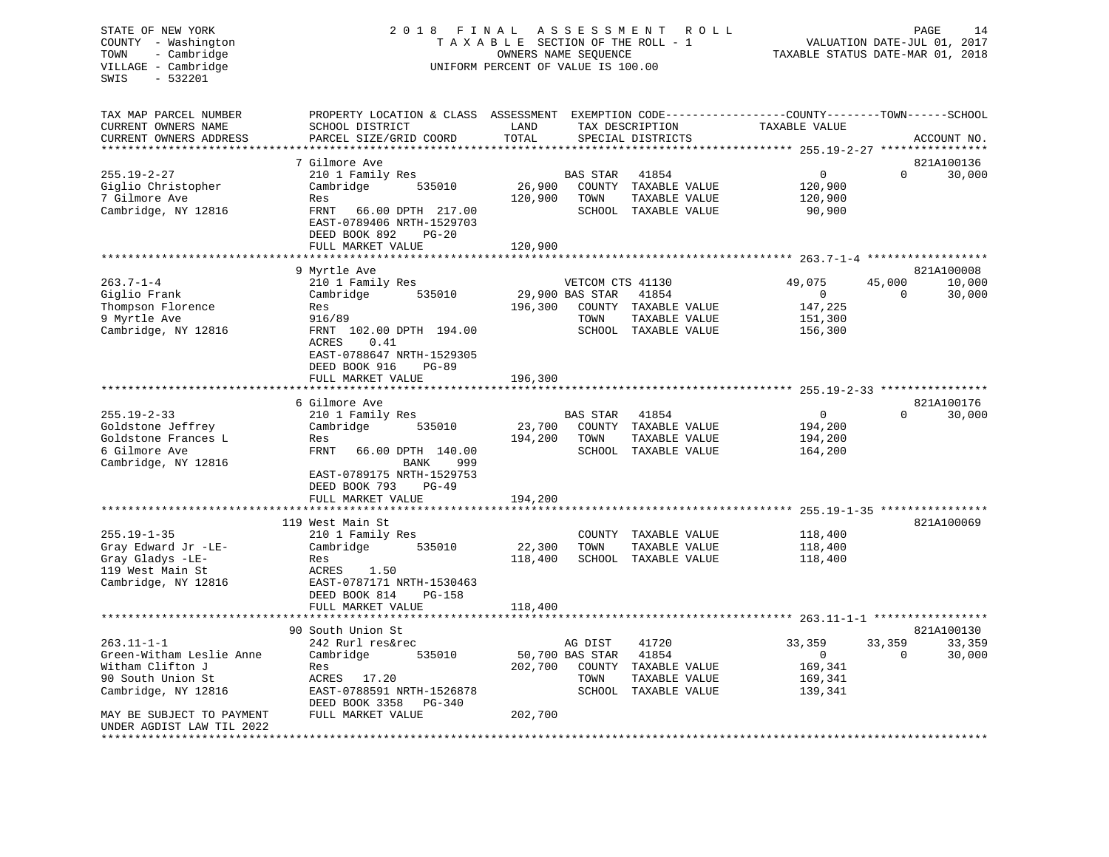# STATE OF NEW YORK 2 0 1 8 F I N A L A S S E S S M E N T R O L L PAGE 14 COUNTY - Washington T A X A B L E SECTION OF THE ROLL - 1 VALUATION DATE-JUL 01, 2017 TOWN - Cambridge OWNERS NAME SEQUENCE TAXABLE STATUS DATE-MAR 01, 2018 UNIFORM PERCENT OF VALUE IS 100.00

| TAX MAP PARCEL NUMBER                         | PROPERTY LOCATION & CLASS ASSESSMENT    |         |                    | EXEMPTION CODE-----------------COUNTY-------TOWN------SCHOOL |                                        |             |                      |
|-----------------------------------------------|-----------------------------------------|---------|--------------------|--------------------------------------------------------------|----------------------------------------|-------------|----------------------|
| CURRENT OWNERS NAME                           | SCHOOL DISTRICT                         | LAND    |                    | TAX DESCRIPTION                                              | TAXABLE VALUE                          |             |                      |
| CURRENT OWNERS ADDRESS<br>******************* | PARCEL SIZE/GRID COORD                  | TOTAL   |                    | SPECIAL DISTRICTS                                            |                                        |             | ACCOUNT NO.          |
|                                               | 7 Gilmore Ave                           |         |                    |                                                              |                                        |             | 821A100136           |
| $255.19 - 2 - 27$                             | 210 1 Family Res                        |         | <b>BAS STAR</b>    | 41854                                                        | 0                                      | $\mathbf 0$ | 30,000               |
| Giglio Christopher                            | Cambridge<br>535010                     | 26,900  | COUNTY             | TAXABLE VALUE                                                | 120,900                                |             |                      |
| 7 Gilmore Ave                                 | Res                                     | 120,900 | TOWN               | TAXABLE VALUE                                                | 120,900                                |             |                      |
| Cambridge, NY 12816                           | FRNT<br>66.00 DPTH 217.00               |         | SCHOOL             | TAXABLE VALUE                                                | 90,900                                 |             |                      |
|                                               | EAST-0789406 NRTH-1529703               |         |                    |                                                              |                                        |             |                      |
|                                               | DEED BOOK 892<br>$PG-20$                |         |                    |                                                              |                                        |             |                      |
|                                               | FULL MARKET VALUE                       | 120,900 |                    |                                                              |                                        |             |                      |
|                                               |                                         |         |                    |                                                              | ******* 263.7-1-4                      |             |                      |
| $263.7 - 1 - 4$                               | 9 Myrtle Ave<br>210 1 Family Res        |         | VETCOM CTS 41130   |                                                              | 49,075                                 | 45,000      | 821A100008<br>10,000 |
| Giglio Frank                                  | 535010<br>Cambridge                     |         | 29,900 BAS STAR    | 41854                                                        | $\overline{0}$                         | $\Omega$    | 30,000               |
| Thompson Florence                             | Res                                     | 196,300 | COUNTY             | TAXABLE VALUE                                                | 147,225                                |             |                      |
| 9 Myrtle Ave                                  | 916/89                                  |         | TOWN               | TAXABLE VALUE                                                | 151,300                                |             |                      |
| Cambridge, NY 12816                           | 102.00 DPTH 194.00<br>FRNT              |         | SCHOOL             | TAXABLE VALUE                                                | 156,300                                |             |                      |
|                                               | ACRES<br>0.41                           |         |                    |                                                              |                                        |             |                      |
|                                               | EAST-0788647 NRTH-1529305               |         |                    |                                                              |                                        |             |                      |
|                                               | DEED BOOK 916<br><b>PG-89</b>           |         |                    |                                                              |                                        |             |                      |
|                                               | FULL MARKET VALUE                       | 196,300 |                    |                                                              |                                        |             |                      |
|                                               |                                         |         |                    |                                                              | ********* 255.19-2-33 **************** |             |                      |
|                                               | 6 Gilmore Ave                           |         |                    |                                                              |                                        | $\Omega$    | 821A100176           |
| $255.19 - 2 - 33$<br>Goldstone Jeffrey        | 210 1 Family Res<br>Cambridge<br>535010 | 23,700  | BAS STAR<br>COUNTY | 41854<br>TAXABLE VALUE                                       | $\mathbf 0$<br>194,200                 |             | 30,000               |
| Goldstone Frances L                           | Res                                     | 194,200 | TOWN               | TAXABLE VALUE                                                | 194,200                                |             |                      |
| 6 Gilmore Ave                                 | FRNT<br>66.00 DPTH 140.00               |         | SCHOOL             | TAXABLE VALUE                                                | 164,200                                |             |                      |
| Cambridge, NY 12816                           | 999<br>BANK                             |         |                    |                                                              |                                        |             |                      |
|                                               | EAST-0789175 NRTH-1529753               |         |                    |                                                              |                                        |             |                      |
|                                               | DEED BOOK 793<br>$PG-49$                |         |                    |                                                              |                                        |             |                      |
|                                               | FULL MARKET VALUE                       | 194,200 |                    |                                                              |                                        |             |                      |
|                                               | ***********************                 |         |                    |                                                              |                                        |             |                      |
|                                               | 119 West Main St                        |         |                    |                                                              |                                        |             | 821A100069           |
| $255.19 - 1 - 35$<br>Gray Edward Jr -LE-      | 210 1 Family Res<br>Cambridge<br>535010 | 22,300  | COUNTY<br>TOWN     | TAXABLE VALUE<br>TAXABLE VALUE                               | 118,400<br>118,400                     |             |                      |
| Gray Gladys -LE-                              | Res                                     | 118,400 | SCHOOL             | TAXABLE VALUE                                                | 118,400                                |             |                      |
| 119 West Main St                              | 1.50<br>ACRES                           |         |                    |                                                              |                                        |             |                      |
| Cambridge, NY 12816                           | EAST-0787171 NRTH-1530463               |         |                    |                                                              |                                        |             |                      |
|                                               | DEED BOOK 814<br><b>PG-158</b>          |         |                    |                                                              |                                        |             |                      |
|                                               | FULL MARKET VALUE                       | 118,400 |                    |                                                              |                                        |             |                      |
|                                               |                                         |         |                    | ********************************* 263.11-1-1                 |                                        |             |                      |
|                                               | 90 South Union St                       |         |                    |                                                              |                                        |             | 821A100130           |
| $263.11 - 1 - 1$                              | 242 Rurl res&rec                        |         | AG DIST            | 41720                                                        | 33,359                                 | 33,359      | 33,359               |
| Green-Witham Leslie Anne                      | Cambridge<br>535010                     |         | 50,700 BAS STAR    | 41854                                                        | $\overline{0}$                         | $\Omega$    | 30,000               |
| Witham Clifton J<br>90 South Union St         | Res<br>ACRES                            | 202,700 | COUNTY<br>TOWN     | TAXABLE VALUE<br>TAXABLE VALUE                               | 169,341<br>169,341                     |             |                      |
| Cambridge, NY 12816                           | 17.20<br>EAST-0788591 NRTH-1526878      |         | SCHOOL             | TAXABLE VALUE                                                | 139,341                                |             |                      |
|                                               | DEED BOOK 3358<br>PG-340                |         |                    |                                                              |                                        |             |                      |
| MAY BE SUBJECT TO PAYMENT                     | FULL MARKET VALUE                       | 202,700 |                    |                                                              |                                        |             |                      |
| UNDER AGDIST LAW TIL 2022                     |                                         |         |                    |                                                              |                                        |             |                      |
|                                               |                                         |         |                    |                                                              |                                        |             |                      |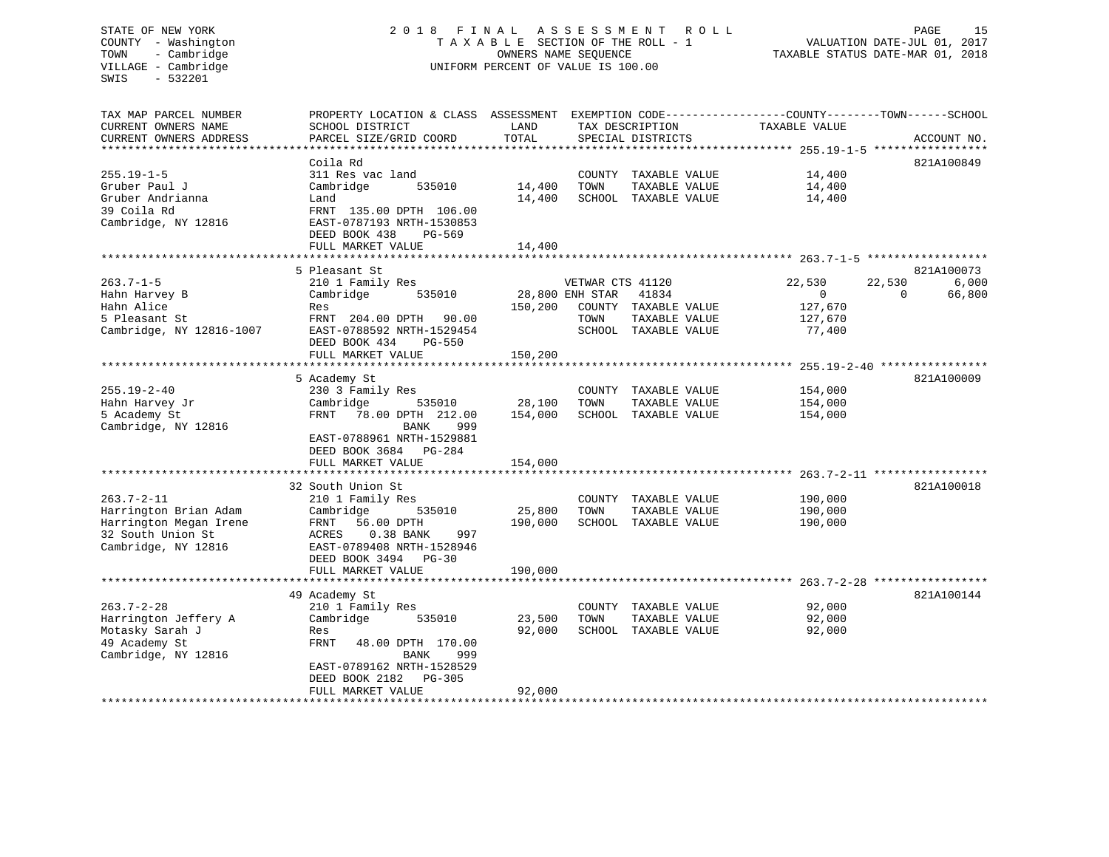# STATE OF NEW YORK 2 0 1 8 F I N A L A S S E S S M E N T R O L L PAGE 15 COUNTY - Washington T A X A B L E SECTION OF THE ROLL - 1 VALUATION DATE-JUL 01, 2017 TOWN - Cambridge OWNERS NAME SEQUENCE TAXABLE STATUS DATE-MAR 01, 2018 UNIFORM PERCENT OF VALUE IS 100.00

| TAX MAP PARCEL NUMBER<br>CURRENT OWNERS NAME<br>CURRENT OWNERS ADDRESS                                          | PROPERTY LOCATION & CLASS ASSESSMENT<br>SCHOOL DISTRICT<br>PARCEL SIZE/GRID COORD                                                                                                                                                 | LAND<br>TOTAL                | EXEMPTION CODE-----------------COUNTY-------TOWN------SCHOOL<br>TAX DESCRIPTION<br>SPECIAL DISTRICTS                  | TAXABLE VALUE                                            | ACCOUNT NO.                                         |
|-----------------------------------------------------------------------------------------------------------------|-----------------------------------------------------------------------------------------------------------------------------------------------------------------------------------------------------------------------------------|------------------------------|-----------------------------------------------------------------------------------------------------------------------|----------------------------------------------------------|-----------------------------------------------------|
| $255.19 - 1 - 5$<br>Gruber Paul J<br>Gruber Andrianna<br>39 Coila Rd<br>Cambridge, NY 12816                     | Coila Rd<br>311 Res vac land<br>Cambridge<br>535010<br>Land<br>FRNT 135.00 DPTH 106.00<br>EAST-0787193 NRTH-1530853<br>DEED BOOK 438<br>PG-569<br>FULL MARKET VALUE<br>************************                                   | 14,400<br>14,400<br>14,400   | COUNTY TAXABLE VALUE<br>TOWN<br>TAXABLE VALUE<br>SCHOOL TAXABLE VALUE                                                 | 14,400<br>14,400<br>14,400                               | 821A100849                                          |
| $263.7 - 1 - 5$<br>Hahn Harvey B<br>Hahn Alice<br>5 Pleasant St<br>Cambridge, NY 12816-1007                     | 5 Pleasant St<br>210 1 Family Res<br>Cambridge<br>535010<br>Res<br>FRNT 204.00 DPTH 90.00<br>EAST-0788592 NRTH-1529454<br>DEED BOOK 434<br>PG-550<br>FULL MARKET VALUE                                                            | 150,200<br>150,200           | VETWAR CTS 41120<br>28,800 ENH STAR<br>41834<br>COUNTY TAXABLE VALUE<br>TOWN<br>TAXABLE VALUE<br>SCHOOL TAXABLE VALUE | 22,530<br>$\overline{0}$<br>127,670<br>127,670<br>77,400 | 821A100073<br>22,530<br>6,000<br>66,800<br>$\Omega$ |
| $255.19 - 2 - 40$<br>Hahn Harvey Jr<br>5 Academy St<br>Cambridge, NY 12816                                      | 5 Academy St<br>230 3 Family Res<br>Cambridge<br>535010<br>78.00 DPTH 212.00<br>FRNT<br>BANK<br>999<br>EAST-0788961 NRTH-1529881<br>DEED BOOK 3684 PG-284<br>FULL MARKET VALUE                                                    | 28,100<br>154,000<br>154,000 | COUNTY TAXABLE VALUE<br>TOWN<br>TAXABLE VALUE<br>SCHOOL TAXABLE VALUE                                                 | 154,000<br>154,000<br>154,000                            | 821A100009                                          |
| $263.7 - 2 - 11$<br>Harrington Brian Adam<br>Harrington Megan Irene<br>32 South Union St<br>Cambridge, NY 12816 | 32 South Union St<br>210 1 Family Res<br>Cambridge<br>535010<br>56.00 DPTH<br>FRNT<br>0.38 BANK<br>997<br>ACRES<br>EAST-0789408 NRTH-1528946<br>DEED BOOK 3494<br>$PG-30$<br>FULL MARKET VALUE                                    | 25,800<br>190,000<br>190,000 | COUNTY TAXABLE VALUE<br>TAXABLE VALUE<br>TOWN<br>SCHOOL TAXABLE VALUE                                                 | 190,000<br>190,000<br>190,000                            | 821A100018                                          |
| $263.7 - 2 - 28$<br>Harrington Jeffery A<br>Motasky Sarah J<br>49 Academy St<br>Cambridge, NY 12816             | **********************************<br>49 Academy St<br>210 1 Family Res<br>Cambridge<br>535010<br>Res<br>FRNT<br>48.00 DPTH 170.00<br>999<br>BANK<br>EAST-0789162 NRTH-1528529<br>DEED BOOK 2182<br>$PG-305$<br>FULL MARKET VALUE | 23,500<br>92,000<br>92,000   | COUNTY TAXABLE VALUE<br>TOWN<br>TAXABLE VALUE<br>SCHOOL TAXABLE VALUE                                                 | 92,000<br>92,000<br>92,000                               | 821A100144                                          |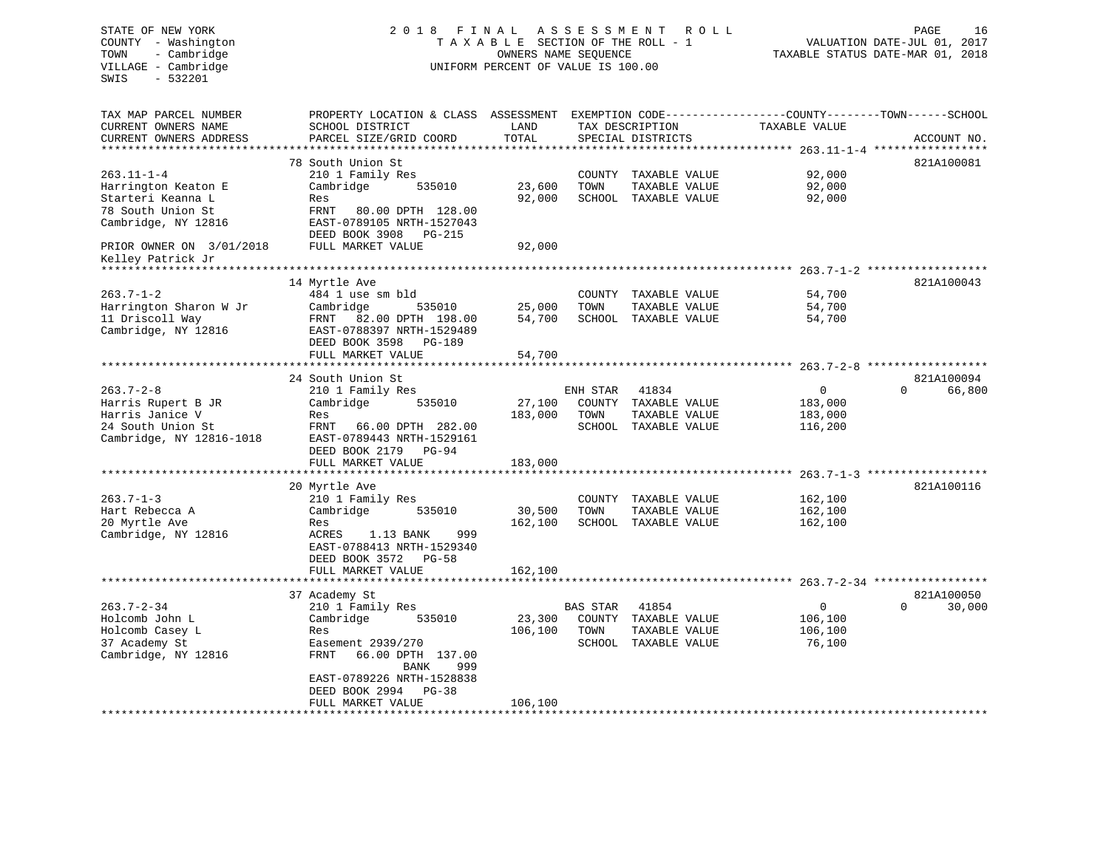#### STATE OF NEW YORK 2 0 1 8 F I N A L A S S E S S M E N T R O L L PAGE 16COUNTY - Washington  $T A X A B L E$  SECTION OF THE ROLL - 1<br>TOWN - Cambridge  $\sim$  000NERS NAME SEQUENCE TOWN - Cambridge OWNERS NAME SEQUENCE TAXABLE STATUS DATE-MAR 01, 2018 UNIFORM PERCENT OF VALUE IS 100.00

| TAX MAP PARCEL NUMBER         | PROPERTY LOCATION & CLASS ASSESSMENT |                 |          |                      | EXEMPTION CODE-----------------COUNTY-------TOWN------SCHOOL |                                    |
|-------------------------------|--------------------------------------|-----------------|----------|----------------------|--------------------------------------------------------------|------------------------------------|
| CURRENT OWNERS NAME           | SCHOOL DISTRICT                      | LAND            |          | TAX DESCRIPTION      | TAXABLE VALUE                                                |                                    |
| CURRENT OWNERS ADDRESS        | PARCEL SIZE/GRID COORD               | TOTAL           |          | SPECIAL DISTRICTS    |                                                              | ACCOUNT NO.                        |
|                               | ***********************              | *************** |          |                      |                                                              |                                    |
|                               | 78 South Union St                    |                 |          |                      |                                                              | 821A100081                         |
| $263.11 - 1 - 4$              | 210 1 Family Res                     |                 | COUNTY   | TAXABLE VALUE        | 92,000                                                       |                                    |
| Harrington Keaton E           | Cambridge<br>535010                  | 23,600          | TOWN     | TAXABLE VALUE        | 92,000                                                       |                                    |
| Starteri Keanna L             | Res                                  | 92,000          |          | SCHOOL TAXABLE VALUE | 92,000                                                       |                                    |
| 78 South Union St             | FRNT<br>80.00 DPTH 128.00            |                 |          |                      |                                                              |                                    |
| Cambridge, NY 12816           | EAST-0789105 NRTH-1527043            |                 |          |                      |                                                              |                                    |
|                               | DEED BOOK 3908<br>PG-215             |                 |          |                      |                                                              |                                    |
| PRIOR OWNER ON 3/01/2018      | FULL MARKET VALUE                    | 92,000          |          |                      |                                                              |                                    |
| Kelley Patrick Jr             |                                      |                 |          |                      |                                                              |                                    |
| * * * * * * * * * * * * * * * |                                      |                 |          |                      |                                                              |                                    |
|                               | 14 Myrtle Ave                        |                 |          |                      |                                                              | 821A100043                         |
| $263.7 - 1 - 2$               | 484 1 use sm bld                     |                 |          | COUNTY TAXABLE VALUE | 54,700                                                       |                                    |
| Harrington Sharon W Jr        | Cambridge<br>535010                  | 25,000          | TOWN     | TAXABLE VALUE        | 54,700                                                       |                                    |
| 11 Driscoll Way               | 82.00 DPTH 198.00<br>FRNT            | 54,700          |          | SCHOOL TAXABLE VALUE | 54,700                                                       |                                    |
| Cambridge, NY 12816           | EAST-0788397 NRTH-1529489            |                 |          |                      |                                                              |                                    |
|                               | DEED BOOK 3598<br><b>PG-189</b>      |                 |          |                      |                                                              |                                    |
|                               | FULL MARKET VALUE                    | 54,700          |          |                      |                                                              |                                    |
|                               | ***********************************  |                 |          |                      |                                                              |                                    |
|                               | 24 South Union St                    |                 |          |                      |                                                              | 821A100094                         |
| $263.7 - 2 - 8$               | 210 1 Family Res                     |                 | ENH STAR | 41834                | 0                                                            | $\Omega$<br>66,800                 |
| Harris Rupert B JR            | Cambridge<br>535010                  | 27,100          |          | COUNTY TAXABLE VALUE | 183,000                                                      |                                    |
| Harris Janice V               | Res                                  | 183,000         | TOWN     | TAXABLE VALUE        | 183,000                                                      |                                    |
| 24 South Union St             | FRNT<br>66.00 DPTH 282.00            |                 |          | SCHOOL TAXABLE VALUE | 116,200                                                      |                                    |
| Cambridge, NY 12816-1018      | EAST-0789443 NRTH-1529161            |                 |          |                      |                                                              |                                    |
|                               | DEED BOOK 2179<br>$PG-94$            |                 |          |                      |                                                              |                                    |
|                               | FULL MARKET VALUE                    | 183,000         |          |                      |                                                              |                                    |
|                               |                                      |                 |          |                      |                                                              | $263.7 - 1 - 3$ ****************** |
|                               | 20 Myrtle Ave                        |                 |          |                      |                                                              | 821A100116                         |
| $263.7 - 1 - 3$               | 210 1 Family Res                     |                 | COUNTY   | TAXABLE VALUE        | 162,100                                                      |                                    |
| Hart Rebecca A                | Cambridge<br>535010                  | 30,500          | TOWN     | TAXABLE VALUE        | 162,100                                                      |                                    |
| 20 Myrtle Ave                 | Res                                  | 162,100         |          | SCHOOL TAXABLE VALUE | 162,100                                                      |                                    |
| Cambridge, NY 12816           | ACRES<br>1.13 BANK<br>999            |                 |          |                      |                                                              |                                    |
|                               | EAST-0788413 NRTH-1529340            |                 |          |                      |                                                              |                                    |
|                               | DEED BOOK 3572<br>$PG-58$            |                 |          |                      |                                                              |                                    |
|                               | FULL MARKET VALUE                    | 162,100         |          |                      |                                                              |                                    |
|                               |                                      |                 |          |                      |                                                              |                                    |
|                               | 37 Academy St                        |                 |          |                      |                                                              | 821A100050                         |
| $263.7 - 2 - 34$              | 210 1 Family Res                     |                 | BAS STAR | 41854                | 0                                                            | $\Omega$<br>30,000                 |
| Holcomb John L                | Cambridge<br>535010                  | 23,300          | COUNTY   | TAXABLE VALUE        | 106,100                                                      |                                    |
| Holcomb Casey L               | Res                                  | 106,100         | TOWN     | TAXABLE VALUE        | 106,100                                                      |                                    |
| 37 Academy St                 | Easement 2939/270                    |                 |          | SCHOOL TAXABLE VALUE | 76,100                                                       |                                    |
| Cambridge, NY 12816           | <b>FRNT</b><br>66.00 DPTH 137.00     |                 |          |                      |                                                              |                                    |
|                               | 999<br>BANK                          |                 |          |                      |                                                              |                                    |
|                               | EAST-0789226 NRTH-1528838            |                 |          |                      |                                                              |                                    |
|                               | DEED BOOK 2994<br>$PG-38$            |                 |          |                      |                                                              |                                    |
|                               | FULL MARKET VALUE                    | 106,100         |          |                      |                                                              |                                    |
|                               |                                      |                 |          |                      |                                                              |                                    |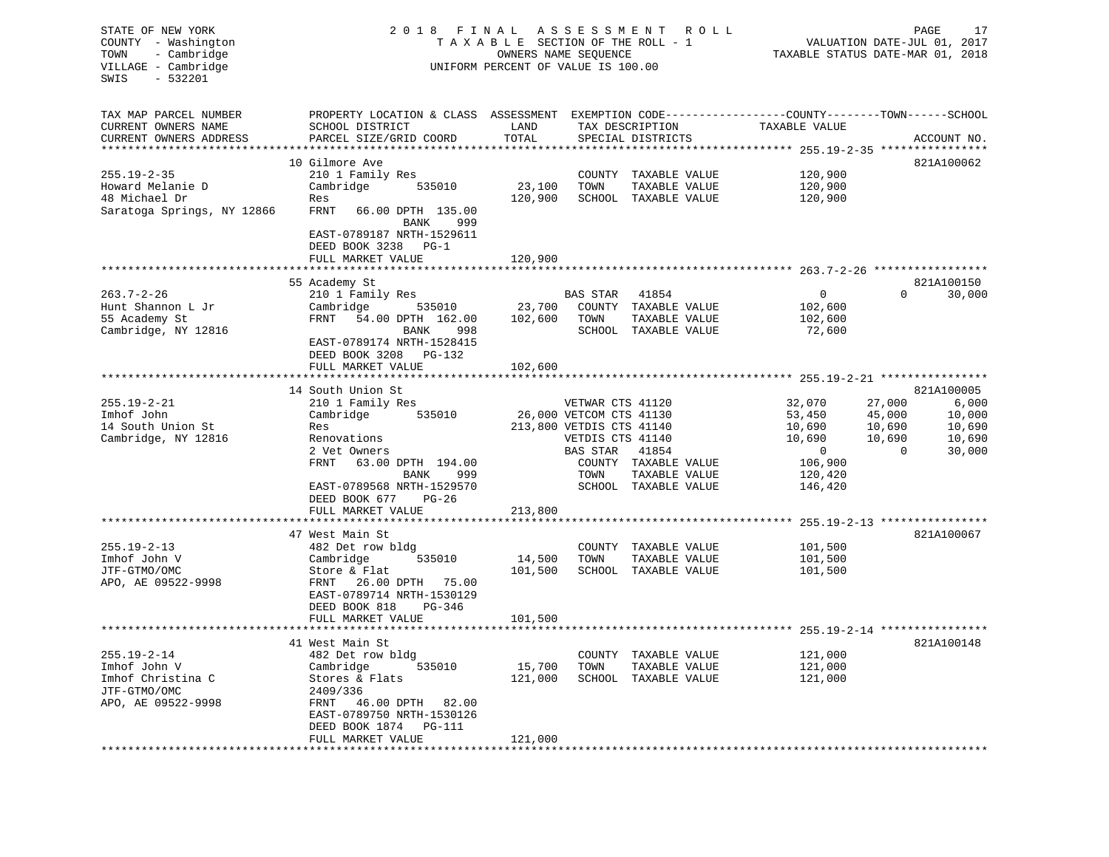| STATE OF NEW YORK<br>COUNTY - Washington<br>- Cambridge<br>TOWN<br>VILLAGE - Cambridge<br>SWIS<br>$-532201$ | 2 0 1 8                                                                                                                                                                               | FINAL ASSESSMENT<br>TAXABLE SECTION OF THE ROLL - 1<br>OWNERS NAME SEQUENCE<br>UNIFORM PERCENT OF VALUE IS 100.00 | ROLL ROLL                                                                                               | PAGE<br>17<br>VALUATION DATE-JUL 01, 2017<br>TAXABLE STATUS DATE-MAR 01, 2018 |                                                                   |                                                  |                                               |
|-------------------------------------------------------------------------------------------------------------|---------------------------------------------------------------------------------------------------------------------------------------------------------------------------------------|-------------------------------------------------------------------------------------------------------------------|---------------------------------------------------------------------------------------------------------|-------------------------------------------------------------------------------|-------------------------------------------------------------------|--------------------------------------------------|-----------------------------------------------|
| TAX MAP PARCEL NUMBER<br>CURRENT OWNERS NAME<br>CURRENT OWNERS ADDRESS                                      | PROPERTY LOCATION & CLASS ASSESSMENT EXEMPTION CODE---------------COUNTY-------TOWN------SCHOOL<br>SCHOOL DISTRICT<br>PARCEL SIZE/GRID COORD                                          | LAND<br>TOTAL                                                                                                     |                                                                                                         | TAX DESCRIPTION<br>SPECIAL DISTRICTS                                          | TAXABLE VALUE                                                     |                                                  | ACCOUNT NO.                                   |
|                                                                                                             | 10 Gilmore Ave                                                                                                                                                                        |                                                                                                                   |                                                                                                         |                                                                               |                                                                   |                                                  | 821A100062                                    |
| $255.19 - 2 - 35$<br>Howard Melanie D<br>48 Michael Dr<br>Saratoga Springs, NY 12866                        | 210 1 Family Res<br>Cambridge<br>535010<br>Res<br>FRNT<br>66.00 DPTH 135.00                                                                                                           | 23,100<br>120,900                                                                                                 | TOWN                                                                                                    | COUNTY TAXABLE VALUE<br>TAXABLE VALUE<br>SCHOOL TAXABLE VALUE                 | 120,900<br>120,900<br>120,900                                     |                                                  |                                               |
|                                                                                                             | BANK<br>999<br>EAST-0789187 NRTH-1529611<br>DEED BOOK 3238 PG-1<br>FULL MARKET VALUE                                                                                                  | 120,900                                                                                                           |                                                                                                         |                                                                               |                                                                   |                                                  |                                               |
|                                                                                                             |                                                                                                                                                                                       |                                                                                                                   |                                                                                                         |                                                                               |                                                                   |                                                  |                                               |
| $263.7 - 2 - 26$                                                                                            | 55 Academy St<br>210 1 Family Res                                                                                                                                                     |                                                                                                                   | BAS STAR                                                                                                | 41854                                                                         | $\mathbf 0$                                                       | $\Omega$                                         | 821A100150<br>30,000                          |
| Hunt Shannon L Jr<br>55 Academy St<br>Cambridge, NY 12816                                                   | Cambridge<br>535010<br>FRNT<br>54.00 DPTH 162.00<br>BANK<br>998<br>EAST-0789174 NRTH-1528415<br>DEED BOOK 3208 PG-132                                                                 | 23,700<br>102,600                                                                                                 | TOWN                                                                                                    | COUNTY TAXABLE VALUE<br>TAXABLE VALUE<br>SCHOOL TAXABLE VALUE                 | 102,600<br>102,600<br>72,600                                      |                                                  |                                               |
|                                                                                                             | FULL MARKET VALUE                                                                                                                                                                     | 102,600                                                                                                           |                                                                                                         |                                                                               |                                                                   |                                                  |                                               |
|                                                                                                             | 14 South Union St                                                                                                                                                                     |                                                                                                                   |                                                                                                         |                                                                               |                                                                   |                                                  | 821A100005                                    |
| $255.19 - 2 - 21$<br>Imhof John<br>14 South Union St<br>Cambridge, NY 12816                                 | 210 1 Family Res<br>535010<br>Cambridge<br>Res<br>Renovations<br>2 Vet Owners<br>FRNT<br>63.00 DPTH 194.00                                                                            |                                                                                                                   | VETWAR CTS 41120<br>26,000 VETCOM CTS 41130<br>213,800 VETDIS CTS 41140<br>VETDIS CTS 41140<br>BAS STAR | 41854<br>COUNTY TAXABLE VALUE                                                 | 32,070<br>53,450<br>10,690<br>10,690<br>$\overline{0}$<br>106,900 | 27,000<br>45,000<br>10,690<br>10,690<br>$\Omega$ | 6,000<br>10,000<br>10,690<br>10,690<br>30,000 |
|                                                                                                             | BANK<br>999<br>EAST-0789568 NRTH-1529570<br>DEED BOOK 677<br>PG-26<br>FULL MARKET VALUE                                                                                               | 213,800                                                                                                           | TOWN                                                                                                    | TAXABLE VALUE<br>SCHOOL TAXABLE VALUE                                         | 120,420<br>146,420                                                |                                                  |                                               |
|                                                                                                             |                                                                                                                                                                                       |                                                                                                                   |                                                                                                         |                                                                               |                                                                   |                                                  |                                               |
| $255.19 - 2 - 13$<br>Imhof John V<br>JTF-GTMO/OMC<br>APO, AE 09522-9998                                     | 47 West Main St<br>482 Det row bldg<br>Cambridge<br>535010<br>Store & Flat<br>26.00 DPTH 75.00<br>FRNT<br>EAST-0789714 NRTH-1530129<br>DEED BOOK 818<br>$PG-346$<br>FULL MARKET VALUE | 14,500<br>101,500<br>101,500                                                                                      | TOWN                                                                                                    | COUNTY TAXABLE VALUE<br>TAXABLE VALUE<br>SCHOOL TAXABLE VALUE                 | 101,500<br>101,500<br>101,500                                     |                                                  | 821A100067                                    |
|                                                                                                             |                                                                                                                                                                                       |                                                                                                                   |                                                                                                         |                                                                               |                                                                   |                                                  |                                               |
| $255.19 - 2 - 14$<br>Imhof John V<br>Imhof Christina C<br>JTF-GTMO/OMC<br>APO, AE 09522-9998                | 41 West Main St<br>482 Det row bldg<br>Cambridge<br>535010<br>Stores & Flats<br>2409/336<br>46.00 DPTH<br>82.00<br>FRNT<br>EAST-0789750 NRTH-1530126<br>DEED BOOK 1874 PG-111         | 15,700<br>121,000                                                                                                 | COUNTY<br>TOWN<br>SCHOOL                                                                                | TAXABLE VALUE<br>TAXABLE VALUE<br>TAXABLE VALUE                               | 121,000<br>121,000<br>121,000                                     |                                                  | 821A100148                                    |
|                                                                                                             | FULL MARKET VALUE<br>*****************                                                                                                                                                | 121,000<br>*********                                                                                              |                                                                                                         |                                                                               |                                                                   |                                                  |                                               |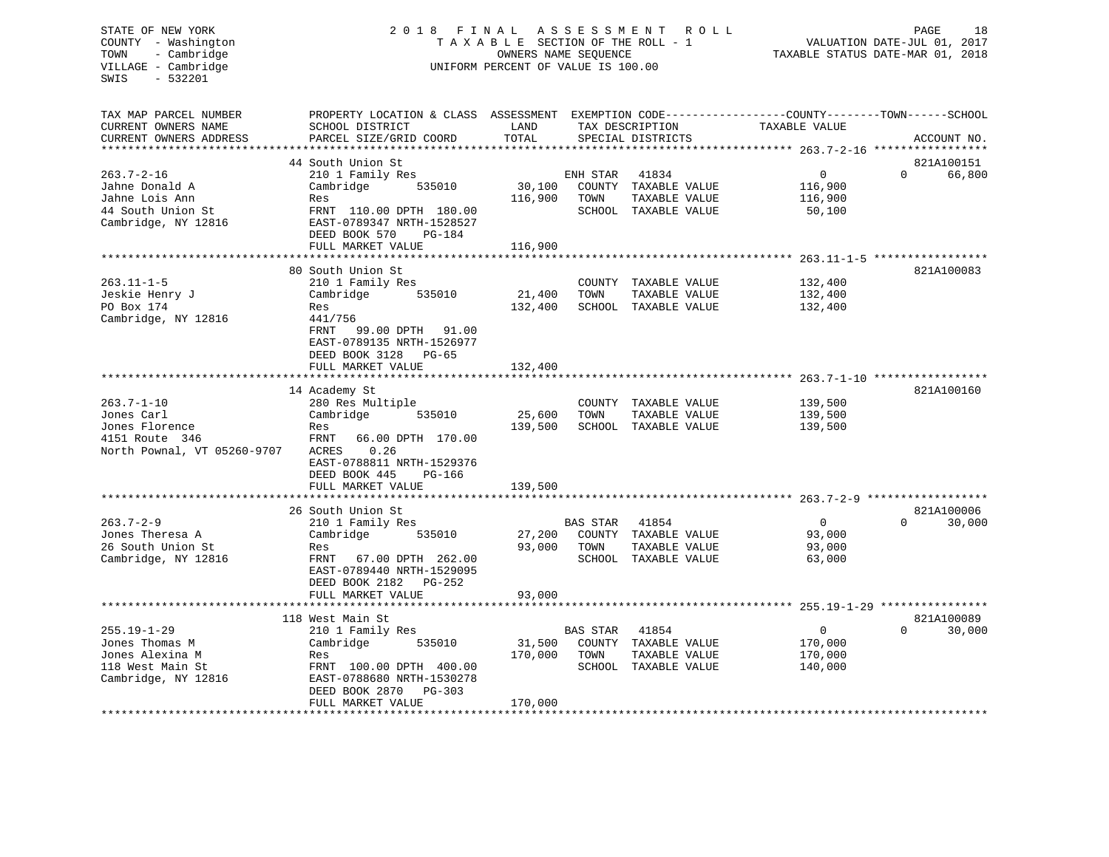#### STATE OF NEW YORK 2018 FINAL ASSESSMENT ROLL COUNTY - Washington  $T A X A B L E$  SECTION OF THE ROLL - 1<br>TOWN - Cambridge  $\sim$  000NERS NAME SEQUENCE TOWN - Cambridge OWNERS NAME SEQUENCE TAXABLE STATUS DATE-MAR 01, 2018 UNIFORM PERCENT OF VALUE IS 100.00

| TAX MAP PARCEL NUMBER            | PROPERTY LOCATION & CLASS ASSESSMENT EXEMPTION CODE----------------COUNTY-------TOWN------SCHOOL |                         |                 |                                       |                |          |             |
|----------------------------------|--------------------------------------------------------------------------------------------------|-------------------------|-----------------|---------------------------------------|----------------|----------|-------------|
| CURRENT OWNERS NAME              | SCHOOL DISTRICT                                                                                  | LAND<br>TOTAL           |                 | TAX DESCRIPTION                       | TAXABLE VALUE  |          |             |
| CURRENT OWNERS ADDRESS           | PARCEL SIZE/GRID COORD                                                                           |                         |                 | SPECIAL DISTRICTS                     |                |          | ACCOUNT NO. |
|                                  | 44 South Union St                                                                                |                         |                 |                                       |                |          | 821A100151  |
| $263.7 - 2 - 16$                 |                                                                                                  |                         |                 |                                       | $\Omega$       | $\Omega$ | 66,800      |
|                                  | 210 1 Family Res                                                                                 |                         | ENH STAR        | 41834                                 |                |          |             |
| Jahne Donald A<br>Jahne Lois Ann | Cambridge<br>535010                                                                              | 30,100<br>116,900       |                 | COUNTY TAXABLE VALUE<br>TAXABLE VALUE | 116,900        |          |             |
| 44 South Union St                | Res                                                                                              |                         | TOWN            |                                       | 116,900        |          |             |
| Cambridge, NY 12816              | FRNT 110.00 DPTH 180.00<br>EAST-0789347 NRTH-1528527                                             |                         |                 | SCHOOL TAXABLE VALUE                  | 50,100         |          |             |
|                                  | DEED BOOK 570<br>PG-184                                                                          |                         |                 |                                       |                |          |             |
|                                  | FULL MARKET VALUE                                                                                | 116,900                 |                 |                                       |                |          |             |
|                                  |                                                                                                  |                         |                 |                                       |                |          |             |
|                                  | 80 South Union St                                                                                |                         |                 |                                       |                |          | 821A100083  |
| $263.11 - 1 - 5$                 | 210 1 Family Res                                                                                 |                         |                 | COUNTY TAXABLE VALUE                  | 132,400        |          |             |
| Jeskie Henry J                   | Cambridge<br>535010                                                                              | 21,400                  | TOWN            | TAXABLE VALUE                         | 132,400        |          |             |
| PO Box 174                       | Res                                                                                              | 132,400                 |                 | SCHOOL TAXABLE VALUE                  | 132,400        |          |             |
| Cambridge, NY 12816              | 441/756                                                                                          |                         |                 |                                       |                |          |             |
|                                  | FRNT<br>99.00 DPTH<br>91.00                                                                      |                         |                 |                                       |                |          |             |
|                                  | EAST-0789135 NRTH-1526977                                                                        |                         |                 |                                       |                |          |             |
|                                  | DEED BOOK 3128 PG-65                                                                             |                         |                 |                                       |                |          |             |
|                                  | FULL MARKET VALUE                                                                                | 132,400                 |                 |                                       |                |          |             |
|                                  | **********************                                                                           | * * * * * * * * * * * * |                 |                                       |                |          |             |
|                                  | 14 Academy St                                                                                    |                         |                 |                                       |                |          | 821A100160  |
| $263.7 - 1 - 10$                 | 280 Res Multiple                                                                                 |                         |                 | COUNTY TAXABLE VALUE                  | 139,500        |          |             |
| Jones Carl                       | Cambridge<br>535010                                                                              | 25,600                  | TOWN            | TAXABLE VALUE                         | 139,500        |          |             |
| Jones Florence                   | Res                                                                                              | 139,500                 |                 | SCHOOL TAXABLE VALUE                  | 139,500        |          |             |
| 4151 Route 346                   | 66.00 DPTH 170.00<br>FRNT                                                                        |                         |                 |                                       |                |          |             |
| North Pownal, VT 05260-9707      | ACRES<br>0.26                                                                                    |                         |                 |                                       |                |          |             |
|                                  | EAST-0788811 NRTH-1529376                                                                        |                         |                 |                                       |                |          |             |
|                                  | DEED BOOK 445<br>PG-166                                                                          |                         |                 |                                       |                |          |             |
|                                  | FULL MARKET VALUE                                                                                | 139,500                 |                 |                                       |                |          |             |
|                                  |                                                                                                  |                         |                 |                                       |                |          |             |
|                                  | 26 South Union St                                                                                |                         |                 |                                       |                |          | 821A100006  |
| $263.7 - 2 - 9$                  | 210 1 Family Res                                                                                 |                         | BAS STAR        | 41854                                 | $\overline{0}$ | $\Omega$ | 30,000      |
| Jones Theresa A                  | Cambridge<br>535010                                                                              | 27,200                  |                 | COUNTY TAXABLE VALUE                  | 93,000         |          |             |
| 26 South Union St                | Res                                                                                              | 93,000                  | TOWN            | TAXABLE VALUE                         | 93,000         |          |             |
| Cambridge, NY 12816              | 67.00 DPTH 262.00<br>FRNT                                                                        |                         |                 | SCHOOL TAXABLE VALUE                  | 63,000         |          |             |
|                                  | EAST-0789440 NRTH-1529095                                                                        |                         |                 |                                       |                |          |             |
|                                  | DEED BOOK 2182<br>PG-252                                                                         |                         |                 |                                       |                |          |             |
|                                  | FULL MARKET VALUE                                                                                | 93,000                  |                 |                                       |                |          |             |
|                                  | ***********************                                                                          | ***********             |                 |                                       |                |          |             |
|                                  | 118 West Main St                                                                                 |                         |                 |                                       |                |          | 821A100089  |
| $255.19 - 1 - 29$                | 210 1 Family Res                                                                                 |                         | <b>BAS STAR</b> | 41854                                 | $\overline{0}$ | $\Omega$ | 30,000      |
| Jones Thomas M                   | Cambridge<br>535010                                                                              | 31,500                  |                 | COUNTY TAXABLE VALUE                  | 170,000        |          |             |
| Jones Alexina M                  | Res                                                                                              | 170,000                 | TOWN            | TAXABLE VALUE                         | 170,000        |          |             |
| 118 West Main St                 | FRNT 100.00 DPTH 400.00                                                                          |                         |                 | SCHOOL TAXABLE VALUE                  | 140,000        |          |             |
| Cambridge, NY 12816              | EAST-0788680 NRTH-1530278                                                                        |                         |                 |                                       |                |          |             |
|                                  | DEED BOOK 2870<br>PG-303                                                                         |                         |                 |                                       |                |          |             |
|                                  | FULL MARKET VALUE                                                                                | 170,000                 |                 |                                       |                |          |             |
|                                  |                                                                                                  |                         |                 |                                       |                |          |             |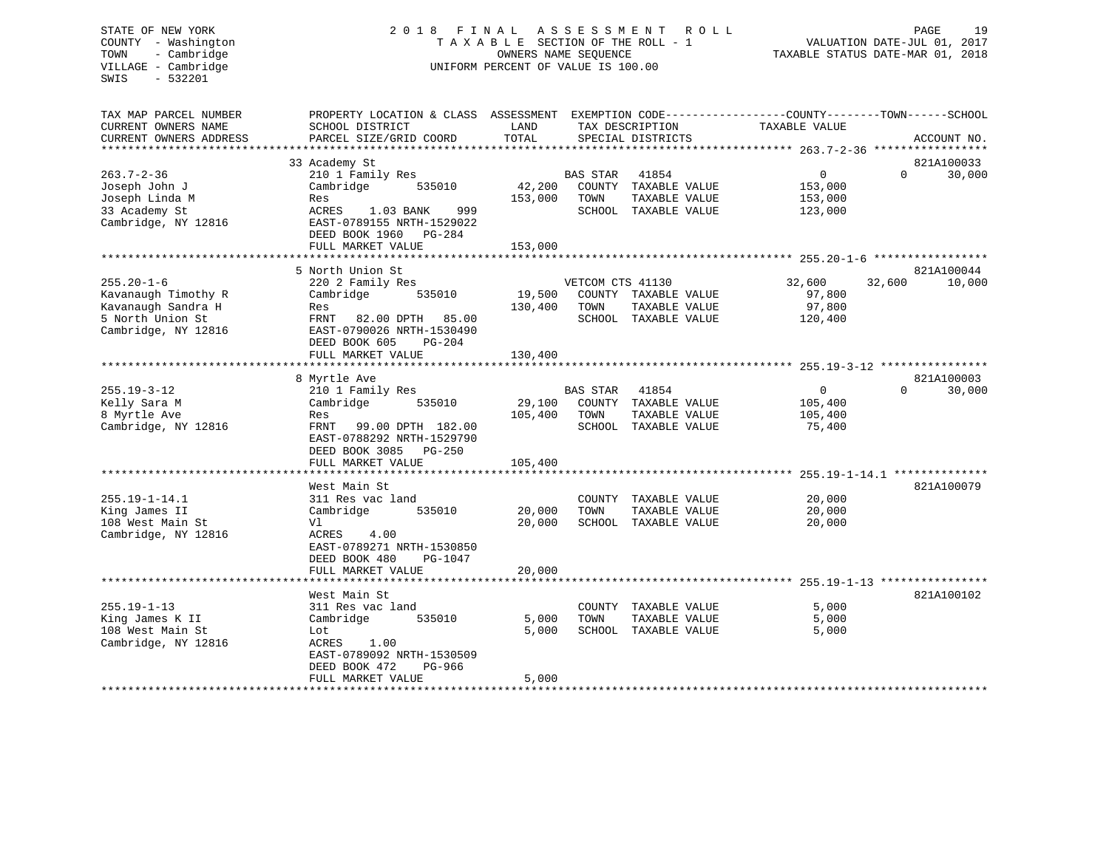#### STATE OF NEW YORK 2 0 1 8 F I N A L A S S E S S M E N T R O L L PAGE 19COUNTY - Washington  $T A X A B L E$  SECTION OF THE ROLL - 1<br>TOWN - Cambridge  $\sim$  000NERS NAME SEQUENCE TOWN - Cambridge OWNERS NAME SEQUENCE TAXABLE STATUS DATE-MAR 01, 2018 UNIFORM PERCENT OF VALUE IS 100.00

| TAX MAP PARCEL NUMBER  | PROPERTY LOCATION & CLASS ASSESSMENT          |         |                  |                      | EXEMPTION CODE-----------------COUNTY-------TOWN------SCHOOL |          |             |
|------------------------|-----------------------------------------------|---------|------------------|----------------------|--------------------------------------------------------------|----------|-------------|
| CURRENT OWNERS NAME    | SCHOOL DISTRICT                               | LAND    |                  | TAX DESCRIPTION      | TAXABLE VALUE                                                |          |             |
| CURRENT OWNERS ADDRESS | PARCEL SIZE/GRID COORD                        | TOTAL   |                  | SPECIAL DISTRICTS    |                                                              |          | ACCOUNT NO. |
|                        |                                               |         |                  |                      |                                                              |          |             |
|                        | 33 Academy St                                 |         |                  |                      |                                                              |          | 821A100033  |
| $263.7 - 2 - 36$       | 210 1 Family Res                              |         | <b>BAS STAR</b>  | 41854                | $\Omega$                                                     | $\Omega$ | 30,000      |
| Joseph John J          | Cambridge<br>535010                           | 42,200  |                  | COUNTY TAXABLE VALUE | 153,000                                                      |          |             |
| Joseph Linda M         | Res                                           | 153,000 | TOWN             | TAXABLE VALUE        | 153,000                                                      |          |             |
| 33 Academy St          | ACRES<br>1.03 BANK<br>999                     |         |                  | SCHOOL TAXABLE VALUE | 123,000                                                      |          |             |
| Cambridge, NY 12816    | EAST-0789155 NRTH-1529022                     |         |                  |                      |                                                              |          |             |
|                        | DEED BOOK 1960<br>$PG-284$                    |         |                  |                      |                                                              |          |             |
|                        | FULL MARKET VALUE                             | 153,000 |                  |                      |                                                              |          |             |
|                        |                                               |         |                  |                      |                                                              |          |             |
|                        | 5 North Union St                              |         |                  |                      |                                                              |          | 821A100044  |
| $255.20 - 1 - 6$       | 220 2 Family Res                              |         | VETCOM CTS 41130 |                      | 32,600                                                       | 32,600   | 10,000      |
| Kavanaugh Timothy R    | Cambridge<br>535010                           | 19,500  |                  | COUNTY TAXABLE VALUE | 97,800                                                       |          |             |
| Kavanaugh Sandra H     | Res                                           | 130,400 | TOWN             | TAXABLE VALUE        | 97,800                                                       |          |             |
| 5 North Union St       | FRNT<br>82.00 DPTH<br>85.00                   |         |                  | SCHOOL TAXABLE VALUE | 120,400                                                      |          |             |
| Cambridge, NY 12816    | EAST-0790026 NRTH-1530490                     |         |                  |                      |                                                              |          |             |
|                        | DEED BOOK 605<br>$PG-204$                     |         |                  |                      |                                                              |          |             |
|                        | FULL MARKET VALUE                             | 130,400 |                  |                      |                                                              |          |             |
|                        |                                               |         |                  |                      |                                                              |          |             |
|                        | 8 Myrtle Ave                                  |         |                  |                      |                                                              |          | 821A100003  |
| $255.19 - 3 - 12$      | 210 1 Family Res                              |         | <b>BAS STAR</b>  | 41854                | $\overline{0}$                                               | $\Omega$ | 30,000      |
| Kelly Sara M           | Cambridge<br>535010                           | 29,100  |                  | COUNTY TAXABLE VALUE | 105,400                                                      |          |             |
| 8 Myrtle Ave           | Res                                           | 105,400 | TOWN             | TAXABLE VALUE        | 105,400                                                      |          |             |
| Cambridge, NY 12816    | FRNT<br>99.00 DPTH 182.00                     |         | SCHOOL           | TAXABLE VALUE        | 75,400                                                       |          |             |
|                        | EAST-0788292 NRTH-1529790                     |         |                  |                      |                                                              |          |             |
|                        | DEED BOOK 3085<br>PG-250                      |         |                  |                      |                                                              |          |             |
|                        | FULL MARKET VALUE<br>*****************        | 105,400 |                  |                      |                                                              |          |             |
|                        |                                               |         |                  |                      | ********** 255.19-1-14.1 ************                        |          |             |
|                        | West Main St                                  |         |                  |                      |                                                              |          | 821A100079  |
| $255.19 - 1 - 14.1$    | 311 Res vac land                              |         | COUNTY           | TAXABLE VALUE        | 20,000                                                       |          |             |
| King James II          | Cambridge<br>535010                           | 20,000  | TOWN             | TAXABLE VALUE        | 20,000                                                       |          |             |
| 108 West Main St       | Vl<br><b>ACRES</b><br>4.00                    | 20,000  | SCHOOL           | TAXABLE VALUE        | 20,000                                                       |          |             |
| Cambridge, NY 12816    |                                               |         |                  |                      |                                                              |          |             |
|                        | EAST-0789271 NRTH-1530850                     |         |                  |                      |                                                              |          |             |
|                        | DEED BOOK 480<br>PG-1047<br>FULL MARKET VALUE | 20,000  |                  |                      |                                                              |          |             |
|                        |                                               |         |                  |                      |                                                              |          |             |
|                        | West Main St                                  |         |                  |                      |                                                              |          | 821A100102  |
| $255.19 - 1 - 13$      | 311 Res vac land                              |         |                  | COUNTY TAXABLE VALUE | 5,000                                                        |          |             |
| King James K II        | Cambridge<br>535010                           | 5,000   | TOWN             | TAXABLE VALUE        | 5,000                                                        |          |             |
| 108 West Main St       | Lot                                           | 5,000   |                  | SCHOOL TAXABLE VALUE | 5,000                                                        |          |             |
| Cambridge, NY 12816    | 1.00<br>ACRES                                 |         |                  |                      |                                                              |          |             |
|                        | EAST-0789092 NRTH-1530509                     |         |                  |                      |                                                              |          |             |
|                        | DEED BOOK 472<br>PG-966                       |         |                  |                      |                                                              |          |             |
|                        | FULL MARKET VALUE                             | 5,000   |                  |                      |                                                              |          |             |
|                        | **********************                        |         |                  |                      |                                                              |          |             |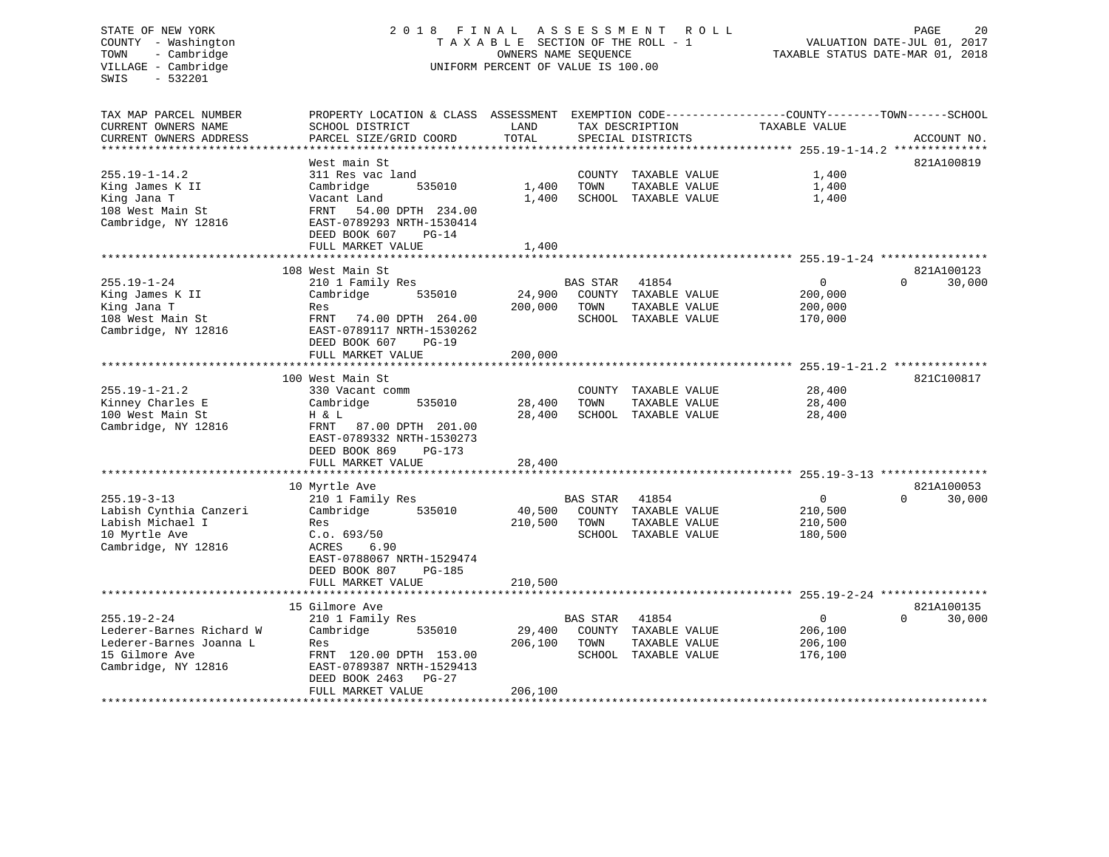STATE OF NEW YORK 20 18 FINAL ASSESSMENT ROLL PAGE 20 COUNTY - Washington  $T A X A B L E$  SECTION OF THE ROLL - 1<br>TOWN - Cambridge  $\sim$  000NERS NAME SEQUENCE TOWN - Cambridge OWNERS NAME SEQUENCE TAXABLE STATUS DATE-MAR 01, 2018 SWIS - 532201 108 West Main St FRNT 54.00 DPTH 234.00Cambridge, NY 12816 EAST-0789293 NRTH-1530414

# UNIFORM PERCENT OF VALUE IS 100.00

VALUATION DATE-JUL 01, 2017

| TAX MAP PARCEL NUMBER<br>CURRENT OWNERS NAME<br>CURRENT OWNERS ADDRESS | PROPERTY LOCATION & CLASS ASSESSMENT<br>SCHOOL DISTRICT<br>PARCEL SIZE/GRID COORD | LAND<br>TOTAL             |                 | TAX DESCRIPTION<br>SPECIAL DISTRICTS  | EXEMPTION CODE-----------------COUNTY-------TOWN------SCHOOL<br>TAXABLE VALUE | ACCOUNT NO.        |
|------------------------------------------------------------------------|-----------------------------------------------------------------------------------|---------------------------|-----------------|---------------------------------------|-------------------------------------------------------------------------------|--------------------|
|                                                                        |                                                                                   |                           |                 |                                       |                                                                               |                    |
|                                                                        | West main St                                                                      |                           |                 |                                       |                                                                               | 821A100819         |
| $255.19 - 1 - 14.2$                                                    | 311 Res vac land                                                                  |                           |                 | COUNTY TAXABLE VALUE                  | 1,400                                                                         |                    |
| King James K II<br>King Jana T                                         | Cambridge<br>535010<br>Vacant Land                                                | 1,400<br>1,400            | TOWN            | TAXABLE VALUE<br>SCHOOL TAXABLE VALUE | 1,400<br>1,400                                                                |                    |
| 108 West Main St                                                       | 54.00 DPTH 234.00<br>FRNT                                                         |                           |                 |                                       |                                                                               |                    |
| Cambridge, NY 12816                                                    | EAST-0789293 NRTH-1530414                                                         |                           |                 |                                       |                                                                               |                    |
|                                                                        | DEED BOOK 607<br>$PG-14$                                                          |                           |                 |                                       |                                                                               |                    |
|                                                                        | FULL MARKET VALUE                                                                 | 1,400                     |                 |                                       |                                                                               |                    |
|                                                                        | **********************                                                            | ***********               |                 |                                       | ******************************* 255.19-1-24 ****************                  |                    |
|                                                                        | 108 West Main St                                                                  |                           |                 |                                       |                                                                               | 821A100123         |
| $255.19 - 1 - 24$                                                      | 210 1 Family Res                                                                  |                           | <b>BAS STAR</b> | 41854                                 | $\mathbf 0$                                                                   | $\Omega$<br>30,000 |
| King James K II                                                        | Cambridge<br>535010                                                               | 24,900                    |                 | COUNTY TAXABLE VALUE                  | 200,000                                                                       |                    |
| King Jana T                                                            | Res                                                                               | 200,000                   | TOWN            | TAXABLE VALUE                         | 200,000                                                                       |                    |
| 108 West Main St                                                       | FRNT<br>74.00 DPTH 264.00                                                         |                           |                 | SCHOOL TAXABLE VALUE                  | 170,000                                                                       |                    |
| Cambridge, NY 12816                                                    | EAST-0789117 NRTH-1530262                                                         |                           |                 |                                       |                                                                               |                    |
|                                                                        | DEED BOOK 607<br>$PG-19$                                                          |                           |                 |                                       |                                                                               |                    |
|                                                                        | FULL MARKET VALUE                                                                 | 200,000<br>************** |                 |                                       | *********** 255.19-1-21.2                                                     |                    |
|                                                                        | 100 West Main St                                                                  |                           |                 |                                       |                                                                               | 821C100817         |
| $255.19 - 1 - 21.2$                                                    | 330 Vacant comm                                                                   |                           |                 | COUNTY TAXABLE VALUE                  | 28,400                                                                        |                    |
| Kinney Charles E                                                       | Cambridge<br>535010                                                               | 28,400                    | TOWN            | TAXABLE VALUE                         | 28,400                                                                        |                    |
| 100 West Main St                                                       | H & L                                                                             | 28,400                    |                 | SCHOOL TAXABLE VALUE                  | 28,400                                                                        |                    |
| Cambridge, NY 12816                                                    | FRNT<br>87.00 DPTH 201.00                                                         |                           |                 |                                       |                                                                               |                    |
|                                                                        | EAST-0789332 NRTH-1530273                                                         |                           |                 |                                       |                                                                               |                    |
|                                                                        | DEED BOOK 869<br>$PG-173$                                                         |                           |                 |                                       |                                                                               |                    |
|                                                                        | FULL MARKET VALUE                                                                 | 28,400                    |                 |                                       |                                                                               |                    |
|                                                                        | ********************                                                              |                           |                 |                                       | ********************************** 255.19-3-13 **********                     |                    |
|                                                                        | 10 Myrtle Ave                                                                     |                           |                 |                                       |                                                                               | 821A100053         |
| $255.19 - 3 - 13$                                                      | 210 1 Family Res                                                                  |                           | <b>BAS STAR</b> | 41854                                 | $\overline{0}$                                                                | 30,000<br>$\Omega$ |
| Labish Cynthia Canzeri                                                 | Cambridge<br>535010                                                               | 40,500                    |                 | COUNTY TAXABLE VALUE                  | 210,500                                                                       |                    |
| Labish Michael I                                                       | Res                                                                               | 210,500                   | TOWN            | TAXABLE VALUE                         | 210,500                                                                       |                    |
| 10 Myrtle Ave<br>Cambridge, NY 12816                                   | C.0.693/50<br>ACRES<br>6.90                                                       |                           |                 | SCHOOL TAXABLE VALUE                  | 180,500                                                                       |                    |
|                                                                        | EAST-0788067 NRTH-1529474                                                         |                           |                 |                                       |                                                                               |                    |
|                                                                        | DEED BOOK 807<br>PG-185                                                           |                           |                 |                                       |                                                                               |                    |
|                                                                        | FULL MARKET VALUE                                                                 | 210,500                   |                 |                                       |                                                                               |                    |
|                                                                        | *********************                                                             | ************              |                 |                                       |                                                                               |                    |
|                                                                        | 15 Gilmore Ave                                                                    |                           |                 |                                       |                                                                               | 821A100135         |
| $255.19 - 2 - 24$                                                      | 210 1 Family Res                                                                  |                           | <b>BAS STAR</b> | 41854                                 | 0                                                                             | $\Omega$<br>30,000 |
| Lederer-Barnes Richard W                                               | Cambridge<br>535010                                                               | 29,400                    |                 | COUNTY TAXABLE VALUE                  | 206,100                                                                       |                    |
| Lederer-Barnes Joanna L                                                | Res                                                                               | 206,100                   | TOWN            | TAXABLE VALUE                         | 206,100                                                                       |                    |
| 15 Gilmore Ave                                                         | FRNT 120.00 DPTH 153.00                                                           |                           |                 | SCHOOL TAXABLE VALUE                  | 176,100                                                                       |                    |
| Cambridge, NY 12816                                                    | EAST-0789387 NRTH-1529413                                                         |                           |                 |                                       |                                                                               |                    |
|                                                                        | DEED BOOK 2463<br>$PG-27$                                                         |                           |                 |                                       |                                                                               |                    |
|                                                                        | FULL MARKET VALUE                                                                 | 206,100                   |                 |                                       |                                                                               |                    |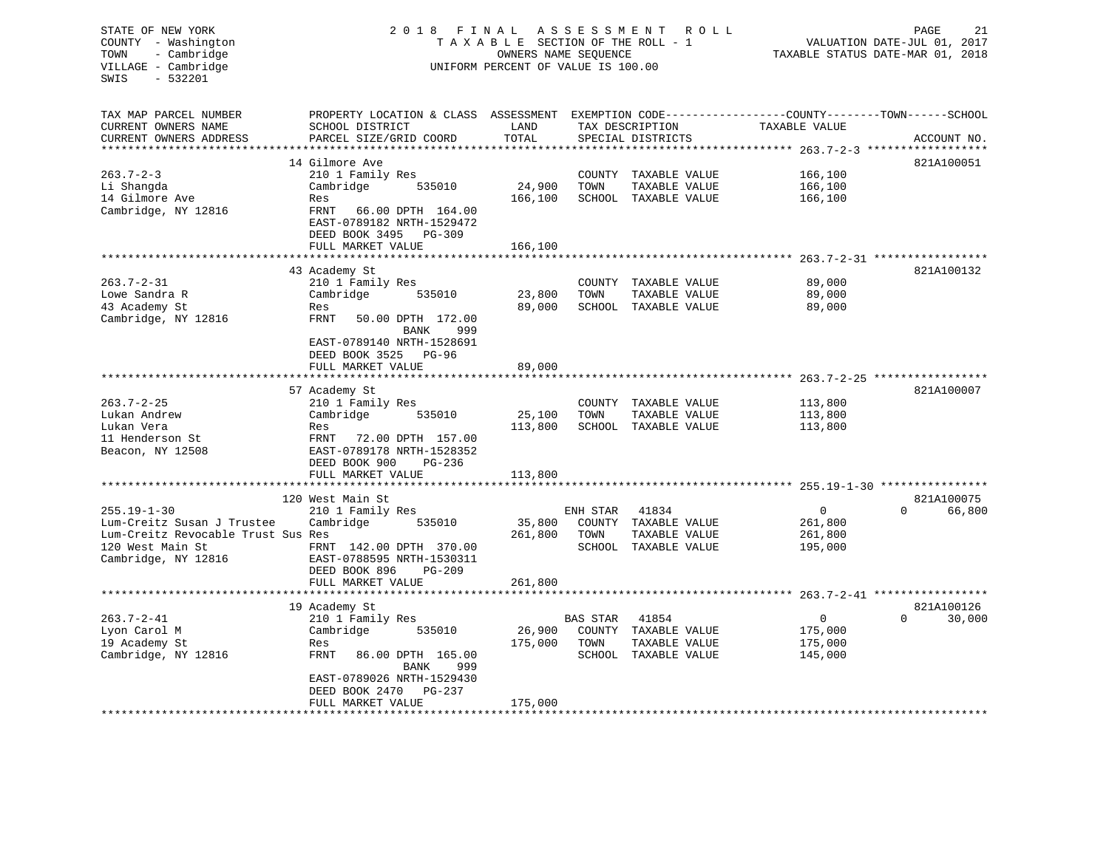| STATE OF NEW YORK<br>COUNTY - Washington<br>- Cambridge<br>TOWN<br>VILLAGE - Cambridge<br>$-532201$<br>SWIS | 2 0 1 8                                                                                          | FINAL<br>TAXABLE SECTION OF THE ROLL - 1<br>OWNERS NAME SEQUENCE<br>UNIFORM PERCENT OF VALUE IS 100.00 | ASSESSMENT         | R O L L                              | 21<br>PAGE<br>VALUATION DATE-JUL 01, 2017<br>TAXABLE STATUS DATE-MAR 01, 2018 |                                    |  |
|-------------------------------------------------------------------------------------------------------------|--------------------------------------------------------------------------------------------------|--------------------------------------------------------------------------------------------------------|--------------------|--------------------------------------|-------------------------------------------------------------------------------|------------------------------------|--|
| TAX MAP PARCEL NUMBER                                                                                       | PROPERTY LOCATION & CLASS ASSESSMENT EXEMPTION CODE----------------COUNTY-------TOWN------SCHOOL |                                                                                                        |                    |                                      |                                                                               |                                    |  |
| CURRENT OWNERS NAME<br>CURRENT OWNERS ADDRESS                                                               | SCHOOL DISTRICT<br>PARCEL SIZE/GRID COORD                                                        | LAND<br>TOTAL                                                                                          |                    | TAX DESCRIPTION<br>SPECIAL DISTRICTS | TAXABLE VALUE                                                                 | ACCOUNT NO.                        |  |
| *************************                                                                                   |                                                                                                  |                                                                                                        |                    |                                      |                                                                               |                                    |  |
| $263.7 - 2 - 3$                                                                                             | 14 Gilmore Ave<br>210 1 Family Res                                                               |                                                                                                        |                    | COUNTY TAXABLE VALUE                 | 166,100                                                                       | 821A100051                         |  |
| Li Shangda                                                                                                  | 535010<br>Cambridge                                                                              | 24,900                                                                                                 | TOWN               | TAXABLE VALUE                        | 166,100                                                                       |                                    |  |
| 14 Gilmore Ave                                                                                              | Res                                                                                              | 166,100                                                                                                |                    | SCHOOL TAXABLE VALUE                 | 166,100                                                                       |                                    |  |
| Cambridge, NY 12816                                                                                         | FRNT<br>66.00 DPTH 164.00                                                                        |                                                                                                        |                    |                                      |                                                                               |                                    |  |
|                                                                                                             | EAST-0789182 NRTH-1529472                                                                        |                                                                                                        |                    |                                      |                                                                               |                                    |  |
|                                                                                                             | DEED BOOK 3495<br>PG-309                                                                         |                                                                                                        |                    |                                      |                                                                               |                                    |  |
|                                                                                                             | FULL MARKET VALUE                                                                                | 166,100                                                                                                |                    |                                      |                                                                               | $263.7 - 2 - 31$ ***************** |  |
|                                                                                                             | 43 Academy St                                                                                    |                                                                                                        |                    |                                      |                                                                               | 821A100132                         |  |
| $263.7 - 2 - 31$                                                                                            | 210 1 Family Res                                                                                 |                                                                                                        |                    | COUNTY TAXABLE VALUE                 | 89,000                                                                        |                                    |  |
| Lowe Sandra R                                                                                               | Cambridge<br>535010                                                                              | 23,800                                                                                                 | TOWN               | TAXABLE VALUE                        | 89,000                                                                        |                                    |  |
| 43 Academy St                                                                                               | Res                                                                                              | 89,000                                                                                                 |                    | SCHOOL TAXABLE VALUE                 | 89,000                                                                        |                                    |  |
| Cambridge, NY 12816                                                                                         | FRNT<br>50.00 DPTH 172.00                                                                        |                                                                                                        |                    |                                      |                                                                               |                                    |  |
|                                                                                                             | 999<br>BANK                                                                                      |                                                                                                        |                    |                                      |                                                                               |                                    |  |
|                                                                                                             | EAST-0789140 NRTH-1528691<br>DEED BOOK 3525<br>PG-96                                             |                                                                                                        |                    |                                      |                                                                               |                                    |  |
|                                                                                                             | FULL MARKET VALUE                                                                                | 89,000                                                                                                 |                    |                                      |                                                                               |                                    |  |
|                                                                                                             |                                                                                                  |                                                                                                        |                    |                                      |                                                                               | $263.7 - 2 - 25$ ***************** |  |
|                                                                                                             | 57 Academy St                                                                                    |                                                                                                        |                    |                                      |                                                                               | 821A100007                         |  |
| $263.7 - 2 - 25$                                                                                            | 210 1 Family Res                                                                                 |                                                                                                        |                    | COUNTY TAXABLE VALUE                 | 113,800                                                                       |                                    |  |
| Lukan Andrew<br>Lukan Vera                                                                                  | Cambridge<br>535010                                                                              | 25,100<br>113,800                                                                                      | TOWN               | TAXABLE VALUE                        | 113,800                                                                       |                                    |  |
| 11 Henderson St                                                                                             | Res<br>FRNT<br>72.00 DPTH 157.00                                                                 |                                                                                                        |                    | SCHOOL TAXABLE VALUE                 | 113,800                                                                       |                                    |  |
| Beacon, NY 12508                                                                                            | EAST-0789178 NRTH-1528352                                                                        |                                                                                                        |                    |                                      |                                                                               |                                    |  |
|                                                                                                             | DEED BOOK 900<br>PG-236                                                                          |                                                                                                        |                    |                                      |                                                                               |                                    |  |
|                                                                                                             | FULL MARKET VALUE                                                                                | 113,800                                                                                                |                    |                                      |                                                                               |                                    |  |
|                                                                                                             | ******************                                                                               |                                                                                                        |                    |                                      |                                                                               |                                    |  |
| $255.19 - 1 - 30$                                                                                           | 120 West Main St                                                                                 |                                                                                                        |                    | 41834                                | 0                                                                             | 821A100075<br>$\Omega$<br>66,800   |  |
| Lum-Creitz Susan J Trustee                                                                                  | 210 1 Family Res<br>Cambridge<br>535010                                                          | 35,800                                                                                                 | ENH STAR<br>COUNTY | TAXABLE VALUE                        | 261,800                                                                       |                                    |  |
| Lum-Creitz Revocable Trust Sus Res                                                                          |                                                                                                  | 261,800                                                                                                | TOWN               | TAXABLE VALUE                        | 261,800                                                                       |                                    |  |
| 120 West Main St                                                                                            | FRNT 142.00 DPTH 370.00                                                                          |                                                                                                        |                    | SCHOOL TAXABLE VALUE                 | 195,000                                                                       |                                    |  |
| Cambridge, NY 12816                                                                                         | EAST-0788595 NRTH-1530311                                                                        |                                                                                                        |                    |                                      |                                                                               |                                    |  |
|                                                                                                             | DEED BOOK 896<br>$PG-209$                                                                        |                                                                                                        |                    |                                      |                                                                               |                                    |  |
|                                                                                                             | FULL MARKET VALUE<br>*************************                                                   | 261,800                                                                                                |                    |                                      |                                                                               |                                    |  |
|                                                                                                             | 19 Academy St                                                                                    |                                                                                                        |                    |                                      |                                                                               | 821A100126                         |  |
| $263.7 - 2 - 41$                                                                                            | 210 1 Family Res                                                                                 |                                                                                                        | BAS STAR           | 41854                                | 0                                                                             | $\Omega$<br>30,000                 |  |
| Lyon Carol M                                                                                                | 535010<br>Cambridge                                                                              | 26,900                                                                                                 |                    | COUNTY TAXABLE VALUE                 | 175,000                                                                       |                                    |  |
| 19 Academy St                                                                                               | Res                                                                                              | 175,000                                                                                                | TOWN               | TAXABLE VALUE                        | 175,000                                                                       |                                    |  |
| Cambridge, NY 12816                                                                                         | FRNT<br>86.00 DPTH 165.00                                                                        |                                                                                                        |                    | SCHOOL TAXABLE VALUE                 | 145,000                                                                       |                                    |  |
|                                                                                                             | 999<br>BANK                                                                                      |                                                                                                        |                    |                                      |                                                                               |                                    |  |
|                                                                                                             | EAST-0789026 NRTH-1529430                                                                        |                                                                                                        |                    |                                      |                                                                               |                                    |  |
|                                                                                                             | DEED BOOK 2470<br>PG-237<br>FULL MARKET VALUE                                                    | 175,000                                                                                                |                    |                                      |                                                                               |                                    |  |
|                                                                                                             |                                                                                                  |                                                                                                        |                    |                                      |                                                                               |                                    |  |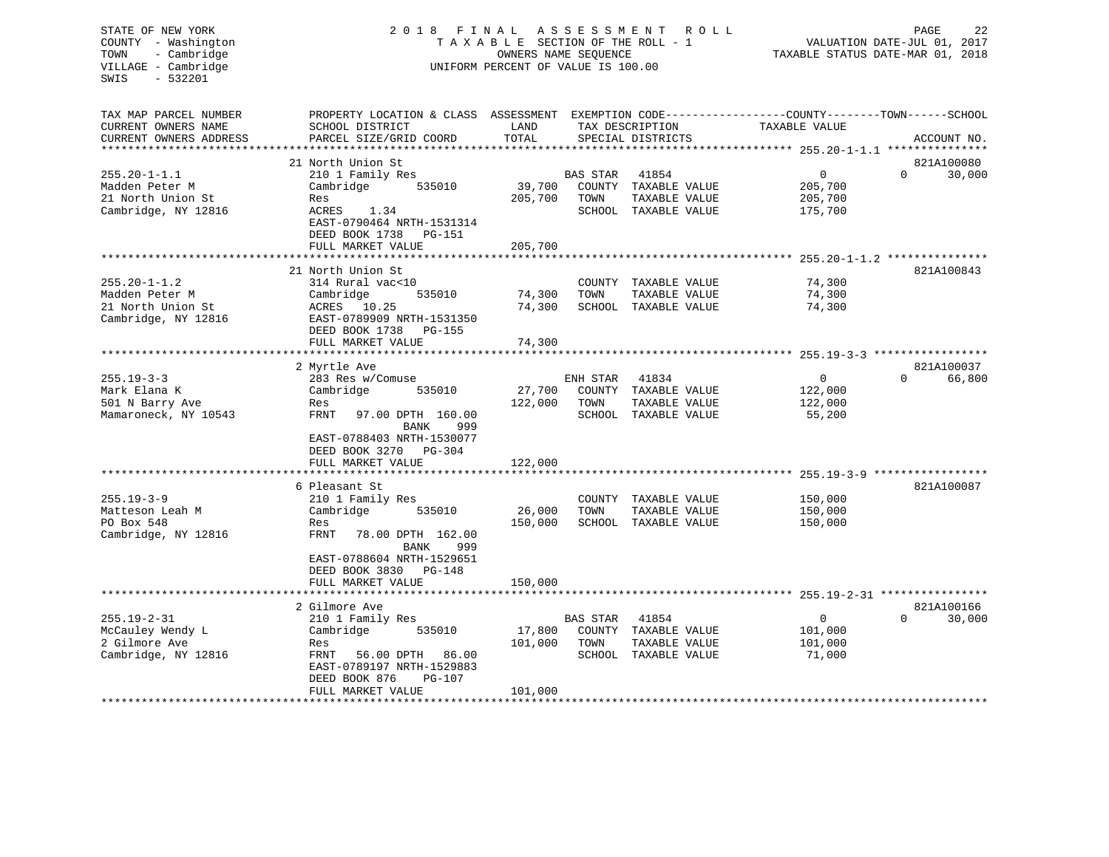# STATE OF NEW YORK 2 0 1 8 F I N A L A S S E S S M E N T R O L L PAGE 22 COUNTY - Washington T A X A B L E SECTION OF THE ROLL - 1 VALUATION DATE-JUL 01, 2017 TOWN - Cambridge OWNERS NAME SEQUENCE TAXABLE STATUS DATE-MAR 01, 2018 VILLAGE - Cambridge **UNIFORM PERCENT OF VALUE** IS 100.00

| TAX MAP PARCEL NUMBER<br>CURRENT OWNERS NAME<br>CURRENT OWNERS ADDRESS | PROPERTY LOCATION & CLASS ASSESSMENT<br>SCHOOL DISTRICT<br>PARCEL SIZE/GRID COORD | LAND<br>TOTAL |                 | TAX DESCRIPTION<br>SPECIAL DISTRICTS  | EXEMPTION CODE-----------------COUNTY-------TOWN------SCHOOL<br>TAXABLE VALUE | ACCOUNT NO.        |
|------------------------------------------------------------------------|-----------------------------------------------------------------------------------|---------------|-----------------|---------------------------------------|-------------------------------------------------------------------------------|--------------------|
|                                                                        |                                                                                   |               |                 |                                       |                                                                               |                    |
|                                                                        | 21 North Union St                                                                 |               |                 |                                       |                                                                               | 821A100080         |
| $255.20 - 1 - 1.1$                                                     | 210 1 Family Res                                                                  |               | BAS STAR        | 41854                                 | $\mathbf 0$                                                                   | $\Omega$<br>30,000 |
| Madden Peter M                                                         | Cambridge<br>535010                                                               | 39,700        |                 | COUNTY TAXABLE VALUE                  | 205,700                                                                       |                    |
| 21 North Union St<br>Cambridge, NY 12816                               | Res<br>ACRES<br>1.34                                                              | 205,700       | TOWN            | TAXABLE VALUE<br>SCHOOL TAXABLE VALUE | 205,700<br>175,700                                                            |                    |
|                                                                        | EAST-0790464 NRTH-1531314                                                         |               |                 |                                       |                                                                               |                    |
|                                                                        | DEED BOOK 1738<br>PG-151                                                          |               |                 |                                       |                                                                               |                    |
|                                                                        | FULL MARKET VALUE                                                                 | 205,700       |                 |                                       |                                                                               |                    |
|                                                                        |                                                                                   |               |                 |                                       |                                                                               |                    |
|                                                                        | 21 North Union St                                                                 |               |                 |                                       |                                                                               | 821A100843         |
| $255.20 - 1 - 1.2$                                                     | 314 Rural vac<10                                                                  |               |                 | COUNTY TAXABLE VALUE                  | 74,300                                                                        |                    |
| Madden Peter M                                                         | Cambridge<br>535010                                                               | 74,300        | TOWN            | TAXABLE VALUE                         | 74,300                                                                        |                    |
| 21 North Union St                                                      | ACRES 10.25                                                                       | 74,300        |                 | SCHOOL TAXABLE VALUE                  | 74,300                                                                        |                    |
| Cambridge, NY 12816                                                    | EAST-0789909 NRTH-1531350<br>DEED BOOK 1738                                       |               |                 |                                       |                                                                               |                    |
|                                                                        | PG-155<br>FULL MARKET VALUE                                                       | 74,300        |                 |                                       |                                                                               |                    |
|                                                                        |                                                                                   |               |                 |                                       |                                                                               |                    |
|                                                                        | 2 Myrtle Ave                                                                      |               |                 |                                       |                                                                               | 821A100037         |
| $255.19 - 3 - 3$                                                       | 283 Res w/Comuse                                                                  |               | ENH STAR        | 41834                                 | $\mathbf{0}$                                                                  | 66,800<br>0        |
| Mark Elana K                                                           | Cambridge<br>535010                                                               | 27,700        |                 | COUNTY TAXABLE VALUE                  | 122,000                                                                       |                    |
| 501 N Barry Ave                                                        | Res                                                                               | 122,000       | TOWN            | TAXABLE VALUE                         | 122,000                                                                       |                    |
| Mamaroneck, NY 10543                                                   | FRNT<br>97.00 DPTH 160.00                                                         |               | SCHOOL          | TAXABLE VALUE                         | 55,200                                                                        |                    |
|                                                                        | 999<br>BANK                                                                       |               |                 |                                       |                                                                               |                    |
|                                                                        | EAST-0788403 NRTH-1530077                                                         |               |                 |                                       |                                                                               |                    |
|                                                                        | DEED BOOK 3270<br>PG-304<br>FULL MARKET VALUE                                     | 122,000       |                 |                                       |                                                                               |                    |
|                                                                        |                                                                                   |               |                 |                                       |                                                                               |                    |
|                                                                        | 6 Pleasant St                                                                     |               |                 |                                       |                                                                               | 821A100087         |
| $255.19 - 3 - 9$                                                       | 210 1 Family Res                                                                  |               |                 | COUNTY TAXABLE VALUE                  | 150,000                                                                       |                    |
| Matteson Leah M                                                        | Cambridge<br>535010                                                               | 26,000        | TOWN            | TAXABLE VALUE                         | 150,000                                                                       |                    |
| PO Box 548                                                             | Res                                                                               | 150,000       |                 | SCHOOL TAXABLE VALUE                  | 150,000                                                                       |                    |
| Cambridge, NY 12816                                                    | FRNT<br>78.00 DPTH 162.00                                                         |               |                 |                                       |                                                                               |                    |
|                                                                        | BANK<br>999                                                                       |               |                 |                                       |                                                                               |                    |
|                                                                        | EAST-0788604 NRTH-1529651                                                         |               |                 |                                       |                                                                               |                    |
|                                                                        | DEED BOOK 3830<br>PG-148<br>FULL MARKET VALUE                                     | 150,000       |                 |                                       |                                                                               |                    |
|                                                                        |                                                                                   |               |                 |                                       |                                                                               |                    |
|                                                                        | 2 Gilmore Ave                                                                     |               |                 |                                       |                                                                               | 821A100166         |
| $255.19 - 2 - 31$                                                      | 210 1 Family Res                                                                  |               | <b>BAS STAR</b> | 41854                                 | $\mathbf{0}$                                                                  | $\Omega$<br>30,000 |
| McCauley Wendy L                                                       | Cambridge<br>535010                                                               | 17,800        |                 | COUNTY TAXABLE VALUE                  | 101,000                                                                       |                    |
| 2 Gilmore Ave                                                          | Res                                                                               | 101,000       | TOWN            | TAXABLE VALUE                         | 101,000                                                                       |                    |
| Cambridge, NY 12816                                                    | FRNT<br>56.00 DPTH<br>86.00                                                       |               | SCHOOL          | TAXABLE VALUE                         | 71,000                                                                        |                    |
|                                                                        | EAST-0789197 NRTH-1529883                                                         |               |                 |                                       |                                                                               |                    |
|                                                                        | DEED BOOK 876<br><b>PG-107</b>                                                    |               |                 |                                       |                                                                               |                    |
|                                                                        | FULL MARKET VALUE                                                                 | 101,000       |                 |                                       |                                                                               |                    |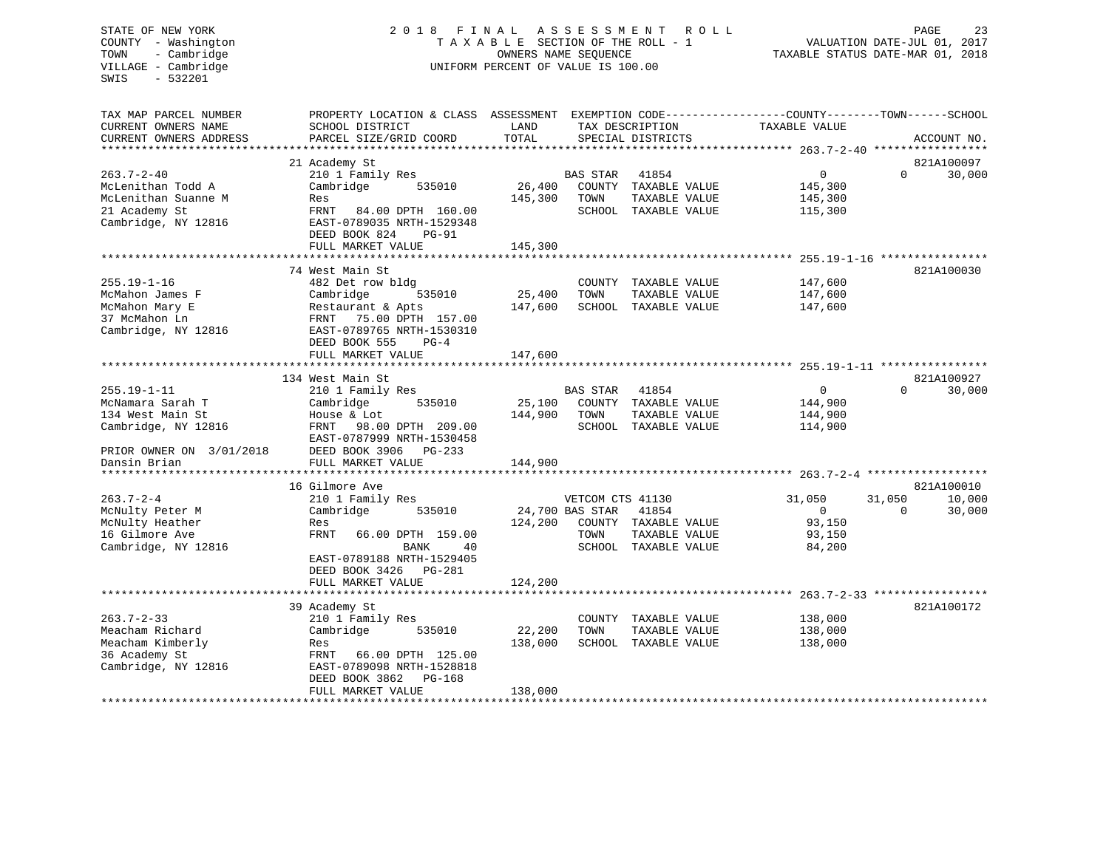# STATE OF NEW YORK 2 0 1 8 F I N A L A S S E S S M E N T R O L L PAGE 23 COUNTY - Washington T A X A B L E SECTION OF THE ROLL - 1 VALUATION DATE-JUL 01, 2017 TOWN - Cambridge OWNERS NAME SEQUENCE TAXABLE STATUS DATE-MAR 01, 2018 VILLAGE - Cambridge **UNIFORM PERCENT OF VALUE** IS 100.00

| TAX MAP PARCEL NUMBER<br>CURRENT OWNERS NAME<br>CURRENT OWNERS ADDRESS | PROPERTY LOCATION & CLASS ASSESSMENT EXEMPTION CODE----------------COUNTY-------TOWN------SCHOOL<br>SCHOOL DISTRICT<br>PARCEL SIZE/GRID COORD | LAND<br>TOTAL |                  | TAX DESCRIPTION<br>SPECIAL DISTRICTS | TAXABLE VALUE           |                    | ACCOUNT NO. |
|------------------------------------------------------------------------|-----------------------------------------------------------------------------------------------------------------------------------------------|---------------|------------------|--------------------------------------|-------------------------|--------------------|-------------|
|                                                                        |                                                                                                                                               |               |                  |                                      |                         |                    |             |
|                                                                        | 21 Academy St                                                                                                                                 |               |                  |                                      |                         | $\Omega$           | 821A100097  |
| $263.7 - 2 - 40$<br>McLenithan Todd A                                  | 210 1 Family Res<br>Cambridge<br>535010                                                                                                       | 26,400        | BAS STAR         | 41854<br>COUNTY TAXABLE VALUE        | $\mathbf{0}$<br>145,300 |                    | 30,000      |
| McLenithan Suanne M                                                    | Res                                                                                                                                           | 145,300       | TOWN             | TAXABLE VALUE                        | 145,300                 |                    |             |
| 21 Academy St                                                          | FRNT<br>84.00 DPTH 160.00                                                                                                                     |               |                  | SCHOOL TAXABLE VALUE                 | 115,300                 |                    |             |
| Cambridge, NY 12816                                                    | EAST-0789035 NRTH-1529348                                                                                                                     |               |                  |                                      |                         |                    |             |
|                                                                        | DEED BOOK 824<br><b>PG-91</b>                                                                                                                 |               |                  |                                      |                         |                    |             |
|                                                                        | FULL MARKET VALUE                                                                                                                             | 145,300       |                  |                                      |                         |                    |             |
|                                                                        |                                                                                                                                               |               |                  |                                      |                         |                    |             |
|                                                                        | 74 West Main St                                                                                                                               |               |                  |                                      |                         |                    | 821A100030  |
| $255.19 - 1 - 16$                                                      | 482 Det row bldg                                                                                                                              |               |                  | COUNTY TAXABLE VALUE                 | 147,600                 |                    |             |
| McMahon James F                                                        | 535010<br>Cambridge                                                                                                                           | 25,400        | TOWN             | TAXABLE VALUE                        | 147,600                 |                    |             |
| McMahon Mary E                                                         | Restaurant & Apts                                                                                                                             | 147,600       |                  | SCHOOL TAXABLE VALUE                 | 147,600                 |                    |             |
| 37 McMahon Ln                                                          | FRNT 75.00 DPTH 157.00                                                                                                                        |               |                  |                                      |                         |                    |             |
| Cambridge, NY 12816                                                    | EAST-0789765 NRTH-1530310<br>$PG-4$                                                                                                           |               |                  |                                      |                         |                    |             |
|                                                                        | DEED BOOK 555<br>FULL MARKET VALUE                                                                                                            | 147,600       |                  |                                      |                         |                    |             |
|                                                                        |                                                                                                                                               |               |                  |                                      |                         |                    |             |
|                                                                        | 134 West Main St                                                                                                                              |               |                  |                                      |                         |                    | 821A100927  |
| $255.19 - 1 - 11$                                                      | 210 1 Family Res                                                                                                                              |               | <b>BAS STAR</b>  | 41854                                | $\mathbf 0$             | $\Omega$           | 30,000      |
| McNamara Sarah T                                                       | 535010<br>Cambridge                                                                                                                           | 25,100        |                  | COUNTY TAXABLE VALUE                 | 144,900                 |                    |             |
| 134 West Main St                                                       | House & Lot                                                                                                                                   | 144,900       | TOWN             | TAXABLE VALUE                        | 144,900                 |                    |             |
| Cambridge, NY 12816                                                    | 98.00 DPTH 209.00<br>FRNT                                                                                                                     |               |                  | SCHOOL TAXABLE VALUE                 | 114,900                 |                    |             |
|                                                                        | EAST-0787999 NRTH-1530458                                                                                                                     |               |                  |                                      |                         |                    |             |
| PRIOR OWNER ON 3/01/2018                                               | DEED BOOK 3906 PG-233                                                                                                                         |               |                  |                                      |                         |                    |             |
| Dansin Brian                                                           | FULL MARKET VALUE                                                                                                                             | 144,900       |                  |                                      |                         |                    |             |
|                                                                        |                                                                                                                                               |               |                  |                                      |                         |                    |             |
|                                                                        | 16 Gilmore Ave                                                                                                                                |               |                  |                                      |                         |                    | 821A100010  |
| $263.7 - 2 - 4$                                                        | 210 1 Family Res                                                                                                                              |               | VETCOM CTS 41130 |                                      | 31,050<br>$\mathbf{0}$  | 31,050<br>$\Omega$ | 10,000      |
| McNulty Peter M<br>McNulty Heather                                     | Cambridge<br>535010<br>Res                                                                                                                    | 124,200       | 24,700 BAS STAR  | 41854<br>COUNTY TAXABLE VALUE        | 93,150                  |                    | 30,000      |
| 16 Gilmore Ave                                                         | FRNT<br>66.00 DPTH 159.00                                                                                                                     |               | TOWN             | TAXABLE VALUE                        | 93,150                  |                    |             |
| Cambridge, NY 12816                                                    | <b>BANK</b><br>40                                                                                                                             |               |                  | SCHOOL TAXABLE VALUE                 | 84,200                  |                    |             |
|                                                                        | EAST-0789188 NRTH-1529405                                                                                                                     |               |                  |                                      |                         |                    |             |
|                                                                        | DEED BOOK 3426 PG-281                                                                                                                         |               |                  |                                      |                         |                    |             |
|                                                                        | FULL MARKET VALUE                                                                                                                             | 124,200       |                  |                                      |                         |                    |             |
|                                                                        |                                                                                                                                               |               |                  |                                      |                         |                    |             |
|                                                                        | 39 Academy St                                                                                                                                 |               |                  |                                      |                         |                    | 821A100172  |
| $263.7 - 2 - 33$                                                       | 210 1 Family Res                                                                                                                              |               |                  | COUNTY TAXABLE VALUE                 | 138,000                 |                    |             |
| Meacham Richard                                                        | Cambridge<br>535010                                                                                                                           | 22,200        | TOWN             | TAXABLE VALUE                        | 138,000                 |                    |             |
| Meacham Kimberly                                                       | Res                                                                                                                                           | 138,000       |                  | SCHOOL TAXABLE VALUE                 | 138,000                 |                    |             |
| 36 Academy St                                                          | FRNT<br>66.00 DPTH 125.00                                                                                                                     |               |                  |                                      |                         |                    |             |
| Cambridge, NY 12816                                                    | EAST-0789098 NRTH-1528818                                                                                                                     |               |                  |                                      |                         |                    |             |
|                                                                        | DEED BOOK 3862<br>PG-168                                                                                                                      |               |                  |                                      |                         |                    |             |
| ********************                                                   | FULL MARKET VALUE                                                                                                                             | 138,000       |                  | ********************************     |                         |                    |             |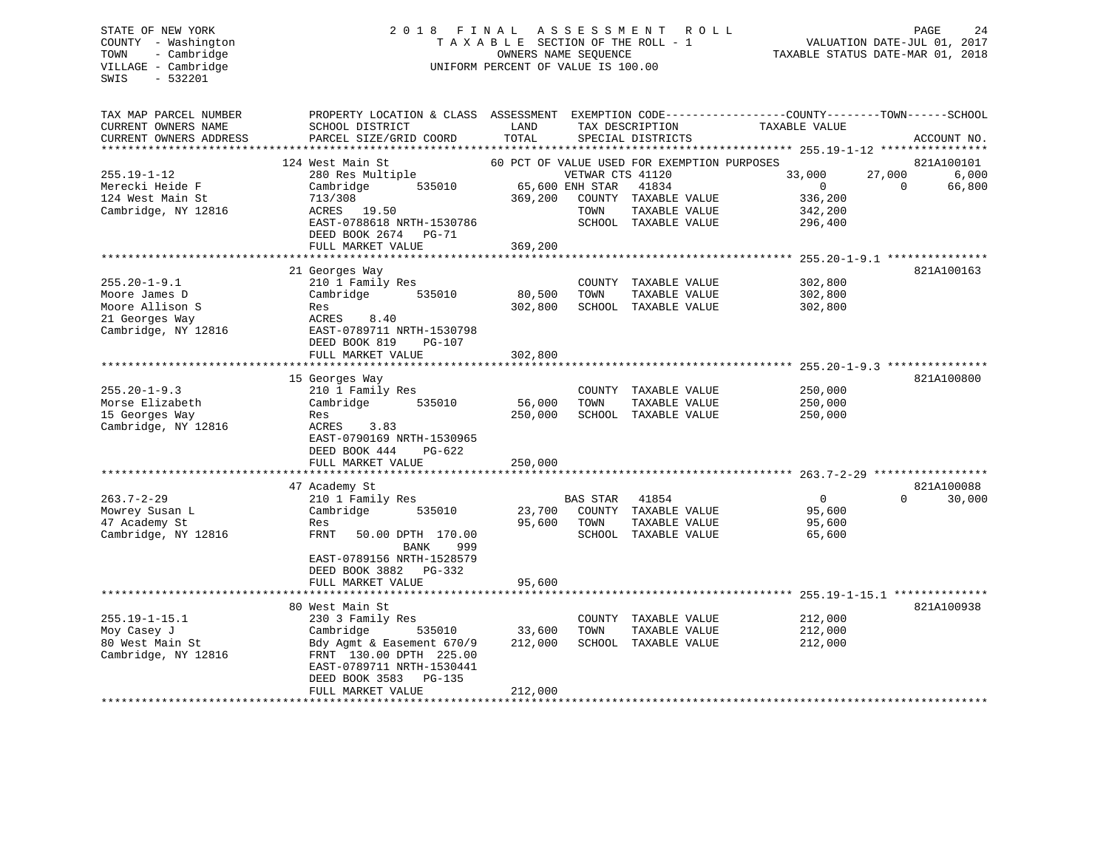# STATE OF NEW YORK 2 0 1 8 F I N A L A S S E S S M E N T R O L L PAGE 24 COUNTY - Washington T A X A B L E SECTION OF THE ROLL - 1 VALUATION DATE-JUL 01, 2017 TOWN - Cambridge OWNERS NAME SEQUENCE TAXABLE STATUS DATE-MAR 01, 2018 VILLAGE - Cambridge **UNIFORM PERCENT OF VALUE IS 100.00**

| TAX MAP PARCEL NUMBER  | PROPERTY LOCATION & CLASS ASSESSMENT EXEMPTION CODE---------------COUNTY-------TOWN------SCHOOL |         |                  |                                             |                |          |             |
|------------------------|-------------------------------------------------------------------------------------------------|---------|------------------|---------------------------------------------|----------------|----------|-------------|
| CURRENT OWNERS NAME    | SCHOOL DISTRICT                                                                                 | LAND    |                  | TAX DESCRIPTION                             | TAXABLE VALUE  |          |             |
| CURRENT OWNERS ADDRESS | PARCEL SIZE/GRID COORD                                                                          | TOTAL   |                  | SPECIAL DISTRICTS                           |                |          | ACCOUNT NO. |
| ******************     | **********************                                                                          |         |                  |                                             |                |          |             |
|                        | 124 West Main St                                                                                |         |                  | 60 PCT OF VALUE USED FOR EXEMPTION PURPOSES |                |          | 821A100101  |
| $255.19 - 1 - 12$      | 280 Res Multiple                                                                                |         | VETWAR CTS 41120 |                                             | 33,000         | 27,000   | 6,000       |
| Merecki Heide F        | Cambridge<br>535010                                                                             |         | 65,600 ENH STAR  | 41834                                       | $\overline{0}$ | $\Omega$ | 66,800      |
| 124 West Main St       | 713/308                                                                                         | 369,200 |                  | COUNTY TAXABLE VALUE                        | 336,200        |          |             |
| Cambridge, NY 12816    | ACRES 19.50                                                                                     |         | TOWN             | TAXABLE VALUE                               | 342,200        |          |             |
|                        | EAST-0788618 NRTH-1530786                                                                       |         |                  | SCHOOL TAXABLE VALUE                        | 296,400        |          |             |
|                        | DEED BOOK 2674 PG-71                                                                            |         |                  |                                             |                |          |             |
|                        | FULL MARKET VALUE                                                                               | 369,200 |                  |                                             |                |          |             |
|                        |                                                                                                 |         |                  |                                             |                |          |             |
|                        | 21 Georges Way                                                                                  |         |                  |                                             |                |          | 821A100163  |
| $255.20 - 1 - 9.1$     | 210 1 Family Res                                                                                |         |                  | COUNTY TAXABLE VALUE                        | 302,800        |          |             |
| Moore James D          | Cambridge<br>535010                                                                             | 80,500  | TOWN             | TAXABLE VALUE                               | 302,800        |          |             |
| Moore Allison S        | Res                                                                                             | 302,800 |                  | SCHOOL TAXABLE VALUE                        | 302,800        |          |             |
| 21 Georges Way         | ACRES<br>8.40                                                                                   |         |                  |                                             |                |          |             |
| Cambridge, NY 12816    | EAST-0789711 NRTH-1530798                                                                       |         |                  |                                             |                |          |             |
|                        | DEED BOOK 819<br>$PG-107$                                                                       |         |                  |                                             |                |          |             |
|                        | FULL MARKET VALUE                                                                               | 302,800 |                  |                                             |                |          |             |
|                        |                                                                                                 |         |                  |                                             |                |          |             |
|                        | 15 Georges Way                                                                                  |         |                  |                                             |                |          | 821A100800  |
| $255.20 - 1 - 9.3$     | 210 1 Family Res                                                                                |         |                  | COUNTY TAXABLE VALUE                        | 250,000        |          |             |
| Morse Elizabeth        | Cambridge<br>535010                                                                             | 56,000  | TOWN             | TAXABLE VALUE                               | 250,000        |          |             |
| 15 Georges Way         | Res                                                                                             | 250,000 |                  | SCHOOL TAXABLE VALUE                        | 250,000        |          |             |
| Cambridge, NY 12816    | ACRES<br>3.83                                                                                   |         |                  |                                             |                |          |             |
|                        | EAST-0790169 NRTH-1530965                                                                       |         |                  |                                             |                |          |             |
|                        | DEED BOOK 444<br>$PG-622$                                                                       |         |                  |                                             |                |          |             |
|                        | FULL MARKET VALUE                                                                               | 250,000 |                  |                                             |                |          |             |
|                        |                                                                                                 |         |                  |                                             |                |          |             |
|                        | 47 Academy St                                                                                   |         |                  |                                             |                |          | 821A100088  |
| $263.7 - 2 - 29$       | 210 1 Family Res                                                                                |         | <b>BAS STAR</b>  | 41854                                       | $\Omega$       | $\Omega$ | 30,000      |
| Mowrey Susan L         | Cambridge<br>535010                                                                             | 23,700  |                  | COUNTY TAXABLE VALUE                        | 95,600         |          |             |
| 47 Academy St          | Res                                                                                             | 95,600  | TOWN             | TAXABLE VALUE                               | 95,600         |          |             |
| Cambridge, NY 12816    | <b>FRNT</b><br>50.00 DPTH 170.00                                                                |         |                  | SCHOOL TAXABLE VALUE                        | 65,600         |          |             |
|                        | 999<br><b>BANK</b>                                                                              |         |                  |                                             |                |          |             |
|                        | EAST-0789156 NRTH-1528579                                                                       |         |                  |                                             |                |          |             |
|                        | PG-332<br>DEED BOOK 3882                                                                        |         |                  |                                             |                |          |             |
|                        | FULL MARKET VALUE                                                                               | 95,600  |                  |                                             |                |          |             |
|                        |                                                                                                 |         |                  |                                             |                |          |             |
|                        | 80 West Main St                                                                                 |         |                  |                                             |                |          | 821A100938  |
| $255.19 - 1 - 15.1$    | 230 3 Family Res                                                                                |         |                  | COUNTY TAXABLE VALUE                        | 212,000        |          |             |
| Moy Casey J            | Cambridge<br>535010                                                                             | 33,600  | TOWN             | TAXABLE VALUE                               | 212,000        |          |             |
| 80 West Main St        | Bdy Agmt & Easement 670/9                                                                       | 212,000 |                  | SCHOOL TAXABLE VALUE                        | 212,000        |          |             |
| Cambridge, NY 12816    | FRNT 130.00 DPTH 225.00                                                                         |         |                  |                                             |                |          |             |
|                        | EAST-0789711 NRTH-1530441                                                                       |         |                  |                                             |                |          |             |
|                        | DEED BOOK 3583<br>PG-135                                                                        |         |                  |                                             |                |          |             |
|                        | FULL MARKET VALUE                                                                               | 212,000 |                  |                                             |                |          |             |
|                        |                                                                                                 |         |                  |                                             |                |          |             |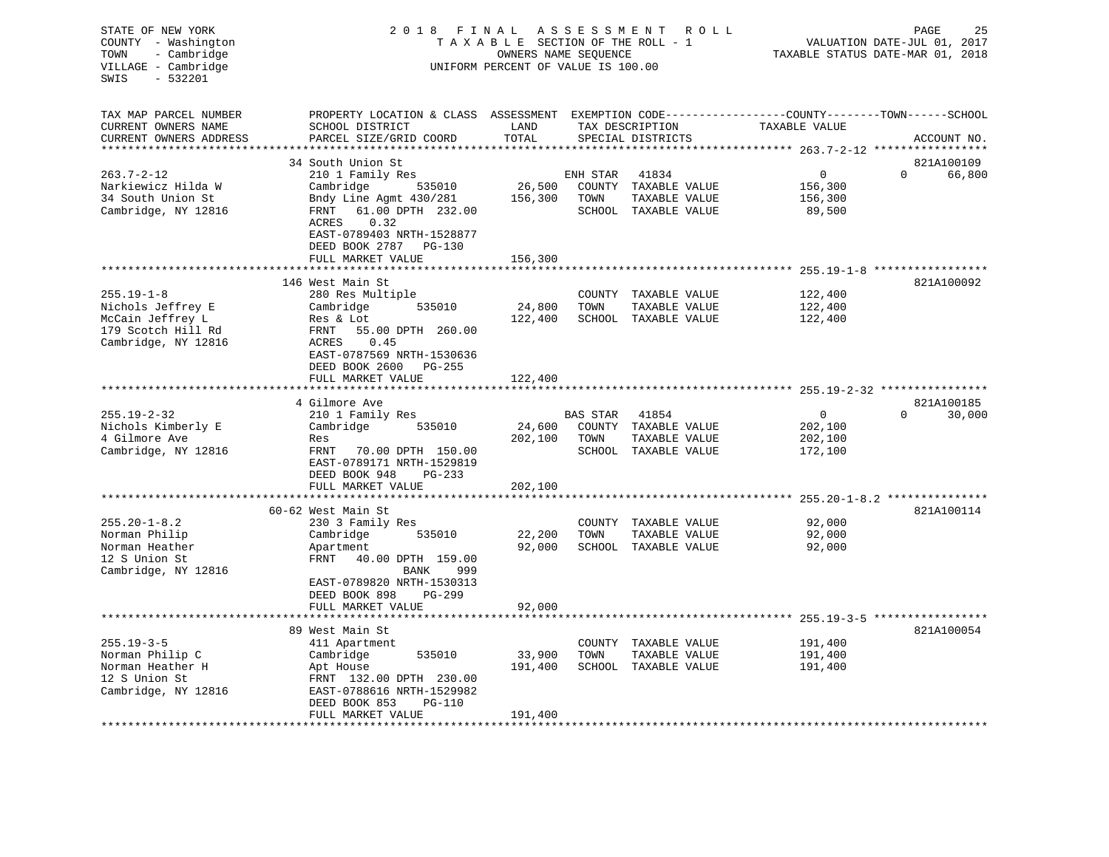| STATE OF NEW YORK<br>COUNTY - Washington<br>TOWN<br>- Cambridge<br>VILLAGE - Cambridge<br>$-532201$<br>SWIS | 2018 FINAL ASSESSMENT<br>TAXABLE SECTION OF THE ROLL - 1<br>UNIFORM PERCENT OF VALUE IS 100.00                                              | PAGE<br>25<br>VALUATION DATE-JUL 01, 2017<br>TAXABLE STATUS DATE-MAR 01, 2018 |                 |                                      |                                            |                                  |
|-------------------------------------------------------------------------------------------------------------|---------------------------------------------------------------------------------------------------------------------------------------------|-------------------------------------------------------------------------------|-----------------|--------------------------------------|--------------------------------------------|----------------------------------|
| TAX MAP PARCEL NUMBER<br>CURRENT OWNERS NAME<br>CURRENT OWNERS ADDRESS                                      | PROPERTY LOCATION & CLASS ASSESSMENT EXEMPTION CODE---------------COUNTY-------TOWN-----SCHOOL<br>SCHOOL DISTRICT<br>PARCEL SIZE/GRID COORD | LAND<br>TOTAL                                                                 |                 | TAX DESCRIPTION<br>SPECIAL DISTRICTS | TAXABLE VALUE                              | ACCOUNT NO.                      |
|                                                                                                             | 34 South Union St                                                                                                                           |                                                                               |                 |                                      |                                            |                                  |
| $263.7 - 2 - 12$                                                                                            | 210 1 Family Res                                                                                                                            |                                                                               | ENH STAR        | 41834                                | $\mathbf 0$                                | 821A100109<br>$\Omega$<br>66,800 |
| Narkiewicz Hilda W                                                                                          | Cambridge<br>535010                                                                                                                         | 26,500                                                                        |                 | COUNTY TAXABLE VALUE                 | 156,300                                    |                                  |
| 34 South Union St                                                                                           | Bndy Line Agmt 430/281                                                                                                                      | 156,300                                                                       | TOWN            | TAXABLE VALUE                        | 156,300                                    |                                  |
| Cambridge, NY 12816                                                                                         | 61.00 DPTH 232.00<br>FRNT<br>ACRES<br>0.32<br>EAST-0789403 NRTH-1528877<br>DEED BOOK 2787 PG-130                                            |                                                                               |                 | SCHOOL TAXABLE VALUE                 | 89,500                                     |                                  |
|                                                                                                             | FULL MARKET VALUE                                                                                                                           | 156,300                                                                       |                 |                                      | ************ 255.19-1-8 ****************** |                                  |
|                                                                                                             | 146 West Main St                                                                                                                            |                                                                               |                 |                                      |                                            | 821A100092                       |
| $255.19 - 1 - 8$                                                                                            | 280 Res Multiple                                                                                                                            |                                                                               |                 | COUNTY TAXABLE VALUE                 | 122,400                                    |                                  |
| Nichols Jeffrey E                                                                                           | Cambridge<br>535010                                                                                                                         | 24,800                                                                        | TOWN            | TAXABLE VALUE                        | 122,400                                    |                                  |
| McCain Jeffrey L                                                                                            | Res & Lot                                                                                                                                   | 122,400                                                                       |                 | SCHOOL TAXABLE VALUE                 | 122,400                                    |                                  |
| 179 Scotch Hill Rd                                                                                          | FRNT<br>55.00 DPTH 260.00                                                                                                                   |                                                                               |                 |                                      |                                            |                                  |
| Cambridge, NY 12816                                                                                         | ACRES<br>0.45<br>EAST-0787569 NRTH-1530636<br>DEED BOOK 2600<br>PG-255<br>FULL MARKET VALUE                                                 | 122,400                                                                       |                 |                                      |                                            |                                  |
|                                                                                                             | **********************                                                                                                                      |                                                                               |                 |                                      |                                            |                                  |
|                                                                                                             | 4 Gilmore Ave                                                                                                                               |                                                                               |                 |                                      |                                            | 821A100185                       |
| $255.19 - 2 - 32$                                                                                           | 210 1 Family Res                                                                                                                            |                                                                               | <b>BAS STAR</b> | 41854                                | $\mathbf 0$                                | 30,000<br>$\Omega$               |
| Nichols Kimberly E                                                                                          | 535010<br>Cambridge                                                                                                                         | 24,600                                                                        |                 | COUNTY TAXABLE VALUE                 | 202,100                                    |                                  |
| 4 Gilmore Ave                                                                                               | Res                                                                                                                                         | 202,100                                                                       | TOWN            | TAXABLE VALUE                        | 202,100                                    |                                  |
| Cambridge, NY 12816                                                                                         | FRNT<br>70.00 DPTH 150.00<br>EAST-0789171 NRTH-1529819<br>DEED BOOK 948<br>PG-233                                                           |                                                                               |                 | SCHOOL TAXABLE VALUE                 | 172,100                                    |                                  |
|                                                                                                             | FULL MARKET VALUE                                                                                                                           | 202,100                                                                       |                 |                                      |                                            |                                  |
|                                                                                                             | ***********************                                                                                                                     | *****************                                                             |                 |                                      |                                            |                                  |
|                                                                                                             | 60-62 West Main St                                                                                                                          |                                                                               |                 |                                      |                                            | 821A100114                       |
| $255.20 - 1 - 8.2$                                                                                          | 230 3 Family Res                                                                                                                            |                                                                               |                 | COUNTY TAXABLE VALUE                 | 92,000                                     |                                  |
| Norman Philip                                                                                               | Cambridge<br>535010                                                                                                                         | 22,200                                                                        | TOWN            | TAXABLE VALUE                        | 92,000                                     |                                  |
| Norman Heather                                                                                              | Apartment                                                                                                                                   | 92,000                                                                        |                 | SCHOOL TAXABLE VALUE                 | 92,000                                     |                                  |
| 12 S Union St<br>Cambridge, NY 12816                                                                        | FRNT<br>40.00 DPTH 159.00<br>999<br>BANK                                                                                                    |                                                                               |                 |                                      |                                            |                                  |
|                                                                                                             | EAST-0789820 NRTH-1530313                                                                                                                   |                                                                               |                 |                                      |                                            |                                  |
|                                                                                                             | DEED BOOK 898<br>PG-299                                                                                                                     |                                                                               |                 |                                      |                                            |                                  |
|                                                                                                             | FULL MARKET VALUE                                                                                                                           | 92,000                                                                        |                 |                                      |                                            |                                  |
|                                                                                                             |                                                                                                                                             |                                                                               |                 |                                      |                                            |                                  |
|                                                                                                             | 89 West Main St                                                                                                                             |                                                                               |                 |                                      |                                            | 821A100054                       |
| $255.19 - 3 - 5$                                                                                            | 411 Apartment                                                                                                                               |                                                                               |                 | COUNTY TAXABLE VALUE                 | 191,400                                    |                                  |
| Norman Philip C                                                                                             | 535010<br>Cambridge                                                                                                                         | 33,900                                                                        | TOWN            | TAXABLE VALUE                        | 191,400                                    |                                  |
| Norman Heather H                                                                                            | Apt House                                                                                                                                   | 191,400                                                                       |                 | SCHOOL TAXABLE VALUE                 | 191,400                                    |                                  |
| 12 S Union St<br>Cambridge, NY 12816                                                                        | FRNT 132.00 DPTH 230.00<br>EAST-0788616 NRTH-1529982<br>$PG-110$<br>DEED BOOK 853                                                           |                                                                               |                 |                                      |                                            |                                  |
|                                                                                                             | FULL MARKET VALUE                                                                                                                           | 191,400                                                                       |                 |                                      |                                            |                                  |
|                                                                                                             |                                                                                                                                             |                                                                               |                 |                                      |                                            |                                  |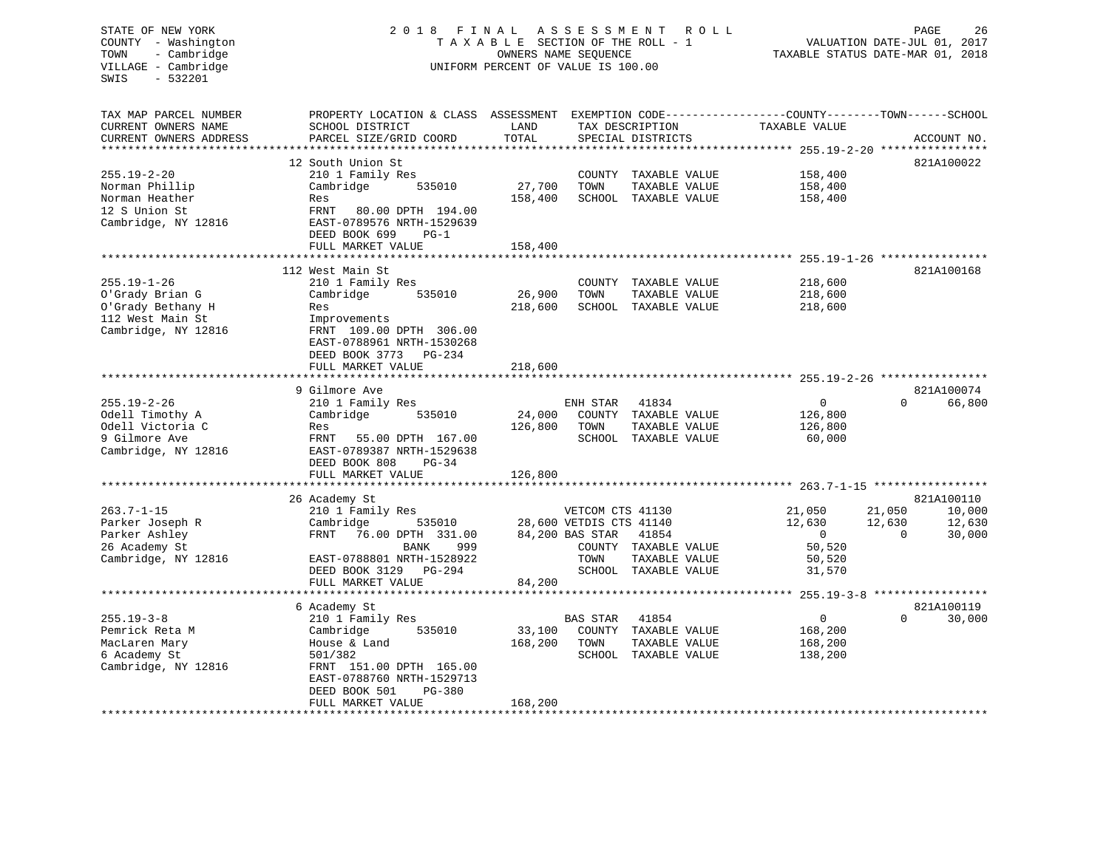#### STATE OF NEW YORK 2018 FINAL ASSESSMENT ROLL PAGE 26 COUNTY - Washington  $T A X A B L E$  SECTION OF THE ROLL - 1<br>TOWN - Cambridge  $\qquad$  OWNERS NAME SEQUENCE TOWN - Cambridge OWNERS NAME SEQUENCE TAXABLE STATUS DATE-MAR 01, 2018 UNIFORM PERCENT OF VALUE IS 100.00

| TAX MAP PARCEL NUMBER  | PROPERTY LOCATION & CLASS ASSESSMENT EXEMPTION CODE---------------COUNTY-------TOWN-----SCHOOL |         |                          |                |                    |
|------------------------|------------------------------------------------------------------------------------------------|---------|--------------------------|----------------|--------------------|
| CURRENT OWNERS NAME    | SCHOOL DISTRICT                                                                                | LAND    | TAX DESCRIPTION          | TAXABLE VALUE  |                    |
| CURRENT OWNERS ADDRESS | PARCEL SIZE/GRID COORD                                                                         | TOTAL   | SPECIAL DISTRICTS        |                | ACCOUNT NO.        |
|                        |                                                                                                |         |                          |                |                    |
|                        | 12 South Union St                                                                              |         |                          |                | 821A100022         |
| $255.19 - 2 - 20$      | 210 1 Family Res                                                                               |         | COUNTY TAXABLE VALUE     | 158,400        |                    |
| Norman Phillip         | Cambridge<br>535010                                                                            | 27,700  | TOWN<br>TAXABLE VALUE    | 158,400        |                    |
| Norman Heather         | Res                                                                                            | 158,400 | SCHOOL TAXABLE VALUE     | 158,400        |                    |
| 12 S Union St          | FRNT<br>80.00 DPTH 194.00                                                                      |         |                          |                |                    |
| Cambridge, NY 12816    | EAST-0789576 NRTH-1529639                                                                      |         |                          |                |                    |
|                        | DEED BOOK 699<br>$PG-1$                                                                        |         |                          |                |                    |
|                        | FULL MARKET VALUE                                                                              | 158,400 |                          |                |                    |
|                        | *************************                                                                      |         |                          |                |                    |
|                        | 112 West Main St                                                                               |         |                          |                | 821A100168         |
| $255.19 - 1 - 26$      | 210 1 Family Res                                                                               |         | COUNTY TAXABLE VALUE     | 218,600        |                    |
| O'Grady Brian G        | Cambridge<br>535010                                                                            | 26,900  | TOWN<br>TAXABLE VALUE    | 218,600        |                    |
| O'Grady Bethany H      | Res                                                                                            | 218,600 | SCHOOL TAXABLE VALUE     | 218,600        |                    |
| 112 West Main St       | Improvements                                                                                   |         |                          |                |                    |
| Cambridge, NY 12816    | FRNT 109.00 DPTH 306.00                                                                        |         |                          |                |                    |
|                        | EAST-0788961 NRTH-1530268                                                                      |         |                          |                |                    |
|                        | DEED BOOK 3773<br>PG-234                                                                       |         |                          |                |                    |
|                        |                                                                                                | 218,600 |                          |                |                    |
|                        | FULL MARKET VALUE                                                                              |         |                          |                |                    |
|                        | 9 Gilmore Ave                                                                                  |         |                          |                | 821A100074         |
| $255.19 - 2 - 26$      | 210 1 Family Res                                                                               |         | ENH STAR<br>41834        | $\overline{0}$ | 66,800<br>$\Omega$ |
| Odell Timothy A        | Cambridge<br>535010                                                                            | 24,000  | COUNTY TAXABLE VALUE     | 126,800        |                    |
| Odell Victoria C       |                                                                                                | 126,800 | TOWN<br>TAXABLE VALUE    |                |                    |
|                        | Res                                                                                            |         |                          | 126,800        |                    |
| 9 Gilmore Ave          | FRNT<br>55.00 DPTH 167.00                                                                      |         | SCHOOL TAXABLE VALUE     | 60,000         |                    |
| Cambridge, NY 12816    | EAST-0789387 NRTH-1529638                                                                      |         |                          |                |                    |
|                        | DEED BOOK 808<br>$PG-34$                                                                       |         |                          |                |                    |
|                        | FULL MARKET VALUE                                                                              | 126,800 |                          |                |                    |
|                        |                                                                                                |         |                          |                |                    |
|                        | 26 Academy St                                                                                  |         |                          |                | 821A100110         |
| $263.7 - 1 - 15$       | 210 1 Family Res                                                                               |         | VETCOM CTS 41130         | 21,050         | 21,050<br>10,000   |
| Parker Joseph R        | Cambridge<br>535010                                                                            |         | 28,600 VETDIS CTS 41140  | 12,630         | 12,630<br>12,630   |
| Parker Ashley          | FRNT<br>76.00 DPTH 331.00                                                                      |         | 84,200 BAS STAR<br>41854 | $\overline{0}$ | 30,000<br>$\Omega$ |
| 26 Academy St          | 999<br>BANK                                                                                    |         | COUNTY TAXABLE VALUE     | 50,520         |                    |
| Cambridge, NY 12816    | EAST-0788801 NRTH-1528922                                                                      |         | TOWN<br>TAXABLE VALUE    | 50,520         |                    |
|                        | DEED BOOK 3129<br>PG-294                                                                       |         | SCHOOL TAXABLE VALUE     | 31,570         |                    |
|                        | FULL MARKET VALUE                                                                              | 84,200  |                          |                |                    |
|                        |                                                                                                |         |                          |                |                    |
|                        | 6 Academy St                                                                                   |         |                          |                | 821A100119         |
| $255.19 - 3 - 8$       | 210 1 Family Res                                                                               |         | BAS STAR<br>41854        | $\mathbf{0}$   | $\Omega$<br>30,000 |
| Pemrick Reta M         | 535010<br>Cambridge                                                                            | 33,100  | COUNTY TAXABLE VALUE     | 168,200        |                    |
| MacLaren Mary          | House & Land                                                                                   | 168,200 | TOWN<br>TAXABLE VALUE    | 168,200        |                    |
| 6 Academy St           | 501/382                                                                                        |         | SCHOOL TAXABLE VALUE     | 138,200        |                    |
| Cambridge, NY 12816    | FRNT 151.00 DPTH 165.00                                                                        |         |                          |                |                    |
|                        | EAST-0788760 NRTH-1529713                                                                      |         |                          |                |                    |
|                        | DEED BOOK 501<br>$PG-380$                                                                      |         |                          |                |                    |
|                        | FULL MARKET VALUE                                                                              | 168,200 |                          |                |                    |
|                        |                                                                                                |         |                          |                |                    |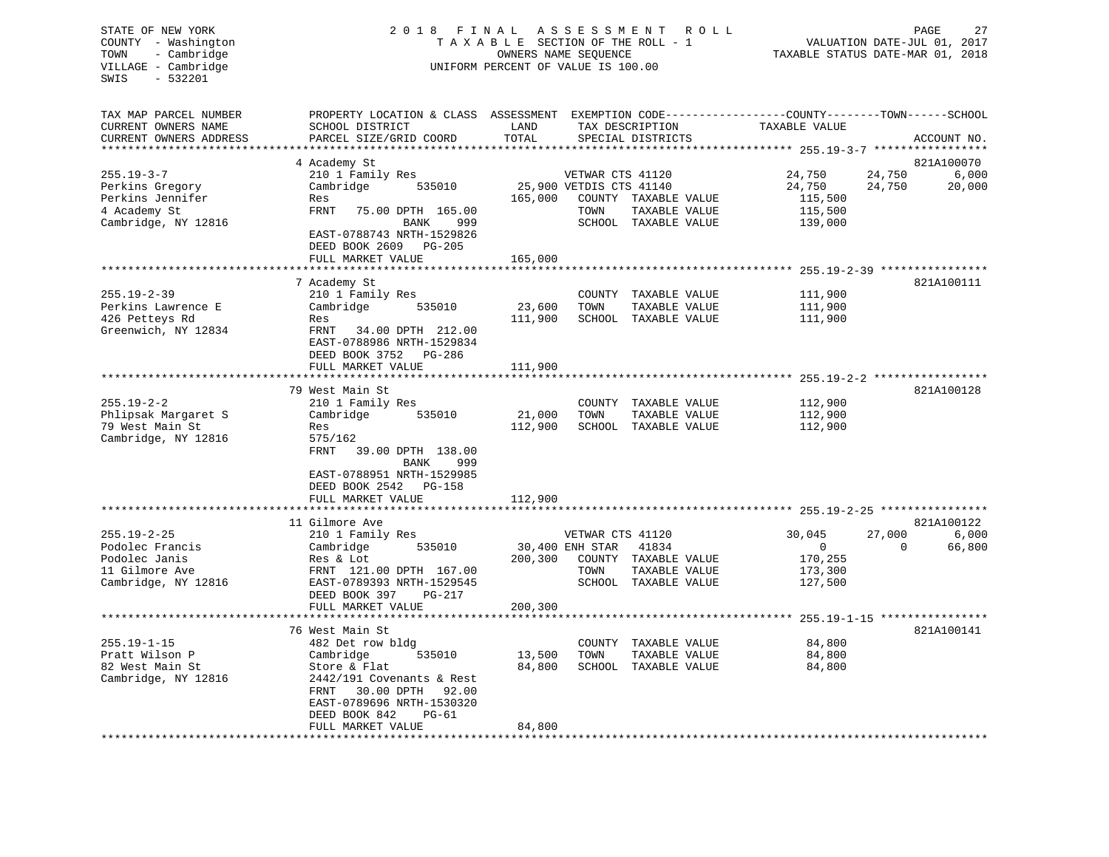# STATE OF NEW YORK 2 0 1 8 F I N A L A S S E S S M E N T R O L L PAGE 27 COUNTY - Washington T A X A B L E SECTION OF THE ROLL - 1 VALUATION DATE-JUL 01, 2017 TOWN - Cambridge OWNERS NAME SEQUENCE TAXABLE STATUS DATE-MAR 01, 2018 UNIFORM PERCENT OF VALUE IS 100.00

| TAX MAP PARCEL NUMBER<br>CURRENT OWNERS NAME                                                   | PROPERTY LOCATION & CLASS ASSESSMENT<br>SCHOOL DISTRICT                                                                                                                                                       | LAND                         | EXEMPTION CODE-----------------COUNTY-------TOWN------SCHOOL<br>TAX DESCRIPTION                                                              | TAXABLE VALUE                                             |                                                     |
|------------------------------------------------------------------------------------------------|---------------------------------------------------------------------------------------------------------------------------------------------------------------------------------------------------------------|------------------------------|----------------------------------------------------------------------------------------------------------------------------------------------|-----------------------------------------------------------|-----------------------------------------------------|
| CURRENT OWNERS ADDRESS<br>*********************                                                | PARCEL SIZE/GRID COORD<br>***********************                                                                                                                                                             | TOTAL                        | SPECIAL DISTRICTS                                                                                                                            |                                                           | ACCOUNT NO.                                         |
|                                                                                                | 4 Academy St                                                                                                                                                                                                  |                              |                                                                                                                                              |                                                           | 821A100070                                          |
| $255.19 - 3 - 7$<br>Perkins Gregory<br>Perkins Jennifer<br>4 Academy St<br>Cambridge, NY 12816 | 210 1 Family Res<br>Cambridge<br>535010<br>Res<br><b>FRNT</b><br>75.00 DPTH 165.00<br>999<br>BANK<br>EAST-0788743 NRTH-1529826<br>DEED BOOK 2609 PG-205<br>FULL MARKET VALUE                                  | 165,000<br>165,000           | VETWAR CTS 41120<br>25,900 VETDIS CTS 41140<br>COUNTY TAXABLE VALUE<br>TOWN<br>TAXABLE VALUE<br>SCHOOL TAXABLE VALUE                         | 24,750<br>24,750<br>115,500<br>115,500<br>139,000         | 6,000<br>24,750<br>24,750<br>20,000                 |
|                                                                                                |                                                                                                                                                                                                               | ************                 | *********************************** 255.19-2-39 *****************                                                                            |                                                           |                                                     |
| $255.19 - 2 - 39$<br>Perkins Lawrence E<br>426 Petteys Rd<br>Greenwich, NY 12834               | 7 Academy St<br>210 1 Family Res<br>Cambridge<br>535010<br>Res<br>FRNT<br>34.00 DPTH 212.00<br>EAST-0788986 NRTH-1529834<br>DEED BOOK 3752 PG-286<br>FULL MARKET VALUE                                        | 23,600<br>111,900<br>111,900 | COUNTY TAXABLE VALUE<br>TOWN<br>TAXABLE VALUE<br>SCHOOL TAXABLE VALUE                                                                        | 111,900<br>111,900<br>111,900                             | 821A100111                                          |
|                                                                                                |                                                                                                                                                                                                               |                              |                                                                                                                                              |                                                           |                                                     |
| $255.19 - 2 - 2$<br>Phlipsak Margaret S<br>79 West Main St<br>Cambridge, NY 12816              | 79 West Main St<br>210 1 Family Res<br>Cambridge<br>535010<br>Res<br>575/162<br><b>FRNT</b><br>39.00 DPTH 138.00<br>BANK<br>999<br>EAST-0788951 NRTH-1529985<br>DEED BOOK 2542<br>PG-158<br>FULL MARKET VALUE | 21,000<br>112,900<br>112,900 | COUNTY TAXABLE VALUE<br>TOWN<br>TAXABLE VALUE<br>SCHOOL TAXABLE VALUE                                                                        | 112,900<br>112,900<br>112,900                             | 821A100128                                          |
|                                                                                                |                                                                                                                                                                                                               |                              |                                                                                                                                              |                                                           |                                                     |
| $255.19 - 2 - 25$<br>Podolec Francis<br>Podolec Janis<br>11 Gilmore Ave<br>Cambridge, NY 12816 | 11 Gilmore Ave<br>210 1 Family Res<br>Cambridge<br>535010<br>Res & Lot<br>FRNT 121.00 DPTH 167.00<br>EAST-0789393 NRTH-1529545<br>DEED BOOK 397<br>PG-217                                                     | 200,300                      | VETWAR CTS 41120<br>30,400 ENH STAR<br>41834<br>COUNTY TAXABLE VALUE<br>TAXABLE VALUE<br>TOWN<br>SCHOOL TAXABLE VALUE                        | 30,045<br>$\overline{0}$<br>170,255<br>173,300<br>127,500 | 821A100122<br>6,000<br>27,000<br>66,800<br>$\Omega$ |
|                                                                                                | FULL MARKET VALUE                                                                                                                                                                                             | 200,300                      |                                                                                                                                              |                                                           |                                                     |
| $255.19 - 1 - 15$<br>Pratt Wilson P<br>82 West Main St<br>Cambridge, NY 12816                  | 76 West Main St<br>482 Det row bldg<br>Cambridge<br>535010<br>Store & Flat<br>2442/191 Covenants & Rest<br>FRNT<br>30.00 DPTH<br>92.00<br>EAST-0789696 NRTH-1530320<br>$PG-61$                                | 13,500<br>84,800             | ************************************* 255.19-1-15 *****************<br>COUNTY TAXABLE VALUE<br>TOWN<br>TAXABLE VALUE<br>SCHOOL TAXABLE VALUE | 84,800<br>84,800<br>84,800                                | 821A100141                                          |
|                                                                                                | DEED BOOK 842<br>FULL MARKET VALUE                                                                                                                                                                            | 84,800                       |                                                                                                                                              |                                                           |                                                     |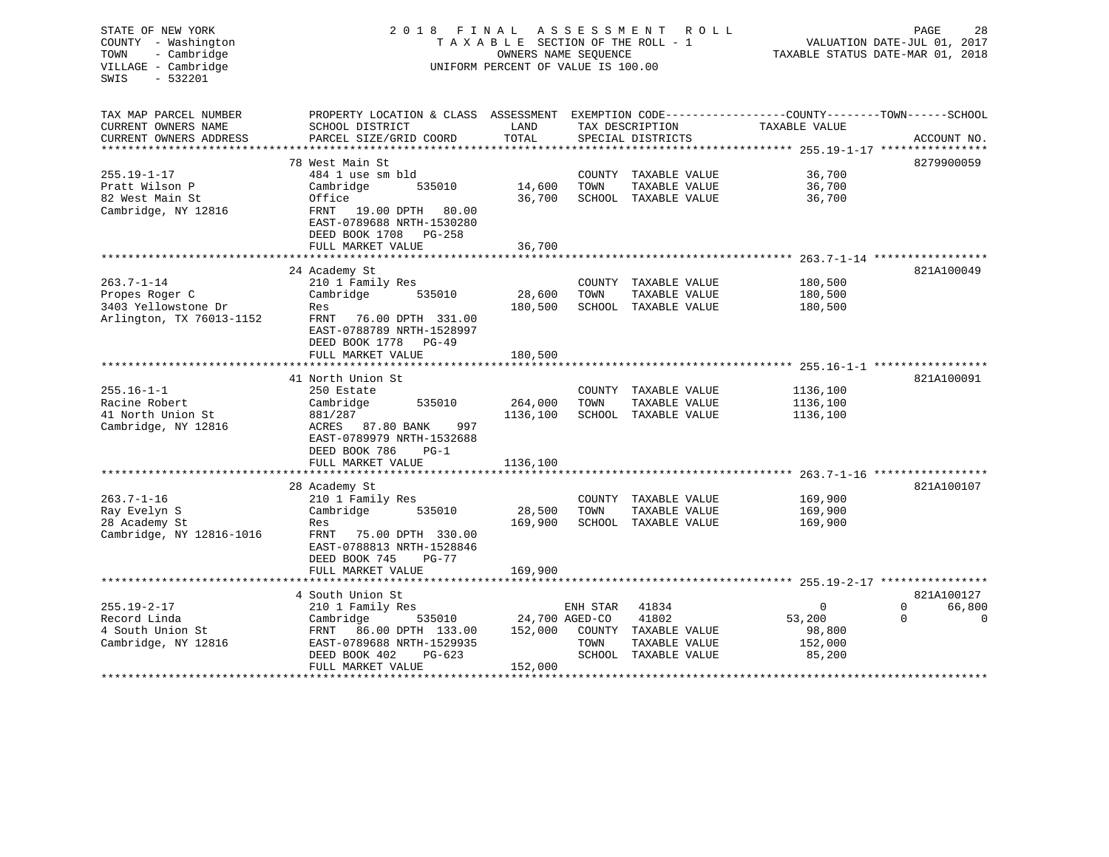| STATE OF NEW YORK<br>COUNTY - Washington<br>- Cambridge<br>TOWN<br>VILLAGE - Cambridge<br>SWIS<br>$-532201$ | 2 0 1 8<br>FINAL<br>TAXABLE SECTION OF THE ROLL - 1<br>UNIFORM PERCENT OF VALUE IS 100.00                                                        | 28<br>PAGE<br>VALUATION DATE-JUL 01, 2017<br>TAXABLE STATUS DATE-MAR 01, 2018 |                  |                                                                                 |                                                              |                                               |
|-------------------------------------------------------------------------------------------------------------|--------------------------------------------------------------------------------------------------------------------------------------------------|-------------------------------------------------------------------------------|------------------|---------------------------------------------------------------------------------|--------------------------------------------------------------|-----------------------------------------------|
| TAX MAP PARCEL NUMBER<br>CURRENT OWNERS NAME<br>CURRENT OWNERS ADDRESS                                      | PROPERTY LOCATION & CLASS ASSESSMENT EXEMPTION CODE----------------COUNTY-------TOWN-----SCHOOL<br>SCHOOL DISTRICT<br>PARCEL SIZE/GRID COORD     | LAND<br>TOTAL                                                                 |                  | TAX DESCRIPTION<br>SPECIAL DISTRICTS                                            | TAXABLE VALUE                                                | ACCOUNT NO.                                   |
|                                                                                                             |                                                                                                                                                  |                                                                               |                  |                                                                                 |                                                              |                                               |
| $255.19 - 1 - 17$<br>Pratt Wilson P<br>82 West Main St<br>Cambridge, NY 12816                               | 78 West Main St<br>484 1 use sm bld<br>Cambridge<br>535010<br>Office<br>FRNT 19.00 DPTH 80.00<br>EAST-0789688 NRTH-1530280                       | 14,600<br>36,700                                                              | TOWN             | COUNTY TAXABLE VALUE<br>TAXABLE VALUE<br>SCHOOL TAXABLE VALUE                   | 36,700<br>36,700<br>36,700                                   | 8279900059                                    |
|                                                                                                             | DEED BOOK 1708 PG-258                                                                                                                            |                                                                               |                  |                                                                                 |                                                              |                                               |
|                                                                                                             | FULL MARKET VALUE                                                                                                                                | 36,700                                                                        |                  |                                                                                 |                                                              |                                               |
|                                                                                                             | 24 Academy St                                                                                                                                    |                                                                               |                  |                                                                                 |                                                              | 821A100049                                    |
| $263.7 - 1 - 14$<br>Propes Roger C<br>3403 Yellowstone Dr<br>Arlington, TX 76013-1152                       | 210 1 Family Res<br>535010<br>Cambridge<br>Res<br>FRNT<br>76.00 DPTH 331.00<br>EAST-0788789 NRTH-1528997                                         | 28,600<br>180,500                                                             | TOWN             | COUNTY TAXABLE VALUE<br>TAXABLE VALUE<br>SCHOOL TAXABLE VALUE                   | 180,500<br>180,500<br>180,500                                |                                               |
|                                                                                                             | DEED BOOK 1778 PG-49<br>FULL MARKET VALUE                                                                                                        | 180,500                                                                       |                  |                                                                                 |                                                              |                                               |
|                                                                                                             |                                                                                                                                                  |                                                                               |                  |                                                                                 |                                                              |                                               |
| $255.16 - 1 - 1$<br>Racine Robert                                                                           | 41 North Union St<br>250 Estate<br>Cambridge<br>535010                                                                                           | 264,000                                                                       | TOWN             | COUNTY TAXABLE VALUE<br>TAXABLE VALUE                                           | 1136,100<br>1136,100                                         | 821A100091                                    |
| 41 North Union St<br>Cambridge, NY 12816                                                                    | 881/287<br>ACRES 87.80 BANK<br>997<br>EAST-0789979 NRTH-1532688<br>DEED BOOK 786<br>$PG-1$                                                       | 1136,100                                                                      |                  | SCHOOL TAXABLE VALUE                                                            | 1136,100                                                     |                                               |
|                                                                                                             | FULL MARKET VALUE                                                                                                                                | 1136,100                                                                      |                  |                                                                                 |                                                              |                                               |
| $263.7 - 1 - 16$                                                                                            | 28 Academy St<br>210 1 Family Res                                                                                                                |                                                                               |                  | COUNTY TAXABLE VALUE                                                            | ********************* 263.7-1-16 ****************<br>169,900 | 821A100107                                    |
| Ray Evelyn S<br>28 Academy St<br>Cambridge, NY 12816-1016                                                   | Cambridge<br>535010<br>Res<br>FRNT 75.00 DPTH 330.00<br>EAST-0788813 NRTH-1528846<br>DEED BOOK 745<br>$PG-77$                                    | 28,500<br>169,900                                                             | TOWN             | TAXABLE VALUE<br>SCHOOL TAXABLE VALUE                                           | 169,900<br>169,900                                           |                                               |
|                                                                                                             | FULL MARKET VALUE                                                                                                                                | 169,900                                                                       |                  |                                                                                 |                                                              |                                               |
|                                                                                                             | 4 South Union St                                                                                                                                 |                                                                               |                  |                                                                                 |                                                              | 821A100127                                    |
| $255.19 - 2 - 17$<br>Record Linda<br>4 South Union St<br>Cambridge, NY 12816                                | 210 1 Family Res<br>Cambridge<br>535010<br>FRNT 86.00 DPTH 133.00<br>EAST-0789688 NRTH-1529935<br>DEED BOOK 402<br>$PG-623$<br>FULL MARKET VALUE | 24,700 AGED-CO<br>152,000<br>152,000                                          | ENH STAR<br>TOWN | 41834<br>41802<br>COUNTY TAXABLE VALUE<br>TAXABLE VALUE<br>SCHOOL TAXABLE VALUE | $\Omega$<br>53,200<br>98,800<br>152,000<br>85,200            | $\Omega$<br>66,800<br>$\Omega$<br>$\mathbf 0$ |
|                                                                                                             |                                                                                                                                                  |                                                                               |                  |                                                                                 |                                                              |                                               |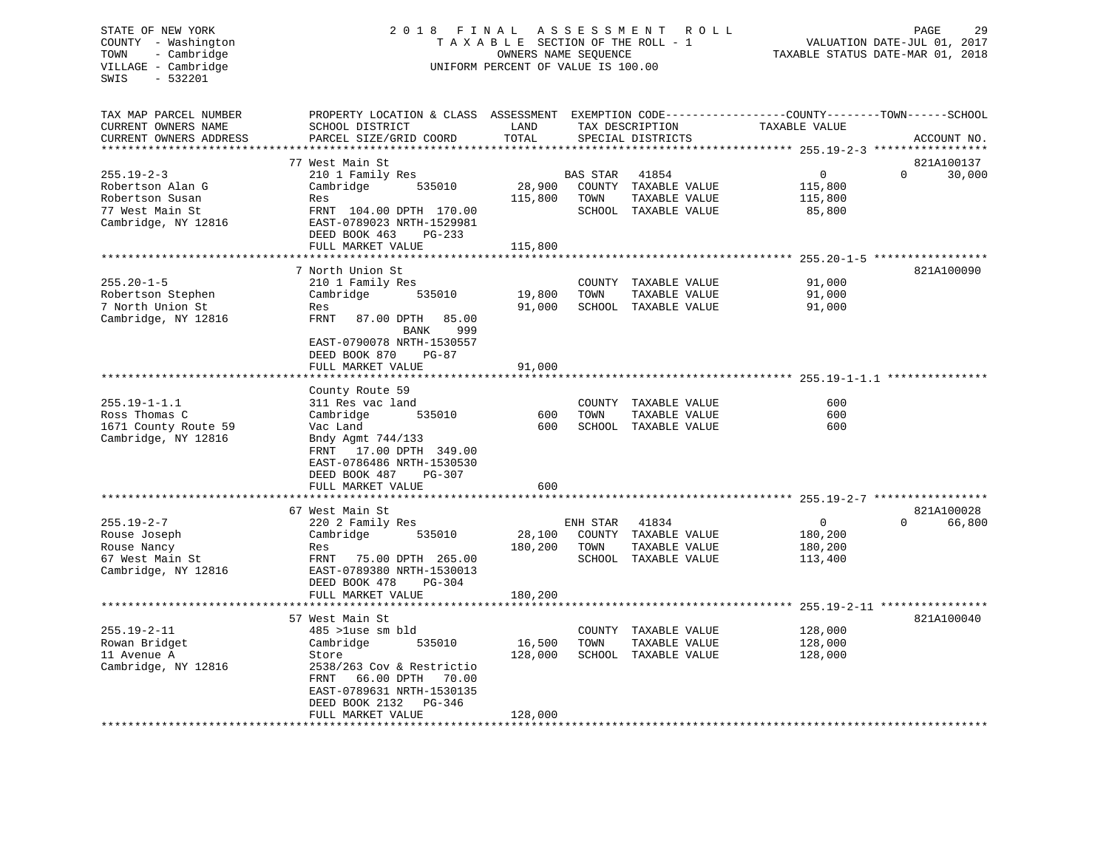# STATE OF NEW YORK 2 0 1 8 F I N A L A S S E S S M E N T R O L L PAGE 29 COUNTY - Washington T A X A B L E SECTION OF THE ROLL - 1 VALUATION DATE-JUL 01, 2017 TOWN - Cambridge OWNERS NAME SEQUENCE TAXABLE STATUS DATE-MAR 01, 2018 UNIFORM PERCENT OF VALUE IS 100.00

| TAX MAP PARCEL NUMBER                            | PROPERTY LOCATION & CLASS ASSESSMENT            |         |          |                      | EXEMPTION CODE-----------------COUNTY-------TOWN------SCHOOL      |                    |
|--------------------------------------------------|-------------------------------------------------|---------|----------|----------------------|-------------------------------------------------------------------|--------------------|
| CURRENT OWNERS NAME                              | SCHOOL DISTRICT                                 | LAND    |          | TAX DESCRIPTION      | TAXABLE VALUE                                                     |                    |
| CURRENT OWNERS ADDRESS<br>********************** | PARCEL SIZE/GRID COORD                          | TOTAL   |          | SPECIAL DISTRICTS    |                                                                   | ACCOUNT NO.        |
|                                                  | 77 West Main St                                 |         |          |                      |                                                                   | 821A100137         |
| $255.19 - 2 - 3$                                 | 210 1 Family Res                                |         | BAS STAR | 41854                | 0                                                                 | $\Omega$<br>30,000 |
| Robertson Alan G                                 | Cambridge<br>535010                             | 28,900  |          | COUNTY TAXABLE VALUE | 115,800                                                           |                    |
| Robertson Susan                                  | Res                                             | 115,800 | TOWN     | TAXABLE VALUE        | 115,800                                                           |                    |
| 77 West Main St                                  | FRNT 104.00 DPTH 170.00                         |         |          | SCHOOL TAXABLE VALUE | 85,800                                                            |                    |
| Cambridge, NY 12816                              | EAST-0789023 NRTH-1529981                       |         |          |                      |                                                                   |                    |
|                                                  | DEED BOOK 463<br>PG-233                         |         |          |                      |                                                                   |                    |
|                                                  | FULL MARKET VALUE                               | 115,800 |          |                      |                                                                   |                    |
|                                                  |                                                 |         |          |                      |                                                                   |                    |
|                                                  | 7 North Union St                                |         |          |                      |                                                                   | 821A100090         |
| $255.20 - 1 - 5$                                 | 210 1 Family Res                                |         | COUNTY   | TAXABLE VALUE        | 91,000                                                            |                    |
| Robertson Stephen                                | Cambridge<br>535010                             | 19,800  | TOWN     | TAXABLE VALUE        | 91,000                                                            |                    |
| 7 North Union St                                 | Res                                             | 91,000  |          | SCHOOL TAXABLE VALUE | 91,000                                                            |                    |
| Cambridge, NY 12816                              | <b>FRNT</b><br>87.00 DPTH<br>85.00              |         |          |                      |                                                                   |                    |
|                                                  | <b>BANK</b><br>999                              |         |          |                      |                                                                   |                    |
|                                                  | EAST-0790078 NRTH-1530557                       |         |          |                      |                                                                   |                    |
|                                                  | DEED BOOK 870<br>$PG-87$                        |         |          |                      |                                                                   |                    |
|                                                  | FULL MARKET VALUE<br>********************       | 91,000  |          |                      |                                                                   |                    |
|                                                  |                                                 |         |          |                      |                                                                   |                    |
| $255.19 - 1 - 1.1$                               | County Route 59<br>311 Res vac land             |         | COUNTY   | TAXABLE VALUE        | 600                                                               |                    |
| Ross Thomas C                                    | Cambridge<br>535010                             | 600     | TOWN     | TAXABLE VALUE        | 600                                                               |                    |
| 1671 County Route 59                             | Vac Land                                        | 600     | SCHOOL   | TAXABLE VALUE        | 600                                                               |                    |
| Cambridge, NY 12816                              | Bndy Agmt 744/133                               |         |          |                      |                                                                   |                    |
|                                                  | 17.00 DPTH 349.00<br>FRNT                       |         |          |                      |                                                                   |                    |
|                                                  | EAST-0786486 NRTH-1530530                       |         |          |                      |                                                                   |                    |
|                                                  | DEED BOOK 487<br>$PG-307$                       |         |          |                      |                                                                   |                    |
|                                                  | FULL MARKET VALUE                               | 600     |          |                      |                                                                   |                    |
|                                                  |                                                 |         |          |                      | ************************************755.19-2-7 ****************** |                    |
|                                                  | 67 West Main St                                 |         |          |                      |                                                                   | 821A100028         |
| $255.19 - 2 - 7$                                 | 220 2 Family Res                                |         | ENH STAR | 41834                | $\mathbf{0}$                                                      | 66,800<br>$\Omega$ |
| Rouse Joseph                                     | Cambridge<br>535010                             | 28,100  |          | COUNTY TAXABLE VALUE | 180,200                                                           |                    |
| Rouse Nancy                                      | Res                                             | 180,200 | TOWN     | TAXABLE VALUE        | 180,200                                                           |                    |
| 67 West Main St                                  | FRNT<br>75.00 DPTH 265.00                       |         |          | SCHOOL TAXABLE VALUE | 113,400                                                           |                    |
| Cambridge, NY 12816                              | EAST-0789380 NRTH-1530013                       |         |          |                      |                                                                   |                    |
|                                                  | DEED BOOK 478<br>$PG-304$                       |         |          |                      |                                                                   |                    |
|                                                  | FULL MARKET VALUE                               | 180,200 |          |                      |                                                                   |                    |
|                                                  |                                                 |         |          |                      | ****** 255.19-2-11 ****                                           |                    |
|                                                  | 57 West Main St                                 |         |          |                      |                                                                   | 821A100040         |
| $255.19 - 2 - 11$                                | 485 >luse sm bld                                |         | COUNTY   | TAXABLE VALUE        | 128,000                                                           |                    |
| Rowan Bridget                                    | Cambridge<br>535010                             | 16,500  | TOWN     | TAXABLE VALUE        | 128,000                                                           |                    |
| 11 Avenue A                                      | Store                                           | 128,000 |          | SCHOOL TAXABLE VALUE | 128,000                                                           |                    |
| Cambridge, NY 12816                              | 2538/263 Cov & Restrictio<br>FRNT<br>66.00 DPTH |         |          |                      |                                                                   |                    |
|                                                  | 70.00<br>EAST-0789631 NRTH-1530135              |         |          |                      |                                                                   |                    |
|                                                  | DEED BOOK 2132<br>PG-346                        |         |          |                      |                                                                   |                    |
|                                                  | FULL MARKET VALUE                               | 128,000 |          |                      |                                                                   |                    |
| **********************                           |                                                 |         |          |                      |                                                                   |                    |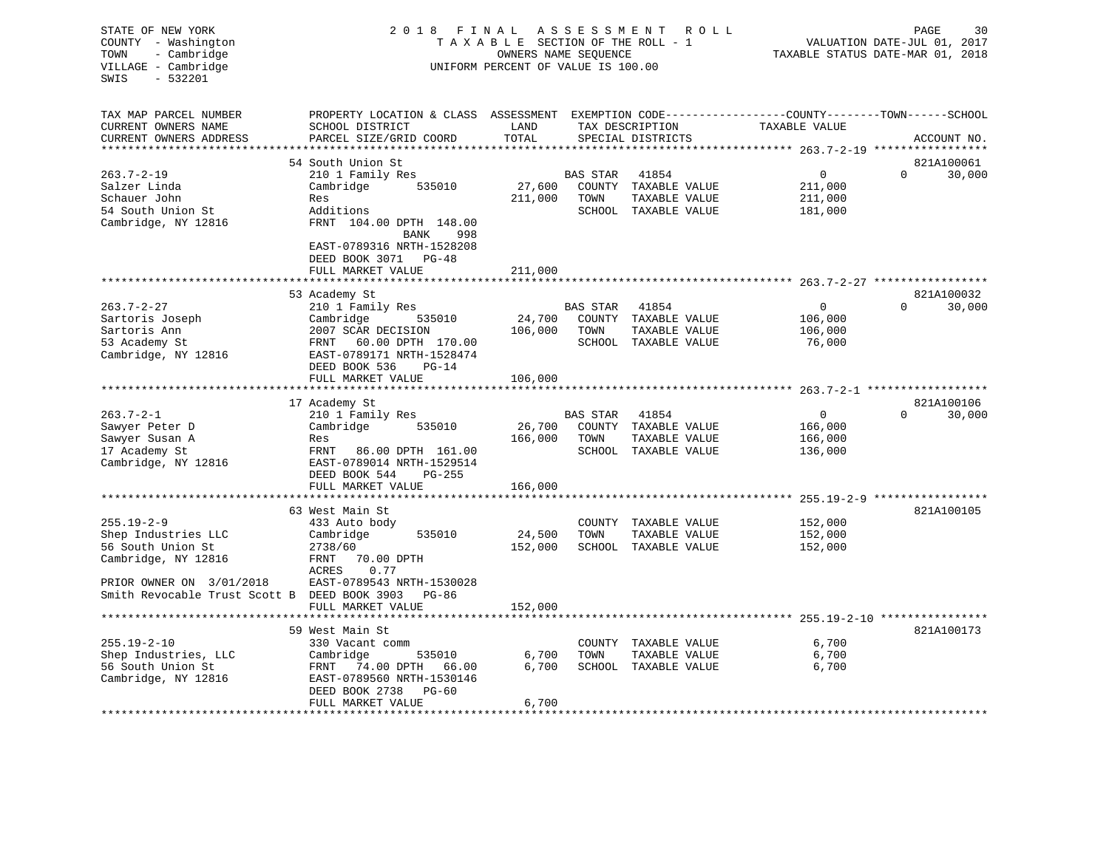| STATE OF NEW YORK<br>COUNTY - Washington<br>TOWN<br>- Cambridge<br>VILLAGE - Cambridge<br>SWIS<br>$-532201$ | 2018 FINAL                                                                        | TAXABLE SECTION OF THE ROLL - 1<br>OWNERS NAME SEQUENCE<br>UNIFORM PERCENT OF VALUE IS 100.00 | ASSESSMENT ROLL | TAXABLE STATUS DATE-MAR 01, 2018     | PAGE<br>VALUATION DATE-JUL 01, 2017                                           | 30       |             |
|-------------------------------------------------------------------------------------------------------------|-----------------------------------------------------------------------------------|-----------------------------------------------------------------------------------------------|-----------------|--------------------------------------|-------------------------------------------------------------------------------|----------|-------------|
| TAX MAP PARCEL NUMBER<br>CURRENT OWNERS NAME<br>CURRENT OWNERS ADDRESS                                      | PROPERTY LOCATION & CLASS ASSESSMENT<br>SCHOOL DISTRICT<br>PARCEL SIZE/GRID COORD | LAND<br>TOTAL                                                                                 |                 | TAX DESCRIPTION<br>SPECIAL DISTRICTS | EXEMPTION CODE-----------------COUNTY-------TOWN------SCHOOL<br>TAXABLE VALUE |          | ACCOUNT NO. |
| ***********************                                                                                     |                                                                                   |                                                                                               |                 |                                      |                                                                               |          |             |
|                                                                                                             | 54 South Union St                                                                 |                                                                                               |                 |                                      |                                                                               |          | 821A100061  |
| $263.7 - 2 - 19$                                                                                            | 210 1 Family Res                                                                  |                                                                                               | <b>BAS STAR</b> | 41854                                | $\mathbf 0$                                                                   | $\Omega$ | 30,000      |
| Salzer Linda                                                                                                | 535010<br>Cambridge                                                               | 27,600                                                                                        |                 | COUNTY TAXABLE VALUE                 | 211,000                                                                       |          |             |
| Schauer John                                                                                                | Res                                                                               | 211,000                                                                                       | TOWN            | TAXABLE VALUE                        | 211,000                                                                       |          |             |
| 54 South Union St                                                                                           | Additions                                                                         |                                                                                               |                 | SCHOOL TAXABLE VALUE                 | 181,000                                                                       |          |             |
| Cambridge, NY 12816                                                                                         | FRNT 104.00 DPTH 148.00<br>BANK<br>998                                            |                                                                                               |                 |                                      |                                                                               |          |             |
|                                                                                                             | EAST-0789316 NRTH-1528208                                                         |                                                                                               |                 |                                      |                                                                               |          |             |
|                                                                                                             | DEED BOOK 3071 PG-48                                                              |                                                                                               |                 |                                      |                                                                               |          |             |
|                                                                                                             | FULL MARKET VALUE                                                                 | 211,000                                                                                       |                 |                                      |                                                                               |          |             |
|                                                                                                             |                                                                                   |                                                                                               |                 |                                      |                                                                               |          |             |
|                                                                                                             | 53 Academy St                                                                     |                                                                                               |                 |                                      |                                                                               |          | 821A100032  |
| $263.7 - 2 - 27$                                                                                            | 210 1 Family Res                                                                  |                                                                                               | BAS STAR        | 41854                                | $\mathbf{0}$                                                                  | $\Omega$ | 30,000      |
| Sartoris Joseph                                                                                             | Cambridge<br>535010                                                               | 24,700                                                                                        |                 | COUNTY TAXABLE VALUE                 | 106,000                                                                       |          |             |
| Sartoris Ann                                                                                                | 2007 SCAR DECISION                                                                | 106,000                                                                                       | TOWN            | TAXABLE VALUE                        | 106,000                                                                       |          |             |
| 53 Academy St                                                                                               | 60.00 DPTH 170.00<br>FRNT                                                         |                                                                                               |                 | SCHOOL TAXABLE VALUE                 | 76,000                                                                        |          |             |
| Cambridge, NY 12816                                                                                         | EAST-0789171 NRTH-1528474                                                         |                                                                                               |                 |                                      |                                                                               |          |             |
|                                                                                                             | DEED BOOK 536<br>$PG-14$                                                          |                                                                                               |                 |                                      |                                                                               |          |             |
|                                                                                                             | FULL MARKET VALUE                                                                 | 106,000                                                                                       |                 |                                      |                                                                               |          |             |
|                                                                                                             |                                                                                   | ************                                                                                  |                 |                                      |                                                                               |          | 821A100106  |
| $263.7 - 2 - 1$                                                                                             | 17 Academy St<br>210 1 Family Res                                                 |                                                                                               | <b>BAS STAR</b> | 41854                                | $\overline{0}$                                                                | $\Omega$ | 30,000      |
| Sawyer Peter D                                                                                              | Cambridge<br>535010                                                               | 26,700                                                                                        | COUNTY          | TAXABLE VALUE                        | 166,000                                                                       |          |             |
| Sawyer Susan A                                                                                              | Res                                                                               | 166,000                                                                                       | TOWN            | TAXABLE VALUE                        | 166,000                                                                       |          |             |
| 17 Academy St                                                                                               | FRNT 86.00 DPTH 161.00                                                            |                                                                                               |                 | SCHOOL TAXABLE VALUE                 | 136,000                                                                       |          |             |
| Cambridge, NY 12816                                                                                         | EAST-0789014 NRTH-1529514                                                         |                                                                                               |                 |                                      |                                                                               |          |             |
|                                                                                                             | DEED BOOK 544<br>$PG-255$                                                         |                                                                                               |                 |                                      |                                                                               |          |             |
|                                                                                                             | FULL MARKET VALUE                                                                 | 166,000                                                                                       |                 |                                      |                                                                               |          |             |
|                                                                                                             | ********************                                                              |                                                                                               |                 |                                      |                                                                               |          |             |
|                                                                                                             | 63 West Main St                                                                   |                                                                                               |                 |                                      |                                                                               |          | 821A100105  |
| $255.19 - 2 - 9$                                                                                            | 433 Auto body                                                                     |                                                                                               |                 | COUNTY TAXABLE VALUE                 | 152,000                                                                       |          |             |
| Shep Industries LLC                                                                                         | Cambridge<br>535010                                                               | 24,500                                                                                        | TOWN            | TAXABLE VALUE                        | 152,000                                                                       |          |             |
| 56 South Union St                                                                                           | 2738/60                                                                           | 152,000                                                                                       |                 | SCHOOL TAXABLE VALUE                 | 152,000                                                                       |          |             |
| Cambridge, NY 12816                                                                                         | 70.00 DPTH<br>FRNT                                                                |                                                                                               |                 |                                      |                                                                               |          |             |
| PRIOR OWNER ON 3/01/2018                                                                                    | ACRES<br>0.77<br>EAST-0789543 NRTH-1530028                                        |                                                                                               |                 |                                      |                                                                               |          |             |
| Smith Revocable Trust Scott B DEED BOOK 3903 PG-86                                                          |                                                                                   |                                                                                               |                 |                                      |                                                                               |          |             |
|                                                                                                             | FULL MARKET VALUE                                                                 | 152,000                                                                                       |                 |                                      |                                                                               |          |             |
|                                                                                                             |                                                                                   |                                                                                               |                 |                                      |                                                                               |          |             |
|                                                                                                             | 59 West Main St                                                                   |                                                                                               |                 |                                      |                                                                               |          | 821A100173  |
| $255.19 - 2 - 10$                                                                                           | 330 Vacant comm                                                                   |                                                                                               |                 | COUNTY TAXABLE VALUE                 | 6,700                                                                         |          |             |
| Shep Industries, LLC                                                                                        | Cambridge<br>535010                                                               | 6,700                                                                                         | TOWN            | TAXABLE VALUE                        | 6,700                                                                         |          |             |
| 56 South Union St                                                                                           | FRNT 74.00 DPTH 66.00                                                             | 6,700                                                                                         |                 | SCHOOL TAXABLE VALUE                 | 6,700                                                                         |          |             |
| Cambridge, NY 12816                                                                                         | EAST-0789560 NRTH-1530146                                                         |                                                                                               |                 |                                      |                                                                               |          |             |
|                                                                                                             | DEED BOOK 2738<br>PG-60                                                           |                                                                                               |                 |                                      |                                                                               |          |             |
|                                                                                                             | FULL MARKET VALUE                                                                 | 6,700                                                                                         |                 |                                      |                                                                               |          |             |
|                                                                                                             |                                                                                   |                                                                                               |                 |                                      |                                                                               |          |             |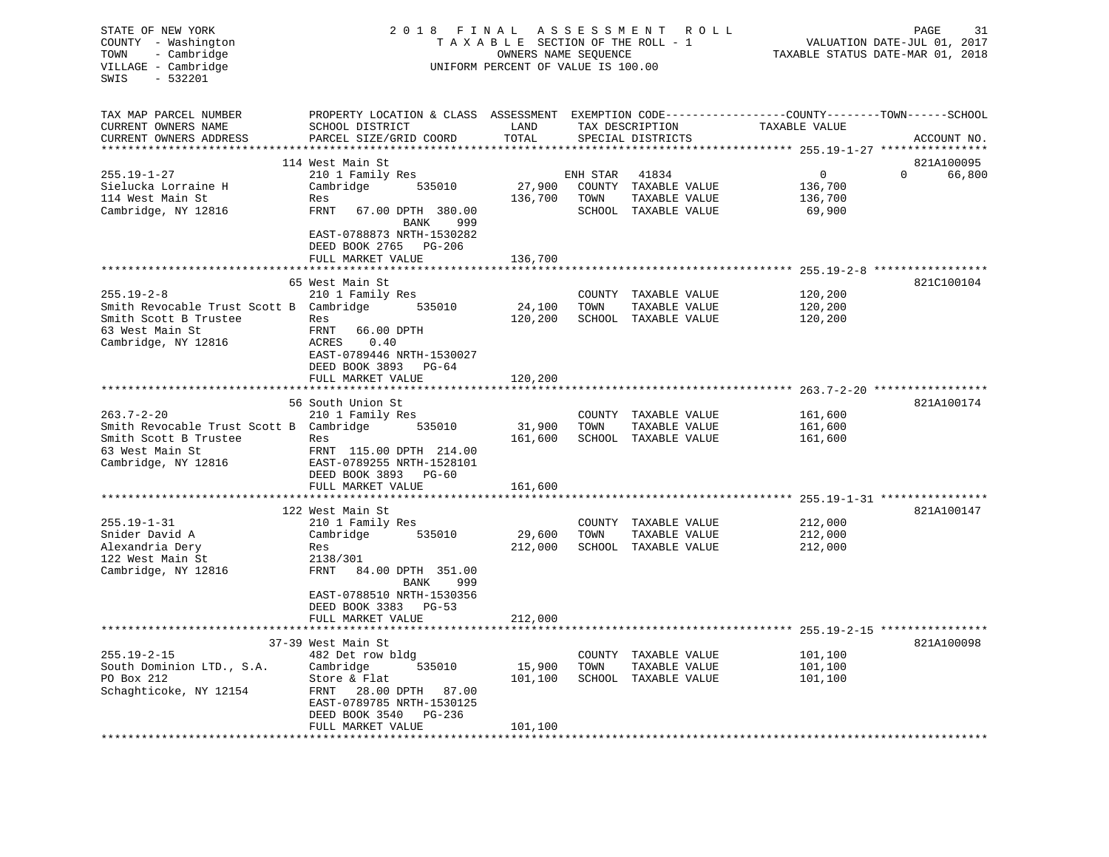| STATE OF NEW YORK<br>2018 FINAL<br>ASSESSMENT<br>ROLL<br>COUNTY - Washington<br>TAXABLE SECTION OF THE ROLL - 1<br>- Cambridge<br>TOWN<br>OWNERS NAME SEQUENCE<br>UNIFORM PERCENT OF VALUE IS 100.00<br>VILLAGE - Cambridge<br>SWIS<br>$-532201$ |                                                                                                                     |                        |          |                                       |                                                                | 31<br>PAGE<br>VALUATION DATE-JUL 01, 2017<br>TAXABLE STATUS DATE-MAR 01, 2018 |
|--------------------------------------------------------------------------------------------------------------------------------------------------------------------------------------------------------------------------------------------------|---------------------------------------------------------------------------------------------------------------------|------------------------|----------|---------------------------------------|----------------------------------------------------------------|-------------------------------------------------------------------------------|
| TAX MAP PARCEL NUMBER<br>CURRENT OWNERS NAME                                                                                                                                                                                                     | PROPERTY LOCATION & CLASS ASSESSMENT EXEMPTION CODE----------------COUNTY-------TOWN------SCHOOL<br>SCHOOL DISTRICT | LAND                   |          | TAX DESCRIPTION                       | TAXABLE VALUE                                                  |                                                                               |
| CURRENT OWNERS ADDRESS                                                                                                                                                                                                                           | PARCEL SIZE/GRID COORD                                                                                              | TOTAL                  |          | SPECIAL DISTRICTS                     |                                                                | ACCOUNT NO.                                                                   |
| ********************                                                                                                                                                                                                                             |                                                                                                                     | **********             |          |                                       | ********************************* 255.19-1-27 **************** |                                                                               |
| $255.19 - 1 - 27$                                                                                                                                                                                                                                | 114 West Main St<br>210 1 Family Res                                                                                |                        | ENH STAR | 41834                                 | $\mathbf 0$                                                    | 821A100095<br>$\Omega$<br>66,800                                              |
| Sielucka Lorraine H                                                                                                                                                                                                                              | Cambridge<br>535010                                                                                                 | 27,900                 |          | COUNTY TAXABLE VALUE                  | 136,700                                                        |                                                                               |
| 114 West Main St                                                                                                                                                                                                                                 | Res                                                                                                                 | 136,700                | TOWN     | TAXABLE VALUE                         | 136,700                                                        |                                                                               |
| Cambridge, NY 12816                                                                                                                                                                                                                              | FRNT<br>67.00 DPTH 380.00<br>BANK<br>999                                                                            |                        |          | SCHOOL TAXABLE VALUE                  | 69,900                                                         |                                                                               |
|                                                                                                                                                                                                                                                  | EAST-0788873 NRTH-1530282<br>DEED BOOK 2765 PG-206                                                                  |                        |          |                                       |                                                                |                                                                               |
|                                                                                                                                                                                                                                                  | FULL MARKET VALUE                                                                                                   | 136,700                |          |                                       |                                                                |                                                                               |
|                                                                                                                                                                                                                                                  |                                                                                                                     |                        |          |                                       |                                                                |                                                                               |
|                                                                                                                                                                                                                                                  | 65 West Main St                                                                                                     |                        |          |                                       |                                                                | 821C100104                                                                    |
| $255.19 - 2 - 8$                                                                                                                                                                                                                                 | 210 1 Family Res<br>535010                                                                                          | 24,100                 | TOWN     | COUNTY TAXABLE VALUE                  | 120,200<br>120,200                                             |                                                                               |
| Smith Revocable Trust Scott B Cambridge<br>Smith Scott B Trustee                                                                                                                                                                                 | Res                                                                                                                 | 120,200                |          | TAXABLE VALUE<br>SCHOOL TAXABLE VALUE | 120,200                                                        |                                                                               |
| 63 West Main St                                                                                                                                                                                                                                  | FRNT<br>66.00 DPTH                                                                                                  |                        |          |                                       |                                                                |                                                                               |
| Cambridge, NY 12816                                                                                                                                                                                                                              | ACRES<br>0.40                                                                                                       |                        |          |                                       |                                                                |                                                                               |
|                                                                                                                                                                                                                                                  | EAST-0789446 NRTH-1530027                                                                                           |                        |          |                                       |                                                                |                                                                               |
|                                                                                                                                                                                                                                                  | DEED BOOK 3893 PG-64<br>FULL MARKET VALUE                                                                           | 120,200                |          |                                       |                                                                |                                                                               |
|                                                                                                                                                                                                                                                  |                                                                                                                     |                        |          |                                       |                                                                |                                                                               |
|                                                                                                                                                                                                                                                  | 56 South Union St                                                                                                   |                        |          |                                       |                                                                | 821A100174                                                                    |
| $263.7 - 2 - 20$                                                                                                                                                                                                                                 | 210 1 Family Res                                                                                                    |                        |          | COUNTY TAXABLE VALUE                  | 161,600                                                        |                                                                               |
| Smith Revocable Trust Scott B Cambridge                                                                                                                                                                                                          | 535010                                                                                                              | 31,900                 | TOWN     | TAXABLE VALUE                         | 161,600                                                        |                                                                               |
| Smith Scott B Trustee<br>63 West Main St                                                                                                                                                                                                         | Res<br>FRNT 115.00 DPTH 214.00                                                                                      | 161,600                |          | SCHOOL TAXABLE VALUE                  | 161,600                                                        |                                                                               |
| Cambridge, NY 12816                                                                                                                                                                                                                              | EAST-0789255 NRTH-1528101                                                                                           |                        |          |                                       |                                                                |                                                                               |
|                                                                                                                                                                                                                                                  | DEED BOOK 3893<br>PG-60                                                                                             |                        |          |                                       |                                                                |                                                                               |
|                                                                                                                                                                                                                                                  | FULL MARKET VALUE                                                                                                   | 161,600                |          |                                       |                                                                |                                                                               |
|                                                                                                                                                                                                                                                  | 122 West Main St                                                                                                    |                        |          |                                       | *********** 255.19-1-31 ****************                       | 821A100147                                                                    |
| $255.19 - 1 - 31$                                                                                                                                                                                                                                | 210 1 Family Res                                                                                                    |                        |          | COUNTY TAXABLE VALUE                  | 212,000                                                        |                                                                               |
| Snider David A                                                                                                                                                                                                                                   | 535010<br>Cambridge                                                                                                 | 29,600                 | TOWN     | TAXABLE VALUE                         | 212,000                                                        |                                                                               |
| Alexandria Dery                                                                                                                                                                                                                                  | Res                                                                                                                 | 212,000                |          | SCHOOL TAXABLE VALUE                  | 212,000                                                        |                                                                               |
| 122 West Main St                                                                                                                                                                                                                                 | 2138/301                                                                                                            |                        |          |                                       |                                                                |                                                                               |
| Cambridge, NY 12816                                                                                                                                                                                                                              | FRNT<br>84.00 DPTH 351.00<br>999<br>BANK                                                                            |                        |          |                                       |                                                                |                                                                               |
|                                                                                                                                                                                                                                                  | EAST-0788510 NRTH-1530356                                                                                           |                        |          |                                       |                                                                |                                                                               |
|                                                                                                                                                                                                                                                  | DEED BOOK 3383 PG-53                                                                                                |                        |          |                                       |                                                                |                                                                               |
|                                                                                                                                                                                                                                                  | FULL MARKET VALUE<br>**********************                                                                         | 212,000<br>*********** |          |                                       | ****************************** 255.19-2-15 ****************    |                                                                               |
|                                                                                                                                                                                                                                                  | 37-39 West Main St                                                                                                  |                        |          |                                       |                                                                | 821A100098                                                                    |
| $255.19 - 2 - 15$                                                                                                                                                                                                                                | 482 Det row bldg                                                                                                    |                        |          | COUNTY TAXABLE VALUE                  | 101,100                                                        |                                                                               |
| South Dominion LTD., S.A.                                                                                                                                                                                                                        | Cambridge<br>535010                                                                                                 | 15,900                 | TOWN     | TAXABLE VALUE                         | 101,100                                                        |                                                                               |
| PO Box 212                                                                                                                                                                                                                                       | Store & Flat                                                                                                        | 101,100                |          | SCHOOL TAXABLE VALUE                  | 101,100                                                        |                                                                               |
| Schaghticoke, NY 12154                                                                                                                                                                                                                           | FRNT 28.00 DPTH 87.00<br>EAST-0789785 NRTH-1530125                                                                  |                        |          |                                       |                                                                |                                                                               |
|                                                                                                                                                                                                                                                  | DEED BOOK 3540<br>PG-236                                                                                            |                        |          |                                       |                                                                |                                                                               |
|                                                                                                                                                                                                                                                  | FULL MARKET VALUE                                                                                                   | 101,100                |          |                                       |                                                                |                                                                               |
|                                                                                                                                                                                                                                                  | *******************                                                                                                 |                        |          |                                       |                                                                |                                                                               |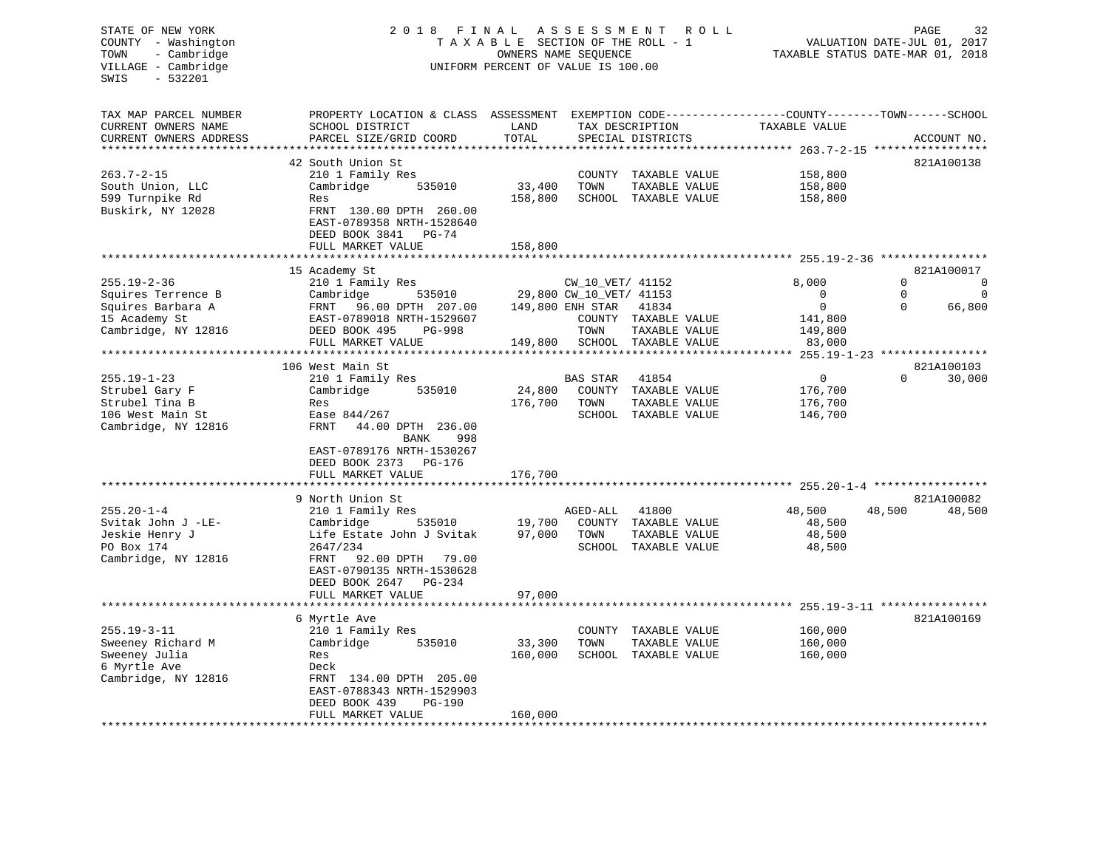# STATE OF NEW YORK 2 0 1 8 F I N A L A S S E S S M E N T R O L L PAGE 32 COUNTY - Washington T A X A B L E SECTION OF THE ROLL - 1 VALUATION DATE-JUL 01, 2017 TOWN - Cambridge OWNERS NAME SEQUENCE TAXABLE STATUS DATE-MAR 01, 2018 VILLAGE - Cambridge **UNIFORM PERCENT OF VALUE** IS 100.00

| EXEMPTION CODE-----------------COUNTY-------TOWN------SCHOOL<br>CURRENT OWNERS NAME<br>SCHOOL DISTRICT<br>LAND<br>TAX DESCRIPTION<br>TAXABLE VALUE<br>TOTAL<br>CURRENT OWNERS ADDRESS<br>PARCEL SIZE/GRID COORD<br>SPECIAL DISTRICTS<br>ACCOUNT NO.<br>42 South Union St<br>821A100138<br>$263.7 - 2 - 15$<br>210 1 Family Res<br>COUNTY TAXABLE VALUE<br>158,800<br>South Union, LLC<br>Cambridge<br>535010<br>33,400<br>TOWN<br>TAXABLE VALUE<br>158,800<br>599 Turnpike Rd<br>158,800<br>SCHOOL TAXABLE VALUE<br>158,800<br>Res<br>FRNT 130.00 DPTH 260.00<br>EAST-0789358 NRTH-1528640<br>DEED BOOK 3841<br>PG-74<br>FULL MARKET VALUE<br>158,800<br>*********************<br>821A100017<br>15 Academy St<br>$255.19 - 2 - 36$<br>210 1 Family Res<br>CW_10_VET/ 41152<br>8,000<br>$\Omega$<br>0<br>535010<br>29,800 CW_10_VET/ 41153<br>$\mathbf 0$<br>Squires Terrence B<br>$\mathbf{0}$<br>$\Omega$<br>Cambridge<br>$\mathbf 0$<br>Squires Barbara A<br>FRNT 96.00 DPTH 207.00<br>149,800 ENH STAR<br>41834<br>$\Omega$<br>66,800<br>15 Academy St<br>EAST-0789018 NRTH-1529607<br>COUNTY TAXABLE VALUE<br>141,800<br>Cambridge, NY 12816<br>DEED BOOK 495<br>TOWN<br>TAXABLE VALUE<br>PG-998<br>149,800<br>FULL MARKET VALUE<br>149,800<br>SCHOOL TAXABLE VALUE<br>83,000<br>***********************<br>********** 255.19-1-23 ****************<br>106 West Main St<br>821A100103<br>$255.19 - 1 - 23$<br>$\overline{0}$<br>$\Omega$<br>30,000<br>210 1 Family Res<br>BAS STAR<br>41854<br>535010<br>24,800<br>Strubel Gary F<br>Cambridge<br>COUNTY TAXABLE VALUE<br>176,700<br>Strubel Tina B<br>176,700<br>TOWN<br>TAXABLE VALUE<br>176,700<br>Res<br>106 West Main St<br>Ease 844/267<br>SCHOOL TAXABLE VALUE<br>146,700<br>FRNT<br>44.00 DPTH 236.00<br><b>BANK</b><br>998<br>EAST-0789176 NRTH-1530267<br>DEED BOOK 2373 PG-176<br>176,700<br>FULL MARKET VALUE<br>9 North Union St<br>821A100082<br>210 1 Family Res<br>41800<br>48,500<br>48,500<br>48,500<br>AGED-ALL<br>19,700<br>535010<br>COUNTY TAXABLE VALUE<br>48,500<br>Cambridge<br>Life Estate John J Svitak<br>97,000<br>TOWN<br>TAXABLE VALUE<br>48,500<br>SCHOOL TAXABLE VALUE<br>2647/234<br>48,500<br>FRNT<br>92.00 DPTH 79.00<br>EAST-0790135 NRTH-1530628<br>DEED BOOK 2647<br>$PG-234$<br>97,000<br>FULL MARKET VALUE<br>821A100169<br>6 Myrtle Ave<br>$255.19 - 3 - 11$<br>210 1 Family Res<br>TAXABLE VALUE<br>160,000<br>COUNTY<br>Cambridge<br>535010<br>33,300<br>TOWN<br>TAXABLE VALUE<br>160,000<br>160,000<br>SCHOOL TAXABLE VALUE<br>160,000<br>Res<br>Deck<br>Cambridge, NY 12816<br>FRNT 134.00 DPTH 205.00<br>EAST-0788343 NRTH-1529903<br>DEED BOOK 439<br>PG-190<br>FULL MARKET VALUE<br>160,000 | TAX MAP PARCEL NUMBER | PROPERTY LOCATION & CLASS ASSESSMENT |  |  |  |
|--------------------------------------------------------------------------------------------------------------------------------------------------------------------------------------------------------------------------------------------------------------------------------------------------------------------------------------------------------------------------------------------------------------------------------------------------------------------------------------------------------------------------------------------------------------------------------------------------------------------------------------------------------------------------------------------------------------------------------------------------------------------------------------------------------------------------------------------------------------------------------------------------------------------------------------------------------------------------------------------------------------------------------------------------------------------------------------------------------------------------------------------------------------------------------------------------------------------------------------------------------------------------------------------------------------------------------------------------------------------------------------------------------------------------------------------------------------------------------------------------------------------------------------------------------------------------------------------------------------------------------------------------------------------------------------------------------------------------------------------------------------------------------------------------------------------------------------------------------------------------------------------------------------------------------------------------------------------------------------------------------------------------------------------------------------------------------------------------------------------------------------------------------------------------------------------------------------------------------------------------------------------------------------------------------------------------------------------------------------------------------------------------------------------------------------------------------------------------------------------------------------------------------------------------------------------------------------------------------------------------------------------------------------------------------------------------|-----------------------|--------------------------------------|--|--|--|
|                                                                                                                                                                                                                                                                                                                                                                                                                                                                                                                                                                                                                                                                                                                                                                                                                                                                                                                                                                                                                                                                                                                                                                                                                                                                                                                                                                                                                                                                                                                                                                                                                                                                                                                                                                                                                                                                                                                                                                                                                                                                                                                                                                                                                                                                                                                                                                                                                                                                                                                                                                                                                                                                                                  |                       |                                      |  |  |  |
|                                                                                                                                                                                                                                                                                                                                                                                                                                                                                                                                                                                                                                                                                                                                                                                                                                                                                                                                                                                                                                                                                                                                                                                                                                                                                                                                                                                                                                                                                                                                                                                                                                                                                                                                                                                                                                                                                                                                                                                                                                                                                                                                                                                                                                                                                                                                                                                                                                                                                                                                                                                                                                                                                                  |                       |                                      |  |  |  |
|                                                                                                                                                                                                                                                                                                                                                                                                                                                                                                                                                                                                                                                                                                                                                                                                                                                                                                                                                                                                                                                                                                                                                                                                                                                                                                                                                                                                                                                                                                                                                                                                                                                                                                                                                                                                                                                                                                                                                                                                                                                                                                                                                                                                                                                                                                                                                                                                                                                                                                                                                                                                                                                                                                  |                       |                                      |  |  |  |
|                                                                                                                                                                                                                                                                                                                                                                                                                                                                                                                                                                                                                                                                                                                                                                                                                                                                                                                                                                                                                                                                                                                                                                                                                                                                                                                                                                                                                                                                                                                                                                                                                                                                                                                                                                                                                                                                                                                                                                                                                                                                                                                                                                                                                                                                                                                                                                                                                                                                                                                                                                                                                                                                                                  |                       |                                      |  |  |  |
|                                                                                                                                                                                                                                                                                                                                                                                                                                                                                                                                                                                                                                                                                                                                                                                                                                                                                                                                                                                                                                                                                                                                                                                                                                                                                                                                                                                                                                                                                                                                                                                                                                                                                                                                                                                                                                                                                                                                                                                                                                                                                                                                                                                                                                                                                                                                                                                                                                                                                                                                                                                                                                                                                                  |                       |                                      |  |  |  |
|                                                                                                                                                                                                                                                                                                                                                                                                                                                                                                                                                                                                                                                                                                                                                                                                                                                                                                                                                                                                                                                                                                                                                                                                                                                                                                                                                                                                                                                                                                                                                                                                                                                                                                                                                                                                                                                                                                                                                                                                                                                                                                                                                                                                                                                                                                                                                                                                                                                                                                                                                                                                                                                                                                  |                       |                                      |  |  |  |
|                                                                                                                                                                                                                                                                                                                                                                                                                                                                                                                                                                                                                                                                                                                                                                                                                                                                                                                                                                                                                                                                                                                                                                                                                                                                                                                                                                                                                                                                                                                                                                                                                                                                                                                                                                                                                                                                                                                                                                                                                                                                                                                                                                                                                                                                                                                                                                                                                                                                                                                                                                                                                                                                                                  |                       |                                      |  |  |  |
|                                                                                                                                                                                                                                                                                                                                                                                                                                                                                                                                                                                                                                                                                                                                                                                                                                                                                                                                                                                                                                                                                                                                                                                                                                                                                                                                                                                                                                                                                                                                                                                                                                                                                                                                                                                                                                                                                                                                                                                                                                                                                                                                                                                                                                                                                                                                                                                                                                                                                                                                                                                                                                                                                                  | Buskirk, NY 12028     |                                      |  |  |  |
|                                                                                                                                                                                                                                                                                                                                                                                                                                                                                                                                                                                                                                                                                                                                                                                                                                                                                                                                                                                                                                                                                                                                                                                                                                                                                                                                                                                                                                                                                                                                                                                                                                                                                                                                                                                                                                                                                                                                                                                                                                                                                                                                                                                                                                                                                                                                                                                                                                                                                                                                                                                                                                                                                                  |                       |                                      |  |  |  |
|                                                                                                                                                                                                                                                                                                                                                                                                                                                                                                                                                                                                                                                                                                                                                                                                                                                                                                                                                                                                                                                                                                                                                                                                                                                                                                                                                                                                                                                                                                                                                                                                                                                                                                                                                                                                                                                                                                                                                                                                                                                                                                                                                                                                                                                                                                                                                                                                                                                                                                                                                                                                                                                                                                  |                       |                                      |  |  |  |
|                                                                                                                                                                                                                                                                                                                                                                                                                                                                                                                                                                                                                                                                                                                                                                                                                                                                                                                                                                                                                                                                                                                                                                                                                                                                                                                                                                                                                                                                                                                                                                                                                                                                                                                                                                                                                                                                                                                                                                                                                                                                                                                                                                                                                                                                                                                                                                                                                                                                                                                                                                                                                                                                                                  |                       |                                      |  |  |  |
|                                                                                                                                                                                                                                                                                                                                                                                                                                                                                                                                                                                                                                                                                                                                                                                                                                                                                                                                                                                                                                                                                                                                                                                                                                                                                                                                                                                                                                                                                                                                                                                                                                                                                                                                                                                                                                                                                                                                                                                                                                                                                                                                                                                                                                                                                                                                                                                                                                                                                                                                                                                                                                                                                                  |                       |                                      |  |  |  |
|                                                                                                                                                                                                                                                                                                                                                                                                                                                                                                                                                                                                                                                                                                                                                                                                                                                                                                                                                                                                                                                                                                                                                                                                                                                                                                                                                                                                                                                                                                                                                                                                                                                                                                                                                                                                                                                                                                                                                                                                                                                                                                                                                                                                                                                                                                                                                                                                                                                                                                                                                                                                                                                                                                  |                       |                                      |  |  |  |
|                                                                                                                                                                                                                                                                                                                                                                                                                                                                                                                                                                                                                                                                                                                                                                                                                                                                                                                                                                                                                                                                                                                                                                                                                                                                                                                                                                                                                                                                                                                                                                                                                                                                                                                                                                                                                                                                                                                                                                                                                                                                                                                                                                                                                                                                                                                                                                                                                                                                                                                                                                                                                                                                                                  |                       |                                      |  |  |  |
|                                                                                                                                                                                                                                                                                                                                                                                                                                                                                                                                                                                                                                                                                                                                                                                                                                                                                                                                                                                                                                                                                                                                                                                                                                                                                                                                                                                                                                                                                                                                                                                                                                                                                                                                                                                                                                                                                                                                                                                                                                                                                                                                                                                                                                                                                                                                                                                                                                                                                                                                                                                                                                                                                                  |                       |                                      |  |  |  |
|                                                                                                                                                                                                                                                                                                                                                                                                                                                                                                                                                                                                                                                                                                                                                                                                                                                                                                                                                                                                                                                                                                                                                                                                                                                                                                                                                                                                                                                                                                                                                                                                                                                                                                                                                                                                                                                                                                                                                                                                                                                                                                                                                                                                                                                                                                                                                                                                                                                                                                                                                                                                                                                                                                  |                       |                                      |  |  |  |
|                                                                                                                                                                                                                                                                                                                                                                                                                                                                                                                                                                                                                                                                                                                                                                                                                                                                                                                                                                                                                                                                                                                                                                                                                                                                                                                                                                                                                                                                                                                                                                                                                                                                                                                                                                                                                                                                                                                                                                                                                                                                                                                                                                                                                                                                                                                                                                                                                                                                                                                                                                                                                                                                                                  |                       |                                      |  |  |  |
|                                                                                                                                                                                                                                                                                                                                                                                                                                                                                                                                                                                                                                                                                                                                                                                                                                                                                                                                                                                                                                                                                                                                                                                                                                                                                                                                                                                                                                                                                                                                                                                                                                                                                                                                                                                                                                                                                                                                                                                                                                                                                                                                                                                                                                                                                                                                                                                                                                                                                                                                                                                                                                                                                                  |                       |                                      |  |  |  |
|                                                                                                                                                                                                                                                                                                                                                                                                                                                                                                                                                                                                                                                                                                                                                                                                                                                                                                                                                                                                                                                                                                                                                                                                                                                                                                                                                                                                                                                                                                                                                                                                                                                                                                                                                                                                                                                                                                                                                                                                                                                                                                                                                                                                                                                                                                                                                                                                                                                                                                                                                                                                                                                                                                  |                       |                                      |  |  |  |
|                                                                                                                                                                                                                                                                                                                                                                                                                                                                                                                                                                                                                                                                                                                                                                                                                                                                                                                                                                                                                                                                                                                                                                                                                                                                                                                                                                                                                                                                                                                                                                                                                                                                                                                                                                                                                                                                                                                                                                                                                                                                                                                                                                                                                                                                                                                                                                                                                                                                                                                                                                                                                                                                                                  |                       |                                      |  |  |  |
|                                                                                                                                                                                                                                                                                                                                                                                                                                                                                                                                                                                                                                                                                                                                                                                                                                                                                                                                                                                                                                                                                                                                                                                                                                                                                                                                                                                                                                                                                                                                                                                                                                                                                                                                                                                                                                                                                                                                                                                                                                                                                                                                                                                                                                                                                                                                                                                                                                                                                                                                                                                                                                                                                                  |                       |                                      |  |  |  |
|                                                                                                                                                                                                                                                                                                                                                                                                                                                                                                                                                                                                                                                                                                                                                                                                                                                                                                                                                                                                                                                                                                                                                                                                                                                                                                                                                                                                                                                                                                                                                                                                                                                                                                                                                                                                                                                                                                                                                                                                                                                                                                                                                                                                                                                                                                                                                                                                                                                                                                                                                                                                                                                                                                  |                       |                                      |  |  |  |
|                                                                                                                                                                                                                                                                                                                                                                                                                                                                                                                                                                                                                                                                                                                                                                                                                                                                                                                                                                                                                                                                                                                                                                                                                                                                                                                                                                                                                                                                                                                                                                                                                                                                                                                                                                                                                                                                                                                                                                                                                                                                                                                                                                                                                                                                                                                                                                                                                                                                                                                                                                                                                                                                                                  |                       |                                      |  |  |  |
|                                                                                                                                                                                                                                                                                                                                                                                                                                                                                                                                                                                                                                                                                                                                                                                                                                                                                                                                                                                                                                                                                                                                                                                                                                                                                                                                                                                                                                                                                                                                                                                                                                                                                                                                                                                                                                                                                                                                                                                                                                                                                                                                                                                                                                                                                                                                                                                                                                                                                                                                                                                                                                                                                                  | Cambridge, NY 12816   |                                      |  |  |  |
|                                                                                                                                                                                                                                                                                                                                                                                                                                                                                                                                                                                                                                                                                                                                                                                                                                                                                                                                                                                                                                                                                                                                                                                                                                                                                                                                                                                                                                                                                                                                                                                                                                                                                                                                                                                                                                                                                                                                                                                                                                                                                                                                                                                                                                                                                                                                                                                                                                                                                                                                                                                                                                                                                                  |                       |                                      |  |  |  |
|                                                                                                                                                                                                                                                                                                                                                                                                                                                                                                                                                                                                                                                                                                                                                                                                                                                                                                                                                                                                                                                                                                                                                                                                                                                                                                                                                                                                                                                                                                                                                                                                                                                                                                                                                                                                                                                                                                                                                                                                                                                                                                                                                                                                                                                                                                                                                                                                                                                                                                                                                                                                                                                                                                  |                       |                                      |  |  |  |
|                                                                                                                                                                                                                                                                                                                                                                                                                                                                                                                                                                                                                                                                                                                                                                                                                                                                                                                                                                                                                                                                                                                                                                                                                                                                                                                                                                                                                                                                                                                                                                                                                                                                                                                                                                                                                                                                                                                                                                                                                                                                                                                                                                                                                                                                                                                                                                                                                                                                                                                                                                                                                                                                                                  |                       |                                      |  |  |  |
|                                                                                                                                                                                                                                                                                                                                                                                                                                                                                                                                                                                                                                                                                                                                                                                                                                                                                                                                                                                                                                                                                                                                                                                                                                                                                                                                                                                                                                                                                                                                                                                                                                                                                                                                                                                                                                                                                                                                                                                                                                                                                                                                                                                                                                                                                                                                                                                                                                                                                                                                                                                                                                                                                                  |                       |                                      |  |  |  |
|                                                                                                                                                                                                                                                                                                                                                                                                                                                                                                                                                                                                                                                                                                                                                                                                                                                                                                                                                                                                                                                                                                                                                                                                                                                                                                                                                                                                                                                                                                                                                                                                                                                                                                                                                                                                                                                                                                                                                                                                                                                                                                                                                                                                                                                                                                                                                                                                                                                                                                                                                                                                                                                                                                  | $255.20 - 1 - 4$      |                                      |  |  |  |
|                                                                                                                                                                                                                                                                                                                                                                                                                                                                                                                                                                                                                                                                                                                                                                                                                                                                                                                                                                                                                                                                                                                                                                                                                                                                                                                                                                                                                                                                                                                                                                                                                                                                                                                                                                                                                                                                                                                                                                                                                                                                                                                                                                                                                                                                                                                                                                                                                                                                                                                                                                                                                                                                                                  | Svitak John J -LE-    |                                      |  |  |  |
|                                                                                                                                                                                                                                                                                                                                                                                                                                                                                                                                                                                                                                                                                                                                                                                                                                                                                                                                                                                                                                                                                                                                                                                                                                                                                                                                                                                                                                                                                                                                                                                                                                                                                                                                                                                                                                                                                                                                                                                                                                                                                                                                                                                                                                                                                                                                                                                                                                                                                                                                                                                                                                                                                                  | Jeskie Henry J        |                                      |  |  |  |
|                                                                                                                                                                                                                                                                                                                                                                                                                                                                                                                                                                                                                                                                                                                                                                                                                                                                                                                                                                                                                                                                                                                                                                                                                                                                                                                                                                                                                                                                                                                                                                                                                                                                                                                                                                                                                                                                                                                                                                                                                                                                                                                                                                                                                                                                                                                                                                                                                                                                                                                                                                                                                                                                                                  | PO Box 174            |                                      |  |  |  |
|                                                                                                                                                                                                                                                                                                                                                                                                                                                                                                                                                                                                                                                                                                                                                                                                                                                                                                                                                                                                                                                                                                                                                                                                                                                                                                                                                                                                                                                                                                                                                                                                                                                                                                                                                                                                                                                                                                                                                                                                                                                                                                                                                                                                                                                                                                                                                                                                                                                                                                                                                                                                                                                                                                  | Cambridge, NY 12816   |                                      |  |  |  |
|                                                                                                                                                                                                                                                                                                                                                                                                                                                                                                                                                                                                                                                                                                                                                                                                                                                                                                                                                                                                                                                                                                                                                                                                                                                                                                                                                                                                                                                                                                                                                                                                                                                                                                                                                                                                                                                                                                                                                                                                                                                                                                                                                                                                                                                                                                                                                                                                                                                                                                                                                                                                                                                                                                  |                       |                                      |  |  |  |
|                                                                                                                                                                                                                                                                                                                                                                                                                                                                                                                                                                                                                                                                                                                                                                                                                                                                                                                                                                                                                                                                                                                                                                                                                                                                                                                                                                                                                                                                                                                                                                                                                                                                                                                                                                                                                                                                                                                                                                                                                                                                                                                                                                                                                                                                                                                                                                                                                                                                                                                                                                                                                                                                                                  |                       |                                      |  |  |  |
|                                                                                                                                                                                                                                                                                                                                                                                                                                                                                                                                                                                                                                                                                                                                                                                                                                                                                                                                                                                                                                                                                                                                                                                                                                                                                                                                                                                                                                                                                                                                                                                                                                                                                                                                                                                                                                                                                                                                                                                                                                                                                                                                                                                                                                                                                                                                                                                                                                                                                                                                                                                                                                                                                                  |                       |                                      |  |  |  |
|                                                                                                                                                                                                                                                                                                                                                                                                                                                                                                                                                                                                                                                                                                                                                                                                                                                                                                                                                                                                                                                                                                                                                                                                                                                                                                                                                                                                                                                                                                                                                                                                                                                                                                                                                                                                                                                                                                                                                                                                                                                                                                                                                                                                                                                                                                                                                                                                                                                                                                                                                                                                                                                                                                  |                       |                                      |  |  |  |
|                                                                                                                                                                                                                                                                                                                                                                                                                                                                                                                                                                                                                                                                                                                                                                                                                                                                                                                                                                                                                                                                                                                                                                                                                                                                                                                                                                                                                                                                                                                                                                                                                                                                                                                                                                                                                                                                                                                                                                                                                                                                                                                                                                                                                                                                                                                                                                                                                                                                                                                                                                                                                                                                                                  |                       |                                      |  |  |  |
|                                                                                                                                                                                                                                                                                                                                                                                                                                                                                                                                                                                                                                                                                                                                                                                                                                                                                                                                                                                                                                                                                                                                                                                                                                                                                                                                                                                                                                                                                                                                                                                                                                                                                                                                                                                                                                                                                                                                                                                                                                                                                                                                                                                                                                                                                                                                                                                                                                                                                                                                                                                                                                                                                                  |                       |                                      |  |  |  |
|                                                                                                                                                                                                                                                                                                                                                                                                                                                                                                                                                                                                                                                                                                                                                                                                                                                                                                                                                                                                                                                                                                                                                                                                                                                                                                                                                                                                                                                                                                                                                                                                                                                                                                                                                                                                                                                                                                                                                                                                                                                                                                                                                                                                                                                                                                                                                                                                                                                                                                                                                                                                                                                                                                  | Sweeney Richard M     |                                      |  |  |  |
|                                                                                                                                                                                                                                                                                                                                                                                                                                                                                                                                                                                                                                                                                                                                                                                                                                                                                                                                                                                                                                                                                                                                                                                                                                                                                                                                                                                                                                                                                                                                                                                                                                                                                                                                                                                                                                                                                                                                                                                                                                                                                                                                                                                                                                                                                                                                                                                                                                                                                                                                                                                                                                                                                                  | Sweeney Julia         |                                      |  |  |  |
|                                                                                                                                                                                                                                                                                                                                                                                                                                                                                                                                                                                                                                                                                                                                                                                                                                                                                                                                                                                                                                                                                                                                                                                                                                                                                                                                                                                                                                                                                                                                                                                                                                                                                                                                                                                                                                                                                                                                                                                                                                                                                                                                                                                                                                                                                                                                                                                                                                                                                                                                                                                                                                                                                                  | 6 Myrtle Ave          |                                      |  |  |  |
|                                                                                                                                                                                                                                                                                                                                                                                                                                                                                                                                                                                                                                                                                                                                                                                                                                                                                                                                                                                                                                                                                                                                                                                                                                                                                                                                                                                                                                                                                                                                                                                                                                                                                                                                                                                                                                                                                                                                                                                                                                                                                                                                                                                                                                                                                                                                                                                                                                                                                                                                                                                                                                                                                                  |                       |                                      |  |  |  |
|                                                                                                                                                                                                                                                                                                                                                                                                                                                                                                                                                                                                                                                                                                                                                                                                                                                                                                                                                                                                                                                                                                                                                                                                                                                                                                                                                                                                                                                                                                                                                                                                                                                                                                                                                                                                                                                                                                                                                                                                                                                                                                                                                                                                                                                                                                                                                                                                                                                                                                                                                                                                                                                                                                  |                       |                                      |  |  |  |
|                                                                                                                                                                                                                                                                                                                                                                                                                                                                                                                                                                                                                                                                                                                                                                                                                                                                                                                                                                                                                                                                                                                                                                                                                                                                                                                                                                                                                                                                                                                                                                                                                                                                                                                                                                                                                                                                                                                                                                                                                                                                                                                                                                                                                                                                                                                                                                                                                                                                                                                                                                                                                                                                                                  |                       |                                      |  |  |  |
|                                                                                                                                                                                                                                                                                                                                                                                                                                                                                                                                                                                                                                                                                                                                                                                                                                                                                                                                                                                                                                                                                                                                                                                                                                                                                                                                                                                                                                                                                                                                                                                                                                                                                                                                                                                                                                                                                                                                                                                                                                                                                                                                                                                                                                                                                                                                                                                                                                                                                                                                                                                                                                                                                                  |                       |                                      |  |  |  |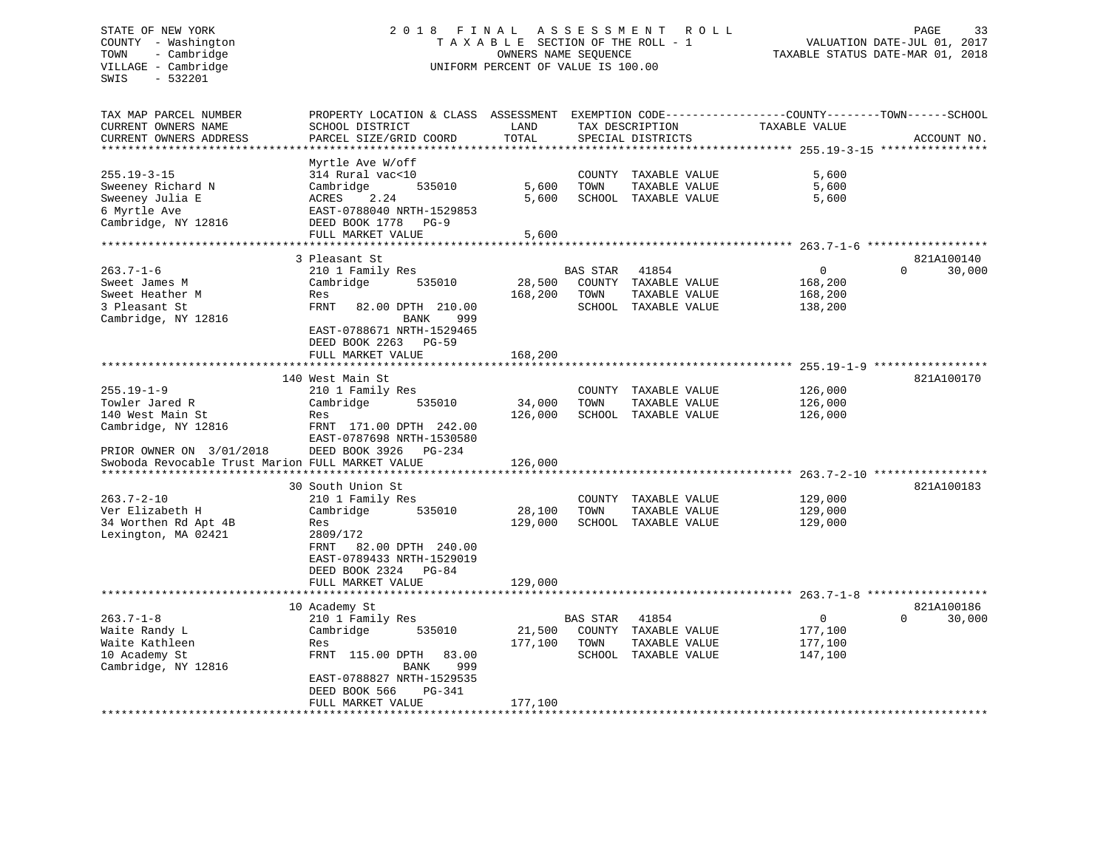# STATE OF NEW YORK 2 0 1 8 F I N A L A S S E S S M E N T R O L L PAGE 33 COUNTY - Washington T A X A B L E SECTION OF THE ROLL - 1 VALUATION DATE-JUL 01, 2017 TOWN - Cambridge OWNERS NAME SEQUENCE TAXABLE STATUS DATE-MAR 01, 2018 VILLAGE - Cambridge **UNIFORM PERCENT OF VALUE** IS 100.00

| TAX MAP PARCEL NUMBER<br>CURRENT OWNERS NAME<br>CURRENT OWNERS ADDRESS                                                                                        | PROPERTY LOCATION & CLASS ASSESSMENT<br>SCHOOL DISTRICT<br>PARCEL SIZE/GRID COORD                                                                                                                      | LAND<br>TOTAL                |                          | TAX DESCRIPTION<br>SPECIAL DISTRICTS                                   | EXEMPTION CODE-----------------COUNTY-------TOWN------SCHOOL<br>TAXABLE VALUE | ACCOUNT NO.                      |
|---------------------------------------------------------------------------------------------------------------------------------------------------------------|--------------------------------------------------------------------------------------------------------------------------------------------------------------------------------------------------------|------------------------------|--------------------------|------------------------------------------------------------------------|-------------------------------------------------------------------------------|----------------------------------|
| *********************                                                                                                                                         |                                                                                                                                                                                                        |                              |                          |                                                                        |                                                                               |                                  |
| $255.19 - 3 - 15$<br>Sweeney Richard N<br>Sweeney Julia E<br>6 Myrtle Ave<br>Cambridge, NY 12816                                                              | Myrtle Ave W/off<br>314 Rural vac<10<br>Cambridge<br>535010<br>2.24<br>ACRES<br>EAST-0788040 NRTH-1529853<br>DEED BOOK 1778<br>$PG-9$<br>FULL MARKET VALUE                                             | 5,600<br>5,600<br>5,600      | TOWN                     | COUNTY TAXABLE VALUE<br>TAXABLE VALUE<br>SCHOOL TAXABLE VALUE          | 5,600<br>5,600<br>5,600                                                       |                                  |
|                                                                                                                                                               |                                                                                                                                                                                                        |                              |                          |                                                                        | ********* 263.7-1-6                                                           |                                  |
| $263.7 - 1 - 6$<br>Sweet James M<br>Sweet Heather M<br>3 Pleasant St<br>Cambridge, NY 12816                                                                   | 3 Pleasant St<br>210 1 Family Res<br>Cambridge<br>535010<br>Res<br>FRNT<br>82.00 DPTH 210.00<br>999<br><b>BANK</b><br>EAST-0788671 NRTH-1529465<br>DEED BOOK 2263<br><b>PG-59</b><br>FULL MARKET VALUE | 28,500<br>168,200<br>168,200 | <b>BAS STAR</b><br>TOWN  | 41854<br>COUNTY TAXABLE VALUE<br>TAXABLE VALUE<br>SCHOOL TAXABLE VALUE | 0<br>168,200<br>168,200<br>138,200                                            | 821A100140<br>$\Omega$<br>30,000 |
|                                                                                                                                                               | 140 West Main St                                                                                                                                                                                       |                              |                          |                                                                        |                                                                               | 821A100170                       |
| $255.19 - 1 - 9$<br>Towler Jared R<br>140 West Main St<br>Cambridge, NY 12816<br>PRIOR OWNER ON 3/01/2018<br>Swoboda Revocable Trust Marion FULL MARKET VALUE | 210 1 Family Res<br>Cambridge<br>535010<br>Res<br>FRNT 171.00 DPTH 242.00<br>EAST-0787698 NRTH-1530580<br>DEED BOOK 3926<br>PG-234                                                                     | 34,000<br>126,000<br>126,000 | TOWN                     | COUNTY TAXABLE VALUE<br>TAXABLE VALUE<br>SCHOOL TAXABLE VALUE          | 126,000<br>126,000<br>126,000                                                 |                                  |
|                                                                                                                                                               |                                                                                                                                                                                                        |                              |                          |                                                                        |                                                                               |                                  |
| $263.7 - 2 - 10$<br>Ver Elizabeth H<br>34 Worthen Rd Apt 4B<br>Lexington, MA 02421                                                                            | 30 South Union St<br>210 1 Family Res<br>Cambridge<br>535010<br>Res<br>2809/172<br>FRNT<br>82.00 DPTH 240.00<br>EAST-0789433 NRTH-1529019<br>DEED BOOK 2324<br>$PG-84$<br>FULL MARKET VALUE            | 28,100<br>129,000<br>129,000 | COUNTY<br>TOWN<br>SCHOOL | TAXABLE VALUE<br>TAXABLE VALUE<br>TAXABLE VALUE                        | 129,000<br>129,000<br>129,000                                                 | 821A100183                       |
|                                                                                                                                                               | *********************                                                                                                                                                                                  |                              |                          |                                                                        |                                                                               |                                  |
| $263.7 - 1 - 8$<br>Waite Randy L<br>Waite Kathleen<br>10 Academy St<br>Cambridge, NY 12816                                                                    | 10 Academy St<br>210 1 Family Res<br>Cambridge<br>535010<br>Res<br>FRNT 115.00 DPTH<br>83.00<br><b>BANK</b><br>999<br>EAST-0788827 NRTH-1529535<br>DEED BOOK 566<br>PG-341<br>FULL MARKET VALUE        | 21,500<br>177,100<br>177,100 | <b>BAS STAR</b><br>TOWN  | 41854<br>COUNTY TAXABLE VALUE<br>TAXABLE VALUE<br>SCHOOL TAXABLE VALUE | $\mathbf{0}$<br>177,100<br>177,100<br>147,100                                 | 821A100186<br>30,000<br>$\Omega$ |
|                                                                                                                                                               |                                                                                                                                                                                                        |                              |                          |                                                                        |                                                                               |                                  |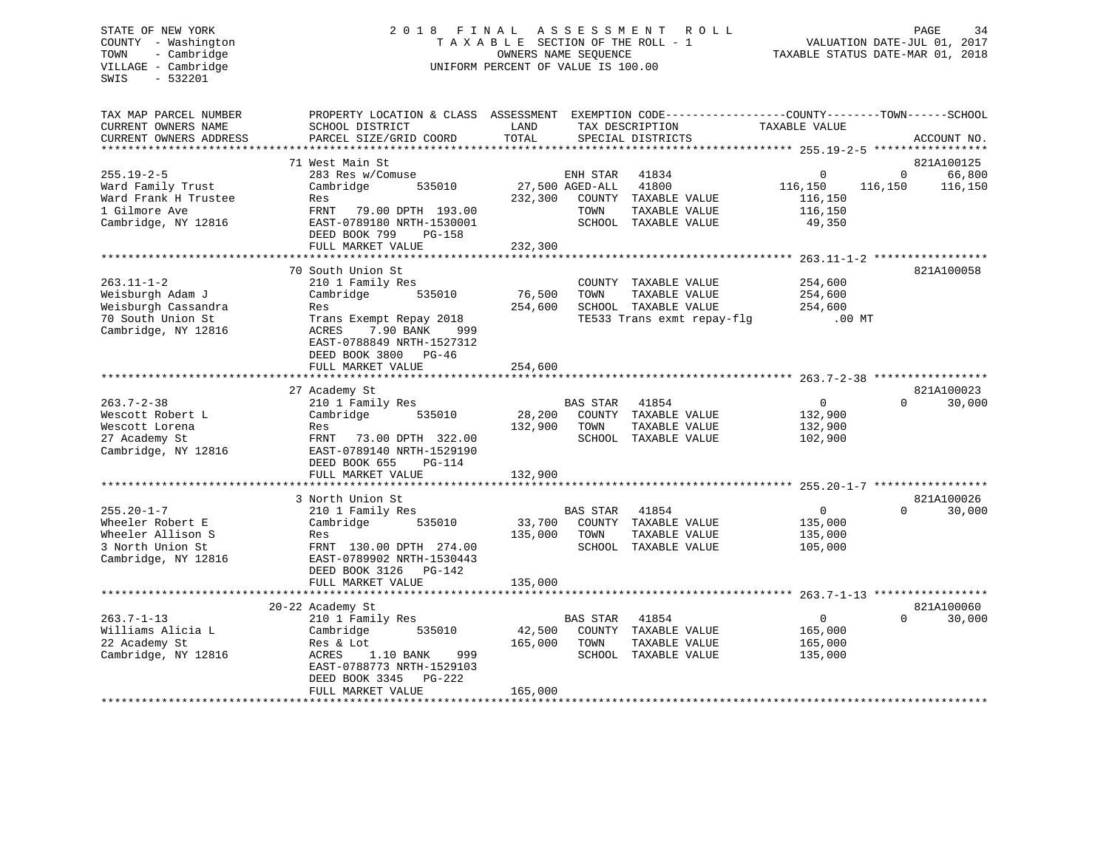# STATE OF NEW YORK 2 0 1 8 F I N A L A S S E S S M E N T R O L L PAGE 34 COUNTY - Washington T A X A B L E SECTION OF THE ROLL - 1 VALUATION DATE-JUL 01, 2017 TOWN - Cambridge OWNERS NAME SEQUENCE TAXABLE STATUS DATE-MAR 01, 2018 VILLAGE - Cambridge **UNIFORM PERCENT OF VALUE** IS 100.00

| TAX MAP PARCEL NUMBER<br>CURRENT OWNERS NAME<br>CURRENT OWNERS ADDRESS                               | PROPERTY LOCATION & CLASS ASSESSMENT<br>SCHOOL DISTRICT<br>PARCEL SIZE/GRID COORD                                                          | LAND<br>TOTAL     | TAX DESCRIPTION<br>SPECIAL DISTRICTS |                                                                                             | EXEMPTION CODE-----------------COUNTY-------TOWN------SCHOOL<br>TAXABLE VALUE |                        | ACCOUNT NO.          |
|------------------------------------------------------------------------------------------------------|--------------------------------------------------------------------------------------------------------------------------------------------|-------------------|--------------------------------------|---------------------------------------------------------------------------------------------|-------------------------------------------------------------------------------|------------------------|----------------------|
|                                                                                                      |                                                                                                                                            |                   |                                      |                                                                                             |                                                                               |                        |                      |
|                                                                                                      | 71 West Main St                                                                                                                            |                   |                                      |                                                                                             |                                                                               |                        | 821A100125           |
| $255.19 - 2 - 5$<br>Ward Family Trust<br>Ward Frank H Trustee<br>1 Gilmore Ave                       | 283 Res w/Comuse<br>Cambridge<br>535010<br>Res<br>FRNT<br>79.00 DPTH 193.00                                                                | 232,300           | ENH STAR<br>27,500 AGED-ALL<br>TOWN  | 41834<br>41800<br>COUNTY TAXABLE VALUE<br>TAXABLE VALUE                                     | $\mathbf 0$<br>116,150<br>116,150<br>116,150                                  | $\mathbf 0$<br>116,150 | 66,800<br>116,150    |
| Cambridge, NY 12816                                                                                  | EAST-0789180 NRTH-1530001<br>DEED BOOK 799<br>PG-158<br>FULL MARKET VALUE                                                                  | 232,300           |                                      | SCHOOL TAXABLE VALUE                                                                        | 49,350                                                                        |                        |                      |
|                                                                                                      |                                                                                                                                            |                   |                                      |                                                                                             |                                                                               |                        |                      |
| $263.11 - 1 - 2$<br>Weisburgh Adam J<br>Weisburgh Cassandra<br>70 South Union St                     | 70 South Union St<br>210 1 Family Res<br>Cambridge<br>535010<br>Res<br>Trans Exempt Repay 2018                                             | 76,500<br>254,600 | TOWN                                 | COUNTY TAXABLE VALUE<br>TAXABLE VALUE<br>SCHOOL TAXABLE VALUE<br>TE533 Trans exmt repay-flg | 254,600<br>254,600<br>254,600<br>$.00$ MT                                     |                        | 821A100058           |
| Cambridge, NY 12816                                                                                  | 7.90 BANK<br>ACRES<br>999<br>EAST-0788849 NRTH-1527312<br>DEED BOOK 3800<br>PG-46<br>FULL MARKET VALUE                                     | 254,600           |                                      |                                                                                             |                                                                               |                        |                      |
|                                                                                                      |                                                                                                                                            |                   |                                      |                                                                                             |                                                                               |                        |                      |
| $263.7 - 2 - 38$<br>Wescott Robert L<br>Wescott Lorena                                               | 27 Academy St<br>210 1 Family Res<br>Cambridge<br>535010<br>Res                                                                            | 28,200<br>132,900 | <b>BAS STAR</b><br>TOWN              | 41854<br>COUNTY TAXABLE VALUE<br>TAXABLE VALUE                                              | $\Omega$<br>132,900<br>132,900                                                | $\Omega$               | 821A100023<br>30,000 |
| 27 Academy St<br>Cambridge, NY 12816                                                                 | 73.00 DPTH 322.00<br>FRNT<br>EAST-0789140 NRTH-1529190<br>DEED BOOK 655<br>PG-114                                                          |                   |                                      | SCHOOL TAXABLE VALUE                                                                        | 102,900                                                                       |                        |                      |
|                                                                                                      | FULL MARKET VALUE                                                                                                                          | 132,900           |                                      |                                                                                             |                                                                               |                        |                      |
|                                                                                                      | 3 North Union St                                                                                                                           |                   |                                      |                                                                                             |                                                                               |                        | 821A100026           |
| $255.20 - 1 - 7$<br>Wheeler Robert E<br>Wheeler Allison S<br>3 North Union St<br>Cambridge, NY 12816 | 210 1 Family Res<br>Cambridge<br>535010<br>Res<br>FRNT 130.00 DPTH 274.00<br>EAST-0789902 NRTH-1530443                                     | 33,700<br>135,000 | <b>BAS STAR</b><br>TOWN              | 41854<br>COUNTY TAXABLE VALUE<br>TAXABLE VALUE<br>SCHOOL TAXABLE VALUE                      | $\mathbf{0}$<br>135,000<br>135,000<br>105,000                                 | $\Omega$               | 30,000               |
|                                                                                                      | DEED BOOK 3126<br>PG-142<br>FULL MARKET VALUE                                                                                              | 135,000           |                                      |                                                                                             |                                                                               |                        |                      |
|                                                                                                      |                                                                                                                                            |                   |                                      |                                                                                             |                                                                               |                        |                      |
|                                                                                                      | 20-22 Academy St                                                                                                                           |                   |                                      |                                                                                             |                                                                               |                        | 821A100060           |
| $263.7 - 1 - 13$<br>Williams Alicia L<br>22 Academy St<br>Cambridge, NY 12816                        | 210 1 Family Res<br>Cambridge<br>535010<br>Res & Lot<br>1.10 BANK<br>999<br>ACRES<br>EAST-0788773 NRTH-1529103<br>DEED BOOK 3345<br>PG-222 | 42,500<br>165,000 | <b>BAS STAR</b><br>TOWN              | 41854<br>COUNTY TAXABLE VALUE<br>TAXABLE VALUE<br>SCHOOL TAXABLE VALUE                      | $\mathbf{0}$<br>165,000<br>165,000<br>135,000                                 | $\Omega$               | 30,000               |
|                                                                                                      | FULL MARKET VALUE                                                                                                                          | 165,000           |                                      | *******************************                                                             |                                                                               |                        |                      |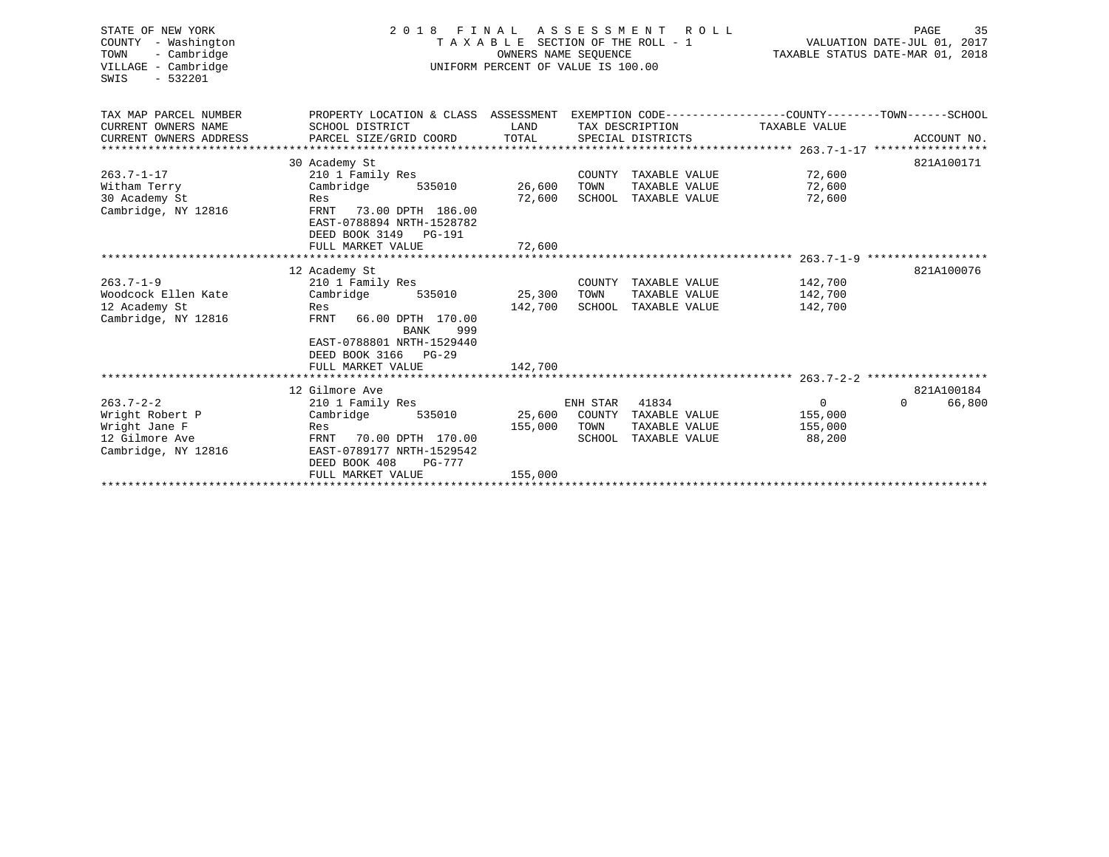| STATE OF NEW YORK<br>COUNTY - Washington<br>TOWN<br>- Cambridge<br>VILLAGE - Cambridge<br>$-532201$<br>SWIS | 2 0 1 8<br>FINAL<br>TAXABLE<br>UNIFORM PERCENT OF VALUE IS 100.00                                | TAXABLE STATUS DATE-MAR 01, 2018 | PAGE<br>35<br>VALUATION DATE-JUL 01, 2017 |                      |                |                    |
|-------------------------------------------------------------------------------------------------------------|--------------------------------------------------------------------------------------------------|----------------------------------|-------------------------------------------|----------------------|----------------|--------------------|
|                                                                                                             |                                                                                                  |                                  |                                           |                      |                |                    |
| TAX MAP PARCEL NUMBER                                                                                       | PROPERTY LOCATION & CLASS ASSESSMENT EXEMPTION CODE----------------COUNTY-------TOWN------SCHOOL |                                  |                                           |                      |                |                    |
| CURRENT OWNERS NAME                                                                                         | SCHOOL DISTRICT                                                                                  | LAND                             |                                           | TAX DESCRIPTION      | TAXABLE VALUE  |                    |
| CURRENT OWNERS ADDRESS                                                                                      | PARCEL SIZE/GRID COORD                                                                           | TOTAL                            |                                           | SPECIAL DISTRICTS    |                | ACCOUNT NO.        |
|                                                                                                             |                                                                                                  |                                  |                                           |                      |                | 821A100171         |
| $263.7 - 1 - 17$                                                                                            | 30 Academy St<br>210 1 Family Res                                                                |                                  |                                           | COUNTY TAXABLE VALUE | 72,600         |                    |
| Witham Terry                                                                                                | Cambridge<br>535010                                                                              | 26,600                           | TOWN                                      | TAXABLE VALUE        | 72,600         |                    |
| 30 Academy St                                                                                               | Res                                                                                              | 72,600                           |                                           | SCHOOL TAXABLE VALUE | 72,600         |                    |
| Cambridge, NY 12816                                                                                         | FRNT<br>73.00 DPTH 186.00                                                                        |                                  |                                           |                      |                |                    |
|                                                                                                             | EAST-0788894 NRTH-1528782                                                                        |                                  |                                           |                      |                |                    |
|                                                                                                             | DEED BOOK 3149<br>PG-191                                                                         |                                  |                                           |                      |                |                    |
|                                                                                                             | FULL MARKET VALUE                                                                                | 72,600                           |                                           |                      |                |                    |
|                                                                                                             |                                                                                                  |                                  |                                           |                      |                |                    |
|                                                                                                             | 12 Academy St                                                                                    |                                  |                                           |                      |                | 821A100076         |
| $263.7 - 1 - 9$                                                                                             | 210 1 Family Res                                                                                 |                                  |                                           | COUNTY TAXABLE VALUE | 142,700        |                    |
| Woodcock Ellen Kate                                                                                         | Cambridge<br>535010                                                                              | 25,300                           | TOWN                                      | TAXABLE VALUE        | 142,700        |                    |
| 12 Academy St                                                                                               | Res                                                                                              | 142,700                          | SCHOOL                                    | TAXABLE VALUE        | 142,700        |                    |
| Cambridge, NY 12816                                                                                         | FRNT<br>66.00 DPTH 170.00<br><b>BANK</b><br>999                                                  |                                  |                                           |                      |                |                    |
|                                                                                                             | EAST-0788801 NRTH-1529440                                                                        |                                  |                                           |                      |                |                    |
|                                                                                                             | DEED BOOK 3166<br>PG-29                                                                          |                                  |                                           |                      |                |                    |
|                                                                                                             | FULL MARKET VALUE                                                                                | 142,700                          |                                           |                      |                |                    |
|                                                                                                             |                                                                                                  |                                  |                                           |                      |                |                    |
|                                                                                                             | 12 Gilmore Ave                                                                                   |                                  |                                           |                      |                | 821A100184         |
| $263.7 - 2 - 2$                                                                                             | 210 1 Family Res                                                                                 |                                  | ENH STAR                                  | 41834                | $\overline{0}$ | 66,800<br>$\Omega$ |
| Wright Robert P                                                                                             | Cambridge<br>535010                                                                              | 25,600                           | COUNTY                                    | TAXABLE VALUE        | 155,000        |                    |
| Wright Jane F                                                                                               | Res                                                                                              | 155,000                          | TOWN                                      | TAXABLE VALUE        | 155,000        |                    |
| 12 Gilmore Ave                                                                                              | FRNT<br>70.00 DPTH 170.00                                                                        |                                  |                                           | SCHOOL TAXABLE VALUE | 88,200         |                    |
| Cambridge, NY 12816                                                                                         | EAST-0789177 NRTH-1529542                                                                        |                                  |                                           |                      |                |                    |
|                                                                                                             | DEED BOOK 408<br><b>PG-777</b>                                                                   |                                  |                                           |                      |                |                    |
|                                                                                                             | FULL MARKET VALUE                                                                                | 155,000                          |                                           |                      |                |                    |
|                                                                                                             |                                                                                                  |                                  |                                           |                      |                |                    |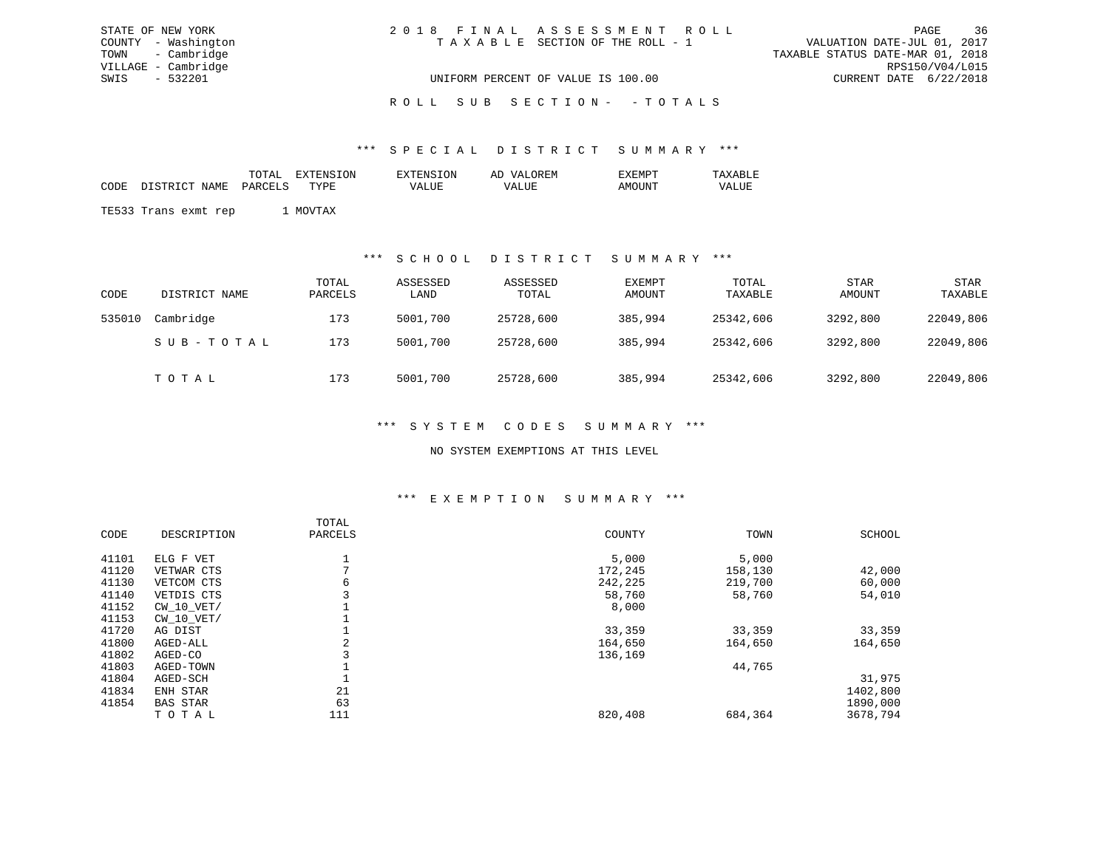| STATE OF NEW YORK   | 2018 FINAL ASSESSMENT ROLL         |                                  | PAGE                   | 36 |
|---------------------|------------------------------------|----------------------------------|------------------------|----|
| COUNTY - Washington | TAXABLE SECTION OF THE ROLL - 1    | VALUATION DATE-JUL 01, 2017      |                        |    |
| TOWN - Cambridge    |                                    | TAXABLE STATUS DATE-MAR 01, 2018 |                        |    |
| VILLAGE - Cambridge |                                    |                                  | RPS150/V04/L015        |    |
| SWIS - 532201       | UNIFORM PERCENT OF VALUE IS 100.00 |                                  | CURRENT DATE 6/22/2018 |    |
|                     |                                    |                                  |                        |    |

#### ROLL SUB SECTION - - TOTALS

#### \*\*\* S P E C I A L D I S T R I C T S U M M A R Y \*\*\*

|      |                      | TOTAL   | EXTENSION | <b>EXTENSION</b> | AD VALOREM | EXEMPT | TAXABLE |
|------|----------------------|---------|-----------|------------------|------------|--------|---------|
| CODE | DISTRICT NAME        | PARCELS | TYPE.     | <b>VALUE</b>     | VALUE      | AMOUNT | VALUE   |
|      |                      |         |           |                  |            |        |         |
|      | TE533 Trans exmt rep |         | MOVTAX    |                  |            |        |         |

#### \*\*\* S C H O O L D I S T R I C T S U M M A R Y \*\*\*

| CODE   | DISTRICT NAME | TOTAL<br>PARCELS | ASSESSED<br>LAND | ASSESSED<br>TOTAL | EXEMPT<br>AMOUNT | TOTAL<br>TAXABLE | <b>STAR</b><br>AMOUNT | <b>STAR</b><br>TAXABLE |
|--------|---------------|------------------|------------------|-------------------|------------------|------------------|-----------------------|------------------------|
| 535010 | Cambridge     | 173              | 5001,700         | 25728,600         | 385,994          | 25342,606        | 3292,800              | 22049,806              |
|        | SUB-TOTAL     | 173              | 5001,700         | 25728,600         | 385,994          | 25342,606        | 3292,800              | 22049,806              |
|        | TOTAL         | 173              | 5001,700         | 25728,600         | 385,994          | 25342,606        | 3292,800              | 22049,806              |

#### \*\*\* S Y S T E M C O D E S S U M M A R Y \*\*\*

#### NO SYSTEM EXEMPTIONS AT THIS LEVEL

#### \*\*\* E X E M P T I O N S U M M A R Y \*\*\*

|       |                 | TOTAL   |         |         |          |
|-------|-----------------|---------|---------|---------|----------|
| CODE  | DESCRIPTION     | PARCELS | COUNTY  | TOWN    | SCHOOL   |
| 41101 | ELG F VET       |         | 5,000   | 5,000   |          |
| 41120 | VETWAR CTS      |         | 172,245 | 158,130 | 42,000   |
| 41130 | VETCOM CTS      | 6       | 242,225 | 219,700 | 60,000   |
| 41140 | VETDIS CTS      |         | 58,760  | 58,760  | 54,010   |
| 41152 | $CW_10_VET/$    |         | 8,000   |         |          |
| 41153 | $CW$ 10 $VET/$  |         |         |         |          |
| 41720 | AG DIST         |         | 33,359  | 33,359  | 33,359   |
| 41800 | AGED-ALL        | 2       | 164,650 | 164,650 | 164,650  |
| 41802 | AGED-CO         |         | 136,169 |         |          |
| 41803 | AGED-TOWN       |         |         | 44,765  |          |
| 41804 | AGED-SCH        |         |         |         | 31,975   |
| 41834 | ENH STAR        | 21      |         |         | 1402,800 |
| 41854 | <b>BAS STAR</b> | 63      |         |         | 1890,000 |
|       | TOTAL           | 111     | 820,408 | 684,364 | 3678,794 |
|       |                 |         |         |         |          |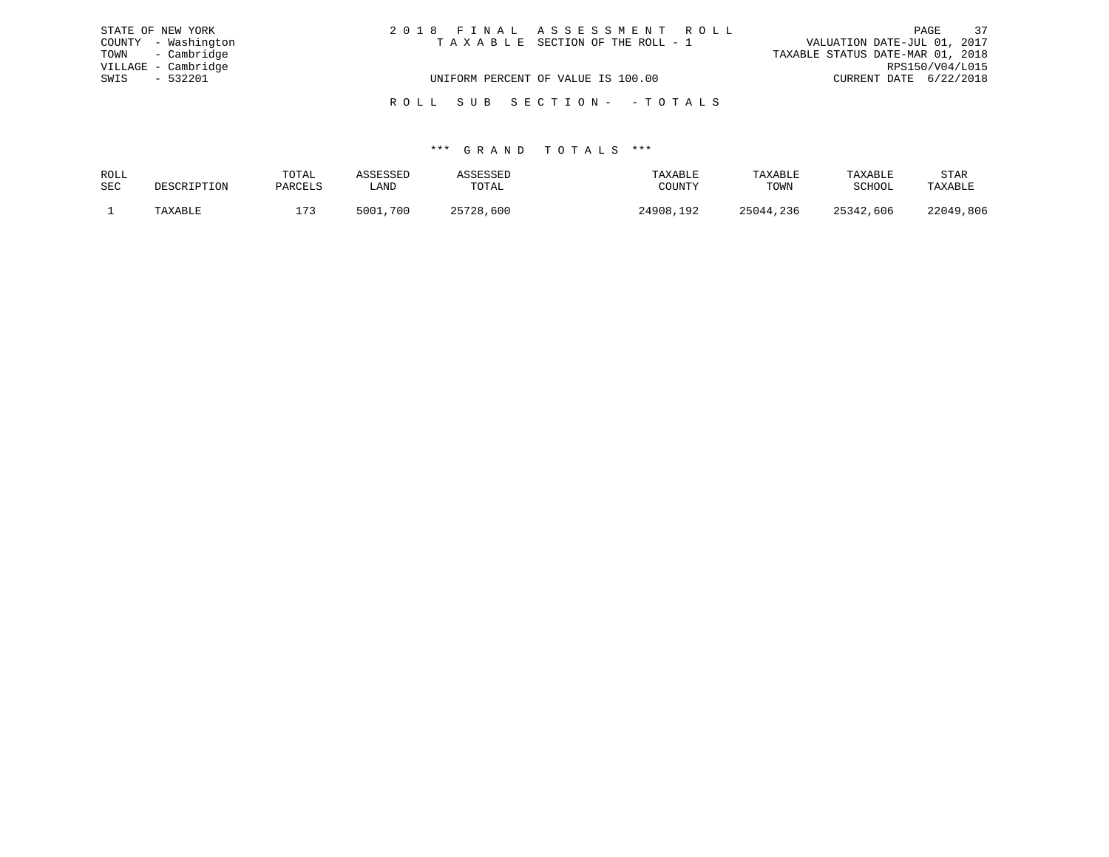| STATE OF NEW YORK   | 2018 FINAL ASSESSMENT ROLL         | 37<br>PAGE                       |
|---------------------|------------------------------------|----------------------------------|
| COUNTY - Washington | TAXABLE SECTION OF THE ROLL - 1    | VALUATION DATE-JUL 01, 2017      |
| TOWN - Cambridge    |                                    | TAXABLE STATUS DATE-MAR 01, 2018 |
| VILLAGE - Cambridge |                                    | RPS150/V04/L015                  |
| SWIS - 532201       | UNIFORM PERCENT OF VALUE IS 100.00 | CURRENT DATE 6/22/2018           |
|                     | ROLL SUB SECTION- -TOTALS          |                                  |

| ROLL       |             | TOTAL   |             |                | TAXABLE                  | TAXABLE   | TAXABLE   | STAR      |
|------------|-------------|---------|-------------|----------------|--------------------------|-----------|-----------|-----------|
| <b>SEC</b> | DESCRIPTION | PARCELS | ∟AND        | TOTAL          | <b>IOTTATTOR</b><br>UUNI | TOWN      | SCHOOL    | TAXABLE   |
|            |             | .       | 5001<br>700 | 0 רים ר<br>600 | 24908<br>192<br>∸∠∠      | 25044,236 | 25342,606 | 22049,806 |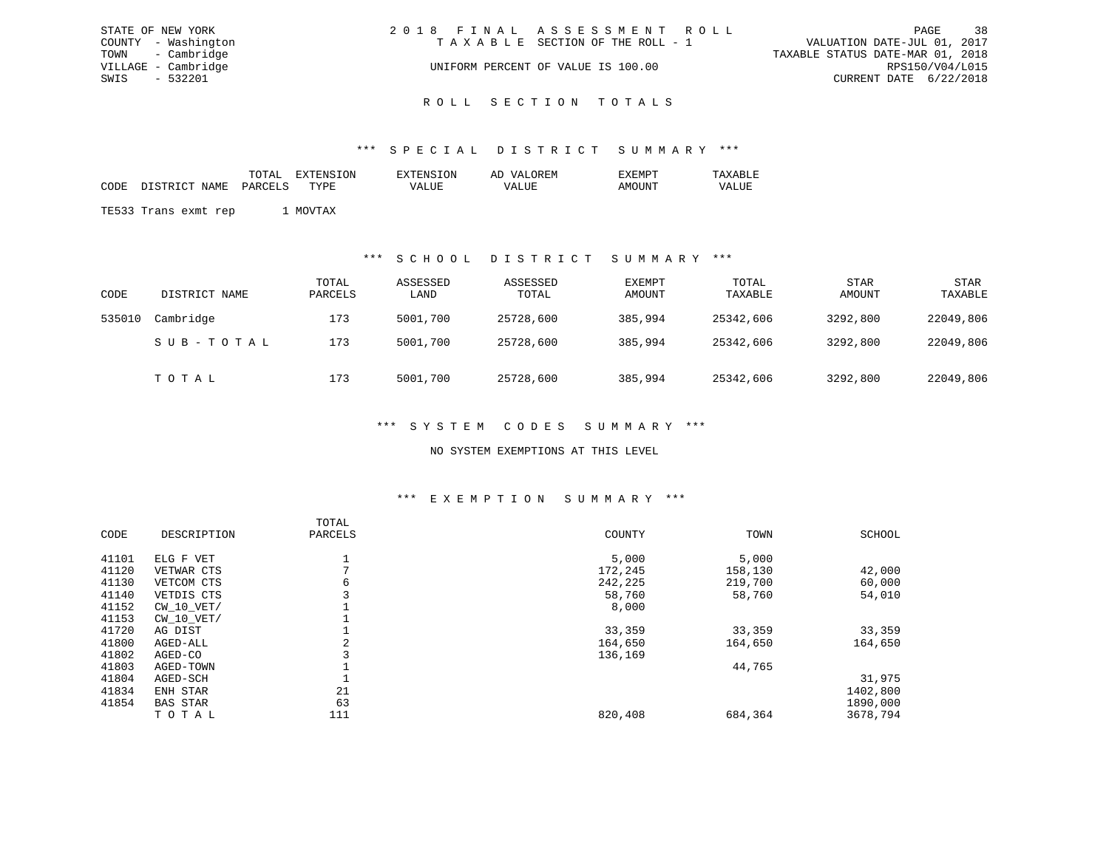|      | STATE OF NEW YORK   | 2018 FINAL ASSESSMENT ROLL |                                    |                                  | PAGE            | 38 |
|------|---------------------|----------------------------|------------------------------------|----------------------------------|-----------------|----|
|      | COUNTY - Washington |                            | TAXABLE SECTION OF THE ROLL - 1    | VALUATION DATE-JUL 01, 2017      |                 |    |
|      | TOWN - Cambridge    |                            |                                    | TAXABLE STATUS DATE-MAR 01, 2018 |                 |    |
|      | VILLAGE - Cambridge |                            | UNIFORM PERCENT OF VALUE IS 100.00 |                                  | RPS150/V04/L015 |    |
| SWIS | $-532201$           |                            |                                    | CURRENT DATE 6/22/2018           |                 |    |
|      |                     |                            |                                    |                                  |                 |    |

# ROLL SECTION TOTALS

#### \*\*\* S P E C I A L D I S T R I C T S U M M A R Y \*\*\*

|      |                      | TOTAL   | EXTENSION | EXTENSION    | AD VALOREM | EXEMPT | TAXABLE |
|------|----------------------|---------|-----------|--------------|------------|--------|---------|
| CODE | DISTRICT NAME        | PARCELS | TYPE.     | <b>VALUE</b> | VALUE      | AMOUNT | VALUE   |
|      |                      |         |           |              |            |        |         |
|      | TE533 Trans exmt rep |         | MOVTAX    |              |            |        |         |

### \*\*\* S C H O O L D I S T R I C T S U M M A R Y \*\*\*

| CODE   | DISTRICT NAME | TOTAL<br>PARCELS | ASSESSED<br>LAND | ASSESSED<br>TOTAL | EXEMPT<br>AMOUNT | TOTAL<br>TAXABLE | <b>STAR</b><br>AMOUNT | <b>STAR</b><br>TAXABLE |
|--------|---------------|------------------|------------------|-------------------|------------------|------------------|-----------------------|------------------------|
| 535010 | Cambridge     | 173              | 5001,700         | 25728,600         | 385,994          | 25342,606        | 3292,800              | 22049,806              |
|        | SUB-TOTAL     | 173              | 5001,700         | 25728,600         | 385,994          | 25342,606        | 3292,800              | 22049,806              |
|        | TOTAL         | 173              | 5001,700         | 25728,600         | 385,994          | 25342,606        | 3292,800              | 22049,806              |

### \*\*\* S Y S T E M C O D E S S U M M A R Y \*\*\*

### NO SYSTEM EXEMPTIONS AT THIS LEVEL

#### \*\*\* E X E M P T I O N S U M M A R Y \*\*\*

| CODE  | DESCRIPTION     | TOTAL<br>PARCELS | COUNTY  | TOWN    | SCHOOL   |
|-------|-----------------|------------------|---------|---------|----------|
| 41101 | ELG F VET       | Ŧ                | 5,000   | 5,000   |          |
| 41120 | VETWAR CTS      | $\mathbf{r}$     | 172,245 | 158,130 | 42,000   |
| 41130 | VETCOM CTS      | 6                | 242,225 | 219,700 | 60,000   |
| 41140 | VETDIS CTS      |                  | 58,760  | 58,760  | 54,010   |
| 41152 | $CW$ 10 $VET/$  |                  | 8,000   |         |          |
| 41153 | $CW$ 10 $VET/$  |                  |         |         |          |
| 41720 | AG DIST         |                  | 33,359  | 33,359  | 33,359   |
| 41800 | AGED-ALL        | 2                | 164,650 | 164,650 | 164,650  |
| 41802 | AGED-CO         |                  | 136,169 |         |          |
| 41803 | AGED-TOWN       |                  |         | 44,765  |          |
| 41804 | AGED-SCH        |                  |         |         | 31,975   |
| 41834 | ENH STAR        | 21               |         |         | 1402,800 |
| 41854 | <b>BAS STAR</b> | 63               |         |         | 1890,000 |
|       | TOTAL           | 111              | 820,408 | 684,364 | 3678,794 |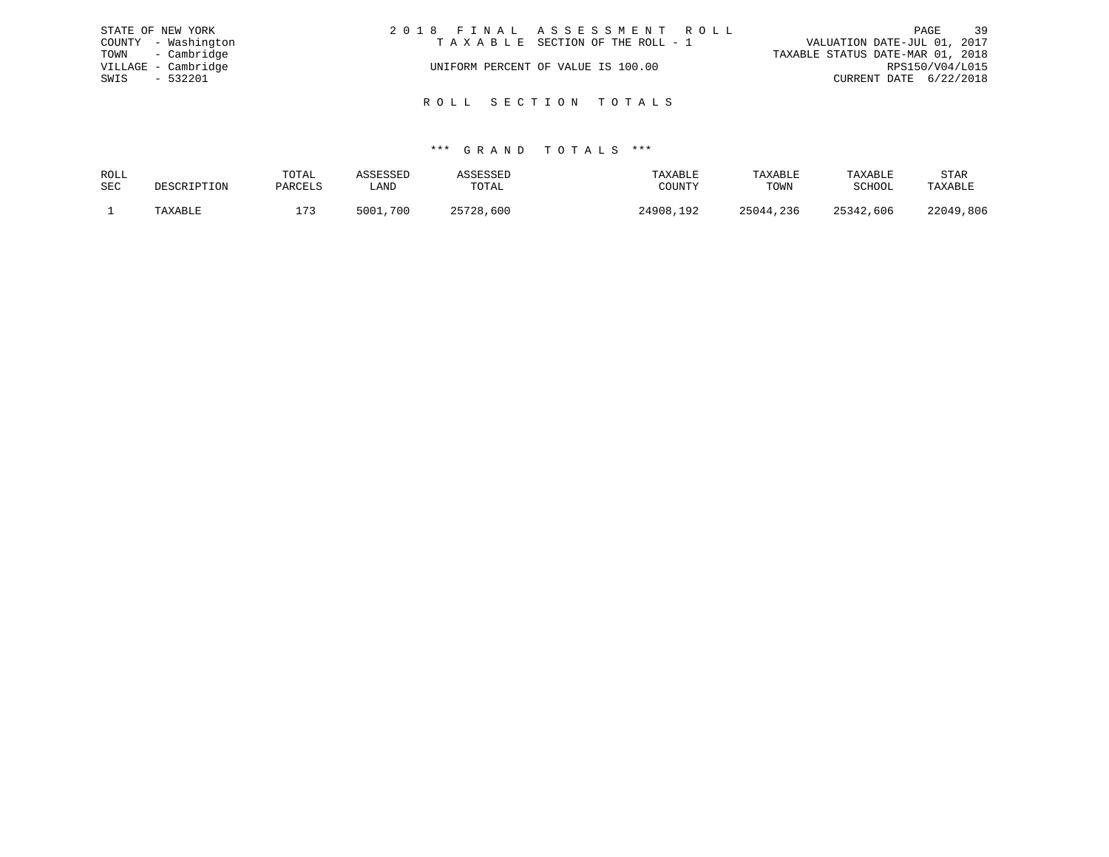|      | STATE OF NEW YORK   | 2018 FINAL ASSESSMENT ROLL         | 39<br>PAGE                       |
|------|---------------------|------------------------------------|----------------------------------|
|      | COUNTY - Washington | TAXABLE SECTION OF THE ROLL - 1    | VALUATION DATE-JUL 01, 2017      |
|      | TOWN - Cambridge    |                                    | TAXABLE STATUS DATE-MAR 01, 2018 |
|      | VILLAGE - Cambridge | UNIFORM PERCENT OF VALUE IS 100.00 | RPS150/V04/L015                  |
| SWIS | $-532201$           |                                    | CURRENT DATE 6/22/2018           |
|      |                     |                                    |                                  |
|      |                     | ROLL SECTION TOTALS                |                                  |

| ROLL       |             | TOTAL   | ASSESSED      | <b>\SSESSED</b> | TAXABLE   | TAXABLE   | TAXABLE   | STAR      |
|------------|-------------|---------|---------------|-----------------|-----------|-----------|-----------|-----------|
| <b>SEC</b> | DESCRIPTION | PARCELS | LAND          | TOTAL           | COUNTY    | TOWN      | SCHOOL    | TAXABLE   |
|            | TAXABLE     | 173     | ,700<br>5001. | 25728,600       | 24908,192 | 25044,236 | 25342,606 | 22049,806 |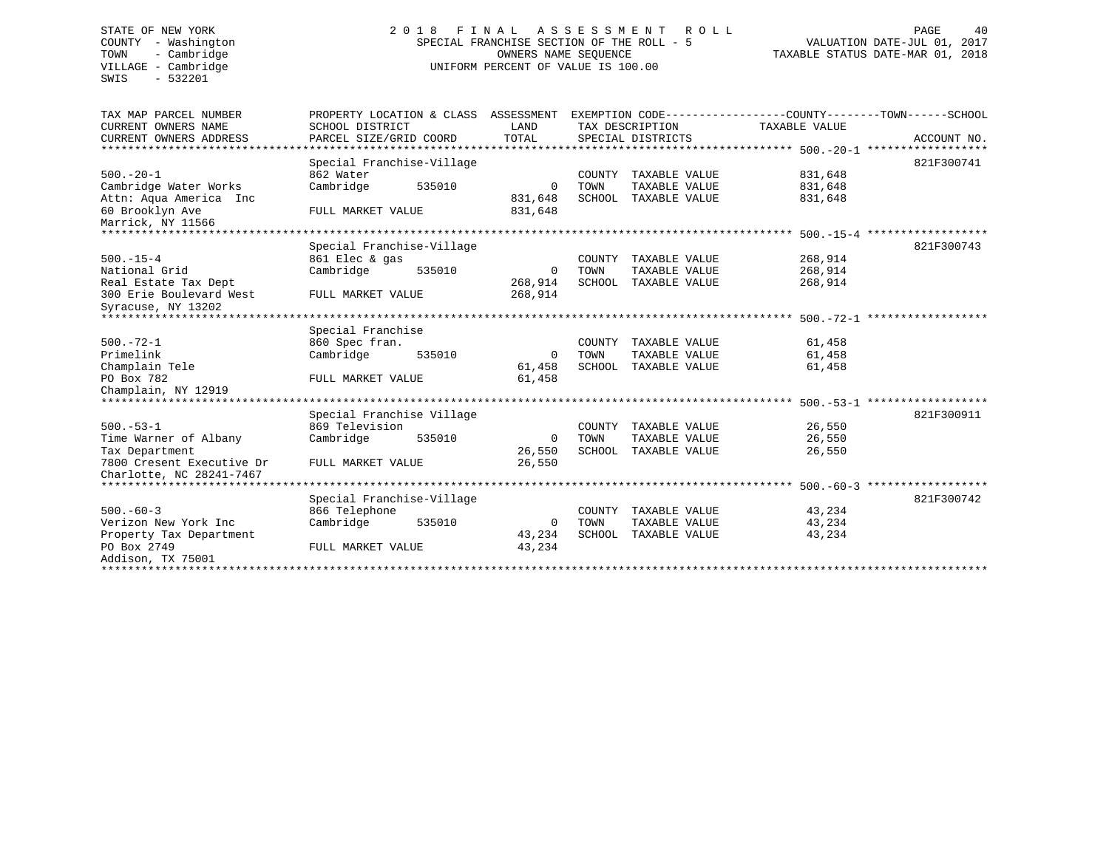SWIS - 532201

# COUNTY - Washington SPECIAL FRANCHISE SECTION OF THE ROLL - 5<br>TOWN - Cambridge COUNTERS NAME SEQUENCE TOWN - Cambridge OWNERS NAME SEQUENCE TAXABLE STATUS DATE-MAR 01, 2018 UNIFORM PERCENT OF VALUE IS 100.00

| TAX MAP PARCEL NUMBER<br>CURRENT OWNERS NAME<br>CURRENT OWNERS ADDRESS | PROPERTY LOCATION & CLASS ASSESSMENT<br>SCHOOL DISTRICT<br>PARCEL SIZE/GRID COORD | LAND<br>TOTAL    |        | TAX DESCRIPTION<br>SPECIAL DISTRICTS | TAXABLE VALUE    | EXEMPTION CODE----------------COUNTY-------TOWN------SCHOOL<br>ACCOUNT NO. |
|------------------------------------------------------------------------|-----------------------------------------------------------------------------------|------------------|--------|--------------------------------------|------------------|----------------------------------------------------------------------------|
| ******************************                                         | Special Franchise-Village                                                         |                  |        |                                      |                  | 821F300741                                                                 |
| $500. - 20 - 1$                                                        | 862 Water                                                                         |                  | COUNTY | TAXABLE VALUE                        | 831,648          |                                                                            |
| Cambridge Water Works                                                  | Cambridge<br>535010                                                               | 0                | TOWN   | TAXABLE VALUE                        | 831,648          |                                                                            |
| Attn: Aqua America Inc                                                 |                                                                                   | 831,648          | SCHOOL | TAXABLE VALUE                        | 831,648          |                                                                            |
| 60 Brooklyn Ave<br>Marrick, NY 11566                                   | FULL MARKET VALUE                                                                 | 831,648          |        |                                      |                  |                                                                            |
|                                                                        |                                                                                   |                  |        |                                      |                  | * * * * * * * * * * *                                                      |
|                                                                        | Special Franchise-Village                                                         |                  |        |                                      |                  | 821F300743                                                                 |
| $500. -15 - 4$                                                         | 861 Elec & gas                                                                    |                  | COUNTY | TAXABLE VALUE                        | 268,914          |                                                                            |
| National Grid                                                          | Cambridge<br>535010                                                               | $\Omega$         | TOWN   | TAXABLE VALUE                        | 268,914          |                                                                            |
| Real Estate Tax Dept                                                   |                                                                                   | 268,914          | SCHOOL | TAXABLE VALUE                        | 268,914          |                                                                            |
| 300 Erie Boulevard West                                                | FULL MARKET VALUE                                                                 | 268,914          |        |                                      |                  |                                                                            |
| Syracuse, NY 13202                                                     |                                                                                   |                  |        |                                      |                  |                                                                            |
|                                                                        |                                                                                   |                  |        |                                      |                  |                                                                            |
|                                                                        | Special Franchise                                                                 |                  |        |                                      |                  |                                                                            |
| $500. - 72 - 1$                                                        | 860 Spec fran.                                                                    |                  | COUNTY | TAXABLE VALUE                        | 61,458           |                                                                            |
| Primelink                                                              | Cambridge<br>535010                                                               | $\mathbf 0$      | TOWN   | TAXABLE VALUE                        | 61,458<br>61,458 |                                                                            |
| Champlain Tele<br>PO Box 782                                           | FULL MARKET VALUE                                                                 | 61,458<br>61,458 | SCHOOL | TAXABLE VALUE                        |                  |                                                                            |
| Champlain, NY 12919                                                    |                                                                                   |                  |        |                                      |                  |                                                                            |
|                                                                        |                                                                                   |                  |        |                                      |                  |                                                                            |
|                                                                        | Special Franchise Village                                                         |                  |        |                                      |                  | 821F300911                                                                 |
| $500. - 53 - 1$                                                        | 869 Television                                                                    |                  |        | COUNTY TAXABLE VALUE                 | 26,550           |                                                                            |
| Time Warner of Albany                                                  | Cambridge<br>535010                                                               | $\Omega$         | TOWN   | TAXABLE VALUE                        | 26,550           |                                                                            |
| Tax Department                                                         |                                                                                   | 26,550           |        | SCHOOL TAXABLE VALUE                 | 26,550           |                                                                            |
| 7800 Cresent Executive Dr                                              | FULL MARKET VALUE                                                                 | 26,550           |        |                                      |                  |                                                                            |
| Charlotte, NC 28241-7467                                               |                                                                                   |                  |        |                                      |                  |                                                                            |
| ******************************                                         |                                                                                   |                  |        |                                      |                  | ******************                                                         |
|                                                                        | Special Franchise-Village                                                         |                  |        |                                      |                  | 821F300742                                                                 |
| $500 - 60 - 3$                                                         | 866 Telephone                                                                     |                  |        | COUNTY TAXABLE VALUE                 | 43,234           |                                                                            |
| Verizon New York Inc                                                   | Cambridge<br>535010                                                               | 0                | TOWN   | TAXABLE VALUE                        | 43,234           |                                                                            |
| Property Tax Department                                                |                                                                                   | 43,234           |        | SCHOOL TAXABLE VALUE                 | 43,234           |                                                                            |
| PO Box 2749                                                            | FULL MARKET VALUE                                                                 | 43,234           |        |                                      |                  |                                                                            |
| Addison, TX 75001                                                      |                                                                                   |                  |        |                                      |                  |                                                                            |
| ****************                                                       |                                                                                   |                  |        |                                      |                  |                                                                            |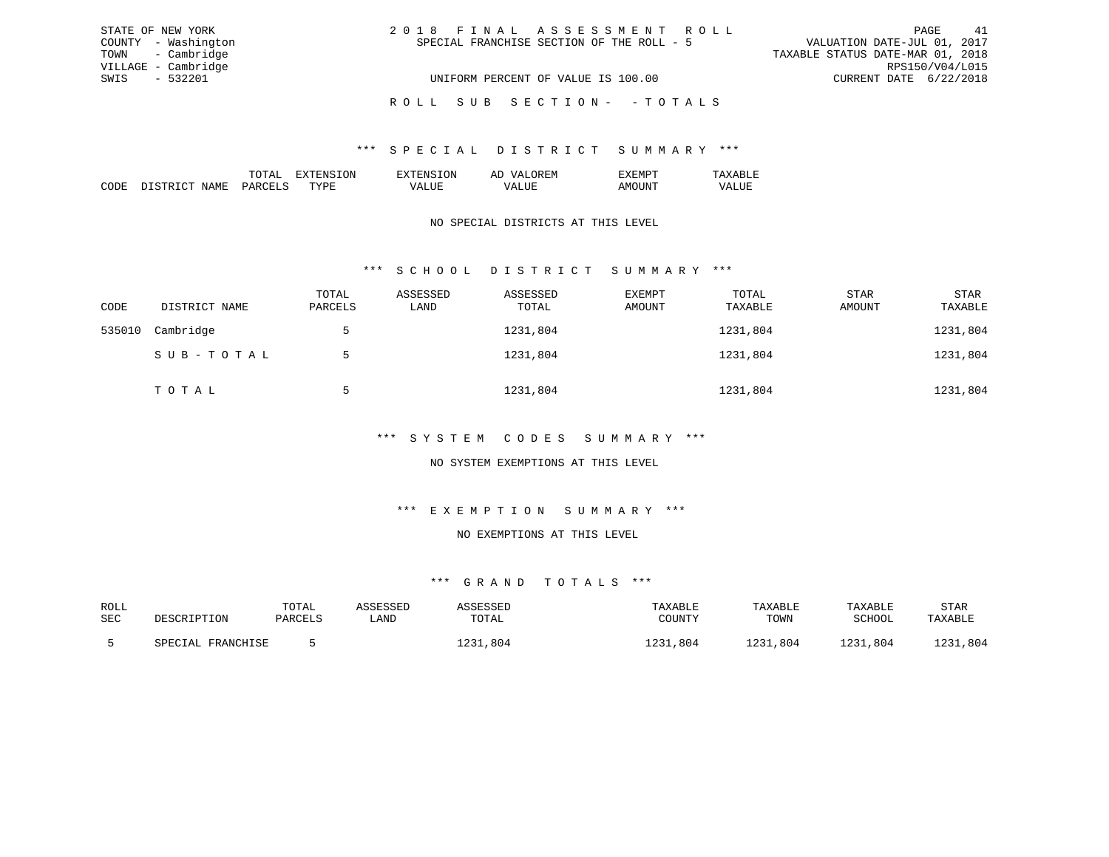| STATE OF NEW YORK   | 2018 FINAL ASSESSMENT ROLL                | 41<br>PAGE                       |
|---------------------|-------------------------------------------|----------------------------------|
| COUNTY - Washington | SPECIAL FRANCHISE SECTION OF THE ROLL - 5 | VALUATION DATE-JUL 01, 2017      |
| TOWN - Cambridge    |                                           | TAXABLE STATUS DATE-MAR 01, 2018 |
| VILLAGE - Cambridge |                                           | RPS150/V04/L015                  |
| SWIS - 532201       | UNIFORM PERCENT OF VALUE IS 100.00        | CURRENT DATE 6/22/2018           |
|                     | ROLL SUB SECTION- - TOTALS                |                                  |

### \*\*\* S P E C I A L D I S T R I C T S U M M A R Y \*\*\*

|                                                                                                                                |    | DΝ | ⊷ |  |
|--------------------------------------------------------------------------------------------------------------------------------|----|----|---|--|
| יחי<br>,,,,<br>the contract of the contract of the contract of the contract of the contract of the contract of the contract of | m. | .  |   |  |

## NO SPECIAL DISTRICTS AT THIS LEVEL

## \*\*\* S C H O O L D I S T R I C T S U M M A R Y \*\*\*

| CODE   | DISTRICT NAME | TOTAL<br>PARCELS | ASSESSED<br>LAND | ASSESSED<br>TOTAL | EXEMPT<br>AMOUNT | TOTAL<br>TAXABLE | STAR<br>AMOUNT | STAR<br>TAXABLE |
|--------|---------------|------------------|------------------|-------------------|------------------|------------------|----------------|-----------------|
| 535010 | Cambridge     | 5                |                  | 1231,804          |                  | 1231,804         |                | 1231,804        |
|        | SUB-TOTAL     | $\mathcal{L}$    |                  | 1231,804          |                  | 1231,804         |                | 1231,804        |
|        | ТОТАЬ         | 5                |                  | 1231,804          |                  | 1231,804         |                | 1231,804        |

### \*\*\* S Y S T E M C O D E S S U M M A R Y \*\*\*

## NO SYSTEM EXEMPTIONS AT THIS LEVEL

# \*\*\* E X E M P T I O N S U M M A R Y \*\*\*

#### NO EXEMPTIONS AT THIS LEVEL

| ROLL |                   | TOTAL   | ASSESSED | ASSESSED | TAXABLE  | TAXABLE  | TAXABLE  | <b>STAR</b> |
|------|-------------------|---------|----------|----------|----------|----------|----------|-------------|
| SEC  | DESCRIPTION       | PARCELS | LAND     | TOTAL    | COUNTY   | TOWN     | SCHOOL   | TAXABLE     |
|      | SPECIAL FRANCHISE |         |          | 1231,804 | 1231,804 | 1231,804 | 1231,804 | 1231,804    |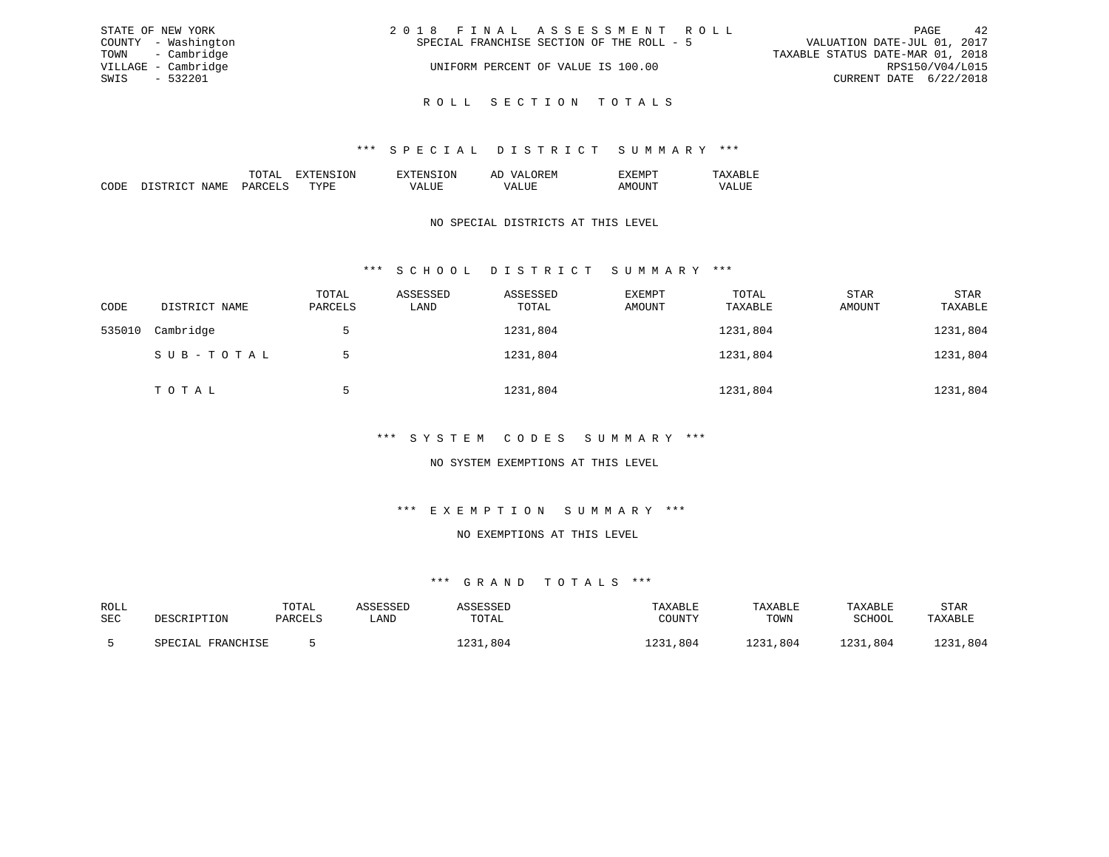| STATE OF NEW YORK   | 2018 FINAL ASSESSMENT ROLL                | 42<br>PAGE                       |
|---------------------|-------------------------------------------|----------------------------------|
| COUNTY - Washington | SPECIAL FRANCHISE SECTION OF THE ROLL - 5 | VALUATION DATE-JUL 01, 2017      |
| TOWN - Cambridge    |                                           | TAXABLE STATUS DATE-MAR 01, 2018 |
| VILLAGE - Cambridge | UNIFORM PERCENT OF VALUE IS 100.00        | RPS150/V04/L015                  |
| SWIS - 532201       |                                           | CURRENT DATE 6/22/2018           |
|                     |                                           |                                  |

R O L L S E C T I O N T O T A L S

## \*\*\* S P E C I A L D I S T R I C T S U M M A R Y \*\*\*

|                                                                                                                 | 'NN | €NI<br>. |  |
|-----------------------------------------------------------------------------------------------------------------|-----|----------|--|
| the contract of the contract of the contract of the contract of the contract of the contract of the contract of | m   |          |  |

## NO SPECIAL DISTRICTS AT THIS LEVEL

## \*\*\* S C H O O L D I S T R I C T S U M M A R Y \*\*\*

| CODE   | DISTRICT NAME | TOTAL<br>PARCELS | ASSESSED<br>LAND | ASSESSED<br>TOTAL | EXEMPT<br>AMOUNT | TOTAL<br>TAXABLE | STAR<br>AMOUNT | STAR<br>TAXABLE |
|--------|---------------|------------------|------------------|-------------------|------------------|------------------|----------------|-----------------|
| 535010 | Cambridge     | $\mathcal{L}$    |                  | 1231,804          |                  | 1231,804         |                | 1231,804        |
|        | SUB-TOTAL     | 5                |                  | 1231,804          |                  | 1231,804         |                | 1231,804        |
|        | TOTAL         | 5                |                  | 1231,804          |                  | 1231,804         |                | 1231,804        |

## \*\*\* S Y S T E M C O D E S S U M M A R Y \*\*\*

## NO SYSTEM EXEMPTIONS AT THIS LEVEL

# \*\*\* E X E M P T I O N S U M M A R Y \*\*\*

### NO EXEMPTIONS AT THIS LEVEL

| ROLL       |                      | TOTAL   | CCFCCFD |             | 'AXABLE      | TAXABLE     | TAXABLE    | STAR                 |
|------------|----------------------|---------|---------|-------------|--------------|-------------|------------|----------------------|
| <b>SEC</b> | DESCRIPTION          | PARCELS | ∟AND    | TOTAL       |              | TOWN        | SCHOOL     | TAXABLE              |
|            |                      |         |         |             |              |             |            |                      |
|            | FRANCHISE<br>SPECIAL |         |         | つつ1<br>.804 | りつつき<br>.804 | 221<br>.804 | າາ<br>.804 | $\sqrt{271}$<br>.804 |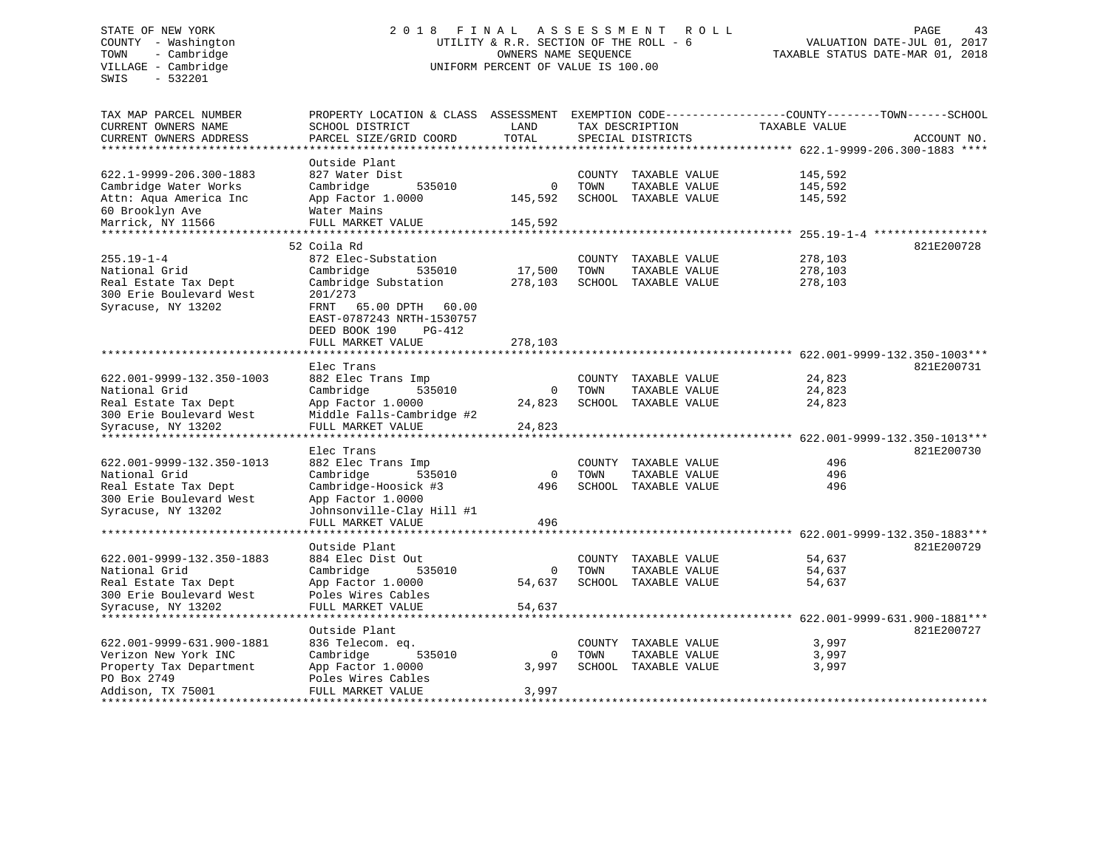SWIS - 532201

## STATE OF NEW YORK 2 0 1 8 F I N A L A S S E S S M E N T R O L L PAGE 43COUNTY - Washington UTILITY & R.R. SECTION OF THE ROLL - 6 VALUATION DATE-JUL 01, 2017 TOWN - Cambridge OWNERS NAME SEQUENCE TAXABLE STATUS DATE-MAR 01, 2018 UNIFORM PERCENT OF VALUE IS 100.00

| TAX MAP PARCEL NUMBER         | PROPERTY LOCATION & CLASS                                | ASSESSMENT |        | EXEMPTION CODE-----  | ------------COUNTY--------TOWN------SCHOOL           |                                     |
|-------------------------------|----------------------------------------------------------|------------|--------|----------------------|------------------------------------------------------|-------------------------------------|
| CURRENT OWNERS NAME           | SCHOOL DISTRICT                                          | LAND       |        | TAX DESCRIPTION      | TAXABLE VALUE                                        |                                     |
| CURRENT OWNERS ADDRESS        | PARCEL SIZE/GRID COORD                                   | TOTAL      |        | SPECIAL DISTRICTS    |                                                      | ACCOUNT NO.                         |
|                               |                                                          |            |        |                      |                                                      |                                     |
|                               | Outside Plant                                            |            |        |                      |                                                      |                                     |
| 622.1-9999-206.300-1883       | 827 Water Dist                                           |            | COUNTY | TAXABLE VALUE        | 145,592                                              |                                     |
| Cambridge Water Works         | Cambridge<br>535010                                      | $\Omega$   | TOWN   | TAXABLE VALUE        | 145,592                                              |                                     |
| Attn: Aqua America Inc        | App Factor 1.0000                                        | 145,592    |        | SCHOOL TAXABLE VALUE | 145,592                                              |                                     |
| 60 Brooklyn Ave               | Water Mains                                              |            |        |                      |                                                      |                                     |
| Marrick, NY 11566             | FULL MARKET VALUE                                        | 145,592    |        |                      |                                                      |                                     |
|                               |                                                          |            |        |                      | $255.19 - 1 - 4$                                     |                                     |
|                               | 52 Coila Rd                                              |            |        |                      |                                                      | 821E200728                          |
| $255.19 - 1 - 4$              | 872 Elec-Substation                                      |            | COUNTY | TAXABLE VALUE        | 278,103                                              |                                     |
| National Grid                 | 535010<br>Cambridge                                      | 17,500     | TOWN   | TAXABLE VALUE        | 278,103                                              |                                     |
| Real Estate Tax Dept          | Cambridge Substation                                     | 278,103    |        | SCHOOL TAXABLE VALUE | 278,103                                              |                                     |
| 300 Erie Boulevard West       | 201/273                                                  |            |        |                      |                                                      |                                     |
| Syracuse, NY 13202            | FRNT<br>65.00 DPTH<br>60.00                              |            |        |                      |                                                      |                                     |
|                               | EAST-0787243 NRTH-1530757                                |            |        |                      |                                                      |                                     |
|                               | DEED BOOK 190<br>$PG-412$                                |            |        |                      |                                                      |                                     |
|                               | FULL MARKET VALUE                                        | 278,103    |        |                      |                                                      |                                     |
|                               | *****************                                        |            |        |                      | ************* 622.001-9999-132.350-1003***           |                                     |
|                               | Elec Trans                                               |            |        |                      |                                                      | 821E200731                          |
| 622.001-9999-132.350-1003     | 882 Elec Trans Imp                                       |            |        | COUNTY TAXABLE VALUE | 24,823                                               |                                     |
| National Grid                 | Cambridge<br>535010                                      | 0          | TOWN   | TAXABLE VALUE        | 24,823                                               |                                     |
| Real Estate Tax Dept          | App Factor 1.0000                                        | 24,823     |        | SCHOOL TAXABLE VALUE | 24,823                                               |                                     |
| 300 Erie Boulevard West       | Middle Falls-Cambridge #2                                |            |        |                      |                                                      |                                     |
| Syracuse, NY 13202            | FULL MARKET VALUE                                        | 24,823     |        |                      |                                                      |                                     |
|                               | ******************                                       |            |        |                      |                                                      |                                     |
|                               | Elec Trans                                               |            |        |                      |                                                      | 821E200730                          |
| 622.001-9999-132.350-1013     | 882 Elec Trans Imp                                       |            | COUNTY | TAXABLE VALUE        | 496                                                  |                                     |
| National Grid                 | Cambridge<br>535010                                      | $\Omega$   | TOWN   | TAXABLE VALUE        | 496                                                  |                                     |
| Real Estate Tax Dept          | Cambridge-Hoosick #3                                     | 496        |        | SCHOOL TAXABLE VALUE | 496                                                  |                                     |
| 300 Erie Boulevard West       | App Factor 1.0000                                        |            |        |                      |                                                      |                                     |
| Syracuse, NY 13202            | Johnsonville-Clay Hill #1                                |            |        |                      |                                                      |                                     |
|                               | FULL MARKET VALUE                                        | 496        |        |                      |                                                      |                                     |
|                               | *******************                                      |            |        |                      | *********************** 622.001-9999-132.350-1883*** |                                     |
|                               | Outside Plant                                            |            |        |                      |                                                      | 821E200729                          |
| 622.001-9999-132.350-1883     | 884 Elec Dist Out                                        |            |        | COUNTY TAXABLE VALUE | 54,637                                               |                                     |
| National Grid                 | Cambridge<br>535010                                      | 0          | TOWN   | TAXABLE VALUE        | 54,637                                               |                                     |
| Real Estate Tax Dept          | App Factor 1.0000                                        | 54,637     |        | SCHOOL TAXABLE VALUE | 54,637                                               |                                     |
| 300 Erie Boulevard West       | Poles Wires Cables                                       |            |        |                      |                                                      |                                     |
| Syracuse, NY 13202            | FULL MARKET VALUE                                        | 54,637     |        |                      |                                                      |                                     |
|                               | ****************                                         |            |        |                      |                                                      | ****** 622.001-9999-631.900-1881*** |
|                               | Outside Plant                                            |            |        |                      |                                                      | 821E200727                          |
| 622.001-9999-631.900-1881     | 836 Telecom. eq.                                         |            |        | COUNTY TAXABLE VALUE | 3,997                                                |                                     |
| Verizon New York INC          | 535010<br>Cambridge                                      | 0          | TOWN   | TAXABLE VALUE        | 3,997                                                |                                     |
|                               |                                                          |            |        |                      |                                                      |                                     |
| Property Tax Department       | App Factor 1.0000                                        | 3,997      | SCHOOL | TAXABLE VALUE        | 3,997                                                |                                     |
| PO Box 2749                   | Poles Wires Cables                                       |            |        |                      |                                                      |                                     |
| Addison, TX 75001<br>******** | FULL MARKET VALUE<br>* * * * * * * * * * * * * * * * * * | 3,997      |        |                      |                                                      |                                     |
|                               |                                                          |            |        |                      |                                                      |                                     |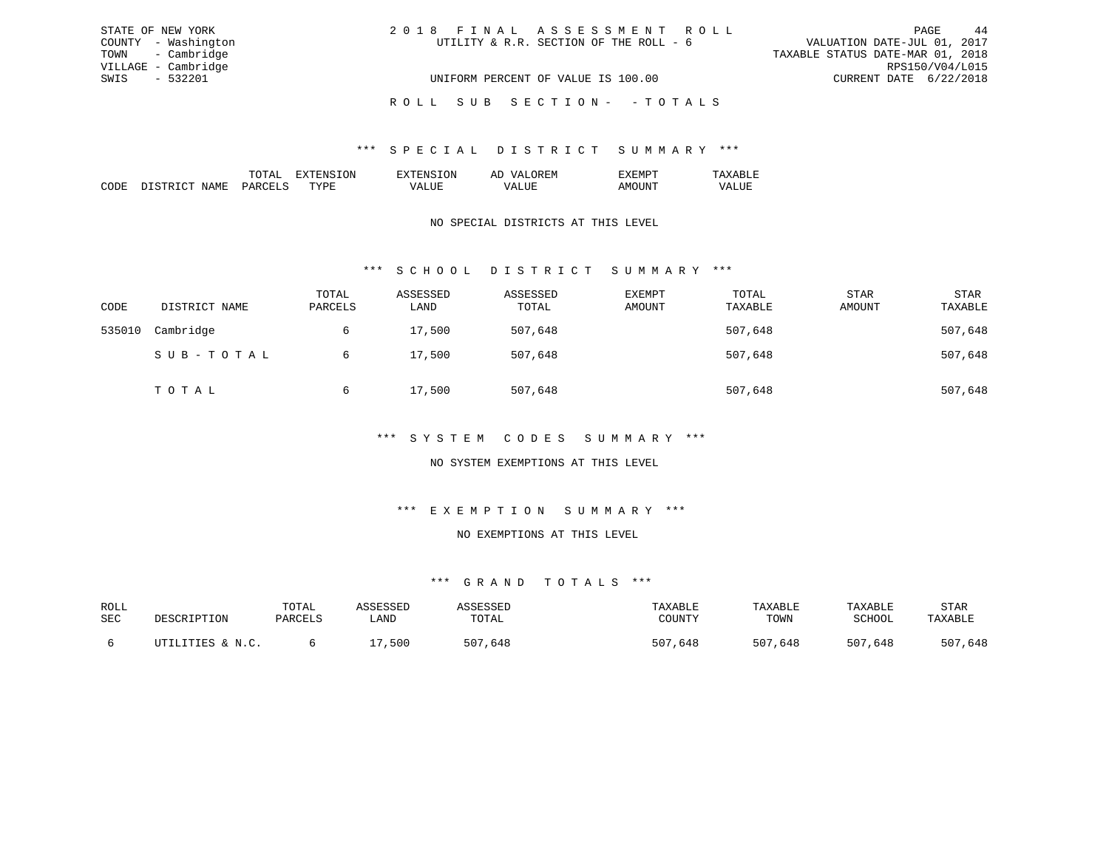| STATE OF NEW YORK   | 2018 FINAL ASSESSMENT ROLL             | 44<br>PAGE                       |
|---------------------|----------------------------------------|----------------------------------|
| COUNTY - Washington | UTILITY & R.R. SECTION OF THE ROLL - 6 | VALUATION DATE-JUL 01, 2017      |
| TOWN - Cambridge    |                                        | TAXABLE STATUS DATE-MAR 01, 2018 |
| VILLAGE - Cambridge |                                        | RPS150/V04/L015                  |
| SWIS - 532201       | UNIFORM PERCENT OF VALUE IS 100.00     | CURRENT DATE 6/22/2018           |
|                     | ROLL SUB SECTION- - TOTALS             |                                  |

### \*\*\* S P E C I A L D I S T R I C T S U M M A R Y \*\*\*

|                       |    | . IN . | – |  |
|-----------------------|----|--------|---|--|
| . <del>. .</del><br>. | ᠇᠇ | .      |   |  |

## NO SPECIAL DISTRICTS AT THIS LEVEL

## \*\*\* S C H O O L D I S T R I C T S U M M A R Y \*\*\*

| CODE   | DISTRICT NAME | TOTAL<br>PARCELS | ASSESSED<br>LAND | ASSESSED<br>TOTAL | <b>EXEMPT</b><br>AMOUNT | TOTAL<br>TAXABLE | <b>STAR</b><br>AMOUNT | STAR<br>TAXABLE |
|--------|---------------|------------------|------------------|-------------------|-------------------------|------------------|-----------------------|-----------------|
| 535010 | Cambridge     | 6                | 17,500           | 507,648           |                         | 507,648          |                       | 507,648         |
|        | SUB-TOTAL     | 6                | 17,500           | 507,648           |                         | 507,648          |                       | 507,648         |
|        | TOTAL         | 6                | 17,500           | 507,648           |                         | 507,648          |                       | 507,648         |

### \*\*\* S Y S T E M C O D E S S U M M A R Y \*\*\*

## NO SYSTEM EXEMPTIONS AT THIS LEVEL

### \*\*\* E X E M P T I O N S U M M A R Y \*\*\*

#### NO EXEMPTIONS AT THIS LEVEL

| ROLL |                  | TOTAL   | 1 CCFCCFD | <i>L</i> C C C C C L | TAXABLE     | TAXABLE     | TAXABLE     | STAR    |
|------|------------------|---------|-----------|----------------------|-------------|-------------|-------------|---------|
| SEC  | DESCRIPTION      | PARCELS | LAND      | TOTAL                | COUNTY      | TOWN        | SCHOOL      | TAXABLE |
|      |                  |         |           |                      |             |             |             |         |
|      | UTILITIES & N.C. |         | 500       | 507,648              | 507<br>,648 | 507<br>,648 | 507<br>,648 | 507,648 |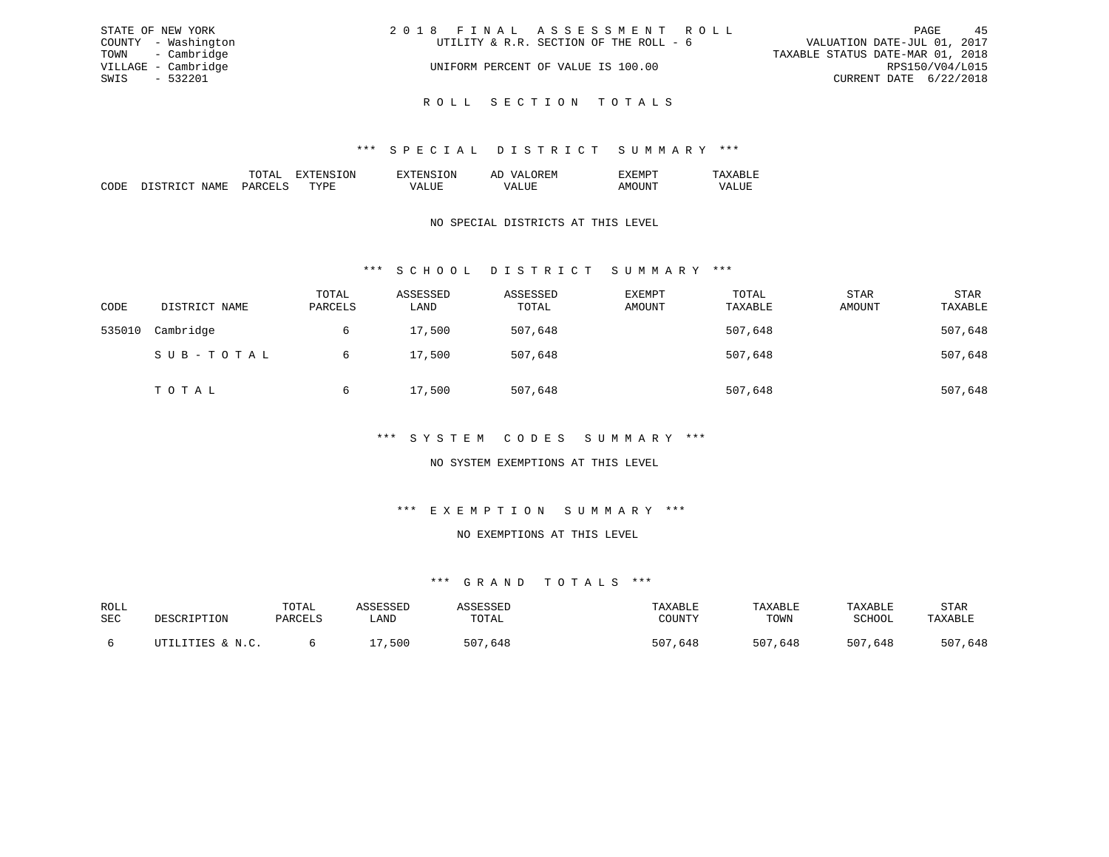| STATE OF NEW YORK   | 2018 FINAL ASSESSMENT ROLL             | 45<br>PAGE                       |
|---------------------|----------------------------------------|----------------------------------|
| COUNTY - Washington | UTILITY & R.R. SECTION OF THE ROLL - 6 | VALUATION DATE-JUL 01, 2017      |
| TOWN - Cambridge    |                                        | TAXABLE STATUS DATE-MAR 01, 2018 |
| VILLAGE - Cambridge | UNIFORM PERCENT OF VALUE IS 100.00     | RPS150/V04/L015                  |
| SWIS - 532201       |                                        | CURRENT DATE 6/22/2018           |
|                     |                                        |                                  |

## \*\*\* S P E C I A L D I S T R I C T S U M M A R Y \*\*\*

R O L L S E C T I O N T O T A L S

|  | ж | . IVI |  |
|--|---|-------|--|
|  |   |       |  |
|  |   |       |  |

## NO SPECIAL DISTRICTS AT THIS LEVEL

## \*\*\* S C H O O L D I S T R I C T S U M M A R Y \*\*\*

| CODE   | DISTRICT NAME | TOTAL<br>PARCELS | ASSESSED<br>LAND | ASSESSED<br>TOTAL | <b>EXEMPT</b><br>AMOUNT | TOTAL<br>TAXABLE | <b>STAR</b><br>AMOUNT | STAR<br>TAXABLE |
|--------|---------------|------------------|------------------|-------------------|-------------------------|------------------|-----------------------|-----------------|
| 535010 | Cambridge     | 6                | 17,500           | 507,648           |                         | 507,648          |                       | 507,648         |
|        | SUB-TOTAL     | 6                | 17,500           | 507,648           |                         | 507,648          |                       | 507,648         |
|        | TOTAL         | 6                | 17,500           | 507,648           |                         | 507,648          |                       | 507,648         |

## \*\*\* S Y S T E M C O D E S S U M M A R Y \*\*\*

## NO SYSTEM EXEMPTIONS AT THIS LEVEL

# \*\*\* E X E M P T I O N S U M M A R Y \*\*\*

#### NO EXEMPTIONS AT THIS LEVEL

| ROLL |                  | TOTAL   | 1 CCFCCFD | <i>L</i> C C C C C L | TAXABLE     | TAXABLE     | TAXABLE     | STAR    |
|------|------------------|---------|-----------|----------------------|-------------|-------------|-------------|---------|
| SEC  | DESCRIPTION      | PARCELS | LAND      | TOTAL                | COUNTY      | TOWN        | SCHOOL      | TAXABLE |
|      |                  |         |           |                      |             |             |             |         |
|      | UTILITIES & N.C. |         | 500       | 507,648              | 507<br>,648 | 507<br>,648 | 507<br>,648 | 507,648 |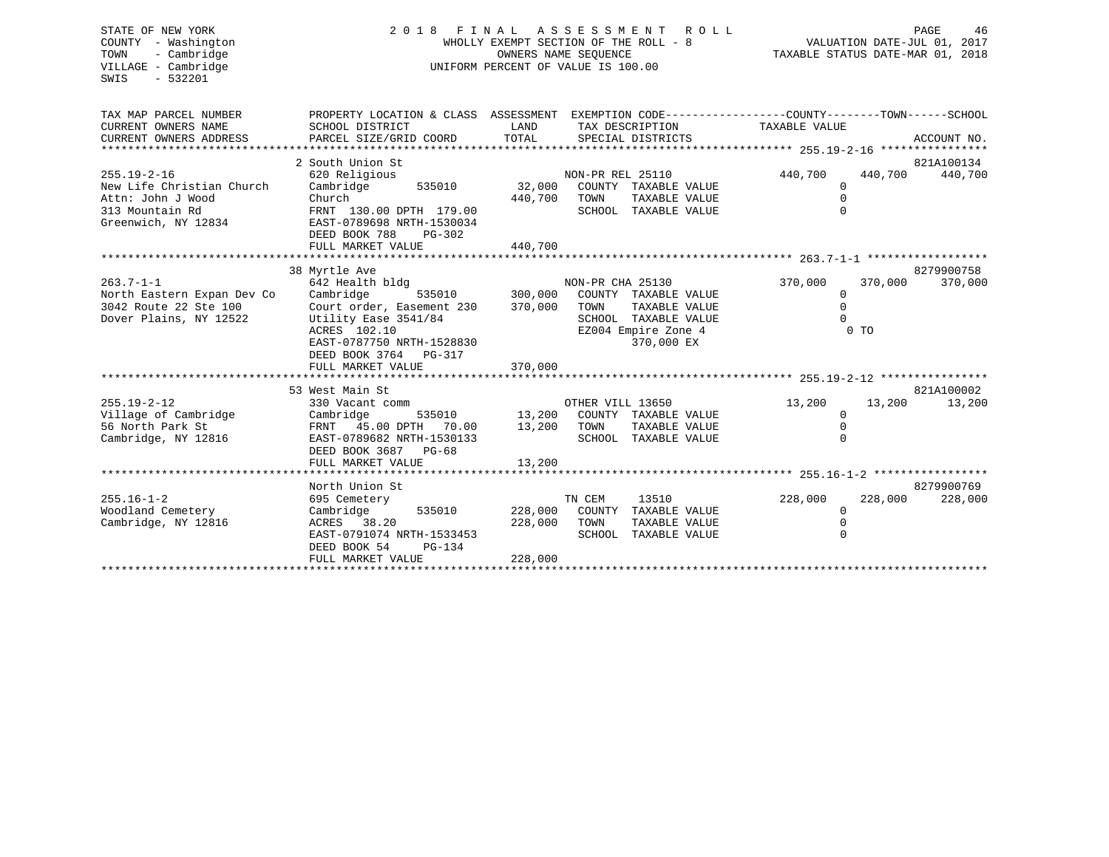| STATE OF NEW YORK<br>COUNTY - Washington<br>- Cambridge<br>TOWN<br>VILLAGE - Cambridge<br>$-532201$<br>SWIS | 2 0 1 8<br>F I N A L                                                                                                                                              | A S S E S S M E N T<br>R O L L<br>WHOLLY EXEMPT SECTION OF THE ROLL - 8<br>OWNERS NAME SEQUENCE<br>UNIFORM PERCENT OF VALUE IS 100.00 | PAGE<br>46<br>VALUATION DATE-JUL 01, 2017<br>TAXABLE STATUS DATE-MAR 01, 2018                                                  |                                      |                           |             |
|-------------------------------------------------------------------------------------------------------------|-------------------------------------------------------------------------------------------------------------------------------------------------------------------|---------------------------------------------------------------------------------------------------------------------------------------|--------------------------------------------------------------------------------------------------------------------------------|--------------------------------------|---------------------------|-------------|
| TAX MAP PARCEL NUMBER                                                                                       | PROPERTY LOCATION & CLASS ASSESSMENT EXEMPTION CODE----------------COUNTY-------TOWN-----SCHOOL                                                                   |                                                                                                                                       |                                                                                                                                |                                      |                           |             |
| CURRENT OWNERS NAME                                                                                         | SCHOOL DISTRICT                                                                                                                                                   | LAND                                                                                                                                  | TAX DESCRIPTION                                                                                                                | TAXABLE VALUE                        |                           |             |
| CURRENT OWNERS ADDRESS<br>**************************                                                        | PARCEL SIZE/GRID COORD                                                                                                                                            | TOTAL                                                                                                                                 | SPECIAL DISTRICTS                                                                                                              |                                      |                           | ACCOUNT NO. |
|                                                                                                             |                                                                                                                                                                   |                                                                                                                                       |                                                                                                                                |                                      |                           |             |
|                                                                                                             | 2 South Union St                                                                                                                                                  |                                                                                                                                       |                                                                                                                                |                                      |                           | 821A100134  |
| $255.19 - 2 - 16$<br>New Life Christian Church                                                              | 620 Religious<br>Cambridge<br>535010                                                                                                                              | 32,000                                                                                                                                | NON-PR REL 25110<br>COUNTY TAXABLE VALUE                                                                                       | 440,700<br>$\mathbf 0$               | 440,700                   | 440,700     |
| Attn: John J Wood                                                                                           | Church                                                                                                                                                            | 440,700 TOWN                                                                                                                          | TAXABLE VALUE                                                                                                                  | $\Omega$                             |                           |             |
| 313 Mountain Rd<br>Greenwich, NY 12834                                                                      | FRNT 130.00 DPTH 179.00<br>EAST-0789698 NRTH-1530034                                                                                                              |                                                                                                                                       | SCHOOL TAXABLE VALUE                                                                                                           | $\Omega$                             |                           |             |
|                                                                                                             | DEED BOOK 788<br>$PG-302$<br>FULL MARKET VALUE                                                                                                                    | 440,700                                                                                                                               |                                                                                                                                |                                      |                           |             |
|                                                                                                             |                                                                                                                                                                   |                                                                                                                                       |                                                                                                                                |                                      |                           |             |
|                                                                                                             | 38 Myrtle Ave                                                                                                                                                     |                                                                                                                                       |                                                                                                                                |                                      |                           | 8279900758  |
| $263.7 - 1 - 1$<br>North Eastern Expan Dev Co<br>3042 Route 22 Ste 100<br>Dover Plains, NY 12522            | 642 Health bldg<br>535010<br>Cambridge<br>Court order, Easement 230<br>Utility Ease 3541/84<br>ACRES 102.10<br>EAST-0787750 NRTH-1528830<br>DEED BOOK 3764 PG-317 | 300,000<br>370,000                                                                                                                    | NON-PR CHA 25130<br>COUNTY TAXABLE VALUE<br>TOWN<br>TAXABLE VALUE<br>SCHOOL TAXABLE VALUE<br>EZ004 Empire Zone 4<br>370,000 EX | 370,000<br>0<br>$\Omega$<br>$\Omega$ | 370,000<br>0 <sub>T</sub> | 370,000     |
|                                                                                                             | FULL MARKET VALUE                                                                                                                                                 | 370,000                                                                                                                               |                                                                                                                                |                                      |                           |             |
|                                                                                                             |                                                                                                                                                                   |                                                                                                                                       |                                                                                                                                |                                      |                           |             |
|                                                                                                             | 53 West Main St                                                                                                                                                   |                                                                                                                                       |                                                                                                                                |                                      |                           | 821A100002  |
| $255.19 - 2 - 12$                                                                                           | 330 Vacant comm                                                                                                                                                   |                                                                                                                                       | OTHER VILL 13650                                                                                                               | 13,200                               | 13,200                    | 13,200      |
| Village of Cambridge                                                                                        | Cambridge<br>535010                                                                                                                                               | 13,200                                                                                                                                | COUNTY TAXABLE VALUE                                                                                                           | $\mathbf 0$                          |                           |             |
| 56 North Park St<br>Cambridge, NY 12816                                                                     | FRNT<br>45.00 DPTH 70.00<br>EAST-0789682 NRTH-1530133<br>DEED BOOK 3687 PG-68<br>FULL MARKET VALUE                                                                | 13,200<br>13,200                                                                                                                      | TOWN<br>TAXABLE VALUE<br>SCHOOL TAXABLE VALUE                                                                                  | $\mathbf 0$<br>$\Omega$              |                           |             |
|                                                                                                             |                                                                                                                                                                   |                                                                                                                                       |                                                                                                                                |                                      |                           |             |
|                                                                                                             | North Union St                                                                                                                                                    |                                                                                                                                       |                                                                                                                                |                                      |                           | 8279900769  |
| $255.16 - 1 - 2$                                                                                            | 695 Cemetery                                                                                                                                                      |                                                                                                                                       | TN CEM<br>13510                                                                                                                | 228,000                              | 228,000                   | 228,000     |
| Woodland Cemetery                                                                                           | Cambridge<br>535010                                                                                                                                               | 228,000                                                                                                                               | COUNTY TAXABLE VALUE                                                                                                           | $\mathbf 0$                          |                           |             |
| Cambridge, NY 12816                                                                                         | ACRES 38.20                                                                                                                                                       | 228,000                                                                                                                               | TOWN<br>TAXABLE VALUE                                                                                                          | $\mathbf 0$                          |                           |             |
|                                                                                                             | EAST-0791074 NRTH-1533453<br>DEED BOOK 54<br>PG-134                                                                                                               |                                                                                                                                       | SCHOOL TAXABLE VALUE                                                                                                           | $\mathbf 0$                          |                           |             |
|                                                                                                             | FULL MARKET VALUE                                                                                                                                                 | 228,000                                                                                                                               |                                                                                                                                |                                      |                           |             |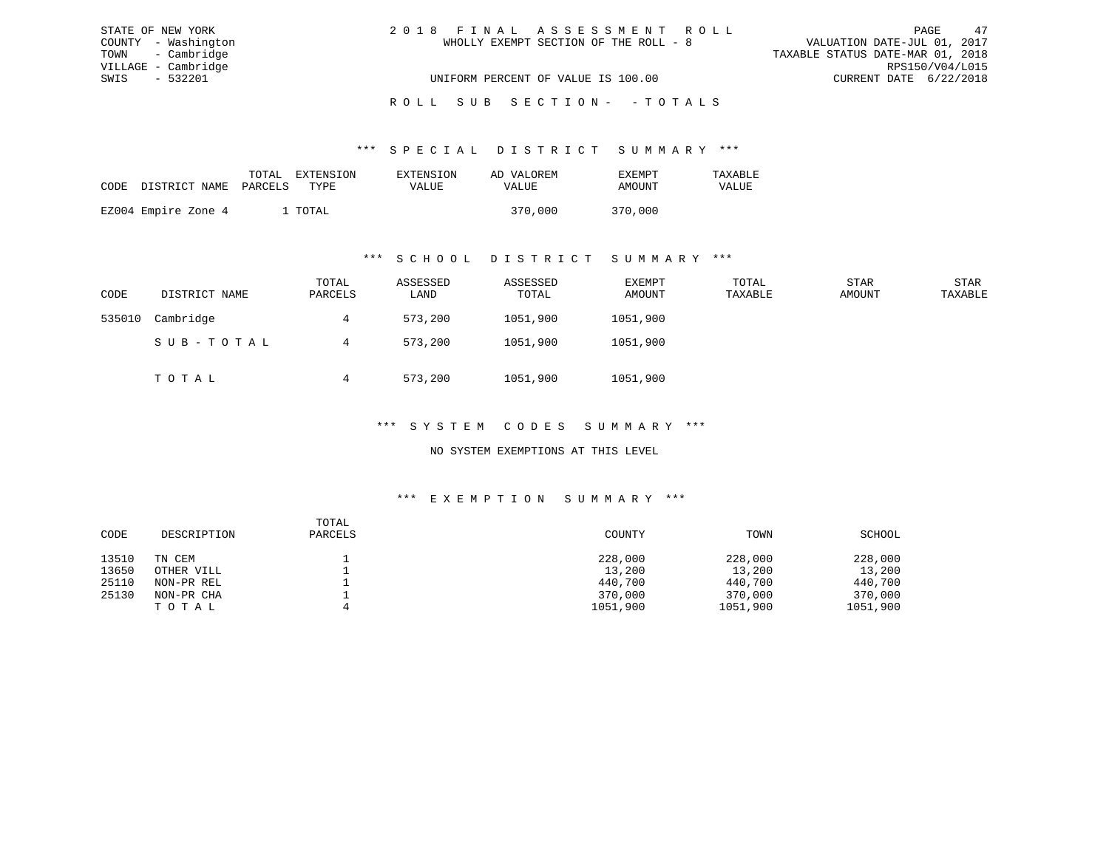| STATE OF NEW YORK   | 2018 FINAL ASSESSMENT ROLL            | 47<br>PAGE                       |
|---------------------|---------------------------------------|----------------------------------|
| COUNTY - Washington | WHOLLY EXEMPT SECTION OF THE ROLL - 8 | VALUATION DATE-JUL 01, 2017      |
| TOWN - Cambridge    |                                       | TAXABLE STATUS DATE-MAR 01, 2018 |
| VILLAGE - Cambridge |                                       | RPS150/V04/L015                  |
| SWIS<br>- 532201    | UNIFORM PERCENT OF VALUE IS 100.00    | CURRENT DATE 6/22/2018           |
|                     |                                       |                                  |

# ROLL SUB SECTION - - TOTALS

#### \*\*\* S P E C I A L D I S T R I C T S U M M A R Y \*\*\*

|                                 | TOTAL   | EXTENSION | EXTENSION    | AD VALOREM | EXEMPT  | TAXABLE |
|---------------------------------|---------|-----------|--------------|------------|---------|---------|
| CODE DISTRICT NAME PARCELS TYPE |         |           | <b>VALUE</b> | VALUE      | AMOUNT  | VALUE   |
|                                 |         |           |              |            |         |         |
| EZ004 Empire Zone 4             | 1 TOTAL |           |              | 370,000    | 370,000 |         |

#### \*\*\* S C H O O L D I S T R I C T S U M M A R Y \*\*\*

| CODE   | DISTRICT NAME | TOTAL<br>PARCELS | ASSESSED<br>LAND | ASSESSED<br>TOTAL | EXEMPT<br>AMOUNT | TOTAL<br>TAXABLE | STAR<br>AMOUNT | STAR<br>TAXABLE |
|--------|---------------|------------------|------------------|-------------------|------------------|------------------|----------------|-----------------|
| 535010 | Cambridge     | 4                | 573,200          | 1051,900          | 1051,900         |                  |                |                 |
|        | SUB-TOTAL     | 4                | 573,200          | 1051,900          | 1051,900         |                  |                |                 |
|        | TOTAL         |                  | 573,200          | 1051,900          | 1051,900         |                  |                |                 |

### \*\*\* S Y S T E M C O D E S S U M M A R Y \*\*\*

### NO SYSTEM EXEMPTIONS AT THIS LEVEL

#### \*\*\* E X E M P T I O N S U M M A R Y \*\*\*

| CODE  | DESCRIPTION | TOTAL<br>PARCELS | COUNTY   | TOWN     | SCHOOL   |
|-------|-------------|------------------|----------|----------|----------|
| 13510 | TN CEM      |                  | 228,000  | 228,000  | 228,000  |
| 13650 | OTHER VILL  |                  | 13,200   | 13,200   | 13,200   |
| 25110 | NON-PR REL  |                  | 440,700  | 440,700  | 440,700  |
| 25130 | NON-PR CHA  |                  | 370,000  | 370,000  | 370,000  |
|       | TOTAL       |                  | 1051,900 | 1051,900 | 1051,900 |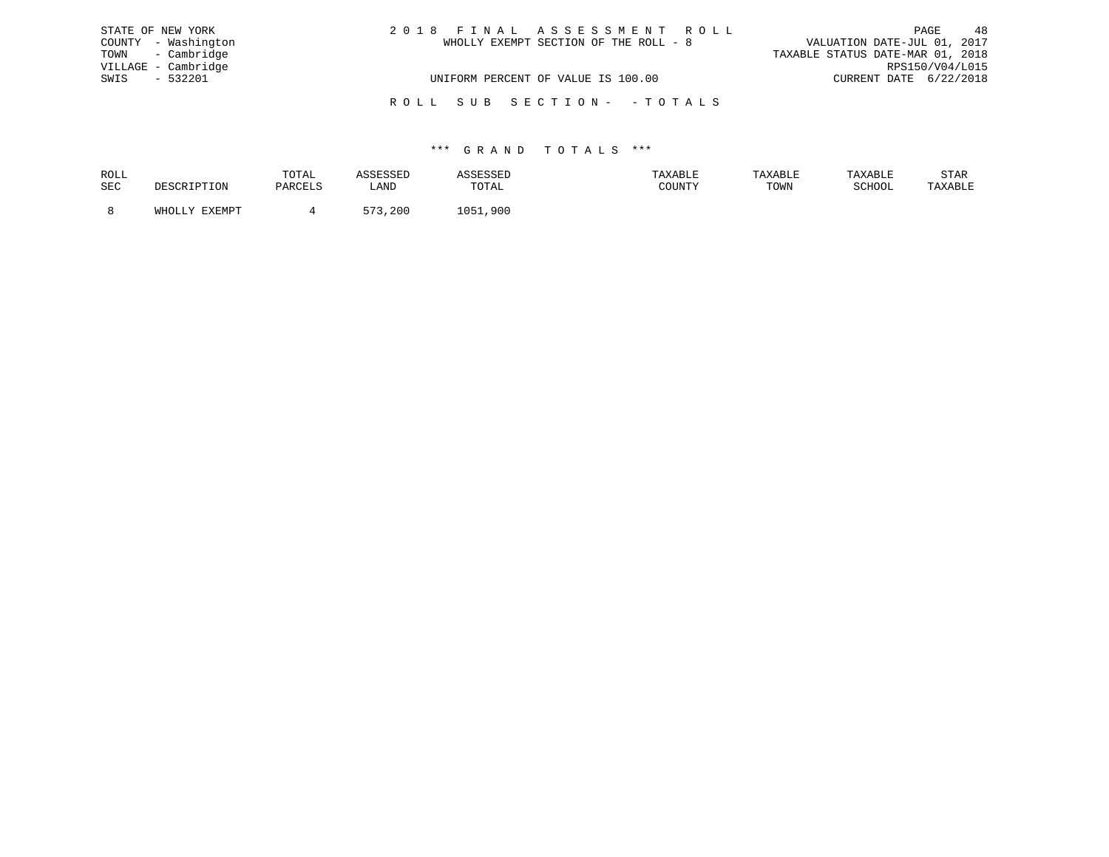| STATE OF NEW YORK   | 2018 FINAL ASSESSMENT ROLL            | 48<br>PAGE                       |
|---------------------|---------------------------------------|----------------------------------|
| COUNTY - Washington | WHOLLY EXEMPT SECTION OF THE ROLL - 8 | VALUATION DATE-JUL 01, 2017      |
| TOWN - Cambridge    |                                       | TAXABLE STATUS DATE-MAR 01, 2018 |
| VILLAGE - Cambridge |                                       | RPS150/V04/L015                  |
| $-532201$<br>SWIS   | UNIFORM PERCENT OF VALUE IS 100.00    | CURRENT DATE 6/22/2018           |
|                     | ROLL SUB SECTION- - TOTALS            |                                  |

| ROLL |               | TOTAL   | <b>SSESSED</b>       |                      | TAXABLE | TAXABLE | TAXABLE | STAR    |
|------|---------------|---------|----------------------|----------------------|---------|---------|---------|---------|
| SEC  | DESCRIPTION   | PARCELS | LAND                 | TOTAL                | COUNTY  | TOWN    | SCHOOL  | TAXABLE |
|      | WHOLLY FYFMDT |         | <b>C 7 2</b><br>,200 | $\bigcap$ 51<br>,900 |         |         |         |         |
|      |               |         |                      |                      |         |         |         |         |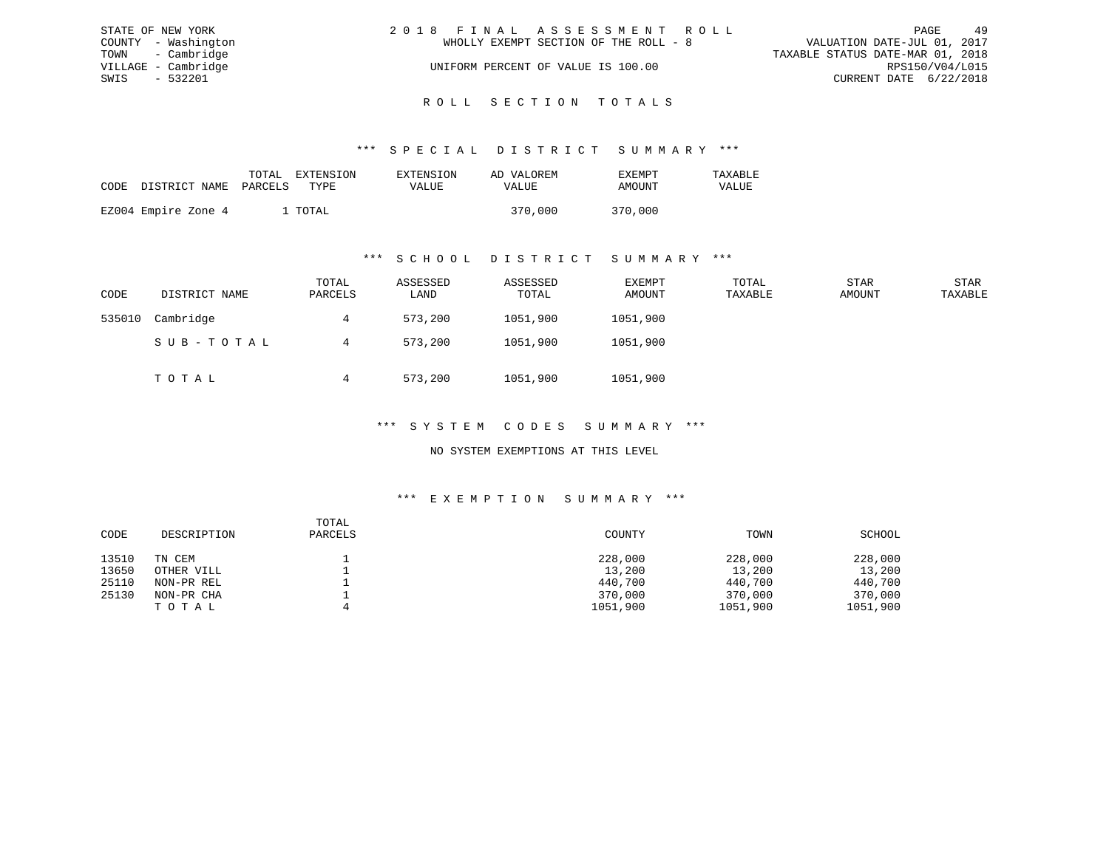|      | STATE OF NEW YORK   | 2018 FINAL ASSESSMENT ROLL |                                       |                                  | PAGE                   | 49 |
|------|---------------------|----------------------------|---------------------------------------|----------------------------------|------------------------|----|
|      | COUNTY - Washington |                            | WHOLLY EXEMPT SECTION OF THE ROLL - 8 | VALUATION DATE-JUL 01, 2017      |                        |    |
|      | TOWN - Cambridge    |                            |                                       | TAXABLE STATUS DATE-MAR 01, 2018 |                        |    |
|      | VILLAGE - Cambridge |                            | UNIFORM PERCENT OF VALUE IS 100.00    |                                  | RPS150/V04/L015        |    |
| SWIS | - 532201            |                            |                                       |                                  | CURRENT DATE 6/22/2018 |    |
|      |                     |                            |                                       |                                  |                        |    |

# ROLL SECTION TOTALS

#### \*\*\* S P E C I A L D I S T R I C T S U M M A R Y \*\*\*

| CODE | DISTRICT NAME PARCELS | TOTAL EXTENSION<br>TYPE | <b>EXTENSION</b><br>VALUE | AD VALOREM<br>VALUE | <b>FXFMPT</b><br>AMOUNT | TAXARLE<br>VALUE |
|------|-----------------------|-------------------------|---------------------------|---------------------|-------------------------|------------------|
|      | EZ004 Empire Zone 4   | . TOTAL                 |                           | 370,000             | 370,000                 |                  |

#### \*\*\* S C H O O L D I S T R I C T S U M M A R Y \*\*\*

| CODE   | DISTRICT NAME | TOTAL<br>PARCELS | ASSESSED<br>LAND | ASSESSED<br>TOTAL | EXEMPT<br>AMOUNT | TOTAL<br>TAXABLE | STAR<br>AMOUNT | STAR<br>TAXABLE |
|--------|---------------|------------------|------------------|-------------------|------------------|------------------|----------------|-----------------|
| 535010 | Cambridge     | 4                | 573,200          | 1051,900          | 1051,900         |                  |                |                 |
|        | SUB-TOTAL     | 4                | 573,200          | 1051,900          | 1051,900         |                  |                |                 |
|        | TOTAL         |                  | 573,200          | 1051,900          | 1051,900         |                  |                |                 |

### \*\*\* S Y S T E M C O D E S S U M M A R Y \*\*\*

### NO SYSTEM EXEMPTIONS AT THIS LEVEL

#### \*\*\* E X E M P T I O N S U M M A R Y \*\*\*

| CODE  | DESCRIPTION | TOTAL<br>PARCELS | COUNTY   | TOWN     | SCHOOL   |
|-------|-------------|------------------|----------|----------|----------|
| 13510 | TN CEM      |                  | 228,000  | 228,000  | 228,000  |
| 13650 | OTHER VILL  |                  | 13,200   | 13,200   | 13,200   |
| 25110 | NON-PR REL  |                  | 440,700  | 440,700  | 440,700  |
| 25130 | NON-PR CHA  |                  | 370,000  | 370,000  | 370,000  |
|       | TOTAL       |                  | 1051,900 | 1051,900 | 1051,900 |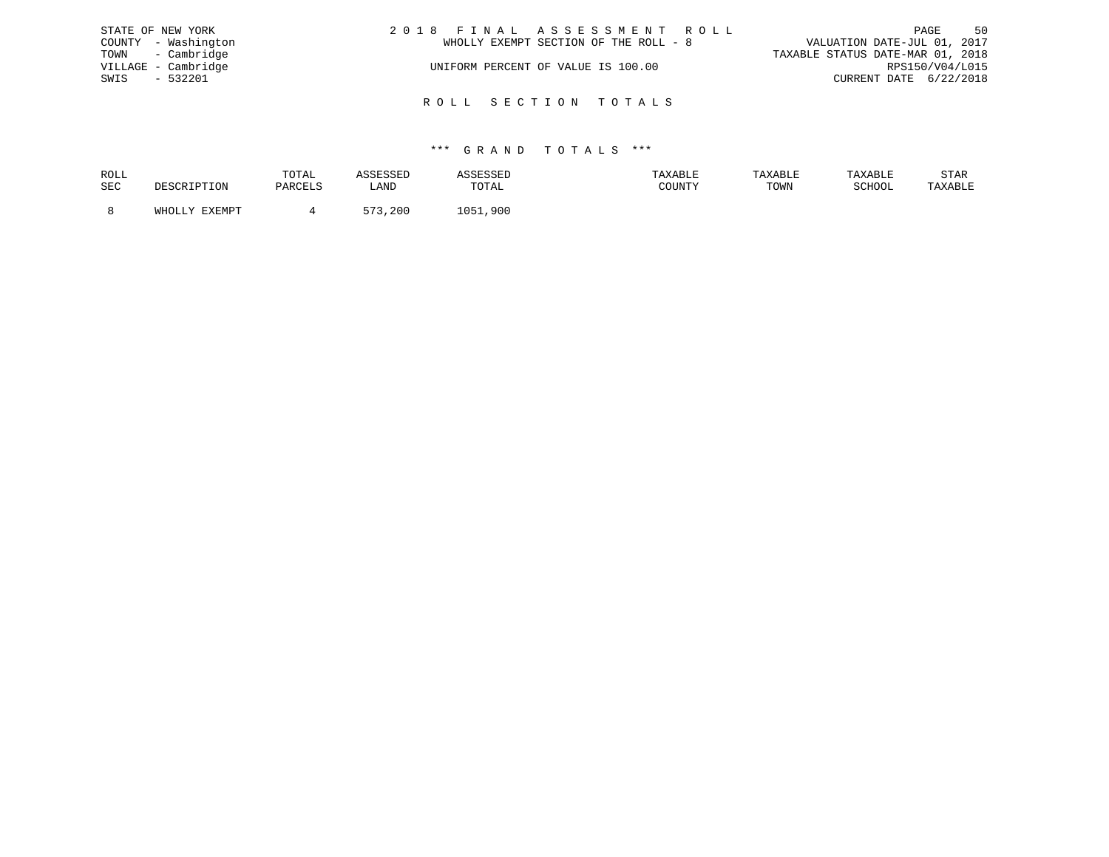|      | STATE OF NEW YORK   | 2018 FINAL ASSESSMENT ROLL            | PAGE                        | 50 |
|------|---------------------|---------------------------------------|-----------------------------|----|
|      | COUNTY - Washington | WHOLLY EXEMPT SECTION OF THE ROLL - 8 | VALUATION DATE-JUL 01, 2017 |    |
|      | TOWN - Cambridge    | TAXABLE STATUS DATE-MAR 01, 2018      |                             |    |
|      | VILLAGE - Cambridge | UNIFORM PERCENT OF VALUE IS 100.00    | RPS150/V04/L015             |    |
| SWIS | $-532201$           |                                       | CURRENT DATE 6/22/2018      |    |
|      |                     | ROLL SECTION TOTALS                   |                             |    |

| ROLL | ו גידו∩יד<br>UIAL |      |               | <b><i>FAXABLE</i></b> | <b>TAXABLE</b> | דם רד איח. | STAR    |
|------|-------------------|------|---------------|-----------------------|----------------|------------|---------|
| SEC  |                   | LANI | ™∩ጥ⊼<br>TATAT | <b>COUNTY</b>         | TOWN           | COTTOO:    | 'AXABLE |
|      |                   | $-7$ | 900           |                       |                |            |         |
|      |                   | 200  |               |                       |                |            |         |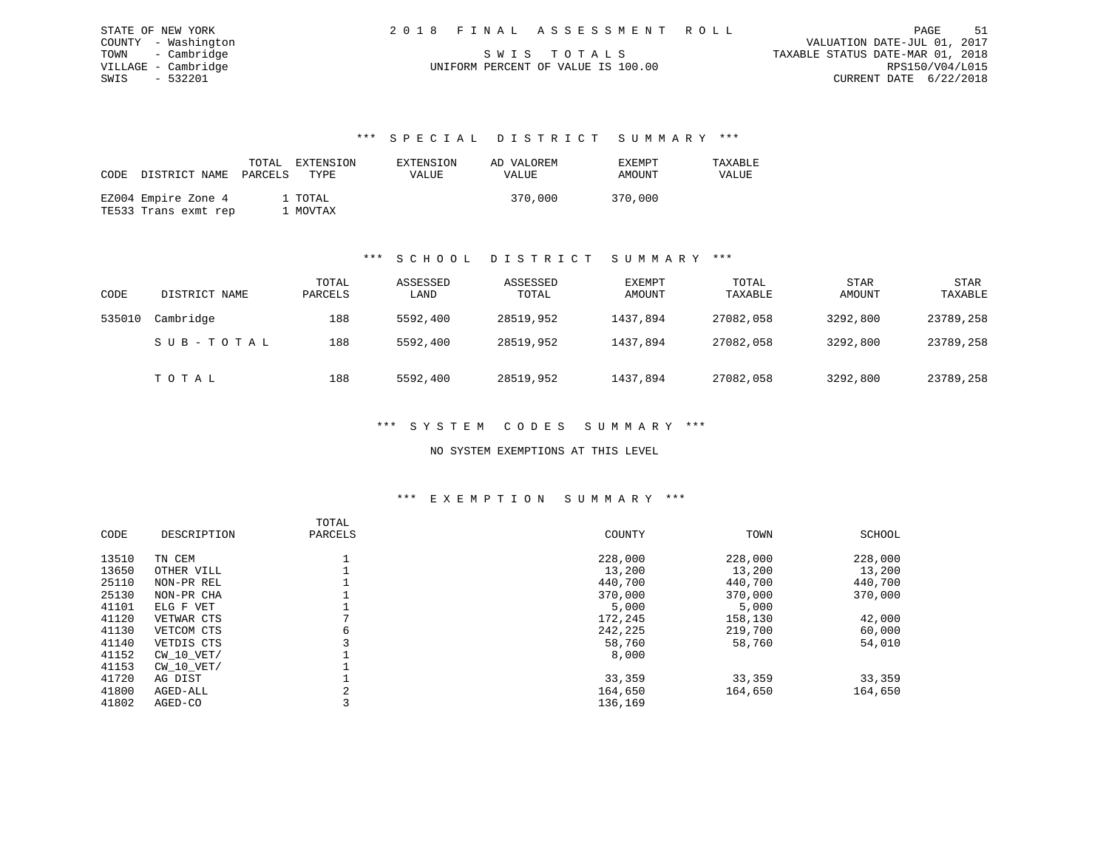| STATE OF NEW YORK   | 2018 FINAL ASSESSMENT ROLL         | 51<br>PAGE                       |  |
|---------------------|------------------------------------|----------------------------------|--|
|                     |                                    |                                  |  |
| COUNTY - Washington |                                    | VALUATION DATE-JUL 01, 2017      |  |
| TOWN - Cambridge    | SWIS TOTALS                        | TAXABLE STATUS DATE-MAR 01, 2018 |  |
| VILLAGE - Cambridge | UNIFORM PERCENT OF VALUE IS 100.00 | RPS150/V04/L015                  |  |
| SWIS - 532201       |                                    | CURRENT DATE 6/22/2018           |  |
|                     |                                    |                                  |  |

### \*\*\* S P E C I A L D I S T R I C T S U M M A R Y \*\*\*

| CODE | DISTRICT NAME                               | PARCELS | TOTAL EXTENSION<br>TYPE | EXTENSION<br><b>VALUE</b> | AD VALOREM<br><b>VALUE</b> | EXEMPT<br>AMOUNT | TAXABLE<br>VALUE |
|------|---------------------------------------------|---------|-------------------------|---------------------------|----------------------------|------------------|------------------|
|      | EZ004 Empire Zone 4<br>TE533 Trans exmt rep |         | 1 TOTAL<br>1 MOVTAX     |                           | 370,000                    | 370,000          |                  |

### \*\*\* S C H O O L D I S T R I C T S U M M A R Y \*\*\*

| CODE   | DISTRICT NAME | TOTAL<br>PARCELS | ASSESSED<br>LAND | ASSESSED<br>TOTAL | EXEMPT<br>AMOUNT | TOTAL<br>TAXABLE | STAR<br><b>AMOUNT</b> | STAR<br>TAXABLE |
|--------|---------------|------------------|------------------|-------------------|------------------|------------------|-----------------------|-----------------|
| 535010 | Cambridge     | 188              | 5592,400         | 28519,952         | 1437,894         | 27082,058        | 3292,800              | 23789,258       |
|        | SUB-TOTAL     | 188              | 5592,400         | 28519,952         | 1437,894         | 27082,058        | 3292,800              | 23789,258       |
|        | TOTAL         | 188              | 5592,400         | 28519,952         | 1437,894         | 27082,058        | 3292,800              | 23789,258       |

## \*\*\* S Y S T E M C O D E S S U M M A R Y \*\*\*

### NO SYSTEM EXEMPTIONS AT THIS LEVEL

#### \*\*\* E X E M P T I O N S U M M A R Y \*\*\*

| CODE  | DESCRIPTION    | TOTAL<br>PARCELS | COUNTY  | TOWN    | SCHOOL  |
|-------|----------------|------------------|---------|---------|---------|
| 13510 | TN CEM         |                  | 228,000 | 228,000 | 228,000 |
| 13650 | OTHER VILL     |                  | 13,200  | 13,200  | 13,200  |
| 25110 | NON-PR REL     |                  | 440,700 | 440,700 | 440,700 |
| 25130 | NON-PR CHA     |                  | 370,000 | 370,000 | 370,000 |
| 41101 | ELG F VET      |                  | 5,000   | 5,000   |         |
| 41120 | VETWAR CTS     |                  | 172,245 | 158,130 | 42,000  |
| 41130 | VETCOM CTS     | 6                | 242,225 | 219,700 | 60,000  |
| 41140 | VETDIS CTS     |                  | 58,760  | 58,760  | 54,010  |
| 41152 | CW 10 VET/     |                  | 8,000   |         |         |
| 41153 | $CW$ 10 $VET/$ |                  |         |         |         |
| 41720 | AG DIST        |                  | 33,359  | 33,359  | 33,359  |
| 41800 | AGED-ALL       | 2                | 164,650 | 164,650 | 164,650 |
| 41802 | AGED-CO        |                  | 136,169 |         |         |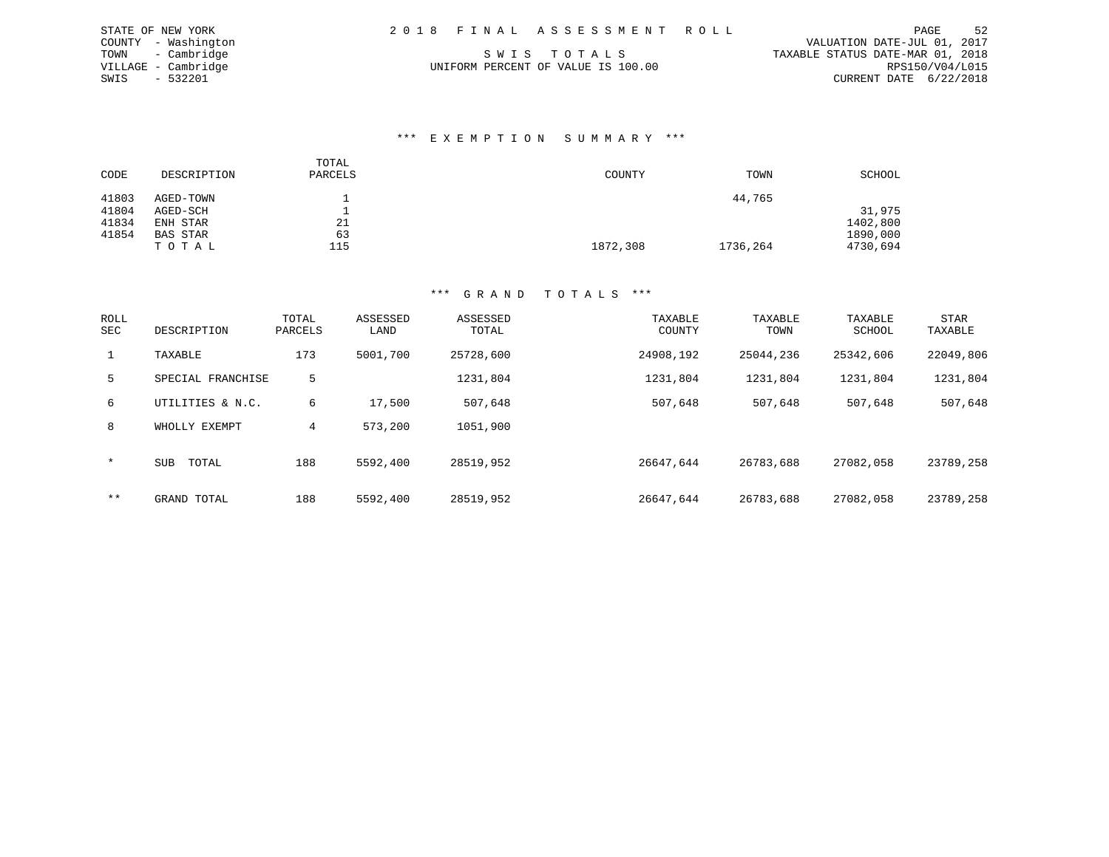| STATE OF NEW YORK   | 2018 FINAL ASSESSMENT ROLL         | PAGE                             | 52 |
|---------------------|------------------------------------|----------------------------------|----|
| COUNTY - Washington |                                    | VALUATION DATE-JUL 01, 2017      |    |
| TOWN - Cambridge    | SWIS TOTALS                        | TAXABLE STATUS DATE-MAR 01, 2018 |    |
| VILLAGE - Cambridge | UNIFORM PERCENT OF VALUE IS 100.00 | RPS150/V04/L015                  |    |
| - 532201<br>SWIS    |                                    | CURRENT DATE 6/22/2018           |    |

### \*\*\* E X E M P T I O N S U M M A R Y \*\*\*

| CODE  | DESCRIPTION | TOTAL<br>PARCELS | COUNTY   | TOWN     | SCHOOL   |
|-------|-------------|------------------|----------|----------|----------|
| 41803 | AGED-TOWN   |                  |          | 44,765   |          |
| 41804 | AGED-SCH    |                  |          |          | 31,975   |
| 41834 | ENH STAR    | 21               |          |          | 1402,800 |
| 41854 | BAS STAR    | 63               |          |          | 1890,000 |
|       | тотаь       | 115              | 1872,308 | 1736,264 | 4730,694 |

STATE OF NEW YORK

| <b>ROLL</b><br>SEC | DESCRIPTION       | TOTAL<br>PARCELS | ASSESSED<br>LAND | ASSESSED<br>TOTAL | TAXABLE<br>COUNTY | TAXABLE<br>TOWN | TAXABLE<br>SCHOOL | <b>STAR</b><br>TAXABLE |
|--------------------|-------------------|------------------|------------------|-------------------|-------------------|-----------------|-------------------|------------------------|
| $\mathbf{1}$       | TAXABLE           | 173              | 5001,700         | 25728,600         | 24908,192         | 25044,236       | 25342,606         | 22049,806              |
| 5                  | SPECIAL FRANCHISE | 5                |                  | 1231,804          | 1231,804          | 1231,804        | 1231,804          | 1231,804               |
| 6                  | UTILITIES & N.C.  | 6                | 17,500           | 507,648           | 507,648           | 507,648         | 507,648           | 507,648                |
| 8                  | WHOLLY EXEMPT     | 4                | 573,200          | 1051,900          |                   |                 |                   |                        |
| $\star$            | SUB<br>TOTAL      | 188              | 5592,400         | 28519,952         | 26647.644         | 26783,688       | 27082,058         | 23789,258              |
| $***$              | GRAND TOTAL       | 188              | 5592,400         | 28519,952         | 26647.644         | 26783,688       | 27082,058         | 23789,258              |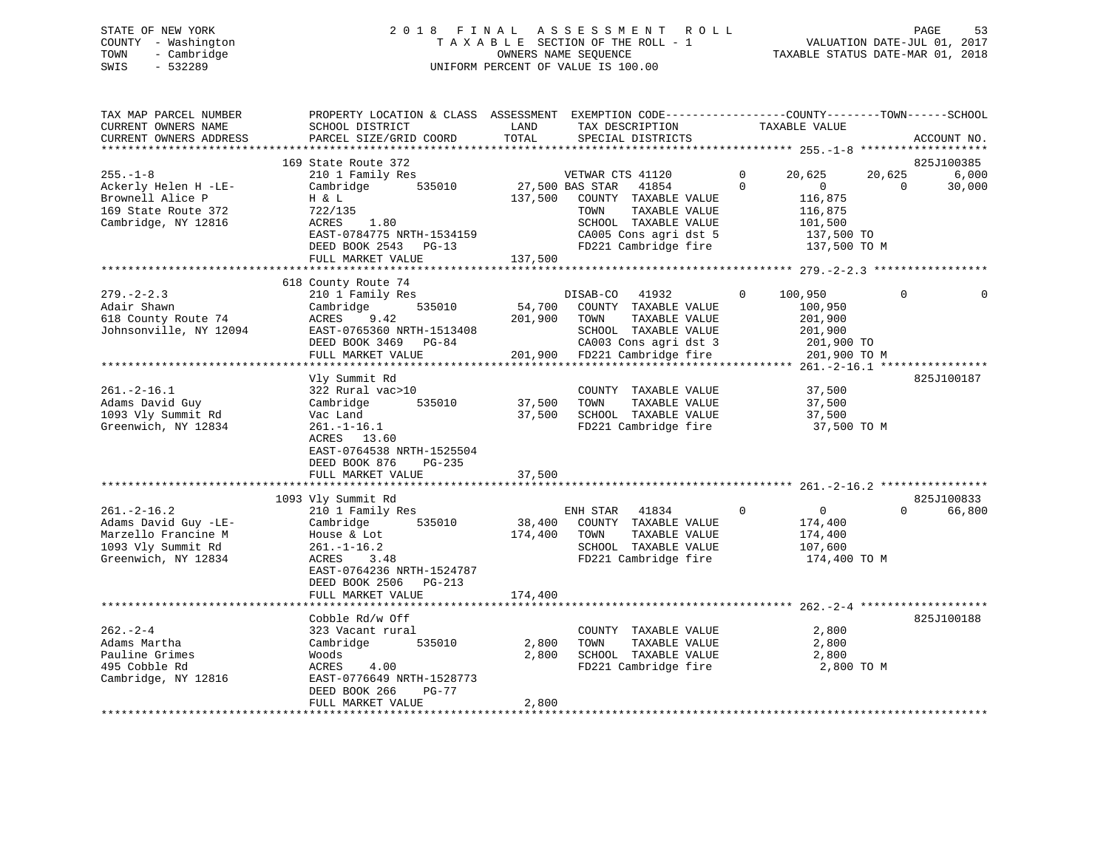# STATE OF NEW YORK 2 0 1 8 F I N A L A S S E S S M E N T R O L L PAGE 53 COUNTY - Washington T A X A B L E SECTION OF THE ROLL - 1 VALUATION DATE-JUL 01, 2017 TOWN - Cambridge OWNERS NAME SEQUENCE TAXABLE STATUS DATE-MAR 01, 2018 SWIS - 532289 UNIFORM PERCENT OF VALUE IS 100.00

| TAX MAP PARCEL NUMBER<br>CURRENT OWNERS NAME<br>CURRENT OWNERS ADDRESS<br>*************************           | PROPERTY LOCATION & CLASS ASSESSMENT<br>SCHOOL DISTRICT<br>PARCEL SIZE/GRID COORD                                                                                                        | LAND<br>TOTAL                | EXEMPTION CODE-----------------COUNTY-------TOWN------SCHOOL<br>TAX DESCRIPTION<br>SPECIAL DISTRICTS                                                                   |                      | TAXABLE VALUE                                                                         |                    | ACCOUNT NO.                   |
|---------------------------------------------------------------------------------------------------------------|------------------------------------------------------------------------------------------------------------------------------------------------------------------------------------------|------------------------------|------------------------------------------------------------------------------------------------------------------------------------------------------------------------|----------------------|---------------------------------------------------------------------------------------|--------------------|-------------------------------|
| $255. - 1 - 8$<br>Ackerly Helen H -LE-<br>Brownell Alice P<br>169 State Route 372<br>Cambridge, NY 12816      | 169 State Route 372<br>210 1 Family Res<br>535010<br>Cambridge<br>H & L<br>722/135<br>ACRES<br>1.80<br>EAST-0784775 NRTH-1534159<br>DEED BOOK 2543 PG-13                                 | 137,500                      | VETWAR CTS 41120<br>27,500 BAS STAR<br>41854<br>COUNTY TAXABLE VALUE<br>TAXABLE VALUE<br>TOWN<br>SCHOOL TAXABLE VALUE<br>CA005 Cons agri dst 5<br>FD221 Cambridge fire | $\Omega$<br>$\Omega$ | 20,625<br>$\mathbf{0}$<br>116,875<br>116,875<br>101,500<br>137,500 TO<br>137,500 TO M | 20,625<br>$\Omega$ | 825J100385<br>6,000<br>30,000 |
|                                                                                                               | FULL MARKET VALUE<br>************************                                                                                                                                            | 137,500                      |                                                                                                                                                                        |                      |                                                                                       |                    |                               |
| $279. - 2 - 2.3$<br>Adair Shawn<br>618 County Route 74<br>Johnsonville, NY 12094                              | 618 County Route 74<br>210 1 Family Res<br>535010<br>Cambridge<br>9.42<br>ACRES<br>EAST-0765360 NRTH-1513408<br>DEED BOOK 3469 PG-84<br>FULL MARKET VALUE<br>*************************** | 54,700<br>201,900<br>201,900 | DISAB-CO<br>41932<br>COUNTY TAXABLE VALUE<br>TOWN<br>TAXABLE VALUE<br>SCHOOL TAXABLE VALUE<br>CA003 Cons agri dst 3<br>FD221 Cambridge fire                            | $\Omega$             | 100,950<br>100,950<br>201,900<br>201,900<br>201,900 TO<br>201,900 TO M                | $\Omega$           |                               |
| $261. - 2 - 16.1$<br>Adams David Guy<br>1093 Vly Summit Rd<br>Greenwich, NY 12834                             | Vly Summit Rd<br>322 Rural vac>10<br>Cambridge<br>535010<br>Vac Land<br>$261. - 1 - 16.1$<br>ACRES 13.60<br>EAST-0764538 NRTH-1525504<br>PG-235<br>DEED BOOK 876<br>FULL MARKET VALUE    | 37,500<br>37,500<br>37,500   | COUNTY TAXABLE VALUE<br>TOWN<br>TAXABLE VALUE<br>SCHOOL TAXABLE VALUE<br>FD221 Cambridge fire                                                                          |                      | 37,500<br>37,500<br>37,500<br>37,500 TO M                                             |                    | 825J100187                    |
|                                                                                                               | 1093 Vly Summit Rd                                                                                                                                                                       |                              |                                                                                                                                                                        |                      |                                                                                       |                    | 825J100833                    |
| $261. - 2 - 16.2$<br>Adams David Guy -LE-<br>Marzello Francine M<br>1093 Vly Summit Rd<br>Greenwich, NY 12834 | 210 1 Family Res<br>Cambridge<br>535010<br>House & Lot<br>$261. - 1 - 16.2$<br>ACRES<br>3.48<br>EAST-0764236 NRTH-1524787                                                                | 38,400<br>174,400            | ENH STAR<br>41834<br>COUNTY TAXABLE VALUE<br>TAXABLE VALUE<br>TOWN<br>SCHOOL TAXABLE VALUE<br>FD221 Cambridge fire                                                     | $\mathbf{0}$         | $\mathbf 0$<br>174,400<br>174,400<br>107,600<br>174,400 TO M                          | $\Omega$           | 66,800                        |
|                                                                                                               | DEED BOOK 2506<br>$PG-213$<br>FULL MARKET VALUE                                                                                                                                          | 174,400                      |                                                                                                                                                                        |                      |                                                                                       |                    |                               |
| $262 - 2 - 4$<br>Adams Martha<br>Pauline Grimes<br>495 Cobble Rd<br>Cambridge, NY 12816                       | Cobble Rd/w Off<br>323 Vacant rural<br>Cambridge<br>535010<br>Woods<br>ACRES<br>4.00<br>EAST-0776649 NRTH-1528773<br>DEED BOOK 266<br>$PG-77$<br>FULL MARKET VALUE                       | 2,800<br>2,800<br>2,800      | COUNTY TAXABLE VALUE<br>TOWN<br>TAXABLE VALUE<br>SCHOOL TAXABLE VALUE<br>FD221 Cambridge fire                                                                          |                      | 2,800<br>2,800<br>2,800<br>2,800 TO M                                                 |                    | 825J100188                    |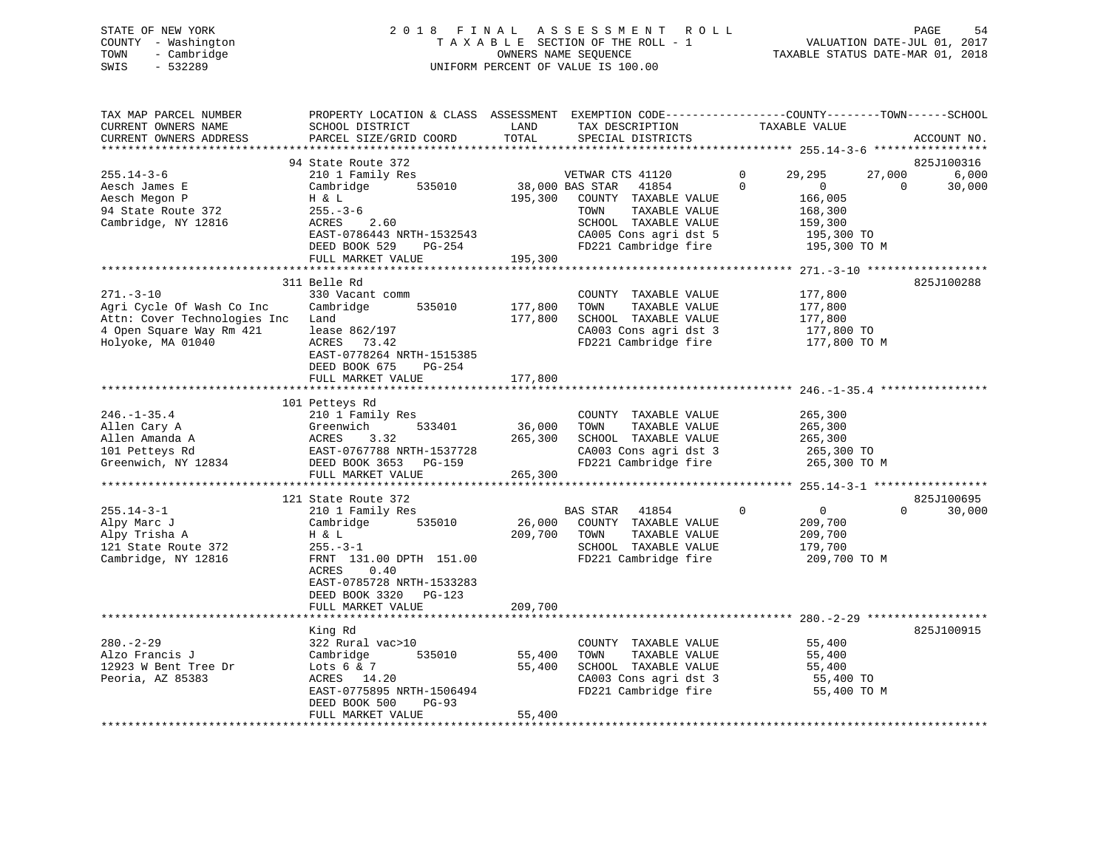# STATE OF NEW YORK 2 0 1 8 F I N A L A S S E S S M E N T R O L L PAGE 54 COUNTY - Washington T A X A B L E SECTION OF THE ROLL - 1 VALUATION DATE-JUL 01, 2017 TOWN - Cambridge OWNERS NAME SEQUENCE TAXABLE STATUS DATE-MAR 01, 2018 SWIS - 532289 UNIFORM PERCENT OF VALUE IS 100.00

| TAX MAP PARCEL NUMBER<br>CURRENT OWNERS NAME<br>CURRENT OWNERS ADDRESS                                                        | PROPERTY LOCATION & CLASS ASSESSMENT EXEMPTION CODE---------------COUNTY-------TOWN-----SCHOOL<br>SCHOOL DISTRICT<br>PARCEL SIZE/GRID COORD                                                                         | LAND<br>TOTAL                 | TAX DESCRIPTION<br>SPECIAL DISTRICTS                                                                                                                                   |                      | TAXABLE VALUE                                                                                   |          | ACCOUNT NO.                   |
|-------------------------------------------------------------------------------------------------------------------------------|---------------------------------------------------------------------------------------------------------------------------------------------------------------------------------------------------------------------|-------------------------------|------------------------------------------------------------------------------------------------------------------------------------------------------------------------|----------------------|-------------------------------------------------------------------------------------------------|----------|-------------------------------|
|                                                                                                                               |                                                                                                                                                                                                                     |                               |                                                                                                                                                                        |                      |                                                                                                 |          |                               |
| $255.14 - 3 - 6$<br>Aesch James E<br>Aesch Megon P<br>94 State Route 372<br>Cambridge, NY 12816                               | 94 State Route 372<br>210 1 Family Res<br>Cambridge<br>535010<br>H & L<br>$255. - 3 - 6$<br>ACRES<br>2.60<br>EAST-0786443 NRTH-1532543<br>DEED BOOK 529<br>PG-254<br>FULL MARKET VALUE                              | 195,300<br>195,300            | VETWAR CTS 41120<br>38,000 BAS STAR<br>41854<br>COUNTY TAXABLE VALUE<br>TOWN<br>TAXABLE VALUE<br>SCHOOL TAXABLE VALUE<br>CA005 Cons agri dst 5<br>FD221 Cambridge fire | $\Omega$<br>$\Omega$ | 29,295<br>27,000<br>$\mathbf{0}$<br>166,005<br>168,300<br>159,300<br>195,300 TO<br>195,300 TO M | $\Omega$ | 825J100316<br>6,000<br>30,000 |
|                                                                                                                               |                                                                                                                                                                                                                     |                               |                                                                                                                                                                        |                      |                                                                                                 |          |                               |
| $271. - 3 - 10$<br>Agri Cycle Of Wash Co Inc<br>Attn: Cover Technologies Inc<br>4 Open Square Way Rm 421<br>Holyoke, MA 01040 | 311 Belle Rd<br>330 Vacant comm<br>535010<br>Cambridge<br>Land<br>lease 862/197<br>73.42<br>ACRES<br>EAST-0778264 NRTH-1515385<br>DEED BOOK 675<br>PG-254<br>FULL MARKET VALUE                                      | 177,800<br>177,800<br>177,800 | COUNTY TAXABLE VALUE<br>TOWN<br>TAXABLE VALUE<br>SCHOOL TAXABLE VALUE<br>CA003 Cons agri dst 3<br>FD221 Cambridge fire                                                 |                      | 177,800<br>177,800<br>177,800<br>177,800 TO<br>177,800 TO M                                     |          | 825J100288                    |
|                                                                                                                               |                                                                                                                                                                                                                     |                               |                                                                                                                                                                        |                      |                                                                                                 |          |                               |
| $246. - 1 - 35.4$<br>Allen Cary A<br>Allen Amanda A<br>101 Petteys Rd<br>Greenwich, NY 12834                                  | 101 Petteys Rd<br>210 1 Family Res<br>Greenwich<br>533401<br>ACRES<br>3.32<br>EAST-0767788 NRTH-1537728<br>DEED BOOK 3653 PG-159<br>FULL MARKET VALUE                                                               | 36,000<br>265,300<br>265,300  | COUNTY TAXABLE VALUE<br>TOWN<br>TAXABLE VALUE<br>SCHOOL TAXABLE VALUE<br>CA003 Cons agri dst 3<br>FD221 Cambridge fire                                                 |                      | 265,300<br>265,300<br>265,300<br>265,300 TO<br>265,300 TO M                                     |          |                               |
|                                                                                                                               |                                                                                                                                                                                                                     |                               |                                                                                                                                                                        |                      |                                                                                                 |          |                               |
| $255.14 - 3 - 1$<br>Alpy Marc J<br>Alpy Trisha A<br>121 State Route 372<br>Cambridge, NY 12816                                | 121 State Route 372<br>210 1 Family Res<br>535010<br>Cambridge<br>H & L<br>$255. - 3 - 1$<br>FRNT 131.00 DPTH 151.00<br>ACRES<br>0.40<br>EAST-0785728 NRTH-1533283<br>DEED BOOK 3320<br>PG-123<br>FULL MARKET VALUE | 26,000<br>209,700<br>209,700  | BAS STAR<br>41854<br>COUNTY TAXABLE VALUE<br>TOWN<br>TAXABLE VALUE<br>SCHOOL TAXABLE VALUE<br>FD221 Cambridge fire                                                     | $\mathbf 0$          | $\overline{0}$<br>209,700<br>209,700<br>179,700<br>209,700 TO M                                 | $\Omega$ | 825J100695<br>30,000          |
|                                                                                                                               |                                                                                                                                                                                                                     |                               |                                                                                                                                                                        |                      |                                                                                                 |          |                               |
| $280. - 2 - 29$<br>Alzo Francis J<br>12923 W Bent Tree Dr<br>Peoria, AZ 85383                                                 | King Rd<br>322 Rural vac>10<br>Cambridge<br>535010<br>Lots $6 & 7$<br>ACRES 14.20<br>EAST-0775895 NRTH-1506494<br>DEED BOOK 500<br>$PG-93$<br>FULL MARKET VALUE                                                     | 55,400<br>55,400<br>55,400    | COUNTY TAXABLE VALUE<br>TOWN<br>TAXABLE VALUE<br>SCHOOL TAXABLE VALUE<br>CA003 Cons agri dst 3<br>FD221 Cambridge fire                                                 |                      | 55,400<br>55,400<br>55,400<br>55,400 TO<br>55,400 TO M                                          |          | 825J100915                    |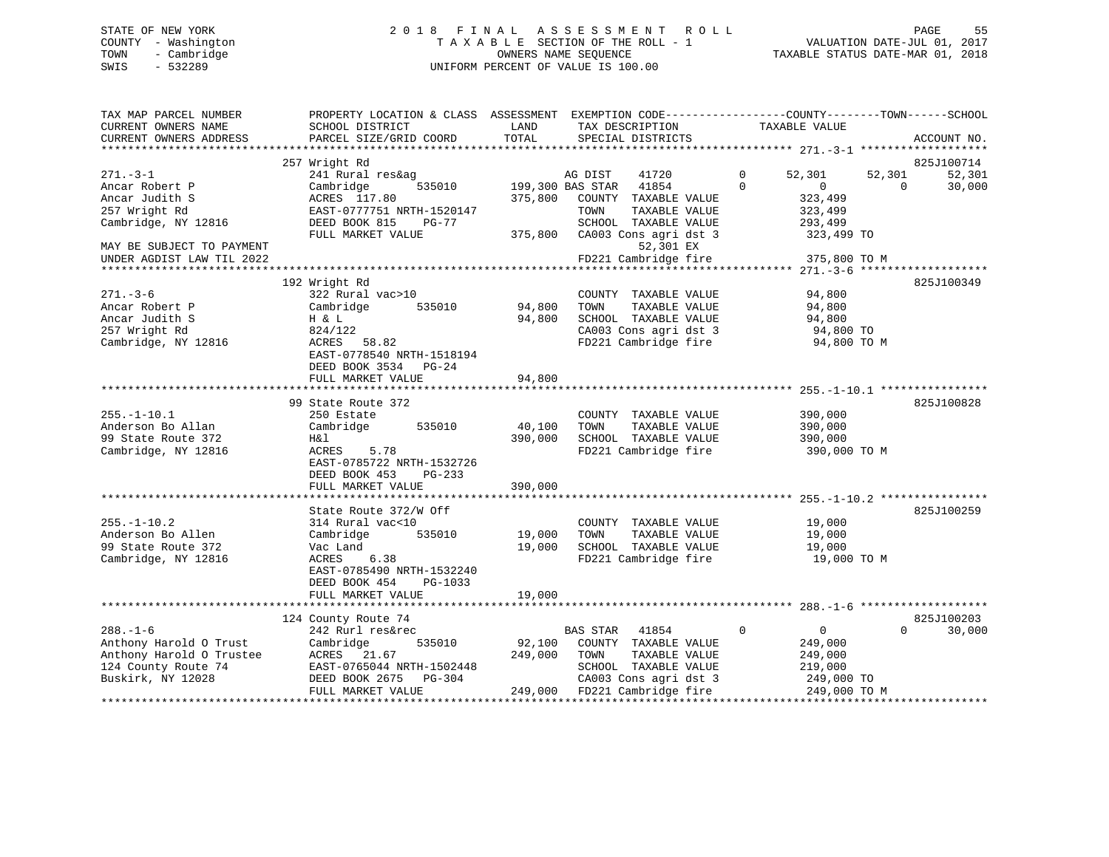# STATE OF NEW YORK 2 0 1 8 F I N A L A S S E S S M E N T R O L L PAGE 55 COUNTY - Washington T A X A B L E SECTION OF THE ROLL - 1 VALUATION DATE-JUL 01, 2017 TOWN - Cambridge OWNERS NAME SEQUENCE TAXABLE STATUS DATE-MAR 01, 2018 SWIS - 532289 UNIFORM PERCENT OF VALUE IS 100.00

| TAX MAP PARCEL NUMBER<br>CURRENT OWNERS NAME | PROPERTY LOCATION & CLASS ASSESSMENT<br>SCHOOL DISTRICT | LAND    | EXEMPTION CODE-----------------COUNTY-------TOWN------SCHOOL<br>TAX DESCRIPTION | TAXABLE VALUE              |                    |
|----------------------------------------------|---------------------------------------------------------|---------|---------------------------------------------------------------------------------|----------------------------|--------------------|
| CURRENT OWNERS ADDRESS                       | PARCEL SIZE/GRID COORD                                  | TOTAL   | SPECIAL DISTRICTS                                                               |                            | ACCOUNT NO.        |
|                                              | 257 Wright Rd                                           |         |                                                                                 |                            | 825J100714         |
| $271. - 3 - 1$                               | 241 Rural res&ag                                        |         | AG DIST<br>41720                                                                | $\mathbf 0$<br>52,301      | 52,301<br>52,301   |
| Ancar Robert P                               | Cambridge<br>535010                                     |         | 199,300 BAS STAR<br>41854                                                       | $\Omega$<br>$\Omega$       | $\Omega$<br>30,000 |
| Ancar Judith S                               | ACRES 117.80                                            | 375,800 | COUNTY TAXABLE VALUE                                                            | 323,499                    |                    |
| 257 Wright Rd                                | EAST-0777751 NRTH-1520147                               |         | TAXABLE VALUE<br>TOWN                                                           | 323,499                    |                    |
| Cambridge, NY 12816                          | DEED BOOK 815<br>$PG-77$                                |         | SCHOOL TAXABLE VALUE                                                            | 293,499                    |                    |
|                                              | FULL MARKET VALUE                                       | 375,800 | CA003 Cons agri dst 3                                                           | 323,499 TO                 |                    |
| MAY BE SUBJECT TO PAYMENT                    |                                                         |         | 52,301 EX                                                                       |                            |                    |
| UNDER AGDIST LAW TIL 2022                    |                                                         |         | FD221 Cambridge fire                                                            | 375,800 TO M               |                    |
|                                              | 192 Wright Rd                                           |         |                                                                                 |                            |                    |
| $271. - 3 - 6$                               | 322 Rural vac>10                                        |         | COUNTY TAXABLE VALUE                                                            | 94,800                     | 825J100349         |
| Ancar Robert P                               | Cambridge<br>535010                                     | 94,800  | TOWN<br>TAXABLE VALUE                                                           | 94,800                     |                    |
| Ancar Judith S                               | H & L                                                   | 94,800  | SCHOOL TAXABLE VALUE                                                            | 94,800                     |                    |
| 257 Wright Rd                                | 824/122                                                 |         | CA003 Cons agri dst 3                                                           | 94,800 TO                  |                    |
| Cambridge, NY 12816                          | ACRES<br>58.82                                          |         | FD221 Cambridge fire                                                            | 94,800 TO M                |                    |
|                                              | EAST-0778540 NRTH-1518194                               |         |                                                                                 |                            |                    |
|                                              | DEED BOOK 3534<br>PG-24                                 |         |                                                                                 |                            |                    |
|                                              | FULL MARKET VALUE                                       | 94,800  |                                                                                 |                            |                    |
|                                              |                                                         |         |                                                                                 |                            |                    |
|                                              | 99 State Route 372                                      |         |                                                                                 |                            | 825J100828         |
| $255. - 1 - 10.1$                            | 250 Estate                                              |         | COUNTY TAXABLE VALUE                                                            | 390,000                    |                    |
| Anderson Bo Allan                            | Cambridge<br>535010                                     | 40,100  | TOWN<br>TAXABLE VALUE                                                           | 390,000                    |                    |
| 99 State Route 372                           | H&l                                                     | 390,000 | SCHOOL TAXABLE VALUE                                                            | 390,000                    |                    |
| Cambridge, NY 12816                          | 5.78<br>ACRES                                           |         | FD221 Cambridge fire                                                            | 390,000 TO M               |                    |
|                                              | EAST-0785722 NRTH-1532726                               |         |                                                                                 |                            |                    |
|                                              | DEED BOOK 453<br>PG-233                                 |         |                                                                                 |                            |                    |
|                                              | FULL MARKET VALUE                                       | 390,000 |                                                                                 |                            |                    |
|                                              | State Route 372/W Off                                   |         |                                                                                 |                            | 825J100259         |
| $255. - 1 - 10.2$                            | 314 Rural vac<10                                        |         | COUNTY TAXABLE VALUE                                                            | 19,000                     |                    |
| Anderson Bo Allen                            | 535010<br>Cambridge                                     | 19,000  | TOWN<br>TAXABLE VALUE                                                           | 19,000                     |                    |
| 99 State Route 372                           | Vac Land                                                | 19,000  | SCHOOL TAXABLE VALUE                                                            | 19,000                     |                    |
| Cambridge, NY 12816                          | ACRES<br>6.38                                           |         | FD221 Cambridge fire                                                            | 19,000 TO M                |                    |
|                                              | EAST-0785490 NRTH-1532240                               |         |                                                                                 |                            |                    |
|                                              | DEED BOOK 454<br>PG-1033                                |         |                                                                                 |                            |                    |
|                                              | FULL MARKET VALUE                                       | 19,000  |                                                                                 |                            |                    |
|                                              |                                                         |         |                                                                                 |                            |                    |
|                                              | 124 County Route 74                                     |         |                                                                                 |                            | 825J100203         |
| $288. - 1 - 6$                               | 242 Rurl res&rec                                        |         | 41854<br>BAS STAR                                                               | $\Omega$<br>$\mathbf{0}$   | $\Omega$<br>30,000 |
| Anthony Harold O Trust                       | 535010<br>Cambridge                                     | 92,100  | COUNTY TAXABLE VALUE                                                            | 249,000                    |                    |
| Anthony Harold O Trustee                     | ACRES 21.67                                             | 249,000 | TAXABLE VALUE<br>TOWN                                                           | 249,000                    |                    |
| 124 County Route 74                          | EAST-0765044 NRTH-1502448                               |         | SCHOOL TAXABLE VALUE                                                            | 219,000                    |                    |
| Buskirk, NY 12028                            | DEED BOOK 2675<br>PG-304<br>FULL MARKET VALUE           | 249,000 | CA003 Cons agri dst 3<br>FD221 Cambridge fire                                   | 249,000 TO<br>249,000 TO M |                    |
|                                              |                                                         |         |                                                                                 |                            |                    |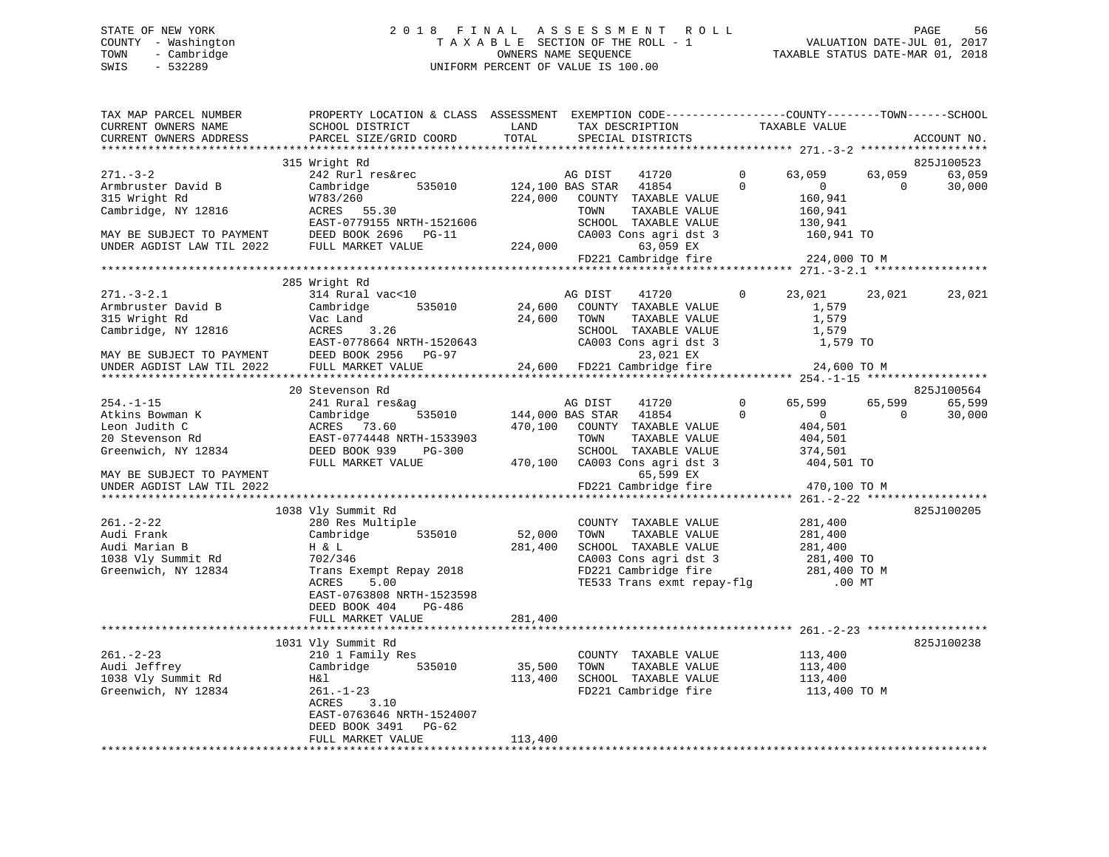## STATE OF NEW YORK STATE OF NEW YORK STATE OF NEW YORK STATE OF NEW YORK STATE ASSESSMENT ROLL STATE OF NEW YORK COUNTY - Washington  $T A X A B L E$  SECTION OF THE ROLL - 1<br>TOWN - Cambridge  $\qquad$  OWNERS NAME SEQUENCE TOWN - Cambridge OWNERS NAME SEQUENCE TAXABLE STATUS DATE-MAR 01, 2018 SWIS - 532289 UNIFORM PERCENT OF VALUE IS 100.00

| TAX MAP PARCEL NUMBER<br>CURRENT OWNERS NAME | PROPERTY LOCATION & CLASS ASSESSMENT EXEMPTION CODE-----------------COUNTY-------TOWN------SCHOOL<br>SCHOOL DISTRICT | LAND    | TAX DESCRIPTION                                                                                            | TAXABLE VALUE         |                                            |                                |
|----------------------------------------------|----------------------------------------------------------------------------------------------------------------------|---------|------------------------------------------------------------------------------------------------------------|-----------------------|--------------------------------------------|--------------------------------|
| CURRENT OWNERS ADDRESS                       | PARCEL SIZE/GRID COORD                                                                                               | TOTAL   | SPECIAL DISTRICTS                                                                                          |                       |                                            | ACCOUNT NO.                    |
|                                              |                                                                                                                      |         |                                                                                                            |                       |                                            |                                |
| 271.-3-2<br>Armbruster David B               | 315 Wright Rd<br>242 Rurl res&rec<br>Cambridge<br>535010                                                             |         | AG DIST<br>41720<br>124,100 BAS STAR 41854                                                                 | $\Omega$<br>$\Omega$  | 63,059<br>63,059<br>$\sim$ 0<br>$\bigcirc$ | 825J100523<br>63,059<br>30,000 |
| 315 Wright Rd<br>Cambridge, NY 12816         | W783/260<br>ACRES 55.30<br>EAST-0779155 NRTH-1521606<br>DEED BOOK 2696 PG-11                                         | 224,000 | COUNTY TAXABLE VALUE<br>TOWN<br>TAXABLE VALUE<br>SCHOOL TAXABLE VALUE<br>CA003 Cons agri dst 3             | 160,941 TO            | 160,941<br>160,941<br>130,941              |                                |
| MAY BE SUBJECT TO PAYMENT                    | FULL MARKET VALUE                                                                                                    |         | 224,000<br>63,059 EX<br>FD221 Cambridge fire 224,000 TO M                                                  |                       |                                            |                                |
|                                              |                                                                                                                      |         |                                                                                                            |                       |                                            |                                |
|                                              | 285 Wright Rd                                                                                                        |         |                                                                                                            |                       |                                            |                                |
| $271. - 3 - 2.1$                             | 314 Rural vac<10                                                                                                     |         | AG DIST<br>41720                                                                                           | $\mathbf{0}$          | 23,021<br>23,021                           | 23,021                         |
| Armbruster David B                           | Cambridge<br>535010                                                                                                  |         | 24,600 COUNTY TAXABLE VALUE                                                                                |                       | 1,579                                      |                                |
| 315 Wright Rd                                | Vac Land                                                                                                             |         | 24,600 TOWN                                                                                                |                       | 1,579                                      |                                |
| Cambridge, NY 12816                          | ACRES<br>3.26                                                                                                        |         | TOWN TAXABLE VALUE<br>SCHOOL TAXABLE VALUE<br>CA003 Cons agri dst 3                                        |                       | 1,579                                      |                                |
|                                              | EAST-0778664 NRTH-1520643                                                                                            |         |                                                                                                            |                       | 1,579 TO                                   |                                |
| MAY BE SUBJECT TO PAYMENT                    | DEED BOOK 2956 PG-97                                                                                                 |         | 23,021 EX                                                                                                  |                       |                                            |                                |
| UNDER AGDIST LAW TIL 2022                    | FULL MARKET VALUE                                                                                                    |         | 24,600 FD221 Cambridge fire                                                                                |                       | 24,600 TO M                                |                                |
|                                              |                                                                                                                      |         |                                                                                                            |                       |                                            |                                |
|                                              | 20 Stevenson Rd<br>241 Rural res&ag                                                                                  |         |                                                                                                            | $\overline{0}$        | 65,599                                     | 825J100564                     |
| $254. - 1 - 15$<br>Atkins Bowman K           | 535010<br>Cambridge                                                                                                  |         | AG DIST<br>41720<br>144,000 BAS STAR 41854                                                                 | $\Omega$              | 65,599<br>$\overline{0}$<br>$\overline{0}$ | 65,599<br>30,000               |
| Leon Judith C                                | ACRES 73.60                                                                                                          | 470,100 | COUNTY TAXABLE VALUE                                                                                       |                       | 404,501                                    |                                |
| 20 Stevenson Rd                              | EAST-0774448 NRTH-1533903                                                                                            |         | TOWN<br>TAXABLE VALUE                                                                                      |                       | 404,501                                    |                                |
| Greenwich, NY 12834                          | PG-300<br>DEED BOOK 939                                                                                              |         | SCHOOL TAXABLE VALUE                                                                                       |                       |                                            |                                |
| MAY BE SUBJECT TO PAYMENT                    | FULL MARKET VALUE                                                                                                    |         | 470,100 CA003 Cons agri dst 3<br>65,599 EX                                                                 | 374,501<br>404,501 TO |                                            |                                |
| UNDER AGDIST LAW TIL 2022                    |                                                                                                                      |         | FD221 Cambridge fire                                                                                       |                       | 470,100 TO M                               |                                |
|                                              |                                                                                                                      |         |                                                                                                            |                       |                                            |                                |
|                                              | 1038 Vly Summit Rd                                                                                                   |         |                                                                                                            |                       |                                            | 825J100205                     |
| $261 - 2 - 22$                               | 280 Res Multiple                                                                                                     |         | COUNTY TAXABLE VALUE                                                                                       |                       | 281,400                                    |                                |
| Audi Frank                                   | Cambridge 535010                                                                                                     | 52,000  | TOWN<br>TAXABLE VALUE                                                                                      |                       | 281,400                                    |                                |
| Audi Marian B                                | H & L                                                                                                                | 281,400 | SCHOOL TAXABLE VALUE                                                                                       |                       | 281,400                                    |                                |
| 1038 Vly Summit Rd                           | 702/346                                                                                                              |         | CA003 Cons agri dst 3 281,400 TO<br>FD221 Cambridge fire 281,400 TO M<br>TE533 Trans exmt repay-flg .00 MT |                       |                                            |                                |
| Greenwich, NY 12834                          | Trans Exempt Repay 2018                                                                                              |         |                                                                                                            |                       |                                            |                                |
|                                              | ACRES<br>5.00<br>EAST-0763808 NRTH-1523598<br>PG-486<br>DEED BOOK 404                                                |         |                                                                                                            |                       |                                            |                                |
|                                              | FULL MARKET VALUE                                                                                                    | 281,400 |                                                                                                            |                       |                                            |                                |
|                                              | 1031 Vly Summit Rd                                                                                                   |         |                                                                                                            |                       |                                            | 825J100238                     |
| $261. - 2 - 23$                              | 210 1 Family Res                                                                                                     |         | COUNTY TAXABLE VALUE                                                                                       | 113,400               |                                            |                                |
| Audi Jeffrey                                 | Cambridge 535010                                                                                                     | 35,500  | TOWN<br>TAXABLE VALUE                                                                                      |                       | 113,400                                    |                                |
| 1038 Vly Summit Rd                           | H&l                                                                                                                  | 113,400 | SCHOOL TAXABLE VALUE                                                                                       |                       | 113,400                                    |                                |
| Greenwich, NY 12834                          | $261. - 1 - 23$<br>3.10<br>ACRES                                                                                     |         | FD221 Cambridge fire                                                                                       |                       | 113,400 TO M                               |                                |
|                                              | EAST-0763646 NRTH-1524007                                                                                            |         |                                                                                                            |                       |                                            |                                |
|                                              | DEED BOOK 3491 PG-62                                                                                                 |         |                                                                                                            |                       |                                            |                                |
|                                              | FULL MARKET VALUE                                                                                                    | 113,400 |                                                                                                            |                       |                                            |                                |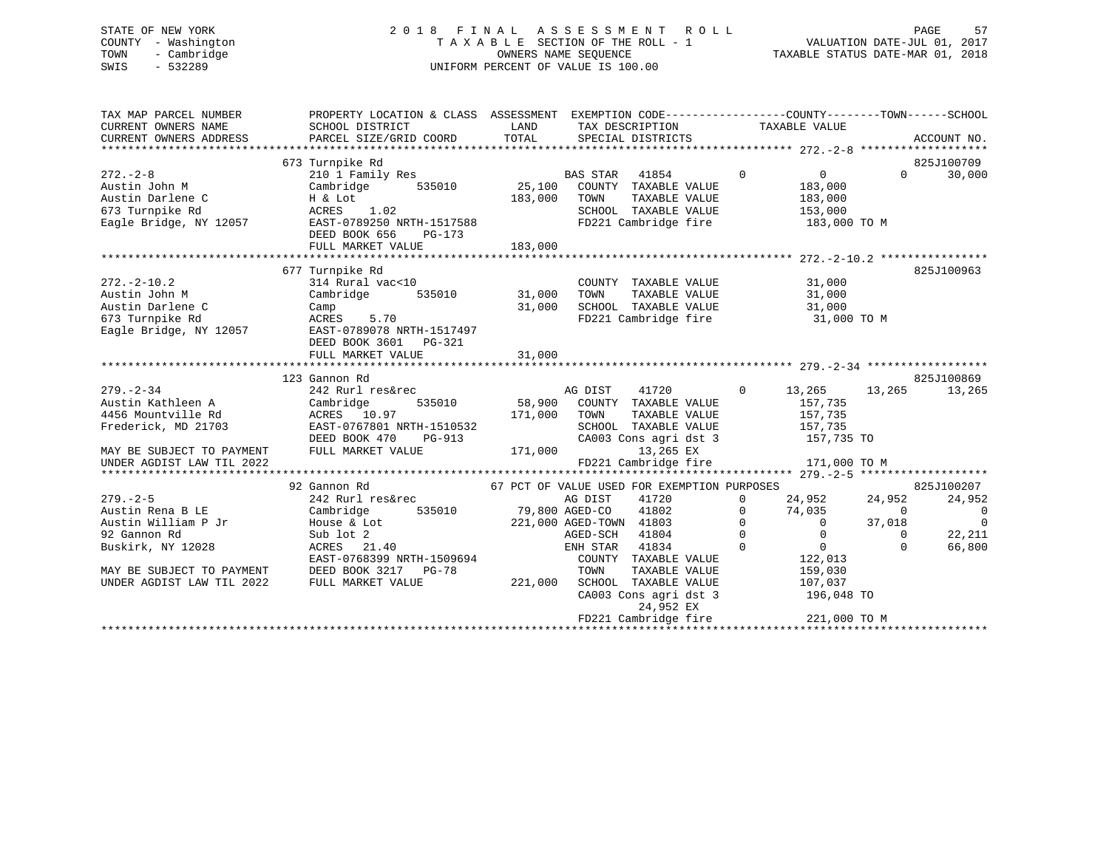# STATE OF NEW YORK 2 0 1 8 F I N A L A S S E S S M E N T R O L L PAGE 57 COUNTY - Washington T A X A B L E SECTION OF THE ROLL - 1 VALUATION DATE-JUL 01, 2017 TOWN - Cambridge OWNERS NAME SEQUENCE TAXABLE STATUS DATE-MAR 01, 2018 SWIS - 532289 UNIFORM PERCENT OF VALUE IS 100.00

| TAX MAP PARCEL NUMBER<br>CURRENT OWNERS NAME<br>CURRENT OWNERS ADDRESS | PROPERTY LOCATION & CLASS ASSESSMENT EXEMPTION CODE---------------COUNTY-------TOWN-----SCHOOL<br>SCHOOL DISTRICT<br>PARCEL SIZE/GRID COORD | LAND<br>TOTAL  | SPECIAL DISTRICTS                           | TAX DESCRIPTION TAXABLE VALUE |             |                   |          | ACCOUNT NO.    |
|------------------------------------------------------------------------|---------------------------------------------------------------------------------------------------------------------------------------------|----------------|---------------------------------------------|-------------------------------|-------------|-------------------|----------|----------------|
|                                                                        | 673 Turnpike Rd                                                                                                                             |                |                                             |                               |             |                   |          | 825J100709     |
| $272 - 2 - 8$                                                          | 210 1 Family Res                                                                                                                            |                | <b>BAS STAR</b>                             | 41854                         | $\mathbf 0$ | $\overline{0}$    | $\Omega$ | 30,000         |
| Austin John M                                                          | Cambridge<br>535010                                                                                                                         | 25,100         | COUNTY TAXABLE VALUE                        |                               |             | 183,000           |          |                |
| Austin Darlene C                                                       | H & Lot                                                                                                                                     | 183,000        | TOWN                                        | TAXABLE VALUE                 |             | 183,000           |          |                |
| 673 Turnpike Rd                                                        | ACRES 1.02                                                                                                                                  |                |                                             | SCHOOL TAXABLE VALUE          |             | 153,000           |          |                |
| Eagle Bridge, NY 12057                                                 | EAST-0789250 NRTH-1517588                                                                                                                   |                |                                             | FD221 Cambridge fire          |             | 183,000 TO M      |          |                |
|                                                                        | DEED BOOK 656<br>PG-173                                                                                                                     |                |                                             |                               |             |                   |          |                |
|                                                                        | FULL MARKET VALUE                                                                                                                           | 183,000        |                                             |                               |             |                   |          |                |
|                                                                        |                                                                                                                                             |                |                                             |                               |             |                   |          |                |
|                                                                        | 677 Turnpike Rd                                                                                                                             |                |                                             |                               |             |                   |          | 825J100963     |
| $272 - 2 - 10.2$                                                       | 314 Rural vac<10                                                                                                                            |                |                                             | COUNTY TAXABLE VALUE          |             | 31,000            |          |                |
| Austin John M                                                          | Cambridge<br>535010                                                                                                                         | 31,000         | TOWN                                        | TAXABLE VALUE                 |             | 31,000            |          |                |
| Austin Darlene C                                                       | Camp                                                                                                                                        | 31,000         |                                             | SCHOOL TAXABLE VALUE          |             | 31,000            |          |                |
| 673 Turnpike Rd                                                        | ACRES 5.70                                                                                                                                  |                |                                             | FD221 Cambridge fire          |             | 31,000 TO M       |          |                |
| Eagle Bridge, NY 12057                                                 | EAST-0789078 NRTH-1517497                                                                                                                   |                |                                             |                               |             |                   |          |                |
|                                                                        | DEED BOOK 3601 PG-321                                                                                                                       |                |                                             |                               |             |                   |          |                |
|                                                                        | FULL MARKET VALUE                                                                                                                           | 31,000         |                                             |                               |             |                   |          |                |
|                                                                        | 123 Gannon Rd                                                                                                                               |                |                                             |                               |             |                   |          | 825J100869     |
| $279. - 2 - 34$                                                        | 242 Rurl res&rec                                                                                                                            |                | AG DIST                                     | 41720                         | $\Omega$    |                   | 13,265   | 13,265         |
| Austin Kathleen A                                                      | 535010<br>Cambridge                                                                                                                         |                | 58,900 COUNTY TAXABLE VALUE                 |                               |             | 13,265<br>157,735 |          |                |
| 4456 Mountville Rd                                                     | ACRES 10.97                                                                                                                                 | 171,000        | TOWN                                        | TAXABLE VALUE                 |             | 157,735           |          |                |
| Frederick, MD 21703                                                    | EAST-0767801 NRTH-1510532                                                                                                                   |                |                                             | SCHOOL TAXABLE VALUE          |             | 157,735           |          |                |
|                                                                        | DEED BOOK 470<br>PG-913                                                                                                                     |                |                                             | CA003 Cons agri dst 3         |             | 157,735 TO        |          |                |
| MAY BE SUBJECT TO PAYMENT                                              | FULL MARKET VALUE                                                                                                                           | 171,000        |                                             | 13,265 EX                     |             |                   |          |                |
| UNDER AGDIST LAW TIL 2022                                              |                                                                                                                                             |                | FD221 Cambridge fire                        |                               |             | 171,000 TO M      |          |                |
|                                                                        |                                                                                                                                             |                |                                             |                               |             |                   |          |                |
|                                                                        | 92 Gannon Rd                                                                                                                                |                | 67 PCT OF VALUE USED FOR EXEMPTION PURPOSES |                               |             |                   |          | 825J100207     |
| $279. - 2 - 5$                                                         | 242 Rurl res&rec                                                                                                                            |                | AG DIST                                     | 41720                         | 0           | 24,952            | 24,952   | 24,952         |
| Austin Rena B LE                                                       | 535010<br>Cambridge                                                                                                                         | 79,800 AGED-CO |                                             | 41802                         | 0           | 74,035            | $\Omega$ | $\overline{0}$ |
| Austin William P Jr                                                    | House & Lot                                                                                                                                 |                | 221,000 AGED-TOWN 41803                     |                               | $\Omega$    | $\overline{0}$    | 37,018   | $\mathbf 0$    |
| 92 Gannon Rd                                                           | Sub lot 2                                                                                                                                   |                | AGED-SCH                                    | 41804                         | $\Omega$    | $\overline{0}$    | $\Omega$ | 22,211         |
| Buskirk, NY 12028                                                      | ACRES<br>21.40                                                                                                                              |                | ENH STAR                                    | 41834                         | $\Omega$    | $\overline{0}$    | $\Omega$ | 66,800         |
|                                                                        | EAST-0768399 NRTH-1509694                                                                                                                   |                |                                             | COUNTY TAXABLE VALUE          |             | 122,013           |          |                |
| MAY BE SUBJECT TO PAYMENT                                              | DEED BOOK 3217 PG-78                                                                                                                        |                | TOWN                                        | TAXABLE VALUE                 |             | 159,030           |          |                |
| UNDER AGDIST LAW TIL 2022                                              | FULL MARKET VALUE                                                                                                                           | 221,000        | SCHOOL                                      | TAXABLE VALUE                 |             | 107,037           |          |                |
|                                                                        |                                                                                                                                             |                |                                             | CA003 Cons agri dst 3         |             | 196,048 TO        |          |                |
|                                                                        |                                                                                                                                             |                |                                             | 24,952 EX                     |             |                   |          |                |
|                                                                        |                                                                                                                                             |                | FD221 Cambridge fire                        |                               |             | 221,000 TO M      |          |                |
|                                                                        |                                                                                                                                             |                |                                             |                               |             |                   |          |                |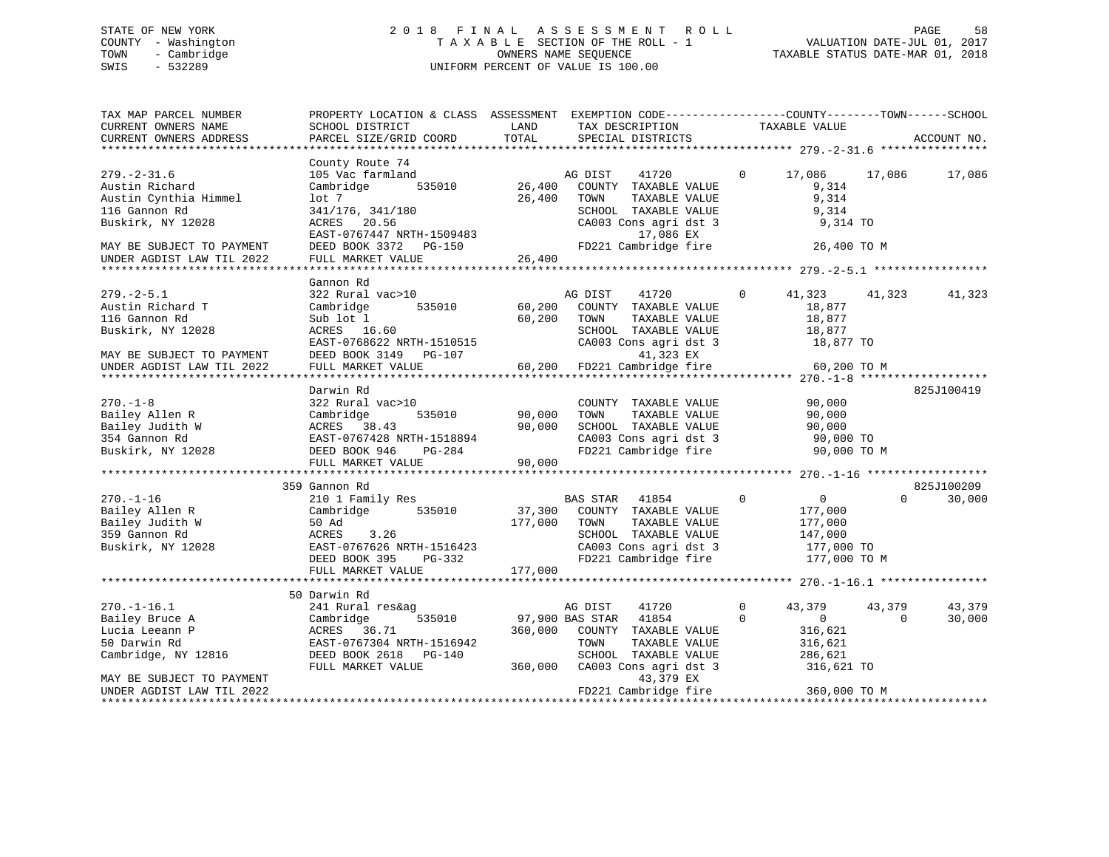# STATE OF NEW YORK 2 0 1 8 F I N A L A S S E S S M E N T R O L L PAGE 58 COUNTY - Washington T A X A B L E SECTION OF THE ROLL - 1 VALUATION DATE-JUL 01, 2017 TOWN - Cambridge OWNERS NAME SEQUENCE TAXABLE STATUS DATE-MAR 01, 2018 SWIS - 532289 UNIFORM PERCENT OF VALUE IS 100.00

| TAX MAP PARCEL NUMBER<br>CURRENT OWNERS NAME<br>CURRENT OWNERS ADDRESS                                                               | PROPERTY LOCATION & CLASS ASSESSMENT EXEMPTION CODE---------------COUNTY-------TOWN-----SCHOOL<br>SCHOOL DISTRICT<br>PARCEL SIZE/GRID COORD                 | LAND<br>TOTAL              | TAX DESCRIPTION<br>SPECIAL DISTRICTS                                                                                                                           | TAXABLE VALUE                                                              |                                        | ACCOUNT NO.      |
|--------------------------------------------------------------------------------------------------------------------------------------|-------------------------------------------------------------------------------------------------------------------------------------------------------------|----------------------------|----------------------------------------------------------------------------------------------------------------------------------------------------------------|----------------------------------------------------------------------------|----------------------------------------|------------------|
|                                                                                                                                      |                                                                                                                                                             |                            |                                                                                                                                                                |                                                                            |                                        |                  |
| $279. - 2 - 31.6$<br>Austin Richard<br>Austin Cynthia Himmel<br>116 Gannon Rd<br>Buskirk, NY 12028<br>MAY BE SUBJECT TO PAYMENT      | County Route 74<br>105 Vac farmland<br>535010<br>Cambridge<br>$1$ ot 7<br>341/176, 341/180<br>ACRES 20.56<br>EAST-0767447 NRTH-1509483                      | 26,400<br>26,400           | AG DIST<br>41720<br>COUNTY TAXABLE VALUE<br>TOWN<br>TAXABLE VALUE<br>SCHOOL TAXABLE VALUE<br>CA003 Cons agri dst 3<br>17,086 EX<br>FD221 Cambridge fire        | $\mathbf{0}$<br>17,086<br>9,314<br>9,314<br>9,314                          | 17,086<br>9,314 TO<br>26,400 TO M      | 17,086           |
| UNDER AGDIST LAW TIL 2022                                                                                                            | FULL MARKET VALUE                                                                                                                                           | 26,400                     |                                                                                                                                                                |                                                                            |                                        |                  |
|                                                                                                                                      |                                                                                                                                                             |                            |                                                                                                                                                                |                                                                            |                                        |                  |
| $279. - 2 - 5.1$<br>Austin Richard T<br>116 Gannon Rd<br>Buskirk, NY 12028<br>MAY BE SUBJECT TO PAYMENT<br>UNDER AGDIST LAW TIL 2022 | Gannon Rd<br>322 Rural vac>10<br>535010<br>Cambridge<br>Sub lot 1<br>ACRES 16.60<br>EAST-0768622 NRTH-1510515<br>DEED BOOK 3149 PG-107<br>FULL MARKET VALUE | 60,200<br>60,200           | AG DIST<br>41720<br>COUNTY TAXABLE VALUE<br>TOWN<br>TAXABLE VALUE<br>SCHOOL TAXABLE VALUE<br>CA003 Cons agri dst 3<br>41,323 EX<br>60,200 FD221 Cambridge fire | $\mathbf{0}$<br>41,323<br>18,877<br>18,877<br>18,877                       | 41,323<br>18,877 TO<br>60,200 TO M     | 41,323           |
|                                                                                                                                      |                                                                                                                                                             |                            |                                                                                                                                                                |                                                                            |                                        |                  |
| $270. - 1 - 8$<br>Bailey Allen R<br>Bailey Judith W<br>354 Gannon Rd<br>Buskirk, NY 12028                                            | Darwin Rd<br>322 Rural vac>10<br>535010<br>Cambridge<br>ACRES 38.43<br>EAST-0767428 NRTH-1518894<br>DEED BOOK 946<br>PG-284<br>FULL MARKET VALUE            | 90,000<br>90,000<br>90,000 | COUNTY TAXABLE VALUE<br>TAXABLE VALUE<br>TOWN<br>SCHOOL TAXABLE VALUE<br>CA003 Cons agri dst 3<br>FD221 Cambridge fire                                         | 90,000<br>90,000<br>90,000                                                 | 90,000 TO<br>90,000 TO M               | 825J100419       |
|                                                                                                                                      | 359 Gannon Rd                                                                                                                                               |                            |                                                                                                                                                                |                                                                            |                                        | 825J100209       |
| $270. - 1 - 16$<br>Bailey Allen R<br>Bailey Judith W<br>359 Gannon Rd<br>Buskirk, NY 12028                                           | 210 1 Family Res<br>Cambridge<br>535010<br>50 Ad<br>ACRES<br>3.26<br>EAST-0767626 NRTH-1516423<br>PG-332<br>DEED BOOK 395                                   | 37,300<br>177,000          | BAS STAR<br>41854<br>COUNTY TAXABLE VALUE<br>TAXABLE VALUE<br>TOWN<br>SCHOOL TAXABLE VALUE<br>CA003 Cons agri dst 3<br>FD221 Cambridge fire                    | $\mathbf 0$<br>$\overline{0}$<br>177,000<br>177,000<br>147,000             | $\Omega$<br>177,000 TO<br>177,000 TO M | 30,000           |
|                                                                                                                                      | FULL MARKET VALUE                                                                                                                                           | 177,000                    |                                                                                                                                                                |                                                                            |                                        |                  |
|                                                                                                                                      | 50 Darwin Rd                                                                                                                                                |                            |                                                                                                                                                                |                                                                            |                                        |                  |
| $270. - 1 - 16.1$<br>Bailey Bruce A<br>Lucia Leeann P<br>50 Darwin Rd<br>Cambridge, NY 12816                                         | 241 Rural res&ag<br>535010<br>Cambridge<br>ACRES 36.71<br>EAST-0767304 NRTH-1516942<br>DEED BOOK 2618 PG-140                                                | 360,000                    | AG DIST<br>41720<br>97,900 BAS STAR<br>41854<br>COUNTY TAXABLE VALUE<br>TAXABLE VALUE<br>TOWN<br>SCHOOL TAXABLE VALUE                                          | 0<br>43,379<br>$\Omega$<br>$\overline{0}$<br>316,621<br>316,621<br>286,621 | 43,379<br>$\Omega$                     | 43,379<br>30,000 |
| MAY BE SUBJECT TO PAYMENT<br>UNDER AGDIST LAW TIL 2022<br>*********************                                                      | FULL MARKET VALUE                                                                                                                                           | 360,000                    | CA003 Cons agri dst 3<br>43,379 EX<br>FD221 Cambridge fire                                                                                                     | 360,000 TO M                                                               | 316,621 TO                             |                  |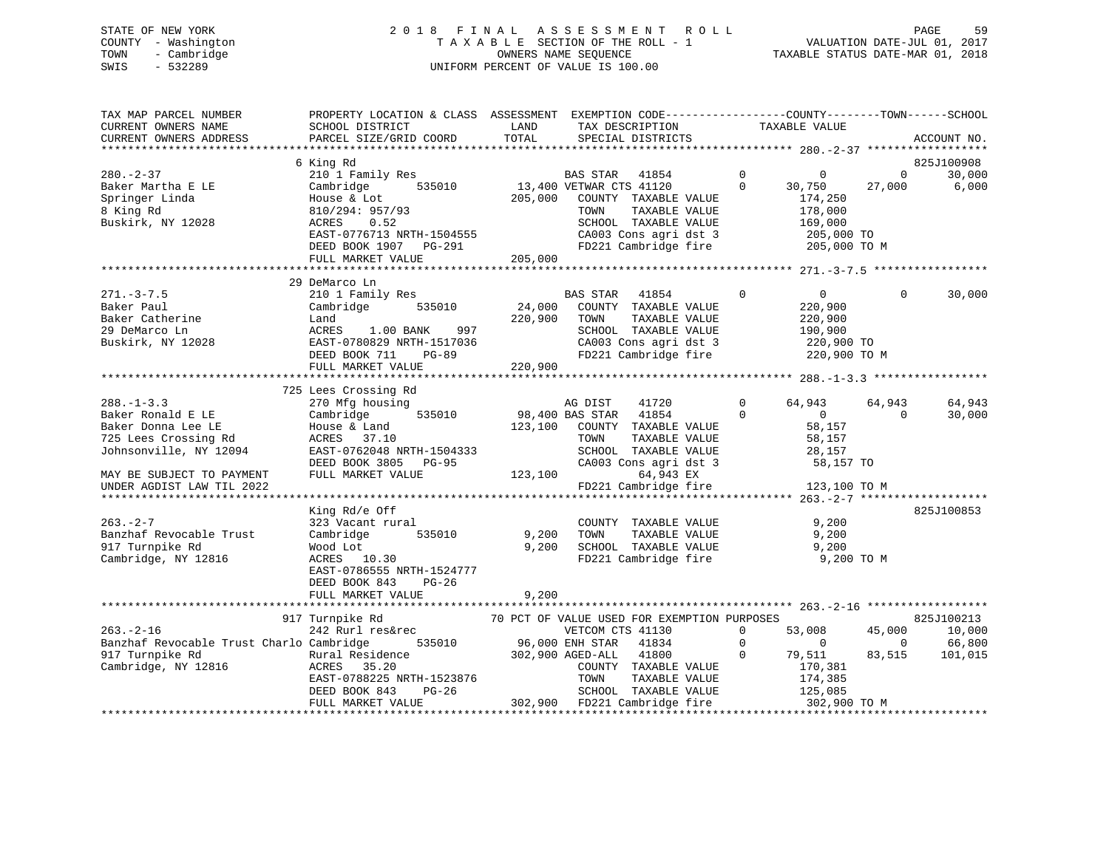# STATE OF NEW YORK 2 0 1 8 F I N A L A S S E S S M E N T R O L L PAGE 59 COUNTY - Washington T A X A B L E SECTION OF THE ROLL - 1 VALUATION DATE-JUL 01, 2017 TOWN - Cambridge OWNERS NAME SEQUENCE TAXABLE STATUS DATE-MAR 01, 2018 SWIS - 532289 UNIFORM PERCENT OF VALUE IS 100.00

| TAX MAP PARCEL NUMBER<br>CURRENT OWNERS NAME<br>CURRENT OWNERS ADDRESS                                                                                                  | PROPERTY LOCATION & CLASS ASSESSMENT<br>SCHOOL DISTRICT<br>PARCEL SIZE/GRID COORD                                                                                                                                                              | LAND<br>TOTAL                | EXEMPTION CODE-----------------COUNTY-------TOWN------SCHOOL<br>TAX DESCRIPTION<br>SPECIAL DISTRICTS                                                                                                            | TAXABLE VALUE                                                                                        | ACCOUNT NO.                                                               |
|-------------------------------------------------------------------------------------------------------------------------------------------------------------------------|------------------------------------------------------------------------------------------------------------------------------------------------------------------------------------------------------------------------------------------------|------------------------------|-----------------------------------------------------------------------------------------------------------------------------------------------------------------------------------------------------------------|------------------------------------------------------------------------------------------------------|---------------------------------------------------------------------------|
| $280 - 2 - 37$<br>Baker Martha E LE<br>Springer Linda<br>8 King Rd<br>Buskirk, NY 12028                                                                                 | 6 King Rd<br>210 1 Family Res<br>535010<br>Cambridge<br>House & Lot<br>810/294: 957/93<br>0.52<br>ACRES<br>EAST-0776713 NRTH-1504555<br>DEED BOOK 1907 PG-291<br>FULL MARKET VALUE 205,000                                                     | 205,000                      | BAS STAR 41854<br>13,400 VETWAR CTS 41120<br>COUNTY TAXABLE VALUE<br>TAXABLE VALUE<br>TOWN<br>SCHOOL TAXABLE VALUE<br>CA003 Cons agri dst 3 205,000 TO<br>FD221 Cambridge fire 205,000 TO M                     | $\overline{0}$<br>$\overline{0}$<br>$\Omega$<br>30,750<br>174,250<br>178,000<br>169,000              | 825J100908<br>30,000<br>$\overline{0}$<br>27,000<br>6,000                 |
|                                                                                                                                                                         |                                                                                                                                                                                                                                                |                              |                                                                                                                                                                                                                 |                                                                                                      |                                                                           |
| $271. - 3 - 7.5$<br>Baker Paul<br>Baker Catherine<br>20 DeManuel In<br>29 DeMarco Ln<br>Buskirk, NY 12028                                                               | 29 DeMarco Ln<br>210 1 Family Res<br>Cambridge 535010<br>Land<br>ACRES 1.00 BANK<br>997<br>EAST-0780829 NRTH-1517036<br>DEED BOOK 711<br>$PG-89$<br>FULL MARKET VALUE                                                                          | 24,000<br>220,900<br>220,900 | BAS STAR 41854<br>COUNTY TAXABLE VALUE<br>TAXABLE VALUE<br>TOWN<br>SCHOOL TAXABLE VALUE<br>CA003 Cons agri dst 3<br>FD221 Cambridge fire                                                                        | $\mathbf 0$<br>$\overline{0}$<br>220,900<br>220,900<br>190,900<br>220,900 ТО<br>220,900 ТО М         | 30,000<br>0                                                               |
|                                                                                                                                                                         | 725 Lees Crossing Rd                                                                                                                                                                                                                           |                              |                                                                                                                                                                                                                 |                                                                                                      |                                                                           |
| $288. - 1 - 3.3$<br>Baker Ronald E LE<br>Baker Donna Lee LE<br>725 Lees Crossing Rd<br>Johnsonville, NY 12094<br>MAY BE SUBJECT TO PAYMENT<br>UNDER AGDIST LAW TIL 2022 | 270 Mfg housing<br>Cambridge 535010<br>House & Land<br>ACRES 37.10<br>EAST-0762048 NRTH-1504333<br>DEED BOOK 3805 PG-95<br>FULL MARKET VALUE                                                                                                   | 123,100                      | AG DIST<br>41720<br>98,400 BAS STAR 41854<br>123,100 COUNTY TAXABLE VALUE<br>TOWN<br>TAXABLE VALUE<br>SCHOOL TAXABLE VALUE<br>CA003 Cons agri dst 3 58,157 TO<br>64,943 EX<br>FD221 Cambridge fire 123,100 TO M | $\Omega$<br>64,943<br>$\Omega$<br>$\overline{0}$<br>58,157<br>58,157<br>28,157                       | 64,943<br>64,943<br>$\overline{0}$<br>30,000                              |
|                                                                                                                                                                         |                                                                                                                                                                                                                                                |                              |                                                                                                                                                                                                                 |                                                                                                      | 825J100853                                                                |
| $263 - 2 - 7$<br>Banzhaf Revocable Trust<br>917 Turnpike Rd<br>Cambridge, NY 12816                                                                                      | King Rd/e Off<br>323 Vacant rural<br>Cambridge<br>535010<br>Wood Lot<br>ACRES 10.30<br>EAST-0786555 NRTH-1524777<br>DEED BOOK 843<br>$PG-26$<br>FULL MARKET VALUE                                                                              | 9,200<br>9,200<br>9,200      | COUNTY TAXABLE VALUE<br>TOWN<br>SCHOOL TAXABLE VALUE 9,200<br>FD221 Cambridge fire 9,200 TO M                                                                                                                   | 9,200<br>TAXABLE VALUE 9,200                                                                         |                                                                           |
|                                                                                                                                                                         |                                                                                                                                                                                                                                                |                              |                                                                                                                                                                                                                 |                                                                                                      |                                                                           |
| $263. - 2 - 16$<br>Banzhaf Revocable Trust Charlo Cambridge<br>917 Turnpike Rd<br>Cambridge, NY 12816                                                                   | 917 Turnpike Rd<br>242 Rurl res&rec<br>535010<br>ACRES 35.20<br>ACRES 35.20 COUNTY TAXABLE VALUE<br>EAST-0788225 NRTH-1523876 TOWN TAXABLE VALUE<br>DEED BOOK 843 PG-26 SCHOOL TAXABLE VALUE<br>FULL MARKET VALUE 302,900 FD221 Cambridge fire |                              | 70 PCT OF VALUE USED FOR EXEMPTION PURPOSES<br>VETCOM CTS 41130<br>96,000 ENH STAR 41834<br>41800<br>COUNTY TAXABLE VALUE<br>TOWN TAXABLE VALUE 174,385<br>SCHOOL TAXABLE VALUE 125,085                         | $\overline{0}$<br>53,008<br>$\Omega$<br>$\sim$ 0<br>$\mathbf 0$<br>79,511<br>170,381<br>302,900 TO M | 825J100213<br>45,000<br>10,000<br>$\sim$ 0<br>66,800<br>83,515<br>101,015 |
|                                                                                                                                                                         |                                                                                                                                                                                                                                                |                              |                                                                                                                                                                                                                 |                                                                                                      |                                                                           |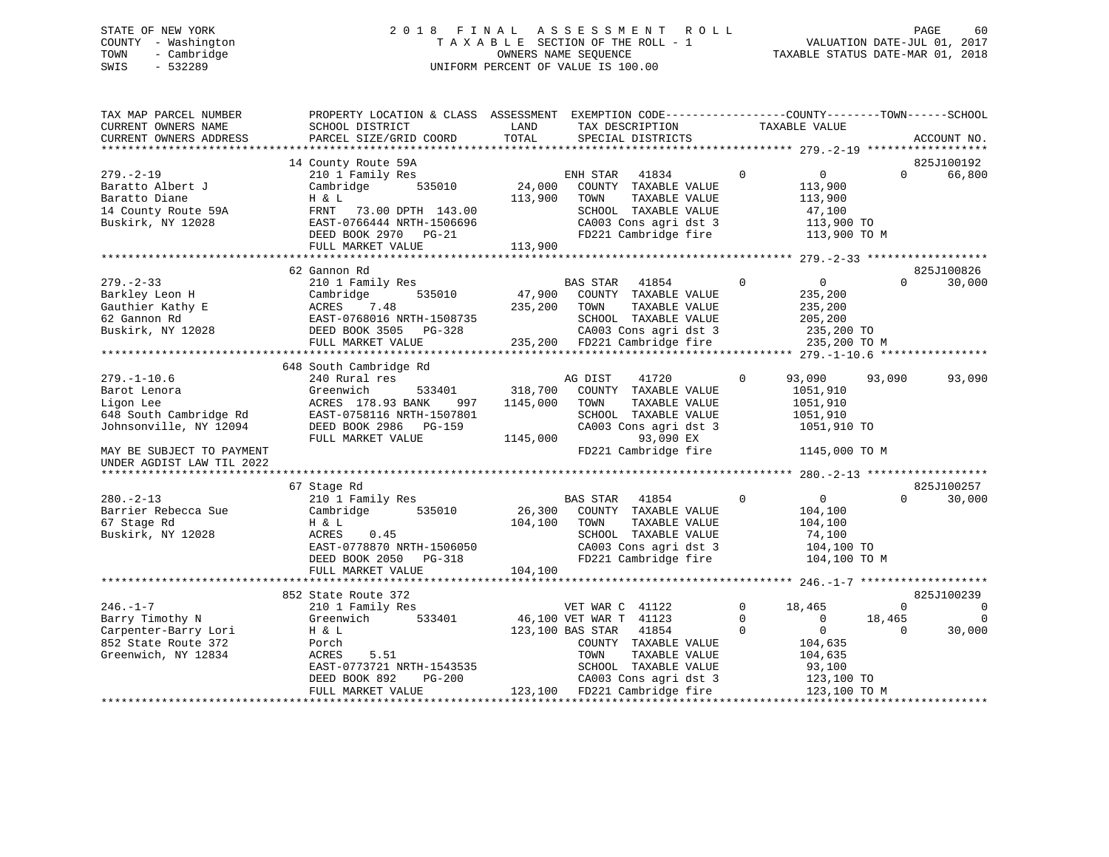# STATE OF NEW YORK 2 0 1 8 F I N A L A S S E S S M E N T R O L L PAGE 60 COUNTY - Washington T A X A B L E SECTION OF THE ROLL - 1 VALUATION DATE-JUL 01, 2017 TOWN - Cambridge OWNERS NAME SEQUENCE TAXABLE STATUS DATE-MAR 01, 2018 SWIS - 532289 UNIFORM PERCENT OF VALUE IS 100.00

| TAX MAP PARCEL NUMBER<br>CURRENT OWNERS NAME<br>CURRENT OWNERS ADDRESS                                  | PROPERTY LOCATION & CLASS ASSESSMENT<br>SCHOOL DISTRICT<br>PARCEL SIZE/GRID COORD                                                                           | LAND<br>TOTAL                   | EXEMPTION CODE----------------COUNTY-------TOWN------SCHOOL<br>TAX DESCRIPTION<br>SPECIAL DISTRICTS                                                                      | TAXABLE VALUE                                                                                                                |                                | ACCOUNT NO.                                        |
|---------------------------------------------------------------------------------------------------------|-------------------------------------------------------------------------------------------------------------------------------------------------------------|---------------------------------|--------------------------------------------------------------------------------------------------------------------------------------------------------------------------|------------------------------------------------------------------------------------------------------------------------------|--------------------------------|----------------------------------------------------|
|                                                                                                         |                                                                                                                                                             |                                 |                                                                                                                                                                          |                                                                                                                              |                                |                                                    |
| $279. - 2 - 19$<br>Baratto Albert J<br>Baratto Diane<br>14 County Route 59A<br>Buskirk, NY 12028        | 14 County Route 59A<br>210 1 Family Res<br>535010<br>Cambridge<br>H & L<br>FRNT 73.00 DPTH 143.00<br>EAST-0766444 NRTH-1506696<br>DEED BOOK 2970 PG-21      | 24,000<br>113,900               | 41834<br>ENH STAR<br>COUNTY TAXABLE VALUE<br>TOWN<br>TAXABLE VALUE<br>SCHOOL TAXABLE VALUE<br>CA003 Cons agri dst 3<br>FD221 Cambridge fire                              | $\mathbf 0$<br>$\overline{0}$<br>113,900<br>113,900<br>47,100<br>113,900 TO                                                  | $\Omega$<br>113,900 TO M       | 825J100192<br>66,800                               |
|                                                                                                         | FULL MARKET VALUE                                                                                                                                           | 113,900                         |                                                                                                                                                                          |                                                                                                                              |                                |                                                    |
|                                                                                                         |                                                                                                                                                             |                                 |                                                                                                                                                                          |                                                                                                                              |                                |                                                    |
| $279. - 2 - 33$<br>Barkley Leon H<br>Gauthier Kathy E<br>62 Gannon Rd<br>Buskirk, NY 12028              | 62 Gannon Rd<br>210 1 Family Res<br>Cambridge<br>535010<br>ACRES<br>7.48<br>EAST-0768016 NRTH-1508735<br>DEED BOOK 3505 PG-328<br>FULL MARKET VALUE         | 47,900<br>235,200               | <b>BAS STAR</b><br>41854<br>COUNTY TAXABLE VALUE<br>TOWN<br>TAXABLE VALUE<br>SCHOOL TAXABLE VALUE<br>CA003 Cons agri dst 3<br>235,200 FD221 Cambridge fire               | 0<br>$\Omega$<br>235,200<br>235,200<br>205,200<br>235,200 TO<br>235,200 TO M                                                 | $\Omega$                       | 825J100826<br>30,000                               |
|                                                                                                         | 648 South Cambridge Rd                                                                                                                                      |                                 |                                                                                                                                                                          |                                                                                                                              |                                |                                                    |
| $279. - 1 - 10.6$<br>Barot Lenora<br>Ligon Lee<br>648 South Cambridge Rd<br>Johnsonville, NY 12094      | 240 Rural res<br>Greenwich<br>533401<br>ACRES 178.93 BANK<br>997<br>EAST-0758116 NRTH-1507801<br>DEED BOOK 2986 PG-159<br>FULL MARKET VALUE                 | 318,700<br>1145,000<br>1145,000 | AG DIST<br>41720<br>COUNTY TAXABLE VALUE<br>TOWN<br>TAXABLE VALUE<br>SCHOOL TAXABLE VALUE<br>CA003 Cons agri dst 3<br>93,090 EX                                          | 93,090<br>$\mathbf 0$<br>1051,910<br>1051,910<br>1051,910<br>1051,910 TO                                                     | 93,090                         | 93,090                                             |
| MAY BE SUBJECT TO PAYMENT<br>UNDER AGDIST LAW TIL 2022                                                  |                                                                                                                                                             |                                 | FD221 Cambridge fire                                                                                                                                                     | 1145,000 TO M                                                                                                                |                                |                                                    |
|                                                                                                         |                                                                                                                                                             |                                 |                                                                                                                                                                          |                                                                                                                              |                                |                                                    |
| $280. - 2 - 13$<br>Barrier Rebecca Sue<br>67 Stage Rd<br>Buskirk, NY 12028                              | 67 Stage Rd<br>210 1 Family Res<br>Cambridge<br>535010<br>H & L<br>ACRES<br>0.45<br>EAST-0778870 NRTH-1506050<br>DEED BOOK 2050 PG-318<br>FULL MARKET VALUE | 26,300<br>104,100<br>104,100    | <b>BAS STAR</b><br>41854<br>COUNTY TAXABLE VALUE<br>TOWN<br>TAXABLE VALUE<br>SCHOOL TAXABLE VALUE<br>CA003 Cons agri dst 3<br>FD221 Cambridge fire                       | $0 \qquad \qquad$<br>$\Omega$<br>104,100<br>104,100<br>74,100<br>104,100 TO<br>104,100 TO M                                  | $\Omega$                       | 825J100257<br>30,000                               |
|                                                                                                         |                                                                                                                                                             |                                 |                                                                                                                                                                          |                                                                                                                              |                                |                                                    |
| $246. - 1 - 7$<br>Barry Timothy N<br>Carpenter-Barry Lori<br>852 State Route 372<br>Greenwich, NY 12834 | 852 State Route 372<br>210 1 Family Res<br>Greenwich<br>533401<br>H & L<br>Porch<br>5.51<br>ACRES<br>EAST-0773721 NRTH-1543535<br>$PG-200$<br>DEED BOOK 892 |                                 | VET WAR C 41122<br>46,100 VET WAR T 41123<br>123,100 BAS STAR<br>41854<br>COUNTY TAXABLE VALUE<br>TAXABLE VALUE<br>TOWN<br>SCHOOL TAXABLE VALUE<br>CA003 Cons agri dst 3 | $\Omega$<br>18,465<br>$\Omega$<br>$\overline{0}$<br>$\Omega$<br>$\overline{0}$<br>104,635<br>104,635<br>93,100<br>123,100 TO | $\Omega$<br>18,465<br>$\Omega$ | 825J100239<br>$\overline{0}$<br>$\Omega$<br>30,000 |
|                                                                                                         | FULL MARKET VALUE                                                                                                                                           |                                 | 123,100 FD221 Cambridge fire                                                                                                                                             | 123,100 TO M                                                                                                                 |                                |                                                    |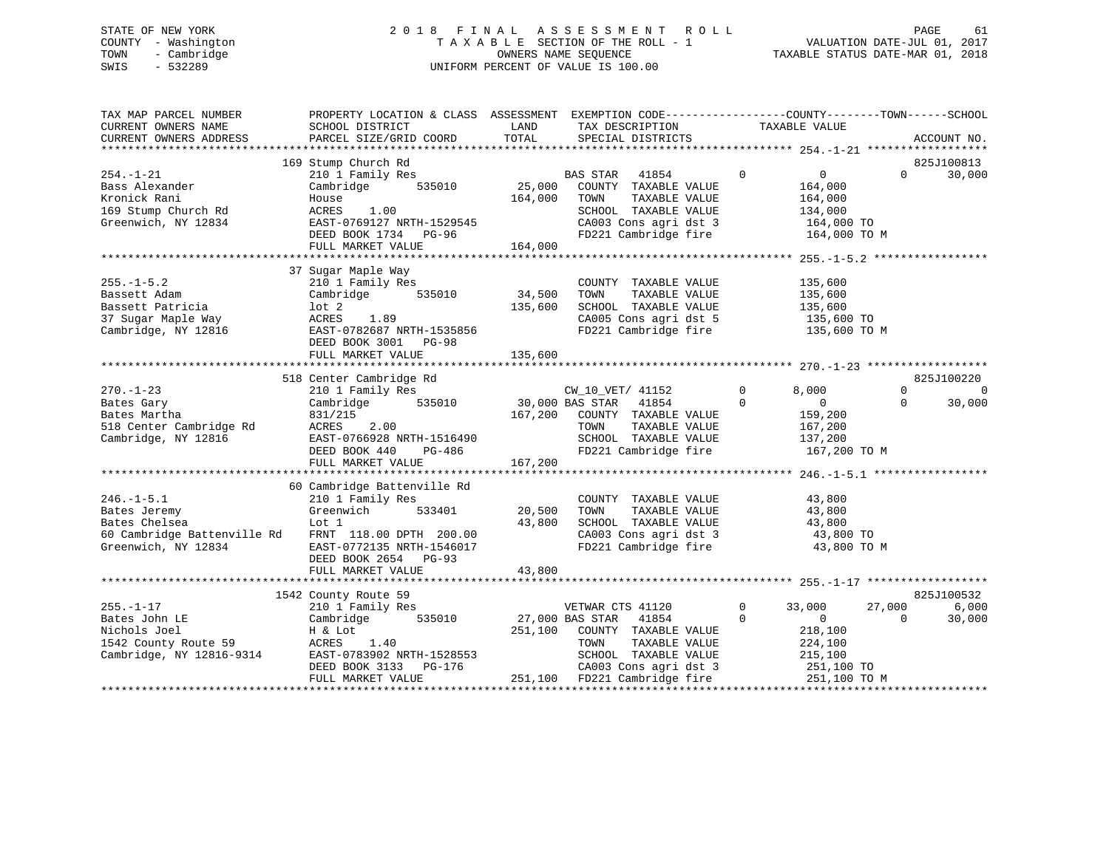# STATE OF NEW YORK 2 0 1 8 F I N A L A S S E S S M E N T R O L L PAGE 61 COUNTY - Washington T A X A B L E SECTION OF THE ROLL - 1 VALUATION DATE-JUL 01, 2017 TOWN - Cambridge OWNERS NAME SEQUENCE TAXABLE STATUS DATE-MAR 01, 2018 SWIS - 532289 UNIFORM PERCENT OF VALUE IS 100.00

| TAX MAP PARCEL NUMBER<br>CURRENT OWNERS NAME<br>CURRENT OWNERS ADDRESS                                                          | PROPERTY LOCATION & CLASS ASSESSMENT EXEMPTION CODE----------------COUNTY-------TOWN------SCHOOL<br>SCHOOL DISTRICT<br>PARCEL SIZE/GRID COORD                                                                | LAND<br>TOTAL                | TAX DESCRIPTION TAXABLE VALUE<br>SPECIAL DISTRICTS                                                                                                                                  |                                                                                                               | ACCOUNT NO.                                |
|---------------------------------------------------------------------------------------------------------------------------------|--------------------------------------------------------------------------------------------------------------------------------------------------------------------------------------------------------------|------------------------------|-------------------------------------------------------------------------------------------------------------------------------------------------------------------------------------|---------------------------------------------------------------------------------------------------------------|--------------------------------------------|
| $254. - 1 - 21$<br>Bass Alexander<br>Kronick Rani<br>169 Stump Church Rd<br>Greenwich, NY 12834                                 | 169 Stump Church Rd<br>210 1 Family Res<br>Cambridge<br>House<br>ACRES 1.00<br>EAST-0769127 NRTH-1529545<br>DEED BOOK 1734 PG-96<br>FULL MARKET VALUE                                                        | 164,000 TOWN<br>164,000      | $\sim$ 0<br>BAS STAR 41854<br>535010 25,000 COUNTY TAXABLE VALUE<br>TAXABLE VALUE<br>SCHOOL TAXABLE VALUE<br>CA003 Cons agri dst 3<br>FD221 Cambridge fire                          | $\overline{0}$<br>164,000<br>164,000<br>134,000<br>164,000 TO<br>164,000 TO M                                 | 825J100813<br>30,000<br>$\Omega$           |
| $255. - 1 - 5.2$<br>Bassett Adam<br>Bassett Patricia<br>37 Sugar Maple Way<br>Cambridge, NY 12816                               | 37 Sugar Maple Way<br>210 1 Family Res<br>Cambridge 535010<br>lot 2<br>ACRES 1.89<br>EAST-0782687 NRTH-1535856<br>DEED BOOK 3001 PG-98<br>FULL MARKET VALUE                                                  | 34,500<br>135,600<br>135,600 | COUNTY TAXABLE VALUE<br>TOWN<br>TAXABLE VALUE<br>SCHOOL TAXABLE VALUE<br>CA005 Cons agri dst 5 135,600 TO<br>FD221 Cambridge fire                                                   | 135,600<br>135,600<br>135,600<br>135,600 TO M                                                                 |                                            |
|                                                                                                                                 | 518 Center Cambridge Rd                                                                                                                                                                                      |                              |                                                                                                                                                                                     |                                                                                                               | 825J100220                                 |
| $270. - 1 - 23$<br>Bates Gary<br>Bates Martha<br>518 Center Cambridge Rd<br>Cambridge, NY 12816                                 | 210 1 Family Res<br>Cambridge 535010 30,000 BAS STAR 41854<br>831/215 167,200 COUNTY TAXABLE VALUE<br>$ACRES$ 2.00<br>$TCTES$ 2.00<br>EAST-0766928 NRTH-1516490<br>DEED BOOK 440 PG-486<br>FULL MARKET VALUE | 167,200                      | TOWN<br>TAXABLE VALUE<br>SCHOOL TAXABLE VALUE<br>FD221 Cambridge fire                                                                                                               | $\overline{0}$<br>8,000<br>$\Omega$<br>$\overline{0}$<br>159,200<br>167,200<br>137,200<br>167,200 TO M        | $\Omega$<br>$\Omega$<br>30,000<br>$\Omega$ |
| $246. - 1 - 5.1$<br>Bates Jeremy<br>Bates Chelsea<br>60 Cambridge Battenville Rd FRNT 118.00 DPTH 200.00<br>Greenwich, NY 12834 | 60 Cambridge Battenville Rd<br>210 1 Family Res<br>Greenwich<br>533401<br>Lot 1<br>EAST-0772135 NRTH-1546017<br>DEED BOOK 2654 PG-93                                                                         | 20.500<br>43,800             | COUNTY TAXABLE VALUE<br>20,500 TOWN<br>TAXABLE VALUE<br>SCHOOL TAXABLE VALUE 43,800<br>CA003 Cons agri dst 3 43,800 TO<br>CA003 Cons agri dst 3<br>FD221 Cambridge fire             | 43,800<br>43,800<br>43,800 TO M                                                                               |                                            |
|                                                                                                                                 | FULL MARKET VALUE<br>1542 County Route 59                                                                                                                                                                    | 43,800                       |                                                                                                                                                                                     |                                                                                                               | 825J100532                                 |
| $255. - 1 - 17$<br>Bates John LE<br>Nichols Joel<br>1542 County Route 59<br>Cambridge NY 19916 2001<br>Cambridge, NY 12816-9314 | 210 1 Family Res<br>535010<br>Cambridge<br>H & Lot<br>ACRES 1.40<br>----- <i>vioszu</i> NKTH-1528553<br>DEED BOOK 3133 PG-176<br>FUII WINT---<br>FULL MARKET VALUE                                           |                              | VETWAR CTS 41120<br>27,000 BAS STAR 41854<br>251,100 COUNTY TAXABLE VALUE<br>TOWN<br>TAXABLE VALUE<br>SCHOOL TAXABLE VALUE<br>CA003 Cons agri dst 3<br>251,100 FD221 Cambridge fire | $\mathbf{0}$<br>33,000<br>$\Omega$<br>$\sim$ 0<br>218,100<br>224,100<br>215,100<br>251,100 TO<br>251,100 TO M | 6,000<br>27,000<br>30,000<br>$\Omega$      |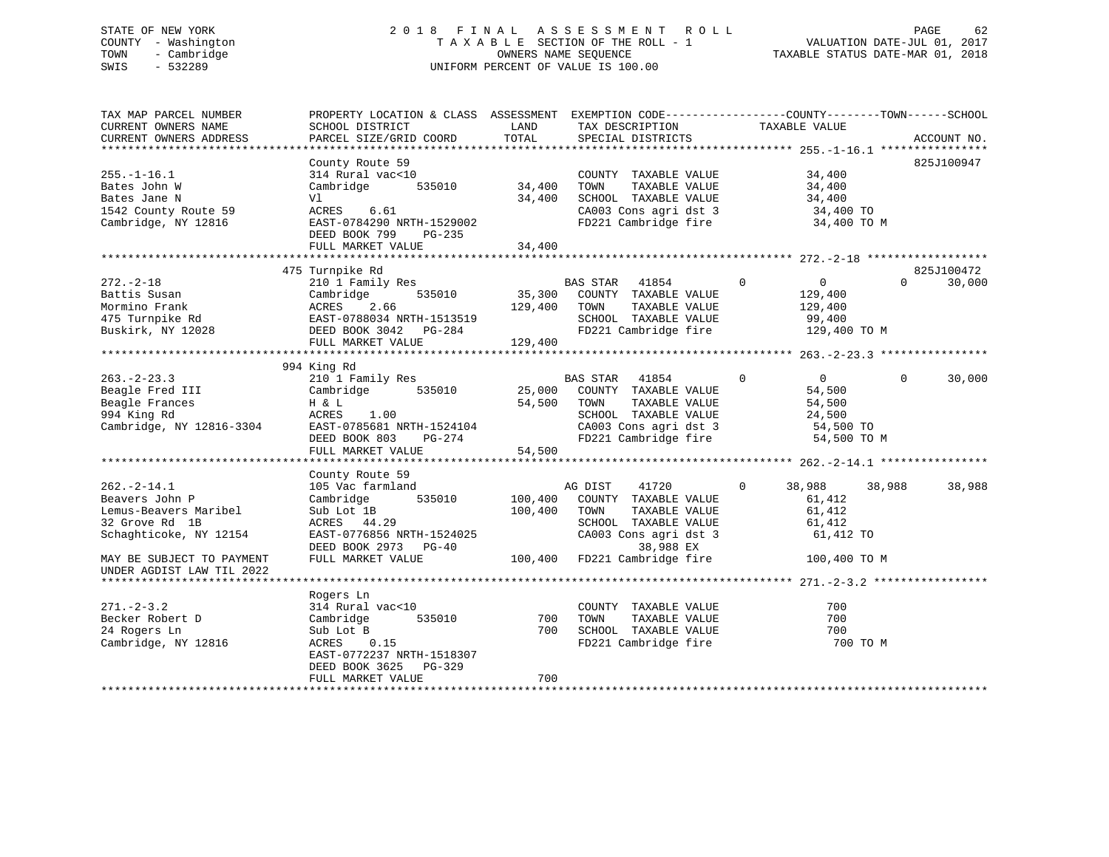# STATE OF NEW YORK 2 0 1 8 F I N A L A S S E S S M E N T R O L L PAGE 62 COUNTY - Washington T A X A B L E SECTION OF THE ROLL - 1 VALUATION DATE-JUL 01, 2017 TOWN - Cambridge OWNERS NAME SEQUENCE TAXABLE STATUS DATE-MAR 01, 2018 SWIS - 532289 UNIFORM PERCENT OF VALUE IS 100.00

| 825J100947<br>County Route 59<br>314 Rural vac<10<br>$255. - 1 - 16.1$<br>34,400<br>COUNTY TAXABLE VALUE<br>535010<br>34,400<br>Bates John W<br>Cambridge<br>TOWN<br>TAXABLE VALUE<br>34,400<br>34,400<br>SCHOOL TAXABLE VALUE<br>34,400<br>Bates Jane N<br>Vl<br>CA003 Cons agri dst 3<br>1542 County Route 59<br>ACRES<br>6.61<br>34,400 TO<br>Cambridge, NY 12816<br>EAST-0784290 NRTH-1529002<br>FD221 Cambridge fire<br>34,400 TO M<br>DEED BOOK 799<br>PG-235<br>FULL MARKET VALUE<br>34,400<br>825J100472<br>475 Turnpike Rd<br>$272. - 2 - 18$<br>210 1 Family Res<br>41854<br>$\mathbf{0}$<br>$\overline{0}$<br>$\Omega$<br>30,000<br>BAS STAR<br>535010<br>35,300 COUNTY TAXABLE VALUE<br>Battis Susan<br>Cambridge<br>129,400<br>Mormino Frank<br>2.66<br>129,400<br>TAXABLE VALUE<br>ACRES<br>TOWN<br>129,400<br>SCHOOL TAXABLE VALUE<br>475 Turnpike Rd<br>EAST-0788034 NRTH-1513519<br>99,400<br>FD221 Cambridge fire<br>Buskirk, NY 12028<br>DEED BOOK 3042 PG-284<br>129,400 TO M<br>129,400<br>FULL MARKET VALUE<br>994 King Rd<br>$263. - 2 - 23.3$<br>210 1 Family Res<br>BAS STAR 41854<br>$\mathbf{0}$<br>$\overline{0}$<br>$\Omega$<br>30,000<br>535010<br>25,000<br>54,500<br>Beagle Fred III<br>Cambridge<br>COUNTY TAXABLE VALUE<br>Beagle Frances<br>54,500<br>H & L<br>TOWN<br>TAXABLE VALUE<br>54,500<br>994 King Rd<br>ACRES<br>1.00<br>SCHOOL TAXABLE VALUE<br>24,500<br>Cambridge, NY 12816-3304<br>EAST-0785681 NRTH-1524104<br>CA003 Cons agri dst 3<br>54,500 TO<br>DEED BOOK 803<br>FD221 Cambridge fire<br>PG-274<br>54,500 TO M<br>FULL MARKET VALUE<br>54,500<br>County Route 59<br>$262. - 2 - 14.1$<br>105 Vac farmland<br>41720<br>38,988<br>38,988<br>AG DIST<br>0<br>38,988<br>535010<br>100,400<br>Beavers John P<br>Cambridge<br>COUNTY TAXABLE VALUE<br>61,412<br>Lemus-Beavers Maribel<br>100,400<br>Sub Lot 1B<br>TOWN<br>TAXABLE VALUE<br>61,412<br>32 Grove Rd 1B<br>ACRES 44.29<br>SCHOOL TAXABLE VALUE<br>61,412<br>EAST-0776856 NRTH-1524025<br>CA003 Cons agri dst 3<br>61,412 TO<br>Schaghticoke, NY 12154<br>38,988 EX<br>DEED BOOK 2973 PG-40<br>FULL MARKET VALUE<br>100,400 FD221 Cambridge fire<br>100,400 TO M<br>MAY BE SUBJECT TO PAYMENT<br>UNDER AGDIST LAW TIL 2022<br>Rogers Ln<br>$271 - 2 - 3.2$<br>COUNTY TAXABLE VALUE<br>700<br>314 Rural vac<10<br>Becker Robert D<br>Cambridge<br>535010<br>700<br>TOWN<br>TAXABLE VALUE<br>700<br>24 Rogers Ln<br>700<br>SCHOOL TAXABLE VALUE<br>700<br>Sub Lot B<br>FD221 Cambridge fire<br>700 TO M<br>Cambridge, NY 12816<br>ACRES<br>0.15<br>EAST-0772237 NRTH-1518307<br>DEED BOOK 3625<br>PG-329<br>700<br>FULL MARKET VALUE | TAX MAP PARCEL NUMBER<br>CURRENT OWNERS NAME | PROPERTY LOCATION & CLASS ASSESSMENT<br>SCHOOL DISTRICT | LAND  | EXEMPTION CODE----------------COUNTY-------TOWN------SCHOOL<br>TAX DESCRIPTION | TAXABLE VALUE |             |
|-----------------------------------------------------------------------------------------------------------------------------------------------------------------------------------------------------------------------------------------------------------------------------------------------------------------------------------------------------------------------------------------------------------------------------------------------------------------------------------------------------------------------------------------------------------------------------------------------------------------------------------------------------------------------------------------------------------------------------------------------------------------------------------------------------------------------------------------------------------------------------------------------------------------------------------------------------------------------------------------------------------------------------------------------------------------------------------------------------------------------------------------------------------------------------------------------------------------------------------------------------------------------------------------------------------------------------------------------------------------------------------------------------------------------------------------------------------------------------------------------------------------------------------------------------------------------------------------------------------------------------------------------------------------------------------------------------------------------------------------------------------------------------------------------------------------------------------------------------------------------------------------------------------------------------------------------------------------------------------------------------------------------------------------------------------------------------------------------------------------------------------------------------------------------------------------------------------------------------------------------------------------------------------------------------------------------------------------------------------------------------------------------------------------------------------------------------------------------------------------------------------------------------------------------------------------------------------------------------------------------------------------------|----------------------------------------------|---------------------------------------------------------|-------|--------------------------------------------------------------------------------|---------------|-------------|
|                                                                                                                                                                                                                                                                                                                                                                                                                                                                                                                                                                                                                                                                                                                                                                                                                                                                                                                                                                                                                                                                                                                                                                                                                                                                                                                                                                                                                                                                                                                                                                                                                                                                                                                                                                                                                                                                                                                                                                                                                                                                                                                                                                                                                                                                                                                                                                                                                                                                                                                                                                                                                                               | CURRENT OWNERS ADDRESS                       | PARCEL SIZE/GRID COORD                                  | TOTAL | SPECIAL DISTRICTS                                                              |               | ACCOUNT NO. |
|                                                                                                                                                                                                                                                                                                                                                                                                                                                                                                                                                                                                                                                                                                                                                                                                                                                                                                                                                                                                                                                                                                                                                                                                                                                                                                                                                                                                                                                                                                                                                                                                                                                                                                                                                                                                                                                                                                                                                                                                                                                                                                                                                                                                                                                                                                                                                                                                                                                                                                                                                                                                                                               |                                              |                                                         |       |                                                                                |               |             |
|                                                                                                                                                                                                                                                                                                                                                                                                                                                                                                                                                                                                                                                                                                                                                                                                                                                                                                                                                                                                                                                                                                                                                                                                                                                                                                                                                                                                                                                                                                                                                                                                                                                                                                                                                                                                                                                                                                                                                                                                                                                                                                                                                                                                                                                                                                                                                                                                                                                                                                                                                                                                                                               |                                              |                                                         |       |                                                                                |               |             |
|                                                                                                                                                                                                                                                                                                                                                                                                                                                                                                                                                                                                                                                                                                                                                                                                                                                                                                                                                                                                                                                                                                                                                                                                                                                                                                                                                                                                                                                                                                                                                                                                                                                                                                                                                                                                                                                                                                                                                                                                                                                                                                                                                                                                                                                                                                                                                                                                                                                                                                                                                                                                                                               |                                              |                                                         |       |                                                                                |               |             |
|                                                                                                                                                                                                                                                                                                                                                                                                                                                                                                                                                                                                                                                                                                                                                                                                                                                                                                                                                                                                                                                                                                                                                                                                                                                                                                                                                                                                                                                                                                                                                                                                                                                                                                                                                                                                                                                                                                                                                                                                                                                                                                                                                                                                                                                                                                                                                                                                                                                                                                                                                                                                                                               |                                              |                                                         |       |                                                                                |               |             |
|                                                                                                                                                                                                                                                                                                                                                                                                                                                                                                                                                                                                                                                                                                                                                                                                                                                                                                                                                                                                                                                                                                                                                                                                                                                                                                                                                                                                                                                                                                                                                                                                                                                                                                                                                                                                                                                                                                                                                                                                                                                                                                                                                                                                                                                                                                                                                                                                                                                                                                                                                                                                                                               |                                              |                                                         |       |                                                                                |               |             |
|                                                                                                                                                                                                                                                                                                                                                                                                                                                                                                                                                                                                                                                                                                                                                                                                                                                                                                                                                                                                                                                                                                                                                                                                                                                                                                                                                                                                                                                                                                                                                                                                                                                                                                                                                                                                                                                                                                                                                                                                                                                                                                                                                                                                                                                                                                                                                                                                                                                                                                                                                                                                                                               |                                              |                                                         |       |                                                                                |               |             |
|                                                                                                                                                                                                                                                                                                                                                                                                                                                                                                                                                                                                                                                                                                                                                                                                                                                                                                                                                                                                                                                                                                                                                                                                                                                                                                                                                                                                                                                                                                                                                                                                                                                                                                                                                                                                                                                                                                                                                                                                                                                                                                                                                                                                                                                                                                                                                                                                                                                                                                                                                                                                                                               |                                              |                                                         |       |                                                                                |               |             |
|                                                                                                                                                                                                                                                                                                                                                                                                                                                                                                                                                                                                                                                                                                                                                                                                                                                                                                                                                                                                                                                                                                                                                                                                                                                                                                                                                                                                                                                                                                                                                                                                                                                                                                                                                                                                                                                                                                                                                                                                                                                                                                                                                                                                                                                                                                                                                                                                                                                                                                                                                                                                                                               |                                              |                                                         |       |                                                                                |               |             |
|                                                                                                                                                                                                                                                                                                                                                                                                                                                                                                                                                                                                                                                                                                                                                                                                                                                                                                                                                                                                                                                                                                                                                                                                                                                                                                                                                                                                                                                                                                                                                                                                                                                                                                                                                                                                                                                                                                                                                                                                                                                                                                                                                                                                                                                                                                                                                                                                                                                                                                                                                                                                                                               |                                              |                                                         |       |                                                                                |               |             |
|                                                                                                                                                                                                                                                                                                                                                                                                                                                                                                                                                                                                                                                                                                                                                                                                                                                                                                                                                                                                                                                                                                                                                                                                                                                                                                                                                                                                                                                                                                                                                                                                                                                                                                                                                                                                                                                                                                                                                                                                                                                                                                                                                                                                                                                                                                                                                                                                                                                                                                                                                                                                                                               |                                              |                                                         |       |                                                                                |               |             |
|                                                                                                                                                                                                                                                                                                                                                                                                                                                                                                                                                                                                                                                                                                                                                                                                                                                                                                                                                                                                                                                                                                                                                                                                                                                                                                                                                                                                                                                                                                                                                                                                                                                                                                                                                                                                                                                                                                                                                                                                                                                                                                                                                                                                                                                                                                                                                                                                                                                                                                                                                                                                                                               |                                              |                                                         |       |                                                                                |               |             |
|                                                                                                                                                                                                                                                                                                                                                                                                                                                                                                                                                                                                                                                                                                                                                                                                                                                                                                                                                                                                                                                                                                                                                                                                                                                                                                                                                                                                                                                                                                                                                                                                                                                                                                                                                                                                                                                                                                                                                                                                                                                                                                                                                                                                                                                                                                                                                                                                                                                                                                                                                                                                                                               |                                              |                                                         |       |                                                                                |               |             |
|                                                                                                                                                                                                                                                                                                                                                                                                                                                                                                                                                                                                                                                                                                                                                                                                                                                                                                                                                                                                                                                                                                                                                                                                                                                                                                                                                                                                                                                                                                                                                                                                                                                                                                                                                                                                                                                                                                                                                                                                                                                                                                                                                                                                                                                                                                                                                                                                                                                                                                                                                                                                                                               |                                              |                                                         |       |                                                                                |               |             |
|                                                                                                                                                                                                                                                                                                                                                                                                                                                                                                                                                                                                                                                                                                                                                                                                                                                                                                                                                                                                                                                                                                                                                                                                                                                                                                                                                                                                                                                                                                                                                                                                                                                                                                                                                                                                                                                                                                                                                                                                                                                                                                                                                                                                                                                                                                                                                                                                                                                                                                                                                                                                                                               |                                              |                                                         |       |                                                                                |               |             |
|                                                                                                                                                                                                                                                                                                                                                                                                                                                                                                                                                                                                                                                                                                                                                                                                                                                                                                                                                                                                                                                                                                                                                                                                                                                                                                                                                                                                                                                                                                                                                                                                                                                                                                                                                                                                                                                                                                                                                                                                                                                                                                                                                                                                                                                                                                                                                                                                                                                                                                                                                                                                                                               |                                              |                                                         |       |                                                                                |               |             |
|                                                                                                                                                                                                                                                                                                                                                                                                                                                                                                                                                                                                                                                                                                                                                                                                                                                                                                                                                                                                                                                                                                                                                                                                                                                                                                                                                                                                                                                                                                                                                                                                                                                                                                                                                                                                                                                                                                                                                                                                                                                                                                                                                                                                                                                                                                                                                                                                                                                                                                                                                                                                                                               |                                              |                                                         |       |                                                                                |               |             |
|                                                                                                                                                                                                                                                                                                                                                                                                                                                                                                                                                                                                                                                                                                                                                                                                                                                                                                                                                                                                                                                                                                                                                                                                                                                                                                                                                                                                                                                                                                                                                                                                                                                                                                                                                                                                                                                                                                                                                                                                                                                                                                                                                                                                                                                                                                                                                                                                                                                                                                                                                                                                                                               |                                              |                                                         |       |                                                                                |               |             |
|                                                                                                                                                                                                                                                                                                                                                                                                                                                                                                                                                                                                                                                                                                                                                                                                                                                                                                                                                                                                                                                                                                                                                                                                                                                                                                                                                                                                                                                                                                                                                                                                                                                                                                                                                                                                                                                                                                                                                                                                                                                                                                                                                                                                                                                                                                                                                                                                                                                                                                                                                                                                                                               |                                              |                                                         |       |                                                                                |               |             |
|                                                                                                                                                                                                                                                                                                                                                                                                                                                                                                                                                                                                                                                                                                                                                                                                                                                                                                                                                                                                                                                                                                                                                                                                                                                                                                                                                                                                                                                                                                                                                                                                                                                                                                                                                                                                                                                                                                                                                                                                                                                                                                                                                                                                                                                                                                                                                                                                                                                                                                                                                                                                                                               |                                              |                                                         |       |                                                                                |               |             |
|                                                                                                                                                                                                                                                                                                                                                                                                                                                                                                                                                                                                                                                                                                                                                                                                                                                                                                                                                                                                                                                                                                                                                                                                                                                                                                                                                                                                                                                                                                                                                                                                                                                                                                                                                                                                                                                                                                                                                                                                                                                                                                                                                                                                                                                                                                                                                                                                                                                                                                                                                                                                                                               |                                              |                                                         |       |                                                                                |               |             |
|                                                                                                                                                                                                                                                                                                                                                                                                                                                                                                                                                                                                                                                                                                                                                                                                                                                                                                                                                                                                                                                                                                                                                                                                                                                                                                                                                                                                                                                                                                                                                                                                                                                                                                                                                                                                                                                                                                                                                                                                                                                                                                                                                                                                                                                                                                                                                                                                                                                                                                                                                                                                                                               |                                              |                                                         |       |                                                                                |               |             |
|                                                                                                                                                                                                                                                                                                                                                                                                                                                                                                                                                                                                                                                                                                                                                                                                                                                                                                                                                                                                                                                                                                                                                                                                                                                                                                                                                                                                                                                                                                                                                                                                                                                                                                                                                                                                                                                                                                                                                                                                                                                                                                                                                                                                                                                                                                                                                                                                                                                                                                                                                                                                                                               |                                              |                                                         |       |                                                                                |               |             |
|                                                                                                                                                                                                                                                                                                                                                                                                                                                                                                                                                                                                                                                                                                                                                                                                                                                                                                                                                                                                                                                                                                                                                                                                                                                                                                                                                                                                                                                                                                                                                                                                                                                                                                                                                                                                                                                                                                                                                                                                                                                                                                                                                                                                                                                                                                                                                                                                                                                                                                                                                                                                                                               |                                              |                                                         |       |                                                                                |               |             |
|                                                                                                                                                                                                                                                                                                                                                                                                                                                                                                                                                                                                                                                                                                                                                                                                                                                                                                                                                                                                                                                                                                                                                                                                                                                                                                                                                                                                                                                                                                                                                                                                                                                                                                                                                                                                                                                                                                                                                                                                                                                                                                                                                                                                                                                                                                                                                                                                                                                                                                                                                                                                                                               |                                              |                                                         |       |                                                                                |               |             |
|                                                                                                                                                                                                                                                                                                                                                                                                                                                                                                                                                                                                                                                                                                                                                                                                                                                                                                                                                                                                                                                                                                                                                                                                                                                                                                                                                                                                                                                                                                                                                                                                                                                                                                                                                                                                                                                                                                                                                                                                                                                                                                                                                                                                                                                                                                                                                                                                                                                                                                                                                                                                                                               |                                              |                                                         |       |                                                                                |               |             |
|                                                                                                                                                                                                                                                                                                                                                                                                                                                                                                                                                                                                                                                                                                                                                                                                                                                                                                                                                                                                                                                                                                                                                                                                                                                                                                                                                                                                                                                                                                                                                                                                                                                                                                                                                                                                                                                                                                                                                                                                                                                                                                                                                                                                                                                                                                                                                                                                                                                                                                                                                                                                                                               |                                              |                                                         |       |                                                                                |               |             |
|                                                                                                                                                                                                                                                                                                                                                                                                                                                                                                                                                                                                                                                                                                                                                                                                                                                                                                                                                                                                                                                                                                                                                                                                                                                                                                                                                                                                                                                                                                                                                                                                                                                                                                                                                                                                                                                                                                                                                                                                                                                                                                                                                                                                                                                                                                                                                                                                                                                                                                                                                                                                                                               |                                              |                                                         |       |                                                                                |               |             |
|                                                                                                                                                                                                                                                                                                                                                                                                                                                                                                                                                                                                                                                                                                                                                                                                                                                                                                                                                                                                                                                                                                                                                                                                                                                                                                                                                                                                                                                                                                                                                                                                                                                                                                                                                                                                                                                                                                                                                                                                                                                                                                                                                                                                                                                                                                                                                                                                                                                                                                                                                                                                                                               |                                              |                                                         |       |                                                                                |               |             |
|                                                                                                                                                                                                                                                                                                                                                                                                                                                                                                                                                                                                                                                                                                                                                                                                                                                                                                                                                                                                                                                                                                                                                                                                                                                                                                                                                                                                                                                                                                                                                                                                                                                                                                                                                                                                                                                                                                                                                                                                                                                                                                                                                                                                                                                                                                                                                                                                                                                                                                                                                                                                                                               |                                              |                                                         |       |                                                                                |               |             |
|                                                                                                                                                                                                                                                                                                                                                                                                                                                                                                                                                                                                                                                                                                                                                                                                                                                                                                                                                                                                                                                                                                                                                                                                                                                                                                                                                                                                                                                                                                                                                                                                                                                                                                                                                                                                                                                                                                                                                                                                                                                                                                                                                                                                                                                                                                                                                                                                                                                                                                                                                                                                                                               |                                              |                                                         |       |                                                                                |               |             |
|                                                                                                                                                                                                                                                                                                                                                                                                                                                                                                                                                                                                                                                                                                                                                                                                                                                                                                                                                                                                                                                                                                                                                                                                                                                                                                                                                                                                                                                                                                                                                                                                                                                                                                                                                                                                                                                                                                                                                                                                                                                                                                                                                                                                                                                                                                                                                                                                                                                                                                                                                                                                                                               |                                              |                                                         |       |                                                                                |               |             |
|                                                                                                                                                                                                                                                                                                                                                                                                                                                                                                                                                                                                                                                                                                                                                                                                                                                                                                                                                                                                                                                                                                                                                                                                                                                                                                                                                                                                                                                                                                                                                                                                                                                                                                                                                                                                                                                                                                                                                                                                                                                                                                                                                                                                                                                                                                                                                                                                                                                                                                                                                                                                                                               |                                              |                                                         |       |                                                                                |               |             |
|                                                                                                                                                                                                                                                                                                                                                                                                                                                                                                                                                                                                                                                                                                                                                                                                                                                                                                                                                                                                                                                                                                                                                                                                                                                                                                                                                                                                                                                                                                                                                                                                                                                                                                                                                                                                                                                                                                                                                                                                                                                                                                                                                                                                                                                                                                                                                                                                                                                                                                                                                                                                                                               |                                              |                                                         |       |                                                                                |               |             |
|                                                                                                                                                                                                                                                                                                                                                                                                                                                                                                                                                                                                                                                                                                                                                                                                                                                                                                                                                                                                                                                                                                                                                                                                                                                                                                                                                                                                                                                                                                                                                                                                                                                                                                                                                                                                                                                                                                                                                                                                                                                                                                                                                                                                                                                                                                                                                                                                                                                                                                                                                                                                                                               |                                              |                                                         |       |                                                                                |               |             |
|                                                                                                                                                                                                                                                                                                                                                                                                                                                                                                                                                                                                                                                                                                                                                                                                                                                                                                                                                                                                                                                                                                                                                                                                                                                                                                                                                                                                                                                                                                                                                                                                                                                                                                                                                                                                                                                                                                                                                                                                                                                                                                                                                                                                                                                                                                                                                                                                                                                                                                                                                                                                                                               |                                              |                                                         |       |                                                                                |               |             |
|                                                                                                                                                                                                                                                                                                                                                                                                                                                                                                                                                                                                                                                                                                                                                                                                                                                                                                                                                                                                                                                                                                                                                                                                                                                                                                                                                                                                                                                                                                                                                                                                                                                                                                                                                                                                                                                                                                                                                                                                                                                                                                                                                                                                                                                                                                                                                                                                                                                                                                                                                                                                                                               |                                              |                                                         |       |                                                                                |               |             |
|                                                                                                                                                                                                                                                                                                                                                                                                                                                                                                                                                                                                                                                                                                                                                                                                                                                                                                                                                                                                                                                                                                                                                                                                                                                                                                                                                                                                                                                                                                                                                                                                                                                                                                                                                                                                                                                                                                                                                                                                                                                                                                                                                                                                                                                                                                                                                                                                                                                                                                                                                                                                                                               |                                              |                                                         |       |                                                                                |               |             |
|                                                                                                                                                                                                                                                                                                                                                                                                                                                                                                                                                                                                                                                                                                                                                                                                                                                                                                                                                                                                                                                                                                                                                                                                                                                                                                                                                                                                                                                                                                                                                                                                                                                                                                                                                                                                                                                                                                                                                                                                                                                                                                                                                                                                                                                                                                                                                                                                                                                                                                                                                                                                                                               |                                              |                                                         |       |                                                                                |               |             |
|                                                                                                                                                                                                                                                                                                                                                                                                                                                                                                                                                                                                                                                                                                                                                                                                                                                                                                                                                                                                                                                                                                                                                                                                                                                                                                                                                                                                                                                                                                                                                                                                                                                                                                                                                                                                                                                                                                                                                                                                                                                                                                                                                                                                                                                                                                                                                                                                                                                                                                                                                                                                                                               |                                              |                                                         |       |                                                                                |               |             |
|                                                                                                                                                                                                                                                                                                                                                                                                                                                                                                                                                                                                                                                                                                                                                                                                                                                                                                                                                                                                                                                                                                                                                                                                                                                                                                                                                                                                                                                                                                                                                                                                                                                                                                                                                                                                                                                                                                                                                                                                                                                                                                                                                                                                                                                                                                                                                                                                                                                                                                                                                                                                                                               |                                              |                                                         |       |                                                                                |               |             |
|                                                                                                                                                                                                                                                                                                                                                                                                                                                                                                                                                                                                                                                                                                                                                                                                                                                                                                                                                                                                                                                                                                                                                                                                                                                                                                                                                                                                                                                                                                                                                                                                                                                                                                                                                                                                                                                                                                                                                                                                                                                                                                                                                                                                                                                                                                                                                                                                                                                                                                                                                                                                                                               |                                              |                                                         |       |                                                                                |               |             |
|                                                                                                                                                                                                                                                                                                                                                                                                                                                                                                                                                                                                                                                                                                                                                                                                                                                                                                                                                                                                                                                                                                                                                                                                                                                                                                                                                                                                                                                                                                                                                                                                                                                                                                                                                                                                                                                                                                                                                                                                                                                                                                                                                                                                                                                                                                                                                                                                                                                                                                                                                                                                                                               |                                              |                                                         |       |                                                                                |               |             |
|                                                                                                                                                                                                                                                                                                                                                                                                                                                                                                                                                                                                                                                                                                                                                                                                                                                                                                                                                                                                                                                                                                                                                                                                                                                                                                                                                                                                                                                                                                                                                                                                                                                                                                                                                                                                                                                                                                                                                                                                                                                                                                                                                                                                                                                                                                                                                                                                                                                                                                                                                                                                                                               |                                              |                                                         |       |                                                                                |               |             |
|                                                                                                                                                                                                                                                                                                                                                                                                                                                                                                                                                                                                                                                                                                                                                                                                                                                                                                                                                                                                                                                                                                                                                                                                                                                                                                                                                                                                                                                                                                                                                                                                                                                                                                                                                                                                                                                                                                                                                                                                                                                                                                                                                                                                                                                                                                                                                                                                                                                                                                                                                                                                                                               |                                              |                                                         |       |                                                                                |               |             |
|                                                                                                                                                                                                                                                                                                                                                                                                                                                                                                                                                                                                                                                                                                                                                                                                                                                                                                                                                                                                                                                                                                                                                                                                                                                                                                                                                                                                                                                                                                                                                                                                                                                                                                                                                                                                                                                                                                                                                                                                                                                                                                                                                                                                                                                                                                                                                                                                                                                                                                                                                                                                                                               |                                              |                                                         |       |                                                                                |               |             |
|                                                                                                                                                                                                                                                                                                                                                                                                                                                                                                                                                                                                                                                                                                                                                                                                                                                                                                                                                                                                                                                                                                                                                                                                                                                                                                                                                                                                                                                                                                                                                                                                                                                                                                                                                                                                                                                                                                                                                                                                                                                                                                                                                                                                                                                                                                                                                                                                                                                                                                                                                                                                                                               |                                              |                                                         |       |                                                                                |               |             |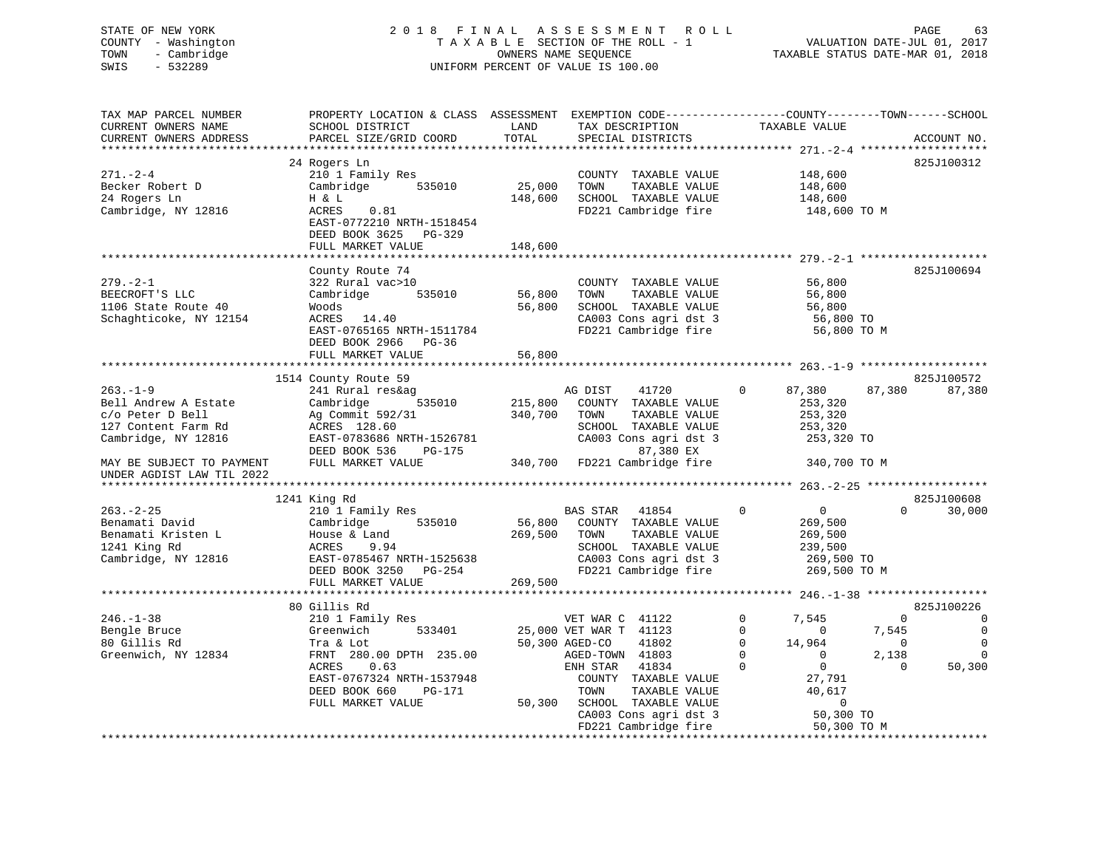# STATE OF NEW YORK 2 0 1 8 F I N A L A S S E S S M E N T R O L L PAGE 63 COUNTY - Washington T A X A B L E SECTION OF THE ROLL - 1 VALUATION DATE-JUL 01, 2017 TOWN - Cambridge OWNERS NAME SEQUENCE TAXABLE STATUS DATE-MAR 01, 2018 SWIS - 532289 UNIFORM PERCENT OF VALUE IS 100.00

| TAX MAP PARCEL NUMBER<br>CURRENT OWNERS NAME | PROPERTY LOCATION & CLASS ASSESSMENT EXEMPTION CODE----------------COUNTY-------TOWN------SCHOOL<br>SCHOOL DISTRICT | LAND    | TAX DESCRIPTION                               | TAXABLE VALUE              |                             |
|----------------------------------------------|---------------------------------------------------------------------------------------------------------------------|---------|-----------------------------------------------|----------------------------|-----------------------------|
| CURRENT OWNERS ADDRESS                       | PARCEL SIZE/GRID COORD                                                                                              | TOTAL   | SPECIAL DISTRICTS                             |                            | ACCOUNT NO.                 |
|                                              | 24 Rogers Ln                                                                                                        |         |                                               |                            | 825J100312                  |
| 271.-2-4                                     | 210 1 Family Res                                                                                                    |         | COUNTY TAXABLE VALUE                          | 148,600                    |                             |
| Becker Robert D                              | Cambridge<br>535010                                                                                                 | 25,000  | TAXABLE VALUE<br>TOWN                         | 148,600                    |                             |
| 24 Rogers Ln                                 | H & L                                                                                                               | 148,600 | SCHOOL TAXABLE VALUE                          | 148,600                    |                             |
| Cambridge, NY 12816                          | 0.81<br>ACRES                                                                                                       |         | FD221 Cambridge fire                          | 148,600 TO M               |                             |
|                                              | EAST-0772210 NRTH-1518454                                                                                           |         |                                               |                            |                             |
|                                              | DEED BOOK 3625 PG-329                                                                                               |         |                                               |                            |                             |
|                                              | FULL MARKET VALUE                                                                                                   | 148,600 |                                               |                            |                             |
|                                              | County Route 74                                                                                                     |         |                                               |                            | 825J100694                  |
| 279.-2-1                                     | 322 Rural vac>10                                                                                                    |         | COUNTY TAXABLE VALUE                          | 56,800                     |                             |
| BEECROFT'S LLC                               | 535010<br>Cambridge                                                                                                 | 56,800  | TOWN<br>TAXABLE VALUE                         | 56,800                     |                             |
| 1106 State Route 40                          | Woods                                                                                                               | 56,800  | SCHOOL TAXABLE VALUE                          | 56,800                     |                             |
| Schaghticoke, NY 12154                       | ACRES 14.40                                                                                                         |         | CA003 Cons agri dst 3                         | 56,800 TO                  |                             |
|                                              | EAST-0765165 NRTH-1511784                                                                                           |         | FD221 Cambridge fire                          | 56,800 TO M                |                             |
|                                              | DEED BOOK 2966 PG-36                                                                                                |         |                                               |                            |                             |
|                                              | FULL MARKET VALUE                                                                                                   | 56,800  |                                               |                            |                             |
|                                              |                                                                                                                     |         |                                               |                            |                             |
|                                              | 1514 County Route 59                                                                                                |         |                                               |                            | 825J100572                  |
| $263. - 1 - 9$                               | 241 Rural res&ag                                                                                                    |         | AG DIST<br>41720                              | 87,380<br>$\Omega$         | 87,380<br>87,380            |
| Bell Andrew A Estate                         | Cambridge<br>535010                                                                                                 | 215,800 | COUNTY TAXABLE VALUE                          | 253,320                    |                             |
| c/o Peter D Bell                             | Ag Commit 592/31                                                                                                    | 340,700 | TAXABLE VALUE<br>TOWN                         | 253,320                    |                             |
| 127 Content Farm Rd<br>Cambridge, NY 12816   | ACRES 128.60<br>EAST-0783686 NRTH-1526781                                                                           |         | SCHOOL TAXABLE VALUE<br>CA003 Cons agri dst 3 | 253,320<br>253,320 TO      |                             |
|                                              | DEED BOOK 536<br>PG-175                                                                                             |         | 87,380 EX                                     |                            |                             |
| MAY BE SUBJECT TO PAYMENT                    | FULL MARKET VALUE                                                                                                   |         | 340,700 FD221 Cambridge fire                  | 340,700 TO M               |                             |
| UNDER AGDIST LAW TIL 2022                    |                                                                                                                     |         |                                               |                            |                             |
| *********************                        |                                                                                                                     |         |                                               |                            |                             |
|                                              | 1241 King Rd                                                                                                        |         |                                               |                            | 825J100608                  |
| $263. - 2 - 25$                              | 210 1 Family Res                                                                                                    |         | BAS STAR<br>41854                             | $\Omega$<br>$\overline{0}$ | $\Omega$<br>30,000          |
| Benamati David                               | Cambridge<br>535010                                                                                                 | 56,800  | COUNTY TAXABLE VALUE                          | 269,500                    |                             |
| Benamati Kristen L                           | House & Land                                                                                                        | 269,500 | TOWN<br>TAXABLE VALUE                         | 269,500                    |                             |
| 1241 King Rd<br>Cambridge, NY 12816          | 9.94<br>ACRES<br>EAST-0785467 NRTH-1525638                                                                          |         | SCHOOL TAXABLE VALUE<br>CA003 Cons agri dst 3 | 239,500<br>269,500 TO      |                             |
|                                              | DEED BOOK 3250<br>PG-254                                                                                            |         | FD221 Cambridge fire                          | 269,500 TO M               |                             |
|                                              | FULL MARKET VALUE                                                                                                   | 269,500 |                                               |                            |                             |
|                                              |                                                                                                                     |         |                                               |                            |                             |
|                                              | 80 Gillis Rd                                                                                                        |         |                                               |                            | 825J100226                  |
| $246. - 1 - 38$                              | 210 1 Family Res                                                                                                    |         | VET WAR C 41122                               | $\Omega$<br>7,545          | $\Omega$<br>$\Omega$        |
| Bengle Bruce                                 | 533401<br>Greenwich                                                                                                 |         | 25,000 VET WAR T 41123                        | $\Omega$<br>$\mathbf{0}$   | $\mathbf 0$<br>7,545        |
| 80 Gillis Rd                                 | Tra & Lot                                                                                                           |         | 50,300 AGED-CO<br>41802                       | $\mathbf 0$<br>14,964      | $\mathbf 0$<br>$\mathbf{0}$ |
| Greenwich, NY 12834                          | FRNT 280.00 DPTH 235.00                                                                                             |         | AGED-TOWN 41803                               | $\mathbf 0$<br>$\mathbf 0$ | 2,138<br>$\Omega$           |
|                                              | ACRES<br>0.63                                                                                                       |         | ENH STAR<br>41834                             | $\overline{0}$<br>$\Omega$ | $\Omega$<br>50,300          |
|                                              | EAST-0767324 NRTH-1537948                                                                                           |         | COUNTY TAXABLE VALUE                          | 27,791                     |                             |
|                                              | DEED BOOK 660<br>PG-171                                                                                             |         | TOWN<br>TAXABLE VALUE                         | 40,617                     |                             |
|                                              | FULL MARKET VALUE                                                                                                   | 50,300  | SCHOOL TAXABLE VALUE                          | $\mathbf{0}$               |                             |
|                                              |                                                                                                                     |         | CA003 Cons agri dst 3                         | 50,300 TO                  |                             |
|                                              |                                                                                                                     |         | FD221 Cambridge fire                          | 50,300 TO M                |                             |
|                                              |                                                                                                                     |         |                                               |                            |                             |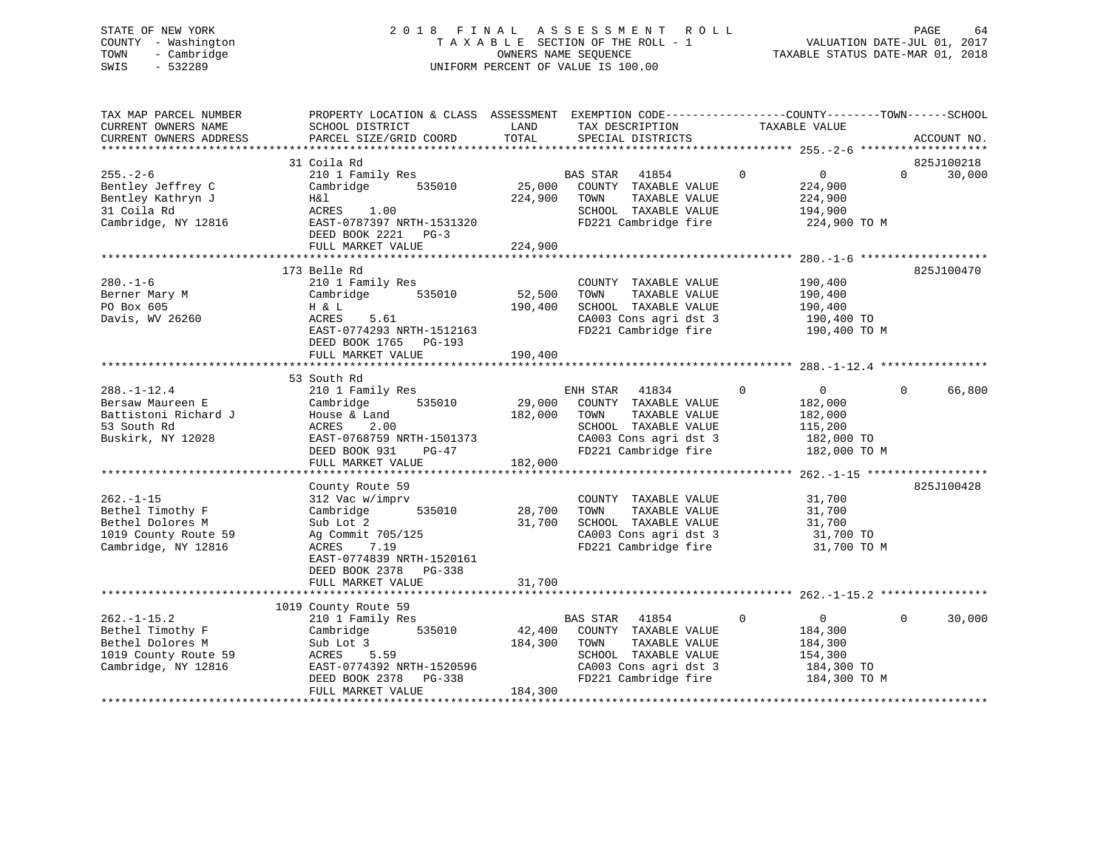# STATE OF NEW YORK 2 0 1 8 F I N A L A S S E S S M E N T R O L L PAGE 64 COUNTY - Washington T A X A B L E SECTION OF THE ROLL - 1 VALUATION DATE-JUL 01, 2017 TOWN - Cambridge OWNERS NAME SEQUENCE TAXABLE STATUS DATE-MAR 01, 2018 SWIS - 532289 UNIFORM PERCENT OF VALUE IS 100.00

| TAX MAP PARCEL NUMBER<br>CURRENT OWNERS NAME<br>CURRENT OWNERS ADDRESS                                  | PROPERTY LOCATION & CLASS ASSESSMENT EXEMPTION CODE----------------COUNTY-------TOWN------SCHOOL<br>SCHOOL DISTRICT<br>PARCEL SIZE/GRID COORD                                           | LAND<br>TOTAL                                   | TAX DESCRIPTION TAXABLE VALUE<br>SPECIAL DISTRICTS                                                                                          |                                                                                               | ACCOUNT NO.                      |
|---------------------------------------------------------------------------------------------------------|-----------------------------------------------------------------------------------------------------------------------------------------------------------------------------------------|-------------------------------------------------|---------------------------------------------------------------------------------------------------------------------------------------------|-----------------------------------------------------------------------------------------------|----------------------------------|
| $255. - 2 - 6$<br>Bentley Jeffrey C<br>Bentley Kathryn J<br>31 Coila Rd<br>Cambridge, NY 12816          | 31 Coila Rd<br>210 1 Family Res<br>Cambridge<br>535010<br>H&l<br>ACRES 1.00<br>EAST-0787397 NRTH-1531320<br>DEED BOOK 2221 PG-3<br>FULL MARKET VALUE                                    | 25,000<br>224,900<br>224,900                    | BAS STAR 41854<br>COUNTY TAXABLE VALUE<br>TOWN<br>TAXABLE VALUE<br>SCHOOL TAXABLE VALUE<br>FD221 Cambridge fire                             | $\mathbf 0$<br>$\sim$ 0<br>224,900<br>224,900<br>194,900<br>224,900 TO M                      | 825J100218<br>$\Omega$<br>30,000 |
| $280. - 1 - 6$<br>Berner Mary M<br>PO Box 605<br>Davis, WV 26260                                        | 173 Belle Rd<br>210 1 Family Res<br>Cambridge 535010<br>H & L<br>ACRES 5.61<br>EAST-0774293 NRTH-1512163<br>DEED BOOK 1765 PG-193<br>FULL MARKET VALUE                                  | 52,500<br>190,400<br>190,400                    | COUNTY TAXABLE VALUE<br>TOWN<br>TAXABLE VALUE<br>SCHOOL TAXABLE VALUE<br>CA003 Cons agri dst 3                                              | 190,400<br>190,400<br>190,400<br>190,400 TO<br>FD221 Cambridge fire 190,400 TO M              | 825J100470                       |
| $288. - 1 - 12.4$<br>Bersaw Maureen E<br>Battistoni Richard J<br>53 South Rd<br>Buskirk, NY 12028       | 53 South Rd<br>210 1 Family Res<br>Cambridge<br>535010<br>House & Land<br>ACRES<br>2.00<br>EAST-0768759 NRTH-1501373<br>$PG-47$<br>DEED BOOK 931<br>FULL MARKET VALUE                   | 29,000<br>182,000<br>10 <sup>2</sup><br>182,000 | ENH STAR 41834<br>COUNTY TAXABLE VALUE<br>TAXABLE VALUE<br>TOWN<br>SCHOOL TAXABLE VALUE<br>CA003 Cons agri dst 3<br>FD221 Cambridge fire    | $\mathbf{0}$<br>$\overline{0}$<br>182,000<br>182,000<br>115,200<br>182,000 TO<br>182,000 TO M | $\Omega$<br>66,800               |
| $262. - 1 - 15$<br>Bethel Timothy F<br>Bethel Dolores M<br>1019 County Route 59<br>Cambridge, NY 12816  | County Route 59<br>312 Vac w/imprv<br>535010<br>Cambridge<br>Sub Lot 2<br>Ag Commit 705/125<br>7.19<br>ACRES<br>EAST-0774839 NRTH-1520161<br>DEED BOOK 2378 PG-338<br>FULL MARKET VALUE | 28,700<br>31,700<br>31,700                      | COUNTY TAXABLE VALUE<br>TOWN<br>TAXABLE VALUE<br>SCHOOL TAXABLE VALUE<br>CA003 Cons agri dst 3<br>FD221 Cambridge fire                      | 31,700<br>31,700<br>31,700<br>31,700 TO<br>31,700 TO M                                        | 825J100428                       |
| $262. -1 - 15.2$<br>Bethel Timothy F<br>Bethel Dolores M<br>1019 County Route 59<br>Cambridge, NY 12816 | 1019 County Route 59<br>210 1 Family Res<br>Cambridge 535010<br>Sub Lot 3<br>ACRES 5.59<br>EAST-0774392 NRTH-1520596<br>DEED BOOK 2378 PG-338<br>FULL MARKET VALUE                      | 42,400<br>184,300<br>184,300                    | BAS STAR<br>41854<br>COUNTY TAXABLE VALUE<br>TAXABLE VALUE<br>TOWN<br>SCHOOL TAXABLE VALUE<br>CAU03 Cons agri dst 3<br>FD221 Cambridge fire | $\mathsf{O}$<br>$\overline{0}$<br>184,300<br>184,300<br>154,300<br>184,300 TO<br>184,300 TO M | $\Omega$<br>30,000               |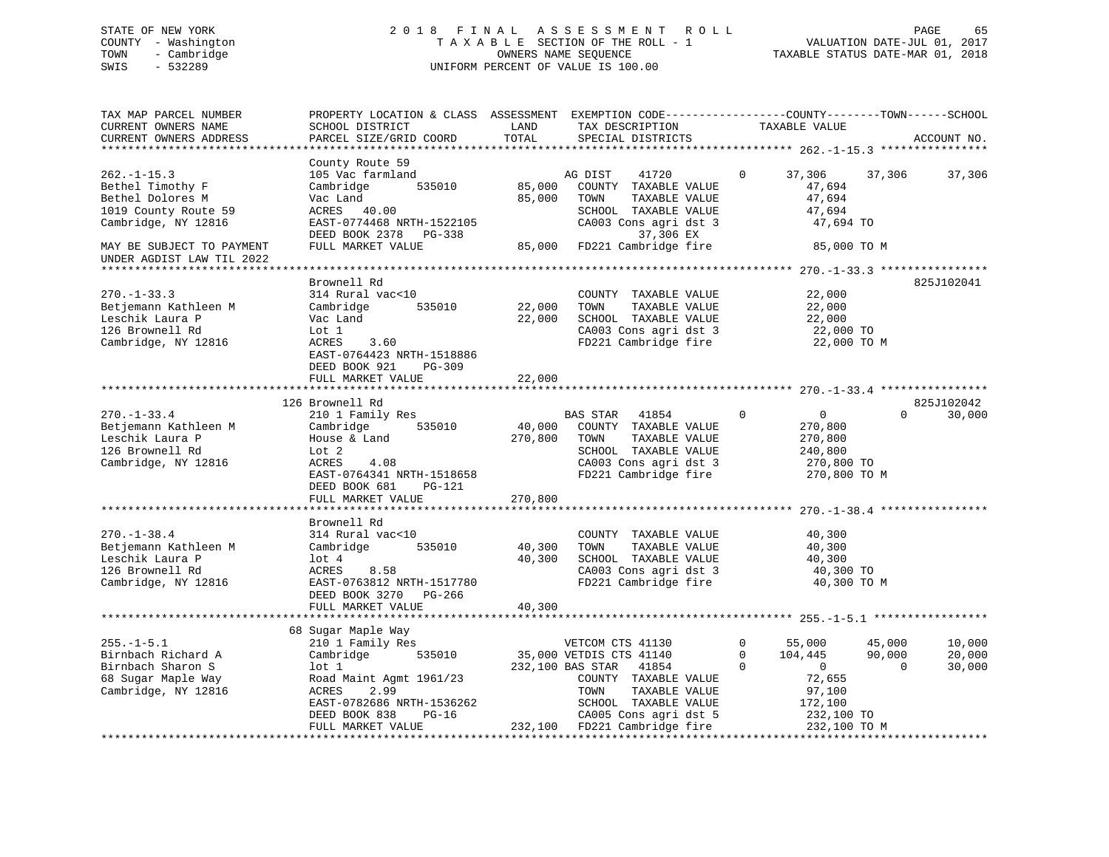# STATE OF NEW YORK 2 0 1 8 F I N A L A S S E S S M E N T R O L L PAGE 65 COUNTY - Washington T A X A B L E SECTION OF THE ROLL - 1 VALUATION DATE-JUL 01, 2017 TOWN - Cambridge OWNERS NAME SEQUENCE TAXABLE STATUS DATE-MAR 01, 2018 SWIS - 532289 UNIFORM PERCENT OF VALUE IS 100.00UNIFORM PERCENT OF VALUE IS 100.00

| TAX MAP PARCEL NUMBER<br>CURRENT OWNERS NAME<br>CURRENT OWNERS ADDRESS                                                               | PROPERTY LOCATION & CLASS ASSESSMENT EXEMPTION CODE----------------COUNTY-------TOWN------SCHOOL<br>SCHOOL DISTRICT<br>PARCEL SIZE/GRID COORD                                   | LAND<br>TOTAL                | TAX DESCRIPTION<br>SPECIAL DISTRICTS                                                                                                                                                                       | TAXABLE VALUE                                                                                                              | ACCOUNT NO.                                                |
|--------------------------------------------------------------------------------------------------------------------------------------|---------------------------------------------------------------------------------------------------------------------------------------------------------------------------------|------------------------------|------------------------------------------------------------------------------------------------------------------------------------------------------------------------------------------------------------|----------------------------------------------------------------------------------------------------------------------------|------------------------------------------------------------|
|                                                                                                                                      |                                                                                                                                                                                 |                              |                                                                                                                                                                                                            |                                                                                                                            |                                                            |
| $262. -1 - 15.3$<br>Bethel Timothy F<br>Bethel Dolores M<br>1019 County Route 59<br>Cambridge, NY 12816<br>MAY BE SUBJECT TO PAYMENT | County Route 59<br>105 Vac farmland<br>Cambridge<br>535010<br>Vac Land<br>ACRES 40.00<br>EAST-0774468 NRTH-1522105<br>DEED BOOK 2378 PG-338<br>FULL MARKET VALUE                | 85,000<br>85,000<br>85,000   | AG DIST<br>41720<br>COUNTY TAXABLE VALUE<br>TOWN<br>TAXABLE VALUE<br>SCHOOL TAXABLE VALUE<br>CA003 Cons agri dst 3<br>37,306 EX<br>FD221 Cambridge fire                                                    | 37,306<br>0<br>47,694<br>47,694<br>47,694<br>47,694 TO<br>85,000 TO M                                                      | 37,306<br>37,306                                           |
| UNDER AGDIST LAW TIL 2022                                                                                                            |                                                                                                                                                                                 |                              |                                                                                                                                                                                                            |                                                                                                                            |                                                            |
| $270. - 1 - 33.3$<br>Betjemann Kathleen M<br>Leschik Laura P<br>126 Brownell Rd<br>Cambridge, NY 12816                               | Brownell Rd<br>314 Rural vac<10<br>Cambridge<br>535010<br>Vac Land<br>Lot 1<br>ACRES<br>3.60<br>EAST-0764423 NRTH-1518886<br>DEED BOOK 921<br>$PG-309$                          | 22,000<br>22,000             | COUNTY TAXABLE VALUE<br>TOWN<br>TAXABLE VALUE<br>SCHOOL TAXABLE VALUE<br>CA003 Cons agri dst 3<br>FD221 Cambridge fire                                                                                     | 22,000<br>22,000<br>22,000<br>22,000 TO<br>22,000 TO M                                                                     | 825J102041                                                 |
|                                                                                                                                      | FULL MARKET VALUE                                                                                                                                                               | 22,000                       |                                                                                                                                                                                                            |                                                                                                                            |                                                            |
|                                                                                                                                      | 126 Brownell Rd                                                                                                                                                                 |                              |                                                                                                                                                                                                            |                                                                                                                            | 825J102042                                                 |
| $270. - 1 - 33.4$<br>Betjemann Kathleen M<br>Leschik Laura P<br>126 Brownell Rd<br>Cambridge, NY 12816                               | 210 1 Family Res<br>Cambridge<br>535010<br>House & Land<br>Lot 2<br>ACRES<br>4.08<br>EAST-0764341 NRTH-1518658<br>DEED BOOK 681<br>$PG-121$<br>FULL MARKET VALUE                | 40,000<br>270,800<br>270,800 | BAS STAR<br>41854<br>COUNTY TAXABLE VALUE<br>TAXABLE VALUE<br>TOWN<br>SCHOOL TAXABLE VALUE<br>CA003 Cons agri dst 3<br>FD221 Cambridge fire                                                                | 0<br>$\mathbf 0$<br>270,800<br>270,800<br>240,800<br>270,800 TO<br>270,800 TO M                                            | 30,000<br>$\Omega$                                         |
|                                                                                                                                      |                                                                                                                                                                                 |                              |                                                                                                                                                                                                            |                                                                                                                            |                                                            |
| $270. - 1 - 38.4$<br>Betjemann Kathleen M<br>Leschik Laura P<br>126 Brownell Rd<br>Cambridge, NY 12816                               | Brownell Rd<br>314 Rural vac<10<br>535010<br>Cambridge<br>lot 4<br>ACRES<br>8.58<br>EAST-0763812 NRTH-1517780<br>DEED BOOK 3270 PG-266                                          | 40,300<br>40,300             | COUNTY TAXABLE VALUE<br>TOWN<br>TAXABLE VALUE<br>SCHOOL TAXABLE VALUE<br>CA003 Cons agri dst 3<br>FD221 Cambridge fire                                                                                     | 40,300<br>40,300<br>40,300<br>40,300 TO<br>40,300 TO M                                                                     |                                                            |
|                                                                                                                                      | FULL MARKET VALUE                                                                                                                                                               | 40,300                       |                                                                                                                                                                                                            |                                                                                                                            |                                                            |
|                                                                                                                                      | 68 Sugar Maple Way                                                                                                                                                              |                              |                                                                                                                                                                                                            |                                                                                                                            |                                                            |
| $255. - 1 - 5.1$<br>Birnbach Richard A<br>Birnbach Sharon S<br>68 Sugar Maple Way<br>Cambridge, NY 12816                             | 210 1 Family Res<br>535010<br>Cambridge<br>$1$ ot $1$<br>Road Maint Agmt 1961/23<br>ACRES<br>2.99<br>EAST-0782686 NRTH-1536262<br>DEED BOOK 838<br>$PG-16$<br>FULL MARKET VALUE |                              | VETCOM CTS 41130<br>35,000 VETDIS CTS 41140<br>232,100 BAS STAR<br>41854<br>COUNTY TAXABLE VALUE<br>TAXABLE VALUE<br>TOWN<br>SCHOOL TAXABLE VALUE<br>CA005 Cons agri dst 5<br>232,100 FD221 Cambridge fire | 0<br>55,000<br>$\Omega$<br>104,445<br>$\Omega$<br>$\mathbf 0$<br>72,655<br>97,100<br>172,100<br>232,100 TO<br>232,100 TO M | 45,000<br>10,000<br>90,000<br>20,000<br>$\Omega$<br>30,000 |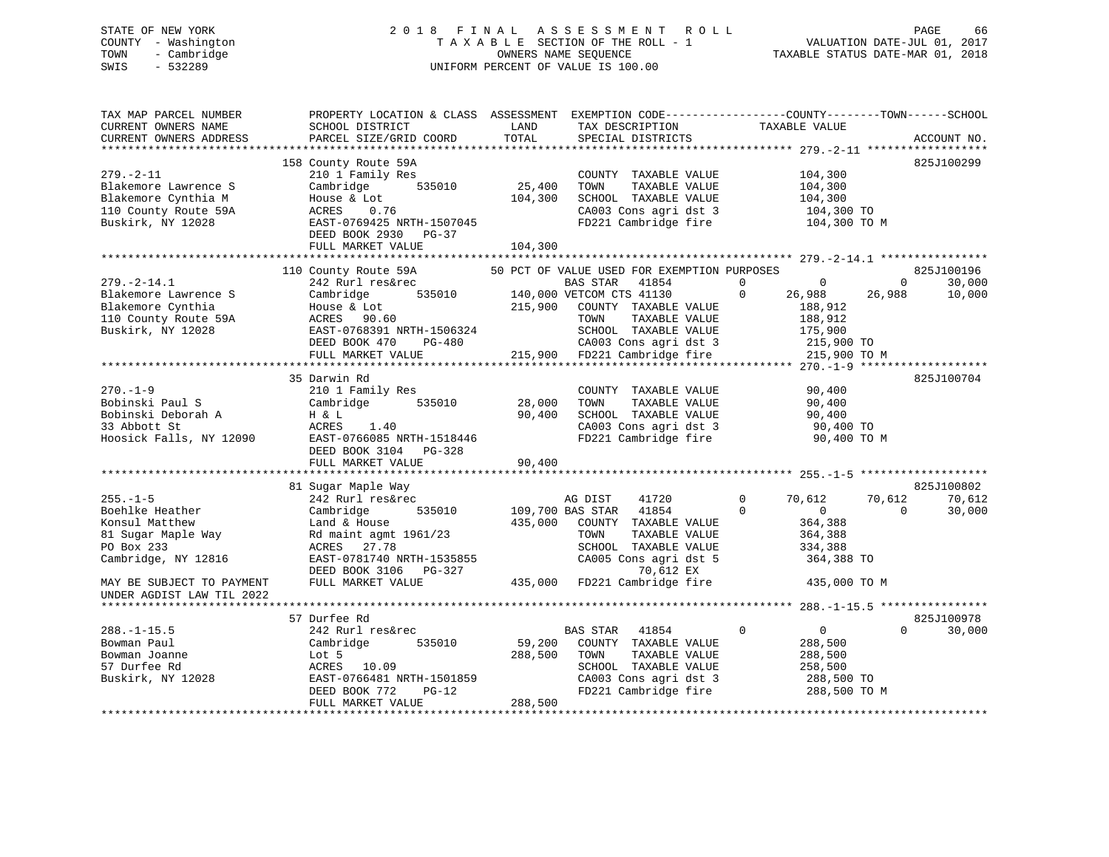# STATE OF NEW YORK 2 0 1 8 F I N A L A S S E S S M E N T R O L L PAGE 66 COUNTY - Washington T A X A B L E SECTION OF THE ROLL - 1 VALUATION DATE-JUL 01, 2017 TOWN - Cambridge OWNERS NAME SEQUENCE TAXABLE STATUS DATE-MAR 01, 2018 SWIS - 532289 UNIFORM PERCENT OF VALUE IS 100.00

| TAX MAP PARCEL NUMBER<br>CURRENT OWNERS NAME<br>CURRENT OWNERS ADDRESS                                         | PROPERTY LOCATION & CLASS ASSESSMENT EXEMPTION CODE---------------COUNTY-------TOWN-----SCHOOL<br>SCHOOL DISTRICT<br>PARCEL SIZE/GRID COORD                                                    | LAND<br>TOTAL                     | TAX DESCRIPTION<br>SPECIAL DISTRICTS                                                                                                                                                                                                                                            | TAXABLE VALUE                                                                                                 | ACCOUNT NO.                                                   |
|----------------------------------------------------------------------------------------------------------------|------------------------------------------------------------------------------------------------------------------------------------------------------------------------------------------------|-----------------------------------|---------------------------------------------------------------------------------------------------------------------------------------------------------------------------------------------------------------------------------------------------------------------------------|---------------------------------------------------------------------------------------------------------------|---------------------------------------------------------------|
|                                                                                                                |                                                                                                                                                                                                |                                   |                                                                                                                                                                                                                                                                                 |                                                                                                               |                                                               |
| $279. - 2 - 11$<br>Blakemore Lawrence S<br>Blakemore Cynthia M<br>110 County Route 59A<br>Buskirk, NY 12028    | 158 County Route 59A<br>210 1 Family Res<br>Cambridge 535010<br>House & Lot<br>ACRES 0.76<br>EAST-0769425 NRTH-1507045<br>DEED BOOK 2930 PG-37<br>FULL MARKET VALUE                            | 25,400<br>104,300<br>104,300      | COUNTY TAXABLE VALUE<br>TOWN<br>TAXABLE VALUE<br>SCHOOL TAXABLE VALUE<br>CA003 Cons agri dst 3 104,300 TO<br>FD221 Cambridge fire 104,300 TO M                                                                                                                                  | 104,300<br>104,300<br>104,300                                                                                 | 825J100299                                                    |
|                                                                                                                |                                                                                                                                                                                                |                                   |                                                                                                                                                                                                                                                                                 |                                                                                                               |                                                               |
| $279. - 2 - 14.1$<br>Blakemore Lawrence S<br>Blakemore Cynthia<br>110 County Route 59A<br>Buskirk, NY 12028    | 110 County Route 59A<br>242 Rurl res&rec<br>Cambridge<br>House & Lot 215<br>ACRES 90.60 215<br>EAST-0768391 NRTH-1506324<br>DEED BOOK 470<br>PG-480<br>FULL MARKET VALUE                       | 215,900                           | 50 PCT OF VALUE USED FOR EXEMPTION PURPOSES<br>Exted<br>B&rec 535010 140,000 VETCOM CTS 41130<br>ALE AND COUNTY TAXABLE<br>COUNTY TAXABLE VALUE<br>TOWN<br>TAXABLE VALUE<br>SCHOOL TAXABLE VALUE<br>CA003 Cons agri dst 3 215,900 TO<br>215,900 FD221 Cambridge fire 215,900 TO | $\overline{0}$<br>$\overline{0}$<br>$\overline{0}$<br>26,988<br>188,912<br>188,912<br>175,900<br>215,900 TO M | 825J100196<br>$0 \qquad \qquad$<br>30,000<br>10,000<br>26,988 |
|                                                                                                                | 35 Darwin Rd                                                                                                                                                                                   |                                   |                                                                                                                                                                                                                                                                                 |                                                                                                               | 825J100704                                                    |
| $270. - 1 - 9$<br>Bobinski Paul S<br>Bobinski Deborah A<br>Albert St                                           | 210 1 Family Res<br>Cambridge<br>Bobinski Deborah A H & L 90<br>33 Abbott St ACRES 1.40<br>Hoosick Falls, NY 12090 EAST-0766085 NRTH-1518446<br>DEED BOOK 3104 PG-328<br>FULL MARKET VALUE     | 535010 28,000<br>90,400<br>90,400 | COUNTY TAXABLE VALUE<br>TOWN<br>TAXABLE VALUE<br>SCHOOL TAXABLE VALUE<br>CA003 Cons agri dst 3<br>FD221 Cambridge fire                                                                                                                                                          | 90,400<br>90,400<br>90,400<br>90,400 TO<br>90,400 TO M                                                        |                                                               |
|                                                                                                                | 81 Sugar Maple Way                                                                                                                                                                             |                                   |                                                                                                                                                                                                                                                                                 |                                                                                                               | 825J100802                                                    |
| $255. - 1 - 5$<br>Boehlke Heather<br>Konsul Matthew<br>81 Sugar Maple Way<br>PO Box 233<br>Cambridge, NY 12816 | 242 Rurl res&rec<br>Cambridge<br>535010<br>Land & House<br>Rd maint agmt 1961/23<br>ACRES 27.78<br>EAST-0781740 NRTH-1535855<br>DEED BOOK 3106 PG-327                                          |                                   | 41720<br>AG DIST<br>109,700 BAS STAR 41854<br>435,000 COUNTY TAXABLE VALUE<br>TOWN<br>TAXABLE VALUE<br>SCHOOL TAXABLE VALUE<br>CA005 Cons agri dst 5<br>70,612 EX                                                                                                               | $\overline{0}$<br>70,612<br>$\Omega$<br>$\overline{0}$<br>364,388<br>364,388<br>334,388<br>364,388 TO         | 70,612<br>70,612<br>30,000<br>$\overline{0}$                  |
| MAY BE SUBJECT TO PAYMENT<br>UNDER AGDIST LAW TIL 2022                                                         | FULL MARKET VALUE                                                                                                                                                                              |                                   | 435,000 FD221 Cambridge fire                                                                                                                                                                                                                                                    | 435,000 TO M                                                                                                  |                                                               |
|                                                                                                                | 57 Durfee Rd                                                                                                                                                                                   |                                   |                                                                                                                                                                                                                                                                                 |                                                                                                               | 825J100978                                                    |
| $288. - 1 - 15.5$<br>Bowman Paul<br>Bowman Joanne<br>57 Durfee Rd<br>Buskirk, NY 12028                         | 242 Rurl res&rec<br>Cambridge 535010<br>Lot 5<br>ACRES 10.09<br>EAST-0766481 NRTH-1501859<br>EAST-0766481 NRTH-1501859<br>EEED BOOK 772 DG-12<br>$PG-12$<br>DEED BOOK 772<br>FULL MARKET VALUE | 288,500<br>288,500                | BAS STAR 41854<br>59,200 COUNTY TAXABLE VALUE<br>FINATION TIME TO THE VALUE<br>TOWN<br>TAXABLE VALUE<br>SCHOOL TAXABLE VALUE<br>CA003 Cons agri dst 3<br>FD221 Cambridge fire                                                                                                   | $\mathbf 0$<br>$\overline{0}$<br>288,500<br>288,500<br>258,500<br>288,500 TO<br>288,500 TO M                  | $\Omega$<br>30,000                                            |
|                                                                                                                |                                                                                                                                                                                                |                                   |                                                                                                                                                                                                                                                                                 |                                                                                                               |                                                               |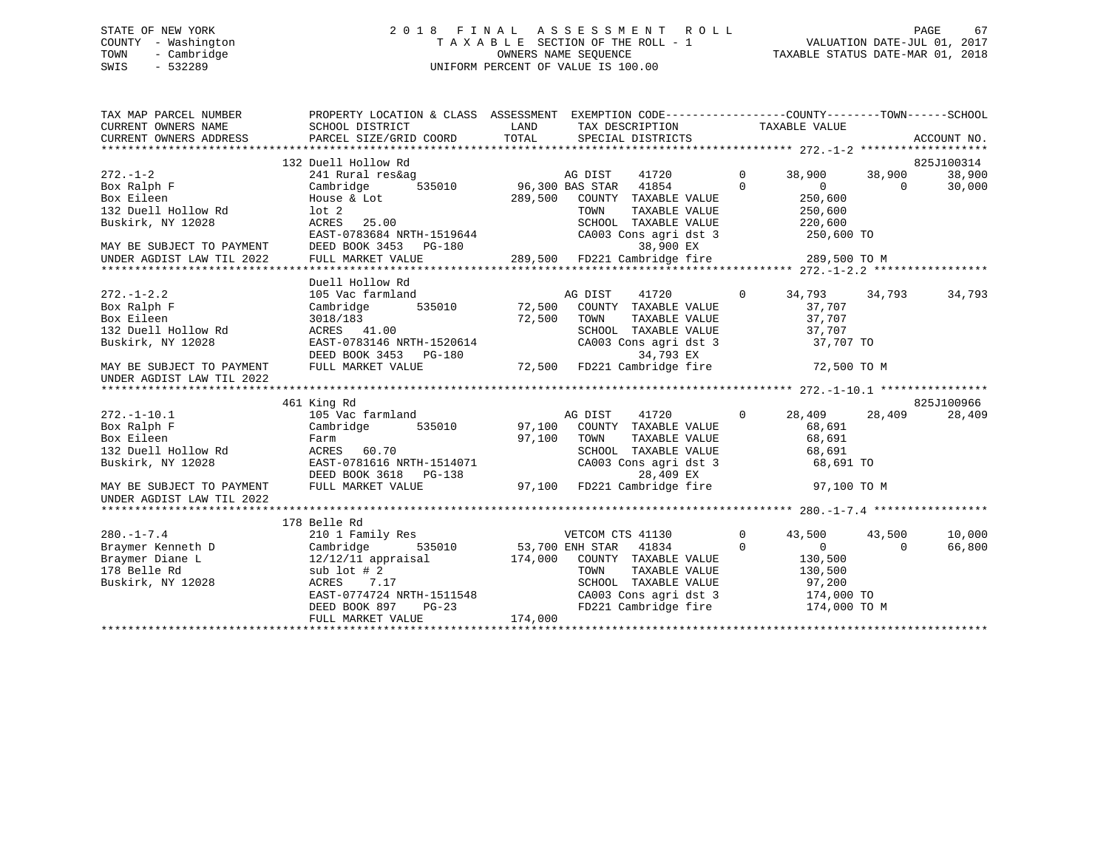## STATE OF NEW YORK GOT RELEASE AS SESS MENT ROLL STATE OF NEW YORK GOT A LA S SESS MENT ROLL COUNTY - Washington  $T A X A B L E$  SECTION OF THE ROLL - 1<br>TOWN - Cambridge  $\sim$  000NERS NAME SEQUENCE TOWN - Cambridge OWNERS NAME SEQUENCE TAXABLE STATUS DATE-MAR 01, 2018 SWIS - 532289 UNIFORM PERCENT OF VALUE IS 100.00

| TAX MAP PARCEL NUMBER<br>CURRENT OWNERS NAME           | PROPERTY LOCATION & CLASS ASSESSMENT EXEMPTION CODE---------------COUNTY-------TOWN------SCHOOL<br>SCHOOL DISTRICT | LAND    | TAX DESCRIPTION TAXABLE VALUE                                                                                                                      |                |                |          |             |
|--------------------------------------------------------|--------------------------------------------------------------------------------------------------------------------|---------|----------------------------------------------------------------------------------------------------------------------------------------------------|----------------|----------------|----------|-------------|
| CURRENT OWNERS ADDRESS                                 | PARCEL SIZE/GRID COORD                                                                                             | TOTAL   | SPECIAL DISTRICTS                                                                                                                                  |                |                |          | ACCOUNT NO. |
|                                                        | 132 Duell Hollow Rd                                                                                                |         |                                                                                                                                                    |                |                |          | 825J100314  |
| $272 - 1 - 2$                                          | 241 Rural res&ag                                                                                                   |         |                                                                                                                                                    | $\mathbf{0}$   | 38,900         | 38,900   | 38,900      |
| Box Ralph F                                            | Cambridge                                                                                                          |         | 41720 AG DIST<br>535010 96,300 BAS STAR 41854                                                                                                      | $\Omega$       | $\overline{0}$ | $\Omega$ | 30,000      |
| Box Eileen                                             | House & Lot                                                                                                        | 289,500 | COUNTY TAXABLE VALUE                                                                                                                               |                | 250,600        |          |             |
| 132 Duell Hollow Rd                                    | lot <sub>2</sub>                                                                                                   |         | TAXABLE VALUE<br>TOWN                                                                                                                              |                | 250,600        |          |             |
| Buskirk, NY 12028                                      | ACRES 25.00                                                                                                        |         | SCHOOL TAXABLE VALUE                                                                                                                               |                | 220,600        |          |             |
|                                                        | EAST-0783684 NRTH-1519644                                                                                          |         | CA003 Cons agri dst 3                                                                                                                              |                | 250,600 TO     |          |             |
|                                                        |                                                                                                                    |         | 38,900 EX                                                                                                                                          |                |                |          |             |
|                                                        | MAY BE SUBJECT TO PAYMENT DEED BOOK 3453 PG-180<br>UNDER AGDIST LAW TIL 2022 FULL MARKET VALUE                     |         | 38,900 EX<br>289,500 FD221 Cambridge fire 289,500 TO M                                                                                             |                |                |          |             |
|                                                        |                                                                                                                    |         |                                                                                                                                                    |                |                |          |             |
|                                                        | Duell Hollow Rd                                                                                                    |         |                                                                                                                                                    |                |                |          |             |
| $272. - 1 - 2.2$                                       | 105 Vac farmland                                                                                                   | AG DIST | 41720                                                                                                                                              | $\overline{0}$ | 34,793 34,793  |          | 34,793      |
| Box Ralph F                                            | Cambridge                                                                                                          |         | 535010 72,500 COUNTY TAXABLE VALUE                                                                                                                 |                | 37,707         |          |             |
| Box Eileen                                             | 3018/183                                                                                                           | 72,500  | TOWN<br>TAXABLE VALUE                                                                                                                              |                | 37,707         |          |             |
| 132 Duell Hollow Rd                                    | ACRES 41.00                                                                                                        |         | SCHOOL TAXABLE VALUE                                                                                                                               |                | 37,707         |          |             |
| Buskirk, NY 12028                                      | EAST-0783146 NRTH-1520614                                                                                          |         | CA003 Cons agri dst 3                                                                                                                              |                | 37,707 TO      |          |             |
|                                                        |                                                                                                                    |         |                                                                                                                                                    |                |                |          |             |
| MAY BE SUBJECT TO PAYMENT                              | DEED BOOK 3453 PG-180 32,500 PD221 Cambridge fire 72,500 TO M PULL MARKET VALUE                                    |         |                                                                                                                                                    |                |                |          |             |
| UNDER AGDIST LAW TIL 2022                              |                                                                                                                    |         |                                                                                                                                                    |                |                |          |             |
|                                                        |                                                                                                                    |         |                                                                                                                                                    |                |                |          |             |
|                                                        | 461 King Rd                                                                                                        |         |                                                                                                                                                    |                |                |          | 825J100966  |
| $272. - 1 - 10.1$                                      | 105 Vac farmland                                                                                                   |         | $97,100 \begin{array}{ccc} \text{AG DIST} & \text{H11} \\ \text{COUNTY} & \text{TAXABLE VALUE} \\ \text{COMTY} & \text{TAXABLE VALUE} \end{array}$ | $\circ$        | 28,409         | 28,409   | 28,409      |
| Box Ralph F                                            | 535010<br>Cambridge                                                                                                |         |                                                                                                                                                    |                | 68,691         |          |             |
| Box Eileen                                             | Farm                                                                                                               |         |                                                                                                                                                    |                | 68,691         |          |             |
| 132 Duell Hollow Rd                                    | ACRES 60.70                                                                                                        |         | SCHOOL TAXABLE VALUE                                                                                                                               |                | 68,691         |          |             |
| Buskirk, NY 12028                                      | EAST-0781616 NRTH-1514071                                                                                          |         | CA003 Cons agri dst 3                                                                                                                              |                | 68,691 TO      |          |             |
|                                                        | DEED BOOK 3618 PG-138                                                                                              |         | 28,409 EX                                                                                                                                          |                |                |          |             |
| MAY BE SUBJECT TO PAYMENT<br>UNDER AGDIST LAW TIL 2022 | FULL MARKET VALUE                                                                                                  |         | 97,100 FD221 Cambridge fire                                                                                                                        |                | 97,100 TO M    |          |             |
|                                                        |                                                                                                                    |         |                                                                                                                                                    |                |                |          |             |
|                                                        | 178 Belle Rd                                                                                                       |         |                                                                                                                                                    |                |                |          |             |
| $280. -1 - 7.4$                                        | 210 1 Family Res                                                                                                   |         | VETCOM CTS 41130                                                                                                                                   | $\mathbf 0$    | 43,500         | 43,500   | 10,000      |
| Braymer Kenneth D                                      | Cambridge<br>535010                                                                                                |         | 53,700 ENH STAR 41834                                                                                                                              | $\mathbf 0$    | $\overline{0}$ | $\Omega$ | 66,800      |
| Braymer Diane L                                        | $12/12/11$ appraisal                                                                                               | 174,000 | COUNTY TAXABLE VALUE                                                                                                                               |                | 130,500        |          |             |
| 178 Belle Rd                                           | sub $1$ ot $#2$                                                                                                    |         | TAXABLE VALUE<br>TOWN                                                                                                                              |                | 130,500        |          |             |
| Buskirk, NY 12028                                      | ACRES<br>7.17                                                                                                      |         | SCHOOL TAXABLE VALUE                                                                                                                               |                | 97,200         |          |             |
|                                                        |                                                                                                                    |         |                                                                                                                                                    |                |                |          |             |
|                                                        | EAST-0774724 NRTH-1511548<br>DEED BOOK 897 PG-23                                                                   |         | FD221 Cambridge fire                                                                                                                               |                | 174,000 TO M   |          |             |
|                                                        | FULL MARKET VALUE                                                                                                  | 174,000 |                                                                                                                                                    |                |                |          |             |
|                                                        |                                                                                                                    |         |                                                                                                                                                    |                |                |          |             |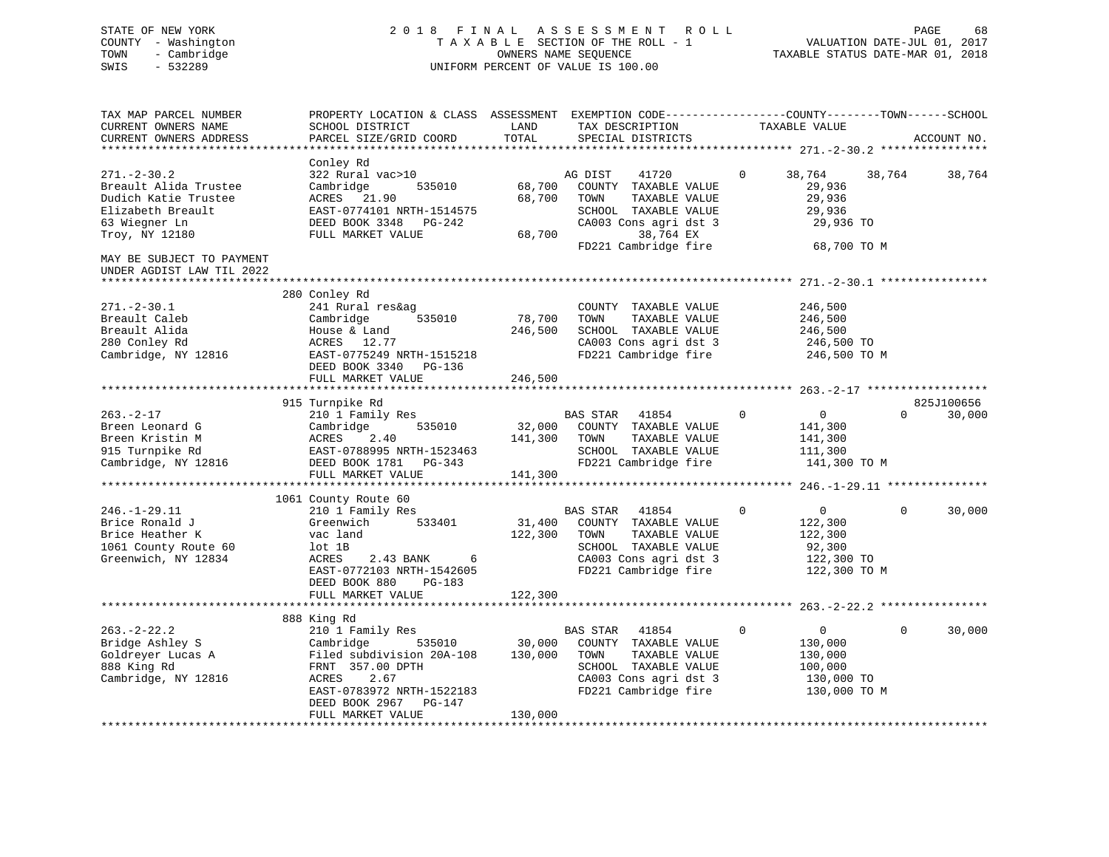# STATE OF NEW YORK 2 0 1 8 F I N A L A S S E S S M E N T R O L L PAGE 68 COUNTY - Washington T A X A B L E SECTION OF THE ROLL - 1 VALUATION DATE-JUL 01, 2017 TOWN - Cambridge OWNERS NAME SEQUENCE TAXABLE STATUS DATE-MAR 01, 2018 SWIS - 532289 UNIFORM PERCENT OF VALUE IS 100.00

| TAX MAP PARCEL NUMBER<br>CURRENT OWNERS NAME<br>CURRENT OWNERS ADDRESS                                                     | PROPERTY LOCATION & CLASS ASSESSMENT<br>SCHOOL DISTRICT<br>PARCEL SIZE/GRID COORD                                                                                              | LAND<br>TOTAL                | EXEMPTION CODE-----------------COUNTY-------TOWN------SCHOOL<br>TAX DESCRIPTION<br>SPECIAL DISTRICTS                                            | TAXABLE VALUE                                                                                | ACCOUNT NO.                      |
|----------------------------------------------------------------------------------------------------------------------------|--------------------------------------------------------------------------------------------------------------------------------------------------------------------------------|------------------------------|-------------------------------------------------------------------------------------------------------------------------------------------------|----------------------------------------------------------------------------------------------|----------------------------------|
|                                                                                                                            |                                                                                                                                                                                |                              |                                                                                                                                                 |                                                                                              |                                  |
| $271. - 2 - 30.2$<br>Breault Alida Trustee<br>Dudich Katie Trustee<br>Elizabeth Breault<br>63 Wiegner Ln<br>Troy, NY 12180 | Conley Rd<br>322 Rural vac>10<br>Cambridge<br>535010<br>ACRES 21.90<br>EAST-0774101 NRTH-1514575<br>DEED BOOK 3348 PG-242<br>FULL MARKET VALUE                                 | 68,700<br>68,700<br>68,700   | AG DIST<br>41720<br>COUNTY TAXABLE VALUE<br>TOWN<br>TAXABLE VALUE<br>SCHOOL TAXABLE VALUE<br>CA003 Cons agri dst 3<br>38,764 EX                 | 38,764<br>$\Omega$<br>29,936<br>29,936<br>29,936<br>29,936 TO                                | 38,764<br>38,764                 |
| MAY BE SUBJECT TO PAYMENT<br>UNDER AGDIST LAW TIL 2022                                                                     |                                                                                                                                                                                |                              | FD221 Cambridge fire                                                                                                                            | 68,700 TO M                                                                                  |                                  |
| $271. - 2 - 30.1$<br>Breault Caleb<br>Breault Alida<br>280 Conley Rd<br>Cambridge, NY 12816                                | 280 Conley Rd<br>241 Rural res&ag<br>535010<br>Cambridge<br>House & Land<br>ACRES 12.77<br>EAST-0775249 NRTH-1515218<br>DEED BOOK 3340 PG-136                                  | 78,700<br>246,500            | COUNTY TAXABLE VALUE<br>TOWN<br>TAXABLE VALUE<br>SCHOOL TAXABLE VALUE<br>CA003 Cons agri dst 3<br>FD221 Cambridge fire                          | 246,500<br>246,500<br>246,500<br>246,500 TO<br>246,500 TO M                                  |                                  |
|                                                                                                                            | FULL MARKET VALUE                                                                                                                                                              | 246,500                      |                                                                                                                                                 |                                                                                              |                                  |
|                                                                                                                            |                                                                                                                                                                                |                              |                                                                                                                                                 |                                                                                              |                                  |
| $263. - 2 - 17$<br>Breen Leonard G<br>Breen Kristin M<br>915 Turnpike Rd<br>Cambridge, NY 12816                            | 915 Turnpike Rd<br>210 1 Family Res<br>Cambridge<br>535010<br>ACRES<br>2.40<br>EAST-0788995 NRTH-1523463<br>DEED BOOK 1781    PG-343<br>FULL MARKET VALUE                      | 32,000<br>141,300<br>141,300 | BAS STAR 41854<br>COUNTY TAXABLE VALUE<br>TOWN<br>TAXABLE VALUE<br>SCHOOL TAXABLE VALUE<br>FD221 Cambridge fire                                 | $\mathbf 0$<br>$\overline{0}$<br>141,300<br>141,300<br>111,300<br>141,300 TO M               | 825J100656<br>30,000<br>$\Omega$ |
|                                                                                                                            | 1061 County Route 60                                                                                                                                                           |                              |                                                                                                                                                 |                                                                                              |                                  |
| $246. - 1 - 29.11$<br>Brice Ronald J<br>Brice Heather K<br>1061 County Route 60<br>Greenwich, NY 12834                     | 210 1 Family Res<br>533401<br>Greenwich<br>vac land<br>lot 1B<br>ACRES<br>2.43 BANK 6<br>EAST-0772103 NRTH-1542605<br>DEED BOOK 880<br>PG-183                                  | 122,300                      | BAS STAR 41854<br>31,400 COUNTY TAXABLE VALUE<br>TAXABLE VALUE<br>TOWN<br>SCHOOL TAXABLE VALUE<br>CA003 Cons agri dst 3<br>FD221 Cambridge fire | $\mathbf 0$<br>$\overline{0}$<br>122,300<br>122,300<br>92,300<br>122,300 TO<br>122,300 TO M  | $\Omega$<br>30,000               |
|                                                                                                                            | FULL MARKET VALUE                                                                                                                                                              | 122,300                      |                                                                                                                                                 |                                                                                              |                                  |
|                                                                                                                            |                                                                                                                                                                                |                              |                                                                                                                                                 |                                                                                              |                                  |
| $263 - 2 - 22.2$<br>Bridge Ashley S<br>Goldreyer Lucas A<br>888 King Rd<br>Cambridge, NY 12816                             | 888 King Rd<br>210 1 Family Res<br>Cambridge<br>535010<br>Filed subdivision 20A-108<br>FRNT 357.00 DPTH<br>ACRES<br>2.67<br>EAST-0783972 NRTH-1522183<br>DEED BOOK 2967 PG-147 | 30,000<br>130,000            | BAS STAR<br>41854<br>COUNTY TAXABLE VALUE<br>TAXABLE VALUE<br>TOWN<br>SCHOOL TAXABLE VALUE<br>CA003 Cons agri dst 3<br>FD221 Cambridge fire     | $\mathbf 0$<br>$\overline{0}$<br>130,000<br>130,000<br>100,000<br>130,000 TO<br>130,000 TO M | 30,000<br>$\Omega$               |
|                                                                                                                            | FULL MARKET VALUE                                                                                                                                                              | 130,000                      |                                                                                                                                                 |                                                                                              |                                  |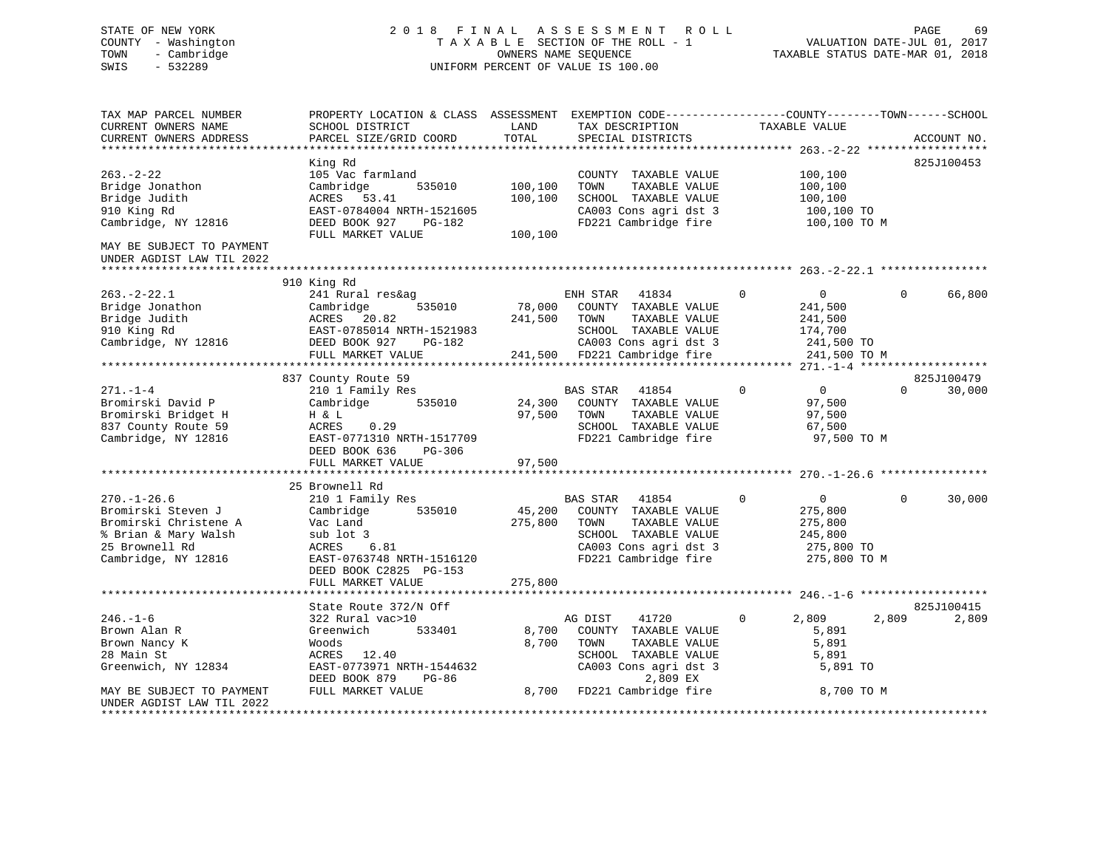# STATE OF NEW YORK 2 0 1 8 F I N A L A S S E S S M E N T R O L L PAGE 69 COUNTY - Washington T A X A B L E SECTION OF THE ROLL - 1 VALUATION DATE-JUL 01, 2017 TOWN - Cambridge OWNERS NAME SEQUENCE TAXABLE STATUS DATE-MAR 01, 2018 SWIS - 532289 UNIFORM PERCENT OF VALUE IS 100.00

| TAX MAP PARCEL NUMBER                                  | PROPERTY LOCATION & CLASS ASSESSMENT EXEMPTION CODE----------------COUNTY-------TOWN------SCHOOL |         |                              |              |                                       |             |
|--------------------------------------------------------|--------------------------------------------------------------------------------------------------|---------|------------------------------|--------------|---------------------------------------|-------------|
| CURRENT OWNERS NAME                                    | SCHOOL DISTRICT                                                                                  | LAND    | TAX DESCRIPTION              |              | TAXABLE VALUE                         |             |
| CURRENT OWNERS ADDRESS                                 | PARCEL SIZE/GRID COORD                                                                           | TOTAL   | SPECIAL DISTRICTS            |              |                                       | ACCOUNT NO. |
|                                                        |                                                                                                  |         | ***************************  |              | **************** 263.-2-22 ********** |             |
|                                                        | King Rd                                                                                          |         |                              |              |                                       | 825J100453  |
| $263 - 2 - 22$                                         | 105 Vac farmland                                                                                 |         | COUNTY TAXABLE VALUE         |              | 100,100                               |             |
| Bridge Jonathon                                        | Cambridge<br>535010                                                                              | 100,100 | TAXABLE VALUE<br>TOWN        |              | 100,100                               |             |
| Bridge Judith                                          | ACRES 53.41                                                                                      | 100,100 | SCHOOL TAXABLE VALUE         |              | 100,100                               |             |
| 910 King Rd                                            | EAST-0784004 NRTH-1521605                                                                        |         | CA003 Cons agri dst 3        |              | 100,100 TO                            |             |
| Cambridge, NY 12816                                    | DEED BOOK 927<br>PG-182                                                                          |         | FD221 Cambridge fire         |              | 100,100 TO M                          |             |
|                                                        | FULL MARKET VALUE                                                                                | 100,100 |                              |              |                                       |             |
| MAY BE SUBJECT TO PAYMENT<br>UNDER AGDIST LAW TIL 2022 |                                                                                                  |         |                              |              |                                       |             |
|                                                        |                                                                                                  |         |                              |              |                                       |             |
|                                                        | 910 King Rd                                                                                      |         |                              |              |                                       |             |
| $263. - 2 - 22.1$                                      | 241 Rural res&ag                                                                                 |         | ENH STAR<br>41834            | $\mathbf{0}$ | $\overline{0}$<br>$\Omega$            | 66,800      |
| Bridge Jonathon                                        | 535010<br>Cambridge                                                                              |         | 78,000 COUNTY TAXABLE VALUE  |              | 241,500                               |             |
| Bridge Judith                                          | ACRES<br>20.82                                                                                   | 241,500 | TOWN<br>TAXABLE VALUE        |              | 241,500                               |             |
| 910 King Rd                                            | EAST-0785014 NRTH-1521983                                                                        |         | SCHOOL TAXABLE VALUE         |              | 174,700                               |             |
| Cambridge, NY 12816                                    | DEED BOOK 927<br>PG-182                                                                          |         | CA003 Cons agri dst 3        |              | 241,500 TO                            |             |
|                                                        | FULL MARKET VALUE                                                                                |         | 241,500 FD221 Cambridge fire |              | 241,500 TO M                          |             |
|                                                        |                                                                                                  |         |                              |              |                                       |             |
|                                                        | 837 County Route 59                                                                              |         |                              |              |                                       | 825J100479  |
| $271. - 1 - 4$                                         | 210 1 Family Res                                                                                 |         | <b>BAS STAR</b><br>41854     | $\Omega$     | $\overline{0}$<br>$\Omega$            | 30,000      |
| Bromirski David P                                      | 535010<br>Cambridge                                                                              |         | 24,300 COUNTY TAXABLE VALUE  |              | 97,500                                |             |
| Bromirski Bridget H                                    | H & L                                                                                            | 97,500  | TAXABLE VALUE<br>TOWN        |              | 97,500                                |             |
| 837 County Route 59                                    | 0.29<br>ACRES                                                                                    |         | SCHOOL TAXABLE VALUE         |              | 67,500                                |             |
| Cambridge, NY 12816                                    | EAST-0771310 NRTH-1517709                                                                        |         | FD221 Cambridge fire         |              | 97,500 TO M                           |             |
|                                                        | DEED BOOK 636<br>PG-306                                                                          |         |                              |              |                                       |             |
|                                                        | FULL MARKET VALUE                                                                                | 97,500  |                              |              |                                       |             |
|                                                        |                                                                                                  |         |                              |              |                                       |             |
|                                                        | 25 Brownell Rd                                                                                   |         |                              |              |                                       |             |
| $270. - 1 - 26.6$                                      | 210 1 Family Res                                                                                 |         | BAS STAR 41854               | $\mathbf 0$  | $\mathbf{0}$<br>$\overline{0}$        | 30,000      |
| Bromirski Steven J                                     | 535010<br>Cambridge                                                                              | 45,200  | COUNTY TAXABLE VALUE         |              | 275,800                               |             |
| Bromirski Christene A                                  | Vac Land                                                                                         | 275,800 | TOWN<br>TAXABLE VALUE        |              | 275,800                               |             |
| % Brian & Mary Walsh                                   | sub lot 3                                                                                        |         | SCHOOL TAXABLE VALUE         |              | 245,800                               |             |
| 25 Brownell Rd                                         | ACRES<br>6.81                                                                                    |         | CA003 Cons agri dst 3        |              | 275,800 TO                            |             |
| Cambridge, NY 12816                                    | EAST-0763748 NRTH-1516120                                                                        |         | FD221 Cambridge fire         |              | 275,800 TO M                          |             |
|                                                        | DEED BOOK C2825 PG-153                                                                           |         |                              |              |                                       |             |
|                                                        |                                                                                                  | 275,800 |                              |              |                                       |             |
|                                                        | FULL MARKET VALUE                                                                                |         |                              |              |                                       |             |
|                                                        | State Route 372/N Off                                                                            |         |                              |              |                                       | 825J100415  |
| $246. - 1 - 6$                                         | 322 Rural vac>10                                                                                 |         | AG DIST<br>41720             | $\Omega$     | 2,809<br>2,809                        | 2,809       |
|                                                        | 533401                                                                                           |         |                              |              |                                       |             |
| Brown Alan R                                           | Greenwich                                                                                        | 8,700   | COUNTY TAXABLE VALUE         |              | 5,891                                 |             |
| Brown Nancy K                                          | Woods                                                                                            | 8,700   | TOWN<br>TAXABLE VALUE        |              | 5,891                                 |             |
| 28 Main St                                             | ACRES 12.40                                                                                      |         | SCHOOL TAXABLE VALUE         |              | 5,891                                 |             |
| Greenwich, NY 12834                                    | EAST-0773971 NRTH-1544632                                                                        |         | CA003 Cons agri dst 3        |              | 5,891 TO                              |             |
|                                                        | DEED BOOK 879<br>PG-86                                                                           |         | 2,809 EX                     |              |                                       |             |
| MAY BE SUBJECT TO PAYMENT                              | FULL MARKET VALUE                                                                                |         | 8,700 FD221 Cambridge fire   |              | 8,700 TO M                            |             |
| UNDER AGDIST LAW TIL 2022<br>******************        |                                                                                                  |         |                              |              |                                       |             |
|                                                        |                                                                                                  |         |                              |              |                                       |             |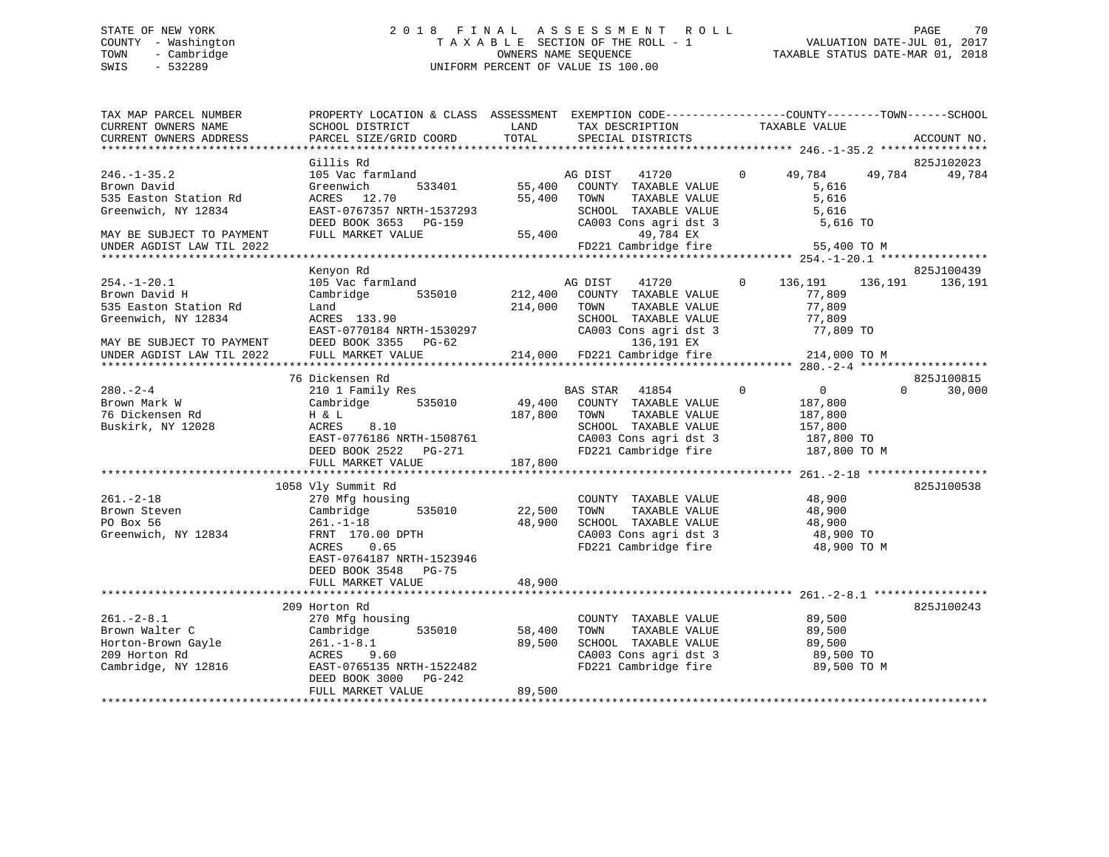# STATE OF NEW YORK 2 0 1 8 F I N A L A S S E S S M E N T R O L L PAGE 70 COUNTY - Washington T A X A B L E SECTION OF THE ROLL - 1 VALUATION DATE-JUL 01, 2017 TOWN - Cambridge OWNERS NAME SEQUENCE TAXABLE STATUS DATE-MAR 01, 2018 SWIS - 532289 UNIFORM PERCENT OF VALUE IS 100.00

| TAX MAP PARCEL NUMBER<br>CURRENT OWNERS NAME<br>CURRENT OWNERS ADDRESS                                                                       | PROPERTY LOCATION & CLASS ASSESSMENT EXEMPTION CODE---------------COUNTY-------TOWN-----SCHOOL<br>SCHOOL DISTRICT<br>PARCEL SIZE/GRID COORD                  | LAND<br>TOTAL                | TAX DESCRIPTION<br>SPECIAL DISTRICTS                                                                                                                                     | TAXABLE VALUE                                                                                | ACCOUNT NO.                      |
|----------------------------------------------------------------------------------------------------------------------------------------------|--------------------------------------------------------------------------------------------------------------------------------------------------------------|------------------------------|--------------------------------------------------------------------------------------------------------------------------------------------------------------------------|----------------------------------------------------------------------------------------------|----------------------------------|
|                                                                                                                                              |                                                                                                                                                              |                              |                                                                                                                                                                          |                                                                                              |                                  |
| $246. - 1 - 35.2$<br>Brown David<br>535 Easton Station Rd<br>Greenwich, NY 12834                                                             | Gillis Rd<br>105 Vac farmland<br>533401<br>Greenwich<br>ACRES 12.70<br>EAST-0767357 NRTH-1537293<br>DEED BOOK 3653 PG-159                                    |                              | AG DIST<br>41720<br>55,400 COUNTY TAXABLE VALUE<br>55,400 TOWN<br>TAXABLE VALUE<br>SCHOOL TAXABLE VALUE<br>CA003 Cons agri dst 3                                         | $\Omega$<br>49,784<br>5,616<br>5,616<br>5,616<br>5,616 TO                                    | 825J102023<br>49,784<br>49,784   |
| MAY BE SUBJECT TO PAYMENT<br>UNDER AGDIST LAW TIL 2022                                                                                       | FULL MARKET VALUE                                                                                                                                            |                              | 55,400<br>49,784 EX<br>FD221 Cambridge fire                                                                                                                              | 55,400 TO M                                                                                  |                                  |
|                                                                                                                                              |                                                                                                                                                              |                              |                                                                                                                                                                          |                                                                                              |                                  |
| $254. - 1 - 20.1$<br>Brown David H<br>535 Easton Station Rd<br>Greenwich, NY 12834<br>MAY BE SUBJECT TO PAYMENT<br>UNDER AGDIST LAW TIL 2022 | Kenyon Rd<br>105 Vac farmland<br>Cambridge 535010<br>Land<br>ACRES 133.90<br>EAST-0770184 NRTH-1530297<br>DEED BOOK 3355 PG-62<br>FULL MARKET VALUE          | 214,000                      | AG DIST<br>41720<br>212,400 COUNTY TAXABLE VALUE<br>TOWN<br>TAXABLE VALUE<br>SCHOOL TAXABLE VALUE<br>CA003 Cons agri dst 3<br>136,191 EX<br>214,000 FD221 Cambridge fire | $\overline{0}$<br>136,191 136,191<br>77,809<br>77,809<br>77,809<br>77,809 TO<br>214,000 TO M | 825J100439<br>136,191            |
|                                                                                                                                              |                                                                                                                                                              |                              |                                                                                                                                                                          |                                                                                              |                                  |
| $280 - 2 - 4$<br>Brown Mark W<br>76 Dickensen Rd<br>Buskirk, NY 12028                                                                        | 76 Dickensen Rd<br>210 1 Family Res<br>Cambridge 535010<br>H & L<br>ACRES<br>8.10<br>EAST-0776186 NRTH-1508761<br>DEED BOOK 2522 PG-271<br>FULL MARKET VALUE | 49,400<br>187,800<br>187,800 | BAS STAR 41854<br>COUNTY TAXABLE VALUE<br>TAXABLE VALUE<br>TOWN<br>SCHOOL TAXABLE VALUE<br>CA003 Cons agri dst 3<br>FD221 Cambridge fire                                 | $\Omega$<br>$\overline{0}$<br>187,800<br>187,800<br>157,800<br>187,800 TO<br>187,800 TO M    | 825J100815<br>$\Omega$<br>30,000 |
|                                                                                                                                              | 1058 Vly Summit Rd                                                                                                                                           |                              |                                                                                                                                                                          |                                                                                              | 825J100538                       |
| $261. - 2 - 18$<br>Brown Steven<br>PO Box 56<br>Greenwich, NY 12834                                                                          | 270 Mfg housing<br>535010<br>Cambridge<br>$261. - 1 - 18$<br>FRNT 170.00 DPTH<br>ACRES<br>0.65<br>EAST-0764187 NRTH-1523946<br>DEED BOOK 3548 PG-75          | 22,500<br>48,900             | COUNTY TAXABLE VALUE<br>TAXABLE VALUE<br>TOWN<br>SCHOOL TAXABLE VALUE<br>CA003 Cons agri dst 3<br>FD221 Cambridge fire                                                   | 48,900<br>48,900<br>48,900<br>48,900 TO<br>48,900 TO M                                       |                                  |
|                                                                                                                                              | FULL MARKET VALUE                                                                                                                                            | 48,900                       |                                                                                                                                                                          |                                                                                              |                                  |
| $261. - 2 - 8.1$<br>Brown Walter C<br>Horton-Brown Gayle<br>209 Horton Rd<br>Cambridge, NY 12816                                             | 209 Horton Rd<br>270 Mfg housing<br>Cambridge 535010<br>$261. - 1 - 8.1$<br>ACRES 9.60<br>EAST-0765135 NRTH-1522482                                          | 58,400<br>89,500             | COUNTY TAXABLE VALUE<br>TOWN<br>TAXABLE VALUE<br>SCHOOL TAXABLE VALUE<br>CA003 Cons agri dst 3<br>FD221 Cambridge fire                                                   | 89,500<br>89,500<br>89,500<br>89,500 TO<br>89,500 TO M                                       | 825J100243                       |
|                                                                                                                                              | DEED BOOK 3000 PG-242<br>FULL MARKET VALUE                                                                                                                   | 89,500                       |                                                                                                                                                                          |                                                                                              |                                  |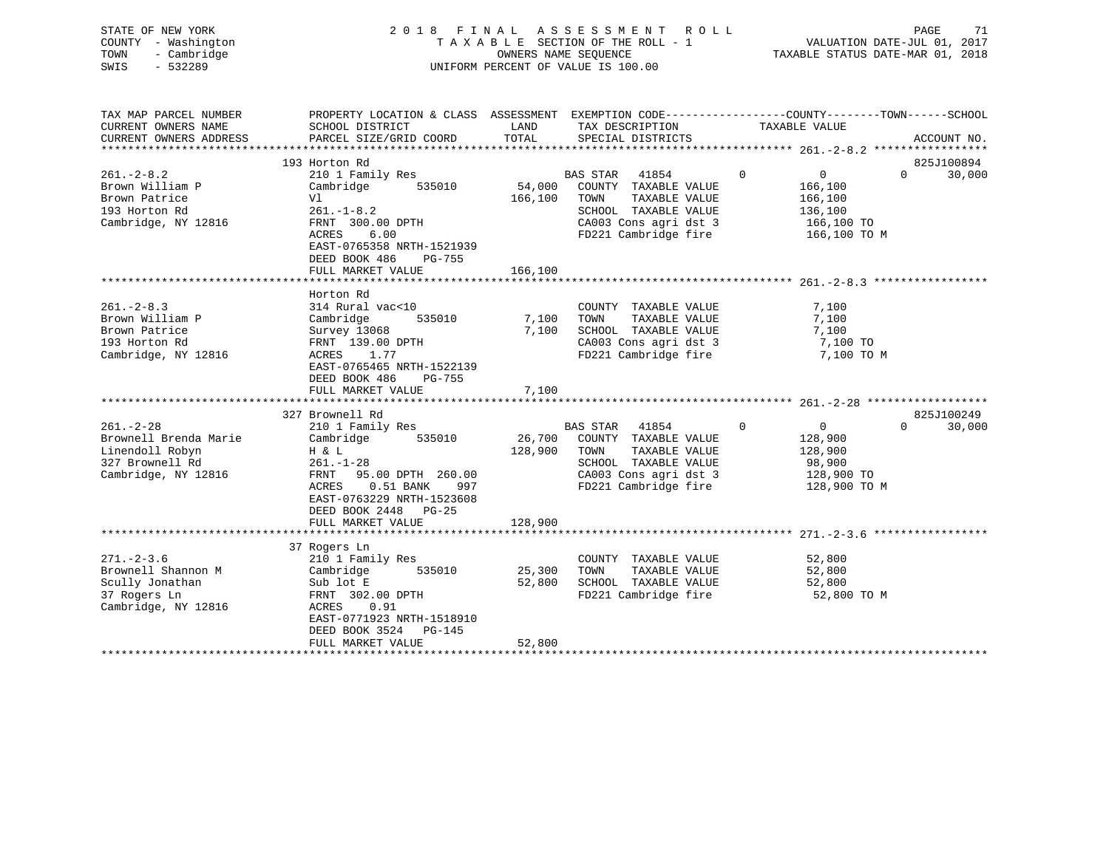| STATE OF NEW YORK<br>COUNTY - Washington<br>- Cambridge<br>TOWN<br>$-532289$<br>SWIS                  |                                                                                                                                                                                                                              |                              | 2018 FINAL ASSESSMENT ROLL<br>TAXABLE SECTION OF THE ROLL - 1<br>OWNERS NAME SEQUENCE<br>UNIFORM PERCENT OF VALUE IS 100.00              | PAGE<br>71<br>VALUATION DATE-JUL 01, 2017<br>TAXABLE STATUS DATE-MAR 01, 2018                                                    |
|-------------------------------------------------------------------------------------------------------|------------------------------------------------------------------------------------------------------------------------------------------------------------------------------------------------------------------------------|------------------------------|------------------------------------------------------------------------------------------------------------------------------------------|----------------------------------------------------------------------------------------------------------------------------------|
| TAX MAP PARCEL NUMBER<br>CURRENT OWNERS NAME<br>CURRENT OWNERS ADDRESS                                | SCHOOL DISTRICT<br>PARCEL SIZE/GRID COORD                                                                                                                                                                                    | LAND<br>TOTAL                | TAX DESCRIPTION<br>SPECIAL DISTRICTS                                                                                                     | PROPERTY LOCATION & CLASS ASSESSMENT EXEMPTION CODE----------------COUNTY-------TOWN------SCHOOL<br>TAXABLE VALUE<br>ACCOUNT NO. |
| $261 - 2 - 8.2$<br>Brown William P<br>Brown Patrice<br>193 Horton Rd<br>Cambridge, NY 12816           | 193 Horton Rd<br>210 1 Family Res<br>Cambridge<br>535010<br>Vl<br>$261. - 1 - 8.2$<br>FRNT 300.00 DPTH<br>ACRES<br>6.00<br>EAST-0765358 NRTH-1521939<br>DEED BOOK 486<br>PG-755<br>FULL MARKET VALUE                         | 54,000<br>166,100<br>166,100 | BAS STAR 41854<br>COUNTY TAXABLE VALUE<br>TOWN<br>TAXABLE VALUE<br>SCHOOL TAXABLE VALUE<br>CA003 Cons agri dst 3<br>FD221 Cambridge fire | 825J100894<br>$\Omega$<br>$\mathbf{0}$<br>$\Omega$<br>30,000<br>166,100<br>166,100<br>136,100<br>166,100 TO<br>166,100 TO M      |
| $261 - 2 - 8.3$<br>Brown William P<br>Brown Patrice<br>193 Horton Rd<br>Cambridge, NY 12816           | Horton Rd<br>314 Rural vac<10<br>Cambridge<br>535010<br>Survey 13068<br>FRNT 139.00 DPTH<br>ACRES 1.77<br>EAST-0765465 NRTH-1522139<br>DEED BOOK 486<br>PG-755<br>FULL MARKET VALUE                                          | 7,100<br>7,100<br>7,100      | COUNTY TAXABLE VALUE<br>TOWN<br>TAXABLE VALUE<br>SCHOOL TAXABLE VALUE<br>CA003 Cons agri dst 3<br>FD221 Cambridge fire                   | 7,100<br>7,100<br>7,100<br>7,100 TO<br>7,100 TO M                                                                                |
| $261. - 2 - 28$<br>Brownell Brenda Marie<br>Linendoll Robyn<br>327 Brownell Rd<br>Cambridge, NY 12816 | 327 Brownell Rd<br>210 1 Family Res<br>Cambridge<br>535010<br>H & L<br>$261. - 1 - 28$<br>FRNT<br>95.00 DPTH 260.00<br>$0.51$ BANK<br>ACRES<br>997<br>EAST-0763229 NRTH-1523608<br>DEED BOOK 2448 PG-25<br>FULL MARKET VALUE | 26,700<br>128,900<br>128,900 | BAS STAR 41854<br>COUNTY TAXABLE VALUE<br>TOWN<br>TAXABLE VALUE<br>SCHOOL TAXABLE VALUE<br>CA003 Cons agri dst 3<br>FD221 Cambridge fire | 825J100249<br>$\mathbf 0$<br>$\overline{0}$<br>$\Omega$<br>30,000<br>128,900<br>128,900<br>98,900<br>128,900 TO<br>128,900 TO M  |
| $271 - 2 - 3.6$<br>Brownell Shannon M<br>Scully Jonathan<br>37 Rogers Ln<br>Cambridge, NY 12816       | 37 Rogers Ln<br>210 1 Family Res<br>Cambridge<br>535010<br>Sub lot E<br>FRNT 302.00 DPTH<br>ACRES<br>0.91<br>EAST-0771923 NRTH-1518910<br>DEED BOOK 3524<br>PG-145<br>FULL MARKET VALUE                                      | 25,300<br>52,800<br>52,800   | COUNTY TAXABLE VALUE<br>TAXABLE VALUE<br>TOWN<br>SCHOOL TAXABLE VALUE<br>FD221 Cambridge fire                                            | 52,800<br>52,800<br>52,800<br>52,800 TO M                                                                                        |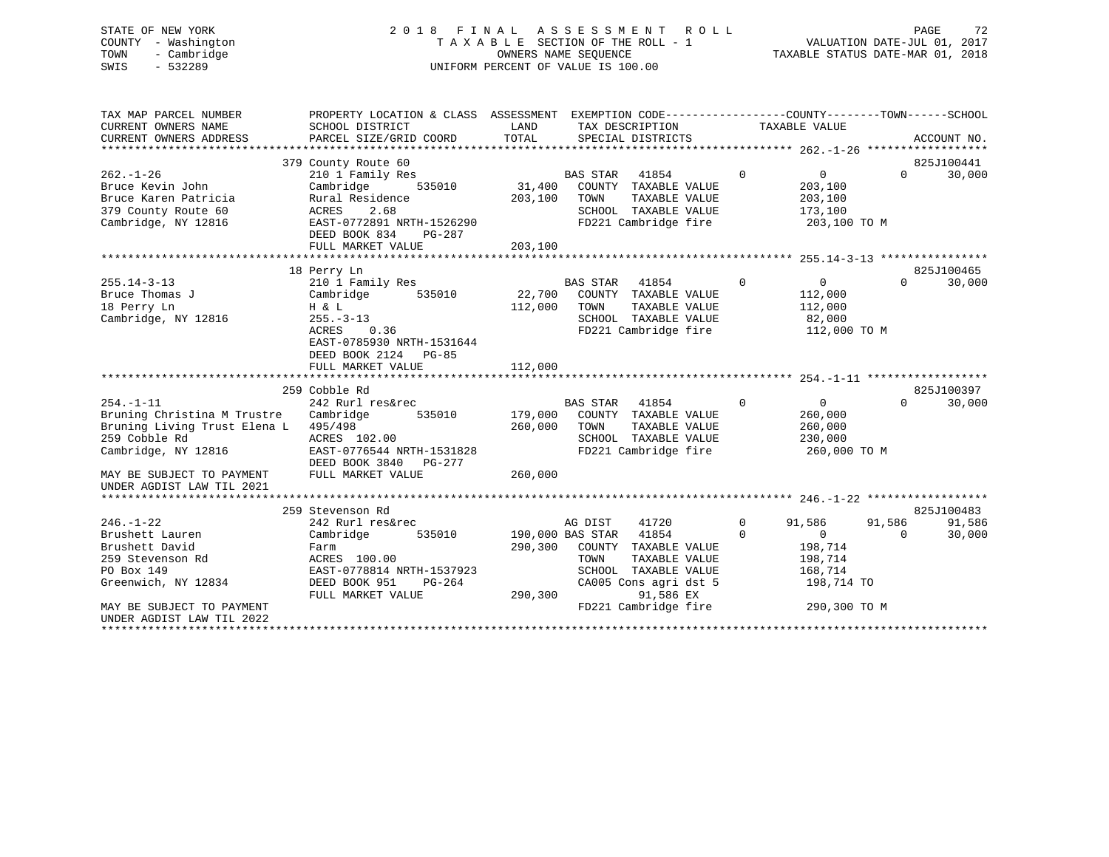# STATE OF NEW YORK 2 0 1 8 F I N A L A S S E S S M E N T R O L L PAGE 72 COUNTY - Washington T A X A B L E SECTION OF THE ROLL - 1 VALUATION DATE-JUL 01, 2017 TOWN - Cambridge OWNERS NAME SEQUENCE TAXABLE STATUS DATE-MAR 01, 2018 SWIS - 532289 UNIFORM PERCENT OF VALUE IS 100.00

| TAX MAP PARCEL NUMBER<br>CURRENT OWNERS NAME<br>CURRENT OWNERS ADDRESS | PROPERTY LOCATION & CLASS ASSESSMENT EXEMPTION CODE----------------COUNTY-------TOWN------SCHOOL<br>SCHOOL DISTRICT<br>PARCEL SIZE/GRID COORD | LAND<br>TOTAL          | TAX DESCRIPTION<br>SPECIAL DISTRICTS |                                              |                | TAXABLE VALUE           |          | ACCOUNT NO.          |
|------------------------------------------------------------------------|-----------------------------------------------------------------------------------------------------------------------------------------------|------------------------|--------------------------------------|----------------------------------------------|----------------|-------------------------|----------|----------------------|
|                                                                        |                                                                                                                                               |                        |                                      |                                              |                |                         |          |                      |
| $262. - 1 - 26$<br>Bruce Kevin John                                    | 379 County Route 60<br>210 1 Family Res<br>Cambridge                                                                                          |                        | BAS STAR 41854                       | 535010 31,400 COUNTY TAXABLE VALUE           | $\Omega$       | $\Omega$<br>203,100     | $\Omega$ | 825J100441<br>30,000 |
| Bruce Karen Patricia                                                   | Rural Residence                                                                                                                               | 203,100                | TOWN                                 | TAXABLE VALUE                                |                | 203,100                 |          |                      |
| 379 County Route 60<br>Cambridge, NY 12816                             | ACRES 2.68<br>EAST-0772891 NRTH-1526290                                                                                                       |                        |                                      | SCHOOL TAXABLE VALUE<br>FD221 Cambridge fire |                | 173,100<br>203,100 TO M |          |                      |
|                                                                        | DEED BOOK 834<br>PG-287<br>FULL MARKET VALUE                                                                                                  | 203,100                |                                      |                                              |                |                         |          |                      |
|                                                                        |                                                                                                                                               |                        |                                      |                                              |                |                         |          |                      |
|                                                                        | 18 Perry Ln                                                                                                                                   |                        |                                      |                                              |                |                         |          | 825J100465           |
| $255.14 - 3 - 13$                                                      | 210 1 Family Res                                                                                                                              |                        | BAS STAR                             | 41854                                        | $\overline{0}$ | $\overline{0}$          | $\Omega$ | 30,000               |
| Bruce Thomas J                                                         | 535010<br>Cambridge                                                                                                                           |                        |                                      | 22,700 COUNTY TAXABLE VALUE                  |                | 112,000                 |          |                      |
| 18 Perry Ln                                                            | H & L                                                                                                                                         | 112,000                | TOWN                                 | TAXABLE VALUE                                |                | 112,000                 |          |                      |
| Cambridge, NY 12816                                                    | $255. - 3 - 13$                                                                                                                               |                        |                                      | SCHOOL TAXABLE VALUE                         |                | 82,000                  |          |                      |
|                                                                        | 0.36<br>ACRES                                                                                                                                 |                        |                                      | FD221 Cambridge fire                         |                | 112,000 TO M            |          |                      |
|                                                                        | EAST-0785930 NRTH-1531644                                                                                                                     |                        |                                      |                                              |                |                         |          |                      |
|                                                                        | DEED BOOK 2124 PG-85                                                                                                                          |                        |                                      |                                              |                |                         |          |                      |
|                                                                        | FULL MARKET VALUE                                                                                                                             | 112,000                |                                      |                                              |                |                         |          |                      |
|                                                                        |                                                                                                                                               |                        |                                      |                                              |                |                         |          |                      |
|                                                                        | 259 Cobble Rd                                                                                                                                 |                        |                                      |                                              |                |                         |          | 825J100397           |
| $254. -1 - 11$                                                         | 242 Rurl res&rec                                                                                                                              |                        | <b>BAS STAR</b>                      | 41854                                        | $\overline{0}$ | $\overline{0}$          | $\Omega$ | 30,000               |
| Bruning Christina M Trustre Cambridge 535010                           |                                                                                                                                               |                        |                                      | 179,000 COUNTY TAXABLE VALUE                 |                | 260,000                 |          |                      |
| Bruning Living Trust Elena L 495/498                                   |                                                                                                                                               | 260,000 TOWN           |                                      | TAXABLE VALUE                                |                | 260,000                 |          |                      |
| 259 Cobble Rd                                                          | ACRES 102.00                                                                                                                                  |                        |                                      | SCHOOL TAXABLE VALUE                         |                | 230,000                 |          |                      |
| Cambridge, NY 12816                                                    | EAST-0776544 NRTH-1531828<br>DEED BOOK 3840 PG-277                                                                                            |                        |                                      | FD221 Cambridge fire                         |                | 260,000 TO M            |          |                      |
| MAY BE SUBJECT TO PAYMENT                                              | FULL MARKET VALUE                                                                                                                             | 260,000                |                                      |                                              |                |                         |          |                      |
| UNDER AGDIST LAW TIL 2021                                              |                                                                                                                                               |                        |                                      |                                              |                |                         |          |                      |
|                                                                        |                                                                                                                                               |                        |                                      |                                              |                |                         |          |                      |
|                                                                        | 259 Stevenson Rd                                                                                                                              |                        |                                      |                                              |                |                         |          | 825J100483           |
| $246. - 1 - 22$                                                        | 242 Rurl res&rec                                                                                                                              |                        | AG DIST                              | 41720                                        | $\mathbf{0}$   | 91,586                  | 91,586   | 91,586               |
| Brushett Lauren                                                        | Cambridge<br>535010                                                                                                                           | 190,000 BAS STAR 41854 |                                      |                                              | $\Omega$       | $\overline{0}$          | $\Omega$ | 30,000               |
| Brushett David                                                         | Farm                                                                                                                                          | 290,300                |                                      | COUNTY TAXABLE VALUE                         |                | 198,714                 |          |                      |
| 259 Stevenson Rd                                                       | ACRES 100.00                                                                                                                                  |                        | TOWN                                 | TAXABLE VALUE                                |                | 198,714                 |          |                      |
| PO Box 149                                                             | EAST-0778814 NRTH-1537923                                                                                                                     |                        |                                      | SCHOOL TAXABLE VALUE                         |                | 168,714                 |          |                      |
| Greenwich, NY 12834                                                    | DEED BOOK 951<br>PG-264                                                                                                                       |                        |                                      | CA005 Cons agri dst 5                        |                | 198,714 TO              |          |                      |
|                                                                        | FULL MARKET VALUE                                                                                                                             | 290,300                |                                      | 91,586 EX                                    |                |                         |          |                      |
| MAY BE SUBJECT TO PAYMENT                                              |                                                                                                                                               |                        |                                      | FD221 Cambridge fire                         |                | 290,300 TO M            |          |                      |
| UNDER AGDIST LAW TIL 2022                                              |                                                                                                                                               |                        |                                      |                                              |                |                         |          |                      |
|                                                                        |                                                                                                                                               |                        |                                      |                                              |                |                         |          |                      |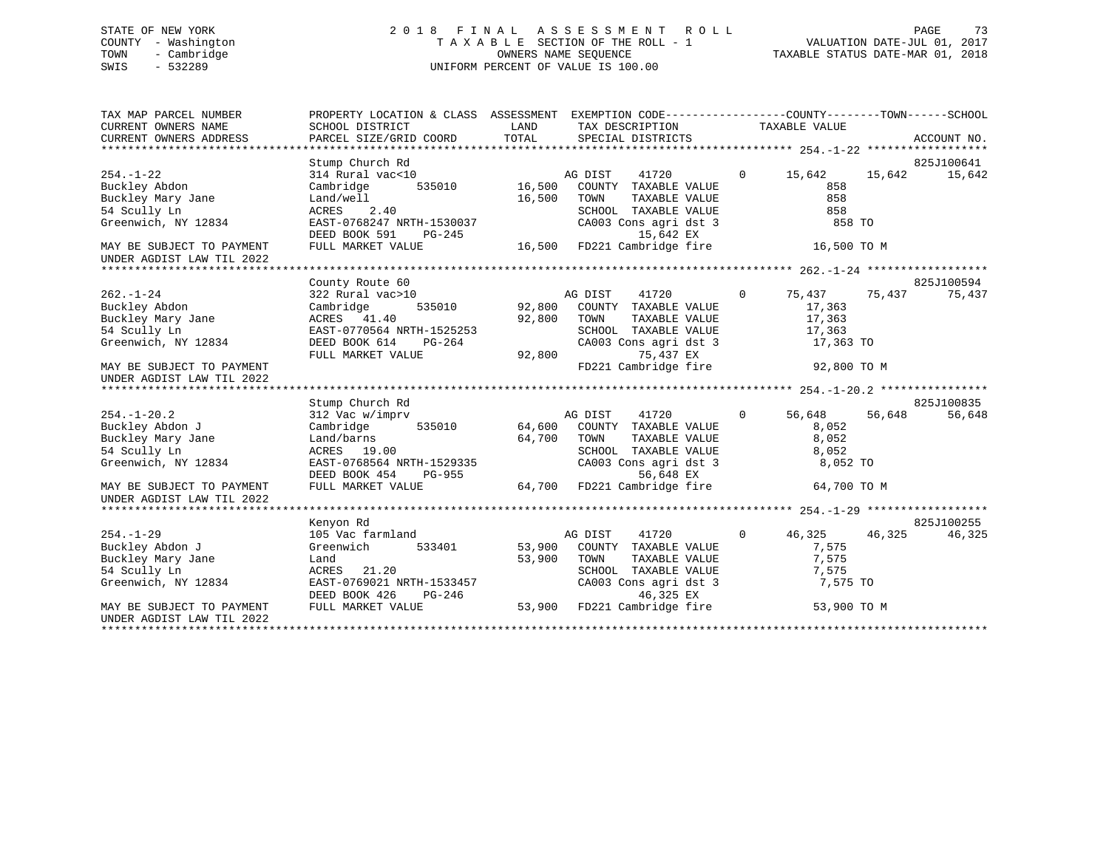# STATE OF NEW YORK 2 0 1 8 F I N A L A S S E S S M E N T R O L L PAGE 73 COUNTY - Washington T A X A B L E SECTION OF THE ROLL - 1 VALUATION DATE-JUL 01, 2017 TOWN - Cambridge OWNERS NAME SEQUENCE TAXABLE STATUS DATE-MAR 01, 2018 SWIS - 532289 UNIFORM PERCENT OF VALUE IS 100.00

| TAX MAP PARCEL NUMBER<br>CURRENT OWNERS NAME<br>CURRENT OWNERS ADDRESS | PROPERTY LOCATION & CLASS ASSESSMENT EXEMPTION CODE---------------COUNTY-------TOWN-----SCHOOL<br>SCHOOL DISTRICT<br>PARCEL SIZE/GRID COORD | LAND<br>TOTAL | TAX DESCRIPTION TAXABLE VALUE<br>SPECIAL DISTRICTS |                |             |        | ACCOUNT NO. |
|------------------------------------------------------------------------|---------------------------------------------------------------------------------------------------------------------------------------------|---------------|----------------------------------------------------|----------------|-------------|--------|-------------|
|                                                                        |                                                                                                                                             |               |                                                    |                |             |        |             |
|                                                                        | Stump Church Rd                                                                                                                             |               |                                                    |                |             |        | 825J100641  |
| $254. - 1 - 22$                                                        | 314 Rural vac<10                                                                                                                            |               | AG DIST<br>41720                                   | $\mathbf{0}$   | 15,642      | 15,642 | 15,642      |
| Buckley Abdon                                                          | 535010<br>Cambridge                                                                                                                         | 16,500        | COUNTY TAXABLE VALUE                               |                | 858         |        |             |
| Buckley Mary Jane                                                      | Land/well                                                                                                                                   | 16,500        | TAXABLE VALUE<br>TOWN                              |                | 858         |        |             |
| 54 Scully Ln                                                           | ACRES 2.40                                                                                                                                  |               | SCHOOL TAXABLE VALUE                               |                | 858         |        |             |
| Greenwich, NY 12834                                                    | EAST-0768247 NRTH-1530037<br>DEED BOOK 591<br>PG-245                                                                                        |               | CA003 Cons agri dst 3<br>15,642 EX                 |                | 858 TO      |        |             |
| MAY BE SUBJECT TO PAYMENT                                              | FULL MARKET VALUE                                                                                                                           | 16,500        | FD221 Cambridge fire                               |                | 16,500 TO M |        |             |
| UNDER AGDIST LAW TIL 2022                                              |                                                                                                                                             |               |                                                    |                |             |        |             |
|                                                                        |                                                                                                                                             |               |                                                    |                |             |        |             |
|                                                                        | County Route 60                                                                                                                             |               |                                                    |                |             |        | 825J100594  |
| $262. - 1 - 24$                                                        | 322 Rural vac>10                                                                                                                            |               | AG DIST<br>41720                                   | $\overline{0}$ | 75,437      | 75,437 | 75,437      |
| Buckley Abdon                                                          | 535010<br>Cambridge                                                                                                                         | 92,800        | COUNTY TAXABLE VALUE                               |                | 17,363      |        |             |
| Buckley Mary Jane                                                      | ACRES 41.40                                                                                                                                 | 92,800        | TOWN<br>TAXABLE VALUE                              |                | 17,363      |        |             |
| 54 Scully Ln                                                           | EAST-0770564 NRTH-1525253                                                                                                                   |               | SCHOOL TAXABLE VALUE                               |                | 17,363      |        |             |
| Greenwich, NY 12834                                                    | DEED BOOK 614<br>PG-264                                                                                                                     |               | CA003 Cons agri dst 3                              |                | 17,363 TO   |        |             |
|                                                                        | FULL MARKET VALUE                                                                                                                           | 92,800        | 75,437 EX                                          |                |             |        |             |
| MAY BE SUBJECT TO PAYMENT<br>UNDER AGDIST LAW TIL 2022                 |                                                                                                                                             |               | FD221 Cambridge fire                               |                | 92,800 TO M |        |             |
|                                                                        |                                                                                                                                             |               |                                                    |                |             |        |             |
|                                                                        | Stump Church Rd                                                                                                                             |               |                                                    |                |             |        | 825J100835  |
| $254. - 1 - 20.2$                                                      | 312 Vac w/imprv                                                                                                                             |               | AG DIST<br>41720                                   | $\mathbf{0}$   | 56,648      | 56,648 | 56,648      |
| Buckley Abdon J                                                        | 535010<br>Cambridge                                                                                                                         |               | 64,600 COUNTY TAXABLE VALUE                        |                | 8,052       |        |             |
| Buckley Mary Jane                                                      | Land/barns                                                                                                                                  | 64,700        | TOWN<br>TAXABLE VALUE                              |                | 8,052       |        |             |
| 54 Scully Ln                                                           | ACRES 19.00                                                                                                                                 |               | SCHOOL TAXABLE VALUE                               |                | 8,052       |        |             |
| Greenwich, NY 12834                                                    | EAST-0768564 NRTH-1529335                                                                                                                   |               | CA003 Cons agri dst 3                              |                | 8,052 TO    |        |             |
|                                                                        | DEED BOOK 454<br>PG-955                                                                                                                     |               | 56,648 EX                                          |                |             |        |             |
| MAY BE SUBJECT TO PAYMENT<br>UNDER AGDIST LAW TIL 2022                 | FULL MARKET VALUE                                                                                                                           | 64,700        | FD221 Cambridge fire                               |                | 64,700 TO M |        |             |
|                                                                        |                                                                                                                                             |               |                                                    |                |             |        |             |
|                                                                        | Kenyon Rd                                                                                                                                   |               |                                                    |                |             |        | 825J100255  |
| $254. - 1 - 29$                                                        | 105 Vac farmland                                                                                                                            |               | AG DIST<br>41720                                   | $\circ$        | 46,325      | 46,325 | 46,325      |
| Buckley Abdon J                                                        | 533401<br>Greenwich                                                                                                                         | 53,900        | COUNTY TAXABLE VALUE                               |                | 7,575       |        |             |
| Buckley Mary Jane                                                      | Land                                                                                                                                        | 53,900        | TOWN<br>TAXABLE VALUE                              |                | 7,575       |        |             |
| 54 Scully Ln                                                           | ACRES 21.20                                                                                                                                 |               | SCHOOL TAXABLE VALUE                               |                | 7,575       |        |             |
| Greenwich, NY 12834                                                    | EAST-0769021 NRTH-1533457<br>DEED BOOK 426<br>PG-246                                                                                        |               | CA003 Cons agri dst 3<br>46,325 EX                 |                | 7,575 TO    |        |             |
| MAY BE SUBJECT TO PAYMENT<br>UNDER AGDIST LAW TIL 2022                 | FULL MARKET VALUE                                                                                                                           |               | 46,325 EX<br>53,900 FD221 Cambridge fire           |                | 53,900 TO M |        |             |
|                                                                        |                                                                                                                                             |               |                                                    |                |             |        |             |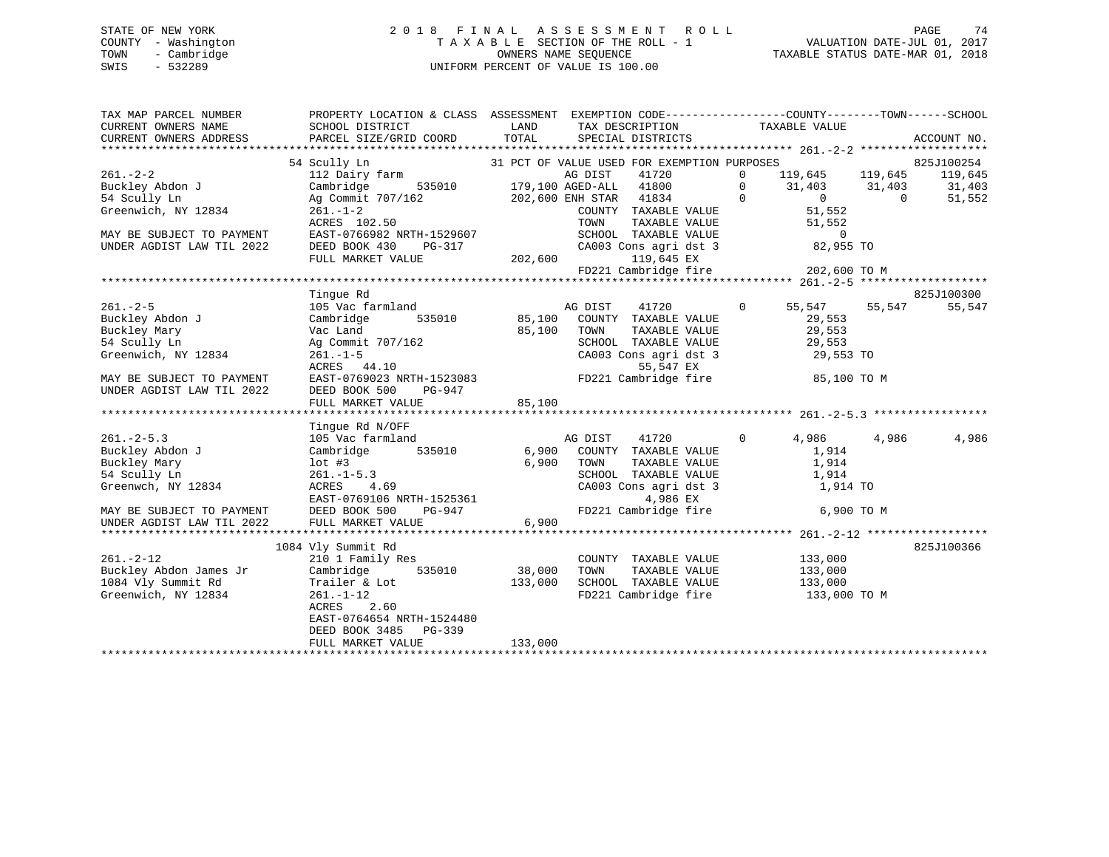# STATE OF NEW YORK 2 0 1 8 F I N A L A S S E S S M E N T R O L L PAGE 74 COUNTY - Washington T A X A B L E SECTION OF THE ROLL - 1 VALUATION DATE-JUL 01, 2017 TOWN - Cambridge OWNERS NAME SEQUENCE TAXABLE STATUS DATE-MAR 01, 2018 SWIS - 532289 UNIFORM PERCENT OF VALUE IS 100.00

| TAX MAP PARCEL NUMBER                   | PROPERTY LOCATION & CLASS ASSESSMENT EXEMPTION CODE---------------COUNTY-------TOWN-----SCHOOL                                                                                                                                    |                   |                                                                |                                              |       |             |
|-----------------------------------------|-----------------------------------------------------------------------------------------------------------------------------------------------------------------------------------------------------------------------------------|-------------------|----------------------------------------------------------------|----------------------------------------------|-------|-------------|
| CURRENT OWNERS NAME                     | SCHOOL DISTRICT                                                                                                                                                                                                                   | LAND              | TAX DESCRIPTION TAXABLE VALUE                                  |                                              |       |             |
| CURRENT OWNERS ADDRESS                  | PARCEL SIZE/GRID COORD                                                                                                                                                                                                            | TOTAL             | SPECIAL DISTRICTS                                              |                                              |       | ACCOUNT NO. |
|                                         |                                                                                                                                                                                                                                   |                   |                                                                |                                              |       |             |
|                                         | 54 Scully Ln<br>31 PCT OF VALUE USED FOR EACHING ACT 119,645 119,645 119,045 119,045<br>202,600 ENH STAR 41800 0 31,403 31,403 31,403<br>202,600 ENH STAR 41834 0 0 0 51,552<br>202,600 ENH STAR 41834 0 0 0 51,552<br>202,71 1.2 |                   |                                                                |                                              |       |             |
| $261 - 2 - 2$                           |                                                                                                                                                                                                                                   |                   |                                                                |                                              |       |             |
| Buckley Abdon J Cambridge               |                                                                                                                                                                                                                                   |                   |                                                                |                                              |       |             |
| 54 Scully Ln                            |                                                                                                                                                                                                                                   |                   |                                                                |                                              |       |             |
| Greenwich, NY 12834                     |                                                                                                                                                                                                                                   |                   |                                                                |                                              |       |             |
|                                         |                                                                                                                                                                                                                                   |                   |                                                                |                                              |       |             |
| MAY BE SUBJECT TO PAYMENT               |                                                                                                                                                                                                                                   |                   |                                                                |                                              |       |             |
| UNDER AGDIST LAW TIL 2022               | 201. – 202.50<br>EAST-0766982 NRTH-1529607<br>DEED BOOK 430 PG-317 CA003 Cons agri dst 3 32,955 TO                                                                                                                                |                   |                                                                |                                              |       |             |
|                                         | FULL MARKET VALUE                                                                                                                                                                                                                 | 202,600           | 119,645 EX                                                     |                                              |       |             |
|                                         |                                                                                                                                                                                                                                   |                   | FD221 Cambridge fire                                           | 202,600 TO M                                 |       |             |
|                                         |                                                                                                                                                                                                                                   |                   |                                                                |                                              |       |             |
|                                         | Tinque Rd                                                                                                                                                                                                                         |                   |                                                                |                                              |       | 825J100300  |
| $261. - 2 - 5$                          | $105$ Vac farmland $105$ Vac farmland $105$ Vac farmland $105$ Vac farmland $105$ Vac farmland $100$ Vac $100$ Vac $100$ Vac $100$ Vac $100$ Vac $100$ Vac $100$ Vac $100$ Vac $100$ Vac $100$ Vac $100$ Vac $100$ Vac $100$      |                   |                                                                |                                              |       | 55,547      |
| Buckley Abdon J                         | Cambridge                                                                                                                                                                                                                         |                   | 535010 85,100 COUNTY TAXABLE VALUE 29,553                      |                                              |       |             |
| Buckley Mary                            | Vac Land<br>Ag Commit 707/162                                                                                                                                                                                                     |                   |                                                                | TAXABLE VALUE 29,553<br>TAXABLE VALUE 29,553 |       |             |
| 54 Scully Ln                            |                                                                                                                                                                                                                                   |                   |                                                                |                                              |       |             |
| Greenwich, NY 12834                     | $261. - 1 - 5$                                                                                                                                                                                                                    |                   | SCHOOL TAXABLE VALUE 29,553<br>CA003 Cons agri dst 3 29,553 TO |                                              |       |             |
|                                         | ACRES 44.10                                                                                                                                                                                                                       |                   | 55,547 EX                                                      |                                              |       |             |
| MAY BE SUBJECT TO PAYMENT               | $7/162$<br>$85,100$ COUNY<br>$85,100$ TOWN<br>SCHOOL<br>CA003<br>CA003<br>CA003<br>EAST-0769023 NRTH-1523083 FD221 Cambridge fire 35,100 TO M                                                                                     |                   |                                                                |                                              |       |             |
| UNDER AGDIST LAW TIL 2022               | DEED BOOK 500<br>PG-947                                                                                                                                                                                                           |                   |                                                                |                                              |       |             |
|                                         | FULL MARKET VALUE                                                                                                                                                                                                                 | 85,100            |                                                                |                                              |       |             |
|                                         |                                                                                                                                                                                                                                   |                   |                                                                |                                              |       |             |
|                                         | Tingue Rd N/OFF                                                                                                                                                                                                                   |                   |                                                                |                                              |       |             |
| $261 - 2 - 5.3$                         | Tingue Rd N/OFF<br>105 Vac farmland                                                                                                                                                                                               |                   | AG DIST 41720 0 4,986                                          |                                              | 4,986 | 4,986       |
| Buckley Abdon J                         | Cambridge 535010                                                                                                                                                                                                                  |                   | 6,900 COUNTY TAXABLE VALUE                                     | 1,914                                        |       |             |
| Buckley Mary                            | lot #3<br>261.-1-5.3<br>ACRES 4.69                                                                                                                                                                                                |                   | 6,900 TOWN                                                     | TAXABLE VALUE 1,914                          |       |             |
| 54 Scully Ln                            |                                                                                                                                                                                                                                   |                   | SCHOOL TAXABLE VALUE 1,914<br>CA003 Cons agri dst 3 1,914 TO   |                                              |       |             |
| Greenwch, NY 12834                      |                                                                                                                                                                                                                                   |                   |                                                                |                                              |       |             |
|                                         | EAST-0769106 NRTH-1525361<br>DEED BOOK 500 PG-947                                                                                                                                                                                 |                   | 4,986 EX                                                       |                                              |       |             |
| MAY BE SUBJECT TO PAYMENT DEED BOOK 500 |                                                                                                                                                                                                                                   |                   | FD221 Cambridge fire                                           | 6,900 TO M                                   |       |             |
| UNDER AGDIST LAW TIL 2022               | FULL MARKET VALUE                                                                                                                                                                                                                 | 6,900             |                                                                |                                              |       |             |
|                                         |                                                                                                                                                                                                                                   |                   |                                                                |                                              |       |             |
|                                         | 1084 Vly Summit Rd                                                                                                                                                                                                                |                   |                                                                |                                              |       | 825J100366  |
|                                         |                                                                                                                                                                                                                                   |                   | COUNTY TAXABLE VALUE 133,000                                   |                                              |       |             |
|                                         | 535010                                                                                                                                                                                                                            | 38,000<br>133,000 | TAXABLE VALUE<br>TOWN                                          | 133,000<br>133,000                           |       |             |
|                                         | $261.-2-12$<br>Buckley Abdon James Jr Cambridge 535010<br>Cambridge 535010<br>Cambridge 535010<br>$210 + 1$<br>Cambridge 535010                                                                                                   |                   | SCHOOL TAXABLE VALUE                                           |                                              |       |             |
|                                         |                                                                                                                                                                                                                                   |                   | FD221 Cambridge fire 133,000 TO M                              |                                              |       |             |
|                                         | ACRES 2.60                                                                                                                                                                                                                        |                   |                                                                |                                              |       |             |
|                                         | EAST-0764654 NRTH-1524480                                                                                                                                                                                                         |                   |                                                                |                                              |       |             |
|                                         | DEED BOOK 3485 PG-339                                                                                                                                                                                                             |                   |                                                                |                                              |       |             |
|                                         | FULL MARKET VALUE                                                                                                                                                                                                                 | 133,000           |                                                                |                                              |       |             |
|                                         |                                                                                                                                                                                                                                   |                   |                                                                |                                              |       |             |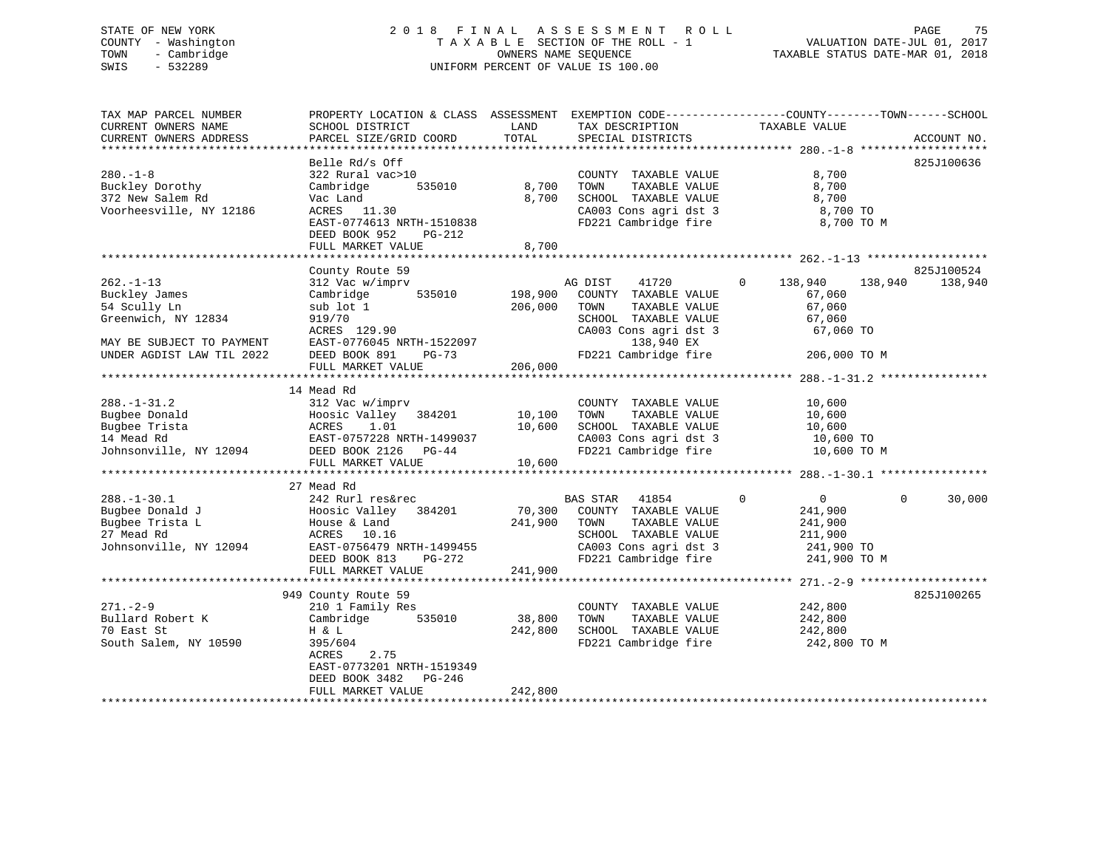# STATE OF NEW YORK 2 0 1 8 F I N A L A S S E S S M E N T R O L L PAGE 75 COUNTY - Washington T A X A B L E SECTION OF THE ROLL - 1 VALUATION DATE-JUL 01, 2017 TOWN - Cambridge OWNERS NAME SEQUENCE TAXABLE STATUS DATE-MAR 01, 2018 SWIS - 532289 UNIFORM PERCENT OF VALUE IS 100.00

| TAX MAP PARCEL NUMBER                 | PROPERTY LOCATION & CLASS ASSESSMENT |         |                       | EXEMPTION CODE-----------------COUNTY-------TOWN------SCHOOL |             |
|---------------------------------------|--------------------------------------|---------|-----------------------|--------------------------------------------------------------|-------------|
| CURRENT OWNERS NAME                   | SCHOOL DISTRICT                      | LAND    | TAX DESCRIPTION       | TAXABLE VALUE                                                |             |
| CURRENT OWNERS ADDRESS                | PARCEL SIZE/GRID COORD               | TOTAL   | SPECIAL DISTRICTS     |                                                              | ACCOUNT NO. |
| * * * * * * * * * * * * * * * * * * * | **********************               |         |                       |                                                              |             |
|                                       | Belle Rd/s Off                       |         |                       |                                                              | 825J100636  |
| $280. -1 - 8$                         | 322 Rural vac>10                     |         | COUNTY TAXABLE VALUE  | 8,700                                                        |             |
| Buckley Dorothy                       | Cambridge<br>535010                  | 8,700   | TOWN<br>TAXABLE VALUE | 8,700                                                        |             |
| 372 New Salem Rd                      | Vac Land                             | 8,700   | SCHOOL TAXABLE VALUE  | 8,700                                                        |             |
| Voorheesville, NY 12186               | ACRES 11.30                          |         | CA003 Cons agri dst 3 | 8,700 TO                                                     |             |
|                                       | EAST-0774613 NRTH-1510838            |         | FD221 Cambridge fire  | 8,700 TO M                                                   |             |
|                                       | DEED BOOK 952<br>PG-212              |         |                       |                                                              |             |
|                                       | FULL MARKET VALUE                    | 8,700   |                       |                                                              |             |
|                                       |                                      |         |                       |                                                              |             |
|                                       | County Route 59                      |         |                       |                                                              | 825J100524  |
| $262. -1 - 13$                        | 312 Vac w/imprv                      |         | AG DIST<br>41720      | $\Omega$<br>138,940<br>138,940                               | 138,940     |
| Buckley James                         | 535010<br>Cambridge                  | 198,900 | COUNTY TAXABLE VALUE  | 67,060                                                       |             |
| 54 Scully Ln                          | sub lot 1                            | 206,000 | TOWN<br>TAXABLE VALUE | 67,060                                                       |             |
| Greenwich, NY 12834                   | 919/70                               |         | SCHOOL TAXABLE VALUE  | 67,060                                                       |             |
|                                       | ACRES 129.90                         |         | CA003 Cons agri dst 3 | 67,060 TO                                                    |             |
| MAY BE SUBJECT TO PAYMENT             | EAST-0776045 NRTH-1522097            |         | 138,940 EX            |                                                              |             |
| UNDER AGDIST LAW TIL 2022             | DEED BOOK 891<br>$PG-73$             |         | FD221 Cambridge fire  | 206,000 TO M                                                 |             |
|                                       | FULL MARKET VALUE                    | 206,000 |                       |                                                              |             |
|                                       |                                      |         |                       |                                                              |             |
|                                       | 14 Mead Rd                           |         |                       |                                                              |             |
| $288. - 1 - 31.2$                     | 312 Vac w/imprv                      |         | COUNTY TAXABLE VALUE  | 10,600                                                       |             |
| Bugbee Donald                         | Hoosic Valley 384201                 | 10,100  | TOWN<br>TAXABLE VALUE | 10,600                                                       |             |
| Bugbee Trista                         | ACRES<br>1.01                        | 10,600  | SCHOOL TAXABLE VALUE  | 10,600                                                       |             |
| 14 Mead Rd                            | EAST-0757228 NRTH-1499037            |         | CA003 Cons agri dst 3 | 10,600 TO                                                    |             |
| Johnsonville, NY 12094                | DEED BOOK 2126 PG-44                 |         | FD221 Cambridge fire  | 10,600 TO M                                                  |             |
|                                       | FULL MARKET VALUE                    | 10,600  |                       |                                                              |             |
|                                       |                                      |         |                       |                                                              |             |
|                                       | 27 Mead Rd                           |         |                       |                                                              |             |
| $288. - 1 - 30.1$                     | 242 Rurl res&rec                     |         | BAS STAR 41854        | $\overline{0}$<br>$\overline{0}$<br>$\Omega$                 | 30,000      |
| Bugbee Donald J                       | Hoosic Valley 384201                 | 70,300  | COUNTY TAXABLE VALUE  | 241,900                                                      |             |
| Bugbee Trista L                       | House & Land                         | 241,900 | TOWN<br>TAXABLE VALUE | 241,900                                                      |             |
| 27 Mead Rd                            | ACRES 10.16                          |         | SCHOOL TAXABLE VALUE  | 211,900                                                      |             |
| Johnsonville, NY 12094                | EAST-0756479 NRTH-1499455            |         | CA003 Cons agri dst 3 | 241,900 TO                                                   |             |
|                                       | DEED BOOK 813<br>PG-272              |         | FD221 Cambridge fire  | 241,900 TO M                                                 |             |
|                                       | FULL MARKET VALUE                    | 241,900 |                       |                                                              |             |
|                                       |                                      |         |                       |                                                              |             |
|                                       | 949 County Route 59                  |         |                       |                                                              | 825J100265  |
| $271 - 2 - 9$                         | 210 1 Family Res                     |         | COUNTY TAXABLE VALUE  | 242,800                                                      |             |
| Bullard Robert K                      | 535010<br>Cambridge                  | 38,800  | TOWN<br>TAXABLE VALUE | 242,800                                                      |             |
| 70 East St                            | H & L                                | 242,800 | SCHOOL TAXABLE VALUE  | 242,800                                                      |             |
| South Salem, NY 10590                 | 395/604                              |         | FD221 Cambridge fire  | 242,800 TO M                                                 |             |
|                                       | 2.75<br>ACRES                        |         |                       |                                                              |             |
|                                       | EAST-0773201 NRTH-1519349            |         |                       |                                                              |             |
|                                       | DEED BOOK 3482<br>PG-246             |         |                       |                                                              |             |
|                                       | FULL MARKET VALUE                    | 242,800 |                       |                                                              |             |
|                                       |                                      |         |                       |                                                              |             |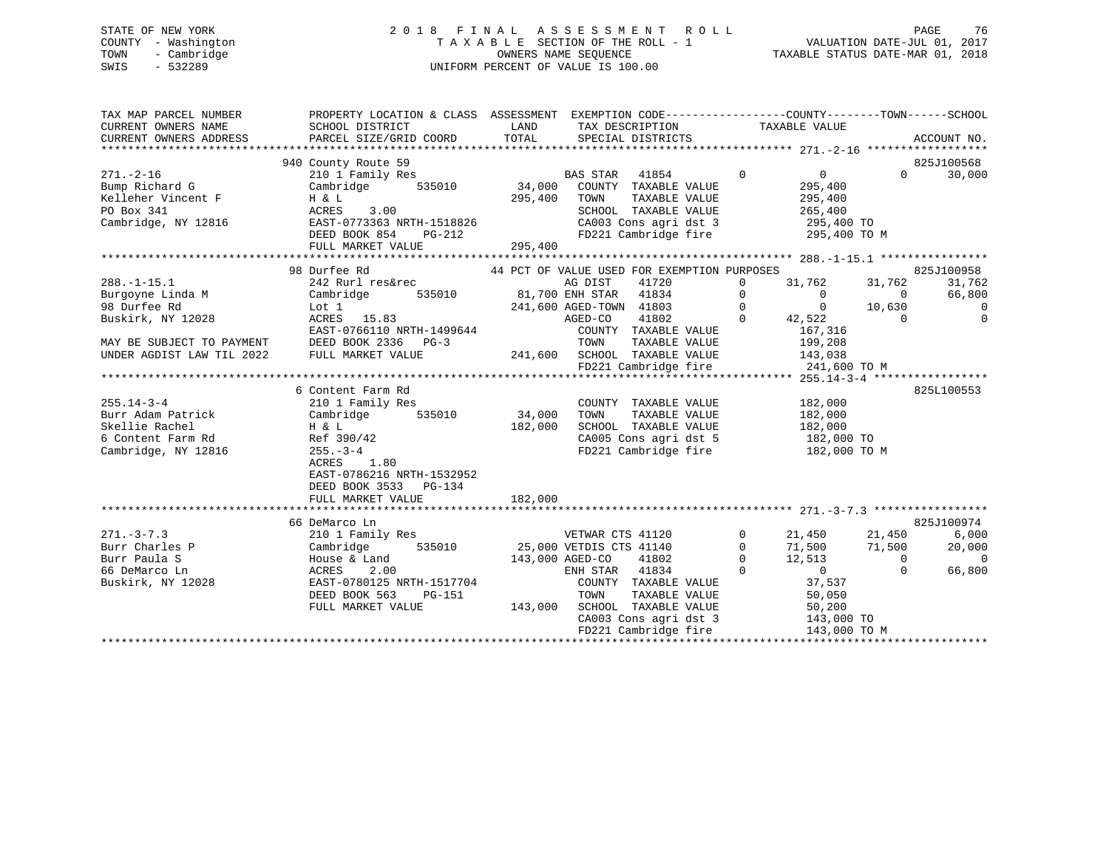# STATE OF NEW YORK 2 0 1 8 F I N A L A S S E S S M E N T R O L L PAGE 76 COUNTY - Washington T A X A B L E SECTION OF THE ROLL - 1 VALUATION DATE-JUL 01, 2017 TOWN - Cambridge OWNERS NAME SEQUENCE TAXABLE STATUS DATE-MAR 01, 2018 SWIS - 532289 UNIFORM PERCENT OF VALUE IS 100.00

| TAX MAP PARCEL NUMBER<br>CURRENT OWNERS ADDRESS | PROPERTY LOCATION & CLASS ASSESSMENT EXEMPTION CODE---------------COUNTY-------TOWN------SCHOOL                                                                                                                                                                                                                                                                                                                                    |         |                                                                                                                                              |                    |                                                                                                                                                                                                                                                                                                                     |
|-------------------------------------------------|------------------------------------------------------------------------------------------------------------------------------------------------------------------------------------------------------------------------------------------------------------------------------------------------------------------------------------------------------------------------------------------------------------------------------------|---------|----------------------------------------------------------------------------------------------------------------------------------------------|--------------------|---------------------------------------------------------------------------------------------------------------------------------------------------------------------------------------------------------------------------------------------------------------------------------------------------------------------|
| $271. - 2 - 16$                                 | 940 County Route 59<br>210 1 Family Res<br>Bump Richard G<br>Eleher Vincent F<br>Eleher Vincent F<br>H & L<br>PO Box 341<br>ACRES 3.00<br>ACRES 3.00<br>ACRES 3.00<br>ACRES 3.00<br>Cambridge, NY 12816<br>Cambridge, NY 12816<br>CAST-0773363 NRTH-1518826<br>DEED BOOK 854<br>PG-212<br>FULL MARKET VALUE                                                                                                                        | 295,400 | BAS STAR 41854 0 0<br>TAXABLE VALUE<br>SCHOOL TAXABLE VALUE 265,400<br>CA003 Cons agri dst 3 295,400 TO<br>FD221 Cambridge fire 295,400 TO M | 295,400<br>295,400 | 825J100568<br>0<br>30,000                                                                                                                                                                                                                                                                                           |
|                                                 |                                                                                                                                                                                                                                                                                                                                                                                                                                    |         | 44 PCT OF VALUE USED FOR EXEMPTION PURPOSES                                                                                                  |                    |                                                                                                                                                                                                                                                                                                                     |
| $288. - 1 - 15.1$                               | $\begin{tabular}{lllllllllllllllllllllll} \multicolumn{4}{c }{\textbf{242}\text{ Rurl}\text{ res\&rec}} & \multicolumn{4}{c }{\textbf{355010}} & \multicolumn{4}{c }{\textbf{36\text{ DIST}}} & \multicolumn{4}{c }{\textbf{535010}} & \multicolumn{4}{c }{\textbf{31.762}} & \multicolumn{4}{c }{\textbf{31.762}} & \multicolumn{4}{c }{\textbf{31.762}} & \multicolumn{4}{c }{\textbf{31.762}} & \multicolumn{4}{c }{\textbf{31$ |         |                                                                                                                                              |                    |                                                                                                                                                                                                                                                                                                                     |
| Burgoyne Linda M<br>98 Durfee Rd                |                                                                                                                                                                                                                                                                                                                                                                                                                                    |         |                                                                                                                                              |                    |                                                                                                                                                                                                                                                                                                                     |
| 98 Durfee Rd                                    |                                                                                                                                                                                                                                                                                                                                                                                                                                    |         |                                                                                                                                              |                    |                                                                                                                                                                                                                                                                                                                     |
| Buskirk, NY 12028                               |                                                                                                                                                                                                                                                                                                                                                                                                                                    |         |                                                                                                                                              |                    |                                                                                                                                                                                                                                                                                                                     |
|                                                 |                                                                                                                                                                                                                                                                                                                                                                                                                                    |         |                                                                                                                                              |                    |                                                                                                                                                                                                                                                                                                                     |
| MAY BE SUBJECT TO PAYMENT DEED BOOK 2336 PG-3   |                                                                                                                                                                                                                                                                                                                                                                                                                                    |         |                                                                                                                                              |                    |                                                                                                                                                                                                                                                                                                                     |
| UNDER AGDIST LAW TIL 2022 FULL MARKET VALUE     |                                                                                                                                                                                                                                                                                                                                                                                                                                    |         | 241,600 SCHOOL TAXABLE VALUE 143,038                                                                                                         |                    |                                                                                                                                                                                                                                                                                                                     |
|                                                 |                                                                                                                                                                                                                                                                                                                                                                                                                                    |         | FD221 Cambridge fire 241,600 TO M                                                                                                            |                    |                                                                                                                                                                                                                                                                                                                     |
|                                                 |                                                                                                                                                                                                                                                                                                                                                                                                                                    |         |                                                                                                                                              |                    |                                                                                                                                                                                                                                                                                                                     |
|                                                 | 6 Content Farm Rd                                                                                                                                                                                                                                                                                                                                                                                                                  |         |                                                                                                                                              |                    | 825L100553                                                                                                                                                                                                                                                                                                          |
|                                                 |                                                                                                                                                                                                                                                                                                                                                                                                                                    |         | COUNTY TAXABLE VALUE 182,000<br>TOWN TAXABLE VALUE 182,000                                                                                   |                    |                                                                                                                                                                                                                                                                                                                     |
|                                                 | 10 Eambridge 535010 - 34,000<br>Cambridge - 535010 - 34,000                                                                                                                                                                                                                                                                                                                                                                        | 182,000 | TOWN                                                                                                                                         |                    |                                                                                                                                                                                                                                                                                                                     |
|                                                 |                                                                                                                                                                                                                                                                                                                                                                                                                                    |         | SCHOOL TAXABLE VALUE 182,000                                                                                                                 |                    |                                                                                                                                                                                                                                                                                                                     |
|                                                 |                                                                                                                                                                                                                                                                                                                                                                                                                                    |         | CA005 Cons agri dst 5 182,000 TO<br>FD221 Cambridge fire 182,000 TO M                                                                        |                    |                                                                                                                                                                                                                                                                                                                     |
|                                                 |                                                                                                                                                                                                                                                                                                                                                                                                                                    |         |                                                                                                                                              |                    |                                                                                                                                                                                                                                                                                                                     |
|                                                 | EAST-0786216 NRTH-1532952                                                                                                                                                                                                                                                                                                                                                                                                          |         |                                                                                                                                              |                    |                                                                                                                                                                                                                                                                                                                     |
|                                                 | DEED BOOK 3533 PG-134                                                                                                                                                                                                                                                                                                                                                                                                              |         |                                                                                                                                              |                    |                                                                                                                                                                                                                                                                                                                     |
|                                                 | FULL MARKET VALUE                                                                                                                                                                                                                                                                                                                                                                                                                  | 182,000 |                                                                                                                                              |                    |                                                                                                                                                                                                                                                                                                                     |
|                                                 | 66 DeMarco Ln                                                                                                                                                                                                                                                                                                                                                                                                                      |         |                                                                                                                                              |                    | 825J100974                                                                                                                                                                                                                                                                                                          |
| $271. - 3 - 7.3$                                | 210 1 Family Res                                                                                                                                                                                                                                                                                                                                                                                                                   |         | VETWAR CTS 41120                                                                                                                             | $0 \qquad \qquad$  | $21,450$ $21,450$ $6,000$                                                                                                                                                                                                                                                                                           |
| $2/1. -3 - 7.5$<br>Burr Charles P               |                                                                                                                                                                                                                                                                                                                                                                                                                                    |         |                                                                                                                                              |                    |                                                                                                                                                                                                                                                                                                                     |
|                                                 |                                                                                                                                                                                                                                                                                                                                                                                                                                    |         |                                                                                                                                              |                    |                                                                                                                                                                                                                                                                                                                     |
| 66 DeMarco Ln                                   | Cambridge 535010 25,000 VETDIS CTS 41140 0<br>House & Land 143,000 AGED-CO 41802 0<br>ACRES 2.00 ENH STAR 41834                                                                                                                                                                                                                                                                                                                    |         |                                                                                                                                              |                    |                                                                                                                                                                                                                                                                                                                     |
| Buskirk, NY 12028                               |                                                                                                                                                                                                                                                                                                                                                                                                                                    |         |                                                                                                                                              |                    | $\begin{bmatrix} 1 & 500 & 71 & 500 & 20 & 000 \\ 12 & 513 & 0 & 0 & 0 \\ 0 & 0 & 66 & 800 & 0 \\ 37 & 537 & 50 & 650 & 0 \\ 0 & 0 & 0 & 0 & 0 \\ 0 & 0 & 0 & 0 & 0 \\ 0 & 0 & 0 & 0 & 0 \\ 0 & 0 & 0 & 0 & 0 \\ 0 & 0 & 0 & 0 & 0 \\ 0 & 0 & 0 & 0 & 0 \\ 0 & 0 & 0 & 0 & 0 \\ 0 & 0 & 0 & 0 & 0 \\ 0 & 0 & 0 & 0$ |
|                                                 |                                                                                                                                                                                                                                                                                                                                                                                                                                    |         |                                                                                                                                              |                    |                                                                                                                                                                                                                                                                                                                     |
|                                                 |                                                                                                                                                                                                                                                                                                                                                                                                                                    |         |                                                                                                                                              |                    |                                                                                                                                                                                                                                                                                                                     |
|                                                 |                                                                                                                                                                                                                                                                                                                                                                                                                                    |         |                                                                                                                                              |                    |                                                                                                                                                                                                                                                                                                                     |
|                                                 | uskirk, NY 12028 EAST-0780125 NRTH-1517704 COUNTY TAXABLE VALUE 37,537<br>DEED BOOK 563 PG-151 TOWN TAXABLE VALUE 50,050<br>FULL MARKET VALUE 143,000 SCHOOL TAXABLE VALUE 50,200<br>FULL MARKET VALUE 143,000 TO CA003 Cons agri ds                                                                                                                                                                                               |         |                                                                                                                                              |                    |                                                                                                                                                                                                                                                                                                                     |
|                                                 |                                                                                                                                                                                                                                                                                                                                                                                                                                    |         |                                                                                                                                              |                    |                                                                                                                                                                                                                                                                                                                     |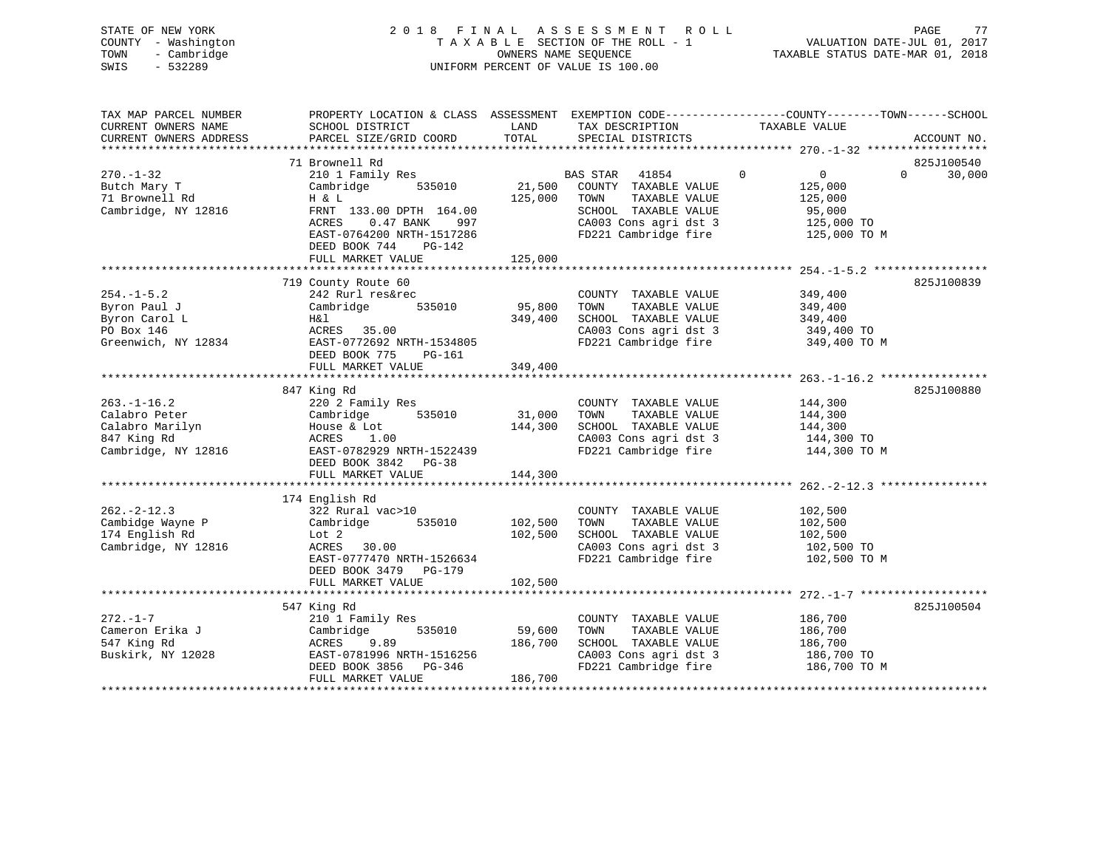| STATE OF NEW YORK   | 2018 FINAL ASSESSMENT ROLL         | 77<br>PAGE                       |
|---------------------|------------------------------------|----------------------------------|
| COUNTY - Washington | TAXABLE SECTION OF THE ROLL - 1    | VALUATION DATE-JUL 01, 2017      |
| TOWN<br>- Cambridge | OWNERS NAME SEOUENCE               | TAXABLE STATUS DATE-MAR 01, 2018 |
| SWIS<br>- 532289    | UNIFORM PERCENT OF VALUE IS 100.00 |                                  |
|                     |                                    |                                  |

| TAX MAP PARCEL NUMBER  | PROPERTY LOCATION & CLASS ASSESSMENT EXEMPTION CODE---------------COUNTY-------TOWN------SCHOOL |         |                                               |                  |                    |
|------------------------|-------------------------------------------------------------------------------------------------|---------|-----------------------------------------------|------------------|--------------------|
| CURRENT OWNERS NAME    | SCHOOL DISTRICT                                                                                 | LAND    | TAX DESCRIPTION                               | TAXABLE VALUE    |                    |
| CURRENT OWNERS ADDRESS | PARCEL SIZE/GRID COORD                                                                          | TOTAL   | SPECIAL DISTRICTS                             |                  | ACCOUNT NO.        |
|                        |                                                                                                 |         |                                               |                  |                    |
|                        | 71 Brownell Rd                                                                                  |         |                                               |                  | 825J100540         |
| $270. - 1 - 32$        | 210 1 Family Res                                                                                |         | BAS STAR<br>41854                             | $\mathbf 0$<br>0 | $\Omega$<br>30,000 |
| Butch Mary T           | 535010<br>Cambridge                                                                             | 21,500  | COUNTY TAXABLE VALUE                          | 125,000          |                    |
| 71 Brownell Rd         | H & L                                                                                           | 125,000 | TAXABLE VALUE<br>TOWN                         | 125,000          |                    |
| Cambridge, NY 12816    | FRNT 133.00 DPTH 164.00                                                                         |         | SCHOOL TAXABLE VALUE                          | 95,000           |                    |
|                        | ACRES<br>$0.47$ BANK<br>997                                                                     |         | CA003 Cons agri dst 3                         | 125,000 TO       |                    |
|                        | EAST-0764200 NRTH-1517286                                                                       |         | FD221 Cambridge fire                          | 125,000 TO M     |                    |
|                        | DEED BOOK 744<br>PG-142                                                                         |         |                                               |                  |                    |
|                        | FULL MARKET VALUE                                                                               | 125,000 |                                               |                  |                    |
|                        |                                                                                                 |         |                                               |                  |                    |
|                        | 719 County Route 60                                                                             |         |                                               |                  | 825J100839         |
| $254. -1 - 5.2$        | 242 Rurl res&rec                                                                                |         | COUNTY TAXABLE VALUE                          | 349,400          |                    |
| Byron Paul J           | Cambridge<br>535010                                                                             | 95,800  | TOWN<br>TAXABLE VALUE                         | 349,400          |                    |
| Byron Carol L          | H&l                                                                                             | 349,400 | SCHOOL TAXABLE VALUE                          | 349,400          |                    |
| PO Box 146             | ACRES 35.00                                                                                     |         | CA003 Cons agri dst 3                         | 349,400 TO       |                    |
| Greenwich, NY 12834    | EAST-0772692 NRTH-1534805                                                                       |         | FD221 Cambridge fire                          | 349,400 TO M     |                    |
|                        | DEED BOOK 775<br>PG-161                                                                         |         |                                               |                  |                    |
|                        | FULL MARKET VALUE                                                                               | 349,400 |                                               |                  |                    |
|                        |                                                                                                 |         |                                               |                  |                    |
|                        | 847 King Rd                                                                                     |         |                                               |                  | 825J100880         |
| $263. - 1 - 16.2$      | 220 2 Family Res                                                                                |         | COUNTY TAXABLE VALUE                          | 144,300          |                    |
| Calabro Peter          | 535010<br>Cambridge                                                                             | 31,000  | TAXABLE VALUE<br>TOWN                         | 144,300          |                    |
| Calabro Marilyn        | House & Lot                                                                                     | 144,300 | SCHOOL TAXABLE VALUE                          | 144,300          |                    |
| 847 King Rd            | ACRES 1.00                                                                                      |         | CA003 Cons agri dst 3                         | 144,300 TO       |                    |
| Cambridge, NY 12816    | EAST-0782929 NRTH-1522439                                                                       |         | FD221 Cambridge fire                          | 144,300 TO M     |                    |
|                        | DEED BOOK 3842 PG-38                                                                            |         |                                               |                  |                    |
|                        | FULL MARKET VALUE                                                                               | 144,300 |                                               |                  |                    |
|                        |                                                                                                 |         |                                               |                  |                    |
|                        | 174 English Rd                                                                                  |         |                                               |                  |                    |
| $262 - 2 - 12.3$       | 322 Rural vac>10                                                                                |         | COUNTY TAXABLE VALUE                          | 102,500          |                    |
| Cambidge Wayne P       | 535010<br>Cambridge                                                                             | 102,500 | TAXABLE VALUE<br>TOWN                         | 102,500          |                    |
| 174 English Rd         | Lot 2                                                                                           | 102,500 | SCHOOL TAXABLE VALUE                          | 102,500          |                    |
| Cambridge, NY 12816    | ACRES 30.00                                                                                     |         | CA003 Cons agri dst 3                         | 102,500 TO       |                    |
|                        | EAST-0777470 NRTH-1526634                                                                       |         | FD221 Cambridge fire                          | 102,500 TO M     |                    |
|                        |                                                                                                 |         |                                               |                  |                    |
|                        | DEED BOOK 3479 PG-179                                                                           |         |                                               |                  |                    |
|                        | FULL MARKET VALUE                                                                               | 102,500 |                                               |                  |                    |
|                        |                                                                                                 |         |                                               |                  |                    |
|                        | 547 King Rd                                                                                     |         |                                               |                  | 825J100504         |
| $272. - 1 - 7$         | 210 1 Family Res                                                                                |         | COUNTY TAXABLE VALUE                          | 186,700          |                    |
| Cameron Erika J        | 535010<br>Cambridge                                                                             | 59,600  | TAXABLE VALUE<br>TOWN                         | 186,700          |                    |
| 547 King Rd            | ACRES<br>9.89                                                                                   | 186,700 | SCHOOL TAXABLE VALUE                          | 186,700          |                    |
| Buskirk, NY 12028      | EAST-0781996 NRTH-1516256                                                                       |         | CA003 Cons agri dst 3<br>FD221 Cambridge fire | 186,700 TO       |                    |
|                        | DEED BOOK 3856 PG-346                                                                           |         |                                               | 186,700 TO M     |                    |
|                        | FULL MARKET VALUE                                                                               | 186,700 |                                               |                  |                    |
|                        |                                                                                                 |         |                                               |                  |                    |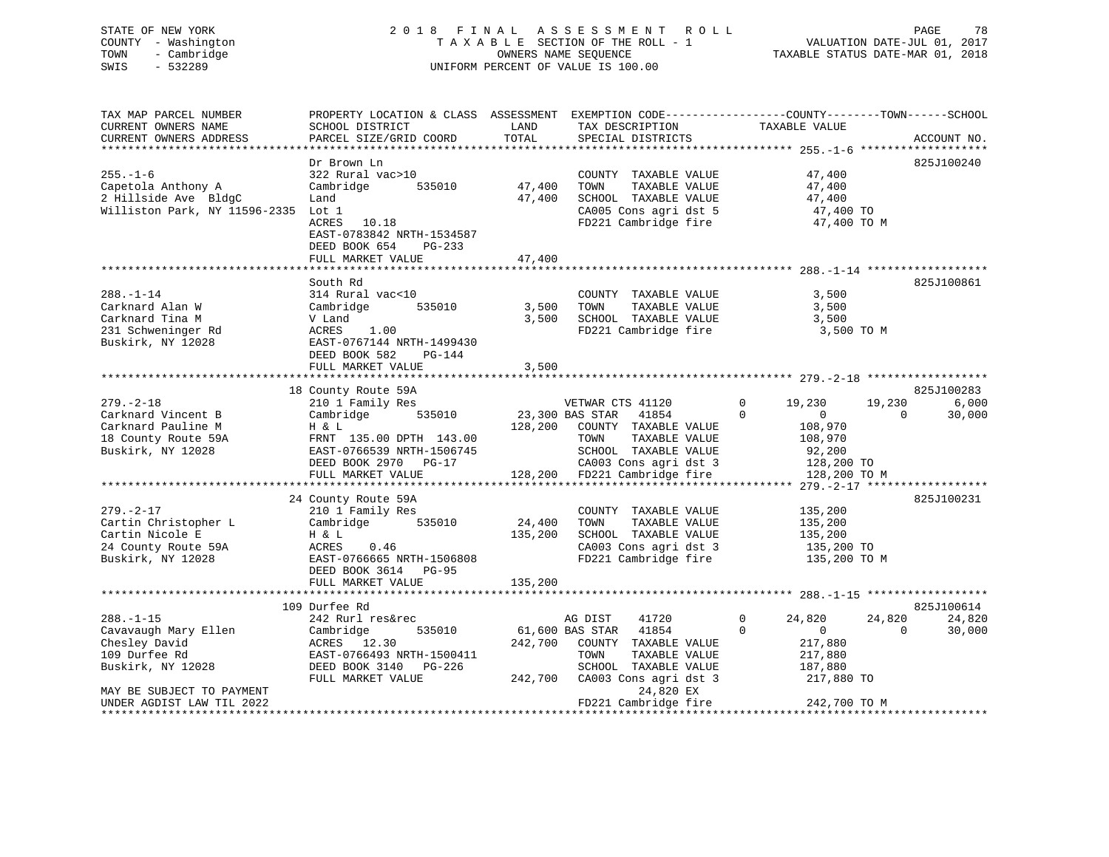# STATE OF NEW YORK 2 0 1 8 F I N A L A S S E S S M E N T R O L L PAGE 78 COUNTY - Washington T A X A B L E SECTION OF THE ROLL - 1 VALUATION DATE-JUL 01, 2017 TOWN - Cambridge OWNERS NAME SEQUENCE TAXABLE STATUS DATE-MAR 01, 2018 SWIS - 532289 UNIFORM PERCENT OF VALUE IS 100.00

| TAX MAP PARCEL NUMBER                         | PROPERTY LOCATION & CLASS ASSESSMENT EXEMPTION CODE---------------COUNTY-------TOWN------SCHOOL |                 |                                               |                               |                    |
|-----------------------------------------------|-------------------------------------------------------------------------------------------------|-----------------|-----------------------------------------------|-------------------------------|--------------------|
| CURRENT OWNERS NAME<br>CURRENT OWNERS ADDRESS | SCHOOL DISTRICT<br>PARCEL SIZE/GRID COORD                                                       | LAND<br>TOTAL   | TAX DESCRIPTION<br>SPECIAL DISTRICTS          | TAXABLE VALUE                 | ACCOUNT NO.        |
|                                               |                                                                                                 |                 |                                               |                               |                    |
|                                               | Dr Brown Ln                                                                                     |                 |                                               |                               | 825J100240         |
| $255. - 1 - 6$                                | 322 Rural vac>10                                                                                |                 | COUNTY TAXABLE VALUE                          | 47,400                        |                    |
| Capetola Anthony A                            | Cambridge 535010                                                                                | 47,400          | TOWN<br>TAXABLE VALUE                         | 47,400                        |                    |
| 2 Hillside Ave BldgC                          | Land                                                                                            | 47,400          | SCHOOL TAXABLE VALUE                          |                               |                    |
| Williston Park, NY 11596-2335 Lot 1           |                                                                                                 |                 | CA005 Cons agri dst 5                         | 47,400<br>47,400 TO           |                    |
|                                               | ACRES 10.18                                                                                     |                 | FD221 Cambridge fire 47,400 TO M              |                               |                    |
|                                               | EAST-0783842 NRTH-1534587                                                                       |                 |                                               |                               |                    |
|                                               | DEED BOOK 654 PG-233                                                                            |                 |                                               |                               |                    |
|                                               | FULL MARKET VALUE                                                                               | 47,400          |                                               |                               |                    |
|                                               |                                                                                                 |                 |                                               |                               |                    |
|                                               | South Rd                                                                                        |                 |                                               |                               | 825J100861         |
| $288. - 1 - 14$                               | 314 Rural vac<10                                                                                |                 | COUNTY TAXABLE VALUE                          | 3,500                         |                    |
| Carknard Alan W                               | 535010<br>Cambridge                                                                             | 3,500           | TAXABLE VALUE<br>TOWN                         | 3,500                         |                    |
| Carknard Tina M                               | V Land                                                                                          | 3,500           | SCHOOL TAXABLE VALUE                          | 3,500                         |                    |
| 231 Schweninger Rd<br>Buskirk, NY 12028       | ACRES<br>1.00<br>EAST-0767144 NRTH-1499430                                                      |                 | FD221 Cambridge fire                          | 3,500 TO M                    |                    |
|                                               | DEED BOOK 582<br>$PG-144$                                                                       |                 |                                               |                               |                    |
|                                               | FULL MARKET VALUE                                                                               | 3,500           |                                               |                               |                    |
|                                               |                                                                                                 |                 |                                               |                               |                    |
|                                               | 18 County Route 59A                                                                             |                 |                                               |                               | 825J100283         |
| $279. - 2 - 18$                               | 210 1 Family Res                                                                                |                 | VETWAR CTS 41120                              | 19,230<br>$\overline{0}$      | 19,230<br>6,000    |
| Carknard Vincent B                            | Cambridge 535010                                                                                |                 | VETWAR CTS 41120<br>23,300 BAS STAR 41854     | $\mathbf 0$<br>$\overline{0}$ | 30,000<br>$\Omega$ |
| Carknard Pauline M                            | H & L                                                                                           |                 | 128,200 COUNTY TAXABLE VALUE                  | 108,970                       |                    |
| 18 County Route 59A                           | FRNT 135.00 DPTH 143.00                                                                         |                 | TOWN<br>TAXABLE VALUE                         | 108,970                       |                    |
| Buskirk, NY 12028                             | EAST-0766539 NRTH-1506745                                                                       |                 | SCHOOL TAXABLE VALUE                          | 92,200                        |                    |
|                                               | DEED BOOK 2970 PG-17                                                                            |                 | CA003 Cons agri dst 3                         | 128,200 TO                    |                    |
|                                               | FULL MARKET VALUE                                                                               |                 | 128,200 FD221 Cambridge fire                  | 128,200 TO M                  |                    |
|                                               |                                                                                                 |                 |                                               |                               |                    |
|                                               | 24 County Route 59A                                                                             |                 |                                               |                               | 825J100231         |
| $279. - 2 - 17$                               | 210 1 Family Res                                                                                |                 | COUNTY TAXABLE VALUE                          | 135,200                       |                    |
| Cartin Christopher L                          | 535010<br>Cambridge                                                                             | 24,400          | TAXABLE VALUE<br>TOWN                         | 135,200                       |                    |
| Cartin Nicole E                               | H & L                                                                                           | 135,200         | SCHOOL TAXABLE VALUE                          | 135,200                       |                    |
| 24 County Route 59A                           | ACRES<br>0.46<br>EAST-0766665 NRTH-1506808                                                      |                 | CA003 Cons agri dst 3<br>FD221 Cambridge fire | 135,200 TO<br>135,200 TO M    |                    |
| Buskirk, NY 12028                             | DEED BOOK 3614 PG-95                                                                            |                 |                                               |                               |                    |
|                                               | FULL MARKET VALUE                                                                               | 135,200         |                                               |                               |                    |
|                                               |                                                                                                 |                 |                                               |                               |                    |
|                                               | 109 Durfee Rd                                                                                   |                 |                                               |                               | 825J100614         |
| $288. - 1 - 15$                               | 242 Rurl res&rec                                                                                |                 | AG DIST<br>41720                              | $\overline{0}$<br>24,820      | 24,820<br>24,820   |
| Cavavaugh Mary Ellen                          | 535010<br>Cambridge                                                                             | 61,600 BAS STAR | 41854                                         | $\Omega$<br>$\overline{0}$    | $\Omega$<br>30,000 |
| Chesley David                                 | ACRES 12.30                                                                                     |                 | 242,700 COUNTY TAXABLE VALUE                  | 217,880                       |                    |
| 109 Durfee Rd                                 | EAST-0766493 NRTH-1500411                                                                       |                 | TAXABLE VALUE<br>TOWN                         | 217,880                       |                    |
| Buskirk, NY 12028                             | DEED BOOK 3140 PG-226                                                                           |                 | SCHOOL TAXABLE VALUE                          | 187,880                       |                    |
|                                               | FULL MARKET VALUE                                                                               | 242,700         | CA003 Cons agri dst 3                         | 217,880 TO                    |                    |
| MAY BE SUBJECT TO PAYMENT                     |                                                                                                 |                 | 24,820 EX                                     |                               |                    |
| UNDER AGDIST LAW TIL 2022                     |                                                                                                 |                 | FD221 Cambridge fire                          | 242,700 TO M                  |                    |
|                                               |                                                                                                 |                 |                                               |                               |                    |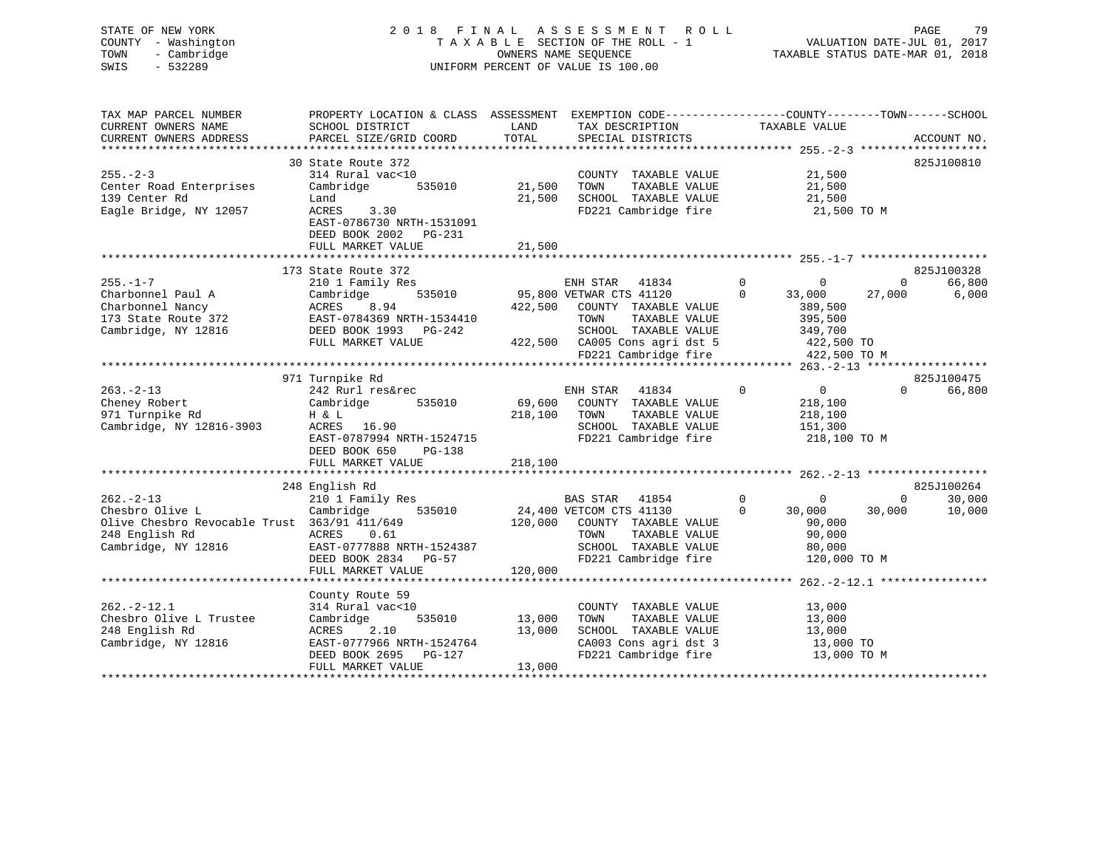# STATE OF NEW YORK 2 0 1 8 F I N A L A S S E S S M E N T R O L L PAGE 79 COUNTY - Washington T A X A B L E SECTION OF THE ROLL - 1 VALUATION DATE-JUL 01, 2017 TOWN - Cambridge OWNERS NAME SEQUENCE TAXABLE STATUS DATE-MAR 01, 2018 SWIS - 532289 UNIFORM PERCENT OF VALUE IS 100.00

| TAX MAP PARCEL NUMBER                        | PROPERTY LOCATION & CLASS ASSESSMENT |         | EXEMPTION CODE-----------------COUNTY-------TOWN------SCHOOL |                               |                                                        |
|----------------------------------------------|--------------------------------------|---------|--------------------------------------------------------------|-------------------------------|--------------------------------------------------------|
| CURRENT OWNERS NAME                          | SCHOOL DISTRICT                      | LAND    | TAX DESCRIPTION                                              | TAXABLE VALUE                 |                                                        |
| CURRENT OWNERS ADDRESS                       | PARCEL SIZE/GRID COORD               | TOTAL   | SPECIAL DISTRICTS                                            |                               | ACCOUNT NO.                                            |
|                                              |                                      |         |                                                              |                               |                                                        |
|                                              | 30 State Route 372                   |         |                                                              |                               | 825J100810                                             |
| $255. - 2 - 3$                               | 314 Rural vac<10                     |         | COUNTY TAXABLE VALUE                                         | 21,500                        |                                                        |
| Center Road Enterprises                      | Cambridge<br>535010                  | 21,500  | TOWN<br>TAXABLE VALUE                                        | 21,500                        |                                                        |
| 139 Center Rd                                | Land                                 | 21,500  | SCHOOL TAXABLE VALUE                                         | 21,500                        |                                                        |
| Eagle Bridge, NY 12057                       | ACRES<br>3.30                        |         | FD221 Cambridge fire                                         | 21,500 TO M                   |                                                        |
|                                              | EAST-0786730 NRTH-1531091            |         |                                                              |                               |                                                        |
|                                              | DEED BOOK 2002<br>PG-231             |         |                                                              |                               |                                                        |
|                                              | FULL MARKET VALUE                    | 21,500  |                                                              |                               |                                                        |
|                                              |                                      |         |                                                              |                               |                                                        |
|                                              | 173 State Route 372                  |         |                                                              |                               | 825J100328                                             |
| $255. - 1 - 7$                               | 210 1 Family Res                     |         | ENH STAR<br>41834                                            | $\Omega$<br>$\mathbf{0}$      | 66,800<br>$\Omega$                                     |
| Charbonnel Paul A                            | 535010<br>Cambridge                  |         | 95,800 VETWAR CTS 41120                                      | $\Omega$<br>33,000            | 27,000<br>6,000                                        |
| Charbonnel Nancy                             | ACRES<br>8.94                        | 422,500 | COUNTY TAXABLE VALUE                                         | 389,500                       |                                                        |
| 173 State Route 372                          | EAST-0784369 NRTH-1534410            |         | TOWN<br>TAXABLE VALUE                                        | 395,500                       |                                                        |
| Cambridge, NY 12816                          | DEED BOOK 1993 PG-242                |         | SCHOOL TAXABLE VALUE                                         | 349,700                       |                                                        |
|                                              | FULL MARKET VALUE                    |         | 422,500 CA005 Cons agri dst 5                                | 422,500 TO                    |                                                        |
|                                              |                                      |         | FD221 Cambridge fire                                         | 422,500 TO M                  |                                                        |
|                                              |                                      |         |                                                              |                               |                                                        |
|                                              | 971 Turnpike Rd                      |         |                                                              |                               | 825J100475                                             |
| $263 - 2 - 13$                               | 242 Rurl res&rec                     |         | ENH STAR<br>41834                                            | $\mathbf 0$<br>$\overline{0}$ | $\Omega$<br>66,800                                     |
| Cheney Robert                                | Cambridge<br>535010                  | 69,600  | COUNTY TAXABLE VALUE                                         | 218,100                       |                                                        |
| 971 Turnpike Rd                              | H & L                                | 218,100 | TOWN<br>TAXABLE VALUE                                        | 218,100                       |                                                        |
| Cambridge, NY 12816-3903                     | 16.90<br>ACRES                       |         | SCHOOL TAXABLE VALUE                                         | 151,300                       |                                                        |
|                                              | EAST-0787994 NRTH-1524715            |         | FD221 Cambridge fire                                         | 218,100 TO M                  |                                                        |
|                                              | DEED BOOK 650<br>PG-138              |         |                                                              |                               |                                                        |
|                                              | FULL MARKET VALUE                    | 218,100 |                                                              |                               |                                                        |
|                                              |                                      |         |                                                              |                               |                                                        |
|                                              | 248 English Rd                       |         |                                                              |                               | 825J100264                                             |
| $262 - 2 - 13$                               | 210 1 Family Res                     |         | <b>BAS STAR</b><br>41854                                     | $\mathbf 0$<br>$\mathbf{0}$   | $\Omega$<br>30,000                                     |
| Chesbro Olive L                              | Cambridge<br>535010                  |         | 24,400 VETCOM CTS 41130                                      | $\Omega$<br>30,000            | 10,000<br>30,000                                       |
| Olive Chesbro Revocable Trust 363/91 411/649 |                                      | 120,000 | COUNTY TAXABLE VALUE                                         | 90,000                        |                                                        |
| 248 English Rd                               | ACRES<br>0.61                        |         | TAXABLE VALUE<br>TOWN                                        | 90,000                        |                                                        |
| Cambridge, NY 12816                          | EAST-0777888 NRTH-1524387            |         | SCHOOL TAXABLE VALUE                                         |                               |                                                        |
|                                              |                                      |         |                                                              | 80,000                        |                                                        |
|                                              | DEED BOOK 2834 PG-57                 |         | FD221 Cambridge fire                                         | 120,000 TO M                  |                                                        |
|                                              | FULL MARKET VALUE                    | 120,000 |                                                              |                               | ************************* 262.-2-12.1 **************** |
|                                              |                                      |         |                                                              |                               |                                                        |
|                                              | County Route 59                      |         |                                                              |                               |                                                        |
| $262. - 2 - 12.1$                            | 314 Rural vac<10                     |         | COUNTY TAXABLE VALUE                                         | 13,000                        |                                                        |
| Chesbro Olive L Trustee                      | Cambridge<br>535010                  | 13,000  | TOWN<br>TAXABLE VALUE                                        | 13,000                        |                                                        |
| 248 English Rd                               | ACRES<br>2.10                        | 13,000  | SCHOOL TAXABLE VALUE                                         | 13,000                        |                                                        |
| Cambridge, NY 12816                          | EAST-0777966 NRTH-1524764            |         | CA003 Cons agri dst 3                                        | 13,000 TO                     |                                                        |
|                                              | DEED BOOK 2695<br>PG-127             |         | FD221 Cambridge fire                                         | 13,000 TO M                   |                                                        |
|                                              | FULL MARKET VALUE                    | 13,000  |                                                              |                               |                                                        |
|                                              |                                      |         |                                                              |                               |                                                        |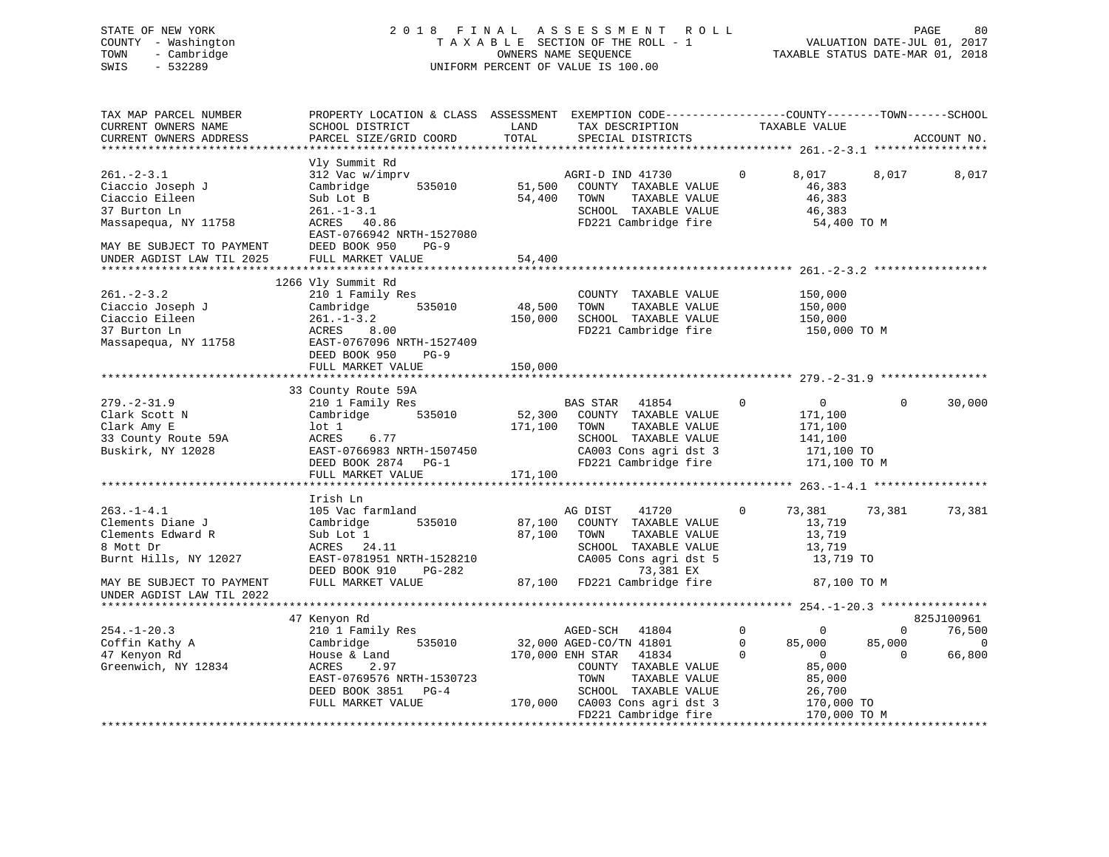# STATE OF NEW YORK 2 0 1 8 F I N A L A S S E S S M E N T R O L L PAGE 80 COUNTY - Washington T A X A B L E SECTION OF THE ROLL - 1 VALUATION DATE-JUL 01, 2017 TOWN - Cambridge OWNERS NAME SEQUENCE TAXABLE STATUS DATE-MAR 01, 2018 SWIS - 532289 UNIFORM PERCENT OF VALUE IS 100.00

| TAX MAP PARCEL NUMBER<br>CURRENT OWNERS NAME<br>CURRENT OWNERS ADDRESS                                                                                  | PROPERTY LOCATION & CLASS ASSESSMENT EXEMPTION CODE----------------COUNTY-------TOWN-----SCHOOL<br>SCHOOL DISTRICT<br>PARCEL SIZE/GRID COORD                                         | LAND<br>TOTAL                | TAX DESCRIPTION<br>SPECIAL DISTRICTS                                                                                                                                             |                                         | TAXABLE VALUE                                                                          |                                | ACCOUNT NO.                                      |
|---------------------------------------------------------------------------------------------------------------------------------------------------------|--------------------------------------------------------------------------------------------------------------------------------------------------------------------------------------|------------------------------|----------------------------------------------------------------------------------------------------------------------------------------------------------------------------------|-----------------------------------------|----------------------------------------------------------------------------------------|--------------------------------|--------------------------------------------------|
|                                                                                                                                                         |                                                                                                                                                                                      |                              |                                                                                                                                                                                  |                                         |                                                                                        |                                |                                                  |
| $261 - 2 - 3.1$<br>Ciaccio Joseph J<br>Ciaccio Eileen<br>37 Burton Ln<br>Massapequa, NY 11758<br>MAY BE SUBJECT TO PAYMENT<br>UNDER AGDIST LAW TIL 2025 | Vly Summit Rd<br>312 Vac w/imprv<br>535010<br>Cambridge<br>Sub Lot B<br>$261. - 1 - 3.1$<br>ACRES 40.86<br>EAST-0766942 NRTH-1527080<br>DEED BOOK 950<br>$PG-9$<br>FULL MARKET VALUE | 54,400<br>54,400             | AGRI-D IND 41730<br>51,500 COUNTY TAXABLE<br>COUNTY TAXABLE VALUE<br>TAXABLE VALUE<br>TOWN<br>SCHOOL TAXABLE VALUE<br>FD221 Cambridge fire                                       | $\Omega$                                | 8,017<br>46,383<br>46,383<br>46,383<br>54,400 TO M                                     | 8,017                          | 8,017                                            |
|                                                                                                                                                         |                                                                                                                                                                                      |                              |                                                                                                                                                                                  |                                         |                                                                                        |                                |                                                  |
| $261 - 2 - 3.2$<br>Ciaccio Joseph J<br>Ciaccio Eileen<br>37 Burton Ln<br>Massapequa, NY 11758                                                           | 1266 Vly Summit Rd<br>210 1 Family Res<br>535010<br>Cambridge<br>$261. - 1 - 3.2$<br>ACRES 8.00<br>EAST-0767096 NRTH-1527409<br>DEED BOOK 950<br>$PG-9$                              | 48,500                       | COUNTY TAXABLE VALUE<br>TAXABLE VALUE<br>TOWN<br>150,000 SCHOOL TAXABLE VALUE<br>FD221 Cambridge fire                                                                            |                                         | 150,000<br>150,000<br>150,000<br>150,000 TO M                                          |                                |                                                  |
|                                                                                                                                                         | FULL MARKET VALUE                                                                                                                                                                    | 150,000                      |                                                                                                                                                                                  |                                         |                                                                                        |                                |                                                  |
|                                                                                                                                                         |                                                                                                                                                                                      |                              |                                                                                                                                                                                  |                                         |                                                                                        |                                |                                                  |
| $279. - 2 - 31.9$<br>Clark Scott N<br>Clark Amy E<br>33 County Route 59A<br>Buskirk, NY 12028                                                           | 33 County Route 59A<br>210 1 Family Res<br>Cambridge 535010<br>lot 1<br>6.77<br>ACRES<br>EAST-0766983 NRTH-1507450<br>DEED BOOK 2874 PG-1<br>FULL MARKET VALUE                       | 52,300<br>171,100<br>171,100 | BAS STAR 41854<br>COUNTY TAXABLE VALUE<br>TOWN<br>TAXABLE VALUE<br>SCHOOL TAXABLE VALUE<br>CA003 Cons agri dst 3<br>FD221 Cambridge fire                                         | $\Omega$                                | $\overline{0}$<br>171,100<br>171,100<br>141,100<br>171,100 TO<br>171,100 TO M          | $\Omega$                       | 30,000                                           |
|                                                                                                                                                         | Irish Ln                                                                                                                                                                             |                              |                                                                                                                                                                                  |                                         |                                                                                        |                                |                                                  |
| $263. -1 - 4.1$<br>Clements Diane J<br>Clements Edward R<br>8 Mott Dr<br>Burnt Hills, NY 12027                                                          | 105 Vac farmland<br>535010<br>Cambridge<br>Sub Lot 1<br>ACRES 24.11<br>EAST-0781951 NRTH-1528210<br>DEED BOOK 910<br>PG-282                                                          |                              | AG DIST<br>41720<br>87,100 COUNTY TAXABLE VALUE<br>87,100 TOWN<br>TAXABLE VALUE<br>SCHOOL TAXABLE VALUE<br>CA005 Cons agri dst 5                                                 | $\mathbf{0}$                            | 73,381 73,381<br>13,719<br>13,719<br>13,719<br>13,719 TO                               |                                | 73,381                                           |
| MAY BE SUBJECT TO PAYMENT<br>UNDER AGDIST LAW TIL 2022                                                                                                  | FULL MARKET VALUE                                                                                                                                                                    |                              | 73,381 EX<br>87,100   FD221 Cambridge fire                                                                                                                                       |                                         | 87,100 TO M                                                                            |                                |                                                  |
|                                                                                                                                                         |                                                                                                                                                                                      |                              |                                                                                                                                                                                  |                                         |                                                                                        |                                |                                                  |
| $254. - 1 - 20.3$<br>Coffin Kathy A<br>47 Kenyon Rd<br>Greenwich, NY 12834                                                                              | 47 Kenyon Rd<br>210 1 Family Res<br>535010<br>Cambridge<br>House & Land<br>ACRES<br>2.97<br>EAST-0769576 NRTH-1530723<br>DEED BOOK 3851 PG-4<br>FULL MARKET VALUE                    |                              | AGED-SCH<br>41804<br>32,000 AGED-CO/TN 41801<br>170,000 ENH STAR 41834<br>COUNTY TAXABLE VALUE<br>TOWN<br>TAXABLE VALUE<br>SCHOOL TAXABLE VALUE<br>170,000 CA003 Cons agri dst 3 | $\mathbf{0}$<br>$\mathbf 0$<br>$\Omega$ | $\overline{0}$<br>85,000<br>$\overline{0}$<br>85,000<br>85,000<br>26,700<br>170,000 TO | $\Omega$<br>85,000<br>$\Omega$ | 825J100961<br>76,500<br>$\overline{0}$<br>66,800 |
|                                                                                                                                                         |                                                                                                                                                                                      |                              | FD221 Cambridge fire                                                                                                                                                             |                                         | 170,000 TO M                                                                           |                                |                                                  |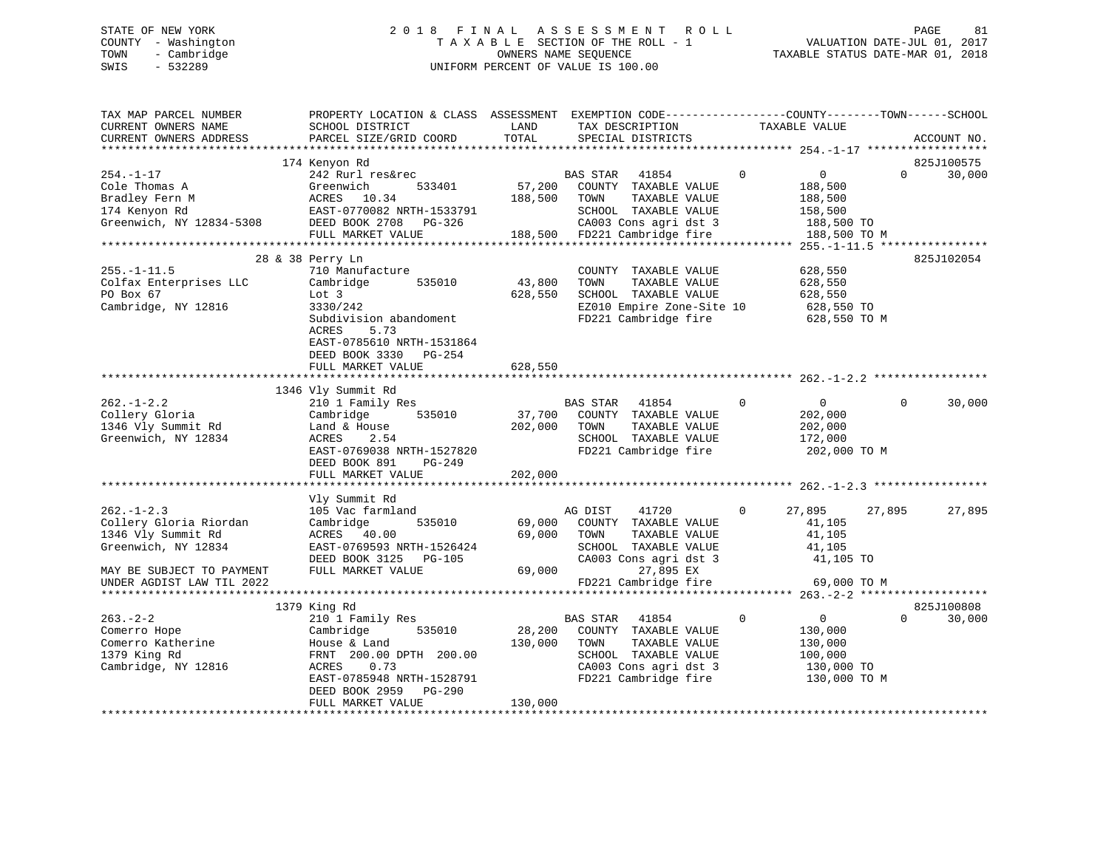# STATE OF NEW YORK 2 0 1 8 F I N A L A S S E S S M E N T R O L L PAGE 81 COUNTY - Washington T A X A B L E SECTION OF THE ROLL - 1 VALUATION DATE-JUL 01, 2017 TOWN - Cambridge OWNERS NAME SEQUENCE TAXABLE STATUS DATE-MAR 01, 2018 SWIS - 532289 UNIFORM PERCENT OF VALUE IS 100.00

| TAX MAP PARCEL NUMBER<br>CURRENT OWNERS NAME<br>CURRENT OWNERS ADDRESS                    | PROPERTY LOCATION & CLASS ASSESSMENT EXEMPTION CODE---------------COUNTY-------TOWN-----SCHOOL<br>SCHOOL DISTRICT<br>PARCEL SIZE/GRID COORD                                       | LAND<br>TOTAL                | TAX DESCRIPTION<br>SPECIAL DISTRICTS                                                                                                        | TAXABLE VALUE                                                                                | ACCOUNT NO.                      |
|-------------------------------------------------------------------------------------------|-----------------------------------------------------------------------------------------------------------------------------------------------------------------------------------|------------------------------|---------------------------------------------------------------------------------------------------------------------------------------------|----------------------------------------------------------------------------------------------|----------------------------------|
|                                                                                           |                                                                                                                                                                                   |                              |                                                                                                                                             |                                                                                              |                                  |
| $254. - 1 - 17$<br>Cole Thomas A<br>Bradley Fern M                                        | 174 Kenyon Rd<br>242 Rurl res&rec<br>Greenwich<br>533401<br>ACRES 10.34                                                                                                           | 57,200<br>188,500            | <b>BAS STAR</b><br>41854<br>COUNTY TAXABLE VALUE<br>TAXABLE VALUE<br>TOWN                                                                   | $\mathbf 0$<br>$\overline{0}$<br>188,500<br>188,500                                          | 825J100575<br>$\Omega$<br>30,000 |
| 174 Kenyon Rd<br>Greenwich, NY 12834-5308                                                 | EAST-0770082 NRTH-1533791<br>DEED BOOK 2708 PG-326<br>FULL MARKET VALUE<br>***************************                                                                            |                              | SCHOOL TAXABLE VALUE<br>CA003 Cons agri dst 3<br>188,500 FD221 Cambridge fire                                                               | 158,500<br>188,500 TO<br>188,500 TO M                                                        |                                  |
|                                                                                           | 28 & 38 Perry Ln                                                                                                                                                                  |                              |                                                                                                                                             |                                                                                              | 825J102054                       |
| $255. - 1 - 11.5$<br>Colfax Enterprises LLC<br>PO Box 67<br>Cambridge, NY 12816           | 710 Manufacture<br>Cambridge<br>535010<br>Lot 3<br>3330/242<br>Subdivision abandoment<br>5.73<br>ACRES                                                                            | 43,800<br>628,550            | COUNTY TAXABLE VALUE<br>TOWN<br>TAXABLE VALUE<br>SCHOOL TAXABLE VALUE<br>EZ010 Empire Zone-Site 10<br>FD221 Cambridge fire                  | 628,550<br>628,550<br>628,550<br>628,550 TO<br>628,550 TO M                                  |                                  |
|                                                                                           | EAST-0785610 NRTH-1531864<br>DEED BOOK 3330 PG-254<br>FULL MARKET VALUE                                                                                                           | 628,550                      |                                                                                                                                             |                                                                                              |                                  |
|                                                                                           | 1346 Vly Summit Rd                                                                                                                                                                |                              |                                                                                                                                             |                                                                                              |                                  |
| $262. -1 - 2.2$<br>Collery Gloria<br>1346 Vly Summit Rd<br>Greenwich, NY 12834            | 210 1 Family Res<br>535010<br>Cambridge<br>Land & House<br>ACRES<br>2.54<br>EAST-0769038 NRTH-1527820<br>DEED BOOK 891<br>PG-249<br>FULL MARKET VALUE                             | 37,700<br>202,000<br>202,000 | <b>BAS STAR</b><br>41854<br>COUNTY TAXABLE VALUE<br>TOWN<br>TAXABLE VALUE<br>SCHOOL TAXABLE VALUE<br>FD221 Cambridge fire                   | $\mathbf 0$<br>$\overline{0}$<br>202,000<br>202,000<br>172,000<br>202,000 TO M               | $\Omega$<br>30,000               |
|                                                                                           |                                                                                                                                                                                   |                              |                                                                                                                                             |                                                                                              |                                  |
| $262 - 1 - 2.3$<br>Collery Gloria Riordan<br>1346 Vly Summit Rd<br>Greenwich, NY 12834    | Vly Summit Rd<br>105 Vac farmland<br>535010<br>Cambridge<br>ACRES 40.00<br>EAST-0769593 NRTH-1526424<br>DEED BOOK 3125 PG-105                                                     | 69,000<br>69,000             | AG DIST<br>41720<br>COUNTY TAXABLE VALUE<br>TOWN<br>TAXABLE VALUE<br>SCHOOL TAXABLE VALUE<br>CA003 Cons agri dst 3                          | 27,895<br>$\Omega$<br>41,105<br>41,105<br>41,105<br>41,105 TO                                | 27,895<br>27,895                 |
| MAY BE SUBJECT TO PAYMENT<br>UNDER AGDIST LAW TIL 2022                                    | FULL MARKET VALUE                                                                                                                                                                 | 69,000                       | 27,895 EX<br>FD221 Cambridge fire                                                                                                           | 69,000 TO M                                                                                  |                                  |
|                                                                                           | 1379 King Rd                                                                                                                                                                      |                              |                                                                                                                                             |                                                                                              | 825J100808                       |
| $263 - 2 - 2$<br>Comerro Hope<br>Comerro Katherine<br>1379 King Rd<br>Cambridge, NY 12816 | 210 1 Family Res<br>Cambridge<br>535010<br>House & Land<br>FRNT 200.00 DPTH 200.00<br>0.73<br>ACRES<br>EAST-0785948 NRTH-1528791<br>DEED BOOK 2959<br>PG-290<br>FULL MARKET VALUE | 28,200<br>130,000<br>130,000 | 41854<br>BAS STAR<br>COUNTY TAXABLE VALUE<br>TOWN<br>TAXABLE VALUE<br>SCHOOL TAXABLE VALUE<br>CA003 Cons agri dst 3<br>FD221 Cambridge fire | $\mathbf 0$<br>$\overline{0}$<br>130,000<br>130,000<br>100,000<br>130,000 TO<br>130,000 TO M | $\Omega$<br>30,000               |
|                                                                                           |                                                                                                                                                                                   |                              |                                                                                                                                             |                                                                                              |                                  |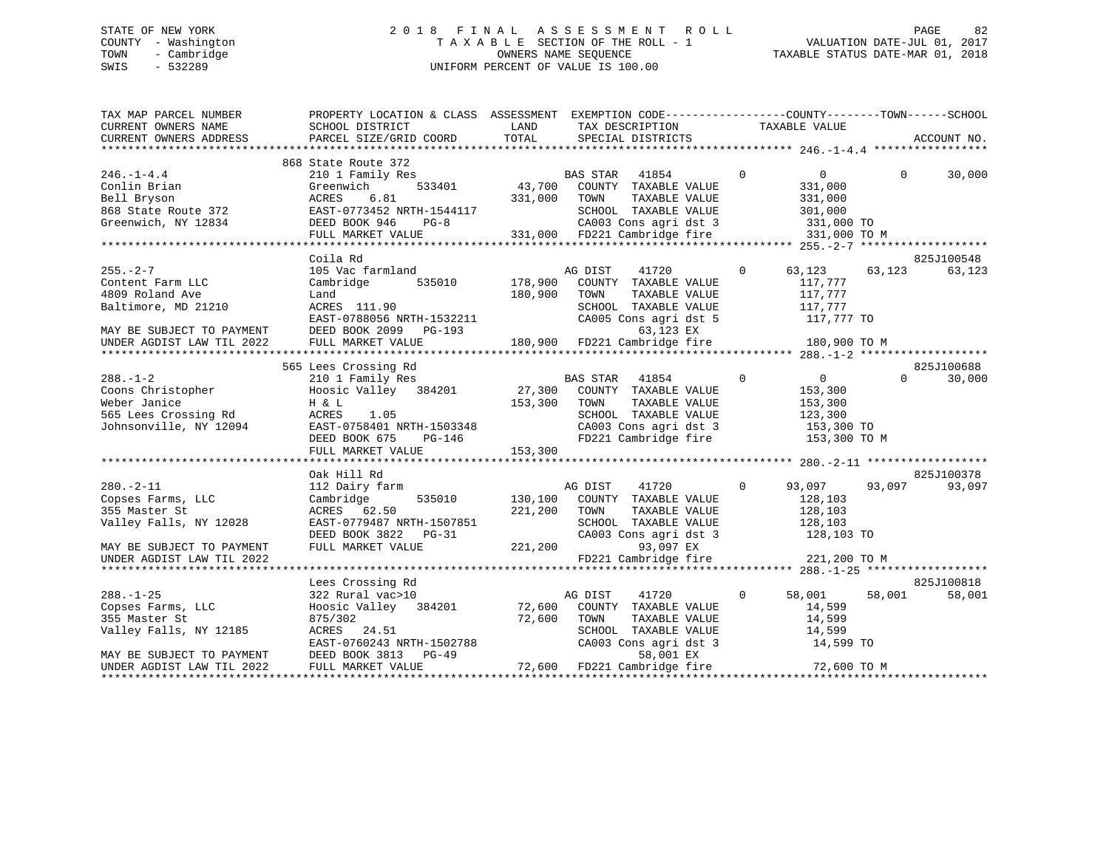# STATE OF NEW YORK 2 0 1 8 F I N A L A S S E S S M E N T R O L L PAGE 82 COUNTY - Washington T A X A B L E SECTION OF THE ROLL - 1 VALUATION DATE-JUL 01, 2017 TOWN - Cambridge OWNERS NAME SEQUENCE TAXABLE STATUS DATE-MAR 01, 2018 SWIS - 532289 UNIFORM PERCENT OF VALUE IS 100.00

| TAX MAP PARCEL NUMBER<br>CURRENT OWNERS NAME | PROPERTY LOCATION & CLASS ASSESSMENT EXEMPTION CODE----------------COUNTY-------TOWN------SCHOOL<br>SCHOOL DISTRICT                                                                                                                  | LAND         | TAX DESCRIPTION TAXABLE VALUE SPECIAL DISTRICTS                       |                |                |          |             |
|----------------------------------------------|--------------------------------------------------------------------------------------------------------------------------------------------------------------------------------------------------------------------------------------|--------------|-----------------------------------------------------------------------|----------------|----------------|----------|-------------|
| CURRENT OWNERS ADDRESS                       | PARCEL SIZE/GRID COORD                                                                                                                                                                                                               | TOTAL        |                                                                       |                |                |          | ACCOUNT NO. |
|                                              | 868 State Route 372                                                                                                                                                                                                                  |              |                                                                       |                |                |          |             |
| $246. - 1 - 4.4$                             | 210 1 Family Res                                                                                                                                                                                                                     |              | $\overline{0}$                                                        |                | $\overline{0}$ | $\Omega$ | 30,000      |
| Conlin Brian                                 | 533401<br>Greenwich                                                                                                                                                                                                                  |              | BAS STAR 41854<br>43,700 COUNTY TAXABLE VALUE                         |                | 331,000        |          |             |
|                                              | ACRES<br>6.81                                                                                                                                                                                                                        | 331,000 TOWN | TAXABLE VALUE                                                         |                | 331,000        |          |             |
| Bell Bryson<br>868 State Route 372           |                                                                                                                                                                                                                                      |              |                                                                       |                |                |          |             |
|                                              |                                                                                                                                                                                                                                      |              |                                                                       |                |                |          |             |
| Greenwich, NY 12834                          | EAST-0773452 NRTH-1544117<br>DEED BOOK 946 PG-8<br>PG-8 331,000 FD221 Cambridge fire 331,000 TO MEULL MARKET VALUE 331,000 FD221 Cambridge fire 331,000 TO M                                                                         |              |                                                                       |                |                |          |             |
|                                              |                                                                                                                                                                                                                                      |              |                                                                       |                |                |          |             |
|                                              |                                                                                                                                                                                                                                      |              |                                                                       |                |                |          |             |
|                                              | Coila Rd                                                                                                                                                                                                                             |              |                                                                       |                |                |          | 825J100548  |
| $255. - 2 - 7$                               | 105 Vac farmland                                                                                                                                                                                                                     |              | AG DIST<br>41720                                                      | $\circ$        | 63,123 63,123  |          | 63,123      |
| Content Farm LLC                             | 535010 178,900<br>Cambridge                                                                                                                                                                                                          |              | COUNTY TAXABLE VALUE                                                  |                | 117,777        |          |             |
| 4809 Roland Ave                              | Land                                                                                                                                                                                                                                 | 180,900      | TOWN<br>TAXABLE VALUE                                                 |                | 117,777        |          |             |
| Baltimore, MD 21210                          | ACRES 111.90                                                                                                                                                                                                                         |              | SCHOOL TAXABLE VALUE                                                  |                | 117,777        |          |             |
|                                              |                                                                                                                                                                                                                                      |              |                                                                       |                |                |          |             |
|                                              |                                                                                                                                                                                                                                      |              |                                                                       |                |                |          |             |
|                                              |                                                                                                                                                                                                                                      |              |                                                                       |                |                |          |             |
|                                              | Baltimore, MD 21210 ACRES 111.90<br>EAST-0788056 NRTH-1532211 CA005 Cons agri dst 5 117,777 TO<br>MAY BE SUBJECT TO PAYMENT DEED BOOK 2099 PG-193 63,123 EX<br>UNDER AGDIST LAW TIL 2022 FULL MARKET VALUE 180,900 FD221 Cambridge f |              |                                                                       |                |                |          |             |
|                                              | 565 Lees Crossing Rd                                                                                                                                                                                                                 |              |                                                                       |                |                |          | 825J100688  |
| $288. - 1 - 2$                               | 210 1 Family Res                                                                                                                                                                                                                     |              | BAS STAR 41854                                                        | $\overline{0}$ | $\overline{0}$ | $\Omega$ | 30,000      |
| Coons Christopher                            | Hoosic Valley 384201 27,300 COUNTY TAXABLE VALUE                                                                                                                                                                                     |              |                                                                       |                | 153,300        |          |             |
| Weber Janice                                 | H & L                                                                                                                                                                                                                                | 153,300      | TAXABLE VALUE<br>TOWN                                                 |                | 153,300        |          |             |
| 565 Lees Crossing Rd                         | ACRES<br>1.05                                                                                                                                                                                                                        |              | SCHOOL TAXABLE VALUE                                                  |                | 123,300        |          |             |
| Johnsonville, NY 12094                       |                                                                                                                                                                                                                                      |              |                                                                       |                |                |          |             |
|                                              |                                                                                                                                                                                                                                      |              | CA003 Cons agri dst 3 153,300 TO<br>FD221 Cambridge fire 153,300 TO M |                |                |          |             |
|                                              | EAST-0758401 NRTH-1503348<br>DEED BOOK 675 PG-146<br>FIILL MADKET WALLER<br>FULL MARKET VALUE                                                                                                                                        | 153,300      |                                                                       |                |                |          |             |
|                                              |                                                                                                                                                                                                                                      |              |                                                                       |                |                |          |             |
|                                              | Oak Hill Rd                                                                                                                                                                                                                          |              |                                                                       |                |                |          | 825J100378  |
| $280. - 2 - 11$                              | 112 Dairy farm                                                                                                                                                                                                                       |              | 41720                                                                 | $\mathbf 0$    | 93,097         | 93,097   | 93,097      |
|                                              |                                                                                                                                                                                                                                      |              | AG DIST                                                               |                |                |          |             |
| Copses Farms, LLC                            | Cambridge                                                                                                                                                                                                                            |              | 535010 130,100 COUNTY TAXABLE VALUE                                   |                | 128,103        |          |             |
| 355 Master St                                | ACRES 62.50                                                                                                                                                                                                                          | 221,200 TOWN | TAXABLE VALUE                                                         |                | 128,103        |          |             |
| Valley Falls, NY 12028                       | EAST-0779487 NRTH-1507851                                                                                                                                                                                                            |              | SCHOOL TAXABLE VALUE 128,103                                          |                |                |          |             |
|                                              | DEED BOOK 3822 PG-31                                                                                                                                                                                                                 |              | CA003 Cons agri dst 3                                                 |                | 128,103 TO     |          |             |
| MAY BE SUBJECT TO PAYMENT                    | FULL MARKET VALUE                                                                                                                                                                                                                    | 221,200      | 93,097 EX                                                             |                |                |          |             |
| UNDER AGDIST LAW TIL 2022                    |                                                                                                                                                                                                                                      |              | FD221 Cambridge fire                                                  |                | 221,200 TO M   |          |             |
|                                              |                                                                                                                                                                                                                                      |              |                                                                       |                |                |          |             |
|                                              | Lees Crossing Rd                                                                                                                                                                                                                     |              |                                                                       |                |                |          | 825J100818  |
| $288. - 1 - 25$                              | 322 Rural vac>10                                                                                                                                                                                                                     |              | AG DIST<br>41720                                                      | $\overline{0}$ | 58,001         | 58,001   | 58,001      |
| Copses Farms, LLC                            | Hoosic Valley 384201 72,600 COUNTY TAXABLE VALUE                                                                                                                                                                                     |              |                                                                       |                | 14,599         |          |             |
| 355 Master St                                | 875/302                                                                                                                                                                                                                              | 72,600       | TOWN<br>TAXABLE VALUE                                                 |                | 14,599         |          |             |
| Valley Falls, NY 12185                       | ACRES 24.51                                                                                                                                                                                                                          |              | SCHOOL TAXABLE VALUE                                                  |                | 14,599         |          |             |
|                                              | EAST-0760243 NRTH-1502788                                                                                                                                                                                                            |              | CA003 Cons agri dst 3                                                 |                | 14,599 TO      |          |             |
| MAY BE SUBJECT TO PAYMENT                    | DEED BOOK 3813 PG-49                                                                                                                                                                                                                 |              | 58,001 EX                                                             |                |                |          |             |
| UNDER AGDIST LAW TIL 2022                    | FULL MARKET VALUE                                                                                                                                                                                                                    |              | 72,600 FD221 Cambridge fire 72,600 TO M                               |                |                |          |             |
|                                              |                                                                                                                                                                                                                                      |              |                                                                       |                |                |          |             |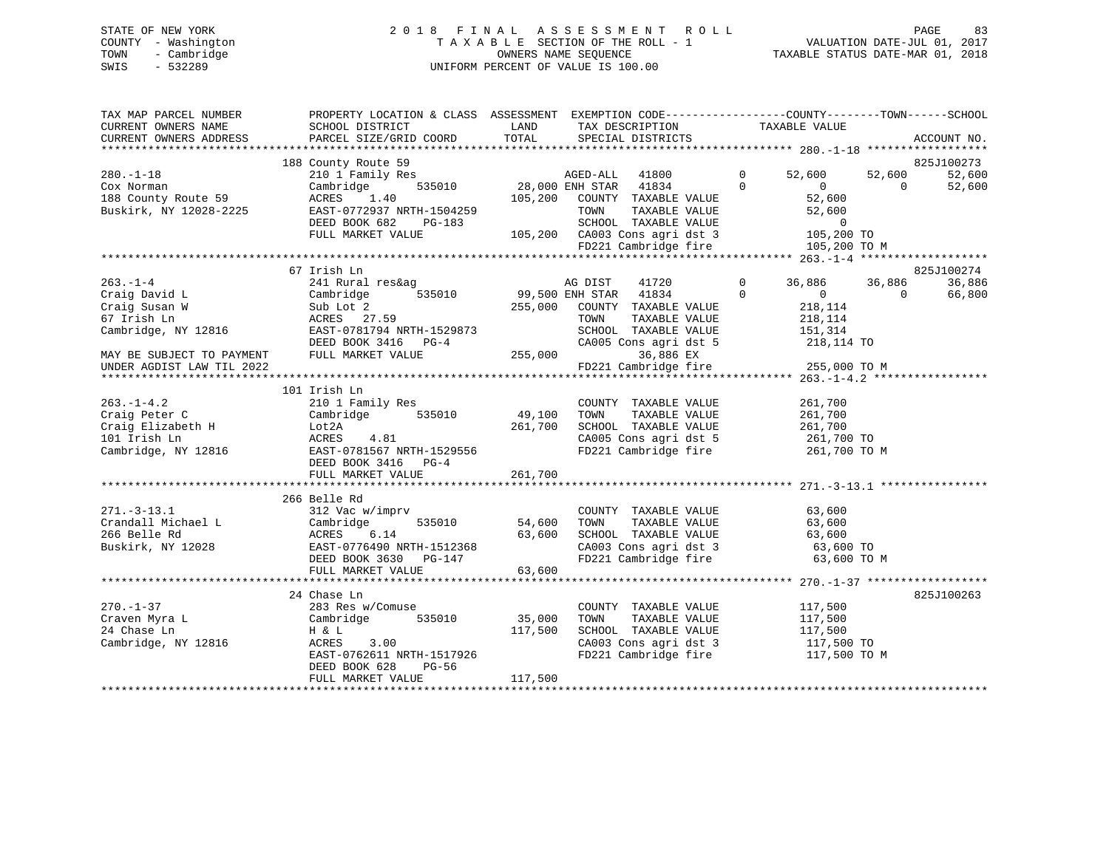# STATE OF NEW YORK 2 0 1 8 F I N A L A S S E S S M E N T R O L L PAGE 83 COUNTY - Washington T A X A B L E SECTION OF THE ROLL - 1 VALUATION DATE-JUL 01, 2017 TOWN - Cambridge OWNERS NAME SEQUENCE TAXABLE STATUS DATE-MAR 01, 2018 SWIS - 532289 UNIFORM PERCENT OF VALUE IS 100.00

| TAX MAP PARCEL NUMBER<br>CURRENT OWNERS NAME<br>CURRENT OWNERS ADDRESS                                                                           | SCHOOL DISTRICT<br>PARCEL SIZE/GRID COORD                                                                                                                                                                                                              | LAND<br>TOTAL                | TAX DESCRIPTION TAXABLE VALUE SPECIAL DISTRICTS                                                                                                                               | PROPERTY LOCATION & CLASS ASSESSMENT EXEMPTION CODE----------------COUNTY-------TOWN------SCHOOL                                                          | ACCOUNT NO.                    |
|--------------------------------------------------------------------------------------------------------------------------------------------------|--------------------------------------------------------------------------------------------------------------------------------------------------------------------------------------------------------------------------------------------------------|------------------------------|-------------------------------------------------------------------------------------------------------------------------------------------------------------------------------|-----------------------------------------------------------------------------------------------------------------------------------------------------------|--------------------------------|
| $280. - 1 - 18$<br>Cox Norman<br>188 County Route 59<br>Buskirk, NY 12028-2225                                                                   | 188 County Route 59<br>Cambridge<br>$\begin{tabular}{lcccc} ACRES & 1.40 & 105,200 & COUNTY & TAXABLE VALUE \\ EAST-0772937 NRTH-1504259 & TOWN & TAXABLE VALUE \\ DEED BOOK 682 & PG-183 & SCHOOL & TAXABLE VALUE \end{tabular}$<br>FULL MARKET VALUE |                              | 535010 28,000 ENH STAR 41834<br>SCHOOL TAXABLE VALUE 0<br>105,200 CA003 Cons agri dst 3 105,200<br>FD221 Cambridge fire                                                       | $\overline{0}$<br>52,600<br>52,600<br>$\Omega$<br>$\overline{0}$<br>$\Omega$<br>52,600<br>52,600<br>105,200 TO<br>105,200 TO M                            | 825J100273<br>52,600<br>52,600 |
| $263. - 1 - 4$<br>Craig David L<br>Craig Susan W<br>67 Irish Ln<br>Cambridge, NY 12816<br>MAY BE SUBJECT TO PAYMENT<br>UNDER AGDIST LAW TIL 2022 | 67 Irish Ln<br>241 Rural res&ag<br>535010<br>Cambridge<br>Sub Lot 2<br>ACRES 27.59<br>EAST-0781794 NRTH-1529873<br>DEED BOOK 3416 PG-4<br>FULL MARKET VALUE                                                                                            | $CAOO5$ $C_1$                | 41720<br>AG DIST<br>99,500 ENH STAR $41834$<br>255,000 COUNTY TAXABLE VALUE<br>TAXABLE VALUE<br>TOWN<br>SCHOOL TAXABLE VALUE<br>CA005 Cons agri dst 5 218,114 TO<br>36,886 EX | $\overline{0}$<br>36,886 36,886<br>$\mathbf{0}$<br>$\overline{0}$<br>$\overline{0}$<br>218,114<br>218,114<br>151,314<br>FD221 Cambridge fire 255,000 TO M | 825J100274<br>36,886<br>66,800 |
| $263. -1 - 4.2$<br>Craig Peter C<br>Craig Elizabeth H<br>101 Irish Ln<br>Cambridge, NY 12816                                                     | 101 Irish Ln<br>210 1 Family Res<br>Cambridge 535010 49,100<br>Lot2A<br>ACRES<br>4.81<br>EAST-0781567 NRTH-1529556<br>DEED BOOK 3416 PG-4<br>FULL MARKET VALUE                                                                                         | 261,700<br>261,700           | COUNTY TAXABLE VALUE<br>TOWN<br>TAXABLE VALUE<br>SCHOOL TAXABLE VALUE<br>CA005 Cons agri dst 5 261,700 TO<br>FD221 Cambridge fire                                             | 261,700<br>261,700<br>261,700<br>261,700 TO M                                                                                                             |                                |
| 271.-3-13.1<br>Crandall Michael L<br>Crandall Michael L<br>266 Belle Rd<br>ACRES                                                                 | 266 Belle Rd<br>312 Vac w/imprv<br>535010 54,600<br>Cambridge<br>DEED BOOK 3630 PG-147<br>FULL MARKET VALUE                                                                                                                                            | 63,600<br>63,600             | COUNTY TAXABLE VALUE<br>TOWN      TAXABLE VALUE<br>SCHOOL   TAXABLE VALUE<br>CA003 Cons agri dst 3 63,600 TO<br>FD221 Cambridge fire                                          | 63,600<br>63,600<br>63,600<br>63,600 TO M                                                                                                                 |                                |
| $270. - 1 - 37$<br>Craven Myra L<br>24 Chase Ln<br>Cambridge, NY 12816                                                                           | 24 Chase Ln<br>283 Res w/Comuse<br>Cambridge 535010<br>H & L<br>ACRES<br>3.00<br>EAST-0762611 NRTH-1517926<br>DEED BOOK 628<br>PG-56<br>FULL MARKET VALUE                                                                                              | 35,000<br>117,500<br>117,500 | COUNTY TAXABLE VALUE<br>TAXABLE VALUE<br>TOWN<br>SCHOOL TAXABLE VALUE<br>CA003 Cons agri dst 3 117,500 TO<br>FD221 Cambridge fire                                             | 117,500<br>117,500<br>117,500<br>117,500 TO M                                                                                                             | 825J100263                     |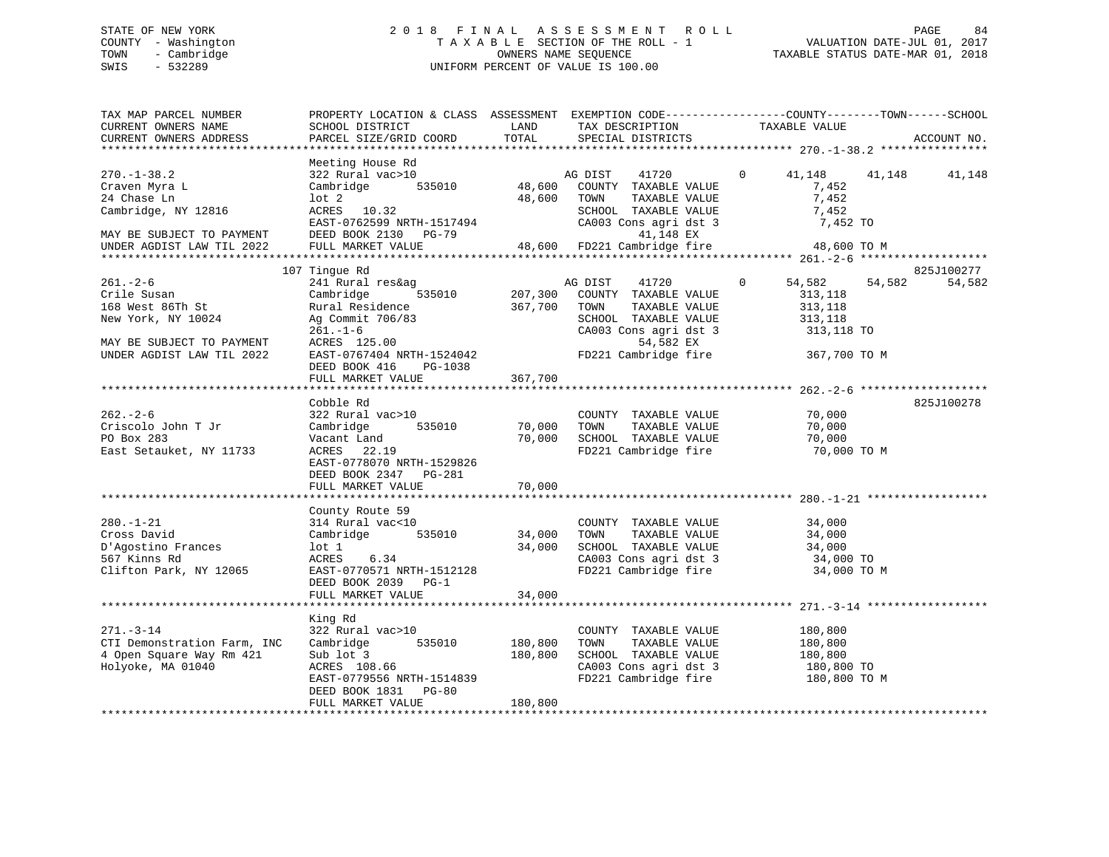# STATE OF NEW YORK 2 0 1 8 F I N A L A S S E S S M E N T R O L L PAGE 84 COUNTY - Washington T A X A B L E SECTION OF THE ROLL - 1 VALUATION DATE-JUL 01, 2017 TOWN - Cambridge OWNERS NAME SEQUENCE TAXABLE STATUS DATE-MAR 01, 2018 SWIS - 532289 UNIFORM PERCENT OF VALUE IS 100.00

| TAX MAP PARCEL NUMBER<br>CURRENT OWNERS NAME<br>CURRENT OWNERS ADDRESS                                                            | PROPERTY LOCATION & CLASS ASSESSMENT EXEMPTION CODE----------------COUNTY-------TOWN-----SCHOOL<br>SCHOOL DISTRICT<br>PARCEL SIZE/GRID COORD                                               | LAND<br>TOTAL                 | TAX DESCRIPTION<br>SPECIAL DISTRICTS                                                                                                                    | TAXABLE VALUE                                                                         | ACCOUNT NO.                    |
|-----------------------------------------------------------------------------------------------------------------------------------|--------------------------------------------------------------------------------------------------------------------------------------------------------------------------------------------|-------------------------------|---------------------------------------------------------------------------------------------------------------------------------------------------------|---------------------------------------------------------------------------------------|--------------------------------|
|                                                                                                                                   |                                                                                                                                                                                            |                               |                                                                                                                                                         |                                                                                       |                                |
| $270. - 1 - 38.2$<br>Craven Myra L<br>24 Chase Ln<br>Cambridge, NY 12816<br>MAY BE SUBJECT TO PAYMENT                             | Meeting House Rd<br>322 Rural vac>10<br>535010<br>Cambridge<br>$1$ ot $2$<br>ACRES 10.32<br>EAST-0762599 NRTH-1517494<br>DEED BOOK 2130 PG-79                                              | 48,600                        | AG DIST<br>41720<br>48,600 COUNTY TAXABLE VALUE<br>TOWN<br>TAXABLE VALUE<br>SCHOOL TAXABLE VALUE<br>CA003 Cons agri dst 3<br>41,148 EX                  | $\mathbf{0}$<br>41,148<br>7,452<br>7,452<br>7,452<br>7,452 TO                         | 41,148<br>41,148               |
| UNDER AGDIST LAW TIL 2022                                                                                                         | FULL MARKET VALUE                                                                                                                                                                          |                               | 48,600 FD221 Cambridge fire                                                                                                                             | 48,600 TO M                                                                           |                                |
|                                                                                                                                   |                                                                                                                                                                                            |                               |                                                                                                                                                         |                                                                                       |                                |
| $261. - 2 - 6$<br>Crile Susan<br>168 West 86Th St<br>New York, NY 10024<br>MAY BE SUBJECT TO PAYMENT<br>UNDER AGDIST LAW TIL 2022 | 107 Tingue Rd<br>241 Rural res&ag<br>535010<br>Cambridge<br>Rural Residence<br>Ag Commit 706/83<br>$261. - 1 - 6$<br>ACRES 125.00<br>EAST-0767404 NRTH-1524042<br>DEED BOOK 416<br>PG-1038 | 207,300<br>367,700            | AG DIST<br>41720<br>COUNTY TAXABLE VALUE<br>TOWN<br>TAXABLE VALUE<br>SCHOOL TAXABLE VALUE<br>CA003 Cons agri dst 3<br>54,582 EX<br>FD221 Cambridge fire | 54,582<br>$\mathbf{0}$<br>313,118<br>313,118<br>313,118<br>313,118 TO<br>367,700 TO M | 825J100277<br>54,582<br>54,582 |
|                                                                                                                                   | FULL MARKET VALUE                                                                                                                                                                          | 367,700                       |                                                                                                                                                         |                                                                                       |                                |
| $262 - 2 - 6$<br>Criscolo John T Jr<br>PO Box 283<br>East Setauket, NY 11733                                                      | Cobble Rd<br>322 Rural vac>10<br>Cambridge<br>535010<br>Vacant Land<br>ACRES 22.19<br>EAST-0778070 NRTH-1529826<br>DEED BOOK 2347 PG-281<br>FULL MARKET VALUE                              | 70,000<br>70,000<br>70,000    | COUNTY TAXABLE VALUE<br>TOWN<br>TAXABLE VALUE<br>SCHOOL TAXABLE VALUE<br>FD221 Cambridge fire                                                           | 70,000<br>70,000<br>70,000<br>70,000 TO M                                             | 825J100278                     |
|                                                                                                                                   | County Route 59                                                                                                                                                                            |                               |                                                                                                                                                         |                                                                                       |                                |
| $280. - 1 - 21$<br>Cross David<br>D'Agostino Frances<br>567 Kinns Rd<br>Clifton Park, NY 12065                                    | 314 Rural vac<10<br>535010<br>Cambridge<br>lot 1<br>ACRES<br>6.34<br>EAST-0770571 NRTH-1512128<br>DEED BOOK 2039 PG-1<br>FULL MARKET VALUE                                                 | 34,000<br>34,000<br>34,000    | COUNTY TAXABLE VALUE<br>TAXABLE VALUE<br>TOWN<br>SCHOOL TAXABLE VALUE<br>CA003 Cons agri dst 3<br>FD221 Cambridge fire                                  | 34,000<br>34,000<br>34,000<br>34,000 TO<br>34,000 TO M                                |                                |
|                                                                                                                                   | ************************                                                                                                                                                                   | ***********                   | *********************************** 271.-3-14 *****                                                                                                     |                                                                                       |                                |
| $271. - 3 - 14$<br>CTI Demonstration Farm, INC<br>4 Open Square Way Rm 421<br>Holyoke, MA 01040                                   | King Rd<br>322 Rural vac>10<br>535010<br>Cambridge<br>Sub lot 3<br>ACRES 108.66<br>EAST-0779556 NRTH-1514839<br>DEED BOOK 1831 PG-80<br>FULL MARKET VALUE                                  | 180,800<br>180,800<br>180,800 | COUNTY TAXABLE VALUE<br>TOWN<br>TAXABLE VALUE<br>SCHOOL TAXABLE VALUE<br>CA003 Cons agri dst 3<br>FD221 Cambridge fire 180,800 TO M                     | 180,800<br>180,800<br>180,800<br>180,800 TO                                           |                                |
|                                                                                                                                   |                                                                                                                                                                                            |                               |                                                                                                                                                         |                                                                                       |                                |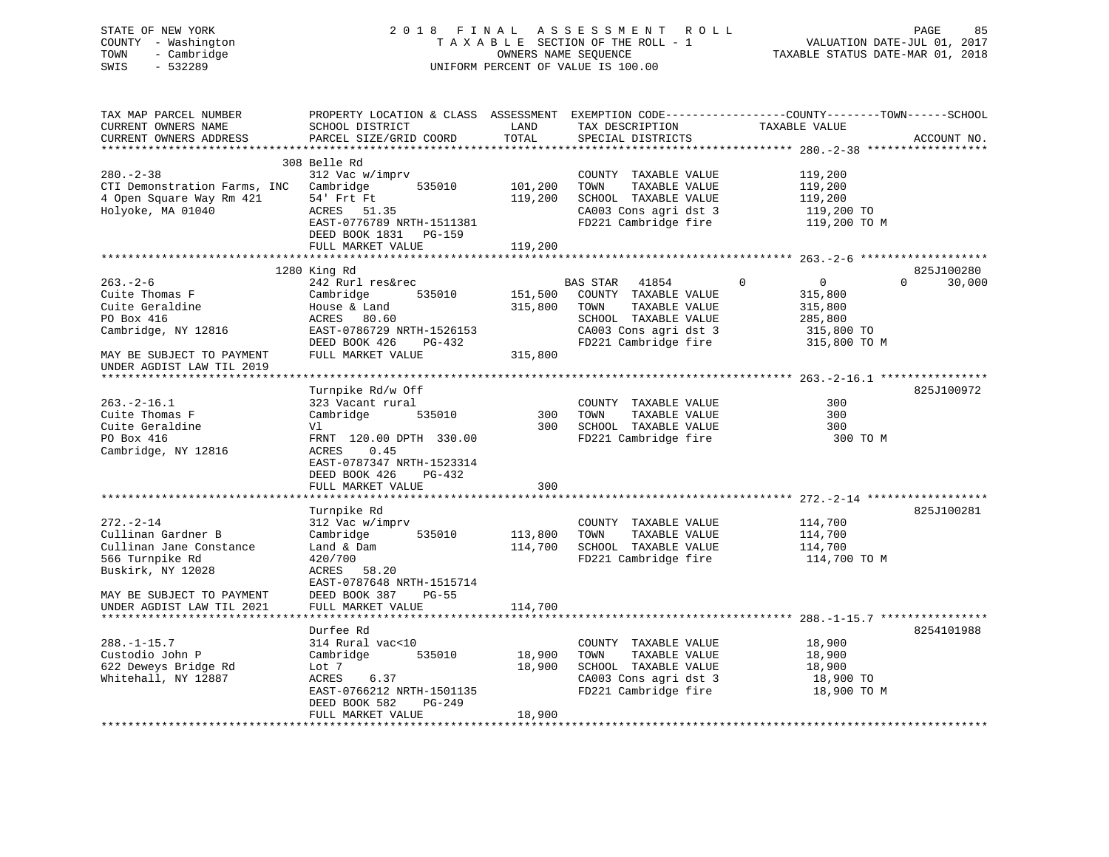# STATE OF NEW YORK 2 0 1 8 F I N A L A S S E S S M E N T R O L L PAGE 85 COUNTY - Washington T A X A B L E SECTION OF THE ROLL - 1 VALUATION DATE-JUL 01, 2017 TOWN - Cambridge OWNERS NAME SEQUENCE TAXABLE STATUS DATE-MAR 01, 2018 SWIS - 532289 UNIFORM PERCENT OF VALUE IS 100.00

| TAX MAP PARCEL NUMBER        | PROPERTY LOCATION & CLASS ASSESSMENT |         |                       | EXEMPTION CODE-----------------COUNTY-------TOWN------SCHOOL |                    |
|------------------------------|--------------------------------------|---------|-----------------------|--------------------------------------------------------------|--------------------|
| CURRENT OWNERS NAME          | SCHOOL DISTRICT                      | LAND    | TAX DESCRIPTION       | TAXABLE VALUE                                                |                    |
| CURRENT OWNERS ADDRESS       | PARCEL SIZE/GRID COORD               | TOTAL   | SPECIAL DISTRICTS     |                                                              | ACCOUNT NO.        |
|                              |                                      |         |                       |                                                              |                    |
|                              | 308 Belle Rd                         |         |                       |                                                              |                    |
| $280. - 2 - 38$              | 312 Vac w/imprv                      |         | COUNTY TAXABLE VALUE  | 119,200                                                      |                    |
| CTI Demonstration Farms, INC | Cambridge<br>535010                  | 101,200 | TAXABLE VALUE<br>TOWN | 119,200                                                      |                    |
| 4 Open Square Way Rm 421     | 54' Frt Ft                           | 119,200 | SCHOOL TAXABLE VALUE  | 119,200                                                      |                    |
| Holyoke, MA 01040            | ACRES<br>51.35                       |         | CA003 Cons agri dst 3 | 119,200 TO                                                   |                    |
|                              | EAST-0776789 NRTH-1511381            |         | FD221 Cambridge fire  | 119,200 TO M                                                 |                    |
|                              | DEED BOOK 1831 PG-159                |         |                       |                                                              |                    |
|                              | FULL MARKET VALUE                    | 119,200 |                       |                                                              |                    |
|                              |                                      |         |                       |                                                              |                    |
|                              | 1280 King Rd                         |         |                       |                                                              | 825J100280         |
| $263 - 2 - 6$                | 242 Rurl res&rec                     |         | BAS STAR<br>41854     | $\mathbf 0$<br>$\overline{0}$                                | 30,000<br>$\Omega$ |
| Cuite Thomas F               | Cambridge<br>535010                  | 151,500 | COUNTY TAXABLE VALUE  | 315,800                                                      |                    |
| Cuite Geraldine              | House & Land                         | 315,800 | TAXABLE VALUE<br>TOWN | 315,800                                                      |                    |
| PO Box 416                   | ACRES<br>80.60                       |         | SCHOOL TAXABLE VALUE  | 285,800                                                      |                    |
| Cambridge, NY 12816          | EAST-0786729 NRTH-1526153            |         | CA003 Cons agri dst 3 | 315,800 TO                                                   |                    |
|                              | DEED BOOK 426<br>PG-432              |         | FD221 Cambridge fire  | 315,800 TO M                                                 |                    |
| MAY BE SUBJECT TO PAYMENT    | FULL MARKET VALUE                    | 315,800 |                       |                                                              |                    |
| UNDER AGDIST LAW TIL 2019    |                                      |         |                       |                                                              |                    |
|                              |                                      |         |                       |                                                              |                    |
|                              | Turnpike Rd/w Off                    |         |                       |                                                              | 825J100972         |
| $263. -2 - 16.1$             | 323 Vacant rural                     |         | COUNTY TAXABLE VALUE  | 300                                                          |                    |
| Cuite Thomas F               | 535010<br>Cambridge                  | 300     | TAXABLE VALUE<br>TOWN | 300                                                          |                    |
| Cuite Geraldine              | Vl                                   | 300     | SCHOOL TAXABLE VALUE  | 300                                                          |                    |
| PO Box 416                   | FRNT 120.00 DPTH 330.00              |         | FD221 Cambridge fire  | 300 TO M                                                     |                    |
| Cambridge, NY 12816          | ACRES<br>0.45                        |         |                       |                                                              |                    |
|                              | EAST-0787347 NRTH-1523314            |         |                       |                                                              |                    |
|                              | DEED BOOK 426<br>PG-432              |         |                       |                                                              |                    |
|                              | FULL MARKET VALUE                    | 300     |                       |                                                              |                    |
|                              |                                      |         |                       |                                                              |                    |
|                              | Turnpike Rd                          |         |                       |                                                              | 825J100281         |
| $272. - 2 - 14$              | 312 Vac w/imprv                      |         | COUNTY TAXABLE VALUE  | 114,700                                                      |                    |
| Cullinan Gardner B           | Cambridge<br>535010                  | 113,800 | TOWN<br>TAXABLE VALUE | 114,700                                                      |                    |
| Cullinan Jane Constance      | Land & Dam                           | 114,700 | SCHOOL TAXABLE VALUE  | 114,700                                                      |                    |
| 566 Turnpike Rd              | 420/700                              |         | FD221 Cambridge fire  | 114,700 TO M                                                 |                    |
| Buskirk, NY 12028            | ACRES<br>58.20                       |         |                       |                                                              |                    |
|                              | EAST-0787648 NRTH-1515714            |         |                       |                                                              |                    |
| MAY BE SUBJECT TO PAYMENT    | DEED BOOK 387<br>$PG-55$             |         |                       |                                                              |                    |
| UNDER AGDIST LAW TIL 2021    | FULL MARKET VALUE                    | 114,700 |                       |                                                              |                    |
|                              |                                      |         |                       |                                                              |                    |
|                              | Durfee Rd                            |         |                       |                                                              | 8254101988         |
| $288. - 1 - 15.7$            | 314 Rural vac<10                     |         | COUNTY TAXABLE VALUE  | 18,900                                                       |                    |
| Custodio John P              | Cambridge<br>535010                  | 18,900  | TAXABLE VALUE<br>TOWN | 18,900                                                       |                    |
| 622 Deweys Bridge Rd         | Lot 7                                | 18,900  | SCHOOL TAXABLE VALUE  | 18,900                                                       |                    |
| Whitehall, NY 12887          | ACRES<br>6.37                        |         | CA003 Cons agri dst 3 | 18,900 TO                                                    |                    |
|                              | EAST-0766212 NRTH-1501135            |         | FD221 Cambridge fire  | 18,900 TO M                                                  |                    |
|                              | DEED BOOK 582<br><b>PG-249</b>       |         |                       |                                                              |                    |
|                              | FULL MARKET VALUE                    | 18,900  |                       |                                                              |                    |
|                              |                                      |         |                       |                                                              |                    |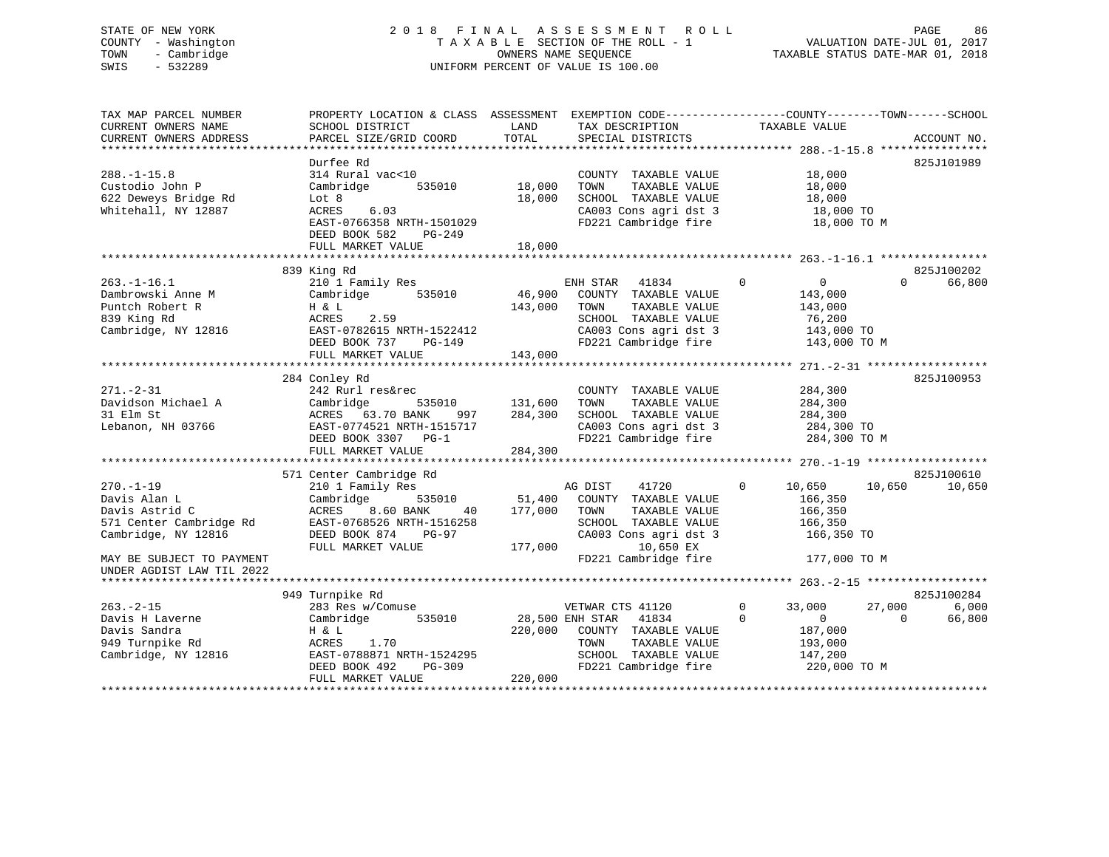# STATE OF NEW YORK 2 0 1 8 F I N A L A S S E S S M E N T R O L L PAGE 86 COUNTY - Washington T A X A B L E SECTION OF THE ROLL - 1 VALUATION DATE-JUL 01, 2017 TOWN - Cambridge OWNERS NAME SEQUENCE TAXABLE STATUS DATE-MAR 01, 2018 SWIS - 532289 UNIFORM PERCENT OF VALUE IS 100.00

| TAX MAP PARCEL NUMBER<br>CURRENT OWNERS NAME | PROPERTY LOCATION & CLASS ASSESSMENT<br>SCHOOL DISTRICT | LAND    | EXEMPTION CODE-----------------COUNTY-------TOWN------SCHOOL<br>TAX DESCRIPTION | TAXABLE VALUE              |                        |
|----------------------------------------------|---------------------------------------------------------|---------|---------------------------------------------------------------------------------|----------------------------|------------------------|
| CURRENT OWNERS ADDRESS                       | PARCEL SIZE/GRID COORD                                  | TOTAL   | SPECIAL DISTRICTS                                                               |                            | ACCOUNT NO.            |
|                                              | Durfee Rd                                               |         |                                                                                 |                            | 825J101989             |
| $288. - 1 - 15.8$                            | 314 Rural vac<10                                        |         | COUNTY TAXABLE VALUE                                                            | 18,000                     |                        |
| Custodio John P                              | 535010<br>Cambridge                                     | 18,000  | TOWN<br>TAXABLE VALUE                                                           | 18,000                     |                        |
| 622 Deweys Bridge Rd                         | Lot 8                                                   | 18,000  | SCHOOL TAXABLE VALUE                                                            | 18,000                     |                        |
| Whitehall, NY 12887                          | 6.03<br>ACRES                                           |         | CA003 Cons agri dst 3                                                           | 18,000 TO                  |                        |
|                                              | EAST-0766358 NRTH-1501029<br>DEED BOOK 582<br>$PG-249$  |         | FD221 Cambridge fire                                                            | 18,000 TO M                |                        |
|                                              | FULL MARKET VALUE                                       | 18,000  |                                                                                 |                            |                        |
|                                              |                                                         |         |                                                                                 |                            |                        |
|                                              | 839 King Rd                                             |         |                                                                                 |                            | 825J100202<br>$\Omega$ |
| $263. - 1 - 16.1$                            | 210 1 Family Res                                        |         | ENH STAR<br>41834                                                               | $\overline{0}$<br>$\Omega$ | 66,800                 |
| Dambrowski Anne M                            | 535010<br>Cambridge                                     | 46,900  | COUNTY TAXABLE VALUE                                                            | 143,000                    |                        |
| Puntch Robert R                              | H & L                                                   | 143,000 | TAXABLE VALUE<br>TOWN                                                           | 143,000                    |                        |
| 839 King Rd                                  | 2.59<br>ACRES                                           |         | SCHOOL TAXABLE VALUE                                                            | 76,200                     |                        |
| Cambridge, NY 12816                          | EAST-0782615 NRTH-1522412                               |         | CA003 Cons agri dst 3                                                           | 143,000 TO                 |                        |
|                                              | DEED BOOK 737<br>PG-149                                 |         | FD221 Cambridge fire                                                            | 143,000 TO M               |                        |
|                                              | FULL MARKET VALUE                                       | 143,000 |                                                                                 |                            |                        |
|                                              |                                                         |         |                                                                                 |                            |                        |
|                                              | 284 Conley Rd                                           |         |                                                                                 |                            | 825J100953             |
| $271. - 2 - 31$                              | 242 Rurl res&rec                                        |         | COUNTY TAXABLE VALUE                                                            | 284,300                    |                        |
| Davidson Michael A                           | Cambridge<br>535010                                     | 131,600 | TOWN<br>TAXABLE VALUE                                                           | 284,300                    |                        |
| 31 Elm St                                    | ACRES 63.70 BANK<br>997                                 | 284,300 | SCHOOL TAXABLE VALUE                                                            | 284,300                    |                        |
| Lebanon, NH 03766                            | EAST-0774521 NRTH-1515717                               |         | CA003 Cons agri dst 3                                                           | 284,300 TO                 |                        |
|                                              | DEED BOOK 3307 PG-1                                     |         | FD221 Cambridge fire                                                            | 284,300 TO M               |                        |
|                                              | FULL MARKET VALUE                                       | 284,300 |                                                                                 |                            |                        |
|                                              |                                                         |         |                                                                                 |                            |                        |
|                                              | 571 Center Cambridge Rd                                 |         |                                                                                 |                            | 825J100610             |
| $270. - 1 - 19$                              | 210 1 Family Res                                        |         | 41720<br>AG DIST                                                                | 10,650<br>$\Omega$         | 10,650<br>10,650       |
| Davis Alan L                                 | Cambridge<br>535010                                     | 51,400  | COUNTY TAXABLE VALUE                                                            | 166,350                    |                        |
| Davis Astrid C                               | ACRES<br>8.60 BANK<br>40                                | 177,000 | TOWN<br>TAXABLE VALUE                                                           | 166,350                    |                        |
| 571 Center Cambridge Rd                      | EAST-0768526 NRTH-1516258                               |         | SCHOOL TAXABLE VALUE                                                            | 166,350                    |                        |
| Cambridge, NY 12816                          | DEED BOOK 874<br>$PG-97$                                |         | CA003 Cons agri dst 3                                                           | 166,350 TO                 |                        |
|                                              | FULL MARKET VALUE                                       | 177,000 | 10,650 EX                                                                       |                            |                        |
| MAY BE SUBJECT TO PAYMENT                    |                                                         |         | FD221 Cambridge fire                                                            | 177,000 TO M               |                        |
| UNDER AGDIST LAW TIL 2022                    |                                                         |         |                                                                                 |                            |                        |
|                                              |                                                         |         |                                                                                 |                            |                        |
|                                              | 949 Turnpike Rd                                         |         |                                                                                 |                            | 825J100284             |
| $263. - 2 - 15$                              | 283 Res w/Comuse                                        |         | VETWAR CTS 41120                                                                | 33,000<br>0                | 27,000<br>6,000        |
| Davis H Laverne                              | 535010<br>Cambridge                                     |         | 28,500 ENH STAR<br>41834                                                        | $\Omega$<br>$\overline{0}$ | 66,800<br>$\Omega$     |
| Davis Sandra                                 | H & L                                                   | 220,000 | COUNTY TAXABLE VALUE                                                            | 187,000                    |                        |
| 949 Turnpike Rd                              | ACRES<br>1.70                                           |         | TOWN<br>TAXABLE VALUE                                                           | 193,000                    |                        |
| Cambridge, NY 12816                          | EAST-0788871 NRTH-1524295                               |         | SCHOOL TAXABLE VALUE                                                            | 147,200                    |                        |
|                                              | PG-309<br>DEED BOOK 492                                 |         | FD221 Cambridge fire                                                            | 220,000 TO M               |                        |
|                                              | FULL MARKET VALUE                                       | 220,000 |                                                                                 |                            |                        |
|                                              |                                                         |         |                                                                                 |                            |                        |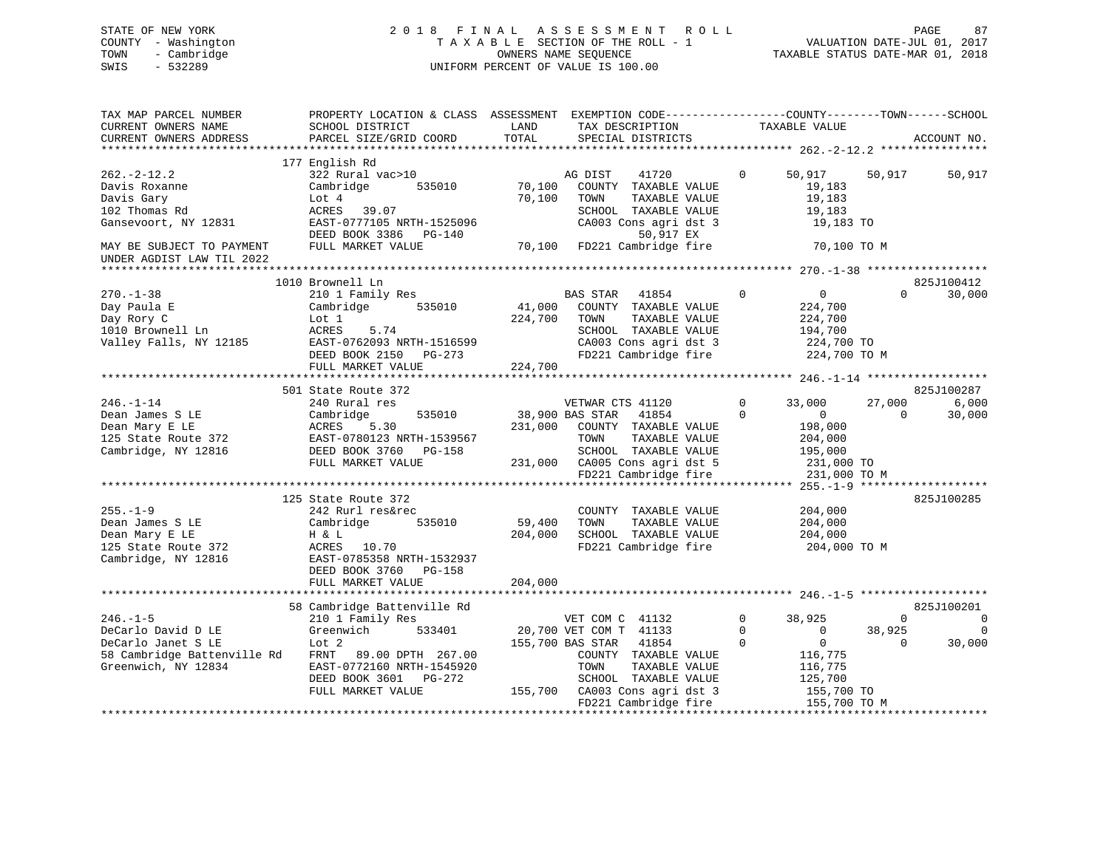# STATE OF NEW YORK 2 0 1 8 F I N A L A S S E S S M E N T R O L L PAGE 87 COUNTY - Washington T A X A B L E SECTION OF THE ROLL - 1 VALUATION DATE-JUL 01, 2017 TOWN - Cambridge OWNERS NAME SEQUENCE TAXABLE STATUS DATE-MAR 01, 2018 SWIS - 532289 UNIFORM PERCENT OF VALUE IS 100.00UNIFORM PERCENT OF VALUE IS 100.00

| TAX MAP PARCEL NUMBER<br>CURRENT OWNERS NAME                                                       | PROPERTY LOCATION & CLASS ASSESSMENT EXEMPTION CODE----------------COUNTY-------TOWN-----SCHOOL<br>SCHOOL DISTRICT<br>PARCEL SIZE/GRID COORD | LAND<br>TOTAL     | TAX DESCRIPTION                                                                                                                                                                |                   | TAXABLE VALUE                                                                           |                    | ACCOUNT NO.               |
|----------------------------------------------------------------------------------------------------|----------------------------------------------------------------------------------------------------------------------------------------------|-------------------|--------------------------------------------------------------------------------------------------------------------------------------------------------------------------------|-------------------|-----------------------------------------------------------------------------------------|--------------------|---------------------------|
| CURRENT OWNERS ADDRESS                                                                             |                                                                                                                                              |                   | SPECIAL DISTRICTS                                                                                                                                                              |                   |                                                                                         |                    |                           |
|                                                                                                    | 177 English Rd                                                                                                                               |                   |                                                                                                                                                                                |                   |                                                                                         |                    |                           |
| $262 - 2 - 12.2$<br>Davis Roxanne<br>Davis Gary<br>102 Thomas Rd                                   | 322 Rural vac>10<br>Cambridge<br>535010<br>Lot 4<br>ACRES 39.07                                                                              | 70,100<br>70,100  | AG DIST<br>41720<br>COUNTY TAXABLE VALUE<br>TAXABLE VALUE<br>TOWN<br>SCHOOL TAXABLE VALUE                                                                                      | $\Omega$          | 50,917<br>19,183<br>19,183<br>19,183                                                    | 50,917             | 50,917                    |
| Gansevoort, NY 12831<br>MAY BE SUBJECT TO PAYMENT                                                  | EAST-0777105 NRTH-1525096<br>DEED BOOK 3386 PG-140<br>FULL MARKET VALUE                                                                      | 70,100            | CA003 Cons agri dst 3<br>50,917 EX<br>FD221 Cambridge fire                                                                                                                     |                   | 19,183 TO<br>70,100 TO M                                                                |                    |                           |
| UNDER AGDIST LAW TIL 2022                                                                          |                                                                                                                                              |                   |                                                                                                                                                                                |                   |                                                                                         |                    |                           |
|                                                                                                    | 1010 Brownell Ln                                                                                                                             |                   |                                                                                                                                                                                |                   |                                                                                         |                    | 825J100412                |
| $270. - 1 - 38$<br>Day Paula E<br>Day Rory C<br>1010 Brownell Ln<br>Valley Falls, NY 12185         | 210 1 Family Res<br>Cambridge<br>535010<br>Lot 1<br>ACRES<br>5.74<br>EAST-0762093 NRTH-1516599<br>DEED BOOK 2150 PG-273                      | 41,000<br>224,700 | <b>BAS STAR</b><br>41854<br>COUNTY TAXABLE VALUE<br>TOWN<br>TAXABLE VALUE<br>SCHOOL TAXABLE VALUE<br>CA003 Cons agri dst 3<br>FD221 Cambridge fire                             | $\Omega$          | $\overline{0}$<br>224,700<br>224,700<br>194,700<br>224,700 TO<br>224,700 TO M           | $\Omega$           | 30,000                    |
|                                                                                                    | FULL MARKET VALUE                                                                                                                            | 224,700           |                                                                                                                                                                                |                   |                                                                                         |                    |                           |
|                                                                                                    |                                                                                                                                              |                   |                                                                                                                                                                                |                   |                                                                                         |                    |                           |
|                                                                                                    | 501 State Route 372                                                                                                                          |                   |                                                                                                                                                                                |                   |                                                                                         |                    | 825J100287                |
| $246. - 1 - 14$<br>Dean James S LE<br>Dean Mary E LE<br>125 State Route 372<br>Cambridge, NY 12816 | 240 Rural res<br>535010<br>Cambridge<br>ACRES<br>5.30<br>EAST-0780123 NRTH-1539567<br>DEED BOOK 3760 PG-158<br>FULL MARKET VALUE             | 231,000           | VETWAR CTS 41120<br>38,900 BAS STAR<br>41854<br>COUNTY TAXABLE VALUE<br>TAXABLE VALUE<br>TOWN<br>SCHOOL TAXABLE VALUE<br>231,000 CA005 Cons agri dst 5<br>FD221 Cambridge fire | $\mathbf{0}$<br>0 | 33,000<br>$\overline{0}$<br>198,000<br>204,000<br>195,000<br>231,000 TO<br>231,000 TO M | 27,000<br>$\Omega$ | 6,000<br>30,000           |
|                                                                                                    |                                                                                                                                              |                   |                                                                                                                                                                                |                   |                                                                                         |                    |                           |
| $255. - 1 - 9$<br>Dean James S LE<br>Dean Mary E LE<br>125 State Route 372<br>Cambridge, NY 12816  | 125 State Route 372<br>242 Rurl res&rec<br>Cambridge<br>535010<br>H & L<br>ACRES 10.70<br>EAST-0785358 NRTH-1532937<br>DEED BOOK 3760 PG-158 | 59,400<br>204,000 | COUNTY TAXABLE VALUE<br>TOWN<br>TAXABLE VALUE<br>SCHOOL TAXABLE VALUE<br>FD221 Cambridge fire                                                                                  |                   | 204,000<br>204,000<br>204,000<br>204,000 TO M                                           |                    | 825J100285                |
|                                                                                                    | FULL MARKET VALUE                                                                                                                            | 204,000           |                                                                                                                                                                                |                   |                                                                                         |                    |                           |
| $246. - 1 - 5$                                                                                     | 58 Cambridge Battenville Rd<br>210 1 Family Res                                                                                              |                   | VET COM C 41132                                                                                                                                                                | $\mathbf{0}$      | 38,925                                                                                  | $\Omega$           | 825J100201<br>$\mathbf 0$ |
| DeCarlo David D LE                                                                                 | Greenwich<br>533401                                                                                                                          |                   | 20,700 VET COM T 41133                                                                                                                                                         | $\Omega$          | $\overline{0}$                                                                          | 38,925             | $\Omega$                  |
| DeCarlo Janet S LE<br>58 Cambridge Battenville Rd<br>Greenwich, NY 12834                           | Lot <sub>2</sub><br>FRNT 89.00 DPTH 267.00<br>EAST-0772160 NRTH-1545920<br>DEED BOOK 3601 PG-272<br>FULL MARKET VALUE                        |                   | 155,700 BAS STAR<br>41854<br>COUNTY TAXABLE VALUE<br>TAXABLE VALUE<br>TOWN<br>SCHOOL TAXABLE VALUE<br>155,700 CA003 Cons agri dst 3<br>FD221 Cambridge fire                    | $\Omega$          | $\overline{0}$<br>116,775<br>116,775<br>125,700<br>155,700 TO<br>155,700 TO M           | $\Omega$           | 30,000                    |
|                                                                                                    |                                                                                                                                              |                   |                                                                                                                                                                                |                   |                                                                                         |                    |                           |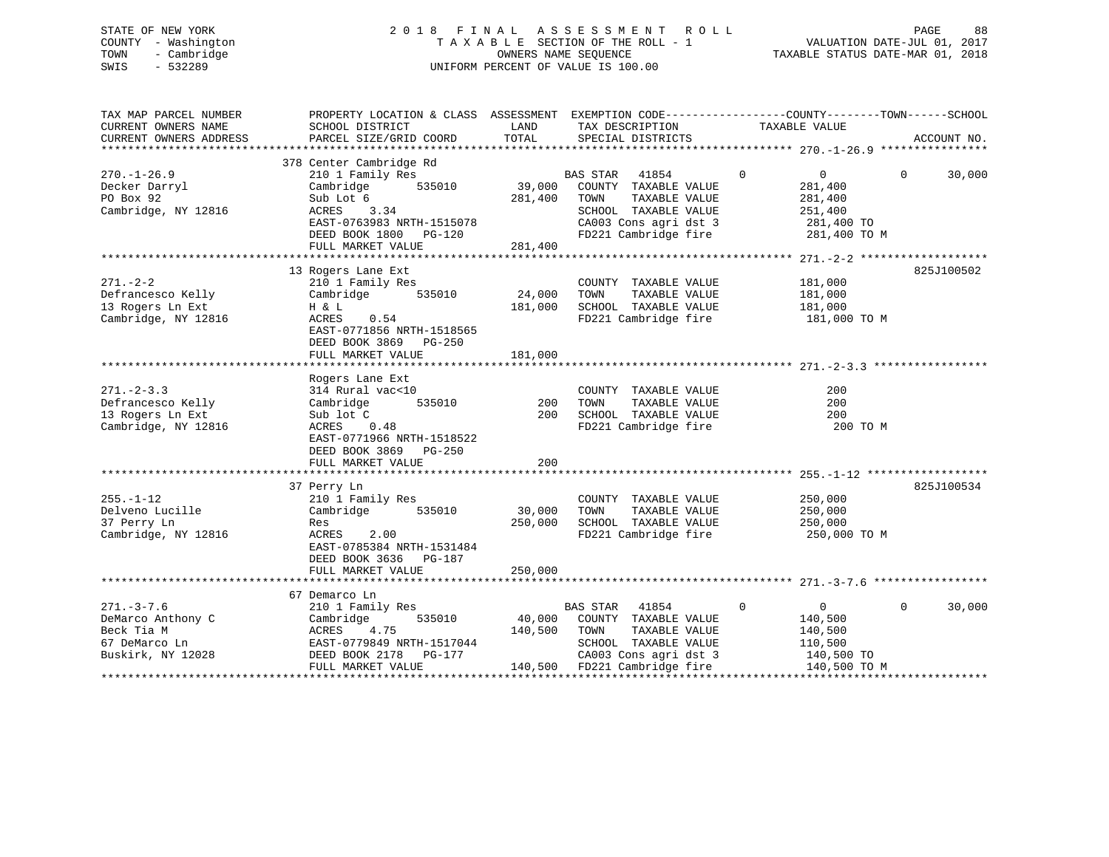# STATE OF NEW YORK 2 0 1 8 F I N A L A S S E S S M E N T R O L L PAGE 88 COUNTY - Washington T A X A B L E SECTION OF THE ROLL - 1 VALUATION DATE-JUL 01, 2017 TOWN - Cambridge OWNERS NAME SEQUENCE TAXABLE STATUS DATE-MAR 01, 2018 SWIS - 532289 UNIFORM PERCENT OF VALUE IS 100.00

| TAX MAP PARCEL NUMBER<br>CURRENT OWNERS NAME<br>CURRENT OWNERS ADDRESS          | PROPERTY LOCATION & CLASS ASSESSMENT EXEMPTION CODE---------------COUNTY-------TOWN-----SCHOOL<br>SCHOOL DISTRICT<br>PARCEL SIZE/GRID COORD                         | LAND<br>TOTAL                | TAX DESCRIPTION<br>SPECIAL DISTRICTS                                                                                                        | TAXABLE VALUE                                                                                   | ACCOUNT NO.        |
|---------------------------------------------------------------------------------|---------------------------------------------------------------------------------------------------------------------------------------------------------------------|------------------------------|---------------------------------------------------------------------------------------------------------------------------------------------|-------------------------------------------------------------------------------------------------|--------------------|
|                                                                                 |                                                                                                                                                                     |                              |                                                                                                                                             |                                                                                                 |                    |
| $270. - 1 - 26.9$<br>Decker Darryl<br>PO Box 92<br>Cambridge, NY 12816          | 378 Center Cambridge Rd<br>210 1 Family Res<br>535010<br>Cambridge<br>Sub Lot 6<br>3.34<br>ACRES<br>EAST-0763983 NRTH-1515078<br>DEED BOOK 1800 PG-120              | 39,000<br>281,400            | BAS STAR<br>41854<br>COUNTY TAXABLE VALUE<br>TAXABLE VALUE<br>TOWN<br>SCHOOL TAXABLE VALUE<br>CA003 Cons agri dst 3<br>FD221 Cambridge fire | $\mathbf 0$<br>$0 \qquad \qquad$<br>281,400<br>281,400<br>251,400<br>281,400 TO<br>281,400 TO M | 30,000<br>$\Omega$ |
|                                                                                 | FULL MARKET VALUE                                                                                                                                                   | 281,400                      |                                                                                                                                             |                                                                                                 |                    |
|                                                                                 |                                                                                                                                                                     |                              |                                                                                                                                             |                                                                                                 |                    |
| $271. - 2 - 2$<br>Defrancesco Kelly<br>13 Rogers Ln Ext<br>Cambridge, NY 12816  | 13 Rogers Lane Ext<br>210 1 Family Res<br>535010<br>Cambridge<br>H & L<br>ACRES<br>0.54<br>EAST-0771856 NRTH-1518565<br>DEED BOOK 3869 PG-250                       | 24,000<br>181,000            | COUNTY TAXABLE VALUE<br>TAXABLE VALUE<br>TOWN<br>SCHOOL TAXABLE VALUE<br>FD221 Cambridge fire                                               | 181,000<br>181,000<br>181,000<br>181,000 TO M                                                   | 825J100502         |
|                                                                                 | FULL MARKET VALUE                                                                                                                                                   | 181,000                      |                                                                                                                                             |                                                                                                 |                    |
| $271 - 2 - 3.3$<br>Defrancesco Kelly<br>13 Rogers Ln Ext<br>Cambridge, NY 12816 | Rogers Lane Ext<br>314 Rural vac<10<br>535010<br>Cambridge<br>Sub lot C<br>ACRES<br>0.48<br>EAST-0771966 NRTH-1518522<br>DEED BOOK 3869 PG-250<br>FULL MARKET VALUE | 200<br>200<br>200            | COUNTY TAXABLE VALUE<br>TAXABLE VALUE<br>TOWN<br>SCHOOL TAXABLE VALUE<br>FD221 Cambridge fire                                               | 200<br>200<br>200<br>200 TO M                                                                   |                    |
|                                                                                 |                                                                                                                                                                     |                              |                                                                                                                                             |                                                                                                 |                    |
| $255. - 1 - 12$<br>Delveno Lucille<br>37 Perry Ln<br>Cambridge, NY 12816        | 37 Perry Ln<br>210 1 Family Res<br>Cambridge<br>535010<br>Res<br>2.00<br>ACRES<br>EAST-0785384 NRTH-1531484<br>DEED BOOK 3636 PG-187<br>FULL MARKET VALUE           | 30,000<br>250,000<br>250,000 | COUNTY TAXABLE VALUE<br>TAXABLE VALUE<br>TOWN<br>SCHOOL TAXABLE VALUE<br>FD221 Cambridge fire                                               | 250,000<br>250,000<br>250,000<br>250,000 TO M                                                   | 825J100534         |
|                                                                                 |                                                                                                                                                                     |                              |                                                                                                                                             |                                                                                                 |                    |
| $271. - 3 - 7.6$<br>DeMarco Anthony C<br>Beck Tia M                             | 67 Demarco Ln<br>210 1 Family Res<br>Cambridge<br>535010<br>ACRES<br>4.75                                                                                           | 40,000<br>140,500            | <b>BAS STAR</b><br>41854<br>COUNTY TAXABLE VALUE<br>TOWN<br>TAXABLE VALUE                                                                   | $\mathbf 0$<br>$\overline{0}$<br>140,500<br>140,500                                             | 30,000<br>$\Omega$ |
| 67 DeMarco Ln<br>Buskirk, NY 12028                                              | EAST-0779849 NRTH-1517044<br>DEED BOOK 2178 PG-177<br>FULL MARKET VALUE                                                                                             |                              | SCHOOL TAXABLE VALUE<br>CA003 Cons agri dst 3<br>140,500 FD221 Cambridge fire                                                               | 110,500<br>140,500 TO<br>140,500 TO M                                                           |                    |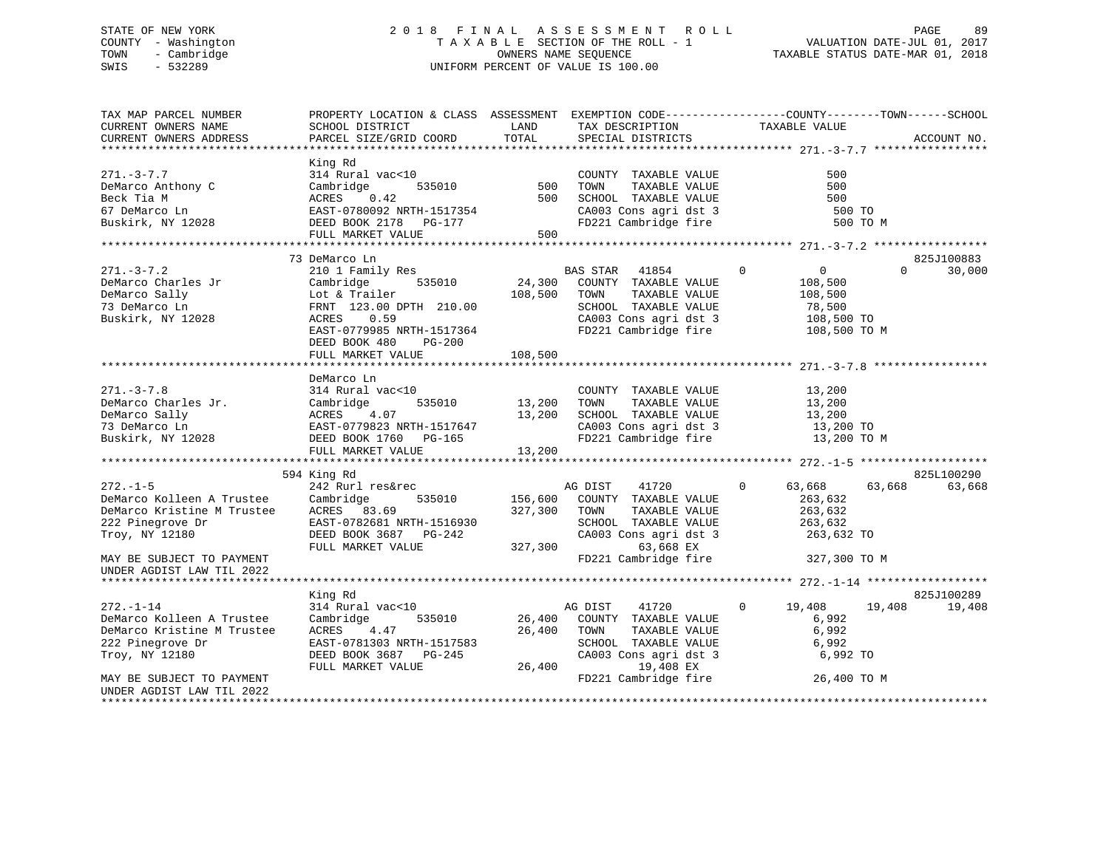# STATE OF NEW YORK 2 0 1 8 F I N A L A S S E S S M E N T R O L L PAGE 89 COUNTY - Washington T A X A B L E SECTION OF THE ROLL - 1 VALUATION DATE-JUL 01, 2017 TOWN - Cambridge OWNERS NAME SEQUENCE TAXABLE STATUS DATE-MAR 01, 2018 SWIS - 532289 UNIFORM PERCENT OF VALUE IS 100.00

| TAX MAP PARCEL NUMBER<br>CURRENT OWNERS NAME<br>CURRENT OWNERS ADDRESS                                                                        | PROPERTY LOCATION & CLASS ASSESSMENT<br>SCHOOL DISTRICT<br>PARCEL SIZE/GRID COORD                                                                            | LAND<br>TOTAL                 | TAX DESCRIPTION<br>SPECIAL DISTRICTS                                                                                                                    | EXEMPTION CODE-----------------COUNTY-------TOWN------SCHOOL<br>TAXABLE VALUE                   | ACCOUNT NO.        |
|-----------------------------------------------------------------------------------------------------------------------------------------------|--------------------------------------------------------------------------------------------------------------------------------------------------------------|-------------------------------|---------------------------------------------------------------------------------------------------------------------------------------------------------|-------------------------------------------------------------------------------------------------|--------------------|
| $271 - 3 - 7.7$<br>DeMarco Anthony C<br>Beck Tia M<br>67 DeMarco Ln<br>Buskirk, NY 12028                                                      | King Rd<br>314 Rural vac<10<br>Cambridge<br>535010<br>ACRES<br>0.42<br>EAST-0780092 NRTH-1517354<br>DEED BOOK 2178 PG-177<br>FULL MARKET VALUE               | 500<br>500<br>500             | COUNTY TAXABLE VALUE<br>TOWN<br>TAXABLE VALUE<br>SCHOOL TAXABLE VALUE<br>CA003 Cons agri dst 3<br>FD221 Cambridge fire                                  | 500<br>500<br>500<br>500 TO<br>500 TO M                                                         |                    |
|                                                                                                                                               | 73 DeMarco Ln                                                                                                                                                |                               |                                                                                                                                                         |                                                                                                 | 825J100883         |
| $271. - 3 - 7.2$<br>DeMarco Charles Jr<br>DeMarco Sally<br>73 DeMarco Ln<br>Buskirk, NY 12028                                                 | 210 1 Family Res<br>535010<br>Cambridge<br>Lot & Trailer<br>FRNT 123.00 DPTH 210.00<br>ACRES<br>0.59<br>EAST-0779985 NRTH-1517364<br>DEED BOOK 480<br>PG-200 | 24,300<br>108,500             | BAS STAR 41854<br>COUNTY TAXABLE VALUE<br>TOWN<br>TAXABLE VALUE<br>SCHOOL TAXABLE VALUE<br>CA003 Cons agri dst 3<br>FD221 Cambridge fire                | $\mathbf 0$<br>$\overline{0}$<br>108,500<br>108,500<br>78,500<br>108,500 TO<br>108,500 TO M     | 30,000<br>$\Omega$ |
|                                                                                                                                               | FULL MARKET VALUE                                                                                                                                            | 108,500                       |                                                                                                                                                         |                                                                                                 |                    |
| $271. - 3 - 7.8$<br>DeMarco Charles Jr.<br>DeMarco Sally<br>73 DeMarco Ln<br>Buskirk, NY 12028                                                | DeMarco Ln<br>314 Rural vac<10<br>535010<br>Cambridge<br>4.07<br>ACRES<br>EAST-0779823 NRTH-1517647<br>DEED BOOK 1760 PG-165<br>FULL MARKET VALUE            | 13,200<br>13,200<br>13,200    | COUNTY TAXABLE VALUE<br>TAXABLE VALUE<br>TOWN<br>SCHOOL TAXABLE VALUE<br>CA003 Cons agri dst 3<br>FD221 Cambridge fire                                  | 13,200<br>13,200<br>13,200<br>13,200 TO<br>13,200 TO M                                          |                    |
|                                                                                                                                               | 594 King Rd                                                                                                                                                  |                               |                                                                                                                                                         |                                                                                                 | 825L100290         |
| $272. - 1 - 5$<br>DeMarco Kolleen A Trustee<br>DeMarco Kristine M Trustee<br>222 Pinegrove Dr<br>Troy, NY 12180<br>MAY BE SUBJECT TO PAYMENT  | 242 Rurl res&rec<br>535010<br>Cambridge<br>ACRES 83.69<br>EAST-0782681 NRTH-1516930<br>DEED BOOK 3687 PG-242<br>FULL MARKET VALUE                            | 156,600<br>327,300<br>327,300 | AG DIST<br>41720<br>COUNTY TAXABLE VALUE<br>TAXABLE VALUE<br>TOWN<br>SCHOOL TAXABLE VALUE<br>CA003 Cons agri dst 3<br>63,668 EX<br>FD221 Cambridge fire | $\mathbf{0}$<br>63,668<br>63,668<br>263,632<br>263,632<br>263,632<br>263,632 TO<br>327,300 TO M | 63,668             |
| UNDER AGDIST LAW TIL 2022                                                                                                                     |                                                                                                                                                              |                               |                                                                                                                                                         |                                                                                                 |                    |
|                                                                                                                                               | King Rd                                                                                                                                                      |                               |                                                                                                                                                         |                                                                                                 | 825J100289         |
| $272. - 1 - 14$<br>DeMarco Kolleen A Trustee<br>DeMarco Kristine M Trustee<br>222 Pinegrove Dr<br>Troy, NY 12180<br>MAY BE SUBJECT TO PAYMENT | 314 Rural vac<10<br>535010<br>Cambridge<br>4.47<br>ACRES<br>EAST-0781303 NRTH-1517583<br>DEED BOOK 3687 PG-245<br>FULL MARKET VALUE                          | 26,400<br>26,400<br>26,400    | 41720<br>AG DIST<br>COUNTY TAXABLE VALUE<br>TOWN<br>TAXABLE VALUE<br>SCHOOL TAXABLE VALUE<br>CA003 Cons agri dst 3<br>19,408 EX<br>FD221 Cambridge fire | 19,408<br>$\circ$<br>19,408<br>6,992<br>6,992<br>6,992<br>6,992 TO<br>26,400 TO M               | 19,408             |
| UNDER AGDIST LAW TIL 2022                                                                                                                     |                                                                                                                                                              |                               |                                                                                                                                                         |                                                                                                 |                    |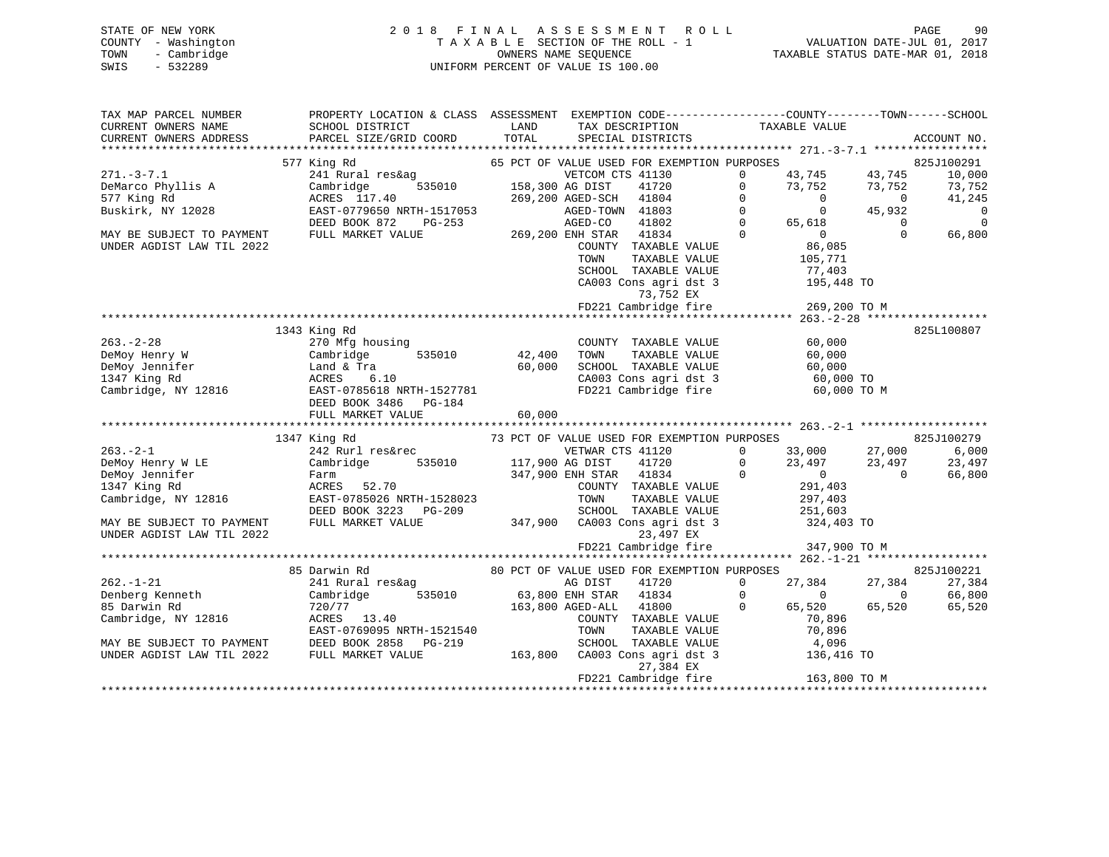# STATE OF NEW YORK 2 0 1 8 F I N A L A S S E S S M E N T R O L L PAGE 90 COUNTY - Washington T A X A B L E SECTION OF THE ROLL - 1 VALUATION DATE-JUL 01, 2017 TOWN - Cambridge OWNERS NAME SEQUENCE TAXABLE STATUS DATE-MAR 01, 2018 SWIS - 532289 UNIFORM PERCENT OF VALUE IS 100.00

| TAX MAP PARCEL NUMBER<br>CURRENT OWNERS NAME<br>CURRENT OWNERS ADDRESS                                                                                                                                                                           | PROPERTY LOCATION & CLASS ASSESSMENT EXEMPTION CODE----------------COUNTY-------TOWN------SCHOOL<br>SCHOOL DISTRICT<br>PARCEL SIZE/GRID COORD                                                                                  | <b>EXAMPLE THE STATE OF STATE OF STATE OF STATE OF STATE OF STATE OF STATE OF STATE</b><br>TOTAL | TAX DESCRIPTION TAXABLE VALUE SPECIAL DISTRICTS                                                                   |                                                                                                          |                                       | ACCOUNT NO.    |
|--------------------------------------------------------------------------------------------------------------------------------------------------------------------------------------------------------------------------------------------------|--------------------------------------------------------------------------------------------------------------------------------------------------------------------------------------------------------------------------------|--------------------------------------------------------------------------------------------------|-------------------------------------------------------------------------------------------------------------------|----------------------------------------------------------------------------------------------------------|---------------------------------------|----------------|
|                                                                                                                                                                                                                                                  | 577 King Rd                                                                                                                                                                                                                    |                                                                                                  |                                                                                                                   |                                                                                                          |                                       | 825J100291     |
| $271. - 3 - 7.1$                                                                                                                                                                                                                                 | King Rd $\begin{array}{l} 65 \text{ PCT OF VALUE USED FOR EXEMPITION PURPOSES} \ 241 \text{ Rural res\&ag} \ 241 \text{ Rural res\&ag} \ 241 \text{ New} \ 65 \text{ PCT ON CTS} \ 41130 \ 0 \ 0 \ 0 \end{array}$              |                                                                                                  |                                                                                                                   |                                                                                                          |                                       | 10,000         |
|                                                                                                                                                                                                                                                  |                                                                                                                                                                                                                                |                                                                                                  |                                                                                                                   | $43,745$<br>$73,752$<br>$43,752$<br>$73,752$                                                             |                                       | 73,752         |
| DeMarco Phyllis A<br>577 King Rd                                                                                                                                                                                                                 |                                                                                                                                                                                                                                |                                                                                                  |                                                                                                                   |                                                                                                          | $\overline{0}$                        | 41,245         |
| Buskirk, NY 12028                                                                                                                                                                                                                                |                                                                                                                                                                                                                                |                                                                                                  |                                                                                                                   |                                                                                                          | 45,932                                | $\overline{0}$ |
|                                                                                                                                                                                                                                                  |                                                                                                                                                                                                                                |                                                                                                  |                                                                                                                   |                                                                                                          |                                       | $\overline{0}$ |
| MAY BE SUBJECT TO PAYMENT                                                                                                                                                                                                                        | ACRES 117.40 269,200 AGED-SCH 41804 0<br>EAST-0779650 NRTH-1517053 AGED-TOWN 41803 0<br>DEED BOOK 872 PG-253 AGED-CO 41802 0<br>FULL MARKET VALUE 269,200 ENH STAR 41834 0                                                     |                                                                                                  |                                                                                                                   |                                                                                                          | $\begin{array}{c} 0 \\ 0 \end{array}$ | 66,800         |
| UNDER AGDIST LAW TIL 2022                                                                                                                                                                                                                        |                                                                                                                                                                                                                                |                                                                                                  |                                                                                                                   | 0<br>0<br>65,618<br>0<br>86,085<br>105,771<br>77,403<br>195,4                                            |                                       |                |
|                                                                                                                                                                                                                                                  |                                                                                                                                                                                                                                |                                                                                                  | COUNTY TAXABLE VALUE<br>TOWN      TAXABLE VALUE                                                                   |                                                                                                          |                                       |                |
|                                                                                                                                                                                                                                                  |                                                                                                                                                                                                                                |                                                                                                  |                                                                                                                   |                                                                                                          |                                       |                |
|                                                                                                                                                                                                                                                  |                                                                                                                                                                                                                                |                                                                                                  | SCHOOL TAXABLE VALUE 77,403<br>CA003 Cons agri dst 3 195,448 TO<br>73,752 EX<br>FD221 Cambridge fire 269,200 TO M |                                                                                                          |                                       |                |
|                                                                                                                                                                                                                                                  |                                                                                                                                                                                                                                |                                                                                                  |                                                                                                                   |                                                                                                          |                                       |                |
|                                                                                                                                                                                                                                                  |                                                                                                                                                                                                                                |                                                                                                  |                                                                                                                   |                                                                                                          |                                       |                |
|                                                                                                                                                                                                                                                  |                                                                                                                                                                                                                                |                                                                                                  |                                                                                                                   |                                                                                                          |                                       |                |
|                                                                                                                                                                                                                                                  | 1343 King Rd                                                                                                                                                                                                                   |                                                                                                  |                                                                                                                   |                                                                                                          |                                       | 825L100807     |
|                                                                                                                                                                                                                                                  |                                                                                                                                                                                                                                |                                                                                                  | COUNTY TAXABLE VALUE 60,000                                                                                       |                                                                                                          |                                       |                |
|                                                                                                                                                                                                                                                  |                                                                                                                                                                                                                                |                                                                                                  | TAXABLE VALUE<br>TOWN                                                                                             | 60,000                                                                                                   |                                       |                |
|                                                                                                                                                                                                                                                  |                                                                                                                                                                                                                                |                                                                                                  | CHOOL TAXABLE VALUE<br>CAOOL TAXABLE VALUE<br>CAOO3 Cons agri dst 3 60,000 TO<br>FD221 Cambridge fire 60,000 TO M |                                                                                                          |                                       |                |
|                                                                                                                                                                                                                                                  |                                                                                                                                                                                                                                |                                                                                                  |                                                                                                                   |                                                                                                          |                                       |                |
|                                                                                                                                                                                                                                                  |                                                                                                                                                                                                                                |                                                                                                  |                                                                                                                   |                                                                                                          |                                       |                |
| 263.-2-28<br>DeMoy Henry W 270 Mfg housing<br>DeMoy Jennifer Land & Tra 60,000<br>1347 King Rd ACRES 6.10<br>Cambridge, NY 12816<br>Cambridge, NY 12816<br>Cambridge, NY 12816<br>Cambridge, NY 12816<br>Cambridge, NY 12816<br>Cambridge, NY 12 | DEED BOOK 3486 PG-184                                                                                                                                                                                                          |                                                                                                  |                                                                                                                   |                                                                                                          |                                       |                |
|                                                                                                                                                                                                                                                  | FULL MARKET VALUE                                                                                                                                                                                                              | 60,000                                                                                           |                                                                                                                   |                                                                                                          |                                       |                |
|                                                                                                                                                                                                                                                  |                                                                                                                                                                                                                                |                                                                                                  |                                                                                                                   |                                                                                                          |                                       |                |
|                                                                                                                                                                                                                                                  | 1347 King Rd                                                                                                                                                                                                                   |                                                                                                  | 73 PCT OF VALUE USED FOR EXEMPTION PURPOSES                                                                       |                                                                                                          |                                       | 825J100279     |
| $263 - 2 - 1$                                                                                                                                                                                                                                    |                                                                                                                                                                                                                                |                                                                                                  |                                                                                                                   |                                                                                                          |                                       | 6,000          |
|                                                                                                                                                                                                                                                  |                                                                                                                                                                                                                                |                                                                                                  |                                                                                                                   |                                                                                                          |                                       | 23,497         |
|                                                                                                                                                                                                                                                  | 17, 900 AG DIST (17900 CADITY TAXABLE VALUE VALUE 16 12 RULL MARKET VALUE 16 12 RULL MARKET VALUE 347, 900 CA003 Consequently and the control of the consequently in the consequently in the consequent of the consequent of t |                                                                                                  |                                                                                                                   |                                                                                                          |                                       | 66,800         |
|                                                                                                                                                                                                                                                  |                                                                                                                                                                                                                                |                                                                                                  |                                                                                                                   |                                                                                                          |                                       |                |
|                                                                                                                                                                                                                                                  |                                                                                                                                                                                                                                |                                                                                                  |                                                                                                                   |                                                                                                          |                                       |                |
|                                                                                                                                                                                                                                                  |                                                                                                                                                                                                                                |                                                                                                  |                                                                                                                   |                                                                                                          |                                       |                |
| MAY BE SUBJECT TO PAYMENT FULL MARKET VALUE                                                                                                                                                                                                      |                                                                                                                                                                                                                                |                                                                                                  |                                                                                                                   |                                                                                                          |                                       |                |
| UNDER AGDIST LAW TIL 2022                                                                                                                                                                                                                        |                                                                                                                                                                                                                                |                                                                                                  | 23,497 EX                                                                                                         |                                                                                                          |                                       |                |
|                                                                                                                                                                                                                                                  |                                                                                                                                                                                                                                |                                                                                                  | FD221 Cambridge fire                                                                                              | 347,900 TO M                                                                                             |                                       |                |
|                                                                                                                                                                                                                                                  |                                                                                                                                                                                                                                |                                                                                                  |                                                                                                                   |                                                                                                          |                                       |                |
|                                                                                                                                                                                                                                                  | 85 Darwin Rd<br>comunicativa<br>241 Rural res&ag<br>Cambridere                                                                                                                                                                 |                                                                                                  | 80 PCT OF VALUE USED FOR EXEMPTION PURPOSES                                                                       |                                                                                                          |                                       | 825J100221     |
| $262 - 1 - 21$                                                                                                                                                                                                                                   |                                                                                                                                                                                                                                |                                                                                                  | AG DIST<br>41720                                                                                                  | 27,384<br>$\Omega$                                                                                       | 27,384                                | 27,384         |
| Denberg Kenneth                                                                                                                                                                                                                                  | Cambridge                                                                                                                                                                                                                      |                                                                                                  |                                                                                                                   | $\overline{0}$                                                                                           |                                       | 66,800         |
|                                                                                                                                                                                                                                                  |                                                                                                                                                                                                                                |                                                                                                  | 535010 63,800 ENH STAR 41834<br>163,800 AGED-ALL 41800                                                            | $\begin{array}{ccc} & & 0 & & & 0 \\ & & & 0 & & 0 \\ 65,520 & & 65,520 & \end{array}$<br>$\overline{0}$ | 65,520                                | 65,520         |
|                                                                                                                                                                                                                                                  |                                                                                                                                                                                                                                |                                                                                                  | COUNTY TAXABLE VALUE 70,896                                                                                       |                                                                                                          |                                       |                |
|                                                                                                                                                                                                                                                  |                                                                                                                                                                                                                                |                                                                                                  |                                                                                                                   |                                                                                                          |                                       |                |
|                                                                                                                                                                                                                                                  |                                                                                                                                                                                                                                |                                                                                                  |                                                                                                                   |                                                                                                          |                                       |                |
| MAY BE SUBJECT TO PAYMENT<br>UNDER AGDIST LAW TIL 2022 FULL MARKET VALUE<br>UNDER AGDIST LAW TIL 2022 FULL MARKET VALUE 163,800 CA003 Cons agridst 3                                                                                             |                                                                                                                                                                                                                                |                                                                                                  |                                                                                                                   |                                                                                                          |                                       |                |
|                                                                                                                                                                                                                                                  |                                                                                                                                                                                                                                |                                                                                                  | 27,384 EX                                                                                                         |                                                                                                          |                                       |                |
|                                                                                                                                                                                                                                                  |                                                                                                                                                                                                                                |                                                                                                  | FD221 Cambridge fire 163,800 TO M                                                                                 |                                                                                                          |                                       |                |
|                                                                                                                                                                                                                                                  |                                                                                                                                                                                                                                |                                                                                                  |                                                                                                                   |                                                                                                          |                                       |                |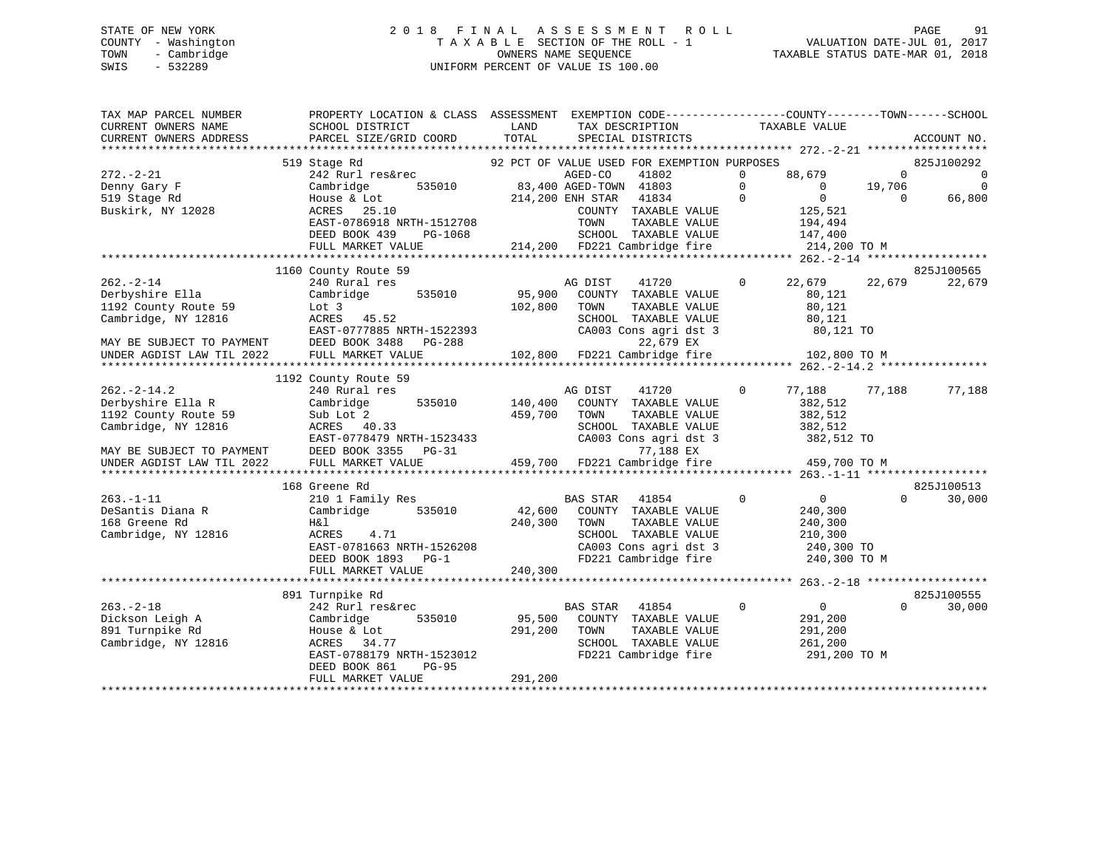# STATE OF NEW YORK 2 0 1 8 F I N A L A S S E S S M E N T R O L L PAGE 91 COUNTY - Washington T A X A B L E SECTION OF THE ROLL - 1 VALUATION DATE-JUL 01, 2017 TOWN - Cambridge OWNERS NAME SEQUENCE TAXABLE STATUS DATE-MAR 01, 2018 SWIS - 532289 UNIFORM PERCENT OF VALUE IS 100.00

| TAX MAP PARCEL NUMBER                       | PROPERTY LOCATION & CLASS ASSESSMENT EXEMPTION CODE----------------COUNTY-------TOWN------SCHOOL |                  |                                                                       |                            |            |                |
|---------------------------------------------|--------------------------------------------------------------------------------------------------|------------------|-----------------------------------------------------------------------|----------------------------|------------|----------------|
| CURRENT OWNERS NAME                         | SCHOOL DISTRICT                                                                                  | LAND             | TAX DESCRIPTION                                                       | TAXABLE VALUE              |            |                |
| CURRENT OWNERS ADDRESS                      | PARCEL SIZE/GRID COORD                                                                           | TOTAL            | SPECIAL DISTRICTS                                                     |                            |            | ACCOUNT NO.    |
|                                             |                                                                                                  |                  |                                                                       |                            |            |                |
|                                             | 519 Stage Rd                                                                                     |                  | 92 PCT OF VALUE USED FOR EXEMPTION PURPOSES                           |                            |            | 825J100292     |
| $272. - 2 - 21$                             | 242 Rurl res&rec                                                                                 |                  |                                                                       | 88,679<br>$\Omega$         | $\Omega$   | $\overline{0}$ |
| Denny Gary F                                | Cambridge                                                                                        |                  | s&rec   AGED-CO   41802<br>535010   83,400   AGED-TOWN   41803        | $\Omega$<br>$\overline{0}$ | 19,706     | $\overline{0}$ |
| 519 Stage Rd                                | House & Lot                                                                                      | 214,200 ENH STAR | $\overline{0}$<br>41834                                               | $\overline{0}$             | $\bigcirc$ | 66,800         |
| Buskirk, NY 12028                           | 25.10<br>ACRES                                                                                   |                  | COUNTY TAXABLE VALUE                                                  | 125,521                    |            |                |
|                                             | EAST-0786918 NRTH-1512708                                                                        |                  | TAXABLE VALUE<br>TOWN                                                 | 194,494                    |            |                |
|                                             | DEED BOOK 439<br>PG-1068                                                                         |                  | SCHOOL TAXABLE VALUE                                                  | 147,400                    |            |                |
|                                             | FULL MARKET VALUE                                                                                |                  | 214,200 FD221 Cambridge fire 214,200 TO M                             |                            |            |                |
|                                             |                                                                                                  |                  |                                                                       |                            |            |                |
|                                             | 1160 County Route 59                                                                             |                  |                                                                       |                            |            | 825J100565     |
| $262. - 2 - 14$                             | 240 Rural res                                                                                    |                  | AG DIST<br>41720                                                      | $\circ$<br>22,679          | 22,679     | 22,679         |
| Derbyshire Ella                             | 535010<br>Cambridge                                                                              | 95,900           | COUNTY TAXABLE VALUE                                                  | 80,121                     |            |                |
| 1192 County Route 59                        | Lot 3                                                                                            | 102,800          | TOWN<br>TAXABLE VALUE                                                 | 80,121                     |            |                |
| Cambridge, NY 12816                         | ACRES 45.52                                                                                      |                  | SCHOOL TAXABLE VALUE                                                  | 80,121                     |            |                |
|                                             | EAST-0777885 NRTH-1522393                                                                        |                  | CA003 Cons agri dst 3                                                 | 80,121 TO                  |            |                |
|                                             | MAY BE SUBJECT TO PAYMENT DEED BOOK 3488 PG-288                                                  |                  | 22,679 EX                                                             |                            |            |                |
| UNDER AGDIST LAW TIL 2022 FULL MARKET VALUE |                                                                                                  |                  | 102,800 FD221 Cambridge fire                                          | 102,800 TO M               |            |                |
|                                             |                                                                                                  |                  |                                                                       |                            |            |                |
|                                             | 1192 County Route 59                                                                             |                  |                                                                       |                            |            |                |
| $262 - 2 - 14.2$                            | 240 Rural res                                                                                    |                  | 41720<br>AG DIST                                                      | $\Omega$<br>77,188         | 77,188     | 77,188         |
| Derbyshire Ella R                           | 535010<br>Cambridge                                                                              | 140,400          | COUNTY TAXABLE VALUE                                                  | 382,512                    |            |                |
| 1192 County Route 59                        | Sub Lot 2                                                                                        | 459,700          | TAXABLE VALUE<br>TOWN                                                 | 382,512                    |            |                |
| Cambridge, NY 12816                         | ACRES 40.33                                                                                      |                  | SCHOOL TAXABLE VALUE                                                  | 382,512                    |            |                |
|                                             | EAST-0778479 NRTH-1523433                                                                        |                  | CA003 Cons agri dst 3                                                 | 382,512 TO                 |            |                |
| MAY BE SUBJECT TO PAYMENT                   | DEED BOOK 3355 PG-31                                                                             |                  | 77,188 EX                                                             |                            |            |                |
| UNDER AGDIST LAW TIL 2022                   | FULL MARKET VALUE                                                                                |                  | 459,700 FD221 Cambridge fire                                          | 459,700 TO M               |            |                |
|                                             |                                                                                                  |                  |                                                                       |                            |            |                |
|                                             | 168 Greene Rd                                                                                    |                  |                                                                       |                            |            | 825J100513     |
| $263. -1 - 11$                              | 210 1 Family Res                                                                                 |                  | BAS STAR 41854                                                        | $\Omega$<br>0              | $\Omega$   | 30,000         |
| DeSantis Diana R                            | Cambridge<br>535010                                                                              | 42,600           | COUNTY TAXABLE VALUE                                                  | 240,300                    |            |                |
| 168 Greene Rd                               | H&l                                                                                              | 240,300          | TOWN<br>TAXABLE VALUE                                                 | 240,300                    |            |                |
| Cambridge, NY 12816                         | ACRES 4.71                                                                                       |                  | SCHOOL TAXABLE VALUE                                                  | 210,300                    |            |                |
|                                             |                                                                                                  |                  |                                                                       |                            |            |                |
|                                             | ACRES 4.71<br>EAST-0781663 NRTH-1526208<br>DEED BOOK 1893 PG-1<br>DEED BOOK 1893 PG-1            |                  | CA003 Cons agri dst 3 240,300 TO<br>FD221 Cambridge fire 240,300 TO M |                            |            |                |
|                                             | FULL MARKET VALUE                                                                                | 240,300          |                                                                       |                            |            |                |
|                                             |                                                                                                  |                  |                                                                       |                            |            |                |
|                                             | 891 Turnpike Rd                                                                                  |                  |                                                                       |                            |            | 825J100555     |
| $263. - 2 - 18$                             | 242 Rurl res&rec                                                                                 |                  | <b>BAS STAR</b><br>41854                                              | $\overline{0}$<br>$\Omega$ | $\Omega$   | 30,000         |
| Dickson Leigh A                             | Cambridge<br>535010                                                                              |                  | 95,500 COUNTY TAXABLE VALUE                                           | 291,200                    |            |                |
| 891 Turnpike Rd                             | House & Lot                                                                                      | 291,200          | TOWN<br>TAXABLE VALUE                                                 | 291,200                    |            |                |
| Cambridge, NY 12816                         | ACRES 34.77                                                                                      |                  | SCHOOL TAXABLE VALUE                                                  | 261,200                    |            |                |
|                                             | EAST-0788179 NRTH-1523012                                                                        |                  | FD221 Cambridge fire                                                  | 291,200 TO M               |            |                |
|                                             | <b>PG-95</b><br>DEED BOOK 861                                                                    |                  |                                                                       |                            |            |                |
|                                             | FULL MARKET VALUE                                                                                | 291,200          |                                                                       |                            |            |                |
|                                             |                                                                                                  |                  |                                                                       |                            |            |                |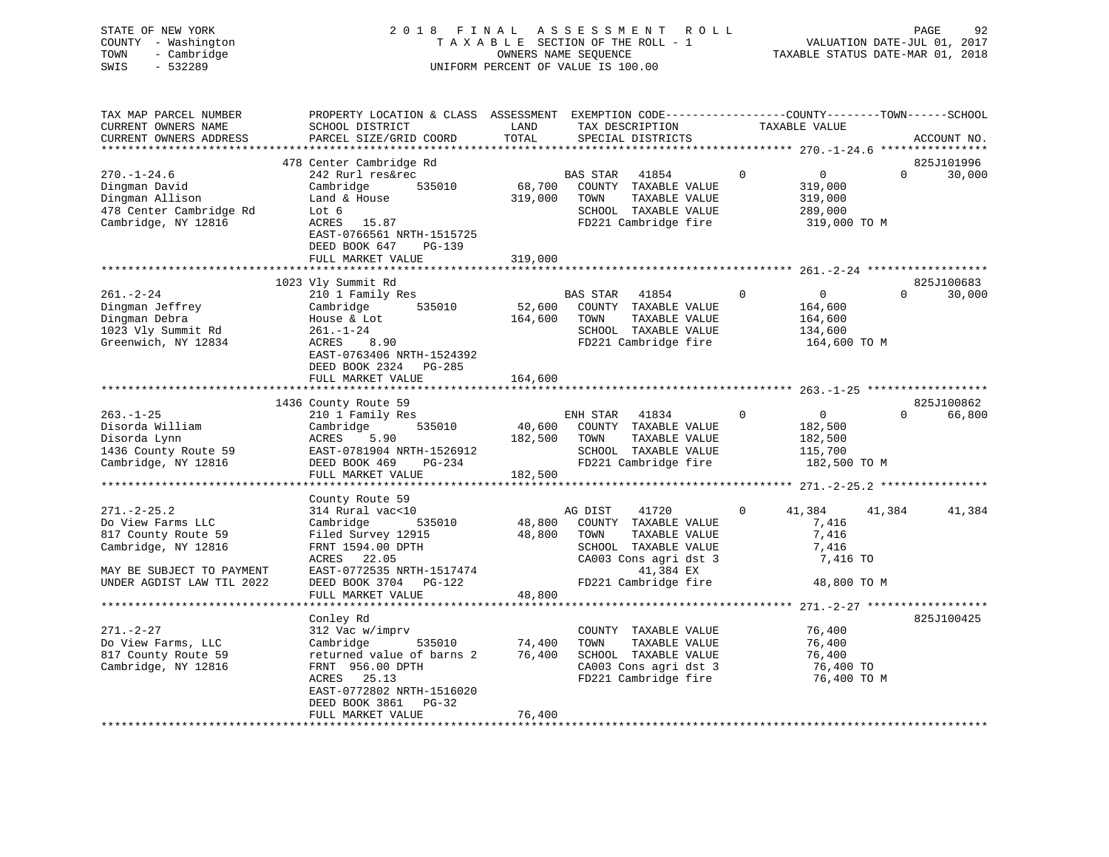STATE OF NEW YORK 2 0 1 8 F I N A L A S S E S S M E N T R O L L PAGE 92 COUNTY - Washington T A X A B L E SECTION OF THE ROLL - 1 VALUATION DATE-JUL 01, 2017 TOWN - Cambridge TAXABLE STATUS DATE-MAR 01, 2018 SWIS - 532289 UNIFORM PERCENT OF VALUE IS 100.00

TAX MAP PARCEL NUMBER PROPERTY LOCATION & CLASS ASSESSMENT EXEMPTION CODE------------------COUNTY--------TOWN------SCHOOL CURRENT OWNERS NAME SCHOOL DISTRICT THE LAND TAX DESCRIPTION TAXABLE VALUE CURRENT OWNERS ADDRESS PARCEL SIZE/GRID COORD TOTAL SPECIAL DISTRICTS ACCOUNT NO. \*\*\*\*\*\*\*\*\*\*\*\*\*\*\*\*\*\*\*\*\*\*\*\*\*\*\*\*\*\*\*\*\*\*\*\*\*\*\*\*\*\*\*\*\*\*\*\*\*\*\*\*\*\*\*\*\*\*\*\*\*\*\*\*\*\*\*\*\*\*\*\*\*\*\*\*\*\*\*\*\*\*\*\*\*\*\*\*\*\*\*\*\*\*\*\*\*\*\*\*\*\*\* 270.-1-24.6 \*\*\*\*\*\*\*\*\*\*\*\*\*\*\*\*825J101996 478 Center Cambridge Rd 825J101996 270.-1-24.6 242 Rurl res&rec BAS STAR 41854 0 0 0 30,000 Dingman David Cambridge 535010 68,700 COUNTY TAXABLE VALUE 319,000 Dingman Allison Land & House 319,000 TOWN TAXABLE VALUE 319,000 478 Center Cambridge Rd Lot 6 SCHOOL TAXABLE VALUE 289,000 Cambridge, NY 12816 ACRES 15.87 FD221 Cambridge fire 319,000 TO M EAST-0766561 NRTH-1515725 DEED BOOK 647 PG-139 FULL MARKET VALUE 319,000 \*\*\*\*\*\*\*\*\*\*\*\*\*\*\*\*\*\*\*\*\*\*\*\*\*\*\*\*\*\*\*\*\*\*\*\*\*\*\*\*\*\*\*\*\*\*\*\*\*\*\*\*\*\*\*\*\*\*\*\*\*\*\*\*\*\*\*\*\*\*\*\*\*\*\*\*\*\*\*\*\*\*\*\*\*\*\*\*\*\*\*\*\*\*\*\*\*\*\*\*\*\*\* 261.-2-24 \*\*\*\*\*\*\*\*\*\*\*\*\*\*\*\*\*\*825J100683 1023 Vly Summit Rd 825J100683 261.-2-24 210 1 Family Res BAS STAR 41854 0 0 0 30,000 Dingman Jeffrey Cambridge 535010 52,600 COUNTY TAXABLE VALUE 164,600 Dingman Debra House & Lot 164,600 TOWN TAXABLE VALUE 164,600 1023 Vly Summit Rd 261.-1-24 SCHOOL TAXABLE VALUE 134,600 Greenwich, NY 12834 ACRES 8.90 FD221 Cambridge fire 164,600 TO M EAST-0763406 NRTH-1524392 DEED BOOK 2324 PG-285FULL MARKET VALUE 164,600 \*\*\*\*\*\*\*\*\*\*\*\*\*\*\*\*\*\*\*\*\*\*\*\*\*\*\*\*\*\*\*\*\*\*\*\*\*\*\*\*\*\*\*\*\*\*\*\*\*\*\*\*\*\*\*\*\*\*\*\*\*\*\*\*\*\*\*\*\*\*\*\*\*\*\*\*\*\*\*\*\*\*\*\*\*\*\*\*\*\*\*\*\*\*\*\*\*\*\*\*\*\*\* 263.-1-25 \*\*\*\*\*\*\*\*\*\*\*\*\*\*\*\*\*\* 1436 County Route 59 825J100862 263.-1-25 210 1 Family Res ENH STAR 41834 0 0 0 66,800 Disorda William Cambridge 535010 40,600 COUNTY TAXABLE VALUE 182,500 Disorda Lynn ACRES 5.90 182,500 TOWN TAXABLE VALUE 182,500 1436 County Route 59 EAST-0781904 NRTH-1526912 SCHOOL TAXABLE VALUE 115,700 Cambridge, NY 12816 DEED BOOK 469 PG-234 FD221 Cambridge fire 182,500 TO M FULL MARKET VALUE 182,500 \*\*\*\*\*\*\*\*\*\*\*\*\*\*\*\*\*\*\*\*\*\*\*\*\*\*\*\*\*\*\*\*\*\*\*\*\*\*\*\*\*\*\*\*\*\*\*\*\*\*\*\*\*\*\*\*\*\*\*\*\*\*\*\*\*\*\*\*\*\*\*\*\*\*\*\*\*\*\*\*\*\*\*\*\*\*\*\*\*\*\*\*\*\*\*\*\*\*\*\*\*\*\* 271.-2-25.2 \*\*\*\*\*\*\*\*\*\*\*\*\*\*\*\* County Route 59 271.-2-25.2 314 Rural vac<10 AG DIST 41720 0 41,384 41,384 41,384 Do View Farms LLC Cambridge 535010 48,800 COUNTY TAXABLE VALUE 7,416 817 County Route 59 Filed Survey 12915 48,800 TOWN TAXABLE VALUE 7,416 Cambridge, NY 12816 FRNT 1594.00 DPTH SCHOOL TAXABLE VALUE 7,416 ACRES 22.05 CA003 Cons agri dst 3 7,416 TO MAY BE SUBJECT TO PAYMENT EAST-0772535 NRTH-1517474 41,384 EX UNDER AGDIST LAW TIL 2022 DEED BOOK 3704 PG-122 FD221 Cambridge fire 48,800 TO M EAST-0772535 NKIN-131.1.<br>DEED BOOK 3704 PG-122<br>- - - - - - - - - - - - - - - 48,800 \*\*\*\*\*\*\*\*\*\*\*\*\*\*\*\*\*\*\*\*\*\*\*\*\*\*\*\*\*\*\*\*\*\*\*\*\*\*\*\*\*\*\*\*\*\*\*\*\*\*\*\*\*\*\*\*\*\*\*\*\*\*\*\*\*\*\*\*\*\*\*\*\*\*\*\*\*\*\*\*\*\*\*\*\*\*\*\*\*\*\*\*\*\*\*\*\*\*\*\*\*\*\* 271.-2-27 \*\*\*\*\*\*\*\*\*\*\*\*\*\*\*\*\*\* Conley Rd 825J100425 271.-2-27 312 Vac w/imprv COUNTY TAXABLE VALUE 76,400 Do View Farms, LLC Cambridge 535010 74,400 TOWN TAXABLE VALUE 76,400 817 County Route 59 returned value of barns 2 76,400 SCHOOL TAXABLE VALUE 76,400 Cambridge, NY 12816 FRNT 956.00 DPTH CA003 Cons agri dst 3 76,400 TO ACRES 25.13 FD221 Cambridge fire 76,400 TO M EAST-0772802 NRTH-1516020 DEED BOOK 3861 PG-32FULL MARKET VALUE 76,400 \*\*\*\*\*\*\*\*\*\*\*\*\*\*\*\*\*\*\*\*\*\*\*\*\*\*\*\*\*\*\*\*\*\*\*\*\*\*\*\*\*\*\*\*\*\*\*\*\*\*\*\*\*\*\*\*\*\*\*\*\*\*\*\*\*\*\*\*\*\*\*\*\*\*\*\*\*\*\*\*\*\*\*\*\*\*\*\*\*\*\*\*\*\*\*\*\*\*\*\*\*\*\*\*\*\*\*\*\*\*\*\*\*\*\*\*\*\*\*\*\*\*\*\*\*\*\*\*\*\*\*\*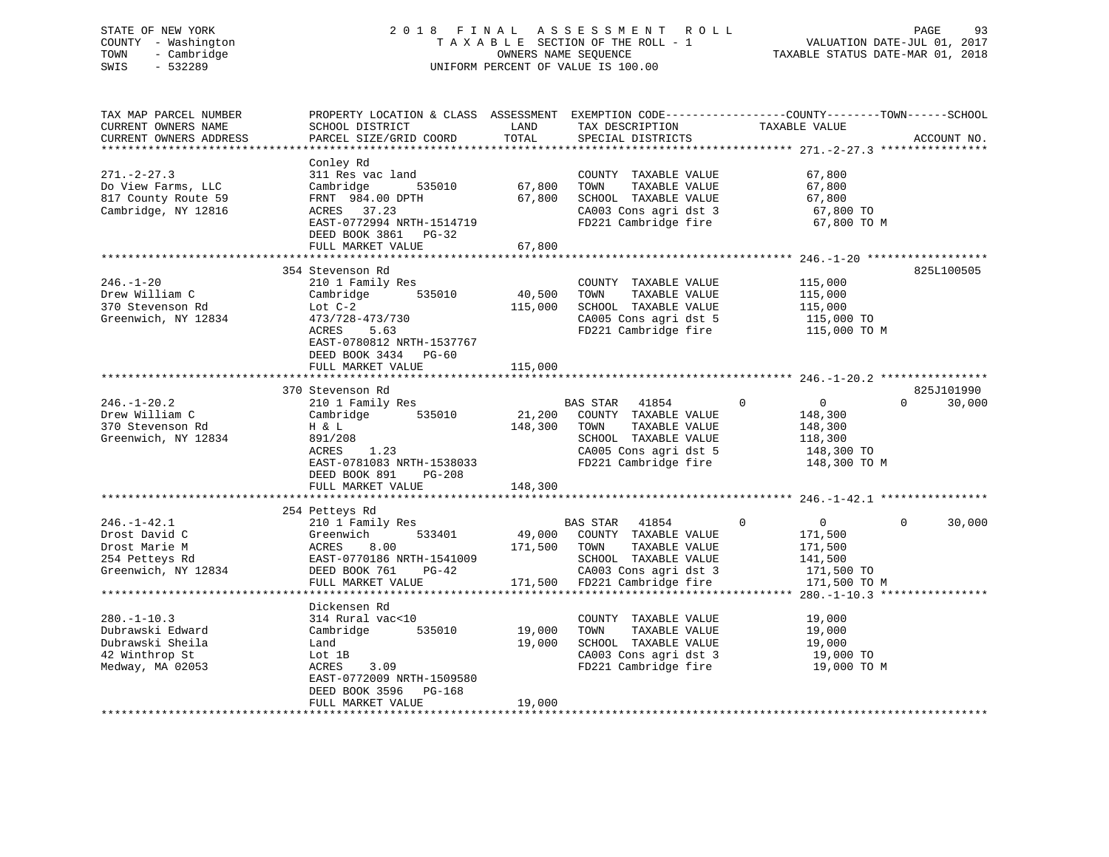# STATE OF NEW YORK 2 0 1 8 F I N A L A S S E S S M E N T R O L L PAGE 93 COUNTY - Washington T A X A B L E SECTION OF THE ROLL - 1 VALUATION DATE-JUL 01, 2017 TOWN - Cambridge OWNERS NAME SEQUENCE TAXABLE STATUS DATE-MAR 01, 2018 SWIS - 532289 UNIFORM PERCENT OF VALUE IS 100.00

| TAX MAP PARCEL NUMBER<br>CURRENT OWNERS NAME<br>CURRENT OWNERS ADDRESS                         | PROPERTY LOCATION & CLASS ASSESSMENT<br>SCHOOL DISTRICT<br>PARCEL SIZE/GRID COORD                                                                                               | LAND<br>TOTAL                | TAX DESCRIPTION<br>SPECIAL DISTRICTS                                                                                                            | EXEMPTION CODE-----------------COUNTY-------TOWN------SCHOOL<br>TAXABLE VALUE                | ACCOUNT NO.                      |
|------------------------------------------------------------------------------------------------|---------------------------------------------------------------------------------------------------------------------------------------------------------------------------------|------------------------------|-------------------------------------------------------------------------------------------------------------------------------------------------|----------------------------------------------------------------------------------------------|----------------------------------|
| ************************                                                                       |                                                                                                                                                                                 |                              |                                                                                                                                                 |                                                                                              |                                  |
| $271. - 2 - 27.3$<br>Do View Farms, LLC<br>817 County Route 59<br>Cambridge, NY 12816          | Conley Rd<br>311 Res vac land<br>Cambridge<br>535010<br>FRNT 984.00 DPTH<br>ACRES 37.23<br>EAST-0772994 NRTH-1514719<br>DEED BOOK 3861 PG-32                                    | 67,800<br>67,800             | COUNTY TAXABLE VALUE<br>TAXABLE VALUE<br>TOWN<br>SCHOOL TAXABLE VALUE<br>CA003 Cons agri dst 3<br>FD221 Cambridge fire                          | 67,800<br>67,800<br>67,800<br>67,800 TO<br>67,800 TO M                                       |                                  |
|                                                                                                | FULL MARKET VALUE                                                                                                                                                               | 67,800                       |                                                                                                                                                 |                                                                                              |                                  |
|                                                                                                | 354 Stevenson Rd                                                                                                                                                                |                              |                                                                                                                                                 |                                                                                              | 825L100505                       |
| $246. - 1 - 20$<br>Drew William C<br>370 Stevenson Rd<br>Greenwich, NY 12834                   | 210 1 Family Res<br>535010<br>Cambridge<br>Lot $C-2$<br>473/728-473/730<br>ACRES<br>5.63<br>EAST-0780812 NRTH-1537767<br>DEED BOOK 3434 PG-60                                   | 40,500<br>115,000            | COUNTY TAXABLE VALUE<br>TAXABLE VALUE<br>TOWN<br>SCHOOL TAXABLE VALUE<br>CA005 Cons agri dst 5<br>FD221 Cambridge fire                          | 115,000<br>115,000<br>115,000<br>115,000 TO<br>115,000 TO M                                  |                                  |
|                                                                                                | FULL MARKET VALUE                                                                                                                                                               | 115,000                      |                                                                                                                                                 |                                                                                              |                                  |
|                                                                                                | ***********************                                                                                                                                                         | **********                   |                                                                                                                                                 | *************************** 246.-1-20.2 *****************                                    |                                  |
| $246. - 1 - 20.2$<br>Drew William C<br>370 Stevenson Rd<br>Greenwich, NY 12834                 | 370 Stevenson Rd<br>210 1 Family Res<br>535010<br>Cambridge<br>H & L<br>891/208<br>ACRES<br>1.23<br>EAST-0781083 NRTH-1538033<br>DEED BOOK 891<br>$PG-208$<br>FULL MARKET VALUE | 21,200<br>148,300<br>148,300 | BAS STAR<br>41854<br>COUNTY TAXABLE VALUE<br>TOWN<br>TAXABLE VALUE<br>SCHOOL TAXABLE VALUE<br>CA005 Cons agri dst 5<br>FD221 Cambridge fire     | 0<br>$\overline{0}$<br>148,300<br>148,300<br>118,300<br>148,300 TO<br>148,300 TO M           | 825J101990<br>$\Omega$<br>30,000 |
|                                                                                                |                                                                                                                                                                                 |                              |                                                                                                                                                 |                                                                                              |                                  |
| $246. - 1 - 42.1$<br>Drost David C<br>Drost Marie M<br>254 Petteys Rd<br>Greenwich, NY 12834   | 254 Petteys Rd<br>210 1 Family Res<br>533401<br>Greenwich<br>ACRES<br>8.00<br>EAST-0770186 NRTH-1541009<br>DEED BOOK 761<br>$PG-42$<br>FULL MARKET VALUE                        | 171,500 TOWN                 | BAS STAR 41854<br>49,000 COUNTY TAXABLE VALUE<br>TAXABLE VALUE<br>SCHOOL TAXABLE VALUE<br>CA003 Cons agri dst 3<br>171,500 FD221 Cambridge fire | $\mathbf 0$<br>$\overline{0}$<br>171,500<br>171,500<br>141,500<br>171,500 TO<br>171,500 TO M | $\Omega$<br>30,000               |
|                                                                                                |                                                                                                                                                                                 |                              |                                                                                                                                                 |                                                                                              |                                  |
| $280. -1 - 10.3$<br>Dubrawski Edward<br>Dubrawski Sheila<br>42 Winthrop St<br>Medway, MA 02053 | Dickensen Rd<br>314 Rural vac<10<br>Cambridge<br>535010<br>Land<br>Lot 1B<br>ACRES<br>3.09<br>EAST-0772009 NRTH-1509580<br>DEED BOOK 3596<br>PG-168                             | 19,000<br>19,000             | COUNTY TAXABLE VALUE<br>TOWN<br>TAXABLE VALUE<br>SCHOOL TAXABLE VALUE<br>CA003 Cons agri dst 3<br>FD221 Cambridge fire                          | 19,000<br>19,000<br>19,000<br>19,000 TO<br>19,000 TO M                                       |                                  |
|                                                                                                | FULL MARKET VALUE                                                                                                                                                               | 19,000                       |                                                                                                                                                 |                                                                                              |                                  |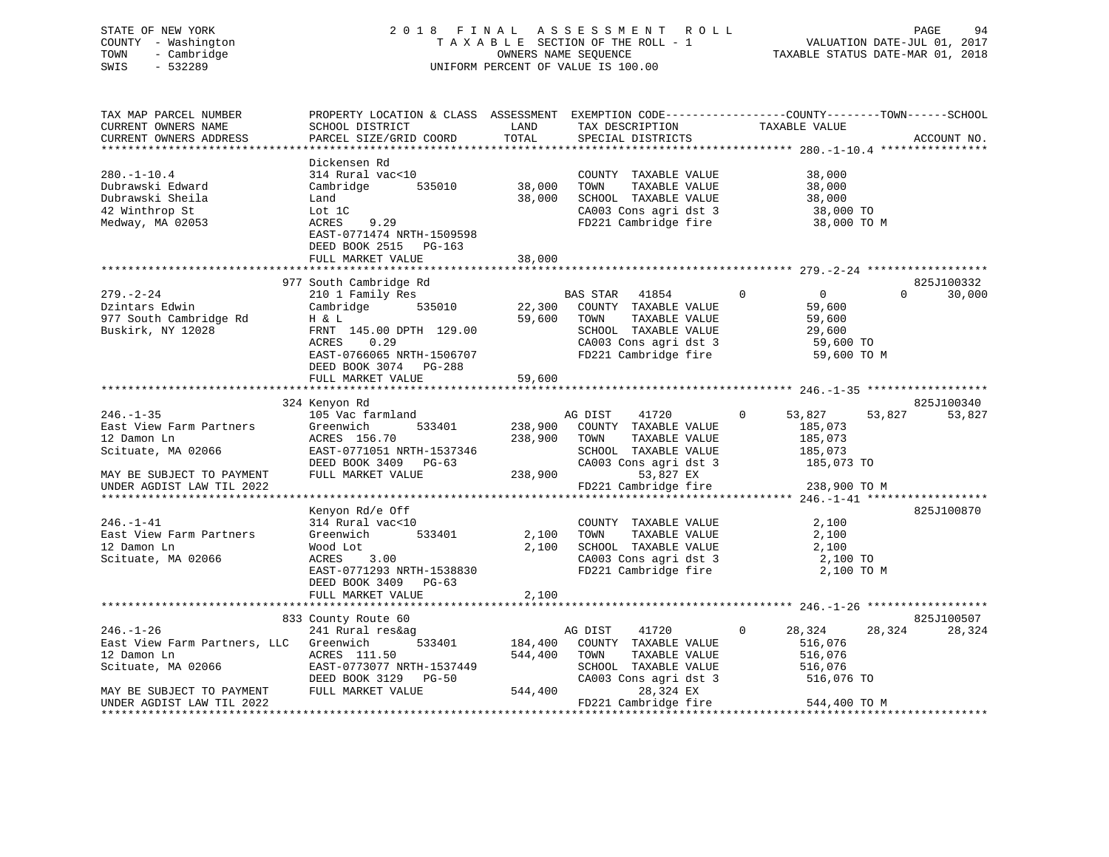# STATE OF NEW YORK 2 0 1 8 F I N A L A S S E S S M E N T R O L L PAGE 94 COUNTY - Washington T A X A B L E SECTION OF THE ROLL - 1 VALUATION DATE-JUL 01, 2017 TOWN - Cambridge OWNERS NAME SEQUENCE TAXABLE STATUS DATE-MAR 01, 2018 SWIS - 532289 UNIFORM PERCENT OF VALUE IS 100.00

| TAX MAP PARCEL NUMBER<br>CURRENT OWNERS NAME<br>CURRENT OWNERS ADDRESS                                                                                                                    | PROPERTY LOCATION & CLASS ASSESSMENT<br>SCHOOL DISTRICT<br>PARCEL SIZE/GRID COORD                                                                                            | LAND<br>TOTAL                 | TAX DESCRIPTION<br>SPECIAL DISTRICTS                                                                                                                    | EXEMPTION CODE-----------------COUNTY-------TOWN------SCHOOL<br>TAXABLE VALUE           | ACCOUNT NO.                      |
|-------------------------------------------------------------------------------------------------------------------------------------------------------------------------------------------|------------------------------------------------------------------------------------------------------------------------------------------------------------------------------|-------------------------------|---------------------------------------------------------------------------------------------------------------------------------------------------------|-----------------------------------------------------------------------------------------|----------------------------------|
|                                                                                                                                                                                           |                                                                                                                                                                              |                               |                                                                                                                                                         |                                                                                         |                                  |
| $280. - 1 - 10.4$<br>Dubrawski Edward<br>Dubrawski Sheila<br>42 Winthrop St<br>Medway, MA 02053                                                                                           | Dickensen Rd<br>314 Rural vac<10<br>Cambridge<br>535010<br>Land<br>Lot 1C<br>ACRES<br>9.29<br>EAST-0771474 NRTH-1509598<br>DEED BOOK 2515 PG-163                             | 38,000<br>38,000              | COUNTY TAXABLE VALUE<br>TOWN<br>TAXABLE VALUE<br>SCHOOL TAXABLE VALUE<br>CA003 Cons agri dst 3<br>FD221 Cambridge fire                                  | 38,000<br>38,000<br>38,000<br>38,000 TO<br>38,000 TO M                                  |                                  |
|                                                                                                                                                                                           | FULL MARKET VALUE                                                                                                                                                            | 38,000                        |                                                                                                                                                         |                                                                                         |                                  |
|                                                                                                                                                                                           |                                                                                                                                                                              |                               |                                                                                                                                                         |                                                                                         |                                  |
| $279. - 2 - 24$<br>Dzintars Edwin<br>977 South Cambridge Rd<br>Buskirk, NY 12028                                                                                                          | 977 South Cambridge Rd<br>210 1 Family Res<br>535010<br>Cambridge<br>H & L<br>FRNT 145.00 DPTH 129.00<br>ACRES<br>0.29<br>EAST-0766065 NRTH-1506707<br>DEED BOOK 3074 PG-288 | 22,300<br>59,600              | <b>BAS STAR</b><br>41854<br>COUNTY TAXABLE VALUE<br>TOWN<br>TAXABLE VALUE<br>SCHOOL TAXABLE VALUE<br>CA003 Cons agri dst 3<br>FD221 Cambridge fire      | $\mathbf 0$<br>$\overline{0}$<br>59,600<br>59,600<br>29,600<br>59,600 TO<br>59,600 TO M | 825J100332<br>30,000<br>$\Omega$ |
|                                                                                                                                                                                           | FULL MARKET VALUE                                                                                                                                                            | 59,600                        |                                                                                                                                                         |                                                                                         |                                  |
|                                                                                                                                                                                           | 324 Kenyon Rd                                                                                                                                                                |                               |                                                                                                                                                         |                                                                                         | 825J100340                       |
| $246. - 1 - 35$<br>East View Farm Partners<br>12 Damon Ln<br>Scituate, MA 02066                                                                                                           | 105 Vac farmland<br>Greenwich<br>533401<br>ACRES 156.70<br>EAST-0771051 NRTH-1537346<br>DEED BOOK 3409<br>PG-63                                                              | 238,900<br>238,900            | AG DIST<br>41720<br>COUNTY TAXABLE VALUE<br>TOWN<br>TAXABLE VALUE<br>SCHOOL TAXABLE VALUE<br>CA003 Cons agri dst 3                                      | 53,827<br>53,827<br>$\mathbf{0}$<br>185,073<br>185,073<br>185,073<br>185,073 TO         | 53,827                           |
| MAY BE SUBJECT TO PAYMENT<br>UNDER AGDIST LAW TIL 2022                                                                                                                                    | FULL MARKET VALUE                                                                                                                                                            | 238,900                       | 53,827 EX<br>FD221 Cambridge fire                                                                                                                       | 238,900 TO M                                                                            |                                  |
|                                                                                                                                                                                           |                                                                                                                                                                              |                               |                                                                                                                                                         |                                                                                         |                                  |
| $246. - 1 - 41$<br>East View Farm Partners<br>12 Damon Ln<br>Scituate, MA 02066                                                                                                           | Kenyon Rd/e Off<br>314 Rural vac<10<br>533401<br>Greenwich<br>Wood Lot<br>3.00<br>ACRES<br>EAST-0771293 NRTH-1538830<br>DEED BOOK 3409 PG-63<br>FULL MARKET VALUE            | 2,100<br>2,100<br>2,100       | COUNTY TAXABLE VALUE<br>TOWN<br>TAXABLE VALUE<br>SCHOOL TAXABLE VALUE<br>CA003 Cons agri dst 3<br>FD221 Cambridge fire                                  | 2,100<br>2,100<br>2,100<br>2,100 TO<br>2,100 TO M                                       | 825J100870                       |
|                                                                                                                                                                                           |                                                                                                                                                                              |                               |                                                                                                                                                         |                                                                                         |                                  |
| $246. - 1 - 26$<br>East View Farm Partners, LLC<br>12 Damon Ln<br>Scituate, MA 02066<br>MAY BE SUBJECT TO PAYMENT<br>UNDER AGDIST LAW TIL 2022<br>* * * * * * * * * * * * * * * * * * * * | 833 County Route 60<br>241 Rural res&ag<br>Greenwich<br>533401<br>ACRES 111.50<br>EAST-0773077 NRTH-1537449<br>DEED BOOK 3129<br><b>PG-50</b><br>FULL MARKET VALUE           | 184,400<br>544,400<br>544,400 | AG DIST<br>41720<br>COUNTY TAXABLE VALUE<br>TAXABLE VALUE<br>TOWN<br>SCHOOL TAXABLE VALUE<br>CA003 Cons agri dst 3<br>28,324 EX<br>FD221 Cambridge fire | 28,324<br>28,324<br>0<br>516,076<br>516,076<br>516,076<br>516,076 TO<br>544,400 TO M    | 825J100507<br>28,324             |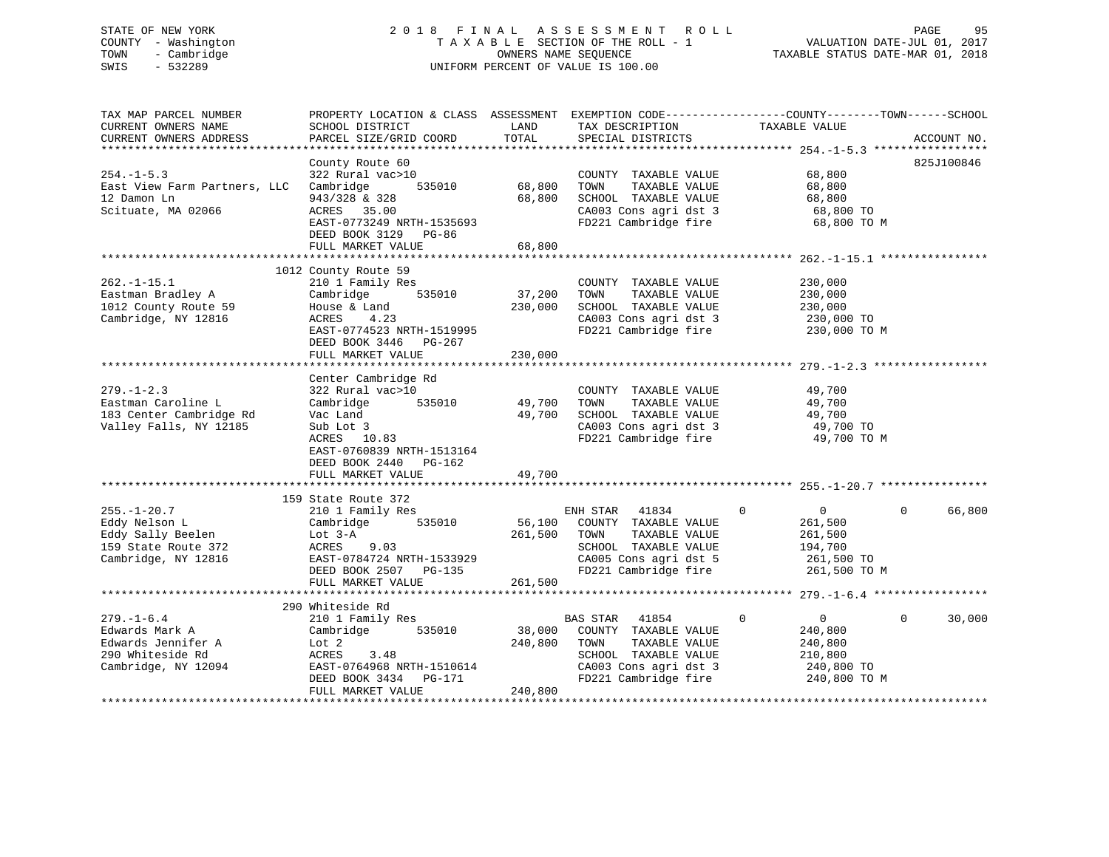# STATE OF NEW YORK 2 0 1 8 F I N A L A S S E S S M E N T R O L L PAGE 95 COUNTY - Washington T A X A B L E SECTION OF THE ROLL - 1 VALUATION DATE-JUL 01, 2017 TOWN - Cambridge The Cambridge Cambridge Comments owners NAME SEQUENCE TAXABLE STATUS DATE-MAR 01, 2018 SWIS - 532289 UNIFORM PERCENT OF VALUE IS 100.00

TAX MAP PARCEL NUMBER PROPERTY LOCATION & CLASS ASSESSMENT EXEMPTION CODE------------------COUNTY--------TOWN------SCHOOL

CURRENT OWNERS NAME SCHOOL DISTRICT THE LAND TAX DESCRIPTION TAXABLE VALUE CURRENT OWNERS ADDRESS PARCEL SIZE/GRID COORD TOTAL SPECIAL DISTRICTS ACCOUNT NO. \*\*\*\*\*\*\*\*\*\*\*\*\*\*\*\*\*\*\*\*\*\*\*\*\*\*\*\*\*\*\*\*\*\*\*\*\*\*\*\*\*\*\*\*\*\*\*\*\*\*\*\*\*\*\*\*\*\*\*\*\*\*\*\*\*\*\*\*\*\*\*\*\*\*\*\*\*\*\*\*\*\*\*\*\*\*\*\*\*\*\*\*\*\*\*\*\*\*\*\*\*\*\* 254.-1-5.3 \*\*\*\*\*\*\*\*\*\*\*\*\*\*\*\*\* County Route 60 825J100846 254.-1-5.3 322 Rural vac>10 COUNTY TAXABLE VALUE 68,800 East View Farm Partners, LLC Cambridge 535010 68,800 TOWN TAXABLE VALUE 68,800 12 Damon Ln 943/328 & 328 68,800 SCHOOL TAXABLE VALUE 68,800 Scituate, MA 02066 ACRES 35.00 CA003 Cons agri dst 3 68,800 TO EAST-0773249 NRTH-1535693 FD221 Cambridge fire 68,800 TO M DEED BOOK 3129 PG-86 FULL MARKET VALUE 68,800 \*\*\*\*\*\*\*\*\*\*\*\*\*\*\*\*\*\*\*\*\*\*\*\*\*\*\*\*\*\*\*\*\*\*\*\*\*\*\*\*\*\*\*\*\*\*\*\*\*\*\*\*\*\*\*\*\*\*\*\*\*\*\*\*\*\*\*\*\*\*\*\*\*\*\*\*\*\*\*\*\*\*\*\*\*\*\*\*\*\*\*\*\*\*\*\*\*\*\*\*\*\*\* 262.-1-15.1 \*\*\*\*\*\*\*\*\*\*\*\*\*\*\*\* 1012 County Route 59 262.-1-15.1 210 1 Family Res COUNTY TAXABLE VALUE 230,000 Eastman Bradley A Cambridge 535010 37,200 TOWN TAXABLE VALUE 230,000 1012 County Route 59 House & Land 230,000 SCHOOL TAXABLE VALUE 230,000 Cambridge, NY 12816 ACRES 4.23 CA003 Cons agri dst 3 230,000 TO EAST-0774523 NRTH-1519995 FD221 Cambridge fire 230,000 TO M DEED BOOK 3446 PG-267 FULL MARKET VALUE 230,000 \*\*\*\*\*\*\*\*\*\*\*\*\*\*\*\*\*\*\*\*\*\*\*\*\*\*\*\*\*\*\*\*\*\*\*\*\*\*\*\*\*\*\*\*\*\*\*\*\*\*\*\*\*\*\*\*\*\*\*\*\*\*\*\*\*\*\*\*\*\*\*\*\*\*\*\*\*\*\*\*\*\*\*\*\*\*\*\*\*\*\*\*\*\*\*\*\*\*\*\*\*\*\* 279.-1-2.3 \*\*\*\*\*\*\*\*\*\*\*\*\*\*\*\*\* Center Cambridge Rd 279.-1-2.3 322 Rural vac>10 COUNTY TAXABLE VALUE 49,700 Eastman Caroline L Cambridge 535010 49,700 TOWN TAXABLE VALUE 49,700 183 Center Cambridge Rd Vac Land 49,700 SCHOOL TAXABLE VALUE 49,700 Valley Falls, NY 12185 Sub Lot 3 CA003 Cons agri dst 3 49,700 TO ACRES 10.83 FORD 21 CA003 Cons agri dst 3 49,700 TO<br>ACRES 10.83 FORD FORD FORD FORD FORD FORD 49,700 TO M EAST-0760839 NRTH-1513164 DEED BOOK 2440 PG-162FULL MARKET VALUE 49,700 \*\*\*\*\*\*\*\*\*\*\*\*\*\*\*\*\*\*\*\*\*\*\*\*\*\*\*\*\*\*\*\*\*\*\*\*\*\*\*\*\*\*\*\*\*\*\*\*\*\*\*\*\*\*\*\*\*\*\*\*\*\*\*\*\*\*\*\*\*\*\*\*\*\*\*\*\*\*\*\*\*\*\*\*\*\*\*\*\*\*\*\*\*\*\*\*\*\*\*\*\*\*\* 255.-1-20.7 \*\*\*\*\*\*\*\*\*\*\*\*\*\*\*\* 159 State Route 372 255.-1-20.7 210 1 Family Res ENH STAR 41834 0 0 0 66,800 Eddy Nelson L Cambridge 535010 56,100 COUNTY TAXABLE VALUE 261,500 Eddy Sally Beelen Lot 3-A 261,500 TOWN TAXABLE VALUE 261,500 159 State Route 372 ACRES 9.03 SCHOOL TAXABLE VALUE 194,700 Cambridge, NY 12816 EAST-0784724 NRTH-1533929 CA005 Cons agri dst 5 261,500 TO DEED BOOK 2507 PG-135 FD221 Cambridge fire 261,500 TO M FULL MARKET VALUE 261,500 \*\*\*\*\*\*\*\*\*\*\*\*\*\*\*\*\*\*\*\*\*\*\*\*\*\*\*\*\*\*\*\*\*\*\*\*\*\*\*\*\*\*\*\*\*\*\*\*\*\*\*\*\*\*\*\*\*\*\*\*\*\*\*\*\*\*\*\*\*\*\*\*\*\*\*\*\*\*\*\*\*\*\*\*\*\*\*\*\*\*\*\*\*\*\*\*\*\*\*\*\*\*\* 279.-1-6.4 \*\*\*\*\*\*\*\*\*\*\*\*\*\*\*\*\* 290 Whiteside Rd 279.-1-6.4 210 1 Family Res BAS STAR 41854 0 0 0 30,000 Edwards Mark A Cambridge 535010 38,000 COUNTY TAXABLE VALUE 240,800 Edwards Jennifer A Lot 2 240,800 TOWN TAXABLE VALUE 240,800 290 Whiteside Rd ACRES 3.48 SCHOOL TAXABLE VALUE 210,800 Cambridge, NY 12094 EAST-0764968 NRTH-1510614 CA003 Cons agri dst 3 240,800 TO DEED BOOK 3434 PG-171 FD221 Cambridge fire 240,800 TO M FULL MARKET VALUE 240,800 \*\*\*\*\*\*\*\*\*\*\*\*\*\*\*\*\*\*\*\*\*\*\*\*\*\*\*\*\*\*\*\*\*\*\*\*\*\*\*\*\*\*\*\*\*\*\*\*\*\*\*\*\*\*\*\*\*\*\*\*\*\*\*\*\*\*\*\*\*\*\*\*\*\*\*\*\*\*\*\*\*\*\*\*\*\*\*\*\*\*\*\*\*\*\*\*\*\*\*\*\*\*\*\*\*\*\*\*\*\*\*\*\*\*\*\*\*\*\*\*\*\*\*\*\*\*\*\*\*\*\*\*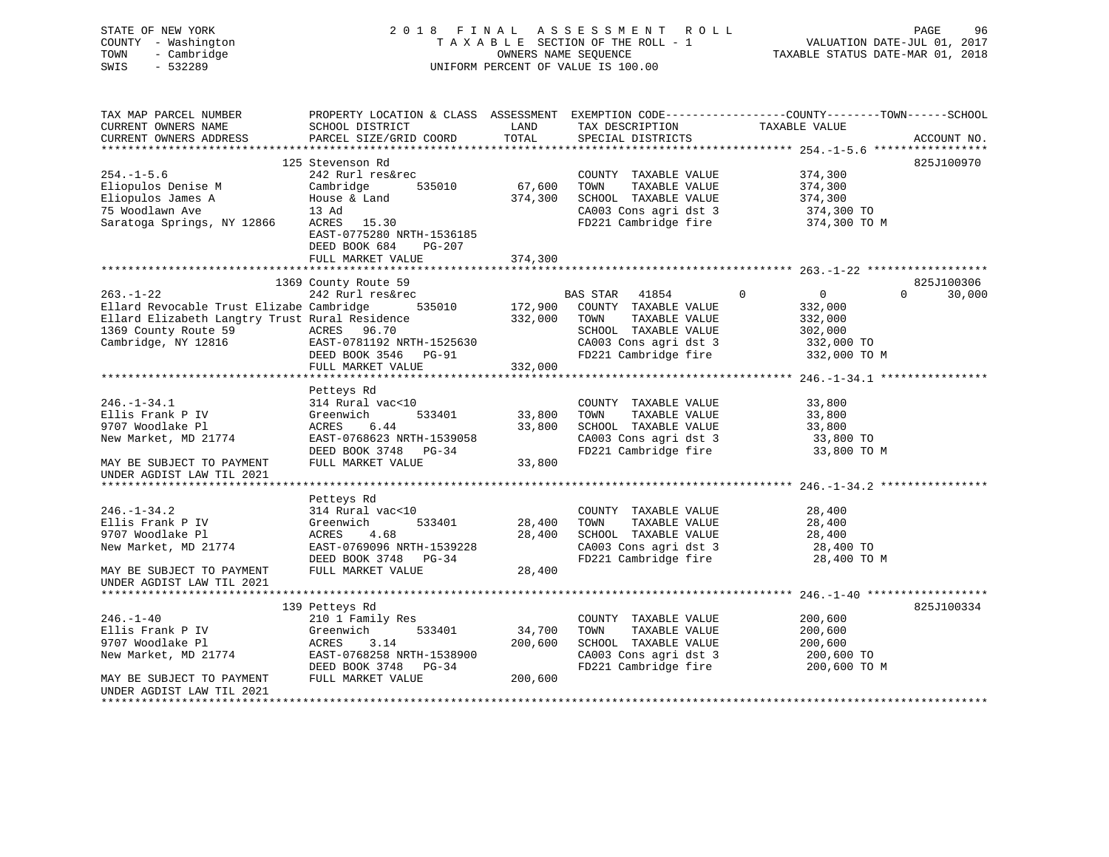| STATE OF NEW YORK<br>COUNTY - Washington<br>- Cambridge<br>TOWN<br>$-532289$<br>SWIS | 2018 FINAL                                |                        | A S S E S S M E N T<br>ROLL<br>TAXABLE SECTION OF THE ROLL - 1<br>OWNERS NAME SEQUENCE<br>UNIFORM PERCENT OF VALUE IS 100.00 | VALUATION DATE-JUL 01, 2017<br>TAXABLE STATUS DATE-MAR 01, 2018                                                  | PAGE<br>96  |
|--------------------------------------------------------------------------------------|-------------------------------------------|------------------------|------------------------------------------------------------------------------------------------------------------------------|------------------------------------------------------------------------------------------------------------------|-------------|
| TAX MAP PARCEL NUMBER<br>CURRENT OWNERS NAME<br>CURRENT OWNERS ADDRESS               | SCHOOL DISTRICT<br>PARCEL SIZE/GRID COORD | LAND<br>TOTAL          | TAX DESCRIPTION<br>SPECIAL DISTRICTS                                                                                         | PROPERTY LOCATION & CLASS ASSESSMENT EXEMPTION CODE----------------COUNTY-------TOWN-----SCHOOL<br>TAXABLE VALUE | ACCOUNT NO. |
| ***********************                                                              |                                           |                        |                                                                                                                              |                                                                                                                  |             |
| $254. - 1 - 5.6$                                                                     | 125 Stevenson Rd<br>242 Rurl res&rec      |                        | COUNTY TAXABLE VALUE                                                                                                         | 374,300                                                                                                          | 825J100970  |
| Eliopulos Denise M                                                                   | Cambridge<br>535010                       | 67,600                 | TOWN<br>TAXABLE VALUE                                                                                                        | 374,300                                                                                                          |             |
| Eliopulos James A                                                                    | House & Land                              | 374,300                | SCHOOL TAXABLE VALUE                                                                                                         | 374,300                                                                                                          |             |
| 75 Woodlawn Ave                                                                      | 13 Ad                                     |                        | CA003 Cons agri dst 3                                                                                                        | 374,300 TO                                                                                                       |             |
| Saratoga Springs, NY 12866                                                           | ACRES<br>15.30                            |                        | FD221 Cambridge fire                                                                                                         | 374,300 TO M                                                                                                     |             |
|                                                                                      | EAST-0775280 NRTH-1536185                 |                        |                                                                                                                              |                                                                                                                  |             |
|                                                                                      | DEED BOOK 684<br>PG-207                   |                        |                                                                                                                              |                                                                                                                  |             |
|                                                                                      | FULL MARKET VALUE                         | 374,300<br>*********** |                                                                                                                              |                                                                                                                  |             |
|                                                                                      | 1369 County Route 59                      |                        |                                                                                                                              |                                                                                                                  | 825J100306  |
| $263. - 1 - 22$                                                                      | 242 Rurl res&rec                          |                        | BAS STAR<br>41854                                                                                                            | $\mathbf 0$<br>0<br>$\Omega$                                                                                     | 30,000      |
| Ellard Revocable Trust Elizabe Cambridge                                             | 535010                                    | 172,900                | COUNTY TAXABLE VALUE                                                                                                         | 332,000                                                                                                          |             |
| Ellard Elizabeth Langtry Trust Rural Residence                                       |                                           | 332,000                | TOWN<br>TAXABLE VALUE                                                                                                        | 332,000                                                                                                          |             |
| 1369 County Route 59                                                                 | ACRES 96.70                               |                        | SCHOOL TAXABLE VALUE                                                                                                         | 302,000                                                                                                          |             |
| Cambridge, NY 12816                                                                  | EAST-0781192 NRTH-1525630                 |                        | CA003 Cons agri dst 3                                                                                                        | 332,000 TO                                                                                                       |             |
|                                                                                      | DEED BOOK 3546<br><b>PG-91</b>            |                        | FD221 Cambridge fire                                                                                                         | 332,000 TO M                                                                                                     |             |
|                                                                                      | FULL MARKET VALUE                         | 332,000                |                                                                                                                              |                                                                                                                  |             |
|                                                                                      |                                           |                        |                                                                                                                              |                                                                                                                  |             |
|                                                                                      | Petteys Rd                                |                        |                                                                                                                              |                                                                                                                  |             |
| $246. - 1 - 34.1$<br>Ellis Frank P IV                                                | 314 Rural vac<10<br>533401                |                        | COUNTY TAXABLE VALUE<br>TAXABLE VALUE                                                                                        | 33,800                                                                                                           |             |
| 9707 Woodlake Pl                                                                     | Greenwich<br>ACRES<br>6.44                | 33,800<br>33,800       | TOWN<br>SCHOOL TAXABLE VALUE                                                                                                 | 33,800<br>33,800                                                                                                 |             |
| New Market, MD 21774                                                                 | EAST-0768623 NRTH-1539058                 |                        | CA003 Cons agri dst 3                                                                                                        | 33,800 TO                                                                                                        |             |
|                                                                                      | DEED BOOK 3748 PG-34                      |                        | FD221 Cambridge fire                                                                                                         | 33,800 TO M                                                                                                      |             |
| MAY BE SUBJECT TO PAYMENT                                                            | FULL MARKET VALUE                         | 33,800                 |                                                                                                                              |                                                                                                                  |             |
| UNDER AGDIST LAW TIL 2021                                                            |                                           |                        |                                                                                                                              |                                                                                                                  |             |
|                                                                                      |                                           |                        |                                                                                                                              |                                                                                                                  |             |
|                                                                                      | Petteys Rd                                |                        |                                                                                                                              |                                                                                                                  |             |
| $246. - 1 - 34.2$                                                                    | 314 Rural vac<10                          |                        | COUNTY TAXABLE VALUE                                                                                                         | 28,400                                                                                                           |             |
| Ellis Frank P IV                                                                     | Greenwich<br>533401                       | 28,400                 | TAXABLE VALUE<br>TOWN                                                                                                        | 28,400                                                                                                           |             |
| 9707 Woodlake Pl                                                                     | 4.68<br>ACRES                             | 28,400                 | SCHOOL TAXABLE VALUE                                                                                                         | 28,400                                                                                                           |             |
| New Market, MD 21774                                                                 | EAST-0769096 NRTH-1539228                 |                        | CA003 Cons agri dst 3                                                                                                        | 28,400 TO                                                                                                        |             |
| MAY BE SUBJECT TO PAYMENT                                                            | DEED BOOK 3748 PG-34<br>FULL MARKET VALUE | 28,400                 | FD221 Cambridge fire                                                                                                         | 28,400 TO M                                                                                                      |             |
| UNDER AGDIST LAW TIL 2021                                                            |                                           |                        |                                                                                                                              |                                                                                                                  |             |
|                                                                                      |                                           |                        |                                                                                                                              |                                                                                                                  |             |
|                                                                                      | 139 Petteys Rd                            |                        |                                                                                                                              |                                                                                                                  | 825J100334  |
| $246. - 1 - 40$                                                                      | 210 1 Family Res                          |                        | COUNTY TAXABLE VALUE                                                                                                         | 200,600                                                                                                          |             |
| Ellis Frank P IV                                                                     | Greenwich<br>533401                       | 34,700                 | TAXABLE VALUE<br>TOWN                                                                                                        | 200,600                                                                                                          |             |
| 9707 Woodlake Pl                                                                     | ACRES<br>3.14                             | 200,600                | SCHOOL TAXABLE VALUE                                                                                                         | 200,600                                                                                                          |             |
| New Market, MD 21774                                                                 | EAST-0768258 NRTH-1538900                 |                        | CA003 Cons agri dst 3                                                                                                        | 200,600 TO                                                                                                       |             |
|                                                                                      | DEED BOOK 3748 PG-34                      |                        | FD221 Cambridge fire                                                                                                         | 200,600 TO M                                                                                                     |             |
| MAY BE SUBJECT TO PAYMENT                                                            | FULL MARKET VALUE                         | 200,600                |                                                                                                                              |                                                                                                                  |             |
| UNDER AGDIST LAW TIL 2021                                                            |                                           |                        |                                                                                                                              |                                                                                                                  |             |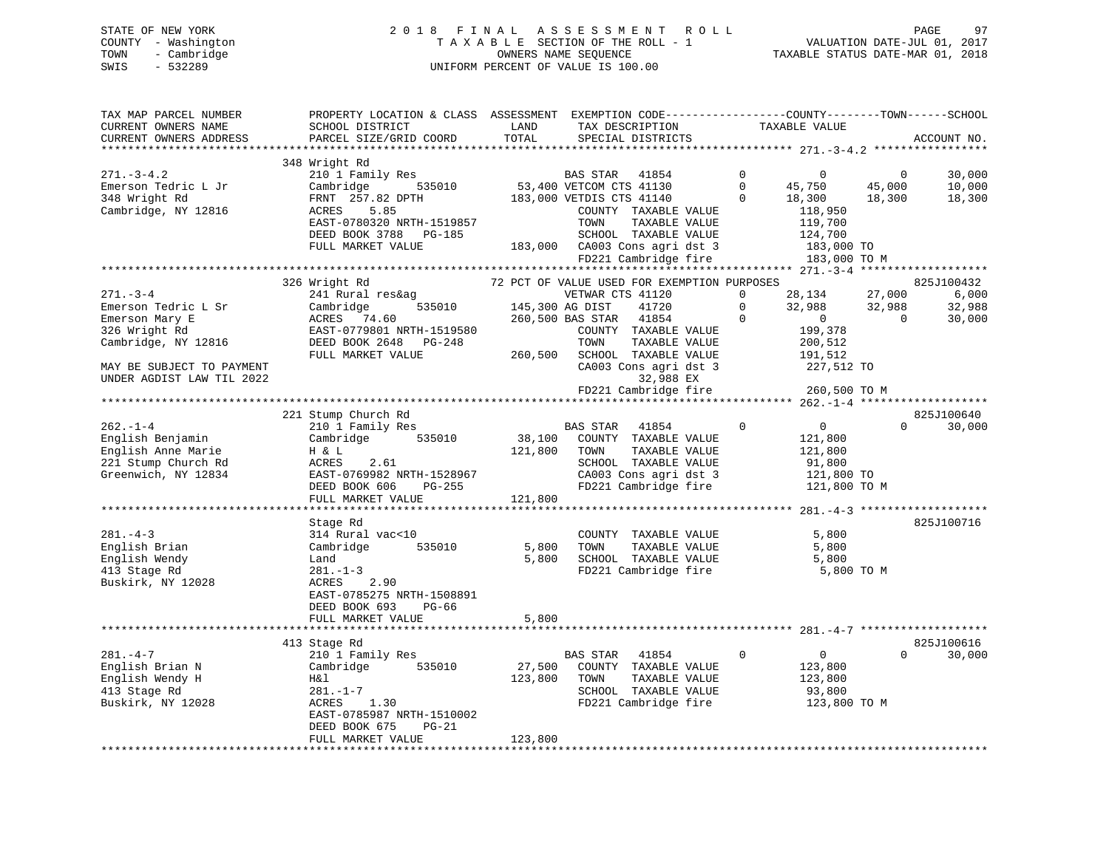STATE OF NEW YORK 2 0 1 8 F I N A L A S S E S S M E N T R O L L PAGE 97 COUNTY - Washington T A X A B L E SECTION OF THE ROLL - 1 VALUATION DATE-JUL 01, 2017 TOWN - Cambridge OWNERS NAME SEQUENCE TAXABLE STATUS DATE-MAR 01, 2018 SWIS - 532289 UNIFORM PERCENT OF VALUE IS 100.00

| SCHOOL DISTRICT<br>LAND<br>TAX DESCRIPTION<br>TAXABLE VALUE<br>CURRENT OWNERS NAME                                                    | PROPERTY LOCATION & CLASS ASSESSMENT EXEMPTION CODE---------------COUNTY-------TOWN------SCHOOL |
|---------------------------------------------------------------------------------------------------------------------------------------|-------------------------------------------------------------------------------------------------|
| TOTAL<br>CURRENT OWNERS ADDRESS<br>PARCEL SIZE/GRID COORD<br>SPECIAL DISTRICTS<br>**************************<br>********************* | ACCOUNT NO.                                                                                     |
| 348 Wright Rd                                                                                                                         |                                                                                                 |
| 210 1 Family Res<br>$271. - 3 - 4.2$<br>$\Omega$<br>BAS STAR 41854<br>$\Omega$<br>$\Omega$                                            | 30,000                                                                                          |
| 53,400 VETCOM CTS 41130<br>$\Omega$<br>Emerson Tedric L Jr<br>Cambridge<br>535010<br>45,000<br>45,750                                 | 10,000                                                                                          |
| 348 Wright Rd<br>FRNT 257.82 DPTH<br>183,000 VETDIS CTS 41140<br>18,300<br>18,300<br>$\mathbf{0}$                                     | 18,300                                                                                          |
| Cambridge, NY 12816<br>5.85<br>118,950<br>ACRES<br>COUNTY TAXABLE VALUE                                                               |                                                                                                 |
| EAST-0780320 NRTH-1519857<br>TOWN<br>TAXABLE VALUE<br>119,700                                                                         |                                                                                                 |
| SCHOOL TAXABLE VALUE<br>DEED BOOK 3788 PG-185<br>124,700                                                                              |                                                                                                 |
| FULL MARKET VALUE<br>183,000 CA003 Cons agri dst 3<br>183,000 TO                                                                      |                                                                                                 |
| FD221 Cambridge fire<br>183,000 TO M                                                                                                  |                                                                                                 |
|                                                                                                                                       |                                                                                                 |
| 326 Wright Rd<br>72 PCT OF VALUE USED FOR EXEMPTION PURPOSES                                                                          | 825J100432                                                                                      |
| 28,134<br>271.-3-4<br>241 Rural res&ag<br>VETWAR CTS 41120<br>27,000<br>$\mathbf{0}$                                                  | 6,000                                                                                           |
| 535010<br>$\mathbf 0$<br>Emerson Tedric L Sr<br>Cambridge<br>145,300 AG DIST<br>41720<br>32,988<br>32,988                             | 32,988                                                                                          |
| 260,500 BAS STAR 41854<br>$\mathbf 0$<br>$\overline{0}$<br>$\Omega$<br>Emerson Mary E<br>ACRES 74.60                                  | 30,000                                                                                          |
| 326 Wright Rd<br>EAST-0779801 NRTH-1519580<br>COUNTY TAXABLE VALUE<br>199,378                                                         |                                                                                                 |
| Cambridge, NY 12816<br>DEED BOOK 2648 PG-248<br>TOWN<br>TAXABLE VALUE<br>200,512                                                      |                                                                                                 |
| FULL MARKET VALUE<br>260,500<br>SCHOOL TAXABLE VALUE<br>191,512                                                                       |                                                                                                 |
| CA003 Cons agri dst 3<br>MAY BE SUBJECT TO PAYMENT<br>227,512 TO                                                                      |                                                                                                 |
| 32,988 EX<br>UNDER AGDIST LAW TIL 2022                                                                                                |                                                                                                 |
| FD221 Cambridge fire<br>260,500 TO M                                                                                                  |                                                                                                 |
|                                                                                                                                       |                                                                                                 |
| 221 Stump Church Rd<br>$\mathbf 0$                                                                                                    | 825J100640<br>$\Omega$                                                                          |
| $262 - 1 - 4$<br>BAS STAR 41854<br>$\overline{0}$<br>210 1 Family Res                                                                 | 30,000                                                                                          |
| 535010<br>38,100<br>English Benjamin<br>Cambridge<br>COUNTY TAXABLE VALUE<br>121,800<br>121,800<br>TOWN<br>121,800                    |                                                                                                 |
| English Anne Marie<br>TAXABLE VALUE<br>H & L<br>221 Stump Church Rd<br>2.61<br>SCHOOL TAXABLE VALUE<br>ACRES<br>91,800                |                                                                                                 |
| 121,800 TO<br>Greenwich, NY 12834<br>EAST-0769982 NRTH-1528967<br>CA003 Cons agri dst 3                                               |                                                                                                 |
| FD221 Cambridge fire<br>DEED BOOK 606<br>PG-255<br>121,800 TO M                                                                       |                                                                                                 |
| 121,800<br>FULL MARKET VALUE                                                                                                          |                                                                                                 |
|                                                                                                                                       |                                                                                                 |
| Stage Rd                                                                                                                              | 825J100716                                                                                      |
| $281. - 4 - 3$<br>314 Rural vac<10<br>COUNTY TAXABLE VALUE<br>5,800                                                                   |                                                                                                 |
| 535010<br>TAXABLE VALUE<br>5,800<br>English Brian<br>Cambridge<br>5,800<br>TOWN                                                       |                                                                                                 |
| English Wendy<br>5,800<br>SCHOOL TAXABLE VALUE<br>5,800<br>Land                                                                       |                                                                                                 |
| 413 Stage Rd<br>FD221 Cambridge fire<br>$281. - 1 - 3$<br>5,800 TO M                                                                  |                                                                                                 |
| Buskirk, NY 12028<br>2.90<br>ACRES                                                                                                    |                                                                                                 |
| EAST-0785275 NRTH-1508891                                                                                                             |                                                                                                 |
| DEED BOOK 693<br>PG-66                                                                                                                |                                                                                                 |
| FULL MARKET VALUE<br>5,800                                                                                                            |                                                                                                 |
|                                                                                                                                       |                                                                                                 |
| 413 Stage Rd                                                                                                                          | 825J100616                                                                                      |
| $281. -4 -7$<br>$\mathbf 0$<br>$\overline{0}$<br>210 1 Family Res<br>BAS STAR 41854<br>$\Omega$                                       | 30,000                                                                                          |
| English Brian N<br>Cambridge<br>535010<br>27,500<br>COUNTY TAXABLE VALUE<br>123,800                                                   |                                                                                                 |
| English Wendy H<br>123,800<br>Η&l<br>TOWN<br>TAXABLE VALUE<br>123,800                                                                 |                                                                                                 |
| 413 Stage Rd<br>$281. - 1 - 7$<br>SCHOOL TAXABLE VALUE<br>93,800                                                                      |                                                                                                 |
| Buskirk, NY 12028<br>1.30<br>FD221 Cambridge fire<br>123,800 TO M<br>ACRES<br>EAST-0785987 NRTH-1510002                               |                                                                                                 |
| DEED BOOK 675<br>$PG-21$                                                                                                              |                                                                                                 |
| 123,800<br>FULL MARKET VALUE                                                                                                          |                                                                                                 |
|                                                                                                                                       |                                                                                                 |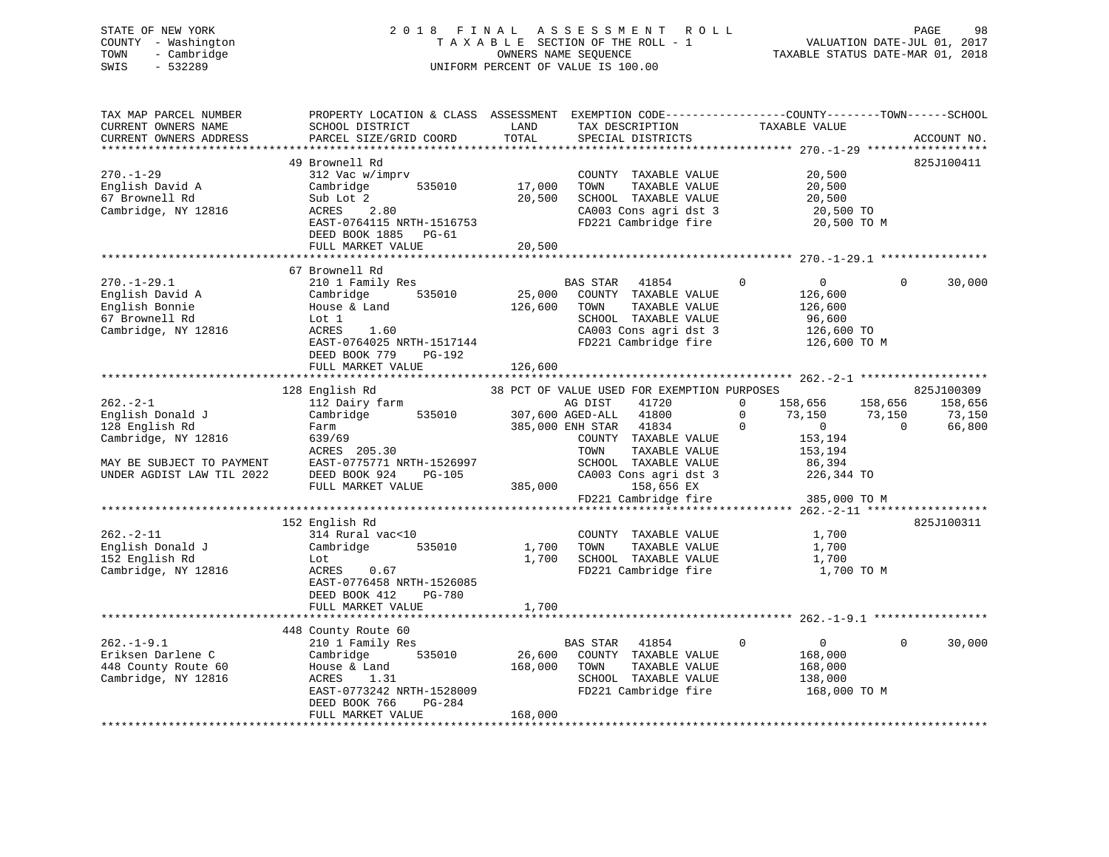# STATE OF NEW YORK 2 0 1 8 F I N A L A S S E S S M E N T R O L L PAGE 98 COUNTY - Washington T A X A B L E SECTION OF THE ROLL - 1 VALUATION DATE-JUL 01, 2017 TOWN - Cambridge OWNERS NAME SEQUENCE TAXABLE STATUS DATE-MAR 01, 2018 SWIS - 532289 UNIFORM PERCENT OF VALUE IS 100.00

| TAX MAP PARCEL NUMBER<br>CURRENT OWNERS NAME<br>CURRENT OWNERS ADDRESS                          | PROPERTY LOCATION & CLASS ASSESSMENT EXEMPTION CODE----------------COUNTY-------TOWN-----SCHOOL<br>SCHOOL DISTRICT<br>PARCEL SIZE/GRID COORD                                 | LAND<br>TOTAL                | TAX DESCRIPTION<br>SPECIAL DISTRICTS                                                                                                               | TAXABLE VALUE                                                                            | ACCOUNT NO.                                          |
|-------------------------------------------------------------------------------------------------|------------------------------------------------------------------------------------------------------------------------------------------------------------------------------|------------------------------|----------------------------------------------------------------------------------------------------------------------------------------------------|------------------------------------------------------------------------------------------|------------------------------------------------------|
|                                                                                                 |                                                                                                                                                                              |                              |                                                                                                                                                    |                                                                                          |                                                      |
| $270. - 1 - 29$<br>English David A<br>67 Brownell Rd<br>Cambridge, NY 12816                     | 49 Brownell Rd<br>312 Vac w/imprv<br>535010<br>Cambridge<br>Sub Lot 2<br>2.80<br>ACRES<br>EAST-0764115 NRTH-1516753<br>DEED BOOK 1885 PG-61<br>FULL MARKET VALUE             | 17,000<br>20,500<br>20,500   | COUNTY TAXABLE VALUE<br>TAXABLE VALUE<br>TOWN<br>SCHOOL TAXABLE VALUE<br>CA003 Cons agri dst 3<br>FD221 Cambridge fire                             | 20,500<br>20,500<br>20,500<br>20,500 TO<br>20,500 TO M                                   | 825J100411                                           |
|                                                                                                 |                                                                                                                                                                              |                              |                                                                                                                                                    |                                                                                          |                                                      |
| $270. - 1 - 29.1$<br>English David A<br>English Bonnie<br>67 Brownell Rd<br>Cambridge, NY 12816 | 67 Brownell Rd<br>210 1 Family Res<br>535010<br>Cambridge<br>House & Land<br>Lot 1<br>1.60<br>ACRES<br>EAST-0764025 NRTH-1517144<br>DEED BOOK 779<br>PG-192                  | 25,000<br>126,600            | <b>BAS STAR</b><br>41854<br>COUNTY TAXABLE VALUE<br>TOWN<br>TAXABLE VALUE<br>SCHOOL TAXABLE VALUE<br>CA003 Cons agri dst 3<br>FD221 Cambridge fire | $\Omega$<br>$\overline{0}$<br>126,600<br>126,600<br>96,600<br>126,600 TO<br>126,600 TO M | $\Omega$<br>30,000                                   |
|                                                                                                 | FULL MARKET VALUE                                                                                                                                                            | 126,600                      |                                                                                                                                                    |                                                                                          |                                                      |
| $262 - 2 - 1$<br>English Donald J                                                               | 128 English Rd<br>112 Dairy farm<br>Cambridge<br>535010                                                                                                                      |                              | 38 PCT OF VALUE USED FOR EXEMPTION PURPOSES<br>AG DIST<br>41720<br>307,600 AGED-ALL 41800                                                          | 158,656<br>0<br>$\mathbf 0$<br>73,150                                                    | 825J100309<br>158,656<br>158,656<br>73,150<br>73,150 |
| 128 English Rd<br>Cambridge, NY 12816<br>MAY BE SUBJECT TO PAYMENT<br>UNDER AGDIST LAW TIL 2022 | Farm<br>639/69<br>ACRES 205.30<br>EAST-0775771 NRTH-1526997<br>DEED BOOK 924<br><b>PG-105</b>                                                                                |                              | 385,000 ENH STAR 41834<br>COUNTY TAXABLE VALUE<br>TAXABLE VALUE<br>TOWN<br>SCHOOL TAXABLE VALUE<br>CA003 Cons agri dst 3                           | $\Omega$<br>$\overline{0}$<br>153,194<br>153,194<br>86,394                               | $\Omega$<br>66,800                                   |
|                                                                                                 | FULL MARKET VALUE                                                                                                                                                            | 385,000                      | 158,656 EX<br>FD221 Cambridge fire                                                                                                                 | 226,344 TO<br>385,000 TO M                                                               |                                                      |
|                                                                                                 |                                                                                                                                                                              |                              |                                                                                                                                                    |                                                                                          |                                                      |
| $262 - 2 - 11$<br>English Donald J<br>152 English Rd<br>Cambridge, NY 12816                     | 152 English Rd<br>314 Rural vac<10<br>Cambridge<br>535010<br>Lot<br>0.67<br>ACRES<br>EAST-0776458 NRTH-1526085<br>DEED BOOK 412<br>PG-780<br>FULL MARKET VALUE               | 1,700<br>1,700<br>1,700      | COUNTY TAXABLE VALUE<br>TAXABLE VALUE<br>TOWN<br>SCHOOL TAXABLE VALUE<br>FD221 Cambridge fire                                                      | 1,700<br>1,700<br>1,700<br>1,700 TO M                                                    | 825J100311                                           |
|                                                                                                 |                                                                                                                                                                              |                              |                                                                                                                                                    |                                                                                          |                                                      |
| $262 - 1 - 9.1$<br>Eriksen Darlene C<br>448 County Route 60<br>Cambridge, NY 12816              | 448 County Route 60<br>210 1 Family Res<br>Cambridge<br>535010<br>House & Land<br>ACRES<br>1.31<br>EAST-0773242 NRTH-1528009<br>DEED BOOK 766<br>PG-284<br>FULL MARKET VALUE | 26,600<br>168,000<br>168,000 | BAS STAR<br>41854<br>COUNTY TAXABLE VALUE<br>TOWN<br>TAXABLE VALUE<br>SCHOOL TAXABLE VALUE<br>FD221 Cambridge fire                                 | 0<br>$\overline{0}$<br>168,000<br>168,000<br>138,000<br>168,000 TO M                     | $\mathbf{0}$<br>30,000                               |
|                                                                                                 |                                                                                                                                                                              |                              |                                                                                                                                                    |                                                                                          |                                                      |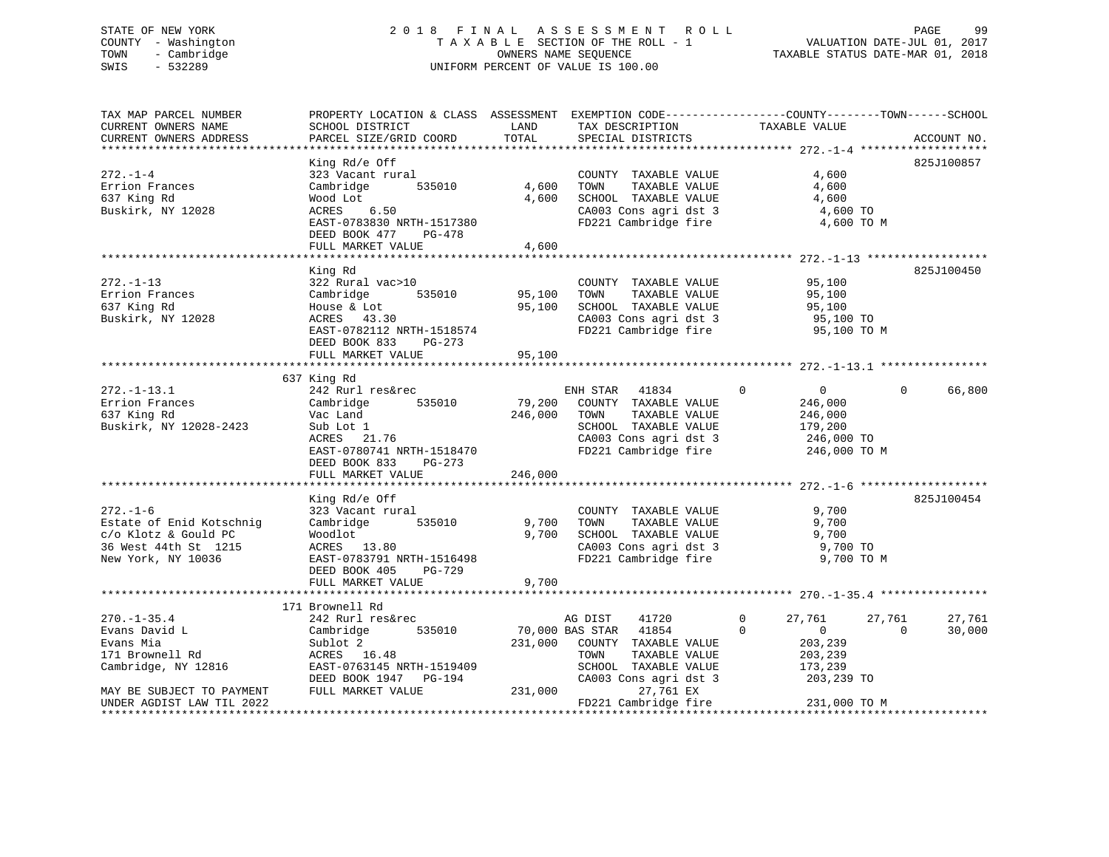# STATE OF NEW YORK 2 0 1 8 F I N A L A S S E S S M E N T R O L L PAGE 99 COUNTY - Washington T A X A B L E SECTION OF THE ROLL - 1 VALUATION DATE-JUL 01, 2017 TOWN - Cambridge OWNERS NAME SEQUENCE TAXABLE STATUS DATE-MAR 01, 2018 SWIS - 532289 UNIFORM PERCENT OF VALUE IS 100.00

| TAX MAP PARCEL NUMBER<br>CURRENT OWNERS NAME<br>CURRENT OWNERS ADDRESS | PROPERTY LOCATION & CLASS ASSESSMENT EXEMPTION CODE----------------COUNTY-------TOWN------SCHOOL<br>SCHOOL DISTRICT<br>PARCEL SIZE/GRID COORD | LAND<br>TOTAL | TAX DESCRIPTION<br>SPECIAL DISTRICTS | TAXABLE VALUE          | ACCOUNT NO.        |
|------------------------------------------------------------------------|-----------------------------------------------------------------------------------------------------------------------------------------------|---------------|--------------------------------------|------------------------|--------------------|
|                                                                        |                                                                                                                                               |               |                                      |                        |                    |
|                                                                        | King Rd/e Off                                                                                                                                 |               |                                      |                        | 825J100857         |
| $272. - 1 - 4$                                                         | 323 Vacant rural                                                                                                                              |               | COUNTY TAXABLE VALUE                 | 4,600                  |                    |
| Errion Frances                                                         | 535010<br>Cambridge                                                                                                                           | 4,600         | TOWN<br>TAXABLE VALUE                | 4,600                  |                    |
| 637 King Rd                                                            | Wood Lot                                                                                                                                      | 4,600         | SCHOOL TAXABLE VALUE                 | 4,600                  |                    |
| Buskirk, NY 12028                                                      | ACRES 6.50                                                                                                                                    |               | CA003 Cons agri dst 3                | 4,600 TO               |                    |
|                                                                        | EAST-0783830 NRTH-1517380                                                                                                                     |               | FD221 Cambridge fire                 | 4,600 TO M             |                    |
|                                                                        | DEED BOOK 477<br>PG-478                                                                                                                       |               |                                      |                        |                    |
|                                                                        | FULL MARKET VALUE                                                                                                                             | 4,600         |                                      |                        |                    |
|                                                                        |                                                                                                                                               |               |                                      |                        |                    |
|                                                                        | King Rd                                                                                                                                       |               |                                      |                        | 825J100450         |
| $272. - 1 - 13$                                                        | 322 Rural vac>10                                                                                                                              |               | COUNTY TAXABLE VALUE                 | 95,100                 |                    |
| Errion Frances                                                         | Cambridge<br>535010                                                                                                                           | 95,100        | TAXABLE VALUE<br>TOWN                | 95,100                 |                    |
| 637 King Rd                                                            | House & Lot                                                                                                                                   | 95,100        | SCHOOL TAXABLE VALUE                 | 95,100                 |                    |
| Buskirk, NY 12028                                                      | ACRES 43.30                                                                                                                                   |               | CA003 Cons agri dst 3                | 95,100 TO              |                    |
|                                                                        | EAST-0782112 NRTH-1518574                                                                                                                     |               | FD221 Cambridge fire                 | 95,100 TO M            |                    |
|                                                                        | DEED BOOK 833<br>PG-273                                                                                                                       |               |                                      |                        |                    |
|                                                                        | FULL MARKET VALUE                                                                                                                             | 95,100        |                                      |                        |                    |
|                                                                        | 637 King Rd                                                                                                                                   |               |                                      |                        |                    |
| $272. - 1 - 13.1$                                                      | 242 Rurl res&rec                                                                                                                              |               | ENH STAR<br>41834                    | $\Omega$<br>$\Omega$   | 66,800<br>$\Omega$ |
| Errion Frances                                                         | Cambridge<br>535010                                                                                                                           | 79,200        | COUNTY TAXABLE VALUE                 | 246,000                |                    |
| 637 King Rd                                                            | Vac Land                                                                                                                                      | 246,000       | TOWN<br>TAXABLE VALUE                | 246,000                |                    |
| Buskirk, NY 12028-2423                                                 | Sub Lot 1                                                                                                                                     |               | SCHOOL TAXABLE VALUE                 | 179,200                |                    |
|                                                                        | ACRES 21.76                                                                                                                                   |               | CA003 Cons agri dst 3                | 246,000 TO             |                    |
|                                                                        | EAST-0780741 NRTH-1518470                                                                                                                     |               | FD221 Cambridge fire                 | 246,000 TO M           |                    |
|                                                                        | DEED BOOK 833<br>PG-273                                                                                                                       |               |                                      |                        |                    |
|                                                                        | FULL MARKET VALUE                                                                                                                             | 246,000       |                                      |                        |                    |
|                                                                        |                                                                                                                                               |               |                                      |                        |                    |
|                                                                        | King Rd/e Off                                                                                                                                 |               |                                      |                        | 825J100454         |
| $272. - 1 - 6$                                                         | 323 Vacant rural                                                                                                                              |               | COUNTY TAXABLE VALUE                 | 9,700                  |                    |
| Estate of Enid Kotschnig                                               | Cambridge<br>535010                                                                                                                           | 9,700         | TOWN<br>TAXABLE VALUE                | 9,700                  |                    |
| c/o Klotz & Gould PC                                                   | Woodlot                                                                                                                                       | 9,700         | SCHOOL TAXABLE VALUE                 | 9,700                  |                    |
| 36 West 44th St 1215                                                   | ACRES 13.80                                                                                                                                   |               | CA003 Cons agri dst 3                | 9,700 TO               |                    |
| New York, NY 10036                                                     | EAST-0783791 NRTH-1516498                                                                                                                     |               | FD221 Cambridge fire                 | 9,700 TO M             |                    |
|                                                                        | PG-729<br>DEED BOOK 405                                                                                                                       |               |                                      |                        |                    |
|                                                                        | FULL MARKET VALUE                                                                                                                             | 9,700         |                                      |                        |                    |
|                                                                        | 171 Brownell Rd                                                                                                                               |               |                                      |                        |                    |
| $270. - 1 - 35.4$                                                      | 242 Rurl res&rec                                                                                                                              |               | AG DIST<br>41720                     | $\mathbf{0}$<br>27,761 | 27,761<br>27,761   |
| Evans David L                                                          | 535010<br>Cambridge                                                                                                                           |               | 70,000 BAS STAR<br>41854             | $\Omega$<br>0          | 30,000<br>$\Omega$ |
| Evans Mia                                                              | Sublot 2                                                                                                                                      |               | 231,000 COUNTY TAXABLE VALUE         | 203,239                |                    |
| 171 Brownell Rd                                                        | ACRES 16.48                                                                                                                                   |               | TOWN<br>TAXABLE VALUE                | 203,239                |                    |
| Cambridge, NY 12816                                                    | EAST-0763145 NRTH-1519409                                                                                                                     |               | SCHOOL TAXABLE VALUE                 | 173,239                |                    |
|                                                                        | DEED BOOK 1947 PG-194                                                                                                                         |               | CA003 Cons agri dst 3                | 203,239 TO             |                    |
| MAY BE SUBJECT TO PAYMENT                                              | FULL MARKET VALUE                                                                                                                             | 231,000       | 27,761 EX                            |                        |                    |
| UNDER AGDIST LAW TIL 2022                                              |                                                                                                                                               |               | FD221 Cambridge fire                 | 231,000 TO M           |                    |
|                                                                        |                                                                                                                                               |               |                                      |                        |                    |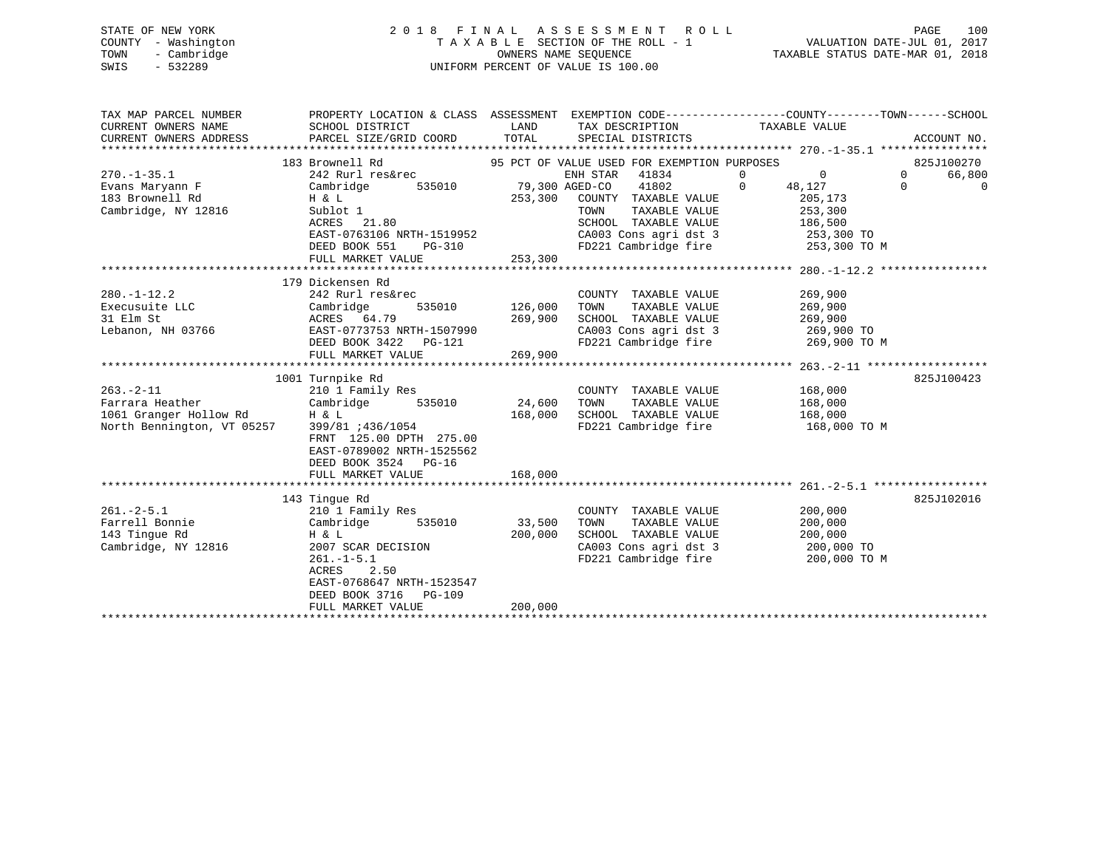# STATE OF NEW YORK 2 0 1 8 F I N A L A S S E S S M E N T R O L L PAGE 100 COUNTY - Washington T A X A B L E SECTION OF THE ROLL - 1 VALUATION DATE-JUL 01, 2017 TOWN - Cambridge OWNERS NAME SEQUENCE TAXABLE STATUS DATE-MAR 01, 2018 SWIS - 532289 UNIFORM PERCENT OF VALUE IS 100.00

| TAX MAP PARCEL NUMBER      | PROPERTY LOCATION & CLASS ASSESSMENT EXEMPTION CODE----------------COUNTY-------TOWN-----SCHOOL |         |                                             |                            |          |             |
|----------------------------|-------------------------------------------------------------------------------------------------|---------|---------------------------------------------|----------------------------|----------|-------------|
| CURRENT OWNERS NAME        | SCHOOL DISTRICT                                                                                 | LAND    | TAX DESCRIPTION                             | TAXABLE VALUE              |          |             |
| CURRENT OWNERS ADDRESS     | PARCEL SIZE/GRID COORD                                                                          | TOTAL   | SPECIAL DISTRICTS                           |                            |          | ACCOUNT NO. |
|                            |                                                                                                 |         |                                             |                            |          |             |
|                            | 183 Brownell Rd                                                                                 |         | 95 PCT OF VALUE USED FOR EXEMPTION PURPOSES |                            |          | 825J100270  |
| $270. -1 - 35.1$           | 242 Rurl res&rec                                                                                |         | ENH STAR 41834                              | $\overline{0}$<br>$\Omega$ | $\Omega$ | 66,800      |
| Evans Maryann F            | 535010<br>Cambridge                                                                             |         | 41802<br>79,300 AGED-CO                     | $\Omega$<br>48,127         | $\Omega$ | $\mathbf 0$ |
| 183 Brownell Rd            | H & L                                                                                           | 253,300 | COUNTY TAXABLE VALUE                        | 205,173                    |          |             |
| Cambridge, NY 12816        | Sublot 1                                                                                        |         | TAXABLE VALUE<br>TOWN                       | 253,300                    |          |             |
|                            | ACRES 21.80                                                                                     |         | SCHOOL TAXABLE VALUE                        | 186,500                    |          |             |
|                            | EAST-0763106 NRTH-1519952                                                                       |         | CA003 Cons agri dst 3                       | 253,300 TO                 |          |             |
|                            | DEED BOOK 551<br>PG-310                                                                         |         | FD221 Cambridge fire                        | 253,300 TO M               |          |             |
|                            | FULL MARKET VALUE                                                                               | 253,300 |                                             |                            |          |             |
|                            |                                                                                                 |         |                                             |                            |          |             |
|                            | 179 Dickensen Rd                                                                                |         |                                             |                            |          |             |
| $280. -1 - 12.2$           | 242 Rurl res&rec                                                                                |         | COUNTY TAXABLE VALUE                        | 269,900                    |          |             |
| Execusuite LLC             | Cambridge<br>535010                                                                             | 126,000 | TAXABLE VALUE<br>TOWN                       | 269,900                    |          |             |
| 31 Elm St                  | ACRES 64.79                                                                                     | 269,900 | SCHOOL TAXABLE VALUE                        | 269,900                    |          |             |
| Lebanon, NH 03766          | EAST-0773753 NRTH-1507990                                                                       |         | CA003 Cons agri dst 3                       | 269,900 TO                 |          |             |
|                            | DEED BOOK 3422 PG-121                                                                           |         | FD221 Cambridge fire                        | 269,900 TO M               |          |             |
|                            | FULL MARKET VALUE                                                                               | 269,900 |                                             |                            |          |             |
|                            |                                                                                                 |         |                                             |                            |          |             |
|                            | 1001 Turnpike Rd                                                                                |         |                                             |                            |          | 825J100423  |
| $263. - 2 - 11$            | 210 1 Family Res                                                                                |         | COUNTY TAXABLE VALUE                        | 168,000                    |          |             |
| Farrara Heather            | 535010<br>Cambridge                                                                             | 24,600  | TAXABLE VALUE<br>TOWN                       | 168,000                    |          |             |
| 1061 Granger Hollow Rd     | H & L                                                                                           | 168,000 | SCHOOL TAXABLE VALUE                        | 168,000                    |          |             |
| North Bennington, VT 05257 | 399/81 :436/1054                                                                                |         | FD221 Cambridge fire                        | 168,000 TO M               |          |             |
|                            | FRNT 125.00 DPTH 275.00                                                                         |         |                                             |                            |          |             |
|                            | EAST-0789002 NRTH-1525562                                                                       |         |                                             |                            |          |             |
|                            | DEED BOOK 3524 PG-16                                                                            |         |                                             |                            |          |             |
|                            | FULL MARKET VALUE                                                                               | 168,000 |                                             |                            |          |             |
|                            | 143 Tingue Rd                                                                                   |         |                                             |                            |          | 825J102016  |
| $261 - 2 - 5.1$            | 210 1 Family Res                                                                                |         | COUNTY TAXABLE VALUE                        | 200,000                    |          |             |
| Farrell Bonnie             | 535010<br>Cambridge                                                                             | 33,500  | TAXABLE VALUE<br>TOWN                       | 200,000                    |          |             |
| 143 Tingue Rd              | H & L                                                                                           | 200,000 | SCHOOL TAXABLE VALUE                        | 200,000                    |          |             |
| Cambridge, NY 12816        | 2007 SCAR DECISION                                                                              |         | CA003 Cons agri dst 3                       | 200,000 TO                 |          |             |
|                            | $261. -1 - 5.1$                                                                                 |         | FD221 Cambridge fire                        | 200,000 TO M               |          |             |
|                            | ACRES<br>2.50                                                                                   |         |                                             |                            |          |             |
|                            | EAST-0768647 NRTH-1523547                                                                       |         |                                             |                            |          |             |
|                            | DEED BOOK 3716<br><b>PG-109</b>                                                                 |         |                                             |                            |          |             |
|                            | FULL MARKET VALUE                                                                               | 200,000 |                                             |                            |          |             |
|                            |                                                                                                 |         |                                             |                            |          |             |
|                            |                                                                                                 |         |                                             |                            |          |             |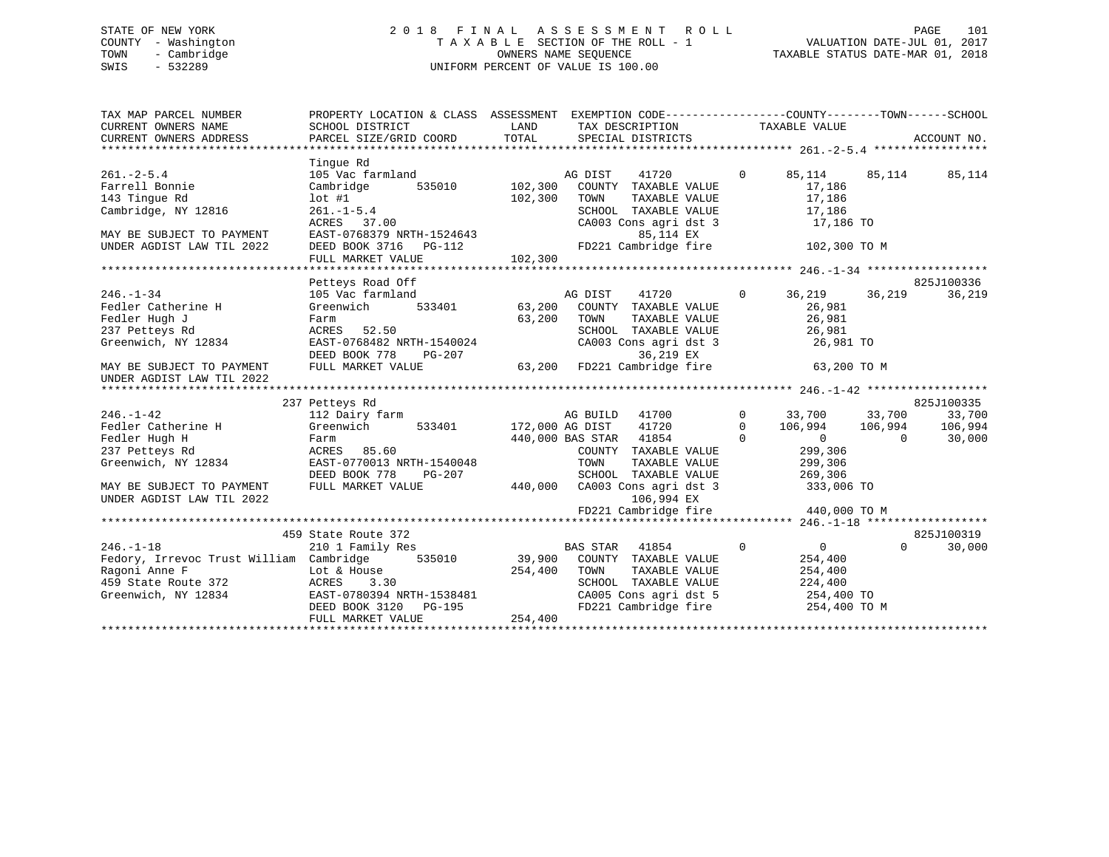# STATE OF NEW YORK 2 0 1 8 F I N A L A S S E S S M E N T R O L L PAGE 101 COUNTY - Washington T A X A B L E SECTION OF THE ROLL - 1 VALUATION DATE-JUL 01, 2017 TOWN - Cambridge OWNERS NAME SEQUENCE TAXABLE STATUS DATE-MAR 01, 2018 SWIS - 532289 UNIFORM PERCENT OF VALUE IS 100.00

| TAX MAP PARCEL NUMBER<br>CURRENT OWNERS NAME<br>CURRENT OWNERS ADDRESS                                                                                                       | PROPERTY LOCATION & CLASS ASSESSMENT EXEMPTION CODE----------------COUNTY-------TOWN------SCHOOL<br>SCHOOL DISTRICT<br>PARCEL SIZE/GRID COORD                                                | LAND<br>TOTAL      | TAX DESCRIPTION<br>SPECIAL DISTRICTS                                                                                                                                                                                                                                 |                      | TAXABLE VALUE                                                                                     |           | ACCOUNT NO.                    |
|------------------------------------------------------------------------------------------------------------------------------------------------------------------------------|----------------------------------------------------------------------------------------------------------------------------------------------------------------------------------------------|--------------------|----------------------------------------------------------------------------------------------------------------------------------------------------------------------------------------------------------------------------------------------------------------------|----------------------|---------------------------------------------------------------------------------------------------|-----------|--------------------------------|
| $261. - 2 - 5.4$<br>Farrell Bonnie<br>143 Tinque Rd<br>Cambridge, NY 12816<br>MAY BE SUBJECT TO PAYMENT<br>UNDER AGDIST LAW TIL 2022                                         | Tinque Rd<br>105 Vac farmland<br>535010<br>Cambridge<br>$lot$ #1<br>$261. -1-5.4$<br>$-20.70$<br>$-27.00$<br>EAST-0768379 NRTH-1524643<br>DEED BOOK 3716 PG-112<br>FULL MARKET VALUE         | 102,300<br>102,300 | AG DIST<br>41720<br>102,300 COUNTY TAXABLE VALUE<br>TAXABLE VALUE<br>TOWN<br>SCHOOL TAXABLE VALUE<br>CA003 Cons agri dst 3<br>85,114 EX<br>FD221 Cambridge fire                                                                                                      | $\Omega$             | 85,114<br>17,186<br>17,186<br>17,186<br>17,186 TO<br>102,300 TO M                                 | 85,114    | 85,114                         |
|                                                                                                                                                                              |                                                                                                                                                                                              |                    |                                                                                                                                                                                                                                                                      |                      |                                                                                                   |           |                                |
|                                                                                                                                                                              | Petteys Road Off                                                                                                                                                                             |                    |                                                                                                                                                                                                                                                                      |                      |                                                                                                   |           | 825J100336                     |
| $246. - 1 - 34$<br>Fedler Catherine H<br>Fedler Hugh J<br>237 Petteys Rd<br>Greenwich, NY 12834<br>MAY BE SUBJECT TO PAYMENT<br>UNDER AGDIST LAW TIL 2022<br>$246. - 1 - 42$ | 105 Vac farmland<br>533401<br>Greenwich<br>Farm<br>ACRES 52.50<br>EAST-0768482 NRTH-1540024<br>DEED BOOK 778<br>PG-207<br>FULL MARKET VALUE<br>237 Petteys Rd<br>112 Dairy farm<br>Greenwich | 63,200             | AG DIST<br>41720 0<br>63,200 COUNTY TAXABLE VALUE<br>TAXABLE VALUE<br>TOWN<br>SCHOOL TAXABLE VALUE<br>SCHOOL TAXABLE VALUE<br>CA003 Cons agri dst 3<br>36,219 EX<br>36,219 EX<br>63,200    FD221 Cambridge fire<br>AG BUILD 41700<br>533401 172,000 AG DIST<br>41720 | $\Omega$<br>$\Omega$ | 36,219<br>26,981<br>26,981<br>26,981<br>26,981 TO<br>63,200 TO M<br>33,700 33,700                 | 36,219    | 36,219<br>825J100335<br>33,700 |
| Fedler Catherine H<br>Fedler Hugh H<br>237 Petteys Rd<br>Greenwich, NY 12834<br>MAY BE SUBJECT TO PAYMENT<br>UNDER AGDIST LAW TIL 2022                                       | Farm<br>ACRES 85.60<br>EAST-0770013 NRTH-1540048<br>DEED BOOK 778<br>PG-207<br>FULL MARKET VALUE                                                                                             | 440,000            | 440,000 BAS STAR 41854<br>COUNTY TAXABLE VALUE<br>TOWN<br>TAXABLE VALUE<br>SCHOOL TAXABLE VALUE<br>CA003 Cons agri dst 3<br>106,994 EX<br>FD221 Cambridge fire                                                                                                       | $\Omega$             | 106,994 106,994<br>$\sim$ 0 $\sim$<br>299,306<br>299,306<br>269,306<br>333,006 TO<br>440,000 TO M | $\bigcap$ | 106,994<br>30,000              |
|                                                                                                                                                                              |                                                                                                                                                                                              |                    |                                                                                                                                                                                                                                                                      |                      |                                                                                                   |           |                                |
| $246. - 1 - 18$<br>Fedory, Irrevoc Trust William Cambridge 535010<br>Ragoni Anne F<br>$372$<br>459 State Route 372<br>Greenwich, NY 12834                                    | 459 State Route 372<br>210 1 Family Res<br>Lot & House<br>ACRES<br>3.30<br>EAST-0780394 NRTH-1538481<br>DEED BOOK 3120 PG-195<br>FULL MARKET VALUE                                           | 254,400<br>254,400 | <b>BAS STAR</b><br>41854<br>39,900 COUNTY TAXABLE VALUE<br>TOWN<br>TAXABLE VALUE<br>SCHOOL TAXABLE VALUE<br>CA005 Cons agri dst 5<br>FD221 Cambridge fire                                                                                                            | $\Omega$             | $\overline{0}$<br>254,400<br>254,400<br>224,400<br>254,400 TO<br>254,400 TO M                     | $\Omega$  | 825J100319<br>30,000           |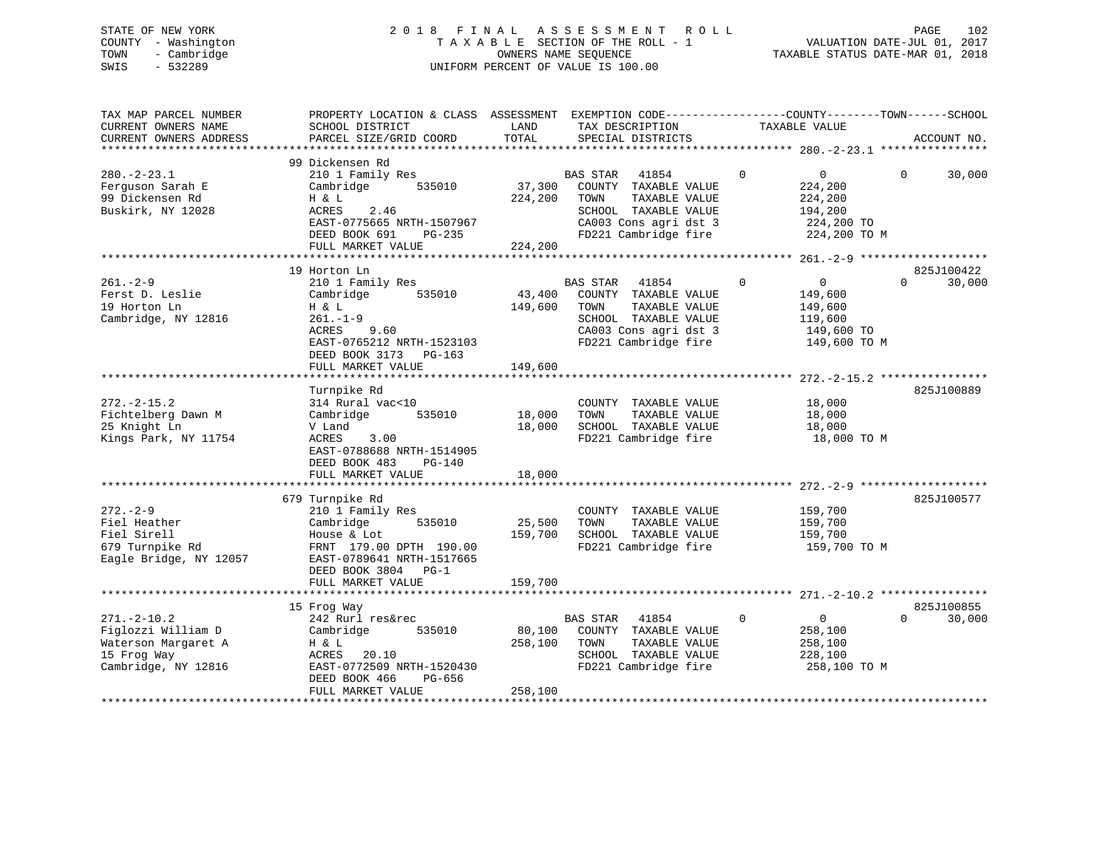# STATE OF NEW YORK 2 0 1 8 F I N A L A S S E S S M E N T R O L L PAGE 102 COUNTY - Washington T A X A B L E SECTION OF THE ROLL - 1 VALUATION DATE-JUL 01, 2017 TOWN - Cambridge OWNERS NAME SEQUENCE TAXABLE STATUS DATE-MAR 01, 2018 SWIS - 532289 UNIFORM PERCENT OF VALUE IS 100.00

| TAX MAP PARCEL NUMBER<br>CURRENT OWNERS NAME<br>CURRENT OWNERS ADDRESS                               | PROPERTY LOCATION & CLASS ASSESSMENT EXEMPTION CODE----------------COUNTY-------TOWN-----SCHOOL<br>SCHOOL DISTRICT<br>PARCEL SIZE/GRID COORD                      | LAND<br>TOTAL                    | TAX DESCRIPTION<br>SPECIAL DISTRICTS                                                                                                               | TAXABLE VALUE                                                                             | ACCOUNT NO.                      |
|------------------------------------------------------------------------------------------------------|-------------------------------------------------------------------------------------------------------------------------------------------------------------------|----------------------------------|----------------------------------------------------------------------------------------------------------------------------------------------------|-------------------------------------------------------------------------------------------|----------------------------------|
| $280. - 2 - 23.1$<br>Ferguson Sarah E<br>99 Dickensen Rd<br>Buskirk, NY 12028                        | 99 Dickensen Rd<br>210 1 Family Res<br>Cambridge<br>535010<br>H & L<br>ACRES<br>2.46<br>EAST-0775665 NRTH-1507967<br>DEED BOOK 691<br>PG-235<br>FULL MARKET VALUE | 37,300<br>224,200<br>224,200     | <b>BAS STAR</b><br>41854<br>COUNTY TAXABLE VALUE<br>TOWN<br>TAXABLE VALUE<br>SCHOOL TAXABLE VALUE<br>CA003 Cons agri dst 3<br>FD221 Cambridge fire | $\mathbf 0$<br>0<br>224,200<br>224,200<br>194,200<br>224,200 TO<br>224,200 TO M           | $\Omega$<br>30,000               |
|                                                                                                      |                                                                                                                                                                   |                                  |                                                                                                                                                    |                                                                                           |                                  |
| $261. - 2 - 9$<br>Ferst D. Leslie<br>19 Horton Ln<br>Cambridge, NY 12816                             | 19 Horton Ln<br>210 1 Family Res<br>535010<br>Cambridge<br>H & L<br>$261. - 1 - 9$<br>ACRES<br>9.60<br>EAST-0765212 NRTH-1523103<br>DEED BOOK 3173 PG-163         | 43,400<br>149,600                | <b>BAS STAR</b><br>41854<br>COUNTY TAXABLE VALUE<br>TAXABLE VALUE<br>TOWN<br>SCHOOL TAXABLE VALUE<br>CA003 Cons agri dst 3<br>FD221 Cambridge fire | $\Omega$<br>$\overline{0}$<br>149,600<br>149,600<br>119,600<br>149,600 TO<br>149,600 TO M | 825J100422<br>30,000<br>$\Omega$ |
|                                                                                                      | FULL MARKET VALUE                                                                                                                                                 | 149,600                          |                                                                                                                                                    |                                                                                           |                                  |
| $272. - 2 - 15.2$<br>Fichtelberg Dawn M<br>25 Knight Ln<br>Kings Park, NY 11754                      | Turnpike Rd<br>314 Rural vac<10<br>535010<br>Cambridge<br>V Land<br>ACRES<br>3.00<br>EAST-0788688 NRTH-1514905<br>DEED BOOK 483<br>PG-140<br>FULL MARKET VALUE    | 18,000<br>18,000<br>18,000       | COUNTY TAXABLE VALUE<br>TAXABLE VALUE<br>TOWN<br>SCHOOL TAXABLE VALUE<br>FD221 Cambridge fire                                                      | 18,000<br>18,000<br>18,000<br>18,000 TO M                                                 | 825J100889                       |
|                                                                                                      |                                                                                                                                                                   |                                  |                                                                                                                                                    |                                                                                           |                                  |
| $272 - 2 - 9$<br>Fiel Heather<br>Fiel Sirell<br>679 Turnpike Rd<br>Eagle Bridge, NY 12057            | 679 Turnpike Rd<br>210 1 Family Res<br>Cambridge<br>535010<br>House & Lot<br>FRNT 179.00 DPTH 190.00<br>EAST-0789641 NRTH-1517665<br>DEED BOOK 3804 PG-1          | 25,500<br>159,700                | COUNTY TAXABLE VALUE<br>TAXABLE VALUE<br>TOWN<br>SCHOOL TAXABLE VALUE<br>FD221 Cambridge fire                                                      | 159,700<br>159,700<br>159,700<br>159,700 TO M                                             | 825J100577                       |
|                                                                                                      | FULL MARKET VALUE<br>***************************                                                                                                                  | 159,700<br>* * * * * * * * * * * |                                                                                                                                                    |                                                                                           |                                  |
|                                                                                                      | 15 Frog Way                                                                                                                                                       |                                  |                                                                                                                                                    |                                                                                           | 825J100855                       |
| $271. - 2 - 10.2$<br>Figlozzi William D<br>Waterson Margaret A<br>15 Frog Way<br>Cambridge, NY 12816 | 242 Rurl res&rec<br>535010<br>Cambridge<br>H & L<br>ACRES<br>20.10<br>EAST-0772509 NRTH-1520430<br>DEED BOOK 466<br>PG-656<br>FULL MARKET VALUE                   | 80,100<br>258,100<br>258,100     | <b>BAS STAR</b><br>41854<br>COUNTY TAXABLE VALUE<br>TOWN<br>TAXABLE VALUE<br>SCHOOL TAXABLE VALUE<br>FD221 Cambridge fire                          | $\mathbf 0$<br>$\overline{0}$<br>258,100<br>258,100<br>228,100<br>258,100 TO M            | $\Omega$<br>30,000               |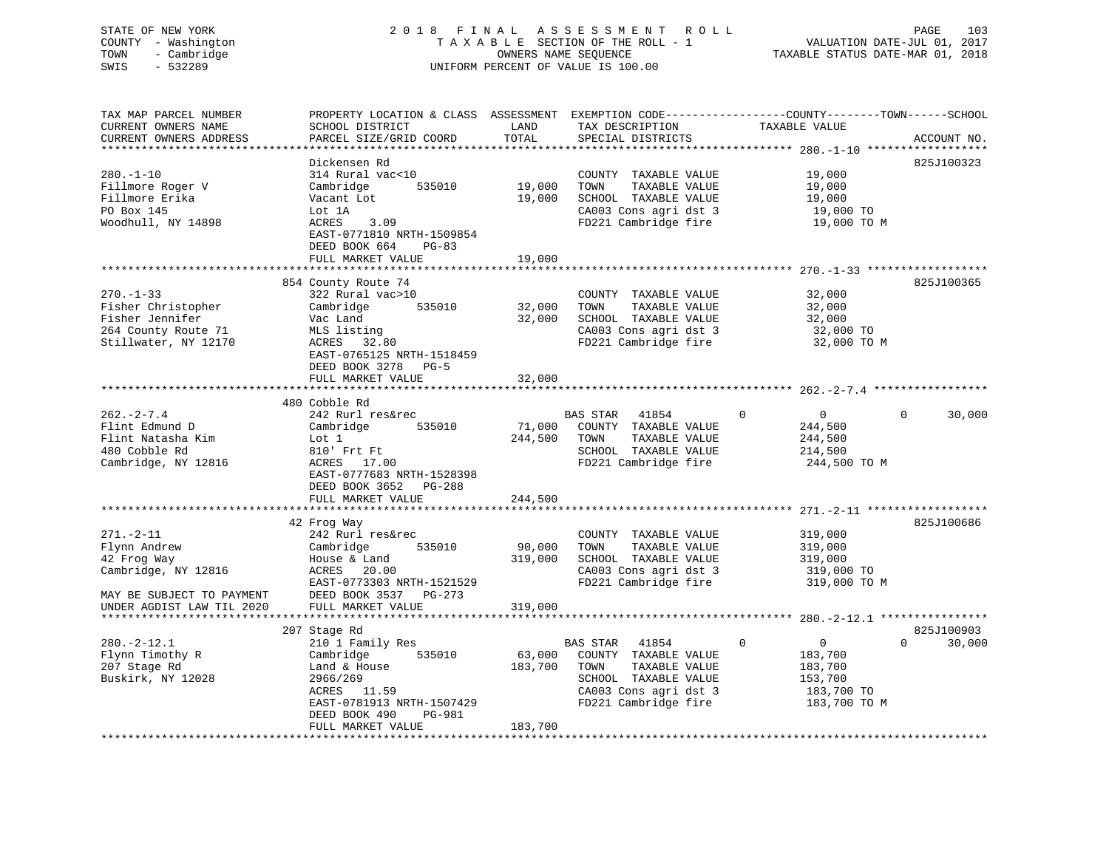# STATE OF NEW YORK 2 0 1 8 F I N A L A S S E S S M E N T R O L L PAGE 103 COUNTY - Washington T A X A B L E SECTION OF THE ROLL - 1 VALUATION DATE-JUL 01, 2017 TOWN - Cambridge TAXABLE STATUS DATE-MAR 01, 2018 SWIS - 532289 UNIFORM PERCENT OF VALUE IS 100.00

TAX MAP PARCEL NUMBER PROPERTY LOCATION & CLASS ASSESSMENT EXEMPTION CODE------------------COUNTY--------TOWN------SCHOOL

CURRENT OWNERS NAME SCHOOL DISTRICT LAND TAX DESCRIPTION TAXABLE VALUE CURRENT OWNERS ADDRESS PARCEL SIZE/GRID COORD TOTAL SPECIAL DISTRICTS ACCOUNT NO. \*\*\*\*\*\*\*\*\*\*\*\*\*\*\*\*\*\*\*\*\*\*\*\*\*\*\*\*\*\*\*\*\*\*\*\*\*\*\*\*\*\*\*\*\*\*\*\*\*\*\*\*\*\*\*\*\*\*\*\*\*\*\*\*\*\*\*\*\*\*\*\*\*\*\*\*\*\*\*\*\*\*\*\*\*\*\*\*\*\*\*\*\*\*\*\*\*\*\*\*\*\*\* 280.-1-10 \*\*\*\*\*\*\*\*\*\*\*\*\*\*\*\*\*\* Dickensen Rd 825J100323280.-1-10 314 Rural vac<10 COUNTY TAXABLE VALUE 19,000 Fillmore Roger V Cambridge 535010 19,000 TOWN TAXABLE VALUE 19,000 Fillmore Erika Vacant Lot 19,000 SCHOOL TAXABLE VALUE 19,000 PO Box 145 Lot 1A CA003 Cons agri dst 3 19,000 TO Woodhull, NY 14898 ACRES 3.09 ACRES 3.09 FD221 Cambridge fire 19,000 TO M EAST-0771810 NRTH-1509854 DEED BOOK 664 PG-83 FULL MARKET VALUE 19,000 \*\*\*\*\*\*\*\*\*\*\*\*\*\*\*\*\*\*\*\*\*\*\*\*\*\*\*\*\*\*\*\*\*\*\*\*\*\*\*\*\*\*\*\*\*\*\*\*\*\*\*\*\*\*\*\*\*\*\*\*\*\*\*\*\*\*\*\*\*\*\*\*\*\*\*\*\*\*\*\*\*\*\*\*\*\*\*\*\*\*\*\*\*\*\*\*\*\*\*\*\*\*\* 270.-1-33 \*\*\*\*\*\*\*\*\*\*\*\*\*\*\*\*\*\* 854 County Route 74 825J100365 270.-1-33 322 Rural vac>10 COUNTY TAXABLE VALUE 32,000 Fisher Christopher Cambridge 535010 32,000 TOWN TAXABLE VALUE 32,000 Fisher Jennifer Vac Land 32,000 SCHOOL TAXABLE VALUE 32,000 264 County Route 71 MLS listing CA003 Cons agri dst 3 32,000 TO Stillwater, NY 12170 ACRES 32.80 FD221 Cambridge fire 32,000 TO M EAST-0765125 NRTH-1518459 DEED BOOK 3278 PG-5 FULL MARKET VALUE 32,000 \*\*\*\*\*\*\*\*\*\*\*\*\*\*\*\*\*\*\*\*\*\*\*\*\*\*\*\*\*\*\*\*\*\*\*\*\*\*\*\*\*\*\*\*\*\*\*\*\*\*\*\*\*\*\*\*\*\*\*\*\*\*\*\*\*\*\*\*\*\*\*\*\*\*\*\*\*\*\*\*\*\*\*\*\*\*\*\*\*\*\*\*\*\*\*\*\*\*\*\*\*\*\* 262.-2-7.4 \*\*\*\*\*\*\*\*\*\*\*\*\*\*\*\*\* 480 Cobble Rd 262.-2-7.4 242 Rurl res&rec BAS STAR 41854 0 0 0 30,000 Flint Edmund D Cambridge 535010 71,000 COUNTY TAXABLE VALUE 244,500 Flint Natasha Kim Lot 1 244,500 TOWN TAXABLE VALUE 244,500 480 Cobble Rd 810' Frt Ft SCHOOL TAXABLE VALUE 214,500 Cambridge, NY 12816 ACRES 17.00 FD221 Cambridge fire 244,500 TO M EAST-0777683 NRTH-1528398 DEED BOOK 3652 PG-288FULL MARKET VALUE 244,500 \*\*\*\*\*\*\*\*\*\*\*\*\*\*\*\*\*\*\*\*\*\*\*\*\*\*\*\*\*\*\*\*\*\*\*\*\*\*\*\*\*\*\*\*\*\*\*\*\*\*\*\*\*\*\*\*\*\*\*\*\*\*\*\*\*\*\*\*\*\*\*\*\*\*\*\*\*\*\*\*\*\*\*\*\*\*\*\*\*\*\*\*\*\*\*\*\*\*\*\*\*\*\* 271.-2-11 \*\*\*\*\*\*\*\*\*\*\*\*\*\*\*\*\*\* 42 Frog Way 825J100686 271.-2-11 242 Rurl res&rec COUNTY TAXABLE VALUE 319,000 Flynn Andrew Cambridge 535010 90,000 TOWN TAXABLE VALUE 319,000 42 Frog Way House & Land 319,000 SCHOOL TAXABLE VALUE 319,000 Cambridge, NY 12816 ACRES 20.00 CA003 Cons agri dst 3 319,000 TO EAST-0773303 NRTH-1521529 FD221 Cambridge fire 319,000 TO M MAY BE SUBJECT TO PAYMENT DEED BOOK 3537 PG-273 UNDER AGDIST LAW TIL 2020 FULL MARKET VALUE 319,000 \*\*\*\*\*\*\*\*\*\*\*\*\*\*\*\*\*\*\*\*\*\*\*\*\*\*\*\*\*\*\*\*\*\*\*\*\*\*\*\*\*\*\*\*\*\*\*\*\*\*\*\*\*\*\*\*\*\*\*\*\*\*\*\*\*\*\*\*\*\*\*\*\*\*\*\*\*\*\*\*\*\*\*\*\*\*\*\*\*\*\*\*\*\*\*\*\*\*\*\*\*\*\* 280.-2-12.1 \*\*\*\*\*\*\*\*\*\*\*\*\*\*\*\* 207 Stage Rd 825J100903 280.-2-12.1 210 1 Family Res BAS STAR 41854 0 0 0 30,000 Flynn Timothy R Cambridge 535010 63,000 COUNTY TAXABLE VALUE 183,700 207 Stage Rd Land & House 183,700 TOWN TAXABLE VALUE 183,700 Buskirk, NY 12028 2966/269 SCHOOL TAXABLE VALUE 153,700 ACRES 11.59 CA003 Cons agri dst 3 183,700 TO EAST-0781913 NRTH-1507429 FD221 Cambridge fire 183,700 TO M DEED BOOK 490 PG-981 FULL MARKET VALUE 183,700 \*\*\*\*\*\*\*\*\*\*\*\*\*\*\*\*\*\*\*\*\*\*\*\*\*\*\*\*\*\*\*\*\*\*\*\*\*\*\*\*\*\*\*\*\*\*\*\*\*\*\*\*\*\*\*\*\*\*\*\*\*\*\*\*\*\*\*\*\*\*\*\*\*\*\*\*\*\*\*\*\*\*\*\*\*\*\*\*\*\*\*\*\*\*\*\*\*\*\*\*\*\*\*\*\*\*\*\*\*\*\*\*\*\*\*\*\*\*\*\*\*\*\*\*\*\*\*\*\*\*\*\*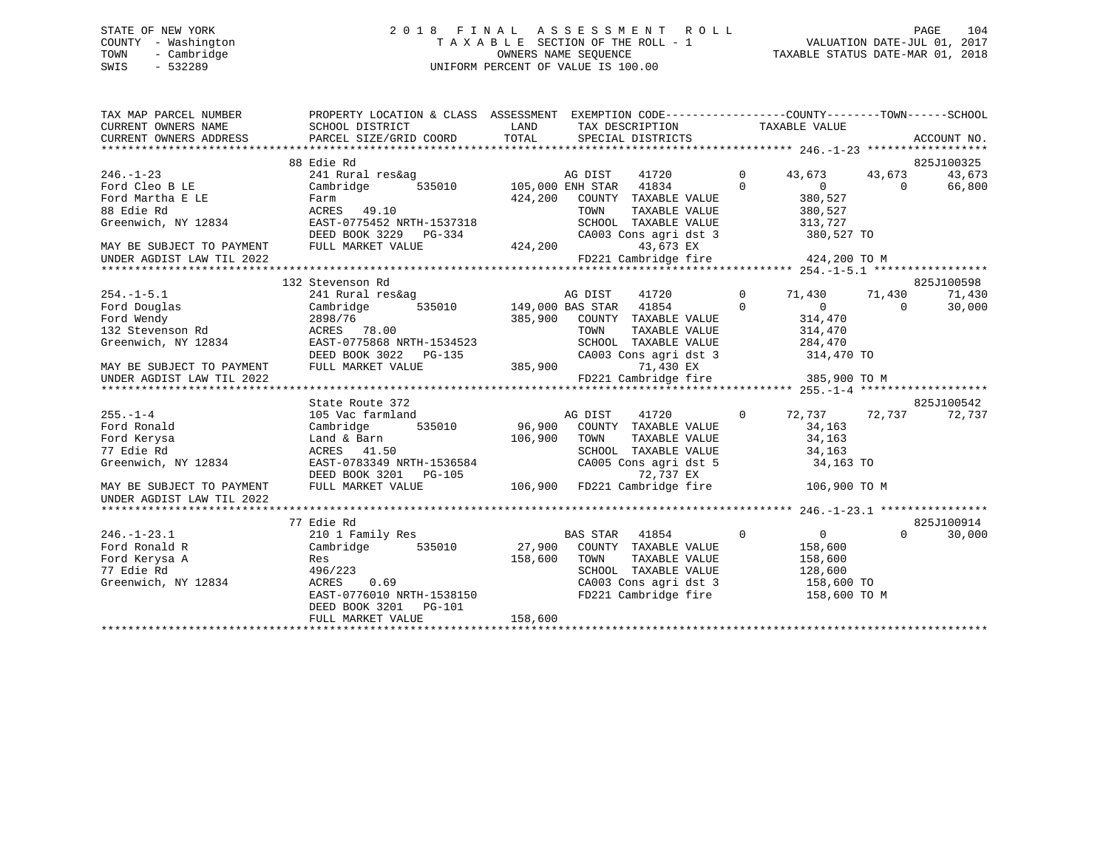# STATE OF NEW YORK 2 0 1 8 F I N A L A S S E S S M E N T R O L L PAGE 104 COUNTY - Washington T A X A B L E SECTION OF THE ROLL - 1 VALUATION DATE-JUL 01, 2017 TOWN - Cambridge OWNERS NAME SEQUENCE TAXABLE STATUS DATE-MAR 01, 2018 SWIS - 532289 UNIFORM PERCENT OF VALUE IS 100.00

| 88 Edie Rd                                                                                                 | 825J100325 |
|------------------------------------------------------------------------------------------------------------|------------|
| $246. - 1 - 23$<br>41720 0<br>241 Rural res&ag<br>AG DIST<br>43,673 43,673                                 | 43,673     |
| 535010 105,000 ENH STAR 41834 0<br>Ford Cleo B LE<br>$\overline{0}$<br>Cambridge<br>$\Omega$               | 66,800     |
| 424,200 COUNTY TAXABLE VALUE<br>380,527<br>380,527<br>Ford Martha E LE<br>Farm                             |            |
| 88 Edie Rd<br>ACRES 49.10<br>TOWN<br>TAXABLE VALUE                                                         |            |
| Greenwich, NY 12834<br>313,727<br>EAST-0775452 NRTH-1537318<br>SCHOOL TAXABLE VALUE                        |            |
| CA003 Cons agri dst 3 380,527 TO<br>DEED BOOK 3229 PG-334 CA003<br>FULL MARKET VALUE 424,200               |            |
| MAY BE SUBJECT TO PAYMENT FULL MARKET VALUE<br>43,673 EX                                                   |            |
| FD221 Cambridge fire 424,200 TO M<br>UNDER AGDIST LAW TIL 2022                                             |            |
|                                                                                                            |            |
| 132 Stevenson Rd                                                                                           | 825J100598 |
| AG DIST<br>41720 0 71,430 71,430<br>$254. -1 - 5.1$<br>241 Rural res&ag                                    | 71,430     |
| 535010 149,000 BAS STAR 41854 0<br>$\sim$ 0<br>Ford Douglas<br>Cambridge<br>$\Omega$                       | 30,000     |
| Ford Wendy<br>2898/76<br>385,900 COUNTY TAXABLE VALUE<br>314,470<br>314,470<br>2898/76<br>ACRES      78.00 |            |
| 132 Stevenson Rd<br>TOWN<br>TAXABLE VALUE                                                                  |            |
| SCHOOL TAXABLE VALUE 284,470<br>Greenwich, NY 12834<br>EAST-0775868 NRTH-1534523                           |            |
| CA003 Cons agri dst 3 314,470 TO                                                                           |            |
| DEED BOOK 3022 PG-135 CA003<br>FULL MARKET VALUE 385,900 FD221<br>MAY BE SUBJECT TO PAYMENT<br>71,430 EX   |            |
| FD221 Cambridge fire 385,900 TO M<br>UNDER AGDIST LAW TIL 2022                                             |            |
|                                                                                                            |            |
| State Route 372                                                                                            | 825J100542 |
| 72,737 72,737 72,737<br>$255. - 1 - 4$<br>105 Vac farmland<br>AG DIST 41720<br>$\sim$ 0                    |            |
| Cambridge 535010 96,900 COUNTY TAXABLE VALUE<br>Ford Ronald<br>34,163                                      |            |
| 34,163<br>TOWN<br>TAXABLE VALUE<br>Ford Kerysa                                                             |            |
| SCHOOL TAXABLE VALUE 34,163<br>CA005 Cons agri dst 5 34,163 TO<br>77 Edie Rd<br>ACRES 41.50                |            |
| EAST-0783349 NRTH-1536584<br>Greenwich, NY 12834                                                           |            |
| DEED BOOK 3201 PG-105 $\overline{2737}$ EX<br>FULL MARKET VALUE 106,900 FD221 Cambridge fire 106,900 TO M  |            |
| MAY BE SUBJECT TO PAYMENT<br>UNDER AGDIST LAW TIL 2022                                                     |            |
|                                                                                                            |            |
| 77 Edie Rd                                                                                                 | 825J100914 |
| $\overline{0}$<br>$\overline{0}$<br>$246. - 1 - 23.1$<br>210 1 Family Res<br>BAS STAR 41854<br>$\Omega$    | 30,000     |
| 535010 27,900 COUNTY TAXABLE VALUE<br>Ford Ronald R<br>Cambridge<br>158,600                                |            |
| Ford Kerysa A<br>158,600<br>TAXABLE VALUE<br>TOWN<br>158,600<br>Res                                        |            |
| 77 Edie Rd<br>496/223<br>SCHOOL TAXABLE VALUE 128,600<br>CA003 Cons agri dst 3 158,600 TO                  |            |
| Greenwich, NY 12834<br>0.69<br>ACRES                                                                       |            |
| EAST-0776010 NRTH-1538150<br>FD221 Cambridge fire 158,600 TO M                                             |            |
| DEED BOOK 3201 PG-101<br>158,600                                                                           |            |
| FULL MARKET VALUE                                                                                          |            |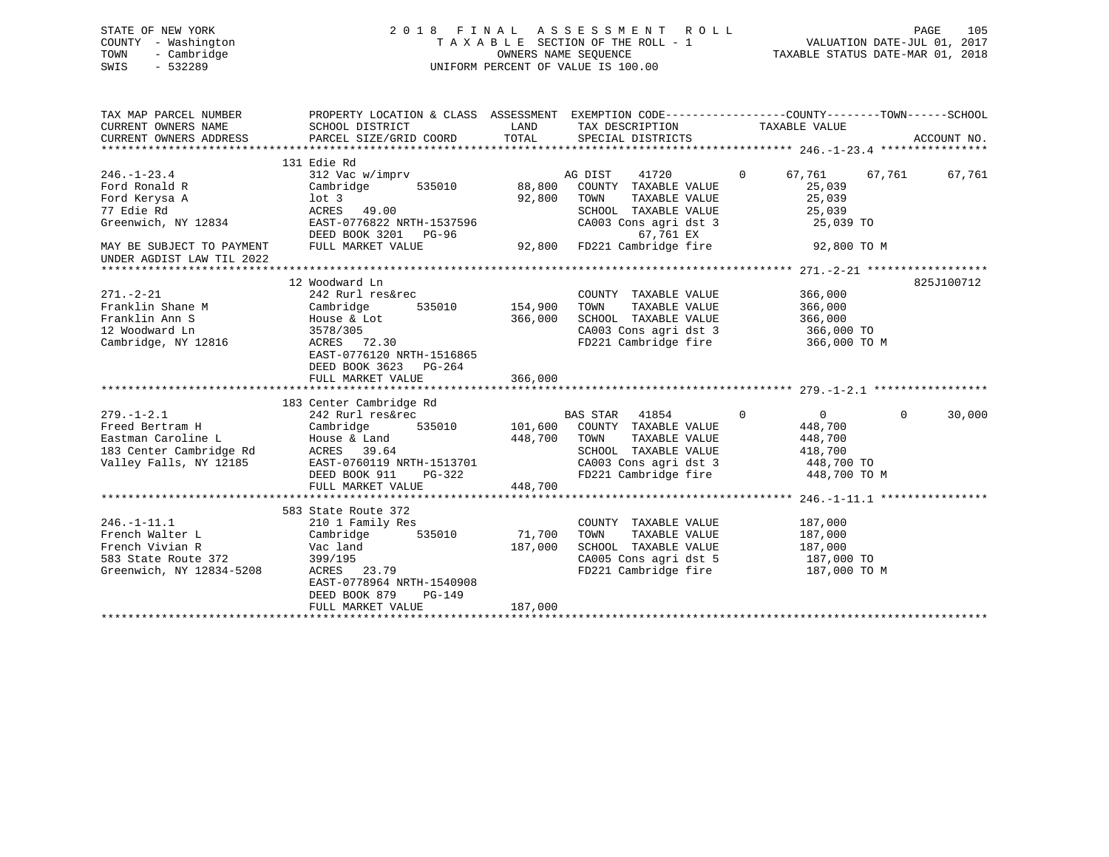| STATE OF NEW YORK<br>COUNTY - Washington<br>- Cambridge<br>TOWN<br>$-532289$<br>SWIS | 2018 FINAL ASSESSMENT ROLL<br>TAXABLE SECTION OF THE ROLL - 1<br>OWNERS NAME SEOUENCE<br>UNIFORM PERCENT OF VALUE IS 100.00 | 105<br>PAGE<br>VALUATION DATE-JUL 01, 2017<br>TAXABLE STATUS DATE-MAR 01, 2018 |  |
|--------------------------------------------------------------------------------------|-----------------------------------------------------------------------------------------------------------------------------|--------------------------------------------------------------------------------|--|
| TAX MAP PARCEL NUMBER                                                                | PROPERTY LOCATION & CLASS ASSESSMENT                                                                                        | EXEMPTION CODE------------------COUNTY--------TOWN------SCHOOL                 |  |

| CURRENT OWNERS NAME<br>CURRENT OWNERS ADDRESS                                                                  | SCHOOL DISTRICT<br>PARCEL SIZE/GRID COORD                                                                                                                                                | LAND<br>TOTAL                | TAX DESCRIPTION<br>SPECIAL DISTRICTS                                                                                                                                             | TAXABLE VALUE                                |                                                          | ACCOUNT NO. |
|----------------------------------------------------------------------------------------------------------------|------------------------------------------------------------------------------------------------------------------------------------------------------------------------------------------|------------------------------|----------------------------------------------------------------------------------------------------------------------------------------------------------------------------------|----------------------------------------------|----------------------------------------------------------|-------------|
|                                                                                                                |                                                                                                                                                                                          |                              |                                                                                                                                                                                  |                                              |                                                          |             |
| $246. - 1 - 23.4$<br>Ford Ronald R<br>Ford Kerysa A<br>77 Edie Rd<br>Greenwich, NY 12834                       | 131 Edie Rd<br>312 Vac w/imprv<br>Cambridge<br>535010<br>lot 3<br>ACRES 49.00<br>EAST-0776822 NRTH-1537596<br>DEED BOOK 3201 PG-96                                                       | 88,800<br>92,800             | AG DIST<br>41720<br>COUNTY TAXABLE VALUE<br>TOWN<br>TAXABLE VALUE<br>SCHOOL TAXABLE VALUE<br>CA003 Cons agri dst 3<br>67,761 EX                                                  | $\overline{0}$<br>67,761                     | 67,761<br>25,039<br>25,039<br>25,039<br>25,039 TO        | 67,761      |
| MAY BE SUBJECT TO PAYMENT<br>UNDER AGDIST LAW TIL 2022                                                         | FULL MARKET VALUE                                                                                                                                                                        | 92,800                       | FD221 Cambridge fire                                                                                                                                                             |                                              | 92,800 TO M                                              |             |
| $271. - 2 - 21$<br>Franklin Shane M<br>Franklin Ann S<br>12 Woodward Ln<br>Cambridge, NY 12816                 | 12 Woodward Ln<br>242 Rurl res&rec<br>535010 154,900<br>Cambridge<br>House & Lot<br>3578/305<br>$ACRES$ 72.30<br>EAST-0776120 NRTH-1516865<br>DEED BOOK 3623 PG-264<br>FULL MARKET VALUE | 366,000<br>366,000           | COUNTY TAXABLE VALUE<br>TOWN<br>TAXABLE VALUE<br>SCHOOL TAXABLE VALUE<br>CA003 Cons agri dst 3<br>FD221 Cambridge fire                                                           | 366,000<br>366,000<br>366,000<br>366,000 TO  | 366,000 TO M                                             | 825J100712  |
| $279. - 1 - 2.1$<br>Freed Bertram H<br>Eastman Caroline L<br>183 Center Cambridge Rd<br>Valley Falls, NY 12185 | 183 Center Cambridge Rd<br>242 Rurl res&rec<br>Cambridge<br>448,700<br>House & Land<br>ACRES 39.64<br>EAST-0760119 NRTH-1513701<br>DEED BOOK 911<br>$PG-322$<br>FULL MARKET VALUE        | 448,700                      | BAS STAR 41854<br>535010 101,600 COUNTY TAXABLE VALUE<br>TOWN<br>TAXABLE VALUE<br>SCHOOL TAXABLE VALUE<br>CA003 Cons agri dst 3<br>CA003 Cons agri dst 3<br>FD221 Cambridge fire | $\mathbf 0$<br>448,700<br>448,700<br>418,700 | $\overline{0}$<br>$\Omega$<br>448,700 TO<br>448,700 TO M | 30,000      |
|                                                                                                                |                                                                                                                                                                                          |                              |                                                                                                                                                                                  |                                              |                                                          |             |
| $246. - 1 - 11.1$<br>French Walter L<br>French Vivian R<br>583 State Route 372<br>Greenwich, NY 12834-5208     | 583 State Route 372<br>210 1 Family Res<br>535010<br>Cambridge<br>Vac land<br>399/195<br>ACRES 23.79<br>EAST-0778964 NRTH-1540908<br>DEED BOOK 879<br>PG-149<br>FULL MARKET VALUE        | 71,700<br>187,000<br>187,000 | COUNTY TAXABLE VALUE<br>TOWN<br>TAXABLE VALUE<br>SCHOOL TAXABLE VALUE<br>CA005 Cons agri dst 5 187,000 TO<br>FD221 Cambridge fire                                                | 187,000<br>187,000<br>187,000                | 187,000 TO M                                             |             |
|                                                                                                                |                                                                                                                                                                                          |                              |                                                                                                                                                                                  |                                              |                                                          |             |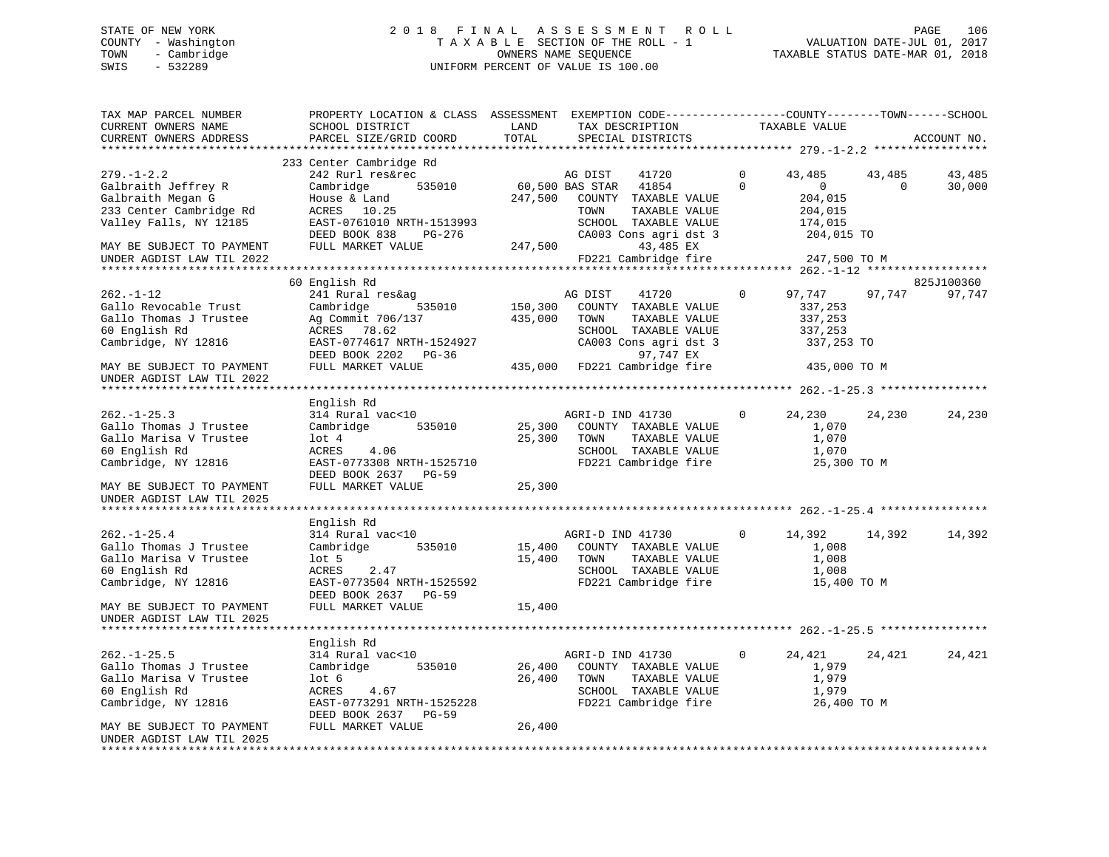# STATE OF NEW YORK 2 0 1 8 F I N A L A S S E S S M E N T R O L L PAGE 106 COUNTY - Washington T A X A B L E SECTION OF THE ROLL - 1 VALUATION DATE-JUL 01, 2017 TOWN - Cambridge OWNERS NAME SEQUENCE TAXABLE STATUS DATE-MAR 01, 2018 SWIS - 532289 UNIFORM PERCENT OF VALUE IS 100.00

| TAX MAP PARCEL NUMBER<br>CURRENT OWNERS NAME<br>CURRENT OWNERS ADDRESS                                            | PROPERTY LOCATION & CLASS ASSESSMENT EXEMPTION CODE-----------------COUNTY-------TOWN------SCHOOL<br>SCHOOL DISTRICT<br>PARCEL SIZE/GRID COORD            | LAND<br>TOTAL              | TAX DESCRIPTION<br>SPECIAL DISTRICTS                                                                                            |               | TAXABLE VALUE                                                           |                    | ACCOUNT NO.          |
|-------------------------------------------------------------------------------------------------------------------|-----------------------------------------------------------------------------------------------------------------------------------------------------------|----------------------------|---------------------------------------------------------------------------------------------------------------------------------|---------------|-------------------------------------------------------------------------|--------------------|----------------------|
| ***********************                                                                                           |                                                                                                                                                           |                            |                                                                                                                                 |               |                                                                         |                    |                      |
| $279. - 1 - 2.2$<br>Galbraith Jeffrey R<br>Galbraith Megan G<br>233 Center Cambridge Rd<br>Valley Falls, NY 12185 | 233 Center Cambridge Rd<br>242 Rurl res&rec<br>Cambridge<br>535010<br>House & Land<br>ACRES 10.25<br>EAST-0761010 NRTH-1513993<br>DEED BOOK 838<br>PG-276 | 60,500 BAS STAR<br>247,500 | AG DIST<br>41720<br>41854<br>COUNTY TAXABLE VALUE<br>TOWN<br>TAXABLE VALUE<br>SCHOOL TAXABLE VALUE<br>CA003 Cons agri dst 3     | 0<br>$\Omega$ | 43,485<br>$\overline{0}$<br>204,015<br>204,015<br>174,015<br>204,015 TO | 43,485<br>$\Omega$ | 43,485<br>30,000     |
| MAY BE SUBJECT TO PAYMENT<br>UNDER AGDIST LAW TIL 2022                                                            | FULL MARKET VALUE                                                                                                                                         | 247,500                    | 43,485 EX<br>FD221 Cambridge fire                                                                                               |               | 247,500 TO M                                                            |                    |                      |
|                                                                                                                   |                                                                                                                                                           |                            |                                                                                                                                 |               |                                                                         |                    |                      |
| $262. - 1 - 12$<br>Gallo Revocable Trust<br>Gallo Thomas J Trustee<br>60 English Rd<br>Cambridge, NY 12816        | 60 English Rd<br>241 Rural res&ag<br>535010<br>Cambridge<br>Ag Commit 706/137<br>ACRES 78.62<br>EAST-0774617 NRTH-1524927<br>DEED BOOK 2202 PG-36         | 150,300<br>435,000         | AG DIST<br>41720<br>COUNTY TAXABLE VALUE<br>TOWN<br>TAXABLE VALUE<br>SCHOOL TAXABLE VALUE<br>CA003 Cons agri dst 3<br>97,747 EX | $\mathbf{0}$  | 97,747<br>337,253<br>337,253<br>337,253<br>337,253 TO                   | 97,747             | 825J100360<br>97,747 |
| MAY BE SUBJECT TO PAYMENT                                                                                         | FULL MARKET VALUE                                                                                                                                         |                            | 435,000 FD221 Cambridge fire                                                                                                    |               | 435,000 TO M                                                            |                    |                      |
| UNDER AGDIST LAW TIL 2022<br>******************************                                                       |                                                                                                                                                           |                            |                                                                                                                                 |               |                                                                         |                    |                      |
|                                                                                                                   | English Rd                                                                                                                                                |                            |                                                                                                                                 |               |                                                                         |                    |                      |
| $262. - 1 - 25.3$<br>Gallo Thomas J Trustee<br>Gallo Marisa V Trustee<br>60 English Rd<br>Cambridge, NY 12816     | 314 Rural vac<10<br>Cambridge<br>535010<br>$1$ ot $4$<br>ACRES<br>4.06<br>EAST-0773308 NRTH-1525710<br>DEED BOOK 2637 PG-59                               | 25,300<br>25,300           | AGRI-D IND 41730<br>COUNTY TAXABLE VALUE<br>TAXABLE VALUE<br>TOWN<br>SCHOOL TAXABLE VALUE<br>FD221 Cambridge fire               | $\mathbf{0}$  | 24,230<br>1,070<br>1,070<br>1,070<br>25,300 TO M                        | 24,230             | 24,230               |
| MAY BE SUBJECT TO PAYMENT<br>UNDER AGDIST LAW TIL 2025                                                            | FULL MARKET VALUE                                                                                                                                         | 25,300                     |                                                                                                                                 |               |                                                                         |                    |                      |
| ******************************                                                                                    |                                                                                                                                                           |                            |                                                                                                                                 |               |                                                                         |                    |                      |
| $262. - 1 - 25.4$<br>Gallo Thomas J Trustee<br>Gallo Marisa V Trustee<br>60 English Rd<br>Cambridge, NY 12816     | English Rd<br>314 Rural vac<10<br>Cambridge<br>535010<br>lot 5<br>ACRES<br>2.47<br>EAST-0773504 NRTH-1525592<br>DEED BOOK 2637 PG-59                      | 15,400<br>15,400           | AGRI-D IND 41730<br>COUNTY TAXABLE VALUE<br>TOWN<br>TAXABLE VALUE<br>SCHOOL TAXABLE VALUE<br>FD221 Cambridge fire               | $\Omega$      | 14,392<br>1,008<br>1,008<br>1,008<br>15,400 TO M                        | 14,392             | 14,392               |
| MAY BE SUBJECT TO PAYMENT<br>UNDER AGDIST LAW TIL 2025                                                            | FULL MARKET VALUE                                                                                                                                         | 15,400                     |                                                                                                                                 |               |                                                                         |                    |                      |
| *****************************                                                                                     |                                                                                                                                                           |                            |                                                                                                                                 |               |                                                                         |                    |                      |
| $262. -1 - 25.5$<br>Gallo Thomas J Trustee<br>Gallo Marisa V Trustee<br>60 English Rd<br>Cambridge, NY 12816      | English Rd<br>314 Rural vac<10<br>Cambridge<br>535010<br>lot <sub>6</sub><br>ACRES<br>4.67<br>EAST-0773291 NRTH-1525228<br>DEED BOOK 2637 PG-59           | 26,400<br>26,400           | AGRI-D IND 41730<br>COUNTY TAXABLE VALUE<br>TOWN<br>TAXABLE VALUE<br>SCHOOL TAXABLE VALUE<br>FD221 Cambridge fire               | 0             | 24,421<br>1,979<br>1,979<br>1,979<br>26,400 TO M                        | 24,421             | 24,421               |
| MAY BE SUBJECT TO PAYMENT<br>UNDER AGDIST LAW TIL 2025                                                            | FULL MARKET VALUE                                                                                                                                         | 26,400                     |                                                                                                                                 |               |                                                                         |                    |                      |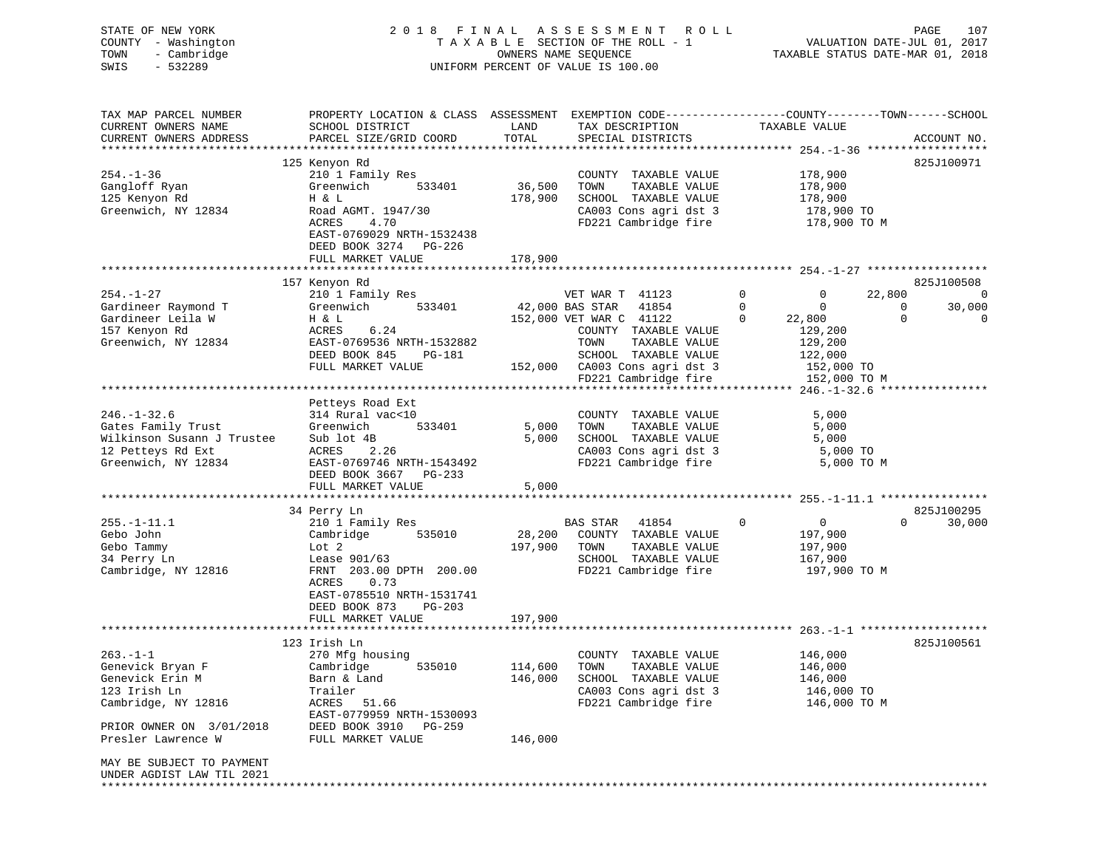| STATE OF NEW YORK<br>COUNTY - Washington<br>- Cambridge<br>TOWN<br>$-532289$<br>SWIS                                                     |                                                                                                                                                                                     |                               | 2018 FINAL ASSESSMENT<br><b>ROLL</b><br>TAXABLE SECTION OF THE ROLL - 1<br>OWNERS NAME SEQUENCE<br>UNIFORM PERCENT OF VALUE IS 100.00 |                                                                             | PAGE<br>107<br>VALUATION DATE-JUL 01, 2017<br>TAXABLE STATUS DATE-MAR 01, 2018       |
|------------------------------------------------------------------------------------------------------------------------------------------|-------------------------------------------------------------------------------------------------------------------------------------------------------------------------------------|-------------------------------|---------------------------------------------------------------------------------------------------------------------------------------|-----------------------------------------------------------------------------|--------------------------------------------------------------------------------------|
| TAX MAP PARCEL NUMBER<br>CURRENT OWNERS NAME<br>CURRENT OWNERS ADDRESS                                                                   | PROPERTY LOCATION & CLASS ASSESSMENT EXEMPTION CODE----------------COUNTY-------TOWN-----SCHOOL<br>SCHOOL DISTRICT<br>PARCEL SIZE/GRID COORD                                        | LAND<br>TOTAL                 | TAX DESCRIPTION<br>SPECIAL DISTRICTS                                                                                                  | TAXABLE VALUE                                                               | ACCOUNT NO.                                                                          |
| $254. - 1 - 36$<br>Gangloff Ryan<br>125 Kenyon Rd<br>Greenwich, NY 12834                                                                 | 125 Kenyon Rd<br>210 1 Family Res<br>Greenwich<br>533401<br>H & L<br>Road AGMT. 1947/30<br>ACRES<br>4.70<br>EAST-0769029 NRTH-1532438<br>DEED BOOK 3274 PG-226<br>FULL MARKET VALUE | 36,500<br>178,900<br>178,900  | COUNTY TAXABLE VALUE<br>TAXABLE VALUE<br>TOWN<br>SCHOOL TAXABLE VALUE<br>CA003 Cons agri dst 3<br>FD221 Cambridge fire                | 178,900<br>178,900<br>178,900<br>178,900 TO<br>178,900 TO M                 | 825J100971                                                                           |
|                                                                                                                                          |                                                                                                                                                                                     |                               |                                                                                                                                       |                                                                             |                                                                                      |
| $254. - 1 - 27$<br>Gardineer Raymond T<br>Gardineer Leila W                                                                              | 157 Kenyon Rd<br>210 1 Family Res<br>Greenwich<br>533401<br>H & L                                                                                                                   |                               | VET WAR T 41123<br>42,000 BAS STAR<br>41854<br>152,000 VET WAR C 41122                                                                | 0<br>$\mathbf{0}$<br>$\mathbf 0$<br>$\mathbf 0$<br>22,800<br>$\mathbf{0}$   | 825J100508<br>22,800<br>$\overline{0}$<br>30,000<br>0<br>$\mathbf{0}$<br>$\mathbf 0$ |
| 157 Kenyon Rd<br>Greenwich, NY 12834                                                                                                     | ACRES<br>6.24<br>EAST-0769536 NRTH-1532882<br>DEED BOOK 845<br>PG-181<br>FULL MARKET VALUE                                                                                          | 152,000                       | COUNTY TAXABLE VALUE<br>TOWN<br>TAXABLE VALUE<br>SCHOOL TAXABLE VALUE<br>CA003 Cons agri dst 3<br>FD221 Cambridge fire                | 129,200<br>129,200<br>122,000<br>152,000 TO<br>152,000 TO M                 |                                                                                      |
|                                                                                                                                          |                                                                                                                                                                                     |                               |                                                                                                                                       |                                                                             |                                                                                      |
| $246. - 1 - 32.6$<br>Gates Family Trust<br>Wilkinson Susann J Trustee<br>12 Petteys Rd Ext<br>Greenwich, NY 12834                        | Petteys Road Ext<br>314 Rural vac<10<br>Greenwich<br>533401<br>Sub lot 4B<br>ACRES<br>2.26<br>EAST-0769746 NRTH-1543492<br>DEED BOOK 3667 PG-233<br>FULL MARKET VALUE               | 5,000<br>5,000<br>5,000       | COUNTY TAXABLE VALUE<br>TOWN<br>TAXABLE VALUE<br>SCHOOL TAXABLE VALUE<br>CA003 Cons agri dst 3<br>FD221 Cambridge fire                | 5,000<br>5,000<br>5,000<br>5,000 TO<br>5,000 TO M                           |                                                                                      |
|                                                                                                                                          |                                                                                                                                                                                     |                               |                                                                                                                                       |                                                                             |                                                                                      |
| $255. - 1 - 11.1$<br>Gebo John<br>Gebo Tammy<br>34 Perry Ln<br>Cambridge, NY 12816                                                       | 34 Perry Ln<br>210 1 Family Res<br>Cambridge<br>535010<br>Lot 2<br>Lease 901/63<br>FRNT 203.00 DPTH 200.00<br>0.73<br>ACRES<br>EAST-0785510 NRTH-1531741<br>DEED BOOK 873<br>PG-203 | 28,200<br>197,900<br>197,900  | <b>BAS STAR</b><br>41854<br>COUNTY TAXABLE VALUE<br>TOWN<br>TAXABLE VALUE<br>SCHOOL TAXABLE VALUE<br>FD221 Cambridge fire             | $\Omega$<br>$\overline{0}$<br>197,900<br>197,900<br>167,900<br>197,900 TO M | 825J100295<br>$\Omega$<br>30,000                                                     |
|                                                                                                                                          | FULL MARKET VALUE                                                                                                                                                                   |                               |                                                                                                                                       |                                                                             |                                                                                      |
| 263.-1-1<br>Genevick Bryan F<br>Genevick Erin M<br>123 Irish Ln<br>Cambridge, NY 12816<br>PRIOR OWNER ON 3/01/2018<br>Presler Lawrence W | 123 Irish Ln<br>270 Mfg housing<br>535010<br>Cambridge<br>Barn & Land<br>Trailer<br>51.66<br>ACRES<br>EAST-0779959 NRTH-1530093<br>DEED BOOK 3910<br>PG-259<br>FULL MARKET VALUE    | 114,600<br>146,000<br>146,000 | COUNTY TAXABLE VALUE<br>TOWN<br>TAXABLE VALUE<br>SCHOOL TAXABLE VALUE<br>CA003 Cons agri dst 3<br>FD221 Cambridge fire                | 146,000<br>146,000<br>146,000<br>146,000 TO<br>146,000 TO M                 | 825J100561                                                                           |
| MAY BE SUBJECT TO PAYMENT<br>UNDER AGDIST LAW TIL 2021                                                                                   |                                                                                                                                                                                     |                               |                                                                                                                                       |                                                                             |                                                                                      |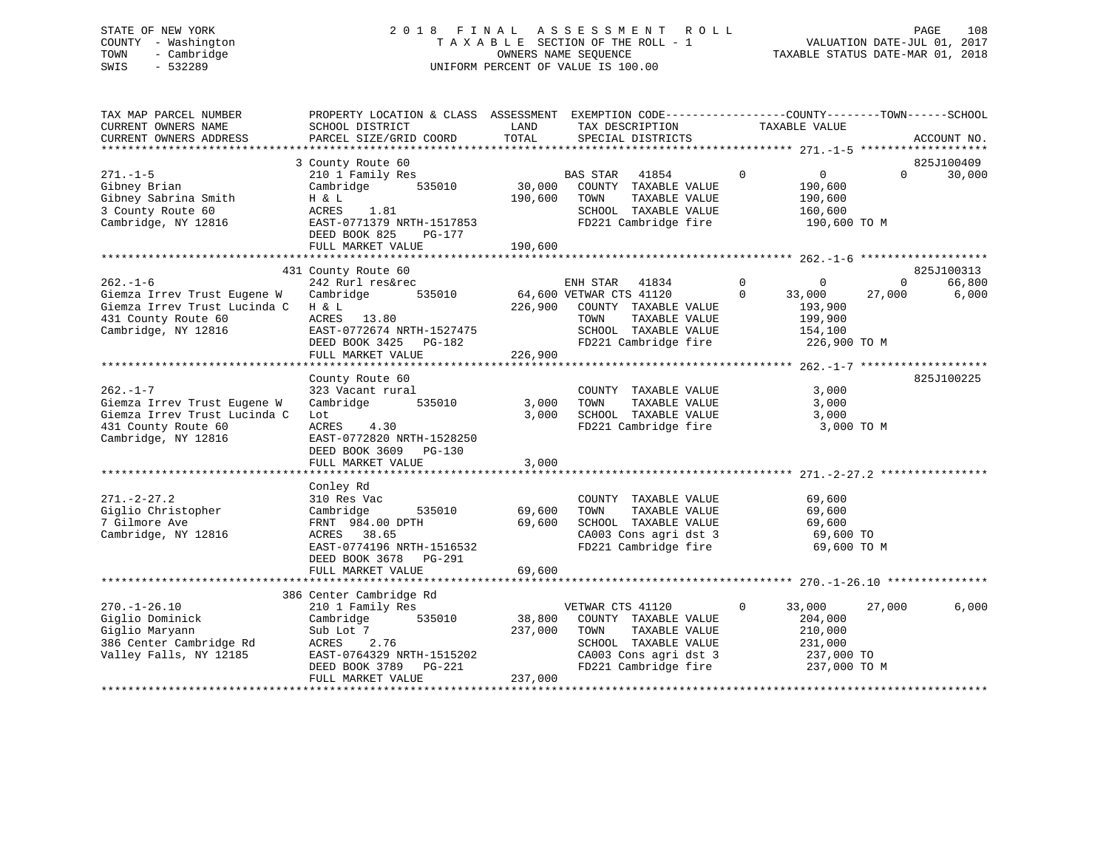# STATE OF NEW YORK 2 0 1 8 F I N A L A S S E S S M E N T R O L L PAGE 108 COUNTY - Washington T A X A B L E SECTION OF THE ROLL - 1 VALUATION DATE-JUL 01, 2017 TOWN - Cambridge OWNERS NAME SEQUENCE TAXABLE STATUS DATE-MAR 01, 2018 SWIS - 532289 UNIFORM PERCENT OF VALUE IS 100.00

| TAX MAP PARCEL NUMBER<br>CURRENT OWNERS NAME<br>CURRENT OWNERS ADDRESS                                                      | PROPERTY LOCATION & CLASS ASSESSMENT EXEMPTION CODE----------------COUNTY-------TOWN------SCHOOL<br>SCHOOL DISTRICT<br>PARCEL SIZE/GRID COORD                                                                                                                                                                  | LAND<br>TOTAL                | TAX DESCRIPTION<br>SPECIAL DISTRICTS                                                                                                                            | TAXABLE VALUE                                                                              | ACCOUNT NO.                                             |
|-----------------------------------------------------------------------------------------------------------------------------|----------------------------------------------------------------------------------------------------------------------------------------------------------------------------------------------------------------------------------------------------------------------------------------------------------------|------------------------------|-----------------------------------------------------------------------------------------------------------------------------------------------------------------|--------------------------------------------------------------------------------------------|---------------------------------------------------------|
|                                                                                                                             |                                                                                                                                                                                                                                                                                                                |                              |                                                                                                                                                                 |                                                                                            |                                                         |
| $271. - 1 - 5$<br>Gibney Brian<br>Gibney Sabrina Smith<br>3 County Route 60<br>Cambridge, NY 12816                          | 3 County Route 60<br>210 1 Family Res<br>Cambridge<br>H & L<br>ACRES<br>1.81<br>EAST-0771379 NRTH-1517853<br>DEED BOOK 825<br>PG-177<br>FULL MARKET VALUE                                                                                                                                                      | 190,600                      | BAS STAR 41854<br>535010 30,000 COUNTY TAXABLE VALUE<br>190,600 TOWN<br>TAXABLE VALUE<br>SCHOOL TAXABLE VALUE<br>FD221 Cambridge fire                           | $\overline{0}$<br>$\overline{0}$<br>190,600<br>190,600<br>160,600<br>190,600 TO M          | 825J100409<br>$\Omega$<br>30,000                        |
|                                                                                                                             |                                                                                                                                                                                                                                                                                                                |                              |                                                                                                                                                                 |                                                                                            |                                                         |
| $262. - 1 - 6$<br>Giemza Irrev Trust Eugene W<br>Giemza Irrev Trust Lucinda C<br>431 County Route 60<br>Cambridge, NY 12816 | 431 County Route 60<br>$242 \text{ Rurl} \text{ res\&rec} \qquad \qquad \text{ENH STAR} \qquad 41834 \\ \text{Cambridge} \qquad \qquad 535010 \qquad \qquad 64,600 \text{ VETWAR} \text{ CTS} \qquad 41120$<br>H & L<br>ACRES 13.80<br>EAST-0772674 NRTH-1527475<br>DEED BOOK 3425 PG-182<br>FULL MARKET VALUE | 226,900                      | 226,900 COUNTY TAXABLE VALUE<br>TAXABLE VALUE<br>TOWN<br>SCHOOL TAXABLE VALUE<br>FD221 Cambridge fire 326,900 TO M                                              | $\overline{0}$<br>$\mathbf 0$<br>$\overline{0}$<br>33,000<br>193,900<br>199,900<br>154,100 | 825J100313<br>66,800<br>$\mathbf{0}$<br>27,000<br>6,000 |
|                                                                                                                             | County Route 60                                                                                                                                                                                                                                                                                                |                              |                                                                                                                                                                 |                                                                                            | 825J100225                                              |
| $262 - 1 - 7$<br>Giemza Irrev Trust Eugene W<br>Giemza Irrev Trust Lucinda C<br>431 County Route 60<br>Cambridge, NY 12816  | 323 Vacant rural<br>Cambridge 535010<br>Lot<br>ACRES 4.30<br>EAST-0772820 NRTH-1528250<br>DEED BOOK 3609 PG-130                                                                                                                                                                                                | 3,000<br>3,000               | COUNTY TAXABLE VALUE<br>TOWN<br>TAXABLE VALUE<br>SCHOOL TAXABLE VALUE<br>FD221 Cambridge fire                                                                   | 3,000<br>3,000<br>3,000<br>3,000 TO M                                                      |                                                         |
|                                                                                                                             | FULL MARKET VALUE                                                                                                                                                                                                                                                                                              | 3,000                        |                                                                                                                                                                 |                                                                                            |                                                         |
| $271. - 2 - 27.2$<br>Giglio Christopher<br>7 Gilmore Ave<br>Cambridge, NY 12816                                             | Conley Rd<br>310 Res Vac<br>Cambridge<br>535010<br>FRNT 984.00 DPTH<br>ACRES 38.65<br>EAST-0774196 NRTH-1516532<br>DEED BOOK 3678 PG-291                                                                                                                                                                       | 69,600<br>69,600             | COUNTY TAXABLE VALUE<br>TAXABLE VALUE<br>TOWN<br>SCHOOL TAXABLE VALUE<br>SCHOOL TAXABLE VALUE 69,600<br>CA003 Cons agri dst 3 69,600 TO<br>FD221 Cambridge fire | 69,600<br>69,600<br>69,600<br>69,600 TO M                                                  |                                                         |
|                                                                                                                             | FULL MARKET VALUE                                                                                                                                                                                                                                                                                              | 69,600                       |                                                                                                                                                                 |                                                                                            |                                                         |
|                                                                                                                             |                                                                                                                                                                                                                                                                                                                |                              |                                                                                                                                                                 |                                                                                            |                                                         |
| $270. - 1 - 26.10$<br>Giglio Dominick<br>Giglio Maryann<br>386 Center Cambridge Rd<br>Valley Falls, NY 12185                | 386 Center Cambridge Rd<br>210 1 Family Res<br>535010<br>Cambridge<br>Sub Lot 7<br>ACRES 2.76<br>EAST-0764329 NRTH-1515202<br>DEED BOOK 3789 $PG-221$<br>FULL MARKET VALUE                                                                                                                                     | 38,800<br>237,000<br>237,000 | VETWAR CTS 41120<br>COUNTY TAXABLE VALUE<br>TOWN<br>TAXABLE VALUE<br>SCHOOL TAXABLE VALUE<br>CA003 Cons agri dst 3<br>FD221 Cambridge fire                      | $\overline{0}$<br>33,000<br>204,000<br>210,000<br>231,000<br>237,000 TO<br>237,000 TO M    | 6,000<br>27,000                                         |
|                                                                                                                             |                                                                                                                                                                                                                                                                                                                |                              |                                                                                                                                                                 |                                                                                            |                                                         |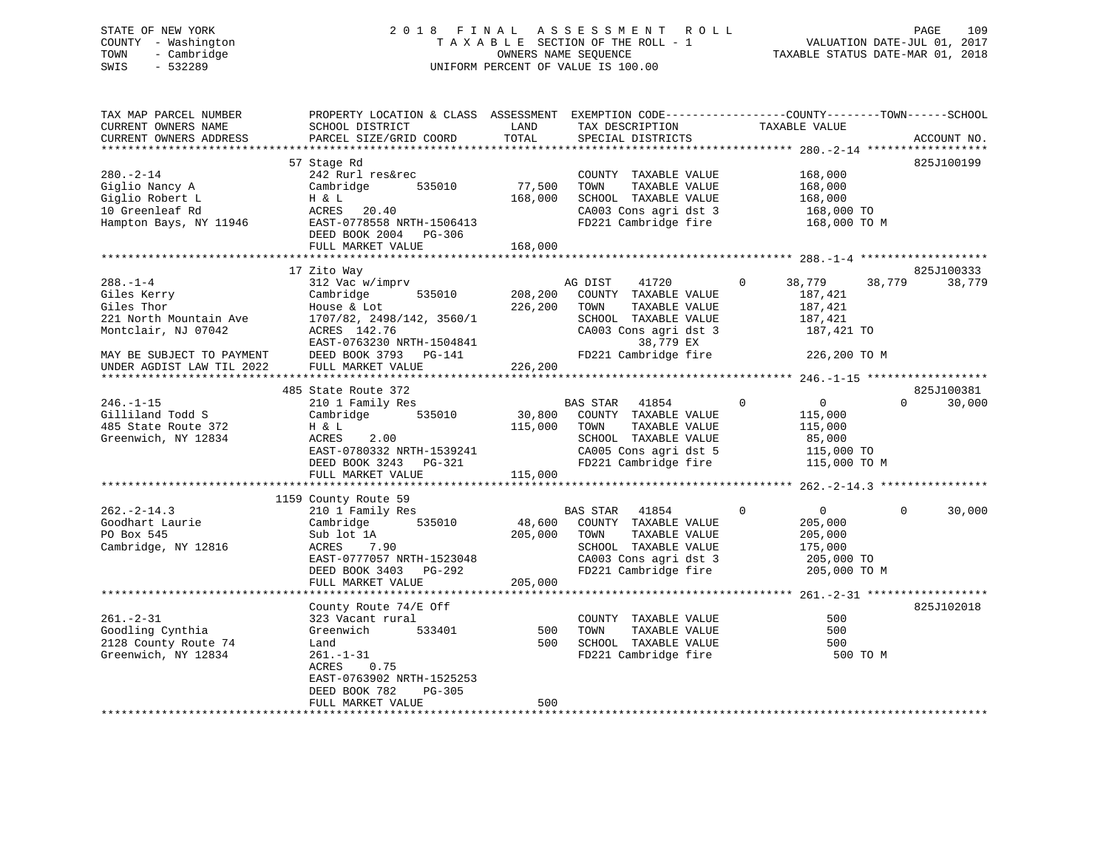# STATE OF NEW YORK 2 0 1 8 F I N A L A S S E S S M E N T R O L L PAGE 109 COUNTY - Washington T A X A B L E SECTION OF THE ROLL - 1 VALUATION DATE-JUL 01, 2017 TOWN - Cambridge OWNERS NAME SEQUENCE TAXABLE STATUS DATE-MAR 01, 2018 SWIS - 532289 UNIFORM PERCENT OF VALUE IS 100.00

| TAX MAP PARCEL NUMBER<br>CURRENT OWNERS NAME<br>CURRENT OWNERS ADDRESS                            | PROPERTY LOCATION & CLASS ASSESSMENT EXEMPTION CODE---------------COUNTY-------TOWN-----SCHOOL<br>SCHOOL DISTRICT<br>PARCEL SIZE/GRID COORD                               | LAND<br>TOTAL                | TAX DESCRIPTION<br>SPECIAL DISTRICTS                                                                                                               | TAXABLE VALUE                                                                             | ACCOUNT NO.          |
|---------------------------------------------------------------------------------------------------|---------------------------------------------------------------------------------------------------------------------------------------------------------------------------|------------------------------|----------------------------------------------------------------------------------------------------------------------------------------------------|-------------------------------------------------------------------------------------------|----------------------|
|                                                                                                   |                                                                                                                                                                           |                              |                                                                                                                                                    |                                                                                           |                      |
| $280. - 2 - 14$<br>Giglio Nancy A<br>Giglio Robert L<br>10 Greenleaf Rd<br>Hampton Bays, NY 11946 | 57 Stage Rd<br>242 Rurl res&rec<br>Cambridge<br>535010<br>H & L<br>ACRES<br>20.40<br>EAST-0778558 NRTH-1506413                                                            | 77,500<br>168,000            | COUNTY TAXABLE VALUE<br>TOWN<br>TAXABLE VALUE<br>SCHOOL TAXABLE VALUE<br>CA003 Cons agri dst 3<br>FD221 Cambridge fire                             | 168,000<br>168,000<br>168,000<br>168,000 TO<br>168,000 TO M                               | 825J100199           |
|                                                                                                   | DEED BOOK 2004 PG-306                                                                                                                                                     |                              |                                                                                                                                                    |                                                                                           |                      |
|                                                                                                   | FULL MARKET VALUE                                                                                                                                                         | 168,000                      |                                                                                                                                                    |                                                                                           |                      |
|                                                                                                   |                                                                                                                                                                           |                              |                                                                                                                                                    |                                                                                           |                      |
| $288. - 1 - 4$<br>Giles Kerry<br>Giles Thor<br>221 North Mountain Ave<br>Montclair, NJ 07042      | 17 Zito Way<br>312 Vac w/imprv<br>Cambridge<br>535010<br>House & Lot<br>1707/82, 2498/142, 3560/1<br>ACRES 142.76<br>EAST-0763230 NRTH-1504841                            | 208,200<br>226,200           | AG DIST<br>41720<br>COUNTY TAXABLE VALUE<br>TOWN<br>TAXABLE VALUE<br>SCHOOL TAXABLE VALUE<br>CA003 Cons agri dst 3<br>38,779 EX                    | 38,779<br>38,779<br>$\circ$<br>187,421<br>187,421<br>187,421<br>187,421 TO                | 825J100333<br>38,779 |
| MAY BE SUBJECT TO PAYMENT                                                                         | DEED BOOK 3793<br>PG-141<br>FULL MARKET VALUE                                                                                                                             | 226,200                      | FD221 Cambridge fire                                                                                                                               | 226,200 TO M                                                                              |                      |
| UNDER AGDIST LAW TIL 2022                                                                         |                                                                                                                                                                           |                              |                                                                                                                                                    |                                                                                           |                      |
|                                                                                                   | 485 State Route 372                                                                                                                                                       |                              |                                                                                                                                                    |                                                                                           | 825J100381           |
| $246. - 1 - 15$<br>Gilliland Todd S<br>485 State Route 372<br>Greenwich, NY 12834                 | 210 1 Family Res<br>Cambridge 535010<br>H & L<br>2.00<br>ACRES<br>EAST-0780332 NRTH-1539241<br>DEED BOOK 3243 PG-321<br>FULL MARKET VALUE                                 | 30,800<br>115,000<br>115,000 | <b>BAS STAR</b><br>41854<br>COUNTY TAXABLE VALUE<br>TOWN<br>TAXABLE VALUE<br>SCHOOL TAXABLE VALUE<br>CA005 Cons agri dst 5<br>FD221 Cambridge fire | $\Omega$<br>0<br>115,000<br>115,000<br>85,000<br>115,000 TO<br>115,000 TO M               | $\Omega$<br>30,000   |
|                                                                                                   |                                                                                                                                                                           |                              |                                                                                                                                                    |                                                                                           |                      |
| $262 - 2 - 14.3$<br>Goodhart Laurie<br>PO Box 545<br>Cambridge, NY 12816                          | 1159 County Route 59<br>210 1 Family Res<br>535010<br>Cambridge<br>Sub lot 1A<br>7.90<br>ACRES<br>EAST-0777057 NRTH-1523048<br>DEED BOOK 3403 PG-292<br>FULL MARKET VALUE | 48,600<br>205,000<br>205,000 | BAS STAR 41854<br>COUNTY TAXABLE VALUE<br>TAXABLE VALUE<br>TOWN<br>SCHOOL TAXABLE VALUE<br>CA003 Cons agri dst 3<br>FD221 Cambridge fire           | $\Omega$<br>$\overline{0}$<br>205,000<br>205,000<br>175,000<br>205,000 TO<br>205,000 TO M | $\Omega$<br>30,000   |
|                                                                                                   | ********************                                                                                                                                                      |                              |                                                                                                                                                    |                                                                                           |                      |
| $261 - 2 - 31$<br>Goodling Cynthia<br>2128 County Route 74<br>Greenwich, NY 12834                 | County Route 74/E Off<br>323 Vacant rural<br>Greenwich<br>533401<br>Land<br>$261. - 1 - 31$<br>ACRES<br>0.75<br>EAST-0763902 NRTH-1525253                                 | 500<br>500                   | COUNTY TAXABLE VALUE<br>TOWN<br>TAXABLE VALUE<br>SCHOOL TAXABLE VALUE<br>FD221 Cambridge fire                                                      | 500<br>500<br>500<br>500 TO M                                                             | 825J102018           |
|                                                                                                   | DEED BOOK 782<br>PG-305<br>FULL MARKET VALUE                                                                                                                              | 500                          |                                                                                                                                                    |                                                                                           |                      |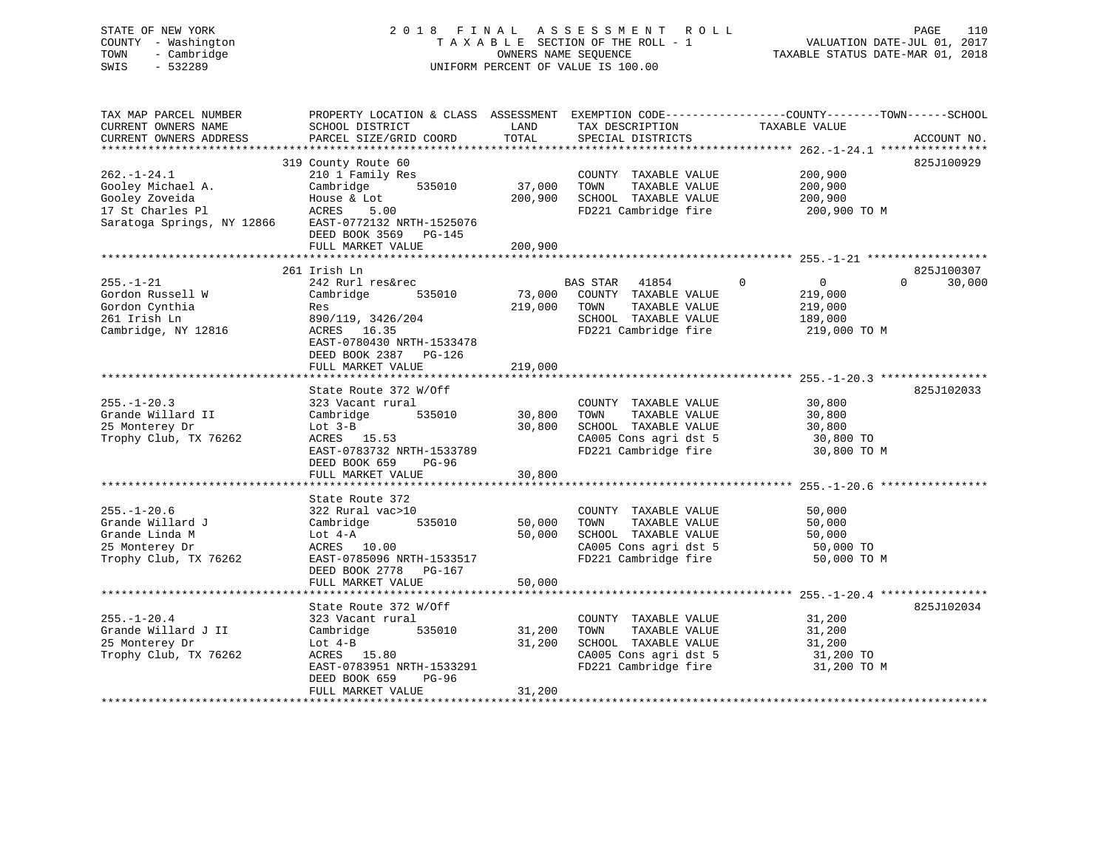| STATE OF NEW YORK<br>COUNTY - Washington<br>TOWN<br>- Cambridge<br>$-532289$<br>SWIS |                                                                                                 |                          | 2018 FINAL ASSESSMENT ROLL<br>TAXABLE SECTION OF THE ROLL - 1<br>OWNERS NAME SEQUENCE<br>UNIFORM PERCENT OF VALUE IS 100.00 |                               | PAGE<br>110<br>VALUATION DATE-JUL 01, 2017<br>TAXABLE STATUS DATE-MAR 01, 2018 |
|--------------------------------------------------------------------------------------|-------------------------------------------------------------------------------------------------|--------------------------|-----------------------------------------------------------------------------------------------------------------------------|-------------------------------|--------------------------------------------------------------------------------|
| TAX MAP PARCEL NUMBER                                                                | PROPERTY LOCATION & CLASS ASSESSMENT EXEMPTION CODE----------------COUNTY-------TOWN-----SCHOOL |                          |                                                                                                                             |                               |                                                                                |
| CURRENT OWNERS NAME<br>CURRENT OWNERS ADDRESS                                        | SCHOOL DISTRICT<br>PARCEL SIZE/GRID COORD                                                       | LAND<br>TOTAL            | TAX DESCRIPTION<br>SPECIAL DISTRICTS                                                                                        | TAXABLE VALUE                 | ACCOUNT NO.                                                                    |
|                                                                                      |                                                                                                 |                          |                                                                                                                             |                               |                                                                                |
|                                                                                      | 319 County Route 60                                                                             |                          |                                                                                                                             |                               | 825J100929                                                                     |
| $262. - 1 - 24.1$                                                                    | 210 1 Family Res                                                                                |                          | COUNTY TAXABLE VALUE                                                                                                        | 200,900                       |                                                                                |
| Gooley Michael A.                                                                    | Cambridge<br>535010                                                                             | 37,000                   | TOWN<br>TAXABLE VALUE                                                                                                       | 200,900                       |                                                                                |
| Gooley Zoveida                                                                       | House & Lot                                                                                     | 200,900                  | SCHOOL TAXABLE VALUE                                                                                                        | 200,900                       |                                                                                |
| 17 St Charles Pl                                                                     | ACRES<br>5.00                                                                                   |                          | FD221 Cambridge fire                                                                                                        | 200,900 TO M                  |                                                                                |
| Saratoga Springs, NY 12866                                                           | EAST-0772132 NRTH-1525076<br>DEED BOOK 3569 PG-145                                              |                          |                                                                                                                             |                               |                                                                                |
|                                                                                      | FULL MARKET VALUE                                                                               | 200,900                  |                                                                                                                             |                               |                                                                                |
|                                                                                      |                                                                                                 |                          |                                                                                                                             |                               |                                                                                |
|                                                                                      | 261 Irish Ln                                                                                    |                          |                                                                                                                             |                               | 825J100307                                                                     |
| $255. - 1 - 21$                                                                      | 242 Rurl res&rec                                                                                |                          | <b>BAS STAR</b><br>41854                                                                                                    | $\Omega$<br>$0 \qquad \qquad$ | 30,000<br>$\Omega$                                                             |
| Gordon Russell W                                                                     | 535010<br>Cambridge                                                                             | 73,000                   | COUNTY TAXABLE VALUE                                                                                                        | 219,000                       |                                                                                |
| Gordon Cynthia                                                                       | Res                                                                                             | 219,000                  | TOWN<br>TAXABLE VALUE                                                                                                       | 219,000                       |                                                                                |
| 261 Irish Ln                                                                         | 890/119, 3426/204                                                                               |                          | SCHOOL TAXABLE VALUE                                                                                                        | 189,000                       |                                                                                |
| Cambridge, NY 12816                                                                  | ACRES 16.35                                                                                     |                          | FD221 Cambridge fire                                                                                                        | 219,000 TO M                  |                                                                                |
|                                                                                      | EAST-0780430 NRTH-1533478                                                                       |                          |                                                                                                                             |                               |                                                                                |
|                                                                                      | DEED BOOK 2387 PG-126                                                                           |                          |                                                                                                                             |                               |                                                                                |
|                                                                                      | FULL MARKET VALUE<br>*************************                                                  | 219,000<br>************* |                                                                                                                             |                               |                                                                                |
|                                                                                      | State Route 372 W/Off                                                                           |                          |                                                                                                                             |                               | 825J102033                                                                     |
| $255. - 1 - 20.3$                                                                    | 323 Vacant rural                                                                                |                          | COUNTY TAXABLE VALUE                                                                                                        | 30,800                        |                                                                                |
| Grande Willard II                                                                    | Cambridge<br>535010                                                                             | 30,800                   | TOWN<br>TAXABLE VALUE                                                                                                       | 30,800                        |                                                                                |
| 25 Monterey Dr                                                                       | Lot $3-B$                                                                                       | 30,800                   | SCHOOL TAXABLE VALUE                                                                                                        | 30,800                        |                                                                                |
| Trophy Club, TX 76262                                                                | ACRES 15.53                                                                                     |                          | CA005 Cons agri dst 5                                                                                                       | 30,800 TO                     |                                                                                |
|                                                                                      | EAST-0783732 NRTH-1533789                                                                       |                          | FD221 Cambridge fire                                                                                                        | 30,800 TO M                   |                                                                                |
|                                                                                      | DEED BOOK 659<br>PG-96                                                                          |                          |                                                                                                                             |                               |                                                                                |
|                                                                                      | FULL MARKET VALUE                                                                               | 30,800                   |                                                                                                                             |                               |                                                                                |
|                                                                                      |                                                                                                 |                          |                                                                                                                             |                               |                                                                                |
|                                                                                      | State Route 372                                                                                 |                          |                                                                                                                             |                               |                                                                                |
| $255. - 1 - 20.6$                                                                    | 322 Rural vac>10                                                                                |                          | COUNTY TAXABLE VALUE                                                                                                        | 50,000                        |                                                                                |
| Grande Willard J                                                                     | Cambridge<br>535010                                                                             | 50,000                   | TOWN<br>TAXABLE VALUE                                                                                                       | 50,000                        |                                                                                |
| Grande Linda M                                                                       | Lot $4-A$                                                                                       | 50,000                   | SCHOOL TAXABLE VALUE                                                                                                        | 50,000                        |                                                                                |
| 25 Monterey Dr                                                                       | ACRES 10.00                                                                                     |                          | CA005 Cons agri dst 5                                                                                                       | 50,000 TO                     |                                                                                |
| Trophy Club, TX 76262                                                                | EAST-0785096 NRTH-1533517                                                                       |                          | FD221 Cambridge fire                                                                                                        | 50,000 TO M                   |                                                                                |
|                                                                                      | DEED BOOK 2778 PG-167                                                                           |                          |                                                                                                                             |                               |                                                                                |
|                                                                                      | FULL MARKET VALUE                                                                               | 50,000                   |                                                                                                                             |                               |                                                                                |
|                                                                                      |                                                                                                 |                          |                                                                                                                             |                               |                                                                                |
|                                                                                      | State Route 372 W/Off                                                                           |                          |                                                                                                                             |                               | 825J102034                                                                     |

255.-1-20.4 323 Vacant rural COUNTY TAXABLE VALUE 31,200 Grande Willard J II Cambridge 535010 31,200 TOWN TAXABLE VALUE 31,200 25 Monterey Dr Lot 4-B 31,200 SCHOOL TAXABLE VALUE 31,200 EAST-0783951 NRTH-1533291 DEED BOOK 659 PG-96

FULL MARKET VALUE 31,200 \*\*\*\*\*\*\*\*\*\*\*\*\*\*\*\*\*\*\*\*\*\*\*\*\*\*\*\*\*\*\*\*\*\*\*\*\*\*\*\*\*\*\*\*\*\*\*\*\*\*\*\*\*\*\*\*\*\*\*\*\*\*\*\*\*\*\*\*\*\*\*\*\*\*\*\*\*\*\*\*\*\*\*\*\*\*\*\*\*\*\*\*\*\*\*\*\*\*\*\*\*\*\*\*\*\*\*\*\*\*\*\*\*\*\*\*\*\*\*\*\*\*\*\*\*\*\*\*\*\*\*\*

CA005 Cons agri dst 5 31,200 TO<br>FD221 Cambridge fire 31,200 TO M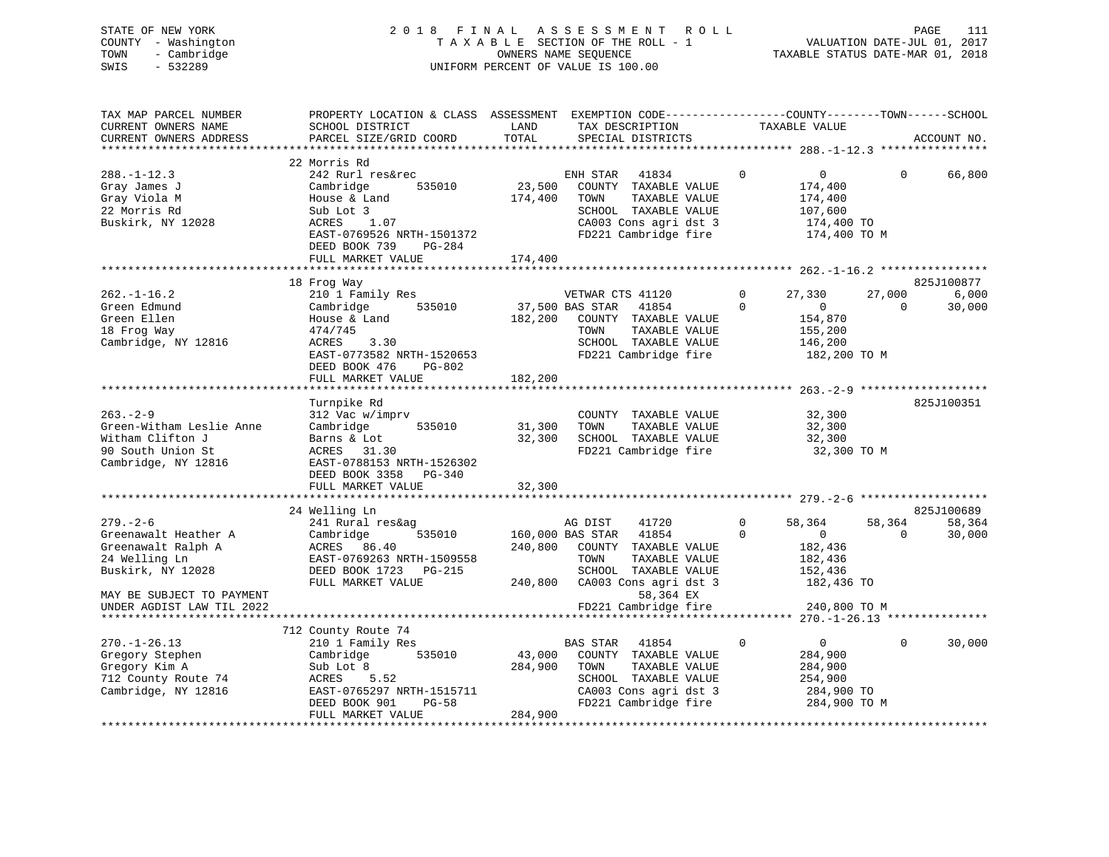| STATE OF NEW YORK<br>COUNTY - Washington<br>- Cambridge<br>TOWN<br>SWIS<br>$-532289$                                                                                         |                                                                                                                                                                                                                                                                               |                                        | 2018 FINAL ASSESSMENT ROLL<br>TAXABLE SECTION OF THE ROLL - 1<br>OWNERS NAME SEOUENCE<br>UNIFORM PERCENT OF VALUE IS 100.00                                                                                                                    |                            | TAXABLE STATUS DATE-MAR 01, 2018                                                                                    | VALUATION DATE-JUL 01, 2017 | PAGE<br>111                                 |
|------------------------------------------------------------------------------------------------------------------------------------------------------------------------------|-------------------------------------------------------------------------------------------------------------------------------------------------------------------------------------------------------------------------------------------------------------------------------|----------------------------------------|------------------------------------------------------------------------------------------------------------------------------------------------------------------------------------------------------------------------------------------------|----------------------------|---------------------------------------------------------------------------------------------------------------------|-----------------------------|---------------------------------------------|
| TAX MAP PARCEL NUMBER<br>CURRENT OWNERS NAME<br>CURRENT OWNERS ADDRESS<br>*************************                                                                          | PROPERTY LOCATION & CLASS ASSESSMENT EXEMPTION CODE----------------COUNTY-------TOWN------SCHOOL<br>SCHOOL DISTRICT<br>PARCEL SIZE/GRID COORD                                                                                                                                 | LAND<br>TOTAL                          | TAX DESCRIPTION<br>SPECIAL DISTRICTS                                                                                                                                                                                                           |                            | TAXABLE VALUE                                                                                                       |                             | ACCOUNT NO.                                 |
| $288. - 1 - 12.3$<br>Gray James J<br>Gray Viola M<br>22 Morris Rd<br>Buskirk, NY 12028                                                                                       | 22 Morris Rd<br>242 Rurl res&rec<br>Cambridge<br>535010<br>House & Land<br>Sub Lot 3<br>ACRES<br>1.07<br>EAST-0769526 NRTH-1501372<br>DEED BOOK 739<br>PG-284<br>FULL MARKET VALUE                                                                                            | 23,500<br>174,400<br>174,400           | ENH STAR<br>41834<br>COUNTY TAXABLE VALUE<br>TAXABLE VALUE<br>TOWN<br>SCHOOL TAXABLE VALUE<br>CA003 Cons agri dst 3<br>FD221 Cambridge fire                                                                                                    | $\mathbf 0$                | $\overline{0}$<br>174,400<br>174,400<br>107,600<br>174,400 TO<br>174,400 TO M                                       | $\mathbf{0}$                | 66,800                                      |
|                                                                                                                                                                              |                                                                                                                                                                                                                                                                               |                                        |                                                                                                                                                                                                                                                |                            |                                                                                                                     |                             |                                             |
| $262. - 1 - 16.2$<br>Green Edmund<br>Green Ellen<br>18 Frog Way<br>Cambridge, NY 12816<br>$263 - 2 - 9$<br>Green-Witham Leslie Anne<br>Witham Clifton J<br>90 South Union St | 18 Frog Way<br>210 1 Family Res<br>535010<br>Cambridge<br>House & Land<br>474/745<br><b>ACRES</b><br>3.30<br>EAST-0773582 NRTH-1520653<br>DEED BOOK 476<br>PG-802<br>FULL MARKET VALUE<br>Turnpike Rd<br>312 Vac w/imprv<br>Cambridge<br>535010<br>Barns & Lot<br>ACRES 31.30 | 182,200<br>182,200<br>31,300<br>32,300 | VETWAR CTS 41120<br>37,500 BAS STAR<br>41854<br>COUNTY TAXABLE VALUE<br>TAXABLE VALUE<br>TOWN<br>SCHOOL TAXABLE VALUE<br>FD221 Cambridge fire<br>COUNTY TAXABLE VALUE<br>TAXABLE VALUE<br>TOWN<br>SCHOOL TAXABLE VALUE<br>FD221 Cambridge fire | $\mathbf{0}$<br>$\Omega$   | 27,330<br>$\mathbf 0$<br>154,870<br>155,200<br>146,200<br>182,200 TO M<br>32,300<br>32,300<br>32,300<br>32,300 TO M | 27,000<br>$\Omega$          | 825J100877<br>6,000<br>30,000<br>825J100351 |
| Cambridge, NY 12816                                                                                                                                                          | EAST-0788153 NRTH-1526302<br>DEED BOOK 3358 PG-340<br>FULL MARKET VALUE                                                                                                                                                                                                       | 32,300                                 |                                                                                                                                                                                                                                                |                            |                                                                                                                     |                             |                                             |
|                                                                                                                                                                              | 24 Welling Ln                                                                                                                                                                                                                                                                 |                                        |                                                                                                                                                                                                                                                |                            |                                                                                                                     |                             | 825J100689                                  |
| $279. - 2 - 6$<br>Greenawalt Heather A<br>Greenawalt Ralph A<br>24 Welling Ln<br>Buskirk, NY 12028<br>MAY BE SUBJECT TO PAYMENT<br>UNDER AGDIST LAW TIL 2022                 | 241 Rural res&ag<br>Cambridge<br>535010<br>ACRES 86.40<br>EAST-0769263 NRTH-1509558<br>DEED BOOK 1723 PG-215<br>FULL MARKET VALUE                                                                                                                                             | 240,800<br>240,800                     | 41720<br>AG DIST<br>160,000 BAS STAR 41854<br>COUNTY TAXABLE VALUE<br>TAXABLE VALUE<br>TOWN<br>SCHOOL TAXABLE VALUE<br>CA003 Cons agri dst 3<br>58,364 EX<br>FD221 Cambridge fire                                                              | $\mathbf 0$<br>$\mathbf 0$ | 58,364<br>$\overline{0}$<br>182,436<br>182,436<br>152,436<br>182,436 TO<br>240,800 TO M                             | 58,364<br>$\mathbf 0$       | 58,364<br>30,000                            |
|                                                                                                                                                                              |                                                                                                                                                                                                                                                                               |                                        |                                                                                                                                                                                                                                                |                            |                                                                                                                     |                             |                                             |
| <b>270 1 26 12</b>                                                                                                                                                           | 712 County Route 74<br>$210 \pm 7$ cand $\overline{1}$ is $\overline{2}$                                                                                                                                                                                                      |                                        | 110EA תגרדים מגרו                                                                                                                                                                                                                              | $\sim$                     | $\cap$                                                                                                              |                             | $\sim$ 20 000                               |

|                     | 712 County Route 74       |         |          |                       |              |        |
|---------------------|---------------------------|---------|----------|-----------------------|--------------|--------|
| 270.-1-26.13        | 210 1 Family Res          |         | BAS STAR | 41854                 |              | 30,000 |
| Gregory Stephen     | Cambridge<br>535010       | 43,000  | COUNTY   | TAXABLE VALUE         | 284,900      |        |
| Gregory Kim A       | Sub Lot 8                 | 284,900 | TOWN     | TAXABLE VALUE         | 284,900      |        |
| 712 County Route 74 | 5.52<br>ACRES             |         | SCHOOL   | TAXABLE VALUE         | 254,900      |        |
| Cambridge, NY 12816 | EAST-0765297 NRTH-1515711 |         |          | CA003 Cons agri dst 3 | 284,900 TO   |        |
|                     | DEED BOOK 901<br>PG-58    |         |          | FD221 Cambridge fire  | 284,900 TO M |        |
|                     | FULL MARKET VALUE         | 284,900 |          |                       |              |        |
|                     |                           |         |          |                       |              |        |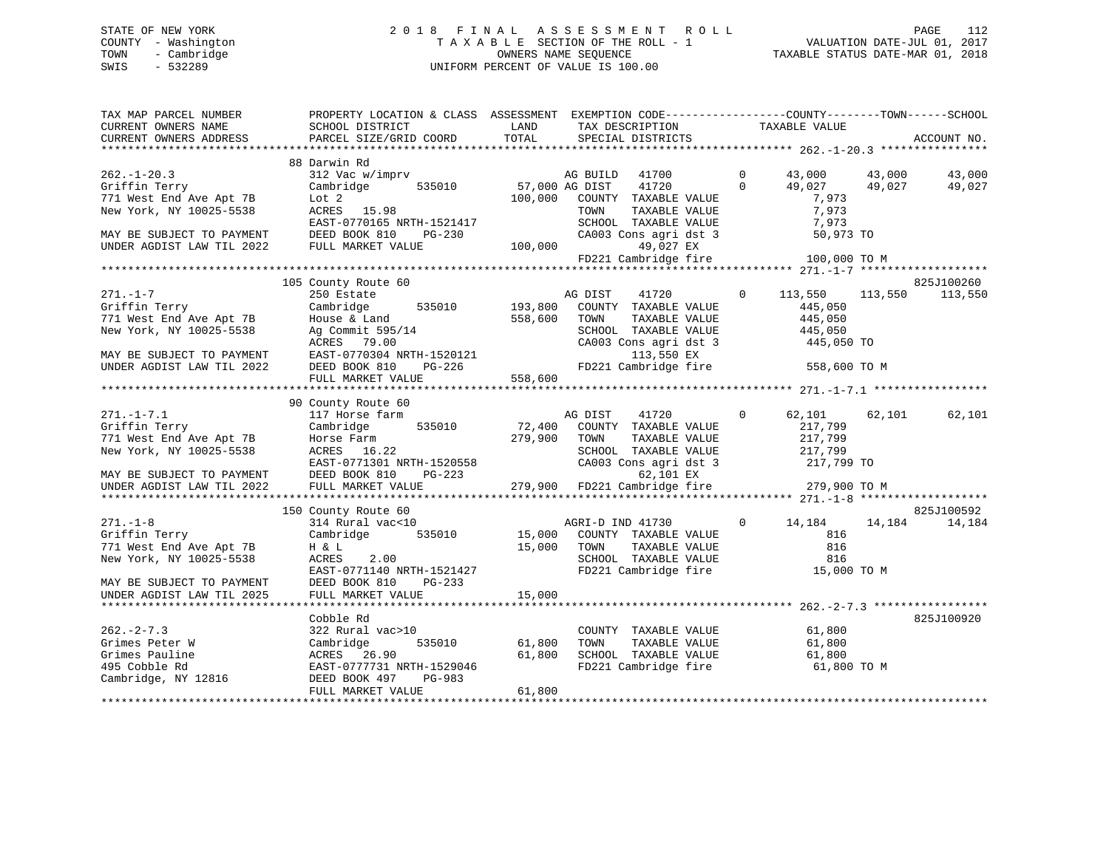# STATE OF NEW YORK 2 0 1 8 F I N A L A S S E S S M E N T R O L L PAGE 112 COUNTY - Washington T A X A B L E SECTION OF THE ROLL - 1 VALUATION DATE-JUL 01, 2017 TOWN - Cambridge OWNERS NAME SEQUENCE TAXABLE STATUS DATE-MAR 01, 2018 SWIS - 532289 UNIFORM PERCENT OF VALUE IS 100.00

| TAX MAP PARCEL NUMBER<br>CURRENT OWNERS NAME<br>CURRENT OWNERS ADDRESS | PROPERTY LOCATION & CLASS ASSESSMENT EXEMPTION CODE----------------COUNTY-------TOWN------SCHOOL<br>SCHOOL DISTRICT<br>PARCEL SIZE/GRID COORD | LAND<br>TOTAL    | TAX DESCRIPTION<br>SPECIAL DISTRICTS          | TAXABLE VALUE           |                  | ACCOUNT NO. |
|------------------------------------------------------------------------|-----------------------------------------------------------------------------------------------------------------------------------------------|------------------|-----------------------------------------------|-------------------------|------------------|-------------|
|                                                                        |                                                                                                                                               |                  |                                               |                         |                  |             |
|                                                                        | 88 Darwin Rd                                                                                                                                  |                  |                                               |                         |                  |             |
| $262 - 1 - 20.3$                                                       | 312 Vac w/imprv                                                                                                                               |                  | AG BUILD<br>41700                             | $\Omega$<br>43,000      | 43,000           | 43,000      |
| Griffin Terry                                                          | 535010<br>Cambridge                                                                                                                           | 57,000 AG DIST   | 41720                                         | $\Omega$<br>49,027      | 49,027           | 49,027      |
| 771 West End Ave Apt 7B                                                | Lot <sub>2</sub>                                                                                                                              | 100,000          | COUNTY TAXABLE VALUE                          |                         | 7,973            |             |
| New York, NY 10025-5538                                                | ACRES 15.98                                                                                                                                   |                  | TAXABLE VALUE<br>TOWN                         |                         | 7,973            |             |
|                                                                        | EAST-0770165 NRTH-1521417                                                                                                                     |                  | SCHOOL TAXABLE VALUE                          |                         | 7,973            |             |
| MAY BE SUBJECT TO PAYMENT                                              | DEED BOOK 810<br>PG-230                                                                                                                       |                  | CA003 Cons agri dst 3                         |                         | 50,973 TO        |             |
| UNDER AGDIST LAW TIL 2022                                              | FULL MARKET VALUE                                                                                                                             | 100,000          | 49,027 EX                                     |                         |                  |             |
|                                                                        |                                                                                                                                               |                  | FD221 Cambridge fire                          |                         | 100,000 TO M     |             |
|                                                                        |                                                                                                                                               |                  |                                               |                         |                  |             |
|                                                                        | 105 County Route 60                                                                                                                           |                  |                                               |                         |                  | 825J100260  |
| $271. - 1 - 7$                                                         | 250 Estate                                                                                                                                    |                  | AG DIST<br>41720                              | $\mathbf{0}$<br>113,550 | 113,550          | 113,550     |
| Griffin Terry                                                          | Cambridge<br>535010                                                                                                                           | 193,800          | COUNTY TAXABLE VALUE                          |                         | 445,050          |             |
| 771 West End Ave Apt 7B                                                | House & Land                                                                                                                                  | 558,600          | TOWN<br>TAXABLE VALUE                         |                         | 445,050          |             |
| New York, NY 10025-5538                                                | Ag Commit 595/14                                                                                                                              |                  | SCHOOL TAXABLE VALUE                          |                         | 445,050          |             |
|                                                                        | ACRES 79.00                                                                                                                                   |                  | CA003 Cons agri dst 3                         |                         | 445,050 TO       |             |
| MAY BE SUBJECT TO PAYMENT<br>UNDER AGDIST LAW TIL 2022                 | EAST-0770304 NRTH-1520121<br>PG-226                                                                                                           |                  | 113,550 EX<br>FD221 Cambridge fire            |                         | 558,600 TO M     |             |
|                                                                        | DEED BOOK 810<br>FULL MARKET VALUE                                                                                                            | 558,600          |                                               |                         |                  |             |
|                                                                        |                                                                                                                                               |                  |                                               |                         |                  |             |
|                                                                        | 90 County Route 60                                                                                                                            |                  |                                               |                         |                  |             |
| $271. - 1 - 7.1$                                                       | 117 Horse farm                                                                                                                                |                  | 41720<br>AG DIST                              | $\Omega$                | 62,101<br>62,101 | 62,101      |
| Griffin Terry                                                          | 535010<br>Cambridge                                                                                                                           | 72,400           | COUNTY TAXABLE VALUE                          |                         | 217,799          |             |
| 771 West End Ave Apt 7B                                                | Horse Farm                                                                                                                                    | 279,900          | TAXABLE VALUE<br>TOWN                         |                         | 217,799          |             |
| New York, NY 10025-5538                                                | ACRES 16.22                                                                                                                                   |                  | SCHOOL TAXABLE VALUE                          |                         | 217,799          |             |
|                                                                        | EAST-0771301 NRTH-1520558                                                                                                                     |                  | CA003 Cons agri dst 3                         |                         | 217,799 TO       |             |
| MAY BE SUBJECT TO PAYMENT                                              | DEED BOOK 810<br>$PG-223$                                                                                                                     |                  | 62,101 EX                                     |                         |                  |             |
| UNDER AGDIST LAW TIL 2022                                              | FULL MARKET VALUE                                                                                                                             | 279,900          | FD221 Cambridge fire                          |                         | 279,900 TO M     |             |
|                                                                        |                                                                                                                                               |                  |                                               |                         |                  |             |
|                                                                        | 150 County Route 60                                                                                                                           |                  |                                               |                         |                  | 825J100592  |
| $271. - 1 - 8$                                                         | 314 Rural vac<10                                                                                                                              |                  | AGRI-D IND 41730                              | $\mathbf 0$             | 14,184<br>14,184 | 14,184      |
| Griffin Terry                                                          | Cambridge<br>535010                                                                                                                           | 15,000           | COUNTY TAXABLE VALUE                          |                         | 816              |             |
| 771 West End Ave Apt 7B                                                | H & L                                                                                                                                         | 15,000           | TOWN<br>TAXABLE VALUE                         |                         | 816              |             |
| New York, NY 10025-5538                                                | 2.00<br>ACRES                                                                                                                                 |                  | SCHOOL TAXABLE VALUE                          |                         | 816              |             |
|                                                                        | EAST-0771140 NRTH-1521427                                                                                                                     |                  | FD221 Cambridge fire                          |                         | 15,000 TO M      |             |
| MAY BE SUBJECT TO PAYMENT                                              | DEED BOOK 810<br>PG-233                                                                                                                       |                  |                                               |                         |                  |             |
| UNDER AGDIST LAW TIL 2025                                              | FULL MARKET VALUE                                                                                                                             | 15,000           |                                               |                         |                  |             |
|                                                                        |                                                                                                                                               |                  |                                               |                         |                  |             |
|                                                                        | Cobble Rd                                                                                                                                     |                  |                                               |                         |                  | 825J100920  |
| $262 - 2 - 7.3$                                                        | 322 Rural vac>10                                                                                                                              |                  | COUNTY TAXABLE VALUE                          |                         | 61,800           |             |
| Grimes Peter W<br>Grimes Pauline                                       | Cambridge<br>535010<br>ACRES 26.90                                                                                                            | 61,800<br>61,800 | TOWN<br>TAXABLE VALUE<br>SCHOOL TAXABLE VALUE |                         | 61,800<br>61,800 |             |
| 495 Cobble Rd                                                          | EAST-0777731 NRTH-1529046                                                                                                                     |                  | FD221 Cambridge fire                          |                         | 61,800 TO M      |             |
| Cambridge, NY 12816                                                    | DEED BOOK 497<br>PG-983                                                                                                                       |                  |                                               |                         |                  |             |
|                                                                        | FULL MARKET VALUE                                                                                                                             | 61,800           |                                               |                         |                  |             |
|                                                                        |                                                                                                                                               |                  |                                               |                         |                  |             |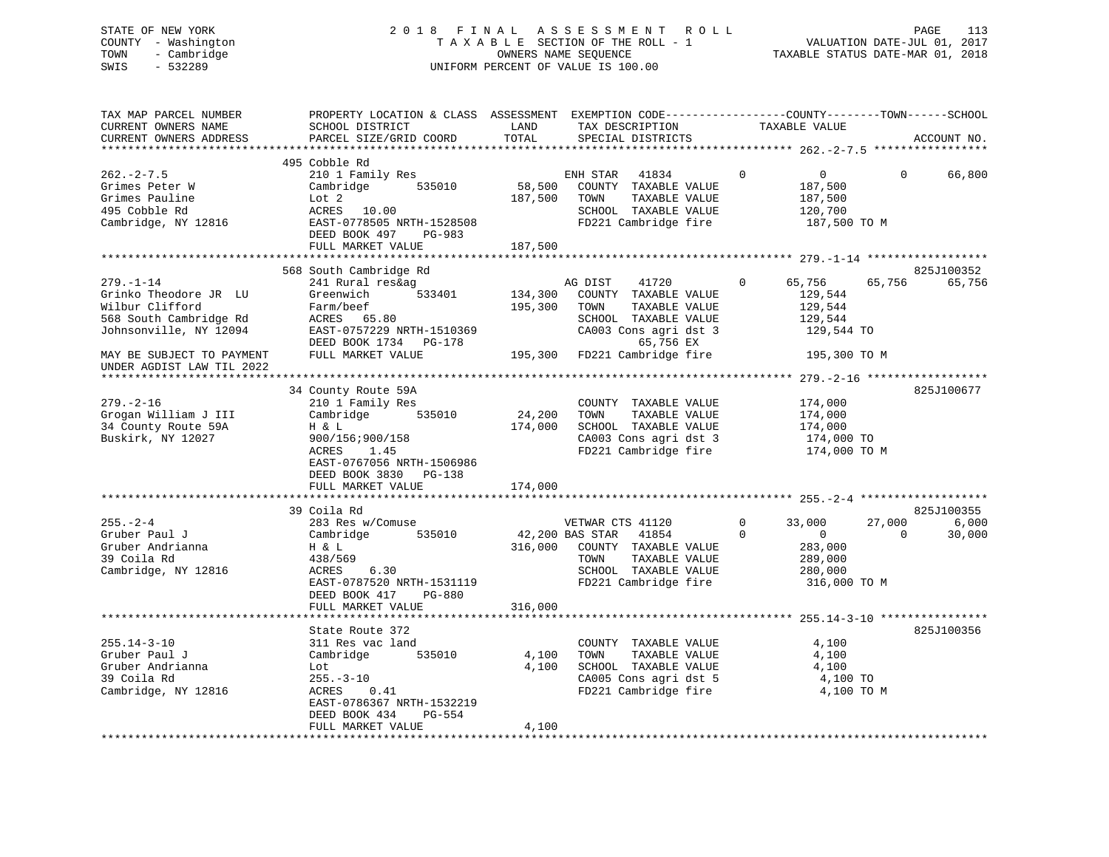# STATE OF NEW YORK 2 0 1 8 F I N A L A S S E S S M E N T R O L L PAGE 113 COUNTY - Washington T A X A B L E SECTION OF THE ROLL - 1 VALUATION DATE-JUL 01, 2017 TOWN - Cambridge OWNERS NAME SEQUENCE TAXABLE STATUS DATE-MAR 01, 2018 SWIS - 532289 UNIFORM PERCENT OF VALUE IS 100.00

| TAX MAP PARCEL NUMBER     | PROPERTY LOCATION & CLASS ASSESSMENT EXEMPTION CODE----------------COUNTY-------TOWN------SCHOOL |         |                              |                               |                        |
|---------------------------|--------------------------------------------------------------------------------------------------|---------|------------------------------|-------------------------------|------------------------|
| CURRENT OWNERS NAME       | SCHOOL DISTRICT                                                                                  | LAND    | TAX DESCRIPTION              | TAXABLE VALUE                 |                        |
| CURRENT OWNERS ADDRESS    | PARCEL SIZE/GRID COORD                                                                           | TOTAL   | SPECIAL DISTRICTS            |                               | ACCOUNT NO.            |
|                           |                                                                                                  |         |                              |                               |                        |
|                           | 495 Cobble Rd                                                                                    |         |                              |                               |                        |
| $262 - 2 - 7.5$           | 210 1 Family Res                                                                                 |         | ENH STAR 41834               | $\mathbf 0$<br>$\overline{0}$ | $\mathbf{0}$<br>66,800 |
| Grimes Peter W            | 535010<br>Cambridge                                                                              | 58,500  | COUNTY TAXABLE VALUE         | 187,500                       |                        |
| Grimes Pauline            | Lot 2                                                                                            | 187,500 | TOWN<br>TAXABLE VALUE        | 187,500                       |                        |
| 495 Cobble Rd             | ACRES<br>10.00                                                                                   |         | SCHOOL TAXABLE VALUE         | 120,700                       |                        |
| Cambridge, NY 12816       | EAST-0778505 NRTH-1528508                                                                        |         | FD221 Cambridge fire         | 187,500 TO M                  |                        |
|                           | DEED BOOK 497<br>PG-983                                                                          |         |                              |                               |                        |
|                           | FULL MARKET VALUE                                                                                | 187,500 |                              |                               |                        |
|                           |                                                                                                  |         |                              |                               |                        |
|                           | 568 South Cambridge Rd                                                                           |         |                              |                               | 825J100352             |
| $279. - 1 - 14$           | 241 Rural res&ag                                                                                 |         | AG DIST<br>41720             | $\mathbf 0$<br>65,756         | 65,756<br>65,756       |
| Grinko Theodore JR LU     | 533401<br>Greenwich                                                                              | 134,300 | COUNTY TAXABLE VALUE         | 129,544                       |                        |
| Wilbur Clifford           | Farm/beef                                                                                        | 195,300 | TOWN<br>TAXABLE VALUE        | 129,544                       |                        |
| 568 South Cambridge Rd    | ACRES 65.80                                                                                      |         | SCHOOL TAXABLE VALUE         | 129,544                       |                        |
| Johnsonville, NY 12094    | EAST-0757229 NRTH-1510369                                                                        |         | CA003 Cons agri dst 3        | 129,544 TO                    |                        |
|                           | DEED BOOK 1734 PG-178                                                                            |         | 65,756 EX                    |                               |                        |
| MAY BE SUBJECT TO PAYMENT | FULL MARKET VALUE                                                                                |         | 195,300 FD221 Cambridge fire | 195,300 TO M                  |                        |
| UNDER AGDIST LAW TIL 2022 |                                                                                                  |         |                              |                               |                        |
|                           |                                                                                                  |         |                              |                               |                        |
|                           | 34 County Route 59A                                                                              |         |                              |                               | 825J100677             |
| $279. - 2 - 16$           | 210 1 Family Res                                                                                 |         | COUNTY TAXABLE VALUE         | 174,000                       |                        |
| Grogan William J III      | 535010<br>Cambridge                                                                              | 24,200  | TOWN<br>TAXABLE VALUE        | 174,000                       |                        |
| 34 County Route 59A       | H & L                                                                                            | 174,000 | SCHOOL TAXABLE VALUE         | 174,000                       |                        |
| Buskirk, NY 12027         | 900/156;900/158                                                                                  |         | CA003 Cons agri dst 3        | 174,000 TO                    |                        |
|                           | ACRES<br>1.45                                                                                    |         | FD221 Cambridge fire         | 174,000 TO M                  |                        |
|                           | EAST-0767056 NRTH-1506986                                                                        |         |                              |                               |                        |
|                           | DEED BOOK 3830<br>PG-138                                                                         |         |                              |                               |                        |
|                           | FULL MARKET VALUE                                                                                | 174,000 |                              |                               |                        |
|                           |                                                                                                  |         |                              |                               |                        |
|                           | 39 Coila Rd                                                                                      |         |                              |                               | 825J100355             |
| $255. - 2 - 4$            | 283 Res w/Comuse                                                                                 |         | VETWAR CTS 41120             | $\mathbf{0}$<br>33,000        | 27,000<br>6,000        |
| Gruber Paul J             | 535010<br>Cambridge                                                                              |         | 42,200 BAS STAR<br>41854     | $\Omega$<br>$\overline{0}$    | $\Omega$<br>30,000     |
| Gruber Andrianna          | Η & L                                                                                            | 316,000 | COUNTY TAXABLE VALUE         | 283,000                       |                        |
| 39 Coila Rd               | 438/569                                                                                          |         | TAXABLE VALUE<br>TOWN        | 289,000                       |                        |
| Cambridge, NY 12816       | 6.30<br>ACRES                                                                                    |         | SCHOOL TAXABLE VALUE         | 280,000                       |                        |
|                           | EAST-0787520 NRTH-1531119                                                                        |         | FD221 Cambridge fire         | 316,000 TO M                  |                        |
|                           | DEED BOOK 417<br>PG-880                                                                          |         |                              |                               |                        |
|                           | FULL MARKET VALUE                                                                                | 316,000 |                              |                               |                        |
|                           |                                                                                                  |         |                              |                               |                        |
|                           | State Route 372                                                                                  |         |                              |                               | 825J100356             |
| $255.14 - 3 - 10$         | 311 Res vac land                                                                                 |         | COUNTY TAXABLE VALUE         | 4,100                         |                        |
|                           |                                                                                                  |         |                              |                               |                        |
| Gruber Paul J             | 535010<br>Cambridge                                                                              | 4,100   | TAXABLE VALUE<br>TOWN        | 4,100                         |                        |
| Gruber Andrianna          | Lot                                                                                              | 4,100   | SCHOOL TAXABLE VALUE         | 4,100                         |                        |
| 39 Coila Rd               | $255. - 3 - 10$                                                                                  |         | CA005 Cons agri dst 5        | 4,100 TO                      |                        |
| Cambridge, NY 12816       | ACRES<br>0.41                                                                                    |         | FD221 Cambridge fire         | 4,100 TO M                    |                        |
|                           | EAST-0786367 NRTH-1532219                                                                        |         |                              |                               |                        |
|                           | DEED BOOK 434<br>PG-554                                                                          |         |                              |                               |                        |
|                           | FULL MARKET VALUE                                                                                | 4,100   |                              |                               |                        |
|                           |                                                                                                  |         |                              |                               |                        |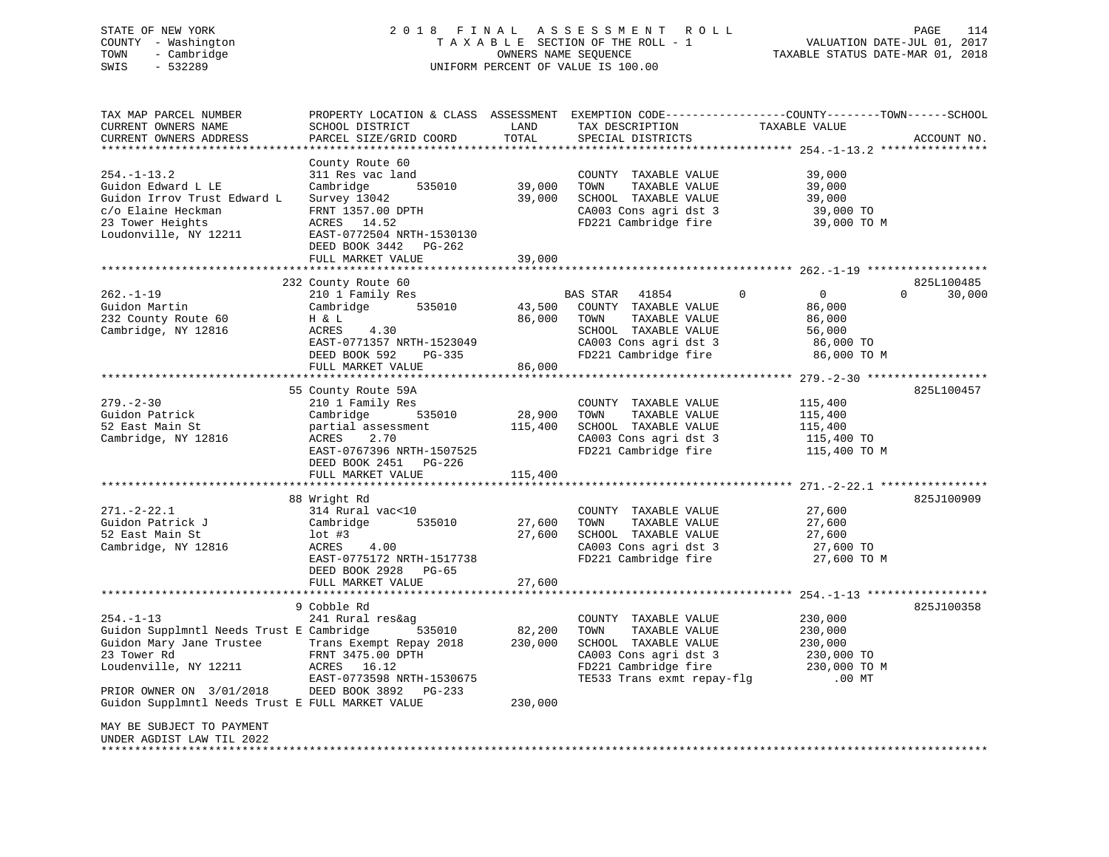# STATE OF NEW YORK 2 0 1 8 F I N A L A S S E S S M E N T R O L L PAGE 114 COUNTY - Washington T A X A B L E SECTION OF THE ROLL - 1 VALUATION DATE-JUL 01, 2017 TOWN - Cambridge OWNERS NAME SEQUENCE TAXABLE STATUS DATE-MAR 01, 2018 SWIS - 532289 UNIFORM PERCENT OF VALUE IS 100.00

| TAX MAP PARCEL NUMBER<br>CURRENT OWNERS NAME                           | PROPERTY LOCATION & CLASS ASSESSMENT<br>SCHOOL DISTRICT                    | LAND                       | TAX DESCRIPTION                                                       | EXEMPTION CODE-----------------COUNTY-------TOWN------SCHOOL<br>TAXABLE VALUE |                    |
|------------------------------------------------------------------------|----------------------------------------------------------------------------|----------------------------|-----------------------------------------------------------------------|-------------------------------------------------------------------------------|--------------------|
| CURRENT OWNERS ADDRESS                                                 | PARCEL SIZE/GRID COORD<br>**************                                   | TOTAL<br>* * * * * * * * * | SPECIAL DISTRICTS                                                     |                                                                               | ACCOUNT NO.        |
|                                                                        |                                                                            |                            |                                                                       | ********************************* 254.-1-13.2 ****************                |                    |
| $254. - 1 - 13.2$<br>Guidon Edward L LE<br>Guidon Irrov Trust Edward L | County Route 60<br>311 Res vac land<br>Cambridge<br>535010<br>Survey 13042 | 39,000<br>39,000           | COUNTY TAXABLE VALUE<br>TOWN<br>TAXABLE VALUE<br>SCHOOL TAXABLE VALUE | 39,000<br>39,000<br>39,000                                                    |                    |
| c/o Elaine Heckman<br>23 Tower Heights                                 | FRNT 1357.00 DPTH<br>ACRES 14.52                                           |                            | CA003 Cons agri dst 3<br>FD221 Cambridge fire                         | 39,000 TO<br>39,000 TO M                                                      |                    |
| Loudonville, NY 12211                                                  | EAST-0772504 NRTH-1530130<br>DEED BOOK 3442<br>PG-262<br>FULL MARKET VALUE | 39,000                     |                                                                       |                                                                               |                    |
|                                                                        | ************************                                                   | * * * * * * * * * * * * *  |                                                                       |                                                                               |                    |
|                                                                        | 232 County Route 60                                                        |                            |                                                                       |                                                                               | 825L100485         |
| $262. - 1 - 19$<br>Guidon Martin                                       | 210 1 Family Res<br>535010<br>Cambridge                                    | 43,500                     | BAS STAR<br>41854<br>COUNTY TAXABLE VALUE                             | $\Omega$<br>$\Omega$<br>86,000                                                | $\Omega$<br>30,000 |
| 232 County Route 60                                                    | H & L                                                                      | 86,000                     | TOWN<br>TAXABLE VALUE                                                 | 86,000                                                                        |                    |
| Cambridge, NY 12816                                                    | ACRES<br>4.30                                                              |                            | SCHOOL TAXABLE VALUE                                                  | 56,000                                                                        |                    |
|                                                                        | EAST-0771357 NRTH-1523049                                                  |                            | CA003 Cons agri dst 3                                                 | 86,000 TO                                                                     |                    |
|                                                                        | DEED BOOK 592<br>PG-335                                                    |                            | FD221 Cambridge fire                                                  | 86,000 TO M                                                                   |                    |
|                                                                        | FULL MARKET VALUE                                                          | 86,000                     |                                                                       |                                                                               |                    |
|                                                                        | ******************                                                         | **********                 |                                                                       | ************** 279. -2-30 *******************                                 |                    |
|                                                                        | 55 County Route 59A                                                        |                            |                                                                       |                                                                               | 825L100457         |
| $279. - 2 - 30$                                                        | 210 1 Family Res                                                           |                            | COUNTY TAXABLE VALUE                                                  | 115,400                                                                       |                    |
| Guidon Patrick                                                         | Cambridge<br>535010                                                        | 28,900                     | TOWN<br>TAXABLE VALUE                                                 | 115,400                                                                       |                    |
| 52 East Main St                                                        | partial assessment                                                         | 115,400                    | SCHOOL TAXABLE VALUE                                                  | 115,400                                                                       |                    |
| Cambridge, NY 12816                                                    | ACRES<br>2.70                                                              |                            | CA003 Cons agri dst 3                                                 | 115,400 TO                                                                    |                    |
|                                                                        | EAST-0767396 NRTH-1507525                                                  |                            | FD221 Cambridge fire                                                  | 115,400 TO M                                                                  |                    |
|                                                                        | DEED BOOK 2451<br>PG-226                                                   |                            |                                                                       |                                                                               |                    |
|                                                                        | FULL MARKET VALUE                                                          | 115,400                    |                                                                       |                                                                               |                    |
|                                                                        |                                                                            |                            |                                                                       | ************************ 271.-2-22.1 ****************                         |                    |
| $271. - 2 - 22.1$                                                      | 88 Wright Rd<br>314 Rural vac<10                                           |                            |                                                                       |                                                                               | 825J100909         |
| Guidon Patrick J                                                       | Cambridge<br>535010                                                        | 27,600                     | COUNTY TAXABLE VALUE<br>TOWN<br>TAXABLE VALUE                         | 27,600<br>27,600                                                              |                    |
| 52 East Main St                                                        | $1$ ot #3                                                                  | 27,600                     | SCHOOL TAXABLE VALUE                                                  | 27,600                                                                        |                    |
|                                                                        | ACRES                                                                      |                            | CA003 Cons agri dst 3                                                 |                                                                               |                    |
| Cambridge, NY 12816                                                    | 4.00<br>EAST-0775172 NRTH-1517738                                          |                            | FD221 Cambridge fire                                                  | 27,600 TO<br>27,600 TO M                                                      |                    |
|                                                                        | DEED BOOK 2928<br>$PG-65$                                                  |                            |                                                                       |                                                                               |                    |
|                                                                        | FULL MARKET VALUE                                                          | 27,600                     |                                                                       |                                                                               |                    |
|                                                                        |                                                                            |                            |                                                                       |                                                                               |                    |
|                                                                        | 9 Cobble Rd                                                                |                            |                                                                       |                                                                               | 825J100358         |
| $254. -1 - 13$                                                         | 241 Rural res&ag                                                           |                            | COUNTY TAXABLE VALUE                                                  | 230,000                                                                       |                    |
| Guidon Supplmntl Needs Trust E Cambridge                               | 535010                                                                     | 82,200                     | TOWN<br>TAXABLE VALUE                                                 | 230,000                                                                       |                    |
| Guidon Mary Jane Trustee                                               | Trans Exempt Repay 2018                                                    | 230,000                    | SCHOOL TAXABLE VALUE                                                  | 230,000                                                                       |                    |
| 23 Tower Rd                                                            | FRNT 3475.00 DPTH                                                          |                            | CA003 Cons agri dst 3                                                 | 230,000 TO                                                                    |                    |
| Loudenville, NY 12211                                                  | ACRES 16.12                                                                |                            | FD221 Cambridge fire                                                  | 230,000 TO M                                                                  |                    |
|                                                                        | EAST-0773598 NRTH-1530675                                                  |                            | TE533 Trans exmt repay-flg                                            | $.00$ MT                                                                      |                    |
| PRIOR OWNER ON 3/01/2018                                               | DEED BOOK 3892 PG-233                                                      |                            |                                                                       |                                                                               |                    |
| Guidon Supplmntl Needs Trust E FULL MARKET VALUE                       |                                                                            | 230,000                    |                                                                       |                                                                               |                    |
|                                                                        |                                                                            |                            |                                                                       |                                                                               |                    |
| MAY BE SUBJECT TO PAYMENT                                              |                                                                            |                            |                                                                       |                                                                               |                    |
| UNDER AGDIST LAW TIL 2022                                              |                                                                            |                            |                                                                       |                                                                               |                    |
|                                                                        |                                                                            |                            |                                                                       |                                                                               |                    |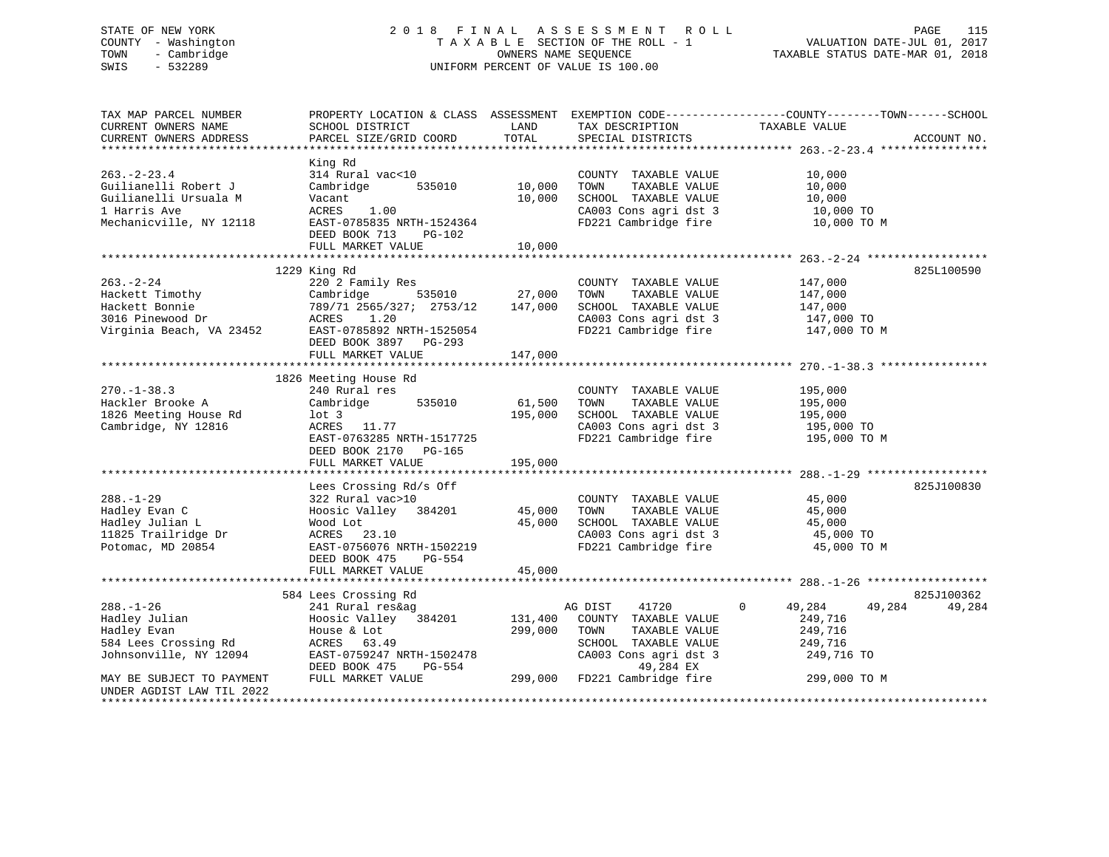# STATE OF NEW YORK 2 0 1 8 F I N A L A S S E S S M E N T R O L L PAGE 115 COUNTY - Washington T A X A B L E SECTION OF THE ROLL - 1 VALUATION DATE-JUL 01, 2017 TOWN - Cambridge OWNERS NAME SEQUENCE TAXABLE STATUS DATE-MAR 01, 2018 SWIS - 532289 UNIFORM PERCENT OF VALUE IS 100.00

| TAX MAP PARCEL NUMBER                              | PROPERTY LOCATION & CLASS ASSESSMENT |               |                                               | EXEMPTION CODE-----------------COUNTY-------TOWN------SCHOOL |             |
|----------------------------------------------------|--------------------------------------|---------------|-----------------------------------------------|--------------------------------------------------------------|-------------|
| CURRENT OWNERS NAME                                | SCHOOL DISTRICT                      | LAND          | TAX DESCRIPTION                               | TAXABLE VALUE                                                |             |
| CURRENT OWNERS ADDRESS                             | PARCEL SIZE/GRID COORD               | TOTAL         | SPECIAL DISTRICTS                             |                                                              | ACCOUNT NO. |
|                                                    |                                      |               |                                               |                                                              |             |
|                                                    | King Rd                              |               |                                               |                                                              |             |
| $263. - 2 - 23.4$                                  | 314 Rural vac<10                     |               | COUNTY TAXABLE VALUE                          | 10,000                                                       |             |
| Guilianelli Robert J                               | Cambridge<br>535010                  | 10,000        | TOWN<br>TAXABLE VALUE                         | 10,000                                                       |             |
| Guilianelli Ursuala M                              | Vacant                               | 10,000        | SCHOOL TAXABLE VALUE                          | 10,000                                                       |             |
| 1 Harris Ave                                       | ACRES<br>1.00                        |               | CA003 Cons agri dst 3                         | 10,000 TO                                                    |             |
| Mechanicville, NY 12118                            | EAST-0785835 NRTH-1524364            |               | FD221 Cambridge fire                          | 10,000 TO M                                                  |             |
|                                                    | DEED BOOK 713<br>$PG-102$            |               |                                               |                                                              |             |
|                                                    | FULL MARKET VALUE                    | 10,000        |                                               |                                                              |             |
|                                                    |                                      |               |                                               |                                                              |             |
|                                                    | 1229 King Rd                         |               |                                               |                                                              | 825L100590  |
| $263. - 2 - 24$                                    | 220 2 Family Res                     |               | COUNTY TAXABLE VALUE                          | 147,000                                                      |             |
|                                                    |                                      | 535010 27,000 | TAXABLE VALUE<br>TOWN                         | 147,000                                                      |             |
|                                                    |                                      |               | SCHOOL TAXABLE VALUE                          | 147,000                                                      |             |
|                                                    |                                      |               | CA003 Cons agri dst 3                         | 147,000 TO                                                   |             |
|                                                    |                                      |               | FD221 Cambridge fire                          | 147,000 TO M                                                 |             |
|                                                    | DEED BOOK 3897 PG-293                |               |                                               |                                                              |             |
|                                                    | FULL MARKET VALUE                    | 147,000       |                                               |                                                              |             |
|                                                    |                                      |               |                                               |                                                              |             |
|                                                    | 1826 Meeting House Rd                |               |                                               |                                                              |             |
|                                                    |                                      |               |                                               |                                                              |             |
| $270. - 1 - 38.3$                                  | 240 Rural res                        |               | COUNTY TAXABLE VALUE                          | 195,000                                                      |             |
| Hackler Brooke A                                   | 535010<br>Cambridge                  | 61,500        | TAXABLE VALUE<br>TOWN                         | 195,000                                                      |             |
| 1826 Meeting House Rd                              | $1$ ot 3                             | 195,000       | SCHOOL TAXABLE VALUE                          | 195,000                                                      |             |
| Cambridge, NY 12816                                | ACRES 11.77                          |               | CA003 Cons agri dst 3<br>FD221 Cambridge fire | 195,000 TO                                                   |             |
|                                                    | EAST-0763285 NRTH-1517725            |               |                                               | 195,000 TO M                                                 |             |
|                                                    | DEED BOOK 2170 PG-165                |               |                                               |                                                              |             |
|                                                    | FULL MARKET VALUE                    | 195,000       |                                               |                                                              |             |
|                                                    |                                      |               |                                               |                                                              |             |
|                                                    | Lees Crossing Rd/s Off               |               |                                               |                                                              | 825J100830  |
| $288. - 1 - 29$                                    | 322 Rural vac>10                     |               | COUNTY TAXABLE VALUE                          | 45,000                                                       |             |
| Hadley Evan C                                      | Hoosic Valley 384201 45,000          |               | TOWN<br>TAXABLE VALUE                         | 45,000                                                       |             |
| Hadley Julian L                                    | Wood Lot                             | 45,000        | SCHOOL TAXABLE VALUE                          | 45,000                                                       |             |
| 11825 Trailridge Dr                                | ACRES 23.10                          |               | CA003 Cons agri dst 3                         | 45,000 TO                                                    |             |
| Potomac, MD 20854                                  | EAST-0756076 NRTH-1502219            |               | FD221 Cambridge fire                          | 45,000 TO M                                                  |             |
|                                                    | DEED BOOK 475<br>PG-554              |               |                                               |                                                              |             |
|                                                    | FULL MARKET VALUE                    | 45,000        |                                               |                                                              |             |
|                                                    |                                      |               |                                               |                                                              |             |
|                                                    | 584 Lees Crossing Rd                 |               |                                               |                                                              | 825J100362  |
| $288. - 1 - 26$                                    | 241 Rural res&ag                     |               | AG DIST<br>41720                              | 49,284<br>$\Omega$<br>49,284                                 | 49,284      |
| Hadley Julian                                      | Hoosic Valley 384201                 | 131,400       | COUNTY TAXABLE VALUE                          | 249,716                                                      |             |
| Hadley Evan                                        | House & Lot                          | 299,000       | TOWN<br>TAXABLE VALUE                         | 249,716                                                      |             |
| 584 Lees Crossing Rd                               | ACRES<br>63.49                       |               | SCHOOL TAXABLE VALUE                          | 249,716                                                      |             |
| Johnsonville, NY 12094                             |                                      |               |                                               |                                                              |             |
|                                                    | EAST-0759247 NRTH-1502478            |               | CA003 Cons agri dst 3                         | 249,716 TO                                                   |             |
|                                                    | DEED BOOK 475<br>PG-554              |               | 49,284 EX                                     |                                                              |             |
| MAY BE SUBJECT TO PAYMENT                          | FULL MARKET VALUE                    |               | 299,000 FD221 Cambridge fire                  | 299,000 TO M                                                 |             |
| UNDER AGDIST LAW TIL 2022<br>********************* |                                      |               |                                               |                                                              |             |
|                                                    |                                      |               |                                               |                                                              |             |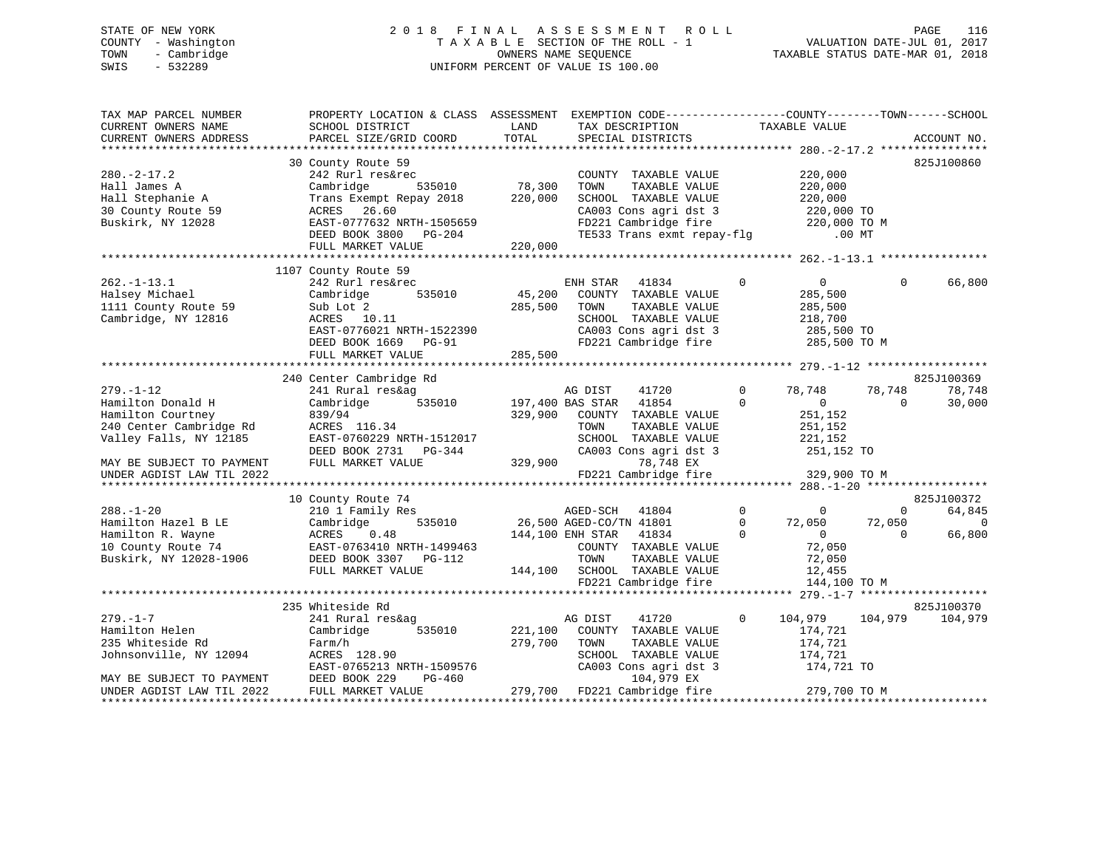# STATE OF NEW YORK 2 0 1 8 F I N A L A S S E S S M E N T R O L L PAGE 116 COUNTY - Washington T A X A B L E SECTION OF THE ROLL - 1 VALUATION DATE-JUL 01, 2017 TOWN - Cambridge OWNERS NAME SEQUENCE TAXABLE STATUS DATE-MAR 01, 2018 SWIS - 532289 UNIFORM PERCENT OF VALUE IS 100.00

| TAX MAP PARCEL NUMBER<br>CURRENT OWNERS NAME<br>CURRENT OWNERS ADDRESS | PROPERTY LOCATION & CLASS ASSESSMENT<br>SCHOOL DISTRICT<br>PARCEL SIZE/GRID COORD | LAND<br>TOTAL    | EXEMPTION CODE-----------------COUNTY-------TOWN------SCHOOL<br>TAX DESCRIPTION<br>SPECIAL DISTRICTS |                   | TAXABLE VALUE      |                | ACCOUNT NO.    |
|------------------------------------------------------------------------|-----------------------------------------------------------------------------------|------------------|------------------------------------------------------------------------------------------------------|-------------------|--------------------|----------------|----------------|
|                                                                        |                                                                                   |                  |                                                                                                      |                   |                    |                |                |
|                                                                        | 30 County Route 59                                                                |                  |                                                                                                      |                   |                    |                | 825J100860     |
| $280. - 2 - 17.2$                                                      | 242 Rurl res&rec                                                                  |                  | COUNTY TAXABLE VALUE                                                                                 |                   | 220,000            |                |                |
| Hall James A                                                           | Cambridge<br>535010                                                               | 78,300           | TOWN<br>TAXABLE VALUE                                                                                |                   | 220,000            |                |                |
| Hall Stephanie A                                                       | Trans Exempt Repay 2018                                                           | 220,000          | SCHOOL TAXABLE VALUE                                                                                 |                   | 220,000            |                |                |
| 30 County Route 59                                                     | ACRES 26.60                                                                       |                  | CA003 Cons agri dst 3                                                                                |                   | 220,000 TO         |                |                |
| Buskirk, NY 12028                                                      | EAST-0777632 NRTH-1505659                                                         |                  | FD221 Cambridge fire<br>TE533 Trans                                                                  |                   | 220,000 TO M       |                |                |
|                                                                        | DEED BOOK 3800 PG-204                                                             |                  | TE533 Trans exmt repay-flg                                                                           |                   | $.00$ MT           |                |                |
|                                                                        | FULL MARKET VALUE                                                                 | 220,000          |                                                                                                      |                   |                    |                |                |
|                                                                        |                                                                                   |                  |                                                                                                      |                   |                    |                |                |
|                                                                        | 1107 County Route 59                                                              |                  |                                                                                                      |                   |                    |                |                |
| $262. -1 - 13.1$                                                       | 242 Rurl res&rec                                                                  |                  | ENH STAR<br>41834                                                                                    | $\mathbf{0}$      | 0                  | $\Omega$       | 66,800         |
| Halsey Michael                                                         | 535010<br>Cambridge                                                               | 45,200           | COUNTY TAXABLE VALUE                                                                                 |                   | 285,500            |                |                |
| 1111 County Route 59                                                   | Sub Lot 2                                                                         | 285,500          | TAXABLE VALUE<br>TOWN                                                                                |                   | 285,500            |                |                |
| Cambridge, NY 12816                                                    | ACRES 10.11                                                                       |                  | SCHOOL TAXABLE VALUE                                                                                 |                   | 218,700            |                |                |
|                                                                        | EAST-0776021 NRTH-1522390                                                         |                  | CA003 Cons agri dst 3                                                                                |                   | 285,500 TO         |                |                |
|                                                                        | DEED BOOK 1669 PG-91                                                              |                  | FD221 Cambridge fire                                                                                 |                   | 285,500 TO M       |                |                |
|                                                                        | FULL MARKET VALUE                                                                 | 285,500          |                                                                                                      |                   |                    |                |                |
|                                                                        | 240 Center Cambridge Rd                                                           |                  |                                                                                                      |                   |                    |                | 825J100369     |
| $279. - 1 - 12$                                                        | 241 Rural res&ag                                                                  |                  | AG DIST<br>41720                                                                                     | $\Omega$          | 78,748             | 78,748         | 78,748         |
| Hamilton Donald H                                                      | 535010<br>Cambridge                                                               | 197,400 BAS STAR | 41854                                                                                                | $\Omega$          | $\overline{0}$     | $\Omega$       | 30,000         |
| Hamilton Courtney                                                      | 839/94                                                                            | 329,900          | COUNTY TAXABLE VALUE                                                                                 |                   | 251,152            |                |                |
| 240 Center Cambridge Rd                                                | ACRES 116.34                                                                      |                  | TOWN<br>TAXABLE VALUE                                                                                |                   | 251,152            |                |                |
| Valley Falls, NY 12185                                                 | EAST-0760229 NRTH-1512017                                                         |                  | SCHOOL TAXABLE VALUE                                                                                 |                   | 221,152            |                |                |
|                                                                        | DEED BOOK 2731 PG-344                                                             |                  | CA003 Cons agri dst 3                                                                                |                   | 251,152 TO         |                |                |
| MAY BE SUBJECT TO PAYMENT                                              | FULL MARKET VALUE                                                                 | 329,900          | 78,748 EX                                                                                            |                   |                    |                |                |
| UNDER AGDIST LAW TIL 2022                                              |                                                                                   |                  | FD221 Cambridge fire                                                                                 |                   | 329,900 TO M       |                |                |
|                                                                        |                                                                                   |                  |                                                                                                      |                   |                    |                |                |
|                                                                        | 10 County Route 74                                                                |                  |                                                                                                      |                   |                    |                | 825J100372     |
| $288. - 1 - 20$                                                        | 210 1 Family Res                                                                  |                  | 41804<br>AGED-SCH                                                                                    | $0 \qquad \qquad$ | $\overline{0}$     | $\overline{0}$ | 64,845         |
| Hamilton Hazel B LE                                                    | 535010<br>Cambridge                                                               |                  | 26,500 AGED-CO/TN 41801                                                                              | $\overline{0}$    | 72,050             | 72,050         | $\overline{0}$ |
| Hamilton R. Wayne                                                      | ACRES<br>0.48                                                                     |                  | 144,100 ENH STAR<br>41834                                                                            | $\Omega$          | $\overline{0}$     | $\Omega$       | 66,800         |
| 10 County Route 74                                                     | EAST-0763410 NRTH-1499463                                                         |                  | COUNTY TAXABLE VALUE                                                                                 |                   | 72,050             |                |                |
| Buskirk, NY 12028-1906                                                 | DEED BOOK 3307 PG-112                                                             |                  | TOWN<br>TAXABLE VALUE                                                                                |                   | 72,050             |                |                |
|                                                                        | FULL MARKET VALUE                                                                 |                  | 144,100 SCHOOL TAXABLE VALUE                                                                         |                   | 12,455             |                |                |
|                                                                        |                                                                                   |                  | FD221 Cambridge fire                                                                                 |                   | 144,100 TO M       |                |                |
|                                                                        |                                                                                   |                  |                                                                                                      |                   |                    |                | 825J100370     |
|                                                                        | 235 Whiteside Rd                                                                  |                  |                                                                                                      |                   |                    |                |                |
| $279. - 1 - 7$<br>Hamilton Helen                                       | 241 Rural res&ag<br>Cambridge<br>535010                                           | 221,100          | AG DIST<br>41720<br>COUNTY TAXABLE VALUE                                                             | $\mathbf{0}$      | 104,979<br>174,721 | 104,979        | 104,979        |
| 235 Whiteside Rd                                                       | Farm/h                                                                            | 279,700          | TOWN<br>TAXABLE VALUE                                                                                |                   | 174,721            |                |                |
| Johnsonville, NY 12094                                                 | ACRES 128.90                                                                      |                  | SCHOOL TAXABLE VALUE                                                                                 |                   | 174,721            |                |                |
|                                                                        | EAST-0765213 NRTH-1509576                                                         |                  | CA003 Cons agri dst 3                                                                                |                   | 174,721 TO         |                |                |
| MAY BE SUBJECT TO PAYMENT                                              | DEED BOOK 229<br>PG-460                                                           |                  | 104,979 EX                                                                                           |                   |                    |                |                |
| UNDER AGDIST LAW TIL 2022                                              | FULL MARKET VALUE                                                                 |                  | 279,700 FD221 Cambridge fire                                                                         |                   | 279,700 TO M       |                |                |
|                                                                        |                                                                                   |                  |                                                                                                      |                   |                    |                |                |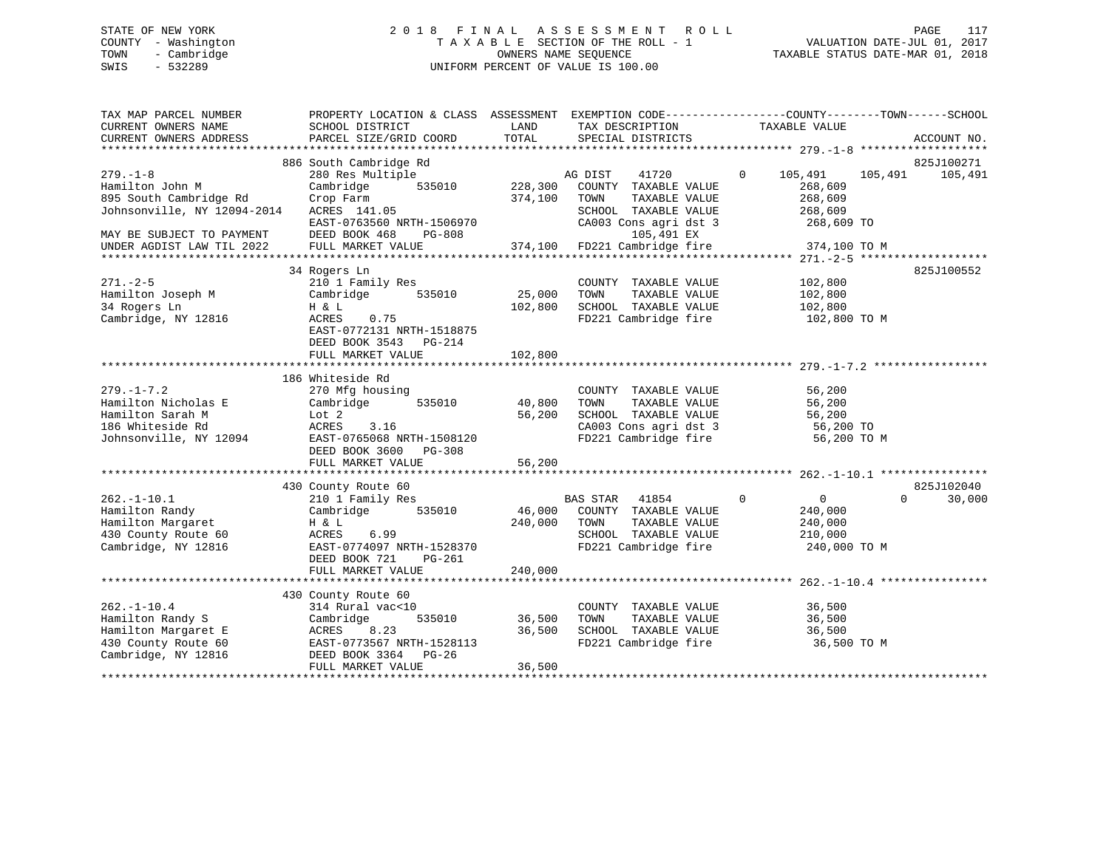# STATE OF NEW YORK 2 0 1 8 F I N A L A S S E S S M E N T R O L L PAGE 117 COUNTY - Washington T A X A B L E SECTION OF THE ROLL - 1 VALUATION DATE-JUL 01, 2017 TOWN - Cambridge OWNERS NAME SEQUENCE TAXABLE STATUS DATE-MAR 01, 2018 SWIS - 532289 UNIFORM PERCENT OF VALUE IS 100.00

| TAX MAP PARCEL NUMBER<br>CURRENT OWNERS NAME                                                               | PROPERTY LOCATION & CLASS ASSESSMENT EXEMPTION CODE----------------COUNTY-------TOWN------SCHOOL<br>SCHOOL DISTRICT                          | LAND                         | TAX DESCRIPTION                                                                                                        | TAXABLE VALUE                                          |                                  |
|------------------------------------------------------------------------------------------------------------|----------------------------------------------------------------------------------------------------------------------------------------------|------------------------------|------------------------------------------------------------------------------------------------------------------------|--------------------------------------------------------|----------------------------------|
| CURRENT OWNERS ADDRESS<br>***********************************                                              | PARCEL SIZE/GRID COORD                                                                                                                       | TOTAL                        | SPECIAL DISTRICTS                                                                                                      |                                                        | ACCOUNT NO.                      |
| $279. - 1 - 8$                                                                                             | 886 South Cambridge Rd<br>280 Res Multiple                                                                                                   |                              | 41720<br>AG DIST                                                                                                       | $\mathbf{0}$<br>105,491<br>105,491                     | 825J100271<br>105,491            |
| Hamilton John M<br>895 South Cambridge Rd<br>Johnsonville, NY 12094-2014                                   | Cambridge<br>535010<br>Crop Farm<br>ACRES 141.05<br>EAST-0763560 NRTH-1506970                                                                | 228,300<br>374,100           | COUNTY TAXABLE VALUE<br>TOWN<br>TAXABLE VALUE<br>SCHOOL TAXABLE VALUE<br>CA003 Cons agri dst 3                         | 268,609<br>268,609<br>268,609<br>268,609 TO            |                                  |
| MAY BE SUBJECT TO PAYMENT<br>UNDER AGDIST LAW TIL 2022                                                     | DEED BOOK 468<br><b>PG-808</b><br>FULL MARKET VALUE                                                                                          | 374,100                      | 105,491 EX<br>FD221 Cambridge fire                                                                                     | 374,100 TO M                                           |                                  |
|                                                                                                            | 34 Rogers Ln                                                                                                                                 |                              |                                                                                                                        |                                                        | 825J100552                       |
| $271. - 2 - 5$<br>Hamilton Joseph M<br>34 Rogers Ln<br>Cambridge, NY 12816                                 | 210 1 Family Res<br>Cambridge<br>535010<br>H & L<br>ACRES<br>0.75<br>EAST-0772131 NRTH-1518875<br>DEED BOOK 3543 PG-214<br>FULL MARKET VALUE | 25,000<br>102,800<br>102,800 | COUNTY TAXABLE VALUE<br>TOWN<br>TAXABLE VALUE<br>SCHOOL TAXABLE VALUE<br>FD221 Cambridge fire                          | 102,800<br>102,800<br>102,800<br>102,800 TO M          |                                  |
|                                                                                                            |                                                                                                                                              |                              |                                                                                                                        |                                                        |                                  |
| $279. - 1 - 7.2$<br>Hamilton Nicholas E<br>Hamilton Sarah M<br>186 Whiteside Rd<br>Johnsonville, NY 12094  | 186 Whiteside Rd<br>270 Mfg housing<br>535010<br>Cambridge<br>Lot 2<br>ACRES<br>3.16<br>EAST-0765068 NRTH-1508120<br>DEED BOOK 3600 PG-308   | 40,800<br>56,200             | COUNTY TAXABLE VALUE<br>TOWN<br>TAXABLE VALUE<br>SCHOOL TAXABLE VALUE<br>CA003 Cons agri dst 3<br>FD221 Cambridge fire | 56,200<br>56,200<br>56,200<br>56,200 TO<br>56,200 TO M |                                  |
|                                                                                                            | FULL MARKET VALUE                                                                                                                            | 56,200                       |                                                                                                                        |                                                        |                                  |
| $262. - 1 - 10.1$                                                                                          | 430 County Route 60<br>210 1 Family Res                                                                                                      |                              | <b>BAS STAR</b><br>41854                                                                                               | $\mathbf{0}$<br>$\overline{0}$                         | 825J102040<br>$\Omega$<br>30,000 |
| Hamilton Randy<br>Hamilton Margaret<br>430 County Route 60<br>Cambridge, NY 12816                          | Cambridge<br>535010<br>H & L<br>ACRES<br>6.99<br>EAST-0774097 NRTH-1528370<br>DEED BOOK 721<br>PG-261<br>FULL MARKET VALUE                   | 46,000<br>240,000<br>240,000 | COUNTY TAXABLE VALUE<br>TOWN<br>TAXABLE VALUE<br>SCHOOL TAXABLE VALUE<br>FD221 Cambridge fire                          | 240,000<br>240,000<br>210,000<br>240,000 TO M          |                                  |
|                                                                                                            |                                                                                                                                              |                              |                                                                                                                        |                                                        |                                  |
| $262. - 1 - 10.4$<br>Hamilton Randy S<br>Hamilton Margaret E<br>430 County Route 60<br>Cambridge, NY 12816 | 430 County Route 60<br>314 Rural vac<10<br>535010<br>Cambridge<br>8.23<br>ACRES<br>EAST-0773567 NRTH-1528113<br>DEED BOOK 3364<br>$PG-26$    | 36,500<br>36,500             | COUNTY TAXABLE VALUE<br>TOWN<br>TAXABLE VALUE<br>SCHOOL TAXABLE VALUE<br>FD221 Cambridge fire                          | 36,500<br>36,500<br>36,500<br>36,500 TO M              |                                  |
|                                                                                                            | FULL MARKET VALUE                                                                                                                            | 36,500                       |                                                                                                                        |                                                        |                                  |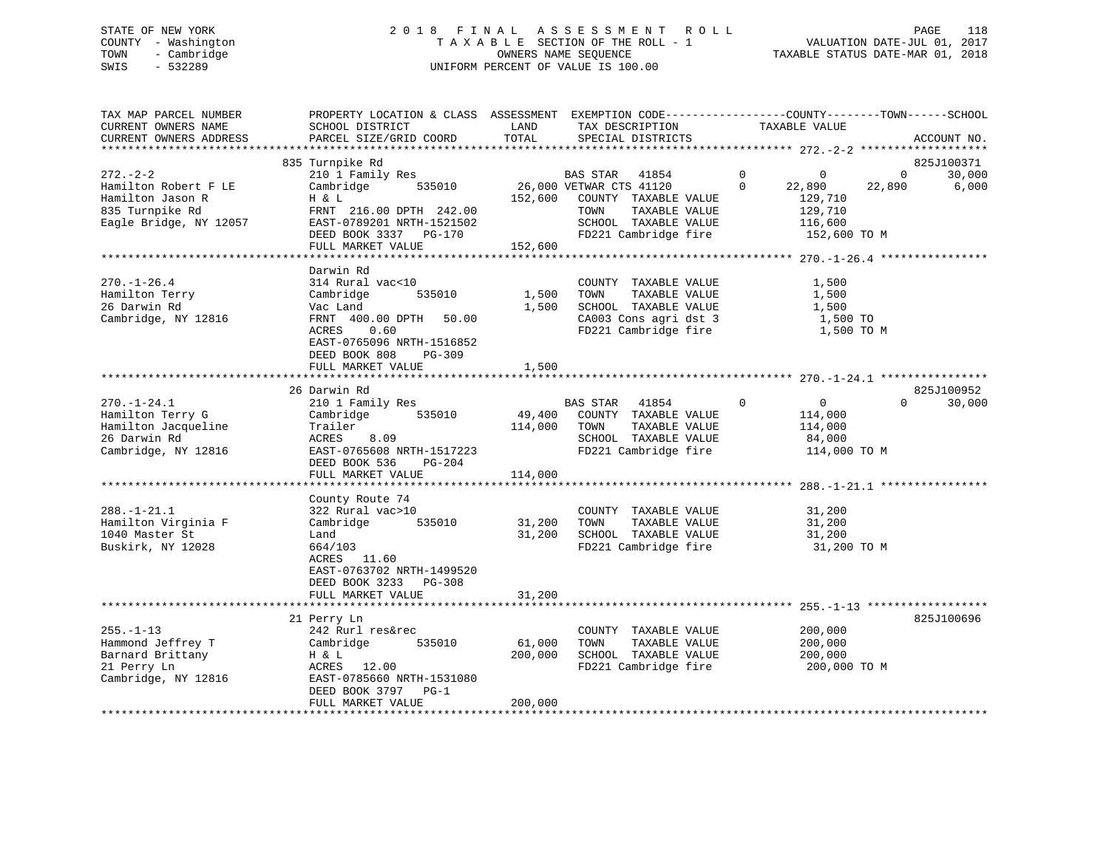# STATE OF NEW YORK 2 0 1 8 F I N A L A S S E S S M E N T R O L L PAGE 118 COUNTY - Washington T A X A B L E SECTION OF THE ROLL - 1 VALUATION DATE-JUL 01, 2017 TOWN - Cambridge OWNERS NAME SEQUENCE TAXABLE STATUS DATE-MAR 01, 2018 SWIS - 532289 UNIFORM PERCENT OF VALUE IS 100.00

| TAX MAP PARCEL NUMBER<br>CURRENT OWNERS NAME<br>CURRENT OWNERS ADDRESS                                 | PROPERTY LOCATION & CLASS ASSESSMENT<br>SCHOOL DISTRICT<br>PARCEL SIZE/GRID COORD                                                                | LAND<br>TOTAL                | EXEMPTION CODE-----------------COUNTY-------TOWN------SCHOOL<br>TAX DESCRIPTION<br>SPECIAL DISTRICTS                      | TAXABLE VALUE                                                                 | ACCOUNT NO.                              |
|--------------------------------------------------------------------------------------------------------|--------------------------------------------------------------------------------------------------------------------------------------------------|------------------------------|---------------------------------------------------------------------------------------------------------------------------|-------------------------------------------------------------------------------|------------------------------------------|
|                                                                                                        |                                                                                                                                                  |                              |                                                                                                                           |                                                                               |                                          |
|                                                                                                        | 835 Turnpike Rd                                                                                                                                  |                              |                                                                                                                           |                                                                               | 825J100371                               |
| $272 - 2 - 2$<br>Hamilton Robert F LE<br>Hamilton Jason R<br>835 Turnpike Rd<br>Eagle Bridge, NY 12057 | 210 1 Family Res<br>535010<br>Cambridge<br>H & L<br>FRNT 216.00 DPTH 242.00<br>EAST-0789201 NRTH-1521502                                         | 152,600                      | BAS STAR<br>41854<br>26,000 VETWAR CTS 41120<br>COUNTY TAXABLE VALUE<br>TAXABLE VALUE<br>TOWN<br>SCHOOL TAXABLE VALUE     | $\mathbf 0$<br>0<br>$\Omega$<br>22,890<br>129,710<br>129,710<br>116,600       | 30,000<br>$\mathbf 0$<br>22,890<br>6,000 |
|                                                                                                        | DEED BOOK 3337<br>PG-170                                                                                                                         |                              | FD221 Cambridge fire                                                                                                      | 152,600 TO M                                                                  |                                          |
|                                                                                                        | FULL MARKET VALUE                                                                                                                                | 152,600                      |                                                                                                                           |                                                                               |                                          |
|                                                                                                        |                                                                                                                                                  |                              |                                                                                                                           |                                                                               |                                          |
|                                                                                                        | Darwin Rd                                                                                                                                        |                              |                                                                                                                           |                                                                               |                                          |
| $270. - 1 - 26.4$<br>Hamilton Terry<br>26 Darwin Rd<br>Cambridge, NY 12816                             | 314 Rural vac<10<br>Cambridge<br>535010<br>Vac Land<br>FRNT 400.00 DPTH<br>50.00<br>0.60<br>ACRES<br>EAST-0765096 NRTH-1516852                   | 1,500<br>1,500               | COUNTY TAXABLE VALUE<br>TOWN<br>TAXABLE VALUE<br>SCHOOL TAXABLE VALUE<br>CA003 Cons agri dst 3<br>FD221 Cambridge fire    | 1,500<br>1,500<br>1,500<br>1,500 TO<br>1,500 TO M                             |                                          |
|                                                                                                        | DEED BOOK 808<br>$PG-309$                                                                                                                        |                              |                                                                                                                           |                                                                               |                                          |
|                                                                                                        | FULL MARKET VALUE                                                                                                                                | 1,500                        |                                                                                                                           |                                                                               |                                          |
|                                                                                                        |                                                                                                                                                  |                              |                                                                                                                           |                                                                               |                                          |
|                                                                                                        | 26 Darwin Rd                                                                                                                                     |                              |                                                                                                                           |                                                                               | 825J100952                               |
| $270. - 1 - 24.1$<br>Hamilton Terry G<br>Hamilton Jacqueline<br>26 Darwin Rd<br>Cambridge, NY 12816    | 210 1 Family Res<br>Cambridge<br>535010<br>Trailer<br>ACRES<br>8.09<br>EAST-0765608 NRTH-1517223<br>DEED BOOK 536<br>PG-204<br>FULL MARKET VALUE | 49,400<br>114,000<br>114,000 | <b>BAS STAR</b><br>41854<br>COUNTY TAXABLE VALUE<br>TAXABLE VALUE<br>TOWN<br>SCHOOL TAXABLE VALUE<br>FD221 Cambridge fire | $\mathbf 0$<br>$\overline{0}$<br>114,000<br>114,000<br>84,000<br>114,000 TO M | $\Omega$<br>30,000                       |
|                                                                                                        |                                                                                                                                                  |                              |                                                                                                                           |                                                                               |                                          |
| $288. - 1 - 21.1$<br>Hamilton Virginia F<br>1040 Master St<br>Buskirk, NY 12028                        | County Route 74<br>322 Rural vac>10<br>535010<br>Cambridge<br>Land<br>664/103<br>ACRES 11.60<br>EAST-0763702 NRTH-1499520                        | 31,200<br>31,200             | COUNTY TAXABLE VALUE<br>TAXABLE VALUE<br>TOWN<br>SCHOOL TAXABLE VALUE<br>FD221 Cambridge fire                             | 31,200<br>31,200<br>31,200<br>31,200 TO M                                     |                                          |
|                                                                                                        | DEED BOOK 3233<br>PG-308                                                                                                                         |                              |                                                                                                                           |                                                                               |                                          |
|                                                                                                        | FULL MARKET VALUE                                                                                                                                | 31,200                       |                                                                                                                           |                                                                               |                                          |
|                                                                                                        |                                                                                                                                                  |                              |                                                                                                                           |                                                                               |                                          |
| $255. - 1 - 13$<br>Hammond Jeffrey T<br>Barnard Brittany<br>21 Perry Ln<br>Cambridge, NY 12816         | 21 Perry Ln<br>242 Rurl res&rec<br>Cambridge<br>535010<br>H & L<br>ACRES 12.00<br>EAST-0785660 NRTH-1531080<br>DEED BOOK 3797 PG-1               | 61,000<br>200,000            | COUNTY TAXABLE VALUE<br>TOWN<br>TAXABLE VALUE<br>SCHOOL TAXABLE VALUE<br>FD221 Cambridge fire                             | 200,000<br>200,000<br>200,000<br>200,000 TO M                                 | 825J100696                               |
|                                                                                                        | FULL MARKET VALUE                                                                                                                                | 200,000                      |                                                                                                                           |                                                                               |                                          |
|                                                                                                        |                                                                                                                                                  |                              |                                                                                                                           |                                                                               |                                          |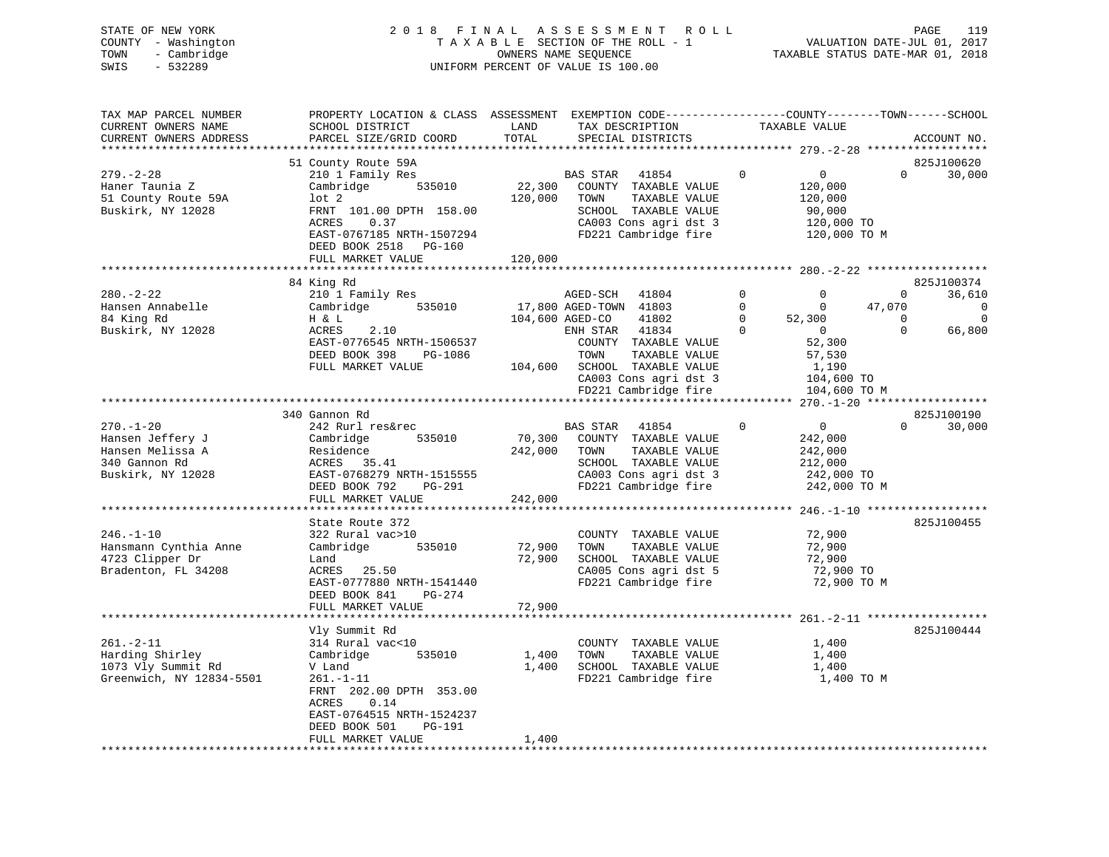|      | STATE OF NEW YORK   | 2018 FINAL ASSESSMENT ROLL         | 119<br>PAGE                      |
|------|---------------------|------------------------------------|----------------------------------|
|      | COUNTY - Washington | TAXABLE SECTION OF THE ROLL - 1    | VALUATION DATE-JUL 01, 2017      |
|      | TOWN - Cambridge    | OWNERS NAME SEOUENCE               | TAXABLE STATUS DATE-MAR 01, 2018 |
| SWIS | - 532289            | UNIFORM PERCENT OF VALUE IS 100.00 |                                  |
|      |                     |                                    |                                  |
|      |                     |                                    |                                  |

| TAX MAP PARCEL NUMBER<br>CURRENT OWNERS NAME<br>CURRENT OWNERS ADDRESS                        | PROPERTY LOCATION & CLASS ASSESSMENT EXEMPTION CODE---------------COUNTY-------TOWN-----SCHOOL<br>SCHOOL DISTRICT<br>PARCEL SIZE/GRID COORD                                               | LAND<br>TOTAL                | TAX DESCRIPTION<br>SPECIAL DISTRICTS                                                                                                                                                                                        | TAXABLE VALUE                                                                                                                                                           |                                                | ACCOUNT NO.                                 |
|-----------------------------------------------------------------------------------------------|-------------------------------------------------------------------------------------------------------------------------------------------------------------------------------------------|------------------------------|-----------------------------------------------------------------------------------------------------------------------------------------------------------------------------------------------------------------------------|-------------------------------------------------------------------------------------------------------------------------------------------------------------------------|------------------------------------------------|---------------------------------------------|
|                                                                                               |                                                                                                                                                                                           |                              |                                                                                                                                                                                                                             |                                                                                                                                                                         |                                                |                                             |
|                                                                                               | 51 County Route 59A                                                                                                                                                                       |                              |                                                                                                                                                                                                                             |                                                                                                                                                                         |                                                | 825J100620                                  |
| $279. - 2 - 28$<br>Haner Taunia Z<br>51 County Route 59A<br>Buskirk, NY 12028                 | 210 1 Family Res<br>Cambridge<br>535010<br>$1$ ot $2$<br>FRNT 101.00 DPTH 158.00<br>ACRES<br>0.37<br>EAST-0767185 NRTH-1507294<br>DEED BOOK 2518 PG-160<br>FULL MARKET VALUE              | 22,300<br>120,000<br>120,000 | BAS STAR 41854<br>COUNTY TAXABLE VALUE<br>TOWN<br>TAXABLE VALUE<br>SCHOOL TAXABLE VALUE<br>CA003 Cons agri dst 3<br>FD221 Cambridge fire                                                                                    | $\mathbf{0}$<br>$\Omega$<br>120,000<br>120,000<br>90,000<br>120,000 TO<br>120,000 TO M                                                                                  | $\Omega$                                       | 30,000                                      |
|                                                                                               |                                                                                                                                                                                           |                              |                                                                                                                                                                                                                             |                                                                                                                                                                         |                                                |                                             |
|                                                                                               | 84 King Rd                                                                                                                                                                                |                              |                                                                                                                                                                                                                             |                                                                                                                                                                         |                                                | 825J100374                                  |
| $280. - 2 - 22$<br>Hansen Annabelle<br>84 King Rd<br>Buskirk, NY 12028                        | 210 1 Family Res<br>535010<br>Cambridge<br>H & L<br>ACRES<br>2.10<br>EAST-0776545 NRTH-1506537<br>DEED BOOK 398<br>PG-1086<br>FULL MARKET VALUE                                           |                              | AGED-SCH<br>41804<br>17,800 AGED-TOWN 41803<br>104,600 AGED-CO<br>41802<br>ENH STAR 41834<br>COUNTY TAXABLE VALUE<br>TOWN<br>TAXABLE VALUE<br>104,600 SCHOOL TAXABLE VALUE<br>CA003 Cons agri dst 3<br>FD221 Cambridge fire | $\mathbf 0$<br>$\mathbf 0$<br>$\mathbf 0$<br>$\mathbf 0$<br>$\Omega$<br>52,300<br>$\Omega$<br>$\overline{0}$<br>52,300<br>57,530<br>1,190<br>104,600 TO<br>104,600 TO M | $\mathbf{0}$<br>47,070<br>$\Omega$<br>$\Omega$ | 36,610<br>$\mathbf 0$<br>$\Omega$<br>66,800 |
|                                                                                               |                                                                                                                                                                                           |                              |                                                                                                                                                                                                                             |                                                                                                                                                                         |                                                |                                             |
|                                                                                               | 340 Gannon Rd                                                                                                                                                                             |                              |                                                                                                                                                                                                                             |                                                                                                                                                                         |                                                | 825J100190                                  |
| $270. - 1 - 20$<br>Hansen Jeffery J<br>Hansen Melissa A<br>340 Gannon Rd<br>Buskirk, NY 12028 | 242 Rurl res&rec<br>Cambridge<br>535010<br>Residence<br>ACRES 35.41<br>EAST-0768279 NRTH-1515555<br>DEED BOOK 792 PG-291<br>FULL MARKET VALUE                                             | 70,300<br>242,000<br>242,000 | BAS STAR 41854<br>COUNTY TAXABLE VALUE<br>TAXABLE VALUE<br>TOWN<br>SCHOOL TAXABLE VALUE<br>CA003 Cons agri dst 3<br>FD221 Cambridge fire                                                                                    | $\Omega$<br>$\overline{0}$<br>242,000<br>242,000<br>212,000<br>242,000 TO<br>242,000 TO M                                                                               | $\Omega$                                       | 30,000                                      |
|                                                                                               | * * * * * * * * * * * * * * * * * * * *                                                                                                                                                   | ***************              |                                                                                                                                                                                                                             |                                                                                                                                                                         |                                                |                                             |
| $246. - 1 - 10$<br>Hansmann Cynthia Anne<br>4723 Clipper Dr<br>Bradenton, FL 34208            | State Route 372<br>322 Rural vac>10<br>535010<br>Cambridge<br>Land<br>ACRES 25.50<br>EAST-0777880 NRTH-1541440<br>DEED BOOK 841<br>PG-274<br>FULL MARKET VALUE                            | 72,900<br>72,900<br>72,900   | COUNTY TAXABLE VALUE<br>TAXABLE VALUE<br>TOWN<br>SCHOOL TAXABLE VALUE<br>CA005 Cons agri dst 5<br>FD221 Cambridge fire                                                                                                      | 72,900<br>72,900<br>72,900<br>72,900 TO<br>72,900 TO M                                                                                                                  |                                                | 825J100455                                  |
|                                                                                               |                                                                                                                                                                                           |                              |                                                                                                                                                                                                                             |                                                                                                                                                                         |                                                |                                             |
| $261. - 2 - 11$<br>Harding Shirley<br>1073 Vly Summit Rd<br>Greenwich, NY 12834-5501          | Vly Summit Rd<br>314 Rural vac<10<br>535010<br>Cambridge<br>V Land<br>$261. - 1 - 11$<br>FRNT 202.00 DPTH 353.00<br>ACRES<br>0.14<br>EAST-0764515 NRTH-1524237<br>DEED BOOK 501<br>PG-191 | 1,400<br>1,400               | COUNTY TAXABLE VALUE<br>TOWN<br>TAXABLE VALUE<br>SCHOOL TAXABLE VALUE<br>FD221 Cambridge fire                                                                                                                               | 1,400<br>1,400<br>1,400<br>1,400 TO M                                                                                                                                   |                                                | 825J100444                                  |
|                                                                                               | FULL MARKET VALUE                                                                                                                                                                         | 1,400                        |                                                                                                                                                                                                                             |                                                                                                                                                                         |                                                |                                             |

119<br>2017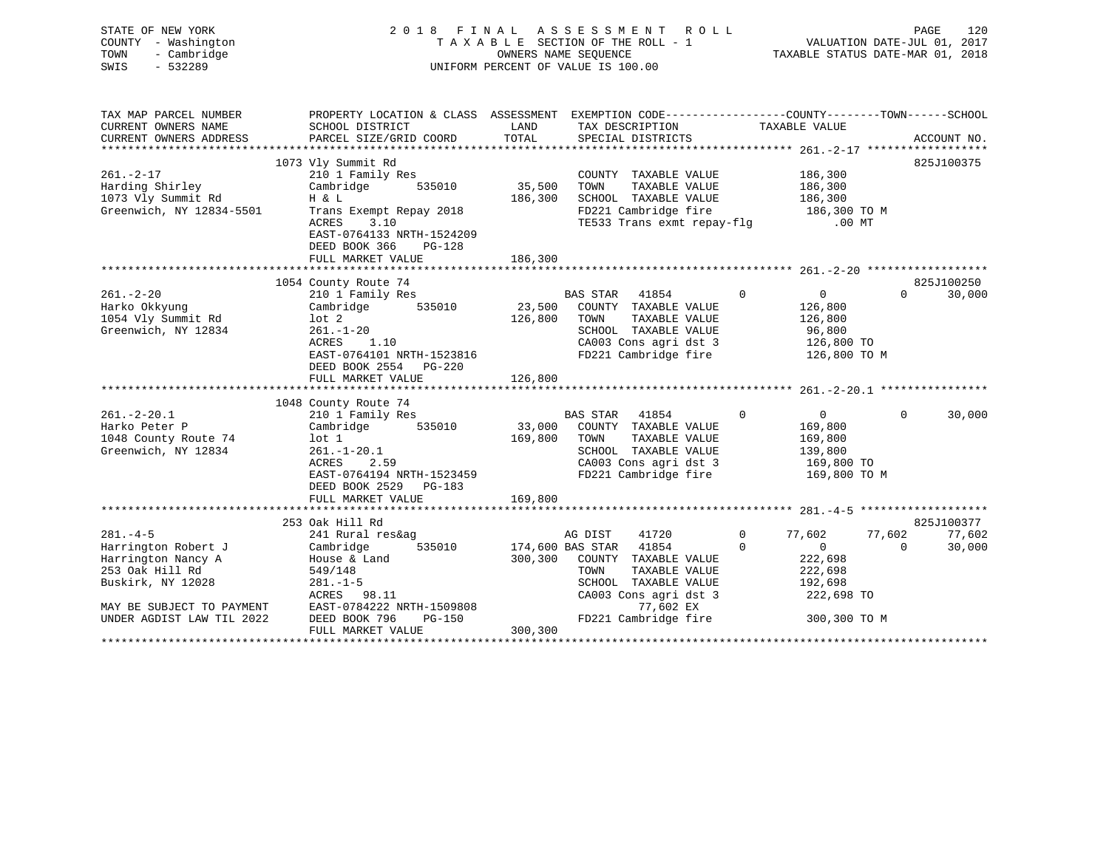| STATE OF NEW YORK<br>COUNTY - Washington<br>- Cambridge<br>TOWN<br>SWIS<br>$-532289$ |                                                                                                   |               | 2018 FINAL ASSESSMENT ROLL<br>TAXABLE SECTION OF THE ROLL - 1<br>OWNERS NAME SEQUENCE<br>UNIFORM PERCENT OF VALUE IS 100.00 |                                          | PAGE<br>120<br>VALUATION DATE-JUL 01, 2017<br>TAXABLE STATUS DATE-MAR 01, 2018 |
|--------------------------------------------------------------------------------------|---------------------------------------------------------------------------------------------------|---------------|-----------------------------------------------------------------------------------------------------------------------------|------------------------------------------|--------------------------------------------------------------------------------|
| TAX MAP PARCEL NUMBER                                                                | PROPERTY LOCATION & CLASS ASSESSMENT EXEMPTION CODE-----------------COUNTY-------TOWN------SCHOOL |               |                                                                                                                             |                                          |                                                                                |
| CURRENT OWNERS NAME<br>CURRENT OWNERS ADDRESS                                        | SCHOOL DISTRICT<br>PARCEL SIZE/GRID COORD                                                         | LAND<br>TOTAL | TAX DESCRIPTION<br>SPECIAL DISTRICTS                                                                                        | TAXABLE VALUE                            | ACCOUNT NO.                                                                    |
|                                                                                      |                                                                                                   |               |                                                                                                                             |                                          |                                                                                |
|                                                                                      | 1073 Vly Summit Rd                                                                                |               |                                                                                                                             |                                          | 825J100375                                                                     |
| $261. - 2 - 17$                                                                      | 210 1 Family Res                                                                                  |               | COUNTY TAXABLE VALUE                                                                                                        |                                          |                                                                                |
| Harding Shirley                                                                      | Cambridge 535010                                                                                  | 35,500        | TOWN<br>TAXABLE VALUE                                                                                                       | 186,300<br>186,300                       |                                                                                |
| 1073 Vly Summit Rd                                                                   | H & L                                                                                             | 186,300       | SCHOOL TAXABLE VALUE                                                                                                        | 186,300<br>186,300 TO M                  |                                                                                |
| Greenwich, NY 12834-5501                                                             | Trans Exempt Repay 2018                                                                           |               | FD221 Cambridge fire                                                                                                        |                                          |                                                                                |
|                                                                                      | ACRES<br>3.10<br>EAST-0764133 NRTH-1524209<br>DEED BOOK 366<br>PG-128<br>FULL MARKET VALUE        | 186,300       | TE533 Trans exmt repay-flg .00 MT                                                                                           |                                          |                                                                                |
|                                                                                      |                                                                                                   |               |                                                                                                                             |                                          |                                                                                |
|                                                                                      | 1054 County Route 74                                                                              |               |                                                                                                                             |                                          | 825J100250                                                                     |
| $261. - 2 - 20$                                                                      | 210 1 Family Res                                                                                  |               | BAS STAR 41854                                                                                                              | $\overline{0}$<br>$\overline{0}$         | $\Omega$<br>30,000                                                             |
| Harko Okkyung                                                                        | Cambridge 535010                                                                                  |               | 23,500 COUNTY TAXABLE VALUE                                                                                                 | 126,800                                  |                                                                                |
| 1054 Vly Summit Rd                                                                   | lot 2                                                                                             | 126,800       | TAXABLE VALUE<br>TOWN                                                                                                       | 126,800                                  |                                                                                |
| Greenwich, NY 12834                                                                  | $261. - 1 - 20$                                                                                   |               | SCHOOL TAXABLE VALUE                                                                                                        | 96,800                                   |                                                                                |
|                                                                                      | 1.10<br>ACRES                                                                                     |               | CA003 Cons agri dst 3                                                                                                       | 126,800 TO                               |                                                                                |
|                                                                                      | EAST-0764101 NRTH-1523816                                                                         |               | FD221 Cambridge fire                                                                                                        | 126,800 TO M                             |                                                                                |
|                                                                                      | DEED BOOK 2554 PG-220                                                                             |               |                                                                                                                             |                                          |                                                                                |
|                                                                                      | FULL MARKET VALUE                                                                                 | 126,800       |                                                                                                                             |                                          |                                                                                |
|                                                                                      | 1048 County Route 74                                                                              |               |                                                                                                                             |                                          |                                                                                |
| $261. - 2 - 20.1$                                                                    | 210 1 Family Res                                                                                  |               | BAS STAR 41854                                                                                                              | $\overline{0}$<br>$\overline{0}$         | $\Omega$<br>30,000                                                             |
| Harko Peter P                                                                        | Cambridge 535010                                                                                  | 33,000        | COUNTY TAXABLE VALUE                                                                                                        | 169,800                                  |                                                                                |
| 1048 County Route 74                                                                 | lot 1                                                                                             | 169,800       | TOWN<br>TAXABLE VALUE                                                                                                       | 169,800                                  |                                                                                |
| Greenwich, NY 12834                                                                  | $261. -1 - 20.1$<br>ACRES 2 59                                                                    |               | SCHOOL TAXABLE VALUE                                                                                                        | 139,800                                  |                                                                                |
|                                                                                      | ACRES 2.59                                                                                        |               | CA003 Cons agri dst 3                                                                                                       | 169,800 TO                               |                                                                                |
|                                                                                      | EAST-0764194 NRTH-1523459                                                                         |               | FD221 Cambridge fire 169,800 TO M                                                                                           |                                          |                                                                                |
|                                                                                      | DEED BOOK 2529 PG-183                                                                             |               |                                                                                                                             |                                          |                                                                                |
|                                                                                      | FULL MARKET VALUE                                                                                 | 169,800       |                                                                                                                             |                                          |                                                                                |
|                                                                                      |                                                                                                   |               |                                                                                                                             |                                          |                                                                                |
| $281. - 4 - 5$                                                                       | 253 Oak Hill Rd                                                                                   |               |                                                                                                                             | $\Omega$                                 | 825J100377                                                                     |
| Harrington Robert J                                                                  | 241 Rural res&ag<br>535010                                                                        |               | 41720<br>AG DIST<br>174,600 BAS STAR 41854                                                                                  | 77,602<br>$\mathbf{0}$<br>$\overline{0}$ | 77,602<br>77,602<br>$\circ$                                                    |
| Harrington Nancy A                                                                   | Cambridge<br>House & Land                                                                         | 300,300       | COUNTY TAXABLE VALUE                                                                                                        | 222,698                                  | 30,000                                                                         |
| 253 Oak Hill Rd                                                                      | 549/148                                                                                           |               | TAXABLE VALUE<br>TOWN                                                                                                       | 222,698                                  |                                                                                |
| Buskirk, NY 12028                                                                    | $281. - 1 - 5$                                                                                    |               | SCHOOL TAXABLE VALUE                                                                                                        | 192,698                                  |                                                                                |
|                                                                                      | ACRES 98.11                                                                                       |               | CA003 Cons agri dst 3                                                                                                       | 222,698 TO                               |                                                                                |
| MAY BE SUBJECT TO PAYMENT                                                            | $RSKE5$ $>0.11$<br>$RAST-0784222$ $NRTH-1509808$                                                  |               | 77,602 EX                                                                                                                   |                                          |                                                                                |
| UNDER AGDIST LAW TIL 2022                                                            |                                                                                                   |               | FD221 Cambridge fire                                                                                                        | 300,300 TO M                             |                                                                                |
|                                                                                      | FULL MARKET VALUE                                                                                 | 300,300       |                                                                                                                             |                                          |                                                                                |
|                                                                                      |                                                                                                   |               |                                                                                                                             |                                          |                                                                                |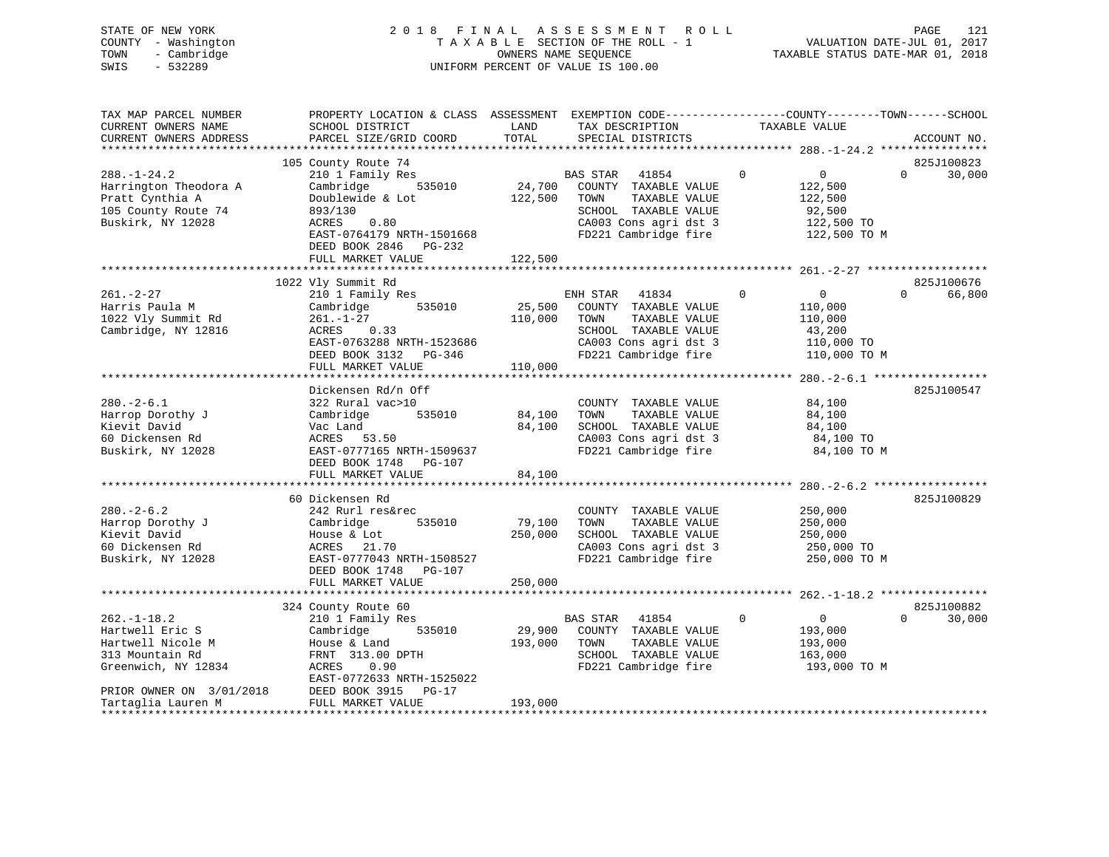| STATE OF NEW YORK<br>COUNTY - Washington<br>- Cambridge<br>TOWN<br>SWIS<br>$-532289$ | 2018 FINAL ASSESSMENT ROLL<br>TAXABLE SECTION OF THE ROLL - 1<br>OWNERS NAME SEOUENCE<br>UNIFORM PERCENT OF VALUE IS 100.00 | 121<br>PAGE<br>VALUATION DATE-JUL 01, 2017<br>TAXABLE STATUS DATE-MAR 01, 2018 |  |
|--------------------------------------------------------------------------------------|-----------------------------------------------------------------------------------------------------------------------------|--------------------------------------------------------------------------------|--|
| TAX MAP PARCEL NIIMBER                                                               | PROPERTY LOCATION & CLASS ASSESSMENT EXEMPTION CODE----------------COUNTY-------TOWN------SCHOOL                            |                                                                                |  |

| TAX MAP PARCEL NUMBER    | PROPERTY LOCATION & CLASS ASSESSMENT EXEMPTION CODE----------------COUNTY-------TOWN------SCHOOL |         |                             |              |                |          |             |
|--------------------------|--------------------------------------------------------------------------------------------------|---------|-----------------------------|--------------|----------------|----------|-------------|
| CURRENT OWNERS NAME      | SCHOOL DISTRICT                                                                                  | LAND    | TAX DESCRIPTION             |              | TAXABLE VALUE  |          |             |
| CURRENT OWNERS ADDRESS   | PARCEL SIZE/GRID COORD                                                                           | TOTAL   | SPECIAL DISTRICTS           |              |                |          | ACCOUNT NO. |
|                          |                                                                                                  |         |                             |              |                |          |             |
|                          | 105 County Route 74                                                                              |         |                             |              |                |          | 825J100823  |
| $288. - 1 - 24.2$        | 210 1 Family Res                                                                                 |         | BAS STAR 41854              | $\Omega$     | $\Omega$       | $\Omega$ | 30,000      |
| Harrington Theodora A    | 535010<br>Cambridge                                                                              | 24,700  | COUNTY TAXABLE VALUE        |              | 122,500        |          |             |
| Pratt Cynthia A          | Doublewide & Lot                                                                                 | 122,500 | TAXABLE VALUE<br>TOWN       |              | 122,500        |          |             |
| 105 County Route 74      | 893/130                                                                                          |         | SCHOOL TAXABLE VALUE        |              | 92,500         |          |             |
| Buskirk, NY 12028        | 0.80<br>ACRES                                                                                    |         | CA003 Cons agri dst 3       |              | 122,500 TO     |          |             |
|                          | EAST-0764179 NRTH-1501668                                                                        |         | FD221 Cambridge fire        |              | 122,500 TO M   |          |             |
|                          | DEED BOOK 2846 PG-232                                                                            |         |                             |              |                |          |             |
|                          | FULL MARKET VALUE                                                                                | 122,500 |                             |              |                |          |             |
|                          |                                                                                                  |         |                             |              |                |          |             |
|                          | 1022 Vly Summit Rd                                                                               |         |                             |              |                |          | 825J100676  |
| $261. - 2 - 27$          | 210 1 Family Res                                                                                 |         | ENH STAR<br>41834           | $\mathbf{0}$ | $\overline{0}$ | $\Omega$ | 66,800      |
| Harris Paula M           | 535010<br>Cambridge                                                                              |         | 25,500 COUNTY TAXABLE VALUE |              | 110,000        |          |             |
| 1022 Vly Summit Rd       | $261. - 1 - 27$                                                                                  | 110,000 | TAXABLE VALUE<br>TOWN       |              | 110,000        |          |             |
| Cambridge, NY 12816      | ACRES 0.33                                                                                       |         | SCHOOL TAXABLE VALUE        |              | 43,200         |          |             |
|                          |                                                                                                  |         |                             |              |                |          |             |
|                          | EAST-0763288 NRTH-1523686                                                                        |         | CA003 Cons agri dst 3       |              | 110,000 TO     |          |             |
|                          | DEED BOOK 3132 PG-346                                                                            |         | FD221 Cambridge fire        |              | 110,000 TO M   |          |             |
|                          | FULL MARKET VALUE                                                                                | 110,000 |                             |              |                |          |             |
|                          |                                                                                                  |         |                             |              |                |          |             |
|                          | Dickensen Rd/n Off                                                                               |         |                             |              |                |          | 825J100547  |
| $280. - 2 - 6.1$         | 322 Rural vac>10                                                                                 |         | COUNTY TAXABLE VALUE        |              | 84,100         |          |             |
| Harrop Dorothy J         | Cambridge<br>535010                                                                              | 84,100  | TAXABLE VALUE<br>TOWN       |              | 84,100         |          |             |
| Kievit David             | Vac Land                                                                                         | 84,100  | SCHOOL TAXABLE VALUE        |              | 84,100         |          |             |
| 60 Dickensen Rd          | ACRES 53.50                                                                                      |         | CA003 Cons agri dst 3       |              | 84,100 TO      |          |             |
| Buskirk, NY 12028        | EAST-0777165 NRTH-1509637                                                                        |         | FD221 Cambridge fire        |              | 84,100 TO M    |          |             |
|                          | DEED BOOK 1748 PG-107                                                                            |         |                             |              |                |          |             |
|                          | FULL MARKET VALUE                                                                                | 84,100  |                             |              |                |          |             |
|                          |                                                                                                  |         |                             |              |                |          |             |
|                          | 60 Dickensen Rd                                                                                  |         |                             |              |                |          | 825J100829  |
| $280. - 2 - 6.2$         | 242 Rurl res&rec                                                                                 |         | COUNTY TAXABLE VALUE        |              | 250,000        |          |             |
| Harrop Dorothy J         | Cambridge<br>535010                                                                              | 79,100  | TAXABLE VALUE<br>TOWN       |              | 250,000        |          |             |
| Kievit David             | House & Lot                                                                                      | 250,000 | SCHOOL TAXABLE VALUE        |              | 250,000        |          |             |
| 60 Dickensen Rd          | ACRES 21.70                                                                                      |         | CA003 Cons agri dst 3       |              | 250,000 TO     |          |             |
| Buskirk, NY 12028        | EAST-0777043 NRTH-1508527                                                                        |         | FD221 Cambridge fire        |              | 250,000 TO M   |          |             |
|                          | DEED BOOK 1748 PG-107                                                                            |         |                             |              |                |          |             |
|                          | FULL MARKET VALUE                                                                                | 250,000 |                             |              |                |          |             |
|                          |                                                                                                  |         |                             |              |                |          |             |
|                          | 324 County Route 60                                                                              |         |                             |              |                |          | 825J100882  |
| $262. - 1 - 18.2$        | 210 1 Family Res                                                                                 |         | BAS STAR 41854              | $\mathbf 0$  | $\overline{0}$ | $\Omega$ | 30,000      |
| Hartwell Eric S          | 535010<br>Cambridge                                                                              | 29,900  | COUNTY TAXABLE VALUE        |              | 193,000        |          |             |
| Hartwell Nicole M        | House & Land                                                                                     | 193,000 | TAXABLE VALUE<br>TOWN       |              | 193,000        |          |             |
| 313 Mountain Rd          | FRNT 313.00 DPTH                                                                                 |         | SCHOOL TAXABLE VALUE        |              | 163,000        |          |             |
| Greenwich, NY 12834      | ACRES<br>0.90                                                                                    |         | FD221 Cambridge fire        |              | 193,000 ТО М   |          |             |
|                          | EAST-0772633 NRTH-1525022                                                                        |         |                             |              |                |          |             |
| PRIOR OWNER ON 3/01/2018 | DEED BOOK 3915 PG-17                                                                             |         |                             |              |                |          |             |
| Tartaglia Lauren M       | FULL MARKET VALUE                                                                                | 193,000 |                             |              |                |          |             |
|                          |                                                                                                  |         |                             |              |                |          |             |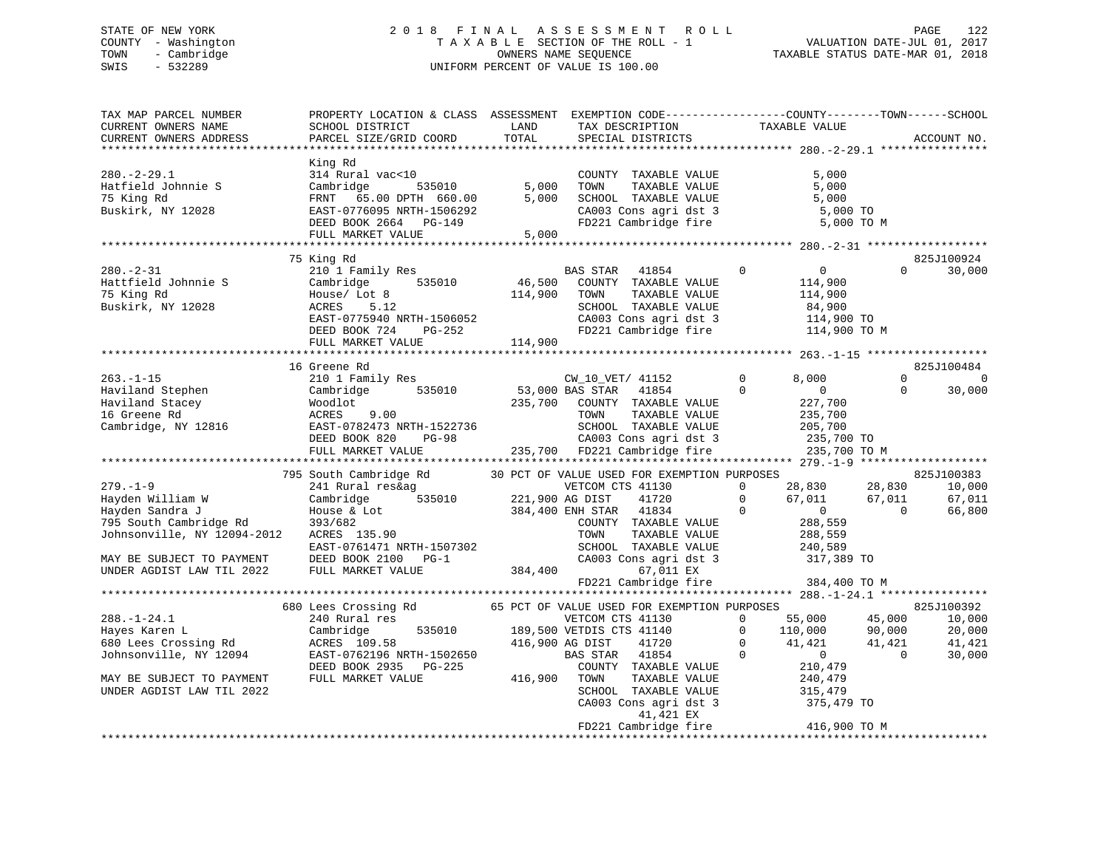# STATE OF NEW YORK 2 0 1 8 F I N A L A S S E S S M E N T R O L L PAGE 122 COUNTY - Washington T A X A B L E SECTION OF THE ROLL - 1 VALUATION DATE-JUL 01, 2017 TOWN - Cambridge OWNERS NAME SEQUENCE TAXABLE STATUS DATE-MAR 01, 2018 SWIS - 532289 UNIFORM PERCENT OF VALUE IS 100.00

| TAX MAP PARCEL NUMBER<br>CURRENT OWNERS NAME<br>CURRENT OWNERS ADDRESS | PROPERTY LOCATION & CLASS ASSESSMENT EXEMPTION CODE----------------COUNTY-------TOWN-----SCHOOL<br>SCHOOL DISTRICT<br>PARCEL SIZE/GRID COORD   | LAND<br>TOTAL       | TAX DESCRIPTION<br>SPECIAL DISTRICTS                            | TAXABLE VALUE              | ACCOUNT NO.                      |
|------------------------------------------------------------------------|------------------------------------------------------------------------------------------------------------------------------------------------|---------------------|-----------------------------------------------------------------|----------------------------|----------------------------------|
| $280. - 2 - 29.1$                                                      | King Rd<br>314 Rural vac<10                                                                                                                    |                     | COUNTY TAXABLE VALUE                                            | 5,000                      |                                  |
| Hatfield Johnnie S                                                     | Cambridge<br>535010                                                                                                                            | 5,000               | TOWN<br>TAXABLE VALUE                                           | 5,000                      |                                  |
| 75 King Rd                                                             | FRNT 65.00 DPTH 660.00                                                                                                                         | 5,000               | SCHOOL TAXABLE VALUE                                            | 5,000                      |                                  |
| Buskirk, NY 12028                                                      | EAST-0776095 NRTH-1506292                                                                                                                      |                     | SCHOOL TAXABLE VALUE<br>CA003 Cons agri dst 3                   | 5,000 TO                   |                                  |
|                                                                        | DEED BOOK 2664 PG-149                                                                                                                          |                     | FD221 Cambridge fire                                            | 5,000 TO M                 |                                  |
|                                                                        | FULL MARKET VALUE                                                                                                                              | 5,000               |                                                                 |                            |                                  |
|                                                                        | ********************************                                                                                                               |                     |                                                                 |                            |                                  |
| $280. - 2 - 31$                                                        | 75 King Rd<br>210 1 Family Res                                                                                                                 |                     | BAS STAR 41854                                                  | $\Omega$<br>$\overline{0}$ | 825J100924<br>$\Omega$<br>30,000 |
| Hattfield Johnnie S                                                    | 535010<br>Cambridge                                                                                                                            | 46,500              | COUNTY TAXABLE VALUE                                            | 114,900                    |                                  |
| 75 King Rd                                                             | House/ Lot 8                                                                                                                                   | 114,900             | TOWN<br>TAXABLE VALUE                                           | 114,900                    |                                  |
| Buskirk, NY 12028                                                      | 5.12<br>ACRES                                                                                                                                  |                     | SCHOOL TAXABLE VALUE                                            | 84,900                     |                                  |
|                                                                        | EAST-0775940 NRTH-1506052                                                                                                                      |                     | CA003 Cons agri dst 3                                           |                            |                                  |
|                                                                        | DEED BOOK 724                                                                                                                                  | H-1506052<br>PG-252 | FD221 Cambridge fire                                            | 114,900 TO<br>114,900 TO M |                                  |
|                                                                        | FULL MARKET VALUE                                                                                                                              | 114,900             |                                                                 |                            |                                  |
|                                                                        |                                                                                                                                                |                     |                                                                 |                            |                                  |
|                                                                        | 16 Greene Rd                                                                                                                                   |                     |                                                                 |                            | 825J100484                       |
| $263. -1 - 15$                                                         | 210 1 Family Res                                                                                                                               |                     | CW_10_VET/ 41152                                                | 8,000<br>$\mathbf 0$       | $\mathbf 0$<br>$\Omega$          |
| Haviland Stephen                                                       | 535010<br>Cambridge                                                                                                                            |                     | 53,000 BAS STAR $41854$                                         | $\overline{0}$<br>$\Omega$ | $\Omega$<br>30,000               |
| Haviland Stacey                                                        | Woodlot                                                                                                                                        | 235,700             | COUNTY TAXABLE VALUE                                            | 227,700                    |                                  |
| 16 Greene Rd                                                           |                                                                                                                                                |                     |                                                                 | 235,700                    |                                  |
| Cambridge, NY 12816                                                    |                                                                                                                                                |                     |                                                                 | 205,700<br>235,700 TO      |                                  |
|                                                                        |                                                                                                                                                |                     |                                                                 | 235,700 TO M               |                                  |
|                                                                        | ACRES 9.00<br>EAST-0782473 NRTH-1522736<br>DEED BOOK 820 PG-98 235,700 FO231 Cons agri dst 3<br>FULL MARKET VALUE 235,700 FD231 Cambridge fire |                     |                                                                 |                            |                                  |
|                                                                        | 795 South Cambridge Rd                                                                                                                         |                     | 30 PCT OF VALUE USED FOR EXEMPTION PURPOSES                     |                            | 825J100383                       |
| $279. - 1 - 9$                                                         | 241 Rural res&ag                                                                                                                               |                     | VETCOM CTS 41130                                                | $\Omega$<br>28,830         | 10,000<br>28,830                 |
| Hayden William W                                                       | 535010<br>Cambridge                                                                                                                            | 221,900 AG DIST     | 41720                                                           | $\mathbf 0$<br>67,011      | 67,011<br>67,011                 |
| Hayden Sandra J                                                        | House & Lot                                                                                                                                    |                     | 384,400 ENH STAR 41834                                          | $\Omega$<br>$\overline{0}$ | $\Omega$<br>66,800               |
| 795 South Cambridge Rd                                                 | 393/682                                                                                                                                        |                     | COUNTY TAXABLE VALUE                                            | 288,559                    |                                  |
| Johnsonville, NY 12094-2012                                            | ACRES 135.90                                                                                                                                   |                     | TAXABLE VALUE<br>TOWN                                           | 288,559                    |                                  |
|                                                                        | EAST-0761471 NRTH-1507302                                                                                                                      |                     | SCHOOL TAXABLE VALUE                                            | 240,589                    |                                  |
| MAY BE SUBJECT TO PAYMENT                                              | DEED BOOK 2100 PG-1                                                                                                                            |                     | CA003 Cons agri dst 3                                           | 317,389 TO                 |                                  |
| UNDER AGDIST LAW TIL 2022                                              | FULL MARKET VALUE                                                                                                                              | 384,400             | 67,011 EX                                                       |                            |                                  |
|                                                                        |                                                                                                                                                |                     | FD221 Cambridge fire                                            | 384,400 TO M               |                                  |
|                                                                        |                                                                                                                                                |                     |                                                                 |                            |                                  |
| $288. - 1 - 24.1$                                                      | 680 Lees Crossing Rd<br>240 Rural res                                                                                                          |                     | 65 PCT OF VALUE USED FOR EXEMPTION PURPOSES<br>VETCOM CTS 41130 | 55,000<br>$\Omega$         | 825J100392<br>45,000<br>10,000   |
| Hayes Karen L                                                          | 535010<br>Cambridge                                                                                                                            |                     | 189,500 VETDIS CTS 41140                                        | $\mathbf 0$<br>110,000     | 90,000<br>20,000                 |
| 680 Lees Crossing Rd                                                   | ACRES 109.58                                                                                                                                   | 416,900 AG DIST     | 41720                                                           | $\Omega$<br>41,421         | 41,421<br>41,421                 |
| Johnsonville, NY 12094                                                 | EAST-0762196 NRTH-1502650                                                                                                                      |                     | BAS STAR<br>41854                                               | $\Omega$<br>$\overline{0}$ | $\Omega$<br>30,000               |
|                                                                        | DEED BOOK 2935<br>PG-225                                                                                                                       |                     | COUNTY TAXABLE VALUE                                            | 210,479                    |                                  |
| MAY BE SUBJECT TO PAYMENT                                              | FULL MARKET VALUE                                                                                                                              | 416,900             | TAXABLE VALUE<br>TOWN                                           | 240,479                    |                                  |
| UNDER AGDIST LAW TIL 2022                                              |                                                                                                                                                |                     | SCHOOL TAXABLE VALUE                                            | 315,479                    |                                  |
|                                                                        |                                                                                                                                                |                     | CA003 Cons agri dst 3                                           | 375,479 TO                 |                                  |
|                                                                        |                                                                                                                                                |                     | 41,421 EX                                                       |                            |                                  |
|                                                                        |                                                                                                                                                |                     | FD221 Cambridge fire                                            | 416,900 TO M               |                                  |
|                                                                        |                                                                                                                                                |                     |                                                                 |                            |                                  |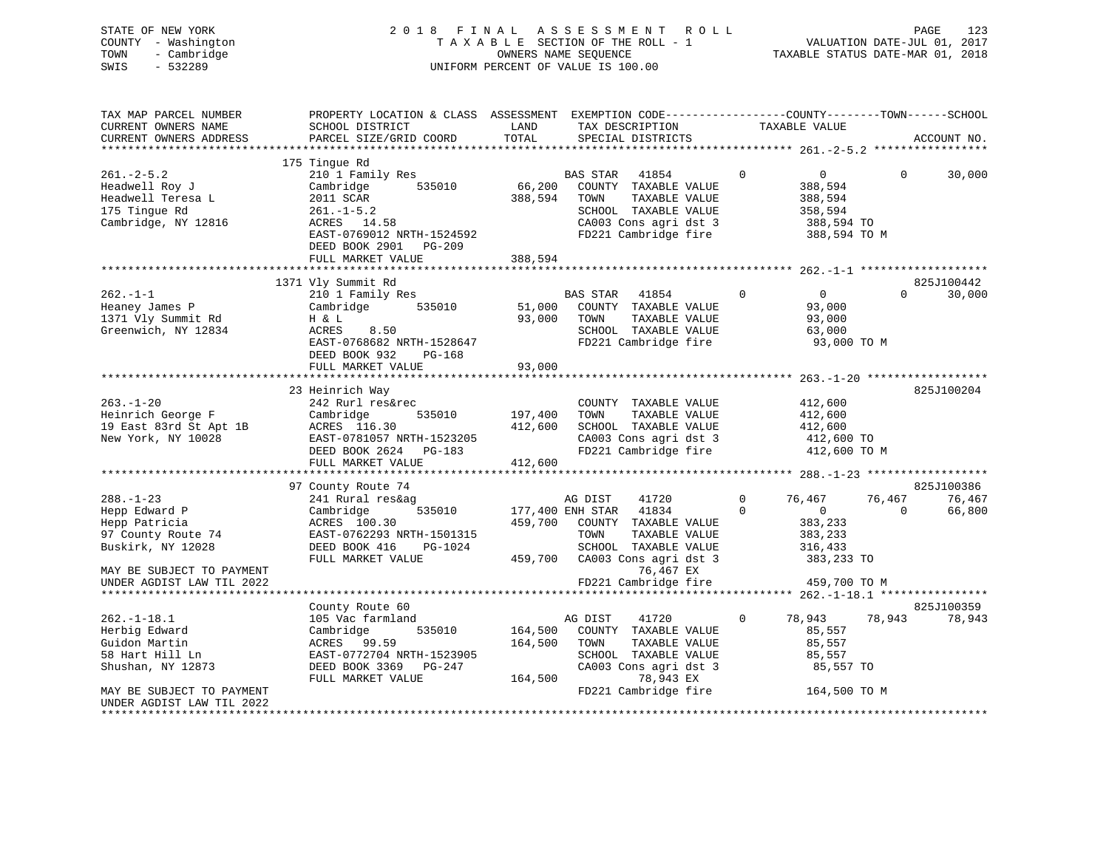| STATE OF NEW YORK<br>COUNTY - Washington<br>TOWN<br>- Cambridge<br>SWIS<br>$-532289$                                                                   |                                                                                                                                                                                       |                               | 2018 FINAL ASSESSMENT ROLL<br>TAXABLE SECTION OF THE ROLL - 1<br>OWNERS NAME SEQUENCE<br>UNIFORM PERCENT OF VALUE IS 100.00                                                          |                         | VALUATION DATE-JUL 01, 2017<br>TAXABLE STATUS DATE-MAR 01, 2018                   | <b>PAGE</b><br>123                                   |
|--------------------------------------------------------------------------------------------------------------------------------------------------------|---------------------------------------------------------------------------------------------------------------------------------------------------------------------------------------|-------------------------------|--------------------------------------------------------------------------------------------------------------------------------------------------------------------------------------|-------------------------|-----------------------------------------------------------------------------------|------------------------------------------------------|
| TAX MAP PARCEL NUMBER<br>CURRENT OWNERS NAME<br>CURRENT OWNERS ADDRESS                                                                                 | PROPERTY LOCATION & CLASS ASSESSMENT EXEMPTION CODE---------------COUNTY-------TOWN-----SCHOOL<br>SCHOOL DISTRICT<br>PARCEL SIZE/GRID COORD                                           | LAND<br>TOTAL                 | TAX DESCRIPTION<br>SPECIAL DISTRICTS                                                                                                                                                 |                         | TAXABLE VALUE                                                                     | ACCOUNT NO.                                          |
| $261 - 2 - 5.2$<br>Headwell Roy J<br>Headwell Teresa L<br>175 Tinque Rd<br>Cambridge, NY 12816                                                         | 175 Tingue Rd<br>210 1 Family Res<br>Cambridge<br>535010<br>2011 SCAR<br>$261 - 1 - 5.2$<br>ACRES 14.58<br>EAST-0769012 NRTH-1524592<br>DEED BOOK 2901<br>PG-209<br>FULL MARKET VALUE | 66,200<br>388,594<br>388,594  | <b>BAS STAR</b><br>41854<br>COUNTY TAXABLE VALUE<br>TOWN<br>TAXABLE VALUE<br>SCHOOL TAXABLE VALUE<br>CA003 Cons agri dst 3<br>FD221 Cambridge fire                                   | $\Omega$                | $\overline{0}$<br>388,594<br>388,594<br>358,594<br>388,594 TO<br>388,594 TO M     | $\Omega$<br>30,000                                   |
| $262 - 1 - 1$<br>Heaney James P<br>1371 Vly Summit Rd<br>Greenwich, NY 12834                                                                           | 1371 Vly Summit Rd<br>210 1 Family Res<br>Cambridge<br>535010<br>H & L<br>ACRES<br>8.50<br>EAST-0768682 NRTH-1528647<br>DEED BOOK 932<br>PG-168<br>FULL MARKET VALUE                  | 51,000<br>93,000<br>93,000    | <b>BAS STAR</b><br>41854<br>COUNTY TAXABLE VALUE<br>TAXABLE VALUE<br>TOWN<br>SCHOOL TAXABLE VALUE<br>FD221 Cambridge fire                                                            | $\Omega$                | $\overline{0}$<br>93,000<br>93,000<br>63,000<br>93,000 TO M                       | 825J100442<br>30,000<br>$\Omega$                     |
| $263. - 1 - 20$<br>Heinrich George F<br>19 East 83rd St Apt 1B<br>New York, NY 10028                                                                   | 23 Heinrich Way<br>242 Rurl res&rec<br>Cambridge<br>535010<br>ACRES 116.30<br>EAST-0781057 NRTH-1523205<br>DEED BOOK 2624 PG-183<br>FULL MARKET VALUE                                 | 197,400<br>412,600<br>412,600 | COUNTY TAXABLE VALUE<br>TAXABLE VALUE<br>TOWN<br>SCHOOL TAXABLE VALUE<br>CA003 Cons agri dst 3<br>FD221 Cambridge fire                                                               |                         | 412,600<br>412,600<br>412,600<br>412,600 TO<br>412,600 TO M                       | 825J100204                                           |
| $288. - 1 - 23$<br>Hepp Edward P<br>Hepp Patricia<br>97 County Route 74<br>Buskirk, NY 12028<br>MAY BE SUBJECT TO PAYMENT<br>UNDER AGDIST LAW TIL 2022 | 97 County Route 74<br>241 Rural res&ag<br>535010<br>Cambridge<br>ACRES 100.30<br>EAST-0762293 NRTH-1501315<br>DEED BOOK 416<br>PG-1024<br>FULL MARKET VALUE                           | 459,700<br>459,700            | 41720<br>AG DIST<br>177,400 ENH STAR<br>41834<br>COUNTY TAXABLE VALUE<br>TOWN<br>TAXABLE VALUE<br>SCHOOL TAXABLE VALUE<br>CA003 Cons agri dst 3<br>76,467 EX<br>FD221 Cambridge fire | $\mathbf 0$<br>$\Omega$ | 76,467<br>$\Omega$<br>383,233<br>383,233<br>316,433<br>383,233 TO<br>459,700 TO M | 825J100386<br>76,467<br>76,467<br>66,800<br>$\Omega$ |
| $262. -1 - 18.1$                                                                                                                                       | County Route 60<br>105 Vac farmland                                                                                                                                                   |                               | 41720<br>AG DIST                                                                                                                                                                     | $\Omega$                | 78,943                                                                            | 825J100359<br>78,943<br>78,943                       |

| $262. - 1 - 18.1$         | 105 Vac farmland          |         | AG DIST | 41720                 | 78,943       | 78,943 | 78,943 |
|---------------------------|---------------------------|---------|---------|-----------------------|--------------|--------|--------|
| Herbig Edward             | Cambridge<br>535010       | 164,500 | COUNTY  | TAXABLE VALUE         | 85,557       |        |        |
| Guidon Martin             | ACRES 99.59               | 164,500 | TOWN    | TAXABLE VALUE         | 85,557       |        |        |
| 58 Hart Hill Ln           | EAST-0772704 NRTH-1523905 |         | SCHOOL  | TAXABLE VALUE         | 85,557       |        |        |
| Shushan, NY 12873         | DEED BOOK 3369 PG-247     |         |         | CA003 Cons agri dst 3 | 85,557 TO    |        |        |
|                           | FULL MARKET VALUE         | 164,500 |         | 78,943 EX             |              |        |        |
| MAY BE SUBJECT TO PAYMENT |                           |         |         | FD221 Cambridge fire  | 164,500 TO M |        |        |
| UNDER AGDIST LAW TIL 2022 |                           |         |         |                       |              |        |        |
|                           |                           |         |         |                       |              |        |        |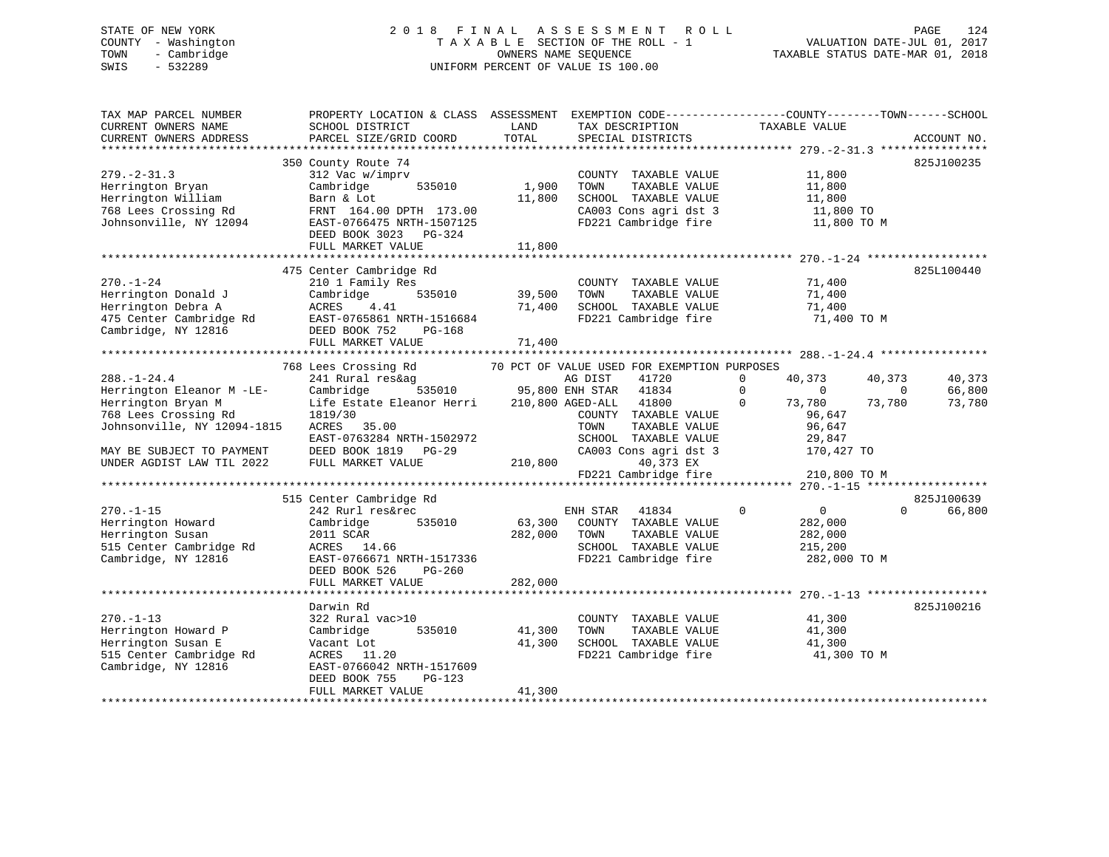# STATE OF NEW YORK 2 0 1 8 F I N A L A S S E S S M E N T R O L L PAGE 124 COUNTY - Washington T A X A B L E SECTION OF THE ROLL - 1 VALUATION DATE-JUL 01, 2017 TOWN - Cambridge OWNERS NAME SEQUENCE TAXABLE STATUS DATE-MAR 01, 2018 SWIS - 532289 UNIFORM PERCENT OF VALUE IS 100.00

| TAX MAP PARCEL NUMBER<br>CURRENT OWNERS NAME<br>CURRENT OWNERS ADDRESS                                                                                                                | SCHOOL DISTRICT<br>PARCEL SIZE/GRID COORD                                                                                                                                                                         | LAND<br>TOTAL                                  | TAX DESCRIPTION<br>SPECIAL DISTRICTS                                                                                                                                                                                     | PROPERTY LOCATION & CLASS ASSESSMENT EXEMPTION CODE---------------COUNTY-------TOWN------SCHOOL<br>TAXABLE VALUE                                                               | ACCOUNT NO.                |
|---------------------------------------------------------------------------------------------------------------------------------------------------------------------------------------|-------------------------------------------------------------------------------------------------------------------------------------------------------------------------------------------------------------------|------------------------------------------------|--------------------------------------------------------------------------------------------------------------------------------------------------------------------------------------------------------------------------|--------------------------------------------------------------------------------------------------------------------------------------------------------------------------------|----------------------------|
| $279. - 2 - 31.3$<br>Herrington Bryan<br>Herrington William<br>768 Lees Crossing Rd<br>Johnsonville, NY 12094                                                                         | 350 County Route 74<br>312 Vac w/imprv<br>Cambridge<br>535010<br>Barn & Lot<br>FRNT 164.00 DPTH 173.00<br>EAST-0766475 NRTH-1507125<br>DEED BOOK 3023 PG-324<br>FULL MARKET VALUE<br>**************************** | 1,900<br>11,800<br>11,800<br>*************     | COUNTY TAXABLE VALUE<br>TAXABLE VALUE<br>TOWN<br>SCHOOL TAXABLE VALUE<br>CA003 Cons agri dst 3<br>FD221 Cambridge fire                                                                                                   | 11,800<br>11,800<br>11,800<br>11,800 TO<br>11,800 TO M                                                                                                                         | 825J100235                 |
| $270. - 1 - 24$<br>Herrington Donald J<br>Herrington Debra A<br>475 Center Cambridge Rd<br>Cambridge, NY 12816                                                                        | 475 Center Cambridge Rd<br>210 1 Family Res<br>Cambridge<br>535010<br>ACRES<br>4.41<br>EAST-0765861 NRTH-1516684<br>DEED BOOK 752<br>PG-168<br>FULL MARKET VALUE                                                  | 39,500<br>71,400<br>71,400                     | COUNTY TAXABLE VALUE<br>TOWN<br>TAXABLE VALUE<br>SCHOOL TAXABLE VALUE<br>FD221 Cambridge fire                                                                                                                            | 71,400<br>71,400<br>71,400<br>71,400 TO M                                                                                                                                      | 825L100440                 |
| $288. - 1 - 24.4$<br>Herrington Eleanor M -LE-<br>Herrington Bryan M<br>768 Lees Crossing Rd<br>Johnsonville, NY 12094-1815<br>MAY BE SUBJECT TO PAYMENT<br>UNDER AGDIST LAW TIL 2022 | 768 Lees Crossing Rd<br>241 Rural res&ag<br>Cambridge<br>535010<br>Life Estate Eleanor Herri<br>1819/30<br>ACRES 35.00<br>EAST-0763284 NRTH-1502972<br>DEED BOOK 1819 PG-29<br>FULL MARKET VALUE                  | 95,800 ENH STAR<br>210,800 AGED-ALL<br>210,800 | 70 PCT OF VALUE USED FOR EXEMPTION PURPOSES<br>AG DIST<br>41720<br>41834<br>41800<br>COUNTY TAXABLE VALUE<br>TOWN<br>TAXABLE VALUE<br>SCHOOL TAXABLE VALUE<br>CA003 Cons agri dst 3<br>40,373 EX<br>FD221 Cambridge fire | $\mathbf 0$<br>40,373<br>40,373<br>$\mathbf 0$<br>$\overline{0}$<br>$\overline{0}$<br>$\Omega$<br>73,780<br>73,780<br>96,647<br>96,647<br>29,847<br>170,427 TO<br>210,800 TO M | 40,373<br>66,800<br>73,780 |
| $270. -1 - 15$<br>Herrington Howard<br>Herrington Susan<br>515 Center Cambridge Rd<br>Cambridge, NY 12816                                                                             | 515 Center Cambridge Rd<br>242 Rurl res&rec<br>535010<br>Cambridge<br>2011 SCAR<br>ACRES 14.66<br>EAST-0766671 NRTH-1517336<br>DEED BOOK 526<br>$PG-260$<br>FULL MARKET VALUE                                     | 63,300<br>282,000<br>282,000                   | ENH STAR<br>41834<br>COUNTY TAXABLE VALUE<br>TOWN<br>TAXABLE VALUE<br>SCHOOL TAXABLE VALUE<br>FD221 Cambridge fire                                                                                                       | $\mathbf 0$<br>$\overline{0}$<br>$\Omega$<br>282,000<br>282,000<br>215,200<br>282,000 TO M                                                                                     | 825J100639<br>66,800       |
| $270. -1 - 13$<br>Herrington Howard P<br>Herrington Susan E<br>515 Center Cambridge Rd<br>Cambridge, NY 12816                                                                         | Darwin Rd<br>322 Rural vac>10<br>535010<br>Cambridge<br>Vacant Lot<br>ACRES 11.20<br>EAST-0766042 NRTH-1517609<br>DEED BOOK 755<br>$PG-123$<br>FULL MARKET VALUE                                                  | 41,300<br>41,300<br>41,300                     | COUNTY TAXABLE VALUE<br>TAXABLE VALUE<br>TOWN<br>SCHOOL TAXABLE VALUE<br>FD221 Cambridge fire                                                                                                                            | 41,300<br>41,300<br>41,300<br>41,300 TO M                                                                                                                                      | 825J100216                 |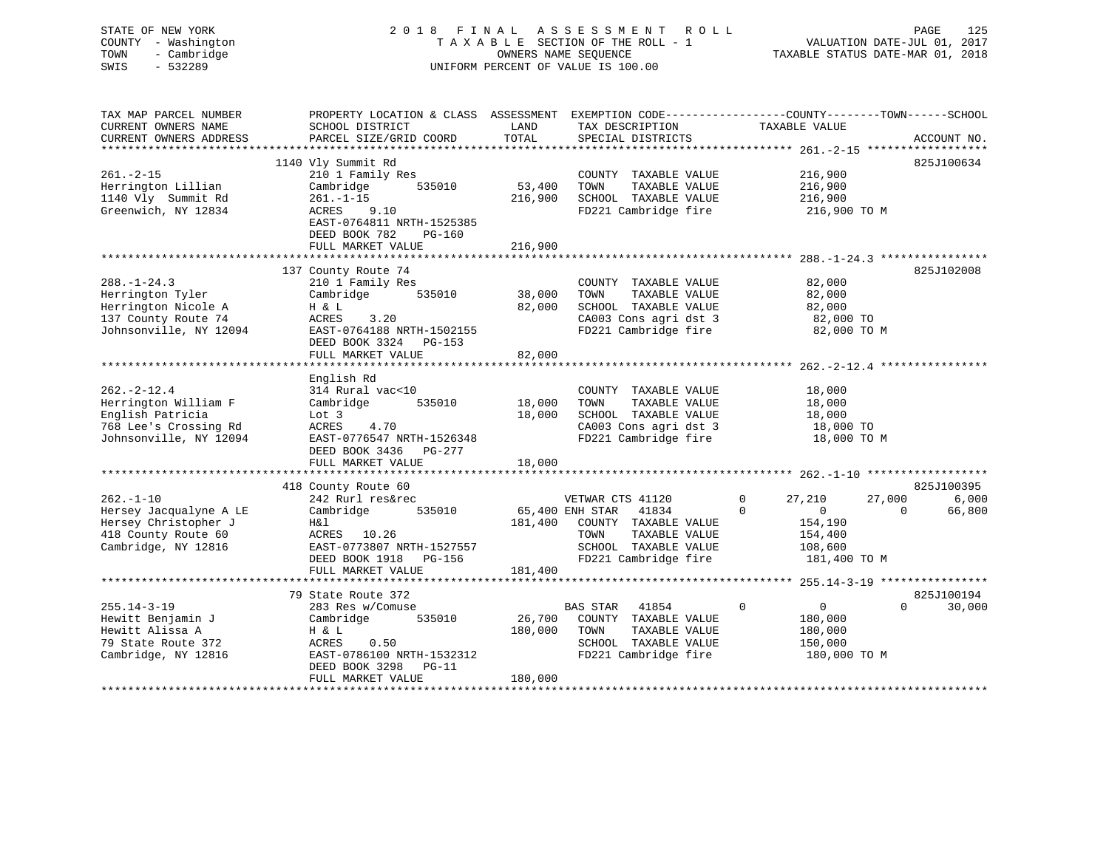STATE OF NEW YORK 2 0 1 8 F I N A L A S S E S S M E N T R O L L PAGE 125 COUNTY - Washington T A X A B L E SECTION OF THE ROLL - 1 VALUATION DATE-JUL 01, 2017 TOWN - Cambridge OWNERS NAME SEQUENCE TAXABLE STATUS DATE-MAR 01, 2018 SWIS - 532289 UNIFORM PERCENT OF VALUE IS 100.00UNIFORM PERCENT OF VALUE IS 100.00 TAX MAP PARCEL NUMBER PROPERTY LOCATION & CLASS ASSESSMENT EXEMPTION CODE------------------COUNTY--------TOWN------SCHOOL CURRENT OWNERS NAME SCHOOL DISTRICT LAND TAX DESCRIPTION TAXABLE VALUE CURRENT OWNERS ADDRESS PARCEL SIZE/GRID COORD TOTAL SPECIAL DISTRICTS ACCOUNT NO. \*\*\*\*\*\*\*\*\*\*\*\*\*\*\*\*\*\*\*\*\*\*\*\*\*\*\*\*\*\*\*\*\*\*\*\*\*\*\*\*\*\*\*\*\*\*\*\*\*\*\*\*\*\*\*\*\*\*\*\*\*\*\*\*\*\*\*\*\*\*\*\*\*\*\*\*\*\*\*\*\*\*\*\*\*\*\*\*\*\*\*\*\*\*\*\*\*\*\*\*\*\*\* 261.-2-15 \*\*\*\*\*\*\*\*\*\*\*\*\*\*\*\*\*\*825.T100634  $1140$  Vly Summit Rd

|                        | $\pm\pm\pm\circ$ $\sqrt{2}$ $\pm\circ$ $\pm\circ\cdot\cdot\cdot$ |         |                          |                               |                    |
|------------------------|------------------------------------------------------------------|---------|--------------------------|-------------------------------|--------------------|
| $261. - 2 - 15$        | 210 1 Family Res                                                 |         | COUNTY TAXABLE VALUE     | 216,900                       |                    |
| Herrington Lillian     | Cambridge<br>535010                                              | 53,400  | TOWN<br>TAXABLE VALUE    | 216,900                       |                    |
| 1140 Vly Summit Rd     | $261. - 1 - 15$                                                  | 216,900 | SCHOOL TAXABLE VALUE     | 216,900                       |                    |
| Greenwich, NY 12834    | 9.10<br>ACRES                                                    |         | FD221 Cambridge fire     |                               | 216,900 TO M       |
|                        | EAST-0764811 NRTH-1525385                                        |         |                          |                               |                    |
|                        | DEED BOOK 782<br>PG-160                                          |         |                          |                               |                    |
|                        |                                                                  |         |                          |                               |                    |
|                        | FULL MARKET VALUE                                                | 216,900 |                          |                               |                    |
|                        |                                                                  |         |                          |                               |                    |
|                        | 137 County Route 74                                              |         |                          |                               | 825J102008         |
| $288. - 1 - 24.3$      | 210 1 Family Res                                                 |         | COUNTY TAXABLE VALUE     |                               | 82,000             |
| Herrington Tyler       | Cambridge<br>535010                                              | 38,000  | TOWN<br>TAXABLE VALUE    |                               | 82,000             |
| Herrington Nicole A    | H & L                                                            | 82,000  | SCHOOL TAXABLE VALUE     |                               | 82,000             |
| 137 County Route 74    | 3.20<br>ACRES                                                    |         | CA003 Cons agri dst 3    |                               | 82,000 TO          |
| Johnsonville, NY 12094 | EAST-0764188 NRTH-1502155                                        |         | FD221 Cambridge fire     |                               | 82,000 TO M        |
|                        | DEED BOOK 3324 PG-153                                            |         |                          |                               |                    |
|                        | FULL MARKET VALUE                                                | 82,000  |                          |                               |                    |
|                        |                                                                  |         |                          |                               |                    |
|                        | English Rd                                                       |         |                          |                               |                    |
| $262 - 2 - 12.4$       | 314 Rural vac<10                                                 |         | COUNTY TAXABLE VALUE     |                               | 18,000             |
|                        | 535010                                                           | 18,000  | TOWN<br>TAXABLE VALUE    |                               | 18,000             |
| Herrington William F   | Cambridge                                                        |         |                          |                               |                    |
| English Patricia       | Lot 3                                                            | 18,000  | SCHOOL TAXABLE VALUE     |                               | 18,000             |
| 768 Lee's Crossing Rd  | ACRES<br>4.70                                                    |         | CA003 Cons agri dst 3    |                               | 18,000 TO          |
| Johnsonville, NY 12094 | EAST-0776547 NRTH-1526348                                        |         | FD221 Cambridge fire     |                               | 18,000 TO M        |
|                        | DEED BOOK 3436 PG-277                                            |         |                          |                               |                    |
|                        | FULL MARKET VALUE                                                | 18,000  |                          |                               |                    |
|                        |                                                                  |         |                          |                               |                    |
|                        | 418 County Route 60                                              |         |                          |                               | 825J100395         |
| $262. -1 - 10$         | 242 Rurl res&rec                                                 |         | VETWAR CTS 41120         | 0<br>27,210                   | 27,000<br>6,000    |
| Hersey Jacqualyne A LE | Cambridge<br>535010                                              |         | 65,400 ENH STAR 41834    | $\Omega$<br>$\Omega$          | 66,800<br>$\Omega$ |
| Hersey Christopher J   | H&l                                                              | 181,400 | COUNTY TAXABLE VALUE     | 154,190                       |                    |
| 418 County Route 60    | ACRES 10.26                                                      |         | TAXABLE VALUE<br>TOWN    | 154,400                       |                    |
| Cambridge, NY 12816    | EAST-0773807 NRTH-1527557                                        |         | SCHOOL TAXABLE VALUE     | 108,600                       |                    |
|                        |                                                                  |         |                          |                               |                    |
|                        | DEED BOOK 1918 PG-156                                            |         | FD221 Cambridge fire     |                               | 181,400 TO M       |
|                        | FULL MARKET VALUE                                                | 181,400 |                          |                               |                    |
|                        |                                                                  |         |                          |                               |                    |
|                        | 79 State Route 372                                               |         |                          |                               | 825J100194         |
| $255.14 - 3 - 19$      | 283 Res w/Comuse                                                 |         | <b>BAS STAR</b><br>41854 | $\mathbf 0$<br>$\overline{0}$ | $\Omega$<br>30,000 |
| Hewitt Benjamin J      | Cambridge<br>535010                                              | 26,700  | COUNTY TAXABLE VALUE     | 180,000                       |                    |
| Hewitt Alissa A        | H & L                                                            | 180,000 | TAXABLE VALUE<br>TOWN    | 180,000                       |                    |
| 79 State Route 372     | ACRES<br>0.50                                                    |         | SCHOOL TAXABLE VALUE     | 150,000                       |                    |
| Cambridge, NY 12816    | EAST-0786100 NRTH-1532312                                        |         | FD221 Cambridge fire     |                               | 180,000 TO M       |
|                        | DEED BOOK 3298<br>$PG-11$                                        |         |                          |                               |                    |
|                        | FULL MARKET VALUE                                                | 180,000 |                          |                               |                    |
|                        |                                                                  |         |                          |                               |                    |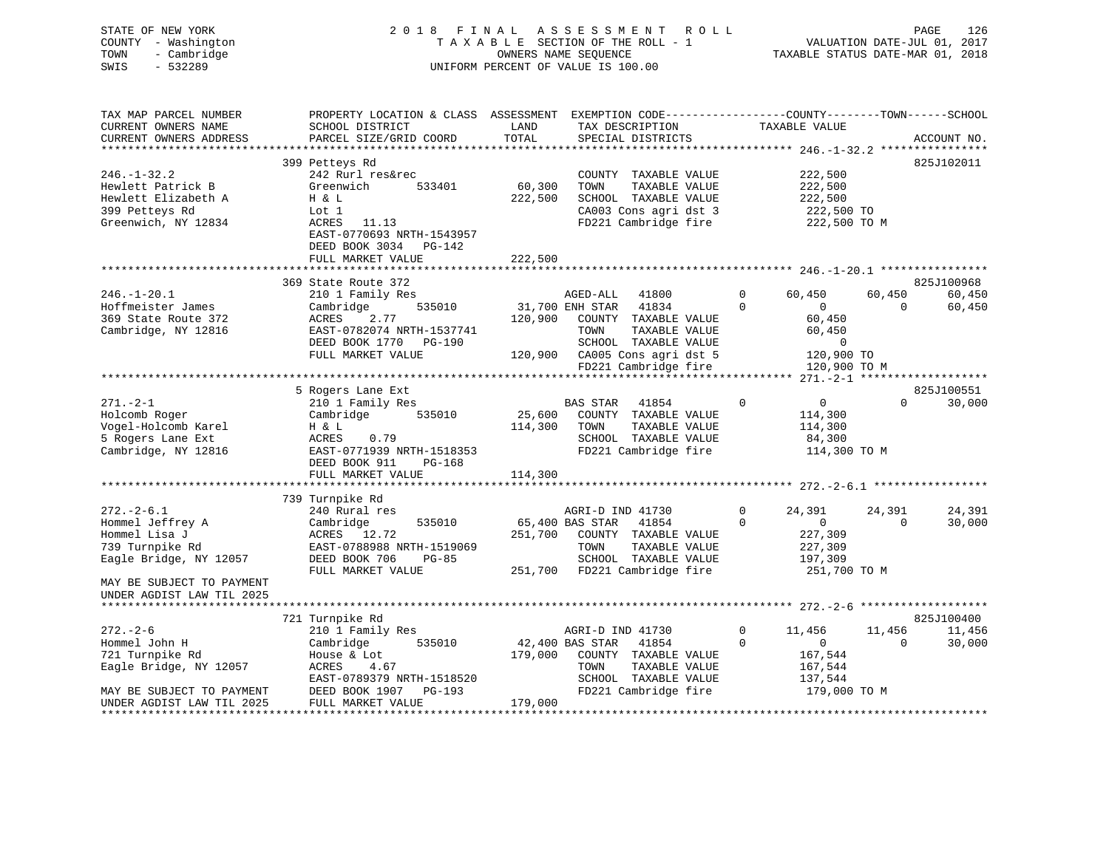| STATE OF NEW YORK<br>COUNTY - Washington<br>- Cambridge<br>TOWN<br>$-532289$<br>SWIS |                                                                                                                                              |                 | 2018 FINAL ASSESSMENT<br>R O L L<br>TAXABLE SECTION OF THE ROLL - 1<br>OWNERS NAME SEQUENCE<br>UNIFORM PERCENT OF VALUE IS 100.00 |              | VALUATION DATE-JUL 01, 2017<br>TAXABLE STATUS DATE-MAR 01, 2018 |          | PAGE<br>126 |
|--------------------------------------------------------------------------------------|----------------------------------------------------------------------------------------------------------------------------------------------|-----------------|-----------------------------------------------------------------------------------------------------------------------------------|--------------|-----------------------------------------------------------------|----------|-------------|
| TAX MAP PARCEL NUMBER<br>CURRENT OWNERS NAME<br>CURRENT OWNERS ADDRESS               | PROPERTY LOCATION & CLASS ASSESSMENT EXEMPTION CODE---------------COUNTY-------TOWN------SCHOOL<br>SCHOOL DISTRICT<br>PARCEL SIZE/GRID COORD | LAND<br>TOTAL   | TAX DESCRIPTION<br>SPECIAL DISTRICTS                                                                                              |              | TAXABLE VALUE                                                   |          | ACCOUNT NO. |
|                                                                                      |                                                                                                                                              |                 |                                                                                                                                   |              |                                                                 |          |             |
| $246. - 1 - 32.2$                                                                    | 399 Petteys Rd<br>242 Rurl res&rec                                                                                                           |                 | COUNTY TAXABLE VALUE                                                                                                              |              | 222,500                                                         |          | 825J102011  |
| Hewlett Patrick B                                                                    | Greenwich<br>533401                                                                                                                          | 60,300          | TOWN<br>TAXABLE VALUE                                                                                                             |              | 222,500                                                         |          |             |
| Hewlett Elizabeth A                                                                  | H & L                                                                                                                                        | 222,500         | SCHOOL TAXABLE VALUE                                                                                                              |              | 222,500                                                         |          |             |
| 399 Petteys Rd                                                                       | Lot 1                                                                                                                                        |                 | CA003 Cons agri dst 3                                                                                                             |              | 222,500 TO                                                      |          |             |
| Greenwich, NY 12834                                                                  | ACRES<br>11.13                                                                                                                               |                 | FD221 Cambridge fire                                                                                                              |              | 222,500 TO M                                                    |          |             |
|                                                                                      | EAST-0770693 NRTH-1543957<br>DEED BOOK 3034 PG-142                                                                                           |                 |                                                                                                                                   |              |                                                                 |          |             |
|                                                                                      | FULL MARKET VALUE                                                                                                                            | 222,500         |                                                                                                                                   |              |                                                                 |          |             |
|                                                                                      |                                                                                                                                              |                 |                                                                                                                                   |              |                                                                 |          |             |
|                                                                                      | 369 State Route 372                                                                                                                          |                 |                                                                                                                                   |              |                                                                 |          | 825J100968  |
| $246. - 1 - 20.1$                                                                    | 210 1 Family Res                                                                                                                             |                 | AGED-ALL<br>41800                                                                                                                 | 0            | 60,450                                                          | 60,450   | 60,450      |
| Hoffmeister James                                                                    | Cambridge<br>535010                                                                                                                          | 31,700 ENH STAR | 41834                                                                                                                             | $\Omega$     | $\overline{0}$                                                  | $\Omega$ | 60,450      |
| 369 State Route 372                                                                  | ACRES<br>2.77                                                                                                                                | 120,900         | COUNTY TAXABLE VALUE<br>TOWN                                                                                                      |              | 60,450                                                          |          |             |
| Cambridge, NY 12816                                                                  | EAST-0782074 NRTH-1537741<br>DEED BOOK 1770 PG-190                                                                                           |                 | TAXABLE VALUE<br>SCHOOL TAXABLE VALUE                                                                                             |              | 60,450<br>$\mathbf 0$                                           |          |             |
|                                                                                      | FULL MARKET VALUE                                                                                                                            |                 | 120,900 CA005 Cons agri dst 5                                                                                                     |              | 120,900 TO                                                      |          |             |
|                                                                                      |                                                                                                                                              |                 | FD221 Cambridge fire                                                                                                              |              | 120,900 TO M                                                    |          |             |
|                                                                                      |                                                                                                                                              |                 |                                                                                                                                   |              |                                                                 |          |             |
|                                                                                      | 5 Rogers Lane Ext                                                                                                                            |                 |                                                                                                                                   |              |                                                                 |          | 825J100551  |
| $271. - 2 - 1$                                                                       | 210 1 Family Res                                                                                                                             |                 | BAS STAR<br>41854                                                                                                                 | $\Omega$     | $\overline{0}$                                                  | $\Omega$ | 30,000      |
| Holcomb Roger                                                                        | Cambridge<br>535010                                                                                                                          | 25,600          | COUNTY TAXABLE VALUE                                                                                                              |              | 114,300                                                         |          |             |
| Vogel-Holcomb Karel                                                                  | H & L                                                                                                                                        | 114,300         | TAXABLE VALUE<br>TOWN                                                                                                             |              | 114,300                                                         |          |             |
| 5 Rogers Lane Ext                                                                    | ACRES<br>0.79                                                                                                                                |                 | SCHOOL TAXABLE VALUE                                                                                                              |              | 84,300                                                          |          |             |
| Cambridge, NY 12816                                                                  | EAST-0771939 NRTH-1518353                                                                                                                    |                 | FD221 Cambridge fire                                                                                                              |              | 114,300 TO M                                                    |          |             |
|                                                                                      | DEED BOOK 911<br>PG-168                                                                                                                      |                 |                                                                                                                                   |              |                                                                 |          |             |
|                                                                                      | FULL MARKET VALUE                                                                                                                            | 114,300         |                                                                                                                                   |              |                                                                 |          |             |
|                                                                                      |                                                                                                                                              |                 |                                                                                                                                   |              |                                                                 |          |             |
| $272. - 2 - 6.1$                                                                     | 739 Turnpike Rd<br>240 Rural res                                                                                                             |                 | AGRI-D IND 41730                                                                                                                  | $\mathbf 0$  | 24,391                                                          | 24,391   | 24,391      |
| Hommel Jeffrey A                                                                     | Cambridge<br>535010                                                                                                                          |                 | 65,400 BAS STAR<br>41854                                                                                                          | $\Omega$     | $\overline{0}$                                                  | $\Omega$ | 30,000      |
| Hommel Lisa J                                                                        | ACRES 12.72                                                                                                                                  | 251,700         | COUNTY TAXABLE VALUE                                                                                                              |              | 227,309                                                         |          |             |
| 739 Turnpike Rd                                                                      | EAST-0788988 NRTH-1519069                                                                                                                    |                 | TOWN<br>TAXABLE VALUE                                                                                                             |              | 227,309                                                         |          |             |
| Eagle Bridge, NY 12057                                                               | DEED BOOK 706<br>PG-85                                                                                                                       |                 | SCHOOL TAXABLE VALUE                                                                                                              |              | 197,309                                                         |          |             |
|                                                                                      | FULL MARKET VALUE                                                                                                                            |                 | 251,700 FD221 Cambridge fire                                                                                                      |              | 251,700 TO M                                                    |          |             |
| MAY BE SUBJECT TO PAYMENT<br>UNDER AGDIST LAW TIL 2025                               |                                                                                                                                              |                 |                                                                                                                                   |              |                                                                 |          |             |
|                                                                                      |                                                                                                                                              |                 |                                                                                                                                   |              |                                                                 |          |             |
|                                                                                      | 721 Turnpike Rd                                                                                                                              |                 |                                                                                                                                   |              |                                                                 |          | 825J100400  |
| $272. - 2 - 6$                                                                       | 210 1 Family Res                                                                                                                             |                 | AGRI-D IND 41730                                                                                                                  | $\mathbf 0$  | 11,456                                                          | 11,456   | 11,456      |
| Hommel John H                                                                        | 535010<br>Cambridge                                                                                                                          |                 | 42,400 BAS STAR 41854                                                                                                             | $\mathbf{0}$ | $\overline{0}$                                                  | 0        | 30,000      |
| 721 Turnpike Rd                                                                      | House & Lot                                                                                                                                  | 179,000         | COUNTY TAXABLE VALUE                                                                                                              |              | 167,544                                                         |          |             |
| Eagle Bridge, NY 12057                                                               | ACRES<br>4.67                                                                                                                                |                 | TAXABLE VALUE<br>TOWN                                                                                                             |              | 167,544                                                         |          |             |
|                                                                                      | EAST-0789379 NRTH-1518520                                                                                                                    |                 | SCHOOL TAXABLE VALUE                                                                                                              |              | 137,544                                                         |          |             |
| MAY BE SUBJECT TO PAYMENT<br>UNDER AGDIST LAW TIL 2025                               | PG-193<br>DEED BOOK 1907<br>FULL MARKET VALUE                                                                                                | 179,000         | FD221 Cambridge fire                                                                                                              |              | 179,000 TO M                                                    |          |             |
|                                                                                      |                                                                                                                                              |                 |                                                                                                                                   |              |                                                                 |          |             |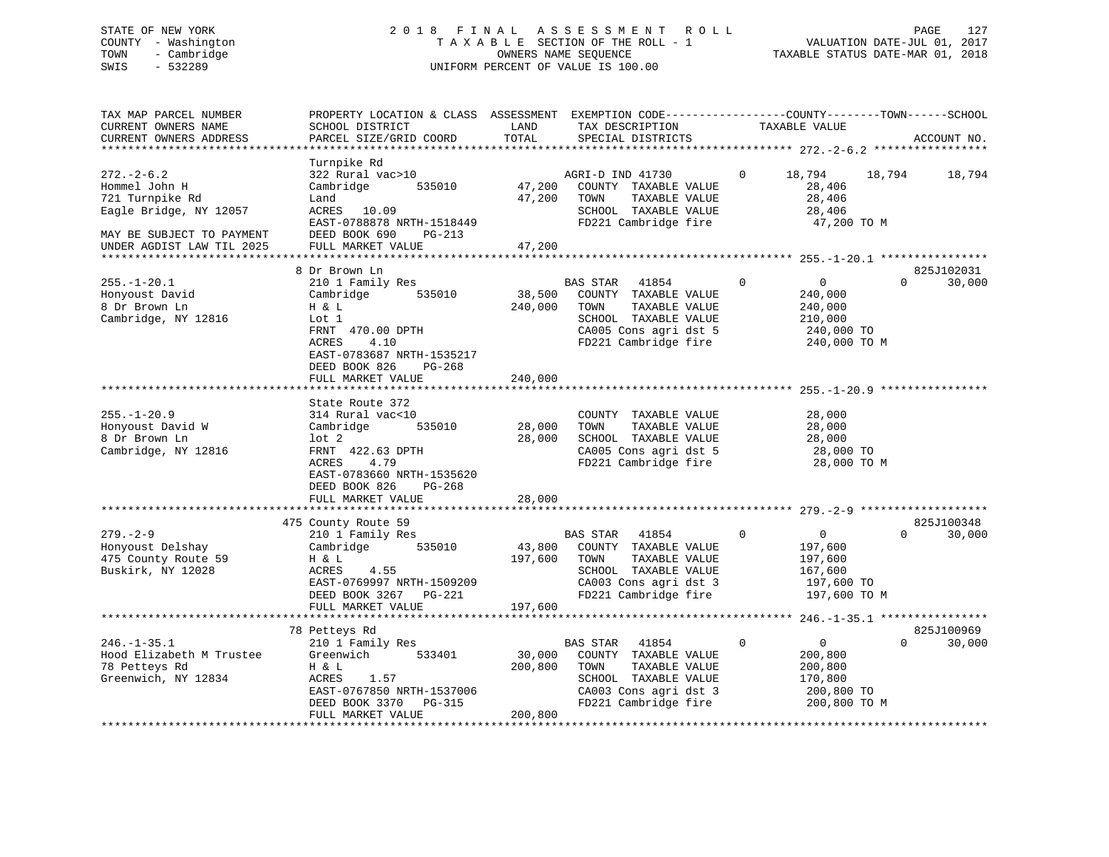# STATE OF NEW YORK 2 0 1 8 F I N A L A S S E S S M E N T R O L L PAGE 127 COUNTY - Washington T A X A B L E SECTION OF THE ROLL - 1 VALUATION DATE-JUL 01, 2017 TOWN - Cambridge OWNERS NAME SEQUENCE TAXABLE STATUS DATE-MAR 01, 2018 SWIS - 532289 UNIFORM PERCENT OF VALUE IS 100.00

| TAX MAP PARCEL NUMBER<br>CURRENT OWNERS NAME<br>CURRENT OWNERS ADDRESS                                                                  | PROPERTY LOCATION & CLASS ASSESSMENT<br>SCHOOL DISTRICT<br>PARCEL SIZE/GRID COORD                                                                          | LAND<br>TOTAL                | EXEMPTION CODE-----------------COUNTY-------TOWN------SCHOOL<br>TAX DESCRIPTION<br>SPECIAL DISTRICTS                                               | TAXABLE VALUE                                                                                | ACCOUNT NO.                      |
|-----------------------------------------------------------------------------------------------------------------------------------------|------------------------------------------------------------------------------------------------------------------------------------------------------------|------------------------------|----------------------------------------------------------------------------------------------------------------------------------------------------|----------------------------------------------------------------------------------------------|----------------------------------|
|                                                                                                                                         |                                                                                                                                                            |                              |                                                                                                                                                    |                                                                                              |                                  |
| $272 - 2 - 6.2$<br>Hommel John H<br>721 Turnpike Rd<br>Eagle Bridge, NY 12057<br>MAY BE SUBJECT TO PAYMENT<br>UNDER AGDIST LAW TIL 2025 | Turnpike Rd<br>322 Rural vac>10<br>Cambridge<br>535010<br>Land<br>ACRES 10.09<br>EAST-0788878 NRTH-1518449<br>DEED BOOK 690<br>PG-213<br>FULL MARKET VALUE | 47,200<br>47,200<br>47,200   | AGRI-D IND 41730<br>COUNTY TAXABLE VALUE<br>TOWN<br>TAXABLE VALUE<br>SCHOOL TAXABLE VALUE<br>FD221 Cambridge fire                                  | $\Omega$<br>18,794<br>28,406<br>28,406<br>28,406<br>47,200 TO M                              | 18,794<br>18,794                 |
|                                                                                                                                         |                                                                                                                                                            |                              |                                                                                                                                                    |                                                                                              |                                  |
| $255. - 1 - 20.1$<br>Honyoust David<br>8 Dr Brown Ln<br>Cambridge, NY 12816                                                             | 8 Dr Brown Ln<br>210 1 Family Res<br>Cambridge<br>535010<br>H & L<br>Lot 1<br>FRNT 470.00 DPTH<br>4.10<br>ACRES<br>EAST-0783687 NRTH-1535217               | 38,500<br>240,000            | <b>BAS STAR</b><br>41854<br>COUNTY TAXABLE VALUE<br>TOWN<br>TAXABLE VALUE<br>SCHOOL TAXABLE VALUE<br>CA005 Cons agri dst 5<br>FD221 Cambridge fire | $\Omega$<br>$\Omega$<br>240,000<br>240,000<br>210,000<br>240,000 TO<br>240,000 TO M          | 825J102031<br>$\Omega$<br>30,000 |
|                                                                                                                                         | DEED BOOK 826<br>PG-268<br>FULL MARKET VALUE                                                                                                               | 240,000                      |                                                                                                                                                    |                                                                                              |                                  |
|                                                                                                                                         | State Route 372                                                                                                                                            |                              |                                                                                                                                                    |                                                                                              |                                  |
| $255. - 1 - 20.9$<br>Honyoust David W<br>8 Dr Brown Ln<br>Cambridge, NY 12816                                                           | 314 Rural vac<10<br>Cambridge<br>535010<br>$1$ ot $2$<br>FRNT 422.63 DPTH<br><b>ACRES</b><br>4.79<br>EAST-0783660 NRTH-1535620<br>DEED BOOK 826<br>PG-268  | 28,000<br>28,000             | COUNTY TAXABLE VALUE<br>TOWN<br>TAXABLE VALUE<br>SCHOOL TAXABLE VALUE<br>CA005 Cons agri dst 5<br>FD221 Cambridge fire                             | 28,000<br>28,000<br>28,000<br>28,000 TO<br>28,000 TO M                                       |                                  |
|                                                                                                                                         | FULL MARKET VALUE                                                                                                                                          | 28,000                       |                                                                                                                                                    |                                                                                              |                                  |
|                                                                                                                                         | ***********************                                                                                                                                    |                              |                                                                                                                                                    |                                                                                              |                                  |
|                                                                                                                                         | 475 County Route 59                                                                                                                                        |                              |                                                                                                                                                    |                                                                                              | 825J100348                       |
| $279. - 2 - 9$<br>Honyoust Delshay<br>475 County Route 59<br>Buskirk, NY 12028                                                          | 210 1 Family Res<br>535010<br>Cambridge<br>H & L<br>4.55<br>ACRES<br>EAST-0769997 NRTH-1509209<br>DEED BOOK 3267<br>PG-221                                 | 43,800<br>197,600            | BAS STAR<br>41854<br>COUNTY TAXABLE VALUE<br>TOWN<br>TAXABLE VALUE<br>SCHOOL TAXABLE VALUE<br>CA003 Cons agri dst 3<br>FD221 Cambridge fire        | $\mathbf 0$<br>$\mathbf 0$<br>197,600<br>197,600<br>167,600<br>197,600 TO<br>197,600 TO M    | 30,000<br>$\Omega$               |
|                                                                                                                                         | FULL MARKET VALUE                                                                                                                                          | 197,600                      |                                                                                                                                                    |                                                                                              | $246. - 1 - 35.1$ ***********    |
|                                                                                                                                         | 78 Petteys Rd                                                                                                                                              |                              |                                                                                                                                                    |                                                                                              | 825J100969                       |
| $246. - 1 - 35.1$<br>Hood Elizabeth M Trustee<br>78 Petteys Rd<br>Greenwich, NY 12834                                                   | 210 1 Family Res<br>Greenwich<br>533401<br>H & L<br>ACRES<br>1.57<br>EAST-0767850 NRTH-1537006<br>DEED BOOK 3370<br>PG-315<br>FULL MARKET VALUE            | 30,000<br>200,800<br>200,800 | BAS STAR<br>41854<br>COUNTY TAXABLE VALUE<br>TOWN<br>TAXABLE VALUE<br>SCHOOL TAXABLE VALUE<br>CA003 Cons agri dst 3<br>FD221 Cambridge fire        | $\mathbf 0$<br>$\overline{0}$<br>200,800<br>200,800<br>170,800<br>200,800 TO<br>200,800 TO M | $\Omega$<br>30,000               |
|                                                                                                                                         |                                                                                                                                                            |                              |                                                                                                                                                    |                                                                                              |                                  |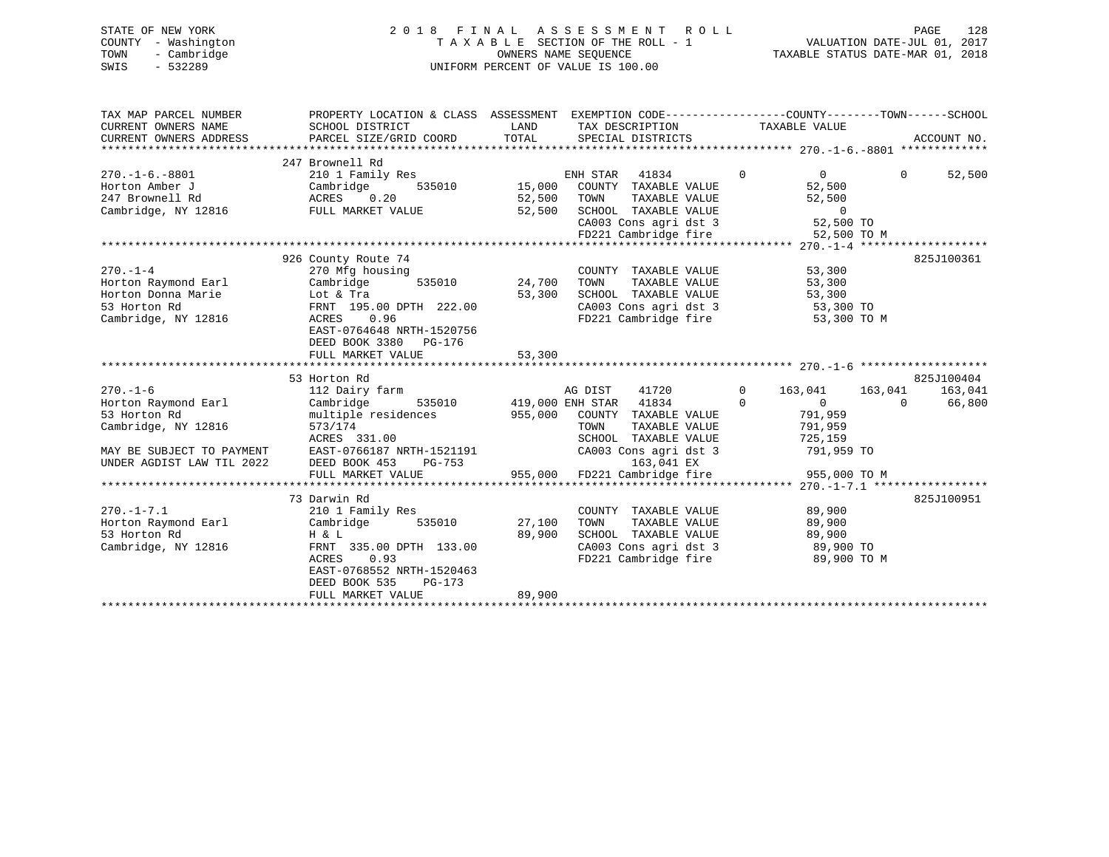## STATE OF NEW YORK 2018 FINAL ASSESSMENT ROLL PAGE 128 COUNTY - Washington  $T A X A B L E$  SECTION OF THE ROLL - 1<br>TOWN - Cambridge  $\sim$  000NERS NAME SEQUENCE TOWN - Cambridge OWNERS NAME SEQUENCE TAXABLE STATUS DATE-MAR 01, 2018 SWIS - 532289 UNIFORM PERCENT OF VALUE IS 100.00

| TAX MAP PARCEL NUMBER<br>CURRENT OWNERS NAME                                                       | PROPERTY LOCATION & CLASS ASSESSMENT EXEMPTION CODE----------------COUNTY-------TOWN------SCHOOL<br>SCHOOL DISTRICT                                                          | LAND                       | TAX DESCRIPTION                                                                                                                             | TAXABLE VALUE                                                                         |                                                        |  |
|----------------------------------------------------------------------------------------------------|------------------------------------------------------------------------------------------------------------------------------------------------------------------------------|----------------------------|---------------------------------------------------------------------------------------------------------------------------------------------|---------------------------------------------------------------------------------------|--------------------------------------------------------|--|
| CURRENT OWNERS ADDRESS                                                                             | PARCEL SIZE/GRID COORD                                                                                                                                                       | TOTAL                      | SPECIAL DISTRICTS                                                                                                                           |                                                                                       | ACCOUNT NO.                                            |  |
|                                                                                                    |                                                                                                                                                                              |                            |                                                                                                                                             |                                                                                       |                                                        |  |
| $270. - 1 - 6. - 8801$<br>Horton Amber J<br>247 Brownell Rd<br>Cambridge, NY 12816                 | 247 Brownell Rd<br>210 1 Family Res<br>Cambridge<br>535010<br>ACRES 0.20<br>FULL MARKET VALUE                                                                                | 15,000<br>52,500<br>52,500 | ENH STAR<br>41834<br>COUNTY TAXABLE VALUE<br>TOWN<br>TAXABLE VALUE<br>SCHOOL TAXABLE VALUE<br>CA003 Cons agri dst 3<br>FD221 Cambridge fire | $\overline{0}$<br>0<br>52,500<br>52,500<br>$\overline{0}$<br>52,500 TO<br>52,500 TO M | $\mathbf{0}$<br>52,500                                 |  |
|                                                                                                    |                                                                                                                                                                              |                            |                                                                                                                                             |                                                                                       |                                                        |  |
| $270. - 1 - 4$<br>Horton Raymond Earl<br>Horton Donna Marie<br>53 Horton Rd<br>Cambridge, NY 12816 | 926 County Route 74<br>270 Mfg housing<br>Cambridge<br>535010<br>Lot & Tra<br>FRNT 195.00 DPTH 222.00<br>0.96<br>ACRES<br>EAST-0764648 NRTH-1520756<br>DEED BOOK 3380 PG-176 | 24,700<br>53,300           | COUNTY TAXABLE VALUE<br>TOWN<br>TAXABLE VALUE<br>SCHOOL TAXABLE VALUE<br>CA003 Cons agri dst 3<br>CA003 Cons agri dst 3                     | 53,300<br>53,300<br>53,300<br>53,300 TO<br>53,300 TO M                                | 825J100361                                             |  |
|                                                                                                    | FULL MARKET VALUE                                                                                                                                                            | 53,300                     |                                                                                                                                             |                                                                                       |                                                        |  |
|                                                                                                    |                                                                                                                                                                              |                            |                                                                                                                                             |                                                                                       |                                                        |  |
| $270. - 1 - 6$<br>Horton Raymond Earl<br>53 Horton Rd<br>Cambridge, NY 12816                       | 53 Horton Rd<br>112 Dairy farm<br>Cambridge<br>535010<br>multiple residences<br>573/174<br>ACRES 331.00                                                                      |                            | 41720<br>AG DIST<br>419,000 ENH STAR 41834<br>955,000 COUNTY TAXABLE VALUE<br>TOWN<br>TAXABLE VALUE<br>SCHOOL TAXABLE VALUE                 | $\Omega$<br>163,041<br>$\Omega$<br>$\overline{0}$<br>791,959<br>791,959<br>725,159    | 825J100404<br>163,041<br>163,041<br>$\Omega$<br>66,800 |  |
| MAY BE SUBJECT TO PAYMENT<br>UNDER AGDIST LAW TIL 2022                                             | EAST-0766187 NRTH-1521191<br>DEED BOOK 453<br>PG-753                                                                                                                         |                            | CA003 Cons agri dst 3<br>163,041 EX                                                                                                         | 791,959 TO                                                                            |                                                        |  |
|                                                                                                    | FULL MARKET VALUE                                                                                                                                                            | 955,000                    | FD221 Cambridge fire                                                                                                                        | 955,000 TO M                                                                          |                                                        |  |
|                                                                                                    | 73 Darwin Rd                                                                                                                                                                 |                            |                                                                                                                                             |                                                                                       | 825J100951                                             |  |
| $270. - 1 - 7.1$<br>Horton Raymond Earl<br>53 Horton Rd<br>Cambridge, NY 12816                     | 210 1 Family Res<br>535010<br>Cambridge<br>H & L<br>FRNT 335.00 DPTH 133.00<br>0.93<br>ACRES<br>EAST-0768552 NRTH-1520463<br>DEED BOOK 535<br>$PG-173$                       | 27,100<br>89,900           | COUNTY TAXABLE VALUE<br>TAXABLE VALUE<br>TOWN<br>SCHOOL TAXABLE VALUE<br>CA003 Cons agri dst 3<br>FD221 Cambridge fire                      | 89,900<br>89,900<br>89,900<br>89,900 TO<br>89,900 TO M                                |                                                        |  |
|                                                                                                    | FULL MARKET VALUE                                                                                                                                                            | 89,900                     |                                                                                                                                             |                                                                                       |                                                        |  |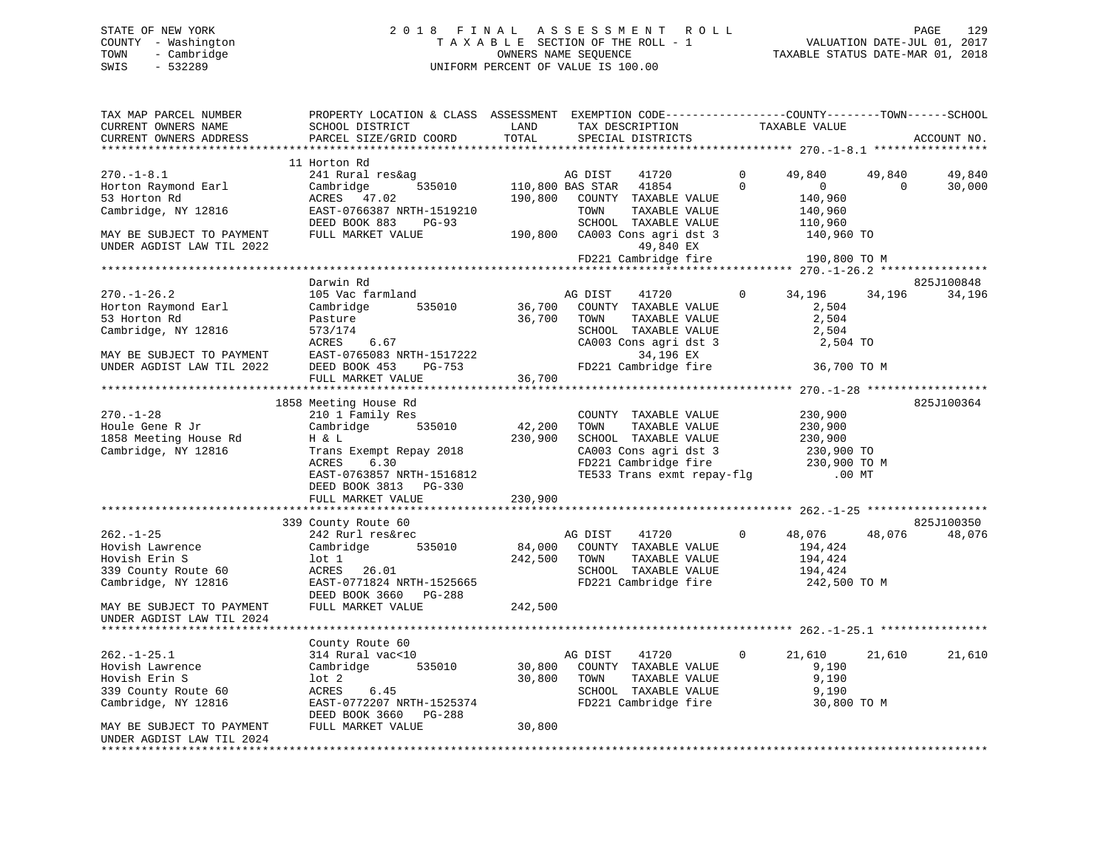# STATE OF NEW YORK 2 0 1 8 F I N A L A S S E S S M E N T R O L L PAGE 129 COUNTY - Washington T A X A B L E SECTION OF THE ROLL - 1 VALUATION DATE-JUL 01, 2017 TOWN - Cambridge OWNERS NAME SEQUENCE TAXABLE STATUS DATE-MAR 01, 2018 SWIS - 532289 UNIFORM PERCENT OF VALUE IS 100.00

| TAX MAP PARCEL NUMBER<br>CURRENT OWNERS NAME<br>CURRENT OWNERS ADDRESS                              | PROPERTY LOCATION & CLASS ASSESSMENT EXEMPTION CODE----------------COUNTY-------TOWN-----SCHOOL<br>SCHOOL DISTRICT<br>PARCEL SIZE/GRID COORD       | LAND<br>TOTAL     | TAX DESCRIPTION<br>SPECIAL DISTRICTS                                                                                                                                                                              |                      | TAXABLE VALUE                                           |                    | ACCOUNT NO.          |
|-----------------------------------------------------------------------------------------------------|----------------------------------------------------------------------------------------------------------------------------------------------------|-------------------|-------------------------------------------------------------------------------------------------------------------------------------------------------------------------------------------------------------------|----------------------|---------------------------------------------------------|--------------------|----------------------|
| **********************                                                                              |                                                                                                                                                    |                   |                                                                                                                                                                                                                   |                      |                                                         |                    |                      |
| $270. - 1 - 8.1$<br>Horton Raymond Earl<br>53 Horton Rd<br>Cambridge, NY 12816                      | 11 Horton Rd<br>241 Rural res&ag<br>Cambridge<br>535010<br>ACRES 47.02<br>EAST-0766387 NRTH-1519210                                                | 190,800           | AG DIST<br>41720<br>110,800 BAS STAR 41854<br>COUNTY TAXABLE VALUE<br>TOWN<br>TAXABLE VALUE                                                                                                                       | $\Omega$<br>$\Omega$ | 49,840<br>$\Omega$<br>140,960<br>140,960                | 49,840<br>$\Omega$ | 49,840<br>30,000     |
| MAY BE SUBJECT TO PAYMENT<br>UNDER AGDIST LAW TIL 2022                                              | DEED BOOK 883<br>PG-93<br>FULL MARKET VALUE                                                                                                        |                   | SCHOOL TAXABLE VALUE<br>190,800 CA003 Cons agri dst 3<br>49,840 EX<br>FD221 Cambridge fire                                                                                                                        |                      | 110,960<br>140,960 TO<br>190,800 TO M                   |                    |                      |
|                                                                                                     |                                                                                                                                                    |                   |                                                                                                                                                                                                                   |                      |                                                         |                    |                      |
| $270. - 1 - 26.2$<br>Horton Raymond Earl<br>53 Horton Rd                                            | Darwin Rd<br>105 Vac farmland<br>Cambridge<br>535010<br>Pasture                                                                                    | 36,700<br>36,700  | AG DIST<br>41720<br>COUNTY TAXABLE VALUE<br>TOWN<br>TAXABLE VALUE                                                                                                                                                 | $\mathbf{0}$         | 34,196<br>2,504<br>2,504                                | 34,196             | 825J100848<br>34,196 |
| Cambridge, NY 12816<br>MAY BE SUBJECT TO PAYMENT<br>UNDER AGDIST LAW TIL 2022                       | 573/174<br>6.67<br>ACRES<br>EAST-0765083 NRTH-1517222<br>DEED BOOK 453<br>PG-753<br>FULL MARKET VALUE                                              | 36,700            | SCHOOL TAXABLE VALUE<br>CA003 Cons agri dst 3<br>34,196 EX<br>FD221 Cambridge fire                                                                                                                                |                      | 2,504<br>2,504 TO<br>36,700 TO M                        |                    |                      |
|                                                                                                     |                                                                                                                                                    |                   |                                                                                                                                                                                                                   |                      |                                                         |                    |                      |
|                                                                                                     | 1858 Meeting House Rd                                                                                                                              |                   |                                                                                                                                                                                                                   |                      |                                                         |                    | 825J100364           |
| $270. - 1 - 28$<br>Houle Gene R Jr<br>1858 Meeting House Rd<br>Cambridge, NY 12816                  | 210 1 Family Res<br>Cambridge<br>535010<br>H & L<br>Trans Exempt Repay 2018<br>ACRES<br>6.30<br>EAST-0763857 NRTH-1516812<br>DEED BOOK 3813 PG-330 | 42,200<br>230,900 | COUNTY TAXABLE VALUE<br>TOWN<br>TAXABLE VALUE<br>SCHOOL TAXABLE VALUE<br>CA003 Cons agri dst 3<br>CA003 Cons agri dst 3 (230,900 TO<br>FD221 Cambridge fire (230,900 TO M<br>TE533 Trans exmt repay-flg (0.00 MT) |                      | 230,900<br>230,900<br>230,900<br>230,900 TO             |                    |                      |
|                                                                                                     | FULL MARKET VALUE                                                                                                                                  | 230,900           |                                                                                                                                                                                                                   |                      |                                                         |                    |                      |
|                                                                                                     |                                                                                                                                                    |                   |                                                                                                                                                                                                                   |                      |                                                         |                    |                      |
| $262. - 1 - 25$<br>Hovish Lawrence<br>Hovish Erin S<br>339 County Route 60<br>Cambridge, NY 12816   | 339 County Route 60<br>242 Rurl res&rec<br>Cambridge<br>535010<br>lot 1<br>ACRES 26.01<br>EAST-0771824 NRTH-1525665<br>DEED BOOK 3660 PG-288       | 84,000<br>242,500 | 41720<br>AG DIST<br>COUNTY TAXABLE VALUE<br>TOWN<br>TAXABLE VALUE<br>SCHOOL TAXABLE VALUE<br>FD221 Cambridge fire                                                                                                 | $\Omega$             | 48,076<br>194,424<br>194,424<br>194,424<br>242,500 TO M | 48,076             | 825J100350<br>48,076 |
| MAY BE SUBJECT TO PAYMENT<br>UNDER AGDIST LAW TIL 2024                                              | FULL MARKET VALUE                                                                                                                                  | 242,500           |                                                                                                                                                                                                                   |                      |                                                         |                    |                      |
|                                                                                                     | County Route 60                                                                                                                                    |                   |                                                                                                                                                                                                                   |                      |                                                         |                    |                      |
| $262. - 1 - 25.1$<br>Hovish Lawrence<br>Hovish Erin S<br>339 County Route 60<br>Cambridge, NY 12816 | 314 Rural vac<10<br>535010<br>Cambridge<br>lot 2<br>ACRES<br>6.45<br>EAST-0772207 NRTH-1525374                                                     | 30,800<br>30,800  | AG DIST<br>41720<br>COUNTY TAXABLE VALUE<br>TOWN<br>TAXABLE VALUE<br>SCHOOL TAXABLE VALUE<br>FD221 Cambridge fire                                                                                                 | $\mathbf{0}$         | 21,610<br>9,190<br>9,190<br>9,190<br>30,800 TO M        | 21,610             | 21,610               |
| MAY BE SUBJECT TO PAYMENT<br>UNDER AGDIST LAW TIL 2024                                              | DEED BOOK 3660 PG-288<br>FULL MARKET VALUE                                                                                                         | 30,800            |                                                                                                                                                                                                                   |                      |                                                         |                    |                      |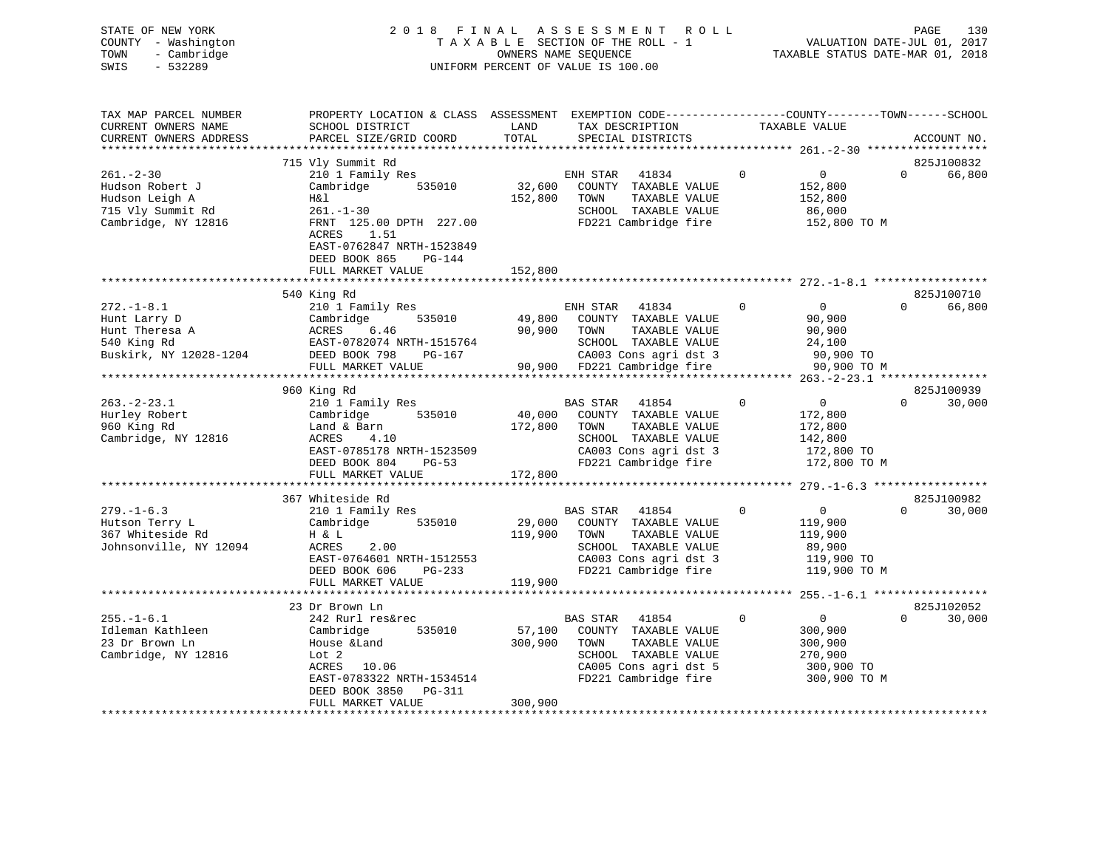| STATE OF NEW YORK<br>COUNTY - Washington<br>- Cambridge<br>TOWN<br>SWIS<br>$-532289$             | 2 0 1 8                                                                                                                                                                                      | TAXABLE SECTION OF THE ROLL - 1<br>OWNERS NAME SEQUENCE<br>UNIFORM PERCENT OF VALUE IS 100.00 |                                              | FINAL ASSESSMENT ROLL                                                                                                          |              | VALUATION DATE-JUL 01, 2017<br>TAXABLE STATUS DATE-MAR 01, 2018               | PAGE     | 130                  |
|--------------------------------------------------------------------------------------------------|----------------------------------------------------------------------------------------------------------------------------------------------------------------------------------------------|-----------------------------------------------------------------------------------------------|----------------------------------------------|--------------------------------------------------------------------------------------------------------------------------------|--------------|-------------------------------------------------------------------------------|----------|----------------------|
| TAX MAP PARCEL NUMBER<br>CURRENT OWNERS NAME<br>CURRENT OWNERS ADDRESS                           | PROPERTY LOCATION & CLASS ASSESSMENT EXEMPTION CODE----------------COUNTY-------TOWN------SCHOOL<br>SCHOOL DISTRICT<br>PARCEL SIZE/GRID COORD                                                | LAND<br>TOTAL                                                                                 |                                              | TAX DESCRIPTION<br>SPECIAL DISTRICTS                                                                                           |              | TAXABLE VALUE                                                                 |          | ACCOUNT NO.          |
|                                                                                                  |                                                                                                                                                                                              |                                                                                               |                                              |                                                                                                                                |              |                                                                               |          |                      |
| $261. - 2 - 30$<br>Hudson Robert J<br>Hudson Leigh A<br>715 Vly Summit Rd<br>Cambridge, NY 12816 | 715 Vly Summit Rd<br>210 1 Family Res<br>Cambridge<br>535010<br>H&l<br>$261. - 1 - 30$<br>FRNT 125.00 DPTH 227.00<br>1.51<br>ACRES<br>EAST-0762847 NRTH-1523849<br>DEED BOOK 865<br>$PG-144$ | 32,600<br>152,800                                                                             | ENH STAR<br>TOWN                             | 41834<br>COUNTY TAXABLE VALUE<br>TAXABLE VALUE<br>SCHOOL TAXABLE VALUE<br>FD221 Cambridge fire                                 | $\mathbf{0}$ | $\overline{0}$<br>152,800<br>152,800<br>86,000<br>152,800 TO M                | $\Omega$ | 825J100832<br>66,800 |
|                                                                                                  | FULL MARKET VALUE                                                                                                                                                                            | 152,800                                                                                       |                                              |                                                                                                                                |              |                                                                               |          |                      |
|                                                                                                  |                                                                                                                                                                                              |                                                                                               |                                              |                                                                                                                                |              |                                                                               |          |                      |
|                                                                                                  | 540 King Rd                                                                                                                                                                                  |                                                                                               |                                              |                                                                                                                                |              |                                                                               |          | 825J100710           |
| $272. - 1 - 8.1$<br>Hunt Larry D<br>Hunt Theresa A<br>540 King Rd<br>Buskirk, NY 12028-1204      | 210 1 Family Res<br>535010<br>Cambridge<br>ACRES<br>6.46<br>EAST-0782074 NRTH-1515764<br>DEED BOOK 798<br>PG-167<br>FULL MARKET VALUE                                                        | 49,800<br>90,900                                                                              | ENH STAR<br>TOWN                             | 41834<br>COUNTY TAXABLE VALUE<br>TAXABLE VALUE<br>SCHOOL TAXABLE VALUE<br>CA003 Cons agri dst 3<br>90,900 FD221 Cambridge fire | $\mathbf 0$  | $\overline{0}$<br>90,900<br>90,900<br>24,100<br>90,900 TO<br>90,900 TO M      | $\Omega$ | 66,800               |
|                                                                                                  |                                                                                                                                                                                              |                                                                                               |                                              |                                                                                                                                |              |                                                                               |          |                      |
|                                                                                                  | 960 King Rd                                                                                                                                                                                  |                                                                                               |                                              |                                                                                                                                |              |                                                                               |          | 825J100939           |
| $263. - 2 - 23.1$<br>Hurley Robert<br>960 King Rd<br>Cambridge, NY 12816                         | 210 1 Family Res<br>535010<br>Cambridge<br>Land & Barn<br>4.10<br><b>ACRES</b><br>EAST-0785178 NRTH-1523509<br>DEED BOOK 804<br>$PG-53$<br>FULL MARKET VALUE                                 | 40,000<br>172,800<br>172,800                                                                  | <b>BAS STAR</b><br>TOWN                      | 41854<br>COUNTY TAXABLE VALUE<br>TAXABLE VALUE<br>SCHOOL TAXABLE VALUE<br>CA003 Cons agri dst 3<br>FD221 Cambridge fire        | $\mathbf 0$  | $\overline{0}$<br>172,800<br>172,800<br>142,800<br>172,800 TO<br>172,800 TO M | $\Omega$ | 30,000               |
|                                                                                                  |                                                                                                                                                                                              |                                                                                               |                                              |                                                                                                                                |              |                                                                               |          |                      |
| $279. - 1 - 6.3$<br>Hutson Terry L<br>$2000 - 200$                                               | 367 Whiteside Rd<br>210 1 Family Res<br>Cambridge<br>535010<br>$\mathbf{r}$ $\mathbf{r}$ $\mathbf{r}$ $\mathbf{r}$ $\mathbf{r}$                                                              | 29,000                                                                                        | <b>BAS STAR</b><br>COUNTY<br>$110,000$ mount | 41854<br>TAXABLE VALUE<br>max1255777                                                                                           | $\Omega$     | $\overline{0}$<br>119,900<br>110 000                                          | $\Omega$ | 825J100982<br>30,000 |

| 367 Whiteside Rd       | H & L                     | 119,900 | TOWN     | TAXABLE VALUE         |          | 119,900          |                   |
|------------------------|---------------------------|---------|----------|-----------------------|----------|------------------|-------------------|
| Johnsonville, NY 12094 | 2.00<br>ACRES             |         | SCHOOL   | TAXABLE VALUE         |          | 89,900           |                   |
|                        | EAST-0764601 NRTH-1512553 |         |          | CA003 Cons agri dst 3 |          | 119,900 TO       |                   |
|                        | DEED BOOK 606<br>PG-233   |         |          | FD221 Cambridge fire  |          | 119,900 TO M     |                   |
|                        | FULL MARKET VALUE         | 119,900 |          |                       |          |                  |                   |
|                        |                           |         |          |                       |          | $255. - 1 - 6.1$ | ***************** |
|                        | 23 Dr Brown Ln            |         |          |                       |          |                  | 825J102052        |
| $255. - 1 - 6.1$       | 242 Rurl res&rec          |         | BAS STAR | 41854                 | $\Omega$ |                  | 30,000            |
| Idleman Kathleen       | Cambridge<br>535010       | 57,100  | COUNTY   | TAXABLE VALUE         |          | 300,900          |                   |
| 23 Dr Brown Ln         | House &Land               | 300,900 | TOWN     | TAXABLE VALUE         |          | 300,900          |                   |
| Cambridge, NY 12816    | Lot 2                     |         | SCHOOL   | TAXABLE VALUE         |          | 270,900          |                   |
|                        | 10.06<br>ACRES            |         |          | CA005 Cons agri dst 5 |          | 300,900 TO       |                   |
|                        | EAST-0783322 NRTH-1534514 |         |          | FD221 Cambridge fire  |          | 300,900 TO M     |                   |
|                        | DEED BOOK 3850<br>PG-311  |         |          |                       |          |                  |                   |
|                        | FULL MARKET VALUE         | 300,900 |          |                       |          |                  |                   |
|                        |                           |         |          |                       |          |                  |                   |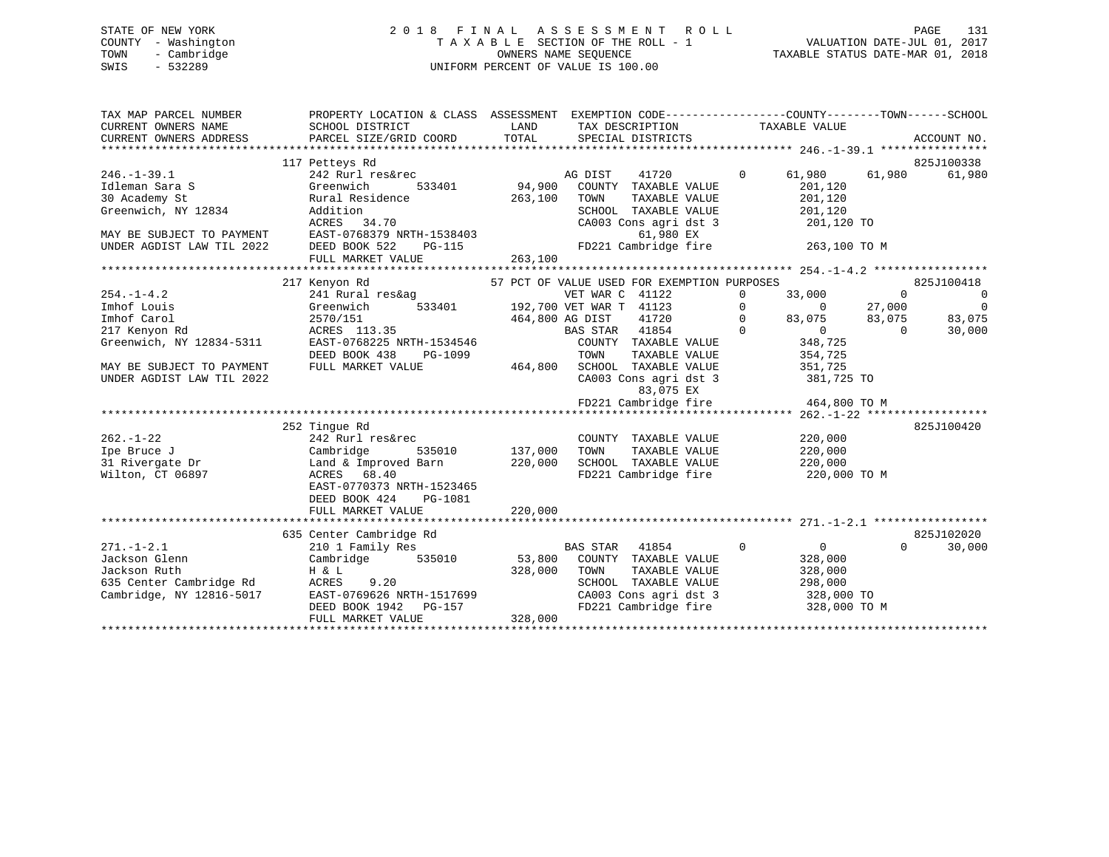STATE OF NEW YORK 2 0 1 8 F I N A L A S S E S S M E N T R O L L PAGE 131 COUNTY - Washington T A X A B L E SECTION OF THE ROLL - 1 VALUATION DATE-JUL 01, 2017 TOWN - Cambridge OWNERS NAME SEQUENCE TAXABLE STATUS DATE-MAR 01, 2018 SWIS - 532289 UNIFORM PERCENT OF VALUE IS 100.00 TAX MAP PARCEL NUMBER PROPERTY LOCATION & CLASS ASSESSMENT EXEMPTION CODE------------------COUNTY--------TOWN------SCHOOL CURRENT OWNERS NAME SCHOOL DISTRICT LAND TAX DESCRIPTION TAXABLE VALUE CURRENT OWNERS ADDRESS PARCEL SIZE/GRID COORD TOTAL SPECIAL DISTRICTS ACCOUNT NO. \*\*\*\*\*\*\*\*\*\*\*\*\*\*\*\*\*\*\*\*\*\*\*\*\*\*\*\*\*\*\*\*\*\*\*\*\*\*\*\*\*\*\*\*\*\*\*\*\*\*\*\*\*\*\*\*\*\*\*\*\*\*\*\*\*\*\*\*\*\*\*\*\*\*\*\*\*\*\*\*\*\*\*\*\*\*\*\*\*\*\*\*\*\*\*\*\*\*\*\*\*\*\* 246.-1-39.1 \*\*\*\*\*\*\*\*\*\*\*\*\*\*\*\*825J100338 117 Petteys Rd 825J100338 246.-1-39.1 242 Rurl res&rec AG DIST 41720 0 61,980 61,980 61,980 Idleman Sara S Greenwich 533401 94,900 COUNTY TAXABLE VALUE 201,120 30 Academy St Rural Residence 263,100 TOWN TAXABLE VALUE 201,120 Greenwich, NY 12834 Addition SCHOOL TAXABLE VALUE 201,120 ACRES 34.70 CA003 Cons agri dst 3 201,120 TO MAY BE SUBJECT TO PAYMENT EAST-0768379 NRTH-1538403 61,980 EX UNDER AGDIST LAW TIL 2022 DEED BOOK 522 PG-115 FD221 Cambridge fire 263,100 TO M FULL MARKET VALUE 263,100 \*\*\*\*\*\*\*\*\*\*\*\*\*\*\*\*\*\*\*\*\*\*\*\*\*\*\*\*\*\*\*\*\*\*\*\*\*\*\*\*\*\*\*\*\*\*\*\*\*\*\*\*\*\*\*\*\*\*\*\*\*\*\*\*\*\*\*\*\*\*\*\*\*\*\*\*\*\*\*\*\*\*\*\*\*\*\*\*\*\*\*\*\*\*\*\*\*\*\*\*\*\*\* 254.-1-4.2 \*\*\*\*\*\*\*\*\*\*\*\*\*\*\*\*\* 217 Kenyon Rd 57 PCT OF VALUE USED FOR EXEMPTION PURPOSES 825J100418 254.-1-4.2 241 Rural res&ag VET WAR C 41122 0 33,000 0 0 Imhof Louis Greenwich 533401 192,700 VET WAR T 41123 0 0 27,000 0 Imhof Carol 2570/151 464,800 AG DIST 41720 0 83,075 83,075 83,075 217 Kenyon Rd ACRES 113.35 BAS STAR 41854 0 0 0 30,000 Greenwich, NY 12834-5311 EAST-0768225 NRTH-1534546 COUNTY TAXABLE VALUE 348,725 DEED BOOK 438 PG-1099 TOWN TAXABLE VALUE 354,725 MAY BE SUBJECT TO PAYMENT FULL MARKET VALUE 464,800 SCHOOL TAXABLE VALUE 351,725

UNDER AGDIST LAW TIL 2022 CA003 Cons agri dst 3 381,725 TO 83,075 EX FD221 Cambridge fire 464,800 TO M \*\*\*\*\*\*\*\*\*\*\*\*\*\*\*\*\*\*\*\*\*\*\*\*\*\*\*\*\*\*\*\*\*\*\*\*\*\*\*\*\*\*\*\*\*\*\*\*\*\*\*\*\*\*\*\*\*\*\*\*\*\*\*\*\*\*\*\*\*\*\*\*\*\*\*\*\*\*\*\*\*\*\*\*\*\*\*\*\*\*\*\*\*\*\*\*\*\*\*\*\*\*\* 262.-1-22 \*\*\*\*\*\*\*\*\*\*\*\*\*\*\*\*\*\*825J100420 252 Tingue Rd 825J100420 262.-1-22 242 Rurl res&rec COUNTY TAXABLE VALUE 220,000 Ipe Bruce J Cambridge 535010 137,000 TOWN TAXABLE VALUE 220,000 31 Rivergate Dr Land & Improved Barn 220,000 SCHOOL TAXABLE VALUE 220,000 Wilton, CT 06897 ACRES 68.40 FD221 Cambridge fire 220,000 TO M EAST-0770373 NRTH-1523465 DEED BOOK 424 PG-1081 FULL MARKET VALUE 220,000 \*\*\*\*\*\*\*\*\*\*\*\*\*\*\*\*\*\*\*\*\*\*\*\*\*\*\*\*\*\*\*\*\*\*\*\*\*\*\*\*\*\*\*\*\*\*\*\*\*\*\*\*\*\*\*\*\*\*\*\*\*\*\*\*\*\*\*\*\*\*\*\*\*\*\*\*\*\*\*\*\*\*\*\*\*\*\*\*\*\*\*\*\*\*\*\*\*\*\*\*\*\*\* 271.-1-2.1 \*\*\*\*\*\*\*\*\*\*\*\*\*\*\*\*\*825J102020 635 Center Cambridge Rd 825J102020 271.-1-2.1 210 1 Family Res BAS STAR 41854 0 0 0 30,000 Jackson Glenn Cambridge 535010 53,800 COUNTY TAXABLE VALUE 328,000 Jackson Ruth H & L 328,000 TOWN TAXABLE VALUE 328,000 635 Center Cambridge Rd ACRES 9.20 SCHOOL TAXABLE VALUE 298,000 Cambridge, NY 12816-5017 EAST-0769626 NRTH-1517699 CA003 Cons agri dst 3 328,000 TO DEED BOOK 1942 PG-157 FD221 Cambridge fire 328,000 TO M FULL MARKET VALUE 328,000 \*\*\*\*\*\*\*\*\*\*\*\*\*\*\*\*\*\*\*\*\*\*\*\*\*\*\*\*\*\*\*\*\*\*\*\*\*\*\*\*\*\*\*\*\*\*\*\*\*\*\*\*\*\*\*\*\*\*\*\*\*\*\*\*\*\*\*\*\*\*\*\*\*\*\*\*\*\*\*\*\*\*\*\*\*\*\*\*\*\*\*\*\*\*\*\*\*\*\*\*\*\*\*\*\*\*\*\*\*\*\*\*\*\*\*\*\*\*\*\*\*\*\*\*\*\*\*\*\*\*\*\*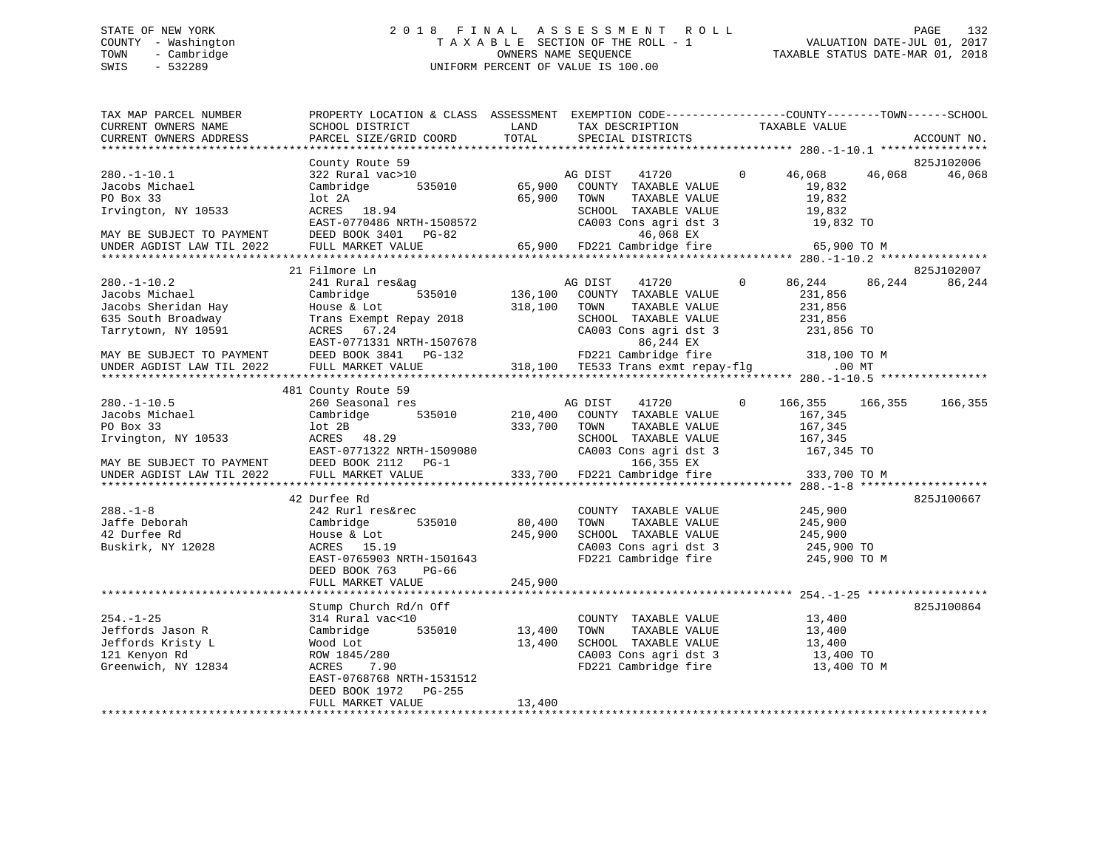# STATE OF NEW YORK 2 0 1 8 F I N A L A S S E S S M E N T R O L L PAGE 132 COUNTY - Washington T A X A B L E SECTION OF THE ROLL - 1 VALUATION DATE-JUL 01, 2017 TOWN - Cambridge OWNERS NAME SEQUENCE TAXABLE STATUS DATE-MAR 01, 2018 SWIS - 532289 UNIFORM PERCENT OF VALUE IS 100.00

| TAX MAP PARCEL NUMBER<br>CURRENT OWNERS NAME<br>CURRENT OWNERS ADDRESS                                  | PROPERTY LOCATION & CLASS ASSESSMENT<br>SCHOOL DISTRICT<br>PARCEL SIZE/GRID COORD                                                             | LAND<br>TOTAL                | EXEMPTION CODE-----------------COUNTY-------TOWN------SCHOOL<br>TAX DESCRIPTION<br>SPECIAL DISTRICTS                            | TAXABLE VALUE                                                          |          | ACCOUNT NO. |
|---------------------------------------------------------------------------------------------------------|-----------------------------------------------------------------------------------------------------------------------------------------------|------------------------------|---------------------------------------------------------------------------------------------------------------------------------|------------------------------------------------------------------------|----------|-------------|
|                                                                                                         |                                                                                                                                               |                              |                                                                                                                                 |                                                                        |          |             |
|                                                                                                         | County Route 59                                                                                                                               |                              |                                                                                                                                 |                                                                        |          | 825J102006  |
| $280. - 1 - 10.1$<br>Jacobs Michael<br>PO Box 33<br>Irvington, NY 10533                                 | 322 Rural vac>10<br>535010<br>Cambridge<br>lot 2A<br>ACRES 18.94<br>EAST-0770486 NRTH-1508572                                                 | 65,900<br>65,900             | AG DIST<br>41720<br>COUNTY TAXABLE VALUE<br>TAXABLE VALUE<br>TOWN<br>SCHOOL TAXABLE VALUE<br>CA003 Cons agri dst 3              | $\Omega$<br>46,068<br>19,832<br>19,832<br>19,832<br>19,832 TO          | 46,068   | 46,068      |
| MAY BE SUBJECT TO PAYMENT<br>UNDER AGDIST LAW TIL 2022                                                  | DEED BOOK 3401 PG-82<br>FULL MARKET VALUE                                                                                                     | 65,900                       | 46,068 EX<br>FD221 Cambridge fire                                                                                               | 65,900 TO M                                                            |          |             |
|                                                                                                         |                                                                                                                                               |                              |                                                                                                                                 |                                                                        |          |             |
|                                                                                                         | 21 Filmore Ln                                                                                                                                 |                              |                                                                                                                                 |                                                                        |          | 825J102007  |
| $280. - 1 - 10.2$<br>Jacobs Michael<br>Jacobs Sheridan Hay<br>635 South Broadway<br>Tarrytown, NY 10591 | 241 Rural res&ag<br>535010<br>Cambridge<br>House & Lot<br>Trans Exempt Repay 2018<br>ACRES 67.24<br>EAST-0771331 NRTH-1507678                 | 136,100<br>318,100           | 41720<br>AG DIST<br>COUNTY TAXABLE VALUE<br>TOWN<br>TAXABLE VALUE<br>SCHOOL TAXABLE VALUE<br>CA003 Cons agri dst 3<br>86,244 EX | 86,244<br>$\mathbf{0}$<br>231,856<br>231,856<br>231,856<br>231,856 TO  | 86,244   | 86,244      |
| MAY BE SUBJECT TO PAYMENT                                                                               | DEED BOOK 3841<br>PG-132                                                                                                                      |                              | FD221 Cambridge fire                                                                                                            | 318,100 TO M                                                           |          |             |
| UNDER AGDIST LAW TIL 2022                                                                               | FULL MARKET VALUE                                                                                                                             |                              | 318,100 TE533 Trans exmt repay-flg                                                                                              |                                                                        | $.00$ MT |             |
|                                                                                                         |                                                                                                                                               |                              |                                                                                                                                 |                                                                        |          |             |
| $280. - 1 - 10.5$<br>Jacobs Michael<br>PO Box 33<br>Irvington, NY 10533                                 | 481 County Route 59<br>260 Seasonal res<br>Cambridge 535010<br>lot 2B<br>ACRES 48.29<br>EAST-0771322 NRTH-1509080                             | 210,400<br>333,700           | 41720<br>AG DIST<br>COUNTY TAXABLE VALUE<br>TOWN<br>TAXABLE VALUE<br>SCHOOL TAXABLE VALUE<br>CA003 Cons agri dst 3              | $\mathbf{0}$<br>166,355<br>167,345<br>167,345<br>167,345<br>167,345 TO | 166,355  | 166,355     |
| MAY BE SUBJECT TO PAYMENT                                                                               | DEED BOOK 2112 PG-1                                                                                                                           |                              | 166,355 EX                                                                                                                      |                                                                        |          |             |
| UNDER AGDIST LAW TIL 2022                                                                               | FULL MARKET VALUE                                                                                                                             | 333,700                      | FD221 Cambridge fire                                                                                                            | 333,700 TO M                                                           |          |             |
|                                                                                                         | 42 Durfee Rd                                                                                                                                  |                              |                                                                                                                                 |                                                                        |          | 825J100667  |
| $288. - 1 - 8$<br>Jaffe Deborah<br>42 Durfee Rd<br>Buskirk, NY 12028                                    | 242 Rurl res&rec<br>Cambridge<br>535010<br>House & Lot<br>ACRES 15.19<br>EAST-0765903 NRTH-1501643<br>DEED BOOK 763<br>$PG-66$                | 80,400<br>245,900<br>245,900 | COUNTY TAXABLE VALUE<br>TOWN<br>TAXABLE VALUE<br>SCHOOL TAXABLE VALUE<br>CA003 Cons agri dst 3<br>FD221 Cambridge fire          | 245,900<br>245,900<br>245,900<br>245,900 TO<br>245,900 TO M            |          |             |
|                                                                                                         | FULL MARKET VALUE                                                                                                                             |                              |                                                                                                                                 |                                                                        |          |             |
|                                                                                                         | Stump Church Rd/n Off                                                                                                                         |                              |                                                                                                                                 |                                                                        |          | 825J100864  |
| $254. - 1 - 25$<br>Jeffords Jason R<br>Jeffords Kristy L<br>121 Kenyon Rd<br>Greenwich, NY 12834        | 314 Rural vac<10<br>535010<br>Cambridge<br>Wood Lot<br>ROW 1845/280<br>7.90<br>ACRES<br>EAST-0768768 NRTH-1531512<br>DEED BOOK 1972<br>PG-255 | 13,400<br>13,400             | COUNTY TAXABLE VALUE<br>TAXABLE VALUE<br>TOWN<br>SCHOOL TAXABLE VALUE<br>CA003 Cons agri dst 3<br>FD221 Cambridge fire          | 13,400<br>13,400<br>13,400<br>13,400 TO<br>13,400 TO M                 |          |             |
|                                                                                                         | FULL MARKET VALUE                                                                                                                             | 13,400                       |                                                                                                                                 |                                                                        |          |             |
|                                                                                                         |                                                                                                                                               |                              |                                                                                                                                 |                                                                        |          |             |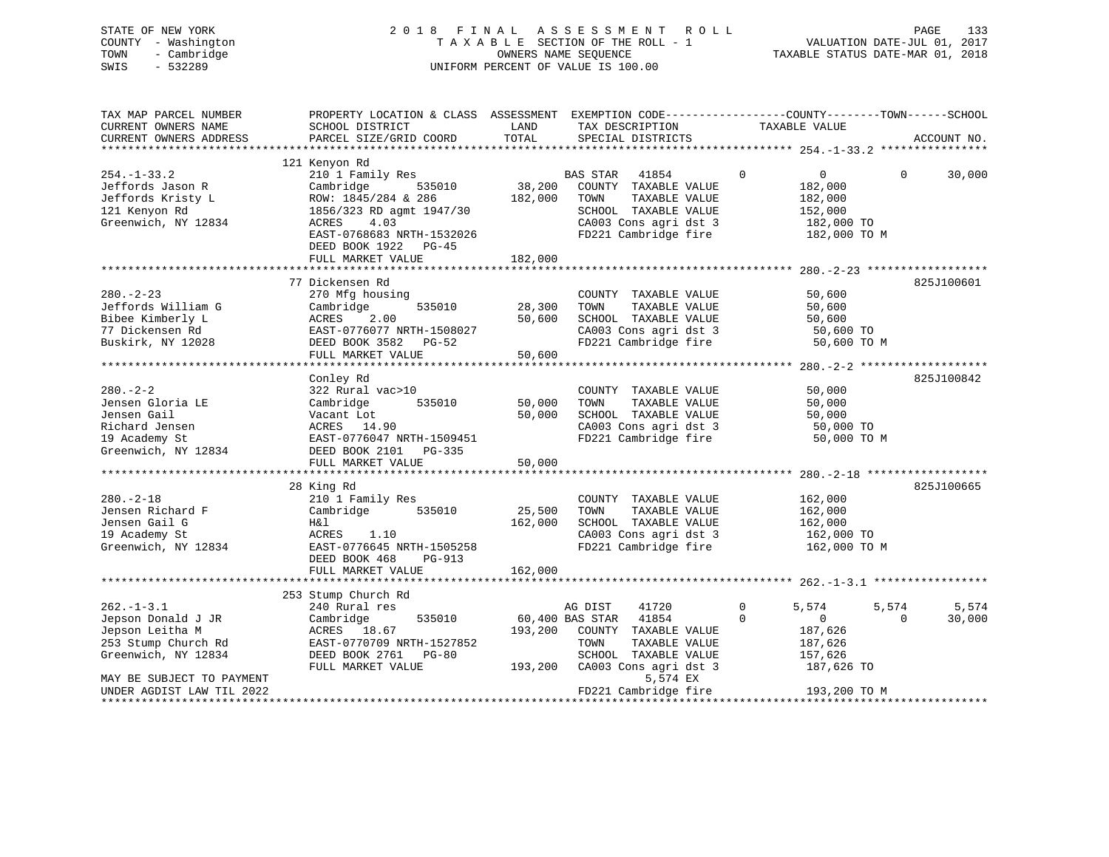| STATE OF NEW YORK      | 2 0 1 8                              | F I N A L | ASSESSMENT ROLL                                                   |                                  | 133<br>PAGE       |
|------------------------|--------------------------------------|-----------|-------------------------------------------------------------------|----------------------------------|-------------------|
| - Washington<br>COUNTY |                                      |           | T A X A B L E SECTION OF THE ROLL - 1 WALUATION DATE-JUL 01, 2017 |                                  |                   |
| TOWN<br>- Cambridge    |                                      |           | OWNERS NAME SEQUENCE                                              | TAXABLE STATUS DATE-MAR 01, 2018 |                   |
| SWIS<br>$-532289$      |                                      |           | UNIFORM PERCENT OF VALUE IS 100.00                                |                                  |                   |
|                        |                                      |           |                                                                   |                                  |                   |
| TAX MAP PARCEL NUMBER  | PROPERTY LOCATION & CLASS ASSESSMENT |           | EXEMPTION CODE-----------------COUNTY-------TOWN------SCHOOL      |                                  |                   |
| CURRENT OWNERS NAME    | SCHOOL DISTRICT                      | LAND      | TAX DESCRIPTION                                                   | TAXABLE VALUE                    |                   |
| CURRENT OWNERS ADDRESS | PARCEL SIZE/GRID COORD               | TOTAL     | SPECIAL DISTRICTS                                                 |                                  | ACCOUNT NO.       |
|                        |                                      |           |                                                                   |                                  |                   |
|                        | 121 Kenyon Rd                        |           |                                                                   |                                  |                   |
| $254. - 1 - 33.2$      | 210 1 Family Res                     |           | 41854<br>BAS STAR                                                 | $\mathbf 0$<br>0                 | 30,000<br>$\circ$ |
| Jeffords Jason R       | Cambridge 535010 38,200              |           | COUNTY TAXABLE VALUE                                              | 182,000                          |                   |
| Jeffords Kristy L      | ROW: 1845/284 & 286 182,000          |           | TOWN<br>TAXABLE VALUE                                             | 182,000                          |                   |
| 121 Kenyon Rd          | 1856/323 RD agmt 1947/30             |           | TAXABLE VALUE<br>SCHOOL                                           | 152,000                          |                   |
| Greenwich, NY 12834    | ACRES 4.03                           |           | CA003 Cons agri dst 3                                             | 182,000 TO                       |                   |
|                        | EAST-0768683 NRTH-1532026            |           | FD221 Cambridge fire the 182,000 TO M                             |                                  |                   |
|                        | DEED BOOK 1922 PG-45                 |           |                                                                   |                                  |                   |
|                        | FULL MARKET VALUE                    | 182,000   |                                                                   |                                  |                   |
|                        |                                      |           |                                                                   |                                  |                   |
|                        | 77 Dickensen Rd                      |           |                                                                   |                                  | 825J100601        |
| $280 - 2 - 23$         | 270 Mfg housing                      |           | COUNTY<br>TAXABLE VALUE                                           | 50,600                           |                   |
| Jeffords William G     | Cambridge<br>535010                  | 28,300    | TAXABLE VALUE<br>TOWN                                             | 50,600                           |                   |
| Bibee Kimberly L       | ACRES<br>2.00                        | 50,600    | SCHOOL<br>TAXABLE VALUE                                           | 50,600                           |                   |

77 Dickensen Rd EAST-0776077 NRTH-1508027 CA003 Cons agri dst 3 50,600 TO Buskirk, NY 12028 DEED BOOK 3582 PG-52 FD221 Cambridge fire 50,600 TO M

|                           | FULL MARKET VALUE         | 50,600  |                          |   |                                    |          |            |
|---------------------------|---------------------------|---------|--------------------------|---|------------------------------------|----------|------------|
|                           |                           |         |                          |   | $280 - 2 - 2$ ******************** |          |            |
|                           | Conley Rd                 |         |                          |   |                                    |          | 825J100842 |
| $280 - 2 - 2$             | 322 Rural vac>10          |         | TAXABLE VALUE<br>COUNTY  |   | 50,000                             |          |            |
| Jensen Gloria LE          | 535010<br>Cambridge       | 50,000  | TOWN<br>TAXABLE VALUE    |   | 50,000                             |          |            |
| Jensen Gail               | Vacant Lot                | 50,000  | TAXABLE VALUE<br>SCHOOL  |   | 50,000                             |          |            |
| Richard Jensen            | ACRES 14.90               |         | CA003 Cons agri dst 3    |   | 50,000 TO                          |          |            |
| 19 Academy St             | EAST-0776047 NRTH-1509451 |         | FD221 Cambridge fire     |   | 50,000 TO M                        |          |            |
| Greenwich, NY 12834       | DEED BOOK 2101<br>PG-335  |         |                          |   |                                    |          |            |
|                           | FULL MARKET VALUE         | 50,000  |                          |   |                                    |          |            |
|                           |                           |         |                          |   |                                    |          |            |
|                           | 28 King Rd                |         |                          |   |                                    |          | 825J100665 |
| $280. - 2 - 18$           | 210 1 Family Res          |         | TAXABLE VALUE<br>COUNTY  |   | 162,000                            |          |            |
| Jensen Richard F          | 535010<br>Cambridge       | 25,500  | TOWN<br>TAXABLE VALUE    |   | 162,000                            |          |            |
| Jensen Gail G             | H&l                       | 162,000 | SCHOOL<br>TAXABLE VALUE  |   | 162,000                            |          |            |
| 19 Academy St             | ACRES<br>1.10             |         | CA003 Cons agri dst 3    |   | 162,000 TO                         |          |            |
| Greenwich, NY 12834       | EAST-0776645 NRTH-1505258 |         | FD221 Cambridge fire     |   | 162,000 TO M                       |          |            |
|                           | DEED BOOK 468<br>PG-913   |         |                          |   |                                    |          |            |
|                           | FULL MARKET VALUE         | 162,000 |                          |   |                                    |          |            |
|                           |                           |         |                          |   |                                    |          |            |
|                           | 253 Stump Church Rd       |         |                          |   |                                    |          |            |
| $262 - 1 - 3.1$           | 240 Rural res             |         | 41720<br>AG DIST         | 0 | 5,574                              | 5,574    | 5,574      |
| Jepson Donald J JR        | Cambridge<br>535010       |         | 41854<br>60,400 BAS STAR |   | $\Omega$                           | $\Omega$ | 30,000     |
| Jepson Leitha M           | ACRES 18.67               | 193,200 | COUNTY<br>TAXABLE VALUE  |   | 187,626                            |          |            |
| 253 Stump Church Rd       | EAST-0770709 NRTH-1527852 |         | TOWN<br>TAXABLE VALUE    |   | 187,626                            |          |            |
| Greenwich, NY 12834       | DEED BOOK 2761<br>$PG-80$ |         | SCHOOL<br>TAXABLE VALUE  |   | 157,626                            |          |            |
|                           | FULL MARKET VALUE         | 193,200 | CA003 Cons agri dst 3    |   | 187,626 TO                         |          |            |
| MAY BE SUBJECT TO PAYMENT |                           |         | 5,574 EX                 |   |                                    |          |            |
| UNDER AGDIST LAW TIL 2022 |                           |         | FD221 Cambridge fire     |   | 193,200 TO M                       |          |            |
|                           |                           |         |                          |   |                                    |          |            |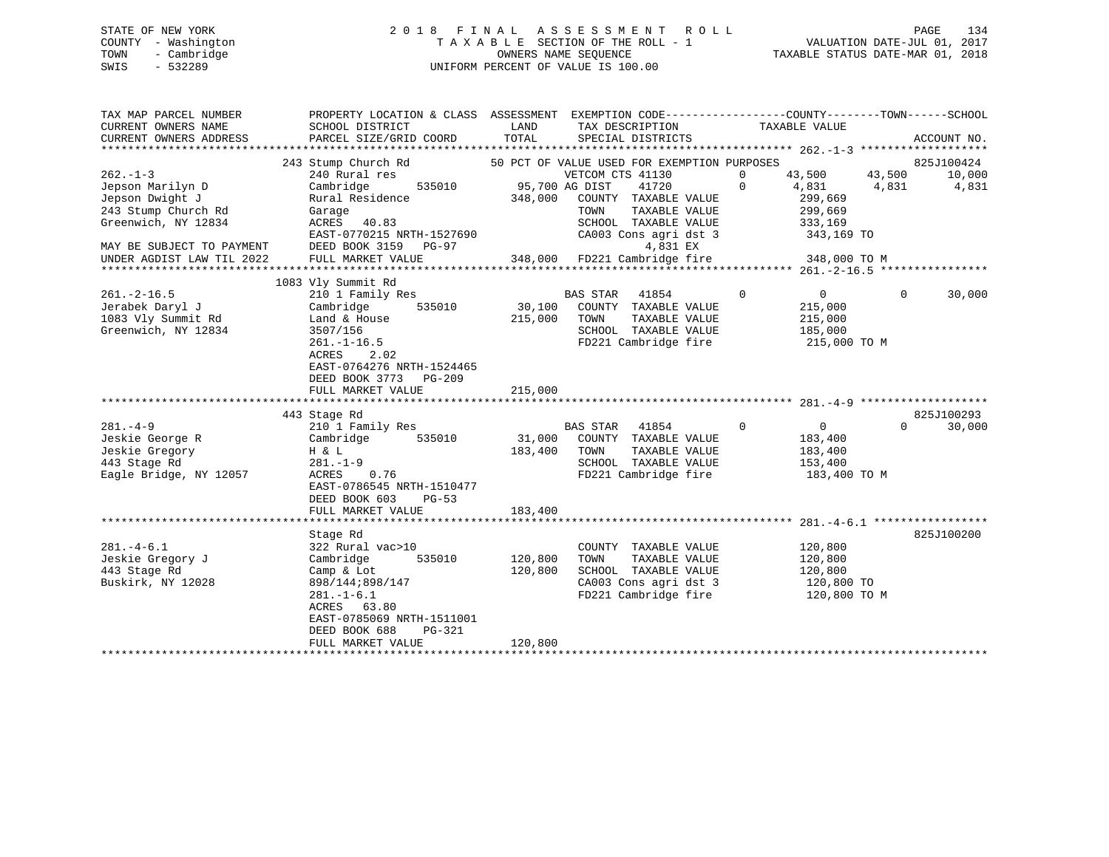# STATE OF NEW YORK 2 0 1 8 F I N A L A S S E S S M E N T R O L L PAGE 134 COUNTY - Washington T A X A B L E SECTION OF THE ROLL - 1 VALUATION DATE-JUL 01, 2017 TOWN - Cambridge OWNERS NAME SEQUENCE TAXABLE STATUS DATE-MAR 01, 2018 SWIS - 532289 UNIFORM PERCENT OF VALUE IS 100.00

| TAX MAP PARCEL NUMBER<br>CURRENT OWNERS NAME<br>CURRENT OWNERS ADDRESS                                                                                       | PROPERTY LOCATION & CLASS ASSESSMENT<br>SCHOOL DISTRICT<br>PARCEL SIZE/GRID COORD                                                                                                                          | LAND<br>TOTAL                | EXEMPTION CODE-----------------COUNTY-------TOWN------SCHOOL<br>TAX DESCRIPTION<br>SPECIAL DISTRICTS                                                                                                                   | TAXABLE VALUE                                                                                       | ACCOUNT NO.                                      |
|--------------------------------------------------------------------------------------------------------------------------------------------------------------|------------------------------------------------------------------------------------------------------------------------------------------------------------------------------------------------------------|------------------------------|------------------------------------------------------------------------------------------------------------------------------------------------------------------------------------------------------------------------|-----------------------------------------------------------------------------------------------------|--------------------------------------------------|
| $262. -1 - 3$<br>Jepson Marilyn D<br>Jepson Dwight J<br>243 Stump Church Rd<br>Greenwich, NY 12834<br>MAY BE SUBJECT TO PAYMENT<br>UNDER AGDIST LAW TIL 2022 | 243 Stump Church Rd<br>240 Rural res<br>Cambridge<br>535010<br>Rural Residence<br>Garage<br>ACRES 40.83<br>EAST-0770215 NRTH-1527690<br>DEED BOOK 3159 PG-97<br>FULL MARKET VALUE                          | 95,700 AG DIST<br>348,000    | 50 PCT OF VALUE USED FOR EXEMPTION PURPOSES<br>VETCOM CTS 41130<br>41720<br>COUNTY TAXABLE VALUE<br>TOWN<br>TAXABLE VALUE<br>SCHOOL TAXABLE VALUE<br>CA003 Cons agri dst 3<br>4,831 EX<br>348,000 FD221 Cambridge fire | 43,500<br>0<br>4,831<br>$\mathbf{0}$<br>299,669<br>299,669<br>333,169<br>343,169 TO<br>348,000 TO M | 825J100424<br>43,500<br>10,000<br>4,831<br>4,831 |
| $261. -2 - 16.5$<br>Jerabek Daryl J<br>1083 Vly Summit Rd<br>Greenwich, NY 12834                                                                             | 1083 Vly Summit Rd<br>210 1 Family Res<br>Cambridge<br>535010<br>Land & House<br>3507/156<br>$261. - 1 - 16.5$<br>ACRES<br>2.02<br>EAST-0764276 NRTH-1524465<br>DEED BOOK 3773 PG-209<br>FULL MARKET VALUE | 30,100<br>215,000<br>215,000 | 41854<br>BAS STAR<br>COUNTY TAXABLE VALUE<br>TAXABLE VALUE<br>TOWN<br>SCHOOL TAXABLE VALUE<br>FD221 Cambridge fire                                                                                                     | 0<br>$\overline{0}$<br>215,000<br>215,000<br>185,000<br>215,000 TO M                                | 30,000<br>$\mathbf{0}$                           |
|                                                                                                                                                              |                                                                                                                                                                                                            |                              |                                                                                                                                                                                                                        |                                                                                                     |                                                  |
| $281 - 4 - 9$<br>Jeskie George R<br>Jeskie Gregory<br>443 Stage Rd<br>Eagle Bridge, NY 12057                                                                 | 443 Stage Rd<br>210 1 Family Res<br>Cambridge<br>535010<br>H & L<br>$281. - 1 - 9$<br>ACRES<br>0.76<br>EAST-0786545 NRTH-1510477<br>DEED BOOK 603<br>$PG-53$                                               | 31,000<br>183,400            | BAS STAR<br>41854<br>COUNTY TAXABLE VALUE<br>TOWN<br>TAXABLE VALUE<br>SCHOOL TAXABLE VALUE<br>FD221 Cambridge fire                                                                                                     | $\mathbf{0}$<br>$\overline{0}$<br>183,400<br>183,400<br>153,400<br>183,400 TO M                     | 825J100293<br>30,000<br>$\Omega$                 |
|                                                                                                                                                              | FULL MARKET VALUE                                                                                                                                                                                          | 183,400                      |                                                                                                                                                                                                                        |                                                                                                     |                                                  |
| $281. -4 - 6.1$<br>Jeskie Gregory J<br>443 Stage Rd<br>Buskirk, NY 12028                                                                                     | Stage Rd<br>322 Rural vac>10<br>Cambridge<br>535010<br>Camp & Lot<br>898/144;898/147<br>$281. - 1 - 6.1$<br>ACRES 63.80<br>EAST-0785069 NRTH-1511001<br>DEED BOOK 688<br>PG-321                            | 120,800<br>120,800           | COUNTY TAXABLE VALUE<br>TAXABLE VALUE<br>TOWN<br>SCHOOL TAXABLE VALUE<br>CA003 Cons agri dst 3<br>FD221 Cambridge fire                                                                                                 | 120,800<br>120,800<br>120,800<br>120,800 TO<br>120,800 TO M                                         | 825J100200                                       |
|                                                                                                                                                              | FULL MARKET VALUE                                                                                                                                                                                          | 120,800                      |                                                                                                                                                                                                                        |                                                                                                     |                                                  |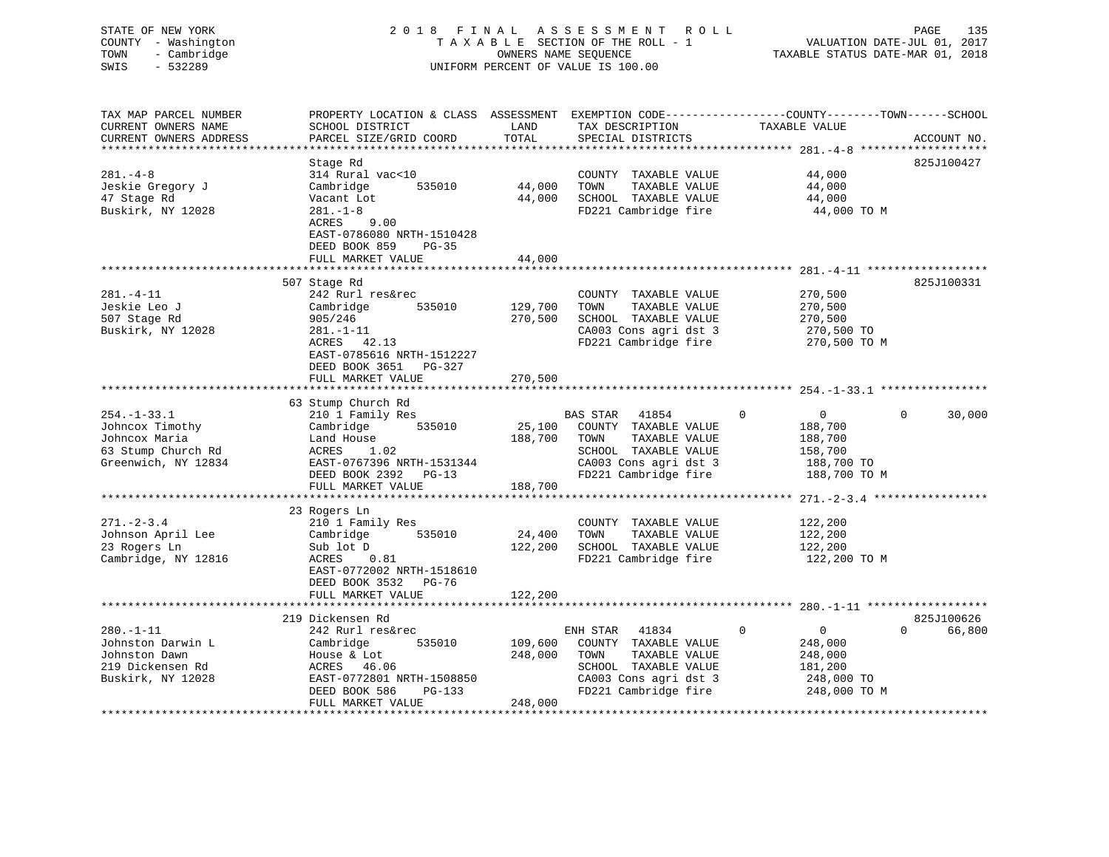| STATE OF NEW YORK      | 2 0 1 8<br>FINAL                            |                      | A S S E S S M E N T<br>R O L L                               |                                                | PAGE<br>135                      |
|------------------------|---------------------------------------------|----------------------|--------------------------------------------------------------|------------------------------------------------|----------------------------------|
| COUNTY - Washington    |                                             |                      | TAXABLE SECTION OF THE ROLL - 1                              |                                                | VALUATION DATE-JUL 01, 2017      |
| - Cambridge<br>TOWN    |                                             | OWNERS NAME SEQUENCE |                                                              |                                                | TAXABLE STATUS DATE-MAR 01, 2018 |
| SWIS<br>$-532289$      |                                             |                      | UNIFORM PERCENT OF VALUE IS 100.00                           |                                                |                                  |
|                        |                                             |                      |                                                              |                                                |                                  |
|                        |                                             |                      |                                                              |                                                |                                  |
| TAX MAP PARCEL NUMBER  | PROPERTY LOCATION & CLASS ASSESSMENT        |                      | EXEMPTION CODE-----------------COUNTY-------TOWN------SCHOOL |                                                |                                  |
| CURRENT OWNERS NAME    | SCHOOL DISTRICT                             | LAND                 | TAX DESCRIPTION                                              | TAXABLE VALUE                                  |                                  |
| CURRENT OWNERS ADDRESS | PARCEL SIZE/GRID COORD                      | TOTAL                | SPECIAL DISTRICTS                                            |                                                | ACCOUNT NO.                      |
|                        |                                             | * * * * * * * * *    |                                                              | ********* 281.-4-8 ******                      |                                  |
|                        | Stage Rd                                    |                      |                                                              |                                                | 825J100427                       |
| $281. -4 - 8$          | 314 Rural vac<10                            |                      | COUNTY TAXABLE VALUE                                         | 44,000                                         |                                  |
| Jeskie Gregory J       | Cambridge<br>535010                         | 44,000               | TAXABLE VALUE<br>TOWN                                        | 44,000                                         |                                  |
| 47 Stage Rd            | Vacant Lot                                  | 44,000               | SCHOOL TAXABLE VALUE                                         | 44,000                                         |                                  |
| Buskirk, NY 12028      | $281. - 1 - 8$                              |                      | FD221 Cambridge fire                                         | 44,000 TO M                                    |                                  |
|                        | ACRES<br>9.00                               |                      |                                                              |                                                |                                  |
|                        | EAST-0786080 NRTH-1510428                   |                      |                                                              |                                                |                                  |
|                        | DEED BOOK 859<br>$PG-35$                    |                      |                                                              |                                                |                                  |
|                        | FULL MARKET VALUE                           | 44,000               |                                                              |                                                |                                  |
|                        | * * * * * * * * * * * * * * * * * *         | ***********          |                                                              | **************** 281.-4-11 ******************* |                                  |
|                        | 507 Stage Rd                                |                      |                                                              |                                                | 825J100331                       |
| $281. -4 - 11$         | 242 Rurl res&rec                            |                      | COUNTY TAXABLE VALUE                                         | 270,500                                        |                                  |
| Jeskie Leo J           | 535010<br>Cambridge                         | 129,700              | TOWN<br>TAXABLE VALUE                                        | 270,500                                        |                                  |
| 507 Stage Rd           | 905/246                                     | 270,500              | SCHOOL TAXABLE VALUE                                         | 270,500                                        |                                  |
| Buskirk, NY 12028      | $281. - 1 - 11$                             |                      | CA003 Cons agri dst 3                                        | 270,500 TO                                     |                                  |
|                        | ACRES 42.13                                 |                      | FD221 Cambridge fire                                         | 270,500 TO M                                   |                                  |
|                        | EAST-0785616 NRTH-1512227                   |                      |                                                              |                                                |                                  |
|                        |                                             |                      |                                                              |                                                |                                  |
|                        |                                             |                      |                                                              |                                                |                                  |
|                        | DEED BOOK 3651<br>PG-327                    |                      |                                                              |                                                |                                  |
|                        | FULL MARKET VALUE<br>********************** | 270,500              |                                                              |                                                |                                  |
|                        |                                             | ************         |                                                              |                                                |                                  |
|                        | 63 Stump Church Rd                          |                      |                                                              |                                                |                                  |
| $254. - 1 - 33.1$      | 210 1 Family Res                            |                      | BAS STAR<br>41854                                            | $\overline{0}$<br>$\Omega$                     | $\Omega$<br>30,000               |
| Johncox Timothy        | 535010<br>Cambridge                         | 25,100               | COUNTY TAXABLE VALUE                                         | 188,700                                        |                                  |
| Johncox Maria          | Land House                                  | 188,700              | TOWN<br>TAXABLE VALUE                                        | 188,700                                        |                                  |
| 63 Stump Church Rd     | ACRES<br>1.02                               |                      | SCHOOL TAXABLE VALUE                                         | 158,700                                        |                                  |
| Greenwich, NY 12834    | EAST-0767396 NRTH-1531344                   |                      | CA003 Cons agri dst 3                                        | 188,700 TO                                     |                                  |
|                        | DEED BOOK 2392 PG-13                        |                      | FD221 Cambridge fire                                         | 188,700 TO M                                   |                                  |
|                        | FULL MARKET VALUE                           | 188,700              |                                                              |                                                |                                  |
|                        | *************                               |                      |                                                              | ********** 271. -2-3.4 *****************       |                                  |
|                        | 23 Rogers Ln                                |                      |                                                              |                                                |                                  |
| $271 - 2 - 3.4$        | 210 1 Family Res                            |                      | COUNTY TAXABLE VALUE                                         | 122,200                                        |                                  |
| Johnson April Lee      | 535010<br>Cambridge                         | 24,400               | TOWN<br>TAXABLE VALUE                                        | 122,200                                        |                                  |
| 23 Rogers Ln           | Sub lot D                                   | 122,200              | SCHOOL TAXABLE VALUE                                         | 122,200                                        |                                  |
| Cambridge, NY 12816    | ACRES<br>0.81                               |                      | FD221 Cambridge fire                                         | 122,200 TO M                                   |                                  |
|                        | EAST-0772002 NRTH-1518610                   |                      |                                                              |                                                |                                  |
|                        | DEED BOOK 3532 PG-76                        |                      |                                                              |                                                |                                  |
|                        | FULL MARKET VALUE                           | 122,200              |                                                              |                                                |                                  |
|                        | * * * * * * * * * * * * * * * * * * * *     |                      |                                                              |                                                |                                  |
|                        | 219 Dickensen Rd                            |                      |                                                              |                                                | 825J100626                       |
| $280. -1 - 11$         | 242 Rurl res&rec                            |                      | ENH STAR<br>41834                                            | 0<br>$\overline{0}$                            | $\Omega$<br>66,800               |
| Johnston Darwin L      | 535010<br>Cambridge                         | 109,600              | COUNTY TAXABLE VALUE                                         | 248,000                                        |                                  |
| Johnston Dawn          | House & Lot                                 | 248,000              | TOWN<br>TAXABLE VALUE                                        | 248,000                                        |                                  |
| 219 Dickensen Rd       | ACRES 46.06                                 |                      | SCHOOL TAXABLE VALUE                                         | 181,200                                        |                                  |
| Buskirk, NY 12028      | EAST-0772801 NRTH-1508850                   |                      | CA003 Cons agri dst 3                                        | 248,000 TO                                     |                                  |
|                        | PG-133<br>DEED BOOK 586                     |                      | FD221 Cambridge fire                                         | 248,000 TO M                                   |                                  |
|                        | FULL MARKET VALUE                           | 248,000              |                                                              |                                                |                                  |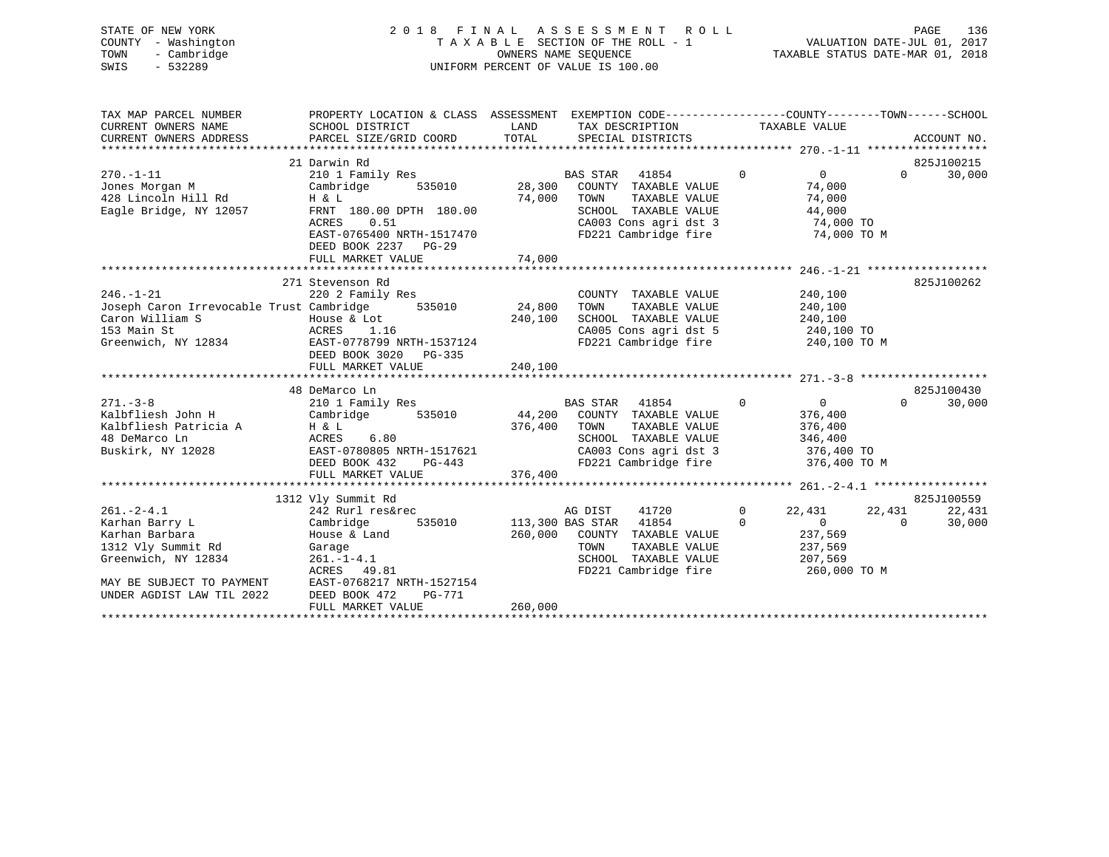| STATE OF NEW YORK<br>COUNTY - Washington<br>- Cambridge<br>TOWN<br>$-532289$<br>SWIS                                 | 2018 FINAL ASSESSMENT ROLL                                                                                                                                                                       | OWNERS NAME SEOUENCE<br>UNIFORM PERCENT OF VALUE IS 100.00 |                        |                                                                                                                                               |                         | TAXABLE STATUS DATE-MAR 01, 2018                                                  |                    | PAGE                   | 136              |
|----------------------------------------------------------------------------------------------------------------------|--------------------------------------------------------------------------------------------------------------------------------------------------------------------------------------------------|------------------------------------------------------------|------------------------|-----------------------------------------------------------------------------------------------------------------------------------------------|-------------------------|-----------------------------------------------------------------------------------|--------------------|------------------------|------------------|
| TAX MAP PARCEL NUMBER<br>CURRENT OWNERS NAME<br>CURRENT OWNERS ADDRESS                                               | PROPERTY LOCATION & CLASS ASSESSMENT EXEMPTION CODE---------------COUNTY-------TOWN-----SCHOOL<br>SCHOOL DISTRICT<br>PARCEL SIZE/GRID COORD                                                      | LAND<br>TOTAL                                              |                        | TAX DESCRIPTION<br>SPECIAL DISTRICTS                                                                                                          |                         | TAXABLE VALUE                                                                     |                    | ACCOUNT NO.            |                  |
| $270. - 1 - 11$<br>Jones Morgan M<br>428 Lincoln Hill Rd<br>Eagle Bridge, NY 12057                                   | 21 Darwin Rd<br>210 1 Family Res<br>535010<br>Cambridge<br>H & L<br>FRNT 180.00 DPTH 180.00<br>ACRES<br>0.51<br>EAST-0765400 NRTH-1517470<br>DEED BOOK 2237<br><b>PG-29</b><br>FULL MARKET VALUE | 74,000<br>74,000                                           | BAS STAR 41854<br>TOWN | 28,300 COUNTY TAXABLE VALUE<br>TAXABLE VALUE<br>SCHOOL TAXABLE VALUE<br>SCHOOL TAXABLE VALUE<br>CA003 Cons agri dst 3<br>FD221 Cambridge fire | $\Omega$                | $\Omega$<br>74,000<br>74,000<br>44,000<br>$74,000$ TO<br>74,000 TO M              |                    | 825J100215<br>$\Omega$ | 30,000           |
| $246. - 1 - 21$<br>Joseph Caron Irrevocable Trust Cambridge<br>Caron William S<br>153 Main St<br>Greenwich, NY 12834 | 271 Stevenson Rd<br>220 2 Family Res<br>535010<br>House & Lot<br>ACRES<br>1.16<br>EAST-0778799 NRTH-1537124<br>DEED BOOK 3020<br>PG-335<br>FULL MARKET VALUE                                     | 24,800<br>240,100<br>240,100                               | TOWN                   | COUNTY TAXABLE VALUE<br>TAXABLE VALUE<br>SCHOOL TAXABLE VALUE<br>FD221 Cambridge fire                                                         |                         | 240,100<br>240,100<br>240,100<br>CA005 Cons agri dst 5 240,100 TO<br>240,100 TO M |                    | 825J100262             |                  |
|                                                                                                                      |                                                                                                                                                                                                  |                                                            |                        |                                                                                                                                               |                         |                                                                                   |                    |                        |                  |
| $271. - 3 - 8$<br>Kalbfliesh John H<br>Kalbfliesh Patricia A<br>48 DeMarco Ln<br>Buskirk, NY 12028                   | 48 DeMarco Ln<br>210 1 Family Res<br>Cambridge<br>535010<br>H & L<br>ACRES<br>6.80<br>EAST-0780805 NRTH-1517621<br>DEED BOOK 432<br>$PG-443$<br>FULL MARKET VALUE                                | 376,400 TOWN<br>376,400                                    | BAS STAR 41854         | 44,200 COUNTY TAXABLE VALUE<br>TAXABLE VALUE<br>SCHOOL TAXABLE VALUE<br>CA003 Cons agri dst 3<br>FD221 Cambridge fire                         | $\Omega$                | $\overline{0}$<br>376,400<br>376,400<br>346,400<br>376,400 TO<br>376,400 TO M     | $\Omega$           | 825J100430             | 30,000           |
|                                                                                                                      | 1312 Vly Summit Rd                                                                                                                                                                               |                                                            |                        |                                                                                                                                               |                         |                                                                                   |                    | 825J100559             |                  |
| $261. - 2 - 4.1$<br>Karhan Barry L<br>Karhan Barbara                                                                 | 242 Rurl res&rec<br>535010<br>Cambridge<br>House & Land                                                                                                                                          | 113,300 BAS STAR                                           | AG DIST                | 41720<br>41854<br>260,000 COUNTY TAXABLE VALUE                                                                                                | $\mathbf 0$<br>$\Omega$ | 22,431<br>$\overline{0}$<br>237,569                                               | 22,431<br>$\Omega$ |                        | 22,431<br>30,000 |

Particle 1-4.1 SCHOOL TAXABLE VALUE 207,569<br>ACRES 49.81 TD221 Cambridge fire 260,000 TO M

\*\*\*\*\*\*\*\*\*\*\*\*\*\*\*\*\*\*\*\*\*\*\*\*\*\*\*\*\*\*\*\*\*\*\*\*\*\*\*\*\*\*\*\*\*\*\*\*\*\*\*\*\*\*\*\*\*\*\*\*\*\*\*\*\*\*\*\*\*\*\*\*\*\*\*\*\*\*\*\*\*\*\*\*\*\*\*\*\*\*\*\*\*\*\*\*\*\*\*\*\*\*\*\*\*\*\*\*\*\*\*\*\*\*\*\*\*\*\*\*\*\*\*\*\*\*\*\*\*\*\*\*

Karhan Barbara House & Land 260,000 COUNTY TAXABLE VALUE 237,569 1312 Vly Summit Rd Garage TOWN TAXABLE VALUE 237,569

ACRES 49.81 FD221 Cambridge fire<br>MAY BE SUBJECT TO PAYMENT EAST-0768217 NRTH-1527154 EAST-0768217 NRTH-1527154 DEED BOOK 472 PG-771

FULL MARKET VALUE 260,000

UNDER AGDIST LAW TIL 2022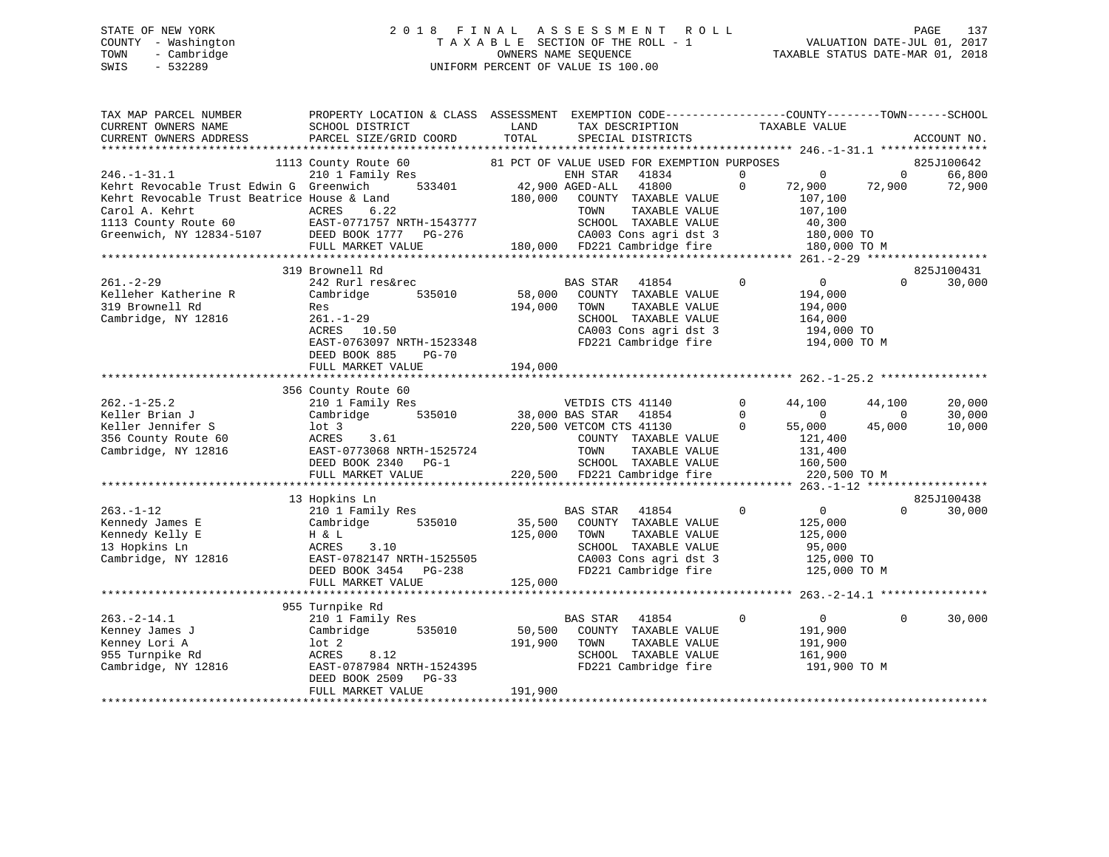# STATE OF NEW YORK 2 0 1 8 F I N A L A S S E S S M E N T R O L L PAGE 137 COUNTY - Washington T A X A B L E SECTION OF THE ROLL - 1 VALUATION DATE-JUL 01, 2017 TOWN - Cambridge OWNERS NAME SEQUENCE TAXABLE STATUS DATE-MAR 01, 2018 SWIS - 532289 UNIFORM PERCENT OF VALUE IS 100.00

| 1113 County Route 60<br>81 PCT OF VALUE USED FOR EXEMPTION PURPOSES<br>825J100642<br>210 1 Family Res<br>ENH STAR<br>41834<br>$\mathbf 0$<br>$\mathbf{0}$<br>66,800<br>$\mathbf{0}$<br>$\mathbf 0$<br>Kehrt Revocable Trust Edwin G Greenwich<br>533401<br>42,900 AGED-ALL<br>41800<br>72,900<br>72,900<br>72,900<br>Kehrt Revocable Trust Beatrice House & Land<br>180,000<br>COUNTY TAXABLE VALUE<br>107,100<br>Carol A. Kehrt<br>ACRES<br>6.22<br>TAXABLE VALUE<br>107,100<br>TOWN<br>1113 County Route 60 EAST-0771757 NRTH-1543777<br>SCHOOL TAXABLE VALUE<br>40,300<br>Greenwich, NY 12834-5107 DEED BOOK 1777 PG-276<br>CA003 Cons agri dst 3<br>180,000 TO<br>FD221 Cambridge fire<br>FULL MARKET VALUE<br>180,000<br>180,000 TO M<br>************************<br>825J100431<br>319 Brownell Rd<br>$261. - 2 - 29$<br>242 Rurl res&rec<br><b>BAS STAR</b><br>$\mathbf 0$<br>0<br>30,000<br>41854<br>$\Omega$<br>Kelleher Katherine R<br>58,000<br>Cambridge<br>535010<br>COUNTY TAXABLE VALUE<br>194,000<br>319 Brownell Rd<br>194,000<br>TOWN<br>TAXABLE VALUE<br>194,000<br>Res<br>Cambridge, NY 12816<br>$261. - 1 - 29$<br>SCHOOL TAXABLE VALUE<br>164,000<br>CA003 Cons agri dst 3<br>ACRES 10.50<br>194,000 TO<br>FD221 Cambridge fire<br>EAST-0763097 NRTH-1523348<br>194,000 TO M<br>DEED BOOK 885<br><b>PG-70</b><br>194,000<br>FULL MARKET VALUE<br>356 County Route 60<br>VETDIS CTS 41140<br>44,100<br>20,000<br>210 1 Family Res<br>$\mathbf 0$<br>44,100<br>$\Omega$<br>535010<br>$\overline{0}$<br>$\mathbf 0$<br>30,000<br>Cambridge<br>38,000 BAS STAR<br>41854<br>Keller Jennifer S<br>220,500 VETCOM CTS 41130<br>45,000<br>10,000<br>$1$ ot $3$<br>$\Omega$<br>55,000<br>356 County Route 60<br>ACRES<br>3.61<br>COUNTY TAXABLE VALUE<br>121,400<br>Cambridge, NY 12816<br>EAST-0773068 NRTH-1525724<br>TOWN<br>TAXABLE VALUE<br>131,400<br>SCHOOL TAXABLE VALUE<br>DEED BOOK 2340<br>$PG-1$<br>160,500<br>220,500 FD221 Cambridge fire<br>FULL MARKET VALUE<br>220,500 TO M<br>**** 263.-1-12 ******************<br>825J100438<br>13 Hopkins Ln<br>$263. - 1 - 12$<br>210 1 Family Res<br>BAS STAR<br>41854<br>$\mathbf 0$<br>$\overline{0}$<br>$\Omega$<br>30,000<br>Kennedy James E<br>535010<br>35,500<br>125,000<br>Cambridge<br>COUNTY TAXABLE VALUE<br>Kennedy Kelly E<br>125,000<br>H & L<br>TOWN<br>TAXABLE VALUE<br>125,000<br>13 Hopkins Ln<br>SCHOOL TAXABLE VALUE<br>ACRES<br>3.10<br>95,000<br>Cambridge, NY 12816<br>CA003 Cons agri dst 3<br>EAST-0782147 NRTH-1525505<br>125,000 TO<br>FD221 Cambridge fire<br>DEED BOOK 3454<br>$PG-238$<br>125,000 TO M<br>125,000<br>FULL MARKET VALUE<br>955 Turnpike Rd | TAX MAP PARCEL NUMBER<br>CURRENT OWNERS NAME<br>CURRENT OWNERS ADDRESS | PROPERTY LOCATION & CLASS ASSESSMENT<br>SCHOOL DISTRICT<br>PARCEL SIZE/GRID COORD | LAND<br>TOTAL | EXEMPTION CODE-----------------COUNTY-------TOWN------SCHOOL<br>TAX DESCRIPTION<br>SPECIAL DISTRICTS | TAXABLE VALUE                 |          | ACCOUNT NO. |
|-----------------------------------------------------------------------------------------------------------------------------------------------------------------------------------------------------------------------------------------------------------------------------------------------------------------------------------------------------------------------------------------------------------------------------------------------------------------------------------------------------------------------------------------------------------------------------------------------------------------------------------------------------------------------------------------------------------------------------------------------------------------------------------------------------------------------------------------------------------------------------------------------------------------------------------------------------------------------------------------------------------------------------------------------------------------------------------------------------------------------------------------------------------------------------------------------------------------------------------------------------------------------------------------------------------------------------------------------------------------------------------------------------------------------------------------------------------------------------------------------------------------------------------------------------------------------------------------------------------------------------------------------------------------------------------------------------------------------------------------------------------------------------------------------------------------------------------------------------------------------------------------------------------------------------------------------------------------------------------------------------------------------------------------------------------------------------------------------------------------------------------------------------------------------------------------------------------------------------------------------------------------------------------------------------------------------------------------------------------------------------------------------------------------------------------------------------------------------------------------------------------------------------------------------------------------------------------------------------------------------------------------------------------|------------------------------------------------------------------------|-----------------------------------------------------------------------------------|---------------|------------------------------------------------------------------------------------------------------|-------------------------------|----------|-------------|
|                                                                                                                                                                                                                                                                                                                                                                                                                                                                                                                                                                                                                                                                                                                                                                                                                                                                                                                                                                                                                                                                                                                                                                                                                                                                                                                                                                                                                                                                                                                                                                                                                                                                                                                                                                                                                                                                                                                                                                                                                                                                                                                                                                                                                                                                                                                                                                                                                                                                                                                                                                                                                                                           | ***********************                                                |                                                                                   |               |                                                                                                      |                               |          |             |
|                                                                                                                                                                                                                                                                                                                                                                                                                                                                                                                                                                                                                                                                                                                                                                                                                                                                                                                                                                                                                                                                                                                                                                                                                                                                                                                                                                                                                                                                                                                                                                                                                                                                                                                                                                                                                                                                                                                                                                                                                                                                                                                                                                                                                                                                                                                                                                                                                                                                                                                                                                                                                                                           |                                                                        |                                                                                   |               |                                                                                                      |                               |          |             |
|                                                                                                                                                                                                                                                                                                                                                                                                                                                                                                                                                                                                                                                                                                                                                                                                                                                                                                                                                                                                                                                                                                                                                                                                                                                                                                                                                                                                                                                                                                                                                                                                                                                                                                                                                                                                                                                                                                                                                                                                                                                                                                                                                                                                                                                                                                                                                                                                                                                                                                                                                                                                                                                           | $246. - 1 - 31.1$                                                      |                                                                                   |               |                                                                                                      |                               |          |             |
|                                                                                                                                                                                                                                                                                                                                                                                                                                                                                                                                                                                                                                                                                                                                                                                                                                                                                                                                                                                                                                                                                                                                                                                                                                                                                                                                                                                                                                                                                                                                                                                                                                                                                                                                                                                                                                                                                                                                                                                                                                                                                                                                                                                                                                                                                                                                                                                                                                                                                                                                                                                                                                                           |                                                                        |                                                                                   |               |                                                                                                      |                               |          |             |
|                                                                                                                                                                                                                                                                                                                                                                                                                                                                                                                                                                                                                                                                                                                                                                                                                                                                                                                                                                                                                                                                                                                                                                                                                                                                                                                                                                                                                                                                                                                                                                                                                                                                                                                                                                                                                                                                                                                                                                                                                                                                                                                                                                                                                                                                                                                                                                                                                                                                                                                                                                                                                                                           |                                                                        |                                                                                   |               |                                                                                                      |                               |          |             |
|                                                                                                                                                                                                                                                                                                                                                                                                                                                                                                                                                                                                                                                                                                                                                                                                                                                                                                                                                                                                                                                                                                                                                                                                                                                                                                                                                                                                                                                                                                                                                                                                                                                                                                                                                                                                                                                                                                                                                                                                                                                                                                                                                                                                                                                                                                                                                                                                                                                                                                                                                                                                                                                           |                                                                        |                                                                                   |               |                                                                                                      |                               |          |             |
|                                                                                                                                                                                                                                                                                                                                                                                                                                                                                                                                                                                                                                                                                                                                                                                                                                                                                                                                                                                                                                                                                                                                                                                                                                                                                                                                                                                                                                                                                                                                                                                                                                                                                                                                                                                                                                                                                                                                                                                                                                                                                                                                                                                                                                                                                                                                                                                                                                                                                                                                                                                                                                                           |                                                                        |                                                                                   |               |                                                                                                      |                               |          |             |
|                                                                                                                                                                                                                                                                                                                                                                                                                                                                                                                                                                                                                                                                                                                                                                                                                                                                                                                                                                                                                                                                                                                                                                                                                                                                                                                                                                                                                                                                                                                                                                                                                                                                                                                                                                                                                                                                                                                                                                                                                                                                                                                                                                                                                                                                                                                                                                                                                                                                                                                                                                                                                                                           |                                                                        |                                                                                   |               |                                                                                                      |                               |          |             |
|                                                                                                                                                                                                                                                                                                                                                                                                                                                                                                                                                                                                                                                                                                                                                                                                                                                                                                                                                                                                                                                                                                                                                                                                                                                                                                                                                                                                                                                                                                                                                                                                                                                                                                                                                                                                                                                                                                                                                                                                                                                                                                                                                                                                                                                                                                                                                                                                                                                                                                                                                                                                                                                           |                                                                        |                                                                                   |               |                                                                                                      |                               |          |             |
|                                                                                                                                                                                                                                                                                                                                                                                                                                                                                                                                                                                                                                                                                                                                                                                                                                                                                                                                                                                                                                                                                                                                                                                                                                                                                                                                                                                                                                                                                                                                                                                                                                                                                                                                                                                                                                                                                                                                                                                                                                                                                                                                                                                                                                                                                                                                                                                                                                                                                                                                                                                                                                                           |                                                                        |                                                                                   |               |                                                                                                      |                               |          |             |
|                                                                                                                                                                                                                                                                                                                                                                                                                                                                                                                                                                                                                                                                                                                                                                                                                                                                                                                                                                                                                                                                                                                                                                                                                                                                                                                                                                                                                                                                                                                                                                                                                                                                                                                                                                                                                                                                                                                                                                                                                                                                                                                                                                                                                                                                                                                                                                                                                                                                                                                                                                                                                                                           |                                                                        |                                                                                   |               |                                                                                                      |                               |          |             |
|                                                                                                                                                                                                                                                                                                                                                                                                                                                                                                                                                                                                                                                                                                                                                                                                                                                                                                                                                                                                                                                                                                                                                                                                                                                                                                                                                                                                                                                                                                                                                                                                                                                                                                                                                                                                                                                                                                                                                                                                                                                                                                                                                                                                                                                                                                                                                                                                                                                                                                                                                                                                                                                           |                                                                        |                                                                                   |               |                                                                                                      |                               |          |             |
|                                                                                                                                                                                                                                                                                                                                                                                                                                                                                                                                                                                                                                                                                                                                                                                                                                                                                                                                                                                                                                                                                                                                                                                                                                                                                                                                                                                                                                                                                                                                                                                                                                                                                                                                                                                                                                                                                                                                                                                                                                                                                                                                                                                                                                                                                                                                                                                                                                                                                                                                                                                                                                                           |                                                                        |                                                                                   |               |                                                                                                      |                               |          |             |
|                                                                                                                                                                                                                                                                                                                                                                                                                                                                                                                                                                                                                                                                                                                                                                                                                                                                                                                                                                                                                                                                                                                                                                                                                                                                                                                                                                                                                                                                                                                                                                                                                                                                                                                                                                                                                                                                                                                                                                                                                                                                                                                                                                                                                                                                                                                                                                                                                                                                                                                                                                                                                                                           |                                                                        |                                                                                   |               |                                                                                                      |                               |          |             |
|                                                                                                                                                                                                                                                                                                                                                                                                                                                                                                                                                                                                                                                                                                                                                                                                                                                                                                                                                                                                                                                                                                                                                                                                                                                                                                                                                                                                                                                                                                                                                                                                                                                                                                                                                                                                                                                                                                                                                                                                                                                                                                                                                                                                                                                                                                                                                                                                                                                                                                                                                                                                                                                           |                                                                        |                                                                                   |               |                                                                                                      |                               |          |             |
|                                                                                                                                                                                                                                                                                                                                                                                                                                                                                                                                                                                                                                                                                                                                                                                                                                                                                                                                                                                                                                                                                                                                                                                                                                                                                                                                                                                                                                                                                                                                                                                                                                                                                                                                                                                                                                                                                                                                                                                                                                                                                                                                                                                                                                                                                                                                                                                                                                                                                                                                                                                                                                                           |                                                                        |                                                                                   |               |                                                                                                      |                               |          |             |
|                                                                                                                                                                                                                                                                                                                                                                                                                                                                                                                                                                                                                                                                                                                                                                                                                                                                                                                                                                                                                                                                                                                                                                                                                                                                                                                                                                                                                                                                                                                                                                                                                                                                                                                                                                                                                                                                                                                                                                                                                                                                                                                                                                                                                                                                                                                                                                                                                                                                                                                                                                                                                                                           |                                                                        |                                                                                   |               |                                                                                                      |                               |          |             |
|                                                                                                                                                                                                                                                                                                                                                                                                                                                                                                                                                                                                                                                                                                                                                                                                                                                                                                                                                                                                                                                                                                                                                                                                                                                                                                                                                                                                                                                                                                                                                                                                                                                                                                                                                                                                                                                                                                                                                                                                                                                                                                                                                                                                                                                                                                                                                                                                                                                                                                                                                                                                                                                           |                                                                        |                                                                                   |               |                                                                                                      |                               |          |             |
|                                                                                                                                                                                                                                                                                                                                                                                                                                                                                                                                                                                                                                                                                                                                                                                                                                                                                                                                                                                                                                                                                                                                                                                                                                                                                                                                                                                                                                                                                                                                                                                                                                                                                                                                                                                                                                                                                                                                                                                                                                                                                                                                                                                                                                                                                                                                                                                                                                                                                                                                                                                                                                                           |                                                                        |                                                                                   |               |                                                                                                      |                               |          |             |
|                                                                                                                                                                                                                                                                                                                                                                                                                                                                                                                                                                                                                                                                                                                                                                                                                                                                                                                                                                                                                                                                                                                                                                                                                                                                                                                                                                                                                                                                                                                                                                                                                                                                                                                                                                                                                                                                                                                                                                                                                                                                                                                                                                                                                                                                                                                                                                                                                                                                                                                                                                                                                                                           |                                                                        |                                                                                   |               |                                                                                                      |                               |          |             |
|                                                                                                                                                                                                                                                                                                                                                                                                                                                                                                                                                                                                                                                                                                                                                                                                                                                                                                                                                                                                                                                                                                                                                                                                                                                                                                                                                                                                                                                                                                                                                                                                                                                                                                                                                                                                                                                                                                                                                                                                                                                                                                                                                                                                                                                                                                                                                                                                                                                                                                                                                                                                                                                           | $262. - 1 - 25.2$                                                      |                                                                                   |               |                                                                                                      |                               |          |             |
|                                                                                                                                                                                                                                                                                                                                                                                                                                                                                                                                                                                                                                                                                                                                                                                                                                                                                                                                                                                                                                                                                                                                                                                                                                                                                                                                                                                                                                                                                                                                                                                                                                                                                                                                                                                                                                                                                                                                                                                                                                                                                                                                                                                                                                                                                                                                                                                                                                                                                                                                                                                                                                                           | Keller Brian J                                                         |                                                                                   |               |                                                                                                      |                               |          |             |
|                                                                                                                                                                                                                                                                                                                                                                                                                                                                                                                                                                                                                                                                                                                                                                                                                                                                                                                                                                                                                                                                                                                                                                                                                                                                                                                                                                                                                                                                                                                                                                                                                                                                                                                                                                                                                                                                                                                                                                                                                                                                                                                                                                                                                                                                                                                                                                                                                                                                                                                                                                                                                                                           |                                                                        |                                                                                   |               |                                                                                                      |                               |          |             |
|                                                                                                                                                                                                                                                                                                                                                                                                                                                                                                                                                                                                                                                                                                                                                                                                                                                                                                                                                                                                                                                                                                                                                                                                                                                                                                                                                                                                                                                                                                                                                                                                                                                                                                                                                                                                                                                                                                                                                                                                                                                                                                                                                                                                                                                                                                                                                                                                                                                                                                                                                                                                                                                           |                                                                        |                                                                                   |               |                                                                                                      |                               |          |             |
|                                                                                                                                                                                                                                                                                                                                                                                                                                                                                                                                                                                                                                                                                                                                                                                                                                                                                                                                                                                                                                                                                                                                                                                                                                                                                                                                                                                                                                                                                                                                                                                                                                                                                                                                                                                                                                                                                                                                                                                                                                                                                                                                                                                                                                                                                                                                                                                                                                                                                                                                                                                                                                                           |                                                                        |                                                                                   |               |                                                                                                      |                               |          |             |
|                                                                                                                                                                                                                                                                                                                                                                                                                                                                                                                                                                                                                                                                                                                                                                                                                                                                                                                                                                                                                                                                                                                                                                                                                                                                                                                                                                                                                                                                                                                                                                                                                                                                                                                                                                                                                                                                                                                                                                                                                                                                                                                                                                                                                                                                                                                                                                                                                                                                                                                                                                                                                                                           |                                                                        |                                                                                   |               |                                                                                                      |                               |          |             |
|                                                                                                                                                                                                                                                                                                                                                                                                                                                                                                                                                                                                                                                                                                                                                                                                                                                                                                                                                                                                                                                                                                                                                                                                                                                                                                                                                                                                                                                                                                                                                                                                                                                                                                                                                                                                                                                                                                                                                                                                                                                                                                                                                                                                                                                                                                                                                                                                                                                                                                                                                                                                                                                           |                                                                        |                                                                                   |               |                                                                                                      |                               |          |             |
|                                                                                                                                                                                                                                                                                                                                                                                                                                                                                                                                                                                                                                                                                                                                                                                                                                                                                                                                                                                                                                                                                                                                                                                                                                                                                                                                                                                                                                                                                                                                                                                                                                                                                                                                                                                                                                                                                                                                                                                                                                                                                                                                                                                                                                                                                                                                                                                                                                                                                                                                                                                                                                                           |                                                                        |                                                                                   |               |                                                                                                      |                               |          |             |
|                                                                                                                                                                                                                                                                                                                                                                                                                                                                                                                                                                                                                                                                                                                                                                                                                                                                                                                                                                                                                                                                                                                                                                                                                                                                                                                                                                                                                                                                                                                                                                                                                                                                                                                                                                                                                                                                                                                                                                                                                                                                                                                                                                                                                                                                                                                                                                                                                                                                                                                                                                                                                                                           |                                                                        |                                                                                   |               |                                                                                                      |                               |          |             |
|                                                                                                                                                                                                                                                                                                                                                                                                                                                                                                                                                                                                                                                                                                                                                                                                                                                                                                                                                                                                                                                                                                                                                                                                                                                                                                                                                                                                                                                                                                                                                                                                                                                                                                                                                                                                                                                                                                                                                                                                                                                                                                                                                                                                                                                                                                                                                                                                                                                                                                                                                                                                                                                           |                                                                        |                                                                                   |               |                                                                                                      |                               |          |             |
|                                                                                                                                                                                                                                                                                                                                                                                                                                                                                                                                                                                                                                                                                                                                                                                                                                                                                                                                                                                                                                                                                                                                                                                                                                                                                                                                                                                                                                                                                                                                                                                                                                                                                                                                                                                                                                                                                                                                                                                                                                                                                                                                                                                                                                                                                                                                                                                                                                                                                                                                                                                                                                                           |                                                                        |                                                                                   |               |                                                                                                      |                               |          |             |
|                                                                                                                                                                                                                                                                                                                                                                                                                                                                                                                                                                                                                                                                                                                                                                                                                                                                                                                                                                                                                                                                                                                                                                                                                                                                                                                                                                                                                                                                                                                                                                                                                                                                                                                                                                                                                                                                                                                                                                                                                                                                                                                                                                                                                                                                                                                                                                                                                                                                                                                                                                                                                                                           |                                                                        |                                                                                   |               |                                                                                                      |                               |          |             |
|                                                                                                                                                                                                                                                                                                                                                                                                                                                                                                                                                                                                                                                                                                                                                                                                                                                                                                                                                                                                                                                                                                                                                                                                                                                                                                                                                                                                                                                                                                                                                                                                                                                                                                                                                                                                                                                                                                                                                                                                                                                                                                                                                                                                                                                                                                                                                                                                                                                                                                                                                                                                                                                           |                                                                        |                                                                                   |               |                                                                                                      |                               |          |             |
|                                                                                                                                                                                                                                                                                                                                                                                                                                                                                                                                                                                                                                                                                                                                                                                                                                                                                                                                                                                                                                                                                                                                                                                                                                                                                                                                                                                                                                                                                                                                                                                                                                                                                                                                                                                                                                                                                                                                                                                                                                                                                                                                                                                                                                                                                                                                                                                                                                                                                                                                                                                                                                                           |                                                                        |                                                                                   |               |                                                                                                      |                               |          |             |
|                                                                                                                                                                                                                                                                                                                                                                                                                                                                                                                                                                                                                                                                                                                                                                                                                                                                                                                                                                                                                                                                                                                                                                                                                                                                                                                                                                                                                                                                                                                                                                                                                                                                                                                                                                                                                                                                                                                                                                                                                                                                                                                                                                                                                                                                                                                                                                                                                                                                                                                                                                                                                                                           |                                                                        |                                                                                   |               |                                                                                                      |                               |          |             |
|                                                                                                                                                                                                                                                                                                                                                                                                                                                                                                                                                                                                                                                                                                                                                                                                                                                                                                                                                                                                                                                                                                                                                                                                                                                                                                                                                                                                                                                                                                                                                                                                                                                                                                                                                                                                                                                                                                                                                                                                                                                                                                                                                                                                                                                                                                                                                                                                                                                                                                                                                                                                                                                           |                                                                        |                                                                                   |               |                                                                                                      |                               |          |             |
|                                                                                                                                                                                                                                                                                                                                                                                                                                                                                                                                                                                                                                                                                                                                                                                                                                                                                                                                                                                                                                                                                                                                                                                                                                                                                                                                                                                                                                                                                                                                                                                                                                                                                                                                                                                                                                                                                                                                                                                                                                                                                                                                                                                                                                                                                                                                                                                                                                                                                                                                                                                                                                                           |                                                                        |                                                                                   |               |                                                                                                      |                               |          |             |
|                                                                                                                                                                                                                                                                                                                                                                                                                                                                                                                                                                                                                                                                                                                                                                                                                                                                                                                                                                                                                                                                                                                                                                                                                                                                                                                                                                                                                                                                                                                                                                                                                                                                                                                                                                                                                                                                                                                                                                                                                                                                                                                                                                                                                                                                                                                                                                                                                                                                                                                                                                                                                                                           | $263. - 2 - 14.1$                                                      | 210 1 Family Res                                                                  |               | <b>BAS STAR</b><br>41854                                                                             | $\mathbf 0$<br>$\overline{0}$ | $\Omega$ | 30,000      |
| Cambridge<br>535010<br>50,500<br>COUNTY TAXABLE VALUE<br>191,900                                                                                                                                                                                                                                                                                                                                                                                                                                                                                                                                                                                                                                                                                                                                                                                                                                                                                                                                                                                                                                                                                                                                                                                                                                                                                                                                                                                                                                                                                                                                                                                                                                                                                                                                                                                                                                                                                                                                                                                                                                                                                                                                                                                                                                                                                                                                                                                                                                                                                                                                                                                          | Kenney James J                                                         |                                                                                   |               |                                                                                                      |                               |          |             |
| 191,900<br>$1$ ot $2$<br>TOWN<br>TAXABLE VALUE<br>191,900                                                                                                                                                                                                                                                                                                                                                                                                                                                                                                                                                                                                                                                                                                                                                                                                                                                                                                                                                                                                                                                                                                                                                                                                                                                                                                                                                                                                                                                                                                                                                                                                                                                                                                                                                                                                                                                                                                                                                                                                                                                                                                                                                                                                                                                                                                                                                                                                                                                                                                                                                                                                 | Kenney Lori A                                                          |                                                                                   |               |                                                                                                      |                               |          |             |
| 8.12<br>SCHOOL TAXABLE VALUE<br>ACRES<br>161,900                                                                                                                                                                                                                                                                                                                                                                                                                                                                                                                                                                                                                                                                                                                                                                                                                                                                                                                                                                                                                                                                                                                                                                                                                                                                                                                                                                                                                                                                                                                                                                                                                                                                                                                                                                                                                                                                                                                                                                                                                                                                                                                                                                                                                                                                                                                                                                                                                                                                                                                                                                                                          | 955 Turnpike Rd                                                        |                                                                                   |               |                                                                                                      |                               |          |             |
| FD221 Cambridge fire<br>EAST-0787984 NRTH-1524395<br>191,900 TO M                                                                                                                                                                                                                                                                                                                                                                                                                                                                                                                                                                                                                                                                                                                                                                                                                                                                                                                                                                                                                                                                                                                                                                                                                                                                                                                                                                                                                                                                                                                                                                                                                                                                                                                                                                                                                                                                                                                                                                                                                                                                                                                                                                                                                                                                                                                                                                                                                                                                                                                                                                                         | Cambridge, NY 12816                                                    |                                                                                   |               |                                                                                                      |                               |          |             |
| DEED BOOK 2509<br>$PG-33$                                                                                                                                                                                                                                                                                                                                                                                                                                                                                                                                                                                                                                                                                                                                                                                                                                                                                                                                                                                                                                                                                                                                                                                                                                                                                                                                                                                                                                                                                                                                                                                                                                                                                                                                                                                                                                                                                                                                                                                                                                                                                                                                                                                                                                                                                                                                                                                                                                                                                                                                                                                                                                 |                                                                        |                                                                                   |               |                                                                                                      |                               |          |             |
| FULL MARKET VALUE<br>191,900                                                                                                                                                                                                                                                                                                                                                                                                                                                                                                                                                                                                                                                                                                                                                                                                                                                                                                                                                                                                                                                                                                                                                                                                                                                                                                                                                                                                                                                                                                                                                                                                                                                                                                                                                                                                                                                                                                                                                                                                                                                                                                                                                                                                                                                                                                                                                                                                                                                                                                                                                                                                                              |                                                                        |                                                                                   |               |                                                                                                      |                               |          |             |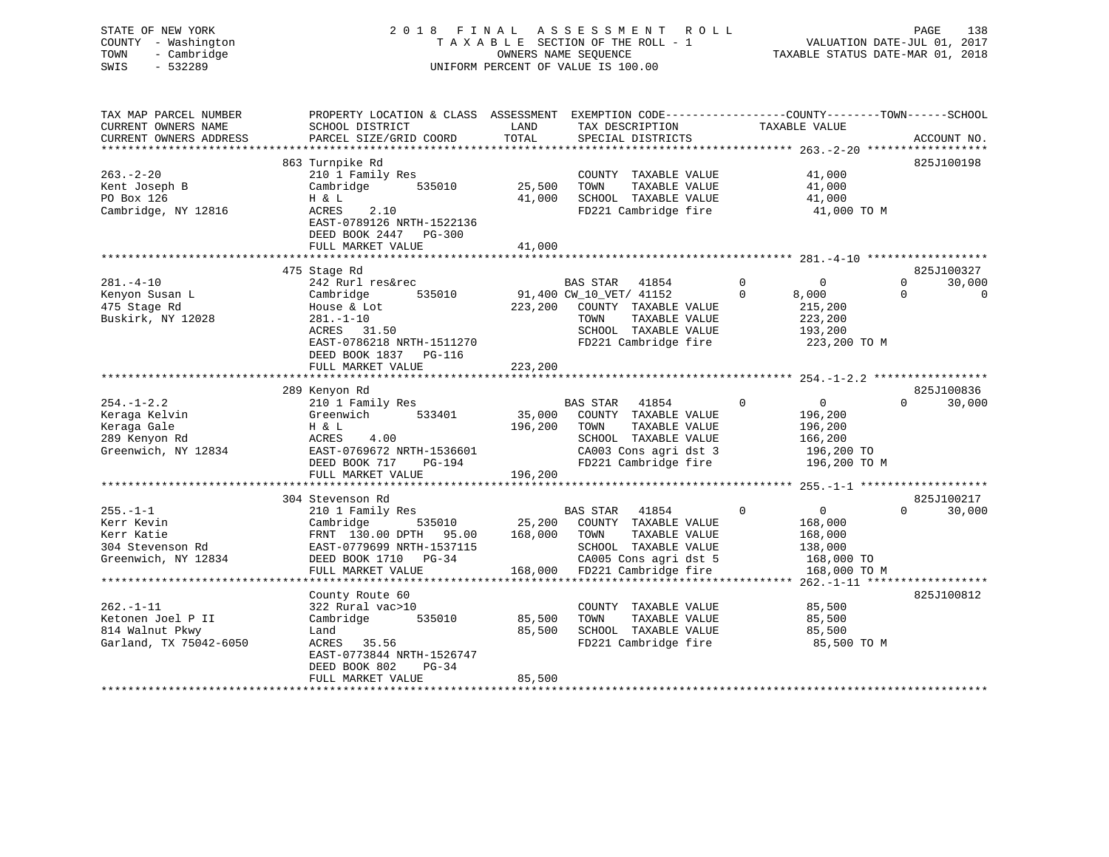STATE OF NEW YORK 2 0 1 8 F I N A L A S S E S S M E N T R O L L PAGE 138 COUNTY - Washington T A X A B L E SECTION OF THE ROLL - 1 VALUATION DATE-JUL 01, 2017 TOWN - Cambridge **OWNERS NAME SEQUENCE TAXABLE STATUS DATE-MAR 01, 2018** SWIS - 532289 UNIFORM PERCENT OF VALUE IS 100.00 TAX MAP PARCEL NUMBER PROPERTY LOCATION & CLASS ASSESSMENT EXEMPTION CODE------------------COUNTY--------TOWN------SCHOOL CURRENT OWNERS NAME SCHOOL DISTRICT THE LAND TAX DESCRIPTION TAXABLE VALUE CURRENT OWNERS ADDRESS PARCEL SIZE/GRID COORD TOTAL SPECIAL DISTRICTS ACCOUNT NO. \*\*\*\*\*\*\*\*\*\*\*\*\*\*\*\*\*\*\*\*\*\*\*\*\*\*\*\*\*\*\*\*\*\*\*\*\*\*\*\*\*\*\*\*\*\*\*\*\*\*\*\*\*\*\*\*\*\*\*\*\*\*\*\*\*\*\*\*\*\*\*\*\*\*\*\*\*\*\*\*\*\*\*\*\*\*\*\*\*\*\*\*\*\*\*\*\*\*\*\*\*\*\* 263.-2-20 \*\*\*\*\*\*\*\*\*\*\*\*\*\*\*\*\*\* 863 Turnpike Rd 825J100198 (2551100198 COUNTY TAXABLE VALUE 41,000 263.-2-20 210 1 Family Res COUNTY TAXABLE VALUE 41,000 Kent Joseph B Cambridge 535010 25,500 TOWN TAXABLE VALUE 41,000

PO Box 126 H & L 41,000 SCHOOL TAXABLE VALUE 41,000 Cambridge, NY 12816 ACRES 2.10 FD221 Cambridge fire 41,000 TO M

FULL MARKET VALUE 41,000

H & L<br>ACRES 2.10<br>EAST-0789126 NRTH-1522136

DEED BOOK 2447 PG-300

281.-4-10 242 Rurl res&rec BAS STAR 41854 0 0 0 30,000 Kenyon Susan L Cambridge 535010 91,400 CW\_10\_VET/ 41152 0 8,000 0 0 475 Stage Rd House & Lot 223,200 COUNTY TAXABLE VALUE 215,200 Buskirk, NY 12028 281.-1-10 TOWN TAXABLE VALUE 223,200 ACRES 31.50 SCHOOL TAXABLE VALUE 223,200<br>SCHOOL TAXABLE VALUE 193,200<br>EAST-0786218 NETH-1511270 EAST-0786218 NRTH-1511270 FD221 Cambridge fire 223,200 TO M DEED BOOK 1837 PG-116FULL MARKET VALUE 223,200 \*\*\*\*\*\*\*\*\*\*\*\*\*\*\*\*\*\*\*\*\*\*\*\*\*\*\*\*\*\*\*\*\*\*\*\*\*\*\*\*\*\*\*\*\*\*\*\*\*\*\*\*\*\*\*\*\*\*\*\*\*\*\*\*\*\*\*\*\*\*\*\*\*\*\*\*\*\*\*\*\*\*\*\*\*\*\*\*\*\*\*\*\*\*\*\*\*\*\*\*\*\*\* 254.-1-2.2 \*\*\*\*\*\*\*\*\*\*\*\*\*\*\*\*\* 289 Kenyon Rd 825J100836 254.-1-2.2 210 1 Family Res BAS STAR 41854 0 0 0 30,000 Keraga Kelvin Greenwich 533401 35,000 COUNTY TAXABLE VALUE 196,200

\*\*\*\*\*\*\*\*\*\*\*\*\*\*\*\*\*\*\*\*\*\*\*\*\*\*\*\*\*\*\*\*\*\*\*\*\*\*\*\*\*\*\*\*\*\*\*\*\*\*\*\*\*\*\*\*\*\*\*\*\*\*\*\*\*\*\*\*\*\*\*\*\*\*\*\*\*\*\*\*\*\*\*\*\*\*\*\*\*\*\*\*\*\*\*\*\*\*\*\*\*\*\* 281.-4-10 \*\*\*\*\*\*\*\*\*\*\*\*\*\*\*\*\*\*

475 Stage Rd 825J100327

| Reraga Reivin          | Greenwich<br>533401       | 35,000<br>COUNTI TRAABLE VALUE    | 190,200                        |
|------------------------|---------------------------|-----------------------------------|--------------------------------|
| Keraga Gale            | H & L                     | 196,200<br>TAXABLE VALUE<br>TOWN  | 196,200                        |
| 289 Kenyon Rd          | 4.00<br>ACRES             | SCHOOL<br>TAXABLE VALUE           | 166,200                        |
| Greenwich, NY 12834    | EAST-0769672 NRTH-1536601 | CA003 Cons agri dst 3             | 196,200 TO                     |
|                        | DEED BOOK 717<br>PG-194   | FD221 Cambridge fire              | 196,200 TO M                   |
|                        | FULL MARKET VALUE         | 196,200                           |                                |
|                        |                           |                                   |                                |
|                        | 304 Stevenson Rd          |                                   | 825J100217                     |
| $255. - 1 - 1$         | 210 1 Family Res          | 41854<br>BAS STAR<br>0            | 30,000<br>$\Omega$<br>$\Omega$ |
| Kerr Kevin             | Cambridge<br>535010       | 25,200<br>COUNTY<br>TAXABLE VALUE | 168,000                        |
| Kerr Katie             | FRNT 130.00 DPTH 95.00    | 168,000<br>TAXABLE VALUE<br>TOWN  | 168,000                        |
| 304 Stevenson Rd       | EAST-0779699 NRTH-1537115 | SCHOOL<br>TAXABLE VALUE           | 138,000                        |
| Greenwich, NY 12834    | DEED BOOK 1710<br>PG-34   | CA005 Cons agri dst 5             | 168,000 TO                     |
|                        | FULL MARKET VALUE         | FD221 Cambridge fire<br>168,000   | 168,000 TO M                   |
|                        |                           |                                   |                                |
|                        | County Route 60           |                                   | 825J100812                     |
| $262. -1 - 11$         | 322 Rural vac>10          | TAXABLE VALUE<br>COUNTY           | 85,500                         |
| Ketonen Joel P II      | Cambridge<br>535010       | TAXABLE VALUE<br>85,500<br>TOWN   | 85,500                         |
| 814 Walnut Pkwy        | Land                      | 85,500<br>SCHOOL<br>TAXABLE VALUE | 85,500                         |
| Garland, TX 75042-6050 | 35.56<br>ACRES            | FD221 Cambridge fire              | 85,500 TO M                    |
|                        | EAST-0773844 NRTH-1526747 |                                   |                                |
|                        | DEED BOOK 802<br>$PG-34$  |                                   |                                |
|                        | FULL MARKET VALUE         | 85,500                            |                                |
|                        |                           |                                   |                                |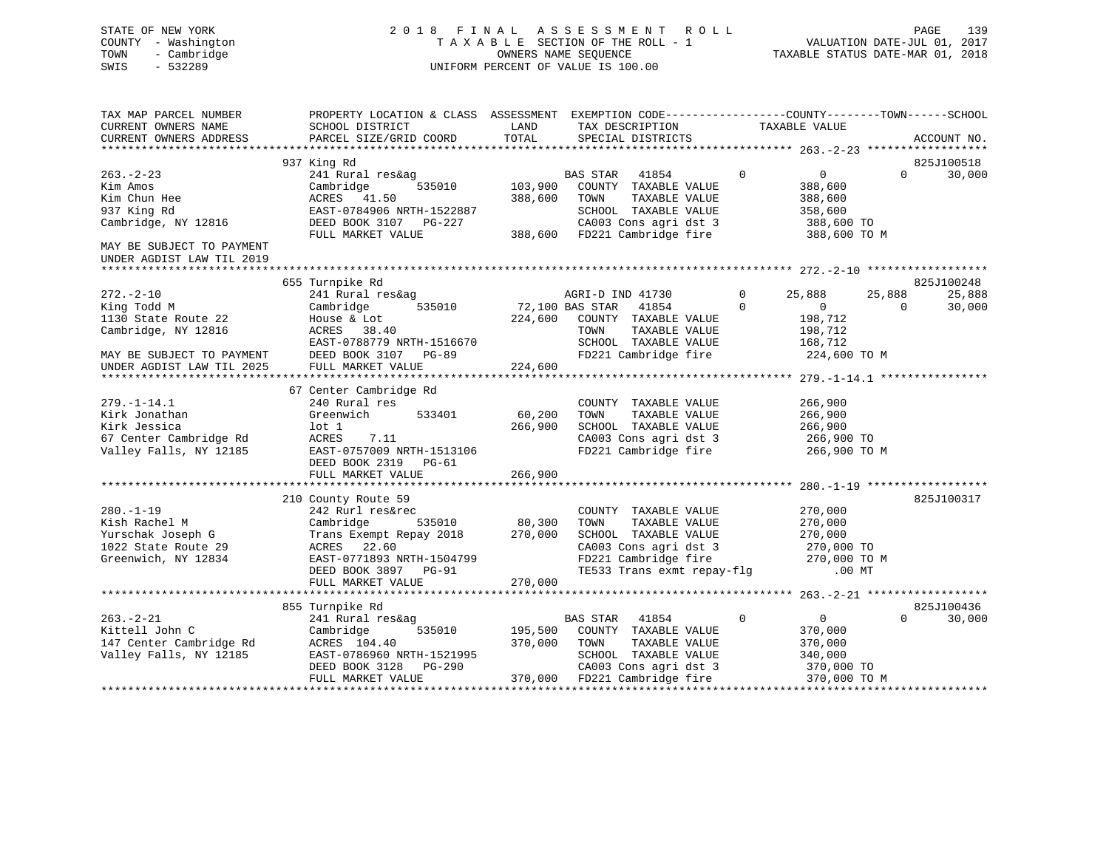# STATE OF NEW YORK 2 0 1 8 F I N A L A S S E S S M E N T R O L L PAGE 139 COUNTY - Washington T A X A B L E SECTION OF THE ROLL - 1 VALUATION DATE-JUL 01, 2017 TOWN - Cambridge OWNERS NAME SEQUENCE TAXABLE STATUS DATE-MAR 01, 2018 SWIS - 532289 UNIFORM PERCENT OF VALUE IS 100.00

| TAX MAP PARCEL NUMBER     | PROPERTY LOCATION & CLASS ASSESSMENT EXEMPTION CODE----------------COUNTY-------TOWN------SCHOOL |                 |                                               |                |                            |          |                |
|---------------------------|--------------------------------------------------------------------------------------------------|-----------------|-----------------------------------------------|----------------|----------------------------|----------|----------------|
| CURRENT OWNERS NAME       | SCHOOL DISTRICT                                                                                  | LAND            | TAX DESCRIPTION                               |                | TAXABLE VALUE              |          |                |
| CURRENT OWNERS ADDRESS    | PARCEL SIZE/GRID COORD                                                                           | TOTAL           | SPECIAL DISTRICTS                             |                |                            |          | ACCOUNT NO.    |
|                           | 937 King Rd                                                                                      |                 |                                               |                |                            |          | 825J100518     |
| $263 - 2 - 23$            |                                                                                                  |                 | BAS STAR 41854                                | $\overline{0}$ |                            | $\Omega$ |                |
| Kim Amos                  | 241 Rural res&ag<br>535010<br>Cambridge                                                          | 103,900         | COUNTY TAXABLE VALUE                          |                | $\overline{0}$<br>388,600  |          | 30,000         |
| Kim Chun Hee              | ACRES 41.50                                                                                      | 388,600         | TOWN<br>TAXABLE VALUE                         |                | 388,600                    |          |                |
| 937 King Rd               | EAST-0784906 NRTH-1522887                                                                        |                 | SCHOOL TAXABLE VALUE                          |                | 358,600                    |          |                |
| Cambridge, NY 12816       | DEED BOOK 3107 PG-227                                                                            |                 | CA003 Cons agri dst 3                         |                | 388,600 TO                 |          |                |
|                           | FULL MARKET VALUE                                                                                |                 | 388,600 FD221 Cambridge fire                  |                | 388,600 TO M               |          |                |
| MAY BE SUBJECT TO PAYMENT |                                                                                                  |                 |                                               |                |                            |          |                |
| UNDER AGDIST LAW TIL 2019 |                                                                                                  |                 |                                               |                |                            |          |                |
|                           |                                                                                                  |                 |                                               |                |                            |          |                |
|                           | 655 Turnpike Rd                                                                                  |                 |                                               |                |                            |          | 825J100248     |
| $272. - 2 - 10$           | 241 Rural res&ag                                                                                 |                 | AGRI-D IND 41730                              | $\mathbf{0}$   | 25,888                     | 25,888   | 25,888         |
| King Todd M               | 535010<br>Cambridge                                                                              | 72,100 BAS STAR | 41854                                         | $\Omega$       | $\overline{0}$             | $\Omega$ | 30,000         |
| 1130 State Route 22       | House & Lot                                                                                      | 224,600         | COUNTY TAXABLE VALUE                          |                | 198,712                    |          |                |
| Cambridge, NY 12816       | ACRES 38.40                                                                                      |                 | TOWN<br>TAXABLE VALUE                         |                | 198,712                    |          |                |
|                           | EAST-0788779 NRTH-1516670                                                                        |                 | SCHOOL TAXABLE VALUE                          |                | 168,712                    |          |                |
| MAY BE SUBJECT TO PAYMENT | DEED BOOK 3107 PG-89                                                                             |                 | FD221 Cambridge fire                          |                | 224,600 TO M               |          |                |
| UNDER AGDIST LAW TIL 2025 | FULL MARKET VALUE                                                                                | 224,600         |                                               |                |                            |          |                |
|                           |                                                                                                  |                 |                                               |                |                            |          |                |
|                           | 67 Center Cambridge Rd                                                                           |                 |                                               |                |                            |          |                |
| $279. - 1 - 14.1$         | 240 Rural res                                                                                    |                 | COUNTY TAXABLE VALUE                          |                | 266,900                    |          |                |
| Kirk Jonathan             | 533401<br>Greenwich                                                                              | 60,200          | TAXABLE VALUE<br>TOWN                         |                | 266,900                    |          |                |
| Kirk Jessica              | $1$ ot $1$                                                                                       | 266,900         | SCHOOL TAXABLE VALUE                          |                | 266,900                    |          |                |
| 67 Center Cambridge Rd    | 7.11<br>ACRES                                                                                    |                 | CA003 Cons agri dst 3                         |                | 266,900 TO                 |          |                |
| Valley Falls, NY 12185    | EAST-0757009 NRTH-1513106                                                                        |                 | FD221 Cambridge fire                          |                | 266,900 TO M               |          |                |
|                           | DEED BOOK 2319 PG-61                                                                             |                 |                                               |                |                            |          |                |
|                           | FULL MARKET VALUE                                                                                | 266,900         |                                               |                |                            |          |                |
|                           |                                                                                                  |                 |                                               |                |                            |          |                |
|                           | 210 County Route 59                                                                              |                 |                                               |                |                            |          | 825J100317     |
| $280. -1 - 19$            | 242 Rurl res&rec                                                                                 |                 | COUNTY TAXABLE VALUE                          |                | 270,000                    |          |                |
| Kish Rachel M             | Cambridge<br>535010                                                                              | 80,300          | TOWN<br>TAXABLE VALUE                         |                | 270,000                    |          |                |
| Yurschak Joseph G         | Trans Exempt Repay 2018                                                                          | 270,000         | SCHOOL TAXABLE VALUE                          |                | 270,000                    |          |                |
| 1022 State Route 29       | ACRES 22.60                                                                                      |                 | CA003 Cons agri dst 3                         |                |                            |          |                |
| Greenwich, NY 12834       | EAST-0771893 NRTH-1504799                                                                        |                 | CA003 Cons agri dst 3<br>FD221 Cambridge fire |                | 270,000 ТО<br>270,000 ТО М |          |                |
|                           | DEED BOOK 3897 PG-91                                                                             |                 | TE533 Trans exmt repay-flg                    |                | $.00$ MT                   |          |                |
|                           | FULL MARKET VALUE                                                                                | 270,000         |                                               |                |                            |          |                |
|                           |                                                                                                  |                 |                                               |                |                            |          |                |
|                           | 855 Turnpike Rd                                                                                  |                 |                                               |                |                            |          | 825J100436     |
| $263. - 2 - 21$           | 241 Rural res&ag                                                                                 |                 | <b>BAS STAR</b><br>41854                      | $\Omega$       | $\overline{0}$             | $\Omega$ | 30,000         |
| Kittell John C            | 535010<br>Cambridge                                                                              | 195,500         | COUNTY TAXABLE VALUE                          |                | 370,000                    |          |                |
| 147 Center Cambridge Rd   | ACRES 104.40                                                                                     | 370,000         | TOWN<br>TAXABLE VALUE                         |                | 370,000                    |          |                |
| Valley Falls, NY 12185    | EAST-0786960 NRTH-1521995                                                                        |                 | SCHOOL TAXABLE VALUE                          |                | 340,000                    |          |                |
|                           | DEED BOOK 3128<br>PG-290                                                                         |                 | CA003 Cons agri dst 3                         |                | 370,000 TO                 |          |                |
|                           | FULL MARKET VALUE                                                                                |                 | 370,000 FD221 Cambridge fire                  |                | 370,000 TO M               |          |                |
|                           |                                                                                                  |                 |                                               |                |                            |          | ************** |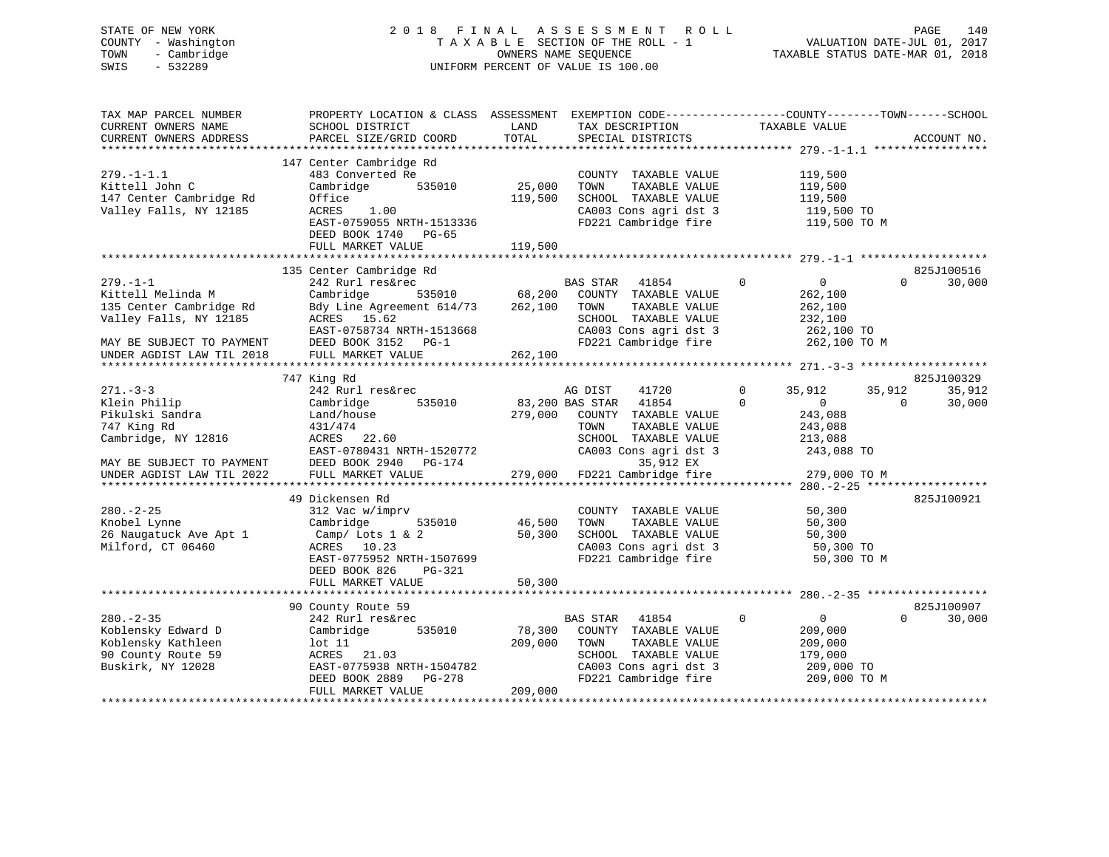# STATE OF NEW YORK 2 0 1 8 F I N A L A S S E S S M E N T R O L L PAGE 140 COUNTY - Washington T A X A B L E SECTION OF THE ROLL - 1 VALUATION DATE-JUL 01, 2017 TOWN - Cambridge OWNERS NAME SEQUENCE TAXABLE STATUS DATE-MAR 01, 2018 SWIS - 532289 UNIFORM PERCENT OF VALUE IS 100.00

| TAX MAP PARCEL NUMBER<br>CURRENT OWNERS NAME<br>CURRENT OWNERS ADDRESS                                                | PROPERTY LOCATION & CLASS ASSESSMENT EXEMPTION CODE----------------COUNTY-------TOWN------SCHOOL<br>SCHOOL DISTRICT<br>PARCEL SIZE/GRID COORD                              | LAND<br>TOTAL                | TAX DESCRIPTION<br>SPECIAL DISTRICTS                                                                                                                     | TAXABLE VALUE                                                                                   | ACCOUNT NO.                            |
|-----------------------------------------------------------------------------------------------------------------------|----------------------------------------------------------------------------------------------------------------------------------------------------------------------------|------------------------------|----------------------------------------------------------------------------------------------------------------------------------------------------------|-------------------------------------------------------------------------------------------------|----------------------------------------|
| $279. - 1 - 1.1$<br>Kittell John C<br>147 Center Cambridge Rd<br>Valley Falls, NY 12185                               | 147 Center Cambridge Rd<br>483 Converted Re<br>Cambridge<br>535010<br>Office<br>ACRES<br>1.00<br>EAST-0759055 NRTH-1513336<br>DEED BOOK 1740<br>PG-65<br>FULL MARKET VALUE | 25,000<br>119,500<br>119,500 | COUNTY TAXABLE VALUE<br>TOWN<br>TAXABLE VALUE<br>SCHOOL TAXABLE VALUE<br>CA003 Cons agri dst 3<br>FD221 Cambridge fire                                   | 119,500<br>119,500<br>119,500<br>119,500 TO<br>119,500 TO M                                     |                                        |
|                                                                                                                       | 135 Center Cambridge Rd                                                                                                                                                    |                              |                                                                                                                                                          |                                                                                                 | 825J100516                             |
| $279. - 1 - 1$<br>Kittell Melinda M<br>135 Center Cambridge Rd<br>Valley Falls, NY 12185<br>MAY BE SUBJECT TO PAYMENT | 242 Rurl res&rec<br>Cambridge<br>535010<br>Bdy Line Agreement 614/73<br>ACRES 15.62<br>EAST-0758734 NRTH-1513668<br>DEED BOOK 3152 PG-1                                    | 68,200<br>262,100            | <b>BAS STAR</b><br>41854<br>COUNTY TAXABLE VALUE<br>TAXABLE VALUE<br>TOWN<br>SCHOOL TAXABLE VALUE<br>CA003 Cons agri dst 3<br>FD221 Cambridge fire       | $\mathbf 0$<br>$\overline{0}$<br>262,100<br>262,100<br>232,100<br>262,100 TO<br>262,100 TO M    | $\Omega$<br>30,000                     |
| UNDER AGDIST LAW TIL 2018                                                                                             | FULL MARKET VALUE                                                                                                                                                          | 262,100                      |                                                                                                                                                          |                                                                                                 |                                        |
|                                                                                                                       |                                                                                                                                                                            |                              |                                                                                                                                                          |                                                                                                 | 825J100329                             |
| $271 - 3 - 3$<br>Klein Philip<br>Pikulski Sandra<br>747 King Rd<br>Cambridge, NY 12816<br>MAY BE SUBJECT TO PAYMENT   | 747 King Rd<br>242 Rurl res&rec<br>Cambridge<br>535010<br>Land/house<br>431/474<br>ACRES<br>22.60<br>EAST-0780431 NRTH-1520772<br>DEED BOOK 2940 PG-174                    | 279,000                      | AG DIST<br>41720<br>83,200 BAS STAR 41854<br>COUNTY TAXABLE VALUE<br>TOWN<br>TAXABLE VALUE<br>SCHOOL TAXABLE VALUE<br>CA003 Cons agri dst 3<br>35,912 EX | $\Omega$<br>35,912<br>$\Omega$<br>$\overline{0}$<br>243,088<br>243,088<br>213,088<br>243,088 TO | 35,912<br>35,912<br>30,000<br>$\Omega$ |
| UNDER AGDIST LAW TIL 2022                                                                                             | FULL MARKET VALUE                                                                                                                                                          | 279,000                      | FD221 Cambridge fire                                                                                                                                     | 279,000 TO M                                                                                    |                                        |
| $280. - 2 - 25$<br>Knobel Lynne<br>26 Naugatuck Ave Apt 1<br>Milford, CT 06460                                        | 49 Dickensen Rd<br>312 Vac w/imprv<br>Cambridge<br>535010<br>Camp/ Lots 1 & 2<br>ACRES 10.23<br>EAST-0775952 NRTH-1507699<br>DEED BOOK 826<br>PG-321<br>FULL MARKET VALUE  | 46,500<br>50,300<br>50,300   | COUNTY TAXABLE VALUE<br>TOWN<br>TAXABLE VALUE<br>SCHOOL TAXABLE VALUE<br>CA003 Cons agri dst 3<br>FD221 Cambridge fire                                   | 50,300<br>50,300<br>50,300<br>50,300 TO<br>50,300 TO M                                          | 825J100921                             |
|                                                                                                                       |                                                                                                                                                                            |                              |                                                                                                                                                          |                                                                                                 |                                        |
| $280. - 2 - 35$<br>Koblensky Edward D<br>Koblensky Kathleen<br>90 County Route 59<br>Buskirk, NY 12028                | 90 County Route 59<br>242 Rurl res&rec<br>Cambridge<br>535010<br>lot 11<br>21.03<br>ACRES<br>EAST-0775938 NRTH-1504782<br>DEED BOOK 2889<br>PG-278<br>FULL MARKET VALUE    | 78,300<br>209,000<br>209,000 | BAS STAR<br>41854<br>COUNTY TAXABLE VALUE<br>TAXABLE VALUE<br>TOWN<br>SCHOOL TAXABLE VALUE<br>CA003 Cons agri dst 3<br>FD221 Cambridge fire              | $\mathbf 0$<br>$\overline{0}$<br>209,000<br>209,000<br>179,000<br>209,000 TO<br>209,000 TO M    | 825J100907<br>$\Omega$<br>30,000       |
|                                                                                                                       |                                                                                                                                                                            |                              |                                                                                                                                                          |                                                                                                 |                                        |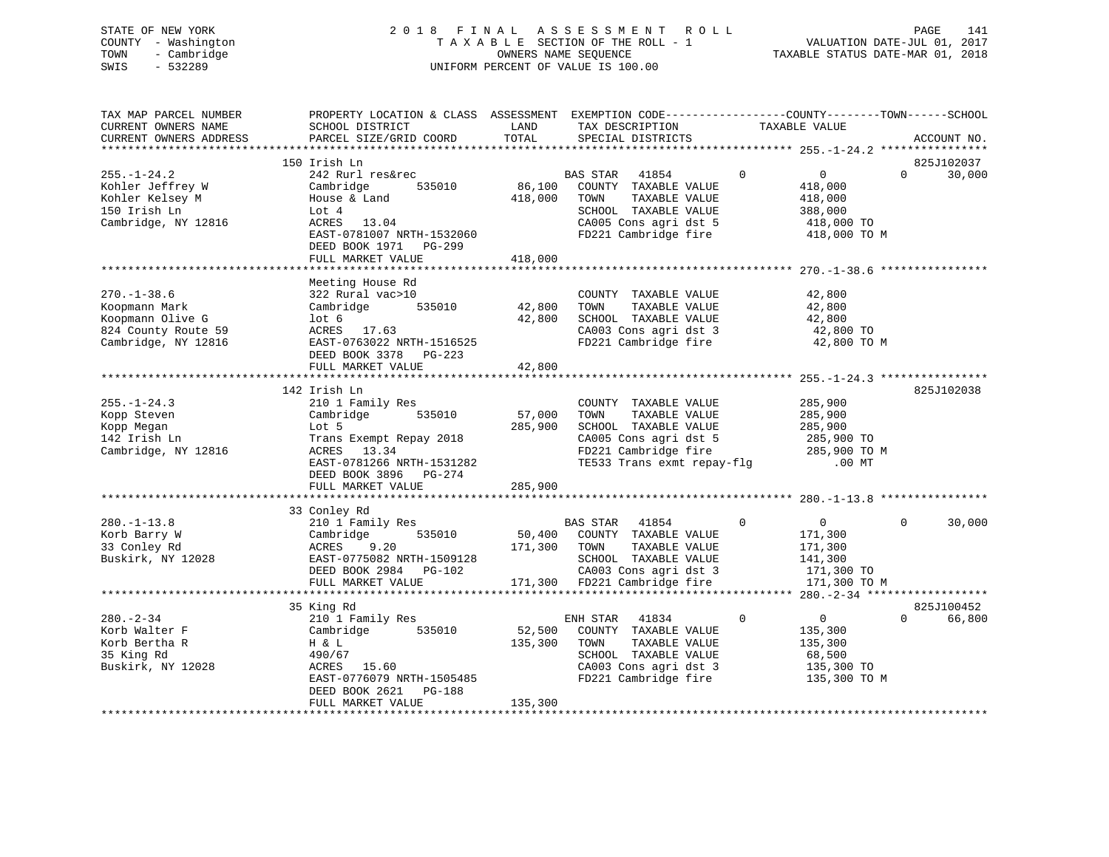# STATE OF NEW YORK 2 0 1 8 F I N A L A S S E S S M E N T R O L L PAGE 141 COUNTY - Washington T A X A B L E SECTION OF THE ROLL - 1 VALUATION DATE-JUL 01, 2017 TOWN - Cambridge OWNERS NAME SEQUENCE TAXABLE STATUS DATE-MAR 01, 2018 SWIS - 532289 UNIFORM PERCENT OF VALUE IS 100.00

| TAX MAP PARCEL NUMBER<br>CURRENT OWNERS NAME<br>CURRENT OWNERS ADDRESS<br>**********************     | PROPERTY LOCATION & CLASS ASSESSMENT<br>SCHOOL DISTRICT<br>PARCEL SIZE/GRID COORD                                                                                                        | LAND<br>TOTAL                | EXEMPTION CODE-----------------COUNTY-------TOWN------SCHOOL<br>TAX DESCRIPTION<br>SPECIAL DISTRICTS                                                 | TAXABLE VALUE                  |                                                                               | ACCOUNT NO.                      |
|------------------------------------------------------------------------------------------------------|------------------------------------------------------------------------------------------------------------------------------------------------------------------------------------------|------------------------------|------------------------------------------------------------------------------------------------------------------------------------------------------|--------------------------------|-------------------------------------------------------------------------------|----------------------------------|
|                                                                                                      | 150 Irish Ln                                                                                                                                                                             |                              |                                                                                                                                                      |                                |                                                                               | 825J102037                       |
| $255. - 1 - 24.2$<br>Kohler Jeffrey W<br>Kohler Kelsey M<br>150 Irish Ln<br>Cambridge, NY 12816      | 242 Rurl res&rec<br>Cambridge<br>535010<br>House & Land<br>Lot 4<br>ACRES 13.04<br>EAST-0781007 NRTH-1532060<br>DEED BOOK 1971 PG-299<br>FULL MARKET VALUE                               | 86,100<br>418,000<br>418,000 | 41854<br>BAS STAR<br>COUNTY TAXABLE VALUE<br>TAXABLE VALUE<br>TOWN<br>SCHOOL TAXABLE VALUE<br>CA005 Cons agri dst 5<br>FD221 Cambridge fire          | $\mathbf{0}$                   | $\overline{0}$<br>418,000<br>418,000<br>388,000<br>418,000 TO<br>418,000 TO M | $\Omega$<br>30,000               |
|                                                                                                      | ******************                                                                                                                                                                       |                              |                                                                                                                                                      | ****************** 270.-1-38.6 |                                                                               |                                  |
| $270. - 1 - 38.6$<br>Koopmann Mark<br>Koopmann Olive G<br>824 County Route 59<br>Cambridge, NY 12816 | Meeting House Rd<br>322 Rural vac>10<br>535010<br>Cambridge<br>lot <sub>6</sub><br>ACRES<br>17.63<br>EAST-0763022 NRTH-1516525<br>DEED BOOK 3378<br>PG-223                               | 42,800<br>42,800             | COUNTY TAXABLE VALUE<br>TAXABLE VALUE<br>TOWN<br>SCHOOL TAXABLE VALUE<br>CA003 Cons agri dst 3<br>FD221 Cambridge fire                               |                                | 42,800<br>42,800<br>42,800<br>42,800 TO<br>42,800 TO M                        |                                  |
|                                                                                                      | FULL MARKET VALUE                                                                                                                                                                        | 42,800                       |                                                                                                                                                      |                                |                                                                               |                                  |
|                                                                                                      |                                                                                                                                                                                          |                              |                                                                                                                                                      |                                |                                                                               |                                  |
| $255. - 1 - 24.3$<br>Kopp Steven<br>Kopp Megan<br>142 Irish Ln<br>Cambridge, NY 12816                | 142 Irish Ln<br>210 1 Family Res<br>Cambridge<br>535010<br>Lot 5<br>Trans Exempt Repay 2018<br>ACRES 13.34<br>EAST-0781266 NRTH-1531282<br>DEED BOOK 3896<br>PG-274<br>FULL MARKET VALUE | 57,000<br>285,900<br>285,900 | COUNTY TAXABLE VALUE<br>TOWN<br>TAXABLE VALUE<br>SCHOOL TAXABLE VALUE<br>CA005 Cons agri dst 5<br>FD221 Cambridge fire<br>TE533 Trans exmt repay-flg |                                | 285,900<br>285,900<br>285,900<br>285,900 TO<br>285,900 TO M<br>$.00$ MT       | 825J102038                       |
|                                                                                                      |                                                                                                                                                                                          |                              |                                                                                                                                                      |                                |                                                                               |                                  |
| $280. - 1 - 13.8$<br>Korb Barry W<br>33 Conley Rd<br>Buskirk, NY 12028                               | 33 Conley Rd<br>210 1 Family Res<br>Cambridge<br>535010<br>ACRES<br>9.20<br>EAST-0775082 NRTH-1509128<br>DEED BOOK 2984 PG-102                                                           | 50,400<br>171,300            | BAS STAR 41854<br>COUNTY TAXABLE VALUE<br>TOWN<br>TAXABLE VALUE<br>SCHOOL TAXABLE VALUE<br>CA003 Cons agri dst 3                                     | $\Omega$                       | $\overline{0}$<br>171,300<br>171,300<br>141,300<br>171,300 TO                 | $\Omega$<br>30,000               |
|                                                                                                      | FULL MARKET VALUE                                                                                                                                                                        | 171,300                      | FD221 Cambridge fire                                                                                                                                 |                                | 171,300 TO M                                                                  |                                  |
|                                                                                                      | **************************                                                                                                                                                               |                              |                                                                                                                                                      |                                | $280 - 2 - 34$ *******************                                            |                                  |
| $280. - 2 - 34$<br>Korb Walter F<br>Korb Bertha R<br>35 King Rd<br>Buskirk, NY 12028                 | 35 King Rd<br>210 1 Family Res<br>535010<br>Cambridge<br>H & L<br>490/67<br>ACRES<br>15.60<br>EAST-0776079 NRTH-1505485<br>DEED BOOK 2621<br>PG-188<br>FULL MARKET VALUE                 | 52,500<br>135,300<br>135,300 | ENH STAR<br>41834<br>COUNTY TAXABLE VALUE<br>TAXABLE VALUE<br>TOWN<br>SCHOOL TAXABLE VALUE<br>CA003 Cons agri dst 3<br>FD221 Cambridge fire          | $\Omega$                       | $\overline{0}$<br>135,300<br>135,300<br>68,500<br>135,300 TO<br>135,300 TO M  | 825J100452<br>$\Omega$<br>66,800 |
|                                                                                                      |                                                                                                                                                                                          |                              |                                                                                                                                                      |                                |                                                                               |                                  |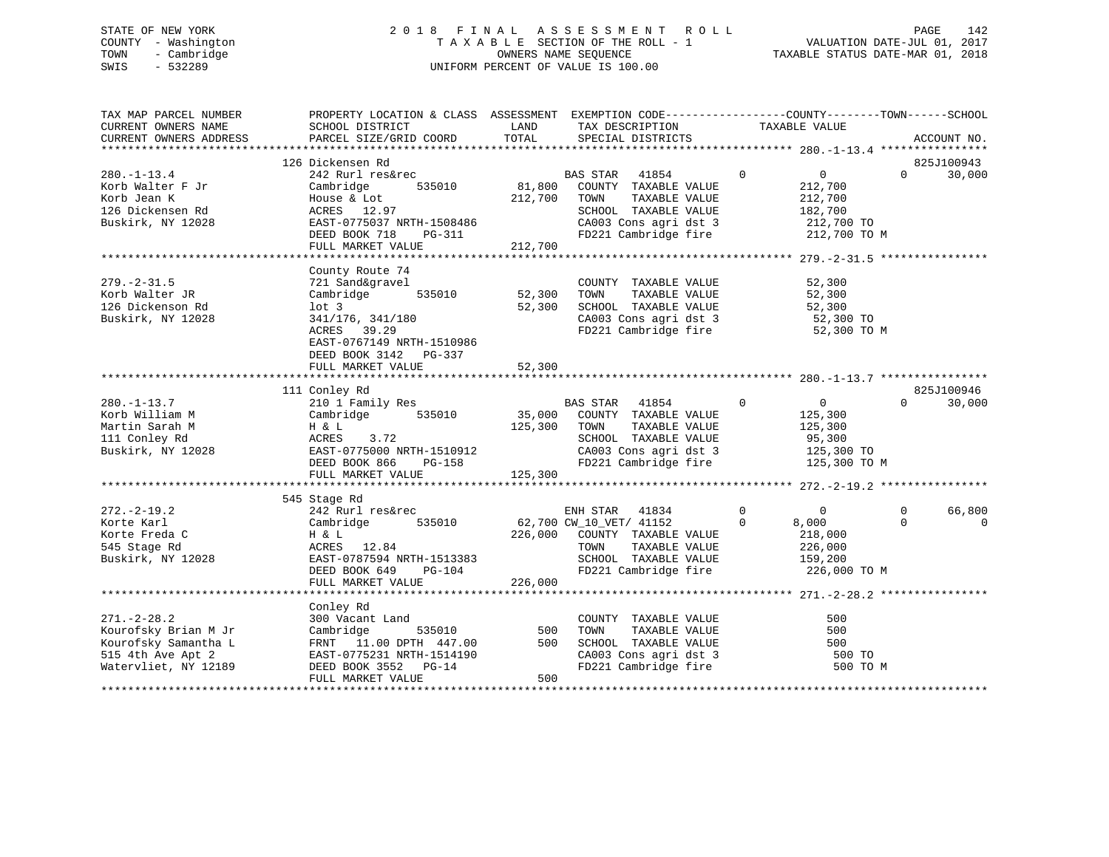# STATE OF NEW YORK 2 0 1 8 F I N A L A S S E S S M E N T R O L L PAGE 142 COUNTY - Washington T A X A B L E SECTION OF THE ROLL - 1 VALUATION DATE-JUL 01, 2017 TOWN - Cambridge OWNERS NAME SEQUENCE TAXABLE STATUS DATE-MAR 01, 2018 SWIS - 532289 UNIFORM PERCENT OF VALUE IS 100.00

| TAX MAP PARCEL NUMBER<br>CURRENT OWNERS NAME<br>CURRENT OWNERS ADDRESS | PROPERTY LOCATION & CLASS ASSESSMENT EXEMPTION CODE----------------COUNTY-------TOWN-----SCHOOL<br>SCHOOL DISTRICT<br>PARCEL SIZE/GRID COORD | LAND<br>TOTAL | TAX DESCRIPTION<br>SPECIAL DISTRICTS                                  | TAXABLE VALUE                    | ACCOUNT NO.          |
|------------------------------------------------------------------------|----------------------------------------------------------------------------------------------------------------------------------------------|---------------|-----------------------------------------------------------------------|----------------------------------|----------------------|
|                                                                        |                                                                                                                                              |               |                                                                       |                                  |                      |
|                                                                        | 126 Dickensen Rd                                                                                                                             |               |                                                                       |                                  | 825J100943           |
| $280. - 1 - 13.4$                                                      | 242 Rurl res&rec                                                                                                                             |               | $\sim$ 0<br>BAS STAR 41854                                            | $\overline{0}$                   | $\Omega$<br>30,000   |
| Korb Walter F Jr                                                       | Cambridge                                                                                                                                    |               | 535010 81,800 COUNTY TAXABLE VALUE                                    | 212,700                          |                      |
| Korb Jean K                                                            | House & Lot                                                                                                                                  | 212,700 TOWN  | TAXABLE VALUE                                                         | 212,700                          |                      |
| 126 Dickensen Rd                                                       | ACRES 12.97                                                                                                                                  |               | SCHOOL TAXABLE VALUE                                                  | 182,700                          |                      |
| Buskirk, NY 12028                                                      | EAST-0775037 NRTH-1508486                                                                                                                    | $PG-311$      | CA003 Cons agri dst 3 212,700 TO<br>FD221 Cambridge fire 212,700 TO M |                                  |                      |
|                                                                        | DEED BOOK 718                                                                                                                                |               |                                                                       |                                  |                      |
|                                                                        | FULL MARKET VALUE                                                                                                                            | 212,700       |                                                                       |                                  |                      |
|                                                                        | County Route 74                                                                                                                              |               |                                                                       |                                  |                      |
| $279. - 2 - 31.5$                                                      | 721 Sand&gravel                                                                                                                              |               | COUNTY TAXABLE VALUE                                                  | 52,300                           |                      |
| Korb Walter JR                                                         | 535010<br>Cambridge                                                                                                                          | 52,300        | TOWN<br>TAXABLE VALUE                                                 | 52,300                           |                      |
| 126 Dickenson Rd                                                       | lot <sub>3</sub>                                                                                                                             | 52,300        | SCHOOL TAXABLE VALUE                                                  | 52,300                           |                      |
| Buskirk, NY 12028                                                      | 341/176, 341/180                                                                                                                             |               |                                                                       |                                  |                      |
|                                                                        | ACRES 39.29                                                                                                                                  |               | CA003 Cons agri dst 3 52,300 TO<br>FD221 Cambridge fire 52,300 TO     | 52,300 TO M                      |                      |
|                                                                        | EAST-0767149 NRTH-1510986                                                                                                                    |               |                                                                       |                                  |                      |
|                                                                        | DEED BOOK 3142 PG-337                                                                                                                        |               |                                                                       |                                  |                      |
|                                                                        | FULL MARKET VALUE                                                                                                                            | 52,300        |                                                                       |                                  |                      |
|                                                                        |                                                                                                                                              |               |                                                                       |                                  |                      |
|                                                                        | 111 Conley Rd                                                                                                                                |               |                                                                       |                                  | 825J100946           |
| $280. - 1 - 13.7$                                                      | 210 1 Family Res                                                                                                                             |               | BAS STAR 41854                                                        | $\overline{0}$<br>$\overline{0}$ | $\Omega$<br>30,000   |
| Korb William M                                                         | Cambridge 535010                                                                                                                             | 35,000        | COUNTY TAXABLE VALUE                                                  | 125,300                          |                      |
| Martin Sarah M                                                         | H & L                                                                                                                                        | 125,300       | TAXABLE VALUE<br>TOWN                                                 | 125,300                          |                      |
| 111 Conley Rd                                                          | ACRES<br>3.72                                                                                                                                |               | SCHOOL TAXABLE VALUE                                                  | 95,300                           |                      |
| Buskirk, NY 12028                                                      | EAST-0775000 NRTH-1510912                                                                                                                    |               |                                                                       |                                  |                      |
|                                                                        | THE<br>DG-158<br>"<br>DEED BOOK 866                                                                                                          |               | CA003 Cons agri dst 3 125,300 TO<br>FD221 Cambridge fire 125,300 TO M |                                  |                      |
|                                                                        | FULL MARKET VALUE                                                                                                                            | 125,300       |                                                                       |                                  |                      |
|                                                                        |                                                                                                                                              |               |                                                                       |                                  |                      |
|                                                                        | 545 Stage Rd                                                                                                                                 |               |                                                                       |                                  |                      |
| $272. - 2 - 19.2$                                                      | 242 Rurl res&rec                                                                                                                             |               | ENH STAR 41834                                                        | $\Omega$<br>$\overline{0}$       | $\Omega$<br>66,800   |
| Korte Karl                                                             | 535010<br>Cambridge                                                                                                                          |               | 62,700 CW_10_VET/ 41152                                               | $\mathbf 0$<br>8,000             | $\Omega$<br>$\Omega$ |
| Korte Freda C                                                          | H & L                                                                                                                                        |               | 226,000 COUNTY TAXABLE VALUE                                          | 218,000                          |                      |
| 545 Stage Rd                                                           | ACRES 12.84                                                                                                                                  |               | TOWN<br>TAXABLE VALUE                                                 | 226,000                          |                      |
| Buskirk, NY 12028                                                      | EAST-0787594 NRTH-1513383<br>DEED BOOK 640                                                                                                   |               | SCHOOL TAXABLE VALUE                                                  | 159,200                          |                      |
|                                                                        | DEED BOOK 649<br>PG-104                                                                                                                      |               | FD221 Cambridge fire 226,000 TO M                                     |                                  |                      |
|                                                                        | FULL MARKET VALUE                                                                                                                            | 226,000       |                                                                       |                                  |                      |
|                                                                        |                                                                                                                                              |               |                                                                       |                                  |                      |
|                                                                        | Conley Rd                                                                                                                                    |               |                                                                       |                                  |                      |
| $271. - 2 - 28.2$                                                      | 300 Vacant Land                                                                                                                              |               | COUNTY TAXABLE VALUE                                                  | 500                              |                      |
| Kourofsky Brian M Jr                                                   | Cambridge<br>535010                                                                                                                          | 500           | TAXABLE VALUE<br>TOWN                                                 | 500                              |                      |
| Kourofsky Samantha L                                                   | FRNT 11.00 DPTH 447.00                                                                                                                       | 500           | SCHOOL TAXABLE VALUE                                                  | 500                              |                      |
| 515 4th Ave Apt 2                                                      | EAST-0775231 NRTH-1514190                                                                                                                    |               | CA003 Cons agri dst 3<br>FD221 Cambridge fire                         | 500 TO                           |                      |
| Watervliet, NY 12189                                                   | DEED BOOK 3552 PG-14                                                                                                                         |               |                                                                       | 500 TO M                         |                      |
|                                                                        | FULL MARKET VALUE                                                                                                                            | 500           |                                                                       |                                  |                      |
|                                                                        |                                                                                                                                              |               |                                                                       |                                  |                      |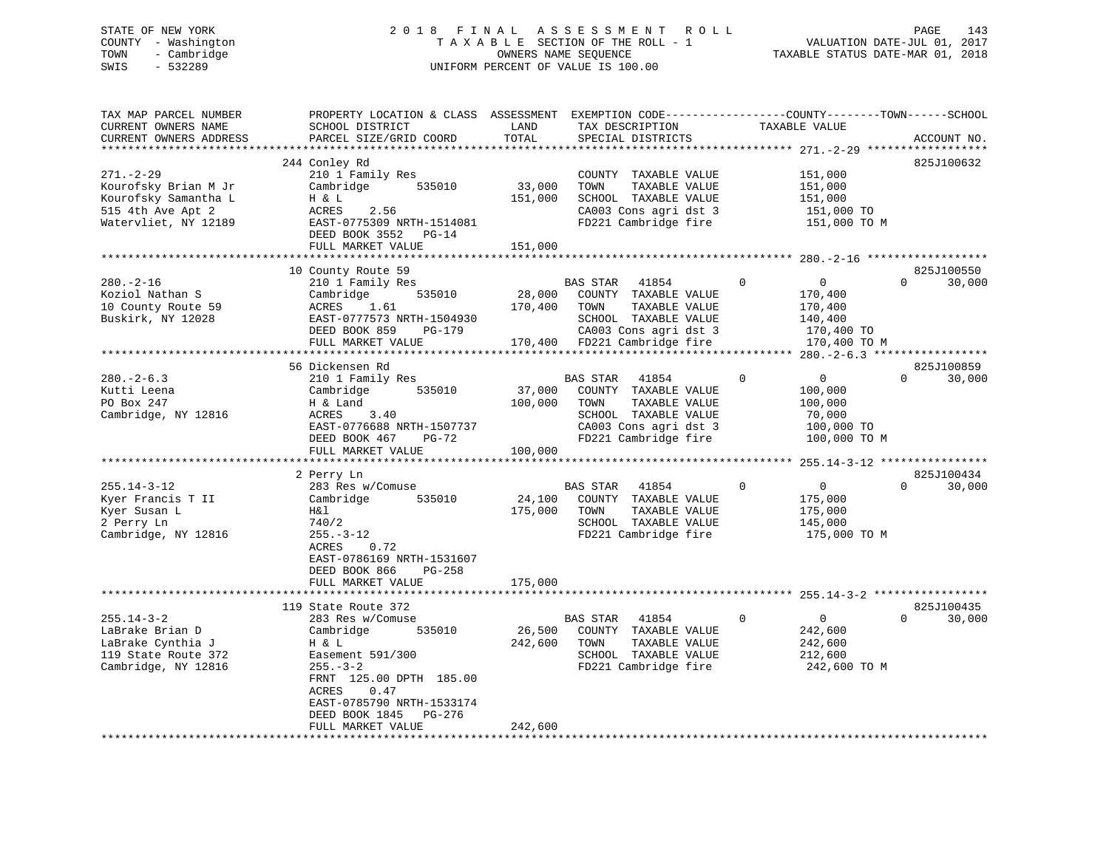# STATE OF NEW YORK 2 0 1 8 F I N A L A S S E S S M E N T R O L L PAGE 143 COUNTY - Washington T A X A B L E SECTION OF THE ROLL - 1 VALUATION DATE-JUL 01, 2017 TOWN - Cambridge OWNERS NAME SEQUENCE TAXABLE STATUS DATE-MAR 01, 2018 SWIS - 532289 UNIFORM PERCENT OF VALUE IS 100.00

| TAX MAP PARCEL NUMBER<br>CURRENT OWNERS NAME<br>CURRENT OWNERS ADDRESS                                                              | PROPERTY LOCATION & CLASS ASSESSMENT<br>SCHOOL DISTRICT<br>PARCEL SIZE/GRID COORD                                                                                                                                                                                            | LAND<br>TOTAL                | TAX DESCRIPTION<br>SPECIAL DISTRICTS                                                                                                               | EXEMPTION CODE----------------COUNTY-------TOWN------SCHOOL<br>TAXABLE VALUE                | ACCOUNT NO.                      |
|-------------------------------------------------------------------------------------------------------------------------------------|------------------------------------------------------------------------------------------------------------------------------------------------------------------------------------------------------------------------------------------------------------------------------|------------------------------|----------------------------------------------------------------------------------------------------------------------------------------------------|---------------------------------------------------------------------------------------------|----------------------------------|
| *******************<br>$271. - 2 - 29$<br>Kourofsky Brian M Jr<br>Kourofsky Samantha L<br>515 4th Ave Apt 2<br>Watervliet, NY 12189 | **************************<br>244 Conley Rd<br>210 1 Family Res<br>Cambridge<br>535010<br>H & L<br>ACRES<br>2.56<br>EAST-0775309 NRTH-1514081<br>DEED BOOK 3552 PG-14<br>FULL MARKET VALUE                                                                                   | 33,000<br>151,000<br>151,000 | COUNTY TAXABLE VALUE<br>TOWN<br>TAXABLE VALUE<br>SCHOOL TAXABLE VALUE<br>CA003 Cons agri dst 3<br>FD221 Cambridge fire                             | 151,000<br>151,000<br>151,000<br>151,000 TO<br>151,000 TO M                                 | 825J100632                       |
| $280. - 2 - 16$<br>Koziol Nathan S<br>10 County Route 59<br>Buskirk, NY 12028                                                       | 10 County Route 59<br>210 1 Family Res<br>535010<br>Cambridge<br>ACRES<br>1.61<br>EAST-0777573 NRTH-1504930<br>DEED BOOK 859<br>PG-179<br>FULL MARKET VALUE                                                                                                                  | 28,000<br>170,400<br>170,400 | <b>BAS STAR</b><br>41854<br>COUNTY TAXABLE VALUE<br>TOWN<br>TAXABLE VALUE<br>SCHOOL TAXABLE VALUE<br>CA003 Cons agri dst 3<br>FD221 Cambridge fire | $\Omega$<br>$\overline{0}$<br>170,400<br>170,400<br>140,400<br>170,400 TO<br>170,400 TO M   | 825J100550<br>30,000<br>$\Omega$ |
| $280 - 2 - 6.3$<br>Kutti Leena<br>PO Box 247<br>Cambridge, NY 12816                                                                 | 56 Dickensen Rd<br>210 1 Family Res<br>Cambridge<br>535010<br>H & Land<br>ACRES<br>3.40<br>EAST-0776688 NRTH-1507737<br>DEED BOOK 467<br>PG-72<br>FULL MARKET VALUE                                                                                                          | 37,000<br>100,000<br>100,000 | BAS STAR<br>41854<br>COUNTY TAXABLE VALUE<br>TAXABLE VALUE<br>TOWN<br>SCHOOL TAXABLE VALUE<br>CA003 Cons agri dst 3<br>FD221 Cambridge fire        | $\mathbf 0$<br>$\overline{0}$<br>100,000<br>100,000<br>70,000<br>100,000 TO<br>100,000 TO M | 825J100859<br>$\Omega$<br>30,000 |
| $255.14 - 3 - 12$<br>Kyer Francis T II<br>Kyer Susan L<br>2 Perry Ln<br>Cambridge, NY 12816                                         | *******************<br>2 Perry Ln<br>283 Res w/Comuse<br>535010<br>Cambridge<br>H&l<br>740/2<br>$255. - 3 - 12$<br>ACRES<br>0.72<br>EAST-0786169 NRTH-1531607<br>DEED BOOK 866<br>$PG-258$<br>FULL MARKET VALUE                                                              | 24,100<br>175,000<br>175,000 | 41854<br>BAS STAR<br>COUNTY TAXABLE VALUE<br>TOWN<br>TAXABLE VALUE<br>SCHOOL TAXABLE VALUE<br>FD221 Cambridge fire                                 | $\mathbf 0$<br>$\overline{0}$<br>175,000<br>175,000<br>145,000<br>175,000 TO M              | 825J100434<br>$\Omega$<br>30,000 |
| $255.14 - 3 - 2$<br>LaBrake Brian D<br>LaBrake Cynthia J<br>119 State Route 372<br>Cambridge, NY 12816                              | * * * * * * * * * * * * * * * * *<br>119 State Route 372<br>283 Res w/Comuse<br>Cambridge<br>535010<br>H & L<br>Easement 591/300<br>$255. - 3 - 2$<br>FRNT 125.00 DPTH 185.00<br>ACRES<br>0.47<br>EAST-0785790 NRTH-1533174<br>DEED BOOK 1845<br>PG-276<br>FULL MARKET VALUE | 26,500<br>242,600<br>242,600 | <b>BAS STAR</b><br>41854<br>COUNTY TAXABLE VALUE<br>TOWN<br>TAXABLE VALUE<br>SCHOOL TAXABLE VALUE<br>FD221 Cambridge fire                          | $\mathbf 0$<br>$\mathbf 0$<br>242,600<br>242,600<br>212,600<br>242,600 TO M                 | 825J100435<br>$\Omega$<br>30,000 |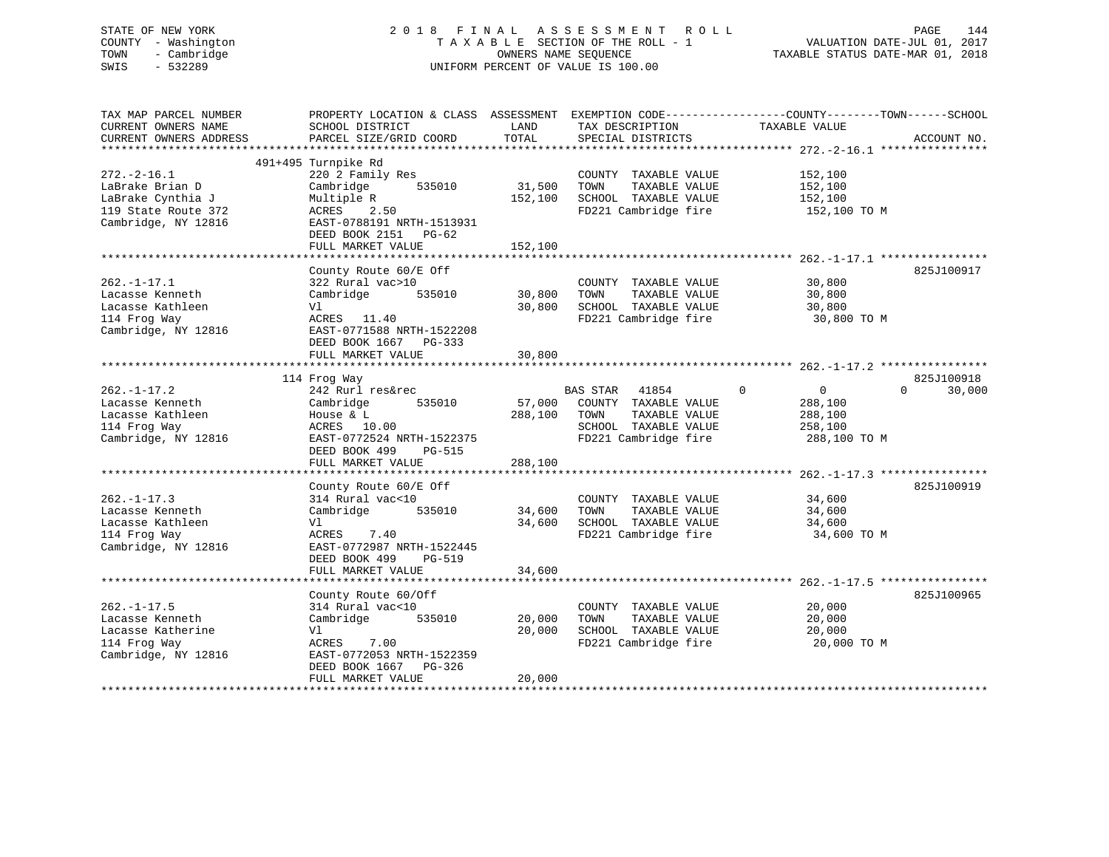# STATE OF NEW YORK 2 0 1 8 F I N A L A S S E S S M E N T R O L L PAGE 144 COUNTY - Washington T A X A B L E SECTION OF THE ROLL - 1 VALUATION DATE-JUL 01, 2017 TOWN - Cambridge OWNERS NAME SEQUENCE TAXABLE STATUS DATE-MAR 01, 2018 SWIS - 532289 UNIFORM PERCENT OF VALUE IS 100.00

| TAX MAP PARCEL NUMBER<br>CURRENT OWNERS NAME<br>CURRENT OWNERS ADDRESS<br>********************          | PROPERTY LOCATION & CLASS ASSESSMENT<br>SCHOOL DISTRICT<br>PARCEL SIZE/GRID COORD                                                                                          | LAND<br>TOTAL                | TAX DESCRIPTION<br>SPECIAL DISTRICTS                                                                                      | EXEMPTION CODE-----------------COUNTY-------TOWN------SCHOOL<br>TAXABLE VALUE  | ACCOUNT NO.        |
|---------------------------------------------------------------------------------------------------------|----------------------------------------------------------------------------------------------------------------------------------------------------------------------------|------------------------------|---------------------------------------------------------------------------------------------------------------------------|--------------------------------------------------------------------------------|--------------------|
| $272. - 2 - 16.1$<br>LaBrake Brian D<br>LaBrake Cynthia J<br>119 State Route 372<br>Cambridge, NY 12816 | 491+495 Turnpike Rd<br>220 2 Family Res<br>Cambridge<br>535010<br>Multiple R<br>ACRES<br>2.50<br>EAST-0788191 NRTH-1513931<br>DEED BOOK 2151<br>PG-62<br>FULL MARKET VALUE | 31,500<br>152,100<br>152,100 | COUNTY TAXABLE VALUE<br>TOWN<br>TAXABLE VALUE<br>SCHOOL TAXABLE VALUE<br>FD221 Cambridge fire                             | 152,100<br>152,100<br>152,100<br>152,100 TO M                                  |                    |
| $262. - 1 - 17.1$<br>Lacasse Kenneth<br>Lacasse Kathleen<br>114 Frog Way<br>Cambridge, NY 12816         | County Route 60/E Off<br>322 Rural vac>10<br>Cambridge<br>535010<br>Vl<br>ACRES 11.40<br>EAST-0771588 NRTH-1522208<br>DEED BOOK 1667 PG-333<br>FULL MARKET VALUE           | 30,800<br>30,800<br>30,800   | COUNTY TAXABLE VALUE<br>TOWN<br>TAXABLE VALUE<br>SCHOOL TAXABLE VALUE<br>FD221 Cambridge fire                             | 30,800<br>30,800<br>30,800<br>30,800 TO M                                      | 825J100917         |
|                                                                                                         |                                                                                                                                                                            |                              |                                                                                                                           |                                                                                | 825J100918         |
| $262. - 1 - 17.2$<br>Lacasse Kenneth<br>Lacasse Kathleen<br>114 Frog Way<br>Cambridge, NY 12816         | 114 Frog Way<br>242 Rurl res&rec<br>Cambridge<br>535010<br>House $\&$ L<br>ACRES 10.00<br>EAST-0772524 NRTH-1522375<br>DEED BOOK 499<br>PG-515<br>FULL MARKET VALUE        | 57,000<br>288,100<br>288,100 | <b>BAS STAR</b><br>41854<br>COUNTY TAXABLE VALUE<br>TOWN<br>TAXABLE VALUE<br>SCHOOL TAXABLE VALUE<br>FD221 Cambridge fire | $\mathbf 0$<br>$\overline{0}$<br>288,100<br>288,100<br>258,100<br>288,100 TO M | $\Omega$<br>30,000 |
|                                                                                                         |                                                                                                                                                                            |                              |                                                                                                                           |                                                                                |                    |
| $262. - 1 - 17.3$<br>Lacasse Kenneth<br>Lacasse Kathleen<br>114 Frog Way<br>Cambridge, NY 12816         | County Route 60/E Off<br>314 Rural vac<10<br>Cambridge<br>535010<br>Vl<br>ACRES<br>7.40<br>EAST-0772987 NRTH-1522445<br>DEED BOOK 499<br><b>PG-519</b>                     | 34,600<br>34,600             | COUNTY TAXABLE VALUE<br>TOWN<br>TAXABLE VALUE<br>SCHOOL TAXABLE VALUE<br>FD221 Cambridge fire                             | 34,600<br>34,600<br>34,600<br>34,600 TO M                                      | 825J100919         |
|                                                                                                         | FULL MARKET VALUE                                                                                                                                                          | 34,600                       |                                                                                                                           |                                                                                |                    |
| $262. - 1 - 17.5$<br>Lacasse Kenneth<br>Lacasse Katherine<br>114 Frog Way<br>Cambridge, NY 12816        | County Route 60/Off<br>314 Rural vac<10<br>Cambridge<br>535010<br>Vl<br>ACRES<br>7.00<br>EAST-0772053 NRTH-1522359<br>DEED BOOK 1667 PG-326<br>FULL MARKET VALUE           | 20,000<br>20,000<br>20,000   | COUNTY TAXABLE VALUE<br>TAXABLE VALUE<br>TOWN<br>SCHOOL TAXABLE VALUE<br>FD221 Cambridge fire                             | 20,000<br>20,000<br>20,000<br>20,000 TO M                                      | 825J100965         |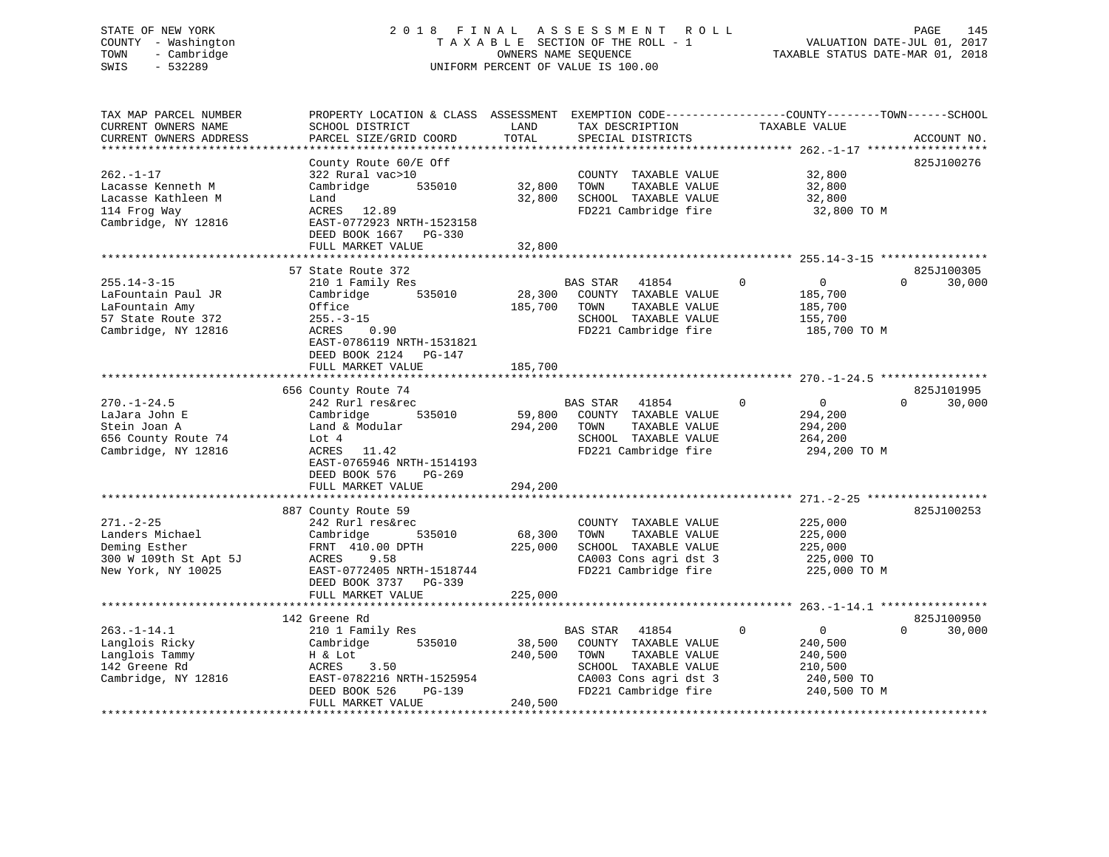#### STATE OF NEW YORK 2 0 1 8 F I N A L A S S E S S M E N T R O L L PAGE 145COUNTY - Washington T A X A B L E SECTION OF THE ROLL - 1 VALUATION DATE-JUL 01, 2017 TOWN - Cambridge OWNERS NAME SEQUENCE TAXABLE STATUS DATE-MAR 01, 2018 SWIS - 532289 UNIFORM PERCENT OF VALUE IS 100.00

| TAX MAP PARCEL NUMBER  | PROPERTY LOCATION & CLASS ASSESSMENT EXEMPTION CODE---------------COUNTY-------TOWN-----SCHOOL |              |                             |                            |                    |
|------------------------|------------------------------------------------------------------------------------------------|--------------|-----------------------------|----------------------------|--------------------|
| CURRENT OWNERS NAME    | SCHOOL DISTRICT                                                                                | LAND         | TAX DESCRIPTION             | TAXABLE VALUE              |                    |
| CURRENT OWNERS ADDRESS | PARCEL SIZE/GRID COORD                                                                         | TOTAL        | SPECIAL DISTRICTS           |                            | ACCOUNT NO.        |
|                        |                                                                                                |              |                             |                            |                    |
|                        | County Route 60/E Off                                                                          |              |                             |                            | 825J100276         |
| $262. -1 - 17$         | 322 Rural vac>10                                                                               |              | COUNTY TAXABLE VALUE        | 32,800                     |                    |
| Lacasse Kenneth M      | Cambridge<br>535010                                                                            | 32,800       | TOWN<br>TAXABLE VALUE       | 32,800                     |                    |
| Lacasse Kathleen M     | Land                                                                                           | 32,800       | SCHOOL TAXABLE VALUE        | 32,800                     |                    |
| 114 Frog Way           | ACRES 12.89                                                                                    |              | FD221 Cambridge fire        | 32,800 TO M                |                    |
| Cambridge, NY 12816    | EAST-0772923 NRTH-1523158                                                                      |              |                             |                            |                    |
|                        | DEED BOOK 1667 PG-330                                                                          |              |                             |                            |                    |
|                        | FULL MARKET VALUE                                                                              | 32,800       |                             |                            |                    |
|                        | 57 State Route 372                                                                             |              |                             |                            | 825J100305         |
| $255.14 - 3 - 15$      | 210 1 Family Res                                                                               |              | <b>BAS STAR</b><br>41854    | $\Omega$<br>$\overline{0}$ | 30,000<br>$\Omega$ |
| LaFountain Paul JR     | 535010<br>Cambridge                                                                            | 28,300       | COUNTY TAXABLE VALUE        | 185,700                    |                    |
| LaFountain Amy         | Office                                                                                         | 185,700      | TOWN<br>TAXABLE VALUE       | 185,700                    |                    |
| 57 State Route 372     | $255. - 3 - 15$                                                                                |              | SCHOOL TAXABLE VALUE        | 155,700                    |                    |
| Cambridge, NY 12816    | ACRES<br>0.90                                                                                  |              | FD221 Cambridge fire        | 185,700 TO M               |                    |
|                        | EAST-0786119 NRTH-1531821                                                                      |              |                             |                            |                    |
|                        | DEED BOOK 2124 PG-147                                                                          |              |                             |                            |                    |
|                        | FULL MARKET VALUE                                                                              | 185,700      |                             |                            |                    |
|                        |                                                                                                |              |                             |                            |                    |
|                        | 656 County Route 74                                                                            |              |                             |                            | 825J101995         |
| $270. - 1 - 24.5$      | 242 Rurl res&rec                                                                               |              | <b>BAS STAR</b><br>41854    | $\Omega$<br>$\mathbf 0$    | 30,000<br>$\Omega$ |
| LaJara John E          | Cambridge<br>535010                                                                            |              | 59,800 COUNTY TAXABLE VALUE | 294,200                    |                    |
| Stein Joan A           | Land & Modular                                                                                 | 294,200 TOWN | TAXABLE VALUE               | 294,200                    |                    |
| 656 County Route 74    | Lot $4$                                                                                        |              | SCHOOL TAXABLE VALUE        | 264,200                    |                    |
| Cambridge, NY 12816    | 11.42<br>ACRES                                                                                 |              | FD221 Cambridge fire        | 294,200 TO M               |                    |
|                        | EAST-0765946 NRTH-1514193                                                                      |              |                             |                            |                    |
|                        | DEED BOOK 576<br>$PG-269$                                                                      |              |                             |                            |                    |
|                        | FULL MARKET VALUE                                                                              | 294,200      |                             |                            |                    |
|                        |                                                                                                |              |                             |                            |                    |
|                        | 887 County Route 59                                                                            |              |                             |                            | 825J100253         |
| $271. - 2 - 25$        | 242 Rurl res&rec                                                                               |              | COUNTY TAXABLE VALUE        | 225,000                    |                    |
| Landers Michael        | Cambridge<br>535010                                                                            | 68,300       | TAXABLE VALUE<br>TOWN       | 225,000                    |                    |
| Deming Esther          | FRNT 410.00 DPTH                                                                               | 225,000      | SCHOOL TAXABLE VALUE        | 225,000                    |                    |
| 300 W 109th St Apt 5J  | 9.58<br>ACRES                                                                                  |              | CA003 Cons agri dst 3       | 225,000 TO                 |                    |
| New York, NY 10025     | EAST-0772405 NRTH-1518744                                                                      |              | FD221 Cambridge fire        | 225,000 TO M               |                    |
|                        | DEED BOOK 3737 PG-339                                                                          |              |                             |                            |                    |
|                        | FULL MARKET VALUE                                                                              | 225,000      |                             |                            |                    |
|                        |                                                                                                |              |                             |                            |                    |
|                        | 142 Greene Rd                                                                                  |              |                             |                            | 825J100950         |
| $263 - 1 - 14$ 1       | 210 1 Family Rec                                                                               |              | RAS STAR<br>41854           | $\cap$<br>$\cap$           |                    |

00950 142 Greene Rd 825J100950263.-1-14.1 210 1 Family Res BAS STAR 41854 0 0 0 30,000 Langlois Ricky Cambridge 535010 38,500 COUNTY TAXABLE VALUE 240,500 Langlois Tammy H & Lot 240,500 TOWN TAXABLE VALUE 240,500 142 Greene Rd ACRES 3.50 SCHOOL TAXABLE VALUE 210,500 EAST-0782216 NRTH-1525954 CA003 Cons agri dst 3 DEED BOOK 526 PG-139 FD221 Cambridge fire 240,500 TO M FULL MARKET VALUE 240,500 \*\*\*\*\*\*\*\*\*\*\*\*\*\*\*\*\*\*\*\*\*\*\*\*\*\*\*\*\*\*\*\*\*\*\*\*\*\*\*\*\*\*\*\*\*\*\*\*\*\*\*\*\*\*\*\*\*\*\*\*\*\*\*\*\*\*\*\*\*\*\*\*\*\*\*\*\*\*\*\*\*\*\*\*\*\*\*\*\*\*\*\*\*\*\*\*\*\*\*\*\*\*\*\*\*\*\*\*\*\*\*\*\*\*\*\*\*\*\*\*\*\*\*\*\*\*\*\*\*\*\*\*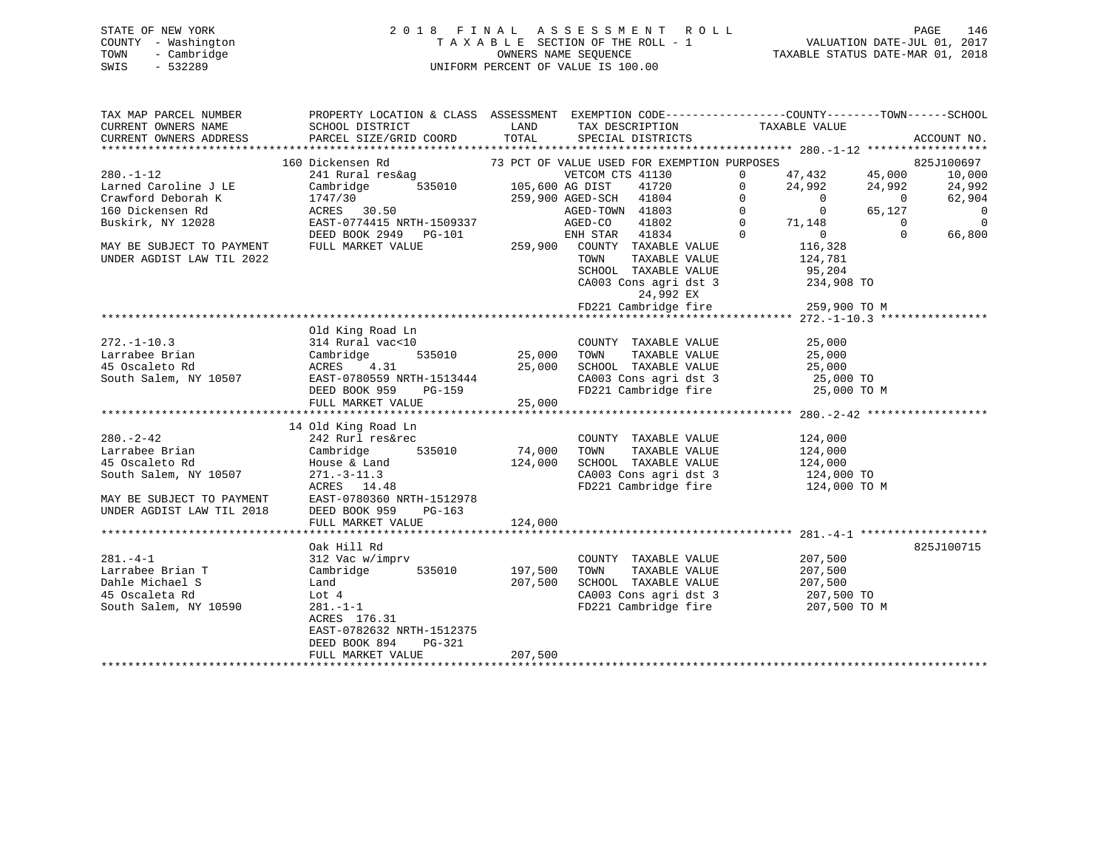# STATE OF NEW YORK 2 0 1 8 F I N A L A S S E S S M E N T R O L L PAGE 146 COUNTY - Washington T A X A B L E SECTION OF THE ROLL - 1 VALUATION DATE-JUL 01, 2017 TOWN - Cambridge OWNERS NAME SEQUENCE TAXABLE STATUS DATE-MAR 01, 2018 SWIS - 532289 UNIFORM PERCENT OF VALUE IS 100.00

| TAX MAP PARCEL NUMBER<br>CURRENT OWNERS NAME<br>CURRENT OWNERS ADDRESS | PROPERTY LOCATION & CLASS ASSESSMENT EXEMPTION CODE---------------COUNTY-------TOWN------SCHOOL<br>SCHOOL DISTRICT<br>PARCEL SIZE/GRID COORD                                                                                         | LAND<br>TOTAL | TAX DESCRIPTION TAXABLE VALUE SPECIAL DISTRICTS                                           |                                                                              | ACCOUNT NO. |                          |
|------------------------------------------------------------------------|--------------------------------------------------------------------------------------------------------------------------------------------------------------------------------------------------------------------------------------|---------------|-------------------------------------------------------------------------------------------|------------------------------------------------------------------------------|-------------|--------------------------|
|                                                                        |                                                                                                                                                                                                                                      |               |                                                                                           |                                                                              |             |                          |
|                                                                        | 160 Dickensen Rd                                                                                                                                                                                                                     |               | 73 PCT OF VALUE USED FOR EXEMPTION PURPOSES                                               |                                                                              | 825J100697  |                          |
| $280. - 1 - 12$                                                        | 241 Rural res&ag                                                                                                                                                                                                                     |               | VETCOM CTS 41130                                                                          | $\begin{array}{ccc} 47,432 & & 45,000 \\ 24,992 & & 24,992 \end{array}$<br>0 |             | 10,000                   |
|                                                                        |                                                                                                                                                                                                                                      |               | 105,600 AG DIST 41720 105,600 AG DIST 41720                                               | $\Omega$                                                                     |             | 24,992                   |
|                                                                        |                                                                                                                                                                                                                                      |               |                                                                                           | $0$ 0<br>0 65,127<br>$\overline{0}$                                          |             | 62,904                   |
|                                                                        |                                                                                                                                                                                                                                      |               |                                                                                           |                                                                              |             | $\overline{\phantom{0}}$ |
|                                                                        | Example 2 and Caroline J LE<br>Cambridge Caroline I Cambridge 535010 105,600 AG DIST<br>Crawford Deborah K 1747/30 259,900 AGED-SCH<br>160 Dickensen Rd ACRES 30.50 AGED-TOWN<br>Buskirk, NY 12028 EAST-0774415 NRTH-1509337 AGED-CO |               | 105,600 AG DISI 41720<br>259,900 AGED-SCH 41804 0<br>AGED-TOWN 41803 0<br>AGED-CO 41802 0 | 71,148                                                                       | $\bigcirc$  | $\overline{0}$           |
|                                                                        | DEED BOOK 2949 PG-101                                                                                                                                                                                                                |               | G-101 ENH STAR $41834$ 0<br>259,900 COUNTY TAXABLE VALUE                                  | $0$<br>116,328                                                               | $\Omega$    | 66,800                   |
| MAY BE SUBJECT TO PAYMENT FULL MARKET VALUE                            |                                                                                                                                                                                                                                      |               |                                                                                           |                                                                              |             |                          |
| UNDER AGDIST LAW TIL 2022                                              |                                                                                                                                                                                                                                      |               | TOWN                                                                                      | TAXABLE VALUE 124,781                                                        |             |                          |
|                                                                        |                                                                                                                                                                                                                                      |               |                                                                                           |                                                                              |             |                          |
|                                                                        |                                                                                                                                                                                                                                      |               | SCHOOL TAXABLE VALUE 95,204<br>CA003 Cons agri dst 3 234,908 TO                           |                                                                              |             |                          |
|                                                                        |                                                                                                                                                                                                                                      |               | 24,992 EX<br>FD221 Cambridge fire 259,900 TO M                                            |                                                                              |             |                          |
|                                                                        |                                                                                                                                                                                                                                      |               |                                                                                           |                                                                              |             |                          |
|                                                                        |                                                                                                                                                                                                                                      |               |                                                                                           |                                                                              |             |                          |
|                                                                        | Old King Road Ln                                                                                                                                                                                                                     |               |                                                                                           |                                                                              |             |                          |
| $272. - 1 - 10.3$                                                      | 314 Rural vac<10                                                                                                                                                                                                                     |               | COUNTY TAXABLE VALUE                                                                      | 25,000                                                                       |             |                          |
|                                                                        | 535010 25,000                                                                                                                                                                                                                        |               | TOWN TAXABLE VALUE 25,000<br>SCHOOL TAXABLE VALUE 25,000<br>TOWN                          |                                                                              |             |                          |
|                                                                        |                                                                                                                                                                                                                                      |               |                                                                                           |                                                                              |             |                          |
|                                                                        |                                                                                                                                                                                                                                      |               | CA003 Cons agri dst 3 25,000 TO                                                           |                                                                              |             |                          |
|                                                                        |                                                                                                                                                                                                                                      | 25,000        | FD221 Cambridge fire                                                                      | 25,000 TO M                                                                  |             |                          |
|                                                                        | FULL MARKET VALUE                                                                                                                                                                                                                    |               |                                                                                           |                                                                              |             |                          |
|                                                                        | 14 Old King Road Ln                                                                                                                                                                                                                  |               |                                                                                           |                                                                              |             |                          |
| $280. - 2 - 42$                                                        | 242 Rurl res&rec                                                                                                                                                                                                                     |               |                                                                                           |                                                                              |             |                          |
| Larrabee Brian                                                         |                                                                                                                                                                                                                                      | 74,000        | COUNTY TAXABLE VALUE 124,000<br>TAXABLE VALUE<br>TOWN                                     | 124,000                                                                      |             |                          |
| 45 Oscaleto Rd                                                         |                                                                                                                                                                                                                                      | 124,000       | SCHOOL TAXABLE VALUE 124,000                                                              |                                                                              |             |                          |
| South Salem, NY 10507                                                  | $271.-3-11.3$                                                                                                                                                                                                                        |               |                                                                                           |                                                                              |             |                          |
|                                                                        | ACRES 14.48                                                                                                                                                                                                                          |               | CA003 Cons agri dst 3 124,000 TO<br>FD221 Cambridge fire 124,000 TO M                     |                                                                              |             |                          |
|                                                                        |                                                                                                                                                                                                                                      |               |                                                                                           |                                                                              |             |                          |
|                                                                        | MAY BE SUBJECT TO PAYMENT<br>UNDER AGDIST LAW TIL 2018 DEED BOOK 959 PG-163<br>DEED BOOK 959                                                                                                                                         |               |                                                                                           |                                                                              |             |                          |
|                                                                        | FULL MARKET VALUE                                                                                                                                                                                                                    | 124,000       |                                                                                           |                                                                              |             |                          |
|                                                                        |                                                                                                                                                                                                                                      |               |                                                                                           |                                                                              |             |                          |
|                                                                        | Oak Hill Rd                                                                                                                                                                                                                          |               |                                                                                           |                                                                              | 825J100715  |                          |
| $281 - 4 - 1$                                                          |                                                                                                                                                                                                                                      |               | COUNTY TAXABLE VALUE                                                                      | 207,500                                                                      |             |                          |
| Larrabee Brian T                                                       | 312 Vac w/imprv<br>Cambridge 535010                                                                                                                                                                                                  | 197,500       | TOWN<br>TAXABLE VALUE                                                                     | 207,500                                                                      |             |                          |
| Dahle Michael S                                                        | Land                                                                                                                                                                                                                                 | 207,500       | SCHOOL TAXABLE VALUE 207,500                                                              |                                                                              |             |                          |
| 45 Oscaleta Rd                                                         | Lot 4                                                                                                                                                                                                                                |               |                                                                                           | 207,500 TO                                                                   |             |                          |
| South Salem, NY 10590                                                  | 281.-1-1                                                                                                                                                                                                                             |               | CA003 Cons agri dst 3 207,500 TO<br>FD221 Cambridge fire 207,500 TO M                     |                                                                              |             |                          |
|                                                                        | ACRES 176.31                                                                                                                                                                                                                         |               |                                                                                           |                                                                              |             |                          |
|                                                                        | EAST-0782632 NRTH-1512375                                                                                                                                                                                                            |               |                                                                                           |                                                                              |             |                          |
|                                                                        | DEED BOOK 894<br>PG-321                                                                                                                                                                                                              |               |                                                                                           |                                                                              |             |                          |
|                                                                        | FULL MARKET VALUE                                                                                                                                                                                                                    | 207,500       |                                                                                           |                                                                              |             |                          |
|                                                                        |                                                                                                                                                                                                                                      |               |                                                                                           |                                                                              |             |                          |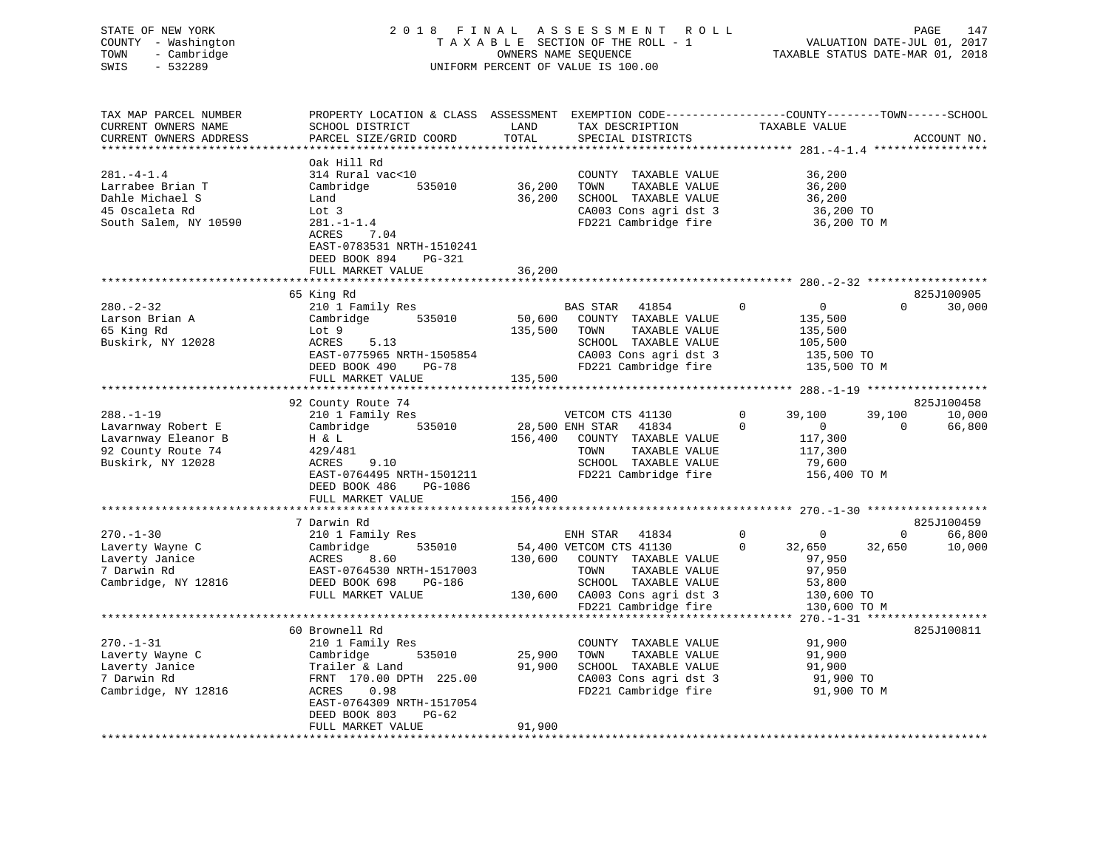| STATE OF NEW YORK<br>COUNTY - Washington<br>- Cambridge<br>TOWN<br>SWIS<br>$-532289$ |                                                                                                                    |         | 2018 FINAL ASSESSMENT<br><b>ROLL</b><br>TAXABLE SECTION OF THE ROLL - 1<br>OWNERS NAME SEQUENCE<br>UNIFORM PERCENT OF VALUE IS 100.00 |                               | PAGE<br>147<br>VALUATION DATE-JUL 01, 2017<br>TAXABLE STATUS DATE-MAR 01, 2018 |
|--------------------------------------------------------------------------------------|--------------------------------------------------------------------------------------------------------------------|---------|---------------------------------------------------------------------------------------------------------------------------------------|-------------------------------|--------------------------------------------------------------------------------|
| TAX MAP PARCEL NUMBER<br>CURRENT OWNERS NAME                                         | PROPERTY LOCATION & CLASS ASSESSMENT EXEMPTION CODE----------------COUNTY-------TOWN-----SCHOOL<br>SCHOOL DISTRICT | LAND    | TAX DESCRIPTION                                                                                                                       | TAXABLE VALUE                 |                                                                                |
| CURRENT OWNERS ADDRESS                                                               | PARCEL SIZE/GRID COORD                                                                                             | TOTAL   | SPECIAL DISTRICTS                                                                                                                     |                               | ACCOUNT NO.                                                                    |
| ***********************                                                              |                                                                                                                    |         |                                                                                                                                       |                               |                                                                                |
|                                                                                      | Oak Hill Rd                                                                                                        |         |                                                                                                                                       |                               |                                                                                |
| $281 - 4 - 1.4$                                                                      | 314 Rural vac<10                                                                                                   |         | COUNTY TAXABLE VALUE                                                                                                                  | 36,200                        |                                                                                |
| Larrabee Brian T                                                                     | Cambridge<br>535010                                                                                                | 36,200  | TOWN<br>TAXABLE VALUE                                                                                                                 | 36,200                        |                                                                                |
| Dahle Michael S                                                                      | Land                                                                                                               | 36,200  | SCHOOL TAXABLE VALUE                                                                                                                  | 36,200                        |                                                                                |
| 45 Oscaleta Rd                                                                       | Lot 3                                                                                                              |         | CA003 Cons agri dst 3                                                                                                                 |                               | 36,200 TO                                                                      |
| South Salem, NY 10590                                                                | $281. - 1 - 1.4$<br>ACRES<br>7.04                                                                                  |         | FD221 Cambridge fire                                                                                                                  |                               | 36,200 TO M                                                                    |
|                                                                                      | EAST-0783531 NRTH-1510241                                                                                          |         |                                                                                                                                       |                               |                                                                                |
|                                                                                      | DEED BOOK 894<br>PG-321                                                                                            |         |                                                                                                                                       |                               |                                                                                |
|                                                                                      | FULL MARKET VALUE                                                                                                  | 36,200  |                                                                                                                                       |                               |                                                                                |
|                                                                                      |                                                                                                                    |         |                                                                                                                                       |                               |                                                                                |
|                                                                                      | 65 King Rd                                                                                                         |         |                                                                                                                                       |                               | 825J100905                                                                     |
| $280 - 2 - 32$                                                                       | 210 1 Family Res                                                                                                   |         | BAS STAR 41854                                                                                                                        | $\mathbf 0$<br>$\overline{0}$ | $\Omega$<br>30,000                                                             |
| Larson Brian A                                                                       | Cambridge<br>535010                                                                                                | 50,600  | COUNTY TAXABLE VALUE                                                                                                                  | 135,500                       |                                                                                |
| 65 King Rd                                                                           | Lot 9                                                                                                              | 135,500 | TOWN<br>TAXABLE VALUE                                                                                                                 | 135,500                       |                                                                                |
| Buskirk, NY 12028                                                                    | ACRES<br>5.13                                                                                                      |         | SCHOOL TAXABLE VALUE                                                                                                                  | 105,500                       |                                                                                |
|                                                                                      | EAST-0775965 NRTH-1505854<br>$PG-78$                                                                               |         | CA003 Cons agri dst 3                                                                                                                 |                               | 135,500 TO                                                                     |
|                                                                                      | DEED BOOK 490<br>FULL MARKET VALUE                                                                                 | 135,500 | FD221 Cambridge fire                                                                                                                  |                               | 135,500 TO M                                                                   |
|                                                                                      |                                                                                                                    |         |                                                                                                                                       |                               |                                                                                |
|                                                                                      | 92 County Route 74                                                                                                 |         |                                                                                                                                       |                               | 825J100458                                                                     |
| $288. - 1 - 19$                                                                      | 210 1 Family Res                                                                                                   |         | VETCOM CTS 41130                                                                                                                      | $\mathbf 0$<br>39,100         | 39,100<br>10,000                                                               |
| Lavarnway Robert E                                                                   | 535010<br>Cambridge                                                                                                |         | 28,500 ENH STAR<br>41834                                                                                                              | $\mathbf 0$<br>$\overline{0}$ | 66,800<br>$\mathbf 0$                                                          |
| Lavarnway Eleanor B                                                                  | H & L                                                                                                              | 156,400 | COUNTY TAXABLE VALUE                                                                                                                  | 117,300                       |                                                                                |
| 92 County Route 74                                                                   | 429/481                                                                                                            |         | TAXABLE VALUE<br>TOWN                                                                                                                 | 117,300                       |                                                                                |
| Buskirk, NY 12028                                                                    | 9.10<br>ACRES                                                                                                      |         | SCHOOL TAXABLE VALUE                                                                                                                  | 79,600                        |                                                                                |
|                                                                                      | EAST-0764495 NRTH-1501211                                                                                          |         | FD221 Cambridge fire                                                                                                                  |                               | 156,400 TO M                                                                   |
|                                                                                      | DEED BOOK 486<br>PG-1086                                                                                           |         |                                                                                                                                       |                               |                                                                                |
|                                                                                      | FULL MARKET VALUE                                                                                                  | 156,400 |                                                                                                                                       |                               |                                                                                |
|                                                                                      | 7 Darwin Rd                                                                                                        |         |                                                                                                                                       |                               | 825J100459                                                                     |
| $270. - 1 - 30$                                                                      | 210 1 Family Res                                                                                                   |         | ENH STAR<br>41834                                                                                                                     | $\mathbf 0$<br>$\mathbf 0$    | $\mathbf{0}$<br>66,800                                                         |
| Laverty Wayne C                                                                      | Cambridge<br>535010                                                                                                |         | 54,400 VETCOM CTS 41130                                                                                                               | $\Omega$<br>32,650            | 10,000<br>32,650                                                               |
| Laverty Janice                                                                       | ACRES<br>8.60                                                                                                      |         | 130,600 COUNTY TAXABLE VALUE                                                                                                          | 97,950                        |                                                                                |
| 7 Darwin Rd                                                                          | EAST-0764530 NRTH-1517003                                                                                          |         | TOWN<br>TAXABLE VALUE                                                                                                                 | 97,950                        |                                                                                |
| Cambridge, NY 12816                                                                  | DEED BOOK 698<br>PG-186                                                                                            |         | SCHOOL TAXABLE VALUE                                                                                                                  | 53,800                        |                                                                                |
|                                                                                      | FULL MARKET VALUE                                                                                                  |         | 130,600 CA003 Cons agri dst 3                                                                                                         |                               | 130,600 TO                                                                     |
|                                                                                      |                                                                                                                    |         | FD221 Cambridge fire                                                                                                                  |                               | 130,600 TO M                                                                   |
|                                                                                      |                                                                                                                    |         |                                                                                                                                       |                               |                                                                                |
| $270. - 1 - 31$                                                                      | 60 Brownell Rd<br>210 1 Family Res                                                                                 |         | COUNTY TAXABLE VALUE                                                                                                                  | 91,900                        | 825J100811                                                                     |
|                                                                                      |                                                                                                                    |         |                                                                                                                                       |                               |                                                                                |

|                     | 60 Brownell Rd            |        |                         | 825J100811  |
|---------------------|---------------------------|--------|-------------------------|-------------|
| $270. - 1 - 31$     | 210 1 Family Res          |        | TAXABLE VALUE<br>COUNTY | 91,900      |
| Laverty Wayne C     | Cambridge<br>535010       | 25,900 | TAXABLE VALUE<br>TOWN   | 91,900      |
| Laverty Janice      | Trailer & Land            | 91,900 | TAXABLE VALUE<br>SCHOOL | 91,900      |
| 7 Darwin Rd         | FRNT 170.00 DPTH 225.00   |        | CA003 Cons agri dst 3   | 91,900 TO   |
| Cambridge, NY 12816 | 0.98<br>ACRES             |        | FD221 Cambridge fire    | 91,900 TO M |
|                     | EAST-0764309 NRTH-1517054 |        |                         |             |
|                     | DEED BOOK 803<br>PG-62    |        |                         |             |
|                     | FULL MARKET VALUE         | 91,900 |                         |             |
|                     |                           |        |                         |             |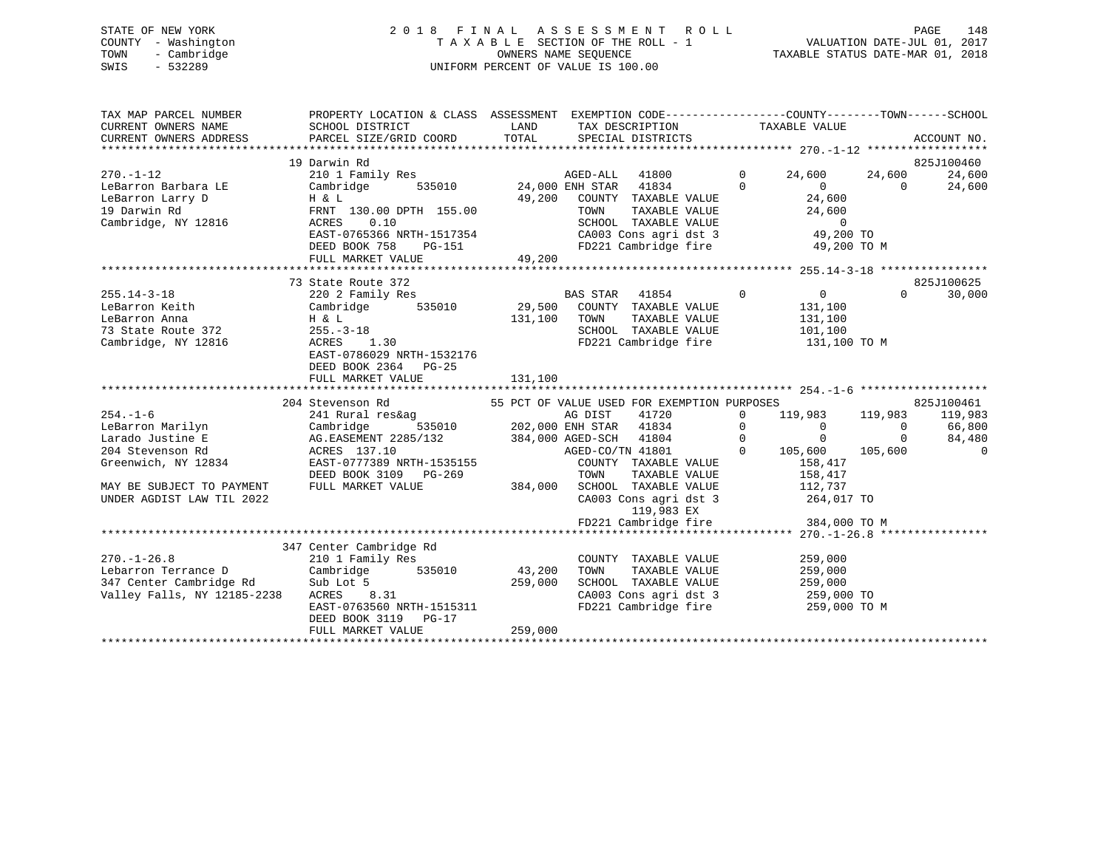# STATE OF NEW YORK 2 0 1 8 F I N A L A S S E S S M E N T R O L L PAGE 148 COUNTY - Washington T A X A B L E SECTION OF THE ROLL - 1 VALUATION DATE-JUL 01, 2017 TOWN - Cambridge OWNERS NAME SEQUENCE TAXABLE STATUS DATE-MAR 01, 2018 SWIS - 532289 UNIFORM PERCENT OF VALUE IS 100.00

| TAX MAP PARCEL NUMBER<br>CURRENT OWNERS NAME<br>CURRENT OWNERS ADDRESS | PROPERTY LOCATION & CLASS ASSESSMENT<br>SCHOOL DISTRICT<br>PARCEL SIZE/GRID COORD | LAND<br>TOTAL | EXEMPTION CODE-----------------COUNTY-------TOWN------SCHOOL<br>TAX DESCRIPTION TAXABLE VALUE<br>SPECIAL DISTRICTS |                |                            |          | ACCOUNT NO. |
|------------------------------------------------------------------------|-----------------------------------------------------------------------------------|---------------|--------------------------------------------------------------------------------------------------------------------|----------------|----------------------------|----------|-------------|
|                                                                        | 19 Darwin Rd                                                                      |               |                                                                                                                    |                |                            |          | 825J100460  |
| $270. - 1 - 12$                                                        | 210 1 Family Res                                                                  |               | AGED-ALL 41800                                                                                                     | $\Omega$       | 24,600                     | 24,600   | 24,600      |
| LeBarron Barbara LE                                                    | Cambridge                                                                         |               | 535010 24,000 ENH STAR 41834                                                                                       | $\Omega$       | $\Omega$                   | $\Omega$ | 24,600      |
| LeBarron Larry D                                                       | $H$ & $L$                                                                         | 49,200        | COUNTY TAXABLE VALUE                                                                                               |                | 24,600                     |          |             |
| 19 Darwin Rd                                                           | FRNT 130.00 DPTH 155.00                                                           |               | TOWN<br>TAXABLE VALUE                                                                                              |                | 24,600                     |          |             |
| Cambridge, NY 12816                                                    | 0.10<br>ACRES                                                                     |               | SCHOOL TAXABLE VALUE                                                                                               |                | $\overline{0}$             |          |             |
|                                                                        | EAST-0765366 NRTH-1517354                                                         |               |                                                                                                                    |                | 49,200 TO                  |          |             |
|                                                                        | DEED BOOK 758<br>PG-151                                                           |               | CA003 Cons agri dst 3<br>FD221 Cambridge fire                                                                      |                | 49,200 TO M                |          |             |
|                                                                        | FULL MARKET VALUE                                                                 | 49,200        |                                                                                                                    |                |                            |          |             |
|                                                                        |                                                                                   |               |                                                                                                                    |                |                            |          |             |
|                                                                        | 73 State Route 372                                                                |               |                                                                                                                    |                |                            |          | 825J100625  |
| $255.14 - 3 - 18$                                                      | 220 2 Family Res                                                                  |               | <b>BAS STAR</b><br>41854                                                                                           | $\overline{0}$ | $\overline{0}$             | $\Omega$ | 30,000      |
| LeBarron Keith                                                         | 535010<br>Cambridge                                                               |               | 29,500 COUNTY TAXABLE VALUE                                                                                        |                | 131,100                    |          |             |
| LeBarron Anna                                                          | H & L                                                                             | 131,100       | TOWN<br>TAXABLE VALUE                                                                                              |                | 131,100                    |          |             |
| 73 State Route 372                                                     | $255. - 3 - 18$                                                                   |               | SCHOOL TAXABLE VALUE                                                                                               |                | 101,100                    |          |             |
| Cambridge, NY 12816                                                    | 1.30<br>ACRES                                                                     |               | FD221 Cambridge fire                                                                                               |                | 131,100 TO M               |          |             |
|                                                                        | EAST-0786029 NRTH-1532176                                                         |               |                                                                                                                    |                |                            |          |             |
|                                                                        | DEED BOOK 2364<br>PG-25                                                           |               |                                                                                                                    |                |                            |          |             |
|                                                                        | FULL MARKET VALUE                                                                 | 131,100       |                                                                                                                    |                |                            |          |             |
|                                                                        |                                                                                   |               |                                                                                                                    |                |                            |          |             |
|                                                                        | 204 Stevenson Rd                                                                  |               | 55 PCT OF VALUE USED FOR EXEMPTION PURPOSES                                                                        |                |                            |          | 825J100461  |
| $254. - 1 - 6$                                                         | 241 Rural res&ag                                                                  |               | 41720<br>AG DIST                                                                                                   | $\mathbf{0}$   | 119,983                    | 119,983  | 119,983     |
| LeBarron Marilyn                                                       | Cambridge                                                                         |               | 535010 202,000 ENH STAR 41834                                                                                      | $\mathbf 0$    | $\Omega$                   | $\Omega$ | 66,800      |
| Larado Justine E                                                       | AG.EASEMENT 2285/132 384,000 AGED-SCH 41804                                       |               |                                                                                                                    | $\Omega$       | $\Omega$                   | $\Omega$ | 84,480      |
| 204 Stevenson Rd                                                       | ACRES 137.10                                                                      |               | AGED-CO/TN 41801                                                                                                   | $\Omega$       | 105,600                    | 105,600  | $\Omega$    |
| Greenwich, NY 12834                                                    | EAST-0777389 NRTH-1535155                                                         |               | COUNTY TAXABLE VALUE                                                                                               |                | 158,417                    |          |             |
|                                                                        | DEED BOOK 3109 PG-269                                                             |               | TAXABLE VALUE<br>TOWN                                                                                              |                | 158,417                    |          |             |
| MAY BE SUBJECT TO PAYMENT                                              | FULL MARKET VALUE                                                                 | 384,000       | SCHOOL TAXABLE VALUE                                                                                               |                | 112,737                    |          |             |
| UNDER AGDIST LAW TIL 2022                                              |                                                                                   |               | CA003 Cons agri dst 3                                                                                              |                | 264,017 TO                 |          |             |
|                                                                        |                                                                                   |               | 119,983 EX                                                                                                         |                |                            |          |             |
|                                                                        |                                                                                   |               | FD221 Cambridge fire                                                                                               |                | 384,000 TO M               |          |             |
|                                                                        |                                                                                   |               |                                                                                                                    |                |                            |          |             |
|                                                                        | 347 Center Cambridge Rd                                                           |               |                                                                                                                    |                |                            |          |             |
| $270. - 1 - 26.8$                                                      | 210 1 Family Res                                                                  |               | COUNTY TAXABLE VALUE                                                                                               |                | 259,000                    |          |             |
| Lebarron Terrance D                                                    | 535010<br>Cambridge                                                               | 43,200        | TAXABLE VALUE<br>TOWN                                                                                              |                | 259,000                    |          |             |
| 347 Center Cambridge Rd                                                | Sub Lot 5                                                                         | 259,000       | SCHOOL TAXABLE VALUE                                                                                               |                | 259,000                    |          |             |
| Valley Falls, NY 12185-2238                                            | ACRES 8.31                                                                        |               |                                                                                                                    |                |                            |          |             |
|                                                                        | EAST-0763560 NRTH-1515311                                                         |               | CA003 Cons agri dst 3<br>CA003 Cons agri dst 3                                                                     |                | 259,000 TO<br>259,000 TO M |          |             |
|                                                                        | DEED BOOK 3119<br>$PG-17$                                                         |               |                                                                                                                    |                |                            |          |             |
|                                                                        | FULL MARKET VALUE                                                                 | 259,000       |                                                                                                                    |                |                            |          |             |
|                                                                        |                                                                                   |               |                                                                                                                    |                |                            |          |             |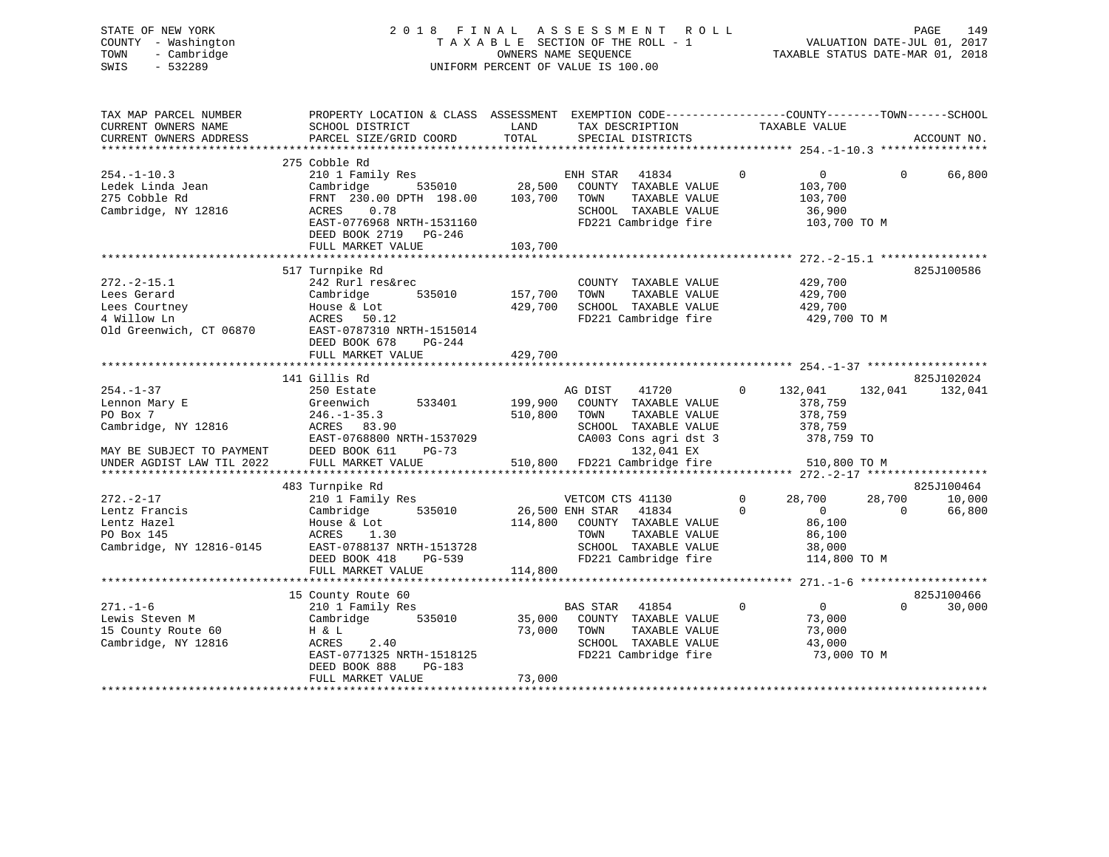# STATE OF NEW YORK 2 0 1 8 F I N A L A S S E S S M E N T R O L L PAGE 149 COUNTY - Washington T A X A B L E SECTION OF THE ROLL - 1 VALUATION DATE-JUL 01, 2017 TOWN - Cambridge OWNERS NAME SEQUENCE TAXABLE STATUS DATE-MAR 01, 2018 SWIS - 532289 UNIFORM PERCENT OF VALUE IS 100.00

| TAX MAP PARCEL NUMBER<br>CURRENT OWNERS NAME<br>CURRENT OWNERS ADDRESS<br>************************                            | PROPERTY LOCATION & CLASS ASSESSMENT<br>SCHOOL DISTRICT<br>PARCEL SIZE/GRID COORD                                                                                                                       | LAND<br>TOTAL                                  | EXEMPTION CODE-----------------COUNTY-------TOWN------SCHOOL<br>TAX DESCRIPTION<br>SPECIAL DISTRICTS                                                     | TAXABLE VALUE                                                                                     | ACCOUNT NO.                                          |
|-------------------------------------------------------------------------------------------------------------------------------|---------------------------------------------------------------------------------------------------------------------------------------------------------------------------------------------------------|------------------------------------------------|----------------------------------------------------------------------------------------------------------------------------------------------------------|---------------------------------------------------------------------------------------------------|------------------------------------------------------|
| $254. - 1 - 10.3$<br>Ledek Linda Jean<br>275 Cobble Rd<br>Cambridge, NY 12816                                                 | 275 Cobble Rd<br>210 1 Family Res<br>Cambridge<br>535010<br>FRNT 230.00 DPTH 198.00<br>0.78<br>ACRES<br>EAST-0776968 NRTH-1531160<br>DEED BOOK 2719<br>PG-246<br>FULL MARKET VALUE                      | 28,500<br>103,700<br>103,700                   | 41834<br>ENH STAR<br>COUNTY TAXABLE VALUE<br>TOWN<br>TAXABLE VALUE<br>SCHOOL TAXABLE VALUE<br>FD221 Cambridge fire                                       | $\Omega$<br>0<br>103,700<br>103,700<br>36,900<br>103,700 TO M                                     | $\Omega$<br>66,800                                   |
| $272. - 2 - 15.1$<br>Lees Gerard<br>Lees Courtney<br>4 Willow Ln<br>Old Greenwich, CT 06870                                   | 517 Turnpike Rd<br>242 Rurl res&rec<br>Cambridge<br>535010<br>House & Lot<br>ACRES<br>50.12<br>EAST-0787310 NRTH-1515014<br>DEED BOOK 678<br>PG-244<br>FULL MARKET VALUE<br>*************************** | 157,700<br>429,700<br>429,700<br>************* | COUNTY TAXABLE VALUE<br>TAXABLE VALUE<br>TOWN<br>SCHOOL TAXABLE VALUE<br>FD221 Cambridge fire                                                            | 429,700<br>429,700<br>429,700<br>429,700 TO M                                                     | 825J100586                                           |
|                                                                                                                               | 141 Gillis Rd                                                                                                                                                                                           |                                                |                                                                                                                                                          |                                                                                                   | 825J102024                                           |
| $254. - 1 - 37$<br>Lennon Mary E<br>PO Box 7<br>Cambridge, NY 12816<br>MAY BE SUBJECT TO PAYMENT<br>UNDER AGDIST LAW TIL 2022 | 250 Estate<br>Greenwich<br>533401<br>$246. - 1 - 35.3$<br>ACRES 83.90<br>EAST-0768800 NRTH-1537029<br>DEED BOOK 611<br>$PG-73$<br>FULL MARKET VALUE                                                     | 199,900<br>510,800<br>510,800                  | 41720<br>AG DIST<br>COUNTY TAXABLE VALUE<br>TOWN<br>TAXABLE VALUE<br>SCHOOL TAXABLE VALUE<br>CA003 Cons agri dst 3<br>132,041 EX<br>FD221 Cambridge fire | $\Omega$<br>132,041<br>378,759<br>378,759<br>378,759<br>378,759 TO<br>510,800 TO M                | 132,041<br>132,041                                   |
|                                                                                                                               |                                                                                                                                                                                                         |                                                |                                                                                                                                                          |                                                                                                   |                                                      |
| $272. - 2 - 17$<br>Lentz Francis<br>Lentz Hazel<br>PO Box 145<br>Cambridge, NY 12816-0145                                     | 483 Turnpike Rd<br>210 1 Family Res<br>Cambridge<br>535010<br>House & Lot<br>ACRES<br>1.30<br>EAST-0788137 NRTH-1513728<br>$PG-539$<br>DEED BOOK 418                                                    | 114,800                                        | VETCOM CTS 41130<br>26,500 ENH STAR<br>41834<br>COUNTY TAXABLE VALUE<br>TOWN<br>TAXABLE VALUE<br>SCHOOL TAXABLE VALUE<br>FD221 Cambridge fire            | $\mathbf 0$<br>28,700<br>$\overline{0}$<br>$\Omega$<br>86,100<br>86,100<br>38,000<br>114,800 TO M | 825J100464<br>28,700<br>10,000<br>$\Omega$<br>66,800 |
|                                                                                                                               | FULL MARKET VALUE                                                                                                                                                                                       | 114,800                                        |                                                                                                                                                          |                                                                                                   |                                                      |
| $271. - 1 - 6$<br>Lewis Steven M<br>15 County Route 60<br>Cambridge, NY 12816                                                 | 15 County Route 60<br>210 1 Family Res<br>Cambridge<br>535010<br>H & L<br>ACRES<br>2.40<br>EAST-0771325 NRTH-1518125<br>DEED BOOK 888<br>$PG-183$<br>FULL MARKET VALUE                                  | 35,000<br>73,000<br>73,000                     | BAS STAR 41854<br>COUNTY TAXABLE VALUE<br>TAXABLE VALUE<br>TOWN<br>SCHOOL TAXABLE VALUE<br>FD221 Cambridge fire                                          | $\overline{0}$<br>$\Omega$<br>73,000<br>73,000<br>43,000<br>73,000 TO M                           | 825J100466<br>$\Omega$<br>30,000                     |
|                                                                                                                               |                                                                                                                                                                                                         |                                                |                                                                                                                                                          |                                                                                                   |                                                      |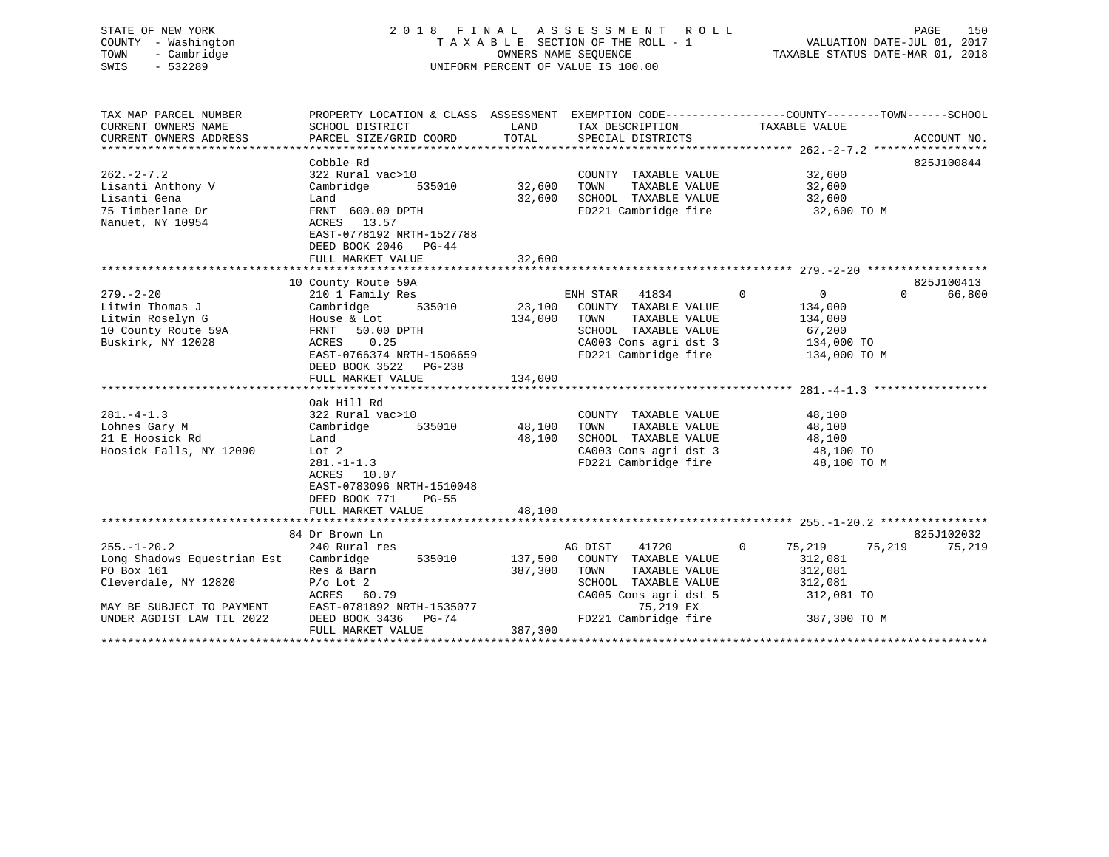| STATE OF NEW YORK<br>COUNTY - Washington<br>- Cambridge<br>TOWN<br>SWIS<br>$-532289$                                |                                                                                                                                                                       |                         | 2018 FINAL ASSESSMENT ROLL<br>TAXABLE SECTION OF THE ROLL - 1<br>OWNERS NAME SEOUENCE<br>UNIFORM PERCENT OF VALUE IS 100.00                |                                                                                                | PAGE<br>150<br>VALUATION DATE-JUL 01, 2017<br>TAXABLE STATUS DATE-MAR 01, 2018 |
|---------------------------------------------------------------------------------------------------------------------|-----------------------------------------------------------------------------------------------------------------------------------------------------------------------|-------------------------|--------------------------------------------------------------------------------------------------------------------------------------------|------------------------------------------------------------------------------------------------|--------------------------------------------------------------------------------|
| TAX MAP PARCEL NUMBER<br>CURRENT OWNERS NAME<br>CURRENT OWNERS ADDRESS                                              | PROPERTY LOCATION & CLASS ASSESSMENT EXEMPTION CODE----------------COUNTY-------TOWN------SCHOOL<br>SCHOOL DISTRICT<br>PARCEL SIZE/GRID COORD                         | LAND<br>TOTAL           | TAX DESCRIPTION<br>SPECIAL DISTRICTS                                                                                                       | TAXABLE VALUE                                                                                  | ACCOUNT NO.                                                                    |
|                                                                                                                     |                                                                                                                                                                       |                         |                                                                                                                                            |                                                                                                |                                                                                |
| $262 - 2 - 7.2$<br>Lisanti Anthony V<br>Lisanti Gena<br>75 Timberlane Dr<br>Nanuet, NY 10954                        | Cobble Rd<br>322 Rural vac>10<br>Cambridge<br>535010<br>Land<br>FRNT 600.00 DPTH<br>ACRES 13.57<br>EAST-0778192 NRTH-1527788                                          |                         | COUNTY TAXABLE VALUE<br>32,600 TOWN<br>TAXABLE VALUE<br>32,600 SCHOOL TAXABLE VALUE<br>FD221 Cambridge fire                                | 32,600<br>32,600<br>32,600<br>32,600 TO M                                                      | 825J100844                                                                     |
|                                                                                                                     | DEED BOOK 2046 PG-44<br>FULL MARKET VALUE                                                                                                                             | 32,600                  |                                                                                                                                            |                                                                                                |                                                                                |
|                                                                                                                     |                                                                                                                                                                       |                         |                                                                                                                                            |                                                                                                |                                                                                |
|                                                                                                                     | 10 County Route 59A                                                                                                                                                   |                         |                                                                                                                                            |                                                                                                | 825J100413                                                                     |
| $279. - 2 - 20$<br>Litwin Thomas J<br>Litwin Roselyn G<br>10 County Route 59A<br>Buskirk, NY 12028                  | 210 1 Family Res<br>535010<br>Cambridge<br>House & Lot<br>FRNT 50.00 DPTH<br>ACRES<br>0.25<br>EAST-0766374 NRTH-1506659<br>DEED BOOK 3522 PG-238<br>FULL MARKET VALUE | 134,000 TOWN<br>134,000 | ENH STAR<br>41834<br>23,100 COUNTY TAXABLE VALUE<br>TAXABLE VALUE<br>SCHOOL TAXABLE VALUE<br>CA003 Cons agri dst 3<br>FD221 Cambridge fire | $\overline{0}$<br>$\overline{0}$<br>134,000<br>134,000<br>67,200<br>134,000 TO<br>134,000 TO M | $\Omega$<br>66,800                                                             |
|                                                                                                                     | Oak Hill Rd                                                                                                                                                           |                         |                                                                                                                                            |                                                                                                |                                                                                |
| $281. -4 - 1.3$<br>Lohnes Gary M<br>21 E Hoosick Rd<br>Hoosick Falls, NY 12090                                      | 322 Rural vac>10<br>Cambridge<br>535010<br>Land<br>Lot 2<br>$281 - 1 - 1.3$<br>ACRES 10.07<br>EAST-0783096 NRTH-1510048<br>DEED BOOK 771<br>$PG-55$                   | 48,100<br>48,100        | COUNTY TAXABLE VALUE<br>TOWN<br>TAXABLE VALUE<br>SCHOOL TAXABLE VALUE<br>CA003 Cons agri dst 3<br>FD221 Cambridge fire                     | 48,100<br>48,100<br>48,100<br>48,100 TO<br>48,100 TO M                                         |                                                                                |
|                                                                                                                     | FULL MARKET VALUE                                                                                                                                                     | 48,100                  |                                                                                                                                            |                                                                                                |                                                                                |
|                                                                                                                     |                                                                                                                                                                       |                         |                                                                                                                                            |                                                                                                |                                                                                |
|                                                                                                                     | 84 Dr Brown Ln                                                                                                                                                        |                         |                                                                                                                                            |                                                                                                | 825J102032                                                                     |
| $255. - 1 - 20.2$<br>Long Shadows Equestrian Est<br>PO Box 161<br>Cleverdale, NY 12820<br>MAY BE SUBJECT TO PAYMENT | 240 Rural res<br>Cambridge<br>535010<br>Res & Barn<br>$P/O$ Lot $2$<br>ACRES 60.79<br>EAST-0781892 NRTH-1535077                                                       | 387,300 TOWN            | 41720<br>AG DIST<br>137,500 COUNTY TAXABLE VALUE<br>TAXABLE VALUE<br>SCHOOL TAXABLE VALUE<br>CA005 Cons agri dst 5<br>75,219 EX            | $\Omega$<br>75,219<br>312,081<br>312,081<br>312,081<br>312,081 TO                              | 75,219<br>75,219                                                               |

UNDER AGDIST LAW TIL 2022 DEED BOOK 3436 PG-74 FD221 Cambridge fire 387,300 TO M

\*\*\*\*\*\*\*\*\*\*\*\*\*\*\*\*\*\*\*\*\*\*\*\*\*\*\*\*\*\*\*\*\*\*\*\*\*\*\*\*\*\*\*\*\*\*\*\*\*\*\*\*\*\*\*\*\*\*\*\*\*\*\*\*\*\*\*\*\*\*\*\*\*\*\*\*\*\*\*\*\*\*\*\*\*\*\*\*\*\*\*\*\*\*\*\*\*\*\*\*\*\*\*\*\*\*\*\*\*\*\*\*\*\*\*\*\*\*\*\*\*\*\*\*\*\*\*\*\*\*\*\*

FULL MARKET VALUE 387,300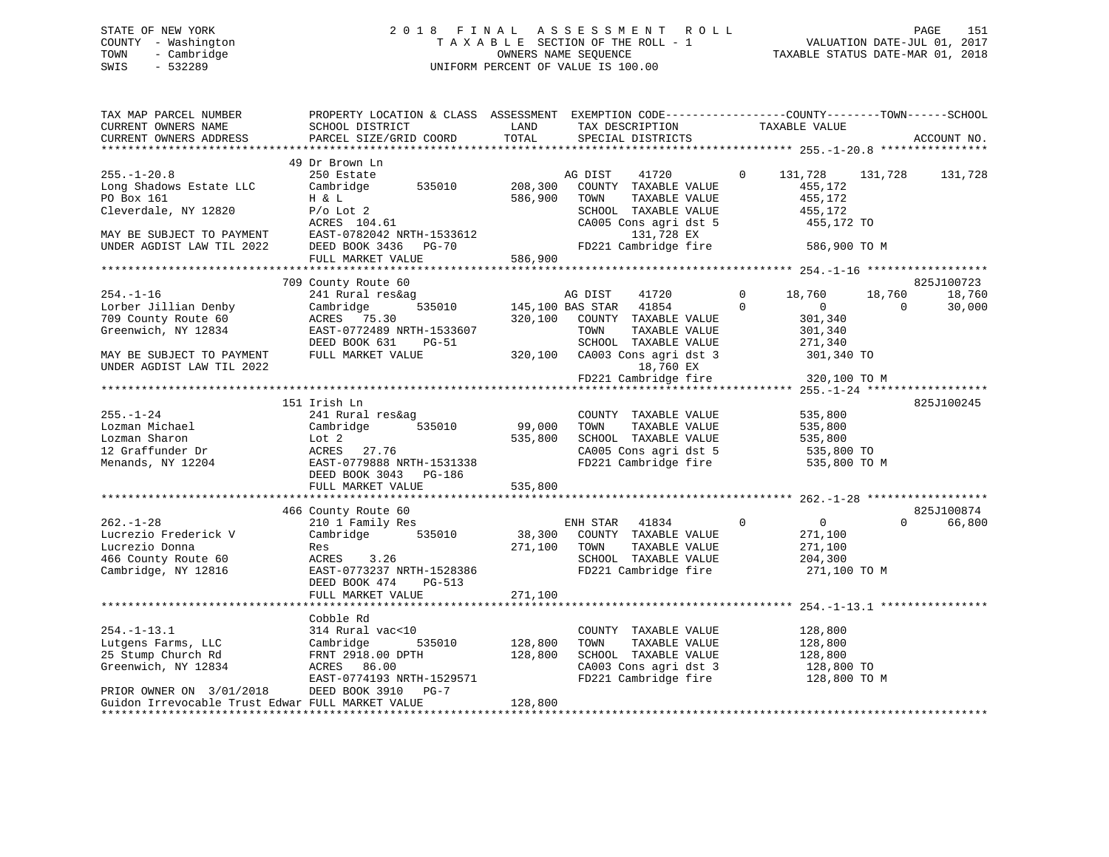# STATE OF NEW YORK 2 0 1 8 F I N A L A S S E S S M E N T R O L L PAGE 151 COUNTY - Washington T A X A B L E SECTION OF THE ROLL - 1 VALUATION DATE-JUL 01, 2017 TOWN - Cambridge OWNERS NAME SEQUENCE TAXABLE STATUS DATE-MAR 01, 2018 SWIS - 532289 UNIFORM PERCENT OF VALUE IS 100.00

| TAX MAP PARCEL NUMBER<br>CURRENT OWNERS NAME<br>CURRENT OWNERS ADDRESS             | PROPERTY LOCATION & CLASS ASSESSMENT EXEMPTION CODE---------------COUNTY-------TOWN------SCHOOL<br>SCHOOL DISTRICT<br>PARCEL SIZE/GRID COORD | LAND<br>TOTAL      | TAX DESCRIPTION<br>SPECIAL DISTRICTS                                                      | TAXABLE VALUE                                              | ACCOUNT NO.                            |
|------------------------------------------------------------------------------------|----------------------------------------------------------------------------------------------------------------------------------------------|--------------------|-------------------------------------------------------------------------------------------|------------------------------------------------------------|----------------------------------------|
|                                                                                    |                                                                                                                                              |                    |                                                                                           |                                                            |                                        |
|                                                                                    | 49 Dr Brown Ln                                                                                                                               |                    |                                                                                           |                                                            |                                        |
| $255. - 1 - 20.8$<br>Long Shadows Estate LLC<br>PO Box 161<br>Cleverdale, NY 12820 | 250 Estate<br>Cambridge 535010<br>H & L<br>$P/O$ Lot 2                                                                                       | 208,300<br>586,900 | AG DIST<br>41720<br>COUNTY TAXABLE VALUE<br>TOWN<br>TAXABLE VALUE<br>SCHOOL TAXABLE VALUE | $\overline{0}$<br>131,728<br>455,172<br>455,172<br>455,172 | 131,728<br>131,728                     |
| MAY BE SUBJECT TO PAYMENT                                                          | ACRES 104.61<br>EAST-0782042 NRTH-1533612                                                                                                    |                    | CA005 Cons agri dst 5<br>131,728 EX                                                       | 455,172 TO                                                 |                                        |
| UNDER AGDIST LAW TIL 2022                                                          | DEED BOOK 3436 PG-70<br>FULL MARKET VALUE                                                                                                    | 586,900            | FD221 Cambridge fire                                                                      | 586,900 TO M                                               |                                        |
|                                                                                    |                                                                                                                                              |                    |                                                                                           |                                                            |                                        |
|                                                                                    | 709 County Route 60                                                                                                                          |                    |                                                                                           |                                                            | 825J100723                             |
| $254. - 1 - 16$<br>Lorber Jillian Denby                                            | 241 Rural res&ag<br>535010<br>Cambridge                                                                                                      |                    | AG DIST<br>41720<br>145,100 BAS STAR 41854                                                | 0<br>18,760<br>$\Omega$<br>$\overline{0}$                  | 18,760<br>18,760<br>30,000<br>$\Omega$ |
| 709 County Route 60<br>Greenwich, NY 12834                                         | ACRES 75.30<br>EAST-0772489 NRTH-1533607                                                                                                     |                    | 320,100 COUNTY TAXABLE VALUE<br>TOWN<br>TAXABLE VALUE                                     | 301,340<br>301,340                                         |                                        |
| MAY BE SUBJECT TO PAYMENT<br>UNDER AGDIST LAW TIL 2022                             | DEED BOOK 631<br>PG-51<br>FULL MARKET VALUE                                                                                                  |                    | SCHOOL TAXABLE VALUE<br>320,100 CA003 Cons agri dst 3<br>18,760 EX                        | 271,340<br>301,340 TO                                      |                                        |
|                                                                                    |                                                                                                                                              |                    | FD221 Cambridge fire                                                                      | 320,100 TO M                                               |                                        |
|                                                                                    |                                                                                                                                              |                    |                                                                                           |                                                            |                                        |
|                                                                                    | 151 Irish Ln                                                                                                                                 |                    |                                                                                           |                                                            | 825J100245                             |
| $255. - 1 - 24$                                                                    | 241 Rural res&ag                                                                                                                             |                    | COUNTY TAXABLE VALUE                                                                      | 535,800                                                    |                                        |
| Lozman Michael                                                                     | Cambridge<br>535010                                                                                                                          | 99,000             | TOWN<br>TAXABLE VALUE                                                                     | 535,800                                                    |                                        |
| Lozman Sharon                                                                      | Lot 2                                                                                                                                        | 535,800            | SCHOOL TAXABLE VALUE                                                                      | 535,800                                                    |                                        |
| 12 Graffunder Dr<br>Menands, NY 12204                                              | ACRES 27.76<br>EAST-0779888 NRTH-1531338<br>DEED BOOK 3043 PG-186                                                                            |                    | CA005 Cons agri dst 5<br>FD221 Cambridge fire                                             | 535,800 TO<br>535,800 TO M                                 |                                        |
|                                                                                    | FULL MARKET VALUE                                                                                                                            | 535,800            |                                                                                           |                                                            |                                        |
|                                                                                    | 466 County Route 60                                                                                                                          |                    |                                                                                           |                                                            | 825J100874                             |
| $262. - 1 - 28$                                                                    | 210 1 Family Res                                                                                                                             |                    | ENH STAR 41834                                                                            | $\mathbf 0$<br>$\overline{0}$                              | $\Omega$<br>66,800                     |
| Lucrezio Frederick V                                                               | Cambridge<br>535010                                                                                                                          | 38,300             | COUNTY TAXABLE VALUE                                                                      | 271,100                                                    |                                        |
| Lucrezio Donna                                                                     | Res                                                                                                                                          | 271,100            | TOWN<br>TAXABLE VALUE                                                                     | 271,100                                                    |                                        |
| 466 County Route 60                                                                | ACRES 3.26                                                                                                                                   |                    | SCHOOL TAXABLE VALUE                                                                      | 204,300                                                    |                                        |
| Cambridge, NY 12816                                                                | EAST-0773237 NRTH-1528386<br>DEED BOOK 474<br>PG-513<br>FULL MARKET VALUE                                                                    | 271,100            | FD221 Cambridge fire                                                                      | 271,100 TO M                                               |                                        |
|                                                                                    |                                                                                                                                              |                    |                                                                                           |                                                            |                                        |
|                                                                                    | Cobble Rd                                                                                                                                    |                    |                                                                                           |                                                            |                                        |
| $254. - 1 - 13.1$                                                                  | 314 Rural vac<10                                                                                                                             |                    | COUNTY TAXABLE VALUE                                                                      | 128,800                                                    |                                        |
| Lutgens Farms, LLC                                                                 | Cambridge<br>535010                                                                                                                          | 128,800            | TOWN<br>TAXABLE VALUE                                                                     | 128,800                                                    |                                        |
| 25 Stump Church Rd                                                                 | FRNT 2918.00 DPTH                                                                                                                            | 128,800            | SCHOOL TAXABLE VALUE                                                                      | 128,800                                                    |                                        |
| Greenwich, NY 12834                                                                | ACRES 86.00                                                                                                                                  |                    | CA003 Cons agri dst 3                                                                     | 128,800 TO                                                 |                                        |
| PRIOR OWNER ON 3/01/2018                                                           | EAST-0774193 NRTH-1529571<br>DEED BOOK 3910 PG-7                                                                                             |                    | FD221 Cambridge fire 128,800 TO M                                                         |                                                            |                                        |
| Guidon Irrevocable Trust Edwar FULL MARKET VALUE                                   |                                                                                                                                              | 128,800            |                                                                                           |                                                            |                                        |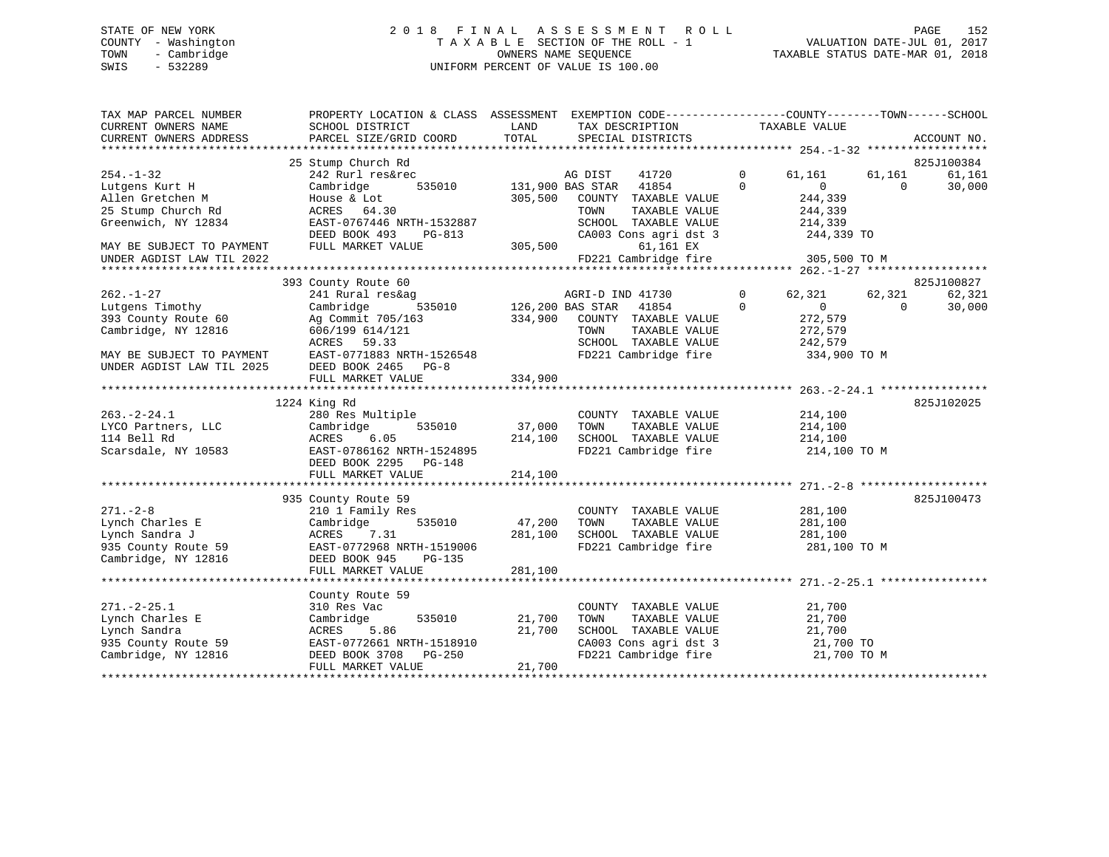# STATE OF NEW YORK 2 0 1 8 F I N A L A S S E S S M E N T R O L L PAGE 152 COUNTY - Washington T A X A B L E SECTION OF THE ROLL - 1 VALUATION DATE-JUL 01, 2017 TOWN - Cambridge OWNERS NAME SEQUENCE TAXABLE STATUS DATE-MAR 01, 2018 SWIS - 532289 UNIFORM PERCENT OF VALUE IS 100.00

| TAX MAP PARCEL NUMBER<br>CURRENT OWNERS NAME<br>CURRENT OWNERS ADDRESS | PROPERTY LOCATION & CLASS ASSESSMENT EXEMPTION CODE---------------COUNTY-------TOWN-----SCHOOL<br>SCHOOL DISTRICT<br>PARCEL SIZE/GRID COORD | LAND<br>TOTAL           | TAX DESCRIPTION<br>SPECIAL DISTRICTS |              | TAXABLE VALUE  |          | ACCOUNT NO. |
|------------------------------------------------------------------------|---------------------------------------------------------------------------------------------------------------------------------------------|-------------------------|--------------------------------------|--------------|----------------|----------|-------------|
|                                                                        |                                                                                                                                             |                         |                                      |              |                |          |             |
|                                                                        | 25 Stump Church Rd                                                                                                                          |                         |                                      |              |                |          | 825J100384  |
| $254. - 1 - 32$                                                        | 242 Rurl res&rec                                                                                                                            |                         | AG DIST<br>41720                     | $\mathbf{0}$ | 61,161         | 61,161   | 61,161      |
| Lutgens Kurt H                                                         | 535010<br>Cambridge                                                                                                                         | 131,900 BAS STAR        | 41854                                | $\Omega$     | $\Omega$       | $\Omega$ | 30,000      |
| Allen Gretchen M                                                       | House & Lot                                                                                                                                 | 305,500                 | COUNTY TAXABLE VALUE                 |              | 244,339        |          |             |
| 25 Stump Church Rd                                                     | ACRES 64.30                                                                                                                                 |                         | TOWN<br>TAXABLE VALUE                |              | 244,339        |          |             |
| Greenwich, NY 12834                                                    | EAST-0767446 NRTH-1532887                                                                                                                   |                         | SCHOOL TAXABLE VALUE                 |              | 214,339        |          |             |
|                                                                        | DEED BOOK 493<br>PG-813                                                                                                                     |                         | CA003 Cons agri dst 3                |              | 244,339 TO     |          |             |
| MAY BE SUBJECT TO PAYMENT                                              | FULL MARKET VALUE                                                                                                                           | 305,500                 | 61,161 EX                            |              |                |          |             |
| UNDER AGDIST LAW TIL 2022                                              |                                                                                                                                             |                         | FD221 Cambridge fire                 |              | 305,500 TO M   |          |             |
|                                                                        |                                                                                                                                             |                         |                                      |              |                |          |             |
|                                                                        | 393 County Route 60                                                                                                                         |                         |                                      |              |                |          | 825J100827  |
| $262. - 1 - 27$                                                        | 241 Rural res&ag                                                                                                                            |                         | AGRI-D IND 41730                     | $\Omega$     | 62,321         | 62,321   | 62,321      |
| Lutgens Timothy                                                        | Cambridge                                                                                                                                   | 535010 126,200 BAS STAR | 41854                                | $\Omega$     | $\overline{0}$ | $\Omega$ | 30,000      |
| 393 County Route 60                                                    | Ag Commit 705/163                                                                                                                           |                         | 334,900 COUNTY TAXABLE VALUE         |              | 272,579        |          |             |
| Cambridge, NY 12816                                                    | 606/199 614/121                                                                                                                             |                         | TOWN<br>TAXABLE VALUE                |              | 272,579        |          |             |
|                                                                        | ACRES 59.33                                                                                                                                 |                         | SCHOOL TAXABLE VALUE                 |              | 242,579        |          |             |
| MAY BE SUBJECT TO PAYMENT                                              | EAST-0771883 NRTH-1526548                                                                                                                   |                         | FD221 Cambridge fire                 |              | 334,900 TO M   |          |             |
| UNDER AGDIST LAW TIL 2025                                              | DEED BOOK 2465 PG-8                                                                                                                         |                         |                                      |              |                |          |             |
|                                                                        | FULL MARKET VALUE                                                                                                                           | 334,900                 |                                      |              |                |          |             |
|                                                                        |                                                                                                                                             |                         |                                      |              |                |          |             |
|                                                                        | 1224 King Rd                                                                                                                                |                         |                                      |              |                |          | 825J102025  |
| $263. - 2 - 24.1$                                                      | 280 Res Multiple                                                                                                                            |                         | COUNTY TAXABLE VALUE                 |              | 214,100        |          |             |
| LYCO Partners, LLC                                                     | 535010<br>Cambridge                                                                                                                         | 37,000                  | TOWN<br>TAXABLE VALUE                |              | 214,100        |          |             |
| 114 Bell Rd                                                            | ACRES<br>6.05                                                                                                                               | 214,100                 | SCHOOL TAXABLE VALUE                 |              | 214,100        |          |             |
| Scarsdale, NY 10583                                                    | EAST-0786162 NRTH-1524895                                                                                                                   |                         | FD221 Cambridge fire                 |              | 214,100 TO M   |          |             |
|                                                                        | DEED BOOK 2295 PG-148                                                                                                                       |                         |                                      |              |                |          |             |
|                                                                        | FULL MARKET VALUE                                                                                                                           | 214,100                 |                                      |              |                |          |             |
|                                                                        |                                                                                                                                             |                         |                                      |              |                |          |             |
|                                                                        | 935 County Route 59                                                                                                                         |                         |                                      |              |                |          | 825J100473  |
| $271. - 2 - 8$                                                         | 210 1 Family Res                                                                                                                            |                         | COUNTY TAXABLE VALUE                 |              | 281,100        |          |             |
| Lynch Charles E                                                        | Cambridge<br>535010                                                                                                                         | 47,200                  | TOWN<br>TAXABLE VALUE                |              | 281,100        |          |             |
| Lynch Sandra J                                                         | ACRES<br>7.31                                                                                                                               | 281,100                 | SCHOOL TAXABLE VALUE                 |              | 281,100        |          |             |
| 935 County Route 59                                                    | EAST-0772968 NRTH-1519006                                                                                                                   |                         | FD221 Cambridge fire                 |              | 281,100 TO M   |          |             |
| Cambridge, NY 12816                                                    | DEED BOOK 945<br>PG-135                                                                                                                     |                         |                                      |              |                |          |             |
|                                                                        | FULL MARKET VALUE                                                                                                                           | 281,100                 |                                      |              |                |          |             |
|                                                                        |                                                                                                                                             |                         |                                      |              |                |          |             |
|                                                                        | County Route 59                                                                                                                             |                         |                                      |              |                |          |             |
| $271. - 2 - 25.1$                                                      | 310 Res Vac                                                                                                                                 |                         | COUNTY TAXABLE VALUE                 |              | 21,700         |          |             |
| Lynch Charles E                                                        | Cambridge<br>535010                                                                                                                         | 21,700                  | TAXABLE VALUE<br>TOWN                |              | 21,700         |          |             |
| Lynch Sandra                                                           | ACRES<br>5.86                                                                                                                               | 21,700                  | SCHOOL TAXABLE VALUE                 |              | 21,700         |          |             |
| 935 County Route 59                                                    | EAST-0772661 NRTH-1518910                                                                                                                   |                         | CA003 Cons agri dst 3                |              | 21,700 TO      |          |             |
| Cambridge, NY 12816                                                    | DEED BOOK 3708 PG-250                                                                                                                       |                         | FD221 Cambridge fire                 |              | 21,700 TO M    |          |             |
|                                                                        | FULL MARKET VALUE                                                                                                                           | 21,700                  |                                      |              |                |          |             |
|                                                                        |                                                                                                                                             |                         |                                      |              |                |          |             |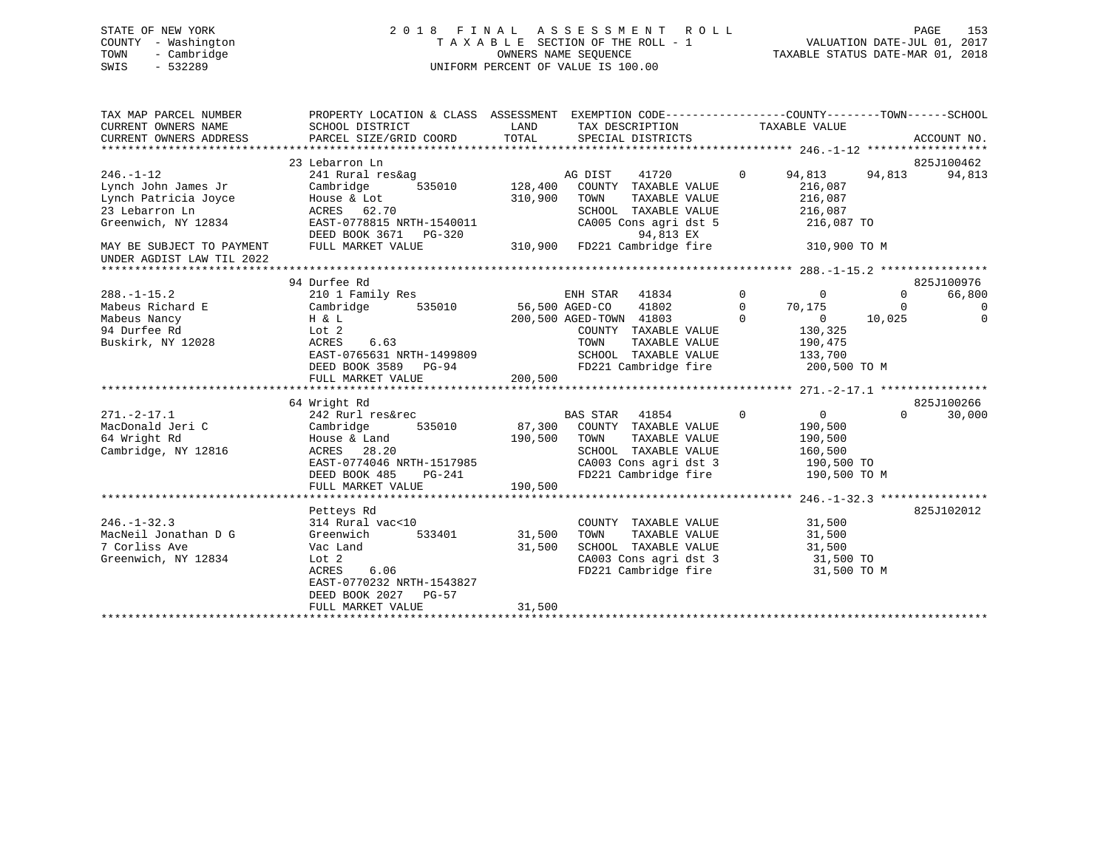# STATE OF NEW YORK 2 0 1 8 F I N A L A S S E S S M E N T R O L L PAGE 153 COUNTY - Washington T A X A B L E SECTION OF THE ROLL - 1 VALUATION DATE-JUL 01, 2017 TOWN - Cambridge OWNERS NAME SEQUENCE TAXABLE STATUS DATE-MAR 01, 2018 SWIS - 532289 UNIFORM PERCENT OF VALUE IS 100.00

| TAX MAP PARCEL NUMBER<br>CURRENT OWNERS NAME<br>CURRENT OWNERS ADDRESS | PROPERTY LOCATION & CLASS ASSESSMENT<br>SCHOOL DISTRICT<br>PARCEL SIZE/GRID COORD | LAND<br>TOTAL | SPECIAL DISTRICTS       | EXEMPTION CODE----------------COUNTY-------TOWN------SCHOOL<br>TAX DESCRIPTION |                | TAXABLE VALUE  |          | ACCOUNT NO. |
|------------------------------------------------------------------------|-----------------------------------------------------------------------------------|---------------|-------------------------|--------------------------------------------------------------------------------|----------------|----------------|----------|-------------|
|                                                                        |                                                                                   |               |                         |                                                                                |                |                |          |             |
|                                                                        | 23 Lebarron Ln                                                                    |               |                         |                                                                                |                |                |          | 825J100462  |
| $246. - 1 - 12$                                                        | 241 Rural res&ag                                                                  |               | AG DIST                 | 41720                                                                          | $\overline{0}$ | 94,813         | 94,813   | 94,813      |
| Lynch John James Jr                                                    | 535010<br>Cambridge                                                               | 128,400       |                         | COUNTY TAXABLE VALUE                                                           |                | 216,087        |          |             |
| Lynch Patricia Joyce                                                   | House & Lot                                                                       | 310,900       | TOWN                    | TAXABLE VALUE                                                                  |                | 216,087        |          |             |
| 23 Lebarron Ln                                                         | ACRES 62.70                                                                       |               |                         | SCHOOL TAXABLE VALUE                                                           |                | 216,087        |          |             |
| Greenwich, NY 12834                                                    | EAST-0778815 NRTH-1540011<br>DEED BOOK 3671 PG-320                                |               |                         | CA005 Cons agri dst 5<br>94,813 EX                                             |                | 216,087 TO     |          |             |
| MAY BE SUBJECT TO PAYMENT                                              | FULL MARKET VALUE                                                                 | 310,900       |                         | FD221 Cambridge fire                                                           |                | 310,900 TO M   |          |             |
| UNDER AGDIST LAW TIL 2022                                              |                                                                                   |               |                         |                                                                                |                |                |          |             |
|                                                                        |                                                                                   |               |                         |                                                                                |                |                |          |             |
|                                                                        | 94 Durfee Rd                                                                      |               |                         |                                                                                |                |                |          | 825J100976  |
| $288. - 1 - 15.2$                                                      | 210 1 Family Res                                                                  |               | ENH STAR 41834          |                                                                                | $\Omega$       | $\Omega$       | $\Omega$ | 66,800      |
| Mabeus Richard E                                                       | Cambridge<br>535010                                                               |               | 56,500 AGED-CO          | 41802                                                                          | $\overline{0}$ | 70,175         | $\Omega$ | $\Omega$    |
| Mabeus Nancy                                                           | H & L                                                                             |               | 200,500 AGED-TOWN 41803 |                                                                                | $\Omega$       | $\overline{0}$ | 10,025   | $\Omega$    |
| 94 Durfee Rd                                                           | Lot 2                                                                             |               |                         | COUNTY TAXABLE VALUE                                                           |                | 130,325        |          |             |
| Buskirk, NY 12028                                                      | 6.63<br>ACRES                                                                     |               | TOWN                    | TAXABLE VALUE                                                                  |                | 190,475        |          |             |
|                                                                        | EAST-0765631 NRTH-1499809                                                         |               |                         | SCHOOL TAXABLE VALUE                                                           |                | 133,700        |          |             |
|                                                                        | DEED BOOK 3589 PG-94                                                              |               |                         | FD221 Cambridge fire                                                           |                | 200,500 TO M   |          |             |
|                                                                        | FULL MARKET VALUE                                                                 | 200,500       |                         |                                                                                |                |                |          |             |
|                                                                        |                                                                                   |               |                         |                                                                                |                |                |          |             |
|                                                                        | 64 Wright Rd                                                                      |               |                         |                                                                                |                |                |          | 825J100266  |
| $271. - 2 - 17.1$                                                      | 242 Rurl res&rec                                                                  |               | BAS STAR 41854          | $\sim$ 0                                                                       |                | $\overline{0}$ | $\Omega$ | 30,000      |
| MacDonald Jeri C                                                       | Cambridge                                                                         |               |                         | 535010 87,300 COUNTY TAXABLE VALUE                                             |                | 190,500        |          |             |
| 64 Wright Rd                                                           | House & Land                                                                      | 190,500 TOWN  |                         | TAXABLE VALUE                                                                  |                | 190,500        |          |             |
| Cambridge, NY 12816                                                    | ACRES 28.20                                                                       |               |                         | SCHOOL TAXABLE VALUE                                                           |                | 160,500        |          |             |
|                                                                        | EAST-0774046 NRTH-1517985                                                         |               |                         | CA003 Cons agri dst 3<br>FD221 Cambridge fire                                  |                | 190,500 TO     |          |             |
|                                                                        | PG-241<br>DEED BOOK 485                                                           |               |                         |                                                                                |                | 190,500 TO M   |          |             |
|                                                                        | FULL MARKET VALUE                                                                 | 190,500       |                         |                                                                                |                |                |          |             |
|                                                                        |                                                                                   |               |                         |                                                                                |                |                |          |             |
|                                                                        | Petteys Rd                                                                        |               |                         |                                                                                |                |                |          | 825J102012  |
| $246. - 1 - 32.3$                                                      | 314 Rural vac<10                                                                  |               |                         | COUNTY TAXABLE VALUE                                                           |                | 31,500         |          |             |
| MacNeil Jonathan D G                                                   | Greenwich<br>533401                                                               | 31,500        | TOWN                    | TAXABLE VALUE                                                                  |                | 31,500         |          |             |
| 7 Corliss Ave                                                          | Vac Land                                                                          | 31,500        |                         | SCHOOL TAXABLE VALUE                                                           |                | 31,500         |          |             |
| Greenwich, NY 12834                                                    | Lot 2                                                                             |               |                         | CA003 Cons agri dst 3<br>FD221 Cambridge fire                                  |                | 31,500 TO      |          |             |
|                                                                        | ACRES<br>6.06                                                                     |               |                         |                                                                                |                | 31,500 TO M    |          |             |
|                                                                        | EAST-0770232 NRTH-1543827                                                         |               |                         |                                                                                |                |                |          |             |
|                                                                        | DEED BOOK 2027 PG-57                                                              |               |                         |                                                                                |                |                |          |             |
|                                                                        | FULL MARKET VALUE                                                                 | 31,500        |                         |                                                                                |                |                |          |             |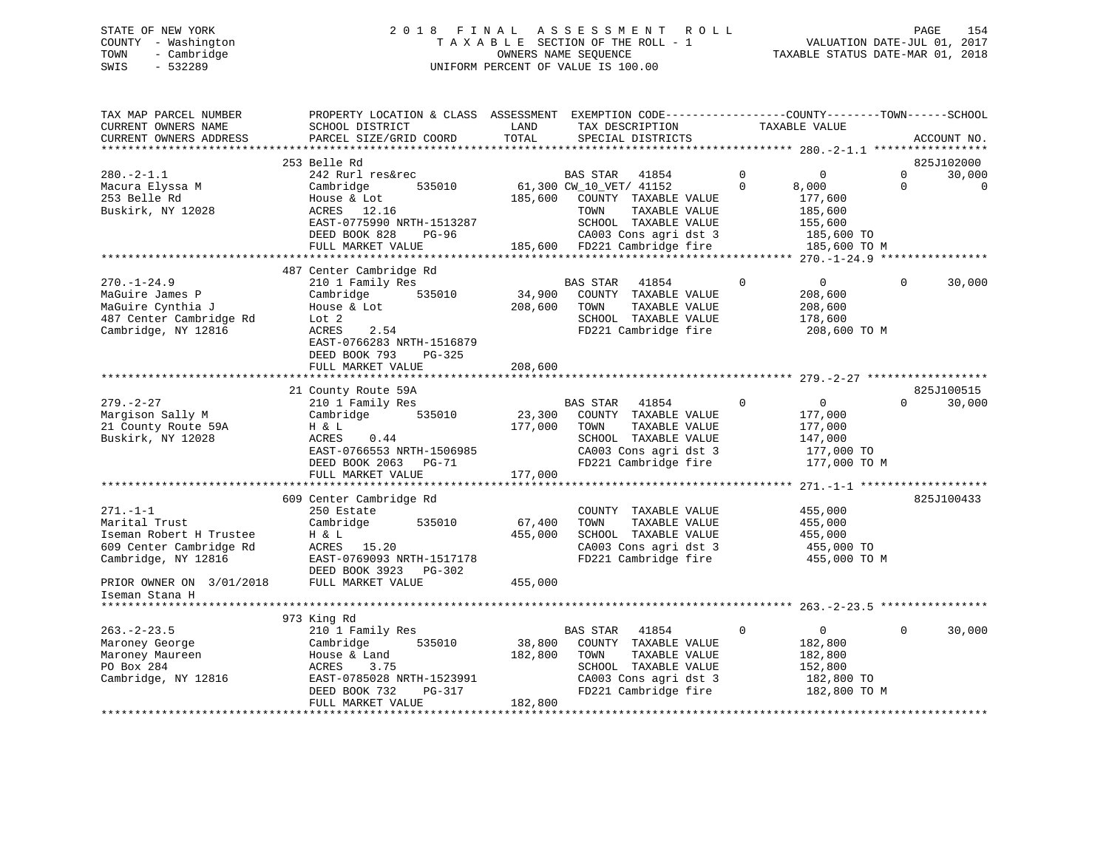# STATE OF NEW YORK 2 0 1 8 F I N A L A S S E S S M E N T R O L L PAGE 154 COUNTY - Washington T A X A B L E SECTION OF THE ROLL - 1 VALUATION DATE-JUL 01, 2017 TOWN - Cambridge OWNERS NAME SEQUENCE TAXABLE STATUS DATE-MAR 01, 2018 SWIS - 532289 UNIFORM PERCENT OF VALUE IS 100.00

| TAX MAP PARCEL NUMBER<br>CURRENT OWNERS NAME<br>CURRENT OWNERS ADDRESS                                       | PROPERTY LOCATION & CLASS ASSESSMENT<br>SCHOOL DISTRICT<br>PARCEL SIZE/GRID COORD                                                          | LAND<br>TOTAL     | TAX DESCRIPTION<br>SPECIAL DISTRICTS                                                                                                        | EXEMPTION CODE-----------------COUNTY-------TOWN------SCHOOL<br>TAXABLE VALUE                |                      | ACCOUNT NO.           |
|--------------------------------------------------------------------------------------------------------------|--------------------------------------------------------------------------------------------------------------------------------------------|-------------------|---------------------------------------------------------------------------------------------------------------------------------------------|----------------------------------------------------------------------------------------------|----------------------|-----------------------|
|                                                                                                              |                                                                                                                                            |                   |                                                                                                                                             |                                                                                              |                      |                       |
|                                                                                                              | 253 Belle Rd                                                                                                                               |                   |                                                                                                                                             |                                                                                              |                      | 825J102000            |
| $280. - 2 - 1.1$<br>Macura Elyssa M<br>253 Belle Rd<br>Buskirk, NY 12028                                     | 242 Rurl res&rec<br>Cambridge<br>535010<br>House & Lot<br>ACRES 12.16<br>EAST-0775990 NRTH-1513287                                         | 185,600           | BAS STAR<br>41854<br>61,300 CW_10_VET/ 41152<br>COUNTY TAXABLE VALUE<br>TOWN<br>TAXABLE VALUE<br>SCHOOL TAXABLE VALUE                       | $\mathbf 0$<br>$\mathbf 0$<br>$\Omega$<br>8,000<br>177,600<br>185,600<br>155,600             | $\Omega$<br>$\Omega$ | 30,000<br>$\mathbf 0$ |
|                                                                                                              | DEED BOOK 828<br>PG-96                                                                                                                     |                   | CA003 Cons agri dst 3                                                                                                                       | 185,600 TO                                                                                   |                      |                       |
|                                                                                                              | FULL MARKET VALUE                                                                                                                          |                   | 185,600 FD221 Cambridge fire                                                                                                                | 185,600 TO M                                                                                 |                      |                       |
|                                                                                                              |                                                                                                                                            |                   |                                                                                                                                             |                                                                                              |                      |                       |
| $270. - 1 - 24.9$<br>MaGuire James P<br>MaGuire Cynthia J<br>487 Center Cambridge Rd<br>Cambridge, NY 12816  | 487 Center Cambridge Rd<br>210 1 Family Res<br>535010<br>Cambridge<br>House & Lot<br>Lot 2<br>2.54<br>ACRES                                | 34,900<br>208,600 | BAS STAR<br>41854<br>COUNTY TAXABLE VALUE<br>TOWN<br>TAXABLE VALUE<br>SCHOOL TAXABLE VALUE<br>FD221 Cambridge fire                          | $\Omega$<br>$\overline{0}$<br>208,600<br>208,600<br>178,600<br>208,600 TO M                  | $\mathbf 0$          | 30,000                |
|                                                                                                              | EAST-0766283 NRTH-1516879<br>DEED BOOK 793<br>PG-325<br>FULL MARKET VALUE                                                                  | 208,600           |                                                                                                                                             |                                                                                              |                      |                       |
|                                                                                                              |                                                                                                                                            |                   |                                                                                                                                             |                                                                                              |                      |                       |
|                                                                                                              | 21 County Route 59A                                                                                                                        |                   |                                                                                                                                             |                                                                                              |                      | 825J100515            |
| $279. - 2 - 27$<br>Margison Sally M<br>21 County Route 59A<br>Buskirk, NY 12028                              | 210 1 Family Res<br>Cambridge 535010<br>H & L<br>ACRES<br>0.44<br>EAST-0766553 NRTH-1506985<br>DEED BOOK 2063 PG-71                        | 23,300<br>177,000 | BAS STAR<br>41854<br>COUNTY TAXABLE VALUE<br>TAXABLE VALUE<br>TOWN<br>SCHOOL TAXABLE VALUE<br>CA003 Cons agri dst 3<br>FD221 Cambridge fire | $\mathbf 0$<br>$\overline{0}$<br>177,000<br>177,000<br>147,000<br>177,000 TO<br>177,000 TO M | $\Omega$             | 30,000                |
|                                                                                                              | FULL MARKET VALUE                                                                                                                          | 177,000           |                                                                                                                                             |                                                                                              |                      |                       |
|                                                                                                              |                                                                                                                                            |                   |                                                                                                                                             |                                                                                              |                      |                       |
| $271. - 1 - 1$<br>Marital Trust<br>Iseman Robert H Trustee<br>609 Center Cambridge Rd<br>Cambridge, NY 12816 | 609 Center Cambridge Rd<br>250 Estate<br>Cambridge<br>535010<br>H & L<br>ACRES 15.20<br>EAST-0769093 NRTH-1517178<br>DEED BOOK 3923 PG-302 | 67,400<br>455,000 | COUNTY TAXABLE VALUE<br>TOWN<br>TAXABLE VALUE<br>SCHOOL TAXABLE VALUE<br>CA003 Cons agri dst 3<br>FD221 Cambridge fire                      | 455,000<br>455,000<br>455,000<br>455,000 TO<br>455,000 TO M                                  |                      | 825J100433            |
| PRIOR OWNER ON 3/01/2018<br>Iseman Stana H                                                                   | FULL MARKET VALUE                                                                                                                          | 455,000           |                                                                                                                                             |                                                                                              |                      |                       |
|                                                                                                              |                                                                                                                                            |                   |                                                                                                                                             |                                                                                              |                      |                       |
|                                                                                                              | 973 King Rd                                                                                                                                |                   |                                                                                                                                             |                                                                                              |                      |                       |
| $263. - 2 - 23.5$<br>Maroney George<br>Maroney Maureen<br>PO Box 284<br>Cambridge, NY 12816                  | 210 1 Family Res<br>535010<br>Cambridge<br>House & Land<br>3.75<br>ACRES<br>EAST-0785028 NRTH-1523991<br>DEED BOOK 732<br>PG-317           | 38,800<br>182,800 | BAS STAR<br>41854<br>COUNTY TAXABLE VALUE<br>TOWN<br>TAXABLE VALUE<br>SCHOOL TAXABLE VALUE<br>CA003 Cons agri dst 3<br>FD221 Cambridge fire | $\Omega$<br>$\overline{0}$<br>182,800<br>182,800<br>152,800<br>182,800 TO<br>182,800 TO M    | $\Omega$             | 30,000                |
|                                                                                                              | FULL MARKET VALUE                                                                                                                          | 182,800           |                                                                                                                                             |                                                                                              |                      |                       |
|                                                                                                              |                                                                                                                                            |                   |                                                                                                                                             |                                                                                              |                      |                       |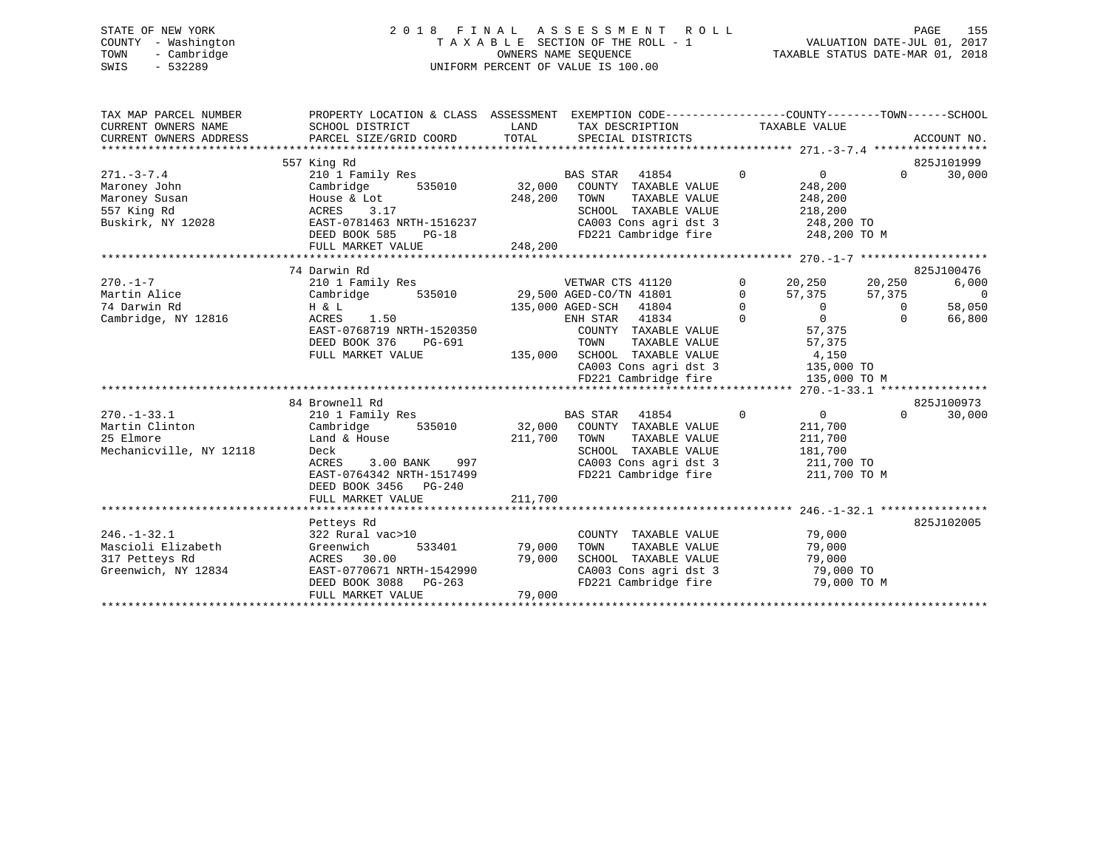# STATE OF NEW YORK 2 0 1 8 F I N A L A S S E S S M E N T R O L L PAGE 155 COUNTY - Washington T A X A B L E SECTION OF THE ROLL - 1 VALUATION DATE-JUL 01, 2017 TOWN - Cambridge OWNERS NAME SEQUENCE TAXABLE STATUS DATE-MAR 01, 2018 SWIS - 532289 UNIFORM PERCENT OF VALUE IS 100.00

| SCHOOL DISTRICT<br>PARCEL SIZE/GRID COORD                                                                                                 | LAND<br>TOTAL                                                                                                                                | SPECIAL DISTRICTS                                                                                 |                                                                                                                                                                                                                                                                                                   |                                                                                                                      | ACCOUNT NO.                                                                                                                                                                                                                                         |
|-------------------------------------------------------------------------------------------------------------------------------------------|----------------------------------------------------------------------------------------------------------------------------------------------|---------------------------------------------------------------------------------------------------|---------------------------------------------------------------------------------------------------------------------------------------------------------------------------------------------------------------------------------------------------------------------------------------------------|----------------------------------------------------------------------------------------------------------------------|-----------------------------------------------------------------------------------------------------------------------------------------------------------------------------------------------------------------------------------------------------|
| 210 1 Family Res<br>535010<br>Cambridge<br>House & Lot<br>3.17<br>ACRES<br>DEED BOOK 585<br>$PG-18$<br>FULL MARKET VALUE                  |                                                                                                                                              | <b>BAS STAR</b><br>41854<br>COUNTY TAXABLE VALUE<br>TAXABLE VALUE<br>TOWN<br>SCHOOL TAXABLE VALUE | $\mathbf 0$<br>$\overline{0}$<br>248,200<br>248,200<br>218,200                                                                                                                                                                                                                                    | $\Omega$                                                                                                             | 825J101999<br>30,000                                                                                                                                                                                                                                |
|                                                                                                                                           |                                                                                                                                              |                                                                                                   |                                                                                                                                                                                                                                                                                                   |                                                                                                                      | 825J100476                                                                                                                                                                                                                                          |
| 210 1 Family Res<br>Cambridge<br>535010                                                                                                   |                                                                                                                                              | VETWAR CTS 41120                                                                                  | $\mathbf 0$<br>20,250<br>$\Omega$<br>57,375                                                                                                                                                                                                                                                       | 57,375                                                                                                               | 6,000<br>$\overline{0}$                                                                                                                                                                                                                             |
| <b>ACRES</b><br>1.50<br>EAST-0768719 NRTH-1520350                                                                                         |                                                                                                                                              | ENH STAR 41834<br>COUNTY TAXABLE VALUE                                                            | $\Omega$<br>$\overline{0}$<br>57,375                                                                                                                                                                                                                                                              | $\overline{0}$<br>$\Omega$                                                                                           | 58,050<br>66,800                                                                                                                                                                                                                                    |
| FULL MARKET VALUE                                                                                                                         |                                                                                                                                              | CA003 Cons agri dst 3<br>FD221 Cambridge fire                                                     | 4,150                                                                                                                                                                                                                                                                                             |                                                                                                                      |                                                                                                                                                                                                                                                     |
|                                                                                                                                           |                                                                                                                                              |                                                                                                   |                                                                                                                                                                                                                                                                                                   |                                                                                                                      |                                                                                                                                                                                                                                                     |
|                                                                                                                                           |                                                                                                                                              |                                                                                                   |                                                                                                                                                                                                                                                                                                   |                                                                                                                      | 825J100973                                                                                                                                                                                                                                          |
| Cambridge<br>535010<br>Land & House<br>Deck<br>ACRES<br>EAST-0764342 NRTH-1517499                                                         |                                                                                                                                              | TOWN<br>TAXABLE VALUE<br>SCHOOL<br>TAXABLE VALUE<br>CA003 Cons agri dst 3<br>FD221 Cambridge fire | 211,700<br>211,700<br>181,700                                                                                                                                                                                                                                                                     |                                                                                                                      | 30,000                                                                                                                                                                                                                                              |
| FULL MARKET VALUE                                                                                                                         |                                                                                                                                              |                                                                                                   |                                                                                                                                                                                                                                                                                                   |                                                                                                                      |                                                                                                                                                                                                                                                     |
|                                                                                                                                           |                                                                                                                                              |                                                                                                   |                                                                                                                                                                                                                                                                                                   |                                                                                                                      |                                                                                                                                                                                                                                                     |
| 322 Rural vac>10<br>533401<br>Greenwich<br>ACRES<br>30.00<br>EAST-0770671 NRTH-1542990<br>DEED BOOK 3088<br>$PG-263$<br>FULL MARKET VALUE |                                                                                                                                              | COUNTY TAXABLE VALUE<br>TOWN<br>TAXABLE VALUE<br>SCHOOL TAXABLE VALUE<br>CA003 Cons agri dst 3    | 79,000<br>79,000<br>79,000                                                                                                                                                                                                                                                                        |                                                                                                                      | 825J102005                                                                                                                                                                                                                                          |
|                                                                                                                                           | 557 King Rd<br>74 Darwin Rd<br>H & L<br>DEED BOOK 376<br>PG-691<br>84 Brownell Rd<br>210 1 Family Res<br>DEED BOOK 3456 PG-240<br>Petteys Rd | EAST-0781463 NRTH-1516237<br>3.00 BANK 997                                                        | PROPERTY LOCATION & CLASS ASSESSMENT<br>32,000<br>248,200<br>248,200<br>29,500 AGED-CO/TN 41801<br>135,000 AGED-SCH 41804<br>TOWN<br>TAXABLE VALUE<br>135,000 SCHOOL TAXABLE VALUE<br><b>BAS STAR</b><br>41854<br>32,000 COUNTY TAXABLE VALUE<br>211,700<br>211,700<br>79,000<br>79,000<br>79,000 | TAX DESCRIPTION TAXABLE VALUE<br>$\mathbf 0$<br>$\overline{0}$<br>57,375<br>$\mathbf 0$<br>0<br>FD221 Cambridge fire | EXEMPTION CODE-----------------COUNTY-------TOWN------SCHOOL<br>CA003 Cons agri dst 3 248,200 TO<br>FD221 Cambridge fire 248,200 TO M<br>20,250<br>135,000 TO<br>135,000 TO M<br>$\Omega$<br>211,700 TO<br>211,700 TO M<br>79,000 TO<br>79,000 TO M |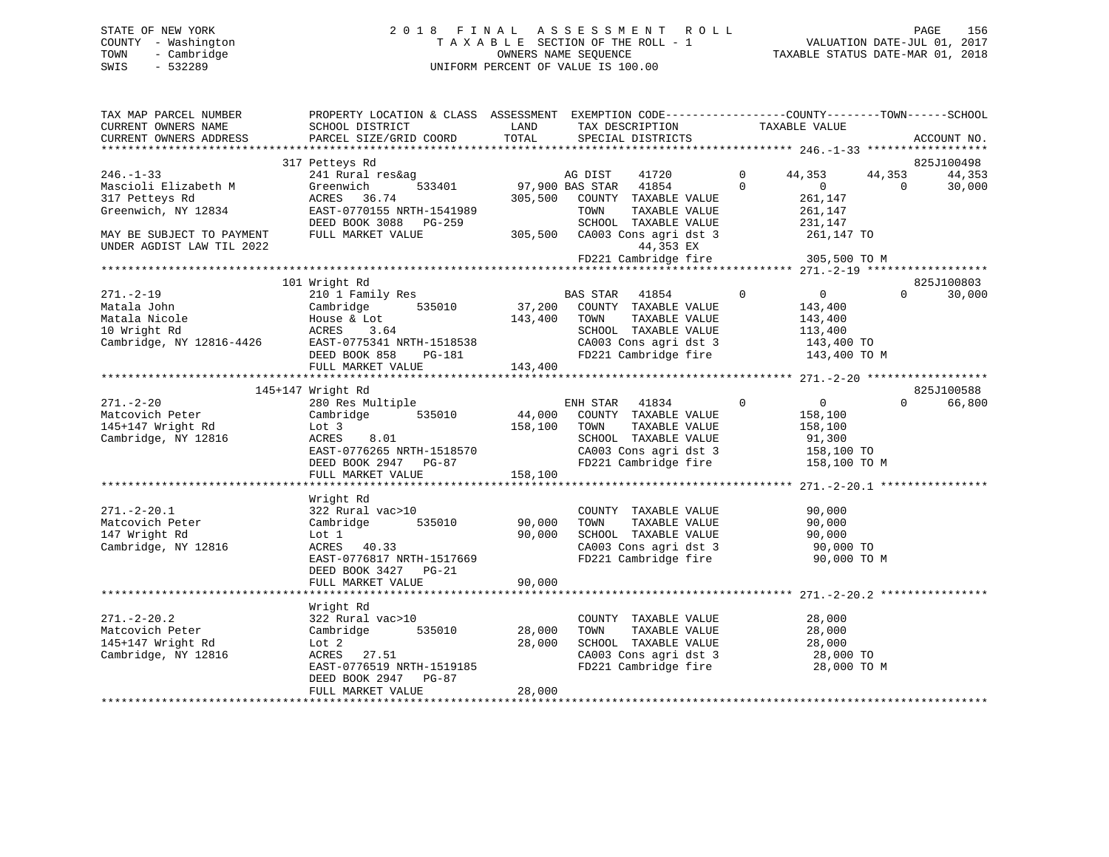# STATE OF NEW YORK 2 0 1 8 F I N A L A S S E S S M E N T R O L L PAGE 156 COUNTY - Washington T A X A B L E SECTION OF THE ROLL - 1 VALUATION DATE-JUL 01, 2017 TOWN - Cambridge OWNERS NAME SEQUENCE TAXABLE STATUS DATE-MAR 01, 2018 SWIS - 532289 UNIFORM PERCENT OF VALUE IS 100.00

| TAX MAP PARCEL NUMBER<br>CURRENT OWNERS NAME                                                | PROPERTY LOCATION & CLASS ASSESSMENT EXEMPTION CODE----------------COUNTY-------TOWN------SCHOOL<br>SCHOOL DISTRICT                  | LAND              | TAX DESCRIPTION                                                                                                                             | TAXABLE VALUE                                                                                   |          |                      |
|---------------------------------------------------------------------------------------------|--------------------------------------------------------------------------------------------------------------------------------------|-------------------|---------------------------------------------------------------------------------------------------------------------------------------------|-------------------------------------------------------------------------------------------------|----------|----------------------|
| CURRENT OWNERS ADDRESS                                                                      | PARCEL SIZE/GRID COORD                                                                                                               | TOTAL             | SPECIAL DISTRICTS                                                                                                                           |                                                                                                 |          | ACCOUNT NO.          |
|                                                                                             |                                                                                                                                      |                   |                                                                                                                                             |                                                                                                 |          |                      |
| $246. - 1 - 33$                                                                             | 317 Petteys Rd<br>241 Rural res&ag                                                                                                   |                   | AG DIST<br>41720                                                                                                                            | $\mathbf{0}$<br>44,353                                                                          | 44,353   | 825J100498<br>44,353 |
| Mascioli Elizabeth M<br>317 Petteys Rd<br>Greenwich, NY 12834                               | 533401<br>Greenwich<br>ACRES<br>36.74<br>EAST-0770155 NRTH-1541989                                                                   | 305,500           | 97,900 BAS STAR 41854<br>COUNTY TAXABLE VALUE<br>TAXABLE VALUE<br>TOWN                                                                      | $\Omega$<br>$\overline{0}$<br>261,147<br>261,147                                                | $\Omega$ | 30,000               |
|                                                                                             | DEED BOOK 3088 PG-259                                                                                                                |                   | SCHOOL TAXABLE VALUE                                                                                                                        | 231,147                                                                                         |          |                      |
| MAY BE SUBJECT TO PAYMENT<br>UNDER AGDIST LAW TIL 2022                                      | FULL MARKET VALUE                                                                                                                    | 305,500           | CA003 Cons agri dst 3<br>44,353 EX                                                                                                          | 261,147 TO                                                                                      |          |                      |
|                                                                                             |                                                                                                                                      |                   | FD221 Cambridge fire                                                                                                                        | 305,500 TO M                                                                                    |          |                      |
|                                                                                             | 101 Wright Rd                                                                                                                        |                   |                                                                                                                                             |                                                                                                 |          | 825J100803           |
| $271. - 2 - 19$<br>Matala John<br>Matala Nicole<br>10 Wright Rd<br>Cambridge, NY 12816-4426 | 210 1 Family Res<br>Cambridge<br>535010<br>House & Lot<br>ACRES<br>3.64<br>EAST-0775341 NRTH-1518538<br>DEED BOOK 858<br>PG-181      | 37,200<br>143,400 | BAS STAR<br>41854<br>COUNTY TAXABLE VALUE<br>TAXABLE VALUE<br>TOWN<br>SCHOOL TAXABLE VALUE<br>CA003 Cons agri dst 3<br>FD221 Cambridge fire | $\mathbf{0}$<br>$\overline{0}$<br>143,400<br>143,400<br>113,400<br>143,400 TO<br>143,400 TO M   | $\Omega$ | 30,000               |
|                                                                                             | FULL MARKET VALUE                                                                                                                    | 143,400           |                                                                                                                                             |                                                                                                 |          |                      |
|                                                                                             |                                                                                                                                      |                   |                                                                                                                                             |                                                                                                 |          |                      |
|                                                                                             | 145+147 Wright Rd                                                                                                                    |                   |                                                                                                                                             |                                                                                                 |          | 825J100588           |
| $271. - 2 - 20$<br>Matcovich Peter<br>145+147 Wright Rd<br>Cambridge, NY 12816              | 280 Res Multiple<br>535010<br>Cambridge<br>Lot 3<br>ACRES<br>8.01<br>EAST-0776265 NRTH-1518570<br>DEED BOOK 2947 PG-87               | 44,000<br>158,100 | ENH STAR<br>41834<br>COUNTY TAXABLE VALUE<br>TOWN<br>TAXABLE VALUE<br>SCHOOL TAXABLE VALUE<br>CA003 Cons agri dst 3<br>FD221 Cambridge fire | $\mathbf{0}$<br>$0 \qquad \qquad$<br>158,100<br>158,100<br>91,300<br>158,100 TO<br>158,100 TO M | $\Omega$ | 66,800               |
|                                                                                             | FULL MARKET VALUE                                                                                                                    | 158,100           |                                                                                                                                             |                                                                                                 |          |                      |
| $271. - 2 - 20.1$<br>Matcovich Peter<br>147 Wright Rd<br>Cambridge, NY 12816                | Wright Rd<br>322 Rural vac>10<br>535010<br>Cambridge<br>Lot 1<br>ACRES<br>40.33<br>EAST-0776817 NRTH-1517669<br>DEED BOOK 3427 PG-21 | 90,000<br>90,000  | COUNTY TAXABLE VALUE<br>TOWN<br>TAXABLE VALUE<br>SCHOOL TAXABLE VALUE<br>CA003 Cons agri dst 3<br>FD221 Cambridge fire                      | 90,000<br>90,000<br>90,000<br>90,000 TO<br>90,000 TO M                                          |          |                      |
|                                                                                             | FULL MARKET VALUE                                                                                                                    | 90,000            |                                                                                                                                             |                                                                                                 |          |                      |
|                                                                                             |                                                                                                                                      |                   |                                                                                                                                             |                                                                                                 |          |                      |
| $271. - 2 - 20.2$<br>Matcovich Peter<br>145+147 Wright Rd<br>Cambridge, NY 12816            | Wright Rd<br>322 Rural vac>10<br>Cambridge<br>535010<br>Lot 2<br>ACRES<br>27.51<br>EAST-0776519 NRTH-1519185<br>DEED BOOK 2947 PG-87 | 28,000<br>28,000  | COUNTY TAXABLE VALUE<br>TAXABLE VALUE<br>TOWN<br>SCHOOL TAXABLE VALUE<br>CA003 Cons agri dst 3<br>FD221 Cambridge fire                      | 28,000<br>28,000<br>28,000<br>28,000 TO<br>28,000 TO M                                          |          |                      |
|                                                                                             | FULL MARKET VALUE                                                                                                                    | 28,000            |                                                                                                                                             |                                                                                                 |          |                      |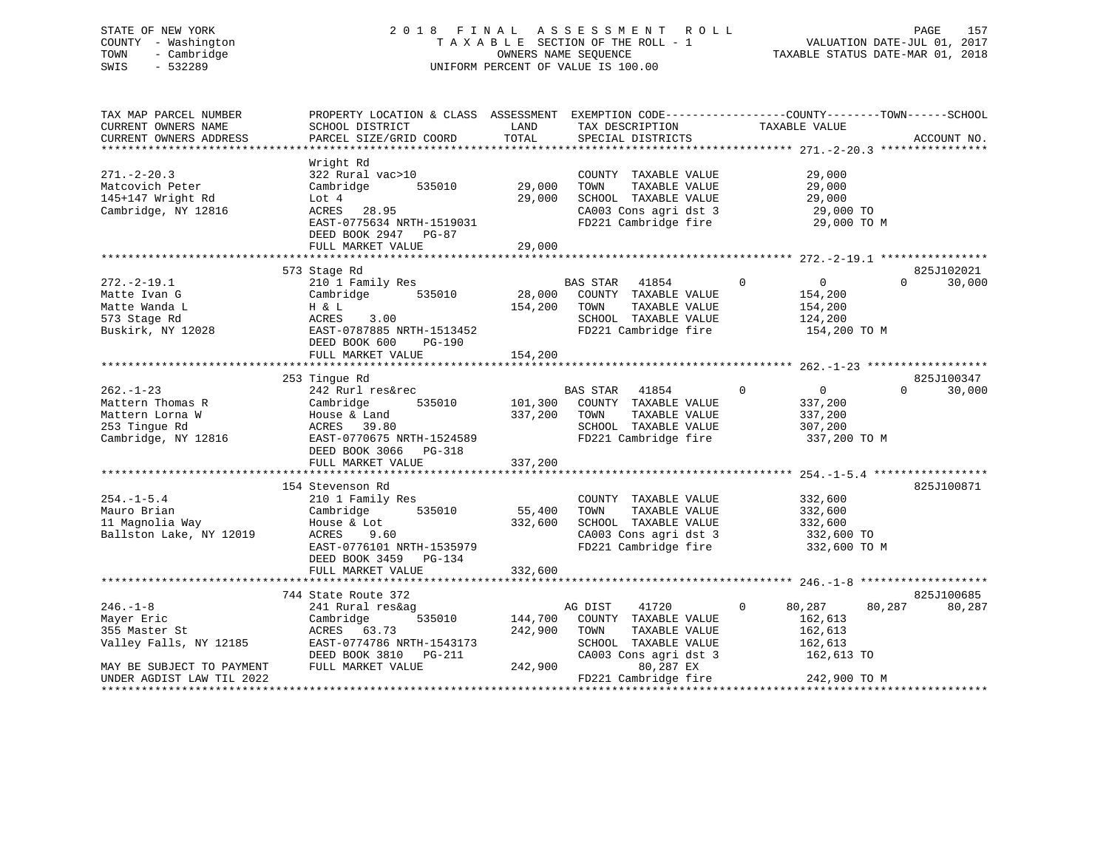# STATE OF NEW YORK 2 0 1 8 F I N A L A S S E S S M E N T R O L L PAGE 157 COUNTY - Washington T A X A B L E SECTION OF THE ROLL - 1 VALUATION DATE-JUL 01, 2017 TOWN - Cambridge OWNERS NAME SEQUENCE TAXABLE STATUS DATE-MAR 01, 2018 SWIS - 532289 UNIFORM PERCENT OF VALUE IS 100.00

| TAX MAP PARCEL NUMBER<br>CURRENT OWNERS NAME<br>CURRENT OWNERS ADDRESS                        | PROPERTY LOCATION & CLASS ASSESSMENT<br>SCHOOL DISTRICT<br>PARCEL SIZE/GRID COORD                                                                              | LAND<br>TOTAL              | EXEMPTION CODE----------------COUNTY-------TOWN------SCHOOL<br>TAX DESCRIPTION<br>SPECIAL DISTRICTS                                           | TAXABLE VALUE                                                   | ACCOUNT NO.                      |
|-----------------------------------------------------------------------------------------------|----------------------------------------------------------------------------------------------------------------------------------------------------------------|----------------------------|-----------------------------------------------------------------------------------------------------------------------------------------------|-----------------------------------------------------------------|----------------------------------|
| $271 - 2 - 20.3$<br>Matcovich Peter<br>145+147 Wright Rd<br>Cambridge, NY 12816               | Wright Rd<br>322 Rural vac>10<br>535010<br>Cambridge<br>Lot 4<br>ACRES<br>28.95<br>EAST-0775634 NRTH-1519031<br>DEED BOOK 2947 PG-87<br>FULL MARKET VALUE      | 29,000<br>29,000<br>29,000 | COUNTY TAXABLE VALUE<br>TOWN<br>TAXABLE VALUE<br>SCHOOL TAXABLE VALUE<br>CA003 Cons agri dst 3<br>FD221 Cambridge fire                        | 29,000<br>29,000<br>29,000<br>29,000 TO<br>29,000 TO M          |                                  |
| $272. - 2 - 19.1$<br>Matte Ivan G<br>Matte Wanda L<br>573 Stage Rd<br>Buskirk, NY 12028       | 573 Stage Rd<br>210 1 Family Res<br>535010<br>Cambridge<br>H & L<br>3.00<br>ACRES<br>EAST-0787885 NRTH-1513452<br>DEED BOOK 600<br>PG-190<br>FULL MARKET VALUE | 154,200<br>154,200         | BAS STAR 41854<br>$\sim$ 0<br>28,000 COUNTY TAXABLE VALUE<br>TOWN<br>TAXABLE VALUE<br>SCHOOL TAXABLE VALUE<br>FD221 Cambridge fire            | $\overline{0}$<br>154,200<br>154,200<br>124,200<br>154,200 TO M | 825J102021<br>$\Omega$<br>30,000 |
|                                                                                               |                                                                                                                                                                |                            |                                                                                                                                               |                                                                 | 825J100347                       |
| $262 - 1 - 23$<br>Mattern Thomas R<br>Mattern Lorna W<br>253 Tinque Rd<br>Cambridge, NY 12816 | 253 Tingue Rd<br>242 Rurl res&rec<br>Cambridge<br>535010<br>House & Land<br>ACRES 39.80<br>EAST-0770675 NRTH-1524589<br>DEED BOOK 3066 PG-318                  | 337,200                    | <b>BAS STAR</b><br>$\sim$ 0<br>41854<br>101,300 COUNTY TAXABLE VALUE<br>TAXABLE VALUE<br>TOWN<br>SCHOOL TAXABLE VALUE<br>FD221 Cambridge fire | $\overline{0}$<br>337,200<br>337,200<br>307,200<br>337,200 TO M | $\Omega$<br>30,000               |
|                                                                                               | FULL MARKET VALUE                                                                                                                                              | 337,200                    |                                                                                                                                               |                                                                 |                                  |
| $254. - 1 - 5.4$<br>Mauro Brian<br>11 Magnolia Way<br>Ballston Lake, NY 12019                 | 154 Stevenson Rd<br>210 1 Family Res<br>535010<br>Cambridge<br>House & Lot<br>ACRES<br>9.60<br>EAST-0776101 NRTH-1535979<br>DEED BOOK 3459 PG-134              | 55,400<br>332,600          | COUNTY TAXABLE VALUE<br>TOWN<br>TAXABLE VALUE<br>SCHOOL TAXABLE VALUE<br>CA003 Cons agri dst 3<br>FD221 Cambridge fire                        | 332,600<br>332,600<br>332,600<br>332,600 TO<br>332,600 TO M     | 825J100871                       |
|                                                                                               | FULL MARKET VALUE                                                                                                                                              | 332,600                    |                                                                                                                                               |                                                                 |                                  |
| $246. - 1 - 8$                                                                                | 744 State Route 372<br>241 Rural res&ag                                                                                                                        |                            | AG DIST<br>41720                                                                                                                              | 80,287<br>$\mathbf{0}$                                          | 825J100685<br>80,287<br>80,287   |
| Mayer Eric<br>355 Master St<br>Valley Falls, NY 12185                                         | Cambridge<br>535010 144,700<br>ACRES 63.73<br>EAST-0774786 NRTH-1543173<br>DEED BOOK 3810 PG-211                                                               | 242,900                    | COUNTY TAXABLE VALUE<br>TAXABLE VALUE<br>TOWN<br>SCHOOL TAXABLE VALUE<br>CA003 Cons agri dst 3                                                | 162,613<br>162,613<br>162,613<br>162,613 TO                     |                                  |
| MAY BE SUBJECT TO PAYMENT<br>UNDER AGDIST LAW TIL 2022                                        | FULL MARKET VALUE                                                                                                                                              | 242,900                    | 80,287 EX<br>FD221 Cambridge fire                                                                                                             | 242,900 TO M                                                    |                                  |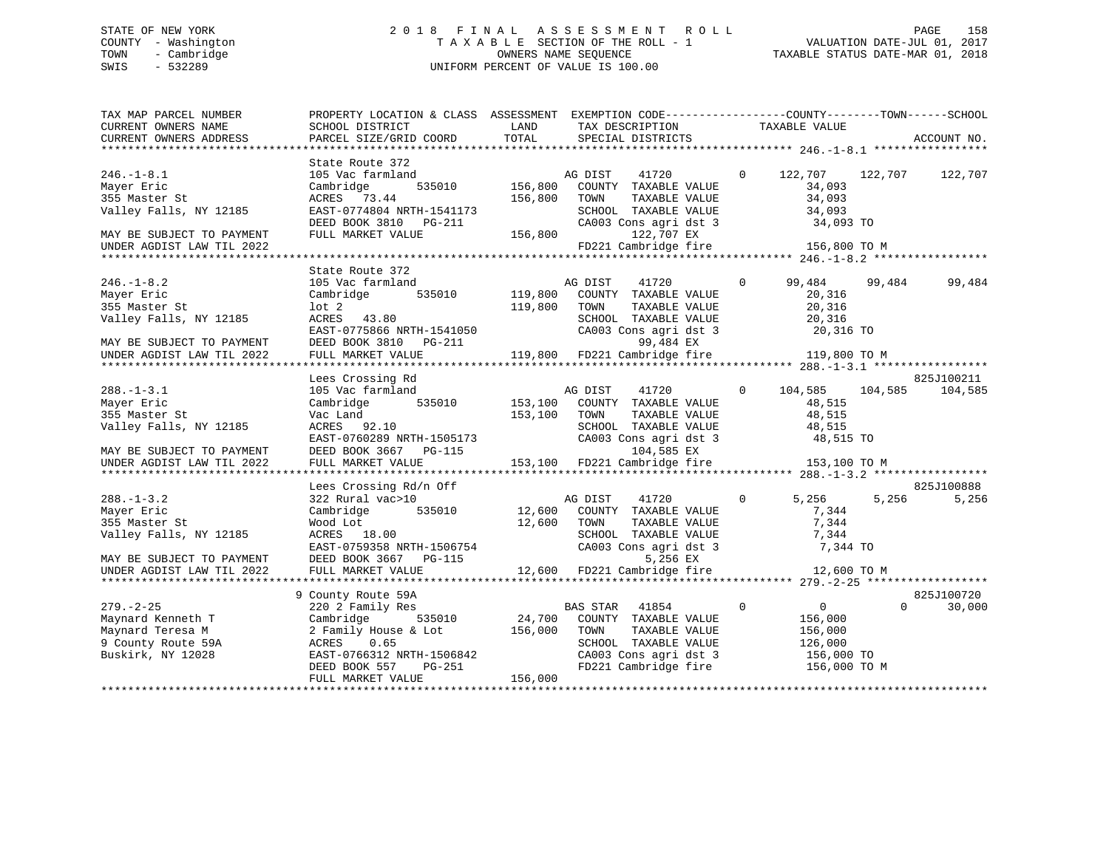# STATE OF NEW YORK 2 0 1 8 F I N A L A S S E S S M E N T R O L L PAGE 158 COUNTY - Washington T A X A B L E SECTION OF THE ROLL - 1 VALUATION DATE-JUL 01, 2017 TOWN - Cambridge OWNERS NAME SEQUENCE TAXABLE STATUS DATE-MAR 01, 2018 SWIS - 532289 UNIFORM PERCENT OF VALUE IS 100.00

| TAX MAP PARCEL NUMBER<br>CURRENT OWNERS NAME<br>CURRENT OWNERS ADDRESS                                                              | PROPERTY LOCATION & CLASS ASSESSMENT EXEMPTION CODE----------------COUNTY-------TOWN------SCHOOL<br>SCHOOL DISTRICT<br>PARCEL SIZE/GRID COORD        | LAND<br>TOTAL                 | TAX DESCRIPTION<br>SPECIAL DISTRICTS                                                                                                                                    | TAXABLE VALUE  |                                                                            | ACCOUNT NO.           |
|-------------------------------------------------------------------------------------------------------------------------------------|------------------------------------------------------------------------------------------------------------------------------------------------------|-------------------------------|-------------------------------------------------------------------------------------------------------------------------------------------------------------------------|----------------|----------------------------------------------------------------------------|-----------------------|
|                                                                                                                                     |                                                                                                                                                      |                               |                                                                                                                                                                         |                |                                                                            |                       |
| $246. - 1 - 8.1$<br>Mayer Eric<br>355 Master St<br>Valley Falls, NY 12185<br>MAY BE SUBJECT TO PAYMENT<br>UNDER AGDIST LAW TIL 2022 | State Route 372<br>105 Vac farmland<br>Cambridge<br>535010<br>ACRES 73.44<br>EAST-0774804 NRTH-1541173<br>DEED BOOK 3810 PG-211<br>FULL MARKET VALUE | 156,800<br>156,800<br>156,800 | $\overline{0}$<br>AG DIST 41720<br>COUNTY TAXABLE VALUE<br>TOWN<br>TAXABLE VALUE<br>SCHOOL TAXABLE VALUE<br>CA003 Cons agri dst 3<br>122,707 EX<br>FD221 Cambridge fire |                | 122,707 122,707<br>34,093<br>34,093<br>34,093<br>34,093 TO<br>156,800 TO M | 122,707               |
|                                                                                                                                     |                                                                                                                                                      |                               |                                                                                                                                                                         |                |                                                                            |                       |
| $246. - 1 - 8.2$<br>Mayer Eric<br>355 Master St<br>Valley Falls, NY 12185<br>MAY BE SUBJECT TO PAYMENT                              | State Route 372<br>105 Vac farmland<br>535010<br>Cambridge<br>lot 2<br>ACRES 43.80<br>EAST-0775866 NRTH-1541050<br>DEED BOOK 3810 PG-211             | 119,800                       | 41720<br>AG DIST<br>119,800 COUNTY TAXABLE VALUE<br>TOWN<br>TAXABLE VALUE<br>SCHOOL TAXABLE VALUE<br>CA003 Cons agri dst 3<br>99,484 EX                                 | $\Omega$       | 99,484<br>99,484<br>20,316<br>20,316<br>20,316<br>20,316 TO                | 99,484                |
| UNDER AGDIST LAW TIL 2022                                                                                                           | FULL MARKET VALUE                                                                                                                                    |                               | 119,800 FD221 Cambridge fire                                                                                                                                            |                | 119,800 TO M                                                               |                       |
|                                                                                                                                     |                                                                                                                                                      |                               |                                                                                                                                                                         |                |                                                                            |                       |
| $288. - 1 - 3.1$<br>Mayer Eric<br>355 Master St<br>Valley Falls, NY 12185<br>MAY BE SUBJECT TO PAYMENT                              | Lees Crossing Rd<br>105 Vac farmland<br>Cambridge 535010<br>Vac Land<br>ACRES 92.10<br>EAST-0760289 NRTH-1505173<br>DEED BOOK 3667 PG-115            | 153,100                       | AG DIST<br>41720<br>153,100 COUNTY TAXABLE VALUE<br>TOWN<br>TAXABLE VALUE<br>SCHOOL TAXABLE VALUE<br>CA003 Cons agri dst 3<br>104,585 EX                                | $\Omega$       | 104,585<br>104,585<br>48,515<br>48,515<br>48,515<br>48,515 TO              | 825J100211<br>104,585 |
| UNDER AGDIST LAW TIL 2022                                                                                                           | FULL MARKET VALUE                                                                                                                                    |                               | 153,100 FD221 Cambridge fire 153,100 TO M                                                                                                                               |                |                                                                            |                       |
|                                                                                                                                     |                                                                                                                                                      |                               |                                                                                                                                                                         |                |                                                                            |                       |
| $288. - 1 - 3.2$<br>Mayer Eric<br>355 Master St<br>Valley Falls, NY 12185<br>MAY BE SUBJECT TO PAYMENT                              | Lees Crossing Rd/n Off<br>322 Rural vac>10<br>535010<br>Cambridge<br>Wood Lot<br>ACRES 18.00<br>EAST-0759358 NRTH-1506754<br>DEED BOOK 3667 PG-115   | 12,600                        | 41720<br>AG DIST<br>12,600 COUNTY TAXABLE VALUE<br>TOWN<br>TAXABLE VALUE<br>SCHOOL TAXABLE VALUE<br>CA003 Cons agri dst 3<br>5,256 EX                                   | $\Omega$       | 5,256<br>5,256<br>7,344<br>7,344<br>7,344<br>7,344 TO                      | 825J100888<br>5,256   |
|                                                                                                                                     |                                                                                                                                                      |                               |                                                                                                                                                                         |                |                                                                            |                       |
| $279. - 2 - 25$<br>Maynard Kenneth T<br>Maynard Teresa M<br>9 County Route 59A<br>Buskirk, NY 12028                                 | 9 County Route 59A<br>220 2 Family Res<br>Cambridge<br>535010<br>2 Family House & Lot<br>0.65<br>ACRES<br>EAST-0766312 NRTH-1506842                  | 24,700<br>156,000             | BAS STAR 41854<br>COUNTY TAXABLE VALUE<br>TAXABLE VALUE<br>TOWN<br>SCHOOL TAXABLE VALUE                                                                                 | $\overline{0}$ | $\overline{0}$<br>$\Omega$<br>156,000<br>156,000<br>126,000<br>156,000 TO  | 825J100720<br>30,000  |
|                                                                                                                                     | PG-251<br>DEED BOOK 557<br>FULL MARKET VALUE                                                                                                         | 156,000                       | coves agri dst 3 سمت<br>FD221 Cambridge fire                                                                                                                            |                | 156,000 TO M                                                               |                       |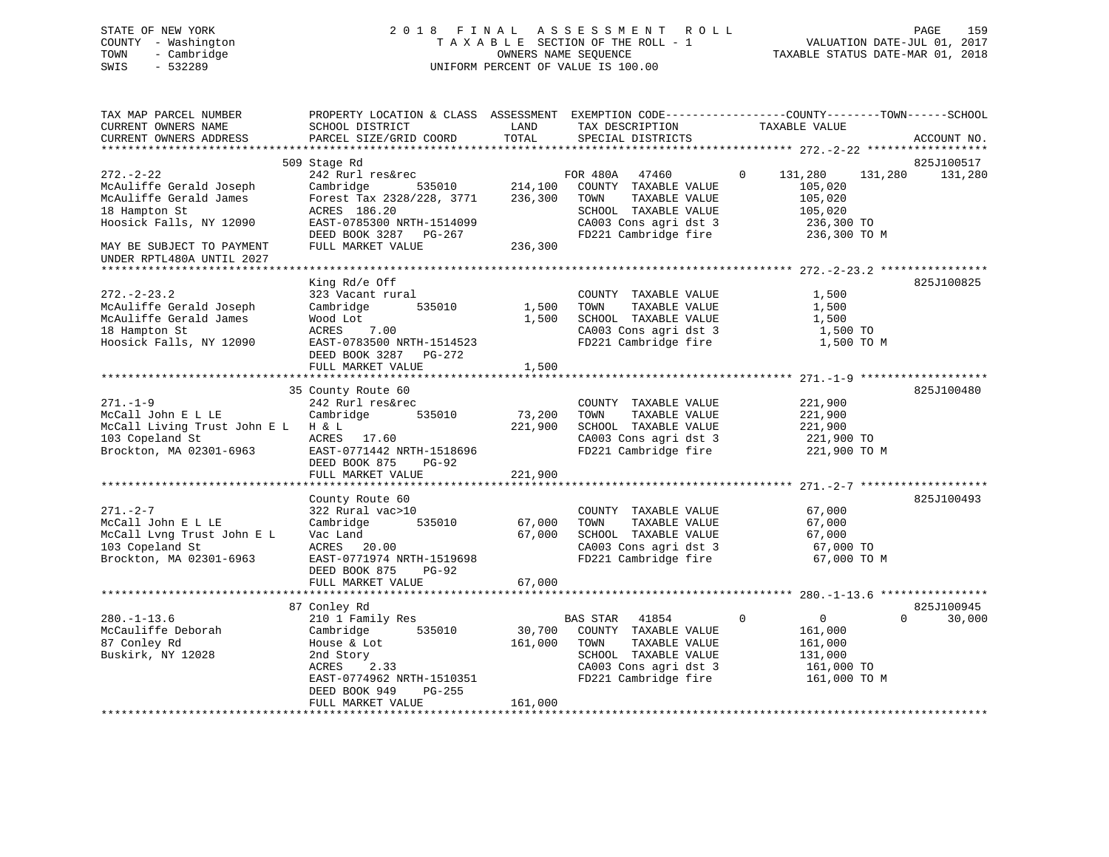# STATE OF NEW YORK 2 0 1 8 F I N A L A S S E S S M E N T R O L L PAGE 159 COUNTY - Washington T A X A B L E SECTION OF THE ROLL - 1 VALUATION DATE-JUL 01, 2017 TOWN - Cambridge OWNERS NAME SEQUENCE TAXABLE STATUS DATE-MAR 01, 2018 SWIS - 532289 UNIFORM PERCENT OF VALUE IS 100.00

| TAX MAP PARCEL NUMBER<br>CURRENT OWNERS NAME<br>CURRENT OWNERS ADDRESS                                                   | SCHOOL DISTRICT<br>PARCEL SIZE/GRID COORD                                                                                                                                         | LAND<br>TOTAL                | TAX DESCRIPTION<br>SPECIAL DISTRICTS                                                                                                               | PROPERTY LOCATION & CLASS ASSESSMENT EXEMPTION CODE----------------COUNTY-------TOWN------SCHOOL<br>TAXABLE VALUE | ACCOUNT NO.                      |
|--------------------------------------------------------------------------------------------------------------------------|-----------------------------------------------------------------------------------------------------------------------------------------------------------------------------------|------------------------------|----------------------------------------------------------------------------------------------------------------------------------------------------|-------------------------------------------------------------------------------------------------------------------|----------------------------------|
|                                                                                                                          |                                                                                                                                                                                   |                              |                                                                                                                                                    |                                                                                                                   |                                  |
| $272 - 2 - 22$<br>McAuliffe Gerald Joseph<br>McAuliffe Gerald James<br>18 Hampton St<br>Hoosick Falls, NY 12090          | 509 Stage Rd<br>242 Rurl res&rec<br>Cambridge<br>535010<br>Forest Tax 2328/228, 3771<br>ACRES 186.20<br>EAST-0785300 NRTH-1514099<br>DEED BOOK 3287 PG-267                        | 214,100<br>236,300           | FOR 480A 47460<br>COUNTY TAXABLE VALUE<br>TOWN<br>TAXABLE VALUE<br>SCHOOL TAXABLE VALUE<br>CA003 Cons agri dst 3<br>FD221 Cambridge fire           | $\mathbf{0}$<br>131,280<br>131,280<br>105,020<br>105,020<br>105,020<br>236,300 TO<br>236,300 TO M                 | 825J100517<br>131,280            |
| MAY BE SUBJECT TO PAYMENT<br>UNDER RPTL480A UNTIL 2027<br>**************************                                     | FULL MARKET VALUE                                                                                                                                                                 | 236,300                      |                                                                                                                                                    |                                                                                                                   |                                  |
| $272. - 2 - 23.2$<br>McAuliffe Gerald Joseph<br>McAuliffe Gerald James<br>18 Hampton St<br>Hoosick Falls, NY 12090       | King Rd/e Off<br>323 Vacant rural<br>535010<br>Cambridge<br>Wood Lot<br>7.00<br>ACRES<br>EAST-0783500 NRTH-1514523<br>DEED BOOK 3287<br>PG-272<br>FULL MARKET VALUE               | 1,500<br>1,500<br>1,500      | COUNTY TAXABLE VALUE<br>TAXABLE VALUE<br>TOWN<br>SCHOOL TAXABLE VALUE<br>CA003 Cons agri dst 3<br>FD221 Cambridge fire                             | 1,500<br>1,500<br>1,500<br>1,500 TO<br>1,500 TO M                                                                 | 825J100825                       |
|                                                                                                                          |                                                                                                                                                                                   |                              |                                                                                                                                                    |                                                                                                                   |                                  |
| $271. - 1 - 9$<br>McCall John E L LE<br>McCall Living Trust John E L H & L<br>103 Copeland St<br>Brockton, MA 02301-6963 | 35 County Route 60<br>242 Rurl res&rec<br>Cambridge<br>535010<br>ACRES 17.60<br>EAST-0771442 NRTH-1518696<br>DEED BOOK 875<br>PG-92<br>FULL MARKET VALUE                          | 73,200<br>221,900<br>221,900 | COUNTY TAXABLE VALUE<br>TOWN<br>TAXABLE VALUE<br>SCHOOL TAXABLE VALUE<br>CA003 Cons agri dst 3<br>FD221 Cambridge fire                             | 221,900<br>221,900<br>221,900<br>221,900 TO<br>221,900 TO M                                                       | 825J100480                       |
|                                                                                                                          |                                                                                                                                                                                   |                              |                                                                                                                                                    |                                                                                                                   |                                  |
| $271. - 2 - 7$<br>McCall John E L LE<br>McCall Lvng Trust John E L<br>103 Copeland St<br>Brockton, MA 02301-6963         | County Route 60<br>322 Rural vac>10<br>Cambridge<br>535010<br>Vac Land<br>ACRES 20.00<br>EAST-0771974 NRTH-1519698<br>DEED BOOK 875<br><b>PG-92</b>                               | 67,000<br>67,000             | COUNTY TAXABLE VALUE<br>TAXABLE VALUE<br>TOWN<br>SCHOOL TAXABLE VALUE<br>CA003 Cons agri dst 3<br>FD221 Cambridge fire                             | 67,000<br>67,000<br>67,000<br>67,000 TO<br>67,000 TO M                                                            | 825J100493                       |
|                                                                                                                          | FULL MARKET VALUE                                                                                                                                                                 | 67,000                       |                                                                                                                                                    |                                                                                                                   |                                  |
|                                                                                                                          |                                                                                                                                                                                   |                              |                                                                                                                                                    |                                                                                                                   |                                  |
| $280. - 1 - 13.6$<br>McCauliffe Deborah<br>87 Conley Rd<br>Buskirk, NY 12028                                             | 87 Conley Rd<br>210 1 Family Res<br>Cambridge<br>535010<br>House & Lot<br>2nd Story<br>ACRES<br>2.33<br>EAST-0774962 NRTH-1510351<br>DEED BOOK 949<br>PG-255<br>FULL MARKET VALUE | 30,700<br>161,000<br>161,000 | <b>BAS STAR</b><br>41854<br>COUNTY TAXABLE VALUE<br>TAXABLE VALUE<br>TOWN<br>SCHOOL TAXABLE VALUE<br>CA003 Cons agri dst 3<br>FD221 Cambridge fire | $\mathbf 0$<br>$\overline{0}$<br>161,000<br>161,000<br>131,000<br>161,000 TO<br>161,000 TO M                      | 825J100945<br>$\Omega$<br>30,000 |
|                                                                                                                          |                                                                                                                                                                                   |                              |                                                                                                                                                    |                                                                                                                   |                                  |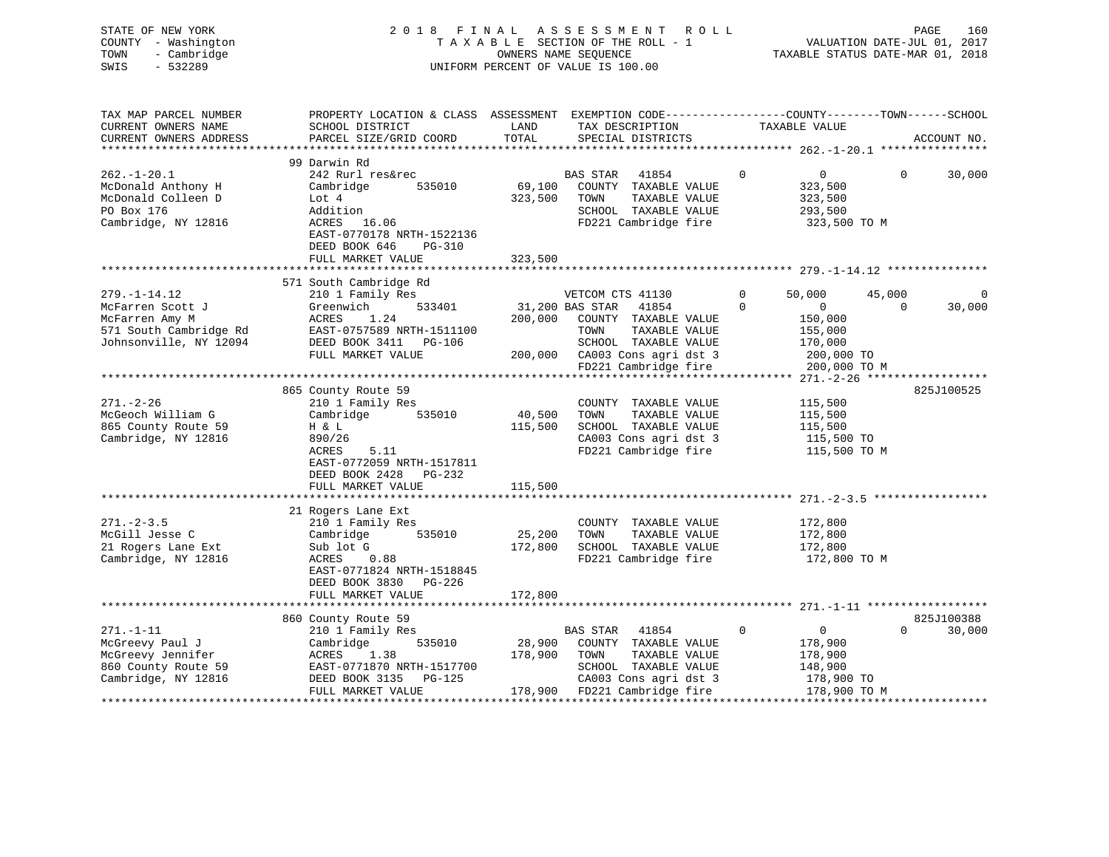| STATE OF NEW YORK<br>COUNTY - Washington<br>TOWN<br>- Cambridge<br>$-532289$<br>SWIS | 2018 FINAL<br>UNIFORM PERCENT OF VALUE IS 100.00                                                                                             |                                | A S S E S S M E N T<br>OWNERS NAME SEQUENCE | TAXABLE SECTION OF THE ROLL - 1      | ROLL | TAXABLE STATUS DATE-MAR 01, 2018                 | VALUATION DATE-JUL 01, 2017 | PAGE<br>160 |
|--------------------------------------------------------------------------------------|----------------------------------------------------------------------------------------------------------------------------------------------|--------------------------------|---------------------------------------------|--------------------------------------|------|--------------------------------------------------|-----------------------------|-------------|
| TAX MAP PARCEL NUMBER<br>CURRENT OWNERS NAME<br>CURRENT OWNERS ADDRESS               | PROPERTY LOCATION & CLASS ASSESSMENT EXEMPTION CODE---------------COUNTY-------TOWN------SCHOOL<br>SCHOOL DISTRICT<br>PARCEL SIZE/GRID COORD | LAND<br>TOTAL                  |                                             | TAX DESCRIPTION<br>SPECIAL DISTRICTS |      | TAXABLE VALUE                                    |                             | ACCOUNT NO. |
|                                                                                      | 99 Darwin Rd                                                                                                                                 |                                |                                             |                                      |      |                                                  |                             |             |
| $262. - 1 - 20.1$                                                                    | 242 Rurl res&rec                                                                                                                             |                                | BAS STAR                                    | 41854                                |      | $\Omega$<br>$\overline{0}$                       | $\Omega$                    | 30,000      |
| McDonald Anthony H                                                                   | Cambridge<br>535010                                                                                                                          | 69,100                         |                                             | COUNTY TAXABLE VALUE                 |      | 323,500                                          |                             |             |
| McDonald Colleen D                                                                   | Lot $4$                                                                                                                                      | 323,500                        | TOWN                                        | TAXABLE VALUE                        |      | 323,500                                          |                             |             |
| PO Box 176                                                                           | Addition                                                                                                                                     |                                |                                             | SCHOOL TAXABLE VALUE                 |      | 293,500                                          |                             |             |
| Cambridge, NY 12816                                                                  | ACRES<br>16.06                                                                                                                               |                                |                                             | FD221 Cambridge fire                 |      | 323,500 TO M                                     |                             |             |
|                                                                                      | EAST-0770178 NRTH-1522136                                                                                                                    |                                |                                             |                                      |      |                                                  |                             |             |
|                                                                                      | DEED BOOK 646<br>PG-310                                                                                                                      |                                |                                             |                                      |      |                                                  |                             |             |
|                                                                                      | FULL MARKET VALUE                                                                                                                            | 323,500                        |                                             |                                      |      |                                                  |                             |             |
|                                                                                      |                                                                                                                                              |                                |                                             |                                      |      | ******************** 279.-1-14.12 ************** |                             |             |
| $279. - 1 - 14.12$                                                                   | 571 South Cambridge Rd                                                                                                                       |                                | VETCOM CTS 41130                            |                                      |      | 0<br>50,000                                      | 45,000                      | 0           |
| McFarren Scott J                                                                     | 210 1 Family Res<br>Greenwich<br>533401                                                                                                      |                                | 31,200 BAS STAR                             | 41854                                |      | $\Omega$<br>$\mathbf{0}$                         | $\Omega$                    | 30,000      |
| McFarren Amy M                                                                       | 1.24<br>ACRES                                                                                                                                | 200,000                        |                                             | COUNTY TAXABLE VALUE                 |      | 150,000                                          |                             |             |
| 571 South Cambridge Rd                                                               | EAST-0757589 NRTH-1511100                                                                                                                    |                                | TOWN                                        | TAXABLE VALUE                        |      | 155,000                                          |                             |             |
| Johnsonville, NY 12094                                                               | DEED BOOK 3411 PG-106                                                                                                                        |                                |                                             | SCHOOL TAXABLE VALUE                 |      | 170,000                                          |                             |             |
|                                                                                      | FULL MARKET VALUE                                                                                                                            |                                |                                             | 200,000 CA003 Cons agri dst 3        |      | 200,000 TO                                       |                             |             |
|                                                                                      |                                                                                                                                              |                                |                                             | FD221 Cambridge fire                 |      | 200,000 TO M                                     |                             |             |
|                                                                                      |                                                                                                                                              |                                |                                             |                                      |      |                                                  |                             |             |
|                                                                                      | 865 County Route 59                                                                                                                          |                                |                                             |                                      |      |                                                  |                             | 825J100525  |
| $271. - 2 - 26$                                                                      | 210 1 Family Res                                                                                                                             |                                |                                             | COUNTY TAXABLE VALUE                 |      | 115,500                                          |                             |             |
| McGeoch William G                                                                    | Cambridge<br>535010                                                                                                                          | 40,500                         | TOWN                                        | TAXABLE VALUE                        |      | 115,500                                          |                             |             |
| 865 County Route 59                                                                  | H & L                                                                                                                                        | 115,500                        |                                             | SCHOOL TAXABLE VALUE                 |      | 115,500                                          |                             |             |
| Cambridge, NY 12816                                                                  | 890/26                                                                                                                                       |                                |                                             | CA003 Cons agri dst 3                |      | 115,500 TO                                       |                             |             |
|                                                                                      | 5.11<br>ACRES                                                                                                                                |                                |                                             | FD221 Cambridge fire                 |      | 115,500 TO M                                     |                             |             |
|                                                                                      | EAST-0772059 NRTH-1517811                                                                                                                    |                                |                                             |                                      |      |                                                  |                             |             |
|                                                                                      | DEED BOOK 2428 PG-232                                                                                                                        |                                |                                             |                                      |      |                                                  |                             |             |
|                                                                                      | FULL MARKET VALUE                                                                                                                            | 115,500                        |                                             |                                      |      |                                                  |                             |             |
|                                                                                      |                                                                                                                                              |                                |                                             |                                      |      |                                                  |                             |             |
|                                                                                      | 21 Rogers Lane Ext                                                                                                                           |                                |                                             |                                      |      |                                                  |                             |             |
| $271 - 2 - 3.5$                                                                      | 210 1 Family Res                                                                                                                             |                                |                                             | COUNTY TAXABLE VALUE                 |      | 172,800                                          |                             |             |
| McGill Jesse C                                                                       | 535010<br>Cambridge                                                                                                                          | 25,200                         | TOWN                                        | TAXABLE VALUE                        |      | 172,800                                          |                             |             |
| 21 Rogers Lane Ext                                                                   | Sub lot G                                                                                                                                    | 172,800                        |                                             | SCHOOL TAXABLE VALUE                 |      | 172,800                                          |                             |             |
| Cambridge, NY 12816                                                                  | ACRES<br>0.88                                                                                                                                |                                |                                             | FD221 Cambridge fire                 |      | 172,800 TO M                                     |                             |             |
|                                                                                      | EAST-0771824 NRTH-1518845                                                                                                                    |                                |                                             |                                      |      |                                                  |                             |             |
|                                                                                      | DEED BOOK 3830 PG-226<br>FULL MARKET VALUE                                                                                                   |                                |                                             |                                      |      |                                                  |                             |             |
|                                                                                      | * * * * * * * * * * * * * * * * * * *                                                                                                        | 172,800<br>******************* |                                             |                                      |      |                                                  |                             |             |
|                                                                                      | 860 County Route 59                                                                                                                          |                                |                                             |                                      |      |                                                  |                             | 825J100388  |
| $271. - 1 - 11$                                                                      | 210 1 Family Res                                                                                                                             |                                | BAS STAR                                    | 41854                                |      | $\Omega$<br>$\overline{0}$                       | $\Omega$                    | 30,000      |
| McGreevy Paul J                                                                      | 535010<br>Cambridge                                                                                                                          | 28,900                         |                                             | COUNTY TAXABLE VALUE                 |      | 178,900                                          |                             |             |
| McGreevy Jennifer                                                                    | ACRES<br>1.38                                                                                                                                | 178,900                        | TOWN                                        | TAXABLE VALUE                        |      | 178,900                                          |                             |             |
| 860 County Route 59                                                                  | EAST-0771870 NRTH-1517700                                                                                                                    |                                |                                             | SCHOOL TAXABLE VALUE                 |      | 148,900                                          |                             |             |
| Cambridge, NY 12816                                                                  | DEED BOOK 3135 PG-125                                                                                                                        |                                |                                             | CA003 Cons agri dst 3                |      | 178,900 TO                                       |                             |             |
|                                                                                      | FULL MARKET VALUE                                                                                                                            |                                |                                             | 178,900 FD221 Cambridge fire         |      | 178,900 TO M                                     |                             |             |
| ***************                                                                      |                                                                                                                                              |                                |                                             |                                      |      |                                                  |                             |             |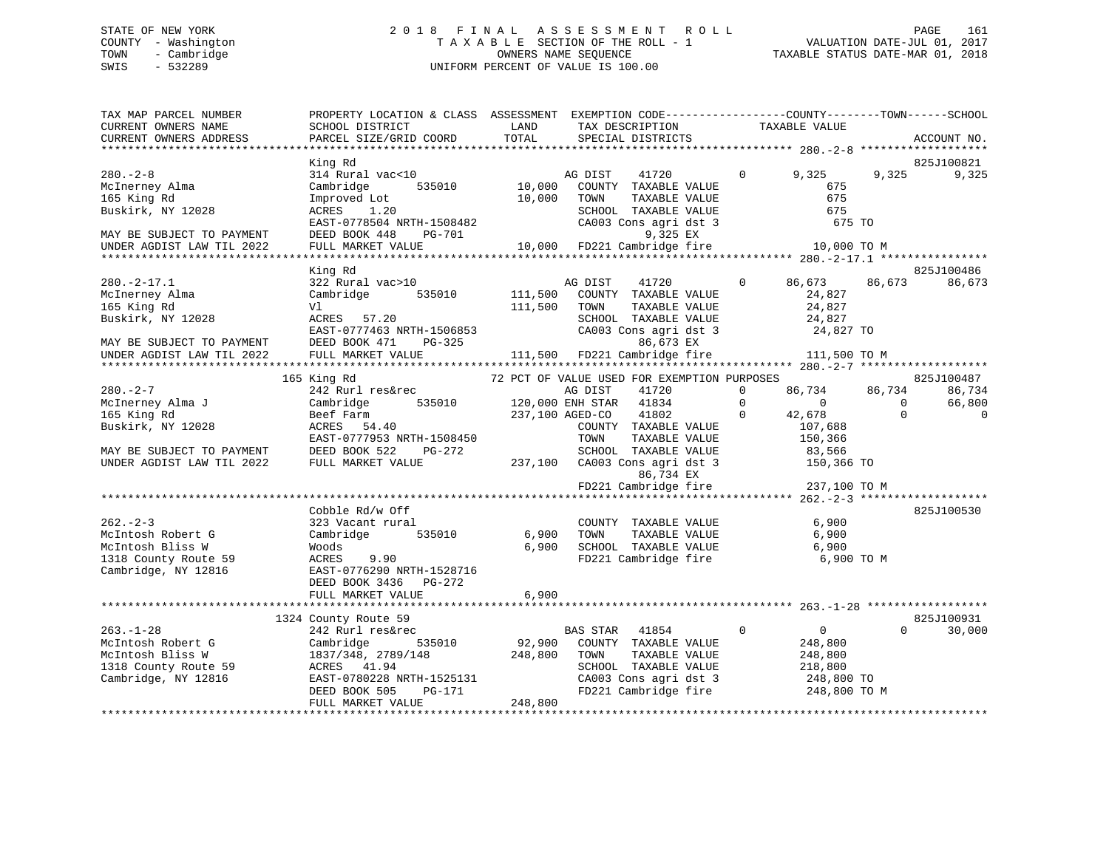# STATE OF NEW YORK 2 0 1 8 F I N A L A S S E S S M E N T R O L L PAGE 161 COUNTY - Washington T A X A B L E SECTION OF THE ROLL - 1 VALUATION DATE-JUL 01, 2017 TOWN - Cambridge OWNERS NAME SEQUENCE TAXABLE STATUS DATE-MAR 01, 2018 SWIS - 532289 UNIFORM PERCENT OF VALUE IS 100.00

| TAX MAP PARCEL NUMBER<br>CURRENT OWNERS NAME                                                     | PROPERTY LOCATION & CLASS ASSESSMENT EXEMPTION CODE-----------------COUNTY-------TOWN------SCHOOL<br>SCHOOL DISTRICT                                                                                                                                     | <b>LAND</b>     | TAX DESCRIPTION                                                                                                                                                                | TAXABLE VALUE             |                                              |                |
|--------------------------------------------------------------------------------------------------|----------------------------------------------------------------------------------------------------------------------------------------------------------------------------------------------------------------------------------------------------------|-----------------|--------------------------------------------------------------------------------------------------------------------------------------------------------------------------------|---------------------------|----------------------------------------------|----------------|
| CURRENT OWNERS ADDRESS                                                                           | PARCEL SIZE/GRID COORD                                                                                                                                                                                                                                   | LAND<br>TOTAL   | SPECIAL DISTRICTS                                                                                                                                                              |                           |                                              | ACCOUNT NO.    |
|                                                                                                  |                                                                                                                                                                                                                                                          |                 |                                                                                                                                                                                |                           |                                              |                |
|                                                                                                  | King Rd                                                                                                                                                                                                                                                  |                 |                                                                                                                                                                                |                           |                                              | 825J100821     |
| $280 - 2 - 8$                                                                                    | 314 Rural vac<10                                                                                                                                                                                                                                         |                 |                                                                                                                                                                                | $\overline{0}$<br>9,325   | 9,325                                        | 9,325          |
| McInerney Alma                                                                                   | Cambridge 535010                                                                                                                                                                                                                                         |                 | AG DIST 41720<br>10,000 COUNTY TAXABLE VALUE                                                                                                                                   | 675                       |                                              |                |
| 165 King Rd                                                                                      | Improved Lot                                                                                                                                                                                                                                             | 10,000          | TOWN TAXABLE VALUE<br>SCHOOL TAXABLE VALUE<br>CA003 Cons agri dst 3                                                                                                            | 675                       |                                              |                |
| Buskirk, NY 12028                                                                                | ACRES 1.20                                                                                                                                                                                                                                               |                 |                                                                                                                                                                                | 675                       |                                              |                |
|                                                                                                  | ACRES 1.20<br>EAST-0778504 NRTH-1508482<br>EAST-0778544 NRTH-1508482                                                                                                                                                                                     |                 |                                                                                                                                                                                | 675 TO                    |                                              |                |
| MAY BE SUBJECT TO PAYMENT                                                                        | DEED BOOK 448 PG-701                                                                                                                                                                                                                                     |                 | 9,325 EX                                                                                                                                                                       |                           |                                              |                |
| UNDER AGDIST LAW TIL 2022                                                                        | FULL MARKET VALUE 10,000 FD221 Cambridge fire 10,000 TO M                                                                                                                                                                                                |                 |                                                                                                                                                                                |                           |                                              |                |
|                                                                                                  |                                                                                                                                                                                                                                                          |                 |                                                                                                                                                                                |                           |                                              |                |
|                                                                                                  | King Rd                                                                                                                                                                                                                                                  |                 |                                                                                                                                                                                |                           |                                              | 825J100486     |
| $280. -2 - 17.1$                                                                                 | 322 Rural vac>10                                                                                                                                                                                                                                         |                 | AG DIST<br>41720                                                                                                                                                               | 86,673<br>$\Omega$        | 86,673                                       | 86,673         |
| McInerney Alma                                                                                   | Cambridge                                                                                                                                                                                                                                                |                 | 535010 111,500 COUNTY TAXABLE VALUE                                                                                                                                            | 24,827                    |                                              |                |
| 165 King Rd                                                                                      | Vl                                                                                                                                                                                                                                                       | 111,500 TOWN    | TAXABLE VALUE                                                                                                                                                                  | 24,827                    |                                              |                |
| Buskirk, NY 12028                                                                                | ACRES 57.20                                                                                                                                                                                                                                              |                 | $\begin{tabular}{lllllllll} \texttt{SCHODL} & \texttt{TAXABLE VALUE} & & & 24,827 \\ \texttt{CA003 Cons agri dst 3} & & 24,827\texttt{\color{red}{\textbf{TO}}} \end{tabular}$ |                           |                                              |                |
|                                                                                                  | EAST-0777463 NRTH-1506853<br>DEED BOOK 471 PG-325                                                                                                                                                                                                        |                 |                                                                                                                                                                                |                           |                                              |                |
| MAY BE SUBJECT TO PAYMENT                                                                        |                                                                                                                                                                                                                                                          |                 | 86,673 EX                                                                                                                                                                      |                           |                                              |                |
| UNDER AGDIST LAW TIL 2022                                                                        | FULL MARKET VALUE                                                                                                                                                                                                                                        |                 | $111,500$ FD221 Cambridge fire 111,500 TO M                                                                                                                                    |                           |                                              |                |
|                                                                                                  |                                                                                                                                                                                                                                                          |                 |                                                                                                                                                                                |                           |                                              |                |
|                                                                                                  | 165 King Rd                                                                                                                                                                                                                                              |                 | 72 PCT OF VALUE USED FOR EXEMPTION PURPOSES                                                                                                                                    |                           |                                              | 825J100487     |
| $280 - 2 - 7$                                                                                    | 242 Rurl res&rec                                                                                                                                                                                                                                         |                 | AG DIST<br>41720                                                                                                                                                               | $\Omega$<br>86,734 86,734 |                                              | 86,734         |
| McInerney Alma J                                                                                 | Cambridge                                                                                                                                                                                                                                                |                 | 535010 120,000 ENH STAR 41834                                                                                                                                                  | $\overline{0}$            | $\begin{matrix} 0 & 0 \\ 0 & 0 \end{matrix}$ | 66,800         |
| 165 King Rd                                                                                      | Beet Farm<br>ACRES   54.40                                                                                                                                                                                                                               | 237,100 AGED-CO | 41802                                                                                                                                                                          | $\mathbf{0}$<br>42,678    | $\overline{0}$                               | $\overline{0}$ |
| Buskirk, NY 12028                                                                                |                                                                                                                                                                                                                                                          |                 | COUNTY TAXABLE VALUE                                                                                                                                                           | 107,688                   |                                              |                |
|                                                                                                  | EAST-0777953 NRTH-1508450                                                                                                                                                                                                                                |                 | TOWN<br>TAXABLE VALUE                                                                                                                                                          | 150,366                   |                                              |                |
| MAY BE SUBJECT TO PAYMENT DEED BOOK 522 INDER AGDIST LAW TIL 2022 FULL MARKET VALUE              | PG-272                                                                                                                                                                                                                                                   |                 |                                                                                                                                                                                |                           |                                              |                |
|                                                                                                  |                                                                                                                                                                                                                                                          |                 |                                                                                                                                                                                |                           |                                              |                |
|                                                                                                  |                                                                                                                                                                                                                                                          |                 | G-272 SCHOOL TAXABLE VALUE 83,566<br>237,100 CA003 Cons agri dst 3 150,366 TO<br>83,566 237,100 CA003 Cons agri dst 3 150,366 TO                                               |                           |                                              |                |
|                                                                                                  |                                                                                                                                                                                                                                                          |                 |                                                                                                                                                                                |                           |                                              |                |
|                                                                                                  | Cobble Rd/w Off                                                                                                                                                                                                                                          |                 |                                                                                                                                                                                |                           |                                              | 825J100530     |
| $262 - 2 - 3$                                                                                    | 323 Vacant rural                                                                                                                                                                                                                                         |                 | COUNTY TAXABLE VALUE                                                                                                                                                           | 6,900                     |                                              |                |
| McIntosh Robert G                                                                                | Cambridge<br>535010                                                                                                                                                                                                                                      |                 | 6,900 TOWN                                                                                                                                                                     | TAXABLE VALUE 6,900       |                                              |                |
|                                                                                                  |                                                                                                                                                                                                                                                          |                 |                                                                                                                                                                                |                           |                                              |                |
|                                                                                                  | 9.90                                                                                                                                                                                                                                                     |                 | 6,900 SCHOOL TAXABLE VALUE 6,900<br>FD221 Cambridge fire 6,900                                                                                                                 |                           | 6,900 TO M                                   |                |
| Montrosh Novel<br>McIntosh Bliss W<br>1318 County Route 59<br>Cambridge, NY 12816<br>THE REAST-0 | EAST-0776290 NRTH-1528716                                                                                                                                                                                                                                |                 |                                                                                                                                                                                |                           |                                              |                |
|                                                                                                  | DEED BOOK 3436 PG-272                                                                                                                                                                                                                                    |                 |                                                                                                                                                                                |                           |                                              |                |
|                                                                                                  | FULL MARKET VALUE                                                                                                                                                                                                                                        | 6,900           |                                                                                                                                                                                |                           |                                              |                |
|                                                                                                  |                                                                                                                                                                                                                                                          |                 |                                                                                                                                                                                |                           |                                              |                |
|                                                                                                  | 1324 County Route 59                                                                                                                                                                                                                                     |                 |                                                                                                                                                                                |                           |                                              | 825J100931     |
|                                                                                                  |                                                                                                                                                                                                                                                          |                 | $\overline{0}$                                                                                                                                                                 | $\overline{0}$            | $\Omega$                                     | 30,000         |
|                                                                                                  |                                                                                                                                                                                                                                                          |                 | BAS STAR 41854 0<br>92,900 COUNTY TAXABLE VALUE                                                                                                                                | 248,800                   |                                              |                |
|                                                                                                  |                                                                                                                                                                                                                                                          |                 | TAXABLE VALUE                                                                                                                                                                  | 248,800                   |                                              |                |
|                                                                                                  |                                                                                                                                                                                                                                                          |                 | SCHOOL TAXABLE VALUE                                                                                                                                                           | 218,800                   |                                              |                |
|                                                                                                  |                                                                                                                                                                                                                                                          |                 | CA003 Cons agri dst 3 248,800 TO                                                                                                                                               |                           |                                              |                |
|                                                                                                  | 263.-1-28<br>McIntosh Robert G<br>McIntosh Bliss W<br>1837/348, 2789/148<br>1837/348, 2789/148<br>1837/348, 2789/148<br>248,800 TOWN<br>248,800 TOWN<br>248,800 Countridge, NY 12816<br>Cambridge, NY 12816<br>DEED BOOK 505<br>PG-171<br>248.800<br>248 |                 | FD221 Cambridge fire                                                                                                                                                           | 248,800 TO M              |                                              |                |
|                                                                                                  | FULL MARKET VALUE                                                                                                                                                                                                                                        | 248,800         |                                                                                                                                                                                |                           |                                              |                |
|                                                                                                  |                                                                                                                                                                                                                                                          |                 |                                                                                                                                                                                |                           |                                              |                |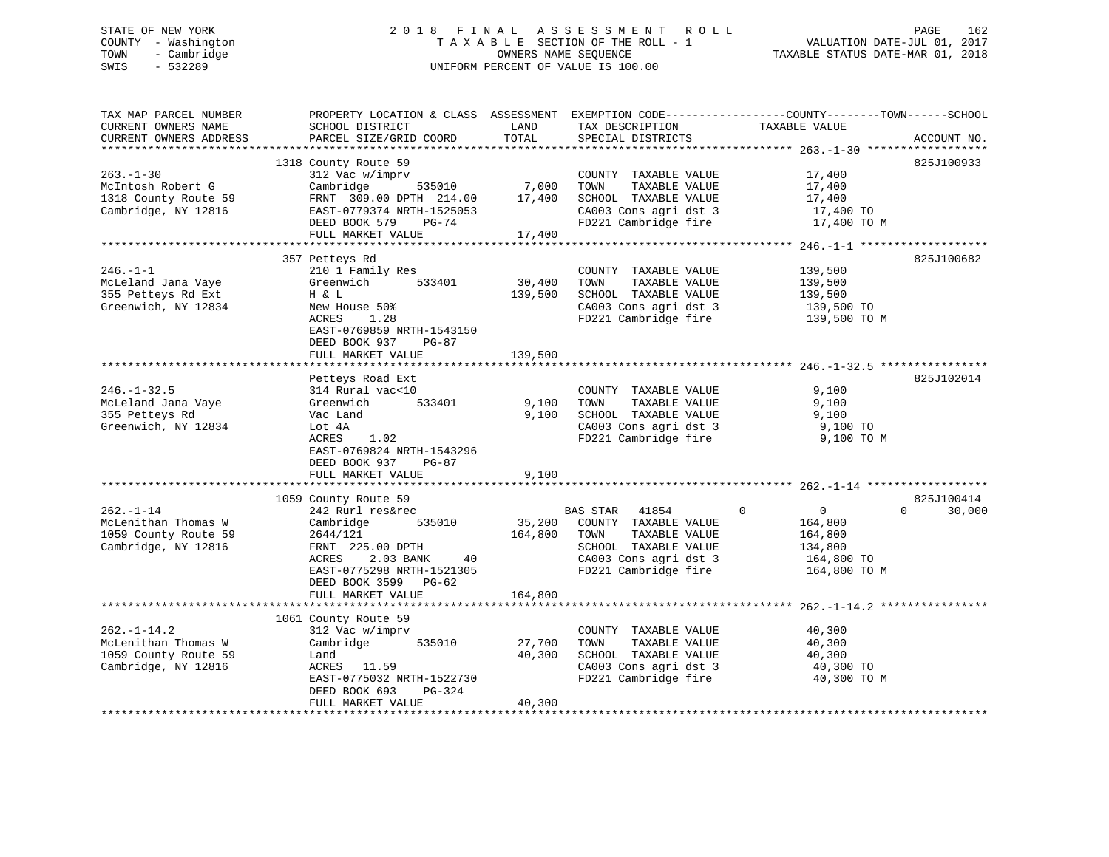# STATE OF NEW YORK 2 0 1 8 F I N A L A S S E S S M E N T R O L L PAGE 162 COUNTY - Washington T A X A B L E SECTION OF THE ROLL - 1 VALUATION DATE-JUL 01, 2017 TOWN - Cambridge OWNERS NAME SEQUENCE TAXABLE STATUS DATE-MAR 01, 2018 SWIS - 532289 UNIFORM PERCENT OF VALUE IS 100.00

| TAX MAP PARCEL NUMBER<br>CURRENT OWNERS NAME<br>CURRENT OWNERS ADDRESS                  | SCHOOL DISTRICT<br>PARCEL SIZE/GRID COORD                                                                                                                                     | LAND<br>TOTAL                | TAX DESCRIPTION<br>SPECIAL DISTRICTS                                                                                                        | PROPERTY LOCATION & CLASS ASSESSMENT EXEMPTION CODE---------------COUNTY-------TOWN-----SCHOOL<br>TAXABLE VALUE | ACCOUNT NO.        |
|-----------------------------------------------------------------------------------------|-------------------------------------------------------------------------------------------------------------------------------------------------------------------------------|------------------------------|---------------------------------------------------------------------------------------------------------------------------------------------|-----------------------------------------------------------------------------------------------------------------|--------------------|
|                                                                                         |                                                                                                                                                                               |                              |                                                                                                                                             |                                                                                                                 |                    |
| $263. - 1 - 30$<br>McIntosh Robert G<br>1318 County Route 59<br>Cambridge, NY 12816     | 1318 County Route 59<br>312 Vac w/imprv<br>Cambridge<br>535010<br>FRNT 309.00 DPTH 214.00<br>EAST-0779374 NRTH-1525053<br>DEED BOOK 579<br>PG-74                              | 7,000<br>17,400              | COUNTY TAXABLE VALUE<br>TOWN<br>TAXABLE VALUE<br>SCHOOL TAXABLE VALUE<br>CA003 Cons agri dst 3<br>FD221 Cambridge fire                      | 17,400<br>17,400<br>17,400<br>17,400 TO<br>17,400 TO M                                                          | 825J100933         |
|                                                                                         | FULL MARKET VALUE                                                                                                                                                             | 17,400                       |                                                                                                                                             |                                                                                                                 |                    |
| $246. - 1 - 1$<br>McLeland Jana Vaye<br>355 Petteys Rd Ext<br>Greenwich, NY 12834       | 357 Petteys Rd<br>210 1 Family Res<br>Greenwich<br>533401<br>H & L<br>New House 50%<br>ACRES<br>1.28<br>EAST-0769859 NRTH-1543150<br>DEED BOOK 937<br>$PG-87$                 | 30,400<br>139,500            | COUNTY TAXABLE VALUE<br>TOWN<br>TAXABLE VALUE<br>SCHOOL TAXABLE VALUE<br>CA003 Cons agri dst 3<br>FD221 Cambridge fire                      | 139,500<br>139,500<br>139,500<br>139,500 TO<br>139,500 TO M                                                     | 825J100682         |
|                                                                                         | FULL MARKET VALUE                                                                                                                                                             | 139,500                      |                                                                                                                                             |                                                                                                                 |                    |
| $246. - 1 - 32.5$<br>McLeland Jana Vaye<br>355 Petteys Rd<br>Greenwich, NY 12834        | Petteys Road Ext<br>314 Rural vac<10<br>533401<br>Greenwich<br>Vac Land<br>Lot 4A<br>ACRES<br>1.02<br>EAST-0769824 NRTH-1543296<br>DEED BOOK 937 PG-87<br>FULL MARKET VALUE   | 9,100<br>9,100<br>9,100      | COUNTY TAXABLE VALUE<br>TAXABLE VALUE<br>TOWN<br>SCHOOL TAXABLE VALUE<br>CA003 Cons agri dst 3<br>FD221 Cambridge fire                      | 9,100<br>9,100<br>9,100<br>9,100 TO<br>9,100 TO M                                                               | 825J102014         |
|                                                                                         | 1059 County Route 59                                                                                                                                                          |                              |                                                                                                                                             |                                                                                                                 | 825J100414         |
| $262. -1 - 14$<br>McLenithan Thomas W<br>1059 County Route 59<br>Cambridge, NY 12816    | 242 Rurl res&rec<br>Cambridge<br>535010<br>2644/121<br>FRNT 225.00 DPTH<br>ACRES<br>2.03 BANK<br>40<br>EAST-0775298 NRTH-1521305<br>DEED BOOK 3599 PG-62<br>FULL MARKET VALUE | 35,200<br>164,800<br>164,800 | BAS STAR<br>41854<br>COUNTY TAXABLE VALUE<br>TOWN<br>TAXABLE VALUE<br>SCHOOL TAXABLE VALUE<br>CA003 Cons agri dst 3<br>FD221 Cambridge fire | $\mathbf 0$<br>$\overline{0}$<br>164,800<br>164,800<br>134,800<br>164,800 TO<br>164,800 TO M                    | 30,000<br>$\Omega$ |
|                                                                                         |                                                                                                                                                                               |                              |                                                                                                                                             |                                                                                                                 |                    |
| $262. - 1 - 14.2$<br>McLenithan Thomas W<br>1059 County Route 59<br>Cambridge, NY 12816 | 1061 County Route 59<br>312 Vac w/imprv<br>Cambridge<br>535010<br>Land<br>ACRES 11.59<br>EAST-0775032 NRTH-1522730<br>DEED BOOK 693<br>PG-324<br>FULL MARKET VALUE            | 27,700<br>40,300<br>40,300   | COUNTY TAXABLE VALUE<br>TOWN<br>TAXABLE VALUE<br>SCHOOL TAXABLE VALUE<br>CA003 Cons agri dst 3<br>FD221 Cambridge fire                      | 40,300<br>40,300<br>40,300<br>40,300 TO<br>40,300 TO M                                                          |                    |
|                                                                                         |                                                                                                                                                                               |                              |                                                                                                                                             |                                                                                                                 |                    |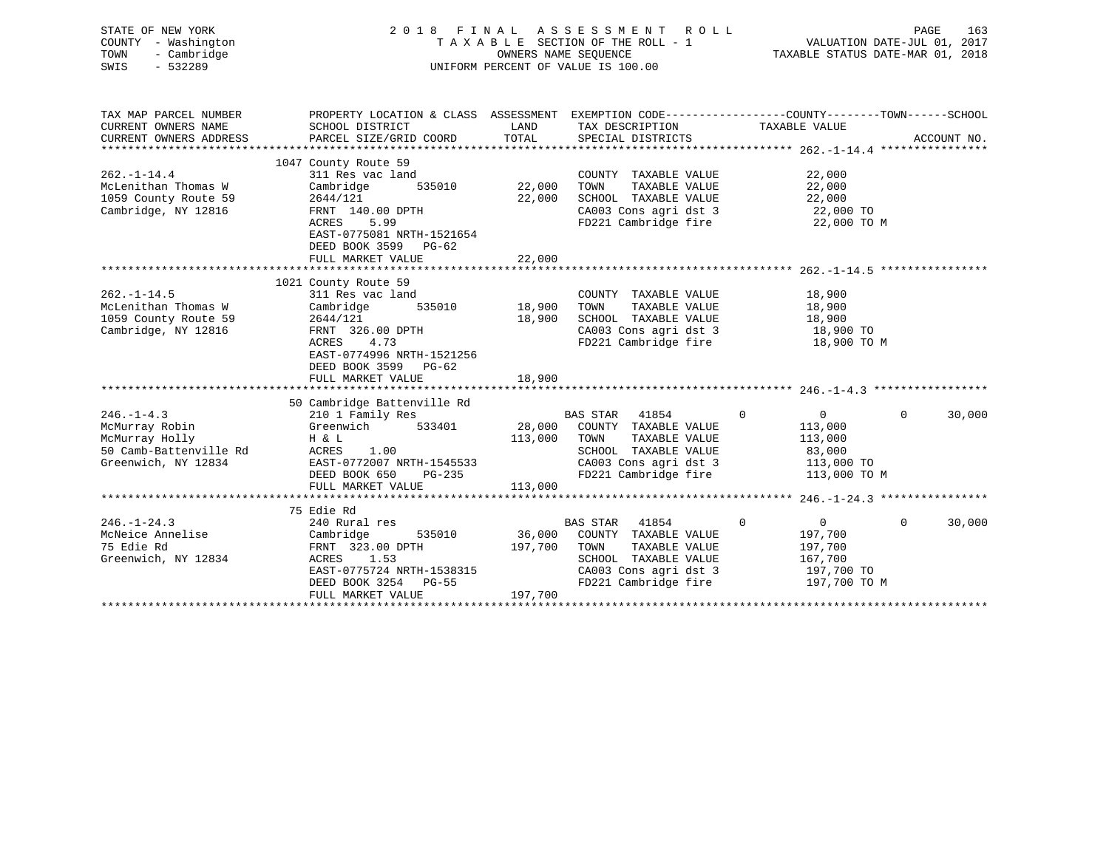| STATE OF NEW YORK<br>COUNTY - Washington<br>- Cambridge<br>TOWN<br>SWIS<br>$-532289$                 | 2018 FINAL ASSESSMENT ROLL<br>TAXABLE SECTION OF THE ROLL - 1<br>UNIFORM PERCENT OF VALUE IS 100.00                                                                                        | VALUATION DATE-JUL 01, 2017<br>TAXABLE STATUS DATE-MAR 01, 2018 | PAGE<br>163                                                                                                                                         |                                                                                           |                    |
|------------------------------------------------------------------------------------------------------|--------------------------------------------------------------------------------------------------------------------------------------------------------------------------------------------|-----------------------------------------------------------------|-----------------------------------------------------------------------------------------------------------------------------------------------------|-------------------------------------------------------------------------------------------|--------------------|
| TAX MAP PARCEL NUMBER<br>CURRENT OWNERS NAME<br>CURRENT OWNERS ADDRESS                               | PROPERTY LOCATION & CLASS ASSESSMENT EXEMPTION CODE----------------COUNTY-------TOWN------SCHOOL<br>SCHOOL DISTRICT<br>PARCEL SIZE/GRID COORD                                              | LAND<br>TOTAL                                                   | TAX DESCRIPTION TAXABLE VALUE<br>SPECIAL DISTRICTS                                                                                                  |                                                                                           | ACCOUNT NO.        |
| $262. - 1 - 14.4$<br>McLenithan Thomas W<br>1059 County Route 59<br>Cambridge, NY 12816              | 1047 County Route 59<br>311 Res vac land<br>535010<br>Cambridge<br>2644/121<br>FRNT 140.00 DPTH<br>ACRES<br>5.99<br>EAST-0775081 NRTH-1521654<br>DEED BOOK 3599 PG-62<br>FULL MARKET VALUE | 22,000<br>22,000<br>22,000                                      | COUNTY TAXABLE VALUE<br>TAXABLE VALUE<br>TOWN<br>SCHOOL TAXABLE VALUE<br>CA003 Cons agri dst 3<br>FD221 Cambridge fire                              | 22,000<br>22,000<br>22,000<br>22,000 TO<br>22,000 TO M                                    |                    |
| $262. - 1 - 14.5$<br>McLenithan Thomas W<br>1059 County Route 59<br>Cambridge, NY 12816              | 1021 County Route 59<br>311 Res vac land<br>535010<br>Cambridge<br>2644/121<br>FRNT 326.00 DPTH<br>ACRES<br>4.73<br>EAST-0774996 NRTH-1521256<br>DEED BOOK 3599 PG-62<br>FULL MARKET VALUE | 18,900<br>18,900<br>18,900                                      | COUNTY TAXABLE VALUE<br>TOWN<br>TAXABLE VALUE<br>SCHOOL TAXABLE VALUE<br>CA003 Cons agri dst 3<br>FD221 Cambridge fire                              | 18,900<br>18,900<br>18,900<br>18,900 TO<br>18,900 TO M                                    |                    |
| $246. -1 - 4.3$<br>McMurray Robin<br>McMurray Holly<br>50 Camb-Battenville Rd<br>Greenwich, NY 12834 | 50 Cambridge Battenville Rd<br>210 1 Family Res<br>Greenwich 533401<br>H & L<br>ACRES<br>1.00<br>EAST-0772007 NRTH-1545533<br>DEED BOOK 650<br>PG-235<br>FULL MARKET VALUE                 | 28,000<br>113,000<br>113,000                                    | BAS STAR 41854<br>COUNTY TAXABLE VALUE<br>TAXABLE VALUE<br>TOWN<br>SCHOOL TAXABLE VALUE<br>CA003 Cons agri dst 3 113,000 TO<br>FD221 Cambridge fire | $\mathbf 0$<br>$0 \qquad \qquad$<br>113,000<br>113,000<br>83,000<br>113,000 TO M          | $\Omega$<br>30,000 |
| $246. - 1 - 24.3$<br>McNeice Annelise<br>75 Edie Rd<br>Greenwich, NY 12834                           | 75 Edie Rd<br>240 Rural res<br>Cambridge<br>535010<br>FRNT 323.00 DPTH<br>1.53<br>ACRES<br>EAST-0775724 NRTH-1538315<br>DEED BOOK 3254 PG-55<br>FULL MARKET VALUE                          | 36,000<br>197,700<br>197,700                                    | BAS STAR 41854<br>COUNTY TAXABLE VALUE<br>TAXABLE VALUE<br>TOWN<br>SCHOOL TAXABLE VALUE<br>CA003 Cons agri dst 3<br>FD221 Cambridge fire            | $\Omega$<br>$\overline{0}$<br>197,700<br>197,700<br>167,700<br>197,700 TO<br>197,700 TO M | $\Omega$<br>30,000 |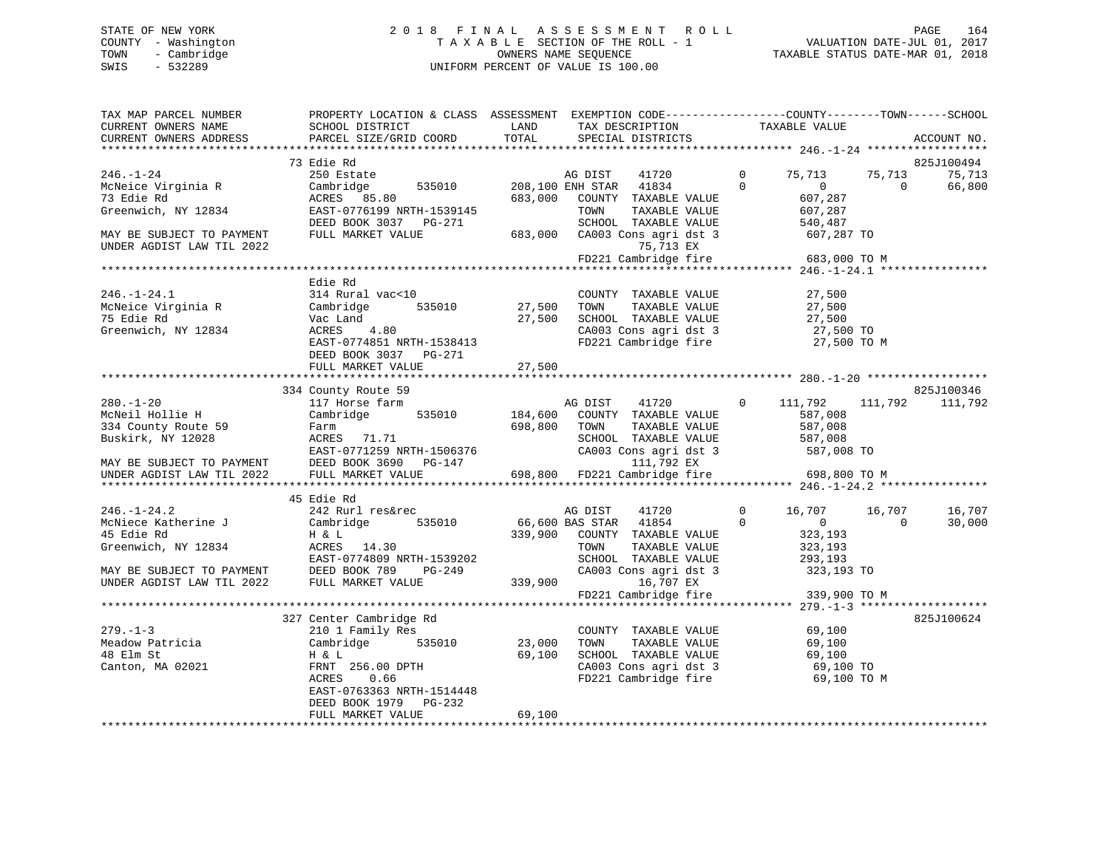# STATE OF NEW YORK 2 0 1 8 F I N A L A S S E S S M E N T R O L L PAGE 164 COUNTY - Washington T A X A B L E SECTION OF THE ROLL - 1 VALUATION DATE-JUL 01, 2017 TOWN - Cambridge OWNERS NAME SEQUENCE TAXABLE STATUS DATE-MAR 01, 2018 SWIS - 532289 UNIFORM PERCENT OF VALUE IS 100.00

| TAX MAP PARCEL NUMBER<br>CURRENT OWNERS NAME<br>CURRENT OWNERS ADDRESS                                                   | PROPERTY LOCATION & CLASS ASSESSMENT EXEMPTION CODE----------------COUNTY-------TOWN------SCHOOL<br>SCHOOL DISTRICT<br>PARCEL SIZE/GRID COORD                                               | LAND<br>TOTAL              | TAX DESCRIPTION<br>SPECIAL DISTRICTS                                                                                                                 |                          | TAXABLE VALUE                                                         |                    | ACCOUNT NO.                    |
|--------------------------------------------------------------------------------------------------------------------------|---------------------------------------------------------------------------------------------------------------------------------------------------------------------------------------------|----------------------------|------------------------------------------------------------------------------------------------------------------------------------------------------|--------------------------|-----------------------------------------------------------------------|--------------------|--------------------------------|
|                                                                                                                          |                                                                                                                                                                                             |                            |                                                                                                                                                      |                          |                                                                       |                    |                                |
| $246. - 1 - 24$<br>McNeice Virginia R<br>73 Edie Rd<br>Greenwich, NY 12834<br>MAY BE SUBJECT TO PAYMENT                  | 73 Edie Rd<br>250 Estate<br>Cambridge<br>535010<br>ACRES 85.80<br>EAST-0776199 NRTH-1539145<br>DEED BOOK 3037 PG-271<br>FULL MARKET VALUE                                                   | 683,000                    | AG DIST<br>41720<br>208,100 ENH STAR 41834<br>COUNTY TAXABLE VALUE<br>TOWN<br>TAXABLE VALUE<br>SCHOOL TAXABLE VALUE<br>683,000 CA003 Cons agri dst 3 | $\mathbf{0}$<br>$\Omega$ | 75,713<br>$\mathbf{0}$<br>607,287<br>607,287<br>540,487<br>607,287 TO | 75,713<br>$\Omega$ | 825J100494<br>75,713<br>66,800 |
| UNDER AGDIST LAW TIL 2022                                                                                                |                                                                                                                                                                                             |                            | 75,713 EX<br>FD221 Cambridge fire                                                                                                                    |                          | 683,000 TO M                                                          |                    |                                |
|                                                                                                                          |                                                                                                                                                                                             |                            |                                                                                                                                                      |                          |                                                                       |                    |                                |
| $246. - 1 - 24.1$<br>McNeice Virginia R<br>75 Edie Rd<br>Greenwich, NY 12834                                             | Edie Rd<br>314 Rural vac<10<br>535010<br>Cambridge<br>Vac Land<br>ACRES<br>4.80<br>EAST-0774851 NRTH-1538413<br>DEED BOOK 3037 PG-271<br>FULL MARKET VALUE                                  | 27,500<br>27,500<br>27,500 | COUNTY TAXABLE VALUE<br>TOWN<br>TAXABLE VALUE<br>SCHOOL TAXABLE VALUE<br>CA003 Cons agri dst 3<br>FD221 Cambridge fire                               |                          | 27,500<br>27,500<br>27,500<br>27,500 TO<br>27,500 TO M                |                    |                                |
|                                                                                                                          |                                                                                                                                                                                             |                            |                                                                                                                                                      |                          |                                                                       |                    |                                |
|                                                                                                                          | 334 County Route 59                                                                                                                                                                         |                            |                                                                                                                                                      |                          |                                                                       |                    | 825J100346                     |
| $280. - 1 - 20$<br>McNeil Hollie H<br>334 County Route 59<br>Buskirk, NY 12028<br>MAY BE SUBJECT TO PAYMENT              | 117 Horse farm<br>535010<br>Cambridge<br>Farm<br>ACRES 71.71<br>EAST-0771259 NRTH-1506376<br>DEED BOOK 3690 PG-147<br>DEED BOOK 3690 PG-147                                                 | 184,600<br>698,800         | AG DIST<br>41720<br>COUNTY TAXABLE VALUE<br>TOWN<br>TAXABLE VALUE<br>SCHOOL TAXABLE VALUE<br>CA003 Cons agri dst 3<br>111,792 EX                     | $\overline{0}$           | 111,792<br>587,008<br>587,008<br>587,008<br>587,008 TO                | 111,792            | 111,792                        |
| UNDER AGDIST LAW TIL 2022                                                                                                | FULL MARKET VALUE                                                                                                                                                                           |                            | 698,800 FD221 Cambridge fire 698,800 TO M                                                                                                            |                          |                                                                       |                    |                                |
|                                                                                                                          | 45 Edie Rd                                                                                                                                                                                  |                            |                                                                                                                                                      |                          |                                                                       |                    |                                |
| $246. - 1 - 24.2$<br>McNiece Katherine J<br>45 Edie Rd<br>Greenwich, NY 12834<br>MAY BE SUBJECT TO PAYMENT DEED BOOK 789 | 242 Rurl res&rec<br>Cambridge 535010<br>H & L<br>ACRES 14.30<br>EAST-0774809 NRTH-1539202<br>PG-249                                                                                         | 66,600 BAS STAR            | AG DIST<br>41720<br>41854<br>339,900 COUNTY TAXABLE VALUE<br>TOWN<br>TAXABLE VALUE<br>SCHOOL TAXABLE VALUE<br>$CAO03$ Cons agri dst 3                | $\mathbf{0}$<br>$\Omega$ | 16,707<br>$\Omega$<br>323,193<br>323,193<br>293,193<br>323,193 TO     | 16,707<br>$\Omega$ | 16,707<br>30,000               |
| UNDER AGDIST LAW TIL 2022                                                                                                | FULL MARKET VALUE                                                                                                                                                                           | 339,900                    | 16,707 EX                                                                                                                                            |                          |                                                                       |                    |                                |
|                                                                                                                          |                                                                                                                                                                                             |                            | FD221 Cambridge fire                                                                                                                                 |                          | 339,900 TO M                                                          |                    |                                |
|                                                                                                                          |                                                                                                                                                                                             |                            |                                                                                                                                                      |                          |                                                                       |                    |                                |
| $279. - 1 - 3$<br>Meadow Patricia<br>48 Elm St<br>Canton, MA 02021                                                       | 327 Center Cambridge Rd<br>210 1 Family Res<br>535010<br>Cambridge<br>H & L<br>FRNT 256.00 DPTH<br>ACRES<br>0.66<br>EAST-0763363 NRTH-1514448<br>DEED BOOK 1979 PG-232<br>FULL MARKET VALUE | 23,000<br>69,100<br>69,100 | COUNTY TAXABLE VALUE<br>TOWN<br>TAXABLE VALUE<br>SCHOOL TAXABLE VALUE<br>CA003 Cons agri dst 3<br>FD221 Cambridge fire                               |                          | 69,100<br>69,100<br>69,100<br>69,100 TO<br>69,100 TO M                |                    | 825J100624                     |
|                                                                                                                          |                                                                                                                                                                                             |                            |                                                                                                                                                      |                          |                                                                       |                    |                                |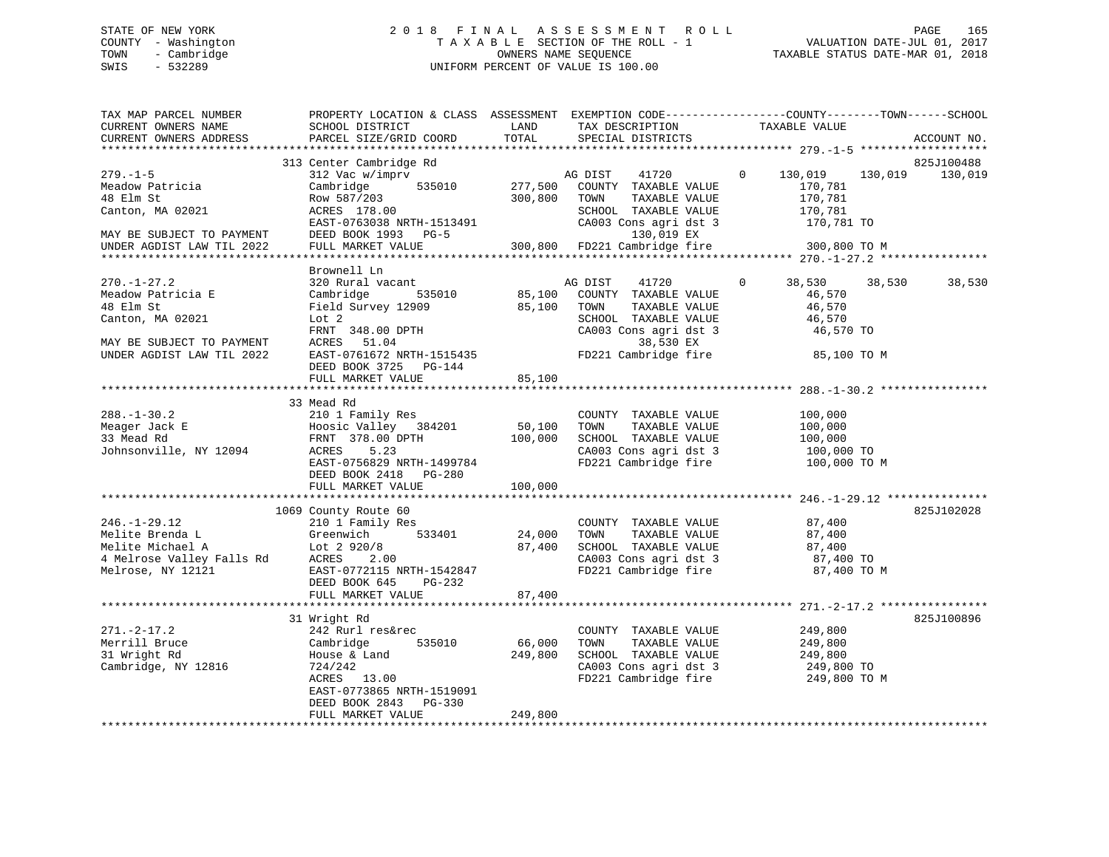# STATE OF NEW YORK 2 0 1 8 F I N A L A S S E S S M E N T R O L L PAGE 165 COUNTY - Washington T A X A B L E SECTION OF THE ROLL - 1 VALUATION DATE-JUL 01, 2017 TOWN - Cambridge OWNERS NAME SEQUENCE TAXABLE STATUS DATE-MAR 01, 2018 SWIS - 532289 UNIFORM PERCENT OF VALUE IS 100.00

| TAX MAP PARCEL NUMBER<br>CURRENT OWNERS NAME<br>CURRENT OWNERS ADDRESS                                                                                         | PROPERTY LOCATION & CLASS ASSESSMENT EXEMPTION CODE----------------COUNTY-------TOWN------SCHOOL<br>SCHOOL DISTRICT<br>PARCEL SIZE/GRID COORD                                                                                      | LAND<br>TOTAL                | TAX DESCRIPTION<br>SPECIAL DISTRICTS                                                                                                                                       | TAXABLE VALUE                                                                           | ACCOUNT NO.                      |
|----------------------------------------------------------------------------------------------------------------------------------------------------------------|------------------------------------------------------------------------------------------------------------------------------------------------------------------------------------------------------------------------------------|------------------------------|----------------------------------------------------------------------------------------------------------------------------------------------------------------------------|-----------------------------------------------------------------------------------------|----------------------------------|
|                                                                                                                                                                |                                                                                                                                                                                                                                    |                              |                                                                                                                                                                            |                                                                                         |                                  |
| $279. - 1 - 5$<br>Meadow Patricia<br>48 Elm St<br>Canton, MA 02021<br>MAY BE SUBJECT TO PAYMENT<br>UNDER AGDIST LAW TIL 2022                                   | 313 Center Cambridge Rd<br>312 Vac w/imprv<br>535010<br>Cambridge<br>Row 587/203<br>ACRES 178.00<br>ACRES 178.00<br>EAST-0763038 NRTH-1513491                                                                                      | 300,800                      | AG DIST 41720<br>277,500 COUNTY TAXABLE VALUE<br>TOWN<br>TAXABLE VALUE<br><b>TOWN TAXABLE VALUE</b><br>SCHOOL TAXABLE VALUE<br>CA003 Cons agri dst 3 170,781 TO 130,019 EX | $\overline{0}$<br>130,019<br>170,781<br>170,781<br>170,781<br>170,781                   | 825J100488<br>130,019<br>130,019 |
|                                                                                                                                                                | Brownell Ln                                                                                                                                                                                                                        |                              |                                                                                                                                                                            |                                                                                         |                                  |
| $270. - 1 - 27.2$<br>Meadow Patricia E<br>48 Elm St<br>Canton, MA 02021<br>MAY BE SUBJECT TO PAYMENT<br>UNDER AGDIST LAW TIL 2022<br>UNDER AGDIST LAW TIL 2022 | 320 Rural vacant<br>Cambridge<br>Field Survey 12909 85,100 TOWN<br>Lot 2<br>FRNT 348.00 DPTH<br>ACRES 51.04<br>ACRES 51.04<br>EAST-0761672 NRTH-1515435<br>EAST-0761672 NRTH-1515435 FD221 Cambridge fire<br>DEED BOOK 3725 PG-144 |                              | AG DIST<br>41720<br>535010 85,100 COUNTY TAXABLE VALUE<br>TOWN      TAXABLE  VALUE<br>SCHOOL   TAXABLE  VALUE<br>CA003 Cons agri dst 3<br>38,530 EX                        | 38,530 38,530<br>$\mathbf{0}$<br>46,570<br>46,570<br>46,570<br>46,570 TO<br>85,100 TO M | 38,530                           |
|                                                                                                                                                                | FULL MARKET VALUE                                                                                                                                                                                                                  | 85,100                       |                                                                                                                                                                            |                                                                                         |                                  |
|                                                                                                                                                                | 33 Mead Rd                                                                                                                                                                                                                         |                              |                                                                                                                                                                            |                                                                                         |                                  |
| $288. - 1 - 30.2$<br>Meager Jack E<br>33 Mead Rd<br>Johnsonville, NY 12094 ACRES                                                                               | 210 1 Family Res<br>Hoosic Valley 384201 50,100<br>FRNT 378.00 DPTH 100,000<br>5.23<br>EAST-0756829 NRTH-1499784<br>DEED BOOK 2418 PG-280                                                                                          | 100,000                      | COUNTY TAXABLE VALUE<br>TOWN<br>SCHOOL TAXABLE VALUE<br>CA003 Cons agri dst 3<br>The 100,000 TO<br>The 100,000 TO M<br>The 100,000 TO M                                    | 100,000<br>TAXABLE VALUE 100,000<br>100,000                                             |                                  |
|                                                                                                                                                                | FULL MARKET VALUE                                                                                                                                                                                                                  | 100,000                      |                                                                                                                                                                            |                                                                                         |                                  |
|                                                                                                                                                                |                                                                                                                                                                                                                                    |                              |                                                                                                                                                                            |                                                                                         |                                  |
|                                                                                                                                                                | 1069 County Route 60<br>246.-1-29.12<br>Melite Brenda L (210 1 Family Res<br>Melite Michael A (3290/8) 24,000<br>4 Melrose Valley Falls Rd (2920/8) 87,400<br>Melrose, NY 12121 EAST-0772115 NRTH-1542847                          |                              | COUNTY TAXABLE VALUE<br>TOWN<br>SCHOOL TAXABLE VALUE<br>CA003 Cons agri dst 3 87,400 TO<br>FD221 Cambridge fire                                                            | 87,400<br>TAXABLE VALUE 87,400<br>87,400<br>87,400 TO M                                 | 825J102028                       |
|                                                                                                                                                                | DEED BOOK 645 PG-232<br>FULL MARKET VALUE                                                                                                                                                                                          | 87,400                       |                                                                                                                                                                            |                                                                                         |                                  |
|                                                                                                                                                                |                                                                                                                                                                                                                                    |                              |                                                                                                                                                                            |                                                                                         |                                  |
| $271. - 2 - 17.2$<br>Merrill Bruce<br>Cambridge<br>31 Wright Rd<br>Cambridge, NY 12816                                                                         | 31 Wright Rd<br>242 Rurl res&rec<br>535010<br>House & Land<br>724/242<br>ACRES 13.00<br>EAST-0773865 NRTH-1519091<br>DEED BOOK 2843 PG-330<br>FULL MARKET VALUE                                                                    | 66,000<br>249,800<br>249,800 | COUNTY TAXABLE VALUE<br>TOWN<br>SCHOOL TAXABLE VALUE<br>CA003 Cons agri dst 3 249,800 TO<br>FD221 Cambridge fire 249,800 TO M                                              | 249,800<br>TAXABLE VALUE 249,800<br>TAXABLE VALUE 249,800                               | 825J100896                       |
|                                                                                                                                                                |                                                                                                                                                                                                                                    |                              |                                                                                                                                                                            |                                                                                         |                                  |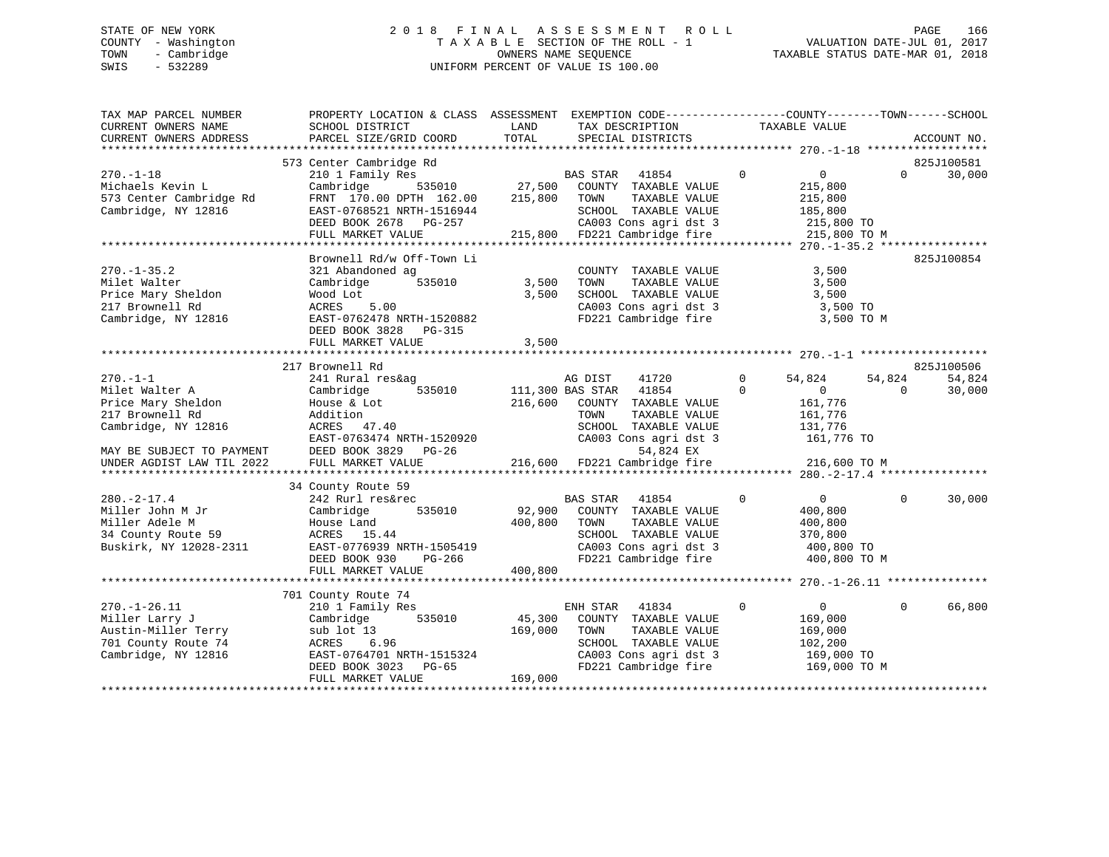# STATE OF NEW YORK 2 0 1 8 F I N A L A S S E S S M E N T R O L L PAGE 166 COUNTY - Washington T A X A B L E SECTION OF THE ROLL - 1 VALUATION DATE-JUL 01, 2017 TOWN - Cambridge OWNERS NAME SEQUENCE TAXABLE STATUS DATE-MAR 01, 2018 SWIS - 532289 UNIFORM PERCENT OF VALUE IS 100.00

| TAX MAP PARCEL NUMBER<br>CURRENT OWNERS NAME                                                                                                              | PROPERTY LOCATION & CLASS ASSESSMENT<br>SCHOOL DISTRICT                                                                                                                         | LAND                         | EXEMPTION CODE-----------------COUNTY-------TOWN------SCHOOL<br>TAX DESCRIPTION                                                                                                      | TAXABLE VALUE                                                                                      |                                        |
|-----------------------------------------------------------------------------------------------------------------------------------------------------------|---------------------------------------------------------------------------------------------------------------------------------------------------------------------------------|------------------------------|--------------------------------------------------------------------------------------------------------------------------------------------------------------------------------------|----------------------------------------------------------------------------------------------------|----------------------------------------|
| CURRENT OWNERS ADDRESS                                                                                                                                    | PARCEL SIZE/GRID COORD                                                                                                                                                          | TOTAL                        | SPECIAL DISTRICTS                                                                                                                                                                    |                                                                                                    | ACCOUNT NO.                            |
|                                                                                                                                                           | 573 Center Cambridge Rd                                                                                                                                                         |                              |                                                                                                                                                                                      |                                                                                                    | 825J100581                             |
| $270. - 1 - 18$<br>Michaels Kevin L<br>573 Center Cambridge Rd<br>Cambridge, NY 12816                                                                     | 210 1 Family Res<br>Cambridge<br>535010<br>FRNT 170.00 DPTH 162.00<br>EAST-0768521 NRTH-1516944<br>DEED BOOK 2678 PG-257<br>FULL MARKET VALUE                                   | 27,500<br>215,800            | BAS STAR 41854<br>COUNTY TAXABLE VALUE<br>TOWN<br>TAXABLE VALUE<br>SCHOOL TAXABLE VALUE<br>CA003 Cons agri dst 3<br>215,800 FD221 Cambridge fire                                     | $\mathbf 0$<br>$\overline{0}$<br>215,800<br>215,800<br>185,800<br>215,800 TO<br>215,800 TO M       | $\Omega$<br>30,000                     |
|                                                                                                                                                           |                                                                                                                                                                                 |                              |                                                                                                                                                                                      |                                                                                                    |                                        |
| $270. - 1 - 35.2$<br>Milet Walter<br>Price Mary Sheldon<br>217 Brownell Rd<br>Cambridge, NY 12816                                                         | Brownell Rd/w Off-Town Li<br>321 Abandoned ag<br>Cambridge<br>535010<br>Wood Lot<br>ACRES<br>5.00<br>EAST-0762478 NRTH-1520882<br>DEED BOOK 3828<br>PG-315<br>FULL MARKET VALUE | 3,500<br>3,500<br>3,500      | COUNTY TAXABLE VALUE<br>TAXABLE VALUE<br>TOWN<br>SCHOOL TAXABLE VALUE<br>CA003 Cons agri dst 3<br>FD221 Cambridge fire                                                               | 3,500<br>3,500<br>3,500<br>3,500 TO<br>3,500 TO M                                                  | 825J100854                             |
|                                                                                                                                                           | 217 Brownell Rd                                                                                                                                                                 |                              |                                                                                                                                                                                      |                                                                                                    | 825J100506                             |
| $270. -1 - 1$<br>Milet Walter A<br>Price Mary Sheldon<br>217 Brownell Rd<br>Cambridge, NY 12816<br>MAY BE SUBJECT TO PAYMENT<br>UNDER AGDIST LAW TIL 2022 | 241 Rural res&ag<br>Cambridge<br>535010<br>House & Lot<br>Addition<br>ACRES 47.40<br>EAST-0763474 NRTH-1520920<br>DEED BOOK 3829 PG-26<br>FULL MARKET VALUE                     | 216,600<br>216,600           | 41720<br>AG DIST<br>41854<br>111,300 BAS STAR<br>COUNTY TAXABLE VALUE<br>TAXABLE VALUE<br>TOWN<br>SCHOOL TAXABLE VALUE<br>CA003 Cons agri dst 3<br>54,824 EX<br>FD221 Cambridge fire | $\Omega$<br>54,824<br>$\Omega$<br>0<br>161,776<br>161,776<br>131,776<br>161,776 TO<br>216,600 TO M | 54,824<br>54,824<br>$\Omega$<br>30,000 |
| $280. -2 - 17.4$<br>Miller John M Jr<br>Miller Adele M<br>34 County Route 59<br>Buskirk, NY 12028-2311                                                    | 34 County Route 59<br>242 Rurl res&rec<br>Cambridge<br>535010<br>House Land<br>ACRES 15.44<br>EAST-0776939 NRTH-1505419<br>PG-266<br>DEED BOOK 930<br>FULL MARKET VALUE         | 92,900<br>400,800<br>400,800 | BAS STAR<br>41854<br>COUNTY TAXABLE VALUE<br>TAXABLE VALUE<br>TOWN<br>SCHOOL TAXABLE VALUE<br>CA003 Cons agri dst 3<br>FD221 Cambridge fire                                          | $\mathbf 0$<br>$\overline{0}$<br>400,800<br>400,800<br>370,800<br>400,800 TO<br>400,800 TO M       | $\Omega$<br>30,000                     |
|                                                                                                                                                           |                                                                                                                                                                                 |                              |                                                                                                                                                                                      |                                                                                                    |                                        |
| $270. - 1 - 26.11$<br>Miller Larry J<br>Austin-Miller Terry<br>701 County Route 74<br>Cambridge, NY 12816                                                 | 701 County Route 74<br>210 1 Family Res<br>535010<br>Cambridge<br>sub lot 13<br>ACRES<br>6.96<br>EAST-0764701 NRTH-1515324<br>DEED BOOK 3023<br>PG-65<br>FULL MARKET VALUE      | 45,300<br>169,000<br>169,000 | 41834<br>ENH STAR<br>COUNTY TAXABLE VALUE<br>TOWN<br>TAXABLE VALUE<br>SCHOOL TAXABLE VALUE<br>CA003 Cons agri dst 3<br>FD221 Cambridge fire                                          | $\mathbf 0$<br>$\overline{0}$<br>169,000<br>169,000<br>102,200<br>169,000 TO<br>169,000 TO M       | 66,800<br>$\mathbf{0}$                 |
|                                                                                                                                                           |                                                                                                                                                                                 |                              |                                                                                                                                                                                      |                                                                                                    |                                        |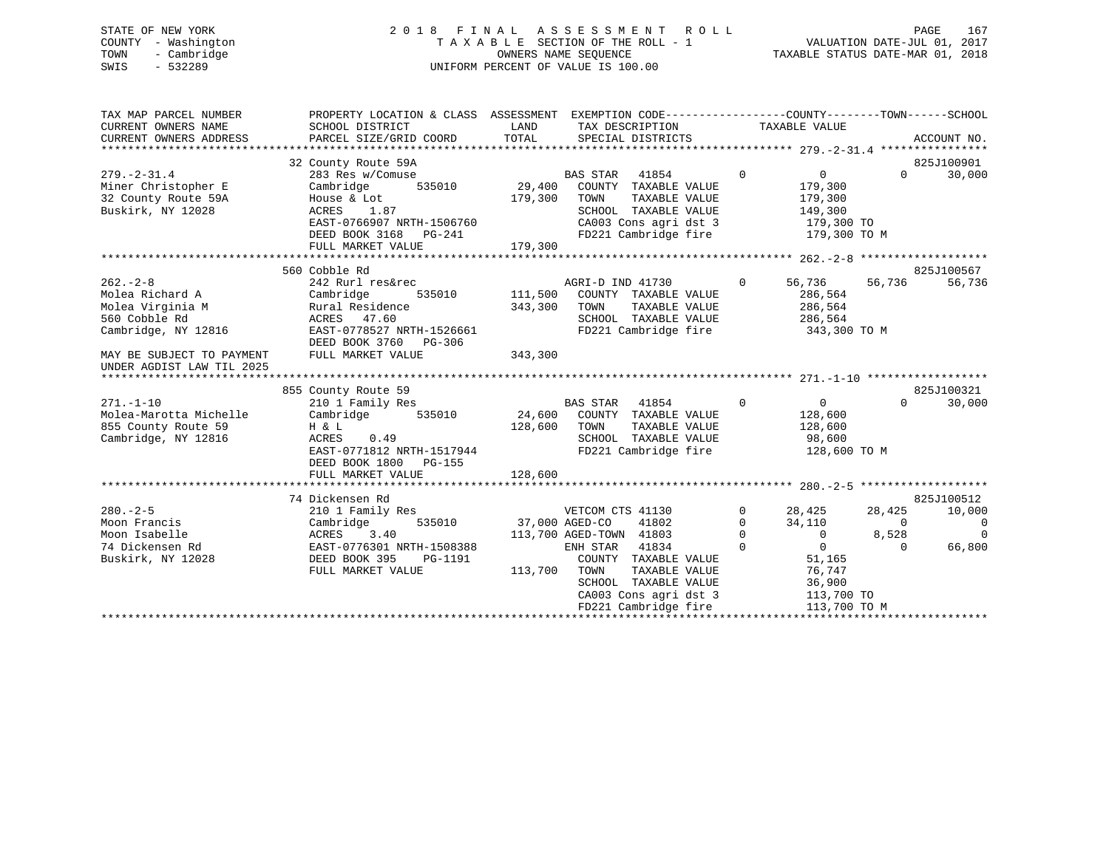# STATE OF NEW YORK 2 0 1 8 F I N A L A S S E S S M E N T R O L L PAGE 167 COUNTY - Washington T A X A B L E SECTION OF THE ROLL - 1 VALUATION DATE-JUL 01, 2017 TOWN - Cambridge OWNERS NAME SEQUENCE TAXABLE STATUS DATE-MAR 01, 2018 SWIS - 532289 UNIFORM PERCENT OF VALUE IS 100.00

| TAX MAP PARCEL NUMBER<br>CURRENT OWNERS NAME<br>CURRENT OWNERS ADDRESS                                                    | PROPERTY LOCATION & CLASS ASSESSMENT EXEMPTION CODE---------------COUNTY-------TOWN-----SCHOOL<br>SCHOOL DISTRICT<br>PARCEL SIZE/GRID COORD                               | LAND<br>TOTAL                 | TAX DESCRIPTION<br>SPECIAL DISTRICTS                                                                                                                                                                                  |                                                        | TAXABLE VALUE                                                                                                    |                                         | ACCOUNT NO.                                        |
|---------------------------------------------------------------------------------------------------------------------------|---------------------------------------------------------------------------------------------------------------------------------------------------------------------------|-------------------------------|-----------------------------------------------------------------------------------------------------------------------------------------------------------------------------------------------------------------------|--------------------------------------------------------|------------------------------------------------------------------------------------------------------------------|-----------------------------------------|----------------------------------------------------|
| $279. - 2 - 31.4$<br>Miner Christopher E<br>32 County Route 59A<br>Buskirk, NY 12028                                      | 32 County Route 59A<br>283 Res w/Comuse<br>535010<br>Cambridge<br>House & Lot<br>1.87<br>ACRES<br>EAST-0766907 NRTH-1506760<br>DEED BOOK 3168 PG-241<br>FULL MARKET VALUE | 29,400<br>179,300<br>179,300  | <b>BAS STAR</b><br>41854<br>COUNTY TAXABLE VALUE<br>TAXABLE VALUE<br>TOWN<br>SCHOOL TAXABLE VALUE<br>CA003 Cons agri dst 3<br>FD221 Cambridge fire                                                                    | $\mathbf 0$                                            | $\overline{0}$<br>179,300<br>179,300<br>149,300<br>179,300 TO<br>179,300 TO M                                    | $\Omega$                                | 825J100901<br>30,000                               |
|                                                                                                                           |                                                                                                                                                                           |                               |                                                                                                                                                                                                                       |                                                        |                                                                                                                  |                                         | 825J100567                                         |
| $262 - 2 - 8$<br>Molea Richard A<br>Molea Virginia M<br>560 Cobble Rd<br>Cambridge, NY 12816<br>MAY BE SUBJECT TO PAYMENT | 560 Cobble Rd<br>242 Rurl res&rec<br>Cambridge<br>535010<br>Rural Residence<br>ACRES 47.60<br>EAST-0778527 NRTH-1526661<br>DEED BOOK 3760<br>PG-306<br>FULL MARKET VALUE  | 111,500<br>343,300<br>343,300 | AGRI-D IND 41730<br>COUNTY TAXABLE VALUE<br>TOWN<br>TAXABLE VALUE<br>SCHOOL TAXABLE VALUE<br>FD221 Cambridge fire                                                                                                     | $\mathbf{0}$                                           | 56,736<br>286,564<br>286,564<br>286,564<br>343,300 TO M                                                          | 56,736                                  | 56,736                                             |
| UNDER AGDIST LAW TIL 2025                                                                                                 |                                                                                                                                                                           |                               |                                                                                                                                                                                                                       |                                                        |                                                                                                                  |                                         |                                                    |
|                                                                                                                           |                                                                                                                                                                           |                               |                                                                                                                                                                                                                       |                                                        |                                                                                                                  |                                         |                                                    |
|                                                                                                                           | 855 County Route 59                                                                                                                                                       |                               |                                                                                                                                                                                                                       |                                                        |                                                                                                                  |                                         | 825J100321                                         |
| $271. - 1 - 10$<br>Molea-Marotta Michelle<br>855 County Route 59<br>Cambridge, NY 12816                                   | 210 1 Family Res<br>535010<br>Cambridge<br>H & L<br>ACRES<br>0.49<br>EAST-0771812 NRTH-1517944<br>DEED BOOK 1800 PG-155                                                   | 24,600<br>128,600             | BAS STAR<br>41854<br>COUNTY TAXABLE VALUE<br>TAXABLE VALUE<br>TOWN<br>SCHOOL TAXABLE VALUE<br>FD221 Cambridge fire                                                                                                    | $\mathbf 0$                                            | $\overline{0}$<br>128,600<br>128,600<br>98,600<br>128,600 TO M                                                   | $\Omega$                                | 30,000                                             |
|                                                                                                                           | FULL MARKET VALUE                                                                                                                                                         | 128,600                       |                                                                                                                                                                                                                       |                                                        |                                                                                                                  |                                         |                                                    |
|                                                                                                                           |                                                                                                                                                                           |                               |                                                                                                                                                                                                                       |                                                        |                                                                                                                  |                                         |                                                    |
| $280. - 2 - 5$<br>Moon Francis<br>Moon Isabelle<br>74 Dickensen Rd<br>Buskirk, NY 12028                                   | 74 Dickensen Rd<br>210 1 Family Res<br>Cambridge<br>535010<br>ACRES<br>3.40<br>EAST-0776301 NRTH-1508388<br>DEED BOOK 395<br>PG-1191<br>FULL MARKET VALUE                 | 113,700                       | VETCOM CTS 41130<br>37,000 AGED-CO<br>41802<br>113,700 AGED-TOWN 41803<br>ENH STAR<br>41834<br>COUNTY TAXABLE VALUE<br>TOWN<br>TAXABLE VALUE<br>SCHOOL TAXABLE VALUE<br>CA003 Cons agri dst 3<br>FD221 Cambridge fire | $\mathbf 0$<br>$\mathbf{0}$<br>$\mathbf 0$<br>$\Omega$ | 28,425<br>34,110<br>$\overline{0}$<br>$\overline{0}$<br>51,165<br>76,747<br>36,900<br>113,700 TO<br>113,700 TO M | 28,425<br>$\Omega$<br>8,528<br>$\Omega$ | 825J100512<br>10,000<br>0<br>$\mathbf 0$<br>66,800 |
|                                                                                                                           |                                                                                                                                                                           |                               |                                                                                                                                                                                                                       |                                                        |                                                                                                                  |                                         |                                                    |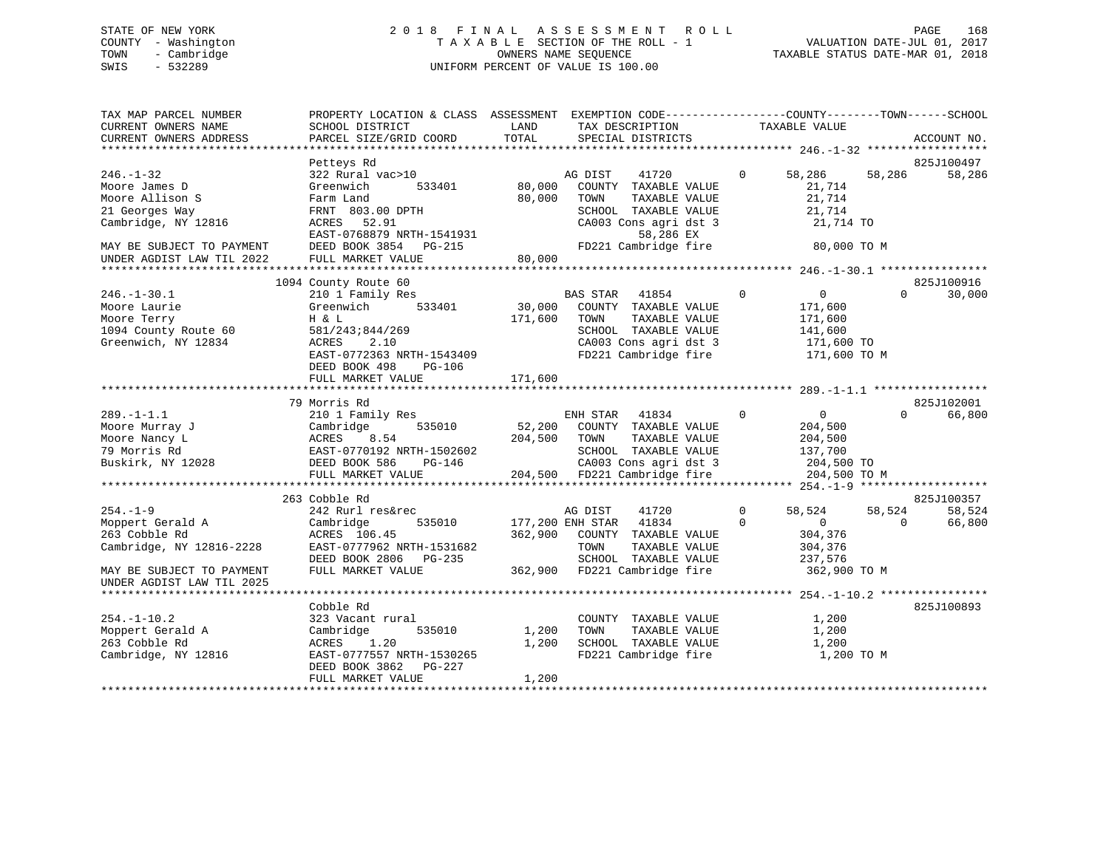# STATE OF NEW YORK 2 0 1 8 F I N A L A S S E S S M E N T R O L L PAGE 168 COUNTY - Washington T A X A B L E SECTION OF THE ROLL - 1 VALUATION DATE-JUL 01, 2017 TOWN - Cambridge OWNERS NAME SEQUENCE TAXABLE STATUS DATE-MAR 01, 2018 SWIS - 532289 UNIFORM PERCENT OF VALUE IS 100.00

| TAX MAP PARCEL NUMBER<br>CURRENT OWNERS NAME<br>CURRENT OWNERS ADDRESS                                       | PROPERTY LOCATION & CLASS ASSESSMENT EXEMPTION CODE----------------COUNTY-------TOWN-----SCHOOL<br>SCHOOL DISTRICT<br>PARCEL SIZE/GRID COORD                                              | LAND<br>TOTAL                | TAX DESCRIPTION<br>SPECIAL DISTRICTS                                                                                                                   |                         | TAXABLE VALUE                                                               |                    | ACCOUNT NO.                    |
|--------------------------------------------------------------------------------------------------------------|-------------------------------------------------------------------------------------------------------------------------------------------------------------------------------------------|------------------------------|--------------------------------------------------------------------------------------------------------------------------------------------------------|-------------------------|-----------------------------------------------------------------------------|--------------------|--------------------------------|
|                                                                                                              |                                                                                                                                                                                           |                              |                                                                                                                                                        |                         |                                                                             |                    |                                |
| $246. - 1 - 32$<br>Moore James D<br>Moore Allison S<br>21 Georges Way<br>Cambridge, NY 12816                 | Petteys Rd<br>322 Rural vac>10<br>Greenwich<br>533401<br>Farm Land<br>FRNT 803.00 DPTH<br>ACRES 52.91<br>EAST-0768879 NRTH-1541931                                                        | 80,000<br>80,000             | AG DIST<br>41720<br>COUNTY TAXABLE VALUE<br>TOWN<br>TAXABLE VALUE<br>SCHOOL TAXABLE VALUE<br>CA003 Cons agri dst 3<br>58,286 EX                        | $\Omega$                | 58,286<br>21,714<br>21,714<br>21,714<br>21,714 TO                           | 58,286             | 825J100497<br>58,286           |
| MAY BE SUBJECT TO PAYMENT<br>UNDER AGDIST LAW TIL 2022                                                       | DEED BOOK 3854 PG-215<br>FULL MARKET VALUE                                                                                                                                                | 80,000                       | FD221 Cambridge fire                                                                                                                                   |                         | 80,000 TO M                                                                 |                    |                                |
|                                                                                                              |                                                                                                                                                                                           |                              |                                                                                                                                                        |                         |                                                                             |                    |                                |
| $246. - 1 - 30.1$<br>Moore Laurie<br>Moore Terry<br>1094 County Route 60<br>Greenwich, NY 12834              | 1094 County Route 60<br>210 1 Family Res<br>533401<br>Greenwich<br>H & L<br>581/243;844/269<br>ACRES<br>2.10<br>EAST-0772363 NRTH-1543409<br>DEED BOOK 498<br>PG-106<br>FULL MARKET VALUE | 30,000<br>171,600<br>171,600 | <b>BAS STAR</b><br>41854<br>COUNTY TAXABLE VALUE<br>TAXABLE VALUE<br>TOWN<br>SCHOOL TAXABLE VALUE<br>CA003 Cons agri dst 3<br>FD221 Cambridge fire     | $\mathbf 0$             | 0<br>171,600<br>171,600<br>141,600<br>171,600 TO<br>171,600 TO M            | $\Omega$           | 825J100916<br>30,000           |
|                                                                                                              |                                                                                                                                                                                           |                              |                                                                                                                                                        |                         |                                                                             |                    |                                |
|                                                                                                              | 79 Morris Rd                                                                                                                                                                              |                              |                                                                                                                                                        |                         |                                                                             |                    | 825J102001                     |
| $289. -1 - 1.1$<br>Moore Murray J<br>Moore Nancy L<br>79 Morris Rd<br>Buskirk, NY 12028                      | 210 1 Family Res<br>Cambridge<br>535010<br>ACRES<br>8.54<br>EAST-0770192 NRTH-1502602<br>DEED BOOK 586 PG-146<br>FULL MARKET VALUE                                                        | 52,200<br>204,500            | ENH STAR<br>41834<br>COUNTY TAXABLE VALUE<br>TOWN<br>TAXABLE VALUE<br>SCHOOL TAXABLE VALUE<br>CA003 Cons agri dst 3<br>204,500 FD221 Cambridge fire    | $\Omega$                | $\mathbf{0}$<br>204,500<br>204,500<br>137,700<br>204,500 TO<br>204,500 TO M | $\Omega$           | 66,800                         |
|                                                                                                              |                                                                                                                                                                                           |                              |                                                                                                                                                        |                         |                                                                             |                    |                                |
| $254. - 1 - 9$<br>Moppert Gerald A<br>263 Cobble Rd<br>Cambridge, NY 12816-2228<br>MAY BE SUBJECT TO PAYMENT | 263 Cobble Rd<br>242 Rurl res&rec<br>Cambridge<br>535010<br>ACRES 106.45<br>EAST-0777962 NRTH-1531682<br>DEED BOOK 2806 PG-235<br>FULL MARKET VALUE                                       | 362,900                      | 41720<br>AG DIST<br>177,200 ENH STAR<br>41834<br>COUNTY TAXABLE VALUE<br>TOWN<br>TAXABLE VALUE<br>SCHOOL TAXABLE VALUE<br>362,900 FD221 Cambridge fire | $\mathbf 0$<br>$\Omega$ | 58,524<br>$\overline{0}$<br>304,376<br>304,376<br>237,576<br>362,900 TO M   | 58,524<br>$\Omega$ | 825J100357<br>58,524<br>66,800 |
| UNDER AGDIST LAW TIL 2025                                                                                    |                                                                                                                                                                                           |                              |                                                                                                                                                        |                         |                                                                             |                    |                                |
|                                                                                                              | Cobble Rd                                                                                                                                                                                 |                              |                                                                                                                                                        |                         |                                                                             |                    | 825J100893                     |
| $254. - 1 - 10.2$<br>Moppert Gerald A<br>263 Cobble Rd<br>Cambridge, NY 12816                                | 323 Vacant rural<br>535010<br>Cambridge<br>1.20<br>ACRES<br>EAST-0777557 NRTH-1530265<br>DEED BOOK 3862<br>PG-227<br>FULL MARKET VALUE                                                    | 1,200<br>1,200<br>1,200      | COUNTY TAXABLE VALUE<br>TOWN<br>TAXABLE VALUE<br>SCHOOL TAXABLE VALUE<br>FD221 Cambridge fire                                                          |                         | 1,200<br>1,200<br>1,200<br>1,200 TO M                                       |                    |                                |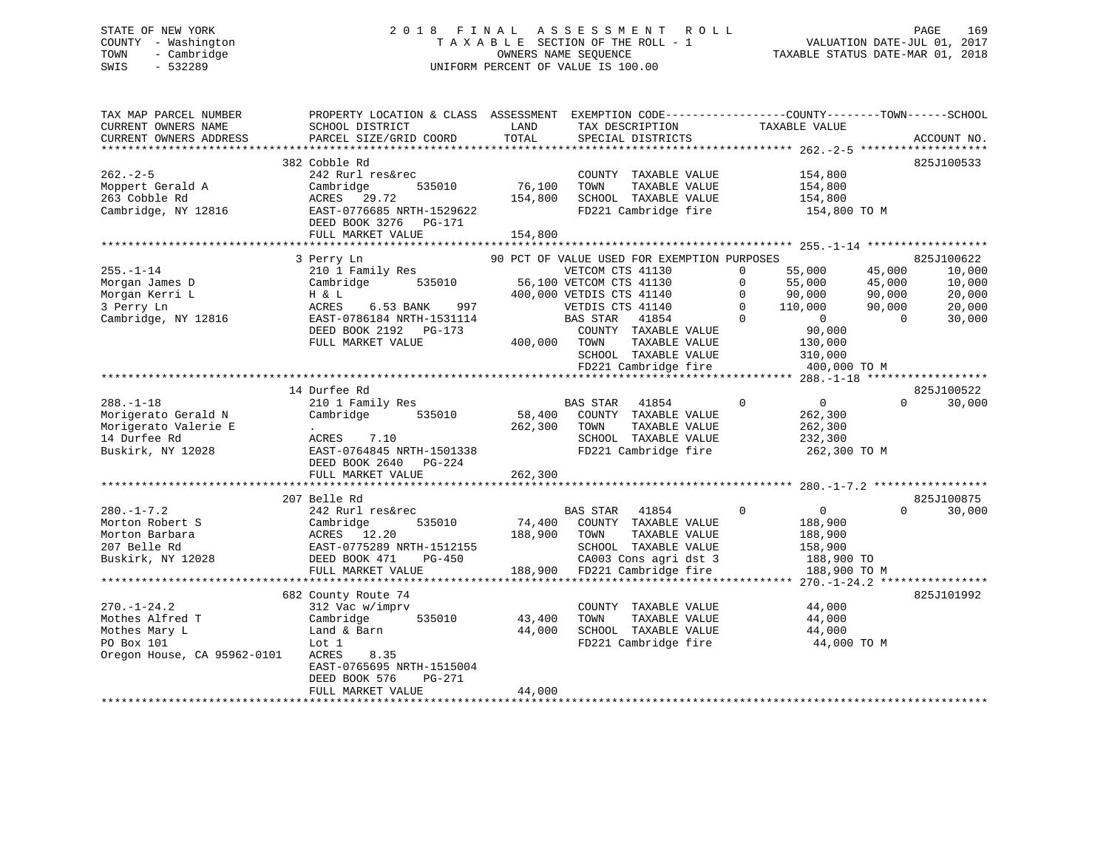# STATE OF NEW YORK 2 0 1 8 F I N A L A S S E S S M E N T R O L L PAGE 169 COUNTY - Washington T A X A B L E SECTION OF THE ROLL - 1 VALUATION DATE-JUL 01, 2017 TOWN - Cambridge OWNERS NAME SEQUENCE TAXABLE STATUS DATE-MAR 01, 2018 SWIS - 532289 UNIFORM PERCENT OF VALUE IS 100.00

| TAX MAP PARCEL NUMBER<br>CURRENT OWNERS NAME<br>CURRENT OWNERS ADDRESS | PROPERTY LOCATION & CLASS ASSESSMENT<br>SCHOOL DISTRICT<br>PARCEL SIZE/GRID COORD | LAND<br>TOTAL | EXEMPTION CODE-----------------COUNTY-------TOWN------SCHOOL<br>TAX DESCRIPTION<br>SPECIAL DISTRICTS | TAXABLE VALUE              | ACCOUNT NO.                       |
|------------------------------------------------------------------------|-----------------------------------------------------------------------------------|---------------|------------------------------------------------------------------------------------------------------|----------------------------|-----------------------------------|
| ********************                                                   |                                                                                   |               |                                                                                                      |                            |                                   |
|                                                                        | 382 Cobble Rd                                                                     |               |                                                                                                      |                            | 825J100533                        |
| $262 - 2 - 5$                                                          | 242 Rurl res&rec                                                                  |               | COUNTY TAXABLE VALUE                                                                                 | 154,800                    |                                   |
| Moppert Gerald A                                                       | Cambridge<br>535010                                                               | 76,100        | TOWN<br>TAXABLE VALUE                                                                                | 154,800                    |                                   |
| 263 Cobble Rd                                                          | ACRES<br>29.72                                                                    | 154,800       | SCHOOL TAXABLE VALUE                                                                                 | 154,800                    |                                   |
| Cambridge, NY 12816                                                    | EAST-0776685 NRTH-1529622<br>DEED BOOK 3276<br>PG-171                             |               | FD221 Cambridge fire                                                                                 | 154,800 TO M               |                                   |
|                                                                        | FULL MARKET VALUE                                                                 | 154,800       |                                                                                                      |                            |                                   |
|                                                                        | 3 Perry Ln                                                                        |               | 90 PCT OF VALUE USED FOR EXEMPTION PURPOSES                                                          |                            | 825J100622                        |
| $255. - 1 - 14$                                                        | 210 1 Family Res                                                                  |               | VETCOM CTS 41130                                                                                     | $\Omega$<br>55,000         | 45,000<br>10,000                  |
| Morgan James D                                                         | Cambridge<br>535010                                                               |               | 56,100 VETCOM CTS 41130                                                                              | 55,000<br>$\mathbf 0$      | 45,000<br>10,000                  |
| Morgan Kerri L                                                         | H & L                                                                             |               | 400,000 VETDIS CTS 41140                                                                             | $\Omega$<br>90,000         | 90,000<br>20,000                  |
| 3 Perry Ln                                                             | ACRES<br>6.53 BANK<br>997                                                         |               | VETDIS CTS 41140                                                                                     | $\Omega$<br>110,000        | 20,000<br>90,000                  |
| Cambridge, NY 12816                                                    | EAST-0786184 NRTH-1531114                                                         |               | 41854<br>BAS STAR                                                                                    | $\Omega$<br>$\overline{0}$ | $\Omega$<br>30,000                |
|                                                                        | DEED BOOK 2192 PG-173                                                             |               | COUNTY TAXABLE VALUE                                                                                 | 90,000                     |                                   |
|                                                                        | FULL MARKET VALUE                                                                 | 400,000       | TOWN<br>TAXABLE VALUE                                                                                | 130,000                    |                                   |
|                                                                        |                                                                                   |               | SCHOOL TAXABLE VALUE                                                                                 | 310,000                    |                                   |
|                                                                        |                                                                                   |               | FD221 Cambridge fire                                                                                 | 400,000 TO M               |                                   |
|                                                                        |                                                                                   |               |                                                                                                      |                            |                                   |
|                                                                        | 14 Durfee Rd                                                                      |               |                                                                                                      |                            | 825J100522                        |
| $288. - 1 - 18$                                                        | 210 1 Family Res                                                                  |               | <b>BAS STAR</b><br>41854                                                                             | $\Omega$<br>$\Omega$       | 30,000<br>$\Omega$                |
| Morigerato Gerald N                                                    | Cambridge<br>535010                                                               | 58,400        | COUNTY TAXABLE VALUE                                                                                 | 262,300                    |                                   |
| Morigerato Valerie E                                                   | $\bullet$                                                                         | 262,300       | TAXABLE VALUE<br>TOWN                                                                                | 262,300                    |                                   |
| 14 Durfee Rd                                                           | ACRES<br>7.10                                                                     |               | SCHOOL TAXABLE VALUE                                                                                 | 232,300                    |                                   |
| Buskirk, NY 12028                                                      | EAST-0764845 NRTH-1501338                                                         |               | FD221 Cambridge fire                                                                                 | 262,300 TO M               |                                   |
|                                                                        | DEED BOOK 2640<br>$PG-224$                                                        |               |                                                                                                      |                            |                                   |
|                                                                        | FULL MARKET VALUE                                                                 | 262,300       |                                                                                                      |                            |                                   |
|                                                                        |                                                                                   |               |                                                                                                      |                            |                                   |
|                                                                        | 207 Belle Rd                                                                      |               |                                                                                                      |                            | 825J100875<br>$\Omega$            |
| $280. -1 - 7.2$                                                        | 242 Rurl res&rec                                                                  |               | <b>BAS STAR</b><br>41854                                                                             | $\Omega$<br>$\overline{0}$ | 30,000                            |
| Morton Robert S<br>Morton Barbara                                      | Cambridge<br>535010<br>ACRES<br>12.20                                             | 74,400        | COUNTY TAXABLE VALUE<br>TOWN                                                                         | 188,900                    |                                   |
| 207 Belle Rd                                                           | EAST-0775289 NRTH-1512155                                                         | 188,900       | TAXABLE VALUE<br>SCHOOL TAXABLE VALUE                                                                | 188,900<br>158,900         |                                   |
| Buskirk, NY 12028                                                      | DEED BOOK 471<br>$PG-450$                                                         |               | CA003 Cons agri dst 3                                                                                | 188,900 TO                 |                                   |
|                                                                        | FULL MARKET VALUE                                                                 | 188,900       | FD221 Cambridge fire                                                                                 | 188,900 TO M               |                                   |
|                                                                        | *******************************                                                   |               | ************************************                                                                 |                            | $270 - 1 - 24.2$ **************** |
|                                                                        | 682 County Route 74                                                               |               |                                                                                                      |                            | 825J101992                        |
| $270. - 1 - 24.2$                                                      | 312 Vac w/imprv                                                                   |               | COUNTY TAXABLE VALUE                                                                                 | 44,000                     |                                   |
| Mothes Alfred T                                                        | Cambridge<br>535010                                                               | 43,400        | TOWN<br>TAXABLE VALUE                                                                                | 44,000                     |                                   |
| Mothes Mary L                                                          | Land & Barn                                                                       | 44,000        | SCHOOL TAXABLE VALUE                                                                                 | 44,000                     |                                   |
| PO Box 101                                                             | Lot 1                                                                             |               | FD221 Cambridge fire                                                                                 | 44,000 TO M                |                                   |
| Oregon House, CA 95962-0101                                            | ACRES<br>8.35                                                                     |               |                                                                                                      |                            |                                   |
|                                                                        | EAST-0765695 NRTH-1515004                                                         |               |                                                                                                      |                            |                                   |
|                                                                        | DEED BOOK 576<br>$PG-271$                                                         |               |                                                                                                      |                            |                                   |
|                                                                        | FULL MARKET VALUE                                                                 | 44,000        |                                                                                                      |                            |                                   |
|                                                                        |                                                                                   |               |                                                                                                      |                            |                                   |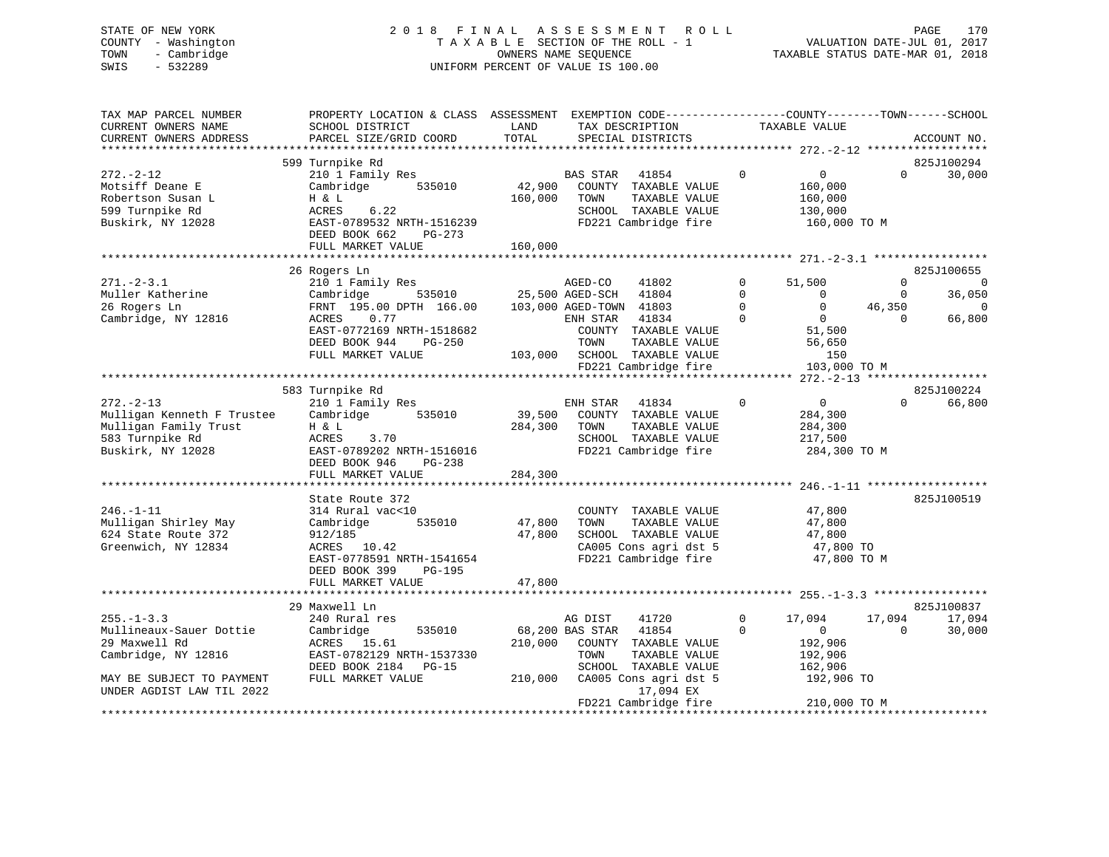#### STATE OF NEW YORK 2018 FINAL ASSESSMENT ROLL PAGE 170 COUNTY - Washington  $T A X A B L E$  SECTION OF THE ROLL - 1<br>TOWN - Cambridge  $\qquad$  OWNERS NAME SEQUENCE TOWN - Cambridge OWNERS NAME SEQUENCE TAXABLE STATUS DATE-MAR 01, 2018 SWIS - 532289 UNIFORM PERCENT OF VALUE IS 100.00

VALUATION DATE-JUL 01, 2017

| TAX MAP PARCEL NUMBER<br>CURRENT OWNERS NAME<br>CURRENT OWNERS ADDRESS | PROPERTY LOCATION & CLASS ASSESSMENT EXEMPTION CODE---------------COUNTY-------TOWN-----SCHOOL<br>SCHOOL DISTRICT<br>PARCEL SIZE/GRID COORD | LAND<br>TOTAL          |                         | TAX DESCRIPTION<br>SPECIAL DISTRICTS |             | TAXABLE VALUE  |             | ACCOUNT NO.    |
|------------------------------------------------------------------------|---------------------------------------------------------------------------------------------------------------------------------------------|------------------------|-------------------------|--------------------------------------|-------------|----------------|-------------|----------------|
|                                                                        |                                                                                                                                             |                        |                         |                                      |             |                |             |                |
|                                                                        | 599 Turnpike Rd                                                                                                                             |                        |                         |                                      |             |                |             | 825J100294     |
| $272. - 2 - 12$                                                        | 210 1 Family Res                                                                                                                            |                        | <b>BAS STAR</b>         | 41854                                | $\mathbf 0$ | $\overline{0}$ | $\Omega$    | 30,000         |
| Motsiff Deane E                                                        | 535010<br>Cambridge                                                                                                                         | 42,900                 |                         | COUNTY TAXABLE VALUE                 |             | 160,000        |             |                |
| Robertson Susan L                                                      | H & L                                                                                                                                       | 160,000                | TOWN                    | TAXABLE VALUE                        |             | 160,000        |             |                |
| 599 Turnpike Rd                                                        | 6.22<br>ACRES                                                                                                                               |                        |                         | SCHOOL TAXABLE VALUE                 |             | 130,000        |             |                |
| Buskirk, NY 12028                                                      | EAST-0789532 NRTH-1516239                                                                                                                   |                        |                         | FD221 Cambridge fire                 |             | 160,000 TO M   |             |                |
|                                                                        | DEED BOOK 662<br>PG-273<br>FULL MARKET VALUE                                                                                                | 160,000                |                         |                                      |             |                |             |                |
|                                                                        |                                                                                                                                             |                        |                         |                                      |             |                |             |                |
|                                                                        | 26 Rogers Ln                                                                                                                                |                        |                         |                                      |             |                |             | 825J100655     |
| $271 - 2 - 3.1$                                                        | 210 1 Family Res                                                                                                                            |                        | AGED-CO                 | 41802                                | $\Omega$    | 51,500         | $\Omega$    | $\overline{0}$ |
| Muller Katherine                                                       | Cambridge                                                                                                                                   | 535010 25,500 AGED-SCH |                         | 41804                                | $\mathbf 0$ | $\mathbf 0$    | $\mathbf 0$ | 36,050         |
| 26 Rogers Ln                                                           | FRNT 195.00 DPTH 166.00                                                                                                                     |                        | 103,000 AGED-TOWN 41803 |                                      | $\Omega$    | $\overline{0}$ | 46,350      | $\mathbf 0$    |
| Cambridge, NY 12816                                                    | 0.77<br>ACRES                                                                                                                               |                        | ENH STAR                | 41834                                | $\Omega$    | $\overline{0}$ | $\Omega$    | 66,800         |
|                                                                        | EAST-0772169 NRTH-1518682                                                                                                                   |                        |                         | COUNTY TAXABLE VALUE                 |             | 51,500         |             |                |
|                                                                        | DEED BOOK 944<br>PG-250                                                                                                                     |                        | TOWN                    | TAXABLE VALUE                        |             | 56,650         |             |                |
|                                                                        | FULL MARKET VALUE                                                                                                                           |                        |                         | 103,000 SCHOOL TAXABLE VALUE         |             | 150            |             |                |
|                                                                        |                                                                                                                                             |                        |                         | FD221 Cambridge fire                 |             | 103,000 TO M   |             |                |
|                                                                        |                                                                                                                                             |                        |                         |                                      |             |                |             |                |
|                                                                        | 583 Turnpike Rd                                                                                                                             |                        |                         |                                      |             |                |             | 825J100224     |
| $272. - 2 - 13$                                                        | 210 1 Family Res                                                                                                                            |                        | ENH STAR                | 41834                                | $\Omega$    | $\overline{0}$ | $\Omega$    | 66,800         |
| Mulligan Kenneth F Trustee                                             | 535010<br>Cambridge                                                                                                                         |                        |                         | 39,500 COUNTY TAXABLE VALUE          |             | 284,300        |             |                |
| Mulligan Family Trust                                                  | H & L                                                                                                                                       | 284,300                | TOWN                    | TAXABLE VALUE                        |             | 284,300        |             |                |
| 583 Turnpike Rd                                                        | ACRES<br>3.70                                                                                                                               |                        |                         | SCHOOL TAXABLE VALUE                 |             | 217,500        |             |                |
| Buskirk, NY 12028                                                      | EAST-0789202 NRTH-1516016                                                                                                                   |                        |                         | FD221 Cambridge fire                 |             | 284,300 TO M   |             |                |
|                                                                        | DEED BOOK 946<br>PG-238                                                                                                                     |                        |                         |                                      |             |                |             |                |
|                                                                        | FULL MARKET VALUE                                                                                                                           | 284,300                |                         |                                      |             |                |             |                |
|                                                                        | State Route 372                                                                                                                             |                        |                         |                                      |             |                |             | 825J100519     |
| $246. - 1 - 11$                                                        | 314 Rural vac<10                                                                                                                            |                        |                         | COUNTY TAXABLE VALUE                 |             | 47,800         |             |                |
| Mulligan Shirley May                                                   | 535010<br>Cambridge                                                                                                                         | 47,800                 | TOWN                    | TAXABLE VALUE                        |             | 47,800         |             |                |
| 624 State Route 372                                                    | 912/185                                                                                                                                     | 47,800                 |                         | SCHOOL TAXABLE VALUE                 |             | 47,800         |             |                |
| Greenwich, NY 12834                                                    | ACRES 10.42                                                                                                                                 |                        |                         | CA005 Cons agri dst 5                |             | 47,800 TO      |             |                |
|                                                                        | EAST-0778591 NRTH-1541654                                                                                                                   |                        |                         | FD221 Cambridge fire                 |             | 47,800 TO M    |             |                |
|                                                                        | DEED BOOK 399<br>PG-195                                                                                                                     |                        |                         |                                      |             |                |             |                |
|                                                                        | FULL MARKET VALUE                                                                                                                           | 47,800                 |                         |                                      |             |                |             |                |
|                                                                        |                                                                                                                                             |                        |                         |                                      |             |                |             |                |
|                                                                        | 29 Maxwell Ln                                                                                                                               |                        |                         |                                      |             |                |             | 825J100837     |
| $255. - 1 - 3.3$                                                       | 240 Rural res                                                                                                                               |                        | AG DIST                 | 41720                                | $\mathbf 0$ | 17,094         | 17,094      | 17,094         |
| Mullineaux-Sauer Dottie                                                | 535010<br>Cambridge                                                                                                                         |                        | 68,200 BAS STAR         | 41854                                | $\Omega$    | $\mathbf{0}$   | $\Omega$    | 30,000         |
| 29 Maxwell Rd                                                          | ACRES 15.61                                                                                                                                 | 210,000                |                         | COUNTY TAXABLE VALUE                 |             | 192,906        |             |                |
| Cambridge, NY 12816                                                    | EAST-0782129 NRTH-1537330                                                                                                                   |                        | TOWN                    | TAXABLE VALUE                        |             | 192,906        |             |                |
|                                                                        | DEED BOOK 2184 PG-15                                                                                                                        |                        |                         | SCHOOL TAXABLE VALUE                 |             | 162,906        |             |                |
| MAY BE SUBJECT TO PAYMENT                                              | FULL MARKET VALUE                                                                                                                           | 210,000                |                         | CA005 Cons agri dst 5                |             | 192,906 TO     |             |                |
| UNDER AGDIST LAW TIL 2022                                              |                                                                                                                                             |                        |                         | 17,094 EX                            |             |                |             |                |
|                                                                        |                                                                                                                                             |                        |                         | FD221 Cambridge fire                 |             | 210,000 TO M   |             |                |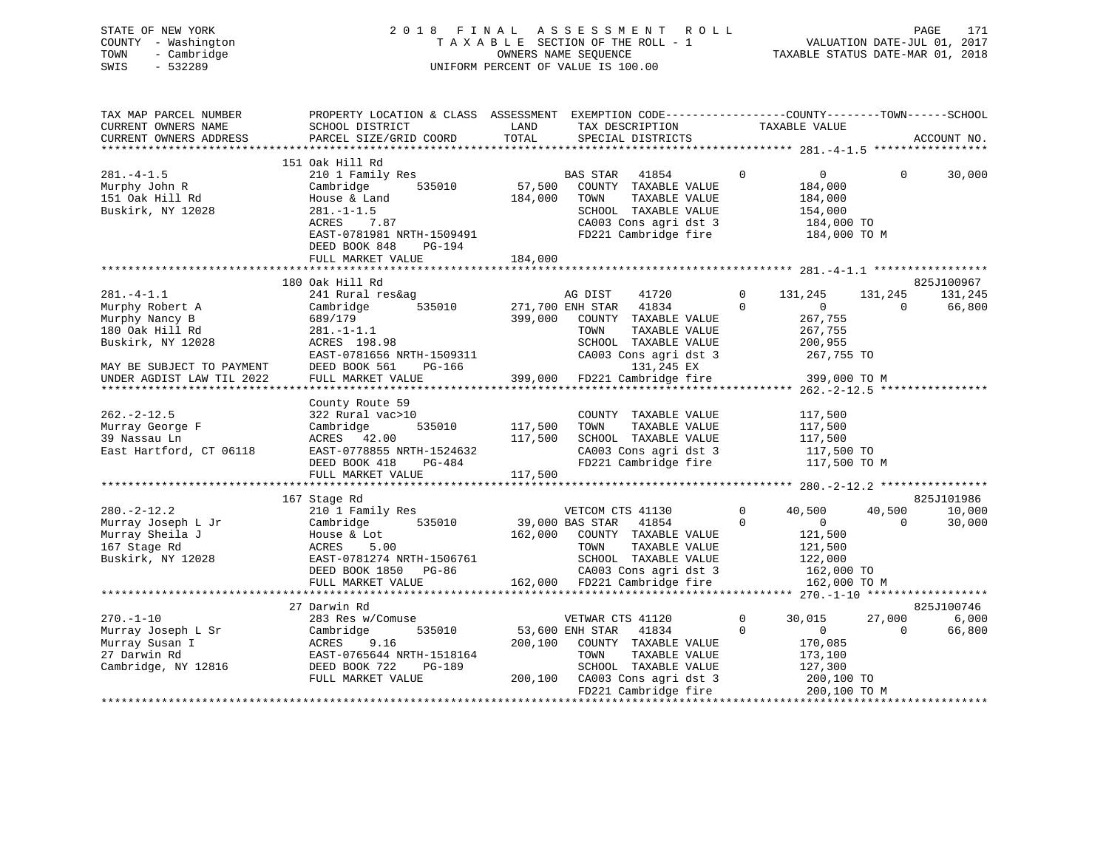| STATE OF NEW YORK   | 2018 FINAL ASSESSMENT ROLL         | 171<br>PAGE                      |
|---------------------|------------------------------------|----------------------------------|
| COUNTY - Washington | TAXABLE SECTION OF THE ROLL - 1    | VALUATION DATE-JUL 01, 2017      |
| TOWN - Cambridge    | OWNERS NAME SEOUENCE               | TAXABLE STATUS DATE-MAR 01, 2018 |
| SWIS<br>- 532289    | UNIFORM PERCENT OF VALUE IS 100.00 |                                  |
|                     |                                    |                                  |
|                     |                                    |                                  |

| TAX MAP PARCEL NUMBER     | PROPERTY LOCATION & CLASS ASSESSMENT EXEMPTION CODE----------------COUNTY-------TOWN------SCHOOL |         |                                                         |                |                       |          |             |
|---------------------------|--------------------------------------------------------------------------------------------------|---------|---------------------------------------------------------|----------------|-----------------------|----------|-------------|
| CURRENT OWNERS NAME       | SCHOOL DISTRICT                                                                                  | LAND    | TAX DESCRIPTION                                         | TAXABLE VALUE  |                       |          |             |
| CURRENT OWNERS ADDRESS    | PARCEL SIZE/GRID COORD                                                                           | TOTAL   | SPECIAL DISTRICTS                                       |                |                       |          | ACCOUNT NO. |
|                           |                                                                                                  |         |                                                         |                |                       |          |             |
|                           | 151 Oak Hill Rd                                                                                  |         |                                                         |                |                       |          |             |
| $281. -4 - 1.5$           | 210 1 Family Res                                                                                 |         | BAS STAR 41854                                          | $\Omega$       | $\overline{0}$        | $\Omega$ | 30,000      |
| Murphy John R             | 535010<br>Cambridge                                                                              | 57,500  | COUNTY TAXABLE VALUE                                    |                | 184,000               |          |             |
| 151 Oak Hill Rd           | House & Land                                                                                     | 184,000 | TOWN<br>TAXABLE VALUE                                   |                | 184,000               |          |             |
| Buskirk, NY 12028         | $281. - 1 - 1.5$                                                                                 |         | SCHOOL TAXABLE VALUE                                    |                | 154,000               |          |             |
|                           | 7.87<br>ACRES                                                                                    |         |                                                         |                | 184,000 TO            |          |             |
|                           | EAST-0781981 NRTH-1509491                                                                        |         | CA003 Cons agri dst 3<br>FD221 Cambridge fire           |                | 184,000 TO M          |          |             |
|                           | DEED BOOK 848<br>PG-194                                                                          |         |                                                         |                |                       |          |             |
|                           | FULL MARKET VALUE                                                                                | 184,000 |                                                         |                |                       |          |             |
|                           |                                                                                                  |         |                                                         |                |                       |          |             |
|                           |                                                                                                  |         |                                                         |                |                       |          |             |
|                           | 180 Oak Hill Rd                                                                                  |         |                                                         |                |                       |          | 825J100967  |
| $281 - 4 - 1.1$           | 241 Rural res&ag                                                                                 |         | AG DIST<br>41720                                        | $\overline{0}$ | 131,245               | 131,245  | 131,245     |
| Murphy Robert A           | 535010<br>Cambridge                                                                              |         | 271,700 ENH STAR 41834                                  | $\Omega$       | $\Omega$              | $\Omega$ | 66,800      |
| Murphy Nancy B            |                                                                                                  | 399,000 | COUNTY TAXABLE VALUE                                    |                | 267,755               |          |             |
| 180 Oak Hill Rd           |                                                                                                  |         | TOWN<br>TAXABLE VALUE                                   |                | 267,755               |          |             |
| Buskirk, NY 12028         | $689/179$<br>281.-1-1.1<br>- 108.98                                                              |         | SCHOOL TAXABLE VALUE                                    |                | 200,955               |          |             |
|                           | EAST-0781656 NRTH-1509311                                                                        |         | CA003 Cons agri dst 3                                   |                | 267,755 TO            |          |             |
| MAY BE SUBJECT TO PAYMENT | DEED BOOK 561<br>PG-166                                                                          |         |                                                         |                |                       |          |             |
| UNDER AGDIST LAW TIL 2022 | FULL MARKET VALUE                                                                                |         | 131,245 EX<br>399,000 FD221 Cambridge fire 399,000 TO M |                |                       |          |             |
|                           |                                                                                                  |         |                                                         |                |                       |          |             |
|                           | County Route 59                                                                                  |         |                                                         |                |                       |          |             |
| $262 - 2 - 12.5$          | 322 Rural vac>10                                                                                 |         | COUNTY TAXABLE VALUE                                    |                | 117,500               |          |             |
| Murray George F           | 535010<br>Cambridge                                                                              | 117,500 | TAXABLE VALUE<br>TOWN                                   |                | 117,500               |          |             |
| 39 Nassau Ln              | ACRES 42.00                                                                                      | 117,500 | SCHOOL TAXABLE VALUE                                    |                |                       |          |             |
| East Hartford, CT 06118   | EAST-0778855 NRTH-1524632                                                                        |         | CA003 Cons agri dst 3                                   |                | 117,500<br>117,500 TO |          |             |
|                           | DEED BOOK 418<br>PG-484                                                                          |         | FD221 Cambridge fire 117,500 TO M                       |                |                       |          |             |
|                           | FULL MARKET VALUE                                                                                | 117,500 |                                                         |                |                       |          |             |
|                           |                                                                                                  |         |                                                         |                |                       |          |             |
|                           |                                                                                                  |         |                                                         |                |                       |          | 825J101986  |
|                           | 167 Stage Rd                                                                                     |         |                                                         |                |                       |          |             |
| $280. - 2 - 12.2$         | 210 1 Family Res                                                                                 |         | VETCOM CTS 41130                                        | $\overline{0}$ | 40,500                | 40,500   | 10,000      |
| Murray Joseph L Jr        | Cambridge 535010                                                                                 |         | 39,000 BAS STAR 41854                                   | $\Omega$       | $\overline{0}$        | $\Omega$ | 30,000      |
| Murray Sheila J           | House & Lot                                                                                      |         | 162,000 COUNTY TAXABLE VALUE                            |                | 121,500               |          |             |
| 167 Stage Rd              | ACRES<br>5.00                                                                                    |         | TAXABLE VALUE<br>TOWN                                   |                | 121,500               |          |             |
| Buskirk, NY 12028         | EAST-0781274 NRTH-1506761                                                                        |         | SCHOOL TAXABLE VALUE                                    |                | 122,000               |          |             |
|                           | DEED BOOK 1850 PG-86                                                                             |         | CA003 Cons agri dst 3<br>162,000 FD221 Cambridge fire   |                | 162,000 TO            |          |             |
|                           | FULL MARKET VALUE                                                                                |         |                                                         |                | 162,000 TO M          |          |             |
|                           |                                                                                                  |         |                                                         |                |                       |          |             |
|                           | 27 Darwin Rd                                                                                     |         |                                                         |                |                       |          | 825J100746  |
| $270. - 1 - 10$           | 283 Res w/Comuse                                                                                 |         | VETWAR CTS 41120                                        | $\mathbf{0}$   | 30,015                | 27,000   | 6,000       |
| Murray Joseph L Sr        | 535010<br>Cambridge                                                                              |         | 53,600 ENH STAR<br>41834                                | $\Omega$       | $\overline{0}$        | $\Omega$ | 66,800      |
| Murray Susan I            | ACRES<br>9.16                                                                                    | 200,100 | COUNTY TAXABLE VALUE                                    |                | 170,085               |          |             |
| 27 Darwin Rd              | EAST-0765644 NRTH-1518164                                                                        |         | TAXABLE VALUE<br>TOWN                                   |                | 173,100               |          |             |
| Cambridge, NY 12816       | DEED BOOK 722<br>PG-189                                                                          |         | SCHOOL TAXABLE VALUE                                    |                | 127,300               |          |             |
|                           | FULL MARKET VALUE                                                                                |         | 200,100 CA003 Cons agri dst 3                           |                | $200,100$ TO          |          |             |
|                           |                                                                                                  |         | FD221 Cambridge fire                                    |                | 200,100 TO M          |          |             |
|                           |                                                                                                  |         |                                                         |                |                       |          |             |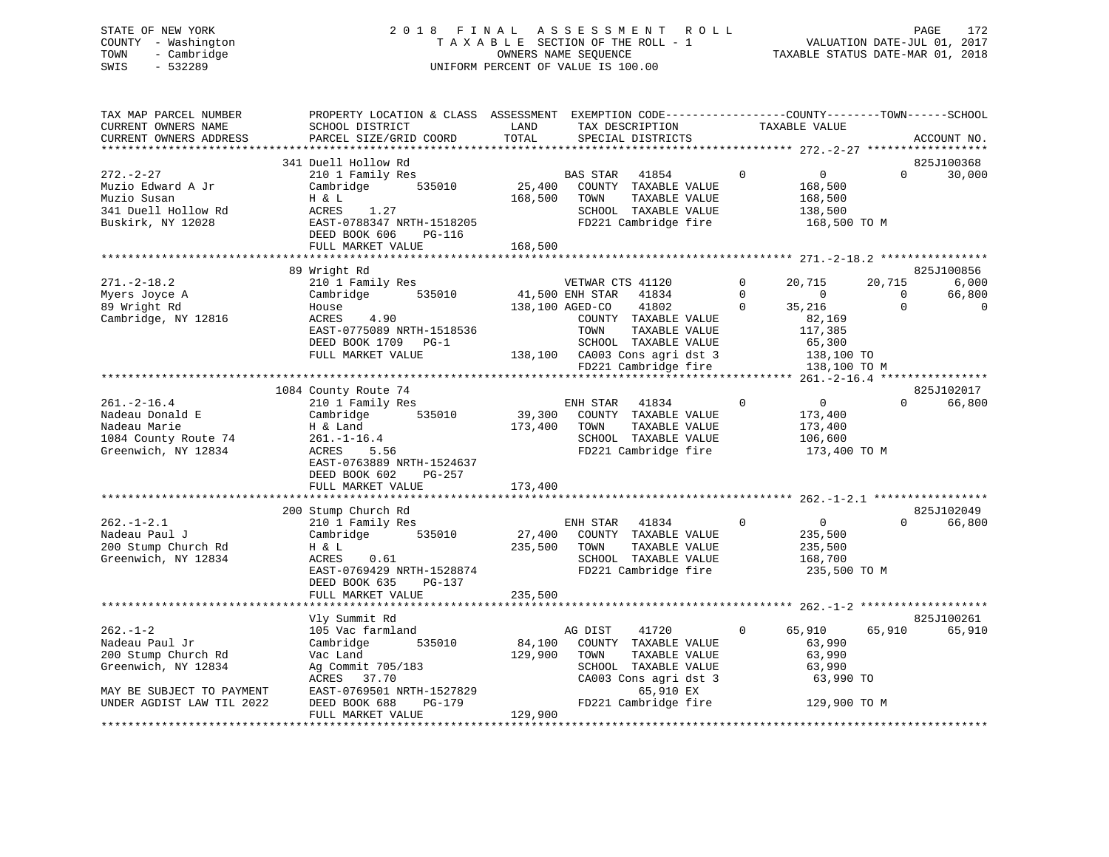# STATE OF NEW YORK 2 0 1 8 F I N A L A S S E S S M E N T R O L L PAGE 172 COUNTY - Washington T A X A B L E SECTION OF THE ROLL - 1 VALUATION DATE-JUL 01, 2017 TOWN - Cambridge OWNERS NAME SEQUENCE TAXABLE STATUS DATE-MAR 01, 2018 SWIS - 532289 UNIFORM PERCENT OF VALUE IS 100.00

| TAX MAP PARCEL NUMBER<br>CURRENT OWNERS NAME<br>CURRENT OWNERS ADDRESS                              | PROPERTY LOCATION & CLASS ASSESSMENT EXEMPTION CODE---------------COUNTY-------TOWN-----SCHOOL<br>SCHOOL DISTRICT<br>PARCEL SIZE/GRID COORD                                                 | LAND<br>TOTAL                | TAX DESCRIPTION<br>SPECIAL DISTRICTS                                                                                                                                                    |                                            | TAXABLE VALUE                                                                             |                                   | ACCOUNT NO.                                     |
|-----------------------------------------------------------------------------------------------------|---------------------------------------------------------------------------------------------------------------------------------------------------------------------------------------------|------------------------------|-----------------------------------------------------------------------------------------------------------------------------------------------------------------------------------------|--------------------------------------------|-------------------------------------------------------------------------------------------|-----------------------------------|-------------------------------------------------|
|                                                                                                     |                                                                                                                                                                                             |                              |                                                                                                                                                                                         |                                            |                                                                                           |                                   |                                                 |
| $272 - 2 - 27$<br>Muzio Edward A Jr<br>Muzio Susan<br>341 Duell Hollow Rd<br>Buskirk, NY 12028      | 341 Duell Hollow Rd<br>210 1 Family Res<br>535010<br>Cambridge<br>H & L<br>ACRES<br>1.27<br>EAST-0788347 NRTH-1518205<br>DEED BOOK 606<br>PG-116<br>FULL MARKET VALUE                       | 25,400<br>168,500<br>168,500 | BAS STAR<br>41854<br>COUNTY TAXABLE VALUE<br>TOWN<br>TAXABLE VALUE<br>SCHOOL TAXABLE VALUE<br>FD221 Cambridge fire                                                                      | $\mathbf 0$                                | 0<br>168,500<br>168,500<br>138,500<br>168,500 TO M                                        | $\Omega$                          | 825J100368<br>30,000                            |
|                                                                                                     |                                                                                                                                                                                             |                              |                                                                                                                                                                                         |                                            |                                                                                           |                                   |                                                 |
| $271. - 2 - 18.2$<br>Myers Joyce A<br>89 Wright Rd<br>Cambridge, NY 12816                           | 89 Wright Rd<br>210 1 Family Res<br>Cambridge<br>535010<br>House<br>ACRES<br>4.90<br>EAST-0775089 NRTH-1518536<br>DEED BOOK 1709 PG-1<br>FULL MARKET VALUE                                  | 41,500 ENH STAR              | VETWAR CTS 41120<br>41834<br>138,100 AGED-CO<br>41802<br>COUNTY TAXABLE VALUE<br>TOWN<br>TAXABLE VALUE<br>SCHOOL TAXABLE VALUE<br>138,100 CA003 Cons agri dst 3<br>FD221 Cambridge fire | $\mathbf{0}$<br>$\Omega$<br>$\overline{0}$ | 20,715<br>$\sim$ 0<br>35,216<br>82,169<br>117,385<br>65,300<br>138,100 TO<br>138,100 TO M | 20,715<br>$\Omega$<br>$\mathbf 0$ | 825J100856<br>6,000<br>66,800<br>$\overline{0}$ |
|                                                                                                     |                                                                                                                                                                                             |                              |                                                                                                                                                                                         |                                            |                                                                                           |                                   |                                                 |
| $261. - 2 - 16.4$<br>Nadeau Donald E<br>Nadeau Marie<br>1084 County Route 74<br>Greenwich, NY 12834 | 1084 County Route 74<br>210 1 Family Res<br>Cambridge 535010<br>H & Land<br>$261. - 1 - 16.4$<br>ACRES<br>5.56<br>EAST-0763889 NRTH-1524637<br>DEED BOOK 602<br>PG-257<br>FULL MARKET VALUE | 39,300<br>173,400<br>173,400 | ENH STAR<br>41834<br>COUNTY TAXABLE VALUE<br>TOWN<br>TAXABLE VALUE<br>SCHOOL TAXABLE VALUE<br>FD221 Cambridge fire                                                                      | $\mathbf{0}$                               | $\overline{0}$<br>173,400<br>173,400<br>106,600<br>173,400 TO M                           | $\Omega$                          | 825J102017<br>66,800                            |
|                                                                                                     |                                                                                                                                                                                             |                              |                                                                                                                                                                                         |                                            |                                                                                           |                                   |                                                 |
| $262. - 1 - 2.1$<br>Nadeau Paul J<br>200 Stump Church Rd<br>Greenwich, NY 12834                     | 200 Stump Church Rd<br>210 1 Family Res<br>Cambridge<br>535010<br>H & L<br>ACRES<br>0.61<br>EAST-0769429 NRTH-1528874<br>DEED BOOK 635<br>PG-137                                            | 27,400<br>235,500            | 41834<br>ENH STAR<br>COUNTY TAXABLE VALUE<br>TAXABLE VALUE<br>TOWN<br>SCHOOL TAXABLE VALUE<br>FD221 Cambridge fire                                                                      | $\mathbf 0$                                | $\sim$ 0<br>235,500<br>235,500<br>168,700<br>235,500 TO M                                 | $\Omega$                          | 825J102049<br>66,800                            |
|                                                                                                     | FULL MARKET VALUE                                                                                                                                                                           | 235,500                      |                                                                                                                                                                                         |                                            |                                                                                           |                                   |                                                 |
| $262. - 1 - 2$<br>Nadeau Paul Jr<br>200 Stump Church Rd<br>Greenwich, NY 12834                      | Vly Summit Rd<br>105 Vac farmland<br>Cambridge<br>535010<br>Vac Land<br>Ag Commit 705/183                                                                                                   | 84,100<br>129,900            | AG DIST<br>41720<br>COUNTY TAXABLE VALUE<br>TAXABLE VALUE<br>TOWN<br>SCHOOL TAXABLE VALUE                                                                                               | $\overline{0}$                             | 65,910<br>63,990<br>63,990<br>63,990                                                      | 65,910                            | 825J100261<br>65,910                            |
| MAY BE SUBJECT TO PAYMENT<br>UNDER AGDIST LAW TIL 2022                                              | ACRES<br>37.70<br>EAST-0769501 NRTH-1527829<br>DEED BOOK 688<br>PG-179<br>FULL MARKET VALUE                                                                                                 | 129,900                      | CA003 Cons agri dst 3<br>65,910 EX<br>FD221 Cambridge fire                                                                                                                              |                                            | 63,990 TO<br>129,900 TO M                                                                 |                                   |                                                 |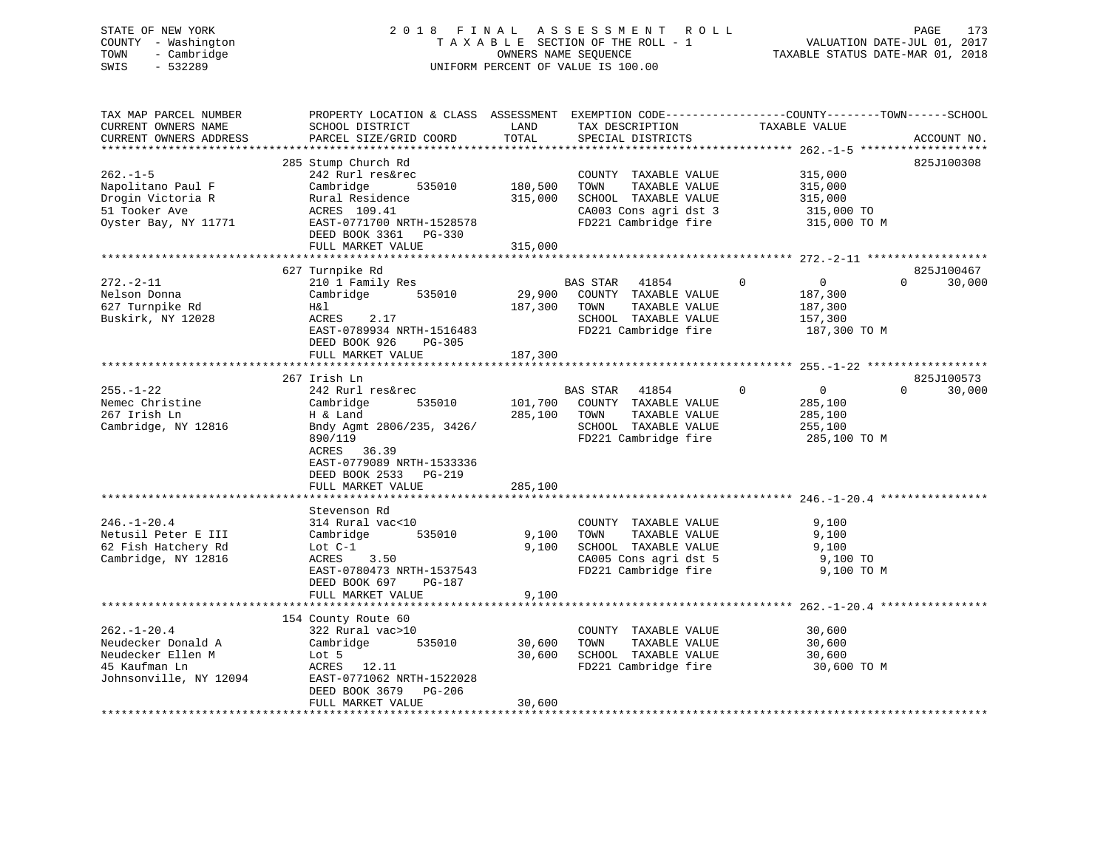# STATE OF NEW YORK 2 0 1 8 F I N A L A S S E S S M E N T R O L L PAGE 173 COUNTY - Washington T A X A B L E SECTION OF THE ROLL - 1 VALUATION DATE-JUL 01, 2017 TOWN - Cambridge OWNERS NAME SEQUENCE TAXABLE STATUS DATE-MAR 01, 2018 SWIS - 532289 UNIFORM PERCENT OF VALUE IS 100.00

| TAX MAP PARCEL NUMBER<br>CURRENT OWNERS NAME<br>CURRENT OWNERS ADDRESS<br>************************      | PROPERTY LOCATION & CLASS ASSESSMENT<br>SCHOOL DISTRICT<br>PARCEL SIZE/GRID COORD                                                                                                                     | LAND<br>TOTAL                 | TAX DESCRIPTION<br>SPECIAL DISTRICTS                                                                                   | EXEMPTION CODE-----------------COUNTY-------TOWN------SCHOOL<br>TAXABLE VALUE   | ACCOUNT NO.                      |
|---------------------------------------------------------------------------------------------------------|-------------------------------------------------------------------------------------------------------------------------------------------------------------------------------------------------------|-------------------------------|------------------------------------------------------------------------------------------------------------------------|---------------------------------------------------------------------------------|----------------------------------|
| $262 - 1 - 5$<br>Napolitano Paul F<br>Drogin Victoria R<br>51 Tooker Ave<br>Oyster Bay, NY 11771        | 285 Stump Church Rd<br>242 Rurl res&rec<br>535010<br>Cambridge<br>Rural Residence<br>ACRES 109.41<br>EAST-0771700 NRTH-1528578<br>DEED BOOK 3361 PG-330<br>FULL MARKET VALUE                          | 180,500<br>315,000<br>315,000 | COUNTY TAXABLE VALUE<br>TOWN<br>TAXABLE VALUE<br>SCHOOL TAXABLE VALUE<br>CA003 Cons agri dst 3<br>FD221 Cambridge fire | 315,000<br>315,000<br>315,000<br>315,000 TO<br>315,000 TO M                     | 825J100308                       |
|                                                                                                         |                                                                                                                                                                                                       |                               |                                                                                                                        |                                                                                 |                                  |
| $272. - 2 - 11$<br>Nelson Donna<br>627 Turnpike Rd<br>Buskirk, NY 12028                                 | 627 Turnpike Rd<br>210 1 Family Res<br>Cambridge<br>535010<br>H&l<br>2.17<br>ACRES<br>EAST-0789934 NRTH-1516483<br>DEED BOOK 926<br>PG-305<br>FULL MARKET VALUE                                       | 29,900<br>187,300<br>187,300  | BAS STAR<br>41854<br>COUNTY TAXABLE VALUE<br>TOWN<br>TAXABLE VALUE<br>SCHOOL TAXABLE VALUE<br>FD221 Cambridge fire     | $\Omega$<br>$\mathbf{0}$<br>187,300<br>187,300<br>157,300<br>187,300 TO M       | 825J100467<br>$\Omega$<br>30,000 |
|                                                                                                         |                                                                                                                                                                                                       |                               |                                                                                                                        |                                                                                 |                                  |
| $255. - 1 - 22$<br>Nemec Christine<br>267 Irish Ln<br>Cambridge, NY 12816                               | 267 Irish Ln<br>242 Rurl res&rec<br>535010<br>Cambridge<br>H & Land<br>Bndy Agmt 2806/235, 3426/<br>890/119<br>ACRES 36.39<br>EAST-0779089 NRTH-1533336<br>DEED BOOK 2533 PG-219<br>FULL MARKET VALUE | 101,700<br>285,100<br>285,100 | BAS STAR<br>41854<br>COUNTY TAXABLE VALUE<br>TOWN<br>TAXABLE VALUE<br>SCHOOL TAXABLE VALUE<br>FD221 Cambridge fire     | $\mathbf{0}$<br>$\overline{0}$<br>285,100<br>285,100<br>255,100<br>285,100 TO M | 825J100573<br>30,000<br>$\Omega$ |
|                                                                                                         |                                                                                                                                                                                                       |                               |                                                                                                                        |                                                                                 |                                  |
| $246. - 1 - 20.4$<br>Netusil Peter E III<br>62 Fish Hatchery Rd<br>Cambridge, NY 12816                  | Stevenson Rd<br>314 Rural vac<10<br>Cambridge<br>535010<br>Lot $C-1$<br>ACRES<br>3.50<br>EAST-0780473 NRTH-1537543<br>DEED BOOK 697<br>PG-187<br>FULL MARKET VALUE                                    | 9,100<br>9,100<br>9,100       | COUNTY TAXABLE VALUE<br>TOWN<br>TAXABLE VALUE<br>SCHOOL TAXABLE VALUE<br>CA005 Cons agri dst 5<br>FD221 Cambridge fire | 9,100<br>9,100<br>9,100<br>9,100 TO<br>9,100 TO M                               |                                  |
| **********************                                                                                  |                                                                                                                                                                                                       |                               |                                                                                                                        |                                                                                 |                                  |
| $262. - 1 - 20.4$<br>Neudecker Donald A<br>Neudecker Ellen M<br>45 Kaufman Ln<br>Johnsonville, NY 12094 | 154 County Route 60<br>322 Rural vac>10<br>Cambridge<br>535010<br>Lot 5<br>ACRES<br>12.11<br>EAST-0771062 NRTH-1522028<br>DEED BOOK 3679<br>PG-206<br>FULL MARKET VALUE                               | 30,600<br>30,600<br>30,600    | COUNTY TAXABLE VALUE<br>TOWN<br>TAXABLE VALUE<br>SCHOOL TAXABLE VALUE<br>FD221 Cambridge fire                          | 30,600<br>30,600<br>30,600<br>30,600 TO M                                       |                                  |
|                                                                                                         |                                                                                                                                                                                                       |                               |                                                                                                                        |                                                                                 |                                  |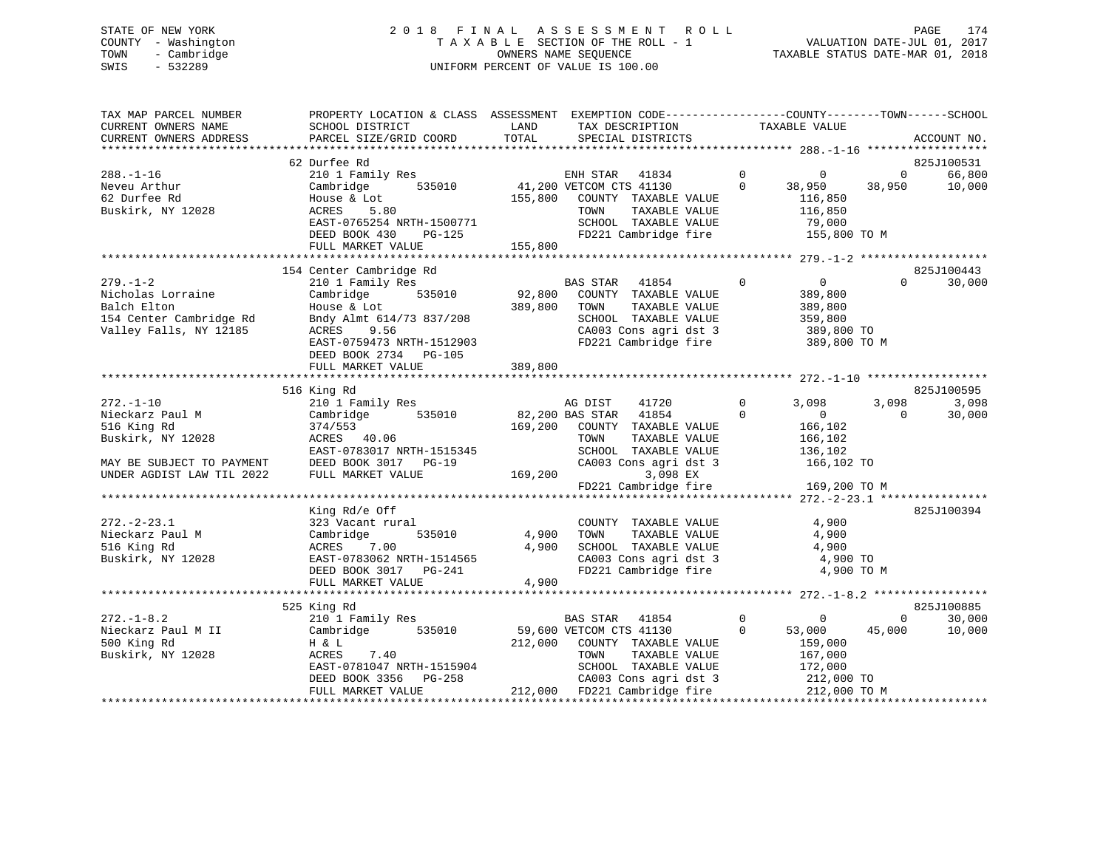# STATE OF NEW YORK 2 0 1 8 F I N A L A S S E S S M E N T R O L L PAGE 174 COUNTY - Washington T A X A B L E SECTION OF THE ROLL - 1 VALUATION DATE-JUL 01, 2017 TOWN - Cambridge OWNERS NAME SEQUENCE TAXABLE STATUS DATE-MAR 01, 2018 SWIS - 532289 UNIFORM PERCENT OF VALUE IS 100.00

| TAX MAP PARCEL NUMBER<br>CURRENT OWNERS NAME<br>CURRENT OWNERS ADDRESS | PROPERTY LOCATION & CLASS ASSESSMENT<br>SCHOOL DISTRICT<br>PARCEL SIZE/GRID COORD | LAND<br>TOTAL | EXEMPTION CODE-----------------COUNTY-------TOWN------SCHOOL<br>TAX DESCRIPTION<br>SPECIAL DISTRICTS |                      | TAXABLE VALUE              |                   | ACCOUNT NO. |
|------------------------------------------------------------------------|-----------------------------------------------------------------------------------|---------------|------------------------------------------------------------------------------------------------------|----------------------|----------------------------|-------------------|-------------|
|                                                                        |                                                                                   |               |                                                                                                      |                      |                            |                   |             |
|                                                                        | 62 Durfee Rd                                                                      |               |                                                                                                      |                      |                            |                   | 825J100531  |
| $288. - 1 - 16$                                                        | 210 1 Family Res                                                                  |               | ENH STAR<br>41834                                                                                    | $\overline{0}$       | $\overline{0}$             | $\overline{0}$    | 66,800      |
| Neveu Arthur                                                           | 535010<br>Cambridge                                                               |               | 41,200 VETCOM CTS 41130                                                                              | $\Omega$             | 38,950                     | 38,950            | 10,000      |
| 62 Durfee Rd<br>Buskirk, NY 12028                                      | House & Lot<br>ACRES<br>5.80                                                      | 155,800       | COUNTY TAXABLE VALUE<br>TOWN<br>TAXABLE VALUE                                                        |                      | 116,850<br>116,850         |                   |             |
|                                                                        | EAST-0765254 NRTH-1500771                                                         |               | SCHOOL TAXABLE VALUE                                                                                 |                      | 79,000                     |                   |             |
|                                                                        | DEED BOOK 430<br>PG-125                                                           |               | FD221 Cambridge fire                                                                                 |                      | 155,800 TO M               |                   |             |
|                                                                        | FULL MARKET VALUE                                                                 | 155,800       |                                                                                                      |                      |                            |                   |             |
|                                                                        |                                                                                   |               |                                                                                                      |                      |                            |                   |             |
|                                                                        | 154 Center Cambridge Rd                                                           |               |                                                                                                      |                      |                            |                   | 825J100443  |
| $279. - 1 - 2$                                                         | 210 1 Family Res                                                                  |               | BAS STAR<br>41854                                                                                    | $\mathbf 0$          | $\overline{0}$             | $\Omega$          | 30,000      |
| Nicholas Lorraine                                                      | Cambridge<br>535010                                                               | 92,800        | COUNTY TAXABLE VALUE                                                                                 |                      | 389,800                    |                   |             |
| Balch Elton                                                            | House & Lot                                                                       | 389,800       | TAXABLE VALUE<br>TOWN                                                                                |                      | 389,800                    |                   |             |
| 154 Center Cambridge Rd                                                | Bndy Almt 614/73 837/208                                                          |               | SCHOOL TAXABLE VALUE                                                                                 |                      | 359,800                    |                   |             |
| Valley Falls, NY 12185                                                 | ACRES<br>9.56                                                                     |               | CA003 Cons agri dst 3                                                                                |                      | 389,800 TO                 |                   |             |
|                                                                        | EAST-0759473 NRTH-1512903                                                         |               | FD221 Cambridge fire                                                                                 |                      | 389,800 TO M               |                   |             |
|                                                                        | DEED BOOK 2734 PG-105                                                             |               |                                                                                                      |                      |                            |                   |             |
|                                                                        | FULL MARKET VALUE                                                                 | 389,800       |                                                                                                      |                      |                            |                   |             |
|                                                                        |                                                                                   |               |                                                                                                      |                      |                            |                   |             |
|                                                                        | 516 King Rd                                                                       |               |                                                                                                      |                      |                            |                   | 825J100595  |
| $272. - 1 - 10$                                                        | 210 1 Family Res                                                                  |               | AG DIST<br>41720                                                                                     | $\Omega$<br>$\Omega$ | 3,098                      | 3,098<br>$\Omega$ | 3,098       |
| Nieckarz Paul M                                                        | Cambridge<br>535010                                                               |               | 41854<br>82,200 BAS STAR                                                                             |                      | $\overline{0}$             |                   | 30,000      |
| 516 King Rd                                                            | 374/553                                                                           | 169,200       | COUNTY TAXABLE VALUE<br>TOWN                                                                         |                      | 166,102                    |                   |             |
| Buskirk, NY 12028                                                      | ACRES 40.06<br>EAST-0783017 NRTH-1515345                                          |               | TAXABLE VALUE<br>SCHOOL TAXABLE VALUE                                                                |                      | 166,102<br>136,102         |                   |             |
| MAY BE SUBJECT TO PAYMENT                                              | DEED BOOK 3017 PG-19                                                              |               | CA003 Cons agri dst 3                                                                                |                      | 166,102 TO                 |                   |             |
| UNDER AGDIST LAW TIL 2022                                              | FULL MARKET VALUE                                                                 | 169,200       | 3,098 EX                                                                                             |                      |                            |                   |             |
|                                                                        |                                                                                   |               | FD221 Cambridge fire                                                                                 |                      | 169,200 TO M               |                   |             |
|                                                                        |                                                                                   |               |                                                                                                      |                      |                            |                   |             |
|                                                                        | King Rd/e Off                                                                     |               |                                                                                                      |                      |                            |                   | 825J100394  |
| $272. - 2 - 23.1$                                                      | 323 Vacant rural                                                                  |               | COUNTY TAXABLE VALUE                                                                                 |                      | 4,900                      |                   |             |
| Nieckarz Paul M                                                        | Cambridge<br>535010                                                               | 4,900         | TAXABLE VALUE<br>TOWN                                                                                |                      | 4,900                      |                   |             |
| 516 King Rd                                                            | 7.00<br>ACRES                                                                     | 4,900         | SCHOOL TAXABLE VALUE                                                                                 |                      | 4,900                      |                   |             |
| Buskirk, NY 12028                                                      | EAST-0783062 NRTH-1514565                                                         |               | CA003 Cons agri dst 3                                                                                |                      | 4,900 TO                   |                   |             |
|                                                                        | DEED BOOK 3017 PG-241                                                             |               | FD221 Cambridge fire                                                                                 |                      | 4,900 TO M                 |                   |             |
|                                                                        | FULL MARKET VALUE                                                                 | 4,900         |                                                                                                      |                      |                            |                   |             |
|                                                                        |                                                                                   |               |                                                                                                      |                      |                            |                   |             |
|                                                                        | 525 King Rd                                                                       |               |                                                                                                      |                      |                            |                   | 825J100885  |
| $272. - 1 - 8.2$                                                       | 210 1 Family Res                                                                  |               | BAS STAR<br>41854                                                                                    | $\mathbf 0$          | 0                          | $\Omega$          | 30,000      |
| Nieckarz Paul M II                                                     | 535010<br>Cambridge                                                               |               | 59,600 VETCOM CTS 41130                                                                              | $\Omega$             | 53,000                     | 45,000            | 10,000      |
| 500 King Rd                                                            | H & L                                                                             | 212,000       | COUNTY TAXABLE VALUE                                                                                 |                      | 159,000                    |                   |             |
| Buskirk, NY 12028                                                      | 7.40<br>ACRES                                                                     |               | TOWN<br>TAXABLE VALUE                                                                                |                      | 167,000                    |                   |             |
|                                                                        | EAST-0781047 NRTH-1515904                                                         |               | SCHOOL TAXABLE VALUE                                                                                 |                      | 172,000                    |                   |             |
|                                                                        | DEED BOOK 3356<br>PG-258<br>FULL MARKET VALUE                                     |               | CA003 Cons agri dst 3<br>212,000 FD221 Cambridge fire                                                |                      | 212,000 TO<br>212,000 TO M |                   |             |
|                                                                        |                                                                                   |               |                                                                                                      |                      |                            |                   |             |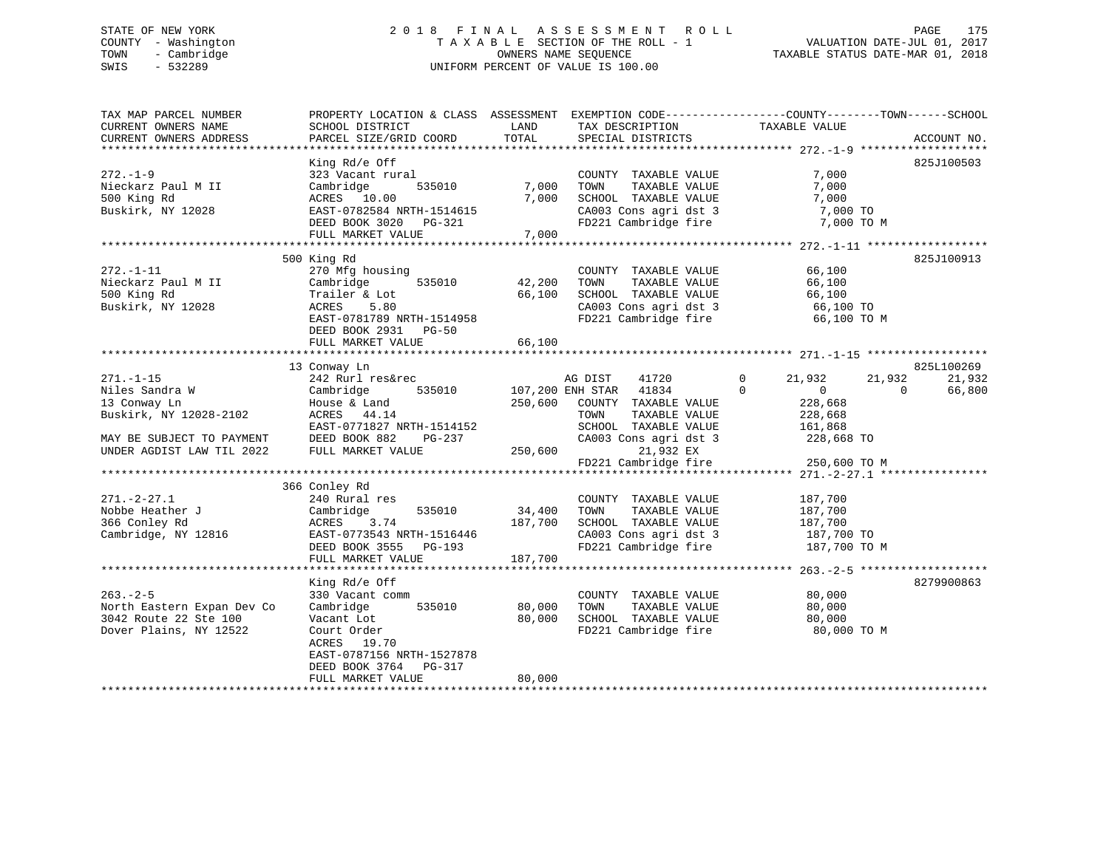# STATE OF NEW YORK 2 0 1 8 F I N A L A S S E S S M E N T R O L L PAGE 175 COUNTY - Washington T A X A B L E SECTION OF THE ROLL - 1 VALUATION DATE-JUL 01, 2017 TOWN - Cambridge OWNERS NAME SEQUENCE TAXABLE STATUS DATE-MAR 01, 2018 SWIS - 532289 UNIFORM PERCENT OF VALUE IS 100.00

| TAX MAP PARCEL NUMBER<br>CURRENT OWNERS NAME<br>CURRENT OWNERS ADDRESS | PROPERTY LOCATION & CLASS ASSESSMENT<br>SCHOOL DISTRICT<br>PARCEL SIZE/GRID COORD | LAND<br>TOTAL | TAX DESCRIPTION<br>SPECIAL DISTRICTS | EXEMPTION CODE-----------------COUNTY-------TOWN------SCHOOL<br>TAXABLE VALUE | ACCOUNT NO. |
|------------------------------------------------------------------------|-----------------------------------------------------------------------------------|---------------|--------------------------------------|-------------------------------------------------------------------------------|-------------|
|                                                                        |                                                                                   |               |                                      |                                                                               |             |
|                                                                        | King Rd/e Off                                                                     |               |                                      |                                                                               | 825J100503  |
| $272. - 1 - 9$                                                         | 323 Vacant rural                                                                  |               | COUNTY TAXABLE VALUE                 | 7,000                                                                         |             |
| Nieckarz Paul M II                                                     | 535010<br>Cambridge                                                               | 7,000         | TOWN<br>TAXABLE VALUE                | 7,000                                                                         |             |
| 500 King Rd                                                            | ACRES 10.00                                                                       | 7,000         | SCHOOL TAXABLE VALUE                 | 7,000                                                                         |             |
| Buskirk, NY 12028                                                      | EAST-0782584 NRTH-1514615                                                         |               | CA003 Cons agri dst 3                | 7,000 TO                                                                      |             |
|                                                                        | DEED BOOK 3020 PG-321<br>FULL MARKET VALUE                                        | 7,000         | FD221 Cambridge fire                 | 7,000 TO M                                                                    |             |
|                                                                        |                                                                                   |               |                                      |                                                                               |             |
|                                                                        | 500 King Rd                                                                       |               |                                      |                                                                               | 825J100913  |
| $272. - 1 - 11$                                                        | 270 Mfg housing                                                                   |               | COUNTY TAXABLE VALUE                 | 66,100                                                                        |             |
| Nieckarz Paul M II                                                     | 535010<br>Cambridge                                                               | 42,200        | TOWN<br>TAXABLE VALUE                | 66,100                                                                        |             |
| 500 King Rd                                                            | Trailer & Lot                                                                     | 66,100        | SCHOOL TAXABLE VALUE                 | 66,100                                                                        |             |
| Buskirk, NY 12028                                                      | 5.80<br>ACRES                                                                     |               | CA003 Cons agri dst 3                | 66,100 TO                                                                     |             |
|                                                                        | EAST-0781789 NRTH-1514958                                                         |               | FD221 Cambridge fire                 | 66,100 TO M                                                                   |             |
|                                                                        | DEED BOOK 2931 PG-50                                                              |               |                                      |                                                                               |             |
|                                                                        | FULL MARKET VALUE                                                                 | 66,100        |                                      |                                                                               |             |
|                                                                        |                                                                                   |               |                                      |                                                                               |             |
|                                                                        | 13 Conway Ln                                                                      |               |                                      |                                                                               | 825L100269  |
| $271. - 1 - 15$                                                        | 242 Rurl res&rec                                                                  |               | AG DIST<br>41720                     | $\overline{0}$<br>21,932<br>21,932                                            | 21,932      |
| Niles Sandra W                                                         | 535010<br>Cambridge                                                               |               | 107,200 ENH STAR 41834               | $\Omega$<br>0<br>$\Omega$                                                     | 66,800      |
| 13 Conway Ln                                                           | House & Land                                                                      | 250,600       | COUNTY TAXABLE VALUE                 | 228,668                                                                       |             |
| Buskirk, NY 12028-2102                                                 | ACRES 44.14                                                                       |               | TOWN<br>TAXABLE VALUE                | 228,668                                                                       |             |
|                                                                        | EAST-0771827 NRTH-1514152                                                         |               | SCHOOL TAXABLE VALUE                 | 161,868                                                                       |             |
| MAY BE SUBJECT TO PAYMENT                                              | DEED BOOK 882<br>PG-237<br>FULL MARKET VALUE                                      | 250,600       | CA003 Cons agri dst 3<br>21,932 EX   | 228,668 TO                                                                    |             |
| UNDER AGDIST LAW TIL 2022                                              |                                                                                   |               | FD221 Cambridge fire                 | 250,600 TO M                                                                  |             |
|                                                                        |                                                                                   |               |                                      |                                                                               |             |
|                                                                        | 366 Conley Rd                                                                     |               |                                      |                                                                               |             |
| $271. - 2 - 27.1$                                                      | 240 Rural res                                                                     |               | COUNTY TAXABLE VALUE                 | 187,700                                                                       |             |
| Nobbe Heather J                                                        | Cambridge<br>535010                                                               | 34,400        | TOWN<br>TAXABLE VALUE                | 187,700                                                                       |             |
| 366 Conley Rd                                                          | ACRES<br>3.74                                                                     | 187,700       | SCHOOL TAXABLE VALUE                 | 187,700                                                                       |             |
| Cambridge, NY 12816                                                    | EAST-0773543 NRTH-1516446                                                         |               | CA003 Cons agri dst 3                | 187,700 TO                                                                    |             |
|                                                                        | DEED BOOK 3555 PG-193                                                             |               | FD221 Cambridge fire                 | 187,700 TO M                                                                  |             |
|                                                                        | FULL MARKET VALUE                                                                 | 187,700       |                                      |                                                                               |             |
|                                                                        |                                                                                   |               |                                      |                                                                               |             |
|                                                                        | King Rd/e Off                                                                     |               |                                      |                                                                               | 8279900863  |
| $263 - 2 - 5$                                                          | 330 Vacant comm                                                                   |               | COUNTY TAXABLE VALUE                 | 80,000                                                                        |             |
| North Eastern Expan Dev Co                                             | Cambridge<br>535010                                                               | 80,000        | TOWN<br>TAXABLE VALUE                | 80,000                                                                        |             |
| 3042 Route 22 Ste 100                                                  | Vacant Lot                                                                        | 80,000        | SCHOOL TAXABLE VALUE                 | 80,000                                                                        |             |
| Dover Plains, NY 12522                                                 | Court Order<br>ACRES 19.70                                                        |               | FD221 Cambridge fire                 | 80,000 TO M                                                                   |             |
|                                                                        | EAST-0787156 NRTH-1527878                                                         |               |                                      |                                                                               |             |
|                                                                        | DEED BOOK 3764<br>PG-317                                                          |               |                                      |                                                                               |             |
|                                                                        | FULL MARKET VALUE                                                                 | 80,000        |                                      |                                                                               |             |
|                                                                        |                                                                                   |               |                                      |                                                                               |             |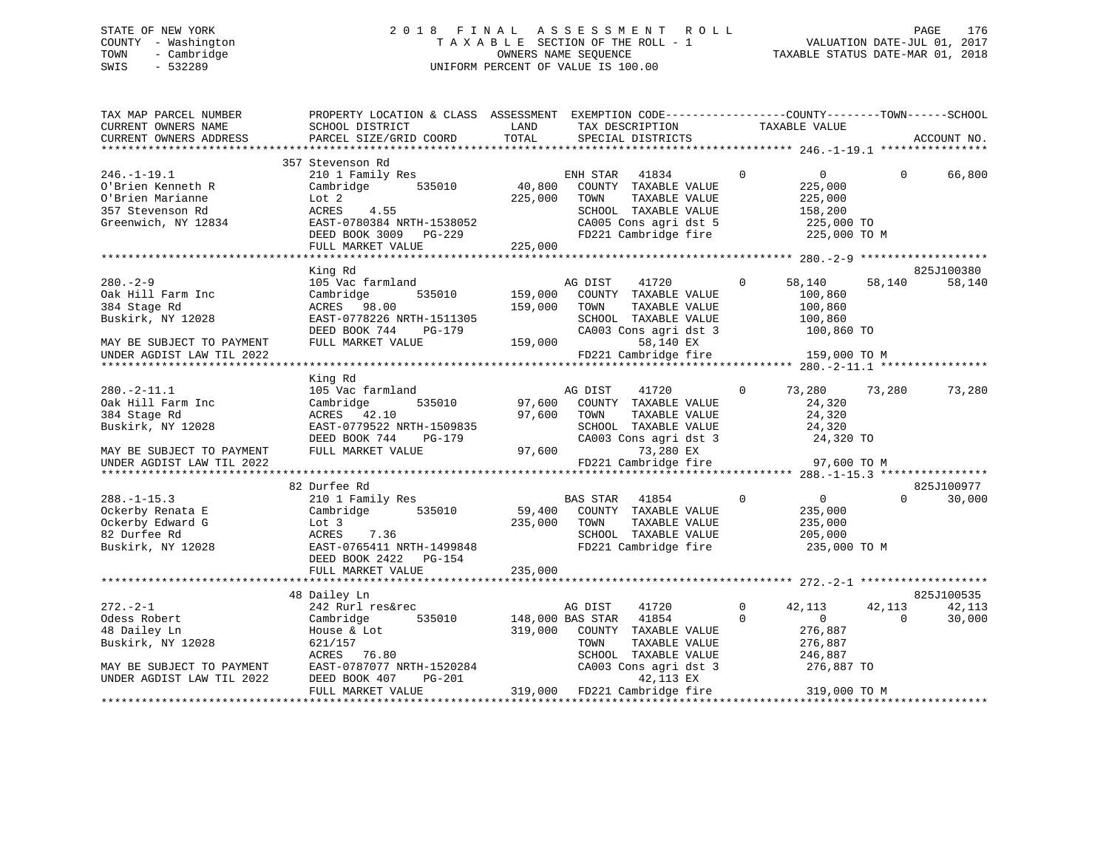# STATE OF NEW YORK 2 0 1 8 F I N A L A S S E S S M E N T R O L L PAGE 176 COUNTY - Washington T A X A B L E SECTION OF THE ROLL - 1 VALUATION DATE-JUL 01, 2017 TOWN - Cambridge OWNERS NAME SEQUENCE TAXABLE STATUS DATE-MAR 01, 2018 SWIS - 532289 UNIFORM PERCENT OF VALUE IS 100.00

| TAX MAP PARCEL NUMBER<br>CURRENT OWNERS NAME<br>CURRENT OWNERS ADDRESS                                | PROPERTY LOCATION & CLASS ASSESSMENT EXEMPTION CODE----------------COUNTY-------TOWN------SCHOOL<br>SCHOOL DISTRICT<br>PARCEL SIZE/GRID COORD  | LAND<br>TOTAL                 | TAX DESCRIPTION<br>SPECIAL DISTRICTS                                                                                                        |              | TAXABLE VALUE                                                                 |          | ACCOUNT NO.          |
|-------------------------------------------------------------------------------------------------------|------------------------------------------------------------------------------------------------------------------------------------------------|-------------------------------|---------------------------------------------------------------------------------------------------------------------------------------------|--------------|-------------------------------------------------------------------------------|----------|----------------------|
|                                                                                                       |                                                                                                                                                |                               |                                                                                                                                             |              |                                                                               |          |                      |
| $246. - 1 - 19.1$<br>O'Brien Kenneth R<br>O'Brien Marianne<br>357 Stevenson Rd<br>Greenwich, NY 12834 | 357 Stevenson Rd<br>210 1 Family Res<br>535010<br>Cambridge<br>Lot 2<br>4.55<br>ACRES<br>EAST-0780384 NRTH-1538052<br>DEED BOOK 3009 PG-229    | 40,800<br>225,000             | 41834<br>ENH STAR<br>COUNTY TAXABLE VALUE<br>TOWN<br>TAXABLE VALUE<br>SCHOOL TAXABLE VALUE<br>CA005 Cons agri dst 5<br>FD221 Cambridge fire | $\mathbf 0$  | $\overline{0}$<br>225,000<br>225,000<br>158,200<br>225,000 TO<br>225,000 TO M | $\Omega$ | 66,800               |
|                                                                                                       | FULL MARKET VALUE                                                                                                                              | 225,000                       |                                                                                                                                             |              |                                                                               |          |                      |
|                                                                                                       |                                                                                                                                                |                               |                                                                                                                                             |              |                                                                               |          | 825J100380           |
| $280 - 2 - 9$<br>Oak Hill Farm Inc<br>384 Stage Rd<br>Buskirk, NY 12028<br>MAY BE SUBJECT TO PAYMENT  | King Rd<br>105 Vac farmland<br>535010<br>Cambridge<br>ACRES 98.00<br>EAST-0778226 NRTH-1511305<br>DEED BOOK 744<br>PG-179<br>FULL MARKET VALUE | 159,000<br>159,000<br>159,000 | AG DIST<br>41720<br>COUNTY TAXABLE VALUE<br>TOWN<br>TAXABLE VALUE<br>SCHOOL TAXABLE VALUE<br>CA003 Cons agri dst 3<br>58,140 EX             | $\mathbf 0$  | 58,140<br>100,860<br>100,860<br>100,860<br>100,860 TO                         | 58,140   | 58,140               |
| UNDER AGDIST LAW TIL 2022                                                                             |                                                                                                                                                |                               | FD221 Cambridge fire                                                                                                                        |              | 159,000 TO M                                                                  |          |                      |
|                                                                                                       |                                                                                                                                                |                               |                                                                                                                                             |              |                                                                               |          |                      |
| $280. -2 - 11.1$                                                                                      | King Rd<br>105 Vac farmland                                                                                                                    |                               | AG DIST<br>41720                                                                                                                            | $\mathbf{0}$ | 73,280                                                                        | 73,280   | 73,280               |
| Oak Hill Farm Inc<br>384 Stage Rd<br>Buskirk, NY 12028                                                | 535010<br>Cambridge<br>ACRES 42.10<br>EAST-0779522 NRTH-1509835<br>DEED BOOK 744<br>PG-179                                                     | 97,600<br>97,600              | COUNTY TAXABLE VALUE<br>TOWN<br>TAXABLE VALUE<br>SCHOOL TAXABLE VALUE<br>CA003 Cons agri dst 3                                              |              | 24,320<br>24,320<br>24,320<br>24,320 TO                                       |          |                      |
| MAY BE SUBJECT TO PAYMENT                                                                             | FULL MARKET VALUE                                                                                                                              | 97,600                        | 73,280 EX                                                                                                                                   |              |                                                                               |          |                      |
| UNDER AGDIST LAW TIL 2022                                                                             |                                                                                                                                                |                               | FD221 Cambridge fire                                                                                                                        |              | 97,600 TO M                                                                   |          |                      |
|                                                                                                       |                                                                                                                                                |                               |                                                                                                                                             |              |                                                                               |          |                      |
| $288. - 1 - 15.3$<br>Ockerby Renata E<br>Ockerby Edward G<br>82 Durfee Rd<br>Buskirk, NY 12028        | 82 Durfee Rd<br>210 1 Family Res<br>Cambridge<br>535010<br>Lot 3<br>ACRES<br>7.36<br>EAST-0765411 NRTH-1499848<br>DEED BOOK 2422 PG-154        | 59,400<br>235,000             | BAS STAR<br>41854<br>COUNTY TAXABLE VALUE<br>TOWN<br>TAXABLE VALUE<br>SCHOOL TAXABLE VALUE<br>FD221 Cambridge fire                          | $\mathbf 0$  | $0 \qquad \qquad$<br>235,000<br>235,000<br>205,000<br>235,000 TO M            | $\Omega$ | 825J100977<br>30,000 |
|                                                                                                       | FULL MARKET VALUE                                                                                                                              | 235,000                       |                                                                                                                                             |              |                                                                               |          |                      |
|                                                                                                       |                                                                                                                                                |                               |                                                                                                                                             |              |                                                                               |          |                      |
| $272 - 2 - 1$                                                                                         | 48 Dailey Ln                                                                                                                                   |                               | AG DIST<br>41720                                                                                                                            | $\Omega$     | 42,113                                                                        | 42,113   | 825J100535<br>42,113 |
| Odess Robert                                                                                          | 242 Rurl res&rec<br>Cambridge<br>535010                                                                                                        | 148,000 BAS STAR              | 41854                                                                                                                                       | $\Omega$     | $\overline{0}$                                                                | $\Omega$ | 30,000               |
| 48 Dailey Ln<br>Buskirk, NY 12028                                                                     | House & Lot<br>621/157<br>76.80<br>ACRES                                                                                                       | 319,000                       | COUNTY TAXABLE VALUE<br>TOWN<br>TAXABLE VALUE<br>SCHOOL TAXABLE VALUE                                                                       |              | 276,887<br>276,887<br>246,887                                                 |          |                      |
| MAY BE SUBJECT TO PAYMENT                                                                             | EAST-0787077 NRTH-1520284                                                                                                                      |                               | CA003 Cons agri dst 3                                                                                                                       |              | 276,887 TO                                                                    |          |                      |
| UNDER AGDIST LAW TIL 2022                                                                             | DEED BOOK 407<br>PG-201                                                                                                                        |                               | 42,113 EX                                                                                                                                   |              |                                                                               |          |                      |
|                                                                                                       | FULL MARKET VALUE                                                                                                                              |                               | 319,000 FD221 Cambridge fire                                                                                                                |              | 319,000 TO M                                                                  |          |                      |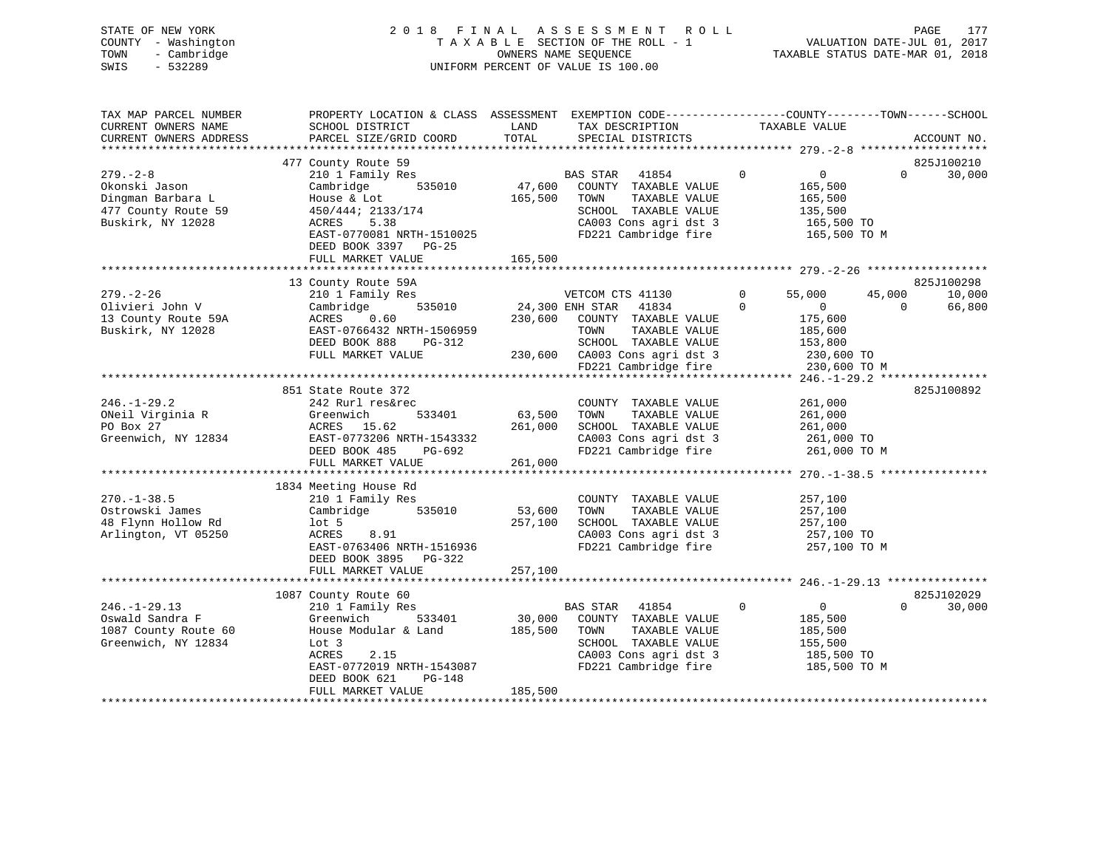| STATE OF NEW YORK   | 2018 FINAL ASSESSMENT ROLL<br>177<br>PAGE                      |  |
|---------------------|----------------------------------------------------------------|--|
| COUNTY - Washington | VALUATION DATE-JUL 01, 2017<br>TAXABLE SECTION OF THE ROLL - 1 |  |
| TOWN<br>- Cambridge | TAXABLE STATUS DATE-MAR 01, 2018<br>OWNERS NAME SEOUENCE       |  |
| SWIS<br>- 532289    | UNIFORM PERCENT OF VALUE IS 100.00                             |  |

| TAX MAP PARCEL NUMBER  | PROPERTY LOCATION & CLASS ASSESSMENT EXEMPTION CODE----------------COUNTY-------TOWN-----SCHOOL |         |                               |              |                |          |             |
|------------------------|-------------------------------------------------------------------------------------------------|---------|-------------------------------|--------------|----------------|----------|-------------|
| CURRENT OWNERS NAME    | SCHOOL DISTRICT                                                                                 | LAND    | TAX DESCRIPTION               |              | TAXABLE VALUE  |          |             |
| CURRENT OWNERS ADDRESS | PARCEL SIZE/GRID COORD                                                                          | TOTAL   | SPECIAL DISTRICTS             |              |                |          | ACCOUNT NO. |
|                        |                                                                                                 |         |                               |              |                |          |             |
|                        | 477 County Route 59                                                                             |         |                               |              |                |          | 825J100210  |
| $279. - 2 - 8$         | 210 1 Family Res                                                                                |         | BAS STAR<br>41854             | $\mathbf 0$  | 0              | $\Omega$ | 30,000      |
| Okonski Jason          | 535010<br>Cambridge                                                                             | 47,600  | COUNTY TAXABLE VALUE          |              | 165,500        |          |             |
| Dingman Barbara L      | House & Lot                                                                                     | 165,500 | TAXABLE VALUE<br>TOWN         |              | 165,500        |          |             |
| 477 County Route 59    | 450/444; 2133/174                                                                               |         | SCHOOL TAXABLE VALUE          |              | 135,500        |          |             |
| Buskirk, NY 12028      | ACRES<br>5.38                                                                                   |         | CA003 Cons agri dst 3         |              |                |          |             |
|                        | EAST-0770081 NRTH-1510025                                                                       |         |                               |              | 165,500 TO     |          |             |
|                        |                                                                                                 |         | FD221 Cambridge fire          |              | 165,500 TO M   |          |             |
|                        | DEED BOOK 3397 PG-25                                                                            |         |                               |              |                |          |             |
|                        | FULL MARKET VALUE                                                                               | 165,500 |                               |              |                |          |             |
|                        |                                                                                                 |         |                               |              |                |          |             |
|                        | 13 County Route 59A                                                                             |         |                               |              |                |          | 825J100298  |
| $279. - 2 - 26$        | 210 1 Family Res                                                                                |         | VETCOM CTS 41130              | $\mathbf{0}$ | 55,000         | 45,000   | 10,000      |
| Olivieri John V        | 535010<br>Cambridge                                                                             |         | 24,300 ENH STAR<br>41834      | $\Omega$     | $\sim$ 0       | $\Omega$ | 66,800      |
| 13 County Route 59A    | ACRES<br>0.60                                                                                   | 230,600 | COUNTY TAXABLE VALUE          |              | 175,600        |          |             |
| Buskirk, NY 12028      | EAST-0766432 NRTH-1506959                                                                       |         | TOWN<br>TAXABLE VALUE         |              | 185,600        |          |             |
|                        | DEED BOOK 888<br>PG-312                                                                         |         | SCHOOL TAXABLE VALUE          |              | 153,800        |          |             |
|                        | FULL MARKET VALUE                                                                               |         | 230,600 CA003 Cons agri dst 3 |              | 230,600 TO     |          |             |
|                        |                                                                                                 |         | FD221 Cambridge fire          |              | 230,600 TO M   |          |             |
|                        |                                                                                                 |         |                               |              |                |          |             |
|                        | 851 State Route 372                                                                             |         |                               |              |                |          | 825J100892  |
| $246. - 1 - 29.2$      | 242 Rurl res&rec                                                                                |         | COUNTY TAXABLE VALUE          |              | 261,000        |          |             |
| ONeil Virginia R       | 533401<br>Greenwich                                                                             | 63,500  | TOWN<br>TAXABLE VALUE         |              | 261,000        |          |             |
| PO Box 27              | ACRES 15.62                                                                                     | 261,000 | SCHOOL TAXABLE VALUE          |              | 261,000        |          |             |
| Greenwich, NY 12834    |                                                                                                 |         | CA003 Cons agri dst 3         |              |                |          |             |
|                        | EAST-0773206 NRTH-1543332                                                                       |         |                               |              | 261,000 TO     |          |             |
|                        | DEED BOOK 485<br>PG-692                                                                         |         | FD221 Cambridge fire          |              | 261,000 TO M   |          |             |
|                        | FULL MARKET VALUE                                                                               | 261,000 |                               |              |                |          |             |
|                        |                                                                                                 |         |                               |              |                |          |             |
|                        | 1834 Meeting House Rd                                                                           |         |                               |              |                |          |             |
| $270. - 1 - 38.5$      | 210 1 Family Res                                                                                |         | COUNTY TAXABLE VALUE          |              | 257,100        |          |             |
| Ostrowski James        | 535010<br>Cambridge                                                                             | 53,600  | TOWN<br>TAXABLE VALUE         |              | 257,100        |          |             |
| 48 Flynn Hollow Rd     | $1$ ot 5                                                                                        | 257,100 | SCHOOL TAXABLE VALUE          |              | 257,100        |          |             |
| Arlington, VT 05250    | 8.91<br>ACRES                                                                                   |         | CA003 Cons agri dst 3         |              | 257,100 TO     |          |             |
|                        | EAST-0763406 NRTH-1516936                                                                       |         | FD221 Cambridge fire          |              | 257,100 TO M   |          |             |
|                        | DEED BOOK 3895 PG-322                                                                           |         |                               |              |                |          |             |
|                        | FULL MARKET VALUE                                                                               | 257,100 |                               |              |                |          |             |
|                        |                                                                                                 |         |                               |              |                |          |             |
|                        | 1087 County Route 60                                                                            |         |                               |              |                |          | 825J102029  |
| $246. - 1 - 29.13$     | 210 1 Family Res                                                                                |         | 41854<br>BAS STAR             | $\mathbf{0}$ | $\overline{0}$ | $\Omega$ | 30,000      |
| Oswald Sandra F        | 533401<br>Greenwich                                                                             |         | 30,000 COUNTY TAXABLE VALUE   |              | 185,500        |          |             |
| 1087 County Route 60   | House Modular & Land                                                                            | 185,500 | TOWN<br>TAXABLE VALUE         |              | 185,500        |          |             |
|                        | Lot 3                                                                                           |         | SCHOOL TAXABLE VALUE          |              |                |          |             |
| Greenwich, NY 12834    |                                                                                                 |         | CA003 Cons agri dst 3         |              | 155,500        |          |             |
|                        | <b>ACRES</b><br>2.15                                                                            |         |                               |              | 185,500 TO     |          |             |
|                        | EAST-0772019 NRTH-1543087                                                                       |         | FD221 Cambridge fire          |              | 185,500 TO M   |          |             |
|                        | DEED BOOK 621<br>$PG-148$                                                                       |         |                               |              |                |          |             |
|                        | FULL MARKET VALUE                                                                               | 185,500 |                               |              |                |          |             |
|                        |                                                                                                 |         |                               |              |                |          |             |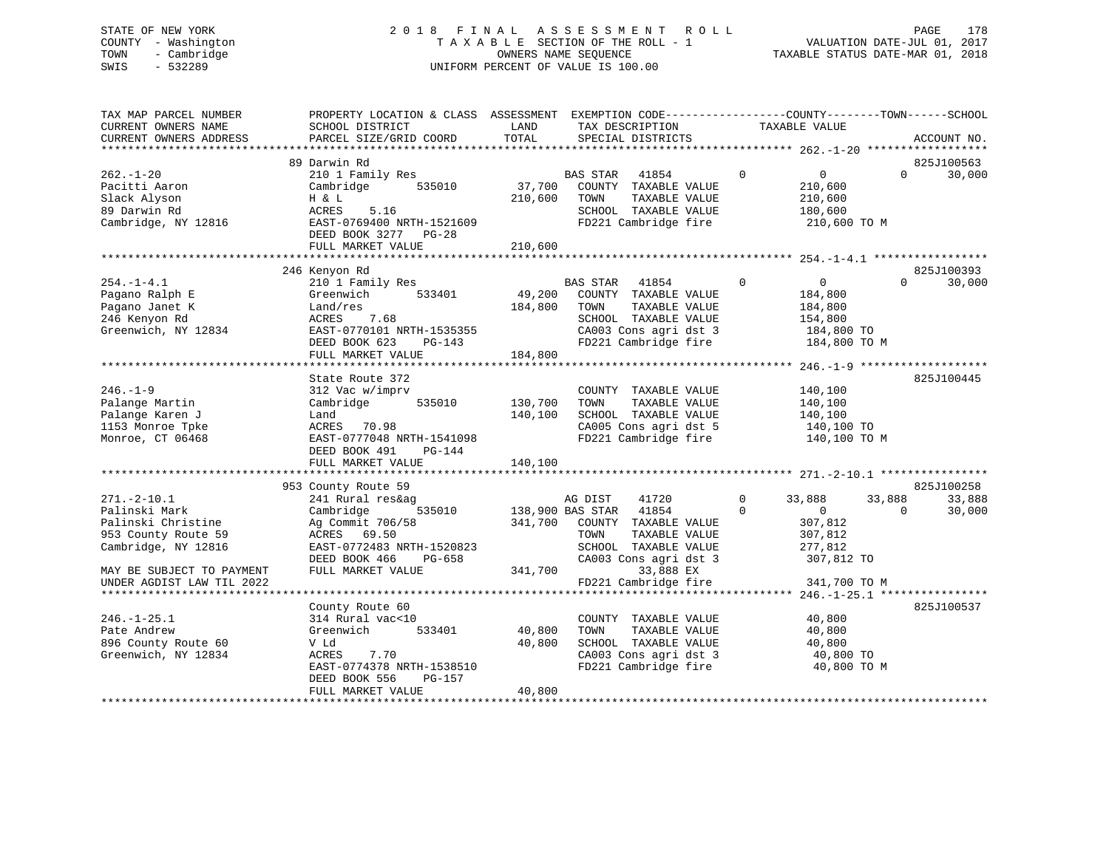# STATE OF NEW YORK 2 0 1 8 F I N A L A S S E S S M E N T R O L L PAGE 178 COUNTY - Washington T A X A B L E SECTION OF THE ROLL - 1 VALUATION DATE-JUL 01, 2017 TOWN - Cambridge OWNERS NAME SEQUENCE TAXABLE STATUS DATE-MAR 01, 2018 SWIS - 532289 UNIFORM PERCENT OF VALUE IS 100.00

| TAX MAP PARCEL NUMBER<br>CURRENT OWNERS NAME<br>CURRENT OWNERS ADDRESS                                 | PROPERTY LOCATION & CLASS ASSESSMENT<br>SCHOOL DISTRICT<br>PARCEL SIZE/GRID COORD                                                                                  | LAND<br>TOTAL                 | EXEMPTION CODE-----------------COUNTY-------TOWN------SCHOOL<br>TAX DESCRIPTION<br>SPECIAL DISTRICTS                                        |                          | TAXABLE VALUE                                                                 |                    | ACCOUNT NO.          |
|--------------------------------------------------------------------------------------------------------|--------------------------------------------------------------------------------------------------------------------------------------------------------------------|-------------------------------|---------------------------------------------------------------------------------------------------------------------------------------------|--------------------------|-------------------------------------------------------------------------------|--------------------|----------------------|
|                                                                                                        |                                                                                                                                                                    |                               |                                                                                                                                             |                          |                                                                               |                    |                      |
| $262. - 1 - 20$<br>Pacitti Aaron<br>Slack Alyson<br>89 Darwin Rd<br>Cambridge, NY 12816                | 89 Darwin Rd<br>210 1 Family Res<br>Cambridge<br>535010<br>H & L<br>5.16<br>ACRES<br>EAST-0769400 NRTH-1521609<br>DEED BOOK 3277 PG-28<br>FULL MARKET VALUE        | 37,700<br>210,600<br>210,600  | BAS STAR<br>41854<br>COUNTY TAXABLE VALUE<br>TAXABLE VALUE<br>TOWN<br>SCHOOL TAXABLE VALUE<br>FD221 Cambridge fire                          | $\mathbf{0}$             | $\overline{0}$<br>210,600<br>210,600<br>180,600<br>210,600 TO M               | $\Omega$           | 825J100563<br>30,000 |
|                                                                                                        |                                                                                                                                                                    |                               |                                                                                                                                             |                          |                                                                               |                    |                      |
| $254. - 1 - 4.1$<br>Pagano Ralph E<br>Pagano Janet K<br>246 Kenyon Rd<br>Greenwich, NY 12834           | 246 Kenyon Rd<br>210 1 Family Res<br>Greenwich<br>533401<br>Land/res<br>ACRES<br>7.68<br>EAST-0770101 NRTH-1535355<br>DEED BOOK 623<br>PG-143<br>FULL MARKET VALUE | 49,200<br>184,800<br>184,800  | BAS STAR<br>41854<br>COUNTY TAXABLE VALUE<br>TOWN<br>TAXABLE VALUE<br>SCHOOL TAXABLE VALUE<br>CA003 Cons agri dst 3<br>FD221 Cambridge fire | $\mathbf{0}$             | $\overline{0}$<br>184,800<br>184,800<br>154,800<br>184,800 TO<br>184,800 TO M | $\Omega$           | 825J100393<br>30,000 |
|                                                                                                        | State Route 372                                                                                                                                                    |                               |                                                                                                                                             |                          |                                                                               |                    | 825J100445           |
| $246. - 1 - 9$<br>Palange Martin<br>Palange Karen J<br>1153 Monroe Tpke<br>Monroe, CT 06468            | 312 Vac w/imprv<br>535010<br>Cambridge<br>Land<br>ACRES 70.98<br>EAST-0777048 NRTH-1541098<br>DEED BOOK 491<br>PG-144<br>FULL MARKET VALUE                         | 130,700<br>140,100<br>140,100 | COUNTY TAXABLE VALUE<br>TOWN<br>TAXABLE VALUE<br>SCHOOL TAXABLE VALUE<br>CA005 Cons agri dst 5<br>FD221 Cambridge fire                      |                          | 140,100<br>140,100<br>140,100<br>140,100 TO<br>140,100 TO M                   |                    |                      |
|                                                                                                        | 953 County Route 59                                                                                                                                                |                               |                                                                                                                                             |                          |                                                                               |                    | 825J100258           |
| $271. - 2 - 10.1$<br>Palinski Mark<br>Palinski Christine<br>953 County Route 59<br>Cambridge, NY 12816 | 241 Rural res&ag<br>535010<br>Cambridge<br>Ag Commit 706/58<br>ACRES<br>69.50<br>EAST-0772483 NRTH-1520823<br>DEED BOOK 466<br>PG-658                              | 138,900 BAS STAR              | 41720<br>AG DIST<br>41854<br>341,700 COUNTY TAXABLE VALUE<br>TAXABLE VALUE<br>TOWN<br>SCHOOL TAXABLE VALUE<br>CA003 Cons agri dst 3         | $\mathbf{0}$<br>$\Omega$ | 33,888<br>$\overline{0}$<br>307,812<br>307,812<br>277,812<br>307,812 TO       | 33,888<br>$\Omega$ | 33,888<br>30,000     |
| MAY BE SUBJECT TO PAYMENT<br>UNDER AGDIST LAW TIL 2022                                                 | FULL MARKET VALUE                                                                                                                                                  | 341,700                       | 33,888 EX<br>FD221 Cambridge fire                                                                                                           |                          | 341,700 TO M                                                                  |                    |                      |
| $246. - 1 - 25.1$<br>Pate Andrew<br>896 County Route 60<br>Greenwich, NY 12834                         | County Route 60<br>314 Rural vac<10<br>Greenwich<br>533401<br>V Ld<br>7.70<br>ACRES<br>EAST-0774378 NRTH-1538510<br>DEED BOOK 556<br>PG-157<br>FULL MARKET VALUE   | 40,800<br>40,800<br>40,800    | COUNTY TAXABLE VALUE<br>TOWN<br>TAXABLE VALUE<br>SCHOOL TAXABLE VALUE<br>CA003 Cons agri dst 3<br>FD221 Cambridge fire                      |                          | 40,800<br>40,800<br>40,800<br>40,800 TO<br>40,800 TO M                        |                    | 825J100537           |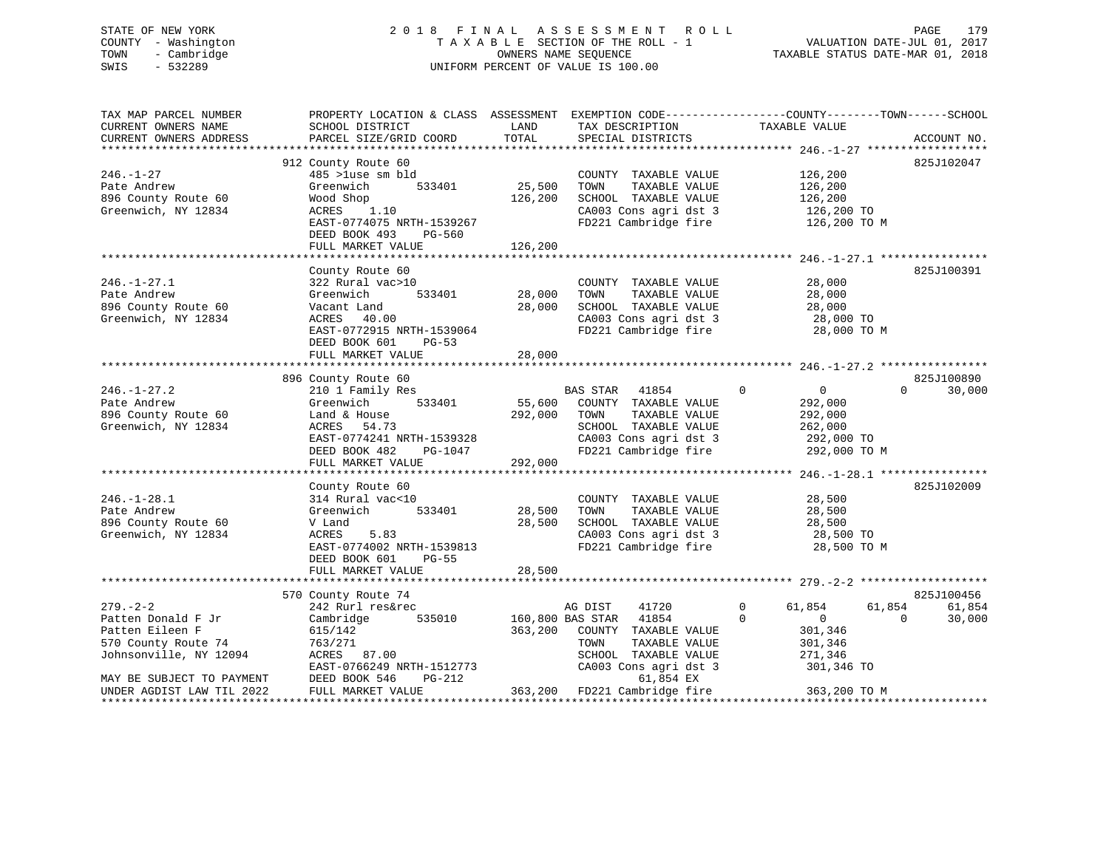# STATE OF NEW YORK 2 0 1 8 F I N A L A S S E S S M E N T R O L L PAGE 179 COUNTY - Washington T A X A B L E SECTION OF THE ROLL - 1 VALUATION DATE-JUL 01, 2017 TOWN - Cambridge OWNERS NAME SEQUENCE TAXABLE STATUS DATE-MAR 01, 2018 SWIS - 532289 UNIFORM PERCENT OF VALUE IS 100.00

| TAX MAP PARCEL NUMBER<br>CURRENT OWNERS NAME<br>CURRENT OWNERS ADDRESS | PROPERTY LOCATION & CLASS ASSESSMENT<br>SCHOOL DISTRICT<br>PARCEL SIZE/GRID COORD | LAND<br>TOTAL | TAX DESCRIPTION<br>SPECIAL DISTRICTS | EXEMPTION CODE-----------------COUNTY-------TOWN------SCHOOL<br>TAXABLE VALUE | ACCOUNT NO. |
|------------------------------------------------------------------------|-----------------------------------------------------------------------------------|---------------|--------------------------------------|-------------------------------------------------------------------------------|-------------|
|                                                                        |                                                                                   |               |                                      |                                                                               |             |
|                                                                        | 912 County Route 60                                                               |               |                                      |                                                                               | 825J102047  |
| $246. - 1 - 27$                                                        | 485 >luse sm bld                                                                  |               | COUNTY TAXABLE VALUE                 | 126,200                                                                       |             |
| Pate Andrew                                                            | Greenwich<br>533401                                                               | 25,500        | TOWN<br>TAXABLE VALUE                | 126,200                                                                       |             |
| 896 County Route 60                                                    | Wood Shop                                                                         | 126,200       | SCHOOL TAXABLE VALUE                 | 126,200                                                                       |             |
| Greenwich, NY 12834                                                    | ACRES<br>1.10                                                                     |               | CA003 Cons agri dst 3                | 126,200 TO                                                                    |             |
|                                                                        | EAST-0774075 NRTH-1539267<br>DEED BOOK 493<br>PG-560                              |               | FD221 Cambridge fire                 | 126,200 TO M                                                                  |             |
|                                                                        | FULL MARKET VALUE                                                                 | 126,200       |                                      |                                                                               |             |
|                                                                        |                                                                                   |               |                                      |                                                                               |             |
|                                                                        | County Route 60                                                                   |               |                                      |                                                                               | 825J100391  |
| $246. - 1 - 27.1$                                                      | 322 Rural vac>10                                                                  |               | COUNTY TAXABLE VALUE                 | 28,000                                                                        |             |
| Pate Andrew                                                            | 533401<br>Greenwich                                                               | 28,000        | TAXABLE VALUE<br>TOWN                | 28,000                                                                        |             |
| 896 County Route 60                                                    | Vacant Land                                                                       | 28,000        | SCHOOL TAXABLE VALUE                 | 28,000                                                                        |             |
| Greenwich, NY 12834                                                    | ACRES 40.00                                                                       |               | CA003 Cons agri dst 3                | 28,000 TO                                                                     |             |
|                                                                        | EAST-0772915 NRTH-1539064                                                         |               | FD221 Cambridge fire                 | 28,000 TO M                                                                   |             |
|                                                                        | DEED BOOK 601<br>$PG-53$                                                          |               |                                      |                                                                               |             |
|                                                                        | FULL MARKET VALUE                                                                 | 28,000        |                                      |                                                                               |             |
|                                                                        |                                                                                   |               |                                      |                                                                               |             |
|                                                                        | 896 County Route 60                                                               |               |                                      |                                                                               | 825J100890  |
| $246. - 1 - 27.2$                                                      | 210 1 Family Res                                                                  |               | BAS STAR<br>41854                    | $\Omega$<br>$\overline{0}$<br>$\Omega$                                        | 30,000      |
| Pate Andrew                                                            | 533401<br>Greenwich                                                               | 55,600        | COUNTY TAXABLE VALUE                 | 292,000                                                                       |             |
| 896 County Route 60                                                    | Land & House                                                                      | 292,000       | TOWN<br>TAXABLE VALUE                | 292,000                                                                       |             |
| Greenwich, NY 12834                                                    | ACRES 54.73                                                                       |               | SCHOOL TAXABLE VALUE                 | 262,000                                                                       |             |
|                                                                        | EAST-0774241 NRTH-1539328                                                         |               | CA003 Cons agri dst 3                | 292,000 TO                                                                    |             |
|                                                                        | DEED BOOK 482<br>PG-1047                                                          |               | FD221 Cambridge fire                 | 292,000 TO M                                                                  |             |
|                                                                        | FULL MARKET VALUE                                                                 | 292,000       |                                      |                                                                               |             |
|                                                                        |                                                                                   |               |                                      |                                                                               |             |
|                                                                        | County Route 60                                                                   |               |                                      |                                                                               | 825J102009  |
| $246. - 1 - 28.1$                                                      | 314 Rural vac<10                                                                  |               | COUNTY TAXABLE VALUE                 | 28,500                                                                        |             |
| Pate Andrew                                                            | 533401<br>Greenwich                                                               | 28,500        | TOWN<br>TAXABLE VALUE                | 28,500                                                                        |             |
| 896 County Route 60                                                    | V Land                                                                            | 28,500        | SCHOOL TAXABLE VALUE                 | 28,500                                                                        |             |
| Greenwich, NY 12834                                                    | 5.83<br>ACRES                                                                     |               | CA003 Cons agri dst 3                | 28,500 TO                                                                     |             |
|                                                                        | EAST-0774002 NRTH-1539813                                                         |               | FD221 Cambridge fire                 | 28,500 TO M                                                                   |             |
|                                                                        | DEED BOOK 601<br>$PG-55$<br>FULL MARKET VALUE                                     | 28,500        |                                      |                                                                               |             |
|                                                                        |                                                                                   |               |                                      |                                                                               |             |
|                                                                        | 570 County Route 74                                                               |               |                                      |                                                                               | 825J100456  |
| $279. - 2 - 2$                                                         | 242 Rurl res&rec                                                                  |               | AG DIST<br>41720                     | 61,854<br>$\mathbf{0}$<br>61,854                                              | 61,854      |
| Patten Donald F Jr                                                     | Cambridge<br>535010                                                               |               | 160,800 BAS STAR<br>41854            | $\Omega$<br>$\mathbf{0}$<br>$\Omega$                                          | 30,000      |
| Patten Eileen F                                                        | 615/142                                                                           | 363,200       | COUNTY TAXABLE VALUE                 | 301,346                                                                       |             |
| 570 County Route 74                                                    | 763/271                                                                           |               | TAXABLE VALUE<br>TOWN                | 301,346                                                                       |             |
| Johnsonville, NY 12094                                                 | ACRES 87.00                                                                       |               | SCHOOL TAXABLE VALUE                 | 271,346                                                                       |             |
|                                                                        | EAST-0766249 NRTH-1512773                                                         |               | CA003 Cons agri dst 3                | 301,346 TO                                                                    |             |
| MAY BE SUBJECT TO PAYMENT                                              | DEED BOOK 546<br>$PG-212$                                                         |               | 61,854 EX                            |                                                                               |             |
| UNDER AGDIST LAW TIL 2022                                              | FULL MARKET VALUE                                                                 |               | 363,200 FD221 Cambridge fire         | 363,200 TO M                                                                  |             |
|                                                                        |                                                                                   |               |                                      |                                                                               |             |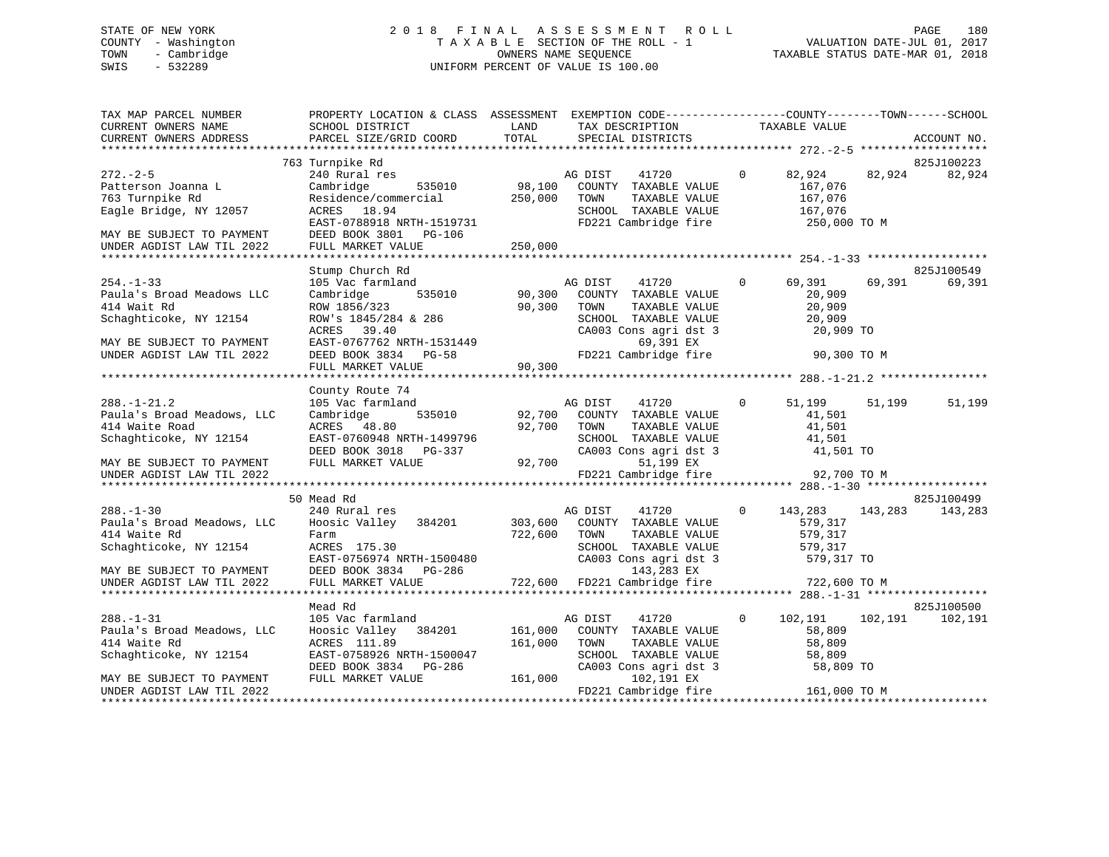# STATE OF NEW YORK 2 0 1 8 F I N A L A S S E S S M E N T R O L L PAGE 180 COUNTY - Washington T A X A B L E SECTION OF THE ROLL - 1 VALUATION DATE-JUL 01, 2017 TOWN - Cambridge OWNERS NAME SEQUENCE TAXABLE STATUS DATE-MAR 01, 2018 SWIS - 532289 UNIFORM PERCENT OF VALUE IS 100.00

| TAX MAP PARCEL NUMBER<br>CURRENT OWNERS NAME<br>CURRENT OWNERS ADDRESS                                                                          | PROPERTY LOCATION & CLASS ASSESSMENT EXEMPTION CODE----------------COUNTY-------TOWN------SCHOOL<br>SCHOOL DISTRICT<br>PARCEL SIZE/GRID COORD                                               | LAND<br>TOTAL                | TAX DESCRIPTION<br>SPECIAL DISTRICTS                                                                                                                    |              | TAXABLE VALUE                                                    |         | ACCOUNT NO.          |
|-------------------------------------------------------------------------------------------------------------------------------------------------|---------------------------------------------------------------------------------------------------------------------------------------------------------------------------------------------|------------------------------|---------------------------------------------------------------------------------------------------------------------------------------------------------|--------------|------------------------------------------------------------------|---------|----------------------|
|                                                                                                                                                 | 763 Turnpike Rd                                                                                                                                                                             |                              |                                                                                                                                                         |              |                                                                  |         | 825J100223           |
| $272 - 2 - 5$<br>Patterson Joanna L<br>763 Turnpike Rd<br>Eagle Bridge, NY 12057<br>MAY BE SUBJECT TO PAYMENT<br>UNDER AGDIST LAW TIL 2022      | 240 Rural res<br>535010<br>Cambridge<br>Residence/commercial<br>ACRES 18.94<br>EAST-0788918 NRTH-1519731<br>DEED BOOK 3801 PG-106<br>FULL MARKET VALUE                                      | 98,100<br>250,000<br>250,000 | AG DIST<br>41720<br>COUNTY TAXABLE VALUE<br>TOWN<br>TAXABLE VALUE<br>SCHOOL TAXABLE VALUE<br>FD221 Cambridge fire                                       | $\Omega$     | 82,924<br>167,076<br>167,076<br>167,076<br>250,000 TO M          | 82,924  | 82,924               |
|                                                                                                                                                 |                                                                                                                                                                                             |                              |                                                                                                                                                         |              |                                                                  |         |                      |
| $254. - 1 - 33$<br>Paula's Broad Meadows LLC<br>414 Wait Rd<br>Schaghticoke, NY 12154<br>MAY BE SUBJECT TO PAYMENT<br>UNDER AGDIST LAW TIL 2022 | Stump Church Rd<br>105 Vac farmland<br>535010<br>Cambridge<br>ROW 1856/323<br>ROW's 1845/284 & 286<br>ACRES 39.40<br>EAST-0767762 NRTH-1531449<br>DEED BOOK 3834 PG-58<br>FULL MARKET VALUE | 90,300<br>90,300<br>90,300   | AG DIST<br>41720<br>COUNTY TAXABLE VALUE<br>TOWN<br>TAXABLE VALUE<br>SCHOOL TAXABLE VALUE<br>CA003 Cons agri dst 3<br>69,391 EX<br>FD221 Cambridge fire | $\mathbf{0}$ | 69,391<br>20,909<br>20,909<br>20,909<br>20,909 TO<br>90,300 TO M | 69,391  | 825J100549<br>69,391 |
|                                                                                                                                                 |                                                                                                                                                                                             |                              |                                                                                                                                                         |              |                                                                  |         |                      |
| $288. - 1 - 21.2$<br>Paula's Broad Meadows, LLC<br>414 Waite Road<br>Schaghticoke, NY 12154<br>MAY BE SUBJECT TO PAYMENT                        | County Route 74<br>105 Vac farmland<br>535010<br>Cambridge<br>ACRES 48.80<br>EAST-0760948 NRTH-1499796<br>DEED BOOK 3018 PG-337<br>FULL MARKET VALUE                                        | 92,700<br>92,700<br>92,700   | AG DIST<br>41720<br>COUNTY TAXABLE VALUE<br>TOWN<br>TAXABLE VALUE<br>SCHOOL TAXABLE VALUE<br>CA003 Cons agri dst 3<br>51,199 EX                         | $\mathbf{0}$ | 51,199<br>41,501<br>41,501<br>41,501<br>41,501 TO                | 51,199  | 51,199               |
| UNDER AGDIST LAW TIL 2022                                                                                                                       |                                                                                                                                                                                             |                              | FD221 Cambridge fire                                                                                                                                    |              | 92,700 TO M                                                      |         |                      |
|                                                                                                                                                 |                                                                                                                                                                                             |                              |                                                                                                                                                         |              |                                                                  |         |                      |
|                                                                                                                                                 | 50 Mead Rd                                                                                                                                                                                  |                              |                                                                                                                                                         |              |                                                                  |         | 825J100499           |
| $288. - 1 - 30$<br>Paula's Broad Meadows, LLC<br>414 Waite Rd<br>Schaghticoke, NY 12154<br>MAY BE SUBJECT TO PAYMENT                            | 240 Rural res<br>Hoosic Valley 384201<br>Farm<br>ACRES 175.30<br>EAST-0756974 NRTH-1500480<br>DEED BOOK 3834 PG-286                                                                         | 722,600                      | AG DIST<br>41720<br>303,600 COUNTY TAXABLE VALUE<br>TAXABLE VALUE<br>TOWN<br>SCHOOL TAXABLE VALUE<br>CA003 Cons agri dst 3<br>143,283 EX                | $\Omega$     | 143,283<br>579,317<br>579,317<br>579,317<br>579,317 TO           | 143,283 | 143,283              |
| UNDER AGDIST LAW TIL 2022                                                                                                                       | FULL MARKET VALUE                                                                                                                                                                           |                              | 722,600 FD221 Cambridge fire                                                                                                                            |              | 722,600 TO M                                                     |         |                      |
|                                                                                                                                                 | Mead Rd                                                                                                                                                                                     |                              |                                                                                                                                                         |              |                                                                  |         | 825J100500           |
| $288. - 1 - 31$<br>Paula's Broad Meadows, LLC<br>414 Waite Rd<br>Schaghticoke, NY 12154                                                         | 105 Vac farmland<br>Hoosic Valley 384201<br>ACRES 111.89<br>EAST-0758926 NRTH-1500047<br>DEED BOOK 3834 PG-286                                                                              | 161,000<br>161,000           | AG DIST<br>41720<br>COUNTY TAXABLE VALUE<br>TAXABLE VALUE<br>TOWN<br>SCHOOL TAXABLE VALUE<br>CA003 Cons agri dst 3                                      | $\Omega$     | 102,191<br>58,809<br>58,809<br>58,809<br>58,809 TO               | 102,191 | 102,191              |
| MAY BE SUBJECT TO PAYMENT<br>UNDER AGDIST LAW TIL 2022                                                                                          | FULL MARKET VALUE                                                                                                                                                                           | 161,000                      | 102,191 EX<br>FD221 Cambridge fire                                                                                                                      |              | 161,000 TO M                                                     |         |                      |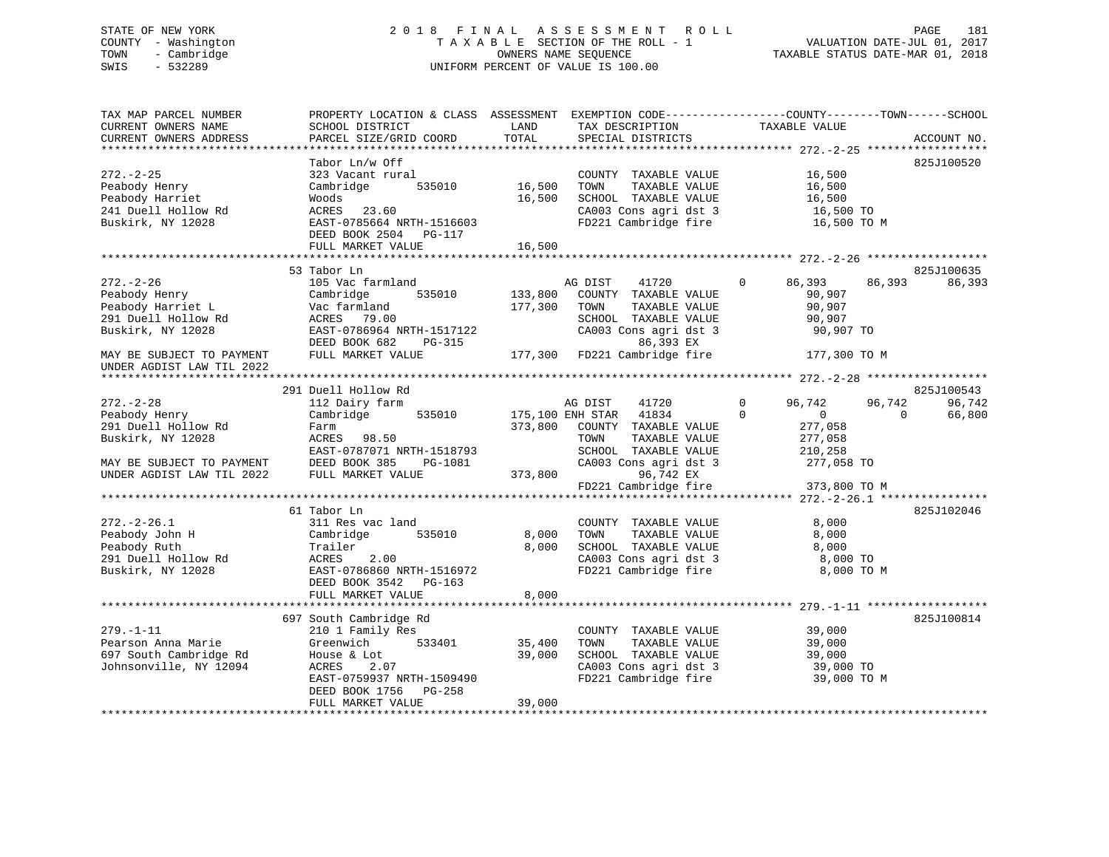# STATE OF NEW YORK 2 0 1 8 F I N A L A S S E S S M E N T R O L L PAGE 181 COUNTY - Washington T A X A B L E SECTION OF THE ROLL - 1 VALUATION DATE-JUL 01, 2017 TOWN - Cambridge OWNERS NAME SEQUENCE TAXABLE STATUS DATE-MAR 01, 2018 SWIS - 532289 UNIFORM PERCENT OF VALUE IS 100.00

| TAX MAP PARCEL NUMBER<br>CURRENT OWNERS NAME | SCHOOL DISTRICT                            | LAND    | TAX DESCRIPTION                               | PROPERTY LOCATION & CLASS ASSESSMENT EXEMPTION CODE---------------COUNTY-------TOWN------SCHOOL<br>TAXABLE VALUE |             |
|----------------------------------------------|--------------------------------------------|---------|-----------------------------------------------|------------------------------------------------------------------------------------------------------------------|-------------|
| CURRENT OWNERS ADDRESS                       | PARCEL SIZE/GRID COORD                     | TOTAL   | SPECIAL DISTRICTS                             |                                                                                                                  | ACCOUNT NO. |
|                                              | Tabor Ln/w Off                             |         |                                               |                                                                                                                  | 825J100520  |
| $272. - 2 - 25$                              | 323 Vacant rural                           |         | COUNTY TAXABLE VALUE                          | 16,500                                                                                                           |             |
| Peabody Henry                                | Cambridge<br>535010                        | 16,500  | TOWN<br>TAXABLE VALUE                         | 16,500                                                                                                           |             |
| Peabody Harriet                              | Woods                                      | 16,500  | SCHOOL TAXABLE VALUE                          |                                                                                                                  |             |
| 241 Duell Hollow Rd                          | ACRES 23.60                                |         | CA003 Cons agri dst 3                         | 16,500<br>16,500 TO                                                                                              |             |
| Buskirk, NY 12028                            | EAST-0785664 NRTH-1516603                  |         |                                               | FD221 Cambridge fire 16,500 TO M                                                                                 |             |
|                                              | DEED BOOK 2504 PG-117                      |         |                                               |                                                                                                                  |             |
|                                              | FULL MARKET VALUE                          | 16,500  |                                               |                                                                                                                  |             |
|                                              |                                            |         |                                               |                                                                                                                  |             |
|                                              | 53 Tabor Ln                                |         |                                               |                                                                                                                  | 825J100635  |
| $272. - 2 - 26$                              | 105 Vac farmland                           |         | 41720<br>AG DIST                              | $\Omega$<br>86,393<br>86,393                                                                                     | 86,393      |
| Peabody Henry                                | 535010<br>Cambridge                        | 133,800 | COUNTY TAXABLE VALUE                          | 90,907                                                                                                           |             |
| Peabody Harriet L                            | Vac farmland                               | 177,300 | TOWN<br>TAXABLE VALUE                         | 90,907                                                                                                           |             |
| 291 Duell Hollow Rd                          | ACRES 79.00                                |         | SCHOOL TAXABLE VALUE                          | 90,907                                                                                                           |             |
| Buskirk, NY 12028                            | EAST-0786964 NRTH-1517122                  |         | CA003 Cons agri dst 3                         | 90,907 TO                                                                                                        |             |
|                                              | DEED BOOK 682<br>PG-315                    |         | 86,393 EX                                     |                                                                                                                  |             |
| MAY BE SUBJECT TO PAYMENT                    | FULL MARKET VALUE                          |         | 177,300 FD221 Cambridge fire                  | 177,300 TO M                                                                                                     |             |
| UNDER AGDIST LAW TIL 2022                    |                                            |         |                                               |                                                                                                                  |             |
|                                              |                                            |         |                                               |                                                                                                                  |             |
|                                              | 291 Duell Hollow Rd                        |         |                                               |                                                                                                                  | 825J100543  |
| $272. - 2 - 28$                              | 112 Dairy farm                             |         | 41720<br>AG DIST                              | 96,742<br>$\overline{0}$<br>96,742                                                                               | 96,742      |
| Peabody Henry                                | Cambridge 535010                           |         | 175,100 ENH STAR 41834                        | $\Omega$<br>$\overline{0}$<br>$\Omega$                                                                           | 66,800      |
| 291 Duell Hollow Rd                          | Farm                                       | 373,800 | COUNTY TAXABLE VALUE                          | 277,058                                                                                                          |             |
| Buskirk, NY 12028                            | ACRES 98.50                                |         | TOWN<br>TAXABLE VALUE                         | 277,058                                                                                                          |             |
|                                              | EAST-0787071 NRTH-1518793                  |         | SCHOOL TAXABLE VALUE                          | 210,258                                                                                                          |             |
| MAY BE SUBJECT TO PAYMENT                    | DEED BOOK 385<br>PG-1081                   |         | CA003 Cons agri dst 3                         | 277,058 TO                                                                                                       |             |
| UNDER AGDIST LAW TIL 2022                    | FULL MARKET VALUE                          | 373,800 | 96,742 EX                                     |                                                                                                                  |             |
|                                              |                                            |         | FD221 Cambridge fire                          | 373,800 TO M                                                                                                     |             |
|                                              |                                            |         |                                               |                                                                                                                  |             |
|                                              | 61 Tabor Ln                                |         |                                               |                                                                                                                  | 825J102046  |
| $272. - 2 - 26.1$                            | 311 Res vac land                           |         | COUNTY TAXABLE VALUE                          | 8,000                                                                                                            |             |
| Peabody John H                               | Cambridge<br>535010                        | 8,000   | TOWN<br>TAXABLE VALUE                         | 8,000                                                                                                            |             |
| Peabody Ruth                                 | Trailer                                    | 8,000   | SCHOOL TAXABLE VALUE                          | 8,000                                                                                                            |             |
| 291 Duell Hollow Rd                          | ACRES<br>2.00                              |         | CA003 Cons agri dst 3<br>FD221 Cambridge fire | 8,000 TO                                                                                                         |             |
| Buskirk, NY 12028                            | EAST-0786860 NRTH-1516972                  |         |                                               | 8,000 TO M                                                                                                       |             |
|                                              | DEED BOOK 3542 PG-163<br>FULL MARKET VALUE | 8,000   |                                               |                                                                                                                  |             |
|                                              |                                            |         |                                               |                                                                                                                  |             |
|                                              | 697 South Cambridge Rd                     |         |                                               |                                                                                                                  | 825J100814  |
| $279. - 1 - 11$                              | 210 1 Family Res                           |         | COUNTY TAXABLE VALUE                          | 39,000                                                                                                           |             |
| Pearson Anna Marie                           | Greenwich<br>533401                        | 35,400  | TOWN<br>TAXABLE VALUE                         | 39,000                                                                                                           |             |
| 697 South Cambridge Rd                       | House & Lot                                | 39,000  | SCHOOL TAXABLE VALUE                          | 39,000                                                                                                           |             |
| Johnsonville, NY 12094                       | ACRES<br>2.07                              |         | CA003 Cons agri dst 3                         | 39,000 TO                                                                                                        |             |
|                                              | EAST-0759937 NRTH-1509490                  |         | FD221 Cambridge fire                          | 39,000 TO M                                                                                                      |             |
|                                              | DEED BOOK 1756 PG-258                      |         |                                               |                                                                                                                  |             |
|                                              | FULL MARKET VALUE                          | 39,000  |                                               |                                                                                                                  |             |
|                                              |                                            |         |                                               |                                                                                                                  |             |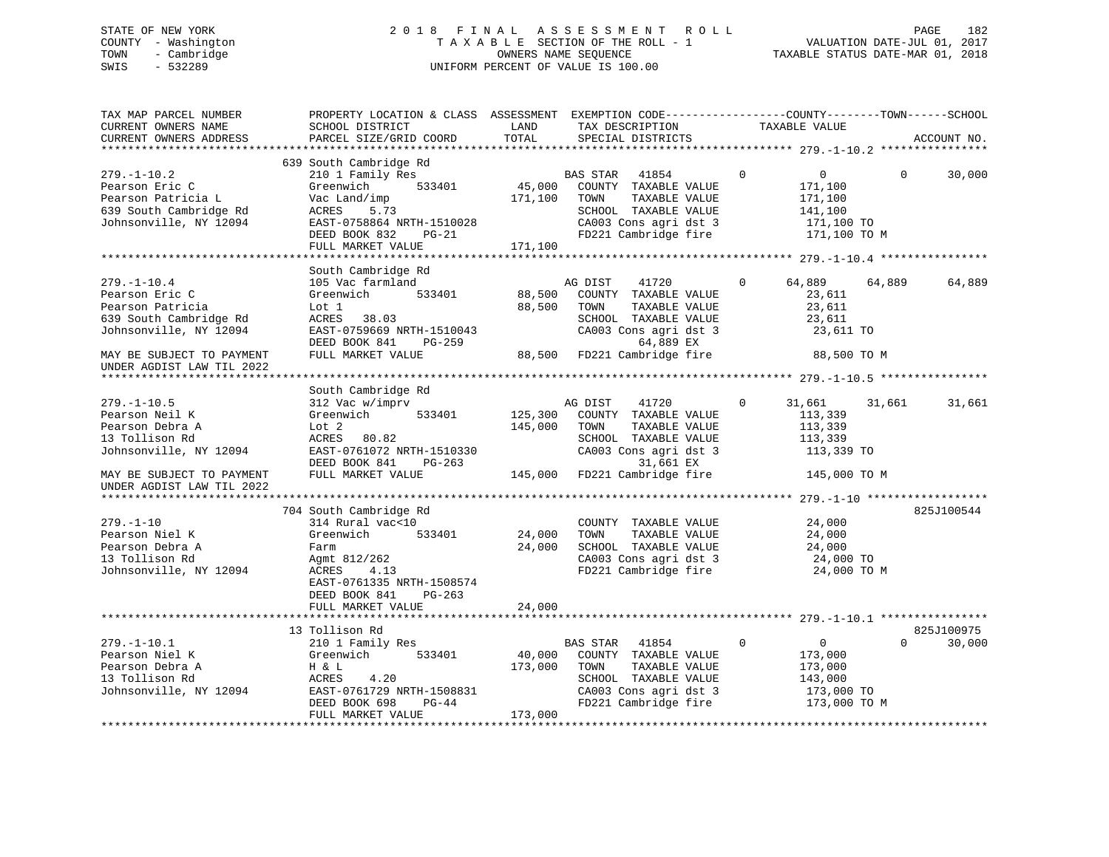# STATE OF NEW YORK 2 0 1 8 F I N A L A S S E S S M E N T R O L L PAGE 182 COUNTY - Washington T A X A B L E SECTION OF THE ROLL - 1 VALUATION DATE-JUL 01, 2017 TOWN - Cambridge OWNERS NAME SEQUENCE TAXABLE STATUS DATE-MAR 01, 2018 SWIS - 532289 UNIFORM PERCENT OF VALUE IS 100.00

| TAX MAP PARCEL NUMBER<br>CURRENT OWNERS NAME<br>CURRENT OWNERS ADDRESS                                        | PROPERTY LOCATION & CLASS ASSESSMENT EXEMPTION CODE---------------COUNTY-------TOWN------SCHOOL<br>SCHOOL DISTRICT<br>PARCEL SIZE/GRID COORD                                              | LAND<br>TOTAL                | TAX DESCRIPTION<br>SPECIAL DISTRICTS                                                                                                        | TAXABLE VALUE                                                                                | ACCOUNT NO.                      |
|---------------------------------------------------------------------------------------------------------------|-------------------------------------------------------------------------------------------------------------------------------------------------------------------------------------------|------------------------------|---------------------------------------------------------------------------------------------------------------------------------------------|----------------------------------------------------------------------------------------------|----------------------------------|
| $279. - 1 - 10.2$<br>Pearson Eric C<br>Pearson Patricia L<br>639 South Cambridge Rd<br>Johnsonville, NY 12094 | 639 South Cambridge Rd<br>210 1 Family Res<br>533401<br>Greenwich<br>Vac Land/imp<br>ACRES<br>5.73<br>EAST-0758864 NRTH-1510028<br>DEED BOOK 832<br>PG-21<br>FULL MARKET VALUE            | 45,000<br>171,100<br>171,100 | BAS STAR<br>41854<br>COUNTY TAXABLE VALUE<br>TAXABLE VALUE<br>TOWN<br>SCHOOL TAXABLE VALUE<br>CA003 Cons agri dst 3<br>FD221 Cambridge fire | $\mathbf 0$<br>$\overline{0}$<br>171,100<br>171,100<br>141,100<br>171,100 TO<br>171,100 TO M | $\Omega$<br>30,000               |
|                                                                                                               |                                                                                                                                                                                           |                              |                                                                                                                                             |                                                                                              |                                  |
| $279. - 1 - 10.4$<br>Pearson Eric C<br>Pearson Patricia<br>639 South Cambridge Rd<br>Johnsonville, NY 12094   | South Cambridge Rd<br>105 Vac farmland<br>533401<br>Greenwich<br>Lot 1<br>ACRES 38.03<br>EAST-0759669 NRTH-1510043<br>DEED BOOK 841<br>PG-259                                             | 88,500<br>88,500             | AG DIST<br>41720<br>COUNTY TAXABLE VALUE<br>TOWN<br>TAXABLE VALUE<br>SCHOOL TAXABLE VALUE<br>CA003 Cons agri dst 3<br>64,889 EX             | 64,889<br>$\Omega$<br>23,611<br>23,611<br>23,611<br>23,611 TO                                | 64,889<br>64,889                 |
| MAY BE SUBJECT TO PAYMENT<br>UNDER AGDIST LAW TIL 2022                                                        | FULL MARKET VALUE                                                                                                                                                                         | 88,500                       | FD221 Cambridge fire                                                                                                                        | 88,500 TO M                                                                                  |                                  |
|                                                                                                               |                                                                                                                                                                                           |                              |                                                                                                                                             |                                                                                              |                                  |
| $279. - 1 - 10.5$<br>Pearson Neil K<br>Pearson Debra A<br>13 Tollison Rd<br>Johnsonville, NY 12094            | South Cambridge Rd<br>312 Vac w/imprv<br>Greenwich<br>533401<br>Lot <sub>2</sub><br>ACRES 80.82<br>EAST-0761072 NRTH-1510330<br>DEED BOOK 841<br>PG-263                                   | 125,300<br>145,000           | 41720<br>AG DIST<br>COUNTY TAXABLE VALUE<br>TOWN<br>TAXABLE VALUE<br>SCHOOL TAXABLE VALUE<br>CA003 Cons agri dst 3<br>31,661 EX             | $\mathbf 0$<br>31,661<br>113,339<br>113,339<br>113,339<br>113,339 TO                         | 31,661<br>31,661                 |
| MAY BE SUBJECT TO PAYMENT<br>UNDER AGDIST LAW TIL 2022                                                        | FULL MARKET VALUE                                                                                                                                                                         | 145,000                      | FD221 Cambridge fire                                                                                                                        | 145,000 TO M                                                                                 |                                  |
|                                                                                                               |                                                                                                                                                                                           |                              |                                                                                                                                             |                                                                                              |                                  |
| $279. - 1 - 10$<br>Pearson Niel K<br>Pearson Debra A<br>13 Tollison Rd<br>Johnsonville, NY 12094              | 704 South Cambridge Rd<br>314 Rural vac<10<br>Greenwich<br>533401<br>Farm<br>Agmt 812/262<br>ACRES<br>4.13<br>EAST-0761335 NRTH-1508574<br>DEED BOOK 841<br>$PG-263$<br>FULL MARKET VALUE | 24,000<br>24,000<br>24,000   | COUNTY TAXABLE VALUE<br>TAXABLE VALUE<br>TOWN<br>SCHOOL TAXABLE VALUE<br>CA003 Cons agri dst 3<br>FD221 Cambridge fire                      | 24,000<br>24,000<br>24,000<br>24,000 TO<br>24,000 TO M                                       | 825J100544                       |
|                                                                                                               |                                                                                                                                                                                           |                              |                                                                                                                                             |                                                                                              |                                  |
| $279. - 1 - 10.1$<br>Pearson Niel K<br>Pearson Debra A<br>13 Tollison Rd<br>Johnsonville, NY 12094            | 13 Tollison Rd<br>210 1 Family Res<br>Greenwich<br>533401<br>H & L<br>4.20<br>ACRES<br>EAST-0761729 NRTH-1508831<br>DEED BOOK 698<br>$PG-44$                                              | 40,000<br>173,000            | BAS STAR 41854<br>COUNTY TAXABLE VALUE<br>TAXABLE VALUE<br>TOWN<br>SCHOOL TAXABLE VALUE<br>CA003 Cons agri dst 3<br>FD221 Cambridge fire    | $\mathbf 0$<br>$\overline{0}$<br>173,000<br>173,000<br>143,000<br>173,000 TO<br>173,000 TO M | 825J100975<br>$\Omega$<br>30,000 |
|                                                                                                               | FULL MARKET VALUE                                                                                                                                                                         | 173,000                      |                                                                                                                                             |                                                                                              |                                  |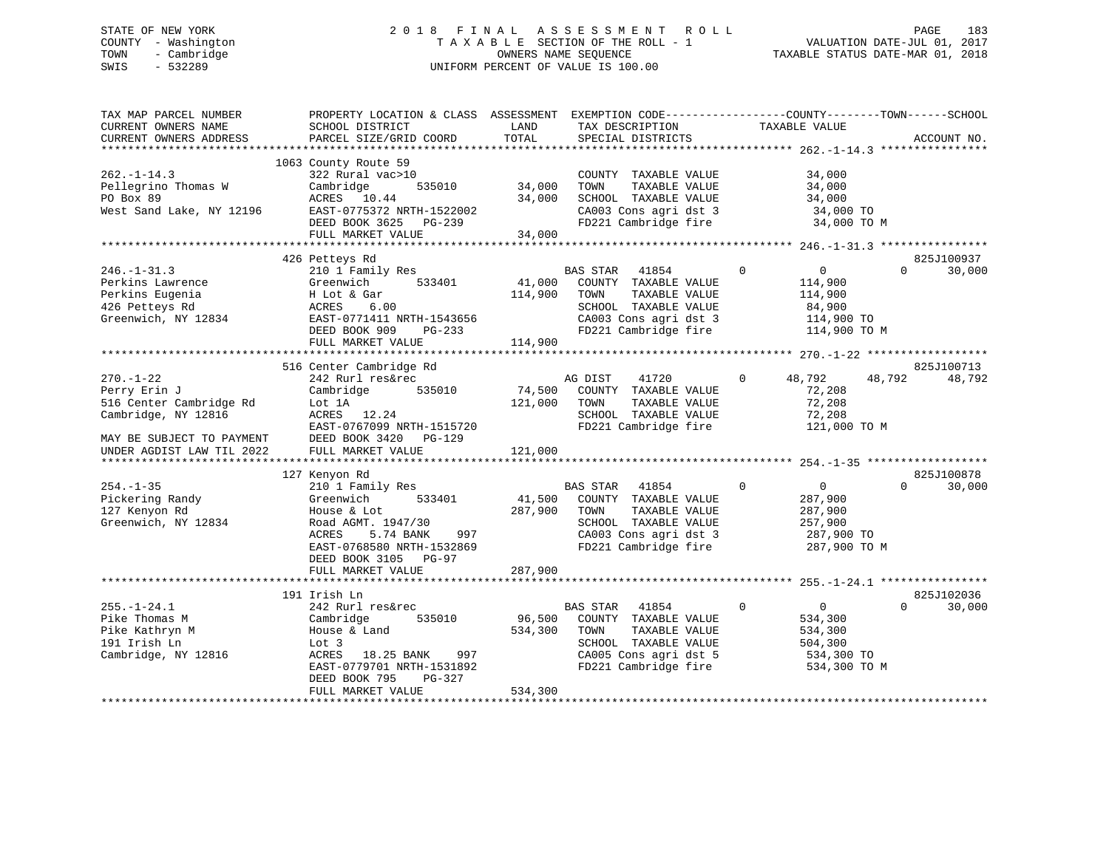# STATE OF NEW YORK 2 0 1 8 F I N A L A S S E S S M E N T R O L L PAGE 183 COUNTY - Washington T A X A B L E SECTION OF THE ROLL - 1 VALUATION DATE-JUL 01, 2017 TOWN - Cambridge OWNERS NAME SEQUENCE TAXABLE STATUS DATE-MAR 01, 2018 SWIS - 532289 UNIFORM PERCENT OF VALUE IS 100.00

| TAX MAP PARCEL NUMBER<br>CURRENT OWNERS NAME<br>CURRENT OWNERS ADDRESS                                                                                         | PROPERTY LOCATION & CLASS ASSESSMENT<br>SCHOOL DISTRICT<br>PARCEL SIZE/GRID COORD                                                                                                                           | LAND<br>TOTAL                | TAX DESCRIPTION<br>SPECIAL DISTRICTS                                                                                                               | EXEMPTION CODE-----------------COUNTY-------TOWN------SCHOOL<br>TAXABLE VALUE<br>ACCOUNT NO.                                                                          |
|----------------------------------------------------------------------------------------------------------------------------------------------------------------|-------------------------------------------------------------------------------------------------------------------------------------------------------------------------------------------------------------|------------------------------|----------------------------------------------------------------------------------------------------------------------------------------------------|-----------------------------------------------------------------------------------------------------------------------------------------------------------------------|
|                                                                                                                                                                |                                                                                                                                                                                                             |                              |                                                                                                                                                    |                                                                                                                                                                       |
| $262. -1 - 14.3$<br>Pellegrino Thomas W<br>PO Box 89<br>West Sand Lake, NY 12196                                                                               | 1063 County Route 59<br>322 Rural vac>10<br>Cambridge<br>535010<br>ACRES 10.44<br>EAST-0775372 NRTH-1522002<br>DEED BOOK 3625 PG-239<br>FULL MARKET VALUE                                                   | 34,000<br>34,000<br>34,000   | COUNTY TAXABLE VALUE<br>TOWN<br>TAXABLE VALUE<br>SCHOOL TAXABLE VALUE<br>CA003 Cons agri dst 3<br>FD221 Cambridge fire                             | 34,000<br>34,000<br>34,000<br>34,000 TO<br>34,000 TO M                                                                                                                |
|                                                                                                                                                                |                                                                                                                                                                                                             |                              |                                                                                                                                                    |                                                                                                                                                                       |
| $246. - 1 - 31.3$<br>Perkins Lawrence<br>Perkins Eugenia<br>426 Petteys Rd<br>Greenwich, NY 12834                                                              | 426 Petteys Rd<br>210 1 Family Res<br>Greenwich<br>533401<br>H Lot & Gar<br>6.00<br>ACRES<br>EAST-0771411 NRTH-1543656<br>DEED BOOK 909<br>$PG-233$                                                         | 41,000<br>114,900            | BAS STAR<br>41854<br>COUNTY TAXABLE VALUE<br>TAXABLE VALUE<br>TOWN<br>SCHOOL TAXABLE VALUE<br>CA003 Cons agri dst 3<br>FD221 Cambridge fire        | 825J100937<br>$\mathbf 0$<br>$\overline{0}$<br>30,000<br>$\Omega$<br>114,900<br>114,900<br>84,900<br>114,900 TO<br>114,900 TO M                                       |
|                                                                                                                                                                | FULL MARKET VALUE                                                                                                                                                                                           | 114,900                      |                                                                                                                                                    |                                                                                                                                                                       |
| $270. - 1 - 22$<br>Perry Erin J<br>516 Center Cambridge Rd<br>Cambridge, NY 12816<br>MAY BE SUBJECT TO PAYMENT<br>UNDER AGDIST LAW TIL 2022<br>$254. - 1 - 35$ | 516 Center Cambridge Rd<br>242 Rurl res&rec<br>Cambridge<br>535010<br>Lot 1A<br>ACRES 12.24<br>EAST-0767099 NRTH-1515720<br>DEED BOOK 3420 PG-129<br>FULL MARKET VALUE<br>127 Kenyon Rd<br>210 1 Family Res | 74,500<br>121,000<br>121,000 | 41720<br>AG DIST<br>COUNTY TAXABLE VALUE<br>TAXABLE VALUE<br>TOWN<br>SCHOOL TAXABLE VALUE<br>FD221 Cambridge fire<br>BAS STAR<br>41854             | 825J100713<br>$\mathbf 0$<br>48,792<br>48,792<br>48,792<br>72,208<br>72,208<br>72,208<br>121,000 TO M<br>825J100878<br>$\Omega$<br>$\mathbf{0}$<br>$\Omega$<br>30,000 |
| Pickering Randy<br>127 Kenyon Rd<br>Greenwich, NY 12834                                                                                                        | Greenwich<br>533401<br>House & Lot<br>Road AGMT. 1947/30<br>5.74 BANK<br>997<br>ACRES<br>EAST-0768580 NRTH-1532869<br>DEED BOOK 3105 PG-97<br>FULL MARKET VALUE                                             | 41,500<br>287,900<br>287,900 | COUNTY TAXABLE VALUE<br>TOWN<br>TAXABLE VALUE<br>SCHOOL TAXABLE VALUE<br>CA003 Cons agri dst 3<br>FD221 Cambridge fire                             | 287,900<br>287,900<br>257,900<br>287,900 TO<br>287,900 TO M                                                                                                           |
|                                                                                                                                                                |                                                                                                                                                                                                             |                              |                                                                                                                                                    |                                                                                                                                                                       |
| $255. - 1 - 24.1$<br>Pike Thomas M<br>Pike Kathryn M<br>191 Irish Ln<br>Cambridge, NY 12816                                                                    | 191 Irish Ln<br>242 Rurl res&rec<br>535010<br>Cambridge<br>House & Land<br>Lot 3<br>18.25 BANK<br>ACRES<br>997<br>EAST-0779701 NRTH-1531892<br>DEED BOOK 795<br>PG-327<br>FULL MARKET VALUE                 | 96,500<br>534,300<br>534,300 | <b>BAS STAR</b><br>41854<br>COUNTY TAXABLE VALUE<br>TOWN<br>TAXABLE VALUE<br>SCHOOL TAXABLE VALUE<br>CA005 Cons agri dst 5<br>FD221 Cambridge fire | 825J102036<br>$\Omega$<br>$\overline{0}$<br>$\Omega$<br>30,000<br>534,300<br>534,300<br>504,300<br>534,300 TO<br>534,300 TO M                                         |
|                                                                                                                                                                |                                                                                                                                                                                                             |                              |                                                                                                                                                    |                                                                                                                                                                       |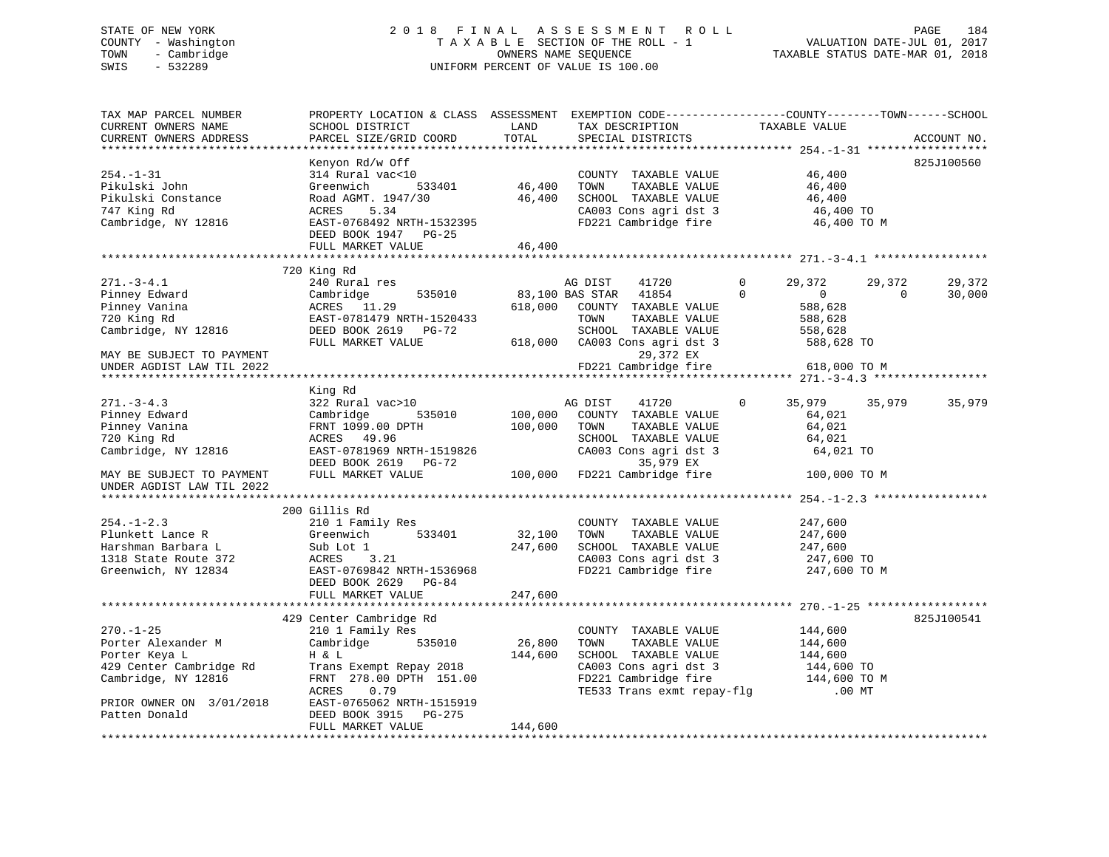# STATE OF NEW YORK 2 0 1 8 F I N A L A S S E S S M E N T R O L L PAGE 184 COUNTY - Washington T A X A B L E SECTION OF THE ROLL - 1 VALUATION DATE-JUL 01, 2017 TOWN - Cambridge OWNERS NAME SEQUENCE TAXABLE STATUS DATE-MAR 01, 2018 SWIS - 532289 UNIFORM PERCENT OF VALUE IS 100.00

| TAX MAP PARCEL NUMBER<br>CURRENT OWNERS NAME<br>CURRENT OWNERS ADDRESS                                                                                                              | PROPERTY LOCATION & CLASS ASSESSMENT EXEMPTION CODE----------------COUNTY-------TOWN------SCHOOL<br>SCHOOL DISTRICT<br>PARCEL SIZE/GRID COORD                                                           | LAND<br>TOTAL                | TAX DESCRIPTION<br>SPECIAL DISTRICTS                                                                                                                                                             | TAXABLE VALUE                                                                                                      | ACCOUNT NO.                            |
|-------------------------------------------------------------------------------------------------------------------------------------------------------------------------------------|---------------------------------------------------------------------------------------------------------------------------------------------------------------------------------------------------------|------------------------------|--------------------------------------------------------------------------------------------------------------------------------------------------------------------------------------------------|--------------------------------------------------------------------------------------------------------------------|----------------------------------------|
|                                                                                                                                                                                     |                                                                                                                                                                                                         |                              |                                                                                                                                                                                                  |                                                                                                                    |                                        |
| $254. - 1 - 31$<br>Pikulski John<br>Pikulski Constance<br>747 King Rd<br>Cambridge, NY 12816                                                                                        | Kenyon Rd/w Off<br>314 Rural vac<10<br>Greenwich<br>533401<br>Road AGMT. 1947/30<br>ACRES 5.34<br>5.34<br>ACRES<br>ACRES 5.34<br>EAST-0768492 NRTH-1532395<br>DEED BOOK 1947 PG-25<br>FULL MARKET VALUE | 46,400<br>46,400<br>46,400   | COUNTY TAXABLE VALUE<br>TOWN<br>TAXABLE VALUE<br>SCHOOL TAXABLE VALUE<br>SCHOOL TAXABLE VALUE<br>CA003 Cons agri dst 3<br>FD221 Cambridge fire                                                   | 46,400<br>46,400<br>46,400<br>46,400 TO<br>46,400 TO M                                                             | 825J100560                             |
|                                                                                                                                                                                     |                                                                                                                                                                                                         |                              |                                                                                                                                                                                                  |                                                                                                                    |                                        |
| $271. - 3 - 4.1$<br>Pinney Edward<br>Pinney Vanina<br>720 King Rd<br>Cambridge, NY 12816<br>MAY BE SUBJECT TO PAYMENT<br>UNDER AGDIST LAW TIL 2022<br>***************************** | 720 King Rd<br>240 Rural res<br>535010<br>Cambridge<br>ACRES 11.29<br>EAST-0781479 NRTH-1520433<br>DEED BOOK 2619 PG-72<br>FULL MARKET VALUE                                                            |                              | AG DIST<br>41720<br>83,100 BAS STAR 41854<br>618,000 COUNTY TAXABLE VALUE<br>TOWN<br>TAXABLE VALUE<br>SCHOOL TAXABLE VALUE<br>618,000 CA003 Cons agri dst 3<br>29,372 EX<br>FD221 Cambridge fire | 29,372<br>$\mathbf 0$<br>$\Omega$<br>$\overline{0}$<br>588,628<br>588,628<br>558,628<br>588,628 TO<br>618,000 TO M | 29,372<br>29,372<br>$\Omega$<br>30,000 |
|                                                                                                                                                                                     | King Rd                                                                                                                                                                                                 |                              |                                                                                                                                                                                                  |                                                                                                                    |                                        |
| $271 - 3 - 4.3$<br>Pinney Edward<br>Pinney Vanina<br>720 King Rd<br>Cambridge, NY 12816<br>MAY BE SUBJECT TO PAYMENT<br>UNDER AGDIST LAW TIL 2022                                   | 322 Rural vac>10<br>Cambridge<br>535010<br>FRNT 1099.00 DPTH<br>ACRES 49.96<br>EAST-0781969 NRTH-1519826<br>DEED BOOK 2619 PG-72<br>FULL MARKET VALUE                                                   | 100,000<br>100,000           | AG DIST<br>41720<br>COUNTY TAXABLE VALUE<br>TOWN<br>TAXABLE VALUE<br>SCHOOL TAXABLE VALUE<br>$CAO03$ Cons agri dst 3<br>35,979 EX<br>100,000 FD221 Cambridge fire                                | 35,979<br>$\mathbf{0}$<br>64,021<br>64,021<br>64,021<br>64,021 TO<br>100,000 TO M                                  | 35,979<br>35,979                       |
|                                                                                                                                                                                     |                                                                                                                                                                                                         |                              |                                                                                                                                                                                                  |                                                                                                                    |                                        |
| $254. - 1 - 2.3$<br>254.-1-2.3<br>Plunkett Lance R<br>Harshman Barbara L<br>1318 State Route 372<br>Greenwich, NY 12834                                                             | 200 Gillis Rd<br>210 1 Family Res<br>Greenwich<br>533401<br>Sub Lot 1<br>ACRES 3.21<br>EAST-0769842 NRTH-1536968<br>DEED BOOK 2629 PG-84<br>FULL MARKET VALUE                                           | 32,100<br>247,600<br>247,600 | COUNTY TAXABLE VALUE<br>TAXABLE VALUE<br>TOWN<br>SCHOOL TAXABLE VALUE<br>CA003 Cons agri dst 3<br>FD221 Cambridge fire                                                                           | 247,600<br>247,600<br>247,600<br>247,600 TO<br>247,600 TO M                                                        |                                        |
|                                                                                                                                                                                     |                                                                                                                                                                                                         |                              |                                                                                                                                                                                                  |                                                                                                                    |                                        |
| $270. - 1 - 25$<br>Porter Alexander M<br>Porter Keya L<br>429 Center Cambridge Rd<br>Cambridge, NY 12816<br>Cambridge, NY 12816<br>PRIOR OWNER ON 3/01/2018                         | 429 Center Cambridge Rd<br>210 1 Family Res<br>Cambridge 535010<br>H & L<br>Trans Exempt Repay 2018<br>FRNT 278.00 DPTH 151.00<br>ACRES<br>0.79<br>EAST-0765062 NRTH-1515919                            | 26,800<br>144,600            | COUNTY TAXABLE VALUE<br>TOWN<br>TAXABLE VALUE<br>SCHOOL TAXABLE VALUE<br>CA003 Cons agri dst 3 144,600 TO<br>FD221 Cambridge fire 144,600 TO M<br>TE533 Trans exmt repay-flg .00 MT              | 144,600<br>144,600<br>144,600                                                                                      | 825J100541                             |
| Patten Donald                                                                                                                                                                       | DEED BOOK 3915 PG-275<br>FULL MARKET VALUE                                                                                                                                                              | 144,600                      |                                                                                                                                                                                                  |                                                                                                                    |                                        |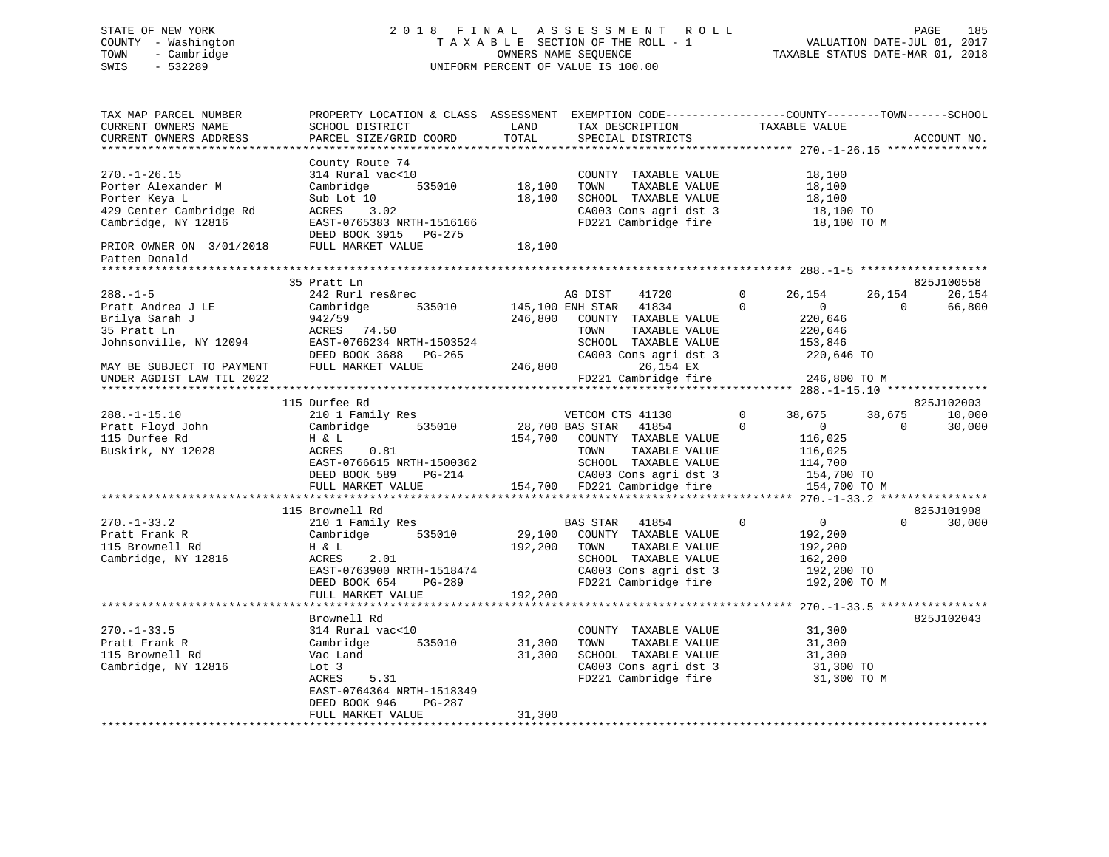# STATE OF NEW YORK 2 0 1 8 F I N A L A S S E S S M E N T R O L L PAGE 185 COUNTY - Washington T A X A B L E SECTION OF THE ROLL - 1 VALUATION DATE-JUL 01, 2017 TOWN - Cambridge OWNERS NAME SEQUENCE TAXABLE STATUS DATE-MAR 01, 2018 SWIS - 532289 UNIFORM PERCENT OF VALUE IS 100.00

| TAX MAP PARCEL NUMBER<br>CURRENT OWNERS NAME | PROPERTY LOCATION & CLASS ASSESSMENT EXEMPTION CODE---------------COUNTY-------TOWN------SCHOOL<br>SCHOOL DISTRICT | LAND    | TAX DESCRIPTION              | TAXABLE VALUE                 |                          |
|----------------------------------------------|--------------------------------------------------------------------------------------------------------------------|---------|------------------------------|-------------------------------|--------------------------|
| CURRENT OWNERS ADDRESS                       | PARCEL SIZE/GRID COORD                                                                                             | TOTAL   | SPECIAL DISTRICTS            |                               | ACCOUNT NO.              |
|                                              |                                                                                                                    |         |                              |                               |                          |
|                                              | County Route 74                                                                                                    |         |                              |                               |                          |
| $270. - 1 - 26.15$                           | 314 Rural vac<10                                                                                                   |         | COUNTY TAXABLE VALUE         | 18,100                        |                          |
| Porter Alexander M                           | 535010<br>Cambridge                                                                                                | 18,100  | TAXABLE VALUE<br>TOWN        | 18,100                        |                          |
| Porter Keya L                                | Sub Lot 10                                                                                                         | 18,100  | SCHOOL TAXABLE VALUE         | 18,100                        |                          |
| 429 Center Cambridge Rd                      | 3.02<br>ACRES                                                                                                      |         | CA003 Cons agri dst 3        | 18,100 TO                     |                          |
| Cambridge, NY 12816                          | EAST-0765383 NRTH-1516166                                                                                          |         | FD221 Cambridge fire         | 18,100 TO M                   |                          |
|                                              | DEED BOOK 3915 PG-275                                                                                              |         |                              |                               |                          |
| PRIOR OWNER ON 3/01/2018                     | FULL MARKET VALUE                                                                                                  | 18,100  |                              |                               |                          |
| Patten Donald                                |                                                                                                                    |         |                              |                               |                          |
|                                              | 35 Pratt Ln                                                                                                        |         |                              |                               | 825J100558               |
| $288. - 1 - 5$                               | 242 Rurl res&rec                                                                                                   |         | AG DIST<br>41720             | $\Omega$<br>26,154            | 26,154<br>26,154         |
| Pratt Andrea J LE                            | 535010<br>Cambridge                                                                                                |         | 145,100 ENH STAR 41834       | $\Omega$<br>$\overline{0}$    | $\overline{0}$<br>66,800 |
| Brilya Sarah J                               | 942/59                                                                                                             | 246,800 | COUNTY TAXABLE VALUE         | 220,646                       |                          |
|                                              |                                                                                                                    |         |                              |                               |                          |
| 35 Pratt Ln                                  | ACRES 74.50                                                                                                        |         | TAXABLE VALUE<br>TOWN        | 220,646                       |                          |
| Johnsonville, NY 12094                       | EAST-0766234 NRTH-1503524                                                                                          |         | SCHOOL TAXABLE VALUE         | 153,846                       |                          |
|                                              | DEED BOOK 3688 PG-265                                                                                              |         | CA003 Cons agri dst 3        | 220,646 TO                    |                          |
| MAY BE SUBJECT TO PAYMENT                    | FULL MARKET VALUE                                                                                                  | 246,800 | 26,154 EX                    |                               |                          |
| UNDER AGDIST LAW TIL 2022                    |                                                                                                                    |         | FD221 Cambridge fire         | 246,800 TO M                  |                          |
|                                              |                                                                                                                    |         |                              |                               |                          |
|                                              | 115 Durfee Rd                                                                                                      |         |                              |                               | 825J102003               |
| $288. - 1 - 15.10$                           | 210 1 Family Res                                                                                                   |         | VETCOM CTS 41130             | $\mathbf{0}$<br>38,675        | 38,675<br>10,000         |
| Pratt Floyd John                             | 535010<br>Cambridge                                                                                                |         | 28,700 BAS STAR<br>41854     | $\Omega$<br>$\overline{0}$    | $\bigcap$<br>30,000      |
| 115 Durfee Rd                                | H & L                                                                                                              |         | 154,700 COUNTY TAXABLE VALUE | 116,025                       |                          |
| Buskirk, NY 12028                            | 0.81<br>ACRES                                                                                                      |         | TAXABLE VALUE<br>TOWN        | 116,025                       |                          |
|                                              | EAST-0766615 NRTH-1500362                                                                                          |         | SCHOOL TAXABLE VALUE         | 114,700                       |                          |
|                                              | DEED BOOK 589<br>PG-214                                                                                            |         | CA003 Cons agri dst 3        | 154,700 TO                    |                          |
|                                              | FULL MARKET VALUE                                                                                                  |         | 154,700 FD221 Cambridge fire | 154,700 TO M                  |                          |
|                                              |                                                                                                                    |         |                              |                               |                          |
|                                              | 115 Brownell Rd                                                                                                    |         |                              |                               | 825J101998               |
| $270. - 1 - 33.2$                            | 210 1 Family Res                                                                                                   |         | BAS STAR 41854               | $\mathbf 0$<br>$\overline{0}$ | 30,000<br>$\Omega$       |
| Pratt Frank R                                | 535010<br>Cambridge                                                                                                | 29,100  | COUNTY TAXABLE VALUE         | 192,200                       |                          |
| 115 Brownell Rd                              | H & L                                                                                                              | 192,200 | TAXABLE VALUE<br>TOWN        | 192,200                       |                          |
| Cambridge, NY 12816                          | 2.01<br>ACRES                                                                                                      |         | SCHOOL TAXABLE VALUE         | 162,200                       |                          |
|                                              | EAST-0763900 NRTH-1518474                                                                                          |         | CA003 Cons agri dst 3        | 192,200 TO                    |                          |
|                                              | DEED BOOK 654<br>$PG-289$                                                                                          |         | FD221 Cambridge fire         | 192,200 TO M                  |                          |
|                                              | FULL MARKET VALUE                                                                                                  | 192,200 |                              |                               |                          |
|                                              |                                                                                                                    |         |                              |                               |                          |
|                                              | Brownell Rd                                                                                                        |         |                              |                               | 825J102043               |
| $270. - 1 - 33.5$                            | 314 Rural vac<10                                                                                                   |         | COUNTY TAXABLE VALUE         | 31,300                        |                          |
| Pratt Frank R                                | 535010<br>Cambridge                                                                                                | 31,300  | TOWN<br>TAXABLE VALUE        | 31,300                        |                          |
| 115 Brownell Rd                              | Vac Land                                                                                                           | 31,300  | SCHOOL TAXABLE VALUE         | 31,300                        |                          |
| Cambridge, NY 12816                          | Lot 3                                                                                                              |         | CA003 Cons agri dst 3        | 31,300 TO                     |                          |
|                                              | ACRES<br>5.31                                                                                                      |         | FD221 Cambridge fire         | 31,300 TO M                   |                          |
|                                              |                                                                                                                    |         |                              |                               |                          |
|                                              | EAST-0764364 NRTH-1518349<br>PG-287                                                                                |         |                              |                               |                          |
|                                              | DEED BOOK 946                                                                                                      |         |                              |                               |                          |
|                                              | FULL MARKET VALUE                                                                                                  | 31,300  |                              |                               |                          |
|                                              |                                                                                                                    |         |                              |                               |                          |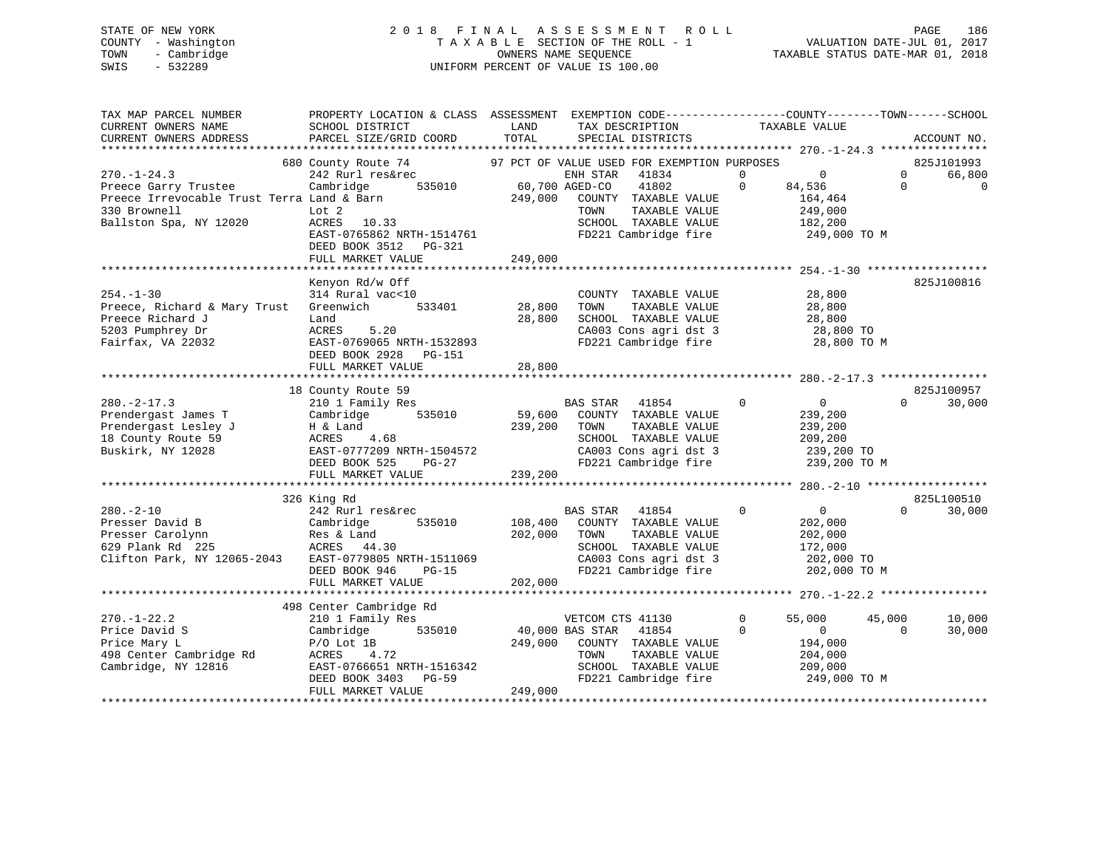# STATE OF NEW YORK 2 0 1 8 F I N A L A S S E S S M E N T R O L L PAGE 186 COUNTY - Washington T A X A B L E SECTION OF THE ROLL - 1 VALUATION DATE-JUL 01, 2017 TOWN - Cambridge OWNERS NAME SEQUENCE TAXABLE STATUS DATE-MAR 01, 2018 SWIS - 532289 UNIFORM PERCENT OF VALUE IS 100.00

| TAX MAP PARCEL NUMBER                                       | PROPERTY LOCATION & CLASS ASSESSMENT EXEMPTION CODE-----------------COUNTY--------TOWN------SCHOOL |                 |                                               |                |                |          |                      |
|-------------------------------------------------------------|----------------------------------------------------------------------------------------------------|-----------------|-----------------------------------------------|----------------|----------------|----------|----------------------|
| CURRENT OWNERS NAME                                         | SCHOOL DISTRICT                                                                                    | LAND            | TAX DESCRIPTION                               |                | TAXABLE VALUE  |          |                      |
| CURRENT OWNERS ADDRESS                                      | PARCEL SIZE/GRID COORD                                                                             | TOTAL           | SPECIAL DISTRICTS                             |                |                |          | ACCOUNT NO.          |
|                                                             |                                                                                                    |                 |                                               |                |                |          |                      |
|                                                             | 680 County Route 74                                                                                |                 | 97 PCT OF VALUE USED FOR EXEMPTION PURPOSES   |                |                |          | 825J101993           |
| $270. - 1 - 24.3$                                           | 242 Rurl res&rec                                                                                   |                 | 41834<br>ENH STAR                             | $\overline{0}$ | $\overline{0}$ | $\Omega$ | 66,800               |
| Preece Garry Trustee                                        | Cambridge                                                                                          |                 | 41802                                         | $\Omega$       | 84,536         | $\Omega$ | $\mathbf 0$          |
| Preece Irrevocable Trust Terra Land & Barn                  |                                                                                                    | 249,000         | COUNTY TAXABLE VALUE                          |                | 164,464        |          |                      |
| 330 Brownell                                                | Lot 2                                                                                              |                 | TAXABLE VALUE<br>TOWN                         |                | 249,000        |          |                      |
| Ballston Spa, NY 12020                                      | ACRES 10.33                                                                                        |                 | SCHOOL TAXABLE VALUE                          |                | 182,200        |          |                      |
|                                                             | EAST-0765862 NRTH-1514761                                                                          |                 | FD221 Cambridge fire                          |                | 249,000 TO M   |          |                      |
|                                                             | DEED BOOK 3512 PG-321                                                                              |                 |                                               |                |                |          |                      |
|                                                             | FULL MARKET VALUE                                                                                  | 249,000         |                                               |                |                |          |                      |
|                                                             |                                                                                                    |                 |                                               |                |                |          |                      |
|                                                             | Kenyon Rd/w Off                                                                                    |                 |                                               |                |                |          | 825J100816           |
| $254. - 1 - 30$                                             | 314 Rural vac<10                                                                                   |                 | COUNTY TAXABLE VALUE                          |                | 28,800         |          |                      |
| Preece, Richard & Mary Trust                                | 533401<br>Greenwich                                                                                | 28,800          | TAXABLE VALUE<br>TOWN                         |                | 28,800         |          |                      |
| Preece Richard J                                            | Land                                                                                               | 28,800          | SCHOOL TAXABLE VALUE                          |                | 28,800         |          |                      |
| 5203 Pumphrey Dr                                            | ACRES<br>5.20                                                                                      |                 | CA003 Cons agri dst 3<br>FD221 Cambridge fire |                | 28,800 TO      |          |                      |
| Fairfax, VA 22032                                           | EAST-0769065 NRTH-1532893                                                                          |                 |                                               |                | 28,800 TO M    |          |                      |
|                                                             | DEED BOOK 2928 PG-151                                                                              |                 |                                               |                |                |          |                      |
|                                                             | FULL MARKET VALUE                                                                                  | 28,800          |                                               |                |                |          |                      |
|                                                             |                                                                                                    |                 |                                               |                |                |          |                      |
| $280. -2 - 17.3$                                            | 18 County Route 59<br>210 1 Family Res                                                             |                 | BAS STAR 41854                                | $\mathbf 0$    | $\overline{0}$ | $\Omega$ | 825J100957<br>30,000 |
| Prendergast James T                                         | Cambridge                                                                                          |                 | 535010 59,600 COUNTY TAXABLE VALUE            |                | 239,200        |          |                      |
| Prendergast Lesley J                                        | H & Land                                                                                           | 239,200 TOWN    | TAXABLE VALUE                                 |                | 239,200        |          |                      |
| 18 County Route 59                                          | ACRES<br>4.68                                                                                      |                 | SCHOOL TAXABLE VALUE                          |                | 209,200        |          |                      |
| Buskirk, NY 12028                                           | EAST-0777209 NRTH-1504572                                                                          |                 | CA003 Cons agri dst 3                         |                | 239,200 TO     |          |                      |
|                                                             | DEED BOOK 525<br>PG-27                                                                             |                 |                                               |                | 239,200 TO M   |          |                      |
|                                                             | FULL MARKET VALUE                                                                                  | 239,200         | FD221 Cambridge fire                          |                |                |          |                      |
|                                                             |                                                                                                    |                 |                                               |                |                |          |                      |
|                                                             | 326 King Rd                                                                                        |                 |                                               |                |                |          | 825L100510           |
| $280. - 2 - 10$                                             | 242 Rurl res&rec                                                                                   |                 | <b>BAS STAR</b><br>41854                      | $\mathbf{0}$   | $\overline{0}$ | $\Omega$ | 30,000               |
| Presser David B                                             | Cambridge<br>535010                                                                                |                 | 108,400 COUNTY TAXABLE VALUE                  |                | 202,000        |          |                      |
| Presser Carolynn                                            |                                                                                                    | 202,000         | TAXABLE VALUE<br>TOWN                         |                | 202,000        |          |                      |
| Cambridge<br>Res & Land<br>ACRES    44.<br>629 Plank Rd 225 | ACRES 44.30                                                                                        |                 | SCHOOL TAXABLE VALUE                          |                | 172,000        |          |                      |
| Clifton Park, NY 12065-2043                                 | EAST-0779805 NRTH-1511069                                                                          |                 | CA003 Cons agri dst 3                         |                | 202,000 TO     |          |                      |
|                                                             | DEED BOOK 946<br>PG-15                                                                             |                 | FD221 Cambridge fire                          |                | 202,000 TO M   |          |                      |
|                                                             | FULL MARKET VALUE                                                                                  | 202,000         |                                               |                |                |          |                      |
|                                                             |                                                                                                    |                 |                                               |                |                |          |                      |
|                                                             | 498 Center Cambridge Rd                                                                            |                 |                                               |                |                |          |                      |
| $270. - 1 - 22.2$                                           | 210 1 Family Res                                                                                   |                 | VETCOM CTS 41130                              | $\mathbf{0}$   | 55,000         | 45,000   | 10,000               |
| Price David S                                               | 535010<br>Cambridge                                                                                | 40,000 BAS STAR | 41854                                         | $\Omega$       | $\sim$ 0       | $\Omega$ | 30,000               |
| Price Mary L                                                | $P/O$ Lot $1B$                                                                                     | 249,000         | COUNTY TAXABLE VALUE                          |                | 194,000        |          |                      |
| 498 Center Cambridge Rd                                     | ACRES<br>4.72                                                                                      |                 | TAXABLE VALUE<br>TOWN                         |                | 204,000        |          |                      |
| Cambridge, NY 12816                                         | EAST-0766651 NRTH-1516342                                                                          |                 | SCHOOL TAXABLE VALUE                          |                | 209,000        |          |                      |
|                                                             | DEED BOOK 3403 PG-59                                                                               |                 | FD221 Cambridge fire                          |                | 249,000 TO M   |          |                      |
|                                                             | FULL MARKET VALUE                                                                                  | 249,000         |                                               |                |                |          |                      |
|                                                             |                                                                                                    |                 |                                               |                |                |          |                      |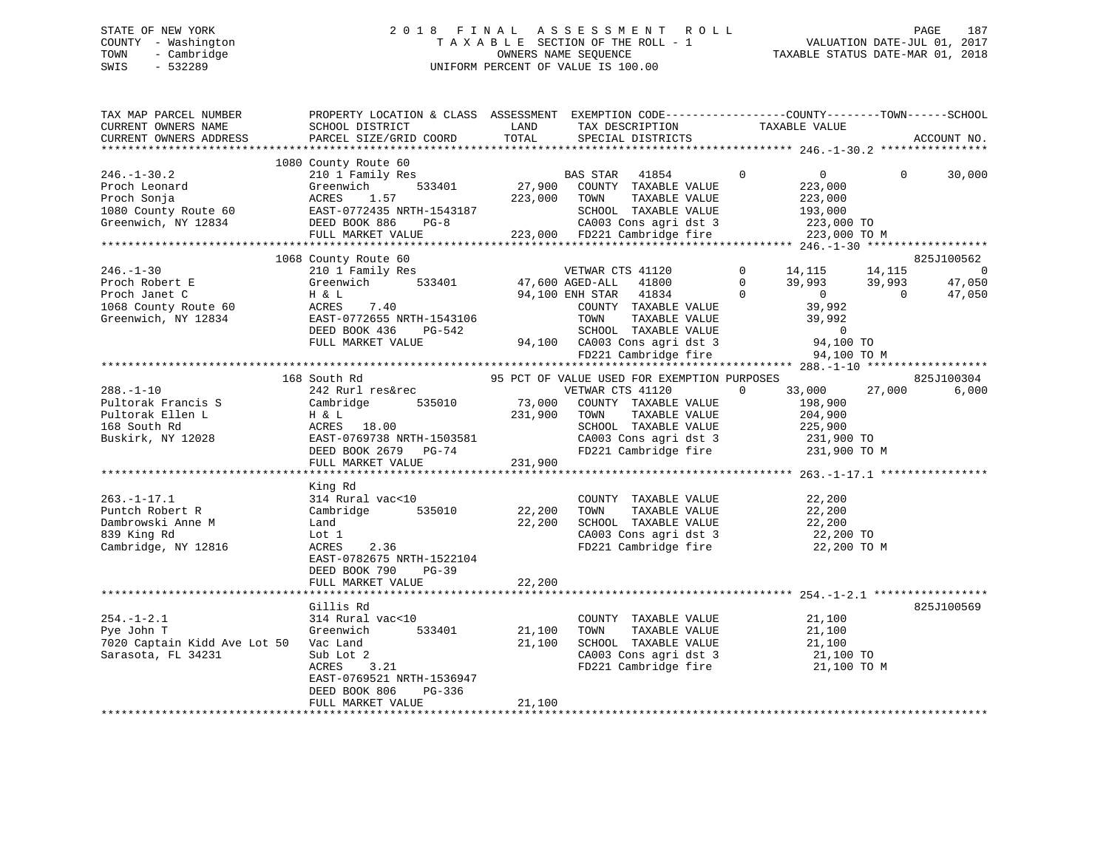# STATE OF NEW YORK 2 0 1 8 F I N A L A S S E S S M E N T R O L L PAGE 187 COUNTY - Washington T A X A B L E SECTION OF THE ROLL - 1 VALUATION DATE-JUL 01, 2017 TOWN - Cambridge OWNERS NAME SEQUENCE TAXABLE STATUS DATE-MAR 01, 2018 SWIS - 532289 UNIFORM PERCENT OF VALUE IS 100.00

| TAX MAP PARCEL NUMBER<br>CURRENT OWNERS NAME                                                                        | PROPERTY LOCATION & CLASS ASSESSMENT EXEMPTION CODE----------------COUNTY-------TOWN------SCHOOL<br>SCHOOL DISTRICT                                                                                                    | LAND                         | TAX DESCRIPTION                                                                                                                                                                                                   | TAXABLE VALUE                                                                                                                               |                              |                       |
|---------------------------------------------------------------------------------------------------------------------|------------------------------------------------------------------------------------------------------------------------------------------------------------------------------------------------------------------------|------------------------------|-------------------------------------------------------------------------------------------------------------------------------------------------------------------------------------------------------------------|---------------------------------------------------------------------------------------------------------------------------------------------|------------------------------|-----------------------|
| CURRENT OWNERS ADDRESS                                                                                              | PARCEL SIZE/GRID COORD                                                                                                                                                                                                 | TOTAL                        | SPECIAL DISTRICTS                                                                                                                                                                                                 |                                                                                                                                             |                              | ACCOUNT NO.           |
|                                                                                                                     | 1080 County Route 60                                                                                                                                                                                                   |                              |                                                                                                                                                                                                                   |                                                                                                                                             |                              |                       |
| $246. - 1 - 30.2$<br>Proch Leonard<br>Proch Sonja<br>1080 County Route 60<br>Greenwich, NY 12834                    | 210 1 Family Res<br>533401<br>Greenwich<br>1.57<br>ACRES<br>EAST-0772435 NRTH-1543187<br>DEED BOOK 886<br>$PG-8$<br>FULL MARKET VALUE                                                                                  | 223,000                      | BAS STAR 41854<br>27,900 COUNTY TAXABLE VALUE<br>TAXABLE VALUE<br>TOWN<br>SCHOOL TAXABLE VALUE<br>CA003 Cons agri dst 3<br>223,000 FD221 Cambridge fire                                                           | $\mathbf 0$<br>$\overline{0}$<br>223,000<br>223,000<br>193,000<br>223,000 TO<br>223,000 TO M                                                | $\Omega$                     | 30,000                |
|                                                                                                                     |                                                                                                                                                                                                                        |                              |                                                                                                                                                                                                                   |                                                                                                                                             |                              |                       |
|                                                                                                                     | 1068 County Route 60                                                                                                                                                                                                   |                              |                                                                                                                                                                                                                   |                                                                                                                                             |                              | 825J100562            |
| $246. - 1 - 30$<br>Proch Robert E<br>Proch Janet C<br>1068 County Route 60<br>Greenwich, NY 12834                   | 210 1 Family Res<br>533401<br>Greenwich<br>H & L<br>ACRES<br>7.40<br>EAST-0772655 NRTH-1543106<br>DEED BOOK 436<br>PG-542<br>FULL MARKET VALUE                                                                         |                              | VETWAR CTS 41120<br>47,600 AGED-ALL<br>41800<br>94,100 ENH STAR<br>41834<br>COUNTY TAXABLE VALUE<br>TOWN<br>TAXABLE VALUE<br>SCHOOL TAXABLE VALUE<br>94,100 CA003 Cons agri dst 3<br>FD221 Cambridge fire         | $\mathbf 0$<br>14,115<br>$\Omega$<br>39,993<br>$\Omega$<br>$\overline{0}$<br>39,992<br>39,992<br>$\overline{0}$<br>94,100 TO<br>94,100 TO M | 14,115<br>39,993<br>$\Omega$ | 0<br>47,050<br>47,050 |
|                                                                                                                     |                                                                                                                                                                                                                        |                              |                                                                                                                                                                                                                   |                                                                                                                                             |                              |                       |
| $288. - 1 - 10$<br>Pultorak Francis S<br>Pultorak Ellen L<br>168 South Rd<br>Buskirk, NY 12028<br>$263. - 1 - 17.1$ | 168 South Rd<br>242 Rurl res&rec<br>Cambridge<br>535010<br>H & L<br>ACRES 18.00<br>EAST-0769738 NRTH-1503581<br>DEED BOOK 2679<br>PG-74<br>FULL MARKET VALUE<br>***********************<br>King Rd<br>314 Rural vac<10 | 73,000<br>231,900<br>231,900 | 95 PCT OF VALUE USED FOR EXEMPTION PURPOSES<br>VETWAR CTS 41120<br>COUNTY TAXABLE VALUE<br>TOWN<br>TAXABLE VALUE<br>SCHOOL TAXABLE VALUE<br>CA003 Cons agri dst 3<br>FD221 Cambridge fire<br>COUNTY TAXABLE VALUE | $\Omega$<br>33,000<br>198,900<br>204,900<br>225,900<br>231,900 TO<br>231,900 TO M<br>22,200                                                 | 27,000                       | 825J100304<br>6,000   |
| Puntch Robert R<br>Dambrowski Anne M<br>839 King Rd<br>Cambridge, NY 12816                                          | 535010<br>Cambridge<br>Land<br>Lot 1<br>ACRES<br>2.36<br>EAST-0782675 NRTH-1522104<br>DEED BOOK 790<br>$PG-39$<br>FULL MARKET VALUE                                                                                    | 22,200<br>22,200<br>22,200   | TOWN<br>TAXABLE VALUE<br>SCHOOL TAXABLE VALUE<br>CA003 Cons agri dst 3<br>FD221 Cambridge fire                                                                                                                    | 22,200<br>22,200<br>22,200 TO<br>22,200 TO M                                                                                                |                              |                       |
|                                                                                                                     | Gillis Rd                                                                                                                                                                                                              |                              |                                                                                                                                                                                                                   |                                                                                                                                             |                              | 825J100569            |
| $254. - 1 - 2.1$<br>Pye John T<br>7020 Captain Kidd Ave Lot 50<br>Sarasota, FL 34231                                | 314 Rural vac<10<br>Greenwich<br>533401<br>Vac Land<br>Sub Lot 2<br>ACRES<br>3.21<br>EAST-0769521 NRTH-1536947<br>DEED BOOK 806<br>PG-336                                                                              | 21,100<br>21,100             | COUNTY TAXABLE VALUE<br>TOWN<br>TAXABLE VALUE<br>SCHOOL TAXABLE VALUE<br>CA003 Cons agri dst 3<br>FD221 Cambridge fire                                                                                            | 21,100<br>21,100<br>21,100<br>21,100 TO<br>21,100 TO M                                                                                      |                              |                       |
|                                                                                                                     | FULL MARKET VALUE                                                                                                                                                                                                      | 21,100                       |                                                                                                                                                                                                                   |                                                                                                                                             |                              |                       |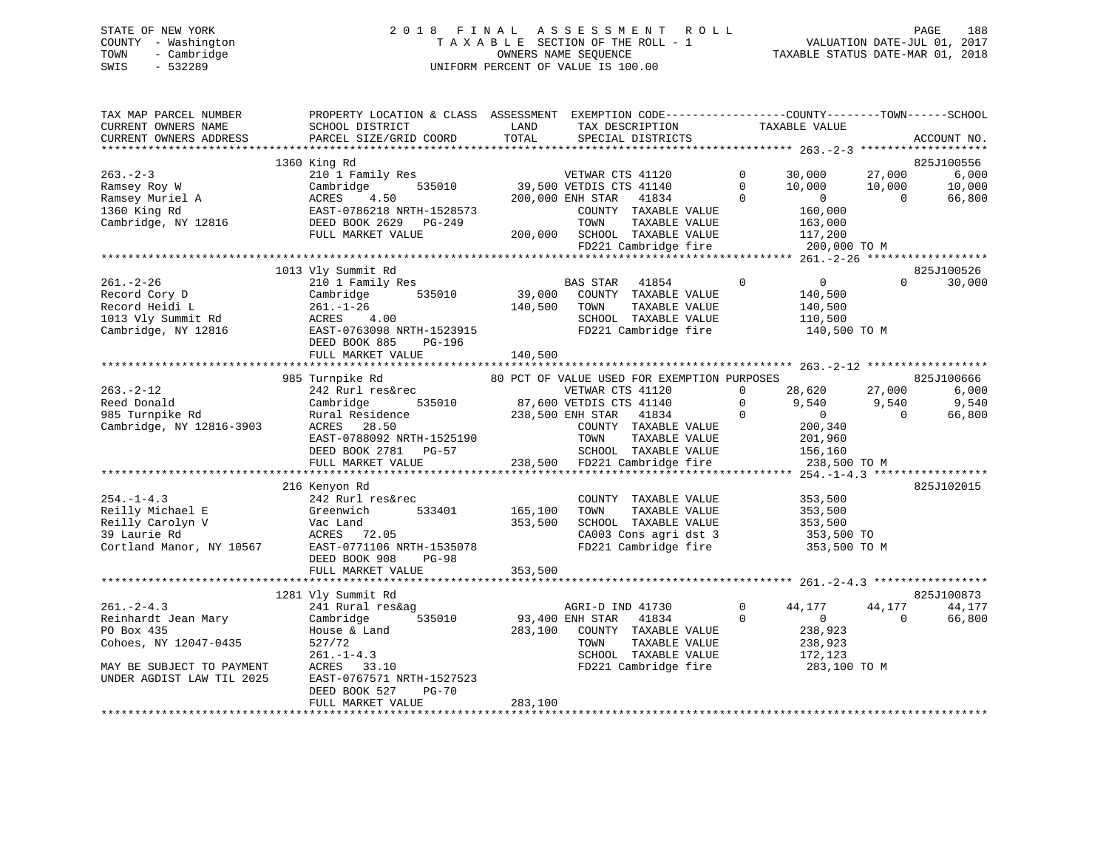# STATE OF NEW YORK 2 0 1 8 F I N A L A S S E S S M E N T R O L L PAGE 188 COUNTY - Washington T A X A B L E SECTION OF THE ROLL - 1 VALUATION DATE-JUL 01, 2017 TOWN - Cambridge OWNERS NAME SEQUENCE TAXABLE STATUS DATE-MAR 01, 2018 SWIS - 532289 UNIFORM PERCENT OF VALUE IS 100.00

| TAX MAP PARCEL NUMBER<br>CURRENT OWNERS NAME<br>CURRENT OWNERS ADDRESS | PROPERTY LOCATION & CLASS ASSESSMENT<br>SCHOOL DISTRICT<br>PARCEL SIZE/GRID COORD | LAND<br>TAX DESCRIPTION<br>TOTAL<br>SPECIAL DISTRICTS | EXEMPTION CODE-----------------COUNTY-------TOWN------SCHOOL<br>TAXABLE VALUE | ACCOUNT NO.        |
|------------------------------------------------------------------------|-----------------------------------------------------------------------------------|-------------------------------------------------------|-------------------------------------------------------------------------------|--------------------|
|                                                                        | 1360 King Rd                                                                      |                                                       |                                                                               | 825J100556         |
| $263 - 2 - 3$                                                          | 210 1 Family Res                                                                  | VETWAR CTS 41120                                      | $\mathbf{0}$<br>30,000                                                        | 6,000<br>27,000    |
| Ramsey Roy W                                                           | 535010<br>Cambridge                                                               | 39,500 VETDIS CTS 41140                               | $\mathbf 0$<br>10,000                                                         | 10,000<br>10,000   |
| Ramsey Muriel A                                                        | ACRES<br>4.50                                                                     | 200,000 ENH STAR<br>41834                             | $\Omega$<br>$\Omega$                                                          | 66,800<br>$\Omega$ |
| 1360 King Rd                                                           | EAST-0786218 NRTH-1528573                                                         | COUNTY TAXABLE VALUE                                  | 160,000                                                                       |                    |
| Cambridge, NY 12816                                                    | DEED BOOK 2629<br>PG-249                                                          | TOWN<br>TAXABLE VALUE                                 | 163,000                                                                       |                    |
|                                                                        | FULL MARKET VALUE                                                                 | 200,000 SCHOOL TAXABLE VALUE                          | 117,200                                                                       |                    |
|                                                                        |                                                                                   | FD221 Cambridge fire                                  | 200,000 TO M                                                                  |                    |
|                                                                        |                                                                                   |                                                       |                                                                               |                    |
|                                                                        | 1013 Vly Summit Rd                                                                |                                                       |                                                                               | 825J100526         |
| $261. - 2 - 26$                                                        | 210 1 Family Res                                                                  | BAS STAR<br>41854                                     | $\Omega$<br>$\overline{0}$                                                    | 30,000<br>$\Omega$ |
| Record Cory D                                                          | Cambridge<br>535010                                                               | 39,000<br>COUNTY TAXABLE VALUE                        | 140,500                                                                       |                    |
| Record Heidi L                                                         | $261. - 1 - 26$                                                                   | 140,500<br>TAXABLE VALUE<br>TOWN                      | 140,500                                                                       |                    |
| 1013 Vly Summit Rd                                                     | 4.00<br>ACRES                                                                     | SCHOOL TAXABLE VALUE                                  | 110,500                                                                       |                    |
| Cambridge, NY 12816                                                    | EAST-0763098 NRTH-1523915                                                         | FD221 Cambridge fire                                  | 140,500 TO M                                                                  |                    |
|                                                                        | DEED BOOK 885<br>PG-196                                                           |                                                       |                                                                               |                    |
|                                                                        | FULL MARKET VALUE                                                                 | 140,500                                               |                                                                               |                    |
|                                                                        |                                                                                   |                                                       |                                                                               |                    |
|                                                                        | 985 Turnpike Rd                                                                   | 80 PCT OF VALUE USED FOR EXEMPTION PURPOSES           |                                                                               | 825J100666         |
| $263 - 2 - 12$                                                         | 242 Rurl res&rec                                                                  | VETWAR CTS 41120                                      | $\Omega$<br>28,620                                                            | 6,000<br>27,000    |
| Reed Donald                                                            | 535010<br>Cambridge                                                               | 87,600 VETDIS CTS 41140                               | 9,540<br>$\Omega$                                                             | 9,540<br>9,540     |
| 985 Turnpike Rd                                                        | Rural Residence                                                                   | 238,500 ENH STAR 41834                                | $\mathbf 0$<br>$\overline{0}$                                                 | 66,800<br>$\Omega$ |
| Cambridge, NY 12816-3903                                               | ACRES<br>28.50                                                                    | COUNTY TAXABLE VALUE                                  | 200,340                                                                       |                    |
|                                                                        | EAST-0788092 NRTH-1525190                                                         | TAXABLE VALUE<br>TOWN                                 | 201,960                                                                       |                    |
|                                                                        | DEED BOOK 2781 PG-57                                                              | SCHOOL TAXABLE VALUE                                  | 156,160                                                                       |                    |
|                                                                        | FULL MARKET VALUE                                                                 | 238,500 FD221 Cambridge fire                          | 238,500 TO M                                                                  |                    |
|                                                                        | 216 Kenyon Rd                                                                     |                                                       |                                                                               | 825J102015         |
| $254. -1 - 4.3$                                                        | 242 Rurl res&rec                                                                  | COUNTY TAXABLE VALUE                                  | 353,500                                                                       |                    |
| Reilly Michael E                                                       | Greenwich<br>533401                                                               | 165,100<br>TAXABLE VALUE<br>TOWN                      | 353,500                                                                       |                    |
| Reilly Carolyn V                                                       | Vac Land                                                                          | 353,500<br>SCHOOL TAXABLE VALUE                       | 353,500                                                                       |                    |
| 39 Laurie Rd                                                           | ACRES<br>72.05                                                                    | CA003 Cons agri dst 3                                 | 353,500 TO                                                                    |                    |
| Cortland Manor, NY 10567                                               | EAST-0771106 NRTH-1535078                                                         | FD221 Cambridge fire                                  | 353,500 TO M                                                                  |                    |
|                                                                        | DEED BOOK 908<br>$PG-98$                                                          |                                                       |                                                                               |                    |
|                                                                        | FULL MARKET VALUE                                                                 | 353,500                                               |                                                                               |                    |
|                                                                        |                                                                                   |                                                       |                                                                               |                    |
|                                                                        | 1281 Vly Summit Rd                                                                |                                                       |                                                                               | 825J100873         |
| $261 - 2 - 4.3$                                                        | 241 Rural res&ag                                                                  | AGRI-D IND 41730                                      | 0<br>44,177                                                                   | 44,177<br>44,177   |
| Reinhardt Jean Mary                                                    | 535010<br>Cambridge                                                               | 93,400 ENH STAR<br>41834                              | $\mathbf 0$<br>$\overline{0}$                                                 | 66,800<br>$\Omega$ |
| PO Box 435                                                             | House & Land                                                                      | 283,100<br>COUNTY TAXABLE VALUE                       | 238,923                                                                       |                    |
| Cohoes, NY 12047-0435                                                  | 527/72                                                                            | TOWN<br>TAXABLE VALUE                                 | 238,923                                                                       |                    |
|                                                                        | $261. - 1 - 4.3$                                                                  | SCHOOL TAXABLE VALUE                                  | 172,123                                                                       |                    |
| MAY BE SUBJECT TO PAYMENT                                              | ACRES<br>33.10                                                                    | FD221 Cambridge fire                                  | 283,100 TO M                                                                  |                    |
| UNDER AGDIST LAW TIL 2025                                              | EAST-0767571 NRTH-1527523                                                         |                                                       |                                                                               |                    |
|                                                                        | DEED BOOK 527<br><b>PG-70</b>                                                     |                                                       |                                                                               |                    |
|                                                                        | FULL MARKET VALUE                                                                 | 283,100                                               |                                                                               |                    |
|                                                                        |                                                                                   |                                                       |                                                                               |                    |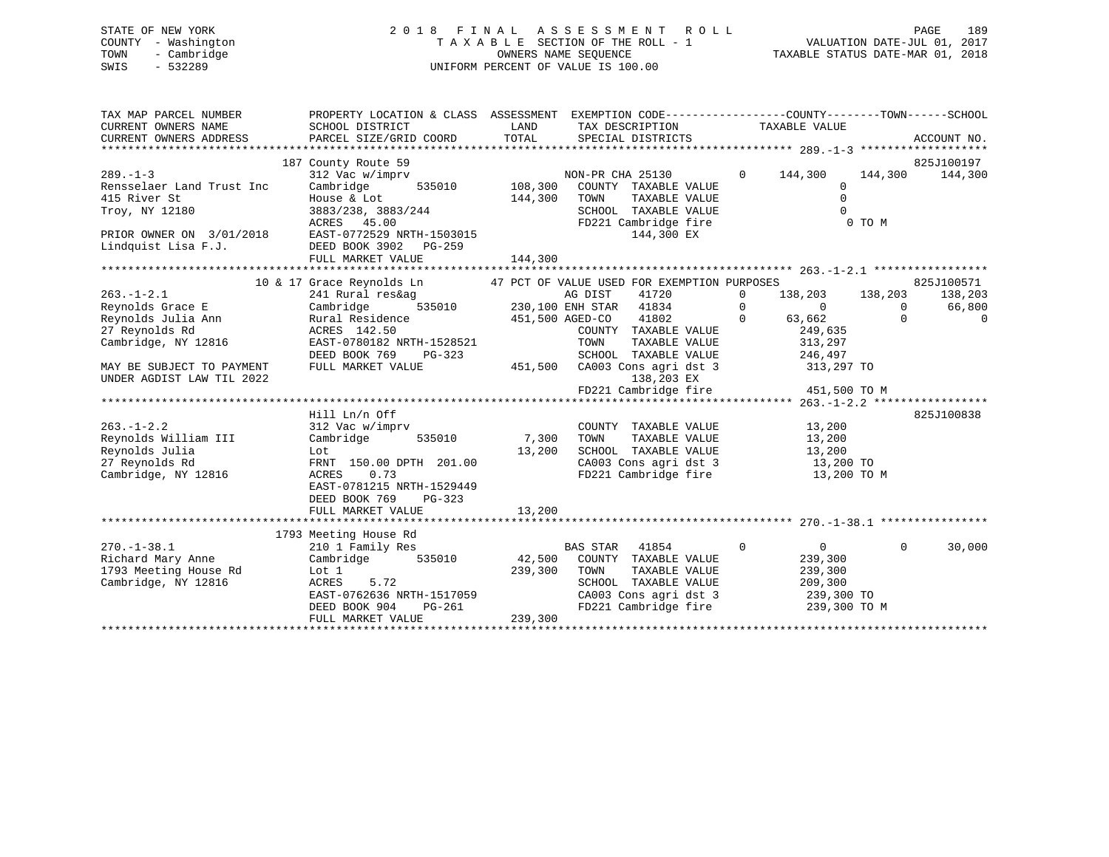# STATE OF NEW YORK 2 0 1 8 F I N A L A S S E S S M E N T R O L L PAGE 189 COUNTY - Washington T A X A B L E SECTION OF THE ROLL - 1 VALUATION DATE-JUL 01, 2017 TOWN - Cambridge OWNERS NAME SEQUENCE TAXABLE STATUS DATE-MAR 01, 2018 SWIS - 532289 UNIFORM PERCENT OF VALUE IS 100.00

| TAX MAP PARCEL NUMBER<br>CURRENT OWNERS NAME<br>CURRENT OWNERS ADDRESS                                  | PROPERTY LOCATION & CLASS ASSESSMENT EXEMPTION CODE---------------COUNTY-------TOWN------SCHOOL<br>SCHOOL DISTRICT |              | LAND TAX DESCRIPTION TAXABLE VALUE                                                             |                |                         |                          |
|---------------------------------------------------------------------------------------------------------|--------------------------------------------------------------------------------------------------------------------|--------------|------------------------------------------------------------------------------------------------|----------------|-------------------------|--------------------------|
|                                                                                                         |                                                                                                                    |              |                                                                                                |                |                         |                          |
|                                                                                                         | 187 County Route 59                                                                                                |              |                                                                                                |                |                         | 825J100197               |
| $289. - 1 - 3$                                                                                          | 312 Vac w/imprv                                                                                                    |              | E 33<br>imprv<br>535010 108,300 COUNTY TAXABLE VALUE<br>344 200 TOUNTY TAXABLE VALUE           | $0 \t 144,300$ |                         | 144,300 144,300          |
| Rensselaer Land Trust Inc                                                                               | Cambridge                                                                                                          |              |                                                                                                |                | $\Omega$                |                          |
|                                                                                                         |                                                                                                                    | 144,300      | TOWN<br>TAXABLE VALUE                                                                          |                | $\mathbf 0$<br>$\Omega$ |                          |
|                                                                                                         | ACRES 45.00                                                                                                        |              | SCHOOL TAXABLE VALUE<br>FD221 Cambridge fire                                                   |                | 0 TO M                  |                          |
|                                                                                                         |                                                                                                                    |              | 144,300 EX                                                                                     |                |                         |                          |
| PRIOR OWNER ON $3/01/2018$<br>EAST-0772529 NRTH-1503015<br>Lindquist Lisa F.J.<br>PEED BOOK 3902 PG-259 |                                                                                                                    |              |                                                                                                |                |                         |                          |
|                                                                                                         | FULL MARKET VALUE                                                                                                  | 144,300      |                                                                                                |                |                         |                          |
|                                                                                                         |                                                                                                                    |              |                                                                                                |                |                         |                          |
|                                                                                                         |                                                                                                                    |              |                                                                                                |                |                         | 825J100571               |
| $263. - 1 - 2.1$                                                                                        |                                                                                                                    |              |                                                                                                |                |                         | 138,203                  |
| Reynolds Grace E                                                                                        |                                                                                                                    |              |                                                                                                |                |                         | 66,800                   |
| Reynolds Julia Ann<br>27 Reynolds Rd                                                                    |                                                                                                                    |              |                                                                                                |                |                         | $\Omega$                 |
| 27 Reynolds Rd                                                                                          |                                                                                                                    |              | COUNTY TAXABLE VALUE 249,635<br>TOWN TAXABLE VALUE 313,297                                     |                |                         |                          |
| Cambridge, NY 12816                                                                                     | ACRES 142.50<br>EAST-0780182 NRTH-1528521                                                                          |              | TOWN                                                                                           |                |                         |                          |
|                                                                                                         | DEED BOOK 769                                                                                                      |              | SCHOOL TAXABLE VALUE 246,497                                                                   |                |                         |                          |
| MAY BE SUBJECT TO PAYMENT                                                                               | FULL MARKET VALUE                                                                                                  |              | PG-323<br>EUDE 451,500 CA003 Cons agri dst 3<br>ALUE 451,500 CA003 Cons agri dst 3             |                | 313,297 TO              |                          |
| UNDER AGDIST LAW TIL 2022                                                                               |                                                                                                                    |              | 138,203 EX                                                                                     |                |                         |                          |
|                                                                                                         |                                                                                                                    |              |                                                                                                |                |                         |                          |
|                                                                                                         |                                                                                                                    |              |                                                                                                |                |                         | 825J100838               |
| $263. - 1 - 2.2$                                                                                        | Hill Ln/n Off<br>312 Vac w/imprv                                                                                   |              | COUNTY TAXABLE VALUE 13,200                                                                    |                |                         |                          |
| Reynolds William III                                                                                    | Cambridge 535010 7,300                                                                                             |              | TOWN                                                                                           |                |                         |                          |
| Reynolds Julia                                                                                          | Lot                                                                                                                |              | TOWN TAXABLE VALUE 13,200<br>SCHOOL TAXABLE VALUE 13,200<br>CA003 Cons agri dst 3 13,200 TO    |                |                         |                          |
| 27 Reynolds Rd                                                                                          | FRNT 150.00 DPTH 201.00                                                                                            | 13,200       |                                                                                                |                |                         |                          |
| Cambridge, NY 12816                                                                                     | ACRES<br>0.73                                                                                                      |              | FD221 Cambridge fire 13,200 TO M                                                               |                |                         |                          |
|                                                                                                         | EAST-0781215 NRTH-1529449                                                                                          |              |                                                                                                |                |                         |                          |
|                                                                                                         | DEED BOOK 769 PG-323                                                                                               |              |                                                                                                |                |                         |                          |
|                                                                                                         | FULL MARKET VALUE                                                                                                  | 13,200       |                                                                                                |                |                         |                          |
|                                                                                                         |                                                                                                                    |              |                                                                                                |                |                         |                          |
|                                                                                                         | 1793 Meeting House Rd                                                                                              |              |                                                                                                |                |                         |                          |
| $270. - 1 - 38.1$                                                                                       | 210 1 Family Res                                                                                                   |              | BAS STAR 41854                                                                                 | $\overline{0}$ | $\sim$ 0                | $\overline{0}$<br>30,000 |
| Richard Mary Anne                                                                                       | Cambridge 535010 42,500 COUNTY TAXABLE VALUE 239,300                                                               |              |                                                                                                |                |                         |                          |
| Kidmard Party<br>1793 Meeting House Rd<br>- Northean NV 12816                                           | Lot 1<br>ACRES 5.72                                                                                                | 239,300 TOWN |                                                                                                |                |                         |                          |
|                                                                                                         |                                                                                                                    |              | TOWN TAXABLE VALUE 239,300<br>SCHOOL TAXABLE VALUE 209,300<br>CA003 Cons agri dst 3 239,300 TO |                |                         |                          |
|                                                                                                         |                                                                                                                    |              |                                                                                                |                |                         |                          |
|                                                                                                         | EAST-0762636 NRTH-1517059<br>DEED BOOK 904 PG-261<br>FULL MARKET VALUE 239,300                                     |              | FD221 Cambridge fire 239,300 TO M                                                              |                |                         |                          |
|                                                                                                         |                                                                                                                    |              |                                                                                                |                |                         |                          |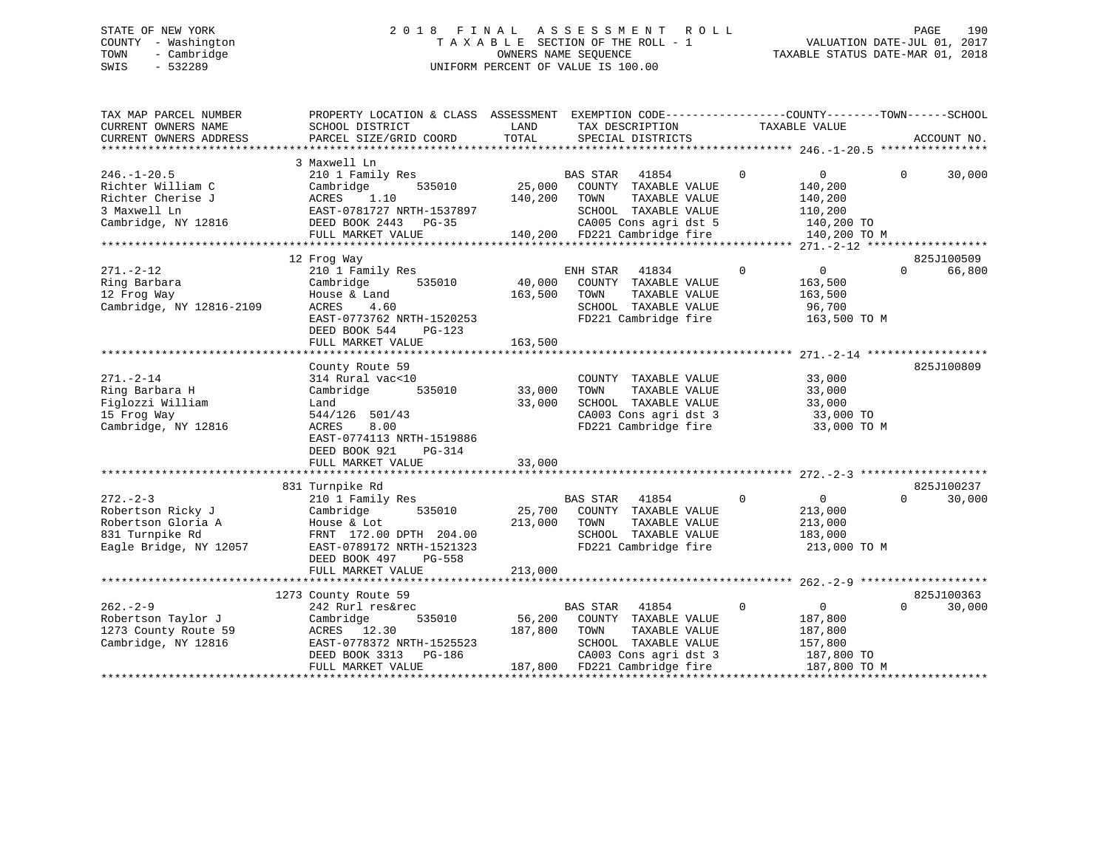# STATE OF NEW YORK 2 0 1 8 F I N A L A S S E S S M E N T R O L L PAGE 190 COUNTY - Washington T A X A B L E SECTION OF THE ROLL - 1 VALUATION DATE-JUL 01, 2017 TOWN - Cambridge OWNERS NAME SEQUENCE TAXABLE STATUS DATE-MAR 01, 2018 SWIS - 532289 UNIFORM PERCENT OF VALUE IS 100.00

| TAX MAP PARCEL NUMBER<br>CURRENT OWNERS NAME<br>CURRENT OWNERS ADDRESS                                | PROPERTY LOCATION & CLASS ASSESSMENT EXEMPTION CODE---------------COUNTY-------TOWN------SCHOOL<br>SCHOOL DISTRICT<br>PARCEL SIZE/GRID COORD                                       | LAND<br>TOTAL                | TAX DESCRIPTION<br>SPECIAL DISTRICTS                                                                                           | TAXABLE VALUE                                                                 | ACCOUNT NO.                      |
|-------------------------------------------------------------------------------------------------------|------------------------------------------------------------------------------------------------------------------------------------------------------------------------------------|------------------------------|--------------------------------------------------------------------------------------------------------------------------------|-------------------------------------------------------------------------------|----------------------------------|
|                                                                                                       |                                                                                                                                                                                    |                              |                                                                                                                                |                                                                               |                                  |
| $246. - 1 - 20.5$<br>Richter William C<br>Richter Cherise J<br>3 Maxwell Ln<br>Cambridge, NY 12816    | 3 Maxwell Ln<br>210 1 Family Res<br>Cambridge<br>535010<br>ACRES<br>1.10<br>EAST-0781727 NRTH-1537897<br>DEED BOOK 2443 PG-35                                                      | 25,000<br>140,200            | BAS STAR<br>41854<br>COUNTY TAXABLE VALUE<br>TOWN<br>TAXABLE VALUE<br>SCHOOL TAXABLE VALUE<br>CA005 Cons agri dst 5            | $\overline{0}$<br>$\mathbf{0}$<br>140,200<br>140,200<br>110,200<br>140,200 TO | $\Omega$<br>30,000               |
|                                                                                                       | FULL MARKET VALUE                                                                                                                                                                  |                              | 140,200 FD221 Cambridge fire                                                                                                   | 140,200 TO M                                                                  |                                  |
|                                                                                                       |                                                                                                                                                                                    |                              |                                                                                                                                |                                                                               |                                  |
|                                                                                                       | 12 Frog Way                                                                                                                                                                        |                              |                                                                                                                                |                                                                               | 825J100509                       |
| $271. - 2 - 12$<br>Ring Barbara<br>12 Frog Way<br>Cambridge, NY 12816-2109                            | 210 1 Family Res<br>535010<br>Cambridge<br>House & Land<br>ACRES<br>4.60<br>EAST-0773762 NRTH-1520253<br>DEED BOOK 544<br>PG-123<br>FULL MARKET VALUE                              | 40,000<br>163,500<br>163,500 | ENH STAR 41834<br>COUNTY TAXABLE VALUE<br>TOWN<br>TAXABLE VALUE<br>SCHOOL TAXABLE VALUE<br>FD221 Cambridge fire                | $\Omega$<br>0<br>163,500<br>163,500<br>96,700<br>163,500 TO M                 | 66,800<br>$\Omega$               |
|                                                                                                       |                                                                                                                                                                                    |                              |                                                                                                                                |                                                                               |                                  |
| $271. - 2 - 14$<br>Ring Barbara H<br>Figlozzi William<br>15 Frog Way<br>Cambridge, NY 12816           | County Route 59<br>314 Rural vac<10<br>Cambridge<br>535010<br>Land<br>544/126 501/43<br>8.00<br>ACRES<br>EAST-0774113 NRTH-1519886<br>DEED BOOK 921<br>PG-314<br>FULL MARKET VALUE | 33,000<br>33,000<br>33,000   | COUNTY TAXABLE VALUE<br>TAXABLE VALUE<br>TOWN<br>SCHOOL TAXABLE VALUE<br>CA003 Cons agri dst 3<br>FD221 Cambridge fire         | 33,000<br>33,000<br>33,000<br>33,000 TO<br>33,000 TO M                        | 825J100809                       |
|                                                                                                       |                                                                                                                                                                                    |                              |                                                                                                                                |                                                                               |                                  |
| $272 - 2 - 3$<br>Robertson Ricky J<br>Robertson Gloria A<br>831 Turnpike Rd<br>Eagle Bridge, NY 12057 | 831 Turnpike Rd<br>210 1 Family Res<br>Cambridge<br>535010<br>House & Lot<br>FRNT 172.00 DPTH 204.00<br>EAST-0789172 NRTH-1521323<br>DEED BOOK 497<br>PG-558<br>FULL MARKET VALUE  | 25,700<br>213,000<br>213,000 | <b>BAS STAR</b><br>41854<br>COUNTY TAXABLE VALUE<br>TOWN<br>TAXABLE VALUE<br>SCHOOL TAXABLE VALUE<br>FD221 Cambridge fire      | $\Omega$<br>$\overline{0}$<br>213,000<br>213,000<br>183,000<br>213,000 TO M   | 825J100237<br>$\Omega$<br>30,000 |
|                                                                                                       |                                                                                                                                                                                    |                              |                                                                                                                                |                                                                               |                                  |
| $262 - 2 - 9$                                                                                         | 1273 County Route 59<br>242 Rurl res&rec                                                                                                                                           |                              | <b>BAS STAR</b><br>41854                                                                                                       | $\mathbf 0$<br>$\overline{0}$                                                 | 825J100363<br>$\Omega$<br>30,000 |
| Robertson Taylor J<br>1273 County Route 59<br>Cambridge, NY 12816                                     | Cambridge<br>535010<br>ACRES 12.30<br>EAST-0778372 NRTH-1525523<br>DEED BOOK 3313 PG-186<br>FULL MARKET VALUE                                                                      | 56,200<br>187,800            | COUNTY TAXABLE VALUE<br>TAXABLE VALUE<br>TOWN<br>SCHOOL TAXABLE VALUE<br>CA003 Cons agri dst 3<br>187,800 FD221 Cambridge fire | 187,800<br>187,800<br>157,800<br>187,800 TO<br>187,800 TO M                   |                                  |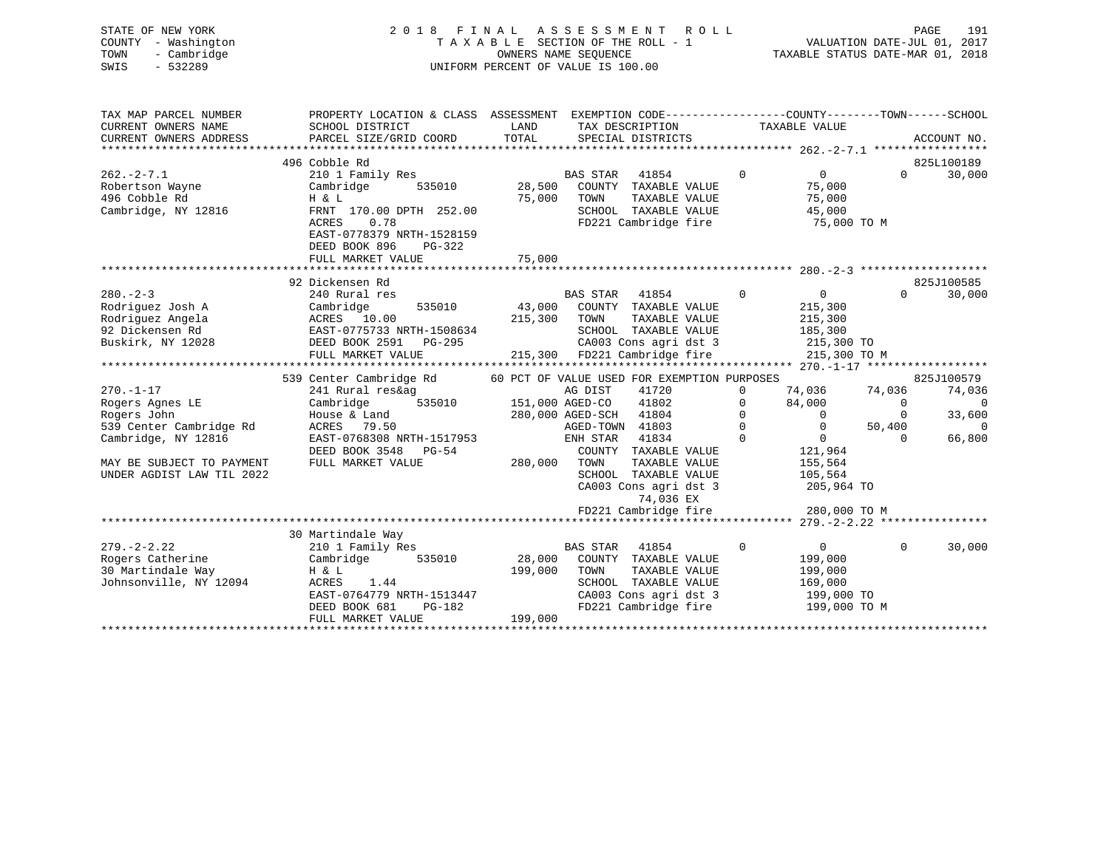| STATE OF NEW YORK<br>COUNTY - Washington<br>- Cambridge<br>TOWN<br>$-532289$<br>SWIS          | 2 0 1 8<br>FINAL                                                                                                                                     |                   | ASSESSMENT<br><b>ROLL</b><br>TAXABLE SECTION OF THE ROLL - 1<br>OWNERS NAME SEQUENCE<br>UNIFORM PERCENT OF VALUE IS 100.00 |                                     | VALUATION DATE-JUL 01, 2017<br>TAXABLE STATUS DATE-MAR 01, 2018 |                                   | PAGE<br>191                                      |
|-----------------------------------------------------------------------------------------------|------------------------------------------------------------------------------------------------------------------------------------------------------|-------------------|----------------------------------------------------------------------------------------------------------------------------|-------------------------------------|-----------------------------------------------------------------|-----------------------------------|--------------------------------------------------|
| TAX MAP PARCEL NUMBER<br>CURRENT OWNERS NAME                                                  | PROPERTY LOCATION & CLASS ASSESSMENT EXEMPTION CODE---------------COUNTY-------TOWN-----SCHOOL<br>SCHOOL DISTRICT                                    | LAND              | TAX DESCRIPTION                                                                                                            |                                     | TAXABLE VALUE                                                   |                                   |                                                  |
| CURRENT OWNERS ADDRESS                                                                        | PARCEL SIZE/GRID COORD                                                                                                                               | TOTAL             | SPECIAL DISTRICTS                                                                                                          |                                     |                                                                 |                                   | ACCOUNT NO.                                      |
|                                                                                               | 496 Cobble Rd                                                                                                                                        |                   |                                                                                                                            |                                     |                                                                 |                                   | 825L100189                                       |
| $262 - 2 - 7.1$<br>Robertson Wayne<br>496 Cobble Rd<br>Cambridge, NY 12816                    | 210 1 Family Res<br>Cambridge<br>535010<br>H & L<br>FRNT 170.00 DPTH 252.00<br>ACRES<br>0.78<br>EAST-0778379 NRTH-1528159<br>DEED BOOK 896<br>PG-322 | 28,500<br>75,000  | 41854<br><b>BAS STAR</b><br>COUNTY TAXABLE VALUE<br>TOWN<br>TAXABLE VALUE<br>SCHOOL TAXABLE VALUE<br>FD221 Cambridge fire  | $\mathbf 0$                         | $\overline{0}$<br>75,000<br>75,000<br>45,000<br>75,000 TO M     | $0 \qquad \qquad$                 | 30,000                                           |
|                                                                                               | FULL MARKET VALUE                                                                                                                                    | 75,000            |                                                                                                                            |                                     |                                                                 |                                   |                                                  |
|                                                                                               |                                                                                                                                                      |                   |                                                                                                                            |                                     |                                                                 |                                   |                                                  |
| $280 - 2 - 3$<br>Rodriguez Josh A<br>Rodriguez Angela<br>92 Dickensen Rd<br>Buskirk, NY 12028 | 92 Dickensen Rd<br>240 Rural res<br>Cambridge<br>535010<br>ACRES 10.00<br>EAST-0775733 NRTH-1508634<br>DEED BOOK 2591 PG-295                         | 43,000<br>215,300 | <b>BAS STAR</b><br>41854<br>COUNTY TAXABLE VALUE<br>TOWN<br>TAXABLE VALUE<br>SCHOOL TAXABLE VALUE<br>CA003 Cons agri dst 3 | $\overline{0}$                      | $\overline{0}$<br>215,300<br>215,300<br>185,300<br>215,300 TO   | $\Omega$                          | 825J100585<br>30,000                             |
|                                                                                               | FULL MARKET VALUE                                                                                                                                    |                   | 215,300 FD221 Cambridge fire                                                                                               |                                     | 215,300 TO M                                                    |                                   |                                                  |
| $270. - 1 - 17$<br>Rogers Agnes LE                                                            | 539 Center Cambridge Rd<br>241 Rural res&ag<br>535010<br>Cambridge                                                                                   |                   | 60 PCT OF VALUE USED FOR EXEMPTION PURPOSES<br>41720<br>AG DIST<br>41802<br>151,000 AGED-CO                                | $\Omega$<br>$\mathbf{0}$            | 74,036<br>84,000                                                | 74,036<br>$\mathbf{0}$            | 825J100579<br>74,036<br>$\overline{\phantom{0}}$ |
| Rogers John<br>539 Center Cambridge Rd<br>Cambridge, NY 12816                                 | House & Land<br>ACRES<br>79.50<br>EAST-0768308 NRTH-1517953<br>DEED BOOK 3548 PG-54                                                                  |                   | 41804<br>280,000 AGED-SCH<br>AGED-TOWN 41803<br>41834<br>ENH STAR<br>COUNTY TAXABLE VALUE                                  | $\mathbf 0$<br>$\Omega$<br>$\Omega$ | $\sim$ 0<br>$\overline{0}$<br>$\overline{0}$<br>121,964         | $\mathbf 0$<br>50,400<br>$\Omega$ | 33,600<br>$\Omega$<br>66,800                     |
| MAY BE SUBJECT TO PAYMENT<br>UNDER AGDIST LAW TIL 2022                                        | FULL MARKET VALUE                                                                                                                                    | 280,000           | TAXABLE VALUE<br>TOWN<br>SCHOOL TAXABLE VALUE<br>CA003 Cons agri dst 3<br>74,036 EX<br>FD221 Cambridge fire                |                                     | 155,564<br>105,564<br>205,964 TO<br>280,000 TO M                |                                   |                                                  |
|                                                                                               |                                                                                                                                                      |                   |                                                                                                                            |                                     |                                                                 |                                   |                                                  |
| $279. - 2 - 2.22$<br>Rogers Catherine<br>30 Martindale Way<br>Johnsonville, NY 12094          | 30 Martindale Way<br>210 1 Family Res<br>Cambridge<br>535010<br>H & L<br>ACRES<br>1.44<br>EAST-0764779 NRTH-1513447                                  | 28,000<br>199,000 | <b>BAS STAR</b><br>41854<br>COUNTY TAXABLE VALUE<br>TAXABLE VALUE<br>TOWN<br>SCHOOL TAXABLE VALUE<br>CA003 Cons agri dst 3 | $\mathbf 0$                         | 0<br>199,000<br>199,000<br>169,000<br>199,000 TO                | $\Omega$                          | 30,000                                           |

DEED BOOK 681 PG-182 FD221 Cambridge fire 199,000 TO M

\*\*\*\*\*\*\*\*\*\*\*\*\*\*\*\*\*\*\*\*\*\*\*\*\*\*\*\*\*\*\*\*\*\*\*\*\*\*\*\*\*\*\*\*\*\*\*\*\*\*\*\*\*\*\*\*\*\*\*\*\*\*\*\*\*\*\*\*\*\*\*\*\*\*\*\*\*\*\*\*\*\*\*\*\*\*\*\*\*\*\*\*\*\*\*\*\*\*\*\*\*\*\*\*\*\*\*\*\*\*\*\*\*\*\*\*\*\*\*\*\*\*\*\*\*\*\*\*\*\*\*\*

FULL MARKET VALUE 199,000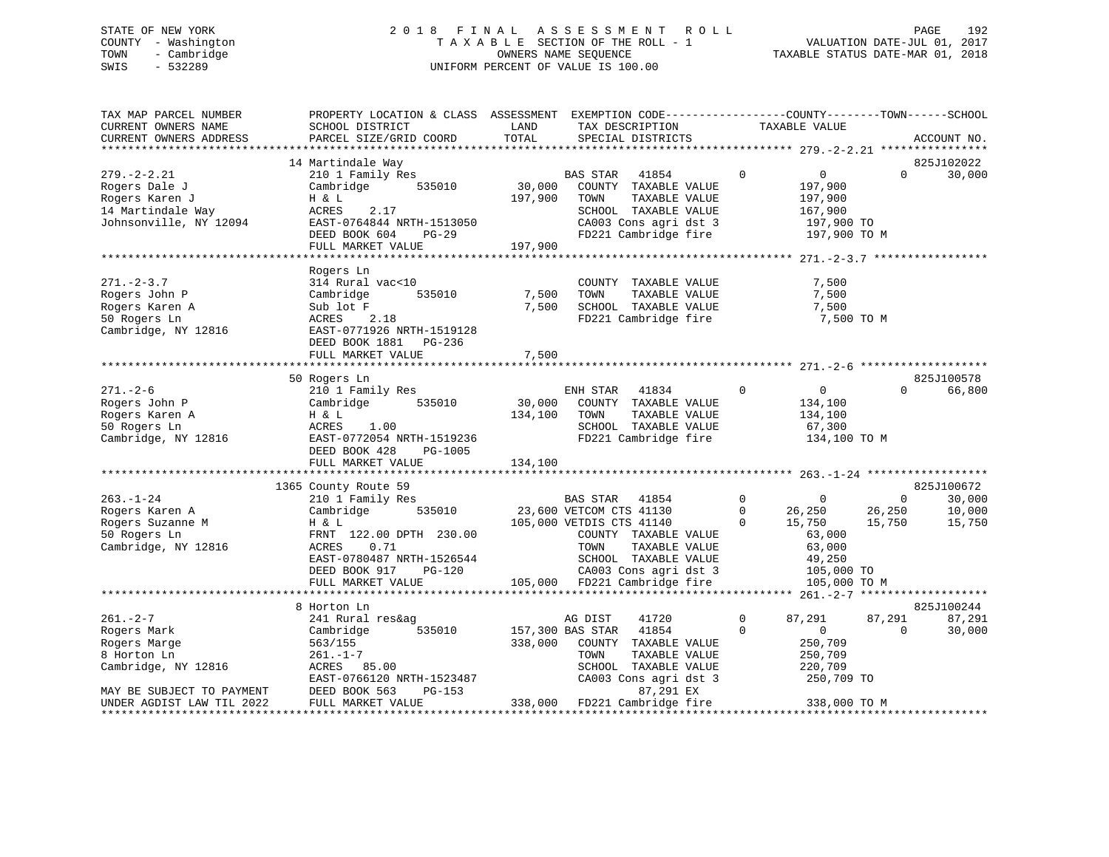# STATE OF NEW YORK 2 0 1 8 F I N A L A S S E S S M E N T R O L L PAGE 192 COUNTY - Washington T A X A B L E SECTION OF THE ROLL - 1 VALUATION DATE-JUL 01, 2017 TOWN - Cambridge OWNERS NAME SEQUENCE TAXABLE STATUS DATE-MAR 01, 2018 SWIS - 532289 UNIFORM PERCENT OF VALUE IS 100.00

| TAX MAP PARCEL NUMBER<br>CURRENT OWNERS NAME<br>CURRENT OWNERS ADDRESS                              | PROPERTY LOCATION & CLASS ASSESSMENT EXEMPTION CODE----------------COUNTY-------TOWN-----SCHOOL<br>SCHOOL DISTRICT<br>PARCEL SIZE/GRID COORD         | LAND<br>TOTAL     | TAX DESCRIPTION<br>SPECIAL DISTRICTS                                                                                                                                    |                                               | TAXABLE VALUE                                                                  |                                  | ACCOUNT NO.                |
|-----------------------------------------------------------------------------------------------------|------------------------------------------------------------------------------------------------------------------------------------------------------|-------------------|-------------------------------------------------------------------------------------------------------------------------------------------------------------------------|-----------------------------------------------|--------------------------------------------------------------------------------|----------------------------------|----------------------------|
|                                                                                                     | 14 Martindale Way                                                                                                                                    |                   |                                                                                                                                                                         |                                               |                                                                                |                                  | 825J102022                 |
| $279. - 2 - 2.21$<br>Rogers Dale J<br>Rogers Karen J<br>14 Martindale Way<br>Johnsonville, NY 12094 | 210 1 Family Res<br>535010<br>Cambridge<br>H & L<br>2.17<br>ACRES<br>EAST-0764844 NRTH-1513050                                                       | 30,000<br>197,900 | BAS STAR<br>41854<br>COUNTY TAXABLE VALUE<br>TAXABLE VALUE<br>TOWN<br>SCHOOL TAXABLE VALUE<br>CA003 Cons agri dst 3                                                     | $\mathbf 0$                                   | $\overline{0}$<br>197,900<br>197,900<br>167,900<br>197,900 TO                  | $\Omega$                         | 30,000                     |
|                                                                                                     | DEED BOOK 604<br>PG-29                                                                                                                               |                   | FD221 Cambridge fire                                                                                                                                                    |                                               | 197,900 TO M                                                                   |                                  |                            |
|                                                                                                     | FULL MARKET VALUE                                                                                                                                    | 197,900           |                                                                                                                                                                         |                                               |                                                                                |                                  |                            |
|                                                                                                     |                                                                                                                                                      |                   |                                                                                                                                                                         |                                               |                                                                                |                                  |                            |
| $271. - 2 - 3.7$<br>Rogers John P<br>Rogers Karen A<br>50 Rogers Ln<br>Cambridge, NY 12816          | Rogers Ln<br>314 Rural vac<10<br>535010<br>Cambridge<br>Sub lot F<br>ACRES<br>2.18<br>EAST-0771926 NRTH-1519128<br>DEED BOOK 1881 PG-236             | 7,500<br>7,500    | COUNTY TAXABLE VALUE<br>TAXABLE VALUE<br>TOWN<br>SCHOOL TAXABLE VALUE<br>FD221 Cambridge fire                                                                           |                                               | 7,500<br>7,500<br>7,500<br>7,500 TO M                                          |                                  |                            |
|                                                                                                     | FULL MARKET VALUE                                                                                                                                    | 7,500             |                                                                                                                                                                         |                                               |                                                                                |                                  |                            |
|                                                                                                     |                                                                                                                                                      |                   |                                                                                                                                                                         |                                               |                                                                                |                                  |                            |
|                                                                                                     | 50 Rogers Ln                                                                                                                                         |                   |                                                                                                                                                                         |                                               |                                                                                |                                  | 825J100578                 |
| $271. - 2 - 6$<br>Rogers John P<br>Rogers Karen A<br>50 Rogers Ln<br>Cambridge, NY 12816            | 210 1 Family Res<br>535010<br>Cambridge<br>H & L<br>ACRES<br>1.00<br>EAST-0772054 NRTH-1519236<br>DEED BOOK 428<br>PG-1005                           | 30,000<br>134,100 | ENH STAR<br>41834<br>COUNTY TAXABLE VALUE<br>TOWN<br>TAXABLE VALUE<br>SCHOOL TAXABLE VALUE<br>FD221 Cambridge fire                                                      | $\mathbf 0$                                   | 0<br>134,100<br>134,100<br>67,300<br>134,100 TO M                              | $\Omega$                         | 66,800                     |
|                                                                                                     | FULL MARKET VALUE                                                                                                                                    | 134,100           |                                                                                                                                                                         |                                               |                                                                                |                                  |                            |
|                                                                                                     |                                                                                                                                                      |                   |                                                                                                                                                                         |                                               |                                                                                |                                  |                            |
|                                                                                                     | 1365 County Route 59                                                                                                                                 |                   |                                                                                                                                                                         |                                               |                                                                                |                                  | 825J100672                 |
| $263. - 1 - 24$<br>Rogers Karen A<br>Rogers Suzanne M<br>50 Rogers Ln<br>Cambridge, NY 12816        | 210 1 Family Res<br>Cambridge<br>535010<br>H & L<br>FRNT 122.00 DPTH 230.00<br>ACRES<br>0.71<br>EAST-0780487 NRTH-1526544<br>DEED BOOK 917<br>PG-120 |                   | BAS STAR 41854<br>23,600 VETCOM CTS 41130<br>105,000 VETDIS CTS 41140<br>COUNTY TAXABLE VALUE<br>TOWN<br>TAXABLE VALUE<br>SCHOOL TAXABLE VALUE<br>CA003 Cons agri dst 3 | $\overline{0}$<br>$\mathbf{0}$<br>$\mathbf 0$ | $\overline{0}$<br>26,250<br>15,750<br>63,000<br>63,000<br>49,250<br>105,000 TO | $\mathbf{0}$<br>26,250<br>15,750 | 30,000<br>10,000<br>15,750 |
|                                                                                                     | FULL MARKET VALUE                                                                                                                                    |                   | 105,000 FD221 Cambridge fire                                                                                                                                            |                                               | 105,000 TO M                                                                   |                                  |                            |
|                                                                                                     |                                                                                                                                                      |                   |                                                                                                                                                                         |                                               |                                                                                |                                  |                            |
|                                                                                                     | 8 Horton Ln                                                                                                                                          |                   |                                                                                                                                                                         |                                               |                                                                                |                                  | 825J100244                 |
| $261. - 2 - 7$                                                                                      | 241 Rural res&ag                                                                                                                                     |                   | AG DIST<br>41720                                                                                                                                                        | 0                                             | 87,291                                                                         | 87,291                           | 87,291                     |
| Rogers Mark                                                                                         | 535010<br>Cambridge                                                                                                                                  | 157,300 BAS STAR  | 41854                                                                                                                                                                   | $\Omega$                                      | $\overline{0}$                                                                 | $\Omega$                         | 30,000                     |
| Rogers Marge                                                                                        | 563/155                                                                                                                                              | 338,000           | COUNTY TAXABLE VALUE                                                                                                                                                    |                                               | 250,709                                                                        |                                  |                            |
| 8 Horton Ln                                                                                         | $261. - 1 - 7$                                                                                                                                       |                   | TOWN<br>TAXABLE VALUE                                                                                                                                                   |                                               | 250,709                                                                        |                                  |                            |
| Cambridge, NY 12816                                                                                 | ACRES 85.00                                                                                                                                          |                   | SCHOOL TAXABLE VALUE                                                                                                                                                    |                                               | 220,709                                                                        |                                  |                            |
| MAY BE SUBJECT TO PAYMENT<br>UNDER AGDIST LAW TIL 2022                                              | EAST-0766120 NRTH-1523487<br>DEED BOOK 563<br>PG-153<br>FULL MARKET VALUE                                                                            |                   | CA003 Cons agri dst 3<br>87,291 EX<br>338,000 FD221 Cambridge fire                                                                                                      |                                               | 250,709 TO<br>338,000 TO M                                                     |                                  |                            |
|                                                                                                     |                                                                                                                                                      |                   |                                                                                                                                                                         |                                               |                                                                                |                                  |                            |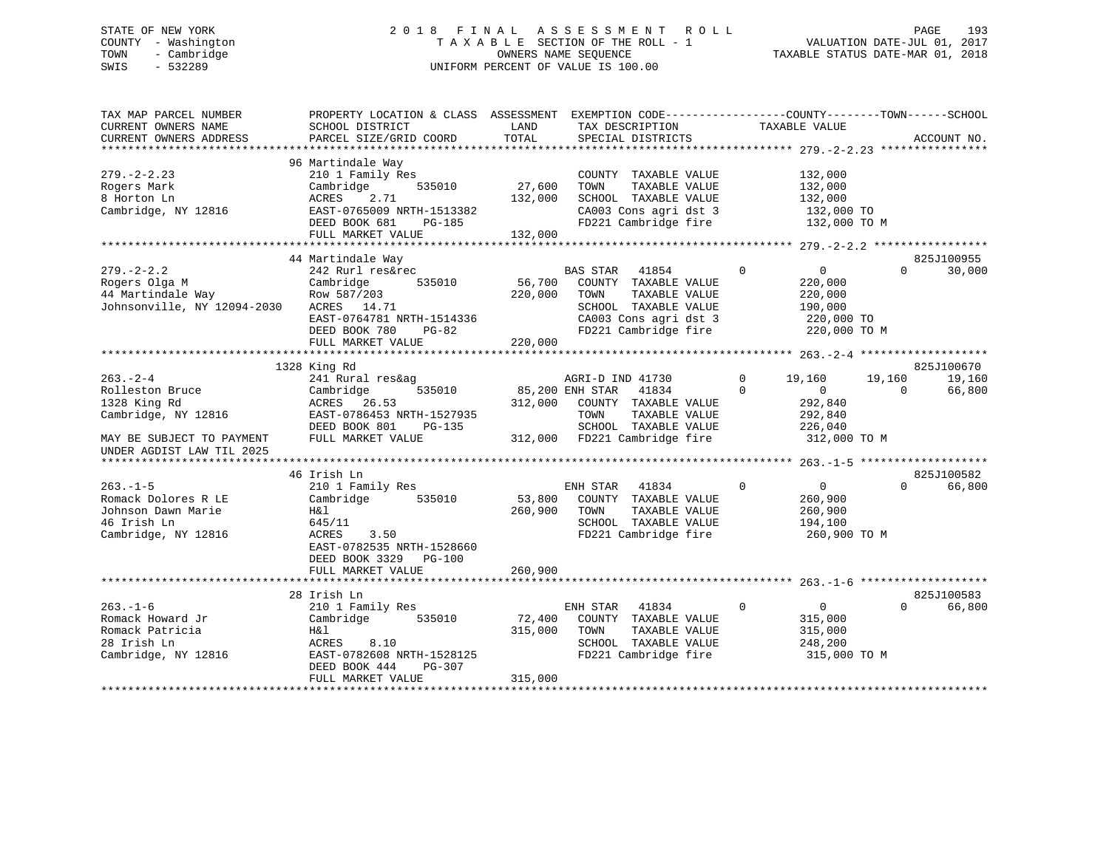# STATE OF NEW YORK 2 0 1 8 F I N A L A S S E S S M E N T R O L L PAGE 193 COUNTY - Washington T A X A B L E SECTION OF THE ROLL - 1 VALUATION DATE-JUL 01, 2017 TOWN - Cambridge OWNERS NAME SEQUENCE TAXABLE STATUS DATE-MAR 01, 2018 SWIS - 532289 UNIFORM PERCENT OF VALUE IS 100.00

| 825J100955                     |
|--------------------------------|
| 30,000                         |
|                                |
| 825J100670<br>19,160<br>66,800 |
| 825J100582                     |
| 66,800                         |
|                                |
|                                |
| 825J100583<br>66,800           |
|                                |
|                                |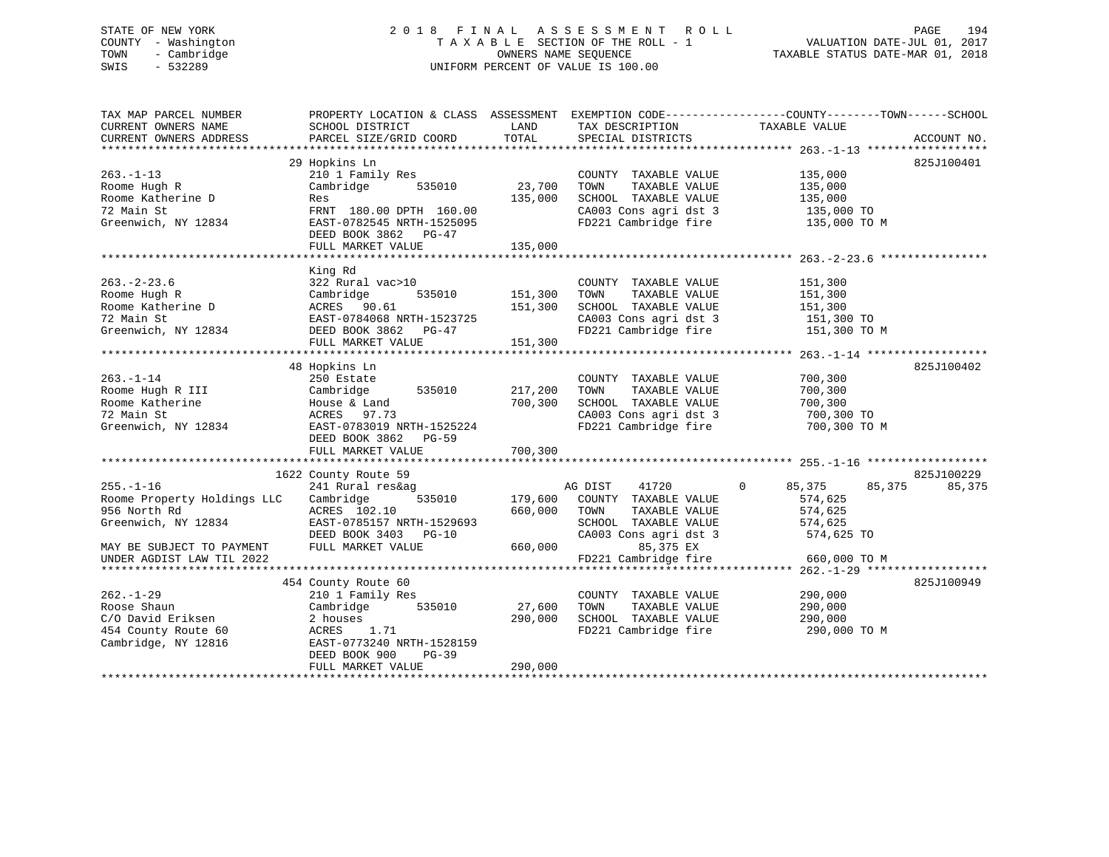# STATE OF NEW YORK 2 0 1 8 F I N A L A S S E S S M E N T R O L L PAGE 194 COUNTY - Washington T A X A B L E SECTION OF THE ROLL - 1 VALUATION DATE-JUL 01, 2017 TOWN - Cambridge OWNERS NAME SEQUENCE TAXABLE STATUS DATE-MAR 01, 2018 SWIS - 532289 UNIFORM PERCENT OF VALUE IS 100.00

| TAX MAP PARCEL NUMBER<br>CURRENT OWNERS NAME<br>CURRENT OWNERS ADDRESS                                                                          | PROPERTY LOCATION & CLASS ASSESSMENT EXEMPTION CODE----------------COUNTY-------TOWN------SCHOOL<br>SCHOOL DISTRICT<br>PARCEL SIZE/GRID COORD                        | LAND<br>TOTAL                | TAX DESCRIPTION<br>SPECIAL DISTRICTS                                                                                                                                                      | TAXABLE VALUE                                                      | ACCOUNT NO.          |
|-------------------------------------------------------------------------------------------------------------------------------------------------|----------------------------------------------------------------------------------------------------------------------------------------------------------------------|------------------------------|-------------------------------------------------------------------------------------------------------------------------------------------------------------------------------------------|--------------------------------------------------------------------|----------------------|
| $263. -1 - 13$<br>Roome Hugh R<br>Roome Katherine D<br>72 Main St<br>Greenwich, NY 12834                                                        | 29 Hopkins Ln<br>210 1 Family Res<br>Cambridge<br>535010<br>Res<br>FRNT 180.00 DPTH 160.00<br>EAST-0782545 NRTH-1525095<br>DEED BOOK 3862 PG-47<br>FULL MARKET VALUE | 23,700<br>135,000<br>135,000 | COUNTY TAXABLE VALUE<br>TAXABLE VALUE<br>TOWN<br>SCHOOL TAXABLE VALUE 135,000<br>CA003 Cons agri dst 3 135,000 TO<br>FD221 Cambridge fire 135,000 TO M                                    | 135,000<br>135,000                                                 | 825J100401           |
| $263 - 2 - 23.6$<br>Roome Hugh R<br>Roome Katherine D<br>72 Main St<br>Greenwich, NY 12834                                                      | King Rd<br>322 Rural vac>10<br>Cambridge<br>ACRES 90.61<br>EAST-0784068 NRTH-1523725<br>DEED BOOK 3862 PG-47<br>THIT MARKET VALUE 151,300                            | 535010 151,300               | COUNTY TAXABLE VALUE<br>TOWN<br>TAXABLE VALUE<br>SCHOOL TAXABLE VALUE<br>FD221 Cambridge fire 151,300 TO M                                                                                | 151,300<br>151,300<br>151,300                                      |                      |
| $263. - 1 - 14$<br>Roome Hugh R III<br>Roome Katherine<br>72 Main St<br>Greenwich, NY 12834                                                     | 48 Hopkins Ln<br>250 Estate<br>Cambridge<br>House & Land<br>535010<br>ACRES 97.73<br>EAST-0783019 NRTH-1525224<br>DEED BOOK 3862 PG-59                               | 217,200<br>700,300           | COUNTY TAXABLE VALUE<br>TAXABLE VALUE<br>TOWN<br>SCHOOL TAXABLE VALUE<br>CA003 Cons agri dst 3<br>FD221 Cambridge fire                                                                    | 700,300<br>700,300<br>700,300<br>700,300 TO<br>700,300 TO M        | 825J100402           |
| $255. - 1 - 16$<br>Roome Property Holdings LLC<br>956 North Rd<br>Greenwich, NY 12834<br>MAY BE SUBJECT TO PAYMENT<br>UNDER AGDIST LAW TIL 2022 | 1622 County Route 59<br>241 Rural res&ag<br>Cambridge<br>ACRES 102.10<br>EAST-0785157 NRTH-1529693<br>DEED BOOK 3403 PG-10<br>FULL MARKET VALUE                      | 660,000<br>660,000           | AG DIST<br>41720<br>535010 179,600 COUNTY TAXABLE VALUE<br>TOWN<br>TAXABLE VALUE<br>SCHOOL TAXABLE VALUE 574,625<br>CA003 Cons agri dst 3 574,625 TO<br>85,375 EX<br>FD221 Cambridge fire | $\Omega$<br>85,375<br>85,375<br>574,625<br>574,625<br>660,000 TO M | 825J100229<br>85,375 |
| $262. - 1 - 29$<br>Roose Shaun<br>C/O David Eriksen<br>454 County Route 60<br>Cambridge, NY 12816                                               | 454 County Route 60<br>210 1 Family Res<br>Cambridge 535010<br>2 houses<br>ACRES 1.71<br>EAST-0773240 NRTH-1528159<br>DEED BOOK 900<br>PG-39<br>FULL MARKET VALUE    | 27,600<br>290,000<br>290,000 | COUNTY TAXABLE VALUE<br>TOWN<br>TAXABLE VALUE<br>SCHOOL TAXABLE VALUE<br>FD221 Cambridge fire 290,000 TO M                                                                                | 290,000<br>290,000<br>290,000                                      | 825J100949           |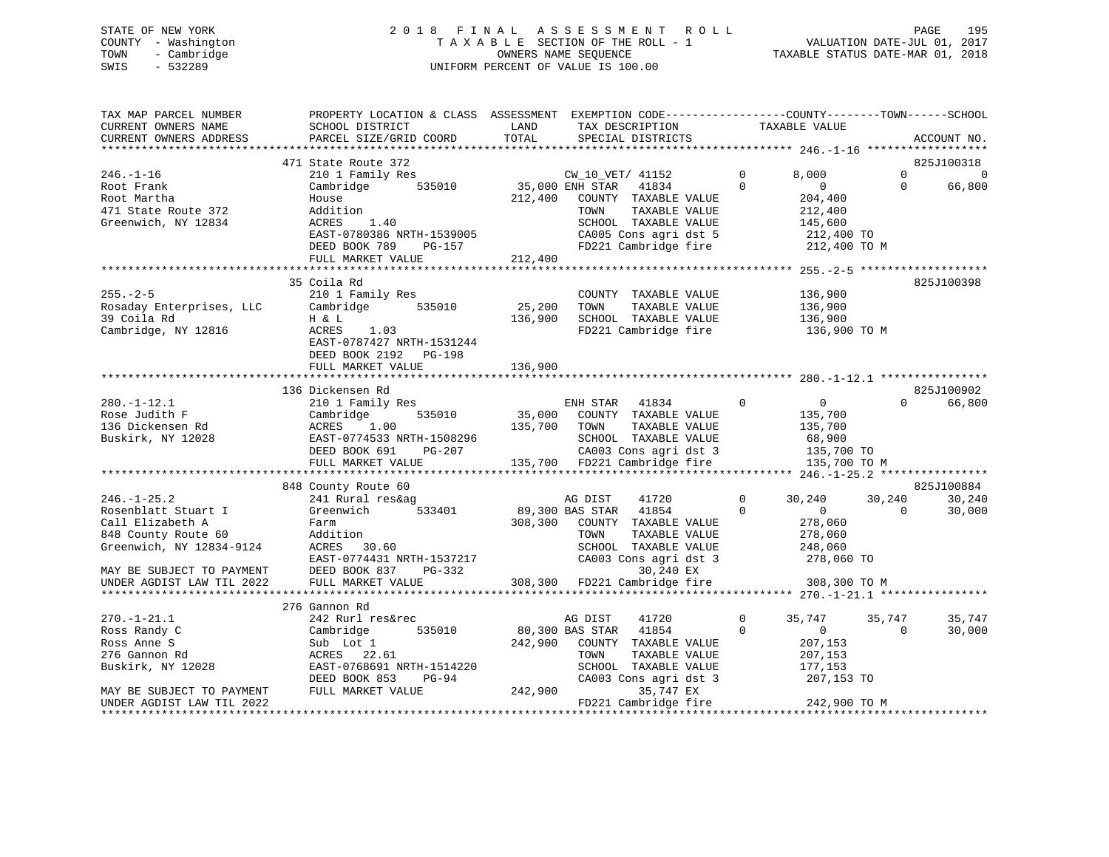# STATE OF NEW YORK 2 0 1 8 F I N A L A S S E S S M E N T R O L L PAGE 195 COUNTY - Washington T A X A B L E SECTION OF THE ROLL - 1 VALUATION DATE-JUL 01, 2017 TOWN - Cambridge OWNERS NAME SEQUENCE TAXABLE STATUS DATE-MAR 01, 2018 SWIS - 532289 UNIFORM PERCENT OF VALUE IS 100.00

| TAX MAP PARCEL NUMBER<br>CURRENT OWNERS NAME                                                                    | PROPERTY LOCATION & CLASS ASSESSMENT EXEMPTION CODE----------------COUNTY-------TOWN------SCHOOL<br>SCHOOL DISTRICT                                       | LAND              | TAX DESCRIPTION                                                                                                                                                        | TAXABLE VALUE                                                                                                  |                        |                          |
|-----------------------------------------------------------------------------------------------------------------|-----------------------------------------------------------------------------------------------------------------------------------------------------------|-------------------|------------------------------------------------------------------------------------------------------------------------------------------------------------------------|----------------------------------------------------------------------------------------------------------------|------------------------|--------------------------|
| CURRENT OWNERS ADDRESS                                                                                          | PARCEL SIZE/GRID COORD                                                                                                                                    | TOTAL             | SPECIAL DISTRICTS                                                                                                                                                      |                                                                                                                | ACCOUNT NO.            |                          |
|                                                                                                                 | 471 State Route 372                                                                                                                                       |                   |                                                                                                                                                                        |                                                                                                                | 825J100318             |                          |
| $246. - 1 - 16$<br>Root Frank<br>Root Martha<br>471 State Route 372<br>Greenwich, NY 12834                      | 210 1 Family Res<br>Cambridge<br>535010<br>House<br>Addition<br>ACRES<br>1.40<br>EAST-0780386 NRTH-1539005<br>DEED BOOK 789<br>PG-157                     | 212,400           | CW_10_VET/ 41152<br>35,000 ENH STAR<br>41834<br>COUNTY TAXABLE VALUE<br>TAXABLE VALUE<br>TOWN<br>SCHOOL TAXABLE VALUE<br>CA005 Cons agri dst 5<br>FD221 Cambridge fire | 8,000<br>$\Omega$<br>$\Omega$<br>$\overline{0}$<br>204,400<br>212,400<br>145,600<br>212,400 TO<br>212,400 TO M | $\Omega$<br>$\Omega$   | $\overline{0}$<br>66,800 |
|                                                                                                                 | FULL MARKET VALUE                                                                                                                                         | 212,400           |                                                                                                                                                                        |                                                                                                                |                        |                          |
|                                                                                                                 |                                                                                                                                                           |                   |                                                                                                                                                                        |                                                                                                                |                        |                          |
| $255. - 2 - 5$<br>Rosaday Enterprises, LLC<br>39 Coila Rd<br>Cambridge, NY 12816                                | 35 Coila Rd<br>210 1 Family Res<br>Cambridge<br>535010<br>H & L<br>ACRES<br>1.03<br>EAST-0787427 NRTH-1531244<br>DEED BOOK 2192<br>PG-198                 | 25,200<br>136,900 | COUNTY TAXABLE VALUE<br>TOWN<br>TAXABLE VALUE<br>SCHOOL TAXABLE VALUE<br>FD221 Cambridge fire                                                                          | 136,900<br>136,900<br>136,900<br>136,900 TO M                                                                  | 825J100398             |                          |
|                                                                                                                 | FULL MARKET VALUE                                                                                                                                         | 136,900           |                                                                                                                                                                        |                                                                                                                |                        |                          |
|                                                                                                                 |                                                                                                                                                           |                   |                                                                                                                                                                        |                                                                                                                |                        |                          |
| $280. - 1 - 12.1$<br>Rose Judith F<br>136 Dickensen Rd<br>Buskirk, NY 12028                                     | 136 Dickensen Rd<br>210 1 Family Res<br>535010<br>Cambridge<br>ACRES<br>1.00<br>EAST-0774533 NRTH-1508296<br>DEED BOOK 691<br>PG-207<br>FULL MARKET VALUE | 35,000<br>135,700 | 41834<br>ENH STAR<br>COUNTY TAXABLE VALUE<br>TOWN<br>TAXABLE VALUE<br>SCHOOL TAXABLE VALUE<br>CA003 Cons agri dst 3<br>135,700 FD221 Cambridge fire                    | $\mathbf{0}$<br>$\overline{0}$<br>135,700<br>135,700<br>68,900<br>135,700 TO<br>135,700 TO M                   | 825J100902<br>$\Omega$ | 66,800                   |
|                                                                                                                 | 848 County Route 60                                                                                                                                       |                   |                                                                                                                                                                        |                                                                                                                | 825J100884             |                          |
| $246. - 1 - 25.2$<br>Rosenblatt Stuart I<br>Call Elizabeth A<br>848 County Route 60<br>Greenwich, NY 12834-9124 | 241 Rural res&ag<br>Greenwich<br>533401<br>Farm<br>Addition<br>ACRES<br>30.60<br>EAST-0774431 NRTH-1537217                                                | 308,300           | AG DIST<br>41720<br>89,300 BAS STAR<br>41854<br>COUNTY TAXABLE VALUE<br>TOWN<br>TAXABLE VALUE<br>SCHOOL TAXABLE VALUE<br>CA003 Cons agri dst 3                         | $\Omega$<br>30,240<br>$\mathbf 0$<br>$\Omega$<br>278,060<br>278,060<br>248,060<br>278,060 TO                   | 30,240<br>$\Omega$     | 30,240<br>30,000         |
| MAY BE SUBJECT TO PAYMENT<br>UNDER AGDIST LAW TIL 2022                                                          | DEED BOOK 837<br>PG-332<br>FULL MARKET VALUE                                                                                                              |                   | 30,240 EX<br>308,300 FD221 Cambridge fire                                                                                                                              | 308,300 TO M                                                                                                   |                        |                          |
|                                                                                                                 | 276 Gannon Rd                                                                                                                                             |                   |                                                                                                                                                                        |                                                                                                                |                        |                          |
| $270. - 1 - 21.1$<br>Ross Randy C<br>Ross Anne S<br>276 Gannon Rd<br>Buskirk, NY 12028                          | 242 Rurl res&rec<br>535010<br>Cambridge<br>Sub Lot 1<br>ACRES 22.61<br>EAST-0768691 NRTH-1514220<br>DEED BOOK 853<br>$PG-94$                              | 242,900           | AG DIST<br>41720<br>80,300 BAS STAR<br>41854<br>COUNTY TAXABLE VALUE<br>TOWN<br>TAXABLE VALUE<br>SCHOOL TAXABLE VALUE<br>CA003 Cons agri dst 3                         | 0<br>35,747<br>$\Omega$<br>$\mathbf{0}$<br>207,153<br>207,153<br>177,153<br>207,153 TO                         | 35,747<br>$\Omega$     | 35,747<br>30,000         |
| MAY BE SUBJECT TO PAYMENT<br>UNDER AGDIST LAW TIL 2022                                                          | FULL MARKET VALUE                                                                                                                                         | 242,900           | 35,747 EX<br>FD221 Cambridge fire                                                                                                                                      | 242,900 TO M                                                                                                   |                        |                          |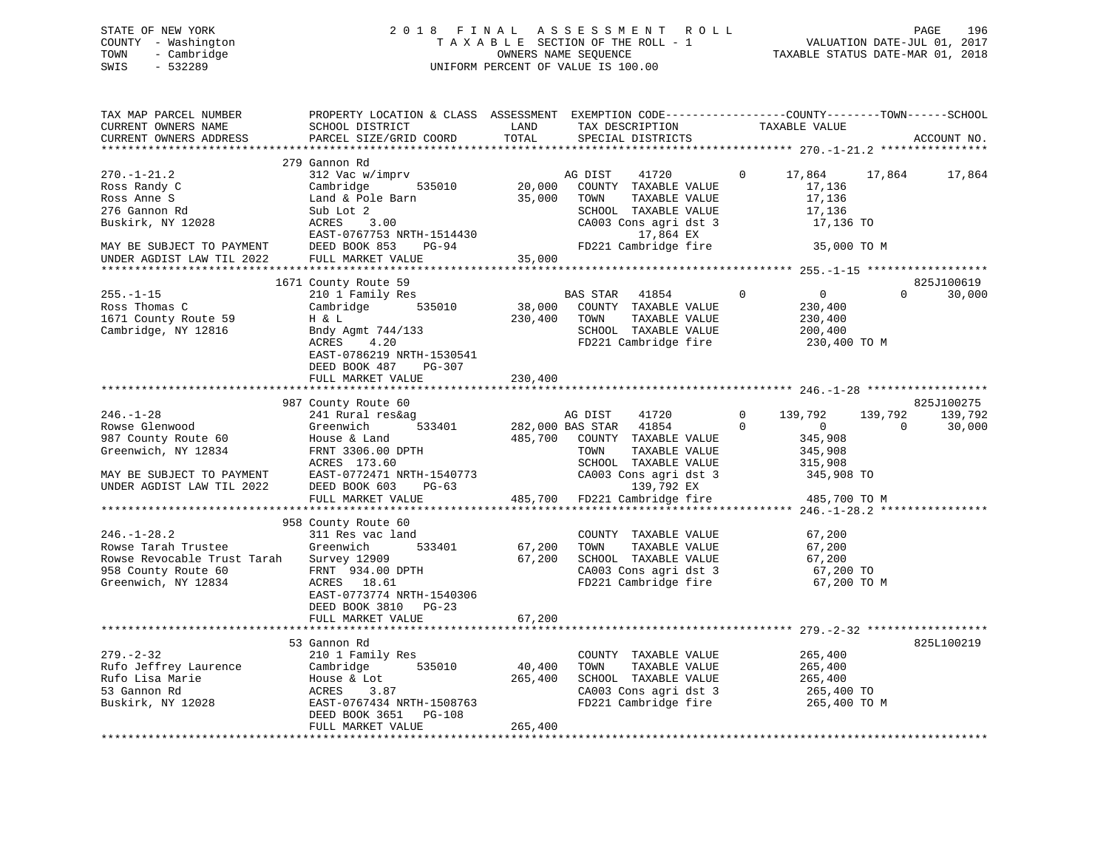STATE OF NEW YORK 2 0 1 8 F I N A L A S S E S S M E N T R O L L PAGE 196 COUNTY - Washington T A X A B L E SECTION OF THE ROLL - 1 VALUATION DATE-JUL 01, 2017 TOWN - Cambridge OWNERS NAME SEQUENCE TAXABLE STATUS DATE-MAR 01, 2018 SWIS - 532289 UNIFORM PERCENT OF VALUE IS 100.00

| TAX MAP PARCEL NUMBER<br>CURRENT OWNERS NAME<br>CURRENT OWNERS ADDRESS                                                                         | PROPERTY LOCATION & CLASS ASSESSMENT<br>SCHOOL DISTRICT<br>PARCEL SIZE/GRID COORD                                                                                                                                          | LAND<br>TOTAL                | EXEMPTION CODE-----------------COUNTY-------TOWN------SCHOOL<br>TAX DESCRIPTION<br>SPECIAL DISTRICTS                                                       |                          | TAXABLE VALUE                                                                       |             | ACCOUNT NO.          |
|------------------------------------------------------------------------------------------------------------------------------------------------|----------------------------------------------------------------------------------------------------------------------------------------------------------------------------------------------------------------------------|------------------------------|------------------------------------------------------------------------------------------------------------------------------------------------------------|--------------------------|-------------------------------------------------------------------------------------|-------------|----------------------|
| ******************                                                                                                                             | ************************                                                                                                                                                                                                   |                              |                                                                                                                                                            |                          |                                                                                     |             |                      |
| $270. - 1 - 21.2$<br>Ross Randy C<br>Ross Anne S<br>276 Gannon Rd<br>Buskirk, NY 12028<br>MAY BE SUBJECT TO PAYMENT                            | 279 Gannon Rd<br>312 Vac w/imprv<br>Cambridge<br>535010<br>Land & Pole Barn<br>Sub Lot 2<br>ACRES<br>3.00<br>EAST-0767753 NRTH-1514430<br>DEED BOOK 853<br>PG-94                                                           | 20,000<br>35,000             | AG DIST<br>41720<br>COUNTY TAXABLE VALUE<br>TOWN<br>TAXABLE VALUE<br>SCHOOL TAXABLE VALUE<br>CA003 Cons agri dst 3<br>17,864 EX<br>FD221 Cambridge fire    | $\mathbf{0}$             | 17,864<br>17,136<br>17,136<br>17,136<br>17,136 TO<br>35,000 TO M                    | 17,864      | 17,864               |
| UNDER AGDIST LAW TIL 2022                                                                                                                      | FULL MARKET VALUE                                                                                                                                                                                                          | 35,000                       |                                                                                                                                                            |                          |                                                                                     |             |                      |
| $255. - 1 - 15$<br>Ross Thomas C<br>1671 County Route 59<br>Cambridge, NY 12816                                                                | 1671 County Route 59<br>210 1 Family Res<br>Cambridge<br>535010<br>H & L<br>Bndy Agmt 744/133<br>ACRES<br>4.20<br>EAST-0786219 NRTH-1530541                                                                                | 38,000<br>230,400            | BAS STAR<br>41854<br>COUNTY TAXABLE VALUE<br>TAXABLE VALUE<br>TOWN<br>SCHOOL TAXABLE VALUE<br>FD221 Cambridge fire                                         | $\mathbf 0$              | $\overline{0}$<br>230,400<br>230,400<br>200,400<br>230,400 TO M                     | $\Omega$    | 825J100619<br>30,000 |
|                                                                                                                                                | DEED BOOK 487<br>PG-307<br>FULL MARKET VALUE                                                                                                                                                                               | 230,400                      |                                                                                                                                                            |                          |                                                                                     |             |                      |
|                                                                                                                                                | 987 County Route 60                                                                                                                                                                                                        |                              |                                                                                                                                                            |                          |                                                                                     |             | 825J100275           |
| $246. - 1 - 28$<br>Rowse Glenwood<br>987 County Route 60<br>Greenwich, NY 12834<br>MAY BE SUBJECT TO PAYMENT<br>UNDER AGDIST LAW TIL 2022      | 241 Rural res&ag<br>533401<br>Greenwich<br>House & Land<br>FRNT 3306.00 DPTH<br>ACRES 173.60<br>EAST-0772471 NRTH-1540773<br>DEED BOOK 603<br>$PG-63$                                                                      | 485,700                      | AG DIST<br>41720<br>282,000 BAS STAR 41854<br>COUNTY TAXABLE VALUE<br>TOWN<br>TAXABLE VALUE<br>SCHOOL TAXABLE VALUE<br>CA003 Cons agri dst 3<br>139,792 EX | $\mathbf{0}$<br>$\Omega$ | 139,792<br>139,792<br>$\overline{0}$<br>345,908<br>345,908<br>315,908<br>345,908 TO | $\mathbf 0$ | 139,792<br>30,000    |
|                                                                                                                                                | FULL MARKET VALUE                                                                                                                                                                                                          | 485,700                      | FD221 Cambridge fire                                                                                                                                       |                          | 485,700 TO M                                                                        |             |                      |
| *********************<br>$246. - 1 - 28.2$<br>Rowse Tarah Trustee<br>Rowse Revocable Trust Tarah<br>958 County Route 60<br>Greenwich, NY 12834 | ***************************<br>958 County Route 60<br>311 Res vac land<br>Greenwich<br>533401<br>Survey 12909<br>FRNT 934.00 DPTH<br>ACRES 18.61<br>EAST-0773774 NRTH-1540306<br>DEED BOOK 3810 PG-23<br>FULL MARKET VALUE | 67,200<br>67,200<br>67,200   | COUNTY TAXABLE VALUE<br>TOWN<br>TAXABLE VALUE<br>SCHOOL TAXABLE VALUE<br>CA003 Cons agri dst 3<br>FD221 Cambridge fire                                     |                          | 67,200<br>67,200<br>67,200<br>67,200 TO<br>67,200 TO M                              |             |                      |
|                                                                                                                                                | ************************                                                                                                                                                                                                   |                              |                                                                                                                                                            |                          | *********************** 279.-2-32 ******************                                |             |                      |
| $279. - 2 - 32$<br>Rufo Jeffrey Laurence<br>Rufo Lisa Marie<br>53 Gannon Rd<br>Buskirk, NY 12028                                               | 53 Gannon Rd<br>210 1 Family Res<br>535010<br>Cambridge<br>House & Lot<br>ACRES<br>3.87<br>EAST-0767434 NRTH-1508763<br>DEED BOOK 3651 PG-108<br>FULL MARKET VALUE                                                         | 40,400<br>265,400<br>265,400 | COUNTY TAXABLE VALUE<br>TOWN<br>TAXABLE VALUE<br>SCHOOL TAXABLE VALUE<br>CA003 Cons agri dst 3<br>FD221 Cambridge fire                                     |                          | 265,400<br>265,400<br>265,400<br>265,400 TO<br>265,400 TO M                         |             | 825L100219           |
|                                                                                                                                                |                                                                                                                                                                                                                            |                              |                                                                                                                                                            |                          |                                                                                     |             |                      |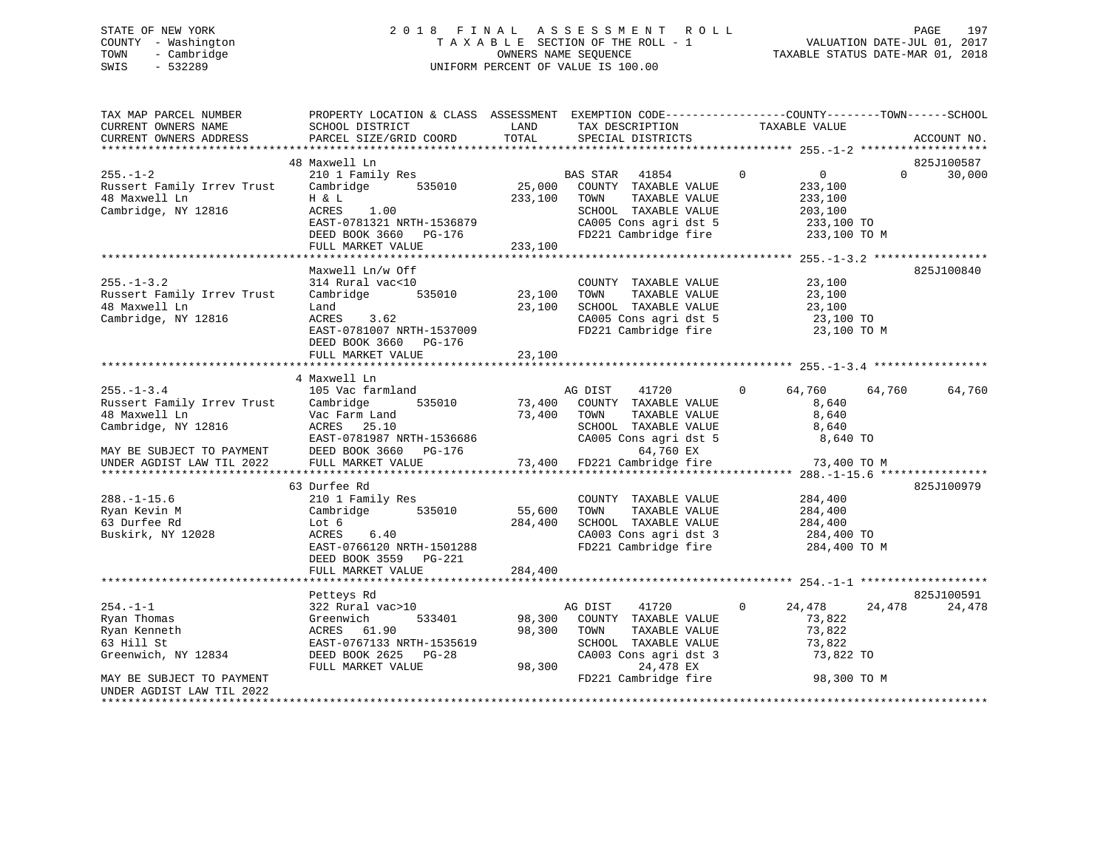# STATE OF NEW YORK 2 0 1 8 F I N A L A S S E S S M E N T R O L L PAGE 197 COUNTY - Washington T A X A B L E SECTION OF THE ROLL - 1 VALUATION DATE-JUL 01, 2017 TOWN - Cambridge OWNERS NAME SEQUENCE TAXABLE STATUS DATE-MAR 01, 2018 SWIS - 532289 UNIFORM PERCENT OF VALUE IS 100.00

| TAX MAP PARCEL NUMBER                        | PROPERTY LOCATION & CLASS ASSESSMENT          |         | EXEMPTION CODE-----------------COUNTY-------TOWN------SCHOOL |                           |                        |
|----------------------------------------------|-----------------------------------------------|---------|--------------------------------------------------------------|---------------------------|------------------------|
| CURRENT OWNERS NAME                          | SCHOOL DISTRICT                               | LAND    | TAX DESCRIPTION                                              | TAXABLE VALUE             |                        |
| CURRENT OWNERS ADDRESS                       | PARCEL SIZE/GRID COORD                        | TOTAL   | SPECIAL DISTRICTS                                            |                           | ACCOUNT NO.            |
|                                              |                                               |         |                                                              |                           |                        |
|                                              | 48 Maxwell Ln                                 |         |                                                              | $\Omega$                  | 825J100587<br>$\Omega$ |
| $255. - 1 - 2$<br>Russert Family Irrev Trust | 210 1 Family Res<br>Cambridge<br>535010       | 25,000  | BAS STAR 41854<br>COUNTY TAXABLE VALUE                       | $\overline{0}$<br>233,100 | 30,000                 |
| 48 Maxwell Ln                                | H & L                                         | 233,100 | TOWN<br>TAXABLE VALUE                                        | 233,100                   |                        |
| Cambridge, NY 12816                          | ACRES<br>1.00                                 |         | SCHOOL TAXABLE VALUE                                         | 203,100                   |                        |
|                                              | EAST-0781321 NRTH-1536879                     |         | CA005 Cons agri dst 5                                        | 233,100 TO                |                        |
|                                              | DEED BOOK 3660 PG-176                         |         | FD221 Cambridge fire                                         | 233,100 TO M              |                        |
|                                              | FULL MARKET VALUE                             | 233,100 |                                                              |                           |                        |
|                                              |                                               |         |                                                              |                           |                        |
|                                              | Maxwell Ln/w Off                              |         |                                                              |                           | 825J100840             |
| $255. - 1 - 3.2$                             | 314 Rural vac<10                              |         | COUNTY TAXABLE VALUE                                         | 23,100                    |                        |
| Russert Family Irrev Trust                   | Cambridge<br>535010                           | 23,100  | TOWN<br>TAXABLE VALUE                                        | 23,100                    |                        |
| 48 Maxwell Ln                                | Land                                          | 23,100  | SCHOOL TAXABLE VALUE                                         | 23,100                    |                        |
| Cambridge, NY 12816                          | ACRES<br>3.62                                 |         | CA005 Cons agri dst 5                                        | $23,100$ TO               |                        |
|                                              | EAST-0781007 NRTH-1537009                     |         | FD221 Cambridge fire                                         | 23,100 TO M               |                        |
|                                              | DEED BOOK 3660 PG-176                         |         |                                                              |                           |                        |
|                                              | FULL MARKET VALUE                             | 23,100  |                                                              |                           |                        |
|                                              | 4 Maxwell Ln                                  |         |                                                              |                           |                        |
| $255. - 1 - 3.4$                             | 105 Vac farmland                              |         | AG DIST<br>41720                                             | 64,760<br>$\Omega$        | 64,760<br>64,760       |
| Russert Family Irrev Trust                   | 535010<br>Cambridge                           | 73,400  | COUNTY TAXABLE VALUE                                         | 8,640                     |                        |
| 48 Maxwell Ln                                | Vac Farm Land                                 | 73,400  | TOWN<br>TAXABLE VALUE                                        | 8,640                     |                        |
| Cambridge, NY 12816                          | ACRES 25.10                                   |         | SCHOOL TAXABLE VALUE                                         | 8,640                     |                        |
|                                              | EAST-0781987 NRTH-1536686                     |         | CA005 Cons agri dst 5                                        | 8,640 TO                  |                        |
| MAY BE SUBJECT TO PAYMENT                    | DEED BOOK 3660 PG-176                         |         | 64,760 EX                                                    |                           |                        |
| UNDER AGDIST LAW TIL 2022                    | FULL MARKET VALUE                             | 73,400  | FD221 Cambridge fire                                         | 73,400 TO M               |                        |
|                                              |                                               |         |                                                              |                           |                        |
|                                              | 63 Durfee Rd                                  |         |                                                              |                           | 825J100979             |
| $288. - 1 - 15.6$                            | 210 1 Family Res                              |         | COUNTY TAXABLE VALUE                                         | 284,400                   |                        |
| Ryan Kevin M                                 | Cambridge<br>535010                           | 55,600  | TAXABLE VALUE<br>TOWN                                        | 284,400                   |                        |
| 63 Durfee Rd                                 | Lot 6                                         | 284,400 | SCHOOL TAXABLE VALUE                                         | 284,400                   |                        |
| Buskirk, NY 12028                            | ACRES<br>6.40                                 |         | CA003 Cons agri dst 3                                        | 284,400 TO                |                        |
|                                              | EAST-0766120 NRTH-1501288                     |         | FD221 Cambridge fire                                         | 284,400 TO M              |                        |
|                                              | DEED BOOK 3559<br>PG-221<br>FULL MARKET VALUE | 284,400 |                                                              |                           |                        |
|                                              | ********************************              |         |                                                              |                           |                        |
|                                              | Petteys Rd                                    |         |                                                              |                           | 825J100591             |
| $254. - 1 - 1$                               | 322 Rural vac>10                              |         | AG DIST<br>41720                                             | $\mathbf{0}$<br>24,478    | 24,478<br>24,478       |
| Ryan Thomas                                  | 533401<br>Greenwich                           | 98,300  | COUNTY TAXABLE VALUE                                         | 73,822                    |                        |
| Ryan Kenneth                                 | ACRES 61.90                                   | 98,300  | TOWN<br>TAXABLE VALUE                                        | 73,822                    |                        |
| 63 Hill St                                   | EAST-0767133 NRTH-1535619                     |         | SCHOOL TAXABLE VALUE                                         | 73,822                    |                        |
| Greenwich, NY 12834                          | DEED BOOK 2625 PG-28                          |         | CA003 Cons agri dst 3                                        | 73,822 TO                 |                        |
|                                              | FULL MARKET VALUE                             | 98,300  | 24,478 EX                                                    |                           |                        |
| MAY BE SUBJECT TO PAYMENT                    |                                               |         | FD221 Cambridge fire                                         | 98,300 TO M               |                        |
| UNDER AGDIST LAW TIL 2022                    |                                               |         |                                                              |                           |                        |
| *********************                        |                                               |         |                                                              |                           |                        |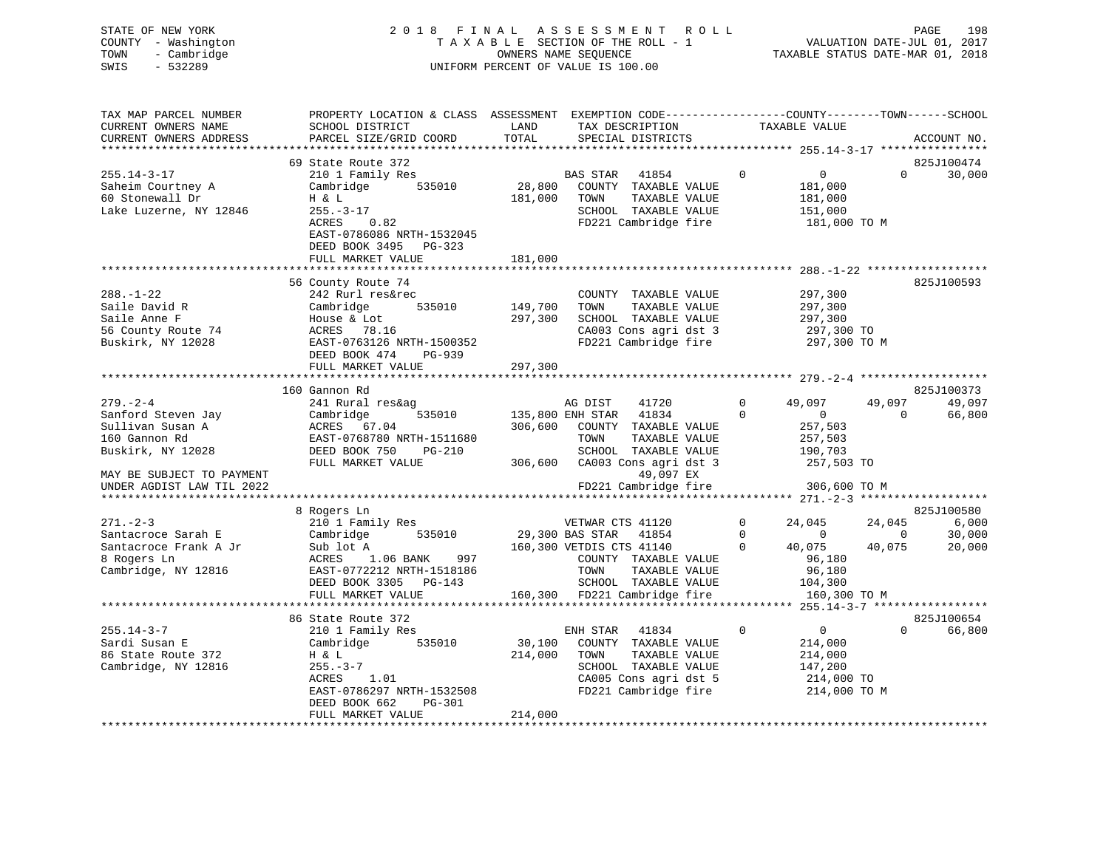|      | STATE OF NEW YORK   | 2018 FINAL ASSESSMENT ROLL         |                                  | PAGE | 198 |
|------|---------------------|------------------------------------|----------------------------------|------|-----|
|      | COUNTY - Washington | TAXABLE SECTION OF THE ROLL - 1    | VALUATION DATE-JUL 01, 2017      |      |     |
|      | TOWN - Cambridge    | OWNERS NAME SEOUENCE               | TAXABLE STATUS DATE-MAR 01, 2018 |      |     |
| SWIS | $-532289$           | UNIFORM PERCENT OF VALUE IS 100.00 |                                  |      |     |
|      |                     |                                    |                                  |      |     |
|      |                     |                                    |                                  |      |     |

| TAX MAP PARCEL NUMBER     | PROPERTY LOCATION & CLASS ASSESSMENT EXEMPTION CODE----------------COUNTY-------TOWN------SCHOOL |                        |                          |                                                                  |              |                       |                |             |
|---------------------------|--------------------------------------------------------------------------------------------------|------------------------|--------------------------|------------------------------------------------------------------|--------------|-----------------------|----------------|-------------|
| CURRENT OWNERS NAME       | SCHOOL DISTRICT                                                                                  | LAND                   |                          | TAX DESCRIPTION                                                  |              | TAXABLE VALUE         |                |             |
| CURRENT OWNERS ADDRESS    | PARCEL SIZE/GRID COORD                                                                           | TOTAL                  |                          | SPECIAL DISTRICTS                                                |              |                       |                | ACCOUNT NO. |
|                           |                                                                                                  |                        |                          |                                                                  |              |                       |                |             |
|                           | 69 State Route 372                                                                               |                        |                          |                                                                  |              |                       |                | 825J100474  |
| $255.14 - 3 - 17$         | 210 1 Family Res                                                                                 |                        | BAS STAR 41854           |                                                                  | $\Omega$     | $\overline{0}$        | $\Omega$       | 30,000      |
| Saheim Courtney A         | 535010<br>Cambridge                                                                              | 28,800                 |                          | COUNTY TAXABLE VALUE                                             |              | 181,000               |                |             |
| 60 Stonewall Dr           | H & L                                                                                            | 181,000                | TOWN                     | TAXABLE VALUE                                                    |              | 181,000               |                |             |
| Lake Luzerne, NY 12846    | $255. - 3 - 17$                                                                                  |                        |                          | SCHOOL TAXABLE VALUE                                             |              | 151,000               |                |             |
|                           | ACRES<br>0.82                                                                                    |                        |                          | FD221 Cambridge fire                                             |              | 181,000 TO M          |                |             |
|                           |                                                                                                  |                        |                          |                                                                  |              |                       |                |             |
|                           | EAST-0786086 NRTH-1532045                                                                        |                        |                          |                                                                  |              |                       |                |             |
|                           | DEED BOOK 3495 PG-323                                                                            |                        |                          |                                                                  |              |                       |                |             |
|                           | FULL MARKET VALUE                                                                                | 181,000                |                          |                                                                  |              |                       |                |             |
|                           |                                                                                                  |                        |                          |                                                                  |              |                       |                |             |
|                           | 56 County Route 74                                                                               |                        |                          |                                                                  |              |                       |                | 825J100593  |
| $288. - 1 - 22$           | 242 Rurl res&rec                                                                                 |                        |                          | COUNTY TAXABLE VALUE                                             |              | 297,300               |                |             |
| Saile David R             | Cambridge<br>535010                                                                              | 149,700                | TOWN                     | TAXABLE VALUE                                                    |              | 297,300               |                |             |
| Saile Anne F              | House & Lot                                                                                      | 297,300                |                          | SCHOOL TAXABLE VALUE                                             |              | 297,300               |                |             |
| 56 County Route 74        | ACRES 78.16                                                                                      |                        |                          | CA003 Cons agri dst 3                                            |              | 297,300 TO            |                |             |
| Buskirk, NY 12028         | EAST-0763126 NRTH-1500352                                                                        |                        |                          | FD221 Cambridge fire                                             |              | 297,300 TO M          |                |             |
|                           | DEED BOOK 474<br>PG-939                                                                          |                        |                          |                                                                  |              |                       |                |             |
|                           | FULL MARKET VALUE                                                                                | 297,300                |                          |                                                                  |              |                       |                |             |
|                           |                                                                                                  |                        |                          |                                                                  |              |                       |                |             |
|                           | 160 Gannon Rd                                                                                    |                        |                          |                                                                  |              |                       |                | 825J100373  |
| $279. - 2 - 4$            | 241 Rural res&ag                                                                                 |                        | AG DIST                  | 41720                                                            | $\Omega$     | 49,097                | 49,097         | 49,097      |
| Sanford Steven Jay        | 535010<br>Cambridge                                                                              | 135,800 ENH STAR 41834 |                          |                                                                  | $\Omega$     | $\overline{0}$        | $\Omega$       | 66,800      |
| Sullivan Susan A          | ACRES 67.04                                                                                      |                        |                          | 306,600 COUNTY TAXABLE VALUE                                     |              | 257,503               |                |             |
| 160 Gannon Rd             | EAST-0768780 NRTH-1511680                                                                        |                        | TOWN                     | TAXABLE VALUE                                                    |              | 257,503               |                |             |
|                           |                                                                                                  |                        |                          |                                                                  |              |                       |                |             |
| Buskirk, NY 12028         | DEED BOOK 750<br>PG-210                                                                          |                        |                          | SCHOOL TAXABLE VALUE<br>306,600 CA003 Cons agri dst 3 257,503 TO |              | 190,703               |                |             |
|                           | FULL MARKET VALUE                                                                                |                        |                          |                                                                  |              |                       |                |             |
| MAY BE SUBJECT TO PAYMENT |                                                                                                  |                        |                          | 49,097 EX                                                        |              |                       |                |             |
| UNDER AGDIST LAW TIL 2022 |                                                                                                  |                        |                          | FD221 Cambridge fire                                             |              | 306,600 TO M          |                |             |
|                           |                                                                                                  |                        |                          |                                                                  |              |                       |                |             |
|                           | 8 Rogers Ln                                                                                      |                        |                          |                                                                  |              |                       |                | 825J100580  |
| $271 - 2 - 3$             | 210 1 Family Res                                                                                 |                        | VETWAR CTS 41120         |                                                                  | $\mathbf 0$  | 24,045                | 24,045         | 6,000       |
| Santacroce Sarah E        | 535010<br>Cambridge                                                                              | 29,300 BAS STAR 41854  |                          |                                                                  | $\Omega$     | $\overline{0}$        | $\overline{0}$ | 30,000      |
| Santacroce Frank A Jr     | Sub lot A                                                                                        |                        | 160,300 VETDIS CTS 41140 |                                                                  | $\Omega$     | 40,075                | 40,075         | 20,000      |
| 8 Rogers Ln               | ACRES 1.06 BANK<br>997                                                                           |                        |                          | COUNTY TAXABLE VALUE                                             |              | 96,180                |                |             |
| Cambridge, NY 12816       | EAST-0772212 NRTH-1518186                                                                        |                        | TOWN                     | TAXABLE VALUE                                                    |              | 96,180                |                |             |
|                           | DEED BOOK 3305 PG-143                                                                            |                        |                          | SCHOOL TAXABLE VALUE                                             |              | 104,300               |                |             |
|                           | FULL MARKET VALUE                                                                                |                        |                          | 160,300 FD221 Cambridge fire                                     |              | 160,300 TO M          |                |             |
|                           | **************************                                                                       |                        |                          |                                                                  |              |                       |                |             |
|                           | 86 State Route 372                                                                               |                        |                          |                                                                  |              |                       |                | 825J100654  |
| $255.14 - 3 - 7$          | 210 1 Family Res                                                                                 |                        | ENH STAR 41834           |                                                                  | $\mathbf{0}$ | $\overline{0}$        | $\Omega$       | 66,800      |
| Sardi Susan E             | Cambridge 535010                                                                                 |                        |                          | 30,100 COUNTY TAXABLE VALUE                                      |              | 214,000               |                |             |
| 86 State Route 372        | H & L                                                                                            | 214,000                | TOWN                     | TAXABLE VALUE                                                    |              | 214,000               |                |             |
| Cambridge, NY 12816       | $255. - 3 - 7$                                                                                   |                        |                          | SCHOOL TAXABLE VALUE                                             |              |                       |                |             |
|                           | 1.01<br>ACRES                                                                                    |                        |                          | CA005 Cons agri dst 5                                            |              | 147,200<br>214,000 TO |                |             |
|                           |                                                                                                  |                        |                          | FD221 Cambridge fire                                             |              |                       |                |             |
|                           | EAST-0786297 NRTH-1532508<br>DEED BOOK 662<br>PG-301                                             |                        |                          |                                                                  |              | 214,000 TO M          |                |             |
|                           |                                                                                                  | 214,000                |                          |                                                                  |              |                       |                |             |
|                           | FULL MARKET VALUE                                                                                |                        |                          |                                                                  |              |                       |                |             |
|                           |                                                                                                  |                        |                          |                                                                  |              |                       |                |             |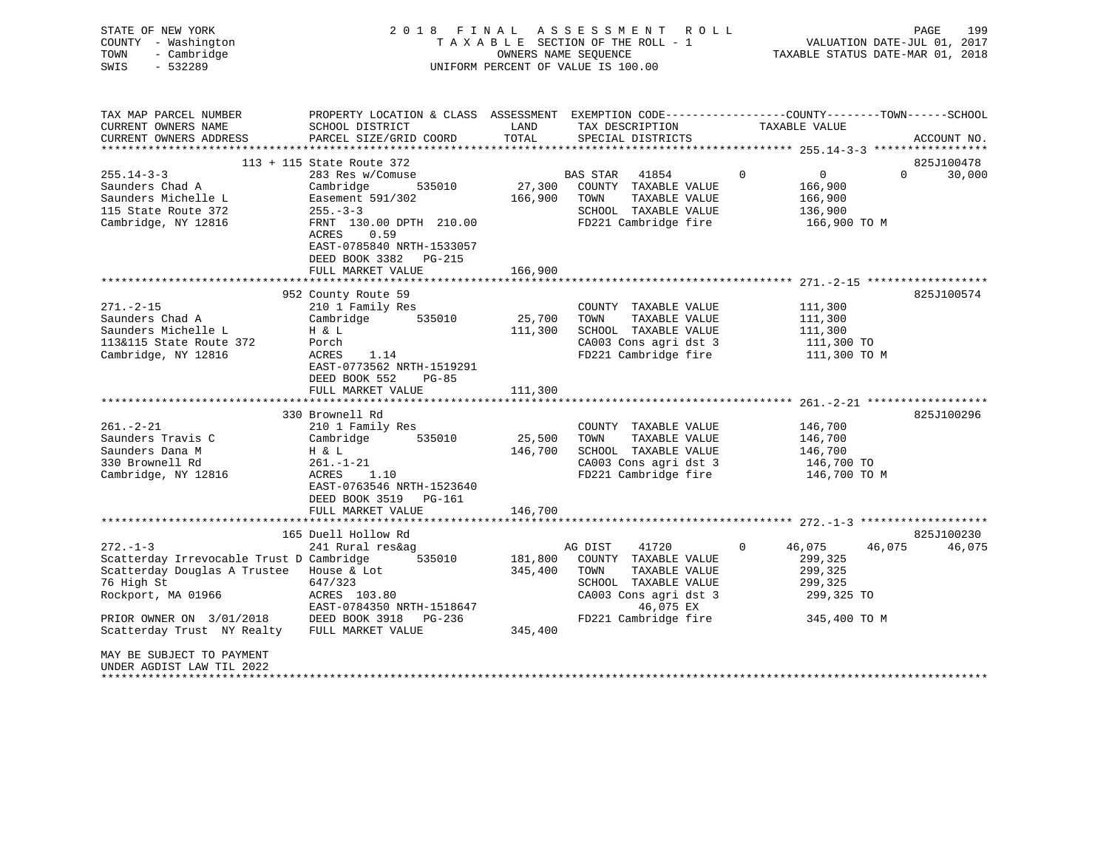| STATE OF NEW YORK<br>COUNTY - Washington<br>TOWN<br>- Cambridge<br>$-532289$<br>SWIS | 2018 FINAL                                                                                       |               | ASSESSMENT ROLL<br>TAXABLE SECTION OF THE ROLL - 1<br>OWNERS NAME SEOUENCE<br>UNIFORM PERCENT OF VALUE IS 100.00 |             | VALUATION DATE-JUL 01, 2017<br>TAXABLE STATUS DATE-MAR 01, 2018 | PAGE<br>199            |
|--------------------------------------------------------------------------------------|--------------------------------------------------------------------------------------------------|---------------|------------------------------------------------------------------------------------------------------------------|-------------|-----------------------------------------------------------------|------------------------|
| TAX MAP PARCEL NUMBER                                                                | PROPERTY LOCATION & CLASS ASSESSMENT EXEMPTION CODE----------------COUNTY-------TOWN------SCHOOL |               |                                                                                                                  |             |                                                                 |                        |
| CURRENT OWNERS NAME<br>CURRENT OWNERS ADDRESS                                        | SCHOOL DISTRICT<br>PARCEL SIZE/GRID COORD                                                        | LAND<br>TOTAL | TAX DESCRIPTION<br>SPECIAL DISTRICTS                                                                             |             | TAXABLE VALUE                                                   | ACCOUNT NO.            |
|                                                                                      |                                                                                                  |               |                                                                                                                  |             | ********************* 255.14-3-3 ******************             |                        |
|                                                                                      | 113 + 115 State Route 372                                                                        |               |                                                                                                                  |             |                                                                 | 825J100478             |
| $255.14 - 3 - 3$                                                                     | 283 Res w/Comuse                                                                                 |               | BAS STAR<br>41854                                                                                                | $\mathbf 0$ | 0                                                               | 30,000<br>$\mathbf{0}$ |
| Saunders Chad A                                                                      | Cambridge<br>535010                                                                              | 27,300        | COUNTY TAXABLE VALUE                                                                                             |             | 166,900                                                         |                        |
| Saunders Michelle L                                                                  | Easement 591/302                                                                                 | 166,900       | TOWN<br>TAXABLE VALUE                                                                                            |             | 166,900                                                         |                        |
| 115 State Route 372                                                                  | $255. - 3 - 3$                                                                                   |               | SCHOOL TAXABLE VALUE                                                                                             |             | 136,900                                                         |                        |
| Cambridge, NY 12816                                                                  | FRNT 130.00 DPTH 210.00<br>0.59<br>ACRES<br>EAST-0785840 NRTH-1533057                            |               | FD221 Cambridge fire                                                                                             |             | 166,900 ТО М                                                    |                        |
|                                                                                      | DEED BOOK 3382 PG-215<br>FULL MARKET VALUE                                                       | 166,900       |                                                                                                                  |             |                                                                 |                        |
|                                                                                      |                                                                                                  |               |                                                                                                                  |             |                                                                 |                        |
|                                                                                      | 952 County Route 59                                                                              |               |                                                                                                                  |             |                                                                 | 825J100574             |
| $271. - 2 - 15$                                                                      | 210 1 Family Res                                                                                 |               | COUNTY TAXABLE VALUE                                                                                             |             | 111,300                                                         |                        |
| Saunders Chad A                                                                      | Cambridge<br>535010                                                                              | 25,700        | TOWN<br>TAXABLE VALUE                                                                                            |             | 111,300                                                         |                        |
| Saunders Michelle L                                                                  | H & L                                                                                            | 111,300       | SCHOOL TAXABLE VALUE                                                                                             |             | 111,300                                                         |                        |
| 113&115 State Route 372                                                              | Porch                                                                                            |               | CA003 Cons agri dst 3                                                                                            |             | 111,300 TO                                                      |                        |
| Cambridge, NY 12816                                                                  | ACRES<br>1.14<br>EAST-0773562 NRTH-1519291<br>DEED BOOK 552<br>$PG-85$                           |               | FD221 Cambridge fire                                                                                             |             | 111,300 TO M                                                    |                        |
|                                                                                      | FULL MARKET VALUE                                                                                | 111,300       |                                                                                                                  |             | ************************ 261.-2-21 *******************          |                        |
|                                                                                      | 330 Brownell Rd                                                                                  |               |                                                                                                                  |             |                                                                 | 825J100296             |
| $261. - 2 - 21$                                                                      | 210 1 Family Res                                                                                 |               | COUNTY TAXABLE VALUE                                                                                             |             | 146,700                                                         |                        |
| Saunders Travis C                                                                    | Cambridge<br>535010                                                                              | 25,500        | TAXABLE VALUE<br>TOWN                                                                                            |             | 146,700                                                         |                        |
| Saunders Dana M                                                                      | H & L                                                                                            | 146,700       | SCHOOL TAXABLE VALUE                                                                                             |             | 146,700                                                         |                        |
| 330 Brownell Rd                                                                      | $261. - 1 - 21$                                                                                  |               | CA003 Cons agri dst 3                                                                                            |             | 146,700 TO                                                      |                        |
| Cambridge, NY 12816                                                                  | ACRES<br>1.10                                                                                    |               | FD221 Cambridge fire                                                                                             |             | 146,700 TO M                                                    |                        |
|                                                                                      | EAST-0763546 NRTH-1523640                                                                        |               |                                                                                                                  |             |                                                                 |                        |
|                                                                                      | DEED BOOK 3519 PG-161                                                                            |               |                                                                                                                  |             |                                                                 |                        |
|                                                                                      | FULL MARKET VALUE                                                                                | 146,700       |                                                                                                                  |             |                                                                 |                        |
|                                                                                      | 165 Duell Hollow Rd                                                                              |               |                                                                                                                  |             |                                                                 | 825J100230             |
| $272. - 1 - 3$                                                                       | 241 Rural res&ag                                                                                 |               | AG DIST<br>41720                                                                                                 | $\Omega$    | 46,075<br>46,075                                                | 46,075                 |
| Scatterday Irrevocable Trust D Cambridge                                             | 535010                                                                                           | 181,800       | COUNTY TAXABLE VALUE                                                                                             |             | 299,325                                                         |                        |
| Scatterday Douglas A Trustee                                                         | House & Lot                                                                                      | 345,400       | TOWN<br>TAXABLE VALUE                                                                                            |             | 299,325                                                         |                        |
| 76 High St                                                                           | 647/323                                                                                          |               | SCHOOL TAXABLE VALUE                                                                                             |             | 299,325                                                         |                        |
| Rockport, MA 01966                                                                   | ACRES 103.80                                                                                     |               | CA003 Cons agri dst 3                                                                                            |             | 299,325 TO                                                      |                        |
|                                                                                      | EAST-0784350 NRTH-1518647                                                                        |               | 46,075 EX                                                                                                        |             |                                                                 |                        |
| PRIOR OWNER ON 3/01/2018                                                             | DEED BOOK 3918 PG-236                                                                            |               | FD221 Cambridge fire                                                                                             |             | 345,400 TO M                                                    |                        |
| Scatterday Trust NY Realty                                                           | FULL MARKET VALUE                                                                                | 345,400       |                                                                                                                  |             |                                                                 |                        |
| MAY BE SUBJECT TO PAYMENT<br>UNDER AGDIST LAW TIL 2022<br>*************************  |                                                                                                  |               |                                                                                                                  |             |                                                                 |                        |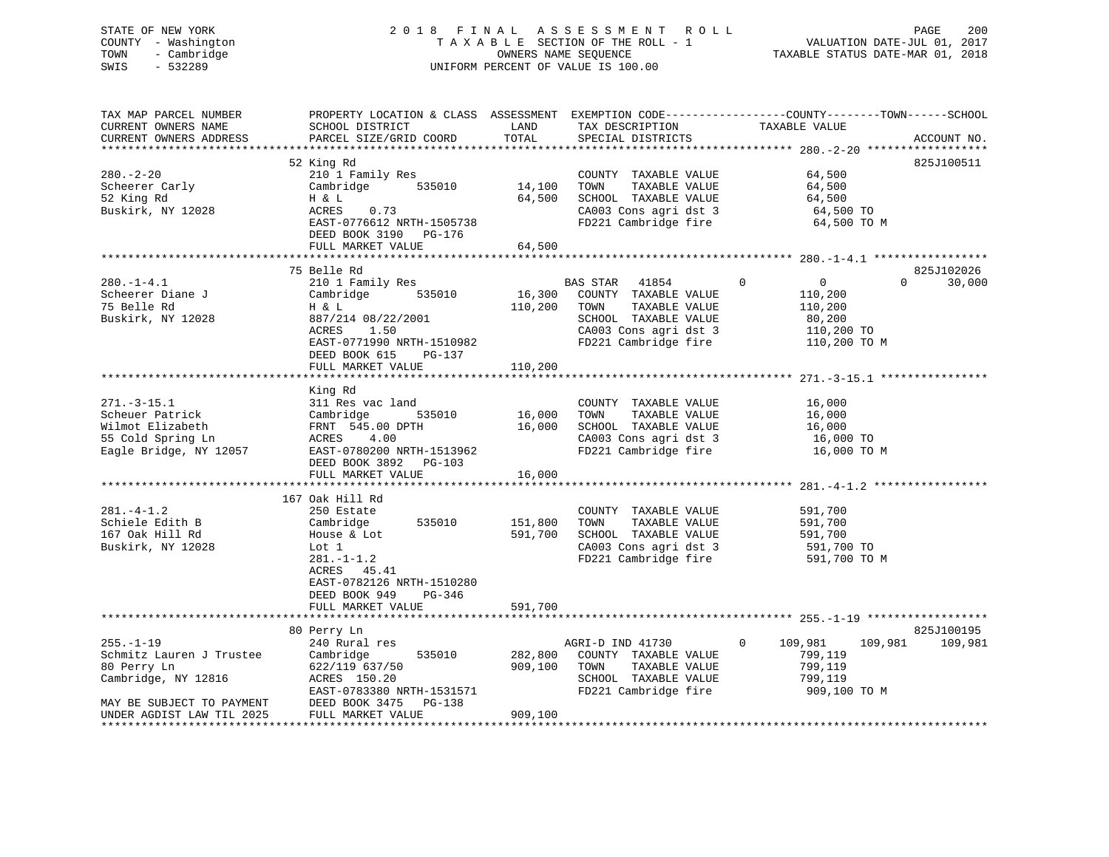# STATE OF NEW YORK 2 0 1 8 F I N A L A S S E S S M E N T R O L L PAGE 200 COUNTY - Washington T A X A B L E SECTION OF THE ROLL - 1 VALUATION DATE-JUL 01, 2017 TOWN - Cambridge OWNERS NAME SEQUENCE TAXABLE STATUS DATE-MAR 01, 2018 SWIS - 532289 UNIFORM PERCENT OF VALUE IS 100.00

| TAX MAP PARCEL NUMBER     |                                              |         |                             | PROPERTY LOCATION & CLASS ASSESSMENT EXEMPTION CODE----------------COUNTY-------TOWN------SCHOOL |             |
|---------------------------|----------------------------------------------|---------|-----------------------------|--------------------------------------------------------------------------------------------------|-------------|
| CURRENT OWNERS NAME       | SCHOOL DISTRICT                              | LAND    | TAX DESCRIPTION             | TAXABLE VALUE                                                                                    |             |
| CURRENT OWNERS ADDRESS    | PARCEL SIZE/GRID COORD                       | TOTAL   | SPECIAL DISTRICTS           |                                                                                                  | ACCOUNT NO. |
|                           |                                              |         |                             |                                                                                                  |             |
|                           | 52 King Rd                                   |         |                             |                                                                                                  | 825J100511  |
| $280. - 2 - 20$           | 210 1 Family Res                             |         | COUNTY TAXABLE VALUE        | 64,500                                                                                           |             |
| Scheerer Carly            | 535010<br>Cambridge                          | 14,100  | TAXABLE VALUE<br>TOWN       | 64,500                                                                                           |             |
| 52 King Rd                | H & L                                        | 64,500  | SCHOOL TAXABLE VALUE        | 64,500                                                                                           |             |
| Buskirk, NY 12028         |                                              |         |                             |                                                                                                  |             |
|                           | ACRES<br>0.73                                |         | CA003 Cons agri dst 3       | 64,500 TO                                                                                        |             |
|                           | EAST-0776612 NRTH-1505738                    |         | FD221 Cambridge fire        | 64,500 TO M                                                                                      |             |
|                           | DEED BOOK 3190 PG-176                        |         |                             |                                                                                                  |             |
|                           | FULL MARKET VALUE                            | 64,500  |                             |                                                                                                  |             |
|                           |                                              |         |                             |                                                                                                  |             |
|                           | 75 Belle Rd                                  |         |                             |                                                                                                  | 825J102026  |
| $280. - 1 - 4.1$          | 210 1 Family Res                             |         | BAS STAR 41854              | $\Omega$<br>$\overline{0}$<br>$\Omega$                                                           | 30,000      |
| Scheerer Diane J          | 535010<br>Cambridge                          |         | 16,300 COUNTY TAXABLE VALUE | 110,200                                                                                          |             |
| 75 Belle Rd               | H & L                                        | 110,200 | TOWN<br>TAXABLE VALUE       | 110,200                                                                                          |             |
| Buskirk, NY 12028         | 887/214 08/22/2001                           |         | SCHOOL TAXABLE VALUE        | 80,200                                                                                           |             |
|                           | ACRES<br>1.50                                |         | CA003 Cons agri dst 3       | 110,200 TO                                                                                       |             |
|                           |                                              |         |                             |                                                                                                  |             |
|                           | EAST-0771990 NRTH-1510982                    |         | FD221 Cambridge fire        | 110,200 TO M                                                                                     |             |
|                           | DEED BOOK 615<br>PG-137                      |         |                             |                                                                                                  |             |
|                           | FULL MARKET VALUE                            | 110,200 |                             |                                                                                                  |             |
|                           |                                              |         |                             |                                                                                                  |             |
|                           | King Rd                                      |         |                             |                                                                                                  |             |
| $271. - 3 - 15.1$         | 311 Res vac land                             |         | COUNTY TAXABLE VALUE        | 16,000                                                                                           |             |
| Scheuer Patrick           | 535010<br>Cambridge                          | 16,000  | TOWN<br>TAXABLE VALUE       | 16,000                                                                                           |             |
| Wilmot Elizabeth          | FRNT 545.00 DPTH                             | 16,000  | SCHOOL TAXABLE VALUE        | 16,000                                                                                           |             |
| 55 Cold Spring Ln         | ACRES 4.00                                   |         | CA003 Cons agri dst 3       | 16,000 TO                                                                                        |             |
| Eagle Bridge, NY 12057    | EAST-0780200 NRTH-1513962                    |         | FD221 Cambridge fire        | 16,000 TO M                                                                                      |             |
|                           | DEED BOOK 3892 PG-103                        |         |                             |                                                                                                  |             |
|                           |                                              |         |                             |                                                                                                  |             |
|                           | FULL MARKET VALUE<br>*********************** | 16,000  |                             |                                                                                                  |             |
|                           |                                              |         |                             | *************************** $281 - 4 - 1.2$                                                      |             |
|                           | 167 Oak Hill Rd                              |         |                             |                                                                                                  |             |
| $281. - 4 - 1.2$          | 250 Estate                                   |         | COUNTY TAXABLE VALUE        | 591,700                                                                                          |             |
| Schiele Edith B           | Cambridge 535010                             | 151,800 | TAXABLE VALUE<br>TOWN       | 591,700                                                                                          |             |
| 167 Oak Hill Rd           | House & Lot                                  | 591,700 | SCHOOL TAXABLE VALUE        | 591,700                                                                                          |             |
| Buskirk, NY 12028         | Lot 1                                        |         | CA003 Cons agri dst 3       | 591,700 TO                                                                                       |             |
|                           | $281. - 1 - 1.2$                             |         | FD221 Cambridge fire        | 591,700 TO M                                                                                     |             |
|                           | ACRES 45.41                                  |         |                             |                                                                                                  |             |
|                           | EAST-0782126 NRTH-1510280                    |         |                             |                                                                                                  |             |
|                           | DEED BOOK 949<br>PG-346                      |         |                             |                                                                                                  |             |
|                           |                                              |         |                             |                                                                                                  |             |
|                           | FULL MARKET VALUE                            | 591,700 |                             |                                                                                                  |             |
|                           | ***************************                  |         |                             |                                                                                                  |             |
|                           | 80 Perry Ln                                  |         |                             |                                                                                                  | 825J100195  |
| $255. - 1 - 19$           | 240 Rural res                                |         | AGRI-D IND 41730            | $\mathbf{0}$<br>109,981<br>109,981                                                               | 109,981     |
| Schmitz Lauren J Trustee  | 535010<br>Cambridge                          | 282,800 | COUNTY TAXABLE VALUE        | 799,119                                                                                          |             |
| 80 Perry Ln               | 622/119 637/50                               | 909,100 | TAXABLE VALUE<br>TOWN       | 799,119                                                                                          |             |
| Cambridge, NY 12816       | ACRES 150.20                                 |         | SCHOOL TAXABLE VALUE        | 799,119                                                                                          |             |
|                           | EAST-0783380 NRTH-1531571                    |         | FD221 Cambridge fire        | 909,100 TO M                                                                                     |             |
| MAY BE SUBJECT TO PAYMENT | DEED BOOK 3475 PG-138                        |         |                             |                                                                                                  |             |
| UNDER AGDIST LAW TIL 2025 | FULL MARKET VALUE                            | 909,100 |                             |                                                                                                  |             |
|                           |                                              |         |                             |                                                                                                  |             |
|                           |                                              |         |                             |                                                                                                  |             |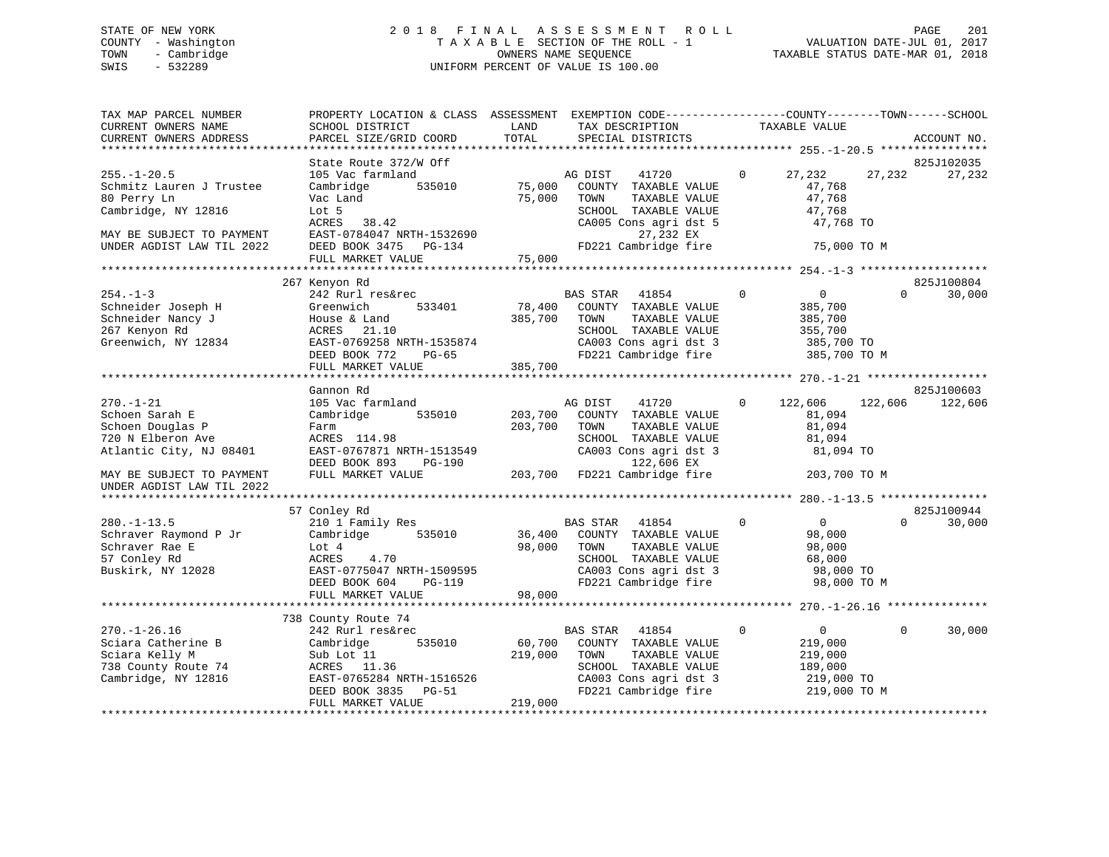# STATE OF NEW YORK 2 0 1 8 F I N A L A S S E S S M E N T R O L L PAGE 201 COUNTY - Washington T A X A B L E SECTION OF THE ROLL - 1 VALUATION DATE-JUL 01, 2017 TOWN - Cambridge OWNERS NAME SEQUENCE TAXABLE STATUS DATE-MAR 01, 2018 SWIS - 532289 UNIFORM PERCENT OF VALUE IS 100.00

| TAX MAP PARCEL NUMBER<br>CURRENT OWNERS NAME<br>CURRENT OWNERS ADDRESS                                   | PROPERTY LOCATION & CLASS ASSESSMENT EXEMPTION CODE----------------COUNTY-------TOWN------SCHOOL<br>SCHOOL DISTRICT<br>PARCEL SIZE/GRID COORD                            | LAND<br>TOTAL                | TAX DESCRIPTION<br>SPECIAL DISTRICTS                                                                                                               | TAXABLE VALUE                                                                                    |          | ACCOUNT NO.          |
|----------------------------------------------------------------------------------------------------------|--------------------------------------------------------------------------------------------------------------------------------------------------------------------------|------------------------------|----------------------------------------------------------------------------------------------------------------------------------------------------|--------------------------------------------------------------------------------------------------|----------|----------------------|
|                                                                                                          |                                                                                                                                                                          |                              |                                                                                                                                                    |                                                                                                  |          |                      |
| $255. - 1 - 20.5$<br>Schmitz Lauren J Trustee<br>80 Perry Ln<br>Cambridge, NY 12816                      | State Route 372/W Off<br>105 Vac farmland<br>Cambridge<br>535010<br>Vac Land<br>Lot 5                                                                                    | 75,000<br>75,000             | 41720<br>AG DIST<br>COUNTY TAXABLE VALUE<br>TOWN<br>TAXABLE VALUE<br>SCHOOL TAXABLE VALUE                                                          | 27,232<br>$\Omega$<br>47,768<br>47,768<br>47,768                                                 | 27,232   | 825J102035<br>27,232 |
| MAY BE SUBJECT TO PAYMENT<br>UNDER AGDIST LAW TIL 2022                                                   | 38.42<br>ACRES<br>EAST-0784047 NRTH-1532690<br>DEED BOOK 3475 PG-134<br>FULL MARKET VALUE                                                                                | 75,000                       | CA005 Cons agri dst 5<br>27,232 EX<br>FD221 Cambridge fire                                                                                         | 47,768 TO<br>75,000 TO M                                                                         |          |                      |
|                                                                                                          |                                                                                                                                                                          |                              |                                                                                                                                                    |                                                                                                  |          |                      |
| $254. - 1 - 3$<br>Schneider Joseph H<br>Schneider Nancy J<br>267 Kenyon Rd<br>Greenwich, NY 12834        | 267 Kenyon Rd<br>242 Rurl res&rec<br>533401<br>Greenwich<br>House & Land<br>ACRES<br>21.10<br>EAST-0769258 NRTH-1535874<br>DEED BOOK 772<br>$PG-65$<br>FULL MARKET VALUE | 78,400<br>385,700<br>385,700 | <b>BAS STAR</b><br>41854<br>COUNTY TAXABLE VALUE<br>TOWN<br>TAXABLE VALUE<br>SCHOOL TAXABLE VALUE<br>CA003 Cons agri dst 3<br>FD221 Cambridge fire | $\mathbf{0}$<br>$0 \qquad \qquad$<br>385,700<br>385,700<br>355,700<br>385,700 TO<br>385,700 TO M | $\Omega$ | 825J100804<br>30,000 |
|                                                                                                          |                                                                                                                                                                          |                              |                                                                                                                                                    |                                                                                                  |          |                      |
|                                                                                                          | Gannon Rd                                                                                                                                                                |                              |                                                                                                                                                    |                                                                                                  |          | 825J100603           |
| $270. - 1 - 21$<br>Schoen Sarah E<br>Schoen Douglas P<br>720 N Elberon Ave<br>Atlantic City, NJ 08401    | 105 Vac farmland<br>Cambridge<br>535010<br>Farm<br>ACRES 114.98<br>EAST-0767871 NRTH-1513549<br>DEED BOOK 893<br>PG-190                                                  | 203,700<br>203,700           | AG DIST<br>41720<br>COUNTY TAXABLE VALUE<br>TOWN<br>TAXABLE VALUE<br>SCHOOL TAXABLE VALUE<br>CA003 Cons agri dst 3<br>122,606 EX                   | 122,606<br>$\mathbf 0$<br>81,094<br>81,094<br>81,094<br>81,094 TO                                | 122,606  | 122,606              |
| MAY BE SUBJECT TO PAYMENT<br>UNDER AGDIST LAW TIL 2022                                                   | FULL MARKET VALUE                                                                                                                                                        | 203,700                      | FD221 Cambridge fire                                                                                                                               | 203,700 TO M                                                                                     |          |                      |
|                                                                                                          | 57 Conley Rd                                                                                                                                                             |                              |                                                                                                                                                    |                                                                                                  |          | 825J100944           |
| $280. -1 - 13.5$<br>Schraver Raymond P Jr<br>Schraver Rae E<br>57 Conley Rd<br>Buskirk, NY 12028         | 210 1 Family Res<br>Cambridge<br>535010<br>Lot 4<br>ACRES<br>4.70<br>EAST-0775047 NRTH-1509595<br>DEED BOOK 604<br>PG-119<br>FULL MARKET VALUE                           | 36,400<br>98,000<br>98,000   | BAS STAR<br>41854<br>COUNTY TAXABLE VALUE<br>TAXABLE VALUE<br>TOWN<br>SCHOOL TAXABLE VALUE<br>CA003 Cons agri dst 3<br>FD221 Cambridge fire        | $\overline{0}$<br>$\Omega$<br>98,000<br>98,000<br>68,000<br>98,000 TO<br>98,000 TO M             | $\Omega$ | 30,000               |
|                                                                                                          |                                                                                                                                                                          |                              |                                                                                                                                                    |                                                                                                  |          |                      |
| $270. - 1 - 26.16$<br>Sciara Catherine B<br>Sciara Kelly M<br>738 County Route 74<br>Cambridge, NY 12816 | 738 County Route 74<br>242 Rurl res&rec<br>Cambridge<br>535010<br>Sub Lot 11<br>ACRES 11.36<br>EAST-0765284 NRTH-1516526<br>DEED BOOK 3835 PG-51                         | 60,700<br>219,000            | <b>BAS STAR</b><br>41854<br>COUNTY TAXABLE VALUE<br>TAXABLE VALUE<br>TOWN<br>SCHOOL TAXABLE VALUE<br>CA003 Cons agri dst 3<br>FD221 Cambridge fire | $\mathbf 0$<br>$\overline{0}$<br>219,000<br>219,000<br>189,000<br>219,000 TO<br>219,000 TO M     | $\Omega$ | 30,000               |
|                                                                                                          | FULL MARKET VALUE                                                                                                                                                        | 219,000                      |                                                                                                                                                    |                                                                                                  |          |                      |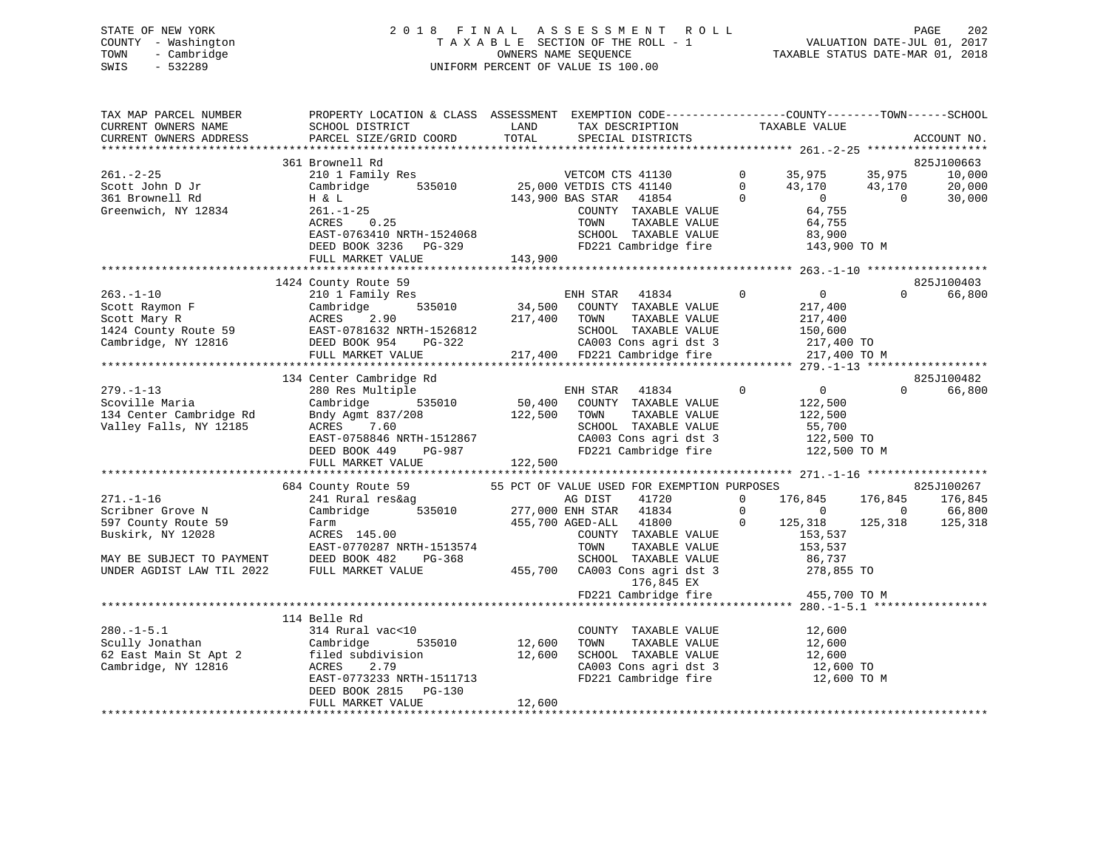# STATE OF NEW YORK 2 0 1 8 F I N A L A S S E S S M E N T R O L L PAGE 202 COUNTY - Washington T A X A B L E SECTION OF THE ROLL - 1 VALUATION DATE-JUL 01, 2017 TOWN - Cambridge OWNERS NAME SEQUENCE TAXABLE STATUS DATE-MAR 01, 2018 SWIS - 532289 UNIFORM PERCENT OF VALUE IS 100.00

| TAX MAP PARCEL NUMBER<br>CURRENT OWNERS NAME<br>CURRENT OWNERS ADDRESS | PROPERTY LOCATION & CLASS ASSESSMENT EXEMPTION CODE----------------COUNTY-------TOWN-----SCHOOL<br>SCHOOL DISTRICT<br>PARCEL SIZE/GRID COORD                                                                                                       | LAND<br>TOTAL | TAX DESCRIPTION<br>SPECIAL DISTRICTS                  |              | TAXABLE VALUE     |                | ACCOUNT NO. |
|------------------------------------------------------------------------|----------------------------------------------------------------------------------------------------------------------------------------------------------------------------------------------------------------------------------------------------|---------------|-------------------------------------------------------|--------------|-------------------|----------------|-------------|
|                                                                        |                                                                                                                                                                                                                                                    |               |                                                       |              |                   |                |             |
|                                                                        | 361 Brownell Rd                                                                                                                                                                                                                                    |               |                                                       |              |                   |                | 825J100663  |
| 261.-2-25                                                              | 210 1 Family Res                                                                                                                                                                                                                                   |               | VETCOM CTS 41130                                      | $\mathbf{0}$ | 35,975            | 35,975         | 10,000      |
| Scott John D Jr                                                        | Cambridge<br>535010                                                                                                                                                                                                                                |               | 25,000 VETDIS CTS 41140                               | $\Omega$     | 43,170            | 43,170         | 20,000      |
| 361 Brownell Rd                                                        | H & L                                                                                                                                                                                                                                              |               | 41854<br>143,900 BAS STAR                             | $\Omega$     | $\overline{0}$    | $\Omega$       | 30,000      |
| Greenwich, NY 12834                                                    | $261. - 1 - 25$                                                                                                                                                                                                                                    |               | COUNTY TAXABLE VALUE                                  |              | 64,755            |                |             |
|                                                                        | 0.25<br>ACRES                                                                                                                                                                                                                                      |               | TAXABLE VALUE<br>TOWN                                 |              | 64,755            |                |             |
|                                                                        | EAST-0763410 NRTH-1524068                                                                                                                                                                                                                          |               | SCHOOL TAXABLE VALUE                                  |              | 83,900            |                |             |
|                                                                        | DEED BOOK 3236 PG-329                                                                                                                                                                                                                              |               | FD221 Cambridge fire                                  |              | 143,900 TO M      |                |             |
|                                                                        | FULL MARKET VALUE                                                                                                                                                                                                                                  | 143,900       |                                                       |              |                   |                |             |
|                                                                        |                                                                                                                                                                                                                                                    |               |                                                       |              |                   |                |             |
|                                                                        | 1424 County Route 59                                                                                                                                                                                                                               |               |                                                       |              |                   | $\Omega$       | 825J100403  |
| $263. - 1 - 10$                                                        | 210 1 Family Res                                                                                                                                                                                                                                   |               | ENH STAR 41834                                        | $\mathbf 0$  | $\overline{0}$    |                | 66,800      |
| Scott Raymon F                                                         | Cambridge<br>535010                                                                                                                                                                                                                                | 34,500        | COUNTY TAXABLE VALUE                                  |              | 217,400           |                |             |
|                                                                        | Scott Mary R<br>1424 County Route 59<br>Cambridge, NY 12816<br>Cambridge, NY 12816<br>Cambridge, NY 12816<br>Cambridge, NY 12816<br>Cambridge, NY 12816<br>Cambridge, NY 12816<br>Cambridge, NY 12816<br>Cambridge, NY 12816<br>Cambridge, NY 1281 | 217,400       | TAXABLE VALUE<br>TOWN                                 |              | 217,400           |                |             |
|                                                                        |                                                                                                                                                                                                                                                    |               | SCHOOL TAXABLE VALUE                                  |              | 150,600           |                |             |
|                                                                        |                                                                                                                                                                                                                                                    |               | CA003 Cons agri dst 3<br>217,400 FD221 Cambridge fire |              | 217,400 TO        |                |             |
|                                                                        | FULL MARKET VALUE                                                                                                                                                                                                                                  |               |                                                       |              | 217,400 TO M      |                |             |
|                                                                        |                                                                                                                                                                                                                                                    |               |                                                       |              |                   |                |             |
|                                                                        | 134 Center Cambridge Rd                                                                                                                                                                                                                            |               |                                                       |              |                   | $\Omega$       | 825J100482  |
| $279. - 1 - 13$                                                        | 280 Res Multiple                                                                                                                                                                                                                                   |               | ENH STAR 41834                                        | $\mathbf 0$  | $\overline{0}$    |                | 66,800      |
| Scoville Maria                                                         | Cambridge<br>535010                                                                                                                                                                                                                                | 122,500       | 50,400 COUNTY TAXABLE VALUE<br>TAXABLE VALUE          |              | 122,500           |                |             |
| 134 Center Cambridge Rd<br>Valley Falls, NY 12185                      | Bndy Agmt 837/208<br>ACRES<br>7.60                                                                                                                                                                                                                 |               | TOWN<br>SCHOOL TAXABLE VALUE                          |              | 122,500<br>55,700 |                |             |
|                                                                        | EAST-0758846 NRTH-1512867                                                                                                                                                                                                                          |               | CA003 Cons agri dst 3                                 |              | 122,500 TO        |                |             |
|                                                                        | DEED BOOK 449<br>PG-987                                                                                                                                                                                                                            |               | FD221 Cambridge fire                                  |              | 122,500 TO M      |                |             |
|                                                                        | FULL MARKET VALUE                                                                                                                                                                                                                                  | 122,500       |                                                       |              |                   |                |             |
|                                                                        |                                                                                                                                                                                                                                                    |               |                                                       |              |                   |                |             |
|                                                                        | 684 County Route 59                                                                                                                                                                                                                                |               | 55 PCT OF VALUE USED FOR EXEMPTION PURPOSES           |              |                   |                | 825J100267  |
| $271. - 1 - 16$                                                        | 241 Rural res&ag                                                                                                                                                                                                                                   |               | 41720<br>AG DIST                                      | $\Omega$     | 176,845           | 176,845        | 176,845     |
| Scribner Grove N                                                       | Cambridge 535010                                                                                                                                                                                                                                   |               | 277,000 ENH STAR 41834                                | $\mathbf 0$  | $\overline{0}$    | $\overline{0}$ | 66,800      |
| 597 County Route 59                                                    | Farm                                                                                                                                                                                                                                               |               | 455,700 AGED-ALL 41800                                | $\mathbf 0$  | 125,318           | 125,318        | 125,318     |
| Buskirk, NY 12028                                                      | ACRES 145.00                                                                                                                                                                                                                                       |               | COUNTY TAXABLE VALUE                                  |              | 153,537           |                |             |
|                                                                        | EAST-0770287 NRTH-1513574                                                                                                                                                                                                                          |               | TOWN<br>TAXABLE VALUE                                 |              | 153,537           |                |             |
| MAY BE SUBJECT TO PAYMENT                                              | DEED BOOK 482<br>PG-368                                                                                                                                                                                                                            |               | SCHOOL TAXABLE VALUE                                  |              | 86,737            |                |             |
| UNDER AGDIST LAW TIL 2022                                              | FULL MARKET VALUE                                                                                                                                                                                                                                  |               | 455,700 CA003 Cons agri dst 3                         |              | 278,855 TO        |                |             |
|                                                                        |                                                                                                                                                                                                                                                    |               | 176,845 EX                                            |              |                   |                |             |
|                                                                        |                                                                                                                                                                                                                                                    |               | FD221 Cambridge fire                                  |              | 455,700 TO M      |                |             |
|                                                                        |                                                                                                                                                                                                                                                    |               |                                                       |              |                   |                |             |
|                                                                        | 114 Belle Rd                                                                                                                                                                                                                                       |               |                                                       |              |                   |                |             |
| $280. -1 - 5.1$                                                        | 314 Rural vac<10                                                                                                                                                                                                                                   |               | COUNTY TAXABLE VALUE                                  |              | 12,600            |                |             |
| Scully Jonathan                                                        | 535010<br>Cambridge                                                                                                                                                                                                                                | 12,600        | TOWN<br>TAXABLE VALUE                                 |              | 12,600            |                |             |
| 62 East Main St Apt 2                                                  | filed subdivision                                                                                                                                                                                                                                  | 12,600        | SCHOOL TAXABLE VALUE                                  |              | 12,600            |                |             |
| Cambridge, NY 12816                                                    | ACRES<br>2.79                                                                                                                                                                                                                                      |               | CA003 Cons agri dst 3                                 |              | 12,600 TO         |                |             |
|                                                                        | EAST-0773233 NRTH-1511713                                                                                                                                                                                                                          |               | FD221 Cambridge fire                                  |              | 12,600 TO M       |                |             |
|                                                                        | DEED BOOK 2815 PG-130                                                                                                                                                                                                                              |               |                                                       |              |                   |                |             |
|                                                                        |                                                                                                                                                                                                                                                    |               |                                                       |              |                   |                |             |
|                                                                        |                                                                                                                                                                                                                                                    |               |                                                       |              |                   |                |             |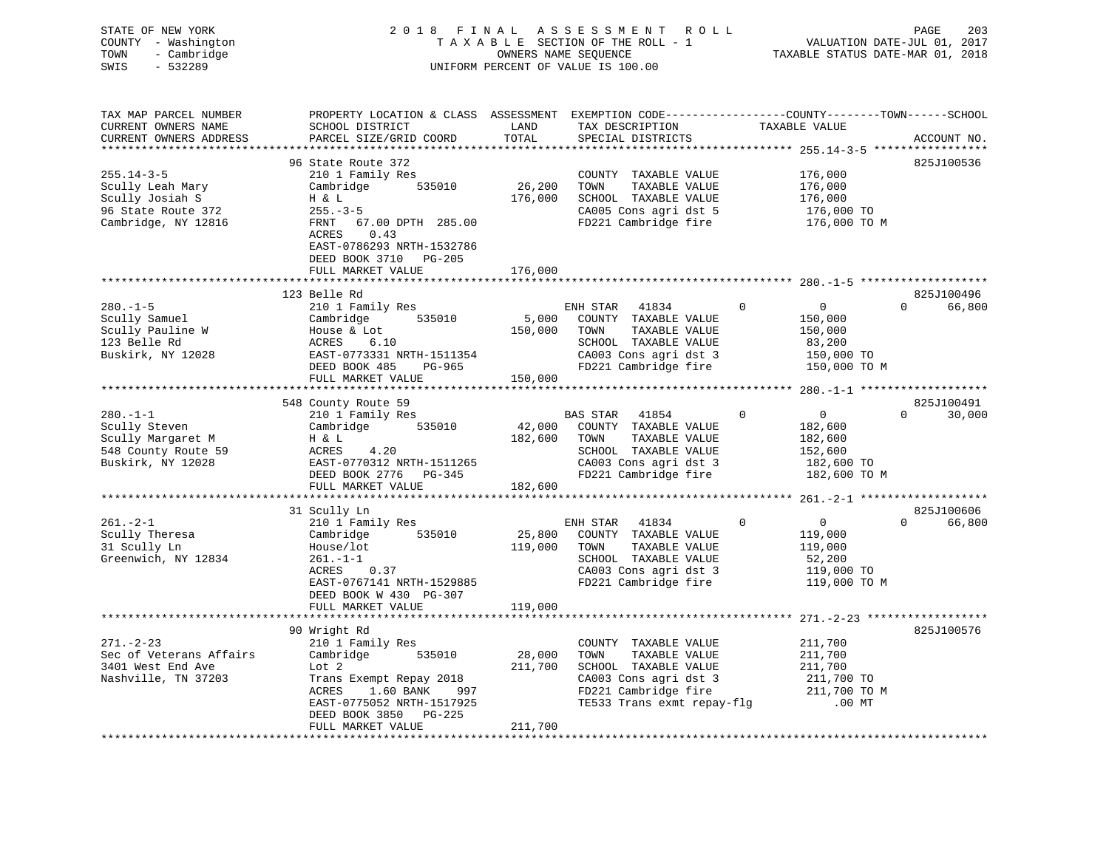| STATE OF NEW YORK<br>COUNTY - Washington<br>- Cambridge<br>TOWN<br>SWIS<br>$-532289$ |                                                                                                  |              | 2018 FINAL ASSESSMENT ROLL<br>TAXABLE SECTION OF THE ROLL - 1<br>OWNERS NAME SEQUENCE<br>UNIFORM PERCENT OF VALUE IS 100.00 |              | PAGE 203<br>VALUATION DATE-JUL 01, 2017<br>TAXABLE STATUS DATE-MAR 01, 2018 |                    |
|--------------------------------------------------------------------------------------|--------------------------------------------------------------------------------------------------|--------------|-----------------------------------------------------------------------------------------------------------------------------|--------------|-----------------------------------------------------------------------------|--------------------|
| TAX MAP PARCEL NUMBER                                                                | PROPERTY LOCATION & CLASS ASSESSMENT EXEMPTION CODE----------------COUNTY-------TOWN------SCHOOL |              |                                                                                                                             |              |                                                                             |                    |
| CURRENT OWNERS NAME                                                                  | SCHOOL DISTRICT                                                                                  | LAND         | TAX DESCRIPTION TAXABLE VALUE                                                                                               |              |                                                                             |                    |
| CURRENT OWNERS ADDRESS                                                               | PARCEL SIZE/GRID COORD                                                                           | TOTAL        | SPECIAL DISTRICTS                                                                                                           |              |                                                                             | ACCOUNT NO.        |
| **********************                                                               |                                                                                                  |              |                                                                                                                             |              |                                                                             |                    |
|                                                                                      | 96 State Route 372                                                                               |              |                                                                                                                             |              |                                                                             | 825J100536         |
| 255.14-3-5                                                                           | 210 1 Family Res                                                                                 |              | COUNTY TAXABLE VALUE                                                                                                        |              | 176,000                                                                     |                    |
| Scully Leah Mary                                                                     | 535010<br>Cambridge                                                                              | 26,200       | TOWN<br>TAXABLE VALUE<br>176,000 SCHOOL TAXABLE VALUE                                                                       |              | 176,000                                                                     |                    |
| Scully Josiah S<br>96 State Route 372                                                | H & L<br>$255. - 3 - 5$                                                                          |              | CA005 Cons agri dst 5                                                                                                       |              | 176,000<br>176,000 TO                                                       |                    |
| Cambridge, NY 12816                                                                  | FRNT 67.00 DPTH 285.00                                                                           |              | FD221 Cambridge fire                                                                                                        |              | 176,000 TO M                                                                |                    |
|                                                                                      | ACRES<br>0.43                                                                                    |              |                                                                                                                             |              |                                                                             |                    |
|                                                                                      | EAST-0786293 NRTH-1532786                                                                        |              |                                                                                                                             |              |                                                                             |                    |
|                                                                                      | DEED BOOK 3710 PG-205                                                                            |              |                                                                                                                             |              |                                                                             |                    |
|                                                                                      | FULL MARKET VALUE                                                                                | 176,000      |                                                                                                                             |              |                                                                             |                    |
|                                                                                      |                                                                                                  |              |                                                                                                                             |              |                                                                             |                    |
|                                                                                      | 123 Belle Rd                                                                                     |              |                                                                                                                             |              |                                                                             | 825J100496         |
| $280. - 1 - 5$                                                                       | 210 1 Family Res                                                                                 |              | ENH STAR 41834                                                                                                              | $\mathbf{0}$ | $\overline{0}$                                                              | 0 66,800           |
| Scully Samuel                                                                        | Cambridge 535010                                                                                 | 5,000        | COUNTY TAXABLE VALUE                                                                                                        |              | 150,000                                                                     |                    |
| Scully Pauline W<br>123 Belle Rd<br>Buskirk, NY 12028                                | House & Lot                                                                                      | 150,000 TOWN | TAXABLE VALUE                                                                                                               |              | 150,000                                                                     |                    |
|                                                                                      |                                                                                                  |              | SCHOOL TAXABLE VALUE                                                                                                        |              | 83,200                                                                      |                    |
|                                                                                      | ACRES 6.10<br>EAST-0773331 NRTH-1511354<br>DEED BOOK 485 PG-965                                  |              | CA003 Cons agri dst 3<br>FD221 Cambridge fire                                                                               |              | 150,000 TO<br>150,000 TO M                                                  |                    |
|                                                                                      | FULL MARKET VALUE 150,000                                                                        |              |                                                                                                                             |              |                                                                             |                    |
|                                                                                      |                                                                                                  |              |                                                                                                                             |              |                                                                             |                    |
|                                                                                      | 548 County Route 59                                                                              |              |                                                                                                                             |              |                                                                             | 825J100491         |
| $280. -1 - 1$                                                                        | 210 1 Family Res                                                                                 |              | BAS STAR 41854                                                                                                              | $\Omega$     | $\overline{0}$                                                              | $0 \t 30,000$      |
| Scully Steven                                                                        | Cambridge 535010                                                                                 |              | 42,000 COUNTY TAXABLE VALUE                                                                                                 |              | 182,600                                                                     |                    |
| Scully Margaret M                                                                    | H & L<br>4.20                                                                                    | 182,600 TOWN | TAXABLE VALUE                                                                                                               |              | 182,600                                                                     |                    |
| 548 County Route 59                                                                  |                                                                                                  |              |                                                                                                                             |              | 152,600                                                                     |                    |
| Buskirk, NY 12028                                                                    |                                                                                                  |              |                                                                                                                             |              | 182,600 TO                                                                  |                    |
|                                                                                      | DEED BOOK 2776 PG-345                                                                            |              | FD221 Cambridge fire                                                                                                        |              | 182,600 TO M                                                                |                    |
|                                                                                      | FULL MARKET VALUE                                                                                | 182,600      |                                                                                                                             |              |                                                                             |                    |
|                                                                                      | 31 Scully Ln                                                                                     |              |                                                                                                                             |              |                                                                             | 825J100606         |
| $261. - 2 - 1$                                                                       | 210 1 Family Res                                                                                 |              | ENH STAR 41834                                                                                                              | $\mathbf 0$  | $\overline{0}$                                                              | $\Omega$<br>66,800 |
| Scully Theresa                                                                       | Cambridge 535010                                                                                 |              | 25,800 COUNTY TAXABLE VALUE                                                                                                 |              | 119,000                                                                     |                    |
| 31 Scully Ln                                                                         | House/lot                                                                                        | 119,000 TOWN | TAXABLE VALUE                                                                                                               |              | 119,000                                                                     |                    |
| Greenwich, NY 12834                                                                  | $261. - 1 - 1$                                                                                   |              | SCHOOL TAXABLE VALUE                                                                                                        |              | 52,200                                                                      |                    |
|                                                                                      | ACRES<br>0.37                                                                                    |              | CA003 Cons agri dst 3                                                                                                       |              | 119,000 TO<br>119,000 TO M                                                  |                    |
|                                                                                      | EAST-0767141 NRTH-1529885                                                                        |              | FD221 Cambridge fire                                                                                                        |              |                                                                             |                    |
|                                                                                      | DEED BOOK W 430 PG-307                                                                           |              |                                                                                                                             |              |                                                                             |                    |
|                                                                                      | FULL MARKET VALUE                                                                                | 119,000      |                                                                                                                             |              |                                                                             |                    |
|                                                                                      | **********************                                                                           |              |                                                                                                                             |              |                                                                             |                    |
| $271. - 2 - 23$                                                                      | 90 Wright Rd                                                                                     |              |                                                                                                                             |              |                                                                             | 825J100576         |
| Sec of Veterans Affairs                                                              | 210 1 Family Res<br>Cambridge 535010                                                             | 28,000       | COUNTY TAXABLE VALUE<br>TOWN<br>TAXABLE VALUE                                                                               |              | 211,700<br>211,700                                                          |                    |
| 3401 West End Ave                                                                    | Lot 2                                                                                            | 211,700      | SCHOOL TAXABLE VALUE                                                                                                        |              | 211,700                                                                     |                    |
| Nashville, TN 37203                                                                  | Trans Exempt Repay 2018                                                                          |              |                                                                                                                             |              |                                                                             |                    |
|                                                                                      | ACRES<br>1.60 BANK 997                                                                           |              |                                                                                                                             |              |                                                                             |                    |
|                                                                                      | EAST-0775052 NRTH-1517925                                                                        |              | CA003 Cons agri dst 3 211,700 TO<br>FD221 Cambridge fire 211,700 TO M<br>TE533 Trans exmt repay-flg .00 MT                  |              |                                                                             |                    |
|                                                                                      | DEED BOOK 3850 PG-225                                                                            |              |                                                                                                                             |              |                                                                             |                    |
|                                                                                      | FULL MARKET VALUE                                                                                | 211,700      |                                                                                                                             |              |                                                                             |                    |
|                                                                                      |                                                                                                  |              | ********************************                                                                                            |              |                                                                             |                    |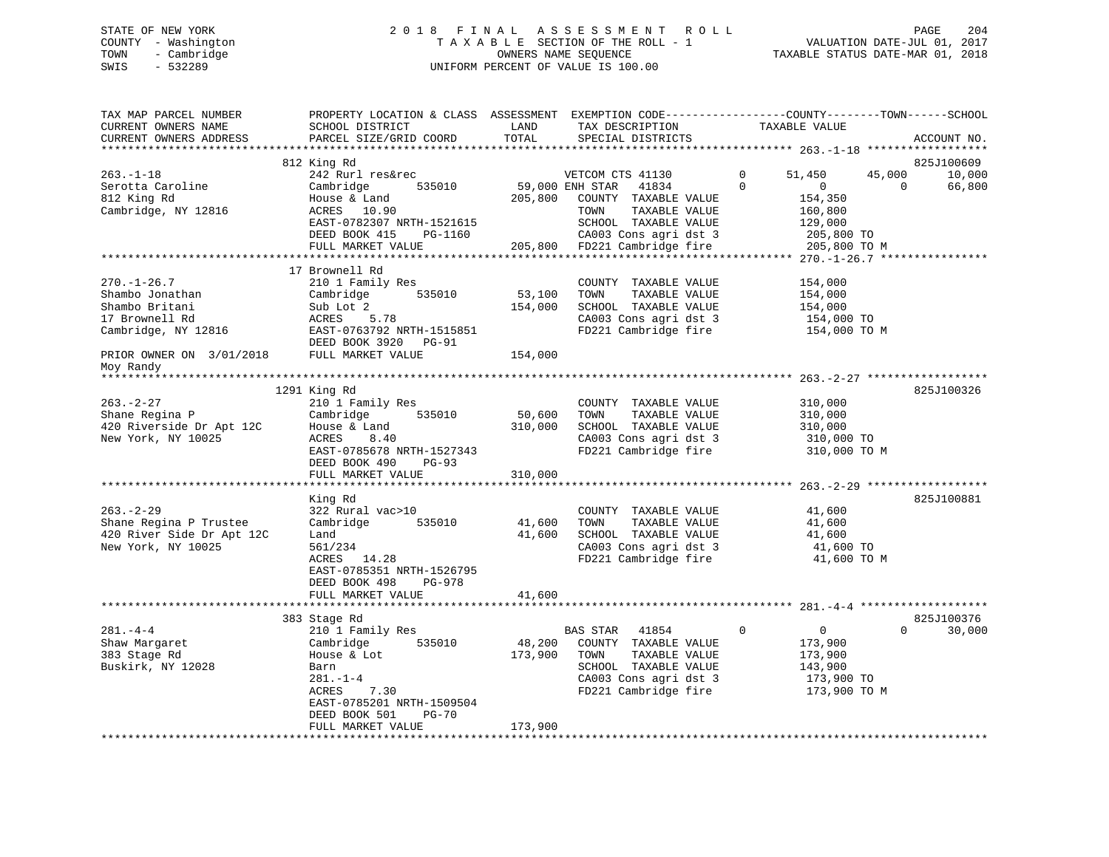# STATE OF NEW YORK 2 0 1 8 F I N A L A S S E S S M E N T R O L L PAGE 204 COUNTY - Washington T A X A B L E SECTION OF THE ROLL - 1 VALUATION DATE-JUL 01, 2017 TOWN - Cambridge OWNERS NAME SEQUENCE TAXABLE STATUS DATE-MAR 01, 2018 SWIS - 532289 UNIFORM PERCENT OF VALUE IS 100.00

| TAX MAP PARCEL NUMBER<br>CURRENT OWNERS NAME<br>CURRENT OWNERS ADDRESS                          | PROPERTY LOCATION & CLASS ASSESSMENT<br>SCHOOL DISTRICT<br>PARCEL SIZE/GRID COORD                                                                                         | LAND<br>TOTAL              | EXEMPTION CODE-----------------COUNTY-------TOWN------SCHOOL<br>TAX DESCRIPTION<br>SPECIAL DISTRICTS                                        | TAXABLE VALUE                                                                    | ACCOUNT NO.                                          |
|-------------------------------------------------------------------------------------------------|---------------------------------------------------------------------------------------------------------------------------------------------------------------------------|----------------------------|---------------------------------------------------------------------------------------------------------------------------------------------|----------------------------------------------------------------------------------|------------------------------------------------------|
| **********************                                                                          | *******************************                                                                                                                                           |                            |                                                                                                                                             |                                                                                  |                                                      |
| $263. - 1 - 18$<br>Serotta Caroline<br>812 King Rd<br>Cambridge, NY 12816                       | 812 King Rd<br>242 Rurl res&rec<br>Cambridge<br>535010<br>House & Land<br>ACRES 10.90                                                                                     | 59,000 ENH STAR<br>205,800 | VETCOM CTS 41130<br>41834<br>COUNTY TAXABLE VALUE<br>TOWN<br>TAXABLE VALUE                                                                  | 51,450<br>$\Omega$<br>$\Omega$<br>$\overline{0}$<br>154,350<br>160,800           | 825J100609<br>45,000<br>10,000<br>$\Omega$<br>66,800 |
|                                                                                                 | EAST-0782307 NRTH-1521615<br>DEED BOOK 415<br>PG-1160<br>FULL MARKET VALUE                                                                                                |                            | SCHOOL TAXABLE VALUE<br>CA003 Cons agri dst 3<br>205,800 FD221 Cambridge fire                                                               | 129,000<br>205,800 TO<br>205,800 TO M                                            |                                                      |
|                                                                                                 |                                                                                                                                                                           |                            |                                                                                                                                             |                                                                                  |                                                      |
| $270. - 1 - 26.7$<br>Shambo Jonathan<br>Shambo Britani<br>17 Brownell Rd<br>Cambridge, NY 12816 | 17 Brownell Rd<br>210 1 Family Res<br>535010<br>Cambridge<br>Sub Lot 2<br>ACRES<br>5.78<br>EAST-0763792 NRTH-1515851<br>DEED BOOK 3920 PG-91                              | 53,100<br>154,000          | COUNTY TAXABLE VALUE<br>TOWN<br>TAXABLE VALUE<br>SCHOOL TAXABLE VALUE<br>CA003 Cons agri dst 3<br>FD221 Cambridge fire                      | 154,000<br>154,000<br>154,000<br>154,000 TO<br>154,000 TO M                      |                                                      |
| PRIOR OWNER ON 3/01/2018                                                                        | FULL MARKET VALUE                                                                                                                                                         | 154,000                    |                                                                                                                                             |                                                                                  |                                                      |
| Moy Randy                                                                                       |                                                                                                                                                                           |                            |                                                                                                                                             |                                                                                  |                                                      |
|                                                                                                 | 1291 King Rd                                                                                                                                                              |                            |                                                                                                                                             |                                                                                  | 825J100326                                           |
| 263.-2-27<br>Shane Regina P<br>420 Riverside Dr Apt 12C<br>New York, NY 10025                   | 210 1 Family Res<br>535010<br>Cambridge<br>House & Land<br>ACRES<br>8.40<br>EAST-0785678 NRTH-1527343<br>DEED BOOK 490<br><b>PG-93</b>                                    | 50,600<br>310,000          | COUNTY TAXABLE VALUE<br>TOWN<br>TAXABLE VALUE<br>SCHOOL TAXABLE VALUE<br>CA003 Cons agri dst 3<br>FD221 Cambridge fire                      | 310,000<br>310,000<br>310,000<br>310,000 TO<br>310,000 TO M                      |                                                      |
|                                                                                                 | FULL MARKET VALUE                                                                                                                                                         | 310,000                    |                                                                                                                                             |                                                                                  |                                                      |
| $263. - 2 - 29$<br>Shane Regina P Trustee<br>420 River Side Dr Apt 12C                          | King Rd<br>322 Rural vac>10<br>Cambridge<br>535010<br>Land                                                                                                                | 41,600<br>41,600           | COUNTY TAXABLE VALUE<br>TAXABLE VALUE<br>TOWN<br>SCHOOL TAXABLE VALUE                                                                       | 41,600<br>41,600<br>41,600                                                       | 825J100881                                           |
| New York, NY 10025                                                                              | 561/234<br>ACRES 14.28<br>EAST-0785351 NRTH-1526795<br>DEED BOOK 498<br>PG-978<br>FULL MARKET VALUE                                                                       | 41,600                     | CA003 Cons agri dst 3<br>FD221 Cambridge fire                                                                                               | 41,600 TO<br>41,600 TO M                                                         |                                                      |
|                                                                                                 |                                                                                                                                                                           |                            |                                                                                                                                             |                                                                                  |                                                      |
| $281 - 4 - 4$<br>Shaw Margaret<br>383 Stage Rd<br>Buskirk, NY 12028                             | 383 Stage Rd<br>210 1 Family Res<br>Cambridge<br>535010<br>House & Lot<br>Barn<br>$281 - 1 - 4$<br>ACRES<br>7.30<br>EAST-0785201 NRTH-1509504<br>DEED BOOK 501<br>$PG-70$ | 48,200<br>173,900          | BAS STAR<br>41854<br>COUNTY TAXABLE VALUE<br>TOWN<br>TAXABLE VALUE<br>SCHOOL TAXABLE VALUE<br>CA003 Cons agri dst 3<br>FD221 Cambridge fire | 0<br>$\mathbf{0}$<br>173,900<br>173,900<br>143,900<br>173,900 TO<br>173,900 TO M | 825J100376<br>$\Omega$<br>30,000                     |
|                                                                                                 | FULL MARKET VALUE<br>*******************************                                                                                                                      | 173,900                    |                                                                                                                                             |                                                                                  |                                                      |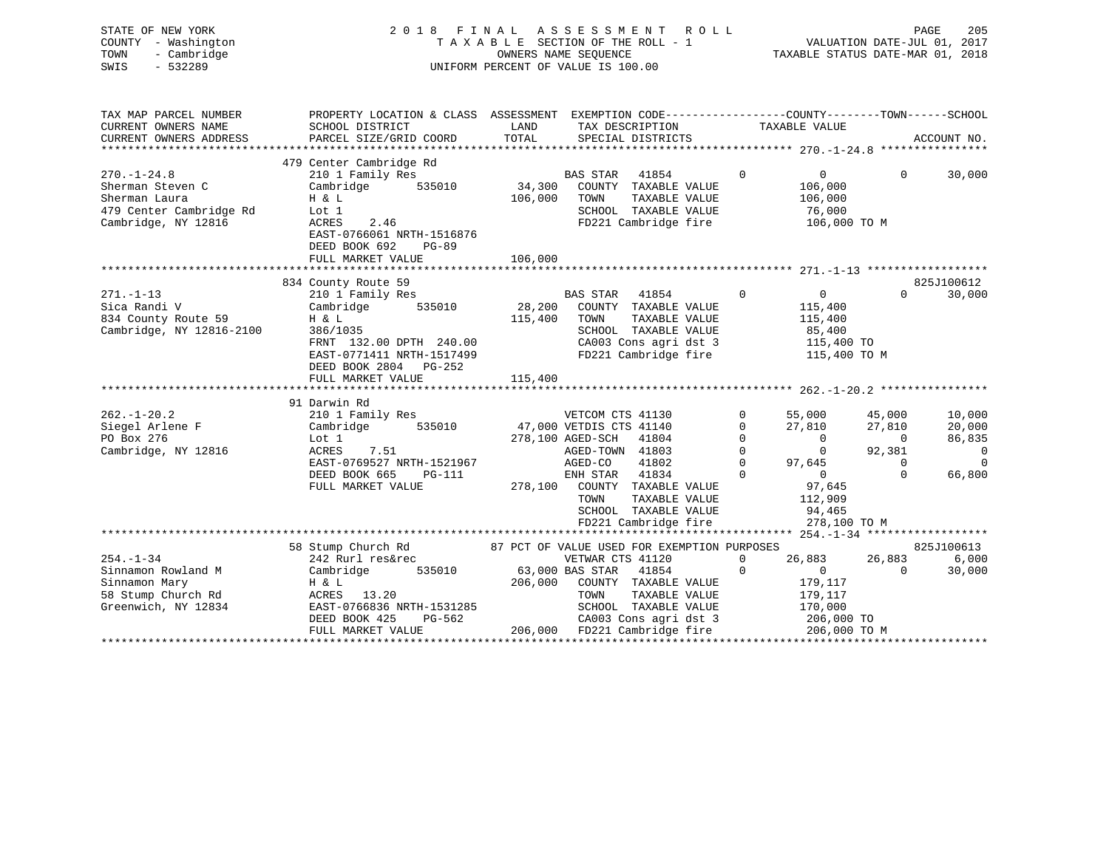| STATE OF NEW YORK   | 2018 FINAL ASSESSMENT ROLL         | PAGE                             | 205 |
|---------------------|------------------------------------|----------------------------------|-----|
| COUNTY - Washington | TAXABLE SECTION OF THE ROLL - 1    | VALUATION DATE-JUL 01, 2017      |     |
| TOWN - Cambridge    | OWNERS NAME SEOUENCE               | TAXABLE STATUS DATE-MAR 01, 2018 |     |
| $-532289$<br>SWIS   | UNIFORM PERCENT OF VALUE IS 100.00 |                                  |     |
|                     |                                    |                                  |     |

| TAX MAP PARCEL NUMBER<br>CURRENT OWNERS NAME                                                             | PROPERTY LOCATION & CLASS ASSESSMENT EXEMPTION CODE----------------COUNTY-------TOWN-----SCHOOL<br>SCHOOL DISTRICT                                           | LAND                   | TAX DESCRIPTION                                                                                                                        | TAXABLE VALUE                                                                            |                                        |
|----------------------------------------------------------------------------------------------------------|--------------------------------------------------------------------------------------------------------------------------------------------------------------|------------------------|----------------------------------------------------------------------------------------------------------------------------------------|------------------------------------------------------------------------------------------|----------------------------------------|
| CURRENT OWNERS ADDRESS                                                                                   | PARCEL SIZE/GRID COORD                                                                                                                                       | TOTAL                  | SPECIAL DISTRICTS                                                                                                                      |                                                                                          | ACCOUNT NO.                            |
|                                                                                                          | 479 Center Cambridge Rd                                                                                                                                      |                        |                                                                                                                                        |                                                                                          |                                        |
| $270. - 1 - 24.8$<br>Sherman Steven C<br>Sherman Laura<br>479 Center Cambridge Rd<br>Cambridge, NY 12816 | 210 1 Family Res<br>$\frac{134,300}{136,380}$ COUNTY TAXABLE VALUE<br>H & L<br>Lot 1<br>ACRES<br>2.46<br>EAST-0766061 NRTH-1516876<br>DEED BOOK 692<br>PG-89 | 106,000                | <b>BAS STAR</b><br>41854<br>TOWN<br>TAXABLE VALUE<br>SCHOOL TAXABLE VALUE<br>FD221 Cambridge fire                                      | $0 \qquad \qquad$<br>$\Omega$<br>106,000<br>106.000<br>106,000<br>76,000<br>106,000 TO M | $\Omega$<br>30,000                     |
|                                                                                                          |                                                                                                                                                              |                        |                                                                                                                                        |                                                                                          |                                        |
| $271. - 1 - 13$<br>Sica Randi V<br>834 County Route 59<br>Cambridge, NY 12816-2100                       | 834 County Route 59<br>H & L<br>386/1035<br>FRNT 132.00 DPTH 240.00<br>EAST-0771411 NRTH-1517499<br>DEED BOOK 2804    PG-252                                 | 115,400                | TOWN<br>SCHOOL TAXABLE VALUE 85,400<br>CA003 Cons agri dst 3 115,400 TO<br>FD221 Cambridge fire 115,400 TO M                           | $\overline{0}$<br>$\overline{0}$<br>115,400<br>TAXABLE VALUE 115,400                     | 825J100612<br>30,000<br>$\Omega$       |
|                                                                                                          | FULL MARKET VALUE                                                                                                                                            | 115,400                |                                                                                                                                        |                                                                                          |                                        |
|                                                                                                          |                                                                                                                                                              |                        |                                                                                                                                        |                                                                                          |                                        |
|                                                                                                          | 91 Darwin Rd                                                                                                                                                 |                        |                                                                                                                                        |                                                                                          |                                        |
| $262. - 1 - 20.2$                                                                                        | 210 1 Family Res                                                                                                                                             |                        | VETCOM CTS 41130                                                                                                                       | $\Omega$<br>55,000                                                                       | 45,000<br>10,000                       |
| Siegel Arlene F<br>PO Box 276                                                                            | Cambridge<br>Lot 1                                                                                                                                           |                        | 535010 47,000 VETDIS CTS 41140                                                                                                         | $\Omega$<br>27,810                                                                       | 27,810<br>20,000<br>86,835<br>$\sim$ 0 |
| Cambridge, NY 12816                                                                                      | 7.51<br>ACRES                                                                                                                                                |                        | 278,100 AGED-SCH 41804 0<br>AGED-TOWN 41803 0                                                                                          | $\begin{array}{c} 0 \\ 0 \end{array}$                                                    | 92,381<br>$\overline{0}$               |
|                                                                                                          | EAST-0769527 NRTH-1521967                                                                                                                                    |                        | AGED-CO<br>41802                                                                                                                       | $\Omega$<br>97,645                                                                       | $\Omega$<br>$\Omega$                   |
|                                                                                                          | DEED BOOK 665<br>PG-111<br>FULL MARKET VALUE                                                                                                                 |                        | ENH STAR 41834<br>278,100 COUNTY TAXABLE VALUE<br>TOWN<br>TAXABLE VALUE<br>SCHOOL TAXABLE VALUE 94,465<br>FD221 Cambridge fire 278,100 | 0<br>97,645<br>$\Omega$<br>112,909<br>278,100 TO M                                       | $\Omega$<br>66,800                     |
|                                                                                                          |                                                                                                                                                              |                        |                                                                                                                                        |                                                                                          |                                        |
|                                                                                                          | 58 Stump Church Rd                                                                                                                                           |                        | 87 PCT OF VALUE USED FOR EXEMPTION PURPOSES                                                                                            |                                                                                          | 825J100613                             |
| $254. - 1 - 34$<br>Sinnamon Rowland M                                                                    | 242 Rurl res&rec<br>Cambridge                                                                                                                                | 535010 63,000 BAS STAR | VETWAR CTS 41120<br>41854                                                                                                              | 26,883 26,883<br>$\mathbf{0}$<br>$\overline{0}$<br>$\Omega$                              | 6,000<br>$\Omega$<br>30,000            |
| Sinnamon Mary<br>58 Stump Church Rd<br>Greenwich, NY 12834                                               | H & L<br>ACRES 13.20<br>EAST-0766836 NRTH-1531285                                                                                                            |                        | 206,000 COUNTY TAXABLE VALUE<br>TOWN TAXABLE VALUE<br>SCHOOL TAXABLE VALUE                                                             | 179,117<br>179,117<br>170,000                                                            |                                        |
|                                                                                                          |                                                                                                                                                              |                        |                                                                                                                                        |                                                                                          |                                        |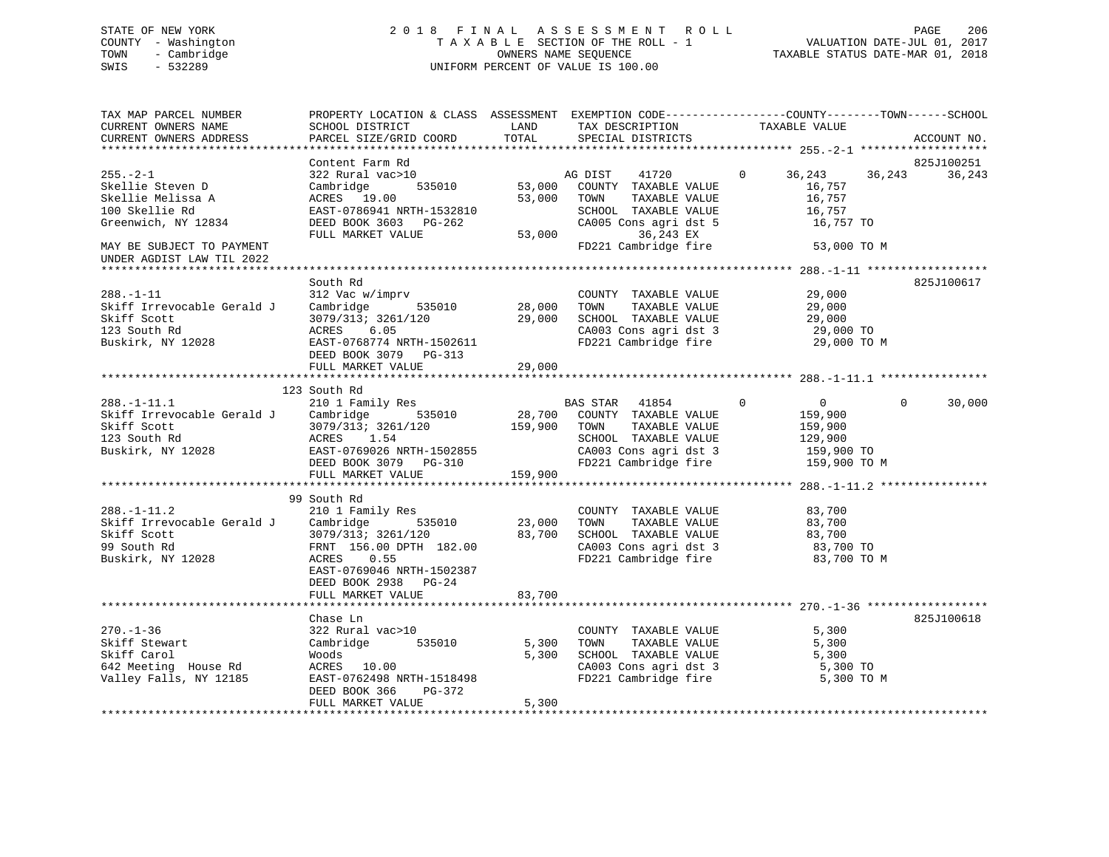# STATE OF NEW YORK 2 0 1 8 F I N A L A S S E S S M E N T R O L L PAGE 206 COUNTY - Washington T A X A B L E SECTION OF THE ROLL - 1 VALUATION DATE-JUL 01, 2017 TOWN - Cambridge OWNERS NAME SEQUENCE TAXABLE STATUS DATE-MAR 01, 2018 SWIS - 532289 UNIFORM PERCENT OF VALUE IS 100.00

| TAX MAP PARCEL NUMBER                |                                                                                                                       |        |                                                                 | PROPERTY LOCATION & CLASS ASSESSMENT EXEMPTION CODE---------------COUNTY-------TOWN------SCHOOL |
|--------------------------------------|-----------------------------------------------------------------------------------------------------------------------|--------|-----------------------------------------------------------------|-------------------------------------------------------------------------------------------------|
| CURRENT OWNERS NAME                  | SCHOOL DISTRICT                                                                                                       | LAND   | TAX DESCRIPTION TAXABLE VALUE                                   |                                                                                                 |
| CURRENT OWNERS ADDRESS               | PARCEL SIZE/GRID COORD                                                                                                | TOTAL  | SPECIAL DISTRICTS                                               | ACCOUNT NO.                                                                                     |
|                                      |                                                                                                                       |        |                                                                 |                                                                                                 |
|                                      | Content Farm Rd                                                                                                       |        |                                                                 | 825J100251                                                                                      |
| $255. - 2 - 1$                       | 322 Rural vac>10                                                                                                      |        | 41720<br>AG DIST                                                | 36,243<br>36,243<br>36,243<br>$\mathbf{0}$                                                      |
| Skellie Steven D                     | Cambridge                                                                                                             |        | 535010 53,000 COUNTY TAXABLE VALUE                              | 16,757                                                                                          |
| Skellie Melissa A                    | ACRES 19.00                                                                                                           | 53,000 | TOWN<br>TAXABLE VALUE                                           | 16,757                                                                                          |
| 100 Skellie Rd                       | EAST-0786941 NRTH-1532810                                                                                             |        | SCHOOL TAXABLE VALUE                                            | 16,757                                                                                          |
| Greenwich, NY 12834                  | DEED BOOK 3603 PG-262<br>FULL MARKET VALUE                                                                            | 53,000 | CA005 Cons agri dst 5<br>36,243 EX                              | 16,757 TO                                                                                       |
| MAY BE SUBJECT TO PAYMENT            |                                                                                                                       |        | FD221 Cambridge fire                                            | 53,000 TO M                                                                                     |
| UNDER AGDIST LAW TIL 2022            |                                                                                                                       |        |                                                                 |                                                                                                 |
|                                      |                                                                                                                       |        |                                                                 |                                                                                                 |
|                                      | South Rd                                                                                                              |        |                                                                 | 825J100617                                                                                      |
| $288. - 1 - 11$                      | 312 Vac w/imprv                                                                                                       |        | COUNTY TAXABLE VALUE                                            | 29,000                                                                                          |
|                                      | Skiff Irrevocable Gerald J Cambridge 535010 28,000                                                                    |        | TAXABLE VALUE<br>TOWN                                           | 29,000                                                                                          |
| Skiff Scott                          | $3079/313$ ; $3261/120$<br>ACRES 6.05                                                                                 | 29,000 | SCHOOL TAXABLE VALUE                                            | 29,000                                                                                          |
|                                      |                                                                                                                       |        |                                                                 | 29,000 TO                                                                                       |
| 123 South Ku<br>Buskirk, NY 12028    | 3079/313; 3261/120<br>ACRES    6.05<br>EAST-0768774 NRTH-1502611                                                      |        | CA003 Cons agri dst 3<br>FD221 Cambridge fire                   | 29,000 TO M                                                                                     |
|                                      | DEED BOOK 3079 PG-313                                                                                                 |        |                                                                 |                                                                                                 |
|                                      | FULL MARKET VALUE                                                                                                     | 29,000 |                                                                 |                                                                                                 |
|                                      |                                                                                                                       |        |                                                                 |                                                                                                 |
|                                      | 123 South Rd                                                                                                          |        |                                                                 |                                                                                                 |
| $288. - 1 - 11.1$                    | 210 1 Family Res                                                                                                      |        | BAS STAR 41854<br>28,700 COUNTY TAXABLE VALUE<br>BAS STAR 41854 | $\Omega$<br>30,000<br>$\overline{0}$<br>$\Omega$                                                |
|                                      | Skiff Irrevocable Gerald J Cambridge 535010                                                                           |        |                                                                 | 159,900                                                                                         |
| Skiff Scott                          |                                                                                                                       |        | TAXABLE VALUE                                                   | 159,900                                                                                         |
| 123 South Rd                         |                                                                                                                       |        | SCHOOL TAXABLE VALUE                                            | 129,900                                                                                         |
| Buskirk, NY 12028                    |                                                                                                                       |        | CA003 Cons agri dst 3<br>FD221 Cambridge fire                   | 159,900 TO<br>159,900 TO M                                                                      |
|                                      | 3079/313; 3261/120 159,900 TOWN<br>ACRES 1.54 SCHOO<br>EAST-0769026 NRTH-1502855 CA003<br>DEED BOOK 3079 PG-310 FD221 |        |                                                                 |                                                                                                 |
|                                      | FULL MARKET VALUE 159,900                                                                                             |        |                                                                 |                                                                                                 |
|                                      |                                                                                                                       |        |                                                                 |                                                                                                 |
|                                      | 99 South Rd                                                                                                           |        |                                                                 |                                                                                                 |
| $288. - 1 - 11.2$                    | 210 1 Family Res                                                                                                      |        | COUNTY TAXABLE VALUE                                            | 83,700                                                                                          |
| Skiff Irrevocable Gerald J Cambridge | 535010                                                                                                                | 23,000 | TAXABLE VALUE<br>TOWN                                           | 83,700                                                                                          |
| Skiff Scott                          | 3079/313; 3261/120<br>FRNT 156.00 DPTH 1                                                                              | 83,700 | SCHOOL TAXABLE VALUE                                            | 83,700                                                                                          |
| 99 South Rd                          | FRNT 156.00 DPTH 182.00                                                                                               |        |                                                                 | CA003 Cons agri dst 3 83,700 TO<br>FD221 Cambridge fire 83,700 TO M                             |
| Buskirk, NY 12028                    | ACRES<br>0.55                                                                                                         |        |                                                                 |                                                                                                 |
|                                      | EAST-0769046 NRTH-1502387                                                                                             |        |                                                                 |                                                                                                 |
|                                      | DEED BOOK 2938 PG-24                                                                                                  |        |                                                                 |                                                                                                 |
|                                      | FULL MARKET VALUE                                                                                                     | 83,700 |                                                                 |                                                                                                 |
|                                      |                                                                                                                       |        |                                                                 |                                                                                                 |
|                                      | Chase Ln                                                                                                              |        |                                                                 | 825J100618                                                                                      |
| $270. - 1 - 36$                      | 322 Rural vac>10                                                                                                      |        | COUNTY TAXABLE VALUE                                            | 5,300                                                                                           |
| Skiff Stewart                        | 535010<br>Cambridge                                                                                                   | 5,300  | TOWN<br>TAXABLE VALUE                                           | 5,300                                                                                           |
| Skiff Carol                          | Woods                                                                                                                 | 5,300  | SCHOOL TAXABLE VALUE                                            | 5,300                                                                                           |
| 642 Meeting House Rd                 | ACRES 10.00                                                                                                           |        | CA003 Cons agri dst 3                                           | 5,300 TO                                                                                        |
| Valley Falls, NY 12185               | EAST-0762498 NRTH-1518498                                                                                             |        | FD221 Cambridge fire                                            | 5,300 TO M                                                                                      |
|                                      | DEED BOOK 366<br>PG-372                                                                                               |        |                                                                 |                                                                                                 |
|                                      | FULL MARKET VALUE                                                                                                     | 5,300  |                                                                 |                                                                                                 |
|                                      |                                                                                                                       |        |                                                                 |                                                                                                 |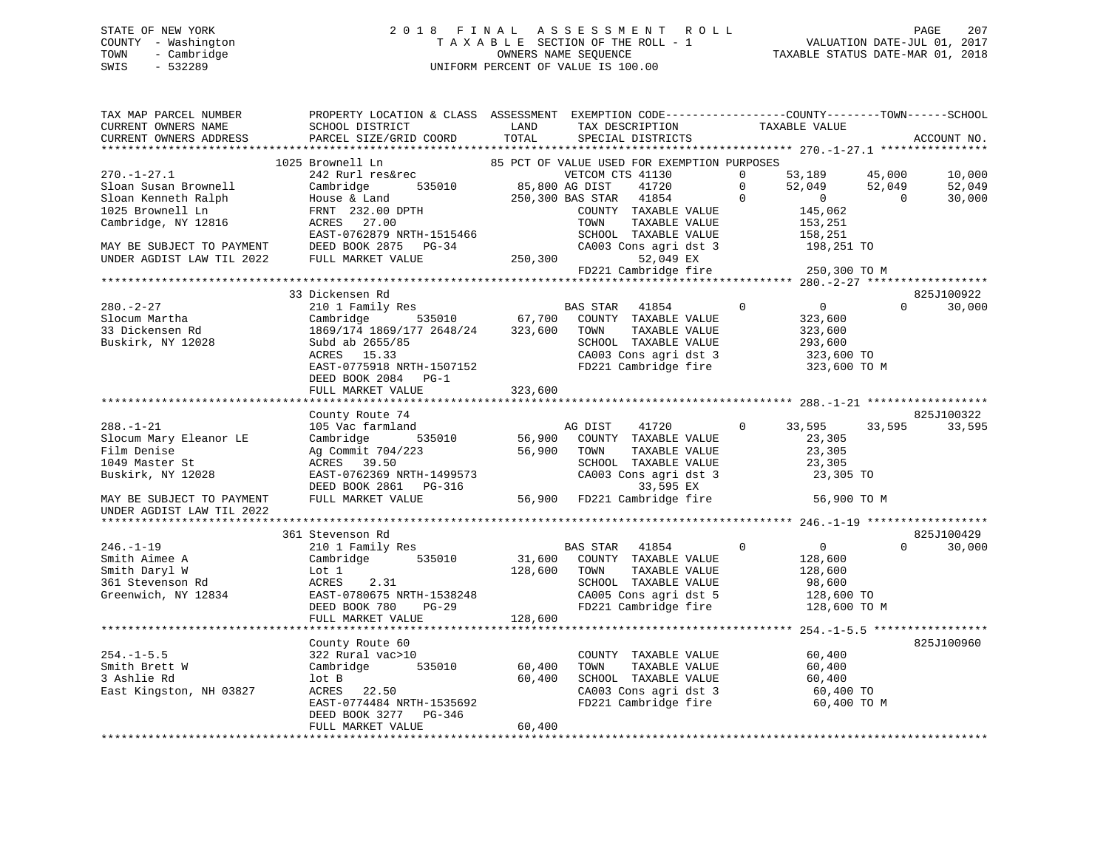# STATE OF NEW YORK 2 0 1 8 F I N A L A S S E S S M E N T R O L L PAGE 207 COUNTY - Washington T A X A B L E SECTION OF THE ROLL - 1 VALUATION DATE-JUL 01, 2017 TOWN - Cambridge OWNERS NAME SEQUENCE TAXABLE STATUS DATE-MAR 01, 2018 SWIS - 532289 UNIFORM PERCENT OF VALUE IS 100.00

| TAX MAP PARCEL NUMBER<br>CURRENT OWNERS NAME    | PROPERTY LOCATION & CLASS ASSESSMENT EXEMPTION CODE---------------COUNTY-------TOWN-----SCHOOL<br>SCHOOL DISTRICT                                                     | LAND                  | TAX DESCRIPTION                                                                        | TAXABLE VALUE              |                                   |
|-------------------------------------------------|-----------------------------------------------------------------------------------------------------------------------------------------------------------------------|-----------------------|----------------------------------------------------------------------------------------|----------------------------|-----------------------------------|
| CURRENT OWNERS ADDRESS                          | PARCEL SIZE/GRID COORD                                                                                                                                                | TOTAL                 | SPECIAL DISTRICTS                                                                      |                            | ACCOUNT NO.                       |
|                                                 |                                                                                                                                                                       |                       | 85 PCT OF VALUE USED FOR EXEMPTION PURPOSES                                            |                            |                                   |
| $270. - 1 - 27.1$                               | 1025 Brownell Ln<br>242 Rurl res&rec                                                                                                                                  |                       | VETCOM CTS 41130                                                                       | $\Omega$                   | 53,189 45,000<br>10,000           |
| Sloan Susan Brownell                            | Cambridge                                                                                                                                                             | 535010 85,800 AG DIST | 41720                                                                                  | $\Omega$                   | 52,049                            |
| Sloan Kenneth Ralph                             |                                                                                                                                                                       |                       | 250,300 BAS STAR 41854                                                                 | $\mathbf 0$                | $52,049$<br>0<br>0<br>0<br>30,000 |
| 1025 Brownell Ln                                |                                                                                                                                                                       |                       | COUNTY TAXABLE VALUE                                                                   | 145,062                    |                                   |
| Cambridge, NY 12816                             | $\begin{array}{ll}\text{House & \bar{c} \quad \text{Land}}\ \text{FRNT} & 232.00 \text{ DPTH}\ \text{ACRES} & 27.00\ \end{array}$                                     |                       | TOWN<br>TAXABLE VALUE                                                                  | 153,251                    |                                   |
|                                                 | EAST-0762879 NRTH-1515466                                                                                                                                             |                       | SCHOOL TAXABLE VALUE                                                                   | 158,251                    |                                   |
| MAY BE SUBJECT TO PAYMENT DEED BOOK 2875 PG-34  |                                                                                                                                                                       |                       | SCHOOL TAXABLE VALUE<br>CA003 Cons agri dst 3                                          |                            | $198,251$ TO                      |
| UNDER AGDIST LAW TIL 2022                       | FULL MARKET VALUE                                                                                                                                                     |                       | 250,300<br>52,049 EX                                                                   |                            |                                   |
|                                                 |                                                                                                                                                                       |                       | FD221 Cambridge fire                                                                   | 250,300 TO M               |                                   |
|                                                 |                                                                                                                                                                       |                       |                                                                                        |                            |                                   |
|                                                 | 33 Dickensen Rd                                                                                                                                                       |                       |                                                                                        |                            | 825J100922                        |
| $280. - 2 - 27$                                 | 210 1 Family Res                                                                                                                                                      |                       | BAS STAR 41854                                                                         | $\overline{0}$<br>$\Omega$ | 30,000<br>$\Omega$                |
| Slocum Martha                                   | $\begin{tabular}{lcccccc} Cambridge & & 535010 & & 67,700 & COUNTY & TAXABLE VALUE \\ 1869/174 & 1869/177 & 2648/24 & & 323,600 & Town & TAXABLE VALUE \end{tabular}$ |                       |                                                                                        |                            | 323,600                           |
| 33 Dickensen Rd                                 |                                                                                                                                                                       |                       | TAXABLE VALUE                                                                          | 323,600                    |                                   |
| Buskirk, NY 12028                               | Subd ab 2655/85                                                                                                                                                       |                       | SCHOOL TAXABLE VALUE                                                                   | 293,600                    |                                   |
|                                                 | ACRES 15.33                                                                                                                                                           |                       |                                                                                        |                            | 323,600 TO<br>323,600 TO M        |
|                                                 | EAST-0775918 NRTH-1507152                                                                                                                                             |                       | CA003 Cons agri dst 3<br>FD221 Cambridge fire                                          |                            |                                   |
|                                                 | DEED BOOK 2084 PG-1                                                                                                                                                   |                       |                                                                                        |                            |                                   |
|                                                 | FULL MARKET VALUE                                                                                                                                                     | 323,600               |                                                                                        |                            |                                   |
|                                                 |                                                                                                                                                                       |                       |                                                                                        |                            |                                   |
|                                                 | County Route 74                                                                                                                                                       |                       |                                                                                        |                            | 825J100322                        |
| $288. - 1 - 21$                                 | 105 Vac farmland                                                                                                                                                      |                       | AG DIST 41720                                                                          | 33,595<br>$\mathbf{0}$     | 33,595<br>33,595                  |
| Slocum Mary Eleanor LE                          | 535010<br>Cambridge                                                                                                                                                   |                       | 56,900 COUNTY TAXABLE VALUE<br>56,900 TOWN TAXABLE VALUE                               |                            | 23,305                            |
| Film Denise                                     | Ag Commit 704/223<br>ACRES 39.50                                                                                                                                      |                       | TAXABLE VALUE                                                                          |                            | 23,305                            |
| 1049 Master St                                  | EAST-0762369 NRTH-1499573                                                                                                                                             |                       | SCHOOL TAXABLE VALUE<br>SCHOOL TAXABLE VALUE 23,305<br>CA003 Cons agri dst 3 23,305 TO |                            | 23,305                            |
| Buskirk, NY 12028                               |                                                                                                                                                                       |                       |                                                                                        |                            |                                   |
| MAY BE SUBJECT TO PAYMENT                       | DEED BOOK 2861 PG-316<br>FULL MARKET VALUE                                                                                                                            |                       | 33,595 EX<br>56,900 FD221 Cambridge fire                                               |                            | 56,900 TO M                       |
| UNDER AGDIST LAW TIL 2022                       |                                                                                                                                                                       |                       |                                                                                        |                            |                                   |
|                                                 |                                                                                                                                                                       |                       |                                                                                        |                            |                                   |
|                                                 | 361 Stevenson Rd                                                                                                                                                      |                       |                                                                                        |                            | 825J100429                        |
| $246. - 1 - 19$                                 | 210 1 Family Res                                                                                                                                                      |                       | <b>BAS STAR 41854</b>                                                                  | $\overline{0}$<br>$\Omega$ | 30,000                            |
|                                                 | Cambridge 535010                                                                                                                                                      |                       | 31,600 COUNTY TAXABLE VALUE                                                            | 128,600                    |                                   |
| Smith Aimee A<br>Cmith Daryl W<br>Smith Daryl W | Lot 1                                                                                                                                                                 | 128,600 TOWN          | TAXABLE VALUE                                                                          | 128,600                    |                                   |
| 361 Stevenson Rd                                | ACRES<br>2.31                                                                                                                                                         |                       | SCHOOL TAXABLE VALUE                                                                   | 98,600                     |                                   |
| Greenwich, NY 12834                             | EAST-0780675 NRTH-1538248                                                                                                                                             |                       | SCHOOL TAXABLE VALUE<br>CA005 Cons agri dst 5                                          |                            |                                   |
|                                                 | $PG-29$<br>DEED BOOK 780                                                                                                                                              |                       | FD221 Cambridge fire                                                                   |                            | 128,600 TO<br>128,600 TO M        |
|                                                 | FULL MARKET VALUE                                                                                                                                                     | 128,600               |                                                                                        |                            |                                   |
|                                                 |                                                                                                                                                                       |                       |                                                                                        |                            |                                   |
|                                                 | County Route 60                                                                                                                                                       |                       |                                                                                        |                            | 825J100960                        |
| $254. -1 - 5.5$                                 | 322 Rural vac>10                                                                                                                                                      |                       | COUNTY TAXABLE VALUE                                                                   | 60,400                     |                                   |
| Smith Brett W                                   | Cambridge 535010                                                                                                                                                      | 60,400                | TOWN<br>TAXABLE VALUE                                                                  |                            | 60,400                            |
| 3 Ashlie Rd                                     |                                                                                                                                                                       | 60,400                | SCHOOL TAXABLE VALUE                                                                   |                            |                                   |
| East Kingston, NH 03827                         | $ACRES$ 22.50                                                                                                                                                         |                       | CA003 Cons agri dst 3                                                                  |                            | 60,400<br>60,400 TO               |
|                                                 | EAST-0774484 NRTH-1535692                                                                                                                                             |                       | FD221 Cambridge fire                                                                   |                            | 60,400 TO M                       |
|                                                 | DEED BOOK 3277 PG-346                                                                                                                                                 |                       |                                                                                        |                            |                                   |
|                                                 | FULL MARKET VALUE                                                                                                                                                     | 60,400                |                                                                                        |                            |                                   |
|                                                 |                                                                                                                                                                       |                       |                                                                                        |                            |                                   |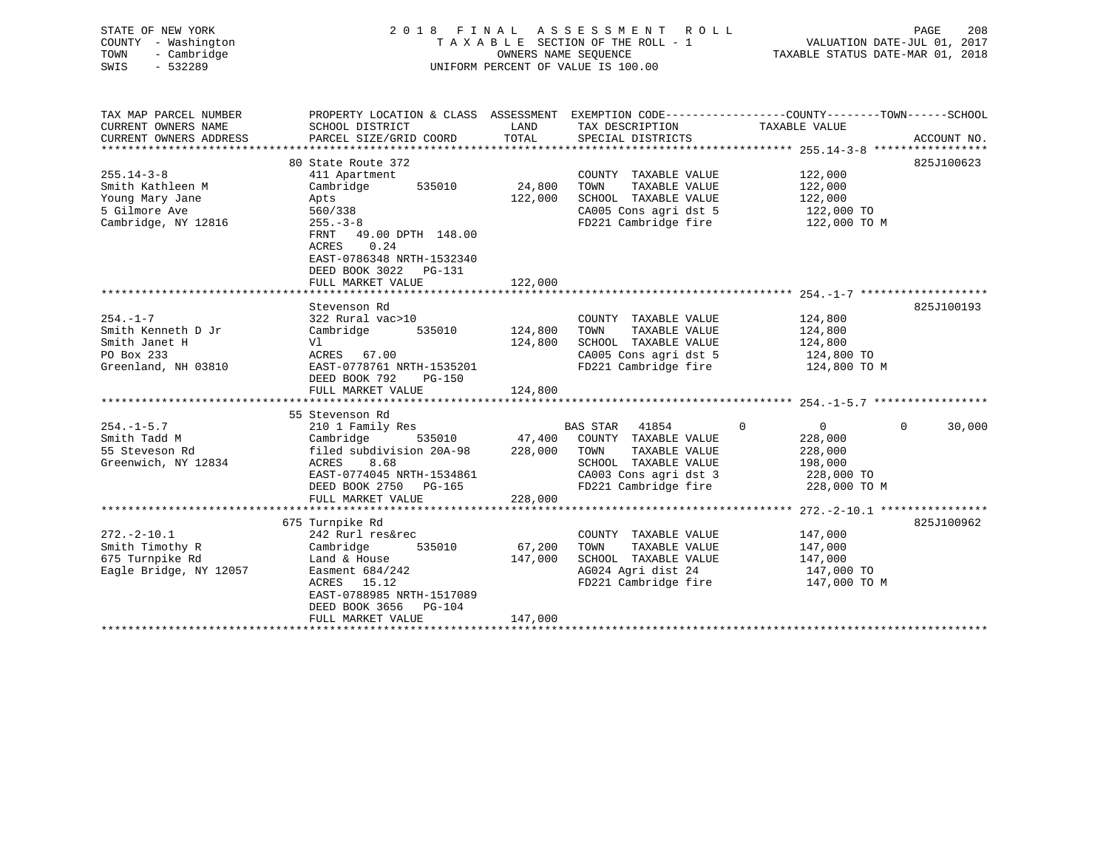| STATE OF NEW YORK      | 2 0 1 8                   | FINAL      | A S S E S S M E N T<br>R O L L     | 208<br>PAGE                                                  |
|------------------------|---------------------------|------------|------------------------------------|--------------------------------------------------------------|
| - Washington<br>COUNTY |                           |            | TAXABLE SECTION OF THE ROLL - 1    | 2017<br>VALUATION DATE-JUL 01,                               |
| - Cambridge<br>TOWN    |                           |            | OWNERS NAME SEOUENCE               | TAXABLE STATUS DATE-MAR 01, 2018                             |
| $-532289$<br>SWIS      |                           |            | UNIFORM PERCENT OF VALUE IS 100.00 |                                                              |
|                        |                           |            |                                    |                                                              |
|                        |                           |            |                                    |                                                              |
| TAX MAP PARCEL NUMBER  | PROPERTY LOCATION & CLASS | ASSESSMENT |                                    | EXEMPTION CODE-----------------COUNTY-------TOWN------SCHOOL |
| CURRENT OWNERS NAME    | SCHOOL DISTRICT           | LAND       | TAX DESCRIPTION                    | TAXABLE VALUE                                                |
| CURRENT OWNERS ADDRESS | PARCEL SIZE/GRID COORD    | TOTAL      | SPECIAL DISTRICTS                  | ACCOUNT NO.                                                  |
|                        |                           |            |                                    |                                                              |
|                        | 80 State Route 372        |            |                                    | 825J100623                                                   |
| $255.14 - 3 - 8$       | 411 Apartment             |            | COUNTY<br>TAXABLE VALUE            | 122,000                                                      |
|                        |                           |            |                                    |                                                              |
| Smith Kathleen M       | Cambridge<br>535010       | 24,800     | TOWN<br>TAXABLE VALUE              | 122,000                                                      |
| Young Mary Jane        | Apts                      | 122,000    | TAXABLE VALUE<br>SCHOOL            | 122,000                                                      |
| 5 Gilmore Ave          | 560/338                   |            | CA005 Cons agri dst 5              | 122,000 TO                                                   |
| Cambridge, NY 12816    | $255. - 3 - 8$            |            | FD221 Cambridge fire               | 122,000 TO M                                                 |
|                        | 49.00 DPTH 148.00<br>FRNT |            |                                    |                                                              |
|                        | 0.24<br>ACRES             |            |                                    |                                                              |
|                        | EAST-0786348 NRTH-1532340 |            |                                    |                                                              |
|                        | DEED BOOK 3022<br>PG-131  |            |                                    |                                                              |

|                                  | FULL MARKET VALUE          | 122,000 |                    |                       |             |              |          |            |
|----------------------------------|----------------------------|---------|--------------------|-----------------------|-------------|--------------|----------|------------|
|                                  |                            |         |                    |                       |             |              |          |            |
|                                  | Stevenson Rd               |         |                    |                       |             |              |          | 825J100193 |
| $254. -1 - 7$                    | 322 Rural vac>10           |         | COUNTY             | TAXABLE VALUE         |             | 124,800      |          |            |
| Smith Kenneth D Jr               | Cambridge<br>535010        | 124,800 | TOWN               | TAXABLE VALUE         |             | 124,800      |          |            |
| Smith Janet H                    | Vl                         | 124,800 | SCHOOL             | TAXABLE VALUE         |             | 124,800      |          |            |
| PO Box 233                       | ACRES 67.00                |         |                    | CA005 Cons agri dst 5 |             | 124,800 TO   |          |            |
| Greenland, NH 03810              | EAST-0778761 NRTH-1535201  |         |                    | FD221 Cambridge fire  |             | 124,800 TO M |          |            |
|                                  | DEED BOOK 792<br>PG-150    |         |                    |                       |             |              |          |            |
|                                  | FULL MARKET VALUE          | 124,800 |                    |                       |             |              |          |            |
|                                  |                            |         |                    |                       |             |              |          |            |
|                                  | 55 Stevenson Rd            |         |                    |                       |             | $\Omega$     |          |            |
| $254. - 1 - 5.7$<br>Smith Tadd M | 210 1 Family Res           |         | BAS STAR<br>COUNTY | 41854                 | $\mathbf 0$ |              | $\Omega$ | 30,000     |
|                                  | Cambridge<br>535010 47,400 |         |                    | TAXABLE VALUE         |             | 228,000      |          |            |
| 55 Steveson Rd                   | filed subdivision 20A-98   | 228,000 | TOWN               | TAXABLE VALUE         |             | 228,000      |          |            |
| Greenwich, NY 12834              | 8.68<br>ACRES              |         | SCHOOL             | TAXABLE VALUE         |             | 198,000      |          |            |
|                                  | EAST-0774045 NRTH-1534861  |         |                    | CA003 Cons agri dst 3 |             | 228,000 TO   |          |            |
|                                  | DEED BOOK 2750 PG-165      |         |                    | FD221 Cambridge fire  |             | 228,000 TO M |          |            |
|                                  | FULL MARKET VALUE          | 228,000 |                    |                       |             |              |          |            |
|                                  |                            |         |                    |                       |             |              |          | 825J100962 |
|                                  | 675 Turnpike Rd            |         |                    |                       |             |              |          |            |
| $272. - 2 - 10.1$                | 242 Rurl res&rec           |         | COUNTY             | TAXABLE VALUE         |             | 147,000      |          |            |
| Smith Timothy R                  | Cambridge<br>535010        | 67,200  | TOWN               | TAXABLE VALUE         |             | 147,000      |          |            |
| 675 Turnpike Rd                  | Land & House               | 147,000 | SCHOOL             | TAXABLE VALUE         |             | 147,000      |          |            |
| Eagle Bridge, NY 12057           | Easment 684/242            |         |                    | AG024 Agri dist 24    |             | 147,000 TO   |          |            |
|                                  | 15.12<br>ACRES             |         |                    | FD221 Cambridge fire  |             | 147,000 TO M |          |            |
|                                  | EAST-0788985 NRTH-1517089  |         |                    |                       |             |              |          |            |
|                                  | DEED BOOK 3656<br>PG-104   |         |                    |                       |             |              |          |            |
|                                  | FULL MARKET VALUE          | 147,000 |                    |                       |             |              |          |            |
|                                  |                            |         |                    |                       |             |              |          |            |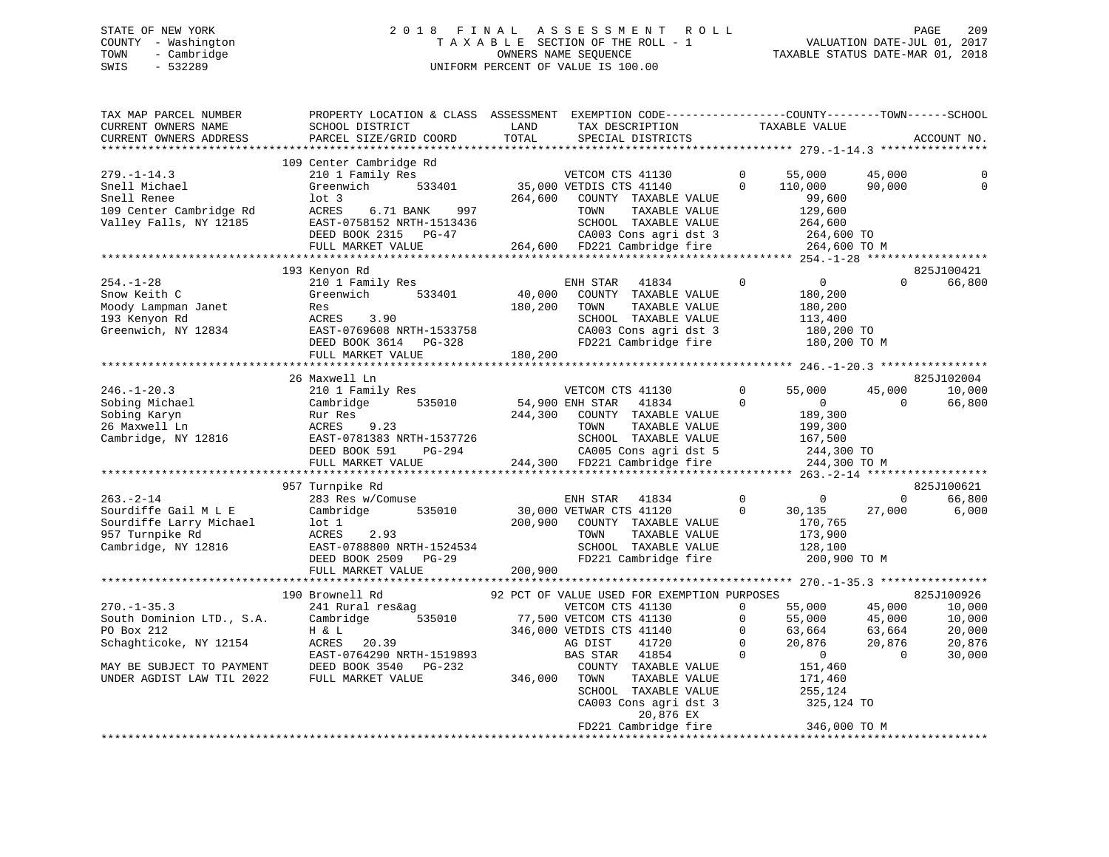# STATE OF NEW YORK 2 0 1 8 F I N A L A S S E S S M E N T R O L L PAGE 209 COUNTY - Washington T A X A B L E SECTION OF THE ROLL - 1 VALUATION DATE-JUL 01, 2017 TOWN - Cambridge OWNERS NAME SEQUENCE TAXABLE STATUS DATE-MAR 01, 2018 SWIS - 532289 UNIFORM PERCENT OF VALUE IS 100.00

| TAX MAP PARCEL NUMBER<br>CURRENT OWNERS NAME<br>CURRENT OWNERS ADDRESS                                                                           | PROPERTY LOCATION & CLASS ASSESSMENT EXEMPTION CODE----------------COUNTY-------TOWN------SCHOOL<br>SCHOOL DISTRICT<br>PARCEL SIZE/GRID COORD                                           | LAND<br>TOTAL                | TAX DESCRIPTION<br>SPECIAL DISTRICTS                                                                                                                                                                                                                                           | TAXABLE VALUE                                                   |                                                                                                                                                           | ACCOUNT NO.                                                  |
|--------------------------------------------------------------------------------------------------------------------------------------------------|-----------------------------------------------------------------------------------------------------------------------------------------------------------------------------------------|------------------------------|--------------------------------------------------------------------------------------------------------------------------------------------------------------------------------------------------------------------------------------------------------------------------------|-----------------------------------------------------------------|-----------------------------------------------------------------------------------------------------------------------------------------------------------|--------------------------------------------------------------|
|                                                                                                                                                  |                                                                                                                                                                                         |                              |                                                                                                                                                                                                                                                                                |                                                                 |                                                                                                                                                           |                                                              |
| 279. -1-14.3<br>Snell Michael<br>Snell Renee<br>109 Center Cambridge Rd<br>Valley Falls, NY 12185                                                | 109 Center Cambridge Rd<br>210 1 Family Res<br>533401<br>Greenwich<br>$1$ ot $3$<br>ACRES<br>6.71 BANK<br>997<br>EAST-0758152 NRTH-1513436<br>DEED BOOK 2315 PG-47<br>FULL MARKET VALUE | 264,600                      | VETCOM CTS 41130<br>35,000 VETDIS CTS 41140<br>COUNTY TAXABLE VALUE<br>TOWN<br>TAXABLE VALUE<br>SCHOOL TAXABLE VALUE<br>CA003 Cons agri dst 3<br>CAUO3 Cons agri dst 3<br>264,600 FD221 Cambridge fire                                                                         | 0<br>$\Omega$                                                   | 55,000<br>45,000<br>110,000<br>90,000<br>99,600<br>129,600<br>264,600<br>264,600 TO<br>264,600 TO M                                                       |                                                              |
|                                                                                                                                                  |                                                                                                                                                                                         |                              |                                                                                                                                                                                                                                                                                |                                                                 |                                                                                                                                                           |                                                              |
|                                                                                                                                                  | 193 Kenyon Rd                                                                                                                                                                           |                              |                                                                                                                                                                                                                                                                                |                                                                 |                                                                                                                                                           | 825J100421                                                   |
| 254.-1-28<br>Snow Keith C<br>Moody Lampman Janet<br>193 Kenyon Rd<br>Greenwich, NY 12834                                                         | 210 1 Family Res<br>533401<br>Greenwich<br>Res<br>ACRES 3.90<br>EAST-0769608 NRTH-1533758<br>DEED BOOK 3614 PG-328<br>FULL MARKET VALUE                                                 | 40,000<br>180,200<br>180,200 | ENH STAR 41834<br>COUNTY TAXABLE VALUE<br>TAXABLE VALUE<br>TOWN<br>SCHOOL TAXABLE VALUE<br>CA003 Cons agri dst 3<br>FD221 Cambridge fire                                                                                                                                       | $\overline{0}$                                                  | $\sim$ 0<br>$\Omega$<br>180,200<br>180,200<br>113,400<br>180,200 TO<br>180,200 TO M                                                                       | 66,800                                                       |
|                                                                                                                                                  |                                                                                                                                                                                         |                              |                                                                                                                                                                                                                                                                                |                                                                 |                                                                                                                                                           |                                                              |
|                                                                                                                                                  | 26 Maxwell Ln                                                                                                                                                                           |                              |                                                                                                                                                                                                                                                                                |                                                                 |                                                                                                                                                           | 825J102004                                                   |
| $246. - 1 - 20.3$<br>Sobing Michael<br>Sobing Karyn<br>26 Maxwell Ln<br>26 Maxwell Ln<br>Cambridge, NY 12816                                     | 210 1 Family Res<br>535010<br>Cambridge<br>Rur Res<br>ACRES<br>9.23<br>EAST-0781383 NRTH-1537726<br>DEED BOOK 591<br>PG-294<br>FULL MARKET VALUE                                        | 244,300                      | VETCOM CTS 41130<br>54,900 ENH STAR<br>41834<br>COUNTY TAXABLE VALUE<br>TOWN<br>TAXABLE VALUE<br>SCHOOL TAXABLE VALUE<br>CA005 Cons agri dst 5<br>244,300 FD221 Cambridge fire                                                                                                 | $\Omega$<br>$\Omega$                                            | 55,000<br>45,000<br>$\mathbf{0}$<br>$\Omega$<br>189,300<br>199,300<br>167,500<br>244,300 TO<br>244,300 TO M                                               | 10,000<br>66,800                                             |
|                                                                                                                                                  |                                                                                                                                                                                         |                              |                                                                                                                                                                                                                                                                                |                                                                 |                                                                                                                                                           |                                                              |
| $263 - 2 - 14$<br>Sourdiffe Gail M L E<br>Sourdiffe Larry Michael<br>957 Turnpike Rd<br>Cambridge, NY 12816                                      | 957 Turnpike Rd<br>283 Res w/Comuse<br>535010<br>Cambridge<br>lot 1<br>ACRES<br>2.93<br>EAST-0788800 NRTH-1524534<br>DEED BOOK 2509 PG-29<br>FULL MARKET VALUE                          | 200,900<br>200,900           | ENH STAR 41834<br>30,000 VETWAR CTS 41120<br>COUNTY TAXABLE VALUE<br>TAXABLE VALUE<br>TOWN<br>SCHOOL TAXABLE VALUE<br>FD221 Cambridge fire                                                                                                                                     | $\mathbf 0$<br>$\Omega$                                         | $\overline{0}$<br>$\mathbf{0}$<br>30,135<br>27,000<br>170,765<br>173,900<br>128,100<br>200,900 TO M                                                       | 825J100621<br>66,800<br>6,000                                |
|                                                                                                                                                  |                                                                                                                                                                                         |                              |                                                                                                                                                                                                                                                                                |                                                                 |                                                                                                                                                           |                                                              |
| $270. - 1 - 35.3$<br>South Dominion LTD., S.A.<br>PO Box 212<br>Schaghticoke, NY 12154<br>MAY BE SUBJECT TO PAYMENT<br>UNDER AGDIST LAW TIL 2022 | 190 Brownell Rd<br>241 Rural res&ag<br>Cambridge<br>535010<br>H & L<br>ACRES 20.39<br>EAST-0764290 NRTH-1519893<br>DEED BOOK 3540 PG-232<br>FULL MARKET VALUE                           | 346,000                      | 92 PCT OF VALUE USED FOR EXEMPTION PURPOSES<br>VETCOM CTS 41130<br>77,500 VETCOM CTS 41130<br>346,000 VETDIS CTS 41140<br>41720<br>AG DIST<br>BAS STAR<br>41854<br>COUNTY TAXABLE VALUE<br>TOWN<br>TAXABLE VALUE<br>SCHOOL TAXABLE VALUE<br>CA003 Cons agri dst 3<br>20,876 EX | $\mathbf{0}$<br>$\mathbf 0$<br>$\Omega$<br>$\Omega$<br>$\Omega$ | 55,000<br>45,000<br>55,000<br>45,000<br>63,664<br>63,664<br>20,876<br>20,876<br>$\overline{0}$<br>$\Omega$<br>151,460<br>171,460<br>255,124<br>325,124 TO | 825J100926<br>10,000<br>10,000<br>20,000<br>20,876<br>30,000 |
|                                                                                                                                                  |                                                                                                                                                                                         |                              | FD221 Cambridge fire                                                                                                                                                                                                                                                           |                                                                 | 346,000 TO M                                                                                                                                              |                                                              |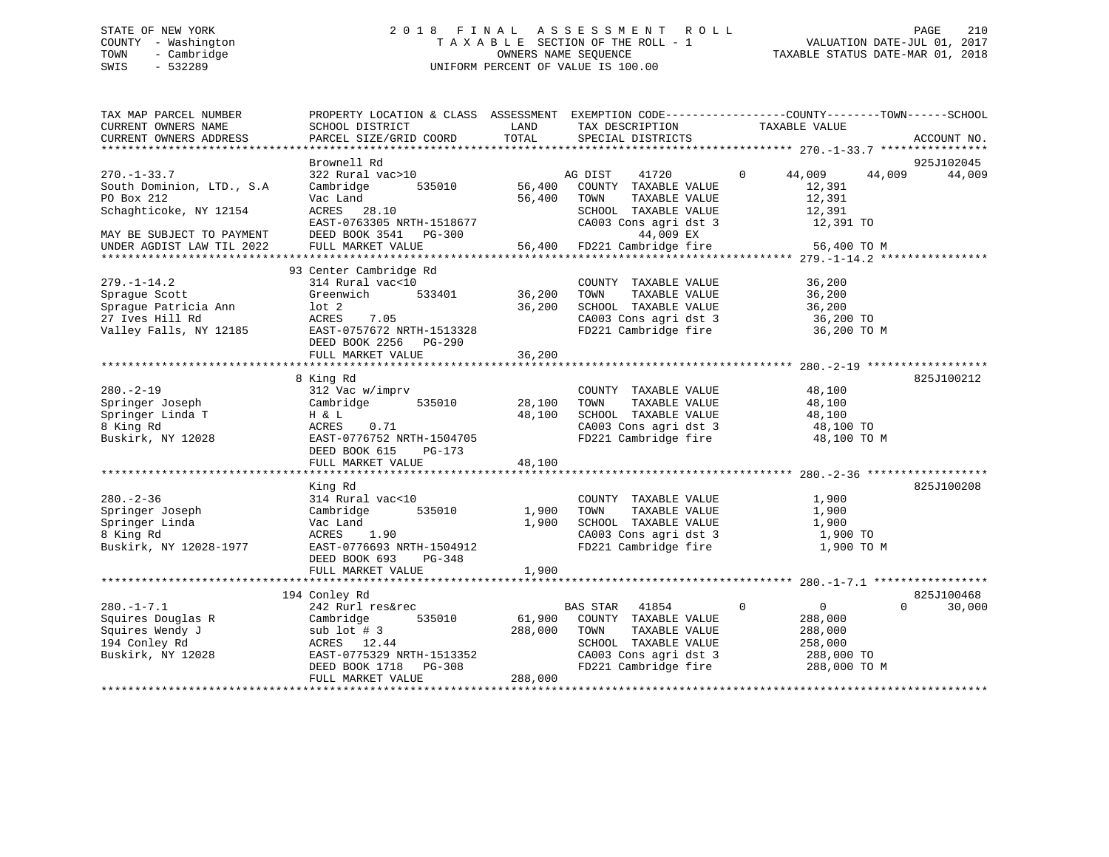# STATE OF NEW YORK 2 0 1 8 F I N A L A S S E S S M E N T R O L L PAGE 210 COUNTY - Washington T A X A B L E SECTION OF THE ROLL - 1 VALUATION DATE-JUL 01, 2017 TOWN - Cambridge OWNERS NAME SEQUENCE TAXABLE STATUS DATE-MAR 01, 2018 SWIS - 532289 UNIFORM PERCENT OF VALUE IS 100.00

| TAX MAP PARCEL NUMBER<br>CURRENT OWNERS NAME                                                                   | PROPERTY LOCATION & CLASS ASSESSMENT EXEMPTION CODE----------------COUNTY-------TOWN------SCHOOL<br>SCHOOL DISTRICT                                                      | LAND                         | TAX DESCRIPTION                                                                                                                                                  | TAXABLE VALUE                                                     |                             |
|----------------------------------------------------------------------------------------------------------------|--------------------------------------------------------------------------------------------------------------------------------------------------------------------------|------------------------------|------------------------------------------------------------------------------------------------------------------------------------------------------------------|-------------------------------------------------------------------|-----------------------------|
| CURRENT OWNERS ADDRESS                                                                                         | PARCEL SIZE/GRID COORD                                                                                                                                                   | TOTAL                        | SPECIAL DISTRICTS                                                                                                                                                |                                                                   | ACCOUNT NO.                 |
|                                                                                                                | Brownell Rd                                                                                                                                                              |                              |                                                                                                                                                                  |                                                                   | 925J102045                  |
| $270. - 1 - 33.7$<br>South Dominion, LTD., S.A                                                                 | 322 Rural vac>10<br>Cambridge 535010                                                                                                                                     | 56,400                       | 41720<br>AG DIST<br>COUNTY TAXABLE VALUE                                                                                                                         | $0 \t 44,009 \t 44,009$<br>12,391                                 | 44,009                      |
| PO Box 212<br>Schaghticoke, NY 12154                                                                           | Vac Land<br>ACRES 28.10<br>EAST-0763305 NRTH-1518677                                                                                                                     | 56,400                       | TOWN<br>TAXABLE VALUE<br>SCHOOL TAXABLE VALUE<br>SCHOOL TAXABLE VALUE<br>CA003 Cons agri dst 3<br>44,009 EX                                                      | 12,391<br>12,391<br>12,39⊥<br>12,391 TO                           |                             |
| MAY BE SUBJECT TO PAYMENT<br>UNDER AGDIST LAW TIL 2022                                                         | DEED BOOK 3541 PG-300 44,009 EX<br>FULL MARKET VALUE 56,400 FD221 Cambridge fire                                                                                         |                              |                                                                                                                                                                  | 56,400 TO M                                                       |                             |
|                                                                                                                | 93 Center Cambridge Rd                                                                                                                                                   |                              |                                                                                                                                                                  |                                                                   |                             |
| $279. - 1 - 14.2$<br>Sprague Scott                                                                             | 314 Rural vac<10 $\overline{36,200}$ COUNTY<br>Greenwich 533401 36,200 TOWN                                                                                              |                              | COUNTY TAXABLE VALUE 36,200<br>TAXABLE VALUE                                                                                                                     | 36,200                                                            |                             |
| Sprague Patricia Ann<br>27 Ives Hill Rd<br>27 Ives Hill Rd<br>Valley Falls, NY 12185 EAST-0757672 NRTH-1513328 | lot 2<br>ACRES 7.05                                                                                                                                                      | 36,200                       | SCHOOL TAXABLE VALUE<br>CA003 Cons agri dst 3<br>FD221 Cambridge fire                                                                                            | 36,200<br>36,200 TO<br>36,200 TO M                                |                             |
|                                                                                                                | DEED BOOK 2256 PG-290<br>FULL MARKET VALUE                                                                                                                               | 36,200                       |                                                                                                                                                                  |                                                                   |                             |
|                                                                                                                |                                                                                                                                                                          |                              |                                                                                                                                                                  |                                                                   |                             |
| $280. - 2 - 19$                                                                                                | 8 King Rd<br>312 Vac w/imprv                                                                                                                                             | 28,100                       | COUNTY TAXABLE VALUE                                                                                                                                             | 48,100                                                            | 825J100212                  |
| Springer Joseph<br>Springer Linda T                                                                            | Cambridge 535010<br>H & L                                                                                                                                                | 48,100                       | TOWN<br>TAXABLE VALUE<br>SCHOOL TAXABLE VALUE 48,100<br>CA003 Cons agri dst 3 48,100 TO                                                                          | 48,100                                                            |                             |
| 8 King Rd<br>Buskirk, NY 12028                                                                                 | 0.71<br>ACRES<br>EAST-0776752 NRTH-1504705<br>DEED BOOK 615 PG-173                                                                                                       |                              | FD221 Cambridge fire 48,100 TO M                                                                                                                                 |                                                                   |                             |
|                                                                                                                | FULL MARKET VALUE                                                                                                                                                        | 48,100                       |                                                                                                                                                                  |                                                                   |                             |
|                                                                                                                | King Rd                                                                                                                                                                  |                              |                                                                                                                                                                  |                                                                   | 825J100208                  |
| $280 - 2 - 36$<br>Springer Joseph<br>Springer Linda<br>8 King Rd<br>Buskirk, NY 12028-1977                     | 314 Rural vac<10<br>Cambridge<br>Vac Land<br>ACRES 1.90<br>EAST-0776693 NRTH-1504912<br>DEED BOOK 693 PG-348                                                             | 535010 1,900<br>1,900        | COUNTY TAXABLE VALUE<br>TAXABLE VALUE<br>TOWN<br>SCHOOL TAXABLE VALUE<br>SCHOOL TAXABLE VALUE 1,900<br>CA003 Cons agri dst 3 1,900 TO<br>FD221 Cambridge fire    | 1,900<br>1,900<br>1,900<br>1,900 TO M                             |                             |
|                                                                                                                | FULL MARKET VALUE                                                                                                                                                        | 1,900                        |                                                                                                                                                                  |                                                                   |                             |
|                                                                                                                | 194 Conley Rd                                                                                                                                                            |                              |                                                                                                                                                                  |                                                                   | 825J100468                  |
| $280. -1 - 7.1$<br>Squires Douglas R<br>Squires Wendy J<br>194 Conley Rd<br>Buskirk, NY 12028                  | 242 Rurl res&rec<br>535010<br>Cambridge<br>sub lot $# 3$<br>ACRES 12.44<br>EAST-0775329 NRTH-1513352<br>DEED BOOK 1718 PG-308<br>FULL MARKET WALLER<br>FULL MARKET VALUE | 61,900<br>288,000<br>288,000 | BAS STAR 41854<br>COUNTY TAXABLE VALUE<br>TAXABLE VALUE<br>TOWN<br>SCHOOL TAXABLE VALUE<br>CA003 Cons agri dst 3 288,000 TO<br>FD221 Cambridge fire 288,000 TO M | $\overline{0}$<br>$\overline{0}$<br>288,000<br>288,000<br>258,000 | 30,000<br>$0 \qquad \qquad$ |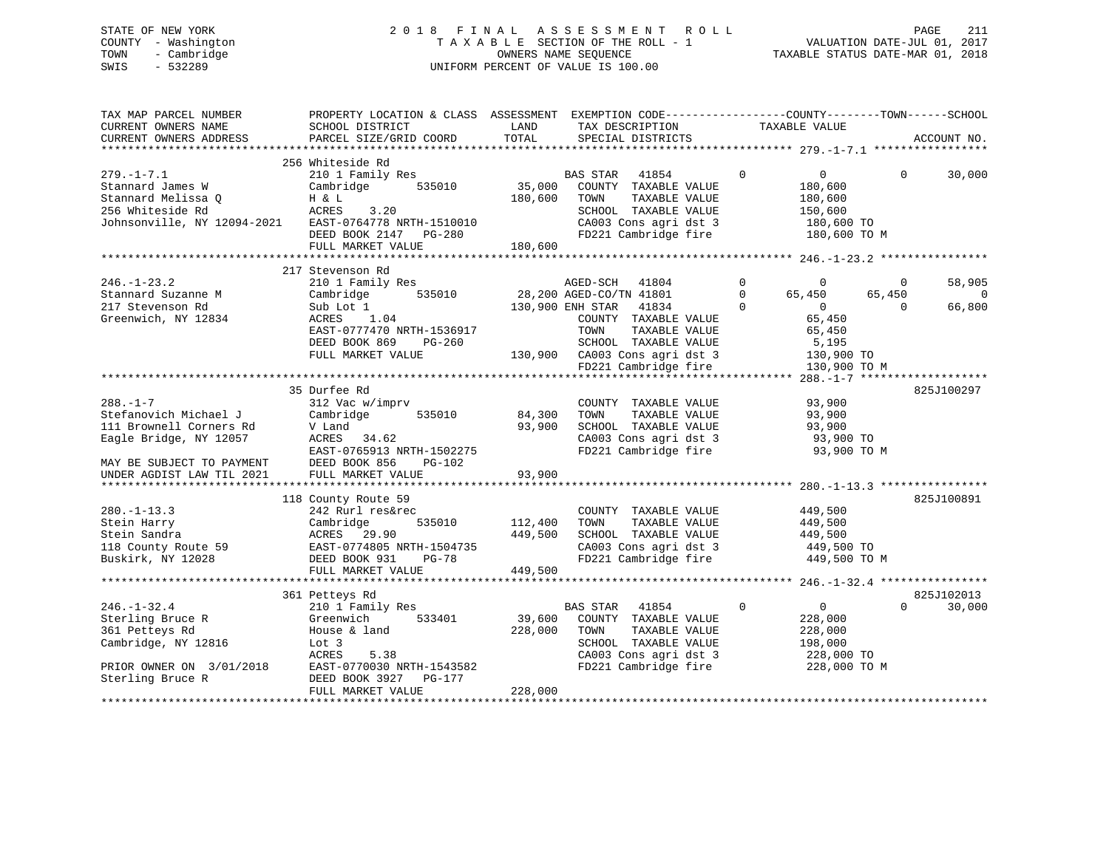# STATE OF NEW YORK 2 0 1 8 F I N A L A S S E S S M E N T R O L L PAGE 211 COUNTY - Washington T A X A B L E SECTION OF THE ROLL - 1 VALUATION DATE-JUL 01, 2017 TOWN - Cambridge OWNERS NAME SEQUENCE TAXABLE STATUS DATE-MAR 01, 2018 SWIS - 532289 UNIFORM PERCENT OF VALUE IS 100.00

| TAX MAP PARCEL NUMBER<br>CURRENT OWNERS NAME<br>CURRENT OWNERS ADDRESS                                                         | PROPERTY LOCATION & CLASS ASSESSMENT<br>SCHOOL DISTRICT<br>PARCEL SIZE/GRID COORD                                                                                   | LAND<br>TOTAL                 | EXEMPTION CODE----------------COUNTY-------TOWN------SCHOOL<br>TAX DESCRIPTION<br>SPECIAL DISTRICTS                                                                                | TAXABLE VALUE                                                                                                       |                                | ACCOUNT NO.                  |
|--------------------------------------------------------------------------------------------------------------------------------|---------------------------------------------------------------------------------------------------------------------------------------------------------------------|-------------------------------|------------------------------------------------------------------------------------------------------------------------------------------------------------------------------------|---------------------------------------------------------------------------------------------------------------------|--------------------------------|------------------------------|
|                                                                                                                                |                                                                                                                                                                     |                               |                                                                                                                                                                                    |                                                                                                                     |                                |                              |
| $279. - 1 - 7.1$<br>Stannard James W<br>Stannard Melissa O<br>256 Whiteside Rd<br>Johnsonville, NY 12094-2021                  | 256 Whiteside Rd<br>210 1 Family Res<br>Cambridge<br>535010<br>H & L<br>ACRES<br>3.20<br>EAST-0764778 NRTH-1510010<br>DEED BOOK 2147 PG-280                         | 35,000<br>180,600             | BAS STAR 41854<br>COUNTY TAXABLE VALUE<br>TOWN<br>TAXABLE VALUE<br>SCHOOL TAXABLE VALUE<br>CA003 Cons agri dst 3<br>FD221 Cambridge fire                                           | $\mathbf 0$<br>$\overline{0}$<br>180,600<br>180,600<br>150,600<br>180,600 TO<br>180,600 TO M                        | $\Omega$                       | 30,000                       |
|                                                                                                                                | FULL MARKET VALUE                                                                                                                                                   | 180,600                       |                                                                                                                                                                                    |                                                                                                                     |                                |                              |
|                                                                                                                                |                                                                                                                                                                     |                               |                                                                                                                                                                                    |                                                                                                                     |                                |                              |
| $246. - 1 - 23.2$<br>Stannard Suzanne M<br>217 Stevenson Rd<br>Greenwich, NY 12834                                             | 217 Stevenson Rd<br>210 1 Family Res<br>Cambridge<br>535010<br>Sub Lot 1<br>ACRES 1.04<br>EAST-0777470 NRTH-1536917<br>DEED BOOK 869<br>PG-260<br>FULL MARKET VALUE |                               | AGED-CO/TN 41801<br>28,200 AGED-CO/TN 41801<br>130,900 ENH STAR<br>41834<br>COUNTY TAXABLE VALUE<br>TOWN<br>TAXABLE VALUE<br>SCHOOL TAXABLE VALUE<br>130,900 CA003 Cons agri dst 3 | $\Omega$<br>$\Omega$<br>$\Omega$<br>65,450<br>$\Omega$<br>$\overline{0}$<br>65,450<br>65,450<br>5,195<br>130,900 TO | $\Omega$<br>65,450<br>$\Omega$ | 58,905<br>$\Omega$<br>66,800 |
|                                                                                                                                |                                                                                                                                                                     |                               | FD221 Cambridge fire                                                                                                                                                               | 130,900 TO M                                                                                                        |                                |                              |
|                                                                                                                                |                                                                                                                                                                     |                               |                                                                                                                                                                                    |                                                                                                                     |                                |                              |
| $288. - 1 - 7$<br>Stefanovich Michael J<br>111 Brownell Corners Rd<br>Eagle Bridge, NY 12057<br>MAY BE SUBJECT TO PAYMENT      | 35 Durfee Rd<br>312 Vac w/imprv<br>Cambridge<br>535010<br>V Land<br>ACRES 34.62<br>EAST-0765913 NRTH-1502275<br>DEED BOOK 856<br>PG-102                             | 84,300<br>93,900              | COUNTY TAXABLE VALUE<br>TOWN<br>TAXABLE VALUE<br>SCHOOL TAXABLE VALUE<br>CA003 Cons agri dst 3<br>FD221 Cambridge fire                                                             | 93,900<br>93,900<br>93,900<br>93,900 TO<br>93,900 TO M                                                              |                                | 825J100297                   |
| UNDER AGDIST LAW TIL 2021                                                                                                      | FULL MARKET VALUE                                                                                                                                                   | 93,900                        |                                                                                                                                                                                    |                                                                                                                     |                                |                              |
| $280. - 1 - 13.3$<br>Stein Harry<br>Stein Sandra<br>118 County Route 59<br>Buskirk, NY 12028                                   | 118 County Route 59<br>242 Rurl res&rec<br>Cambridge<br>535010<br>ACRES 29.90<br>EAST-0774805 NRTH-1504735<br>DEED BOOK 931<br><b>PG-78</b><br>FULL MARKET VALUE    | 112,400<br>449,500<br>449,500 | COUNTY TAXABLE VALUE<br>TOWN<br>TAXABLE VALUE<br>SCHOOL TAXABLE VALUE<br>CA003 Cons agri dst 3<br>FD221 Cambridge fire                                                             | 449,500<br>449,500<br>449,500<br>449,500 TO<br>449,500 TO M                                                         |                                | 825J100891                   |
|                                                                                                                                |                                                                                                                                                                     |                               |                                                                                                                                                                                    |                                                                                                                     |                                |                              |
| $246. - 1 - 32.4$<br>Sterling Bruce R<br>361 Petteys Rd<br>Cambridge, NY 12816<br>PRIOR OWNER ON 3/01/2018<br>Sterling Bruce R | 361 Petteys Rd<br>210 1 Family Res<br>Greenwich<br>533401<br>House & land<br>Lot 3<br>ACRES<br>5.38<br>EAST-0770030 NRTH-1543582<br>DEED BOOK 3927<br>PG-177        | 39,600<br>228,000             | BAS STAR 41854<br>COUNTY TAXABLE VALUE<br>TOWN<br>TAXABLE VALUE<br>SCHOOL TAXABLE VALUE<br>CA003 Cons agri dst 3<br>FD221 Cambridge fire                                           | $\overline{0}$<br>$\Omega$<br>228,000<br>228,000<br>198,000<br>228,000 TO<br>228,000 TO M                           | $\Omega$                       | 825J102013<br>30,000         |
|                                                                                                                                | FULL MARKET VALUE                                                                                                                                                   | 228,000                       |                                                                                                                                                                                    |                                                                                                                     |                                |                              |
|                                                                                                                                |                                                                                                                                                                     |                               |                                                                                                                                                                                    |                                                                                                                     |                                |                              |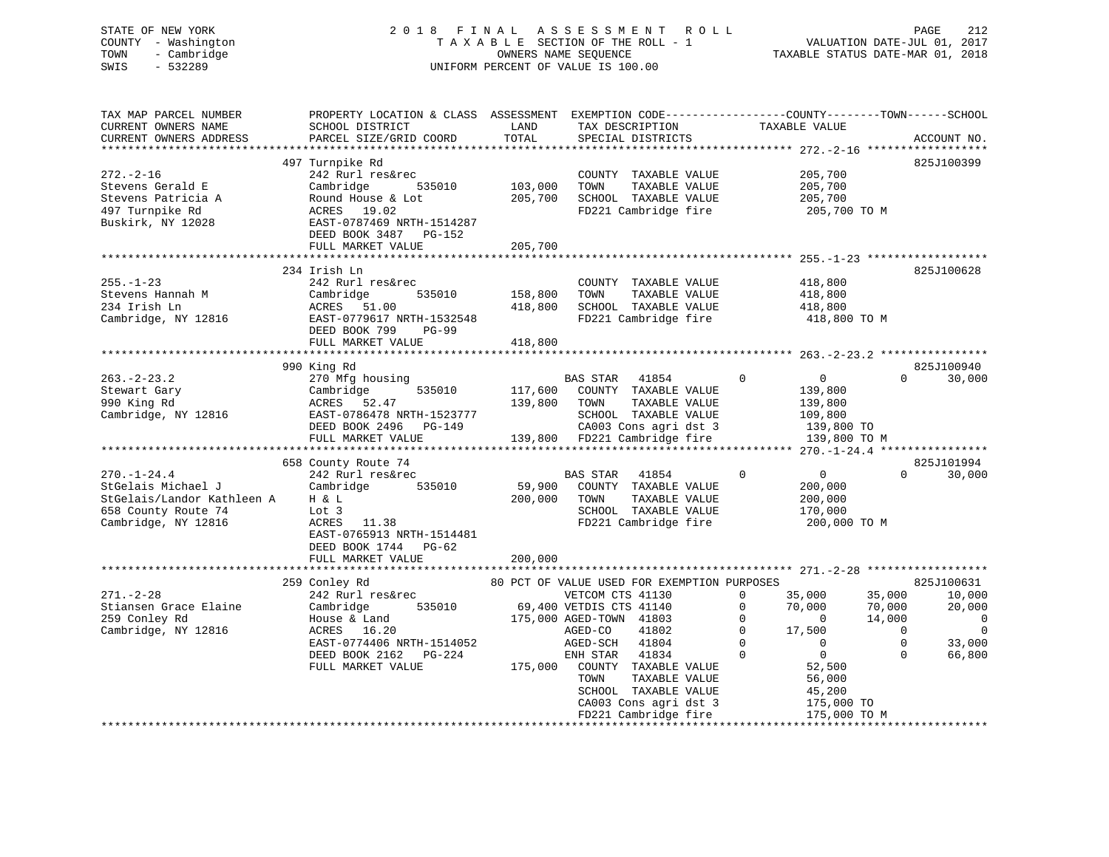# STATE OF NEW YORK 2 0 1 8 F I N A L A S S E S S M E N T R O L L PAGE 212 COUNTY - Washington T A X A B L E SECTION OF THE ROLL - 1 VALUATION DATE-JUL 01, 2017 TOWN - Cambridge OWNERS NAME SEQUENCE TAXABLE STATUS DATE-MAR 01, 2018 SWIS - 532289 UNIFORM PERCENT OF VALUE IS 100.00

| TAX MAP PARCEL NUMBER<br>CURRENT OWNERS NAME<br>CURRENT OWNERS ADDRESS                                              | PROPERTY LOCATION & CLASS ASSESSMENT<br>SCHOOL DISTRICT<br>PARCEL SIZE/GRID COORD                                                                                         | LAND<br>TOTAL                 | EXEMPTION CODE-----------------COUNTY-------TOWN------SCHOOL<br>TAX DESCRIPTION<br>SPECIAL DISTRICTS                                                                                                                                                                                                          | TAXABLE VALUE                                                                                                                                                                                                | ACCOUNT NO.                                                                                                                                                 |
|---------------------------------------------------------------------------------------------------------------------|---------------------------------------------------------------------------------------------------------------------------------------------------------------------------|-------------------------------|---------------------------------------------------------------------------------------------------------------------------------------------------------------------------------------------------------------------------------------------------------------------------------------------------------------|--------------------------------------------------------------------------------------------------------------------------------------------------------------------------------------------------------------|-------------------------------------------------------------------------------------------------------------------------------------------------------------|
|                                                                                                                     |                                                                                                                                                                           |                               |                                                                                                                                                                                                                                                                                                               |                                                                                                                                                                                                              |                                                                                                                                                             |
| $272. - 2 - 16$<br>Stevens Gerald E<br>Stevens Patricia A<br>497 Turnpike Rd<br>Buskirk, NY 12028                   | 497 Turnpike Rd<br>242 Rurl res&rec<br>Cambridge<br>535010<br>Round House & Lot<br>ACRES 19.02<br>EAST-0787469 NRTH-1514287<br>DEED BOOK 3487 PG-152                      | 103,000<br>205,700            | COUNTY TAXABLE VALUE<br>TOWN<br>TAXABLE VALUE<br>SCHOOL TAXABLE VALUE<br>FD221 Cambridge fire                                                                                                                                                                                                                 | 205,700<br>205,700<br>205,700<br>205,700 TO M                                                                                                                                                                | 825J100399                                                                                                                                                  |
|                                                                                                                     | FULL MARKET VALUE                                                                                                                                                         | 205,700                       |                                                                                                                                                                                                                                                                                                               |                                                                                                                                                                                                              |                                                                                                                                                             |
|                                                                                                                     |                                                                                                                                                                           |                               |                                                                                                                                                                                                                                                                                                               |                                                                                                                                                                                                              |                                                                                                                                                             |
| $255. - 1 - 23$<br>Stevens Hannah M<br>234 Irish Ln<br>Cambridge, NY 12816                                          | 234 Irish Ln<br>242 Rurl res&rec<br>535010<br>Cambridge<br>ACRES 51.00<br>EAST-0779617 NRTH-1532548<br>DEED BOOK 799<br>$PG-99$<br>FULL MARKET VALUE                      | 158,800<br>418,800<br>418,800 | COUNTY TAXABLE VALUE<br>TAXABLE VALUE<br>TOWN<br>SCHOOL TAXABLE VALUE<br>FD221 Cambridge fire                                                                                                                                                                                                                 | 418,800<br>418,800<br>418,800<br>418,800 TO M                                                                                                                                                                | 825J100628                                                                                                                                                  |
|                                                                                                                     |                                                                                                                                                                           |                               |                                                                                                                                                                                                                                                                                                               |                                                                                                                                                                                                              |                                                                                                                                                             |
|                                                                                                                     | 990 King Rd                                                                                                                                                               |                               |                                                                                                                                                                                                                                                                                                               |                                                                                                                                                                                                              | 825J100940                                                                                                                                                  |
| $263 - 2 - 23.2$<br>Stewart Gary<br>990 King Rd<br>Cambridge, NY 12816                                              | 270 Mfg housing<br>Cambridge<br>535010<br>ACRES 52.47<br>EAST-0786478 NRTH-1523777<br>DEED BOOK 2496 PG-149                                                               | 117,600<br>139,800            | BAS STAR 41854<br>COUNTY TAXABLE VALUE<br>TOWN<br>TAXABLE VALUE<br>SCHOOL TAXABLE VALUE<br>CA003 Cons agri dst 3                                                                                                                                                                                              | $\overline{0}$<br>$\overline{0}$<br>139,800<br>139,800<br>109,800<br>139,800 TO                                                                                                                              | $\Omega$<br>30,000                                                                                                                                          |
|                                                                                                                     | FULL MARKET VALUE                                                                                                                                                         |                               | 139,800 FD221 Cambridge fire                                                                                                                                                                                                                                                                                  | 139,800 TO M                                                                                                                                                                                                 |                                                                                                                                                             |
|                                                                                                                     |                                                                                                                                                                           |                               |                                                                                                                                                                                                                                                                                                               |                                                                                                                                                                                                              |                                                                                                                                                             |
| $270. - 1 - 24.4$<br>StGelais Michael J<br>StGelais/Landor Kathleen A<br>658 County Route 74<br>Cambridge, NY 12816 | 658 County Route 74<br>242 Rurl res&rec<br>Cambridge<br>535010<br>H & L<br>Lot 3<br>ACRES 11.38<br>EAST-0765913 NRTH-1514481<br>DEED BOOK 1744 PG-62<br>FULL MARKET VALUE | 59,900<br>200,000<br>200,000  | BAS STAR<br>41854<br>COUNTY TAXABLE VALUE<br>TAXABLE VALUE<br>TOWN<br>SCHOOL TAXABLE VALUE<br>FD221 Cambridge fire                                                                                                                                                                                            | $\overline{0}$<br>0<br>200,000<br>200,000<br>170,000<br>200,000 TO M                                                                                                                                         | 825J101994<br>0<br>30,000                                                                                                                                   |
|                                                                                                                     |                                                                                                                                                                           |                               |                                                                                                                                                                                                                                                                                                               |                                                                                                                                                                                                              |                                                                                                                                                             |
| $271. - 2 - 28$<br>Stiansen Grace Elaine<br>259 Conley Rd<br>Cambridge, NY 12816                                    | 259 Conley Rd<br>242 Rurl res&rec<br>535010<br>Cambridge<br>House & Land<br>ACRES 16.20<br>EAST-0774406 NRTH-1514052<br>DEED BOOK 2162<br>PG-224<br>FULL MARKET VALUE     | 175,000                       | 80 PCT OF VALUE USED FOR EXEMPTION PURPOSES<br>VETCOM CTS 41130<br>69,400 VETDIS CTS 41140<br>175,000 AGED-TOWN 41803<br>AGED-CO<br>41802<br>AGED-SCH<br>41804<br>41834<br>ENH STAR<br>COUNTY TAXABLE VALUE<br>TAXABLE VALUE<br>TOWN<br>SCHOOL TAXABLE VALUE<br>CA003 Cons agri dst 3<br>FD221 Cambridge fire | $\Omega$<br>35,000<br>70,000<br>$\Omega$<br>$\Omega$<br>$\Omega$<br>$\mathbf 0$<br>17,500<br>$\Omega$<br>$\mathbf{0}$<br>$\mathbf 0$<br>$\Omega$<br>52,500<br>56,000<br>45,200<br>175,000 TO<br>175,000 TO M | 825J100631<br>35,000<br>10,000<br>70,000<br>20,000<br>14,000<br>$\overline{0}$<br>$\Omega$<br>$\overline{0}$<br>$\mathbf 0$<br>33,000<br>$\Omega$<br>66,800 |
|                                                                                                                     | **************************************                                                                                                                                    |                               |                                                                                                                                                                                                                                                                                                               |                                                                                                                                                                                                              |                                                                                                                                                             |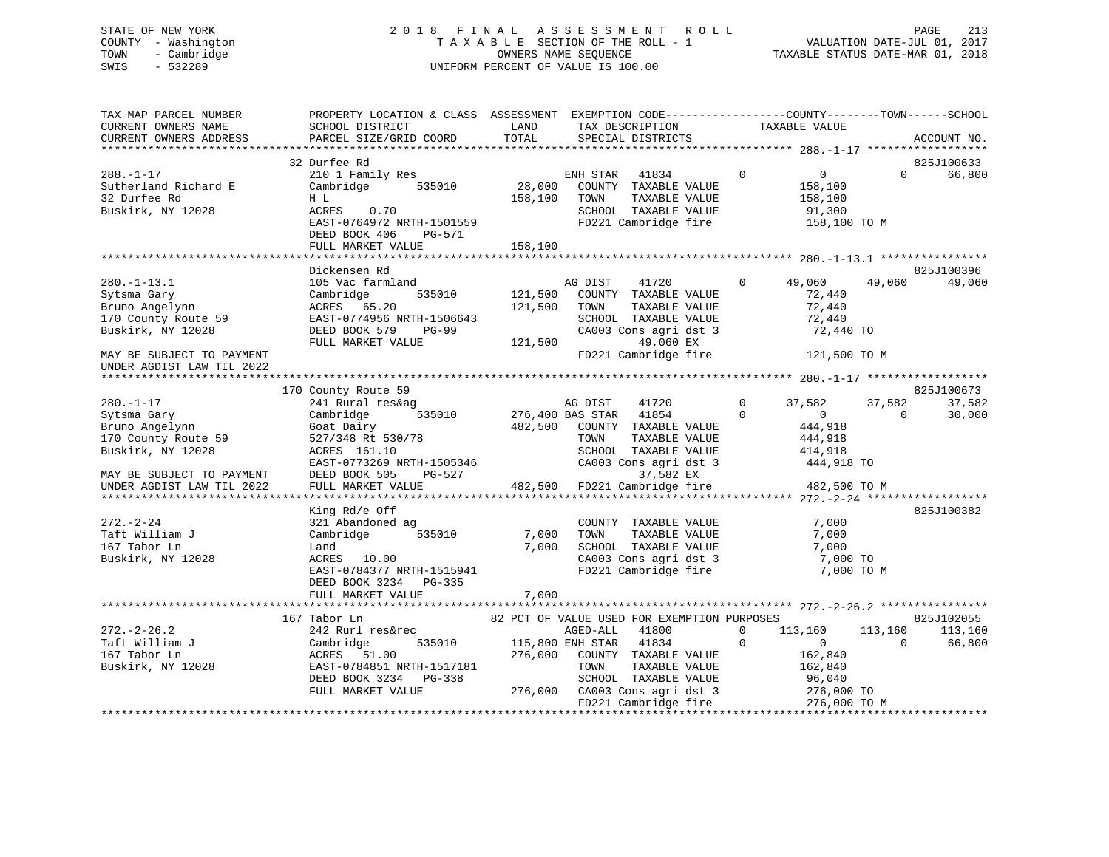# STATE OF NEW YORK 2 0 1 8 F I N A L A S S E S S M E N T R O L L PAGE 213 COUNTY - Washington T A X A B L E SECTION OF THE ROLL - 1 VALUATION DATE-JUL 01, 2017 TOWN - Cambridge OWNERS NAME SEQUENCE TAXABLE STATUS DATE-MAR 01, 2018 SWIS - 532289 UNIFORM PERCENT OF VALUE IS 100.00

| TAX MAP PARCEL NUMBER     | PROPERTY LOCATION & CLASS ASSESSMENT EXEMPTION CODE----------------COUNTY-------TOWN------SCHOOL |                  |                                                                             |                                  |                    |
|---------------------------|--------------------------------------------------------------------------------------------------|------------------|-----------------------------------------------------------------------------|----------------------------------|--------------------|
| CURRENT OWNERS NAME       | SCHOOL DISTRICT                                                                                  | LAND             | TAX DESCRIPTION TAXABLE VALUE                                               |                                  |                    |
| CURRENT OWNERS ADDRESS    | PARCEL SIZE/GRID COORD                                                                           | TOTAL            | SPECIAL DISTRICTS                                                           |                                  | ACCOUNT NO.        |
|                           |                                                                                                  |                  |                                                                             |                                  |                    |
|                           | 32 Durfee Rd                                                                                     |                  |                                                                             |                                  | 825J100633         |
| $288. - 1 - 17$           | 210 1 Family Res                                                                                 |                  | ENH STAR 41834                                                              | $\overline{0}$<br>$\overline{0}$ | 66,800<br>$\Omega$ |
| Sutherland Richard E      | 535010<br>Cambridge                                                                              | 28,000           | COUNTY TAXABLE VALUE                                                        | 158,100                          |                    |
| 32 Durfee Rd              | H L                                                                                              | 158,100          | TAXABLE VALUE<br>TOWN                                                       | 158,100                          |                    |
| Buskirk, NY 12028         | ACRES<br>0.70                                                                                    |                  | SCHOOL TAXABLE VALUE                                                        | 91,300                           |                    |
|                           | EAST-0764972 NRTH-1501559                                                                        |                  | FD221 Cambridge fire                                                        | 158,100 TO M                     |                    |
|                           | DEED BOOK 406<br>PG-571                                                                          |                  |                                                                             |                                  |                    |
|                           | FULL MARKET VALUE                                                                                | 158,100          |                                                                             |                                  |                    |
|                           |                                                                                                  |                  |                                                                             |                                  |                    |
|                           |                                                                                                  |                  |                                                                             |                                  |                    |
|                           | Dickensen Rd                                                                                     |                  |                                                                             |                                  | 825J100396         |
| $280. -1 - 13.1$          | 105 Vac farmland                                                                                 |                  | AG DIST<br>41720                                                            | $\Omega$<br>49,060               | 49,060<br>49,060   |
| Sytsma Gary               | Cambridge<br>535010                                                                              | 121,500          | COUNTY TAXABLE VALUE                                                        | 72,440                           |                    |
| Bruno Angelynn            | ACRES 65.20                                                                                      | 121,500          | TAXABLE VALUE<br>TOWN                                                       | 72,440                           |                    |
| 170 County Route 59       | EAST-0774956 NRTH-1506643                                                                        |                  | SCHOOL TAXABLE VALUE                                                        | 72,440                           |                    |
| Buskirk, NY 12028         | DEED BOOK 579<br>$PG-99$                                                                         |                  | CA003 Cons agri dst 3                                                       | 72,440 TO                        |                    |
|                           | FULL MARKET VALUE                                                                                | 121,500          | 49,060 EX                                                                   |                                  |                    |
| MAY BE SUBJECT TO PAYMENT |                                                                                                  |                  | FD221 Cambridge fire                                                        | 121,500 TO M                     |                    |
| UNDER AGDIST LAW TIL 2022 |                                                                                                  |                  |                                                                             |                                  |                    |
|                           |                                                                                                  |                  |                                                                             |                                  |                    |
|                           | 170 County Route 59                                                                              |                  |                                                                             |                                  | 825J100673         |
| $280. - 1 - 17$           | 241 Rural res&ag                                                                                 |                  | AG DIST<br>41720                                                            | $\mathbf 0$<br>37,582            | 37,582<br>37,582   |
| Sytsma Gary               | Cambridge<br>535010                                                                              |                  | 276,400 BAS STAR 41854                                                      | $\Omega$<br>$\overline{0}$       | $\Omega$<br>30,000 |
| Bruno Angelynn            | Goat Dairy                                                                                       |                  | 482,500 COUNTY TAXABLE VALUE                                                | 444,918                          |                    |
| 170 County Route 59       | 527/348 Rt 530/78                                                                                |                  | TOWN<br>TAXABLE VALUE                                                       | 444,918                          |                    |
| Buskirk, NY 12028         | ACRES 161.10                                                                                     |                  | SCHOOL TAXABLE VALUE                                                        | 414,918                          |                    |
|                           | EAST-0773269 NRTH-1505346                                                                        |                  | CA003 Cons agri dst 3                                                       | 444,918 TO                       |                    |
| MAY BE SUBJECT TO PAYMENT | DEED BOOK 505<br>PG-527                                                                          |                  | 37,582 EX                                                                   |                                  |                    |
| UNDER AGDIST LAW TIL 2022 | FULL MARKET VALUE                                                                                | 482,500          | FD221 Cambridge fire                                                        | 482,500 TO M                     |                    |
|                           |                                                                                                  |                  |                                                                             |                                  |                    |
|                           | King Rd/e Off                                                                                    |                  |                                                                             |                                  | 825J100382         |
| $272. - 2 - 24$           | 321 Abandoned ag                                                                                 |                  | COUNTY TAXABLE VALUE                                                        | 7,000                            |                    |
| Taft William J            | 535010<br>Cambridge                                                                              | 7,000            | TOWN<br>TAXABLE VALUE                                                       | 7,000                            |                    |
| 167 Tabor Ln              | Land                                                                                             | 7,000            | SCHOOL TAXABLE VALUE                                                        | 7,000                            |                    |
| Buskirk, NY 12028         | ACRES 10.00                                                                                      |                  |                                                                             | 7,000 TO                         |                    |
|                           | EAST-0784377 NRTH-1515941                                                                        |                  | CA003 Cons agri dst 3<br>FD221 Cambridge fire<br>FD221 Cambridge fire       | 7,000 TO M                       |                    |
|                           | DEED BOOK 3234<br>PG-335                                                                         |                  |                                                                             |                                  |                    |
|                           |                                                                                                  | 7,000            |                                                                             |                                  |                    |
|                           | FULL MARKET VALUE                                                                                |                  |                                                                             |                                  |                    |
|                           |                                                                                                  |                  |                                                                             |                                  | 825J102055         |
|                           | 167 Tabor Ln                                                                                     |                  | 82 PCT OF VALUE USED FOR EXEMPTION PURPOSES                                 |                                  |                    |
| $272. - 2 - 26.2$         | 242 Rurl res&rec                                                                                 |                  | AGED-ALL<br>41800                                                           | 113,160<br>$\Omega$              | 113,160<br>113,160 |
| Taft William J            | Cambridge<br>535010                                                                              | 115,800 ENH STAR | 41834                                                                       | $\mathbf 0$<br>$\overline{0}$    | $\Omega$<br>66,800 |
| 167 Tabor Ln              | ACRES 51.00                                                                                      | 276,000          | COUNTY TAXABLE VALUE                                                        | 162,840                          |                    |
| Buskirk, NY 12028         | EAST-0784851 NRTH-1517181                                                                        |                  | TOWN<br>TAXABLE VALUE                                                       | 162,840                          |                    |
|                           | DEED BOOK 3234 PG-338                                                                            |                  | SCHOOL TAXABLE VALUE                                                        | 96,040                           |                    |
|                           | FULL MARKET VALUE                                                                                |                  | 276,000 CA003 Cons agri dst 3 276,000 TO<br>FD221 Cambridge fire 276,000 TO |                                  |                    |
|                           |                                                                                                  |                  | FD221 Cambridge fire                                                        | 276,000 TO M                     |                    |
|                           |                                                                                                  |                  |                                                                             |                                  |                    |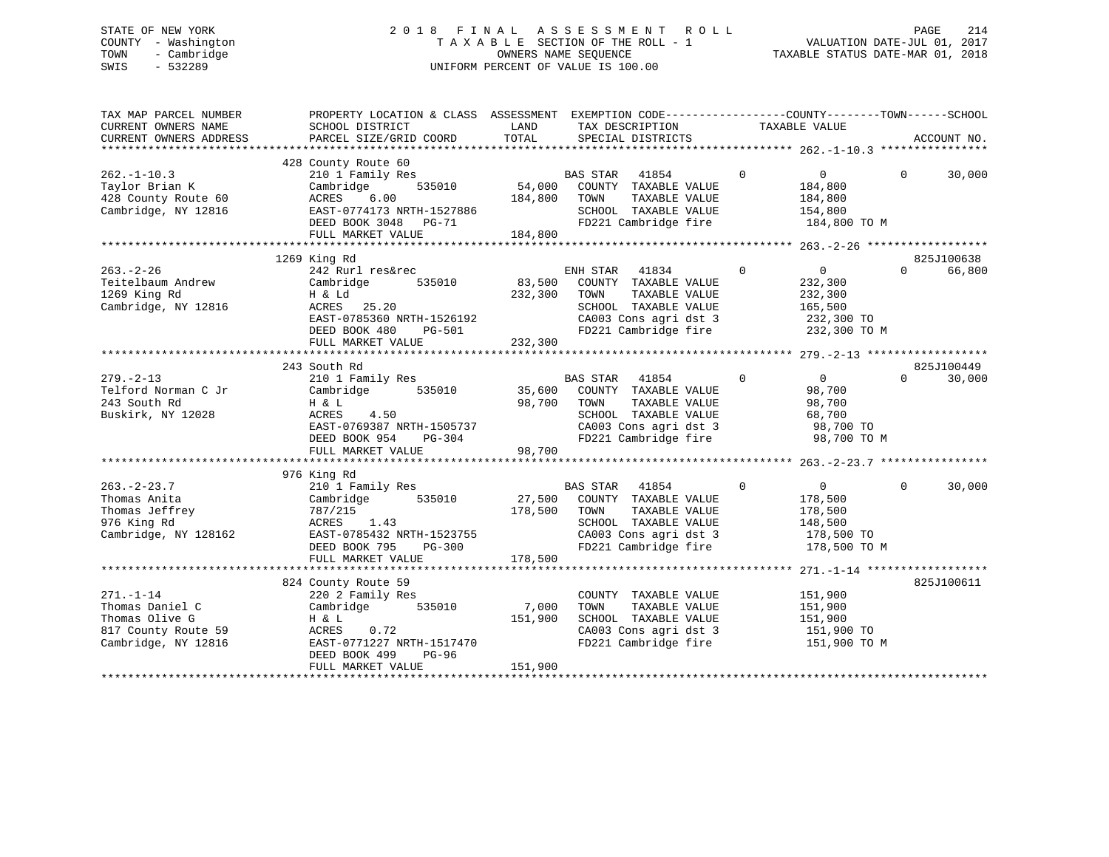# STATE OF NEW YORK 2 0 1 8 F I N A L A S S E S S M E N T R O L L PAGE 214 COUNTY - Washington T A X A B L E SECTION OF THE ROLL - 1 VALUATION DATE-JUL 01, 2017 TOWN - Cambridge OWNERS NAME SEQUENCE TAXABLE STATUS DATE-MAR 01, 2018 SWIS - 532289 UNIFORM PERCENT OF VALUE IS 100.00

| TAX MAP PARCEL NUMBER<br>CURRENT OWNERS NAME<br>CURRENT OWNERS ADDRESS                                          | PROPERTY LOCATION & CLASS ASSESSMENT EXEMPTION CODE----------------COUNTY-------TOWN------SCHOOL<br>SCHOOL DISTRICT<br>PARCEL SIZE/GRID COORD                           | LAND<br>TOTAL            | TAX DESCRIPTION TAXABLE VALUE<br>SPECIAL DISTRICTS                                                                                                                                 |                                                                                                                                      | ACCOUNT NO.                                            |
|-----------------------------------------------------------------------------------------------------------------|-------------------------------------------------------------------------------------------------------------------------------------------------------------------------|--------------------------|------------------------------------------------------------------------------------------------------------------------------------------------------------------------------------|--------------------------------------------------------------------------------------------------------------------------------------|--------------------------------------------------------|
| $262. - 1 - 10.3$<br>Taylor Brian K<br>428 County Route 60<br>Cambridge, NY 12816                               | 428 County Route 60<br>210 1 Family Res<br>535010<br>Cambridge<br>ACRES<br>6.00<br>EAST-0774173 NRTH-1527886<br>DEED BOOK 3048 PG-71<br>FULL MARKET VALUE               | 184,800<br>184,800       | BAS STAR 41854<br>35010 54,000 COUNTY TAXABLE VALUE<br>TOWN<br>TAXABLE VALUE<br>SCHOOL TAXABLE VALUE                                                                               | $\mathbf 0$<br>$\overline{0}$<br>184,800<br>184,800<br>154,800<br>FD221 Cambridge fire 184,800 TO M                                  | $\Omega$<br>30,000                                     |
|                                                                                                                 |                                                                                                                                                                         |                          |                                                                                                                                                                                    |                                                                                                                                      |                                                        |
| $263. - 2 - 26$<br>Teitelbaum Andrew<br>1269 King Rd<br>Cambridge, NY 12816                                     | 1269 King Rd<br>242 Rurl res&rec<br>Cambridge<br>H & Ld<br>ACRES<br>25.20<br>EAST-0785360 NRTH-1526192<br>DEED BOOK 480 PG-501<br>FULL MARKET VALUE                     | 535010 83,500<br>232,300 | ENH STAR 41834<br>COUNTY TAXABLE VALUE<br>TOWN<br>TAXABLE VALUE<br>SCHOOL TAXABLE VALUE                                                                                            | $\Omega$<br>$\overline{0}$<br>232,300<br>232,300<br>165,500<br>CA003 Cons agri dst 3 232,300 TO<br>FD221 Cambridge fire 232,300 TO M | 825J100638<br>$\Omega$<br>66,800                       |
|                                                                                                                 |                                                                                                                                                                         |                          |                                                                                                                                                                                    |                                                                                                                                      |                                                        |
| $279. - 2 - 13$<br>Telford Norman C Jr<br>243 South Rd<br>Buskirk, NY 12028<br>$263 - 2 - 23.7$<br>Thomas Anita | 243 South Rd<br>210 1 Family Res<br>535010 35,600<br>Cambridge<br>H & L<br>FULL MARKET VALUE<br>976 King Rd<br>210 1 Family Res<br>Cambridge 535010 27,500              | 98,700<br>98,700         | BAS STAR 41854<br>COUNTY TAXABLE VALUE<br>TOWN<br>TAXABLE VALUE<br>SCHOOL TAXABLE VALUE<br>CA003 Cons agri dst 3<br>FD221 Cambridge fire<br>BAS STAR 41854<br>COUNTY TAXABLE VALUE | $\mathbf 0$<br>$\overline{0}$<br>98,700<br>98,700<br>68,700<br>98,700 TO<br>98,700 TO M<br>$\overline{0}$<br>$\mathbf 0$<br>178,500  | 825J100449<br>$\Omega$<br>30,000<br>$\Omega$<br>30,000 |
| Thomas Jeffrey<br>976 King Rd<br>Cambridge, NY 128162                                                           | 787/215<br>ACRES<br>1.43<br>EAST-0785432 NRTH-1523755<br>DEED BOOK 795 PG-300<br>FULL MARKET VALUE<br>FULL MARKET VALUE                                                 | 178,500<br>178,500       | TAXABLE VALUE<br>TOWN<br>SCHOOL TAXABLE VALUE<br>CA003 Cons agri dst 3 178,500 TO<br>FD221 Cambridge fire 178,500 TO M                                                             | 178,500<br>148,500                                                                                                                   |                                                        |
| $271. - 1 - 14$<br>Thomas Daniel C<br>Thomas Olive G<br>817 County Route 59<br>Cambridge, NY 12816              | 824 County Route 59<br>220 2 Family Res<br>Cambridge 535010 7,000<br>H & L<br>ACRES<br>0.72<br>EAST-0771227 NRTH-1517470<br>DEED BOOK 499<br>PG-96<br>FULL MARKET VALUE | 151,900<br>151,900       | COUNTY TAXABLE VALUE<br>TOWN<br>TAXABLE VALUE<br>SCHOOL TAXABLE VALUE<br>FD221 Cambridge fire                                                                                      | 151,900<br>151,900<br>151,900<br>CA003 Cons agri dst 3 151,900 TO<br>151,900 TO M                                                    | 825J100611                                             |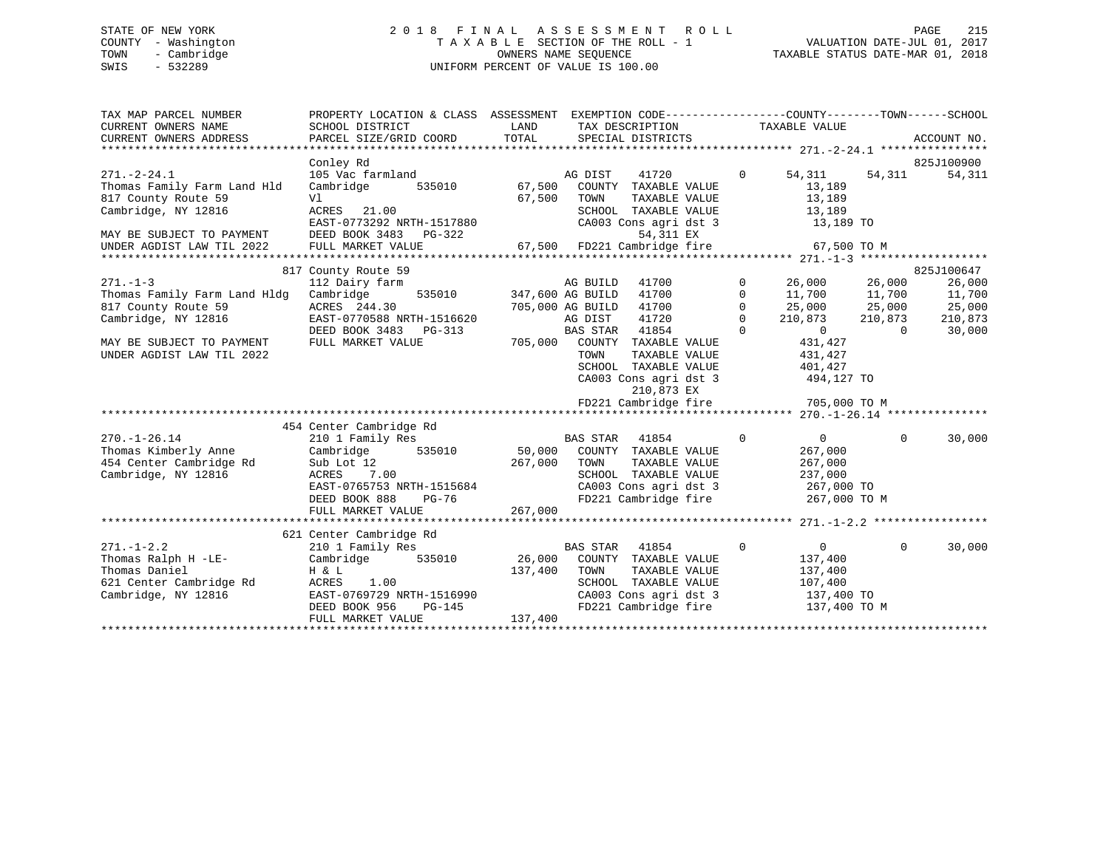# STATE OF NEW YORK 2 0 1 8 F I N A L A S S E S S M E N T R O L L PAGE 215 COUNTY - Washington T A X A B L E SECTION OF THE ROLL - 1 VALUATION DATE-JUL 01, 2017 TOWN - Cambridge OWNERS NAME SEQUENCE TAXABLE STATUS DATE-MAR 01, 2018 SWIS - 532289 UNIFORM PERCENT OF VALUE IS 100.00

| TAX MAP PARCEL NUMBER<br>CURRENT OWNERS NAME<br>CURRENT OWNERS ADDRESS | PROPERTY LOCATION & CLASS ASSESSMENT EXEMPTION CODE----------------COUNTY-------TOWN-----SCHOOL<br>SCHOOL DISTRICT<br>PARCEL SIZE/GRID COORD | LAND<br>TOTAL |                  | TAX DESCRIPTION TAXABLE VALUE<br>SPECIAL DISTRICTS |              |                                |                | ACCOUNT NO. |
|------------------------------------------------------------------------|----------------------------------------------------------------------------------------------------------------------------------------------|---------------|------------------|----------------------------------------------------|--------------|--------------------------------|----------------|-------------|
|                                                                        |                                                                                                                                              |               |                  |                                                    |              |                                |                |             |
|                                                                        | Conley Rd                                                                                                                                    |               |                  |                                                    |              |                                |                | 825J100900  |
| $271. - 2 - 24.1$<br>Thomas Family Farm Land Hld                       | 105 Vac farmland<br>Cambridge                                                                                                                | 535010 67,500 | AG DIST          | 41720<br>COUNTY TAXABLE VALUE                      | $\mathbf{0}$ | 54,311<br>13,189               | 54,311         | 54,311      |
| 817 County Route 59                                                    | Vl                                                                                                                                           | 67,500        | TOWN             | TAXABLE VALUE                                      |              | 13,189                         |                |             |
| Cambridge, NY 12816                                                    | ACRES 21.00<br>EAST-0773292 NRTH-1517880                                                                                                     |               |                  | SCHOOL TAXABLE VALUE<br>CA003 Cons agri dst 3      |              | 13,189<br>13,189 TO            |                |             |
| MAY BE SUBJECT TO PAYMENT                                              | DEED BOOK 3483 PG-322                                                                                                                        |               |                  | 54,311 EX                                          |              |                                |                |             |
| UNDER AGDIST LAW TIL 2022                                              | FULL MARKET VALUE                                                                                                                            |               |                  | 67,500 FD221 Cambridge fire                        |              | 67,500 TO M                    |                |             |
|                                                                        | 817 County Route 59                                                                                                                          |               |                  |                                                    |              |                                |                | 825J100647  |
| $271. - 1 - 3$                                                         | 112 Dairy farm                                                                                                                               |               | AG BUILD         | 41700                                              | $\mathbf{0}$ |                                |                | 26,000      |
| Thomas Family Farm Land Hldg                                           | 535010 347,600 AG BUILD<br>Cambridge                                                                                                         |               |                  | 41700                                              | $\mathbf 0$  | 26,000 26,000<br>11,700 11,700 |                | 11,700      |
| 817 County Route 59                                                    | ACRES 244.30                                                                                                                                 |               | 705,000 AG BUILD | 41700                                              | $\Omega$     | 25,000                         | 25,000         | 25,000      |
| Cambridge, NY 12816                                                    | EAST-0770588 NRTH-1516620                                                                                                                    |               | AG DIST          | 41720                                              | $\mathbf{0}$ | 210,873                        | 210,873        | 210,873     |
|                                                                        | DEED BOOK 3483 PG-313                                                                                                                        |               | BAS STAR         | 41854                                              | $\Omega$     | $\overline{0}$                 | $\overline{0}$ | 30,000      |
| MAY BE SUBJECT TO PAYMENT                                              | FULL MARKET VALUE                                                                                                                            |               |                  | 705,000 COUNTY TAXABLE VALUE                       |              | 431,427                        |                |             |
| UNDER AGDIST LAW TIL 2022                                              |                                                                                                                                              |               | TOWN             | TAXABLE VALUE                                      |              | 431,427                        |                |             |
|                                                                        |                                                                                                                                              |               |                  | SCHOOL TAXABLE VALUE                               |              | 401,427                        |                |             |
|                                                                        |                                                                                                                                              |               |                  | CA003 Cons agri dst 3<br>210,873 EX                |              | 494,127 TO                     |                |             |
|                                                                        |                                                                                                                                              |               |                  | FD221 Cambridge fire                               |              | 705,000 TO M                   |                |             |
|                                                                        |                                                                                                                                              |               |                  |                                                    |              |                                |                |             |
|                                                                        | 454 Center Cambridge Rd                                                                                                                      |               |                  |                                                    |              |                                |                |             |
| $270. - 1 - 26.14$                                                     | 210 1 Family Res                                                                                                                             |               | <b>BAS STAR</b>  | 41854                                              | $\mathbf 0$  | $\overline{0}$                 | $\Omega$       | 30,000      |
| Thomas Kimberly Anne                                                   | 535010 50,000<br>Cambridge                                                                                                                   |               |                  | COUNTY TAXABLE VALUE                               |              | 267,000                        |                |             |
| 454 Center Cambridge Rd                                                | Sub Lot 12                                                                                                                                   | 267,000       | TOWN             | TAXABLE VALUE                                      |              | 267,000                        |                |             |
| Cambridge, NY 12816                                                    | 7.00<br>ACRES                                                                                                                                |               |                  | SCHOOL TAXABLE VALUE                               |              | 237,000                        |                |             |
|                                                                        | EAST-0765753 NRTH-1515684                                                                                                                    |               |                  | CA003 Cons agri dst 3                              |              | 267,000 TO                     |                |             |
|                                                                        | $PG-76$<br>DEED BOOK 888                                                                                                                     |               |                  | FD221 Cambridge fire                               |              | 267,000 TO M                   |                |             |
|                                                                        | FULL MARKET VALUE                                                                                                                            | 267,000       |                  |                                                    |              |                                |                |             |
|                                                                        |                                                                                                                                              |               |                  |                                                    |              |                                |                |             |
|                                                                        | 621 Center Cambridge Rd                                                                                                                      |               |                  |                                                    |              |                                | $\Omega$       |             |
| $271. - 1 - 2.2$<br>Thomas Ralph H -LE-                                | 210 1 Family Res<br>Cambridge                                                                                                                |               | BAS STAR 41854   | 535010 26,000 COUNTY TAXABLE VALUE                 | $\mathsf{O}$ | $\overline{0}$<br>137,400      |                | 30,000      |
| Thomas Daniel                                                          | H & L                                                                                                                                        | 137,400       | TOWN             | TAXABLE VALUE                                      |              | 137,400                        |                |             |
| 621 Center Cambridge Rd                                                | ACRES<br>1.00                                                                                                                                |               |                  | SCHOOL TAXABLE VALUE                               |              | 107,400                        |                |             |
| Cambridge, NY 12816                                                    | EAST-0769729 NRTH-1516990                                                                                                                    |               |                  | CA003 Cons agri dst 3 137,400 TO                   |              |                                |                |             |
|                                                                        | DEED BOOK 956                                                                                                                                | $PG-145$      |                  | FD221 Cambridge fire 137,400 TO M                  |              |                                |                |             |
|                                                                        | FULL MARKET VALUE                                                                                                                            | 137,400       |                  |                                                    |              |                                |                |             |
|                                                                        |                                                                                                                                              |               |                  |                                                    |              |                                |                |             |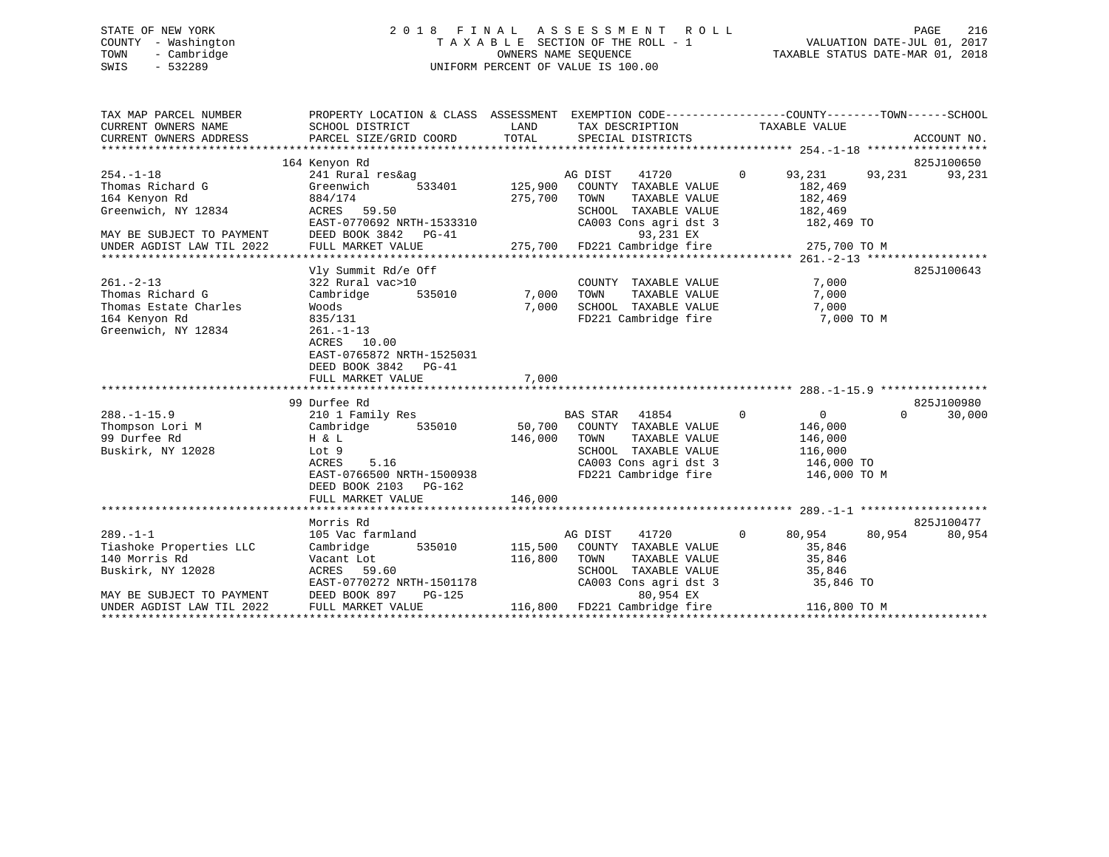# STATE OF NEW YORK 2 0 1 8 F I N A L A S S E S S M E N T R O L L PAGE 216 COUNTY - Washington T A X A B L E SECTION OF THE ROLL - 1 VALUATION DATE-JUL 01, 2017 TOWN - Cambridge OWNERS NAME SEQUENCE TAXABLE STATUS DATE-MAR 01, 2018 SWIS - 532289 UNIFORM PERCENT OF VALUE IS 100.00UNIFORM PERCENT OF VALUE IS 100.00

| TAX MAP PARCEL NUMBER<br>CURRENT OWNERS NAME<br>CURRENT OWNERS ADDRESS         | PROPERTY LOCATION & CLASS ASSESSMENT EXEMPTION CODE----------------COUNTY-------TOWN-----SCHOOL<br>SCHOOL DISTRICT<br><b>EXAMPLE SERVICE SERVICE SERVICE SERVICE SERVICE SERVICE SERVICE SERVICE SERVICE SERVICE SERVICE SERVICE SERVICE</b> |                           | TAX DESCRIPTION                                                                                                                                             | TAXABLE VALUE                                                                 |          |            |
|--------------------------------------------------------------------------------|----------------------------------------------------------------------------------------------------------------------------------------------------------------------------------------------------------------------------------------------|---------------------------|-------------------------------------------------------------------------------------------------------------------------------------------------------------|-------------------------------------------------------------------------------|----------|------------|
|                                                                                |                                                                                                                                                                                                                                              |                           |                                                                                                                                                             |                                                                               |          |            |
|                                                                                | 164 Kenyon Rd                                                                                                                                                                                                                                |                           |                                                                                                                                                             |                                                                               |          | 825J100650 |
| $254. - 1 - 18$<br>Thomas Richard G<br>164 Kenyon Rd                           | 241 Rural res&ag<br>Greenwich<br>884/174                                                                                                                                                                                                     | AG DIST<br>275,700        | 41720<br>$\frac{3}{533401}$ 125,900 COUNTY TAXABLE VALUE<br>TOWN<br>TAXABLE VALUE                                                                           | $\Omega$<br>93,231<br>182,469<br>182,469                                      | 93,231   | 93,231     |
| Greenwich, NY 12834<br>MAY BE SUBJECT TO PAYMENT                               | ACRES 59.50<br>EAST-0770692 NRTH-1533310<br>DEED BOOK 3842 PG-41                                                                                                                                                                             |                           | SCHOOL TAXABLE VALUE<br>CA003 Cons agri dst 3<br>93,231 EX                                                                                                  | 182,469<br>182,469 TO                                                         |          |            |
| UNDER AGDIST LAW TIL 2022                                                      |                                                                                                                                                                                                                                              |                           |                                                                                                                                                             |                                                                               |          |            |
|                                                                                |                                                                                                                                                                                                                                              |                           |                                                                                                                                                             |                                                                               |          |            |
| $261. - 2 - 13$<br>Thomas Richard G                                            | Vly Summit Rd/e Off<br>322 Rural vac>10<br>Cambridge                                                                                                                                                                                         | 535010 7,000              | COUNTY TAXABLE VALUE<br>TOWN<br>TAXABLE VALUE                                                                                                               | 7,000<br>7,000                                                                |          | 825J100643 |
| Thomas Estate Charles<br>164 Kenyon Rd<br>Greenwich, NY 12834                  | Woods<br>835/131<br>$261. - 1 - 13$                                                                                                                                                                                                          | 7,000                     | SCHOOL TAXABLE VALUE<br>FD221 Cambridge fire                                                                                                                | 7,000<br>7,000 TO M                                                           |          |            |
|                                                                                | ACRES 10.00<br>EAST-0765872 NRTH-1525031<br>DEED BOOK 3842 PG-41<br>FULL MARKET VALUE                                                                                                                                                        | 7,000                     |                                                                                                                                                             |                                                                               |          |            |
|                                                                                |                                                                                                                                                                                                                                              |                           |                                                                                                                                                             |                                                                               |          |            |
|                                                                                | 99 Durfee Rd                                                                                                                                                                                                                                 |                           |                                                                                                                                                             |                                                                               |          | 825J100980 |
| $288. - 1 - 15.9$<br>Thompson Lori M<br>99 Durfee Rd<br>Buskirk, NY 12028      | 210 1 Family Res<br>Cambridge 535010<br>H & L<br>Lot 9<br>ACRES<br>5.16<br>EAST-0766500 NRTH-1500938                                                                                                                                         | 146,000                   | $\sim$ 0<br>BAS STAR 41854<br>50,700 COUNTY TAXABLE VALUE<br>TOWN<br>TAXABLE VALUE<br>SCHOOL TAXABLE VALUE<br>CA003 Cons agri dst 3<br>FD221 Cambridge fire | $\overline{0}$<br>146,000<br>146,000<br>116,000<br>146,000 TO<br>146,000 TO M | $\Omega$ | 30,000     |
|                                                                                | DEED BOOK 2103 PG-162<br>FULL MARKET VALUE                                                                                                                                                                                                   | 146,000                   |                                                                                                                                                             |                                                                               |          |            |
|                                                                                |                                                                                                                                                                                                                                              |                           |                                                                                                                                                             |                                                                               |          |            |
|                                                                                | Morris Rd                                                                                                                                                                                                                                    |                           |                                                                                                                                                             |                                                                               |          | 825J100477 |
| $289. -1 - 1$<br>Tiashoke Properties LLC<br>140 Morris Rd<br>Buskirk, NY 12028 | 105 Vac farmland<br>Cambridge<br>Vacant Lot<br>ACRES 59.60                                                                                                                                                                                   | 535010 115,500<br>116,800 | 41720<br>AG DIST<br>COUNTY TAXABLE VALUE<br>TOWN<br>TAXABLE VALUE<br>SCHOOL TAXABLE VALUE<br>CA003 Cons agri dst 3                                          | $0 \t 80,954$<br>35,846<br>35,846<br>35,846<br>35,846 TO                      | 80,954   | 80,954     |
| MAY BE SUBJECT TO PAYMENT<br>UNDER AGDIST LAW TIL 2022                         | EAST-0770272 NRTH-1501178<br>DEED BOOK 897<br>$PG-125$<br>FULL MARKET VALUE                                                                                                                                                                  |                           | 80,954 EX<br>116,800 FD221 Cambridge fire 116,800 TO M                                                                                                      |                                                                               |          |            |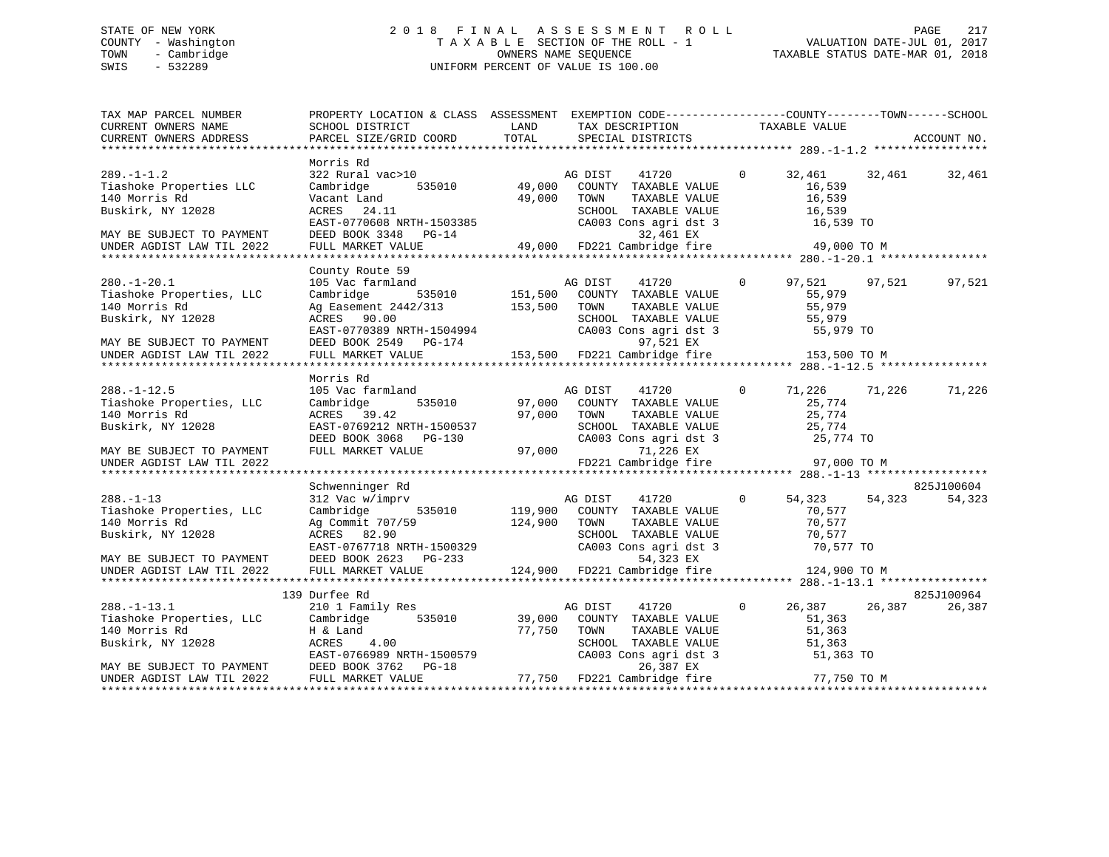# STATE OF NEW YORK 2 0 1 8 F I N A L A S S E S S M E N T R O L L PAGE 217 COUNTY - Washington T A X A B L E SECTION OF THE ROLL - 1 VALUATION DATE-JUL 01, 2017 TOWN - Cambridge OWNERS NAME SEQUENCE TAXABLE STATUS DATE-MAR 01, 2018 SWIS - 532289 UNIFORM PERCENT OF VALUE IS 100.00

| TAX MAP PARCEL NUMBER<br>CURRENT OWNERS NAME<br>CURRENT OWNERS ADDRESS                                                                        | PROPERTY LOCATION & CLASS ASSESSMENT EXEMPTION CODE---------------COUNTY-------TOWN------SCHOOL<br><b>EXAMPLE THE STATE OF STATE OF STATE</b><br>SCHOOL DISTRICT<br>PARCEL SIZE/GRID COORD               | TOTAL                   | TAX DESCRIPTION<br>SPECIAL DISTRICTS<br>SPECIAL DISTRICTS                                                                               |                |                                                                          | ACCOUNT NO.          |
|-----------------------------------------------------------------------------------------------------------------------------------------------|----------------------------------------------------------------------------------------------------------------------------------------------------------------------------------------------------------|-------------------------|-----------------------------------------------------------------------------------------------------------------------------------------|----------------|--------------------------------------------------------------------------|----------------------|
| $289. - 1 - 1.2$<br>Tiashoke Properties LLC<br>140 Morris Rd<br>Buskirk, NY 12028<br>MAY BE SUBJECT TO PAYMENT<br>UNDER AGDIST LAW TIL 2022   | Morris Rd<br>322 Rural vac>10<br>Cambridge<br>Vacant Land<br>ACRES 24.11<br>EAST-0770608 NRTH-1503385<br>DEED BOOK 3348 PG-14<br>FULL MARKET VALUE 49,000 FD221 Cambridge fire 49,000 TO M               | 535010 49,000<br>49,000 | AG DIST<br>41720<br>COUNTY TAXABLE VALUE<br>TOWN<br>TAXABLE VALUE<br>SCHOOL TAXABLE VALUE                                               | $\overline{0}$ | 32,461 32,461<br>16,539<br>16,539<br>16,539                              | 32,461               |
|                                                                                                                                               | County Route 59                                                                                                                                                                                          |                         |                                                                                                                                         |                |                                                                          |                      |
| $280. - 1 - 20.1$<br>Tiashoke Properties, LLC<br>140 Morris Rd<br>Buskirk, NY 12028<br>MAY BE SUBJECT TO PAYMENT<br>UNDER AGDIST LAW TIL 2022 | 105 Vac farmland<br>Cambridge<br>Ag Easement 2442/313<br>ACRES 90.00<br>ACRES 90.00<br>EAST-0770389 NRTH-1504994<br>DEED BOOK 2549 PG-174<br>FULL MARKET VALUE                                           |                         | $\sim$ 0<br>TAXABLE VALUE<br>SCHOOL TAXABLE VALUE<br>CA003 Cons agri dst 3<br>97,521 EX<br>153,500 FD221 Cambridge fire                 |                | 97,521 97,521<br>55,979<br>55,979<br>55,979<br>55,979 TO<br>153,500 TO M | 97,521               |
|                                                                                                                                               |                                                                                                                                                                                                          |                         |                                                                                                                                         |                |                                                                          |                      |
| $288. - 1 - 12.5$<br>Tiashoke Properties, LLC<br>140 Morris Rd<br>Buskirk, NY 12028                                                           | Morris Rd<br>105 Vac farmland<br>Cambridge<br>ACRES 39.42<br>DEED BOOK 3068 PG-130<br>FULL MARKET VALUE                                                                                                  |                         | 41720<br>AG DIST<br>535010 97,000 COUNTY TAXABLE VALUE<br>97,000 TOWN<br>TAXABLE VALUE<br>SCHOOL TAXABLE VALUE<br>CA003 Cons agri dst 3 | $\mathbf{0}$   | 71,226 71,226<br>25,774<br>25,774<br>$25,774$ TO                         | 71,226               |
| MAY BE SUBJECT TO PAYMENT<br>UNDER AGDIST LAW TIL 2022                                                                                        | FULL MARKET VALUE                                                                                                                                                                                        | 97,000                  | 71,226 EX<br>FD221 Cambridge fire                                                                                                       |                | 97,000 TO M                                                              |                      |
|                                                                                                                                               |                                                                                                                                                                                                          |                         |                                                                                                                                         |                |                                                                          |                      |
| $288. - 1 - 13$<br>Tiashoke Properties, LLC<br>140 Morris Rd<br>Buskirk, NY 12028                                                             | Schwenninger Rd<br>312 Vac w/imprv<br>Cambridge 535010 119,900 COUNTY TAXABLE VALUE<br>Ag Commit 707/59 124,900 TOWN<br>ACRES 82.90<br>ACRES 82.90<br>EAST-0767718 NRTH-1500329<br>2000 0000 0602 DG-233 |                         | TAXABLE VALUE<br>SCHOOL TAXABLE VALUE<br>CA003 Cons agri dst 3<br>54,323 EX                                                             | $\Omega$       | 54,323 54,323<br>70,577<br>70,577<br>70,577<br>70,577 TO                 | 825J100604<br>54,323 |
| MAY BE SUBJECT TO PAYMENT<br>UNDER AGDIST LAW TIL 2022                                                                                        | FULL MARKET VALUE                                                                                                                                                                                        |                         | 124,900 FD221 Cambridge fire                                                                                                            |                | 124,900 TO M                                                             |                      |
|                                                                                                                                               |                                                                                                                                                                                                          |                         |                                                                                                                                         |                |                                                                          |                      |
|                                                                                                                                               | 139 Durfee Rd                                                                                                                                                                                            |                         |                                                                                                                                         |                |                                                                          | 825J100964           |
| xxxxx<br>288.-1-13.1<br>Tiashoke Properties, LLC<br>Annris Rd<br>Buskirk, NY 12028                                                            | 210 1 Family Res<br>Cambridge 535010<br>H & Land<br>ACRES<br>4.00<br>EAST-0766989 NRTH-1500579                                                                                                           | 39,000<br>77,750        | AG DIST<br>41720<br>COUNTY TAXABLE VALUE<br>TOWN<br>TAXABLE VALUE<br>SCHOOL TAXABLE VALUE<br>CA003 Cons agri dst 3                      | $\overline{0}$ | 26,387 26,387<br>51,363<br>51,363<br>51,363<br>51,363 TO                 | 26,387               |
| MAY BE SUBJECT TO PAYMENT<br>UNDER AGDIST LAW TIL 2022                                                                                        | DEED BOOK 3762 PG-18<br>FULL MARKET VALUE                                                                                                                                                                |                         | 26,387 EX<br>77,750 FD221 Cambridge fire                                                                                                |                | 77,750 TO M                                                              |                      |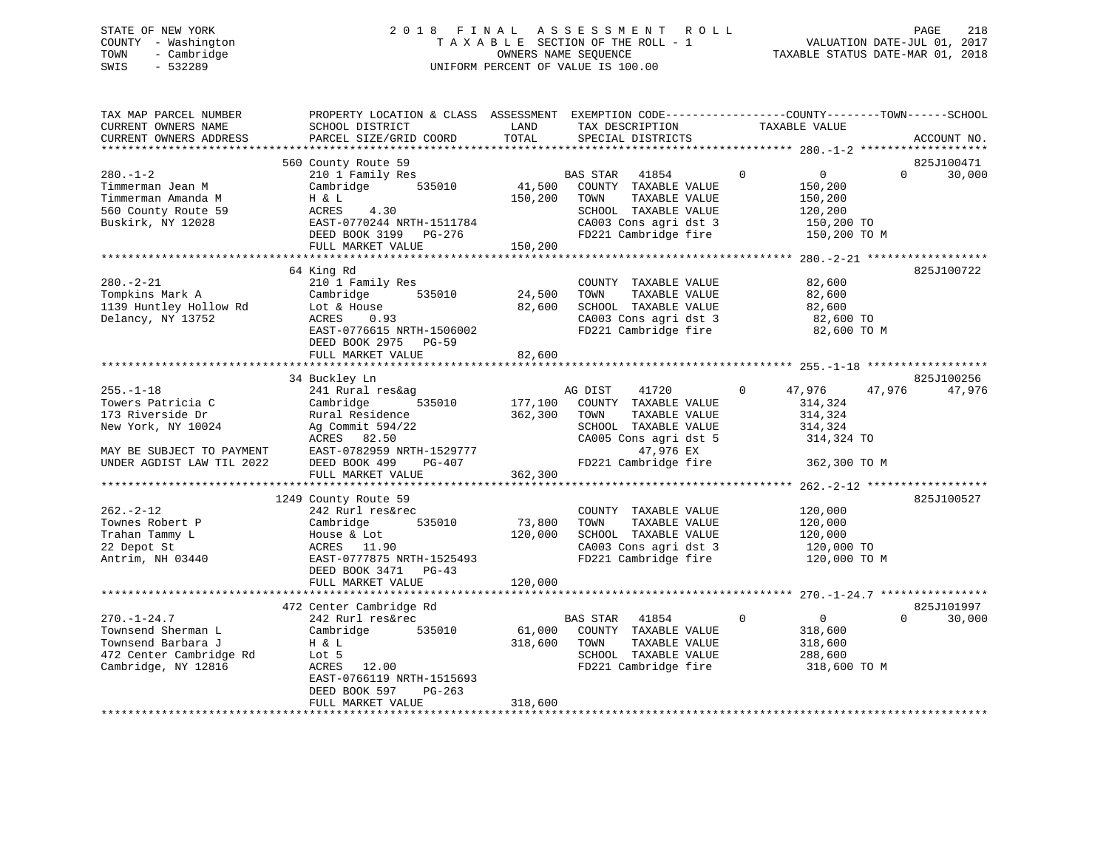# STATE OF NEW YORK 2 0 1 8 F I N A L A S S E S S M E N T R O L L PAGE 218 COUNTY - Washington T A X A B L E SECTION OF THE ROLL - 1 VALUATION DATE-JUL 01, 2017 TOWN - Cambridge OWNERS NAME SEQUENCE TAXABLE STATUS DATE-MAR 01, 2018 SWIS - 532289 UNIFORM PERCENT OF VALUE IS 100.00

| TAX MAP PARCEL NUMBER<br>CURRENT OWNERS NAME<br>CURRENT OWNERS ADDRESS | PROPERTY LOCATION & CLASS ASSESSMENT EXEMPTION CODE-----------------COUNTY-------TOWN-----SCHOOL<br>SCHOOL DISTRICT<br>PARCEL SIZE/GRID COORD | LAND<br>TOTAL | TAX DESCRIPTION<br>SPECIAL DISTRICTS          | TAXABLE VALUE                            | ACCOUNT NO.                      |
|------------------------------------------------------------------------|-----------------------------------------------------------------------------------------------------------------------------------------------|---------------|-----------------------------------------------|------------------------------------------|----------------------------------|
|                                                                        |                                                                                                                                               |               |                                               |                                          |                                  |
| $280. - 1 - 2$<br>Timmerman Jean M                                     | 560 County Route 59<br>210 1 Family Res<br>535010<br>Cambridge                                                                                | 41,500        | 41854<br>BAS STAR<br>COUNTY TAXABLE VALUE     | $\mathbf 0$<br>$\overline{0}$<br>150,200 | 825J100471<br>30,000<br>$\Omega$ |
| Timmerman Amanda M<br>560 County Route 59                              | H & L<br>4.30<br>ACRES                                                                                                                        | 150,200       | TAXABLE VALUE<br>TOWN<br>SCHOOL TAXABLE VALUE | 150,200<br>120,200                       |                                  |
| Buskirk, NY 12028                                                      | EAST-0770244 NRTH-1511784                                                                                                                     |               | CA003 Cons agri dst 3                         | 150,200 TO                               |                                  |
|                                                                        | DEED BOOK 3199 PG-276<br>FULL MARKET VALUE                                                                                                    | 150,200       | FD221 Cambridge fire                          | 150,200 TO M                             |                                  |
|                                                                        |                                                                                                                                               |               |                                               |                                          |                                  |
|                                                                        | 64 King Rd                                                                                                                                    |               |                                               |                                          | 825J100722                       |
| $280. - 2 - 21$<br>Tompkins Mark A                                     | 210 1 Family Res<br>535010<br>Cambridge                                                                                                       | 24,500        | COUNTY TAXABLE VALUE<br>TAXABLE VALUE<br>TOWN | 82,600<br>82,600                         |                                  |
| 1139 Huntley Hollow Rd                                                 | Lot & House                                                                                                                                   | 82,600        | SCHOOL TAXABLE VALUE                          | 82,600                                   |                                  |
| Delancy, NY 13752                                                      | ACRES<br>0.93                                                                                                                                 |               | CA003 Cons agri dst 3                         | 82,600 TO                                |                                  |
|                                                                        | EAST-0776615 NRTH-1506002                                                                                                                     |               | FD221 Cambridge fire                          | 82,600 TO M                              |                                  |
|                                                                        | DEED BOOK 2975 PG-59                                                                                                                          |               |                                               |                                          |                                  |
|                                                                        | FULL MARKET VALUE                                                                                                                             | 82,600        |                                               |                                          |                                  |
|                                                                        |                                                                                                                                               |               |                                               |                                          |                                  |
|                                                                        | 34 Buckley Ln                                                                                                                                 |               |                                               |                                          | 825J100256                       |
| $255. - 1 - 18$                                                        | 241 Rural res&ag                                                                                                                              |               | AG DIST<br>41720                              | 47,976<br>$\mathbf{0}$                   | 47,976<br>47,976                 |
| Towers Patricia C                                                      | Cambridge<br>535010                                                                                                                           | 177,100       | COUNTY TAXABLE VALUE                          | 314,324                                  |                                  |
| 173 Riverside Dr                                                       | Rural Residence                                                                                                                               | 362,300       | TOWN<br>TAXABLE VALUE                         | 314,324                                  |                                  |
| New York, NY 10024                                                     | Ag Commit 594/22                                                                                                                              |               | SCHOOL TAXABLE VALUE                          | 314,324                                  |                                  |
|                                                                        | ACRES 82.50                                                                                                                                   |               | CA005 Cons agri dst 5                         | 314,324 TO                               |                                  |
| MAY BE SUBJECT TO PAYMENT                                              | EAST-0782959 NRTH-1529777                                                                                                                     |               | 47,976 EX                                     |                                          |                                  |
| UNDER AGDIST LAW TIL 2022                                              | DEED BOOK 499 PG-407<br>FULL MARKET VALUE                                                                                                     | 362,300       | FD221 Cambridge fire                          | 362,300 TO M                             |                                  |
|                                                                        |                                                                                                                                               |               |                                               |                                          |                                  |
|                                                                        | 1249 County Route 59                                                                                                                          |               |                                               |                                          | 825J100527                       |
| $262 - 2 - 12$                                                         | 242 Rurl res&rec                                                                                                                              |               | COUNTY TAXABLE VALUE                          | 120,000                                  |                                  |
| Townes Robert P                                                        | 535010<br>Cambridge                                                                                                                           | 73,800        | TOWN<br>TAXABLE VALUE                         | 120,000                                  |                                  |
| Trahan Tammy L                                                         | House & Lot                                                                                                                                   | 120,000       | SCHOOL TAXABLE VALUE                          | 120,000                                  |                                  |
| 22 Depot St                                                            | ACRES 11.90                                                                                                                                   |               | CA003 Cons agri dst 3                         | 120,000 TO                               |                                  |
| Antrim, NH 03440                                                       | EAST-0777875 NRTH-1525493                                                                                                                     |               | FD221 Cambridge fire                          | 120,000 TO M                             |                                  |
|                                                                        | DEED BOOK 3471 PG-43                                                                                                                          |               |                                               |                                          |                                  |
|                                                                        | FULL MARKET VALUE                                                                                                                             | 120,000       |                                               |                                          |                                  |
|                                                                        |                                                                                                                                               |               |                                               |                                          |                                  |
|                                                                        | 472 Center Cambridge Rd                                                                                                                       |               |                                               |                                          | 825J101997                       |
| $270. - 1 - 24.7$                                                      | 242 Rurl res&rec                                                                                                                              |               | BAS STAR<br>41854                             | $\mathbf 0$<br>$\overline{0}$            | 30,000<br>$\Omega$               |
| Townsend Sherman L                                                     | Cambridge<br>535010                                                                                                                           | 61,000        | COUNTY TAXABLE VALUE                          | 318,600                                  |                                  |
| Townsend Barbara J<br>472 Center Cambridge Rd                          | H & L<br>Lot 5                                                                                                                                | 318,600       | TOWN<br>TAXABLE VALUE<br>SCHOOL TAXABLE VALUE | 318,600<br>288,600                       |                                  |
| Cambridge, NY 12816                                                    | ACRES 12.00                                                                                                                                   |               | FD221 Cambridge fire                          | 318,600 TO M                             |                                  |
|                                                                        | EAST-0766119 NRTH-1515693                                                                                                                     |               |                                               |                                          |                                  |
|                                                                        | DEED BOOK 597<br>$PG-263$                                                                                                                     |               |                                               |                                          |                                  |
|                                                                        | FULL MARKET VALUE                                                                                                                             | 318,600       |                                               |                                          |                                  |
|                                                                        |                                                                                                                                               |               |                                               |                                          |                                  |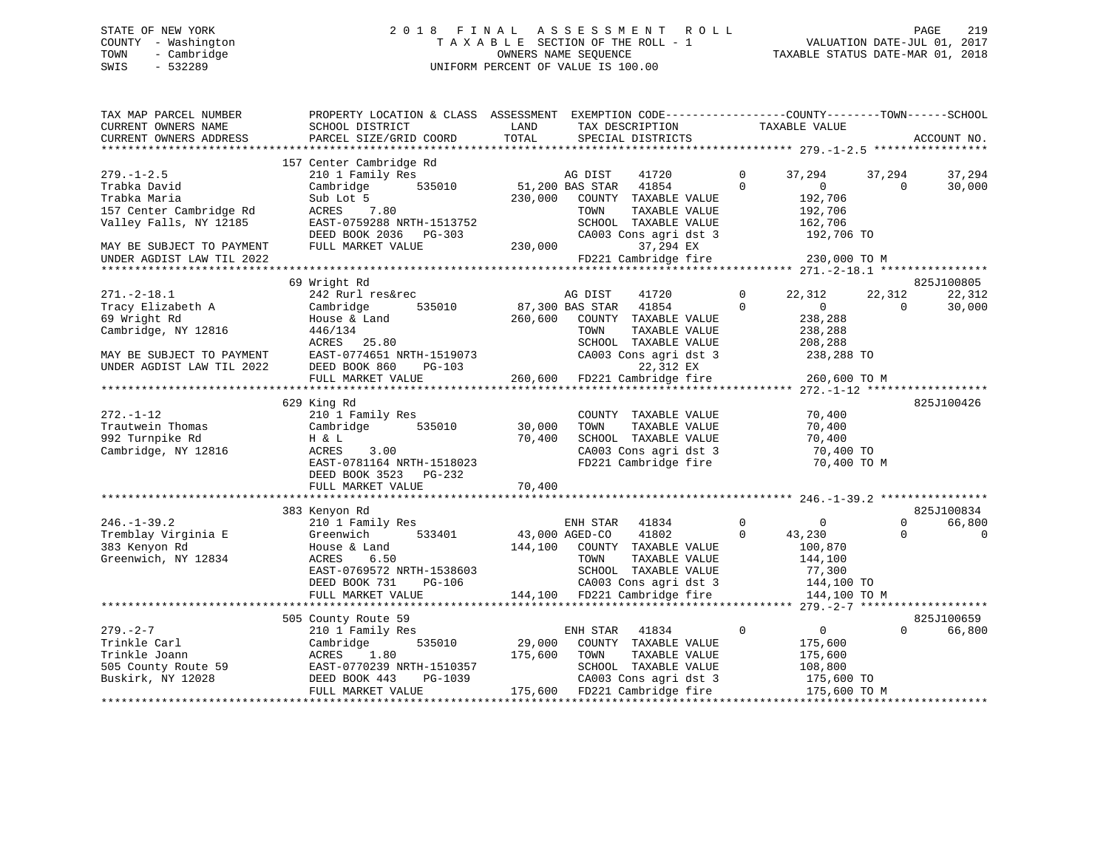# STATE OF NEW YORK 2 0 1 8 F I N A L A S S E S S M E N T R O L L PAGE 219 COUNTY - Washington T A X A B L E SECTION OF THE ROLL - 1 VALUATION DATE-JUL 01, 2017 TOWN - Cambridge OWNERS NAME SEQUENCE TAXABLE STATUS DATE-MAR 01, 2018 SWIS - 532289 UNIFORM PERCENT OF VALUE IS 100.00

| TAX MAP PARCEL NUMBER<br>CURRENT OWNERS NAME<br>CURRENT OWNERS ADDRESS | PROPERTY LOCATION & CLASS ASSESSMENT<br>SCHOOL DISTRICT<br>PARCEL SIZE/GRID COORD | LAND<br>TOTAL  | EXEMPTION CODE-----------------COUNTY-------TOWN------SCHOOL<br>TAX DESCRIPTION<br>SPECIAL DISTRICTS | TAXABLE VALUE                      | ACCOUNT NO.                  |
|------------------------------------------------------------------------|-----------------------------------------------------------------------------------|----------------|------------------------------------------------------------------------------------------------------|------------------------------------|------------------------------|
|                                                                        |                                                                                   |                |                                                                                                      |                                    |                              |
| $279. - 1 - 2.5$                                                       | 157 Center Cambridge Rd<br>210 1 Family Res                                       |                | AG DIST<br>41720                                                                                     | $\mathbf 0$<br>37,294              | 37,294<br>37,294             |
| Trabka David                                                           | 535010<br>Cambridge                                                               |                | 51,200 BAS STAR<br>41854                                                                             | $\Omega$<br>$\mathbf{0}$           | 30,000<br>$\Omega$           |
| Trabka Maria                                                           | Sub Lot 5                                                                         | 230,000        | COUNTY TAXABLE VALUE                                                                                 | 192,706                            |                              |
| 157 Center Cambridge Rd                                                | ACRES<br>7.80                                                                     |                | TOWN<br>TAXABLE VALUE                                                                                | 192,706                            |                              |
| Valley Falls, NY 12185                                                 | EAST-0759288 NRTH-1513752                                                         |                | SCHOOL TAXABLE VALUE                                                                                 | 162,706                            |                              |
|                                                                        | DEED BOOK 2036 PG-303                                                             |                | CA003 Cons agri dst 3                                                                                | 192,706 TO                         |                              |
| MAY BE SUBJECT TO PAYMENT                                              | FULL MARKET VALUE                                                                 | 230,000        | 37,294 EX                                                                                            |                                    |                              |
| UNDER AGDIST LAW TIL 2022                                              |                                                                                   |                | FD221 Cambridge fire                                                                                 | 230,000 TO M                       |                              |
|                                                                        |                                                                                   |                |                                                                                                      |                                    |                              |
|                                                                        | 69 Wright Rd                                                                      |                |                                                                                                      | $\Omega$                           | 825J100805                   |
| $271. - 2 - 18.1$                                                      | 242 Rurl res&rec<br>535010                                                        |                | 41720<br>AG DIST                                                                                     | 22,312<br>$\Omega$<br>$\mathbf{0}$ | 22,312<br>22,312<br>$\Omega$ |
| Tracy Elizabeth A<br>69 Wright Rd                                      | Cambridge                                                                         | 260,600        | 87,300 BAS STAR<br>41854<br>COUNTY TAXABLE VALUE                                                     | 238,288                            | 30,000                       |
| Cambridge, NY 12816                                                    | House & Land<br>446/134                                                           |                | TOWN<br>TAXABLE VALUE                                                                                | 238,288                            |                              |
|                                                                        | ACRES<br>25.80                                                                    |                | SCHOOL TAXABLE VALUE                                                                                 | 208,288                            |                              |
| MAY BE SUBJECT TO PAYMENT                                              | EAST-0774651 NRTH-1519073                                                         |                | CA003 Cons agri dst 3                                                                                | 238,288 TO                         |                              |
| UNDER AGDIST LAW TIL 2022                                              | DEED BOOK 860<br>$PG-103$                                                         |                | 22,312 EX                                                                                            |                                    |                              |
|                                                                        | FULL MARKET VALUE                                                                 |                | 260,600 FD221 Cambridge fire                                                                         | 260,600 TO M                       |                              |
|                                                                        |                                                                                   |                |                                                                                                      |                                    |                              |
|                                                                        | 629 King Rd                                                                       |                |                                                                                                      |                                    | 825J100426                   |
| $272. - 1 - 12$                                                        | 210 1 Family Res                                                                  |                | COUNTY TAXABLE VALUE                                                                                 | 70,400                             |                              |
| Trautwein Thomas                                                       | 535010<br>Cambridge                                                               | 30,000         | TOWN<br>TAXABLE VALUE                                                                                | 70,400                             |                              |
| 992 Turnpike Rd                                                        | H & L                                                                             | 70,400         | SCHOOL TAXABLE VALUE                                                                                 | 70,400                             |                              |
| Cambridge, NY 12816                                                    | 3.00<br>ACRES                                                                     |                | CA003 Cons agri dst 3                                                                                | 70,400 TO                          |                              |
|                                                                        | EAST-0781164 NRTH-1518023                                                         |                | FD221 Cambridge fire                                                                                 | 70,400 TO M                        |                              |
|                                                                        | DEED BOOK 3523<br>$PG-232$                                                        |                |                                                                                                      |                                    |                              |
|                                                                        | FULL MARKET VALUE                                                                 | 70,400         |                                                                                                      |                                    |                              |
|                                                                        |                                                                                   |                |                                                                                                      |                                    | 825J100834                   |
| $246. - 1 - 39.2$                                                      | 383 Kenyon Rd<br>210 1 Family Res                                                 |                | ENH STAR<br>41834                                                                                    | $\Omega$<br>$\mathbf 0$            | 66,800<br>$\Omega$           |
| Tremblay Virginia E                                                    | Greenwich<br>533401                                                               | 43,000 AGED-CO | 41802                                                                                                | $\Omega$<br>43,230                 | $\Omega$<br>$\mathbf 0$      |
| 383 Kenyon Rd                                                          | House & Land                                                                      | 144,100        | COUNTY TAXABLE VALUE                                                                                 | 100,870                            |                              |
| Greenwich, NY 12834                                                    | ACRES<br>6.50                                                                     |                | TOWN<br>TAXABLE VALUE                                                                                | 144,100                            |                              |
|                                                                        | EAST-0769572 NRTH-1538603                                                         |                | SCHOOL TAXABLE VALUE                                                                                 | 77,300                             |                              |
|                                                                        | $PG-106$<br>DEED BOOK 731                                                         |                | CA003 Cons agri dst 3                                                                                | 144,100 TO                         |                              |
|                                                                        | FULL MARKET VALUE                                                                 |                | 144,100 FD221 Cambridge fire                                                                         | 144,100 TO M                       |                              |
|                                                                        |                                                                                   |                |                                                                                                      |                                    |                              |
|                                                                        | 505 County Route 59                                                               |                |                                                                                                      |                                    | 825J100659                   |
| $279. - 2 - 7$                                                         | 210 1 Family Res                                                                  |                | ENH STAR<br>41834                                                                                    | $\mathbf 0$<br>$\Omega$            | 66,800<br>$\Omega$           |
| Trinkle Carl                                                           | 535010<br>Cambridge                                                               | 29,000         | COUNTY TAXABLE VALUE                                                                                 | 175,600                            |                              |
| Trinkle Joann                                                          | 1.80<br>ACRES                                                                     | 175,600        | TOWN<br>TAXABLE VALUE                                                                                | 175,600                            |                              |
| 505 County Route 59                                                    | EAST-0770239 NRTH-1510357                                                         |                | SCHOOL TAXABLE VALUE                                                                                 | 108,800                            |                              |
| Buskirk, NY 12028                                                      | DEED BOOK 443<br>PG-1039                                                          |                | CA003 Cons agri dst 3                                                                                | 175,600 TO                         |                              |
|                                                                        | FULL MARKET VALUE                                                                 |                | 175,600 FD221 Cambridge fire                                                                         | 175,600 TO M                       | ****************             |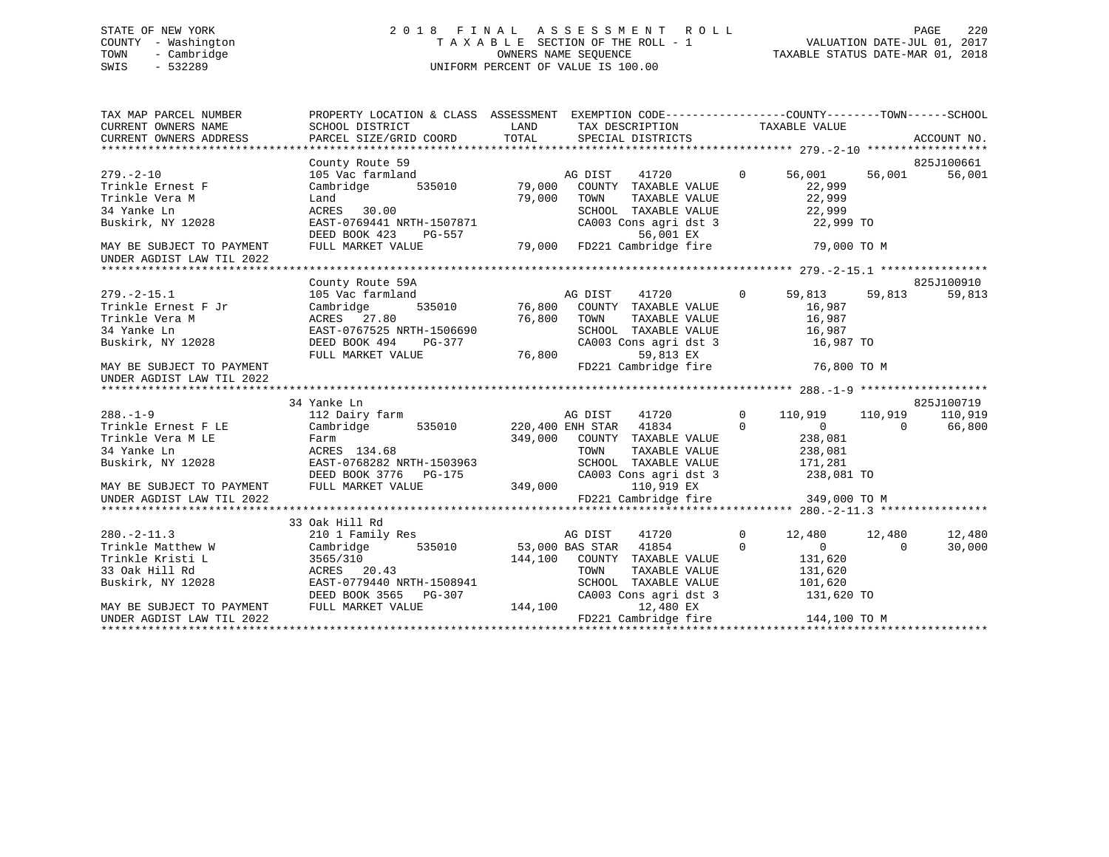# STATE OF NEW YORK 2 0 1 8 F I N A L A S S E S S M E N T R O L L PAGE 220 COUNTY - Washington T A X A B L E SECTION OF THE ROLL - 1 VALUATION DATE-JUL 01, 2017 TOWN - Cambridge OWNERS NAME SEQUENCE TAXABLE STATUS DATE-MAR 01, 2018 SWIS - 532289 UNIFORM PERCENT OF VALUE IS 100.00

| TAX MAP PARCEL NUMBER<br>CURRENT OWNERS NAME<br>CURRENT OWNERS NAME<br>CURRENT OWNERS ADDRESS | PROPERTY LOCATION & CLASS ASSESSMENT EXEMPTION CODE-----------------COUNTY-------TOWN------SCHOOL<br>SCHOOL DISTRICT                                                                         | <b>LAND</b> | TAX DESCRIPTION TAXABLE VALUE                                                                                                                                                                                                                                     |                |                                   |          |            |
|-----------------------------------------------------------------------------------------------|----------------------------------------------------------------------------------------------------------------------------------------------------------------------------------------------|-------------|-------------------------------------------------------------------------------------------------------------------------------------------------------------------------------------------------------------------------------------------------------------------|----------------|-----------------------------------|----------|------------|
|                                                                                               | County Route 59                                                                                                                                                                              |             |                                                                                                                                                                                                                                                                   |                |                                   |          | 825J100661 |
| $279. - 2 - 10$                                                                               |                                                                                                                                                                                              |             |                                                                                                                                                                                                                                                                   |                | 56,001 56,001                     |          | 56,001     |
| Trinkle Ernest F                                                                              | County Route 59<br>105 Vac farmland<br>Cambridge 535010 79,000 COUNTY TAXABLE VALUE 0 56,001<br>22,999 County Transformation 22,999                                                          |             |                                                                                                                                                                                                                                                                   |                |                                   |          |            |
| Trinkle Vera M                                                                                |                                                                                                                                                                                              |             |                                                                                                                                                                                                                                                                   |                |                                   |          |            |
| 34 Yanke Ln                                                                                   |                                                                                                                                                                                              |             |                                                                                                                                                                                                                                                                   |                | 22,999<br>22,999                  |          |            |
| Buskirk, NY 12028                                                                             | 1.41<br>ACRES 30.00<br>EAST-0769441 NRTH-1507871<br>DEED BOOK 423 PG-557<br>FULL MARKET VALUE<br>FULL MARKET VALUE<br>PG-557<br>FULL MARKET VALUE<br>29,000 FD221 Cambridge fire             |             | TOWN TAXABLE VALUE<br>SCHOOL TAXABLE VALUE<br>CA003 Cons agri dst 3                                                                                                                                                                                               |                | 22,999 TO                         |          |            |
| MAY BE SUBJECT TO PAYMENT<br>UNDER AGDIST LAW TIL 2022                                        |                                                                                                                                                                                              |             |                                                                                                                                                                                                                                                                   |                | 79,000 TO M                       |          |            |
|                                                                                               |                                                                                                                                                                                              |             |                                                                                                                                                                                                                                                                   |                |                                   |          |            |
|                                                                                               | County Route 59A                                                                                                                                                                             |             |                                                                                                                                                                                                                                                                   |                |                                   |          | 825J100910 |
| $279. -2 - 15.1$                                                                              | County Route 59A<br>105 Vac farmland<br>Cambridge 535010 76,800 COUNTY TAXABLE VALUE 16,987<br>16,987 1967                                                                                   |             |                                                                                                                                                                                                                                                                   |                |                                   |          | 59,813     |
| Trinkle Ernest F Jr                                                                           |                                                                                                                                                                                              |             |                                                                                                                                                                                                                                                                   |                |                                   |          |            |
| Trinkle Vera M<br>34 Vanke In                                                                 |                                                                                                                                                                                              |             |                                                                                                                                                                                                                                                                   |                |                                   |          |            |
| 34 Yanke Ln                                                                                   |                                                                                                                                                                                              |             | TOWN TAXABLE VALUE 16,987<br>SCHOOL TAXABLE VALUE 16,987<br>CA003 Cons agri dst 3 16,987 TO                                                                                                                                                                       |                |                                   |          |            |
| Buskirk, NY 12028                                                                             |                                                                                                                                                                                              |             |                                                                                                                                                                                                                                                                   |                |                                   |          |            |
|                                                                                               |                                                                                                                                                                                              |             | 59,813 EX                                                                                                                                                                                                                                                         |                |                                   |          |            |
| MAY BE SUBJECT TO PAYMENT                                                                     | ACRES 27.80 76,800 TOWN<br>EAST-0767525 NRTH-1506690 5CHOOL<br>DEED BOOK 494 PG-377 CA003 CC<br>FULL MARKET VALUE 76,800 FD221 Ca                                                            |             | FD221 Cambridge fire 76,800 TO M                                                                                                                                                                                                                                  |                |                                   |          |            |
|                                                                                               |                                                                                                                                                                                              |             |                                                                                                                                                                                                                                                                   |                |                                   |          |            |
|                                                                                               | 34 Yanke Ln                                                                                                                                                                                  |             |                                                                                                                                                                                                                                                                   |                |                                   |          | 825J100719 |
| $288. - 1 - 9$                                                                                | 112 Dairy farm                                                                                                                                                                               |             | AG DIST                                                                                                                                                                                                                                                           |                | 41720 0 110,919 110,919           |          | 110,919    |
|                                                                                               | Trinkle Ernest F LE Cambridge 535010 220,400 ENH STAR 41834                                                                                                                                  |             |                                                                                                                                                                                                                                                                   |                | $\begin{matrix}0&0&0\end{matrix}$ |          | 66,800     |
|                                                                                               |                                                                                                                                                                                              |             | $\begin{array}{cccc} \texttt{349,000} & \texttt{COUNTY} & \texttt{TXABLE VALUE} & \texttt{238,081} \\ \texttt{TOWN} & \texttt{TXABLE VALUE} & \texttt{238,081} \\ \texttt{RTH-1503963} & \texttt{SCHOOL} & \texttt{TAXABLE VALUE} & \texttt{171,281} \end{array}$ |                |                                   |          |            |
|                                                                                               | ACRES 134.68                                                                                                                                                                                 |             |                                                                                                                                                                                                                                                                   |                |                                   |          |            |
|                                                                                               | Buskirk, NY 12028 EAST-0768282 NRTH-1503963                                                                                                                                                  |             |                                                                                                                                                                                                                                                                   |                |                                   |          |            |
|                                                                                               |                                                                                                                                                                                              |             |                                                                                                                                                                                                                                                                   |                |                                   |          |            |
|                                                                                               |                                                                                                                                                                                              |             |                                                                                                                                                                                                                                                                   |                |                                   |          |            |
|                                                                                               |                                                                                                                                                                                              |             |                                                                                                                                                                                                                                                                   |                |                                   |          |            |
|                                                                                               |                                                                                                                                                                                              |             |                                                                                                                                                                                                                                                                   |                |                                   |          |            |
|                                                                                               | 33 Oak Hill Rd                                                                                                                                                                               |             |                                                                                                                                                                                                                                                                   |                |                                   |          |            |
| $280. -2 - 11.3$                                                                              | 210 1 Family Res AG DIST                                                                                                                                                                     |             | 41720                                                                                                                                                                                                                                                             | $\overline{0}$ | 12,480 12,480                     |          | 12,480     |
|                                                                                               | Trinkle Matthew W Cambridge 535010 53,000 BAS STAR 41854                                                                                                                                     |             |                                                                                                                                                                                                                                                                   | $\Omega$       | $\overline{0}$                    | $\Omega$ | 30,000     |
|                                                                                               |                                                                                                                                                                                              |             |                                                                                                                                                                                                                                                                   |                |                                   |          |            |
|                                                                                               |                                                                                                                                                                                              |             |                                                                                                                                                                                                                                                                   |                |                                   |          |            |
|                                                                                               | Trinkle Kristi L<br>Trinkle Kristi L<br>33 Oak Hill Rd<br>Buskirk, NY 12028 EAST-0779440 NRTH-1508941 COUNTY TAXABLE VALUE 131,620<br>DEED BOOK 3565 PG-307 CA003 Cons agri dst 3 131,620 TO |             |                                                                                                                                                                                                                                                                   |                |                                   |          |            |
|                                                                                               |                                                                                                                                                                                              |             |                                                                                                                                                                                                                                                                   |                |                                   |          |            |
|                                                                                               | DEED BOOK 3565 PG-307 CAO<br>MAY BE SUBJECT TO PAYMENT FULL MARKET VALUE 144,100<br>144,100 FD22                                                                                             |             | 12,480 EX                                                                                                                                                                                                                                                         |                |                                   |          |            |
|                                                                                               |                                                                                                                                                                                              |             |                                                                                                                                                                                                                                                                   |                |                                   |          |            |
|                                                                                               |                                                                                                                                                                                              |             |                                                                                                                                                                                                                                                                   |                |                                   |          |            |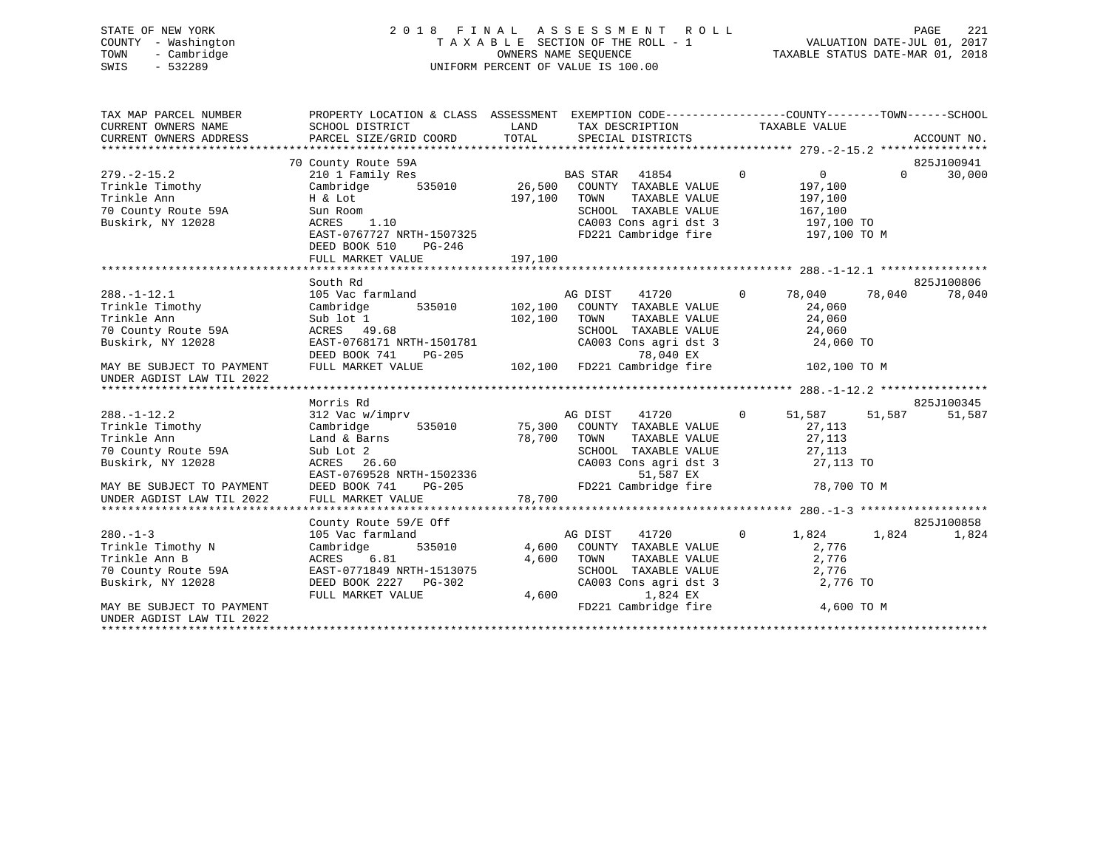# STATE OF NEW YORK 2 0 1 8 F I N A L A S S E S S M E N T R O L L PAGE 221 COUNTY - Washington T A X A B L E SECTION OF THE ROLL - 1 VALUATION DATE-JUL 01, 2017 TOWN - Cambridge OWNERS NAME SEQUENCE TAXABLE STATUS DATE-MAR 01, 2018 SWIS - 532289 UNIFORM PERCENT OF VALUE IS 100.00

| TAX MAP PARCEL NUMBER<br>CURRENT OWNERS NAME | PROPERTY LOCATION & CLASS ASSESSMENT EXEMPTION CODE---------------COUNTY-------TOWN-----SCHOOL<br>SCHOOL DISTRICT | LAND    | TAX DESCRIPTION TAXABLE VALUE |                |                   |          |             |
|----------------------------------------------|-------------------------------------------------------------------------------------------------------------------|---------|-------------------------------|----------------|-------------------|----------|-------------|
| CURRENT OWNERS ADDRESS                       | PARCEL SIZE/GRID COORD                                                                                            | TOTAL   | SPECIAL DISTRICTS             |                |                   |          | ACCOUNT NO. |
|                                              | 70 County Route 59A                                                                                               |         |                               |                |                   |          | 825J100941  |
| $279. - 2 - 15.2$                            | 210 1 Family Res                                                                                                  |         | <b>BAS STAR</b><br>41854      | $\mathbf 0$    | $0 \qquad \qquad$ | $\Omega$ | 30,000      |
| Trinkle Timothy                              | 535010<br>Cambridge                                                                                               | 26,500  | COUNTY TAXABLE VALUE          |                | 197,100           |          |             |
| Trinkle Ann                                  | H & Lot                                                                                                           | 197,100 | TOWN<br>TAXABLE VALUE         |                | 197,100           |          |             |
| 70 County Route 59A                          | Sun Room                                                                                                          |         | SCHOOL TAXABLE VALUE          |                | 167,100           |          |             |
| Buskirk, NY 12028                            | 1.10<br>ACRES                                                                                                     |         | CA003 Cons agri dst 3         |                | 197,100 TO        |          |             |
|                                              | EAST-0767727 NRTH-1507325                                                                                         |         | FD221 Cambridge fire          |                | 197,100 TO M      |          |             |
|                                              | DEED BOOK 510<br>PG-246                                                                                           |         |                               |                |                   |          |             |
|                                              | FULL MARKET VALUE                                                                                                 | 197,100 |                               |                |                   |          |             |
|                                              |                                                                                                                   |         |                               |                |                   |          |             |
|                                              | South Rd                                                                                                          |         |                               |                |                   |          | 825J100806  |
| $288. - 1 - 12.1$                            | 105 Vac farmland                                                                                                  |         | AG DIST 41720                 | $\circ$        | 78,040            | 78,040   | 78,040      |
| Trinkle Timothy                              | 535010<br>Cambridge                                                                                               | 102,100 | COUNTY TAXABLE VALUE          |                | 24,060            |          |             |
| Trinkle Ann                                  | Sub lot 1                                                                                                         | 102,100 | TOWN<br>TAXABLE VALUE         |                | 24,060            |          |             |
| 70 County Route 59A                          | ACRES 49.68                                                                                                       |         | SCHOOL TAXABLE VALUE          |                | 24,060            |          |             |
| Buskirk, NY 12028                            | EAST-0768171 NRTH-1501781                                                                                         |         | CA003 Cons agri dst 3         |                | 24,060 TO         |          |             |
|                                              | DEED BOOK 741<br>PG-205                                                                                           |         | 78,040 EX                     |                |                   |          |             |
| MAY BE SUBJECT TO PAYMENT                    | FULL MARKET VALUE                                                                                                 |         | 102,100 FD221 Cambridge fire  |                | 102,100 TO M      |          |             |
| UNDER AGDIST LAW TIL 2022                    |                                                                                                                   |         |                               |                |                   |          |             |
|                                              |                                                                                                                   |         |                               |                |                   |          |             |
|                                              | Morris Rd                                                                                                         |         |                               |                |                   |          | 825J100345  |
| $288. - 1 - 12.2$                            | 312 Vac w/imprv                                                                                                   |         | AG DIST<br>41720              | $\overline{0}$ | 51,587            | 51,587   | 51,587      |
| Trinkle Timothy                              | 535010<br>Cambridge                                                                                               |         | 75,300 COUNTY TAXABLE VALUE   |                | 27,113            |          |             |
| Trinkle Ann                                  | Land & Barns                                                                                                      | 78,700  | TOWN<br>TAXABLE VALUE         |                | 27,113            |          |             |
| 70 County Route 59A                          | Sub Lot 2                                                                                                         |         | SCHOOL TAXABLE VALUE          |                | 27,113            |          |             |
| Buskirk, NY 12028                            | ACRES 26.60                                                                                                       |         | CA003 Cons agri dst 3         |                | 27,113 TO         |          |             |
|                                              | EAST-0769528 NRTH-1502336                                                                                         |         | 51,587 EX                     |                |                   |          |             |
| MAY BE SUBJECT TO PAYMENT                    | DEED BOOK 741<br>$PG-205$                                                                                         |         | FD221 Cambridge fire          |                | 78,700 TO M       |          |             |
| UNDER AGDIST LAW TIL 2022                    | FULL MARKET VALUE                                                                                                 | 78,700  |                               |                |                   |          |             |
|                                              |                                                                                                                   |         |                               |                |                   |          |             |
|                                              | County Route 59/E Off                                                                                             |         |                               |                |                   |          | 825J100858  |
| $280. -1 - 3$                                | 105 Vac farmland                                                                                                  |         | AG DIST<br>41720              | $\mathbf{0}$   | 1,824             | 1,824    | 1,824       |
| Trinkle Timothy N                            | 535010<br>Cambridge                                                                                               | 4,600   | COUNTY TAXABLE VALUE          |                | 2,776             |          |             |
| Trinkle Ann B                                | ACRES<br>6.81                                                                                                     | 4,600   | TOWN<br>TAXABLE VALUE         |                | 2,776             |          |             |
| 70 County Route 59A                          | EAST-0771849 NRTH-1513075                                                                                         |         | SCHOOL TAXABLE VALUE          |                | 2,776             |          |             |
| Buskirk, NY 12028                            | DEED BOOK 2227 PG-302                                                                                             |         | CA003 Cons agri dst 3         |                | 2,776 TO          |          |             |
|                                              | FULL MARKET VALUE                                                                                                 | 4,600   | 1,824 EX                      |                |                   |          |             |
| MAY BE SUBJECT TO PAYMENT                    |                                                                                                                   |         | FD221 Cambridge fire          |                | 4,600 TO M        |          |             |
| UNDER AGDIST LAW TIL 2022                    |                                                                                                                   |         |                               |                |                   |          |             |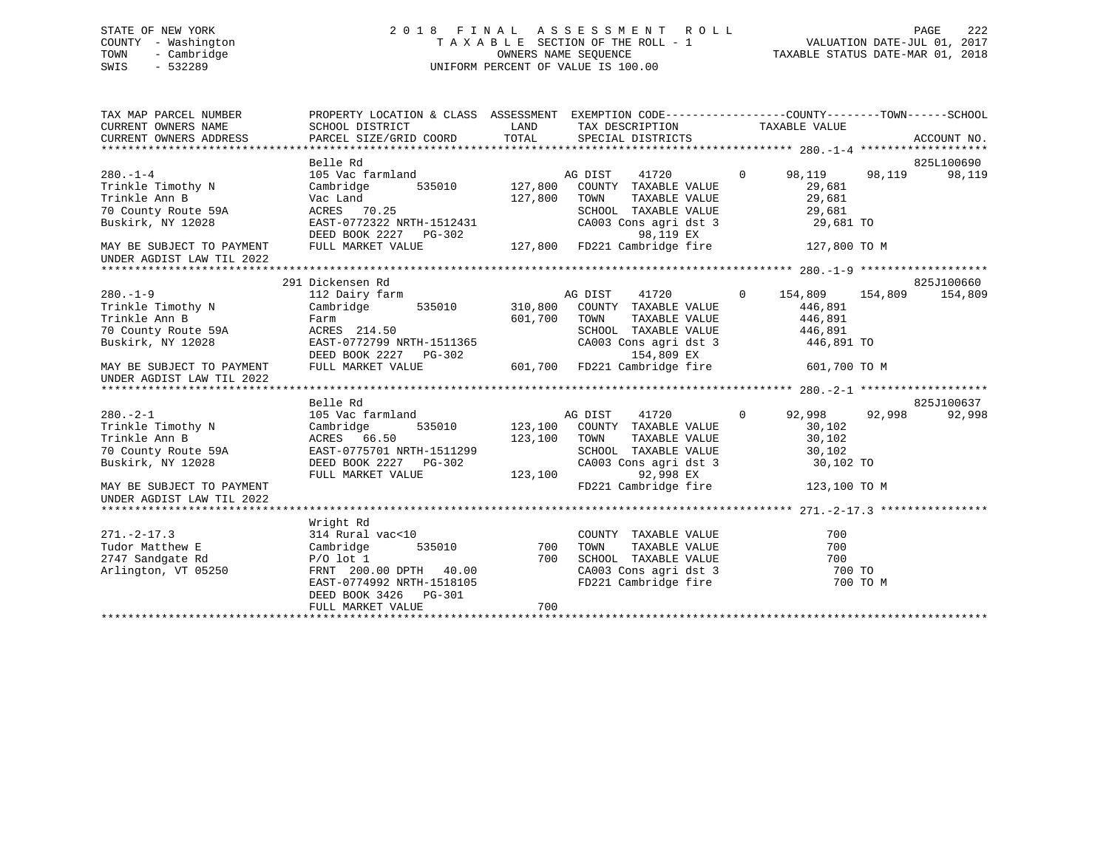# STATE OF NEW YORK 2 0 1 8 F I N A L A S S E S S M E N T R O L L PAGE 222 COUNTY - Washington T A X A B L E SECTION OF THE ROLL - 1 VALUATION DATE-JUL 01, 2017 TOWN - Cambridge OWNERS NAME SEQUENCE TAXABLE STATUS DATE-MAR 01, 2018 SWIS - 532289 UNIFORM PERCENT OF VALUE IS 100.00UNIFORM PERCENT OF VALUE IS 100.00

| TAX MAP PARCEL NUMBER<br>CURRENT OWNERS NAME<br>CURRENT OWNERS ADDRESS                                                                                                      | PROPERTY LOCATION & CLASS ASSESSMENT EXEMPTION CODE---------------COUNTY-------TOWN-----SCHOOL<br>SCHOOL DISTRICT<br>PARCEL SIZE/GRID COORD                                                  | LAND<br>TOTAL                 | TAX DESCRIPTION<br>SPECIAL DISTRICTS                                                                                                                                         | TAXABLE VALUE                                                                                            | ACCOUNT NO.                                                        |
|-----------------------------------------------------------------------------------------------------------------------------------------------------------------------------|----------------------------------------------------------------------------------------------------------------------------------------------------------------------------------------------|-------------------------------|------------------------------------------------------------------------------------------------------------------------------------------------------------------------------|----------------------------------------------------------------------------------------------------------|--------------------------------------------------------------------|
| $280. -1 - 4$<br>Trinkle Timothy N<br>Trinkle Ann B<br>70 County Route 59A<br>Buskirk, NY 12028<br>MAY BE SUBJECT TO PAYMENT<br>UNDER AGDIST LAW TIL 2022                   | Belle Rd<br>105 Vac farmland<br>Cambridge<br>535010<br>Vac Land<br>ACRES 70.25<br>EAST-0772322 NRTH-1512431<br>DEED BOOK 2227 PG-302<br>FULL MARKET VALUE                                    | 127,800<br>127,800            | 41720<br>AG DIST<br>COUNTY TAXABLE VALUE<br>TOWN<br>TAXABLE VALUE<br>SCHOOL TAXABLE VALUE<br>CA003 Cons agri dst 3<br>98,119 EX<br>127,800 FD221 Cambridge fire              | $\Omega$<br>98,119<br>29,681<br>29,681<br>29,681<br>29,681 TO<br>127,800 TO M                            | 825L100690<br>98,119<br>98,119                                     |
|                                                                                                                                                                             |                                                                                                                                                                                              |                               |                                                                                                                                                                              |                                                                                                          |                                                                    |
| $280. - 1 - 9$<br>Trinkle Timothy N<br>Trinkle Ann B<br>70 County Route 59A<br>Buskirk, NY 12028<br>MAY BE SUBJECT TO PAYMENT<br>UNDER AGDIST LAW TIL 2022<br>$280 - 2 - 1$ | 291 Dickensen Rd<br>112 Dairy farm<br>535010<br>Cambridge<br>Farm<br>ACRES 214.50<br>EAST-0772799 NRTH-1511365<br>DEED BOOK 2227 PG-302<br>FULL MARKET VALUE<br>Belle Rd<br>105 Vac farmland | 310,800<br>601,700<br>601,700 | AG DIST<br>41720<br>COUNTY TAXABLE VALUE<br>TOWN<br>TAXABLE VALUE<br>SCHOOL TAXABLE VALUE<br>CA003 Cons agri dst 3<br>154,809 EX<br>FD221 Cambridge fire<br>AG DIST<br>41720 | $\Omega$<br>154,809<br>446,891<br>446,891<br>446,891<br>446,891 TO<br>601,700 TO M<br>92,998<br>$\Omega$ | 825J100660<br>154,809<br>154,809<br>825J100637<br>92,998<br>92,998 |
| Trinkle Timothy N<br>Trinkle Ann B<br>70 County Route 59A<br>Buskirk, NY 12028<br>MAY BE SUBJECT TO PAYMENT<br>UNDER AGDIST LAW TIL 2022                                    | Cambridge<br>535010<br>ACRES 66.50<br>EAST-0775701 NRTH-1511299<br>DEED BOOK 2227 PG-302<br>FULL MARKET VALUE                                                                                | 123,100<br>123,100<br>123,100 | COUNTY TAXABLE VALUE<br>TOWN<br>TAXABLE VALUE<br>SCHOOL TAXABLE VALUE<br>CA003 Cons agri dst 3<br>92,998 EX<br>FD221 Cambridge fire                                          | 30,102<br>30,102<br>30,102<br>30,102 TO<br>123,100 TO M                                                  |                                                                    |
|                                                                                                                                                                             | Wright Rd                                                                                                                                                                                    |                               |                                                                                                                                                                              |                                                                                                          |                                                                    |
| $271. - 2 - 17.3$<br>Tudor Matthew E<br>2747 Sandgate Rd<br>Arlington, VT 05250                                                                                             | 314 Rural vac<10<br>Cambridge<br>535010<br>$P/O$ lot 1<br>FRNT 200.00 DPTH 40.00<br>EAST-0774992 NRTH-1518105<br>PG-301<br>DEED BOOK 3426<br>FULL MARKET VALUE                               | 700<br>700<br>700             | COUNTY TAXABLE VALUE<br>TOWN<br>TAXABLE VALUE<br>SCHOOL TAXABLE VALUE<br>CA003 Cons agri dst 3<br>FD221 Cambridge fire                                                       | 700<br>700<br>700<br>700 TO                                                                              | 700 TO M                                                           |
|                                                                                                                                                                             |                                                                                                                                                                                              |                               |                                                                                                                                                                              |                                                                                                          |                                                                    |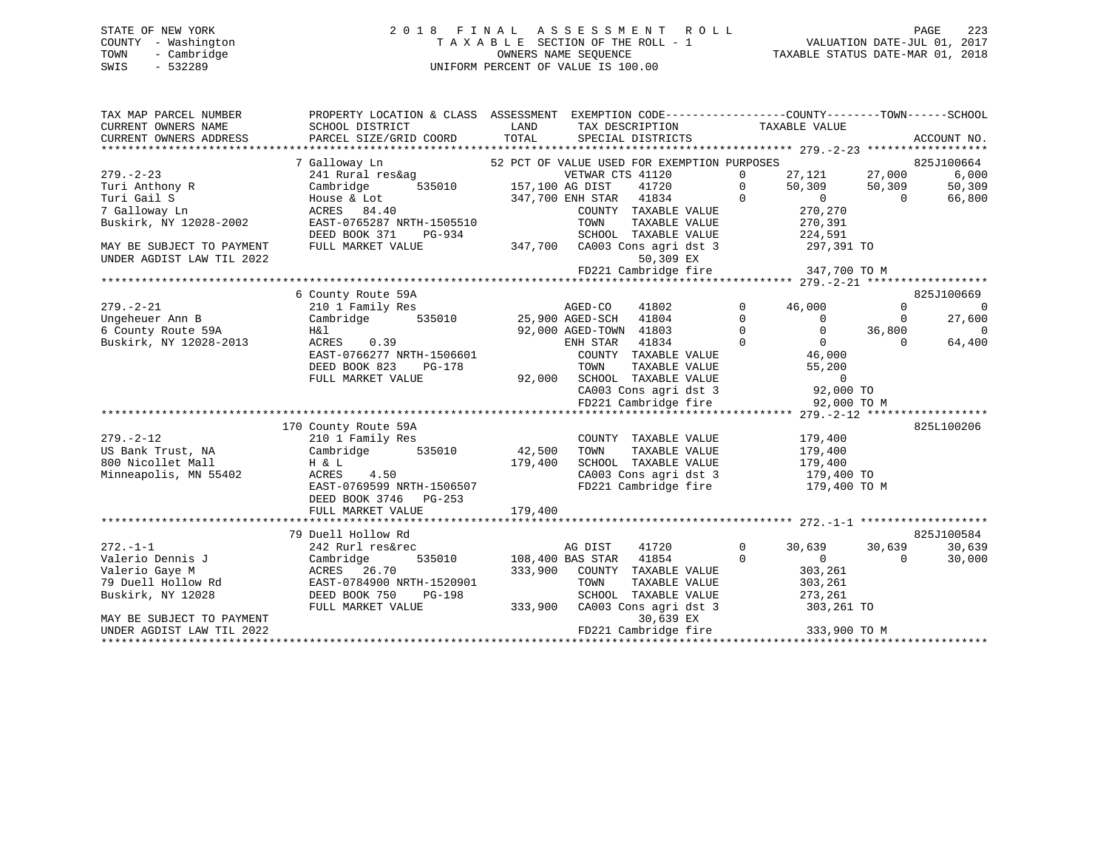# STATE OF NEW YORK 2 0 1 8 F I N A L A S S E S S M E N T R O L L PAGE 223 COUNTY - Washington T A X A B L E SECTION OF THE ROLL - 1 VALUATION DATE-JUL 01, 2017 TOWN - Cambridge OWNERS NAME SEQUENCE TAXABLE STATUS DATE-MAR 01, 2018 SWIS - 532289 UNIFORM PERCENT OF VALUE IS 100.00

| TAXABLE VALUE<br>SCHOOL DISTRICT<br><b>Example 18</b><br>TAX DESCRIPTION<br>TOTAL<br>CURRENT OWNERS ADDRESS<br>PARCEL SIZE/GRID COORD<br>SPECIAL DISTRICTS<br>ACCOUNT NO.<br>52 PCT OF VALUE USED FOR EXEMPTION PURPOSES<br>7 Galloway Ln<br>825J100664<br>27,121 27,000<br>241 Rural res&ag<br>VETWAR CTS 41120<br>6,000<br>$\mathbf{0}$<br>535010 157,100 AG DIST<br>50,309<br>Cambridge<br>41720<br>50,309<br>50, 309<br>$\overline{0}$<br>$0$<br>$0$<br>$0$<br>$0$<br>$\begin{matrix} 0 \\ 0 \end{matrix}$<br>Turi Gail S<br>347,700 ENH STAR 41834<br>66,800<br>House & Lot<br>$\sim$ 0<br>7 Galloway Ln<br>270,270<br>ACRES 84.40<br>COUNTY TAXABLE VALUE<br>Buskirk, NY 12028-2002<br>EAST-0765287 NRTH-1505510<br>TOWN      TAXABLE VALUE<br>SCHOOL   TAXABLE VALUE<br>270,391<br>224,591<br>DEED BOOK 371<br>PG-934<br>347,700 CA003 Cons agri dst 3 297,391 TO<br>FULL MARKET VALUE<br>50,309 EX<br>FD221 Cambridge fire 347,700 TO M<br>6 County Route 59A<br>825J100669<br>$279. - 2 - 21$<br>$\overline{0}$<br>210 1 Family Res<br>AGED-CO<br>41802<br>$\Omega$<br>46,000<br>$\Omega$<br>Cambridge 535010 25,900 AGED-SCH 41804<br>Ungeheuer Ann B<br>$\Omega$<br>27,600<br>$\overline{0}$<br>$\Omega$<br>$0$ 36,800<br>0 0<br>46,000<br>$\overline{0}$<br>6 County Route 59A<br>92,000 AGED-TOWN 41803<br>$\overline{0}$<br>H&l<br>ACRES 0.39<br>$\overline{0}$<br>ENH STAR 41834<br>64,400<br>EAST-0766277 NRTH-1506601<br>COUNTY TAXABLE VALUE<br>DEED BOOK 823<br>PG-178<br>TOWN TAXABLE VALUE<br>92,000 SCHOOL TAXABLE VALUE<br>CA003 Cons agri dst 3 92,000 TO<br>22,000 TO<br>22,000 TO<br>FULL MARKET VALUE<br>FD221 Cambridge fire 92,000 TO M<br>825L100206<br>170 County Route 59A<br>$279. - 2 - 12$<br>210 1 Family Res<br>COUNTY TAXABLE VALUE<br>179,400<br>Cambridge 535010<br>42,500 TOWN<br>TAXABLE VALUE<br>US Bank Trust, NA<br>179,400<br>SCHOOL TAXABLE VALUE 179,400<br>179,400<br>800 Nicollet Mall<br>$H \& L$<br>Minneapolis, MN 55402<br>CA003 Cons agri dst 3 179,400 TO<br>ACRES<br>4.50<br>EAST-0769599 NRTH-1506507<br>FD221 Cambridge fire<br>179,400 TO M<br>DEED BOOK 3746 PG-253<br>179,400<br>FULL MARKET VALUE<br>79 Duell Hollow Rd<br>825J100584<br>30,639<br>30,639<br>$272. - 1 - 1$<br>242 Rurl res&rec<br>AG DIST<br>41720<br>$\mathbf 0$<br>30,639<br>Valerio Dennis J<br>535010 108,400 BAS STAR 41854<br>30,000<br>Cambridge<br>$\overline{0}$<br>$\overline{0}$<br>$\bigcirc$<br>333,900 COUNTY TAXABLE VALUE<br>Valerio Gaye M<br>ACRES 26.70<br>303,261<br>EAST-0784900 NRTH-1520901<br>303,261<br>79 Duell Hollow Rd<br>TOWN<br>TAXABLE VALUE<br>Buskirk, NY 12028<br>DEED BOOK 750<br>PG-198<br>SCHOOL TAXABLE VALUE<br>273,261<br>333,900 CA003 Cons agridst 3<br>303,261 TO<br>FULL MARKET VALUE<br>30,639 EX<br>MAY BE SUBJECT TO PAYMENT<br>FD221 Cambridge fire 333,900 TO M<br>UNDER AGDIST LAW TIL 2022 | TAX MAP PARCEL NUMBER     | PROPERTY LOCATION & CLASS ASSESSMENT EXEMPTION CODE----------------COUNTY-------TOWN------SCHOOL |  |  |  |
|--------------------------------------------------------------------------------------------------------------------------------------------------------------------------------------------------------------------------------------------------------------------------------------------------------------------------------------------------------------------------------------------------------------------------------------------------------------------------------------------------------------------------------------------------------------------------------------------------------------------------------------------------------------------------------------------------------------------------------------------------------------------------------------------------------------------------------------------------------------------------------------------------------------------------------------------------------------------------------------------------------------------------------------------------------------------------------------------------------------------------------------------------------------------------------------------------------------------------------------------------------------------------------------------------------------------------------------------------------------------------------------------------------------------------------------------------------------------------------------------------------------------------------------------------------------------------------------------------------------------------------------------------------------------------------------------------------------------------------------------------------------------------------------------------------------------------------------------------------------------------------------------------------------------------------------------------------------------------------------------------------------------------------------------------------------------------------------------------------------------------------------------------------------------------------------------------------------------------------------------------------------------------------------------------------------------------------------------------------------------------------------------------------------------------------------------------------------------------------------------------------------------------------------------------------------------------------------------------------------------------------------------------------------------------------------------------------------------------------------------------------------------------------------------------------------------------------------------------------------------------------|---------------------------|--------------------------------------------------------------------------------------------------|--|--|--|
|                                                                                                                                                                                                                                                                                                                                                                                                                                                                                                                                                                                                                                                                                                                                                                                                                                                                                                                                                                                                                                                                                                                                                                                                                                                                                                                                                                                                                                                                                                                                                                                                                                                                                                                                                                                                                                                                                                                                                                                                                                                                                                                                                                                                                                                                                                                                                                                                                                                                                                                                                                                                                                                                                                                                                                                                                                                                                | CURRENT OWNERS NAME       |                                                                                                  |  |  |  |
|                                                                                                                                                                                                                                                                                                                                                                                                                                                                                                                                                                                                                                                                                                                                                                                                                                                                                                                                                                                                                                                                                                                                                                                                                                                                                                                                                                                                                                                                                                                                                                                                                                                                                                                                                                                                                                                                                                                                                                                                                                                                                                                                                                                                                                                                                                                                                                                                                                                                                                                                                                                                                                                                                                                                                                                                                                                                                |                           |                                                                                                  |  |  |  |
|                                                                                                                                                                                                                                                                                                                                                                                                                                                                                                                                                                                                                                                                                                                                                                                                                                                                                                                                                                                                                                                                                                                                                                                                                                                                                                                                                                                                                                                                                                                                                                                                                                                                                                                                                                                                                                                                                                                                                                                                                                                                                                                                                                                                                                                                                                                                                                                                                                                                                                                                                                                                                                                                                                                                                                                                                                                                                |                           |                                                                                                  |  |  |  |
|                                                                                                                                                                                                                                                                                                                                                                                                                                                                                                                                                                                                                                                                                                                                                                                                                                                                                                                                                                                                                                                                                                                                                                                                                                                                                                                                                                                                                                                                                                                                                                                                                                                                                                                                                                                                                                                                                                                                                                                                                                                                                                                                                                                                                                                                                                                                                                                                                                                                                                                                                                                                                                                                                                                                                                                                                                                                                |                           |                                                                                                  |  |  |  |
|                                                                                                                                                                                                                                                                                                                                                                                                                                                                                                                                                                                                                                                                                                                                                                                                                                                                                                                                                                                                                                                                                                                                                                                                                                                                                                                                                                                                                                                                                                                                                                                                                                                                                                                                                                                                                                                                                                                                                                                                                                                                                                                                                                                                                                                                                                                                                                                                                                                                                                                                                                                                                                                                                                                                                                                                                                                                                | $279. - 2 - 23$           |                                                                                                  |  |  |  |
|                                                                                                                                                                                                                                                                                                                                                                                                                                                                                                                                                                                                                                                                                                                                                                                                                                                                                                                                                                                                                                                                                                                                                                                                                                                                                                                                                                                                                                                                                                                                                                                                                                                                                                                                                                                                                                                                                                                                                                                                                                                                                                                                                                                                                                                                                                                                                                                                                                                                                                                                                                                                                                                                                                                                                                                                                                                                                | Turi Anthony R            |                                                                                                  |  |  |  |
|                                                                                                                                                                                                                                                                                                                                                                                                                                                                                                                                                                                                                                                                                                                                                                                                                                                                                                                                                                                                                                                                                                                                                                                                                                                                                                                                                                                                                                                                                                                                                                                                                                                                                                                                                                                                                                                                                                                                                                                                                                                                                                                                                                                                                                                                                                                                                                                                                                                                                                                                                                                                                                                                                                                                                                                                                                                                                |                           |                                                                                                  |  |  |  |
|                                                                                                                                                                                                                                                                                                                                                                                                                                                                                                                                                                                                                                                                                                                                                                                                                                                                                                                                                                                                                                                                                                                                                                                                                                                                                                                                                                                                                                                                                                                                                                                                                                                                                                                                                                                                                                                                                                                                                                                                                                                                                                                                                                                                                                                                                                                                                                                                                                                                                                                                                                                                                                                                                                                                                                                                                                                                                |                           |                                                                                                  |  |  |  |
|                                                                                                                                                                                                                                                                                                                                                                                                                                                                                                                                                                                                                                                                                                                                                                                                                                                                                                                                                                                                                                                                                                                                                                                                                                                                                                                                                                                                                                                                                                                                                                                                                                                                                                                                                                                                                                                                                                                                                                                                                                                                                                                                                                                                                                                                                                                                                                                                                                                                                                                                                                                                                                                                                                                                                                                                                                                                                |                           |                                                                                                  |  |  |  |
|                                                                                                                                                                                                                                                                                                                                                                                                                                                                                                                                                                                                                                                                                                                                                                                                                                                                                                                                                                                                                                                                                                                                                                                                                                                                                                                                                                                                                                                                                                                                                                                                                                                                                                                                                                                                                                                                                                                                                                                                                                                                                                                                                                                                                                                                                                                                                                                                                                                                                                                                                                                                                                                                                                                                                                                                                                                                                |                           |                                                                                                  |  |  |  |
|                                                                                                                                                                                                                                                                                                                                                                                                                                                                                                                                                                                                                                                                                                                                                                                                                                                                                                                                                                                                                                                                                                                                                                                                                                                                                                                                                                                                                                                                                                                                                                                                                                                                                                                                                                                                                                                                                                                                                                                                                                                                                                                                                                                                                                                                                                                                                                                                                                                                                                                                                                                                                                                                                                                                                                                                                                                                                | MAY BE SUBJECT TO PAYMENT |                                                                                                  |  |  |  |
|                                                                                                                                                                                                                                                                                                                                                                                                                                                                                                                                                                                                                                                                                                                                                                                                                                                                                                                                                                                                                                                                                                                                                                                                                                                                                                                                                                                                                                                                                                                                                                                                                                                                                                                                                                                                                                                                                                                                                                                                                                                                                                                                                                                                                                                                                                                                                                                                                                                                                                                                                                                                                                                                                                                                                                                                                                                                                | UNDER AGDIST LAW TIL 2022 |                                                                                                  |  |  |  |
|                                                                                                                                                                                                                                                                                                                                                                                                                                                                                                                                                                                                                                                                                                                                                                                                                                                                                                                                                                                                                                                                                                                                                                                                                                                                                                                                                                                                                                                                                                                                                                                                                                                                                                                                                                                                                                                                                                                                                                                                                                                                                                                                                                                                                                                                                                                                                                                                                                                                                                                                                                                                                                                                                                                                                                                                                                                                                |                           |                                                                                                  |  |  |  |
|                                                                                                                                                                                                                                                                                                                                                                                                                                                                                                                                                                                                                                                                                                                                                                                                                                                                                                                                                                                                                                                                                                                                                                                                                                                                                                                                                                                                                                                                                                                                                                                                                                                                                                                                                                                                                                                                                                                                                                                                                                                                                                                                                                                                                                                                                                                                                                                                                                                                                                                                                                                                                                                                                                                                                                                                                                                                                |                           |                                                                                                  |  |  |  |
|                                                                                                                                                                                                                                                                                                                                                                                                                                                                                                                                                                                                                                                                                                                                                                                                                                                                                                                                                                                                                                                                                                                                                                                                                                                                                                                                                                                                                                                                                                                                                                                                                                                                                                                                                                                                                                                                                                                                                                                                                                                                                                                                                                                                                                                                                                                                                                                                                                                                                                                                                                                                                                                                                                                                                                                                                                                                                |                           |                                                                                                  |  |  |  |
|                                                                                                                                                                                                                                                                                                                                                                                                                                                                                                                                                                                                                                                                                                                                                                                                                                                                                                                                                                                                                                                                                                                                                                                                                                                                                                                                                                                                                                                                                                                                                                                                                                                                                                                                                                                                                                                                                                                                                                                                                                                                                                                                                                                                                                                                                                                                                                                                                                                                                                                                                                                                                                                                                                                                                                                                                                                                                |                           |                                                                                                  |  |  |  |
|                                                                                                                                                                                                                                                                                                                                                                                                                                                                                                                                                                                                                                                                                                                                                                                                                                                                                                                                                                                                                                                                                                                                                                                                                                                                                                                                                                                                                                                                                                                                                                                                                                                                                                                                                                                                                                                                                                                                                                                                                                                                                                                                                                                                                                                                                                                                                                                                                                                                                                                                                                                                                                                                                                                                                                                                                                                                                |                           |                                                                                                  |  |  |  |
|                                                                                                                                                                                                                                                                                                                                                                                                                                                                                                                                                                                                                                                                                                                                                                                                                                                                                                                                                                                                                                                                                                                                                                                                                                                                                                                                                                                                                                                                                                                                                                                                                                                                                                                                                                                                                                                                                                                                                                                                                                                                                                                                                                                                                                                                                                                                                                                                                                                                                                                                                                                                                                                                                                                                                                                                                                                                                |                           |                                                                                                  |  |  |  |
|                                                                                                                                                                                                                                                                                                                                                                                                                                                                                                                                                                                                                                                                                                                                                                                                                                                                                                                                                                                                                                                                                                                                                                                                                                                                                                                                                                                                                                                                                                                                                                                                                                                                                                                                                                                                                                                                                                                                                                                                                                                                                                                                                                                                                                                                                                                                                                                                                                                                                                                                                                                                                                                                                                                                                                                                                                                                                | Buskirk, NY 12028-2013    |                                                                                                  |  |  |  |
|                                                                                                                                                                                                                                                                                                                                                                                                                                                                                                                                                                                                                                                                                                                                                                                                                                                                                                                                                                                                                                                                                                                                                                                                                                                                                                                                                                                                                                                                                                                                                                                                                                                                                                                                                                                                                                                                                                                                                                                                                                                                                                                                                                                                                                                                                                                                                                                                                                                                                                                                                                                                                                                                                                                                                                                                                                                                                |                           |                                                                                                  |  |  |  |
|                                                                                                                                                                                                                                                                                                                                                                                                                                                                                                                                                                                                                                                                                                                                                                                                                                                                                                                                                                                                                                                                                                                                                                                                                                                                                                                                                                                                                                                                                                                                                                                                                                                                                                                                                                                                                                                                                                                                                                                                                                                                                                                                                                                                                                                                                                                                                                                                                                                                                                                                                                                                                                                                                                                                                                                                                                                                                |                           |                                                                                                  |  |  |  |
|                                                                                                                                                                                                                                                                                                                                                                                                                                                                                                                                                                                                                                                                                                                                                                                                                                                                                                                                                                                                                                                                                                                                                                                                                                                                                                                                                                                                                                                                                                                                                                                                                                                                                                                                                                                                                                                                                                                                                                                                                                                                                                                                                                                                                                                                                                                                                                                                                                                                                                                                                                                                                                                                                                                                                                                                                                                                                |                           |                                                                                                  |  |  |  |
|                                                                                                                                                                                                                                                                                                                                                                                                                                                                                                                                                                                                                                                                                                                                                                                                                                                                                                                                                                                                                                                                                                                                                                                                                                                                                                                                                                                                                                                                                                                                                                                                                                                                                                                                                                                                                                                                                                                                                                                                                                                                                                                                                                                                                                                                                                                                                                                                                                                                                                                                                                                                                                                                                                                                                                                                                                                                                |                           |                                                                                                  |  |  |  |
|                                                                                                                                                                                                                                                                                                                                                                                                                                                                                                                                                                                                                                                                                                                                                                                                                                                                                                                                                                                                                                                                                                                                                                                                                                                                                                                                                                                                                                                                                                                                                                                                                                                                                                                                                                                                                                                                                                                                                                                                                                                                                                                                                                                                                                                                                                                                                                                                                                                                                                                                                                                                                                                                                                                                                                                                                                                                                |                           |                                                                                                  |  |  |  |
|                                                                                                                                                                                                                                                                                                                                                                                                                                                                                                                                                                                                                                                                                                                                                                                                                                                                                                                                                                                                                                                                                                                                                                                                                                                                                                                                                                                                                                                                                                                                                                                                                                                                                                                                                                                                                                                                                                                                                                                                                                                                                                                                                                                                                                                                                                                                                                                                                                                                                                                                                                                                                                                                                                                                                                                                                                                                                |                           |                                                                                                  |  |  |  |
|                                                                                                                                                                                                                                                                                                                                                                                                                                                                                                                                                                                                                                                                                                                                                                                                                                                                                                                                                                                                                                                                                                                                                                                                                                                                                                                                                                                                                                                                                                                                                                                                                                                                                                                                                                                                                                                                                                                                                                                                                                                                                                                                                                                                                                                                                                                                                                                                                                                                                                                                                                                                                                                                                                                                                                                                                                                                                |                           |                                                                                                  |  |  |  |
|                                                                                                                                                                                                                                                                                                                                                                                                                                                                                                                                                                                                                                                                                                                                                                                                                                                                                                                                                                                                                                                                                                                                                                                                                                                                                                                                                                                                                                                                                                                                                                                                                                                                                                                                                                                                                                                                                                                                                                                                                                                                                                                                                                                                                                                                                                                                                                                                                                                                                                                                                                                                                                                                                                                                                                                                                                                                                |                           |                                                                                                  |  |  |  |
|                                                                                                                                                                                                                                                                                                                                                                                                                                                                                                                                                                                                                                                                                                                                                                                                                                                                                                                                                                                                                                                                                                                                                                                                                                                                                                                                                                                                                                                                                                                                                                                                                                                                                                                                                                                                                                                                                                                                                                                                                                                                                                                                                                                                                                                                                                                                                                                                                                                                                                                                                                                                                                                                                                                                                                                                                                                                                |                           |                                                                                                  |  |  |  |
|                                                                                                                                                                                                                                                                                                                                                                                                                                                                                                                                                                                                                                                                                                                                                                                                                                                                                                                                                                                                                                                                                                                                                                                                                                                                                                                                                                                                                                                                                                                                                                                                                                                                                                                                                                                                                                                                                                                                                                                                                                                                                                                                                                                                                                                                                                                                                                                                                                                                                                                                                                                                                                                                                                                                                                                                                                                                                |                           |                                                                                                  |  |  |  |
|                                                                                                                                                                                                                                                                                                                                                                                                                                                                                                                                                                                                                                                                                                                                                                                                                                                                                                                                                                                                                                                                                                                                                                                                                                                                                                                                                                                                                                                                                                                                                                                                                                                                                                                                                                                                                                                                                                                                                                                                                                                                                                                                                                                                                                                                                                                                                                                                                                                                                                                                                                                                                                                                                                                                                                                                                                                                                |                           |                                                                                                  |  |  |  |
|                                                                                                                                                                                                                                                                                                                                                                                                                                                                                                                                                                                                                                                                                                                                                                                                                                                                                                                                                                                                                                                                                                                                                                                                                                                                                                                                                                                                                                                                                                                                                                                                                                                                                                                                                                                                                                                                                                                                                                                                                                                                                                                                                                                                                                                                                                                                                                                                                                                                                                                                                                                                                                                                                                                                                                                                                                                                                |                           |                                                                                                  |  |  |  |
|                                                                                                                                                                                                                                                                                                                                                                                                                                                                                                                                                                                                                                                                                                                                                                                                                                                                                                                                                                                                                                                                                                                                                                                                                                                                                                                                                                                                                                                                                                                                                                                                                                                                                                                                                                                                                                                                                                                                                                                                                                                                                                                                                                                                                                                                                                                                                                                                                                                                                                                                                                                                                                                                                                                                                                                                                                                                                |                           |                                                                                                  |  |  |  |
|                                                                                                                                                                                                                                                                                                                                                                                                                                                                                                                                                                                                                                                                                                                                                                                                                                                                                                                                                                                                                                                                                                                                                                                                                                                                                                                                                                                                                                                                                                                                                                                                                                                                                                                                                                                                                                                                                                                                                                                                                                                                                                                                                                                                                                                                                                                                                                                                                                                                                                                                                                                                                                                                                                                                                                                                                                                                                |                           |                                                                                                  |  |  |  |
|                                                                                                                                                                                                                                                                                                                                                                                                                                                                                                                                                                                                                                                                                                                                                                                                                                                                                                                                                                                                                                                                                                                                                                                                                                                                                                                                                                                                                                                                                                                                                                                                                                                                                                                                                                                                                                                                                                                                                                                                                                                                                                                                                                                                                                                                                                                                                                                                                                                                                                                                                                                                                                                                                                                                                                                                                                                                                |                           |                                                                                                  |  |  |  |
|                                                                                                                                                                                                                                                                                                                                                                                                                                                                                                                                                                                                                                                                                                                                                                                                                                                                                                                                                                                                                                                                                                                                                                                                                                                                                                                                                                                                                                                                                                                                                                                                                                                                                                                                                                                                                                                                                                                                                                                                                                                                                                                                                                                                                                                                                                                                                                                                                                                                                                                                                                                                                                                                                                                                                                                                                                                                                |                           |                                                                                                  |  |  |  |
|                                                                                                                                                                                                                                                                                                                                                                                                                                                                                                                                                                                                                                                                                                                                                                                                                                                                                                                                                                                                                                                                                                                                                                                                                                                                                                                                                                                                                                                                                                                                                                                                                                                                                                                                                                                                                                                                                                                                                                                                                                                                                                                                                                                                                                                                                                                                                                                                                                                                                                                                                                                                                                                                                                                                                                                                                                                                                |                           |                                                                                                  |  |  |  |
|                                                                                                                                                                                                                                                                                                                                                                                                                                                                                                                                                                                                                                                                                                                                                                                                                                                                                                                                                                                                                                                                                                                                                                                                                                                                                                                                                                                                                                                                                                                                                                                                                                                                                                                                                                                                                                                                                                                                                                                                                                                                                                                                                                                                                                                                                                                                                                                                                                                                                                                                                                                                                                                                                                                                                                                                                                                                                |                           |                                                                                                  |  |  |  |
|                                                                                                                                                                                                                                                                                                                                                                                                                                                                                                                                                                                                                                                                                                                                                                                                                                                                                                                                                                                                                                                                                                                                                                                                                                                                                                                                                                                                                                                                                                                                                                                                                                                                                                                                                                                                                                                                                                                                                                                                                                                                                                                                                                                                                                                                                                                                                                                                                                                                                                                                                                                                                                                                                                                                                                                                                                                                                |                           |                                                                                                  |  |  |  |
|                                                                                                                                                                                                                                                                                                                                                                                                                                                                                                                                                                                                                                                                                                                                                                                                                                                                                                                                                                                                                                                                                                                                                                                                                                                                                                                                                                                                                                                                                                                                                                                                                                                                                                                                                                                                                                                                                                                                                                                                                                                                                                                                                                                                                                                                                                                                                                                                                                                                                                                                                                                                                                                                                                                                                                                                                                                                                |                           |                                                                                                  |  |  |  |
|                                                                                                                                                                                                                                                                                                                                                                                                                                                                                                                                                                                                                                                                                                                                                                                                                                                                                                                                                                                                                                                                                                                                                                                                                                                                                                                                                                                                                                                                                                                                                                                                                                                                                                                                                                                                                                                                                                                                                                                                                                                                                                                                                                                                                                                                                                                                                                                                                                                                                                                                                                                                                                                                                                                                                                                                                                                                                |                           |                                                                                                  |  |  |  |
|                                                                                                                                                                                                                                                                                                                                                                                                                                                                                                                                                                                                                                                                                                                                                                                                                                                                                                                                                                                                                                                                                                                                                                                                                                                                                                                                                                                                                                                                                                                                                                                                                                                                                                                                                                                                                                                                                                                                                                                                                                                                                                                                                                                                                                                                                                                                                                                                                                                                                                                                                                                                                                                                                                                                                                                                                                                                                |                           |                                                                                                  |  |  |  |
|                                                                                                                                                                                                                                                                                                                                                                                                                                                                                                                                                                                                                                                                                                                                                                                                                                                                                                                                                                                                                                                                                                                                                                                                                                                                                                                                                                                                                                                                                                                                                                                                                                                                                                                                                                                                                                                                                                                                                                                                                                                                                                                                                                                                                                                                                                                                                                                                                                                                                                                                                                                                                                                                                                                                                                                                                                                                                |                           |                                                                                                  |  |  |  |
|                                                                                                                                                                                                                                                                                                                                                                                                                                                                                                                                                                                                                                                                                                                                                                                                                                                                                                                                                                                                                                                                                                                                                                                                                                                                                                                                                                                                                                                                                                                                                                                                                                                                                                                                                                                                                                                                                                                                                                                                                                                                                                                                                                                                                                                                                                                                                                                                                                                                                                                                                                                                                                                                                                                                                                                                                                                                                |                           |                                                                                                  |  |  |  |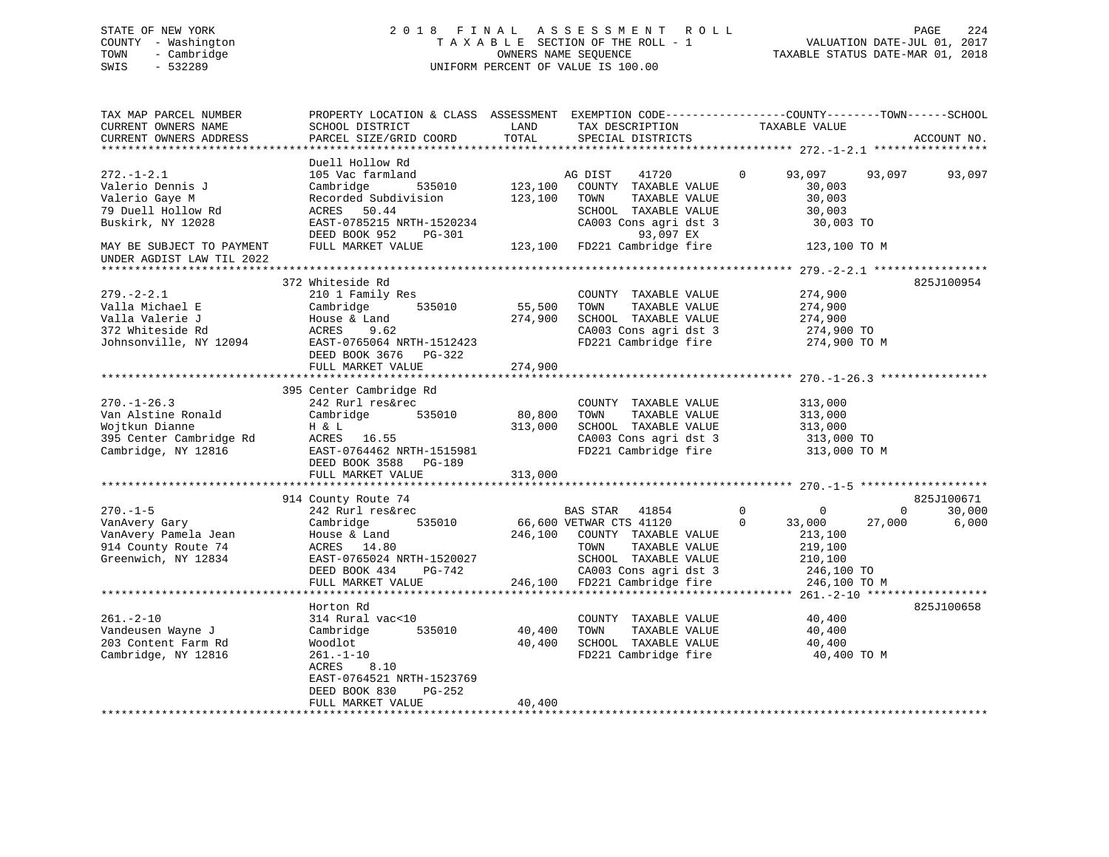# STATE OF NEW YORK 2 0 1 8 F I N A L A S S E S S M E N T R O L L PAGE 224 COUNTY - Washington T A X A B L E SECTION OF THE ROLL - 1 VALUATION DATE-JUL 01, 2017 TOWN - Cambridge OWNERS NAME SEQUENCE TAXABLE STATUS DATE-MAR 01, 2018 SWIS - 532289 UNIFORM PERCENT OF VALUE IS 100.00

| TAX MAP PARCEL NUMBER<br>CURRENT OWNERS NAME<br>CURRENT OWNERS ADDRESS                                                                                      | PROPERTY LOCATION & CLASS ASSESSMENT<br>SCHOOL DISTRICT<br>PARCEL SIZE/GRID COORD                                                                                              | LAND<br>TOTAL                 | EXEMPTION CODE-----------------COUNTY-------TOWN------SCHOOL<br>TAX DESCRIPTION<br>SPECIAL DISTRICTS                                                                | TAXABLE VALUE                                                                                                   | ACCOUNT NO.                               |
|-------------------------------------------------------------------------------------------------------------------------------------------------------------|--------------------------------------------------------------------------------------------------------------------------------------------------------------------------------|-------------------------------|---------------------------------------------------------------------------------------------------------------------------------------------------------------------|-----------------------------------------------------------------------------------------------------------------|-------------------------------------------|
| $272. - 1 - 2.1$<br>Valerio Dennis J<br>Valerio Gaye M<br>79 Duell Hollow Rd<br>Buskirk, NY 12028<br>MAY BE SUBJECT TO PAYMENT<br>UNDER AGDIST LAW TIL 2022 | Duell Hollow Rd<br>105 Vac farmland<br>535010<br>Cambridge<br>Recorded Subdivision<br>ACRES 50.44<br>EAST-0785215 NRTH-1520234<br>DEED BOOK 952<br>PG-301<br>FULL MARKET VALUE | 123,100<br>123,100<br>123,100 | 41720<br>AG DIST<br>COUNTY TAXABLE VALUE<br>TOWN<br>TAXABLE VALUE<br>SCHOOL TAXABLE VALUE<br>CA003 Cons agri dst 3<br>93,097 EX<br>FD221 Cambridge fire             | $\Omega$<br>93,097<br>30,003<br>30,003<br>30,003<br>30,003 TO<br>123,100 TO M                                   | 93,097<br>93,097                          |
|                                                                                                                                                             |                                                                                                                                                                                |                               |                                                                                                                                                                     |                                                                                                                 |                                           |
| $279. - 2 - 2.1$<br>Valla Michael E<br>Valla Valerie J<br>372 Whiteside Rd<br>Johnsonville, NY 12094                                                        | 372 Whiteside Rd<br>210 1 Family Res<br>Cambridge<br>535010<br>House & Land<br>9.62<br>ACRES<br>EAST-0765064 NRTH-1512423<br>DEED BOOK 3676<br>PG-322<br>FULL MARKET VALUE     | 55,500<br>274,900<br>274,900  | COUNTY TAXABLE VALUE<br>TOWN<br>TAXABLE VALUE<br>SCHOOL TAXABLE VALUE<br>CA003 Cons agri dst 3<br>FD221 Cambridge fire                                              | 274,900<br>274,900<br>274,900<br>274,900 TO<br>274,900 TO M                                                     | 825J100954                                |
|                                                                                                                                                             |                                                                                                                                                                                |                               |                                                                                                                                                                     |                                                                                                                 |                                           |
| $270. - 1 - 26.3$<br>Van Alstine Ronald<br>Wojtkun Dianne<br>395 Center Cambridge Rd<br>Cambridge, NY 12816                                                 | 395 Center Cambridge Rd<br>242 Rurl res&rec<br>Cambridge<br>535010<br>H & L<br>ACRES 16.55<br>EAST-0764462 NRTH-1515981<br>DEED BOOK 3588 PG-189<br>FULL MARKET VALUE          | 80,800<br>313,000<br>313,000  | COUNTY TAXABLE VALUE<br>TOWN<br>TAXABLE VALUE<br>SCHOOL TAXABLE VALUE<br>CA003 Cons agri dst 3<br>FD221 Cambridge fire                                              | 313,000<br>313,000<br>313,000<br>313,000 TO<br>313,000 TO M                                                     |                                           |
|                                                                                                                                                             | 914 County Route 74                                                                                                                                                            |                               |                                                                                                                                                                     |                                                                                                                 | 825J100671                                |
| $270. - 1 - 5$<br>VanAvery Gary<br>VanAvery Pamela Jean<br>914 County Route 74<br>Greenwich, NY 12834                                                       | 242 Rurl res&rec<br>535010<br>Cambridge<br>House & Land<br>ACRES 14.80<br>EAST-0765024 NRTH-1520027<br>DEED BOOK 434<br>PG-742<br>FULL MARKET VALUE                            | 246,100<br>246,100            | BAS STAR 41854<br>66,600 VETWAR CTS 41120<br>COUNTY TAXABLE VALUE<br>TOWN<br>TAXABLE VALUE<br>SCHOOL TAXABLE VALUE<br>CA003 Cons agri dst 3<br>FD221 Cambridge fire | $\mathbf 0$<br>$\mathbf 0$<br>$\Omega$<br>33,000<br>213,100<br>219,100<br>210,100<br>246,100 TO<br>246,100 TO M | 30,000<br>$\mathbf{0}$<br>6,000<br>27,000 |
|                                                                                                                                                             | Horton Rd                                                                                                                                                                      |                               |                                                                                                                                                                     |                                                                                                                 | 825J100658                                |
| $261. - 2 - 10$<br>Vandeusen Wayne J<br>203 Content Farm Rd<br>Cambridge, NY 12816                                                                          | 314 Rural vac<10<br>535010<br>Cambridge<br>Woodlot<br>$261. - 1 - 10$<br>8.10<br>ACRES<br>EAST-0764521 NRTH-1523769<br>DEED BOOK 830<br>PG-252                                 | 40,400<br>40,400              | COUNTY TAXABLE VALUE<br>TOWN<br>TAXABLE VALUE<br>SCHOOL TAXABLE VALUE<br>FD221 Cambridge fire                                                                       | 40,400<br>40,400<br>40,400<br>40,400 TO M                                                                       |                                           |
|                                                                                                                                                             | FULL MARKET VALUE                                                                                                                                                              | 40,400                        | ********************************                                                                                                                                    |                                                                                                                 |                                           |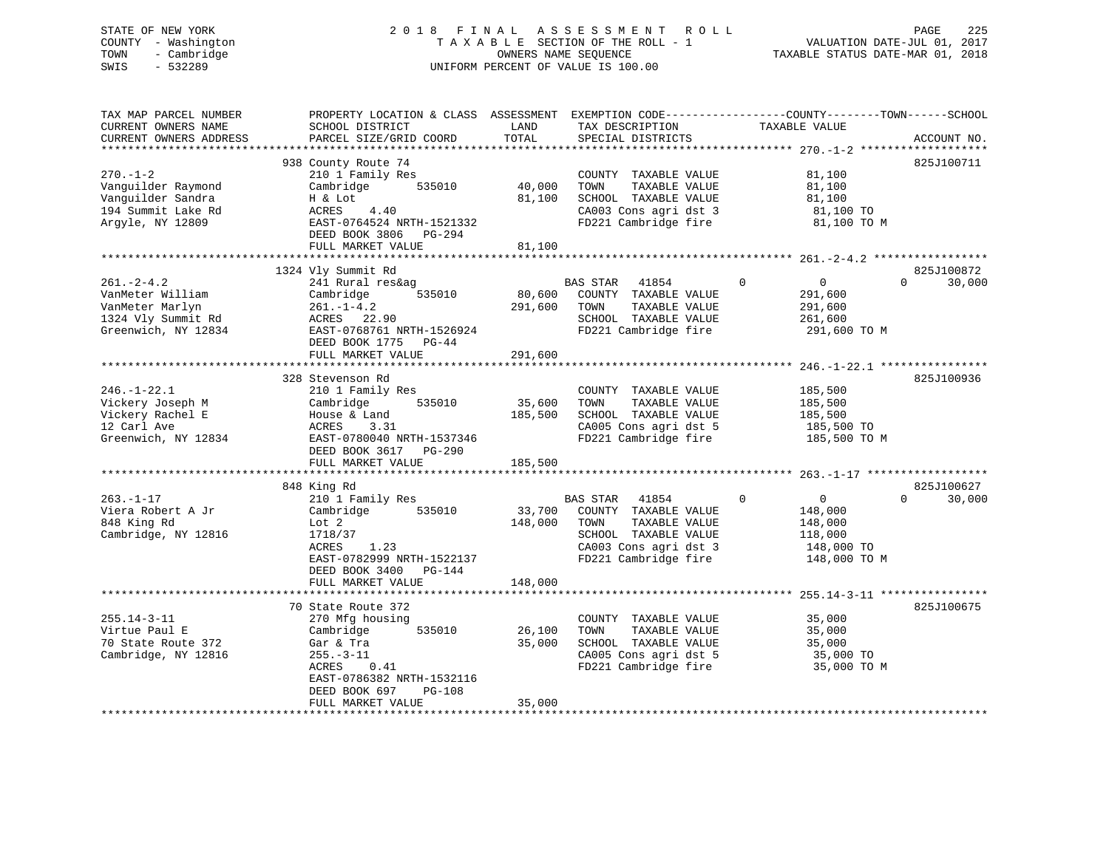#### STATE OF NEW YORK 2 0 1 8 F I N A L A S S E S S M E N T R O L L PAGE 225COUNTY - Washington  $T A X A B L E$  SECTION OF THE ROLL - 1<br>TOWN - Cambridge  $\qquad$  OWNERS NAME SEQUENCE TOWN - Cambridge OWNERS NAME SEQUENCE TAXABLE STATUS DATE-MAR 01, 2018 SWIS - 532289 UNIFORM PERCENT OF VALUE IS 100.00

VALUATION DATE-JUL 01, 2017

| TAX MAP PARCEL NUMBER<br>CURRENT OWNERS NAME<br>CURRENT OWNERS ADDRESS                              | PROPERTY LOCATION & CLASS ASSESSMENT<br>SCHOOL DISTRICT<br>PARCEL SIZE/GRID COORD                                                                                                                            | LAND<br>TOTAL                | TAX DESCRIPTION<br>SPECIAL DISTRICTS                                                                                                               | EXEMPTION CODE-----------------COUNTY-------TOWN------SCHOOL<br>TAXABLE VALUE          | ACCOUNT NO.                      |
|-----------------------------------------------------------------------------------------------------|--------------------------------------------------------------------------------------------------------------------------------------------------------------------------------------------------------------|------------------------------|----------------------------------------------------------------------------------------------------------------------------------------------------|----------------------------------------------------------------------------------------|----------------------------------|
| *************************                                                                           |                                                                                                                                                                                                              |                              |                                                                                                                                                    |                                                                                        |                                  |
| $270. - 1 - 2$<br>Vanguilder Raymond<br>Vanguilder Sandra<br>194 Summit Lake Rd<br>Argyle, NY 12809 | 938 County Route 74<br>210 1 Family Res<br>535010<br>Cambridge<br>H & Lot<br>ACRES<br>4.40<br>EAST-0764524 NRTH-1521332<br>DEED BOOK 3806 PG-294<br>FULL MARKET VALUE                                        | 40,000<br>81,100<br>81,100   | COUNTY TAXABLE VALUE<br>TOWN<br>TAXABLE VALUE<br>SCHOOL TAXABLE VALUE<br>CA003 Cons agri dst 3<br>FD221 Cambridge fire                             | 81,100<br>81,100<br>81,100<br>81,100 TO<br>81,100 TO M                                 | 825J100711                       |
|                                                                                                     |                                                                                                                                                                                                              |                              |                                                                                                                                                    |                                                                                        |                                  |
| $261 - 2 - 4.2$<br>VanMeter William<br>VanMeter Marlyn<br>1324 Vly Summit Rd<br>Greenwich, NY 12834 | 1324 Vly Summit Rd<br>241 Rural res&ag<br>535010<br>Cambridge<br>$261. - 1 - 4.2$<br>ACRES 22.90<br>EAST-0768761 NRTH-1526924<br>DEED BOOK 1775 PG-44<br>FULL MARKET VALUE                                   | 80,600<br>291,600<br>291,600 | <b>BAS STAR</b><br>41854<br>COUNTY TAXABLE VALUE<br>TOWN<br>TAXABLE VALUE<br>SCHOOL TAXABLE VALUE<br>FD221 Cambridge fire                          | $\Omega$<br>$\mathbf 0$<br>291,600<br>291,600<br>261,600<br>291,600 TO M               | 825J100872<br>30,000<br>$\Omega$ |
|                                                                                                     | *************************<br>328 Stevenson Rd                                                                                                                                                                |                              |                                                                                                                                                    | ************************ 246.-1-22.1 ****                                              | 825J100936                       |
| $246. - 1 - 22.1$<br>Vickery Joseph M<br>Vickery Rachel E<br>12 Carl Ave<br>Greenwich, NY 12834     | 210 1 Family Res<br>535010<br>Cambridge<br>House & Land<br>ACRES<br>3.31<br>EAST-0780040 NRTH-1537346<br>DEED BOOK 3617<br>PG-290<br>FULL MARKET VALUE                                                       | 35,600<br>185,500<br>185,500 | COUNTY TAXABLE VALUE<br>TOWN<br>TAXABLE VALUE<br>SCHOOL TAXABLE VALUE<br>CA005 Cons agri dst 5<br>FD221 Cambridge fire                             | 185,500<br>185,500<br>185,500<br>185,500 TO<br>185,500 TO M                            |                                  |
|                                                                                                     | 848 King Rd                                                                                                                                                                                                  |                              |                                                                                                                                                    |                                                                                        | 825J100627                       |
| $263. - 1 - 17$<br>Viera Robert A Jr<br>848 King Rd<br>Cambridge, NY 12816                          | 210 1 Family Res<br>Cambridge<br>535010<br>Lot 2<br>1718/37<br>ACRES<br>1.23<br>EAST-0782999 NRTH-1522137<br>DEED BOOK 3400<br>PG-144                                                                        | 33,700<br>148,000            | <b>BAS STAR</b><br>41854<br>COUNTY TAXABLE VALUE<br>TOWN<br>TAXABLE VALUE<br>SCHOOL TAXABLE VALUE<br>CA003 Cons agri dst 3<br>FD221 Cambridge fire | $\Omega$<br>$\mathbf 0$<br>148,000<br>148,000<br>118,000<br>148,000 TO<br>148,000 TO M | $\Omega$<br>30,000               |
|                                                                                                     | FULL MARKET VALUE                                                                                                                                                                                            | 148,000                      |                                                                                                                                                    |                                                                                        |                                  |
| $255.14 - 3 - 11$<br>Virtue Paul E<br>70 State Route 372<br>Cambridge, NY 12816                     | ****************************<br>70 State Route 372<br>270 Mfg housing<br>535010<br>Cambridge<br>Gar & Tra<br>$255. - 3 - 11$<br>ACRES<br>0.41<br>EAST-0786382 NRTH-1532116<br>DEED BOOK 697<br><b>PG-108</b> | 26,100<br>35,000             | COUNTY TAXABLE VALUE<br>TOWN<br>TAXABLE VALUE<br>SCHOOL TAXABLE VALUE<br>CA005 Cons agri dst 5<br>FD221 Cambridge fire                             | 35,000<br>35,000<br>35,000<br>35,000 TO<br>35,000 TO M                                 | 825J100675                       |
|                                                                                                     | FULL MARKET VALUE                                                                                                                                                                                            | 35,000                       |                                                                                                                                                    |                                                                                        |                                  |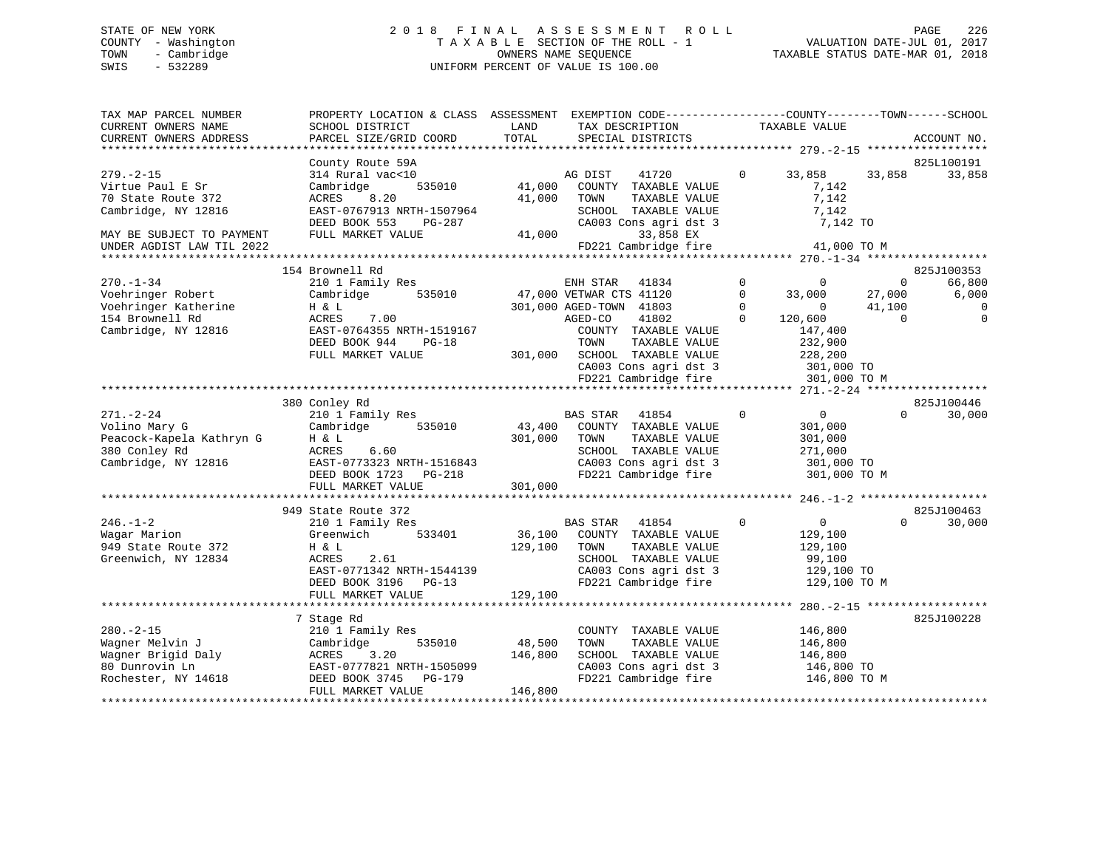# STATE OF NEW YORK 2 0 1 8 F I N A L A S S E S S M E N T R O L L PAGE 226 COUNTY - Washington T A X A B L E SECTION OF THE ROLL - 1 VALUATION DATE-JUL 01, 2017 TOWN - Cambridge OWNERS NAME SEQUENCE TAXABLE STATUS DATE-MAR 01, 2018 SWIS - 532289 UNIFORM PERCENT OF VALUE IS 100.00

| TAX MAP PARCEL NUMBER<br>CURRENT OWNERS NAME<br>CURRENT OWNERS ADDRESS                                        | PROPERTY LOCATION & CLASS ASSESSMENT EXEMPTION CODE----------------COUNTY-------TOWN------SCHOOL<br>SCHOOL DISTRICT<br>PARCEL SIZE/GRID COORD                      | LAND<br>TOTAL                | TAX DESCRIPTION<br>SPECIAL DISTRICTS                                                                                                                                                                                  | TAXABLE VALUE                                                                                                                                                                   | ACCOUNT NO.                                                                   |
|---------------------------------------------------------------------------------------------------------------|--------------------------------------------------------------------------------------------------------------------------------------------------------------------|------------------------------|-----------------------------------------------------------------------------------------------------------------------------------------------------------------------------------------------------------------------|---------------------------------------------------------------------------------------------------------------------------------------------------------------------------------|-------------------------------------------------------------------------------|
|                                                                                                               |                                                                                                                                                                    |                              |                                                                                                                                                                                                                       |                                                                                                                                                                                 |                                                                               |
|                                                                                                               | County Route 59A                                                                                                                                                   |                              |                                                                                                                                                                                                                       |                                                                                                                                                                                 | 825L100191                                                                    |
| $279. - 2 - 15$<br>Virtue Paul E Sr<br>70 State Route 372<br>Cambridge, NY 12816<br>MAY BE SUBJECT TO PAYMENT | 314 Rural vac<10<br>535010<br>Cambridge<br>8.20<br>ACRES<br>EAST-0767913 NRTH-1507964<br>DEED BOOK 553<br>$PG-287$<br>FULL MARKET VALUE                            | 41,000<br>41,000<br>41,000   | 41720<br>AG DIST<br>COUNTY TAXABLE VALUE<br>TOWN<br>TAXABLE VALUE<br>SCHOOL TAXABLE VALUE<br>CA003 Cons agri dst 3<br>33,858 EX                                                                                       | $\mathbf 0$<br>33,858<br>33,858<br>7,142<br>7,142<br>7,142<br>7,142 TO                                                                                                          | 33,858                                                                        |
| UNDER AGDIST LAW TIL 2022                                                                                     |                                                                                                                                                                    |                              | FD221 Cambridge fire                                                                                                                                                                                                  | 41,000 TO M                                                                                                                                                                     |                                                                               |
|                                                                                                               |                                                                                                                                                                    |                              |                                                                                                                                                                                                                       |                                                                                                                                                                                 |                                                                               |
| $270. - 1 - 34$<br>Voehringer Robert<br>Voehringer Katherine<br>154 Brownell Rd<br>Cambridge, NY 12816        | 154 Brownell Rd<br>210 1 Family Res<br>535010<br>Cambridge<br>H & L<br>7.00<br>ACRES<br>EAST-0764355 NRTH-1519167<br>DEED BOOK 944<br>$PG-18$<br>FULL MARKET VALUE | 301,000                      | ENH STAR<br>41834<br>47,000 VETWAR CTS 41120<br>301,000 AGED-TOWN 41803<br>41802<br>AGED-CO<br>COUNTY TAXABLE VALUE<br>TAXABLE VALUE<br>TOWN<br>SCHOOL TAXABLE VALUE<br>CA003 Cons agri dst 3<br>FD221 Cambridge fire | $\mathbf 0$<br>$\Omega$<br>$\Omega$<br>33,000<br>27,000<br>$\Omega$<br>$\Omega$<br>41,100<br>$\Omega$<br>120,600<br>147,400<br>232,900<br>228,200<br>301,000 TO<br>301,000 TO M | 825J100353<br>66,800<br>$\Omega$<br>6,000<br>$\Omega$<br>$\Omega$<br>$\Omega$ |
|                                                                                                               |                                                                                                                                                                    |                              |                                                                                                                                                                                                                       |                                                                                                                                                                                 |                                                                               |
| $271. - 2 - 24$<br>Volino Mary G<br>Peacock-Kapela Kathryn G<br>380 Conley Rd<br>Cambridge, NY 12816          | 380 Conley Rd<br>210 1 Family Res<br>535010<br>Cambridge<br>H & L<br>ACRES<br>6.60<br>EAST-0773323 NRTH-1516843<br>DEED BOOK 1723<br>PG-218<br>FULL MARKET VALUE   | 43,400<br>301,000<br>301,000 | <b>BAS STAR</b><br>41854<br>COUNTY TAXABLE VALUE<br>TAXABLE VALUE<br>TOWN<br>SCHOOL TAXABLE VALUE<br>CA003 Cons agri dst 3<br>FD221 Cambridge fire                                                                    | $\Omega$<br>$\overline{0}$<br>301,000<br>301,000<br>271,000<br>301,000 TO<br>301,000 TO M                                                                                       | 825J100446<br>$\Omega$<br>30,000                                              |
|                                                                                                               |                                                                                                                                                                    |                              |                                                                                                                                                                                                                       |                                                                                                                                                                                 |                                                                               |
|                                                                                                               | 949 State Route 372                                                                                                                                                |                              |                                                                                                                                                                                                                       |                                                                                                                                                                                 | 825J100463                                                                    |
| $246. - 1 - 2$<br>Wagar Marion<br>949 State Route 372<br>Greenwich, NY 12834                                  | 210 1 Family Res<br>Greenwich<br>533401<br>H & L<br>ACRES<br>2.61<br>EAST-0771342 NRTH-1544139<br>DEED BOOK 3196 PG-13<br>FULL MARKET VALUE                        | 36,100<br>129,100<br>129,100 | <b>BAS STAR</b><br>41854<br>COUNTY TAXABLE VALUE<br>TAXABLE VALUE<br>TOWN<br>SCHOOL TAXABLE VALUE<br>CA003 Cons agri dst 3<br>FD221 Cambridge fire                                                                    | $\Omega$<br>$\mathbf{0}$<br>129,100<br>129,100<br>99,100<br>129,100 TO<br>129,100 TO M                                                                                          | 30,000<br>$\Omega$                                                            |
|                                                                                                               |                                                                                                                                                                    |                              |                                                                                                                                                                                                                       |                                                                                                                                                                                 |                                                                               |
| $280. - 2 - 15$<br>Wagner Melvin J<br>Wagner Brigid Daly<br>80 Dunrovin Ln<br>Rochester, NY 14618             | 7 Stage Rd<br>210 1 Family Res<br>535010<br>Cambridge<br>ACRES<br>3.20<br>EAST-0777821 NRTH-1505099<br>DEED BOOK 3745<br>PG-179                                    | 48,500<br>146,800            | COUNTY TAXABLE VALUE<br>TOWN<br>TAXABLE VALUE<br>SCHOOL TAXABLE VALUE<br>CA003 Cons agri dst 3<br>FD221 Cambridge fire                                                                                                | 146,800<br>146,800<br>146,800<br>146,800 TO<br>146,800 TO M                                                                                                                     | 825J100228                                                                    |
|                                                                                                               | FULL MARKET VALUE                                                                                                                                                  | 146,800                      |                                                                                                                                                                                                                       |                                                                                                                                                                                 |                                                                               |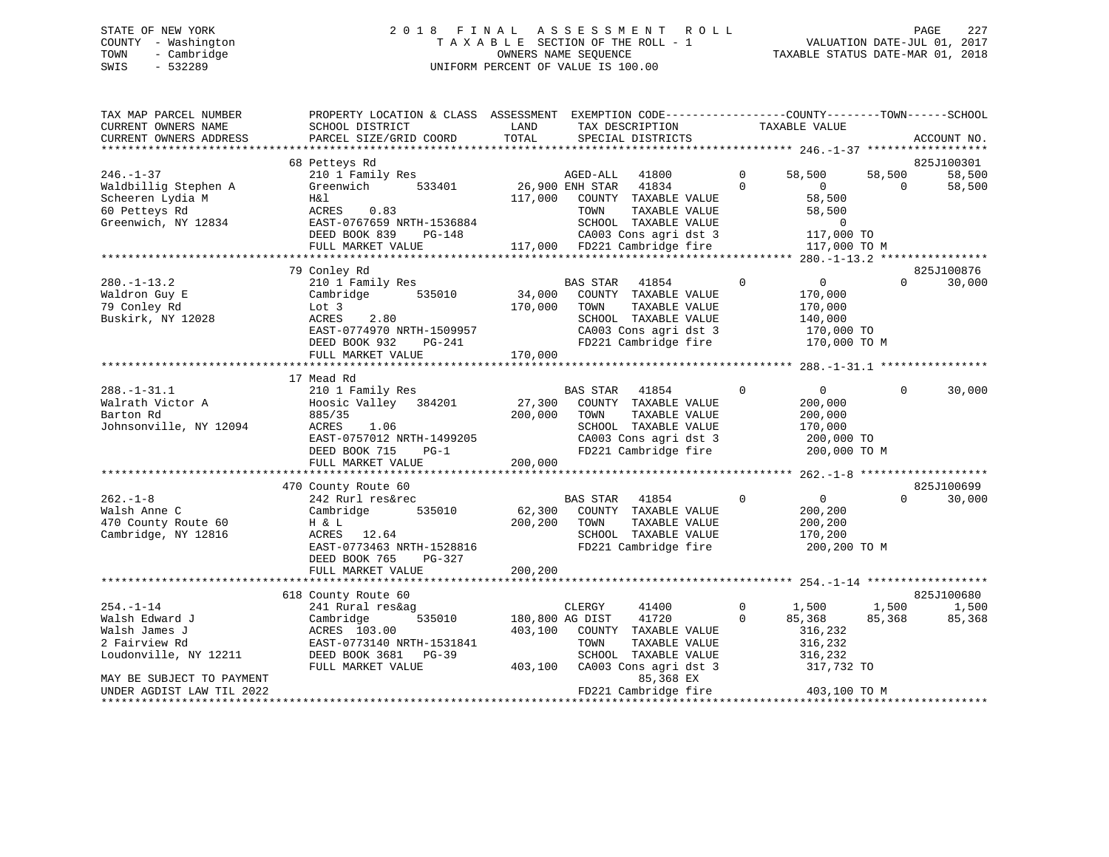# STATE OF NEW YORK 2 0 1 8 F I N A L A S S E S S M E N T R O L L PAGE 227 COUNTY - Washington T A X A B L E SECTION OF THE ROLL - 1 VALUATION DATE-JUL 01, 2017 TOWN - Cambridge OWNERS NAME SEQUENCE TAXABLE STATUS DATE-MAR 01, 2018 SWIS - 532289 UNIFORM PERCENT OF VALUE IS 100.00

| TAX MAP PARCEL NUMBER<br>CURRENT OWNERS NAME<br>CURRENT OWNERS ADDRESS                              | PROPERTY LOCATION & CLASS ASSESSMENT EXEMPTION CODE----------------COUNTY-------TOWN-----SCHOOL<br>SCHOOL DISTRICT<br>PARCEL SIZE/GRID COORD                      | LAND<br>TOTAL                         | TAX DESCRIPTION<br>SPECIAL DISTRICTS                                                                                                                    |                         | TAXABLE VALUE                                                                 |                    | ACCOUNT NO.                    |
|-----------------------------------------------------------------------------------------------------|-------------------------------------------------------------------------------------------------------------------------------------------------------------------|---------------------------------------|---------------------------------------------------------------------------------------------------------------------------------------------------------|-------------------------|-------------------------------------------------------------------------------|--------------------|--------------------------------|
| $246. - 1 - 37$<br>Waldbillig Stephen A<br>Scheeren Lydia M<br>60 Petteys Rd<br>Greenwich, NY 12834 | 68 Petteys Rd<br>210 1 Family Res<br>533401<br>Greenwich<br>H&l<br>ACRES<br>0.83<br>EAST-0767659 NRTH-1536884<br>DEED BOOK 839<br>PG-148                          |                                       | AGED-ALL<br>41800<br>26,900 ENH STAR<br>41834<br>117,000 COUNTY TAXABLE VALUE<br>TAXABLE VALUE<br>TOWN<br>SCHOOL TAXABLE VALUE<br>CA003 Cons agri dst 3 | $\Omega$<br>$\Omega$    | 58,500<br>$\Omega$<br>58,500<br>58,500<br>$\overline{0}$<br>117,000 TO        | 58,500<br>$\Omega$ | 825J100301<br>58,500<br>58,500 |
|                                                                                                     | FULL MARKET VALUE                                                                                                                                                 |                                       | 117,000 FD221 Cambridge fire                                                                                                                            |                         | 117,000 TO M                                                                  |                    |                                |
| $280. -1 - 13.2$<br>Waldron Guy E<br>79 Conley Rd<br>Buskirk, NY 12028                              | 79 Conley Rd<br>210 1 Family Res<br>Cambridge 535010<br>Lot 3<br>ACRES<br>2.80<br>EAST-0774970 NRTH-1509957<br>DEED BOOK 932<br>PG-241                            | $34,000$ <sup>BA</sup><br>170,000     | <b>BAS STAR</b><br>41854<br>COUNTY TAXABLE VALUE<br>TAXABLE VALUE<br>TOWN<br>SCHOOL TAXABLE VALUE<br>CA003 Cons agri dst 3<br>FD221 Cambridge fire      | $\Omega$                | $\overline{0}$<br>170,000<br>170,000<br>140,000<br>170,000 TO<br>170,000 TO M | $\Omega$           | 825J100876<br>30,000           |
|                                                                                                     | FULL MARKET VALUE                                                                                                                                                 | 170,000                               |                                                                                                                                                         |                         |                                                                               |                    |                                |
| $288. - 1 - 31.1$<br>Walrath Victor A<br>Barton Rd<br>Johnsonville, NY 12094                        | 17 Mead Rd<br>210 1 Family Res<br>Hoosic Valley<br>384201<br>885/35<br>ACRES<br>1.06<br>EAST-0757012 NRTH-1499205<br>DEED BOOK 715<br>$PG-1$<br>FULL MARKET VALUE | 27,300<br>200,000<br>200,000          | 41854<br>BAS STAR<br>COUNTY TAXABLE VALUE<br>TAXABLE VALUE<br>TOWN<br>SCHOOL TAXABLE VALUE<br>CA003 Cons agri dst 3<br>FD221 Cambridge fire             | $\mathbf 0$             | $\overline{0}$<br>200,000<br>200,000<br>170,000<br>200,000 TO<br>200,000 TO M | $\Omega$           | 30,000                         |
|                                                                                                     | 470 County Route 60                                                                                                                                               |                                       |                                                                                                                                                         |                         |                                                                               |                    | 825J100699                     |
| $262 - 1 - 8$<br>Walsh Anne C<br>470 County Route 60<br>Cambridge, NY 12816                         | 242 Rurl res&rec<br>Cambridge<br>535010<br>H & L<br>ACRES 12.64<br>EAST-0773463 NRTH-1528816<br>DEED BOOK 765<br>PG-327                                           | 62,300<br>200,200                     | <b>BAS STAR</b><br>41854<br>COUNTY TAXABLE VALUE<br>TOWN<br>TAXABLE VALUE<br>SCHOOL TAXABLE VALUE<br>FD221 Cambridge fire                               | $\Omega$                | $\overline{0}$<br>200,200<br>200,200<br>170,200<br>200,200 TO M               | $\Omega$           | 30,000                         |
|                                                                                                     | FULL MARKET VALUE                                                                                                                                                 | 200,200                               |                                                                                                                                                         |                         |                                                                               |                    |                                |
|                                                                                                     | 618 County Route 60                                                                                                                                               |                                       |                                                                                                                                                         |                         |                                                                               |                    | 825J100680                     |
| $254. - 1 - 14$<br>Walsh Edward J<br>Walsh James J<br>2 Fairview Rd<br>Loudonville, NY 12211        | 241 Rural res&ag<br>535010<br>Cambridge<br>ACRES 103.00<br>EAST-0773140 NRTH-1531841<br>DEED BOOK 3681 PG-39<br>FULL MARKET VALUE                                 | 180,800 AG DIST<br>403,100<br>403,100 | CLERGY<br>41400<br>41720<br>COUNTY TAXABLE VALUE<br>TOWN<br>TAXABLE VALUE<br>SCHOOL TAXABLE VALUE<br>CA003 Cons agri dst 3                              | $\mathbf 0$<br>$\Omega$ | 1,500<br>85,368<br>316,232<br>316,232<br>316,232<br>317,732 TO                | 1,500<br>85,368    | 1,500<br>85,368                |
| MAY BE SUBJECT TO PAYMENT<br>UNDER AGDIST LAW TIL 2022                                              |                                                                                                                                                                   |                                       | 85,368 EX<br>FD221 Cambridge fire                                                                                                                       |                         | 403,100 TO M                                                                  |                    |                                |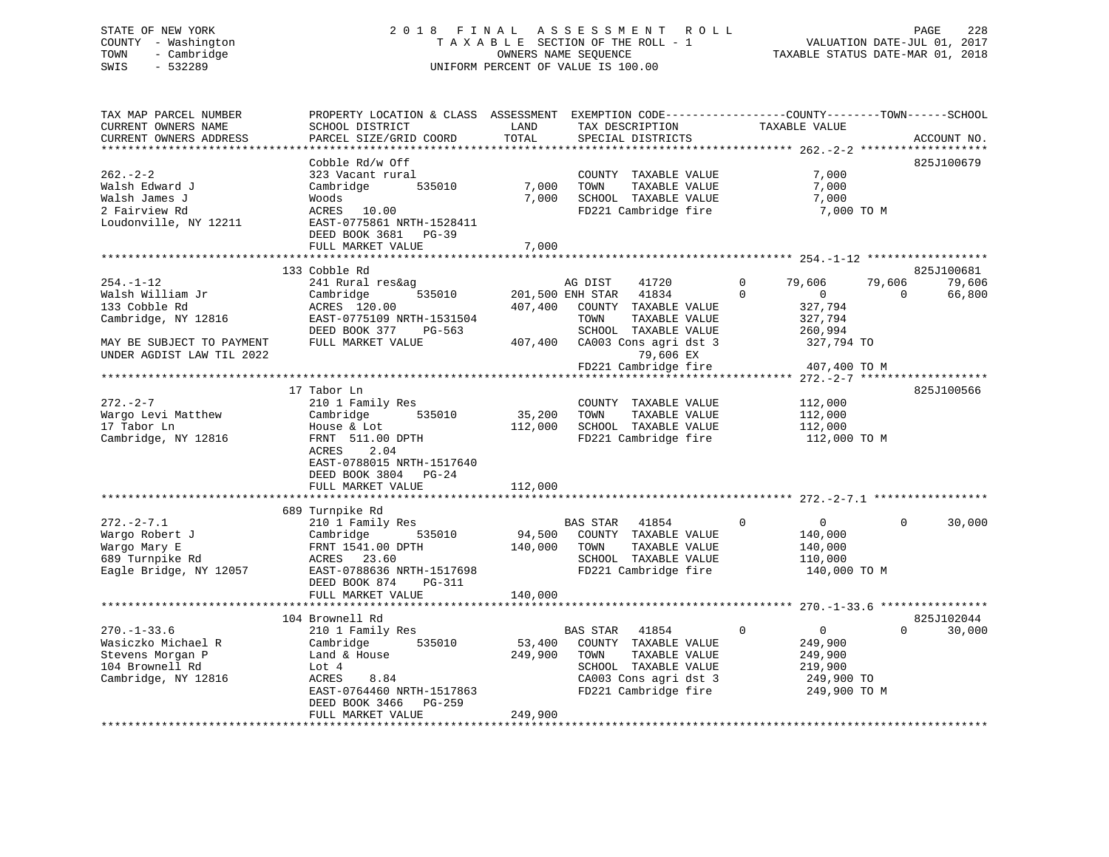# STATE OF NEW YORK 2 0 1 8 F I N A L A S S E S S M E N T R O L L PAGE 228 COUNTY - Washington T A X A B L E SECTION OF THE ROLL - 1 VALUATION DATE-JUL 01, 2017 TOWN - Cambridge OWNERS NAME SEQUENCE TAXABLE STATUS DATE-MAR 01, 2018 SWIS - 532289 UNIFORM PERCENT OF VALUE IS 100.00

TAX MAP PARCEL NUMBER PROPERTY LOCATION & CLASS ASSESSMENT EXEMPTION CODE------------------COUNTY--------TOWN------SCHOOL CURRENT OWNERS NAME SCHOOL DISTRICT LAND TAX DESCRIPTION TAXABLE VALUE CURRENT OWNERS ADDRESS PARCEL SIZE/GRID COORD TOTAL SPECIAL DISTRICTS ACCOUNT NO. \*\*\*\*\*\*\*\*\*\*\*\*\*\*\*\*\*\*\*\*\*\*\*\*\*\*\*\*\*\*\*\*\*\*\*\*\*\*\*\*\*\*\*\*\*\*\*\*\*\*\*\*\*\*\*\*\*\*\*\*\*\*\*\*\*\*\*\*\*\*\*\*\*\*\*\*\*\*\*\*\*\*\*\*\*\*\*\*\*\*\*\*\*\*\*\*\*\*\*\*\*\*\* 262.-2-2 \*\*\*\*\*\*\*\*\*\*\*\*\*\*\*\*\*\*\* Cobble Rd/w Off 825J100679 262.-2-2 323 Vacant rural COUNTY TAXABLE VALUE 7,000 Walsh Edward J Cambridge 535010 7,000 TOWN TAXABLE VALUE 7,000 Walsh James J Woods 7,000 SCHOOL TAXABLE VALUE 7,000 2 Fairview Rd ACRES 10.00 FD221 Cambridge fire 7,000 TO M Loudonville, NY 12211 EAST-0775861 NRTH-1528411 DEED BOOK 3681 PG-39FULL MARKET VALUE 7,000 \*\*\*\*\*\*\*\*\*\*\*\*\*\*\*\*\*\*\*\*\*\*\*\*\*\*\*\*\*\*\*\*\*\*\*\*\*\*\*\*\*\*\*\*\*\*\*\*\*\*\*\*\*\*\*\*\*\*\*\*\*\*\*\*\*\*\*\*\*\*\*\*\*\*\*\*\*\*\*\*\*\*\*\*\*\*\*\*\*\*\*\*\*\*\*\*\*\*\*\*\*\*\* 254.-1-12 \*\*\*\*\*\*\*\*\*\*\*\*\*\*\*\*\*\* 133 Cobble Rd 825J100681 254.-1-12 241 Rural res&ag AG DIST 41720 0 79,606 79,606 79,606 Walsh William Jr Cambridge 535010 201,500 ENH STAR 41834 0 0 0 66,800 133 Cobble Rd ACRES 120.00 407,400 COUNTY TAXABLE VALUE 327,794 Cambridge, NY 12816 EAST-0775109 NRTH-1531504 TOWN TAXABLE VALUE 327,794 DEED BOOK 377 PG-563 SCHOOL TAXABLE VALUE 260,994 MAY BE SUBJECT TO PAYMENT FULL MARKET VALUE 407,400 CA003 Cons agri dst 3 327,794 TO UNDER AGDIST LAW TIL 2022 79,606 EX FD221 Cambridge fire 407,400 TO M \*\*\*\*\*\*\*\*\*\*\*\*\*\*\*\*\*\*\*\*\*\*\*\*\*\*\*\*\*\*\*\*\*\*\*\*\*\*\*\*\*\*\*\*\*\*\*\*\*\*\*\*\*\*\*\*\*\*\*\*\*\*\*\*\*\*\*\*\*\*\*\*\*\*\*\*\*\*\*\*\*\*\*\*\*\*\*\*\*\*\*\*\*\*\*\*\*\*\*\*\*\*\* 272.-2-7 \*\*\*\*\*\*\*\*\*\*\*\*\*\*\*\*\*\*\* 17 Tabor Ln 825J100566272.-2-7 210 1 Family Res COUNTY TAXABLE VALUE 112,000 Wargo Levi Matthew Cambridge 535010 35,200 TOWN TAXABLE VALUE 112,000 17 Tabor Ln House & Lot 112,000 SCHOOL TAXABLE VALUE 112,000 Cambridge, NY 12816 FRNT 511.00 DPTH FD221 Cambridge fire 112,000 TO M ACRES 2.04 EAST-0788015 NRTH-1517640 DEED BOOK 3804 PG-24FULL MARKET VALUE 112,000 \*\*\*\*\*\*\*\*\*\*\*\*\*\*\*\*\*\*\*\*\*\*\*\*\*\*\*\*\*\*\*\*\*\*\*\*\*\*\*\*\*\*\*\*\*\*\*\*\*\*\*\*\*\*\*\*\*\*\*\*\*\*\*\*\*\*\*\*\*\*\*\*\*\*\*\*\*\*\*\*\*\*\*\*\*\*\*\*\*\*\*\*\*\*\*\*\*\*\*\*\*\*\* 272.-2-7.1 \*\*\*\*\*\*\*\*\*\*\*\*\*\*\*\*\* 689 Turnpike Rd 272.-2-7.1 210 1 Family Res BAS STAR 41854 0 0 0 30,000 Wargo Robert J Cambridge 535010 94,500 COUNTY TAXABLE VALUE 140,000 Wargo Mary E FRNT 1541.00 DPTH 140,000 TOWN TAXABLE VALUE 140,000 689 Turnpike Rd ACRES 23.60 SCHOOL TAXABLE VALUE 110,000 Eagle Bridge, NY 12057 EAST-0788636 NRTH-1517698 FD221 Cambridge fire 140,000 TO M DEED BOOK 874 PG-311FULL MARKET VALUE 140,000 \*\*\*\*\*\*\*\*\*\*\*\*\*\*\*\*\*\*\*\*\*\*\*\*\*\*\*\*\*\*\*\*\*\*\*\*\*\*\*\*\*\*\*\*\*\*\*\*\*\*\*\*\*\*\*\*\*\*\*\*\*\*\*\*\*\*\*\*\*\*\*\*\*\*\*\*\*\*\*\*\*\*\*\*\*\*\*\*\*\*\*\*\*\*\*\*\*\*\*\*\*\*\* 270.-1-33.6 \*\*\*\*\*\*\*\*\*\*\*\*\*\*\*\*825J102044 104 Brownell Rd 825J102044270.-1-33.6 210 1 Family Res BAS STAR 41854 0 0 30,000 Wasiczko Michael R Cambridge 535010 53,400 COUNTY TAXABLE VALUE 249,900 Stevens Morgan P Land & House 249,900 TOWN TAXABLE VALUE 249,900 104 Brownell Rd Lot 4 SCHOOL TAXABLE VALUE 219,900 Cambridge, NY 12816 ACRES 8.84 CA003 Cons agri dst 3 249,900 TO EAST-0764460 NRTH-1517863 FD221 Cambridge fire 249,900 TO M DEED BOOK 3466 PG-259 FULL MARKET VALUE 249,900 \*\*\*\*\*\*\*\*\*\*\*\*\*\*\*\*\*\*\*\*\*\*\*\*\*\*\*\*\*\*\*\*\*\*\*\*\*\*\*\*\*\*\*\*\*\*\*\*\*\*\*\*\*\*\*\*\*\*\*\*\*\*\*\*\*\*\*\*\*\*\*\*\*\*\*\*\*\*\*\*\*\*\*\*\*\*\*\*\*\*\*\*\*\*\*\*\*\*\*\*\*\*\*\*\*\*\*\*\*\*\*\*\*\*\*\*\*\*\*\*\*\*\*\*\*\*\*\*\*\*\*\*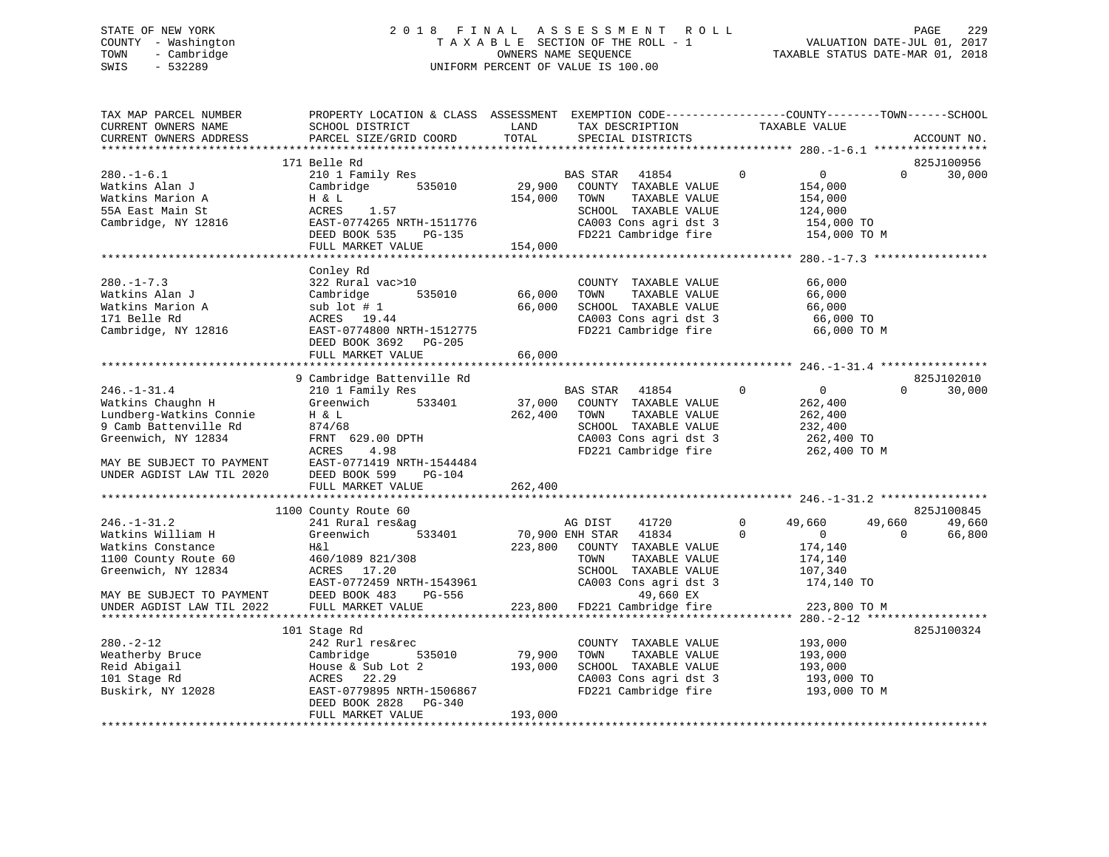# STATE OF NEW YORK 2 0 1 8 F I N A L A S S E S S M E N T R O L L PAGE 229 COUNTY - Washington T A X A B L E SECTION OF THE ROLL - 1 VALUATION DATE-JUL 01, 2017 TOWN - Cambridge OWNERS NAME SEQUENCE TAXABLE STATUS DATE-MAR 01, 2018 SWIS - 532289 UNIFORM PERCENT OF VALUE IS 100.00

| TAX MAP PARCEL NUMBER<br>CURRENT OWNERS NAME<br>CURRENT OWNERS ADDRESS                                                                                                      | PROPERTY LOCATION & CLASS ASSESSMENT EXEMPTION CODE----------------COUNTY-------TOWN-----SCHOOL<br>SCHOOL DISTRICT<br>PARCEL SIZE/GRID COORD                                         | LAND<br>TOTAL                | TAX DESCRIPTION<br>SPECIAL DISTRICTS                                                                                                                      |                            | TAXABLE VALUE                                                                                 | ACCOUNT NO.                    |
|-----------------------------------------------------------------------------------------------------------------------------------------------------------------------------|--------------------------------------------------------------------------------------------------------------------------------------------------------------------------------------|------------------------------|-----------------------------------------------------------------------------------------------------------------------------------------------------------|----------------------------|-----------------------------------------------------------------------------------------------|--------------------------------|
|                                                                                                                                                                             | 171 Belle Rd                                                                                                                                                                         |                              |                                                                                                                                                           |                            |                                                                                               | 825J100956                     |
| $280. -1 - 6.1$<br>Watkins Alan J<br>Watkins Marion A<br>55A East Main St<br>Cambridge, NY 12816                                                                            | 210 1 Family Res<br>535010<br>Cambridge<br>H & L<br>1.57<br>ACRES<br>EAST-0774265 NRTH-1511776<br>DEED BOOK 535<br>PG-135                                                            | 29,900<br>154,000            | BAS STAR<br>41854<br>COUNTY TAXABLE VALUE<br>TAXABLE VALUE<br>TOWN<br>SCHOOL TAXABLE VALUE<br>CA003 Cons agri dst 3<br>FD221 Cambridge fire               | $\mathbf 0$                | $\overline{0}$<br>$\Omega$<br>154,000<br>154,000<br>124,000<br>154,000 TO<br>154,000 TO M     | 30,000                         |
|                                                                                                                                                                             | FULL MARKET VALUE                                                                                                                                                                    | 154,000                      |                                                                                                                                                           |                            |                                                                                               |                                |
|                                                                                                                                                                             |                                                                                                                                                                                      |                              |                                                                                                                                                           |                            |                                                                                               |                                |
| $280. -1 - 7.3$<br>Watkins Alan J<br>Watkins Marion A<br>171 Belle Rd<br>Cambridge, NY 12816                                                                                | Conley Rd<br>322 Rural vac>10<br>Cambridge<br>535010<br>sub lot $# 1$<br>ACRES 19.44<br>EAST-0774800 NRTH-1512775<br>DEED BOOK 3692 PG-205<br>FULL MARKET VALUE                      | 66,000<br>66,000<br>66,000   | COUNTY TAXABLE VALUE<br>TOWN<br>TAXABLE VALUE<br>SCHOOL TAXABLE VALUE<br>CA003 Cons agri dst 3<br>FD221 Cambridge fire                                    |                            | 66,000<br>66,000<br>66,000<br>66,000 TO<br>66,000 TO M                                        |                                |
|                                                                                                                                                                             |                                                                                                                                                                                      |                              |                                                                                                                                                           |                            |                                                                                               |                                |
| $246. - 1 - 31.4$<br>Watkins Chaughn H<br>Lundberg-Watkins Connie<br>9 Camb Battenville Rd<br>Greenwich, NY 12834<br>MAY BE SUBJECT TO PAYMENT<br>UNDER AGDIST LAW TIL 2020 | 9 Cambridge Battenville Rd<br>210 1 Family Res<br>Greenwich 533401<br>H & L<br>874/68<br>FRNT 629.00 DPTH<br>4.98<br>ACRES<br>EAST-0771419 NRTH-1544484<br>DEED BOOK 599<br>$PG-104$ | 262,400                      | <b>BAS STAR</b><br>41854<br>37,000 COUNTY TAXABLE VALUE<br>TAXABLE VALUE<br>TOWN<br>SCHOOL TAXABLE VALUE<br>CA003 Cons agri dst 3<br>FD221 Cambridge fire | $\Omega$                   | $\overline{0}$<br>$\Omega$<br>262,400<br>262,400<br>232,400<br>262,400 TO<br>262,400 TO M     | 825J102010<br>30,000           |
|                                                                                                                                                                             | FULL MARKET VALUE                                                                                                                                                                    | 262,400                      |                                                                                                                                                           |                            |                                                                                               |                                |
|                                                                                                                                                                             |                                                                                                                                                                                      |                              |                                                                                                                                                           |                            |                                                                                               |                                |
| $246. - 1 - 31.2$<br>Watkins William H<br>Watkins Constance<br>1100 County Route 60<br>Greenwich, NY 12834<br>MAY BE SUBJECT TO PAYMENT                                     | 1100 County Route 60<br>241 Rural res&ag<br>Greenwich<br>533401<br>H&l<br>460/1089 821/308<br>ACRES 17.20<br>EAST-0772459 NRTH-1543961<br>DEED BOOK 483<br>PG-556                    | 223,800                      | AG DIST<br>41720<br>70,900 ENH STAR 41834<br>COUNTY TAXABLE VALUE<br>TOWN<br>TAXABLE VALUE<br>SCHOOL TAXABLE VALUE<br>CA003 Cons agri dst 3<br>49,660 EX  | $\mathbf 0$<br>$\mathbf 0$ | 49,660<br>49,660<br>$\overline{0}$<br>$\Omega$<br>174,140<br>174,140<br>107,340<br>174,140 TO | 825J100845<br>49,660<br>66,800 |
| UNDER AGDIST LAW TIL 2022                                                                                                                                                   | FULL MARKET VALUE                                                                                                                                                                    | 223,800                      | FD221 Cambridge fire                                                                                                                                      |                            | 223,800 TO M                                                                                  |                                |
|                                                                                                                                                                             |                                                                                                                                                                                      |                              |                                                                                                                                                           |                            |                                                                                               |                                |
| $280. - 2 - 12$<br>Weatherby Bruce<br>Reid Abigail<br>101 Stage Rd<br>Buskirk, NY 12028                                                                                     | 101 Stage Rd<br>242 Rurl res&rec<br>535010<br>Cambridge<br>House & Sub Lot 2<br>ACRES 22.29<br>EAST-0779895 NRTH-1506867<br>DEED BOOK 2828 PG-340<br>FULL MARKET VALUE               | 79,900<br>193,000<br>193,000 | COUNTY TAXABLE VALUE<br>TOWN<br>TAXABLE VALUE<br>SCHOOL TAXABLE VALUE<br>CA003 Cons agri dst 3<br>FD221 Cambridge fire                                    |                            | 193,000<br>193,000<br>193,000<br>193,000 TO<br>193,000 TO M                                   | 825J100324                     |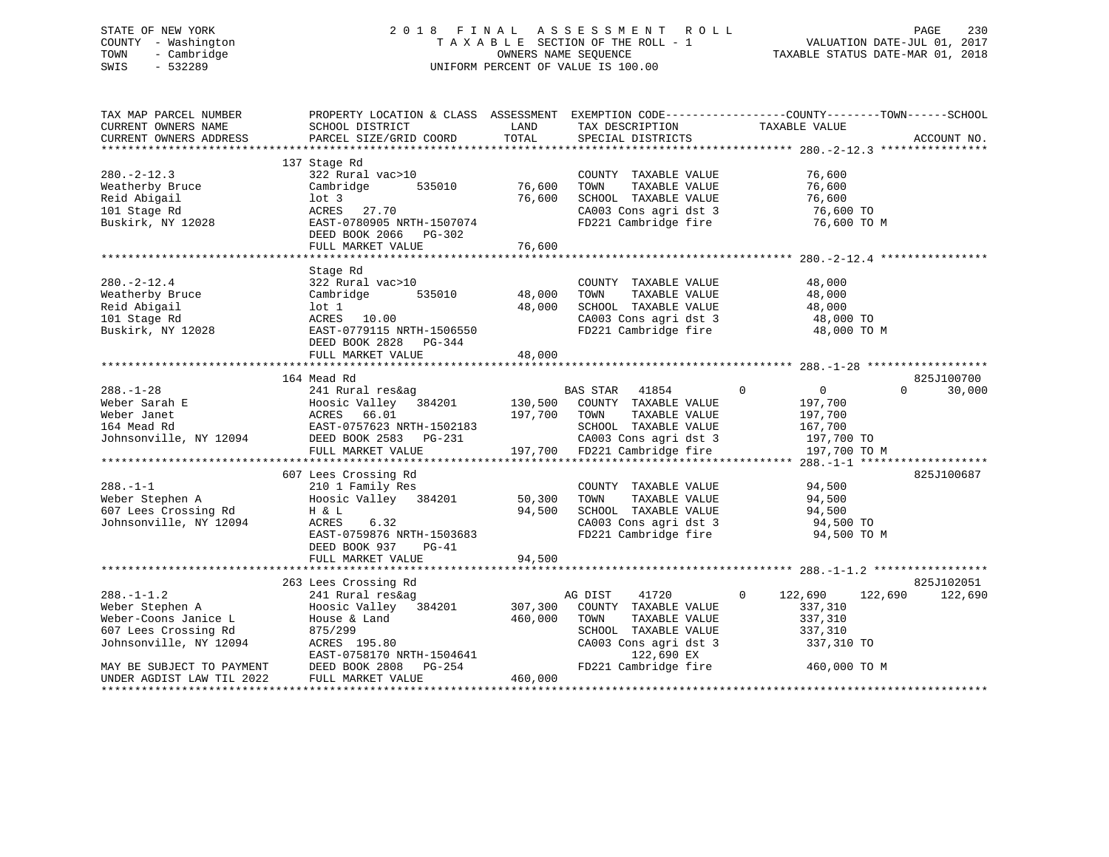#### STATE OF NEW YORK 2 0 1 8 F I N A L A S S E S S M E N T R O L L PAGE 230COUNTY - Washington  $T A X A B L E$  SECTION OF THE ROLL - 1<br>TOWN - Cambridge  $\sim$  000NERS NAME SEQUENCE TOWN - Cambridge OWNERS NAME SEQUENCE TAXABLE STATUS DATE-MAR 01, 2018 SWIS - 532289 UNIFORM PERCENT OF VALUE IS 100.00

| TAX MAP PARCEL NUMBER<br>CURRENT OWNERS NAME<br>CURRENT OWNERS ADDRESS                                        | SCHOOL DISTRICT<br>PARCEL SIZE/GRID COORD                                                                                                                       | LAND<br>TOTAL              | TAX DESCRIPTION<br>SPECIAL DISTRICTS                                                                                             | PROPERTY LOCATION & CLASS ASSESSMENT EXEMPTION CODE----------------COUNTY-------TOWN------SCHOOL<br>TAXABLE VALUE | ACCOUNT NO.           |
|---------------------------------------------------------------------------------------------------------------|-----------------------------------------------------------------------------------------------------------------------------------------------------------------|----------------------------|----------------------------------------------------------------------------------------------------------------------------------|-------------------------------------------------------------------------------------------------------------------|-----------------------|
| $280. -2 - 12.3$<br>Weatherby Bruce<br>Reid Abigail<br>101 Stage Rd<br>Buskirk, NY 12028                      | 137 Stage Rd<br>322 Rural vac>10<br>535010<br>Cambridge<br>$1$ ot 3<br>ACRES 27.70<br>EAST-0780905 NRTH-1507074<br>DEED BOOK 2066 PG-302<br>FULL MARKET VALUE   | 76,600<br>76,600<br>76,600 | COUNTY TAXABLE VALUE<br>TOWN<br>TAXABLE VALUE<br>SCHOOL TAXABLE VALUE<br>CA003 Cons agri dst 3<br>FD221 Cambridge fire           | 76,600<br>76,600<br>76,600<br>76,600 TO<br>76,600 ТО М                                                            |                       |
| $280. - 2 - 12.4$<br>Weatherby Bruce<br>Reid Abigail<br>101 Stage Rd<br>Buskirk, NY 12028                     | Stage Rd<br>322 Rural vac>10<br>535010<br>Cambridge<br>lot 1<br>ACRES 10.00<br>EAST-0779115 NRTH-1506550<br>DEED BOOK 2828 PG-344<br>FULL MARKET VALUE          | 48,000<br>48,000<br>48,000 | COUNTY TAXABLE VALUE<br>TOWN<br>TAXABLE VALUE<br>SCHOOL TAXABLE VALUE<br>CA003 Cons agri dst 3<br>FD221 Cambridge fire           | 48,000<br>48,000<br>48,000<br>48,000 TO<br>48,000 TO M                                                            |                       |
|                                                                                                               | 164 Mead Rd                                                                                                                                                     |                            |                                                                                                                                  |                                                                                                                   | 825J100700            |
| $288. - 1 - 28$<br>Weber Sarah E<br>Weber Janet<br>164 Mead Rd<br>Johnsonville, NY 12094                      | 241 Rural res&ag<br>Hoosic Valley 384201 130,500 COUNTY TAXABLE VALUE<br>ACRES 66.01<br>EAST-0757623 NRTH-1502183<br>DEED BOOK 2583 PG-231<br>FULL MARKET VALUE | 197,700 TOWN               | BAS STAR<br>41854<br>TAXABLE VALUE<br>SCHOOL TAXABLE VALUE<br>CA003 Cons agri dst 3<br>197,700 FD221 Cambridge fire              | $\mathbf 0$<br>$\overline{0}$<br>$\Omega$<br>197,700<br>197,700<br>167,700<br>197,700 TO<br>197,700 TO M          | 30,000                |
|                                                                                                               | 607 Lees Crossing Rd                                                                                                                                            |                            |                                                                                                                                  |                                                                                                                   | 825J100687            |
| $288. - 1 - 1$<br>Weber Stephen A<br>607 Lees Crossing Rd<br>Johnsonville, NY 12094                           | 210 1 Family Res<br>Hoosic Valley 384201<br>H & L<br>6.32<br>ACRES<br>EAST-0759876 NRTH-1503683<br>DEED BOOK 937<br>$PG-41$                                     | 50,300<br>94,500           | COUNTY TAXABLE VALUE<br>TOWN<br>TAXABLE VALUE<br>SCHOOL TAXABLE VALUE<br>CA003 Cons agri dst 3<br>FD221 Cambridge fire           | 94,500<br>94,500<br>94,500<br>94,500 TO<br>94,500 TO M                                                            |                       |
|                                                                                                               | FULL MARKET VALUE                                                                                                                                               | 94,500                     |                                                                                                                                  |                                                                                                                   |                       |
| $288. - 1 - 1.2$<br>Weber Stephen A<br>Weber-Coons Janice L<br>607 Lees Crossing Rd<br>Johnsonville, NY 12094 | 263 Lees Crossing Rd<br>241 Rural res&ag<br>Hoosic Valley 384201<br>House & Land<br>875/299<br>ACRES 195.80<br>EAST-0758170 NRTH-1504641                        | 307,300<br>460,000         | AG DIST<br>41720<br>COUNTY TAXABLE VALUE<br>TOWN<br>TAXABLE VALUE<br>SCHOOL TAXABLE VALUE<br>CA003 Cons agri dst 3<br>122,690 EX | $\mathbf{0}$<br>122,690<br>122,690<br>337,310<br>337,310<br>337,310<br>337,310 TO                                 | 825J102051<br>122,690 |
| MAY BE SUBJECT TO PAYMENT<br>UNDER AGDIST LAW TIL 2022                                                        | DEED BOOK 2808 PG-254<br>FULL MARKET VALUE                                                                                                                      | 460,000                    | FD221 Cambridge fire                                                                                                             | 460,000 TO M                                                                                                      |                       |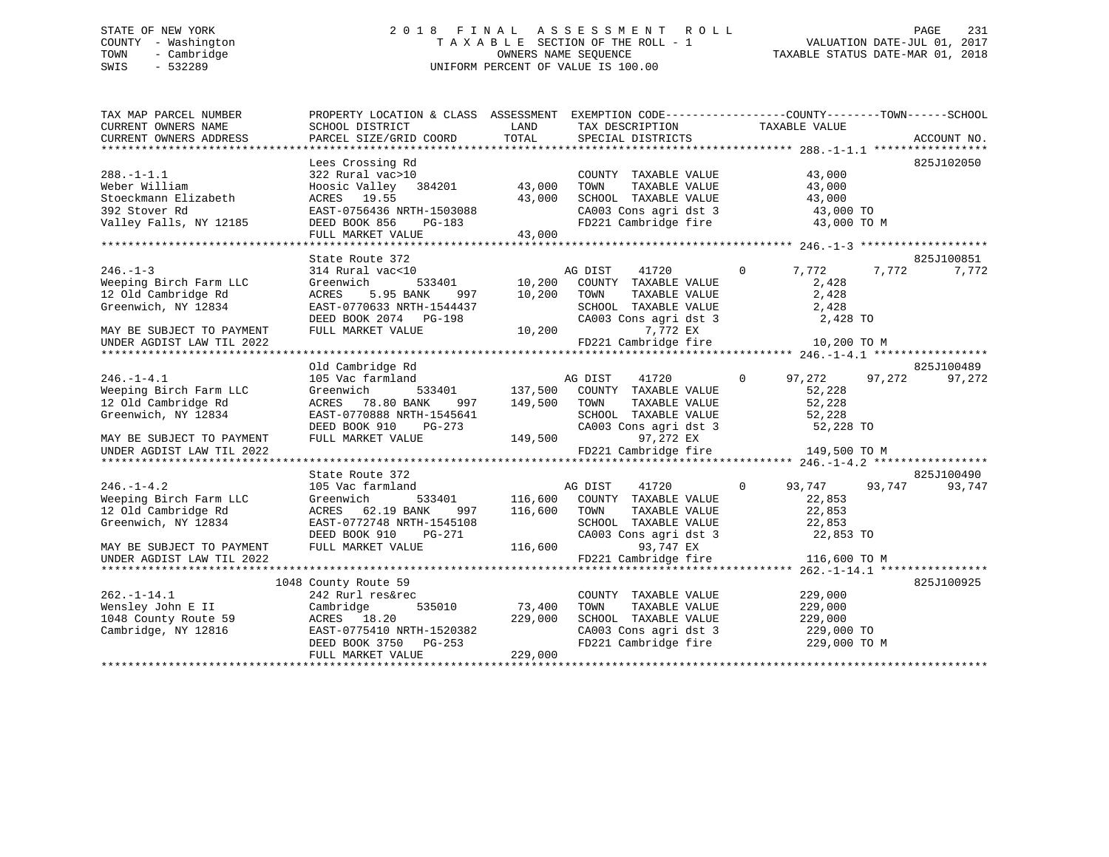# STATE OF NEW YORK 2 0 1 8 F I N A L A S S E S S M E N T R O L L PAGE 231 COUNTY - Washington T A X A B L E SECTION OF THE ROLL - 1 VALUATION DATE-JUL 01, 2017 TOWN - Cambridge OWNERS NAME SEQUENCE TAXABLE STATUS DATE-MAR 01, 2018 SWIS - 532289 UNIFORM PERCENT OF VALUE IS 100.00

| TAX MAP PARCEL NUMBER     | PROPERTY LOCATION & CLASS ASSESSMENT EXEMPTION CODE---------------COUNTY-------TOWN-----SCHOOL |               |                                                                     |                          |                  |
|---------------------------|------------------------------------------------------------------------------------------------|---------------|---------------------------------------------------------------------|--------------------------|------------------|
| CURRENT OWNERS NAME       | SCHOOL DISTRICT                                                                                | LAND          | TAX DESCRIPTION                                                     | TAXABLE VALUE            |                  |
| CURRENT OWNERS ADDRESS    | PARCEL SIZE/GRID COORD                                                                         | TOTAL         | SPECIAL DISTRICTS                                                   |                          | ACCOUNT NO.      |
|                           | Lees Crossing Rd                                                                               |               |                                                                     |                          | 825J102050       |
| $288. - 1 - 1.1$          | 322 Rural vac>10                                                                               |               | COUNTY TAXABLE VALUE                                                | 43,000                   |                  |
| Weber William             | Hoosic Valley 384201                                                                           | 43,000        | TAXABLE VALUE<br>TOWN                                               | 43,000                   |                  |
| Stoeckmann Elizabeth      | ACRES 19.55                                                                                    | 43,000        | SCHOOL TAXABLE VALUE                                                | 43,000                   |                  |
| 392 Stover Rd             | EAST-0756436 NRTH-1503088                                                                      |               |                                                                     |                          |                  |
| Valley Falls, NY 12185    | DEED BOOK 856<br>PG-183                                                                        |               | CA003 Cons agri dst 3 43,000 TO<br>FD221 Cambridge fire 43,000 TO M |                          |                  |
|                           | FULL MARKET VALUE                                                                              | 43,000        |                                                                     |                          |                  |
|                           |                                                                                                |               |                                                                     |                          |                  |
|                           | State Route 372                                                                                |               |                                                                     |                          | 825J100851       |
| $246. - 1 - 3$            | 314 Rural vac<10                                                                               |               | AG DIST<br>41720                                                    | $\overline{0}$<br>7,772  | 7,772<br>7,772   |
| Weeping Birch Farm LLC    | Greenwich                                                                                      | 533401 10,200 | COUNTY TAXABLE VALUE                                                | 2,428                    |                  |
| 12 Old Cambridge Rd       | 5.95 BANK<br>ACRES<br>997                                                                      | 10,200        | TOWN<br>TAXABLE VALUE                                               | 2,428                    |                  |
| Greenwich, NY 12834       | EAST-0770633 NRTH-1544437                                                                      |               | SCHOOL TAXABLE VALUE                                                | 2,428                    |                  |
|                           | DEED BOOK 2074 PG-198                                                                          |               | CA003 Cons agri dst 3                                               | 2,428 TO                 |                  |
| MAY BE SUBJECT TO PAYMENT | FULL MARKET VALUE                                                                              | 10,200        | 7,772 EX                                                            |                          |                  |
| UNDER AGDIST LAW TIL 2022 |                                                                                                |               | FD221 Cambridge fire                                                | 10,200 TO M              |                  |
|                           |                                                                                                |               |                                                                     |                          |                  |
|                           | Old Cambridge Rd                                                                               |               |                                                                     |                          | 825J100489       |
| $246. - 1 - 4.1$          | 105 Vac farmland                                                                               |               | AG DIST<br>41720                                                    | $\overline{0}$<br>97,272 | 97,272<br>97,272 |
| Weeping Birch Farm LLC    | Greenwich<br>533401                                                                            |               | 137,500 COUNTY TAXABLE VALUE                                        | 52,228                   |                  |
| 12 Old Cambridge Rd       | 78.80 BANK<br>997<br>ACRES                                                                     | 149,500       | TOWN<br>TAXABLE VALUE                                               | 52,228                   |                  |
| Greenwich, NY 12834       | EAST-0770888 NRTH-1545641                                                                      |               | SCHOOL TAXABLE VALUE                                                | 52,228                   |                  |
|                           | DEED BOOK 910<br>PG-273                                                                        |               | CA003 Cons agri dst 3                                               | 52,228 TO                |                  |
| MAY BE SUBJECT TO PAYMENT | FULL MARKET VALUE                                                                              | 149,500       | 97,272 EX                                                           |                          |                  |
| UNDER AGDIST LAW TIL 2022 |                                                                                                |               | FD221 Cambridge fire                                                | 149,500 TO M             |                  |
|                           |                                                                                                |               |                                                                     |                          |                  |
|                           | State Route 372                                                                                |               |                                                                     |                          | 825J100490       |
| $246. - 1 - 4.2$          | 105 Vac farmland                                                                               |               | 41720<br>AG DIST                                                    | $\overline{0}$<br>93,747 | 93,747<br>93,747 |
| Weeping Birch Farm LLC    | Greenwich                                                                                      |               | 533401 116,600 COUNTY TAXABLE VALUE                                 | 22,853                   |                  |
| 12 Old Cambridge Rd       | ACRES 62.19 BANK<br>997                                                                        | 116,600 TOWN  | TAXABLE VALUE                                                       | 22,853                   |                  |
| Greenwich, NY 12834       | EAST-0772748 NRTH-1545108                                                                      |               | SCHOOL TAXABLE VALUE                                                | 22,853                   |                  |
|                           | DEED BOOK 910<br>PG-271                                                                        |               | CA003 Cons agri dst 3                                               | 22,853 TO                |                  |
| MAY BE SUBJECT TO PAYMENT | FULL MARKET VALUE                                                                              | 116,600       | 93,747 EX                                                           |                          |                  |
| UNDER AGDIST LAW TIL 2022 |                                                                                                |               | FD221 Cambridge fire                                                | 116,600 TO M             |                  |
|                           |                                                                                                |               |                                                                     |                          |                  |
|                           | 1048 County Route 59                                                                           |               |                                                                     |                          | 825J100925       |
| $262. - 1 - 14.1$         | 242 Rurl res&rec                                                                               |               | COUNTY TAXABLE VALUE                                                | 229,000                  |                  |
| Wensley John E II         | 535010<br>Cambridge                                                                            | 73,400        | TOWN<br>TAXABLE VALUE                                               | 229,000                  |                  |
| 1048 County Route 59      | ACRES 18.20                                                                                    | 229,000       | SCHOOL TAXABLE VALUE                                                | 229,000                  |                  |
| Cambridge, NY 12816       | EAST-0775410 NRTH-1520382                                                                      |               | CA003 Cons agri dst 3<br>FD221 Cambridge fire                       | 229,000 TO               |                  |
|                           | DEED BOOK 3750 PG-253                                                                          |               |                                                                     | 229,000 TO M             |                  |
|                           | FULL MARKET VALUE                                                                              | 229,000       |                                                                     |                          |                  |
|                           |                                                                                                |               |                                                                     |                          |                  |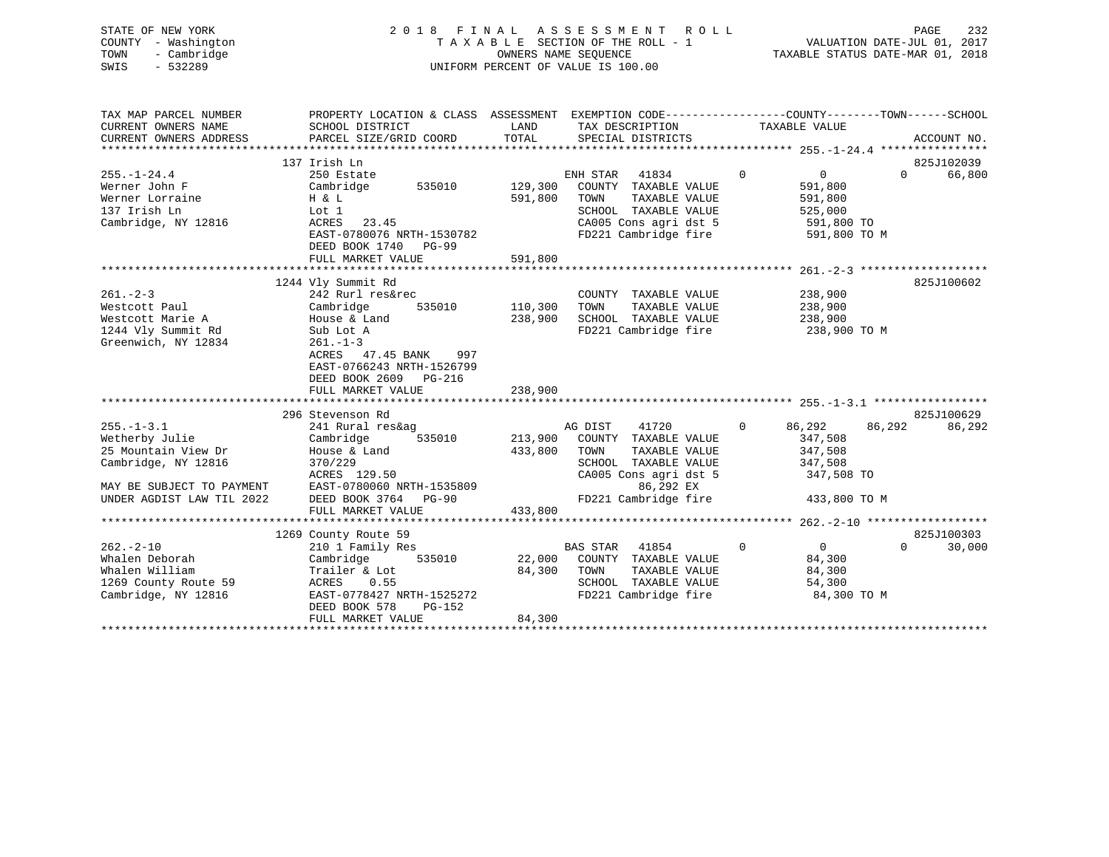| 2018 FINAL ASSESSMENT ROLL         | 232<br>PAGE                      |
|------------------------------------|----------------------------------|
| TAXABLE SECTION OF THE ROLL - 1    | VALUATION DATE-JUL 01, 2017      |
| OWNERS NAME SEOUENCE               | TAXABLE STATUS DATE-MAR 01, 2018 |
| UNIFORM PERCENT OF VALUE IS 100.00 |                                  |
|                                    |                                  |
|                                    |                                  |
|                                    |                                  |

| TAX MAP PARCEL NUMBER     | PROPERTY LOCATION & CLASS ASSESSMENT EXEMPTION CODE---------------COUNTY-------TOWN------SCHOOL |         |                             |                                     |                    |
|---------------------------|-------------------------------------------------------------------------------------------------|---------|-----------------------------|-------------------------------------|--------------------|
| CURRENT OWNERS NAME       | SCHOOL DISTRICT                                                                                 | LAND    | TAX DESCRIPTION             | TAXABLE VALUE                       |                    |
| CURRENT OWNERS ADDRESS    | PARCEL SIZE/GRID COORD                                                                          | TOTAL   | SPECIAL DISTRICTS           |                                     | ACCOUNT NO.        |
|                           |                                                                                                 |         |                             |                                     |                    |
|                           | 137 Irish Ln                                                                                    |         |                             |                                     | 825J102039         |
| $255. - 1 - 24.4$         | 250 Estate                                                                                      |         | ENH STAR 41834              | $\overline{0}$<br>$0 \qquad \qquad$ | 66,800<br>$\Omega$ |
| Werner John F             | 535010<br>Cambridge                                                                             | 129,300 | COUNTY TAXABLE VALUE        | 591,800                             |                    |
| Werner Lorraine           | H & L                                                                                           | 591,800 | TOWN<br>TAXABLE VALUE       | 591,800                             |                    |
| 137 Irish Ln              | Lot 1                                                                                           |         | SCHOOL TAXABLE VALUE        | 525,000                             |                    |
| Cambridge, NY 12816       | ACRES<br>23.45                                                                                  |         | CA005 Cons agri dst 5       | 591,800 TO                          |                    |
|                           | EAST-0780076 NRTH-1530782                                                                       |         | FD221 Cambridge fire        | 591,800 TO M                        |                    |
|                           | DEED BOOK 1740<br>PG-99                                                                         |         |                             |                                     |                    |
|                           | FULL MARKET VALUE                                                                               | 591,800 |                             |                                     |                    |
|                           |                                                                                                 |         |                             |                                     |                    |
|                           | 1244 Vly Summit Rd                                                                              |         |                             |                                     | 825J100602         |
| $261 - 2 - 3$             | 242 Rurl res&rec                                                                                |         | COUNTY TAXABLE VALUE        | 238,900                             |                    |
| Westcott Paul             | Cambridge<br>535010                                                                             | 110,300 | TAXABLE VALUE<br>TOWN       | 238,900                             |                    |
| Westcott Marie A          | House & Land                                                                                    | 238,900 | SCHOOL TAXABLE VALUE        | 238,900                             |                    |
| 1244 Vly Summit Rd        | Sub Lot A                                                                                       |         | FD221 Cambridge fire        | 238,900 TO M                        |                    |
| Greenwich, NY 12834       | $261. - 1 - 3$                                                                                  |         |                             |                                     |                    |
|                           | ACRES 47.45 BANK<br>997                                                                         |         |                             |                                     |                    |
|                           | EAST-0766243 NRTH-1526799                                                                       |         |                             |                                     |                    |
|                           | DEED BOOK 2609 PG-216                                                                           |         |                             |                                     |                    |
|                           | FULL MARKET VALUE                                                                               | 238,900 |                             |                                     |                    |
|                           |                                                                                                 |         |                             |                                     |                    |
|                           | 296 Stevenson Rd                                                                                |         |                             |                                     | 825J100629         |
| $255. - 1 - 3.1$          | 241 Rural res&ag                                                                                |         | AG DIST 41720               | $\mathbf 0$<br>86,292               | 86,292<br>86,292   |
| Wetherby Julie            | 535010<br>Cambridge                                                                             | 213,900 | COUNTY TAXABLE VALUE        | 347,508                             |                    |
| 25 Mountain View Dr       | House & Land                                                                                    | 433,800 | TOWN<br>TAXABLE VALUE       | 347,508                             |                    |
| Cambridge, NY 12816       | 370/229                                                                                         |         | SCHOOL TAXABLE VALUE        | 347,508                             |                    |
|                           | ACRES 129.50                                                                                    |         | CA005 Cons agri dst 5       | 347,508 TO                          |                    |
| MAY BE SUBJECT TO PAYMENT | EAST-0780060 NRTH-1535809                                                                       |         | 86,292 EX                   |                                     |                    |
| UNDER AGDIST LAW TIL 2022 | DEED BOOK 3764 PG-90                                                                            |         | FD221 Cambridge fire        | 433,800 TO M                        |                    |
|                           | FULL MARKET VALUE                                                                               | 433,800 |                             |                                     |                    |
|                           |                                                                                                 |         |                             |                                     |                    |
|                           | 1269 County Route 59                                                                            |         |                             |                                     | 825J100303         |
| $262 - 2 - 10$            | 210 1 Family Res                                                                                |         | BAS STAR 41854              | $\Omega$<br>$\overline{0}$          | 30,000<br>$\Omega$ |
| Whalen Deborah            | 535010<br>Cambridge                                                                             |         | 22,000 COUNTY TAXABLE VALUE | 84,300                              |                    |
| Whalen William            | Trailer & Lot                                                                                   | 84,300  | TOWN<br>TAXABLE VALUE       | 84,300                              |                    |
| 1269 County Route 59      | 0.55<br>ACRES                                                                                   |         | SCHOOL TAXABLE VALUE        | 54,300                              |                    |
| Cambridge, NY 12816       | EAST-0778427 NRTH-1525272                                                                       |         | FD221 Cambridge fire        | 84,300 TO M                         |                    |
|                           | DEED BOOK 578<br>PG-152                                                                         |         |                             |                                     |                    |
|                           | FULL MARKET VALUE                                                                               | 84,300  |                             |                                     |                    |
|                           |                                                                                                 |         |                             |                                     |                    |
|                           |                                                                                                 |         |                             |                                     |                    |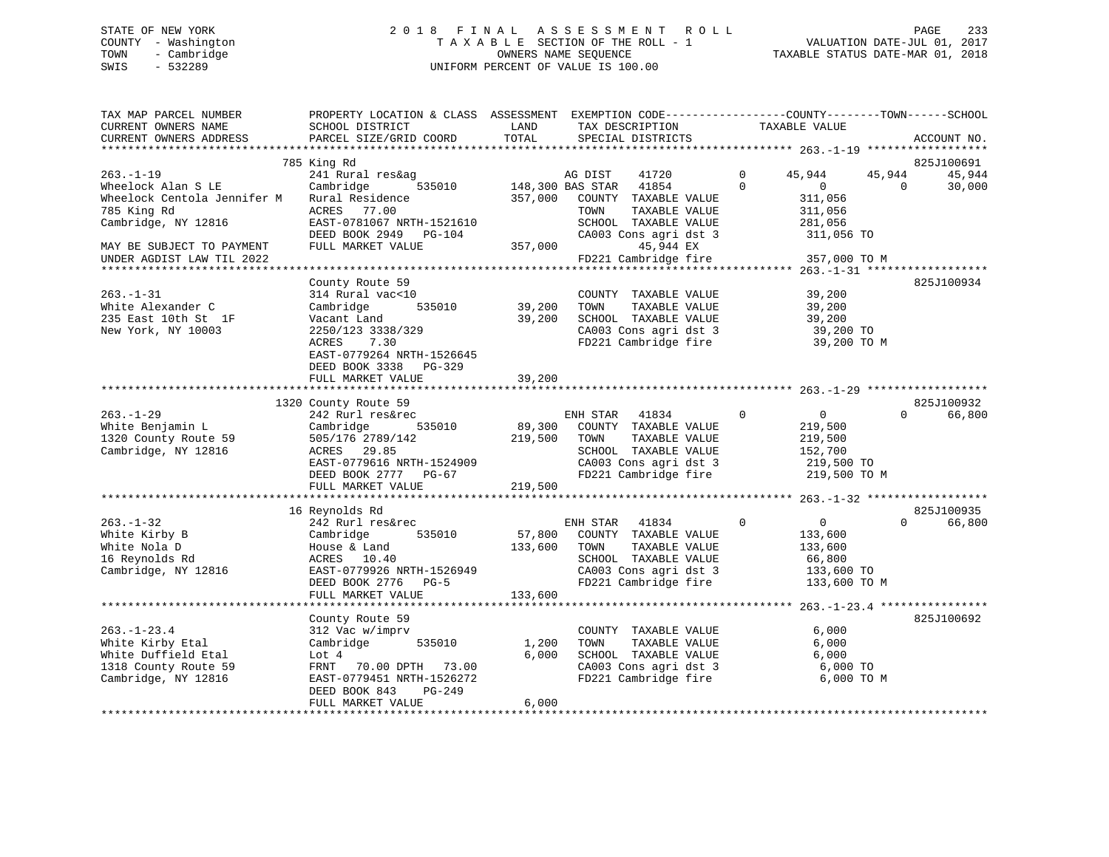# STATE OF NEW YORK 2 0 1 8 F I N A L A S S E S S M E N T R O L L PAGE 233 COUNTY - Washington T A X A B L E SECTION OF THE ROLL - 1 VALUATION DATE-JUL 01, 2017 TOWN - Cambridge OWNERS NAME SEQUENCE TAXABLE STATUS DATE-MAR 01, 2018 SWIS - 532289 UNIFORM PERCENT OF VALUE IS 100.00

| TAX MAP PARCEL NUMBER<br>CURRENT OWNERS NAME<br>CURRENT OWNERS ADDRESS | PROPERTY LOCATION & CLASS ASSESSMENT EXEMPTION CODE----------------COUNTY-------TOWN-----SCHOOL<br>SCHOOL DISTRICT<br>PARCEL SIZE/GRID COORD | LAND<br>TOTAL    | TAX DESCRIPTION<br>SPECIAL DISTRICTS          | TAXABLE VALUE                   | ACCOUNT NO.        |
|------------------------------------------------------------------------|----------------------------------------------------------------------------------------------------------------------------------------------|------------------|-----------------------------------------------|---------------------------------|--------------------|
|                                                                        |                                                                                                                                              |                  |                                               |                                 |                    |
|                                                                        | 785 King Rd                                                                                                                                  |                  |                                               |                                 | 825J100691         |
| $263. - 1 - 19$                                                        | 241 Rural res&ag                                                                                                                             |                  | AG DIST<br>41720                              | $\mathbf{0}$<br>45,944          | 45,944<br>45,944   |
| Wheelock Alan S LE                                                     | 535010<br>Cambridge<br>Rural Residence                                                                                                       | 148,300 BAS STAR | 41854                                         | $\Omega$<br>$\Omega$<br>311,056 | 30,000<br>$\Omega$ |
| Wheelock Centola Jennifer M                                            |                                                                                                                                              | 357,000          | COUNTY TAXABLE VALUE                          |                                 |                    |
| 785 King Rd<br>Cambridge, NY 12816                                     | ACRES 77.00<br>EAST-0781067 NRTH-1521610                                                                                                     |                  | TAXABLE VALUE<br>TOWN<br>SCHOOL TAXABLE VALUE | 311,056<br>281,056              |                    |
|                                                                        | DEED BOOK 2949 PG-104                                                                                                                        |                  | CA003 Cons agri dst 3                         | 311,056 TO                      |                    |
| MAY BE SUBJECT TO PAYMENT                                              | FULL MARKET VALUE                                                                                                                            | 357,000          | 45,944 EX                                     |                                 |                    |
| UNDER AGDIST LAW TIL 2022                                              |                                                                                                                                              |                  | FD221 Cambridge fire                          | 357,000 TO M                    |                    |
|                                                                        |                                                                                                                                              |                  |                                               |                                 |                    |
|                                                                        | County Route 59                                                                                                                              |                  |                                               |                                 | 825J100934         |
| $263. - 1 - 31$                                                        | 314 Rural vac<10                                                                                                                             |                  | COUNTY TAXABLE VALUE                          | 39,200                          |                    |
| White Alexander C                                                      | Cambridge<br>535010                                                                                                                          | 39,200           | TAXABLE VALUE<br>TOWN                         | 39,200                          |                    |
| 235 East 10th St 1F                                                    | Vacant Land                                                                                                                                  | 39,200           | SCHOOL TAXABLE VALUE                          | 39,200                          |                    |
| New York, NY 10003                                                     | 2250/123 3338/329                                                                                                                            |                  | CA003 Cons agri dst 3                         | 39,200 TO                       |                    |
|                                                                        | ACRES<br>7.30                                                                                                                                |                  | FD221 Cambridge fire                          | 39,200 TO M                     |                    |
|                                                                        | EAST-0779264 NRTH-1526645                                                                                                                    |                  |                                               |                                 |                    |
|                                                                        | DEED BOOK 3338 PG-329                                                                                                                        |                  |                                               |                                 |                    |
|                                                                        | FULL MARKET VALUE                                                                                                                            | 39,200           |                                               |                                 |                    |
|                                                                        |                                                                                                                                              |                  |                                               |                                 |                    |
|                                                                        | 1320 County Route 59                                                                                                                         |                  |                                               |                                 | 825J100932         |
| $263. - 1 - 29$                                                        | 242 Rurl res&rec                                                                                                                             |                  | ENH STAR 41834                                | $\Omega$<br>0                   | 66,800<br>$\Omega$ |
| White Benjamin L                                                       | Cambridge<br>535010                                                                                                                          | 89,300           | COUNTY TAXABLE VALUE                          | 219,500                         |                    |
| 1320 County Route 59                                                   | 505/176 2789/142                                                                                                                             | 219,500          | TAXABLE VALUE<br>TOWN                         | 219,500                         |                    |
| Cambridge, NY 12816                                                    | ACRES 29.85                                                                                                                                  |                  | SCHOOL TAXABLE VALUE                          | 152,700                         |                    |
|                                                                        | EAST-0779616 NRTH-1524909                                                                                                                    |                  | CA003 Cons agri dst 3                         | 219,500 TO                      |                    |
|                                                                        | DEED BOOK 2777 PG-67                                                                                                                         |                  | FD221 Cambridge fire                          | 219,500 TO M                    |                    |
|                                                                        | FULL MARKET VALUE                                                                                                                            | 219,500          |                                               |                                 |                    |
|                                                                        | ************************                                                                                                                     |                  |                                               |                                 |                    |
|                                                                        | 16 Reynolds Rd                                                                                                                               |                  |                                               |                                 | 825J100935         |
| $263. - 1 - 32$                                                        | 242 Rurl res&rec                                                                                                                             |                  | ENH STAR<br>41834                             | $\Omega$<br>0                   | $\Omega$<br>66,800 |
| White Kirby B                                                          | Cambridge<br>535010                                                                                                                          | 57,800           | COUNTY TAXABLE VALUE                          | 133,600                         |                    |
| White Nola D                                                           | House & Land                                                                                                                                 | 133,600          | TAXABLE VALUE<br>TOWN                         | 133,600                         |                    |
| 16 Reynolds Rd                                                         | ACRES 10.40                                                                                                                                  |                  | SCHOOL TAXABLE VALUE                          | 66,800                          |                    |
| Cambridge, NY 12816                                                    | EAST-0779926 NRTH-1526949                                                                                                                    |                  | CA003 Cons agri dst 3                         | 133,600 TO                      |                    |
|                                                                        | DEED BOOK 2776<br>$PG-5$                                                                                                                     |                  | FD221 Cambridge fire                          | 133,600 TO M                    |                    |
|                                                                        | FULL MARKET VALUE                                                                                                                            | 133,600          |                                               |                                 |                    |
|                                                                        |                                                                                                                                              |                  |                                               |                                 |                    |
|                                                                        | County Route 59                                                                                                                              |                  |                                               |                                 | 825J100692         |
| $263. - 1 - 23.4$                                                      | 312 Vac w/imprv                                                                                                                              |                  | COUNTY TAXABLE VALUE                          | 6,000                           |                    |
| White Kirby Etal                                                       | Cambridge<br>535010                                                                                                                          | 1,200            | TOWN<br>TAXABLE VALUE                         | 6,000                           |                    |
| White Duffield Etal                                                    | Lot 4                                                                                                                                        | 6,000            | SCHOOL TAXABLE VALUE                          | 6,000                           |                    |
| 1318 County Route 59                                                   | FRNT 70.00 DPTH 73.00                                                                                                                        |                  | CA003 Cons agri dst 3                         | 6,000 TO                        |                    |
| Cambridge, NY 12816                                                    | EAST-0779451 NRTH-1526272                                                                                                                    |                  | FD221 Cambridge fire                          | 6,000 TO M                      |                    |
|                                                                        | DEED BOOK 843<br>PG-249<br>FULL MARKET VALUE                                                                                                 | 6,000            |                                               |                                 |                    |
|                                                                        |                                                                                                                                              |                  |                                               |                                 |                    |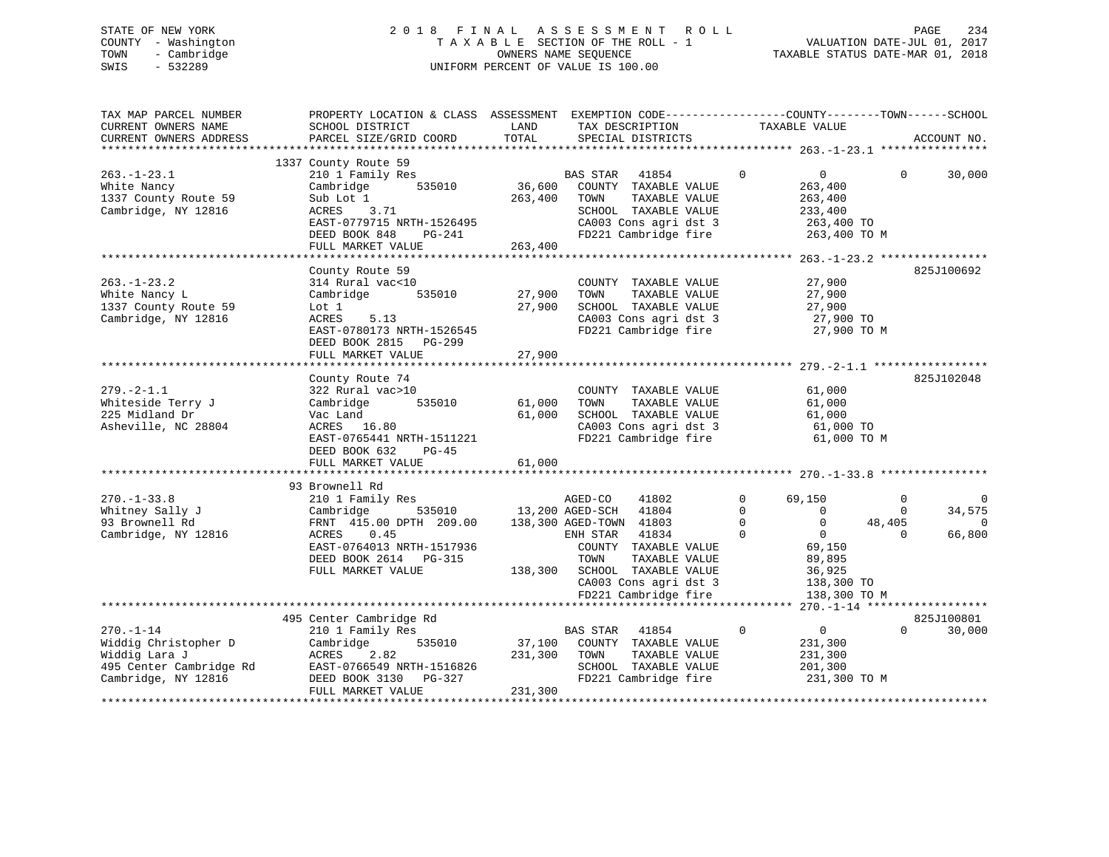# STATE OF NEW YORK 2 0 1 8 F I N A L A S S E S S M E N T R O L L PAGE 234 COUNTY - Washington T A X A B L E SECTION OF THE ROLL - 1 VALUATION DATE-JUL 01, 2017 TOWN - Cambridge OWNERS NAME SEQUENCE TAXABLE STATUS DATE-MAR 01, 2018 SWIS - 532289 UNIFORM PERCENT OF VALUE IS 100.00

| TAX MAP PARCEL NUMBER<br>CURRENT OWNERS NAME<br>CURRENT OWNERS ADDRESS                                     | PROPERTY LOCATION & CLASS ASSESSMENT EXEMPTION CODE----------------COUNTY-------TOWN------SCHOOL<br>SCHOOL DISTRICT<br>PARCEL SIZE/GRID COORD                                 | LAND<br>TOTAL                | TAX DESCRIPTION TAXABLE VALUE<br>SPECIAL DISTRICTS                                                                                                                                                          |                                                                                                                                                                    |                                                | ACCOUNT NO.                              |
|------------------------------------------------------------------------------------------------------------|-------------------------------------------------------------------------------------------------------------------------------------------------------------------------------|------------------------------|-------------------------------------------------------------------------------------------------------------------------------------------------------------------------------------------------------------|--------------------------------------------------------------------------------------------------------------------------------------------------------------------|------------------------------------------------|------------------------------------------|
| $263. - 1 - 23.1$<br>White Nancy<br>1337 County Route 59<br>Cambridge, NY 12816                            | 1337 County Route 59<br>210 1 Family Res<br>535010<br>Cambridge<br>Sub Lot 1<br>ACRES<br>3.71<br>EAST-0779715 NRTH-1526495<br>DEED BOOK 848<br>PG-241<br>FULL MARKET VALUE    | 36,600<br>263,400<br>263,400 | <b>BAS STAR</b><br>41854<br>COUNTY TAXABLE VALUE<br>TAXABLE VALUE<br>TOWN<br>SCHOOL TAXABLE VALUE<br>CA003 Cons agri dst 3<br>FD221 Cambridge fire                                                          | $\mathbf 0$<br>$\overline{0}$<br>263,400<br>263,400<br>233,400<br>263,400 TO<br>263,400 TO M                                                                       | $\Omega$                                       | 30,000                                   |
| $263. - 1 - 23.2$<br>White Nancy L<br>1337 County Route 59<br>Cambridge, NY 12816                          | County Route 59<br>314 Rural vac<10<br>Cambridge 535010<br>Lot 1<br>5.13<br>ACRES<br>EAST-0780173 NRTH-1526545<br>DEED BOOK 2815 PG-299<br>FULL MARKET VALUE                  | 27,900<br>27,900<br>27,900   | COUNTY TAXABLE VALUE<br>TAXABLE VALUE<br>TOWN<br>SCHOOL TAXABLE VALUE<br>CA003 Cons agri dst 3<br>FD221 Cambridge fire                                                                                      | 27,900<br>27,900<br>27,900<br>27,900 TO<br>27,900 TO M                                                                                                             |                                                | 825J100692                               |
| $279. - 2 - 1.1$<br>Whiteside Terry J<br>225 Midland Dr<br>Asheville, NC 28804                             | County Route 74<br>322 Rural vac>10<br>535010<br>Cambridge<br>Vac Land<br>ACRES 16.80<br>EAST-0765441 NRTH-1511221<br>DEED BOOK 632<br>PG-45<br>FULL MARKET VALUE             | 61,000<br>61,000<br>61,000   | COUNTY TAXABLE VALUE<br>TAXABLE VALUE<br>TOWN<br>SCHOOL TAXABLE VALUE<br>CA003 Cons agri dst 3<br>FD221 Cambridge fire                                                                                      | 61,000<br>61,000<br>61,000<br>61,000 TO<br>61,000 TO M                                                                                                             |                                                | 825J102048                               |
|                                                                                                            |                                                                                                                                                                               |                              |                                                                                                                                                                                                             |                                                                                                                                                                    |                                                |                                          |
| $270. - 1 - 33.8$<br>Whitney Sally J<br>93 Brownell Rd<br>Cambridge, NY 12816                              | 93 Brownell Rd<br>210 1 Family Res<br>535010<br>Cambridge<br>FRNT 415.00 DPTH 209.00<br>ACRES 0.45<br>EAST-0764013 NRTH-1517936<br>DEED BOOK 2614 PG-315<br>FULL MARKET VALUE | 13,200 AGED-SCH              | 41802<br>AGED-CO<br>41804<br>138,300 AGED-TOWN 41803<br>ENH STAR<br>41834<br>COUNTY TAXABLE VALUE<br>TAXABLE VALUE<br>TOWN<br>138,300 SCHOOL TAXABLE VALUE<br>CA003 Cons agri dst 3<br>FD221 Cambridge fire | 69,150<br>$\Omega$<br>$\Omega$<br>$\overline{0}$<br>$\Omega$<br>$\Omega$<br>$\overline{0}$<br>$\Omega$<br>69,150<br>89,895<br>36,925<br>138,300 TO<br>138,300 TO M | $\Omega$<br>$\mathbf{0}$<br>48,405<br>$\Omega$ | $\Omega$<br>34,575<br>$\Omega$<br>66,800 |
|                                                                                                            |                                                                                                                                                                               |                              |                                                                                                                                                                                                             |                                                                                                                                                                    |                                                |                                          |
| $270. - 1 - 14$<br>Widdig Christopher D<br>Widdig Lara J<br>495 Center Cambridge Rd<br>Cambridge, NY 12816 | 495 Center Cambridge Rd<br>210 1 Family Res<br>Cambridge<br>ACRES 2.82<br>EAST-0766549 NRTH-1516826<br>DEED BOOK 3130 PG-327<br>FULL MARKET VALUE                             | 231,300<br>231,300           | BAS STAR<br>41854<br>535010 37,100 COUNTY TAXABLE VALUE<br>TOWN<br>TAXABLE VALUE<br>SCHOOL TAXABLE VALUE<br>FD221 Cambridge fire                                                                            | $\mathbf 0$<br>$\overline{0}$<br>231,300<br>231,300<br>201,300<br>231,300 TO M                                                                                     | $\Omega$                                       | 825J100801<br>30,000                     |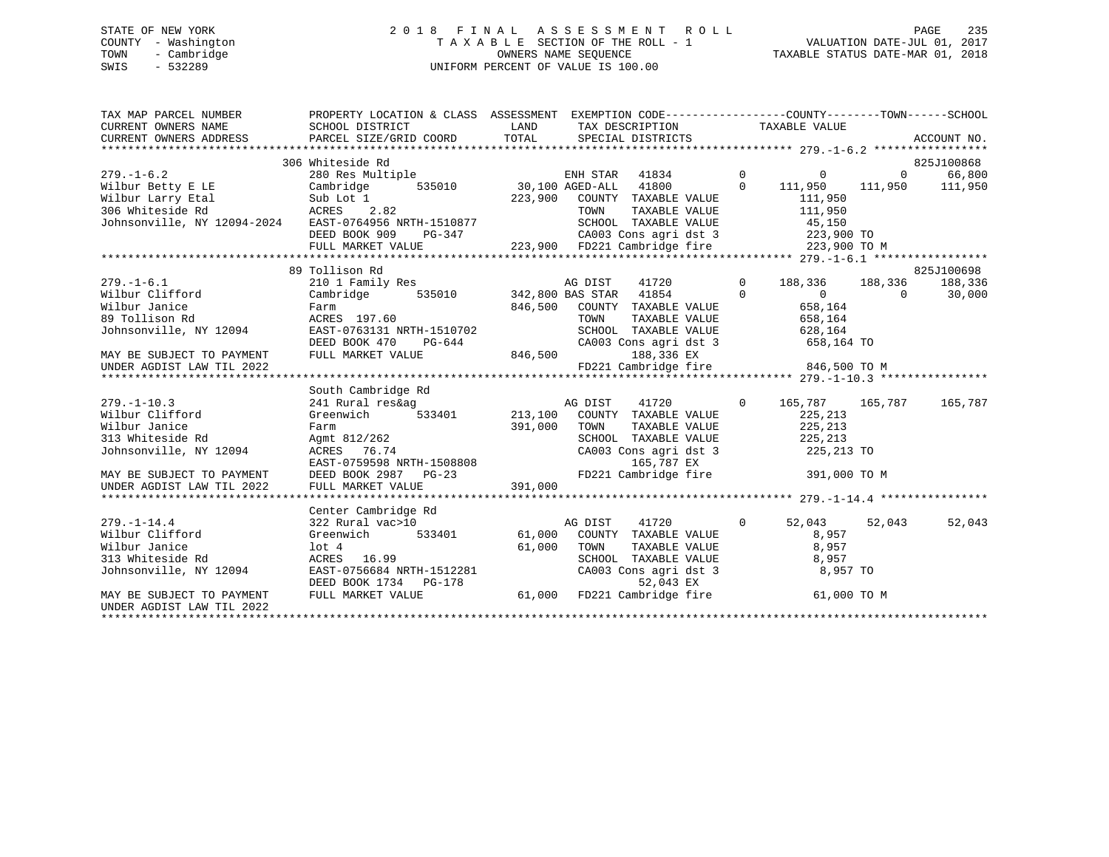# STATE OF NEW YORK 2 0 1 8 F I N A L A S S E S S M E N T R O L L PAGE 235 COUNTY - Washington T A X A B L E SECTION OF THE ROLL - 1 VALUATION DATE-JUL 01, 2017 TOWN - Cambridge OWNERS NAME SEQUENCE TAXABLE STATUS DATE-MAR 01, 2018 SWIS - 532289 UNIFORM PERCENT OF VALUE IS 100.00

| TAX MAP PARCEL NUMBER                                                                                                 | PROPERTY LOCATION & CLASS ASSESSMENT EXEMPTION CODE----------------COUNTY-------TOWN------SCHOOL                                         |          |         |                                                                                               |                                    |                 |            |
|-----------------------------------------------------------------------------------------------------------------------|------------------------------------------------------------------------------------------------------------------------------------------|----------|---------|-----------------------------------------------------------------------------------------------|------------------------------------|-----------------|------------|
|                                                                                                                       |                                                                                                                                          |          |         |                                                                                               |                                    |                 |            |
|                                                                                                                       |                                                                                                                                          |          |         |                                                                                               |                                    |                 |            |
|                                                                                                                       |                                                                                                                                          |          |         |                                                                                               |                                    |                 |            |
| $279. - 1 - 6.2$                                                                                                      | 306 Whiteside Rd                                                                                                                         |          |         |                                                                                               |                                    |                 | 825J100868 |
|                                                                                                                       | 280 Res Multiple                                                                                                                         |          |         | ENH STAR 41834 0 0 0 0                                                                        |                                    |                 | 66,800     |
| Wilbur Betty E LE                                                                                                     | Cambridge 535010 30,100 AGED-ALL 41800 0 111,950                                                                                         |          |         |                                                                                               |                                    | 111,950 111,950 |            |
|                                                                                                                       |                                                                                                                                          |          |         | COUNTY TAXABLE VALUE 111,950                                                                  |                                    |                 |            |
| Wilbur Larry Etal Sub Lot 1 223,900<br>306 Whiteside Rd 2.82<br>Johnsonville, NY 12094-2024 EAST-0764956 NRTH-1510877 |                                                                                                                                          |          |         | TOWN TAXABLE VALUE 111,950<br>SCHOOL TAXABLE VALUE 45,150<br>CA003 Cons agri dst 3 223,900 TO |                                    |                 |            |
|                                                                                                                       |                                                                                                                                          |          |         |                                                                                               |                                    |                 |            |
|                                                                                                                       | DEED BOOK 909                                                                                                                            | $PG-347$ |         |                                                                                               |                                    |                 |            |
|                                                                                                                       |                                                                                                                                          |          |         |                                                                                               |                                    |                 |            |
|                                                                                                                       |                                                                                                                                          |          |         |                                                                                               |                                    |                 |            |
|                                                                                                                       | 89 Tollison Rd                                                                                                                           |          |         |                                                                                               |                                    |                 | 825J100698 |
| $279. - 1 - 6.1$                                                                                                      | 210 1 Family Res                                                                                                                         |          |         | AG DIST 41720 0 188,336 188,336 188,336                                                       |                                    |                 |            |
| Wilbur Clifford                                                                                                       | Cambridge 535010 342,800 BAS STAR 41854 0                                                                                                |          |         |                                                                                               | $0$ 0 30,000<br>658,164<br>658,164 |                 |            |
| Wilbur Janice                                                                                                         | Farm                                                                                                                                     |          |         | 846,500 COUNTY TAXABLE VALUE<br>TOWN TAXABLE VALUE                                            |                                    |                 |            |
| 89 Tollison Rd                                                                                                        | ACRES 197.60                                                                                                                             |          |         | SCHOOL TAXABLE VALUE 628,164                                                                  |                                    |                 |            |
| Johnsonville, NY 12094                                                                                                | EAST-0763131 NRTH-1510702                                                                                                                |          |         |                                                                                               |                                    |                 |            |
|                                                                                                                       | DEED BOOK 470<br>PG-644 CA003<br>LUE 846,500                                                                                             |          |         | CA003 Cons agri dst 3 658,164 TO                                                              |                                    |                 |            |
| MAY BE SUBJECT TO PAYMENT                                                                                             | FULL MARKET VALUE                                                                                                                        |          |         | 188,336 EX                                                                                    |                                    |                 |            |
| UNDER AGDIST LAW TIL 2022                                                                                             |                                                                                                                                          |          |         | FD221 Cambridge fire 846,500 TO M                                                             |                                    |                 |            |
|                                                                                                                       |                                                                                                                                          |          |         |                                                                                               |                                    |                 |            |
|                                                                                                                       | South Cambridge Rd                                                                                                                       |          |         |                                                                                               |                                    |                 |            |
| $279. - 1 - 10.3$                                                                                                     |                                                                                                                                          |          |         |                                                                                               |                                    |                 |            |
| Wilbur Clifford                                                                                                       |                                                                                                                                          |          |         |                                                                                               |                                    |                 |            |
| Wilbur Janice                                                                                                         |                                                                                                                                          |          | TOWN    | TAXABLE VALUE 225, 213                                                                        |                                    |                 |            |
| 313 Whiteside Rd                                                                                                      |                                                                                                                                          |          |         | SCHOOL TAXABLE VALUE 225, 213                                                                 |                                    |                 |            |
| Johnsonville, NY 12094                                                                                                |                                                                                                                                          |          |         | CA003 Cons agri dst 3                                                                         | 225,213 TO                         |                 |            |
|                                                                                                                       |                                                                                                                                          |          |         | 165,787 EX                                                                                    |                                    |                 |            |
| MAY BE SUBJECT TO PAYMENT                                                                                             |                                                                                                                                          |          |         | FD221 Cambridge fire 391,000 TO M                                                             |                                    |                 |            |
| UNDER AGDIST LAW TIL 2022                                                                                             | Farm 555332<br>Ram 812/262<br>ACRES 76.74<br>EAST-0759598 NRTH-1508808<br>DEED BOOK 2987 PG-23<br>FULL MARKET VALUE<br>TULL MARKET VALUE |          |         |                                                                                               |                                    |                 |            |
|                                                                                                                       |                                                                                                                                          |          |         |                                                                                               |                                    |                 |            |
|                                                                                                                       | Center Cambridge Rd                                                                                                                      |          |         |                                                                                               |                                    |                 |            |
| $279. - 1 - 14.4$                                                                                                     | 322 Rural vac>10                                                                                                                         |          | AG DIST | 41720 0                                                                                       |                                    | 52,043 52,043   | 52,043     |
| Wilbur Clifford                                                                                                       | Greenwich 533401 61,000 COUNTY TAXABLE VALUE                                                                                             |          |         |                                                                                               | 8,957                              |                 |            |
| Wilbur Janice                                                                                                         | lot 4 61,000<br>ACRES 16.99 EAST-0756684 NRTH-1512281                                                                                    |          | TOWN    | TOWN TAXABLE VALUE 8,957<br>SCHOOL TAXABLE VALUE 8,957<br>CA003 Cons agri dst 3 8,957 TO      |                                    |                 |            |
| 313 Whiteside Rd                                                                                                      |                                                                                                                                          |          |         |                                                                                               |                                    |                 |            |
| Johnsonville, NY 12094                                                                                                |                                                                                                                                          |          |         |                                                                                               |                                    |                 |            |
|                                                                                                                       | DEED BOOK 1734 PG-178 52,043 EX<br>FULL MARKET VALUE 61,000 FD221 Cambridge fire                                                         |          |         |                                                                                               |                                    |                 |            |
| MAY BE SUBJECT TO PAYMENT                                                                                             |                                                                                                                                          |          |         |                                                                                               |                                    | 61,000 TO M     |            |
| UNDER AGDIST LAW TIL 2022                                                                                             |                                                                                                                                          |          |         |                                                                                               |                                    |                 |            |
|                                                                                                                       |                                                                                                                                          |          |         |                                                                                               |                                    |                 |            |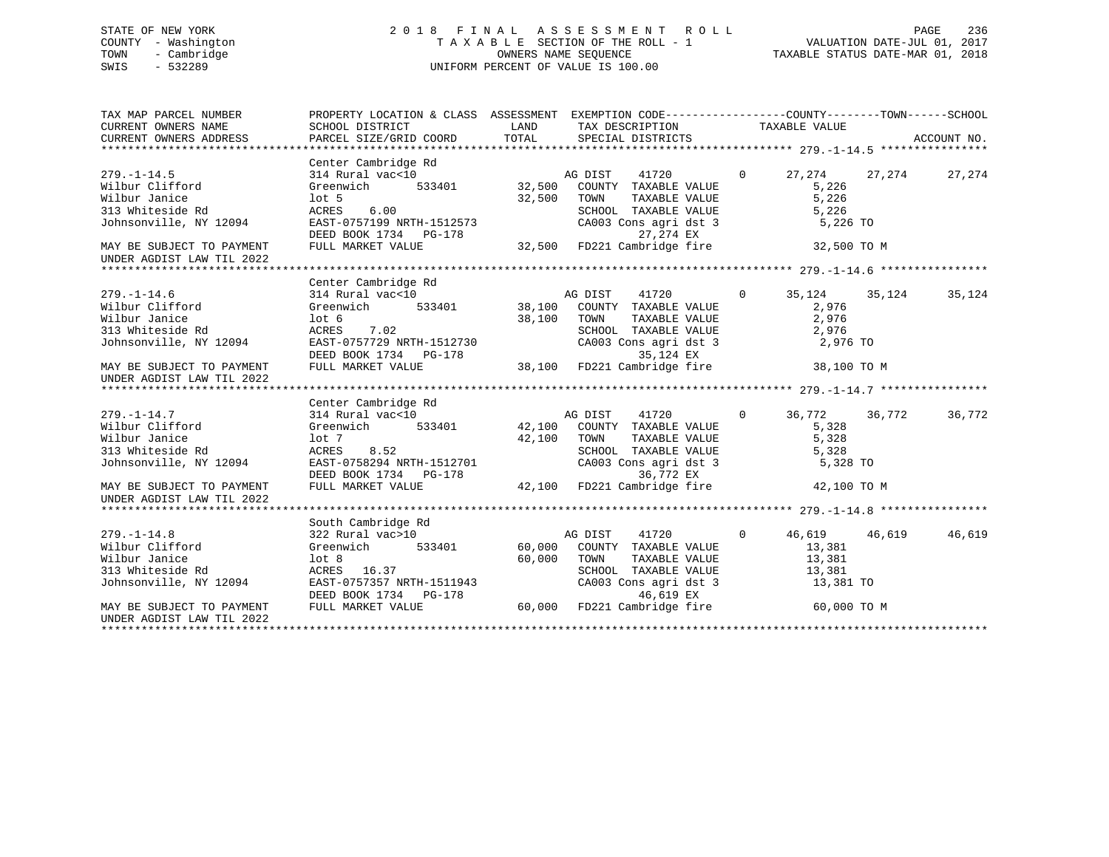# STATE OF NEW YORK 2 0 1 8 F I N A L A S S E S S M E N T R O L L PAGE 236 COUNTY - Washington T A X A B L E SECTION OF THE ROLL - 1 VALUATION DATE-JUL 01, 2017 TOWN - Cambridge OWNERS NAME SEQUENCE TAXABLE STATUS DATE-MAR 01, 2018 SWIS - 532289 UNIFORM PERCENT OF VALUE IS 100.00

| TAX MAP PARCEL NUMBER<br>CURRENT OWNERS NAME<br>CURRENT OWNERS ADDRESS | PROPERTY LOCATION & CLASS ASSESSMENT EXEMPTION CODE----------------COUNTY-------TOWN-----SCHOOL<br>SCHOOL DISTRICT<br>PARCEL SIZE/GRID COORD                                                                                                                                                                                           | LAND<br>TOTAL | TAX DESCRIPTION TAXABLE VALUE<br>SPECIAL DISTRICTS                              |                |                 |        | ACCOUNT NO. |
|------------------------------------------------------------------------|----------------------------------------------------------------------------------------------------------------------------------------------------------------------------------------------------------------------------------------------------------------------------------------------------------------------------------------|---------------|---------------------------------------------------------------------------------|----------------|-----------------|--------|-------------|
|                                                                        | Center Cambridge Rd                                                                                                                                                                                                                                                                                                                    |               |                                                                                 |                |                 |        |             |
| $279. - 1 - 14.5$                                                      |                                                                                                                                                                                                                                                                                                                                        |               |                                                                                 | $\Omega$       | 27,274 27,274   |        | 27,274      |
| Wilbur Clifford                                                        | $\begin{tabular}{lllllllllll} 314~Rural&\verb vac<10&\verb ACDIST&\verb 41720\\  \hspace{0.5cm} 41720 &\hspace{0.5cm} 41720 &\hspace{0.5cm} 41720 &\hspace{0.5cm} 41720 &\hspace{0.5cm} 4100 &\hspace{0.5cm} 4100 &\hspace{0.5cm} 4100 &\hspace{0.5cm} 4100 &\hspace{0.5cm} 4100 &\hspace{0.5cm} 4100 &\hspace{0.5cm} 4100 &\hspace{0$ |               |                                                                                 |                | 5.226           |        |             |
| Wilbur Janice                                                          | lot 5                                                                                                                                                                                                                                                                                                                                  | 32,500        | TOWN<br>TAXABLE VALUE                                                           |                | 5,226           |        |             |
| 313 Whiteside Rd                                                       | ACRES<br>6.00                                                                                                                                                                                                                                                                                                                          |               | SCHOOL TAXABLE VALUE                                                            |                | 5,226           |        |             |
| Johnsonville, NY 12094                                                 | EAST-0757199 NRTH-1512573                                                                                                                                                                                                                                                                                                              |               | SCHOOL TAXABLE VALUE<br>CA003 Cons agri dst 3                                   |                | 5,226 TO        |        |             |
|                                                                        | DEED BOOK 1734 PG-178                                                                                                                                                                                                                                                                                                                  |               | 27,274 EX                                                                       |                |                 |        |             |
| MAY BE SUBJECT TO PAYMENT                                              | FULL MARKET VALUE                                                                                                                                                                                                                                                                                                                      |               | 32,500 FD221 Cambridge fire                                                     |                | 32,500 TO M     |        |             |
| UNDER AGDIST LAW TIL 2022                                              |                                                                                                                                                                                                                                                                                                                                        |               |                                                                                 |                |                 |        |             |
|                                                                        |                                                                                                                                                                                                                                                                                                                                        |               |                                                                                 |                |                 |        |             |
|                                                                        | Center Cambridge Rd                                                                                                                                                                                                                                                                                                                    |               |                                                                                 |                |                 |        |             |
| $279. - 1 - 14.6$                                                      | 314 Rural vac<10                                                                                                                                                                                                                                                                                                                       |               |                                                                                 | $\overline{0}$ | 35, 124 35, 124 |        | 35,124      |
| Wilbur Clifford                                                        | Greenwich                                                                                                                                                                                                                                                                                                                              |               |                                                                                 |                | 2,976           |        |             |
| Wilbur Janice                                                          | lot <sub>6</sub>                                                                                                                                                                                                                                                                                                                       | 38,100        | TOWN<br>TAXABLE VALUE                                                           |                | 2,976           |        |             |
| 313 Whiteside Rd                                                       | ACRES 7.02                                                                                                                                                                                                                                                                                                                             |               |                                                                                 |                | 2,976           |        |             |
| Johnsonville, NY 12094                                                 | EAST-0757729 NRTH-1512730                                                                                                                                                                                                                                                                                                              |               | SCHOOL TAXABLE VALUE<br>CA003 Cons agri dst 3                                   |                | 2,976 TO        |        |             |
|                                                                        |                                                                                                                                                                                                                                                                                                                                        |               |                                                                                 |                |                 |        |             |
| MAY BE SUBJECT TO PAYMENT                                              | DEED BOOK 1734 PG-178<br>FULL MARKET VALUE 38,100 FD221 Cambridge fire                                                                                                                                                                                                                                                                 |               |                                                                                 |                | 38,100 TO M     |        |             |
| UNDER AGDIST LAW TIL 2022                                              |                                                                                                                                                                                                                                                                                                                                        |               |                                                                                 |                |                 |        |             |
|                                                                        |                                                                                                                                                                                                                                                                                                                                        |               |                                                                                 |                |                 |        |             |
|                                                                        | Center Cambridge Rd                                                                                                                                                                                                                                                                                                                    |               |                                                                                 |                |                 |        |             |
| $279. - 1 - 14.7$                                                      | 314 Rural vac<10                                                                                                                                                                                                                                                                                                                       |               |                                                                                 | $\overline{0}$ | 36,772          | 36,772 | 36,772      |
| Wilbur Clifford                                                        | Greenwich 533401                                                                                                                                                                                                                                                                                                                       |               | xu<br>23401 12,100 COUNTY TAXABLE VALUE<br>33401 12,100 COUNTY TAXABLE VALUE    |                | 5,328           |        |             |
| Wilbur Janice                                                          | lot 7                                                                                                                                                                                                                                                                                                                                  | 42,100        | TAXABLE VALUE<br>TOWN                                                           |                | 5,328           |        |             |
| 313 Whiteside Rd                                                       | ACRES<br>8.52                                                                                                                                                                                                                                                                                                                          |               |                                                                                 |                | 5,328           |        |             |
| Johnsonville, NY 12094                                                 | EAST-0758294 NRTH-1512701                                                                                                                                                                                                                                                                                                              |               | SCHOOL TAXABLE VALUE<br>CA003 Cons agri dst 3                                   |                | 5,328 TO        |        |             |
|                                                                        | DEED BOOK 1734 PG-178                                                                                                                                                                                                                                                                                                                  |               | 36,772 EX                                                                       |                |                 |        |             |
| MAY BE SUBJECT TO PAYMENT                                              | FULL MARKET VALUE                                                                                                                                                                                                                                                                                                                      |               | 42,100 FD221 Cambridge fire                                                     |                | 42,100 TO M     |        |             |
| UNDER AGDIST LAW TIL 2022                                              |                                                                                                                                                                                                                                                                                                                                        |               |                                                                                 |                |                 |        |             |
|                                                                        |                                                                                                                                                                                                                                                                                                                                        |               |                                                                                 |                |                 |        |             |
|                                                                        | South Cambridge Rd                                                                                                                                                                                                                                                                                                                     |               |                                                                                 |                |                 |        |             |
| $279. - 1 - 14.8$                                                      | 322 Rural vac>10                                                                                                                                                                                                                                                                                                                       |               | AG DIST<br>41720                                                                | $\overline{0}$ | 46,619 46,619   |        | 46,619      |
| Wilbur Clifford                                                        | 533401<br>Greenwich                                                                                                                                                                                                                                                                                                                    |               | 60,000 COUNTY TAXABLE VALUE                                                     |                | 13,381          |        |             |
| Wilbur Janice                                                          | $1$ ot 8                                                                                                                                                                                                                                                                                                                               | 60,000        | TOWN<br>TAXABLE VALUE                                                           |                | 13,381          |        |             |
| 313 Whiteside Rd                                                       | ACRES 16.37                                                                                                                                                                                                                                                                                                                            |               | SCHOOL TAXABLE VALUE                                                            |                | 13,381          |        |             |
| Johnsonville, NY 12094                                                 | EAST-0757357 NRTH-1511943                                                                                                                                                                                                                                                                                                              |               | CA003 Cons agri dst 3                                                           |                | 13,381 TO       |        |             |
|                                                                        | DEED BOOK 1734 PG-178                                                                                                                                                                                                                                                                                                                  |               |                                                                                 |                |                 |        |             |
| MAY BE SUBJECT TO PAYMENT                                              | FULL MARKET VALUE                                                                                                                                                                                                                                                                                                                      |               | 1511943 CA003 Cons agri dst 3<br>3-178 46,619 EX<br>60,000 FD221 Cambridge fire |                | 60,000 TO M     |        |             |
| UNDER AGDIST LAW TIL 2022                                              |                                                                                                                                                                                                                                                                                                                                        |               |                                                                                 |                |                 |        |             |
|                                                                        |                                                                                                                                                                                                                                                                                                                                        |               |                                                                                 |                |                 |        |             |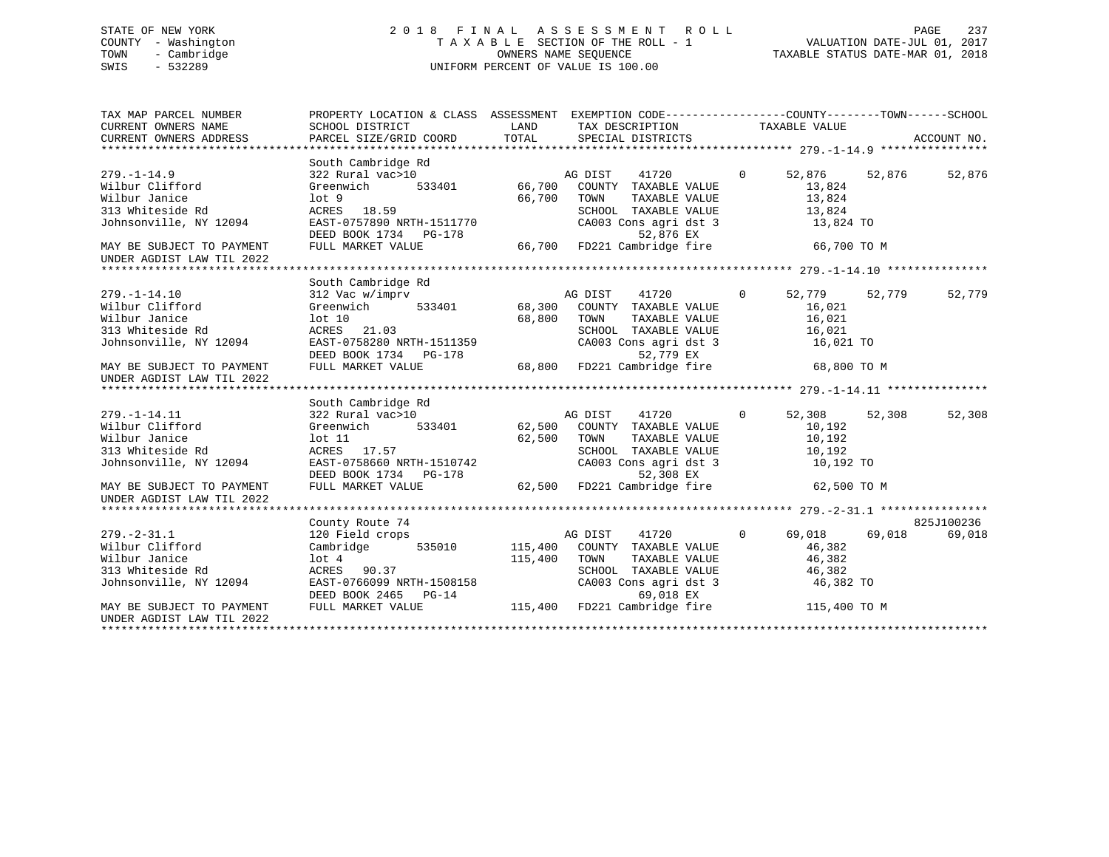# STATE OF NEW YORK 2 0 1 8 F I N A L A S S E S S M E N T R O L L PAGE 237 COUNTY - Washington T A X A B L E SECTION OF THE ROLL - 1 VALUATION DATE-JUL 01, 2017 TOWN - Cambridge OWNERS NAME SEQUENCE TAXABLE STATUS DATE-MAR 01, 2018 SWIS - 532289 UNIFORM PERCENT OF VALUE IS 100.00

| TAX MAP PARCEL NUMBER<br>CURRENT OWNERS NAME<br>CURRENT OWNERS ADDRESS | PROPERTY LOCATION & CLASS ASSESSMENT EXEMPTION CODE---------------COUNTY-------TOWN-----SCHOOL<br>SCHOOL DISTRICT | LAND    | TAX DESCRIPTION TAXABLE VALUE                                                                                                                                                                                                                                                                                                                                                                                                                                                  |                |             |        |            |
|------------------------------------------------------------------------|-------------------------------------------------------------------------------------------------------------------|---------|--------------------------------------------------------------------------------------------------------------------------------------------------------------------------------------------------------------------------------------------------------------------------------------------------------------------------------------------------------------------------------------------------------------------------------------------------------------------------------|----------------|-------------|--------|------------|
|                                                                        |                                                                                                                   |         |                                                                                                                                                                                                                                                                                                                                                                                                                                                                                |                |             |        |            |
|                                                                        | South Cambridge Rd                                                                                                |         |                                                                                                                                                                                                                                                                                                                                                                                                                                                                                |                |             |        |            |
| $279. - 1 - 14.9$                                                      | 322 Rural vac>10                                                                                                  |         | AG DIST<br>41720                                                                                                                                                                                                                                                                                                                                                                                                                                                               | $\circ$        | 52,876      | 52,876 | 52,876     |
| Wilbur Clifford                                                        | Greenwich                                                                                                         |         |                                                                                                                                                                                                                                                                                                                                                                                                                                                                                |                | 13,824      |        |            |
| Wilbur Janice                                                          | $1$ ot $9$                                                                                                        | 66,700  | TOWN<br>TAXABLE VALUE                                                                                                                                                                                                                                                                                                                                                                                                                                                          |                | 13,824      |        |            |
| 313 Whiteside Rd                                                       | ACRES 18.59                                                                                                       |         | SCHOOL TAXABLE VALUE<br>SCHOOL TAXABLE VALUE<br>CA003 Cons agri dst 3                                                                                                                                                                                                                                                                                                                                                                                                          |                | 13,824      |        |            |
| Johnsonville, NY 12094                                                 | EAST-0757890 NRTH-1511770<br>DEED BOOK 1734 PG-178                                                                |         | 52,876 EX                                                                                                                                                                                                                                                                                                                                                                                                                                                                      |                | 13,824 TO   |        |            |
| MAY BE SUBJECT TO PAYMENT                                              | FULL MARKET VALUE                                                                                                 |         | 66,700 FD221 Cambridge fire                                                                                                                                                                                                                                                                                                                                                                                                                                                    |                | 66,700 TO M |        |            |
| UNDER AGDIST LAW TIL 2022                                              |                                                                                                                   |         |                                                                                                                                                                                                                                                                                                                                                                                                                                                                                |                |             |        |            |
|                                                                        |                                                                                                                   |         |                                                                                                                                                                                                                                                                                                                                                                                                                                                                                |                |             |        |            |
|                                                                        | South Cambridge Rd                                                                                                |         |                                                                                                                                                                                                                                                                                                                                                                                                                                                                                |                |             |        |            |
| $279. - 1 - 14.10$                                                     | 312 Vac w/imprv                                                                                                   |         | $\begin{tabular}{ccccc} $\Lambda \mbox{$\sim$}$ & $\mbox{$\sim$}$ & $\mbox{$\sim$}$ & $\mbox{$\sim$}$ & $\mbox{$\sim$}$ & $\mbox{$\sim$}$ & $\mbox{$\sim$}$ & $\mbox{$\sim$}$ & $\mbox{$\sim$}$ & $\mbox{$\sim$}$ & $\mbox{$\sim$}$ & $\mbox{$\sim$}$ & $\mbox{$\sim$}$ & $\mbox{$\sim$}$ & $\mbox{$\sim$}$ & $\mbox{$\sim$}$ & $\mbox{$\sim$}$ & $\mbox{$\sim$}$ & $\mbox{$\sim$}$ & $\mbox{$\sim$}$ & $\mbox{$\sim$}$ & $\mbox{$\sim$}$ & $\mbox{$\sim$}$ & $\m$<br>$\sim$ 0 |                | 52,779      | 52,779 | 52,779     |
| Wilbur Clifford                                                        | Greenwich                                                                                                         |         |                                                                                                                                                                                                                                                                                                                                                                                                                                                                                |                | 16,021      |        |            |
| Wilbur Janice                                                          |                                                                                                                   | 68,800  | TOWN<br>TAXABLE VALUE                                                                                                                                                                                                                                                                                                                                                                                                                                                          |                | 16,021      |        |            |
| 313 Whiteside Rd                                                       | lot 10<br>ACRES 21.03                                                                                             |         |                                                                                                                                                                                                                                                                                                                                                                                                                                                                                |                | 16,021      |        |            |
| Johnsonville, NY 12094                                                 | EAST-0758280 NRTH-1511359                                                                                         |         | SCHOOL TAXABLE VALUE<br>CA003 Cons agri dst 3                                                                                                                                                                                                                                                                                                                                                                                                                                  |                | 16,021 TO   |        |            |
|                                                                        |                                                                                                                   |         |                                                                                                                                                                                                                                                                                                                                                                                                                                                                                |                |             |        |            |
| MAY BE SUBJECT TO PAYMENT<br>UNDER AGDIST LAW TIL 2022                 | DEED BOOK 1734 PG-178 $52,779$ EX<br>FULL MARKET VALUE 68,800 FD221 Cambridge fire 68,800 TO M                    |         |                                                                                                                                                                                                                                                                                                                                                                                                                                                                                |                |             |        |            |
|                                                                        |                                                                                                                   |         |                                                                                                                                                                                                                                                                                                                                                                                                                                                                                |                |             |        |            |
|                                                                        | South Cambridge Rd                                                                                                |         |                                                                                                                                                                                                                                                                                                                                                                                                                                                                                |                |             |        |            |
| $279. - 1 - 14.11$                                                     | 322 Rural vac>10                                                                                                  |         |                                                                                                                                                                                                                                                                                                                                                                                                                                                                                | $\mathbf 0$    | 52,308      | 52,308 | 52,308     |
| Wilbur Clifford                                                        | Greenwich                                                                                                         |         |                                                                                                                                                                                                                                                                                                                                                                                                                                                                                |                | 10,192      |        |            |
| Wilbur Janice                                                          | lot 11                                                                                                            | 62,500  | TOWN<br>TAXABLE VALUE                                                                                                                                                                                                                                                                                                                                                                                                                                                          |                | 10,192      |        |            |
| 313 Whiteside Rd                                                       | ACRES 17.57                                                                                                       |         |                                                                                                                                                                                                                                                                                                                                                                                                                                                                                |                | 10,192      |        |            |
| Johnsonville, NY 12094<br>Johnsonville, NY 12094                       | EAST-0758660 NRTH-1510742                                                                                         |         | SCHOOL TAXABLE VALUE<br>CA003 Cons agri dst 3                                                                                                                                                                                                                                                                                                                                                                                                                                  |                | 10,192 TO   |        |            |
|                                                                        | DEED BOOK 1734 PG-178                                                                                             |         | 52,308 EX                                                                                                                                                                                                                                                                                                                                                                                                                                                                      |                |             |        |            |
| MAY BE SUBJECT TO PAYMENT<br>UNDER AGDIST LAW TIL 2022                 | FULL MARKET VALUE                                                                                                 |         | 62,500 FD221 Cambridge fire 62,500 TO M                                                                                                                                                                                                                                                                                                                                                                                                                                        |                |             |        |            |
|                                                                        |                                                                                                                   |         |                                                                                                                                                                                                                                                                                                                                                                                                                                                                                |                |             |        |            |
|                                                                        | County Route 74                                                                                                   |         |                                                                                                                                                                                                                                                                                                                                                                                                                                                                                |                |             |        | 825J100236 |
| $279. - 2 - 31.1$                                                      | 120 Field crops                                                                                                   |         | AG DIST<br>41720                                                                                                                                                                                                                                                                                                                                                                                                                                                               | $\overline{0}$ | 69,018      | 69,018 | 69,018     |
| Wilbur Clifford                                                        | 535010<br>Cambridge                                                                                               | 115,400 | COUNTY TAXABLE VALUE                                                                                                                                                                                                                                                                                                                                                                                                                                                           |                | 46,382      |        |            |
| Wilbur Janice                                                          | lot <sub>4</sub>                                                                                                  | 115,400 | TOWN<br>TAXABLE VALUE                                                                                                                                                                                                                                                                                                                                                                                                                                                          |                | 46,382      |        |            |
| 313 Whiteside Rd                                                       | ACRES 90.37                                                                                                       |         |                                                                                                                                                                                                                                                                                                                                                                                                                                                                                |                | 46,382      |        |            |
| Johnsonville, NY 12094                                                 | EAST-0766099 NRTH-1508158                                                                                         |         | SCHOOL TAXABLE VALUE<br>CA003 Cons agri dst 3                                                                                                                                                                                                                                                                                                                                                                                                                                  |                | 46,382 TO   |        |            |
|                                                                        |                                                                                                                   |         |                                                                                                                                                                                                                                                                                                                                                                                                                                                                                |                |             |        |            |
| MAY BE SUBJECT TO PAYMENT                                              | DEED BOOK 2465 PG-14 $\overline{018}$ EX<br>FULL MARKET VALUE 115,400 FD221 Cambridge fire 115,400 TO M           |         |                                                                                                                                                                                                                                                                                                                                                                                                                                                                                |                |             |        |            |
| UNDER AGDIST LAW TIL 2022                                              |                                                                                                                   |         |                                                                                                                                                                                                                                                                                                                                                                                                                                                                                |                |             |        |            |
|                                                                        |                                                                                                                   |         |                                                                                                                                                                                                                                                                                                                                                                                                                                                                                |                |             |        |            |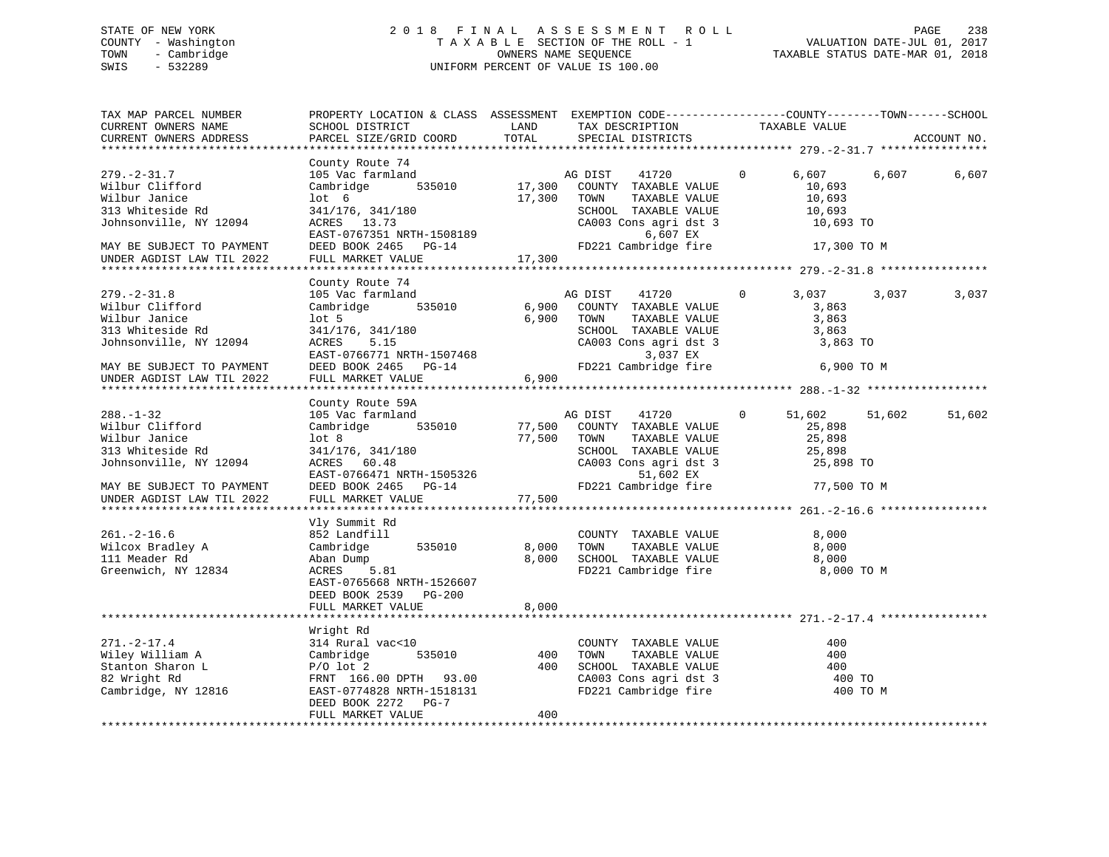# STATE OF NEW YORK 2 0 1 8 F I N A L A S S E S S M E N T R O L L PAGE 238 COUNTY - Washington T A X A B L E SECTION OF THE ROLL - 1 VALUATION DATE-JUL 01, 2017 TOWN - Cambridge OWNERS NAME SEQUENCE TAXABLE STATUS DATE-MAR 01, 2018 SWIS - 532289 UNIFORM PERCENT OF VALUE IS 100.00

| TAX MAP PARCEL NUMBER<br>CURRENT OWNERS NAME<br>CURRENT OWNERS ADDRESS                                                                                        | PROPERTY LOCATION & CLASS ASSESSMENT EXEMPTION CODE----------------COUNTY-------TOWN------SCHOOL<br>SCHOOL DISTRICT<br>PARCEL SIZE/GRID COORD                                                                                                                                                                                | LAND<br>TOTAL                   | TAX DESCRIPTION<br>SPECIAL DISTRICTS                                                                                                                                                             | TAXABLE VALUE                                                                                                                                                             | ACCOUNT NO.      |
|---------------------------------------------------------------------------------------------------------------------------------------------------------------|------------------------------------------------------------------------------------------------------------------------------------------------------------------------------------------------------------------------------------------------------------------------------------------------------------------------------|---------------------------------|--------------------------------------------------------------------------------------------------------------------------------------------------------------------------------------------------|---------------------------------------------------------------------------------------------------------------------------------------------------------------------------|------------------|
| ****************                                                                                                                                              |                                                                                                                                                                                                                                                                                                                              |                                 |                                                                                                                                                                                                  |                                                                                                                                                                           |                  |
| 279.-2-31.7<br>Wilbur Clifford<br>Wilbur Janice<br>313 Whiteside Rd<br>Johnsonville, NY 12094<br>MAY BE SUBJECT TO PAYMENT<br>UNDER AGDIST LAW TIL 2022       | County Route 74<br>105 Vac farmland<br>Cambridge 535010<br>105 6<br>341/176, 341/180<br>ACPES<br>ACRES 13.73<br>RCKES 13.73<br>EAST-0767351 NRTH-1508189<br>DEED BOOK 2465 PG-14<br>FULL MARKET VALUE                                                                                                                        | 17,300<br>17,300                | 41720<br>AG DIST 41720<br>17,300 COUNTY TAXABLE VALUE<br>TOWN<br>TAXABLE VALUE<br>TOWN      TAXABLE VALUE<br>SCHOOL   TAXABLE VALUE<br>CA003 Cons agri dst 3<br>6,607 EX<br>FD221 Cambridge fire | $\overline{0}$<br>6,607<br>10,693<br>10,693<br>10,693<br>10,693 TO<br>17,300 TO M                                                                                         | 6,607<br>6,607   |
|                                                                                                                                                               |                                                                                                                                                                                                                                                                                                                              |                                 |                                                                                                                                                                                                  |                                                                                                                                                                           |                  |
| $279. - 2 - 31.8$<br>Wilbur Clifford<br>Wilbur Janice<br>313 Whiteside Rd<br>Johnsonville, NY 12094<br>MAY BE SUBJECT TO PAYMENT<br>UNDER AGDIST LAW TIL 2022 | County Route 74<br>105 Vac farmland<br>Cambridge 535010<br>lot 5<br>341/176, 341/180<br>ACRES 5.15<br>$\begin{tabular}{lllllllll} \texttt{EAST-0766771} & & & & \\ \texttt{DEED} & \texttt{BOOK} & 2465 & & \texttt{PG-14} \\ \texttt{FULL} & \texttt{MARKET} & \texttt{VALITF} & & & \\ \end{tabular}$<br>FULL MARKET VALUE | 6,900                           | AG DIST 41720<br>6,900 COUNTY TAXABLE VALUE<br>6,900 TOWN TAXABLE VALUE<br>SCHOOL TAXABLE VALUE<br>3,037 EX                                                                                      | $\overline{0}$<br>3,037<br>3,863<br>3,863<br>3,863<br>SCHOOL TAXABLE VALUE 3,863<br>CA003 Cons agri dst 3 3,863 TO<br>FD221 Cambridge fire 6,900 TO M                     | 3,037<br>3,037   |
|                                                                                                                                                               | County Route 59A                                                                                                                                                                                                                                                                                                             |                                 |                                                                                                                                                                                                  |                                                                                                                                                                           |                  |
| $288. - 1 - 32$<br>Wilbur Clifford<br>Wilbur Janice<br>313 Whiteside Rd<br>Johnsonville, NY 12094<br>MAY BE SUBJECT TO PAYMENT<br>UNDER AGDIST LAW TIL 2022   | 105 Vac farmland<br>535010<br>Cambridge<br>lot <sub>8</sub><br>341/176, 341/180<br>ACRES 60.48<br>EAST-0766471 NRTH-1505326<br>EAST-0766471 NRTH-1505326<br>DEED BOOK 2465 PG-14<br>PUIL MONTE ----<br>FULL MARKET VALUE                                                                                                     | 77,500<br>77,500 TOWN<br>77,500 | AG DIST 41720<br>COUNTY TAXABLE VALUE<br>TAXABLE VALUE<br>CA003 Cons agri dst 3<br>51,602 EX                                                                                                     | $\overline{0}$<br>51,602<br>25,898<br>25,898<br>TOWN TAXABLE VALUE<br>SCHOOL TAXABLE VALUE 25,898<br>31003 Cons agri dst. 3 25,898 TO<br>FD221 Cambridge fire 77,500 TO M | 51,602<br>51,602 |
| $261. - 2 - 16.6$<br>Wilcox Bradley A<br>111 Meader Rd<br>Greenwich, NY 12834                                                                                 | Vly Summit Rd<br>852 Landfill<br>Cambridge<br>535010<br>.81<br>Aban Dump<br>ACRES 5.81<br>EAST-0765668 NRTH-1526607<br>DEED BOOK 2539 PG-200<br>FULL MARKET VALUE                                                                                                                                                            | 8,000<br>8,000<br>8,000         | COUNTY TAXABLE VALUE<br>TOWN TAXABLE VALUE<br>SCHOOL TAXABLE VALUE<br>FD221 Cambridge fire                                                                                                       | 8,000<br>8,000<br>8,000<br>8,000 TO M                                                                                                                                     |                  |
|                                                                                                                                                               |                                                                                                                                                                                                                                                                                                                              |                                 |                                                                                                                                                                                                  |                                                                                                                                                                           |                  |
| $271. - 2 - 17.4$<br>Wiley William A<br>Wiley William A Cambridge<br>Stanton Sharon L P/O lot 2<br>82 Wright Rd<br>Cambridge, NY 12816                        | Wright Rd<br>314 Rural vac<10<br>535010<br>Cambridge<br>FRNT 166.00 DPTH 93.00<br>FRNT 166.00 DPTH 93.00<br>EAST-0774828 NRTH-1518131<br>DEED BOOK 2272 PG-7<br>FULL MARKET VALUE                                                                                                                                            | 400<br>400                      | COUNTY TAXABLE VALUE<br>TAXABLE VALUE<br>TAXABLE VALUE<br>TOWN<br>400 SCHOOL TAXABLE VALUE<br>CA003 Cons agri dst 3<br>FD221 Cambridge fire                                                      | 400<br>400<br>400<br>400 TO<br>400 TO M                                                                                                                                   |                  |
|                                                                                                                                                               |                                                                                                                                                                                                                                                                                                                              |                                 |                                                                                                                                                                                                  |                                                                                                                                                                           |                  |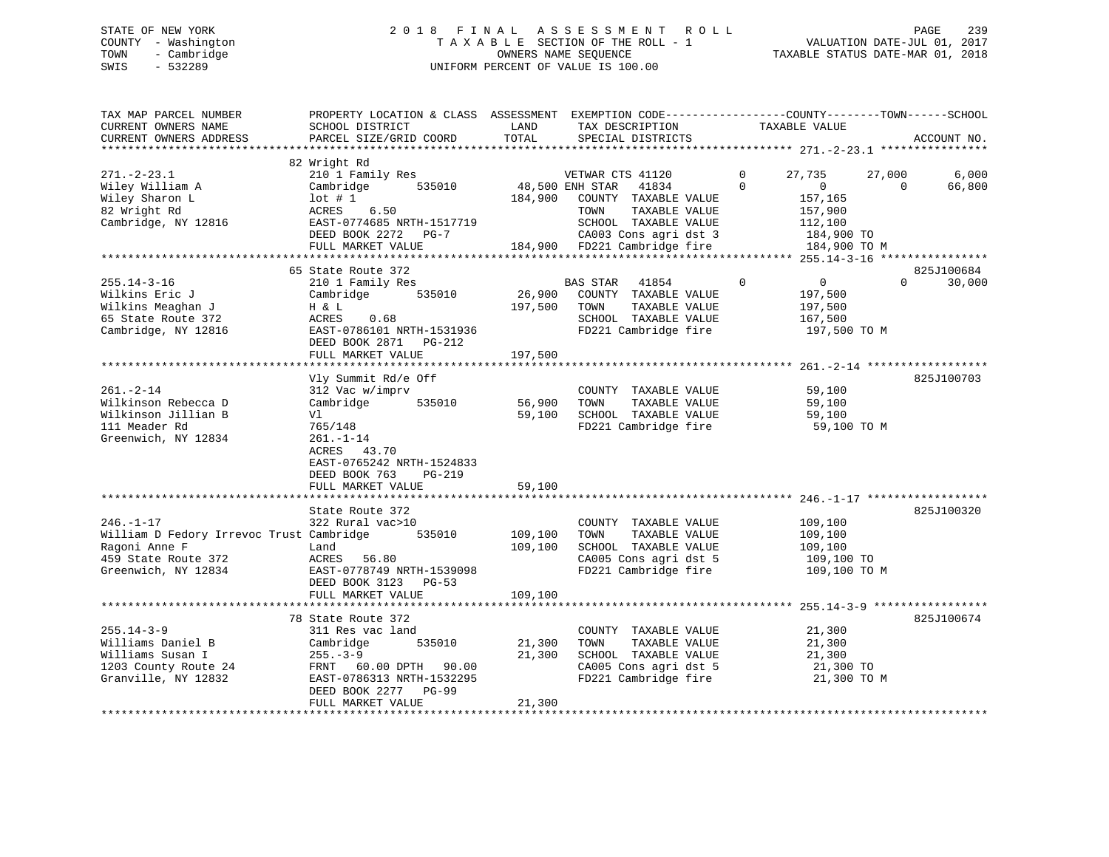# STATE OF NEW YORK 2 0 1 8 F I N A L A S S E S S M E N T R O L L PAGE 239 COUNTY - Washington T A X A B L E SECTION OF THE ROLL - 1 VALUATION DATE-JUL 01, 2017 TOWN - Cambridge OWNERS NAME SEQUENCE TAXABLE STATUS DATE-MAR 01, 2018 SWIS - 532289 UNIFORM PERCENT OF VALUE IS 100.00

| TAX MAP PARCEL NUMBER<br>CURRENT OWNERS NAME<br>CURRENT OWNERS ADDRESS                                                     | PROPERTY LOCATION & CLASS ASSESSMENT EXEMPTION CODE----------------COUNTY-------TOWN------SCHOOL<br>SCHOOL DISTRICT<br>PARCEL SIZE/GRID COORD                                                      | LAND<br>TOTAL                                 | TAX DESCRIPTION<br>SPECIAL DISTRICTS                                                                                                                        | TAXABLE VALUE                                                                                                                 | ACCOUNT NO.                      |
|----------------------------------------------------------------------------------------------------------------------------|----------------------------------------------------------------------------------------------------------------------------------------------------------------------------------------------------|-----------------------------------------------|-------------------------------------------------------------------------------------------------------------------------------------------------------------|-------------------------------------------------------------------------------------------------------------------------------|----------------------------------|
| $271. - 2 - 23.1$<br>Wiley William A<br>Wiley Sharon L<br>82 Wright Rd<br>Cambridge, NY 12816                              | 82 Wright Rd<br>210 1 Family Res<br>Cambridge<br>535010<br>$1$ ot # 1<br>6.50<br>ACRES<br>EAST-0774685 NRTH-1517719<br>DEED BOOK 2272 PG-7<br>FULL MARKET VALUE                                    | 48,500 ENH STAR<br>184,900                    | VETWAR CTS 41120<br>41834<br>COUNTY TAXABLE VALUE<br>TAXABLE VALUE<br>TOWN<br>SCHOOL TAXABLE VALUE<br>CA003 Cons agri dst 3<br>184,900 FD221 Cambridge fire | $\mathbf{0}$<br>27,735<br>27,000<br>$\Omega$<br>$\overline{0}$<br>157,165<br>157,900<br>112,100<br>184,900 TO<br>184,900 TO M | 6,000<br>66,800<br>$\Omega$      |
| $255.14 - 3 - 16$<br>Wilkins Eric J<br>Wilkins Meaghan J<br>65 State Route 372<br>Cambridge, NY 12816                      | 65 State Route 372<br>210 1 Family Res<br>Cambridge<br>535010<br>H & L<br>ACRES<br>0.68<br>EAST-0786101 NRTH-1531936<br>DEED BOOK 2871 PG-212<br>FULL MARKET VALUE                                 | 26,900<br>197,500<br>197,500                  | <b>BAS STAR</b><br>41854<br>COUNTY TAXABLE VALUE<br>TOWN<br>TAXABLE VALUE<br>SCHOOL TAXABLE VALUE<br>FD221 Cambridge fire                                   | $\Omega$<br>$\overline{0}$<br>197,500<br>197,500<br>167,500<br>197,500 TO M                                                   | 825J100684<br>$\Omega$<br>30,000 |
| $261. - 2 - 14$<br>Wilkinson Rebecca D<br>Wilkinson Jillian B<br>111 Meader Rd<br>Greenwich, NY 12834                      | Vly Summit Rd/e Off<br>312 Vac w/imprv<br>535010<br>Cambridge<br>Vl<br>765/148<br>$261. - 1 - 14$<br>43.70<br>ACRES<br>EAST-0765242 NRTH-1524833<br>DEED BOOK 763<br>$PG-219$<br>FULL MARKET VALUE | 56,900<br>59,100<br>59,100                    | COUNTY TAXABLE VALUE<br>TOWN<br>TAXABLE VALUE<br>SCHOOL TAXABLE VALUE<br>FD221 Cambridge fire                                                               | 59,100<br>59,100<br>59,100<br>59,100 TO M                                                                                     | 825J100703                       |
| $246. - 1 - 17$<br>William D Fedory Irrevoc Trust Cambridge<br>Ragoni Anne F<br>459 State Route 372<br>Greenwich, NY 12834 | ****************************<br>State Route 372<br>322 Rural vac>10<br>535010<br>Land<br>ACRES 56.80<br>EAST-0778749 NRTH-1539098<br>DEED BOOK 3123<br>$PG-53$<br>FULL MARKET VALUE                | ************<br>109,100<br>109,100<br>109,100 | COUNTY TAXABLE VALUE<br>TAXABLE VALUE<br>TOWN<br>SCHOOL TAXABLE VALUE<br>CA005 Cons agri dst 5<br>FD221 Cambridge fire                                      | 109,100<br>109,100<br>109,100<br>109,100 TO<br>109,100 TO M                                                                   | 825J100320                       |
| $255.14 - 3 - 9$<br>Williams Daniel B<br>Williams Susan I<br>1203 County Route 24<br>Granville, NY 12832                   | 78 State Route 372<br>311 Res vac land<br>Cambridge<br>535010<br>$255. - 3 - 9$<br>FRNT 60.00 DPTH 90.00<br>EAST-0786313 NRTH-1532295<br>DEED BOOK 2277 PG-99<br>FULL MARKET VALUE                 | 21,300<br>21,300<br>21,300                    | COUNTY TAXABLE VALUE<br>TOWN<br>TAXABLE VALUE<br>SCHOOL TAXABLE VALUE<br>CA005 Cons agri dst 5<br>FD221 Cambridge fire                                      | 21,300<br>21,300<br>21,300<br>21,300 TO<br>21,300 TO M                                                                        | 825J100674                       |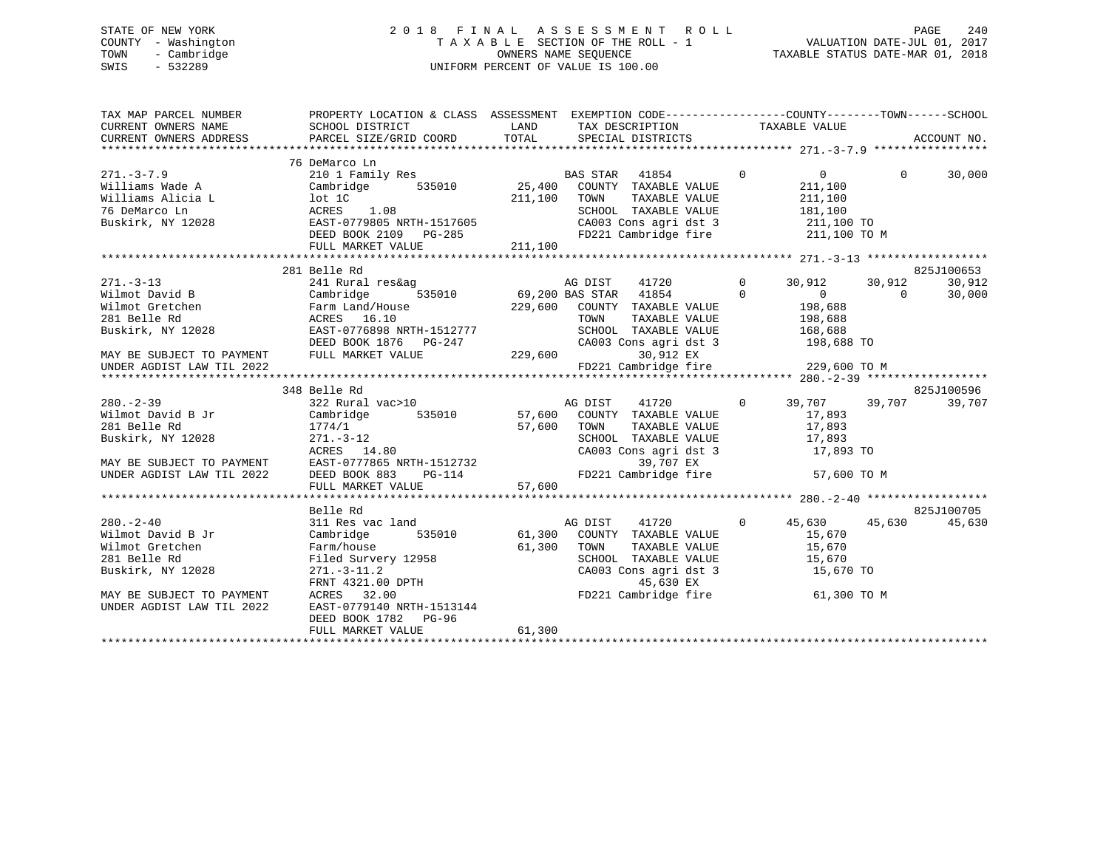# STATE OF NEW YORK 2 0 1 8 F I N A L A S S E S S M E N T R O L L PAGE 240 COUNTY - Washington T A X A B L E SECTION OF THE ROLL - 1 VALUATION DATE-JUL 01, 2017 TOWN - Cambridge OWNERS NAME SEQUENCE TAXABLE STATUS DATE-MAR 01, 2018 SWIS - 532289 UNIFORM PERCENT OF VALUE IS 100.00UNIFORM PERCENT OF VALUE IS 100.00

| TAX MAP PARCEL NUMBER<br>CURRENT OWNERS NAME | PROPERTY LOCATION & CLASS ASSESSMENT EXEMPTION CODE----------------COUNTY-------TOWN------SCHOOL                                                                                                                 |                    |                                                                                                                                                                                                                                                                                                                                                                                                                                                                                             |                             |          |            |
|----------------------------------------------|------------------------------------------------------------------------------------------------------------------------------------------------------------------------------------------------------------------|--------------------|---------------------------------------------------------------------------------------------------------------------------------------------------------------------------------------------------------------------------------------------------------------------------------------------------------------------------------------------------------------------------------------------------------------------------------------------------------------------------------------------|-----------------------------|----------|------------|
|                                              | 76 DeMarco Ln                                                                                                                                                                                                    |                    |                                                                                                                                                                                                                                                                                                                                                                                                                                                                                             |                             |          |            |
| $271 - 3 - 7.9$                              | 210 1 Family Res                                                                                                                                                                                                 |                    | BAS STAR 41854                                                                                                                                                                                                                                                                                                                                                                                                                                                                              | $\Omega$<br>$\overline{0}$  | $\Omega$ | 30,000     |
| Williams Wade A                              | Cambridge 535010 25,400 COUNTY TAXABLE VALUE                                                                                                                                                                     |                    |                                                                                                                                                                                                                                                                                                                                                                                                                                                                                             | 211,100                     |          |            |
|                                              | Williams Alicia L $\begin{array}{ccc} \text{10t} & \text{10t} & \text{211,100} \\ \text{76 DEMarco In} & \text{ACRES} & \text{1.08} \\ \text{Buskirk, NY } 12028 & \text{EAST-0779805 NRTH-1517605} \end{array}$ |                    | TOWN<br>TAXABLE VALUE                                                                                                                                                                                                                                                                                                                                                                                                                                                                       | 211,100                     |          |            |
|                                              |                                                                                                                                                                                                                  |                    | SCHOOL TAXABLE VALUE                                                                                                                                                                                                                                                                                                                                                                                                                                                                        | 181,100                     |          |            |
|                                              |                                                                                                                                                                                                                  |                    | CA003 Cons agri dst 3 211,100 TO                                                                                                                                                                                                                                                                                                                                                                                                                                                            |                             |          |            |
|                                              | DEED BOOK 2109 PG-285                                                                                                                                                                                            | $3-285$<br>211,100 | FD221 Cambridge fire 211,100 TO M                                                                                                                                                                                                                                                                                                                                                                                                                                                           |                             |          |            |
|                                              | FULL MARKET VALUE                                                                                                                                                                                                |                    |                                                                                                                                                                                                                                                                                                                                                                                                                                                                                             |                             |          |            |
|                                              | 281 Belle Rd                                                                                                                                                                                                     |                    |                                                                                                                                                                                                                                                                                                                                                                                                                                                                                             |                             |          | 825J100653 |
| $271. - 3 - 13$                              | 241 Rural res&ag                                                                                                                                                                                                 |                    | AG DIST<br>41720 0                                                                                                                                                                                                                                                                                                                                                                                                                                                                          | 30,912 30,912               |          | 30,912     |
| Wilmot David B                               | Cambridge                                                                                                                                                                                                        |                    | 535010 69,200 BAS STAR 41854                                                                                                                                                                                                                                                                                                                                                                                                                                                                | $\Omega$<br>$\sim$ 0 $\sim$ | $\Omega$ | 30,000     |
|                                              |                                                                                                                                                                                                                  |                    |                                                                                                                                                                                                                                                                                                                                                                                                                                                                                             |                             |          |            |
|                                              |                                                                                                                                                                                                                  |                    |                                                                                                                                                                                                                                                                                                                                                                                                                                                                                             | 198,688<br>198,688          |          |            |
|                                              |                                                                                                                                                                                                                  |                    | SCHOOL TAXABLE VALUE 168,688                                                                                                                                                                                                                                                                                                                                                                                                                                                                |                             |          |            |
|                                              |                                                                                                                                                                                                                  |                    | CA003 Cons agri dst 3 198,688 TO                                                                                                                                                                                                                                                                                                                                                                                                                                                            |                             |          |            |
| MAY BE SUBJECT TO PAYMENT                    | DEED BOOK 1876   PG-247   CA003   CA003   C<br>FULL MARKET VALUE   229,600                                                                                                                                       |                    | 30,912 EX                                                                                                                                                                                                                                                                                                                                                                                                                                                                                   |                             |          |            |
|                                              |                                                                                                                                                                                                                  |                    |                                                                                                                                                                                                                                                                                                                                                                                                                                                                                             |                             |          |            |
|                                              |                                                                                                                                                                                                                  |                    |                                                                                                                                                                                                                                                                                                                                                                                                                                                                                             |                             |          |            |
|                                              | 348 Belle Rd                                                                                                                                                                                                     |                    |                                                                                                                                                                                                                                                                                                                                                                                                                                                                                             |                             |          | 825J100596 |
| $280 - 2 - 39$                               | 322 Rural vac>10                                                                                                                                                                                                 |                    | AG DIST<br>41720 0                                                                                                                                                                                                                                                                                                                                                                                                                                                                          | 39,707 39,707               |          | 39,707     |
| Wilmot David B Jr                            | Cambridge                                                                                                                                                                                                        |                    | 535010 57,600 COUNTY TAXABLE VALUE                                                                                                                                                                                                                                                                                                                                                                                                                                                          | 17,893                      |          |            |
| 281 Belle Rd                                 |                                                                                                                                                                                                                  |                    | TAXABLE VALUE                                                                                                                                                                                                                                                                                                                                                                                                                                                                               | 17,893                      |          |            |
| Buskirk, NY 12028                            |                                                                                                                                                                                                                  |                    | SCHOOL TAXABLE VALUE 17,893                                                                                                                                                                                                                                                                                                                                                                                                                                                                 |                             |          |            |
|                                              |                                                                                                                                                                                                                  |                    | CA003 Cons agri dst 3 17,893 TO                                                                                                                                                                                                                                                                                                                                                                                                                                                             |                             |          |            |
| MAY BE SUBJECT TO PAYMENT                    |                                                                                                                                                                                                                  |                    | 39,707 EX                                                                                                                                                                                                                                                                                                                                                                                                                                                                                   |                             |          |            |
| UNDER AGDIST LAW TIL 2022                    | Callent 174/1<br>271.-3-12<br>ACRES 14.80<br>EAST-0777865 NRTH-1512732<br>DEED BOOK 883<br>PG-114<br>CRES CAO FO221                                                                                              |                    | FD221 Cambridge fire                                                                                                                                                                                                                                                                                                                                                                                                                                                                        | 57,600 TO M                 |          |            |
|                                              | FULL MARKET VALUE                                                                                                                                                                                                | 57,600             |                                                                                                                                                                                                                                                                                                                                                                                                                                                                                             |                             |          |            |
|                                              |                                                                                                                                                                                                                  |                    |                                                                                                                                                                                                                                                                                                                                                                                                                                                                                             |                             |          |            |
|                                              | Belle Rd                                                                                                                                                                                                         |                    |                                                                                                                                                                                                                                                                                                                                                                                                                                                                                             |                             |          | 825J100705 |
| $280 - 2 - 40$                               | 311 Res vac land                                                                                                                                                                                                 |                    | $\begin{tabular}{lllllllll} \multicolumn{2}{c}{\textbf{3}} & \multicolumn{2}{c}{\textbf{3}} & \multicolumn{2}{c}{\textbf{3}} & \multicolumn{2}{c}{\textbf{3}} & \multicolumn{2}{c}{\textbf{3}} & \multicolumn{2}{c}{\textbf{3}} & \multicolumn{2}{c}{\textbf{3}} & \multicolumn{2}{c}{\textbf{3}} & \multicolumn{2}{c}{\textbf{3}} & \multicolumn{2}{c}{\textbf{3}} & \multicolumn{2}{c}{\textbf{3}} & \multicolumn{2}{c}{\textbf{3}} & \multicolumn{2}{c}{\textbf{3}} &$<br>$\overline{0}$ | 45,630 45,630               |          | 45,630     |
| Wilmot David B Jr                            | Cambridge                                                                                                                                                                                                        |                    |                                                                                                                                                                                                                                                                                                                                                                                                                                                                                             | 15,670                      |          |            |
| Wilmot Gretchen                              | Farm/house                                                                                                                                                                                                       | 61,300             | TOWN                                                                                                                                                                                                                                                                                                                                                                                                                                                                                        | TAXABLE VALUE 15,670        |          |            |
| 281 Belle Rd                                 |                                                                                                                                                                                                                  |                    | SCHOOL TAXABLE VALUE 15,670<br>CA003 Cons agri dst 3 15,670 TO                                                                                                                                                                                                                                                                                                                                                                                                                              |                             |          |            |
| Buskirk, NY 12028                            |                                                                                                                                                                                                                  |                    |                                                                                                                                                                                                                                                                                                                                                                                                                                                                                             |                             |          |            |
|                                              |                                                                                                                                                                                                                  |                    | 45,630 EX                                                                                                                                                                                                                                                                                                                                                                                                                                                                                   |                             |          |            |
| MAY BE SUBJECT TO PAYMENT                    | Farm/house<br>Filed Survery 12958<br>271.-3-11.2<br>FRNT 4321.00 DPTH<br>ACPES 32.00                                                                                                                             |                    | FD221 Cambridge fire                                                                                                                                                                                                                                                                                                                                                                                                                                                                        | 61,300 TO M                 |          |            |
| UNDER AGDIST LAW TIL 2022                    | EAST-0779140 NRTH-1513144                                                                                                                                                                                        |                    |                                                                                                                                                                                                                                                                                                                                                                                                                                                                                             |                             |          |            |
|                                              | DEED BOOK 1782 PG-96                                                                                                                                                                                             |                    |                                                                                                                                                                                                                                                                                                                                                                                                                                                                                             |                             |          |            |
|                                              | FULL MARKET VALUE                                                                                                                                                                                                | 61,300             |                                                                                                                                                                                                                                                                                                                                                                                                                                                                                             |                             |          |            |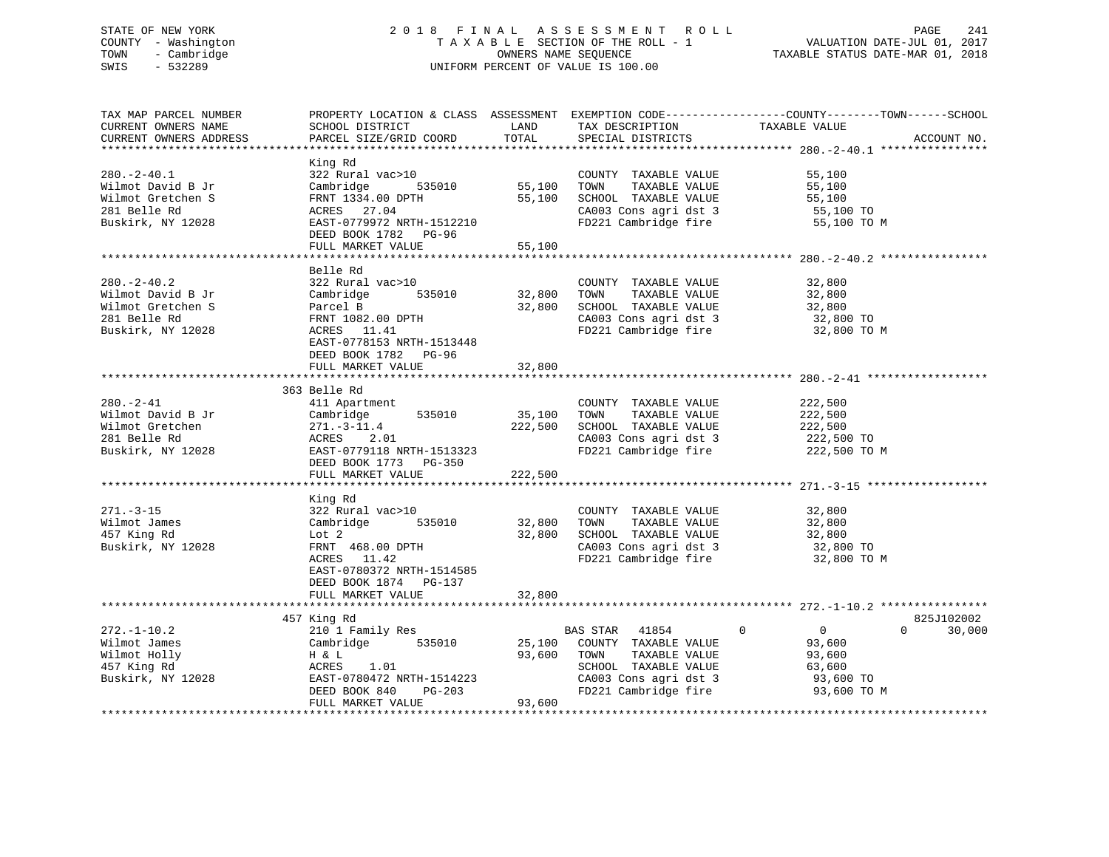# STATE OF NEW YORK 2 0 1 8 F I N A L A S S E S S M E N T R O L L PAGE 241 COUNTY - Washington T A X A B L E SECTION OF THE ROLL - 1 VALUATION DATE-JUL 01, 2017 TOWN - Cambridge OWNERS NAME SEQUENCE TAXABLE STATUS DATE-MAR 01, 2018 SWIS - 532289 UNIFORM PERCENT OF VALUE IS 100.00

| TAX MAP PARCEL NUMBER<br>CURRENT OWNERS NAME | SCHOOL DISTRICT                                                        |         | LAND TAX DESCRIPTION                          | PROPERTY LOCATION & CLASS ASSESSMENT EXEMPTION CODE----------------COUNTY-------TOWN------SCHOOL<br>TAXABLE VALUE |             |
|----------------------------------------------|------------------------------------------------------------------------|---------|-----------------------------------------------|-------------------------------------------------------------------------------------------------------------------|-------------|
| CURRENT OWNERS ADDRESS                       | PARCEL SIZE/GRID COORD                                                 | TOTAL   | SPECIAL DISTRICTS                             |                                                                                                                   | ACCOUNT NO. |
|                                              |                                                                        |         |                                               |                                                                                                                   |             |
| $280. - 2 - 40.1$                            | King Rd<br>322 Rural vac>10                                            |         | COUNTY TAXABLE VALUE                          | 55,100                                                                                                            |             |
| Wilmot David B Jr                            | Cambridge 535010                                                       | 55,100  | TOWN<br>TAXABLE VALUE                         | 55,100                                                                                                            |             |
| Wilmot Gretchen S                            | FRNT 1334.00 DPTH                                                      | 55,100  | SCHOOL TAXABLE VALUE                          | $55,100$ TO<br>$55,100$ TO                                                                                        |             |
| 281 Belle Rd                                 | ACRES 27.04                                                            |         | CA003 Cons agri dst 3<br>FD221 Cambridge fire |                                                                                                                   |             |
| Buskirk, NY 12028                            | EAST-0779972 NRTH-1512210<br>DEED BOOK 1782 PG-96<br>FULL MARKET VALUE | 55,100  |                                               | 55,100 TO M                                                                                                       |             |
|                                              |                                                                        |         |                                               |                                                                                                                   |             |
|                                              | Belle Rd                                                               |         |                                               |                                                                                                                   |             |
| $280. - 2 - 40.2$                            | 322 Rural vac>10                                                       |         | COUNTY TAXABLE VALUE                          | 32,800                                                                                                            |             |
| Wilmot David B Jr                            | 535010<br>Cambridge                                                    | 32,800  | TAXABLE VALUE<br>TOWN                         | 32,800                                                                                                            |             |
| Wilmot Gretchen S                            | Parcel B                                                               | 32,800  | SCHOOL TAXABLE VALUE                          | 32,800                                                                                                            |             |
| 281 Belle Rd                                 |                                                                        |         |                                               |                                                                                                                   |             |
| Buskirk, NY 12028                            | FRNT 1082.00 DPTH<br>20PFS 11 41<br>ACRES 11.41                        |         | CA003 Cons agri dst 3<br>FD221 Cambridge fire | 32,800 TO<br>32,800 TO M                                                                                          |             |
|                                              | EAST-0778153 NRTH-1513448<br>DEED BOOK 1782 PG-96                      |         |                                               |                                                                                                                   |             |
|                                              | FULL MARKET VALUE                                                      | 32,800  |                                               |                                                                                                                   |             |
|                                              |                                                                        |         |                                               |                                                                                                                   |             |
|                                              | 363 Belle Rd                                                           |         |                                               |                                                                                                                   |             |
| $280. - 2 - 41$                              | 411 Apartment                                                          |         | COUNTY TAXABLE VALUE                          | 222,500                                                                                                           |             |
| Wilmot David B Jr                            | Cambridge 535010                                                       | 35,100  | TOWN<br>TAXABLE VALUE                         | 222,500                                                                                                           |             |
| Wilmot Gretchen                              | $271. - 3 - 11.4$                                                      | 222,500 | SCHOOL TAXABLE VALUE                          | 222,500                                                                                                           |             |
| 281 Belle Rd                                 | ACRES 2.01                                                             |         | CA003 Cons agri dst 3                         | 222,500 TO                                                                                                        |             |
| Buskirk, NY 12028                            | EAST-0779118 NRTH-1513323                                              |         | FD221 Cambridge fire 222,500 TO M             |                                                                                                                   |             |
|                                              | DEED BOOK 1773 PG-350                                                  |         |                                               |                                                                                                                   |             |
|                                              | FULL MARKET VALUE                                                      | 222,500 |                                               |                                                                                                                   |             |
|                                              |                                                                        |         |                                               |                                                                                                                   |             |
|                                              | King Rd                                                                |         |                                               |                                                                                                                   |             |
| $271. - 3 - 15$                              | 322 Rural vac>10                                                       |         | COUNTY TAXABLE VALUE                          | 32,800                                                                                                            |             |
| Wilmot James                                 | 535010<br>Cambridge                                                    | 32,800  | TAXABLE VALUE<br>TOWN                         | 32,800                                                                                                            |             |
| 457 King Rd                                  | Lot 2                                                                  | 32,800  | SCHOOL TAXABLE VALUE                          | 32,800                                                                                                            |             |
| Buskirk, NY 12028                            | FRNT 468.00 DPTH                                                       |         | CA003 Cons agri dst 3<br>FD221 Cambridge fire | 32,800 TO                                                                                                         |             |
|                                              | ACRES 11.42                                                            |         |                                               | 32,800 TO M                                                                                                       |             |
|                                              | EAST-0780372 NRTH-1514585                                              |         |                                               |                                                                                                                   |             |
|                                              | DEED BOOK 1874 PG-137                                                  |         |                                               |                                                                                                                   |             |
|                                              | FULL MARKET VALUE                                                      | 32,800  |                                               |                                                                                                                   |             |
|                                              |                                                                        |         |                                               |                                                                                                                   |             |
|                                              | 457 King Rd                                                            |         |                                               |                                                                                                                   | 825J102002  |
| $272. - 1 - 10.2$                            | 210 1 Family Res                                                       |         | $\sim$ 0<br>BAS STAR 41854                    | $\overline{0}$<br>$\Omega$                                                                                        | 30,000      |
| Wilmot James                                 | Cambridge 535010                                                       |         | 25,100 COUNTY TAXABLE VALUE                   | 93,600                                                                                                            |             |
| Wilmot Holly                                 | H & L                                                                  | 93,600  | TOWN<br>TAXABLE VALUE                         | 93,600                                                                                                            |             |
| 457 King Rd                                  | ACRES<br>1.01                                                          |         | SCHOOL TAXABLE VALUE                          | 63,600                                                                                                            |             |
| Buskirk, NY 12028                            | EAST-0780472 NRTH-1514223<br>DEED BOOK 840 PG-203                      |         | CA003 Cons agri dst 3                         | 93,600 TO                                                                                                         |             |
|                                              |                                                                        |         | FD221 Cambridge fire                          | 93,600 TO M                                                                                                       |             |
|                                              | FULL MARKET VALUE                                                      | 93,600  |                                               |                                                                                                                   |             |
|                                              |                                                                        |         |                                               |                                                                                                                   |             |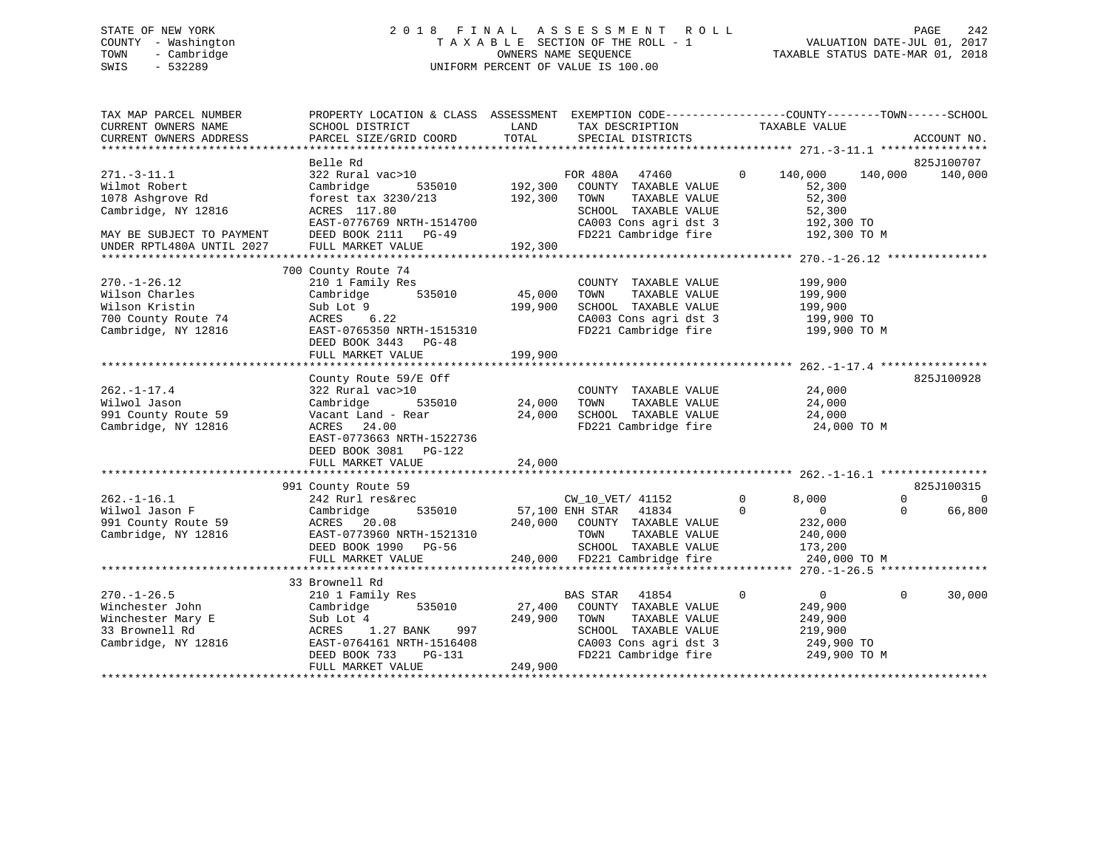# STATE OF NEW YORK 2 0 1 8 F I N A L A S S E S S M E N T R O L L PAGE 242 COUNTY - Washington T A X A B L E SECTION OF THE ROLL - 1 VALUATION DATE-JUL 01, 2017 TOWN - Cambridge OWNERS NAME SEQUENCE TAXABLE STATUS DATE-MAR 01, 2018 SWIS - 532289 UNIFORM PERCENT OF VALUE IS 100.00

| TAX MAP PARCEL NUMBER<br>CURRENT OWNERS NAME<br>CURRENT OWNERS ADDRESS                                                                  | PROPERTY LOCATION & CLASS ASSESSMENT<br>SCHOOL DISTRICT<br>PARCEL SIZE/GRID COORD                                                                                                   | LAND<br>TOTAL                 | TAX DESCRIPTION<br>SPECIAL DISTRICTS                                                                                                               | EXEMPTION CODE-----------------COUNTY-------TOWN------SCHOOL<br>TAXABLE VALUE                       | ACCOUNT NO.                                              |
|-----------------------------------------------------------------------------------------------------------------------------------------|-------------------------------------------------------------------------------------------------------------------------------------------------------------------------------------|-------------------------------|----------------------------------------------------------------------------------------------------------------------------------------------------|-----------------------------------------------------------------------------------------------------|----------------------------------------------------------|
| $271. - 3 - 11.1$<br>Wilmot Robert<br>1078 Ashgrove Rd<br>Cambridge, NY 12816<br>MAY BE SUBJECT TO PAYMENT<br>UNDER RPTL480A UNTIL 2027 | Belle Rd<br>322 Rural vac>10<br>Cambridge<br>535010<br>forest tax 3230/213<br>ACRES 117.80<br>EAST-0776769 NRTH-1514700<br>DEED BOOK 2111 PG-49<br>FULL MARKET VALUE                | 192,300<br>192,300<br>192,300 | FOR 480A<br>47460<br>COUNTY TAXABLE VALUE<br>TOWN<br>TAXABLE VALUE<br>SCHOOL TAXABLE VALUE<br>CA003 Cons agri dst 3<br>FD221 Cambridge fire        | $\overline{0}$<br>140,000<br>140,000<br>52,300<br>52,300<br>52,300<br>192,300 TO<br>192,300 TO M    | 825J100707<br>140,000                                    |
| $270. - 1 - 26.12$<br>Wilson Charles<br>Wilson Kristin<br>700 County Route 74<br>Cambridge, NY 12816                                    | 700 County Route 74<br>210 1 Family Res<br>535010<br>Cambridge<br>Sub Lot 9<br>ACRES 6.22<br>EAST-0765350 NRTH-1515310<br>DEED BOOK 3443 PG-48<br>FULL MARKET VALUE                 | 45,000<br>199,900<br>199,900  | COUNTY TAXABLE VALUE<br>TOWN<br>TAXABLE VALUE<br>SCHOOL TAXABLE VALUE<br>CA003 Cons agri dst 3<br>FD221 Cambridge fire                             | 199,900<br>199,900<br>199,900<br>199,900 TO<br>199,900 TO M                                         |                                                          |
| $262. - 1 - 17.4$<br>Wilwol Jason<br>991 County Route 59<br>Cambridge, NY 12816                                                         | County Route 59/E Off<br>322 Rural vac>10<br>535010<br>Cambridge<br>Vacant Land - Rear<br>ACRES<br>24.00<br>EAST-0773663 NRTH-1522736<br>DEED BOOK 3081 PG-122<br>FULL MARKET VALUE | 24,000<br>24,000<br>24,000    | COUNTY TAXABLE VALUE<br>TAXABLE VALUE<br>TOWN<br>SCHOOL TAXABLE VALUE<br>FD221 Cambridge fire                                                      | 24,000<br>24,000<br>24,000<br>24,000 TO M                                                           | 825J100928                                               |
| $262. - 1 - 16.1$<br>Wilwol Jason F<br>991 County Route 59<br>Cambridge, NY 12816                                                       | 991 County Route 59<br>242 Rurl res&rec<br>Cambridge<br>535010<br>ACRES 20.08<br>EAST-0773960 NRTH-1521310<br>DEED BOOK 1990 PG-56<br>FULL MARKET VALUE                             | 240,000                       | CW_10_VET/ 41152<br>57,100 ENH STAR 41834<br>COUNTY TAXABLE VALUE<br>TOWN<br>TAXABLE VALUE<br>SCHOOL TAXABLE VALUE<br>240,000 FD221 Cambridge fire | $\mathbf 0$<br>8,000<br>$\overline{0}$<br>$\Omega$<br>232,000<br>240,000<br>173,200<br>240,000 TO M | 825J100315<br>$\Omega$<br>$\Omega$<br>$\Omega$<br>66,800 |
| $270. - 1 - 26.5$<br>Winchester John<br>Winchester Mary E<br>33 Brownell Rd<br>Cambridge, NY 12816                                      | 33 Brownell Rd<br>210 1 Family Res<br>535010<br>Cambridge<br>Sub Lot 4<br>ACRES<br>1.27 BANK<br>997<br>EAST-0764161 NRTH-1516408<br>DEED BOOK 733<br>PG-131<br>FULL MARKET VALUE    | 27,400<br>249,900<br>249,900  | <b>BAS STAR</b><br>41854<br>COUNTY TAXABLE VALUE<br>TOWN<br>TAXABLE VALUE<br>SCHOOL TAXABLE VALUE<br>CA003 Cons agri dst 3<br>FD221 Cambridge fire | $\mathbf 0$<br>$\overline{0}$<br>249,900<br>249,900<br>219,900<br>249,900 TO<br>249,900 TO M        | $\Omega$<br>30,000                                       |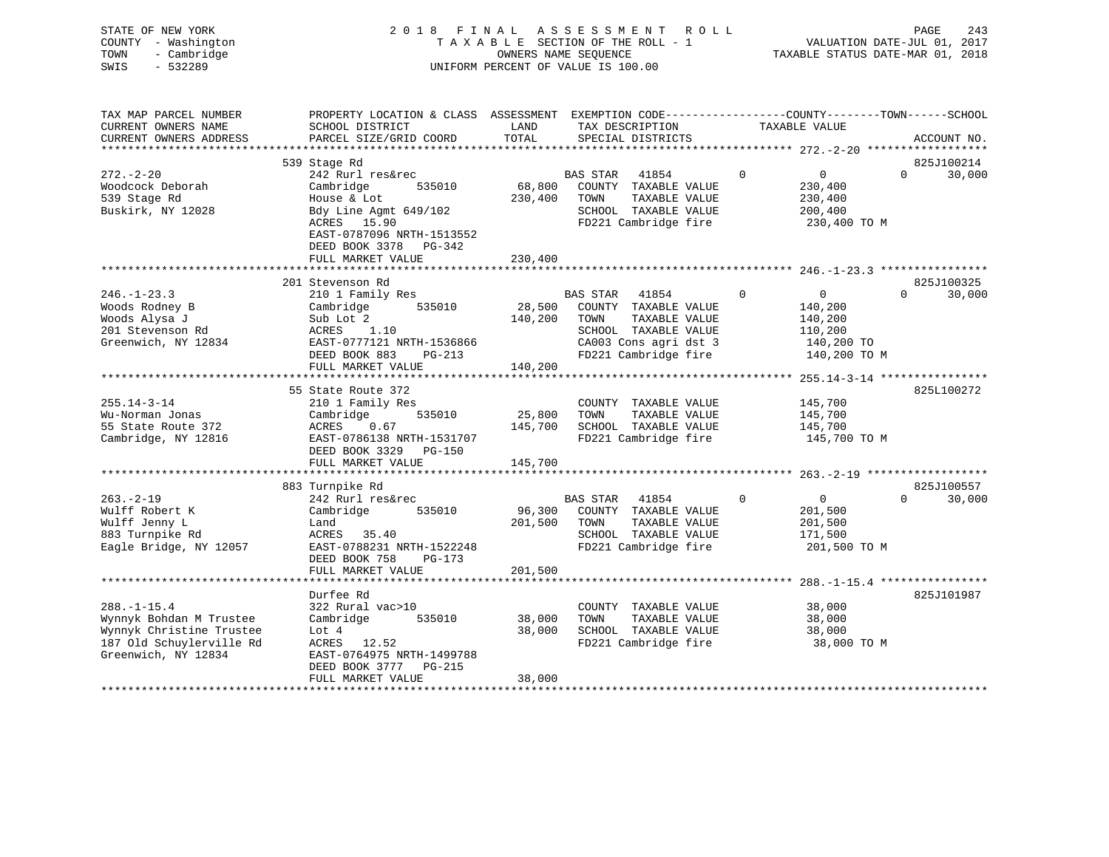| STATE OF NEW YORK<br>COUNTY - Washington<br>- Cambridge<br>TOWN<br>SWIS<br>$-532289$ |                                                                                                                                              |                   | 2018 FINAL ASSESSMENT ROLL<br>TAXABLE SECTION OF THE ROLL - 1<br>OWNERS NAME SEQUENCE<br>UNIFORM PERCENT OF VALUE IS 100.00 |               |             |                         | PAGE<br>243<br>VALUATION DATE-JUL 01, 2017<br>TAXABLE STATUS DATE-MAR 01, 2018 |
|--------------------------------------------------------------------------------------|----------------------------------------------------------------------------------------------------------------------------------------------|-------------------|-----------------------------------------------------------------------------------------------------------------------------|---------------|-------------|-------------------------|--------------------------------------------------------------------------------|
| TAX MAP PARCEL NUMBER<br>CURRENT OWNERS NAME<br>CURRENT OWNERS ADDRESS               | PROPERTY LOCATION & CLASS ASSESSMENT EXEMPTION CODE----------------COUNTY-------TOWN-----SCHOOL<br>SCHOOL DISTRICT<br>PARCEL SIZE/GRID COORD | LAND<br>TOTAL     | TAX DESCRIPTION<br>SPECIAL DISTRICTS                                                                                        |               |             | TAXABLE VALUE           | ACCOUNT NO.                                                                    |
| **********************                                                               |                                                                                                                                              |                   |                                                                                                                             |               |             |                         |                                                                                |
|                                                                                      | 539 Stage Rd                                                                                                                                 |                   |                                                                                                                             |               |             |                         | 825J100214                                                                     |
| $272 - 2 - 20$                                                                       | 242 Rurl res&rec                                                                                                                             |                   | BAS STAR<br>41854                                                                                                           |               | $\Omega$    | $\overline{0}$          | $\Omega$<br>30,000                                                             |
| Woodcock Deborah                                                                     | Cambridge<br>535010                                                                                                                          | 68,800            | COUNTY TAXABLE VALUE                                                                                                        |               |             | 230,400                 |                                                                                |
| 539 Stage Rd<br>Buskirk, NY 12028                                                    | House & Lot<br>Bdy Line Agmt 649/102                                                                                                         | 230,400           | TOWN<br>SCHOOL TAXABLE VALUE                                                                                                | TAXABLE VALUE |             | 230,400<br>200,400      |                                                                                |
|                                                                                      | ACRES 15.90                                                                                                                                  |                   | FD221 Cambridge fire                                                                                                        |               |             | 230,400 TO M            |                                                                                |
|                                                                                      | EAST-0787096 NRTH-1513552                                                                                                                    |                   |                                                                                                                             |               |             |                         |                                                                                |
|                                                                                      | DEED BOOK 3378 PG-342                                                                                                                        |                   |                                                                                                                             |               |             |                         |                                                                                |
|                                                                                      | FULL MARKET VALUE                                                                                                                            | 230,400           |                                                                                                                             |               |             |                         |                                                                                |
|                                                                                      |                                                                                                                                              |                   |                                                                                                                             |               |             |                         |                                                                                |
|                                                                                      | 201 Stevenson Rd                                                                                                                             |                   |                                                                                                                             |               |             |                         | 825J100325                                                                     |
| $246. - 1 - 23.3$                                                                    | 210 1 Family Res                                                                                                                             |                   | BAS STAR<br>41854                                                                                                           |               | $\mathbf 0$ | $\overline{0}$          | $\Omega$<br>30,000                                                             |
| Woods Rodney B<br>Woods Alysa J                                                      | 535010<br>Cambridge<br>Sub Lot 2                                                                                                             | 28,500            | COUNTY TAXABLE VALUE<br>TOWN                                                                                                | TAXABLE VALUE |             | 140,200                 |                                                                                |
| 201 Stevenson Rd                                                                     | ACRES<br>1.10                                                                                                                                | 140,200           | SCHOOL TAXABLE VALUE                                                                                                        |               |             | 140,200<br>110,200      |                                                                                |
| Greenwich, NY 12834                                                                  | EAST-0777121 NRTH-1536866                                                                                                                    |                   | CA003 Cons agri dst 3                                                                                                       |               |             | 140,200 TO              |                                                                                |
|                                                                                      | DEED BOOK 883<br>PG-213                                                                                                                      |                   | FD221 Cambridge fire                                                                                                        |               |             | 140,200 TO M            |                                                                                |
|                                                                                      | FULL MARKET VALUE                                                                                                                            | 140,200           |                                                                                                                             |               |             |                         |                                                                                |
|                                                                                      | ************************                                                                                                                     |                   |                                                                                                                             |               |             |                         |                                                                                |
|                                                                                      | 55 State Route 372                                                                                                                           |                   |                                                                                                                             |               |             |                         | 825L100272                                                                     |
| $255.14 - 3 - 14$                                                                    | 210 1 Family Res                                                                                                                             |                   | COUNTY TAXABLE VALUE                                                                                                        |               |             | 145,700                 |                                                                                |
| Wu-Norman Jonas                                                                      | 535010<br>Cambridge                                                                                                                          | 25,800            | TOWN                                                                                                                        | TAXABLE VALUE |             | 145,700                 |                                                                                |
| 55 State Route 372<br>Cambridge, NY 12816                                            | ACRES<br>0.67<br>EAST-0786138 NRTH-1531707                                                                                                   | 145,700           | SCHOOL TAXABLE VALUE<br>FD221 Cambridge fire                                                                                |               |             | 145,700<br>145,700 TO M |                                                                                |
|                                                                                      | DEED BOOK 3329 PG-150                                                                                                                        |                   |                                                                                                                             |               |             |                         |                                                                                |
|                                                                                      | FULL MARKET VALUE                                                                                                                            | 145,700           |                                                                                                                             |               |             |                         |                                                                                |
|                                                                                      |                                                                                                                                              |                   |                                                                                                                             |               |             |                         |                                                                                |
|                                                                                      | 883 Turnpike Rd                                                                                                                              |                   |                                                                                                                             |               |             |                         | 825J100557                                                                     |
| $263 - 2 - 19$                                                                       | 242 Rurl res&rec                                                                                                                             |                   | BAS STAR<br>41854                                                                                                           |               | $\mathbf 0$ | $\overline{0}$          | $\mathbf{0}$<br>30,000                                                         |
| Wulff Robert K                                                                       | 535010<br>Cambridge                                                                                                                          | 96,300            | COUNTY TAXABLE VALUE                                                                                                        |               |             | 201,500                 |                                                                                |
| Wulff Jenny L                                                                        | Land                                                                                                                                         | 201,500           | TOWN                                                                                                                        | TAXABLE VALUE |             | 201,500                 |                                                                                |
| 883 Turnpike Rd                                                                      | ACRES 35.40                                                                                                                                  |                   | SCHOOL TAXABLE VALUE                                                                                                        |               |             | 171,500                 |                                                                                |
| Eagle Bridge, NY 12057                                                               | EAST-0788231 NRTH-1522248<br>DEED BOOK 758<br>$PG-173$                                                                                       |                   | FD221 Cambridge fire                                                                                                        |               |             | 201,500 TO M            |                                                                                |
|                                                                                      | FULL MARKET VALUE                                                                                                                            | 201,500           |                                                                                                                             |               |             |                         |                                                                                |
|                                                                                      | * * * * * * * * * * * * * * * * * * *                                                                                                        |                   |                                                                                                                             |               |             |                         |                                                                                |
|                                                                                      | Durfee Rd                                                                                                                                    |                   |                                                                                                                             |               |             |                         | 825J101987                                                                     |
| $288. - 1 - 15.4$                                                                    | 322 Rural vac>10                                                                                                                             |                   | COUNTY TAXABLE VALUE                                                                                                        |               |             | 38,000                  |                                                                                |
| Wynnyk Bohdan M Trustee                                                              | Cambridge<br>535010                                                                                                                          | 38,000            | TOWN                                                                                                                        | TAXABLE VALUE |             | 38,000                  |                                                                                |
| Wynnyk Christine Trustee                                                             | Lot 4                                                                                                                                        | 38,000            | SCHOOL TAXABLE VALUE                                                                                                        |               |             | 38,000                  |                                                                                |
| 187 Old Schuylerville Rd                                                             | ACRES 12.52                                                                                                                                  |                   | FD221 Cambridge fire                                                                                                        |               |             | 38,000 TO M             |                                                                                |
| Greenwich, NY 12834                                                                  | EAST-0764975 NRTH-1499788                                                                                                                    |                   |                                                                                                                             |               |             |                         |                                                                                |
|                                                                                      | DEED BOOK 3777 PG-215                                                                                                                        |                   |                                                                                                                             |               |             |                         |                                                                                |
|                                                                                      | FULL MARKET VALUE                                                                                                                            | 38,000<br>******* |                                                                                                                             |               |             |                         |                                                                                |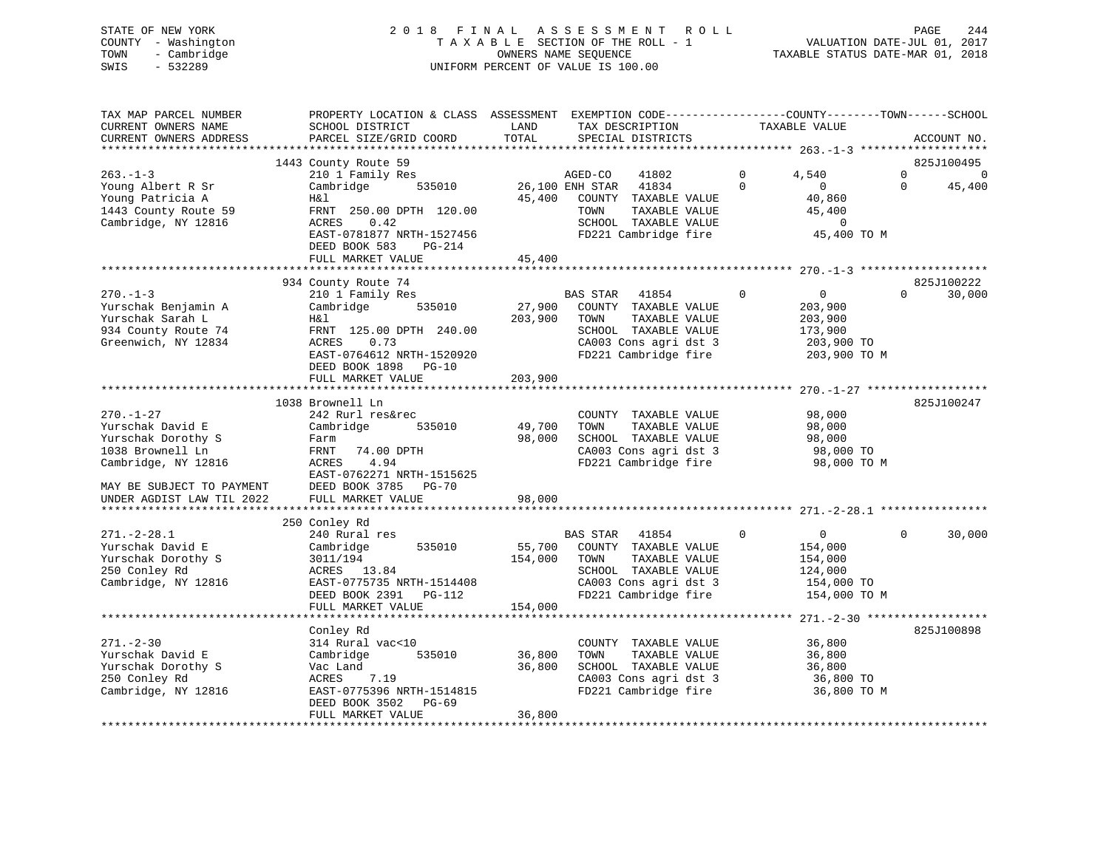# STATE OF NEW YORK 2 0 1 8 F I N A L A S S E S S M E N T R O L L PAGE 244 COUNTY - Washington T A X A B L E SECTION OF THE ROLL - 1 VALUATION DATE-JUL 01, 2017 TOWN - Cambridge OWNERS NAME SEQUENCE TAXABLE STATUS DATE-MAR 01, 2018 SWIS - 532289 UNIFORM PERCENT OF VALUE IS 100.00

| TAX MAP PARCEL NUMBER<br>CURRENT OWNERS NAME<br>CURRENT OWNERS ADDRESS                                                            | PROPERTY LOCATION & CLASS ASSESSMENT<br>SCHOOL DISTRICT<br>PARCEL SIZE/GRID COORD                                                                                           | LAND<br>TOTAL                | EXEMPTION CODE-----------------COUNTY-------TOWN------SCHOOL<br>TAX DESCRIPTION<br>SPECIAL DISTRICTS                                        |                      | TAXABLE VALUE                                                                 | ACCOUNT NO.                                     |          |
|-----------------------------------------------------------------------------------------------------------------------------------|-----------------------------------------------------------------------------------------------------------------------------------------------------------------------------|------------------------------|---------------------------------------------------------------------------------------------------------------------------------------------|----------------------|-------------------------------------------------------------------------------|-------------------------------------------------|----------|
| *******************                                                                                                               |                                                                                                                                                                             |                              |                                                                                                                                             |                      |                                                                               |                                                 |          |
| $263. - 1 - 3$<br>Young Albert R Sr<br>Young Patricia A<br>1443 County Route 59                                                   | 1443 County Route 59<br>210 1 Family Res<br>Cambridge<br>535010<br>Η&l<br>FRNT 250.00 DPTH 120.00                                                                           | 45,400                       | AGED-CO<br>41802<br>26,100 ENH STAR<br>41834<br>COUNTY TAXABLE VALUE<br>TOWN<br>TAXABLE VALUE                                               | $\Omega$<br>$\Omega$ | 4,540<br>$\mathbf{0}$<br>40,860<br>45,400                                     | 825J100495<br>$\Omega$<br>45,400<br>$\mathbf 0$ | $\Omega$ |
| Cambridge, NY 12816                                                                                                               | 0.42<br>ACRES<br>EAST-0781877 NRTH-1527456<br>DEED BOOK 583<br>PG-214<br>FULL MARKET VALUE                                                                                  | 45,400                       | SCHOOL TAXABLE VALUE<br>FD221 Cambridge fire                                                                                                |                      | 0<br>45,400 TO M                                                              |                                                 |          |
|                                                                                                                                   |                                                                                                                                                                             |                              |                                                                                                                                             |                      |                                                                               |                                                 |          |
| $270. - 1 - 3$<br>Yurschak Benjamin A<br>Yurschak Sarah L<br>934 County Route 74<br>Greenwich, NY 12834                           | 934 County Route 74<br>210 1 Family Res<br>Cambridge<br>535010<br>H&l<br>FRNT 125.00 DPTH 240.00<br>0.73<br>ACRES<br>EAST-0764612 NRTH-1520920<br>DEED BOOK 1898<br>$PG-10$ | 27,900<br>203,900            | BAS STAR<br>41854<br>COUNTY TAXABLE VALUE<br>TOWN<br>TAXABLE VALUE<br>SCHOOL TAXABLE VALUE<br>CA003 Cons agri dst 3<br>FD221 Cambridge fire | $\mathbf 0$          | $\overline{0}$<br>203,900<br>203,900<br>173,900<br>203,900 TO<br>203,900 TO M | 825J100222<br>$\Omega$<br>30,000                |          |
|                                                                                                                                   | FULL MARKET VALUE                                                                                                                                                           | 203,900                      |                                                                                                                                             |                      |                                                                               |                                                 |          |
|                                                                                                                                   | ********************<br>1038 Brownell Ln                                                                                                                                    |                              |                                                                                                                                             |                      | *********************************** 270.-1-27 ***                             | 825J100247                                      |          |
| $270. - 1 - 27$<br>Yurschak David E<br>Yurschak Dorothy S<br>1038 Brownell Ln<br>Cambridge, NY 12816<br>MAY BE SUBJECT TO PAYMENT | 242 Rurl res&rec<br>Cambridge<br>535010<br>Farm<br>FRNT<br>74.00 DPTH<br>4.94<br>ACRES<br>EAST-0762271 NRTH-1515625<br>DEED BOOK 3785<br>PG-70                              | 49,700<br>98,000             | COUNTY TAXABLE VALUE<br>TAXABLE VALUE<br>TOWN<br>SCHOOL TAXABLE VALUE<br>CA003 Cons agri dst 3<br>FD221 Cambridge fire                      |                      | 98,000<br>98,000<br>98,000<br>98,000 TO<br>98,000 TO M                        |                                                 |          |
| UNDER AGDIST LAW TIL 2022                                                                                                         | FULL MARKET VALUE                                                                                                                                                           | 98,000                       |                                                                                                                                             |                      |                                                                               |                                                 |          |
|                                                                                                                                   |                                                                                                                                                                             |                              |                                                                                                                                             |                      |                                                                               |                                                 |          |
| $271. - 2 - 28.1$<br>Yurschak David E<br>Yurschak Dorothy S<br>250 Conley Rd<br>Cambridge, NY 12816                               | 250 Conley Rd<br>240 Rural res<br>Cambridge<br>535010<br>3011/194<br>ACRES 13.84<br>EAST-0775735 NRTH-1514408<br>DEED BOOK 2391<br>PG-112<br>FULL MARKET VALUE              | 55,700<br>154,000<br>154,000 | BAS STAR<br>41854<br>COUNTY TAXABLE VALUE<br>TOWN<br>TAXABLE VALUE<br>SCHOOL TAXABLE VALUE<br>CA003 Cons agri dst 3<br>FD221 Cambridge fire | $\Omega$             | $\mathbf 0$<br>154,000<br>154,000<br>124,000<br>154,000 TO<br>154,000 TO M    | $\Omega$<br>30,000                              |          |
|                                                                                                                                   | ***************************                                                                                                                                                 |                              |                                                                                                                                             |                      |                                                                               |                                                 |          |
| $271. - 2 - 30$<br>Yurschak David E<br>Yurschak Dorothy S<br>250 Conley Rd<br>Cambridge, NY 12816                                 | Conley Rd<br>314 Rural vac<10<br>535010<br>Cambridge<br>Vac Land<br>7.19<br>ACRES<br>EAST-0775396 NRTH-1514815                                                              | 36,800<br>36,800             | COUNTY TAXABLE VALUE<br>TOWN<br>TAXABLE VALUE<br>SCHOOL TAXABLE VALUE<br>CA003 Cons agri dst 3<br>FD221 Cambridge fire                      |                      | 36,800<br>36,800<br>36,800<br>36,800 TO<br>36,800 TO M                        | 825J100898                                      |          |
|                                                                                                                                   | DEED BOOK 3502<br>PG-69<br>FULL MARKET VALUE                                                                                                                                | 36,800                       |                                                                                                                                             |                      |                                                                               |                                                 |          |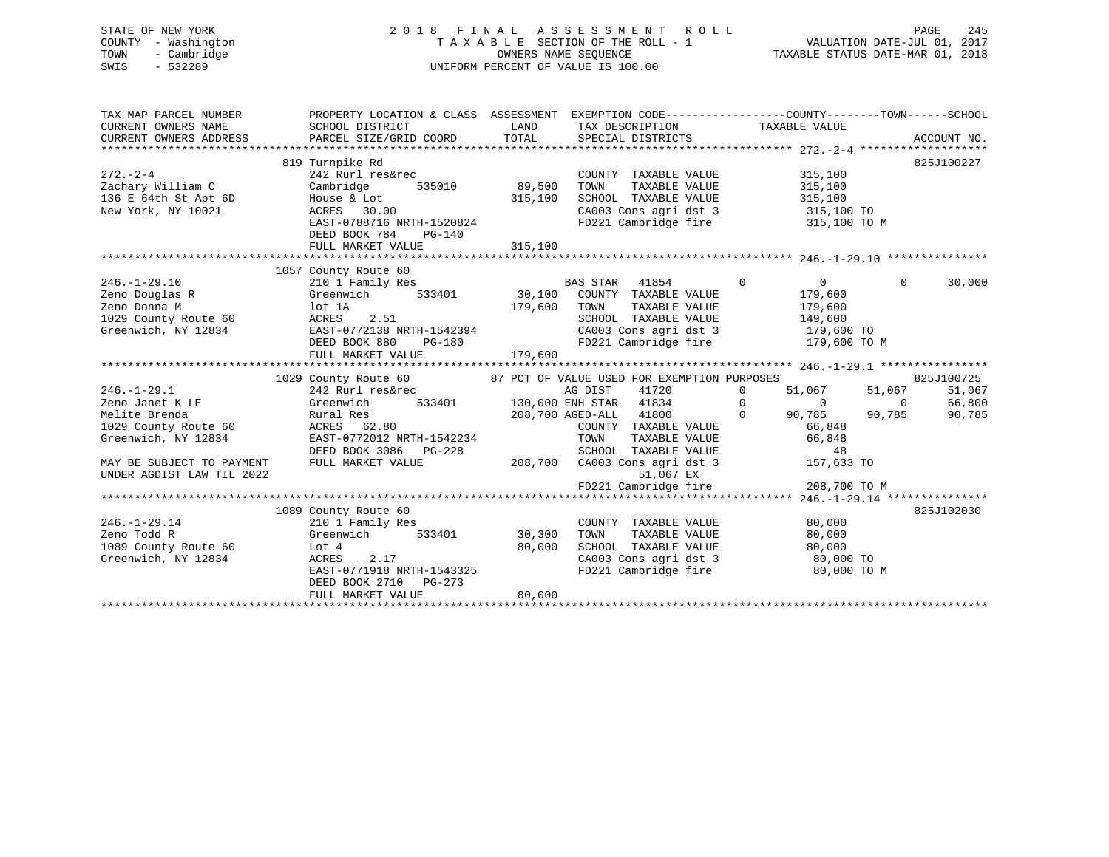# STATE OF NEW YORK 2 0 1 8 F I N A L A S S E S S M E N T R O L L PAGE 245 COUNTY - Washington T A X A B L E SECTION OF THE ROLL - 1 VALUATION DATE-JUL 01, 2017 TOWN - Cambridge OWNERS NAME SEQUENCE TAXABLE STATUS DATE-MAR 01, 2018 SWIS - 532289 UNIFORM PERCENT OF VALUE IS 100.00

| TAX MAP PARCEL NUMBER<br>CURRENT OWNERS NAME<br>CURRENT OWNERS NAME<br>CURRENT OWNERS ADDRESS               | PROPERTY LOCATION & CLASS ASSESSMENT EXEMPTION CODE----------------COUNTY-------TOWN------SCHOOL<br>SCHOOL DISTRICT<br>PARCEL SIZE/GRID COORD                         | LAND<br>TOTAL                | TAX DESCRIPTION TAXABLE VALUE<br>SPECIAL DISTRICTS                                                                                                                                                                                       |                                                                                                  | ACCOUNT NO.                                                                    |
|-------------------------------------------------------------------------------------------------------------|-----------------------------------------------------------------------------------------------------------------------------------------------------------------------|------------------------------|------------------------------------------------------------------------------------------------------------------------------------------------------------------------------------------------------------------------------------------|--------------------------------------------------------------------------------------------------|--------------------------------------------------------------------------------|
| $272 - 2 - 4$<br>Zachary William C<br>136 E 64th St Apt 6D<br>New York, NY 10021                            | 819 Turnpike Rd<br>242 Rurl res&rec<br>535010<br>Cambridge<br>House & Lot<br>ACRES 30.00<br>EAST-0788716 NRTH-1520824<br>DEED BOOK 784<br>PG-140<br>FULL MARKET VALUE | 89,500<br>315,100<br>315,100 | COUNTY TAXABLE VALUE<br>TOWN<br>TAXABLE VALUE<br>SCHOOL TAXABLE VALUE<br>CA003 Cons agri dst 3 315,100 TO<br>FD221 Cambridge fire                                                                                                        | 315,100<br>315,100<br>315,100<br>315,100 TO M                                                    | 825J100227                                                                     |
|                                                                                                             |                                                                                                                                                                       |                              |                                                                                                                                                                                                                                          |                                                                                                  |                                                                                |
| $246. -1 - 29.10$<br>Zeno Douglas R<br>Zeno Donna M<br>ACRES<br>1029 County Route 60<br>Greenwich, NY 12834 | 1057 County Route 60<br>210 1 Family Res<br>533401<br>Greenwich<br>lot 1A<br>2.51<br>-------<br>EAST-0772138 NRTH-1542394<br>DEED ROOK 880 PG-180                     | 179,600                      | BAS STAR 41854<br>BAS STAR 41854<br>30,100 COUNTY TAXABLE VALUE<br>TAXABLE VALUE<br>TOWN<br>SCHOOL TAXABLE VALUE<br>CA003 Cons agri dst 3<br>FD221 Cambridge fire                                                                        | $\overline{0}$<br>$\overline{0}$<br>179,600<br>179,600<br>149,600<br>179,600 TO<br>179,600 TO M  | $\mathbf 0$<br>30,000                                                          |
|                                                                                                             | FULL MARKET VALUE                                                                                                                                                     | 179,600                      |                                                                                                                                                                                                                                          |                                                                                                  |                                                                                |
|                                                                                                             |                                                                                                                                                                       |                              |                                                                                                                                                                                                                                          |                                                                                                  |                                                                                |
| $246. - 1 - 29.1$<br>Zeno Janet K LE<br>Melite Brenda<br>1029 County Route 60<br>Greenwich, NY 12834        | 1029 County Route 60<br>242 Rurl res&rec<br>Greenwich<br>Rural Res<br>ACRES 62.80<br>EAST-0772012 NRTH-1542234<br>DEED BOOK 3086<br>$PG-228$                          |                              | 87 PCT OF VALUE USED FOR EXEMPTION PURPOSES<br>AG DIST<br>41720<br>d AG DIST 41720<br>533401 130,000 ENH STAR 41834<br>$\overline{0}$<br>208,700 AGED-ALL 41800<br>COUNTY TAXABLE VALUE<br>TOWN<br>TAXABLE VALUE<br>SCHOOL TAXABLE VALUE | $\overline{0}$<br>51,067<br>$\overline{0}$<br>$\overline{0}$<br>90,785<br>66,848<br>66,848<br>48 | 825J100725<br>51,067<br>51,067<br>66,800<br>$\overline{0}$<br>90,785<br>90,785 |
| MAY BE SUBJECT TO PAYMENT<br>UNDER AGDIST LAW TIL 2022                                                      | FULL MARKET VALUE                                                                                                                                                     |                              | 208,700 CA003 Cons agri dst 3<br>51,067 EX                                                                                                                                                                                               | 157,633 TO                                                                                       |                                                                                |
|                                                                                                             |                                                                                                                                                                       |                              |                                                                                                                                                                                                                                          |                                                                                                  |                                                                                |
|                                                                                                             | 1089 County Route 60                                                                                                                                                  |                              |                                                                                                                                                                                                                                          |                                                                                                  | 825J102030                                                                     |
| $246. - 1 - 29.14$<br>Zeno Todd R<br>1089 County Route 60<br>Greenwich, NY 12834                            | 210 1 Family Res<br>Greenwich<br>Lot 4<br>2.17<br>ACRES<br>EAST-0771918 NRTH-1543325<br>DEED BOOK 2710<br>$PG-273$                                                    | 533401 30,300<br>80,000      | COUNTY TAXABLE VALUE<br>TOWN<br>TAXABLE VALUE<br>SCHOOL TAXABLE VALUE<br>SCHOOL TAXABLE VALUE 80,000<br>CA003 Cons agri dst 3 80,000 TO<br>FD221 Cambridge fire                                                                          | 80,000<br>80,000<br>80,000<br>80,000 TO M                                                        |                                                                                |
|                                                                                                             | FULL MARKET VALUE                                                                                                                                                     | 80,000                       |                                                                                                                                                                                                                                          |                                                                                                  |                                                                                |
|                                                                                                             |                                                                                                                                                                       |                              |                                                                                                                                                                                                                                          |                                                                                                  |                                                                                |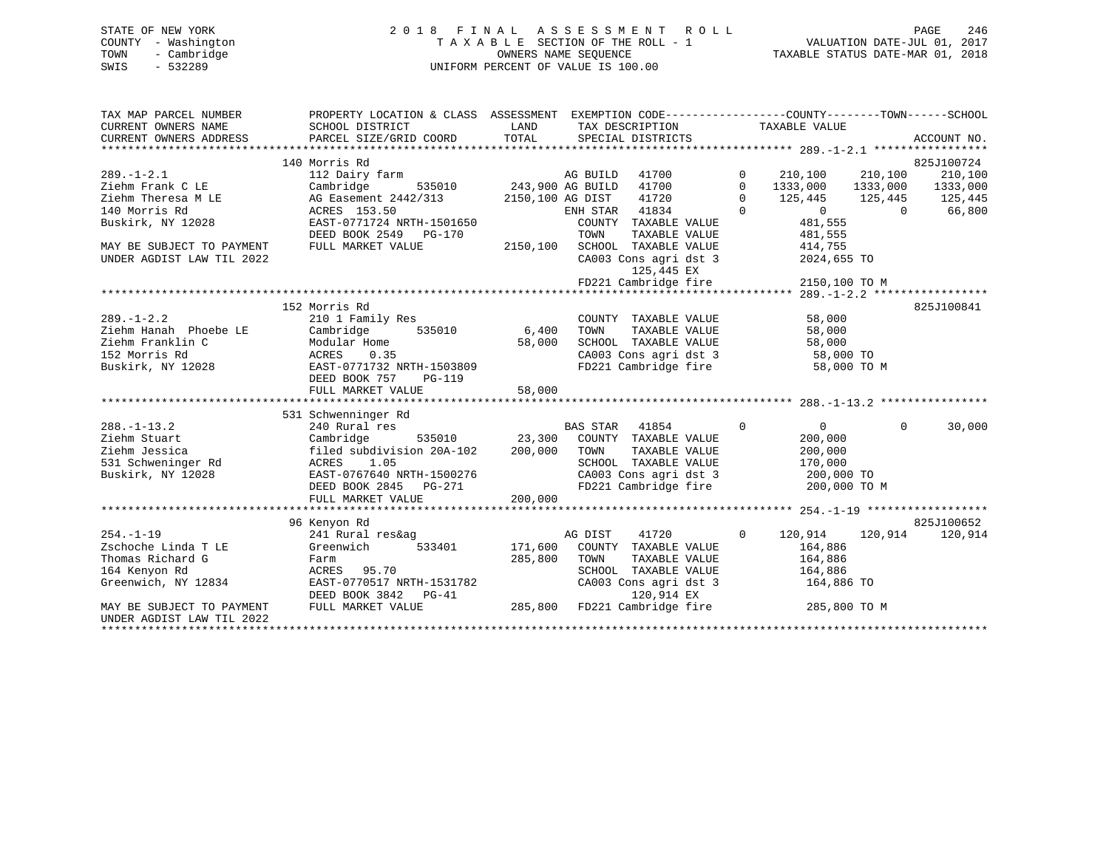# STATE OF NEW YORK 2 0 1 8 F I N A L A S S E S S M E N T R O L L PAGE 246 COUNTY - Washington T A X A B L E SECTION OF THE ROLL - 1 VALUATION DATE-JUL 01, 2017 TOWN - Cambridge OWNERS NAME SEQUENCE TAXABLE STATUS DATE-MAR 01, 2018 SWIS - 532289 UNIFORM PERCENT OF VALUE IS 100.00

| TAX MAP PARCEL NUMBER<br>CURRENT OWNERS NAME<br>CURRENT OWNERS ADDRESS | PROPERTY LOCATION & CLASS ASSESSMENT EXEMPTION CODE---------------COUNTY-------TOWN-----SCHOOL<br>SCHOOL DISTRICT<br>PARCEL SIZE/GRID COORD | LAND<br>TOTAL           | TAX DESCRIPTION<br>SPECIAL DISTRICTS          |                | TAXABLE VALUE      |                | ACCOUNT NO. |
|------------------------------------------------------------------------|---------------------------------------------------------------------------------------------------------------------------------------------|-------------------------|-----------------------------------------------|----------------|--------------------|----------------|-------------|
|                                                                        | 140 Morris Rd                                                                                                                               |                         |                                               |                |                    |                | 825J100724  |
| $289. - 1 - 2.1$                                                       | 112 Dairy farm                                                                                                                              |                         | 41700<br>AG BUILD                             | $\mathbf{0}$   | 210,100            | 210,100        | 210,100     |
| Ziehm Frank C LE                                                       | Cambridge                                                                                                                                   | 535010 243,900 AG BUILD | 41700                                         | $\mathbf 0$    | 1333,000           | 1333,000       | 1333,000    |
| Ziehm Theresa M LE                                                     | AG Easement 2442/313                                                                                                                        |                         | 41720<br>2150,100 AG DIST                     | $\mathbf{0}$   | 125,445            | 125,445        | 125,445     |
| 140 Morris Rd                                                          | ACRES 153.50                                                                                                                                |                         | 41834<br>ENH STAR                             | $\Omega$       | $\Omega$           | $\overline{0}$ | 66,800      |
| Buskirk, NY 12028                                                      | EAST-0771724 NRTH-1501650                                                                                                                   |                         | COUNTY TAXABLE VALUE                          |                | 481,555            |                |             |
|                                                                        | DEED BOOK 2549 PG-170                                                                                                                       |                         | TOWN<br>TAXABLE VALUE                         |                | 481,555            |                |             |
| MAY BE SUBJECT TO PAYMENT                                              | FULL MARKET VALUE                                                                                                                           |                         | 2150,100 SCHOOL TAXABLE VALUE                 |                | 414,755            |                |             |
| UNDER AGDIST LAW TIL 2022                                              |                                                                                                                                             |                         | CA003 Cons agri dst 3                         |                | 2024,655 TO        |                |             |
|                                                                        |                                                                                                                                             |                         | 125,445 EX                                    |                |                    |                |             |
|                                                                        |                                                                                                                                             |                         | FD221 Cambridge fire                          |                | 2150,100 TO M      |                |             |
|                                                                        |                                                                                                                                             |                         |                                               |                |                    |                |             |
|                                                                        | 152 Morris Rd                                                                                                                               |                         |                                               |                |                    |                | 825J100841  |
| $289. - 1 - 2.2$                                                       | 210 1 Family Res                                                                                                                            |                         | COUNTY TAXABLE VALUE                          |                | 58,000             |                |             |
| Ziehm Hanah Phoebe LE                                                  | Cambridge<br>535010                                                                                                                         | 6,400                   | TAXABLE VALUE<br>TOWN                         |                | 58,000             |                |             |
| Ziehm Franklin C                                                       | Modular Home                                                                                                                                | 58,000                  | SCHOOL TAXABLE VALUE                          |                | 58,000             |                |             |
| 152 Morris Rd                                                          | 0.35<br>ACRES                                                                                                                               |                         | CA003 Cons agri dst 3                         |                | 58,000 TO          |                |             |
| Buskirk, NY 12028                                                      | EAST-0771732 NRTH-1503809                                                                                                                   |                         | FD221 Cambridge fire                          |                | 58,000 TO M        |                |             |
|                                                                        | DEED BOOK 757<br>$PG-119$                                                                                                                   |                         |                                               |                |                    |                |             |
|                                                                        | FULL MARKET VALUE                                                                                                                           | 58,000                  |                                               |                |                    |                |             |
|                                                                        |                                                                                                                                             |                         |                                               |                |                    |                |             |
|                                                                        | 531 Schwenninger Rd                                                                                                                         |                         |                                               |                |                    |                |             |
| $288. - 1 - 13.2$                                                      | 240 Rural res                                                                                                                               |                         | <b>BAS STAR</b><br>41854                      | $\mathbf 0$    | $\overline{0}$     | $\Omega$       | 30,000      |
| Ziehm Stuart                                                           | Cambridge                                                                                                                                   | 535010 23,300           | COUNTY TAXABLE VALUE                          |                | 200,000            |                |             |
| Ziehm Jessica                                                          | filed subdivision 20A-102                                                                                                                   | 200,000                 | TOWN<br>TAXABLE VALUE                         |                | 200,000            |                |             |
| 531 Schweninger Rd                                                     | 1.05<br>ACRES                                                                                                                               |                         | SCHOOL TAXABLE VALUE                          |                | 170,000            |                |             |
| Buskirk, NY 12028                                                      | EAST-0767640 NRTH-1500276                                                                                                                   |                         | CA003 Cons agri dst 3                         |                | 200,000 TO         |                |             |
|                                                                        | DEED BOOK 2845 PG-271                                                                                                                       |                         | FD221 Cambridge fire                          |                | 200,000 TO M       |                |             |
|                                                                        | FULL MARKET VALUE                                                                                                                           | 200,000                 |                                               |                |                    |                |             |
|                                                                        |                                                                                                                                             |                         |                                               |                |                    |                |             |
|                                                                        | 96 Kenyon Rd                                                                                                                                |                         |                                               |                |                    |                | 825J100652  |
| $254. -1 - 19$                                                         | 241 Rural res&ag<br>533401                                                                                                                  |                         | AG DIST<br>41720                              | $\overline{0}$ | 120,914            | 120,914        | 120,914     |
| Zschoche Linda T LE<br>Thomas Richard G                                | Greenwich                                                                                                                                   | 171,600                 | COUNTY TAXABLE VALUE                          |                | 164,886            |                |             |
| 164 Kenyon Rd                                                          | Farm<br>ACRES 95.70                                                                                                                         | 285,800                 | TOWN<br>TAXABLE VALUE<br>SCHOOL TAXABLE VALUE |                | 164,886<br>164,886 |                |             |
| Greenwich, NY 12834                                                    | EAST-0770517 NRTH-1531782                                                                                                                   |                         | CA003 Cons agri dst 3                         |                | 164,886 TO         |                |             |
|                                                                        | DEED BOOK 3842<br>PG-41                                                                                                                     |                         | 120,914 EX                                    |                |                    |                |             |
| MAY BE SUBJECT TO PAYMENT                                              | FULL MARKET VALUE                                                                                                                           |                         | 285,800 FD221 Cambridge fire                  |                | 285,800 TO M       |                |             |
| UNDER AGDIST LAW TIL 2022                                              |                                                                                                                                             |                         |                                               |                |                    |                |             |
|                                                                        |                                                                                                                                             |                         |                                               |                | ****************   |                |             |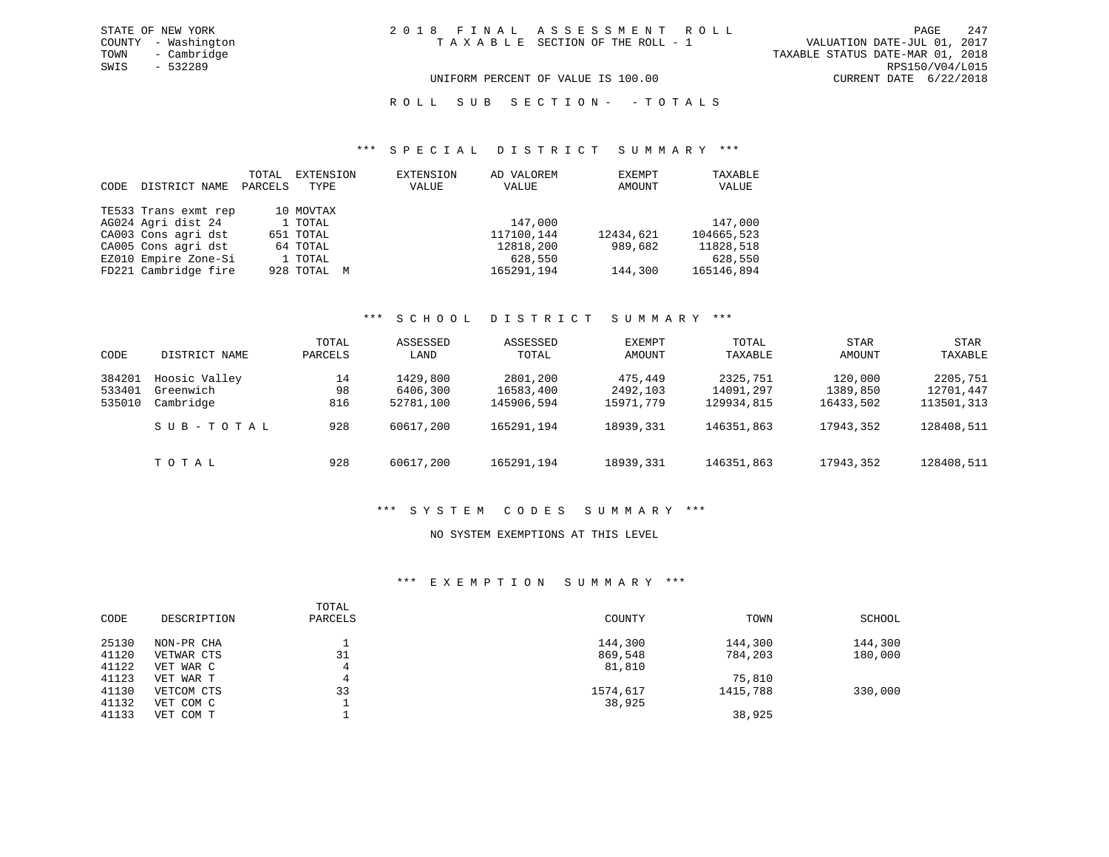R O L L S U B S E C T I O N - - T O T A L S

#### \*\*\* S P E C I A L D I S T R I C T S U M M A R Y \*\*\*

| CODE | DISTRICT NAME        | TOTAL<br>PARCELS | EXTENSION<br>TYPE | EXTENSION<br>VALUE | AD VALOREM<br>VALUE | EXEMPT<br>AMOUNT | TAXABLE<br>VALUE |
|------|----------------------|------------------|-------------------|--------------------|---------------------|------------------|------------------|
|      | TE533 Trans exmt rep |                  | 10 MOVTAX         |                    |                     |                  |                  |
|      | AG024 Agri dist 24   |                  | 1 TOTAL           |                    | 147,000             |                  | 147,000          |
|      | CA003 Cons agri dst  |                  | 651 TOTAL         |                    | 117100,144          | 12434,621        | 104665,523       |
|      | CA005 Cons agri dst  |                  | 64 TOTAL          |                    | 12818,200           | 989,682          | 11828,518        |
|      | EZ010 Empire Zone-Si |                  | 1 TOTAL           |                    | 628,550             |                  | 628,550          |
|      | FD221 Cambridge fire |                  | 928 TOTAL M       |                    | 165291,194          | 144,300          | 165146,894       |

#### \*\*\* S C H O O L D I S T R I C T S U M M A R Y \*\*\*

| CODE                       | DISTRICT NAME                           | TOTAL<br>PARCELS | ASSESSED<br>LAND                  | ASSESSED<br>TOTAL                   | EXEMPT<br>AMOUNT                 | TOTAL<br>TAXABLE                    | STAR<br>AMOUNT                   | <b>STAR</b><br>TAXABLE              |
|----------------------------|-----------------------------------------|------------------|-----------------------------------|-------------------------------------|----------------------------------|-------------------------------------|----------------------------------|-------------------------------------|
| 384201<br>533401<br>535010 | Hoosic Valley<br>Greenwich<br>Cambridge | 14<br>98<br>816  | 1429,800<br>6406,300<br>52781,100 | 2801,200<br>16583,400<br>145906,594 | 475,449<br>2492,103<br>15971,779 | 2325,751<br>14091,297<br>129934,815 | 120,000<br>1389,850<br>16433,502 | 2205,751<br>12701,447<br>113501,313 |
|                            | SUB-TOTAL                               | 928              | 60617,200                         | 165291,194                          | 18939,331                        | 146351,863                          | 17943,352                        | 128408,511                          |
|                            | TOTAL                                   | 928              | 60617,200                         | 165291,194                          | 18939,331                        | 146351,863                          | 17943,352                        | 128408,511                          |

#### \*\*\* S Y S T E M C O D E S S U M M A R Y \*\*\*

#### NO SYSTEM EXEMPTIONS AT THIS LEVEL

#### \*\*\* E X E M P T I O N S U M M A R Y \*\*\*

| CODE  | DESCRIPTION | TOTAL<br>PARCELS | COUNTY   | TOWN     | SCHOOL  |
|-------|-------------|------------------|----------|----------|---------|
| 25130 | NON-PR CHA  |                  | 144,300  | 144,300  | 144,300 |
| 41120 | VETWAR CTS  | 31               | 869,548  | 784,203  | 180,000 |
| 41122 | VET WAR C   | 4                | 81,810   |          |         |
| 41123 | VET WAR T   | 4                |          | 75,810   |         |
| 41130 | VETCOM CTS  | 33               | 1574,617 | 1415,788 | 330,000 |
| 41132 | VET COM C   |                  | 38,925   |          |         |
| 41133 | VET COM T   |                  |          | 38,925   |         |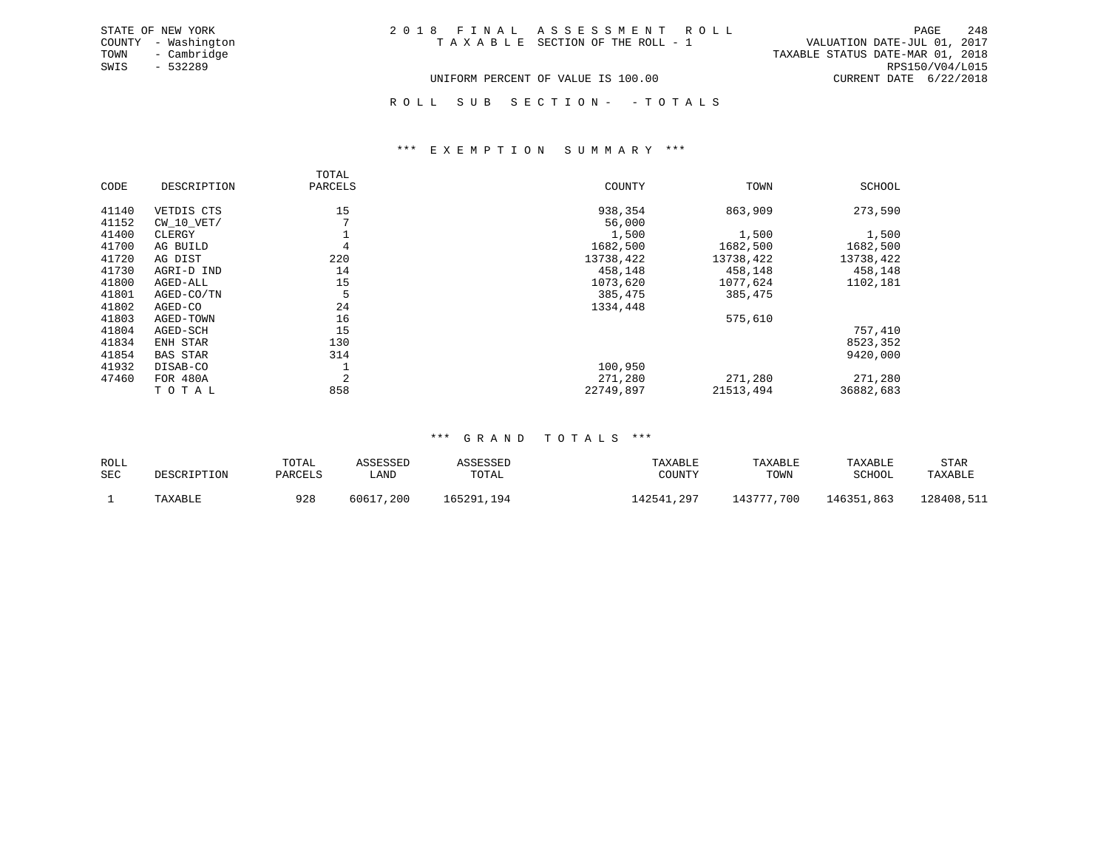| STATE OF NEW YORK   | 2018 FINAL ASSESSMENT ROLL         | -248<br>PAGE                     |
|---------------------|------------------------------------|----------------------------------|
| COUNTY - Washington | TAXABLE SECTION OF THE ROLL - 1    | VALUATION DATE-JUL 01, 2017      |
| TOWN<br>- Cambridge |                                    | TAXABLE STATUS DATE-MAR 01, 2018 |
| SWIS<br>- 532289    |                                    | RPS150/V04/L015                  |
|                     | UNIFORM PERCENT OF VALUE IS 100.00 | CURRENT DATE 6/22/2018           |

ROLL SUB SECTION - - TOTALS

#### \*\*\* E X E M P T I O N S U M M A R Y \*\*\*

|       |                 | TOTAL   |           |           |               |
|-------|-----------------|---------|-----------|-----------|---------------|
| CODE  | DESCRIPTION     | PARCELS | COUNTY    | TOWN      | <b>SCHOOL</b> |
| 41140 | VETDIS CTS      | 15      | 938,354   | 863,909   | 273,590       |
| 41152 | CW 10 VET/      |         | 56,000    |           |               |
| 41400 | CLERGY          |         | 1,500     | 1,500     | 1,500         |
| 41700 | AG BUILD        |         | 1682,500  | 1682,500  | 1682,500      |
| 41720 | AG DIST         | 220     | 13738,422 | 13738,422 | 13738,422     |
| 41730 | AGRI-D IND      | 14      | 458,148   | 458,148   | 458,148       |
| 41800 | AGED-ALL        | 15      | 1073,620  | 1077,624  | 1102,181      |
| 41801 | AGED-CO/TN      |         | 385,475   | 385,475   |               |
| 41802 | AGED-CO         | 24      | 1334,448  |           |               |
| 41803 | AGED-TOWN       | 16      |           | 575,610   |               |
| 41804 | AGED-SCH        | 15      |           |           | 757,410       |
| 41834 | ENH STAR        | 130     |           |           | 8523,352      |
| 41854 | <b>BAS STAR</b> | 314     |           |           | 9420,000      |
| 41932 | DISAB-CO        |         | 100,950   |           |               |
| 47460 | <b>FOR 480A</b> | 2       | 271,280   | 271,280   | 271,280       |
|       | TOTAL           | 858     | 22749,897 | 21513,494 | 36882,683     |

#### \*\*\* G R A N D T O T A L S \*\*\*

| ROLL<br>SEC | DESCRIPTION | TOTAI<br>PARCELS | ∟AND           | TOTAL         | TAXABLE<br><b>TOUNTY</b> | TAXABLE<br>TOWN | TAXABLE<br>SCHOOL | STAR<br>of the contract of the contract of the<br>TAXABLE |
|-------------|-------------|------------------|----------------|---------------|--------------------------|-----------------|-------------------|-----------------------------------------------------------|
|             | TAXABLE     | 928              | , 200<br>60617 | 165291<br>194 | .7297<br>142547          | 43777,700       | 146351,863        | 128408,511                                                |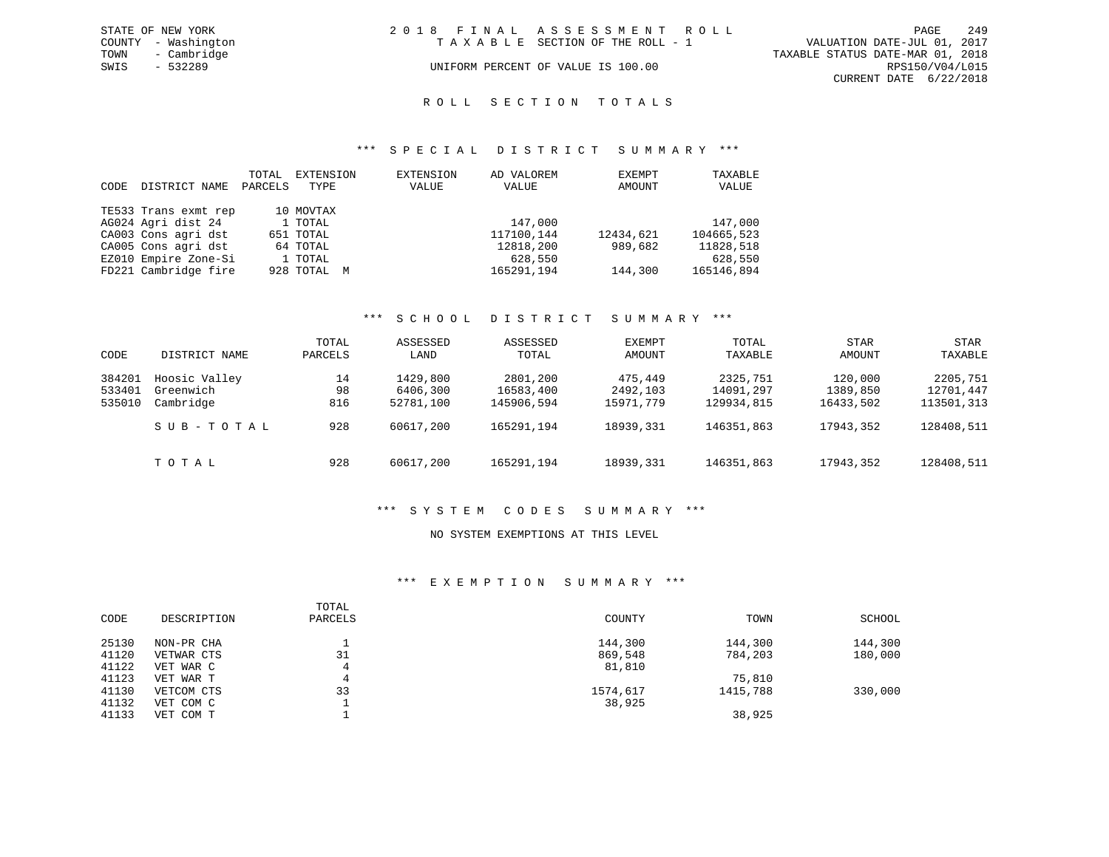| STATE OF NEW YORK   | 2018 FINAL ASSESSMENT ROLL         | 249<br>PAGE                      |
|---------------------|------------------------------------|----------------------------------|
| COUNTY - Washington | TAXABLE SECTION OF THE ROLL - 1    | VALUATION DATE-JUL 01, 2017      |
| - Cambridge<br>TOWN |                                    | TAXABLE STATUS DATE-MAR 01, 2018 |
| SWIS<br>- 532289    | UNIFORM PERCENT OF VALUE IS 100.00 | RPS150/V04/L015                  |
|                     |                                    | CURRENT DATE 6/22/2018           |

#### R O L L S E C T I O N T O T A L S

#### \*\*\* S P E C I A L D I S T R I C T S U M M A R Y \*\*\*

| CODE | DISTRICT NAME        | TOTAL<br>PARCELS | EXTENSION<br>TYPE | EXTENSION<br>VALUE | AD VALOREM<br>VALUE | EXEMPT<br>AMOUNT | TAXABLE<br>VALUE |
|------|----------------------|------------------|-------------------|--------------------|---------------------|------------------|------------------|
|      | TE533 Trans exmt rep |                  | 10 MOVTAX         |                    |                     |                  |                  |
|      | AG024 Agri dist 24   |                  | 1 TOTAL           |                    | 147,000             |                  | 147,000          |
|      | CA003 Cons agri dst  |                  | 651 TOTAL         |                    | 117100.144          | 12434,621        | 104665,523       |
|      | CA005 Cons agri dst  |                  | 64 TOTAL          |                    | 12818,200           | 989,682          | 11828,518        |
|      | EZ010 Empire Zone-Si |                  | 1 TOTAL           |                    | 628,550             |                  | 628,550          |
|      | FD221 Cambridge fire |                  | 928 TOTAL M       |                    | 165291,194          | 144,300          | 165146,894       |

#### \*\*\* S C H O O L D I S T R I C T S U M M A R Y \*\*\*

| CODE                       | DISTRICT NAME                                        | TOTAL<br>PARCELS       | ASSESSED<br>LAND                               | ASSESSED<br>TOTAL                                 | EXEMPT<br>AMOUNT                              | TOTAL<br>TAXABLE                                  | STAR<br>AMOUNT                                | STAR<br>TAXABLE                                   |
|----------------------------|------------------------------------------------------|------------------------|------------------------------------------------|---------------------------------------------------|-----------------------------------------------|---------------------------------------------------|-----------------------------------------------|---------------------------------------------------|
| 384201<br>533401<br>535010 | Hoosic Valley<br>Greenwich<br>Cambridge<br>SUB-TOTAL | 14<br>98<br>816<br>928 | 1429,800<br>6406,300<br>52781,100<br>60617,200 | 2801,200<br>16583,400<br>145906,594<br>165291,194 | 475,449<br>2492,103<br>15971,779<br>18939,331 | 2325,751<br>14091,297<br>129934,815<br>146351,863 | 120,000<br>1389,850<br>16433,502<br>17943,352 | 2205,751<br>12701,447<br>113501,313<br>128408,511 |
|                            | TOTAL                                                | 928                    | 60617,200                                      | 165291,194                                        | 18939,331                                     | 146351,863                                        | 17943,352                                     | 128408,511                                        |

#### \*\*\* S Y S T E M C O D E S S U M M A R Y \*\*\*

#### NO SYSTEM EXEMPTIONS AT THIS LEVEL

#### \*\*\* E X E M P T I O N S U M M A R Y \*\*\*

| CODE  | DESCRIPTION | TOTAL<br>PARCELS | COUNTY   | TOWN     | SCHOOL  |
|-------|-------------|------------------|----------|----------|---------|
| 25130 | NON-PR CHA  |                  | 144,300  | 144,300  | 144,300 |
| 41120 | VETWAR CTS  | 31               | 869,548  | 784,203  | 180,000 |
| 41122 | VET WAR C   | 4                | 81,810   |          |         |
| 41123 | VET WAR T   | 4                |          | 75,810   |         |
| 41130 | VETCOM CTS  | 33               | 1574,617 | 1415,788 | 330,000 |
| 41132 | VET COM C   |                  | 38,925   |          |         |
| 41133 | VET COM T   |                  |          | 38,925   |         |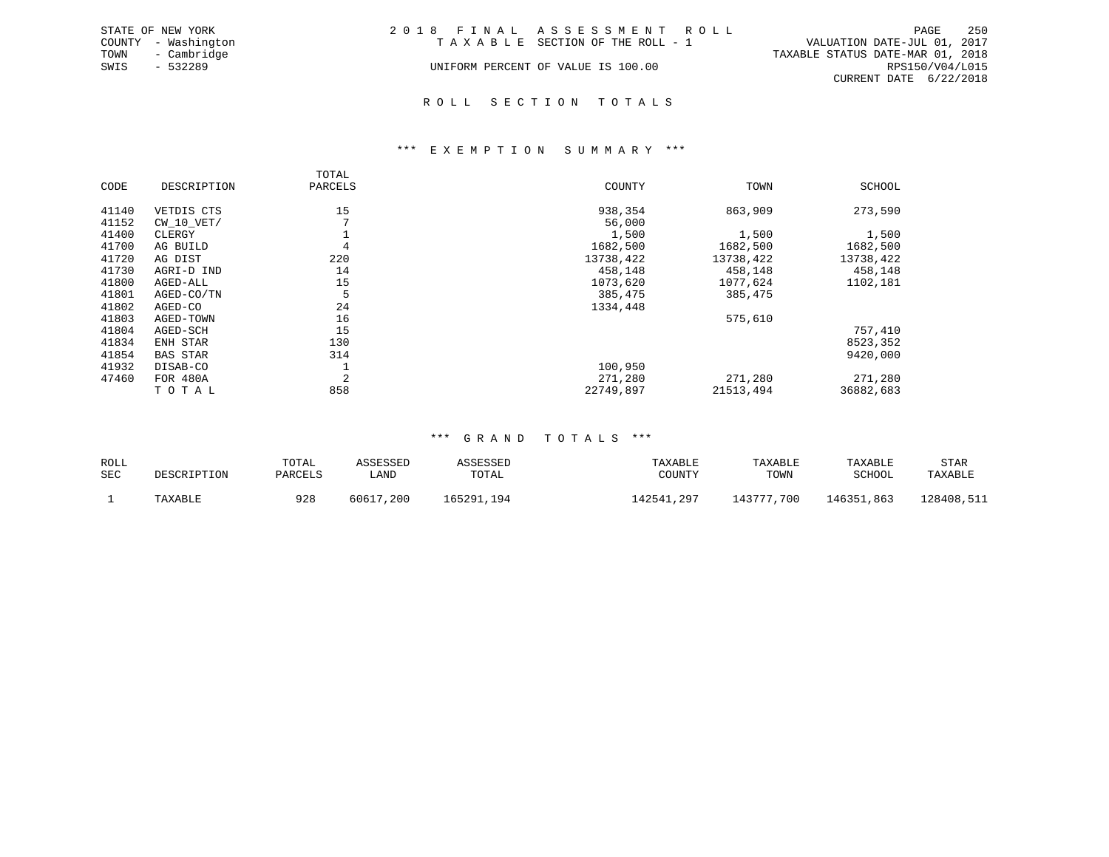|      | STATE OF NEW YORK   | 2018 FINAL ASSESSMENT ROLL |                                    |                                  |                        | PAGE | - 250 |
|------|---------------------|----------------------------|------------------------------------|----------------------------------|------------------------|------|-------|
|      | COUNTY - Washington |                            | TAXABLE SECTION OF THE ROLL - 1    | VALUATION DATE-JUL 01, 2017      |                        |      |       |
| TOWN | - Cambridge         |                            |                                    | TAXABLE STATUS DATE-MAR 01, 2018 |                        |      |       |
| SWIS | $-532289$           |                            | UNIFORM PERCENT OF VALUE IS 100.00 |                                  | RPS150/V04/L015        |      |       |
|      |                     |                            |                                    |                                  | CURRENT DATE 6/22/2018 |      |       |
|      |                     |                            |                                    |                                  |                        |      |       |

R O L L S E C T I O N T O T A L S

# \*\*\* E X E M P T I O N S U M M A R Y \*\*\*

|       |                 | TOTAL          |           |           |               |
|-------|-----------------|----------------|-----------|-----------|---------------|
| CODE  | DESCRIPTION     | PARCELS        | COUNTY    | TOWN      | <b>SCHOOL</b> |
| 41140 | VETDIS CTS      | 15             | 938,354   | 863,909   | 273,590       |
| 41152 | $CW$ 10 $VET/$  |                | 56,000    |           |               |
| 41400 | CLERGY          |                | 1,500     | 1,500     | 1,500         |
| 41700 | AG BUILD        | 4              | 1682,500  | 1682,500  | 1682,500      |
| 41720 | AG DIST         | 220            | 13738,422 | 13738,422 | 13738,422     |
| 41730 | AGRI-D IND      | 14             | 458,148   | 458,148   | 458,148       |
| 41800 | AGED-ALL        | 15             | 1073,620  | 1077,624  | 1102,181      |
| 41801 | AGED-CO/TN      | 5              | 385,475   | 385,475   |               |
| 41802 | AGED-CO         | 24             | 1334,448  |           |               |
| 41803 | AGED-TOWN       | 16             |           | 575,610   |               |
| 41804 | AGED-SCH        | 15             |           |           | 757,410       |
| 41834 | ENH STAR        | 130            |           |           | 8523,352      |
| 41854 | <b>BAS STAR</b> | 314            |           |           | 9420,000      |
| 41932 | DISAB-CO        |                | 100,950   |           |               |
| 47460 | FOR 480A        | $\overline{2}$ | 271,280   | 271,280   | 271,280       |
|       | TOTAL           | 858            | 22749,897 | 21513,494 | 36882,683     |

#### \*\*\* G R A N D T O T A L S \*\*\*

| ROLL<br>SEC | DESCRIPTION | TOTAI<br>PARCELS | LAND           | TOTAL         | TAXABLE<br>COUNT. | TAXABLE<br>TOWN | TAXABLE<br>SCHOOL | STAR<br>TAXABLE |
|-------------|-------------|------------------|----------------|---------------|-------------------|-----------------|-------------------|-----------------|
|             | TAXABLE     | 928              | , 200<br>60617 | 165291<br>194 | . . 297<br>42541  | 143777,700      | 146351,863        | L28408,511      |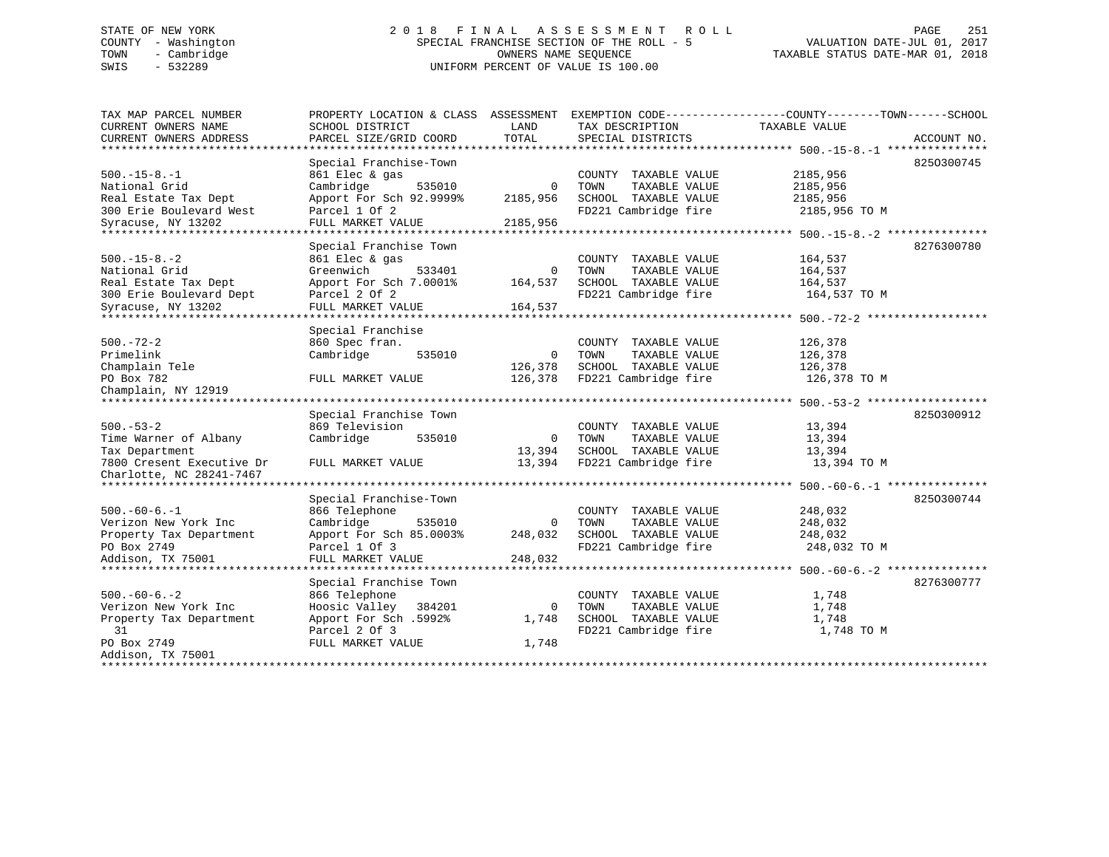# STATE OF NEW YORK 2 0 1 8 F I N A L A S S E S S M E N T R O L L PAGE 251 COUNTY - Washington SPECIAL FRANCHISE SECTION OF THE ROLL - 5 VALUATION DATE-JUL 01, 2017 TOWN - Cambridge OWNERS NAME SEQUENCE TAXABLE STATUS DATE-MAR 01, 2018 SWIS - 532289 UNIFORM PERCENT OF VALUE IS 100.00

| TAX MAP PARCEL NUMBER<br>CURRENT OWNERS NAME              | PROPERTY LOCATION & CLASS ASSESSMENT<br>SCHOOL DISTRICT | LAND        | EXEMPTION CODE-----------------COUNTY-------TOWN------SCHOOL<br>TAX DESCRIPTION | TAXABLE VALUE                          |             |
|-----------------------------------------------------------|---------------------------------------------------------|-------------|---------------------------------------------------------------------------------|----------------------------------------|-------------|
| CURRENT OWNERS ADDRESS                                    | PARCEL SIZE/GRID COORD                                  | TOTAL       | SPECIAL DISTRICTS                                                               |                                        | ACCOUNT NO. |
|                                                           |                                                         |             |                                                                                 |                                        |             |
|                                                           | Special Franchise-Town                                  |             |                                                                                 |                                        | 8250300745  |
| $500. -15 - 8. -1$                                        | 861 Elec & gas                                          |             | COUNTY TAXABLE VALUE                                                            | 2185,956                               |             |
| National Grid                                             | Cambridge<br>535010                                     | $\circ$     | TAXABLE VALUE<br>TOWN                                                           | 2185,956                               |             |
| Real Estate Tax Dept                                      | Apport For Sch 92.9999%                                 | 2185,956    | SCHOOL TAXABLE VALUE                                                            | 2185,956                               |             |
| 300 Erie Boulevard West                                   | Parcel 1 Of 2                                           |             | FD221 Cambridge fire                                                            | 2185,956 TO M                          |             |
| Syracuse, NY 13202<br>***********************             | FULL MARKET VALUE<br>***********************            | 2185,956    |                                                                                 |                                        |             |
|                                                           |                                                         |             |                                                                                 |                                        |             |
|                                                           | Special Franchise Town                                  |             |                                                                                 |                                        | 8276300780  |
| $500. -15 - 8. -2$                                        | 861 Elec & gas                                          |             | COUNTY TAXABLE VALUE                                                            | 164,537                                |             |
| National Grid                                             | Greenwich<br>533401                                     | $\mathbf 0$ | TOWN<br>TAXABLE VALUE                                                           | 164,537                                |             |
| Real Estate Tax Dept                                      | Apport For Sch 7.0001%                                  | 164,537     | SCHOOL TAXABLE VALUE                                                            | 164,537                                |             |
| 300 Erie Boulevard Dept                                   | Parcel 2 Of 2                                           |             | FD221 Cambridge fire                                                            | 164,537 TO M                           |             |
| Syracuse, NY 13202<br>* * * * * * * * * * * * * * * * * * | FULL MARKET VALUE                                       | 164,537     |                                                                                 |                                        |             |
|                                                           |                                                         |             | ******************************** 500.-72-2 ***                                  |                                        |             |
|                                                           | Special Franchise                                       |             |                                                                                 |                                        |             |
| $500. - 72 - 2$                                           | 860 Spec fran.                                          |             | COUNTY TAXABLE VALUE                                                            | 126,378                                |             |
| Primelink                                                 | Cambridge<br>535010                                     | 0           | TOWN<br>TAXABLE VALUE                                                           | 126,378                                |             |
| Champlain Tele                                            |                                                         | 126,378     | SCHOOL TAXABLE VALUE                                                            | 126,378                                |             |
| PO Box 782                                                | FULL MARKET VALUE                                       | 126,378     | FD221 Cambridge fire                                                            | 126,378 TO M                           |             |
| Champlain, NY 12919                                       |                                                         |             |                                                                                 |                                        |             |
|                                                           | Special Franchise Town                                  |             |                                                                                 |                                        | 8250300912  |
| $500. - 53 - 2$                                           | 869 Television                                          |             | COUNTY TAXABLE VALUE                                                            | 13,394                                 |             |
| Time Warner of Albany                                     | Cambridge<br>535010                                     | 0           | TOWN<br>TAXABLE VALUE                                                           | 13,394                                 |             |
| Tax Department                                            |                                                         | 13,394      | SCHOOL TAXABLE VALUE                                                            | 13,394                                 |             |
| 7800 Cresent Executive Dr                                 | FULL MARKET VALUE                                       | 13,394      | FD221 Cambridge fire                                                            | 13,394 TO M                            |             |
| Charlotte, NC 28241-7467                                  |                                                         |             |                                                                                 |                                        |             |
| *******************                                       | ***********************************                     |             |                                                                                 | ********* 500.-60-6.-1 *************** |             |
|                                                           | Special Franchise-Town                                  |             |                                                                                 |                                        | 8250300744  |
| $500. -60 - 6. -1$                                        | 866 Telephone                                           |             | COUNTY TAXABLE VALUE                                                            | 248,032                                |             |
| Verizon New York Inc                                      | Cambridge<br>535010                                     | $\Omega$    | TOWN<br>TAXABLE VALUE                                                           | 248,032                                |             |
| Property Tax Department                                   | Apport For Sch 85.0003%                                 | 248,032     | SCHOOL TAXABLE VALUE                                                            | 248,032                                |             |
| PO Box 2749                                               | Parcel 1 Of 3                                           |             | FD221 Cambridge fire                                                            | 248,032 TO M                           |             |
| Addison, TX 75001                                         | FULL MARKET VALUE                                       | 248,032     |                                                                                 |                                        |             |
| *********************                                     | ********************                                    |             |                                                                                 | ******** 500.-60-6.-2 ***************  |             |
|                                                           | Special Franchise Town                                  |             |                                                                                 |                                        | 8276300777  |
| $500 - 60 - 6 - 2$                                        | 866 Telephone                                           |             | COUNTY TAXABLE VALUE                                                            | 1,748                                  |             |
| Verizon New York Inc                                      | Hoosic Valley 384201                                    | $\mathbf 0$ | TAXABLE VALUE<br>TOWN                                                           | 1,748                                  |             |
| Property Tax Department                                   | Apport For Sch .5992%                                   | 1,748       | SCHOOL TAXABLE VALUE                                                            | 1,748                                  |             |
| 31                                                        | Parcel 2 Of 3                                           |             | FD221 Cambridge fire                                                            | 1,748 TO M                             |             |
| PO Box 2749                                               | FULL MARKET VALUE                                       | 1,748       |                                                                                 |                                        |             |
| Addison, TX 75001                                         |                                                         |             |                                                                                 |                                        |             |
| ***************************                               |                                                         |             |                                                                                 |                                        |             |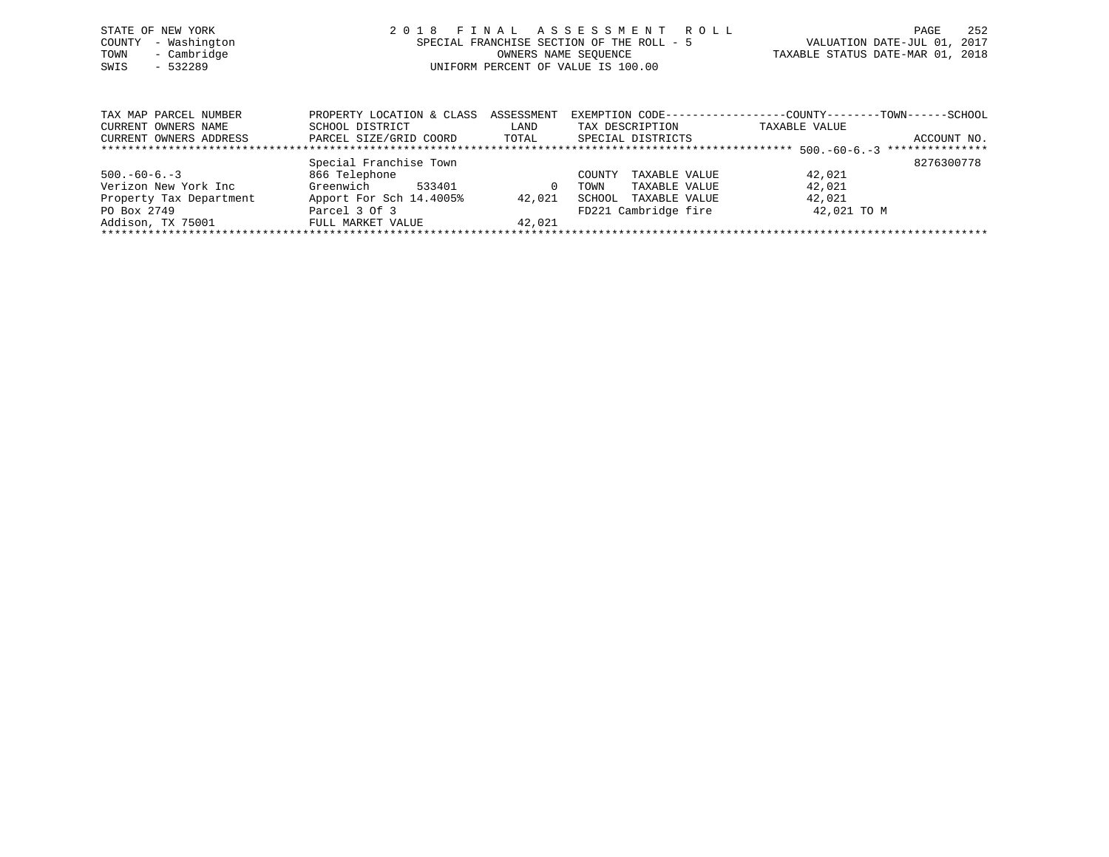|      | STATE OF NEW YORK   | 2018 FINAL ASSESSMENT ROLL                |                                  | PAGE | 252 |
|------|---------------------|-------------------------------------------|----------------------------------|------|-----|
|      | COUNTY - Washington | SPECIAL FRANCHISE SECTION OF THE ROLL - 5 | VALUATION DATE-JUL 01, 2017      |      |     |
|      | TOWN - Cambridge    | OWNERS NAME SEOUENCE                      | TAXABLE STATUS DATE-MAR 01, 2018 |      |     |
| SWIS | - 532289            | UNIFORM PERCENT OF VALUE IS 100.00        |                                  |      |     |
|      |                     |                                           |                                  |      |     |
|      |                     |                                           |                                  |      |     |

| TAX MAP PARCEL NUMBER   | PROPERTY LOCATION & CLASS | ASSESSMENT | EXEMPTION CODE-----------------COUNTY-------TOWN------SCHOOL |               |                 |
|-------------------------|---------------------------|------------|--------------------------------------------------------------|---------------|-----------------|
| CURRENT OWNERS NAME     | SCHOOL DISTRICT           | LAND       | TAX DESCRIPTION                                              | TAXABLE VALUE |                 |
| CURRENT OWNERS ADDRESS  | PARCEL SIZE/GRID COORD    | TOTAL      | SPECIAL DISTRICTS                                            |               | ACCOUNT NO.     |
|                         |                           |            |                                                              |               | *************** |
|                         | Special Franchise Town    |            |                                                              |               | 8276300778      |
| $500. -60 - 6. -3$      | 866 Telephone             |            | TAXABLE VALUE<br>COUNTY                                      | 42,021        |                 |
| Verizon New York Inc    | Greenwich<br>533401       | $\Omega$   | TAXABLE VALUE<br>TOWN                                        | 42,021        |                 |
| Property Tax Department | Apport For Sch 14.4005%   | 42,021     | SCHOOL<br>TAXABLE VALUE                                      | 42,021        |                 |
| PO Box 2749             | Parcel 3 Of 3             |            | FD221 Cambridge fire                                         | 42,021 TO M   |                 |
| Addison, TX 75001       | FULL MARKET VALUE         | 42,021     |                                                              |               |                 |
|                         |                           |            |                                                              |               |                 |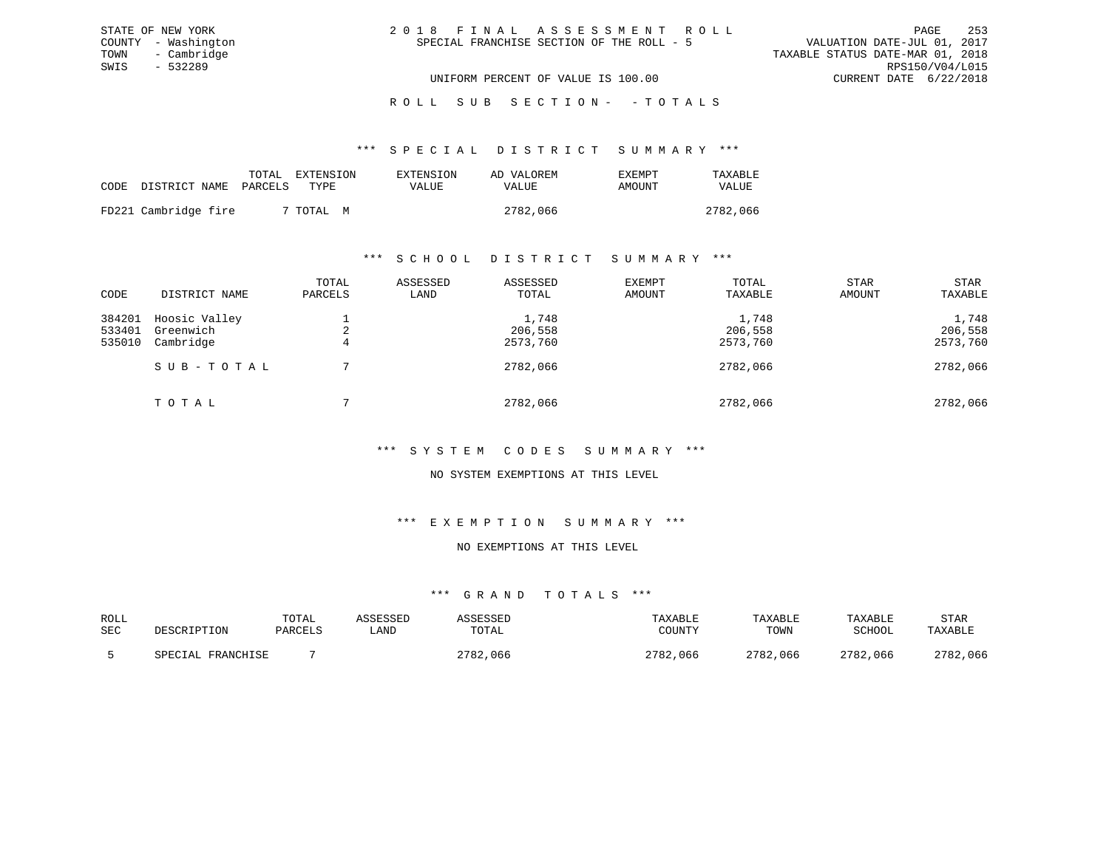| 2018 FINAL ASSESSMENT ROLL                |                                  | PAGE                        | 253 |
|-------------------------------------------|----------------------------------|-----------------------------|-----|
| SPECIAL FRANCHISE SECTION OF THE ROLL - 5 |                                  | VALUATION DATE-JUL 01, 2017 |     |
|                                           | TAXABLE STATUS DATE-MAR 01, 2018 |                             |     |
|                                           |                                  | RPS150/V04/L015             |     |
| UNIFORM PERCENT OF VALUE IS 100.00        |                                  | CURRENT DATE 6/22/2018      |     |

#### \*\*\* S P E C I A L D I S T R I C T S U M M A R Y \*\*\*

|      |                       | TOTAL | EXTENSION | EXTENSION | AD VALOREM   | <b>EXEMPT</b> | TAXABLE  |
|------|-----------------------|-------|-----------|-----------|--------------|---------------|----------|
| CODE | DISTRICT NAME PARCELS |       | TYPE.     | VALUE     | <b>VALUE</b> | AMOUNT        | VALUE    |
|      | FD221 Cambridge fire  |       | 7 TOTAL M |           | 2782,066     |               | 2782,066 |

STATE OF NEW YORK COUNTY - Washington TOWN - Cambridge SWIS - 532289

#### \*\*\* S C H O O L D I S T R I C T S U M M A R Y \*\*\*

| CODE                       | DISTRICT NAME                           | TOTAL<br>PARCELS | ASSESSED<br>LAND | ASSESSED<br>TOTAL            | <b>EXEMPT</b><br>AMOUNT | TOTAL<br>TAXABLE             | <b>STAR</b><br>AMOUNT | STAR<br>TAXABLE              |
|----------------------------|-----------------------------------------|------------------|------------------|------------------------------|-------------------------|------------------------------|-----------------------|------------------------------|
| 384201<br>533401<br>535010 | Hoosic Valley<br>Greenwich<br>Cambridge | 4                |                  | 1,748<br>206,558<br>2573,760 |                         | 1,748<br>206,558<br>2573,760 |                       | 1,748<br>206,558<br>2573,760 |
|                            | SUB-TOTAL                               |                  |                  | 2782,066                     |                         | 2782,066                     |                       | 2782,066                     |
|                            | TOTAL                                   |                  |                  | 2782,066                     |                         | 2782,066                     |                       | 2782,066                     |

### \*\*\* S Y S T E M C O D E S S U M M A R Y \*\*\*

### NO SYSTEM EXEMPTIONS AT THIS LEVEL

#### \*\*\* E X E M P T I O N S U M M A R Y \*\*\*

# NO EXEMPTIONS AT THIS LEVEL

| ROLL       | DESCRIPTION       | TOTAL   | ASSESSED | ASSESSED | TAXABLE  | TAXABLE  | TAXABLE  | STAR     |
|------------|-------------------|---------|----------|----------|----------|----------|----------|----------|
| <b>SEC</b> |                   | PARCELS | ≒AND     | TOTAL    | COUNTY   | TOWN     | SCHOOL   | TAXABLE  |
|            | SPECIAL FRANCHISE |         |          | 2782,066 | 2782,066 | 2782,066 | 2782,066 | 2782,066 |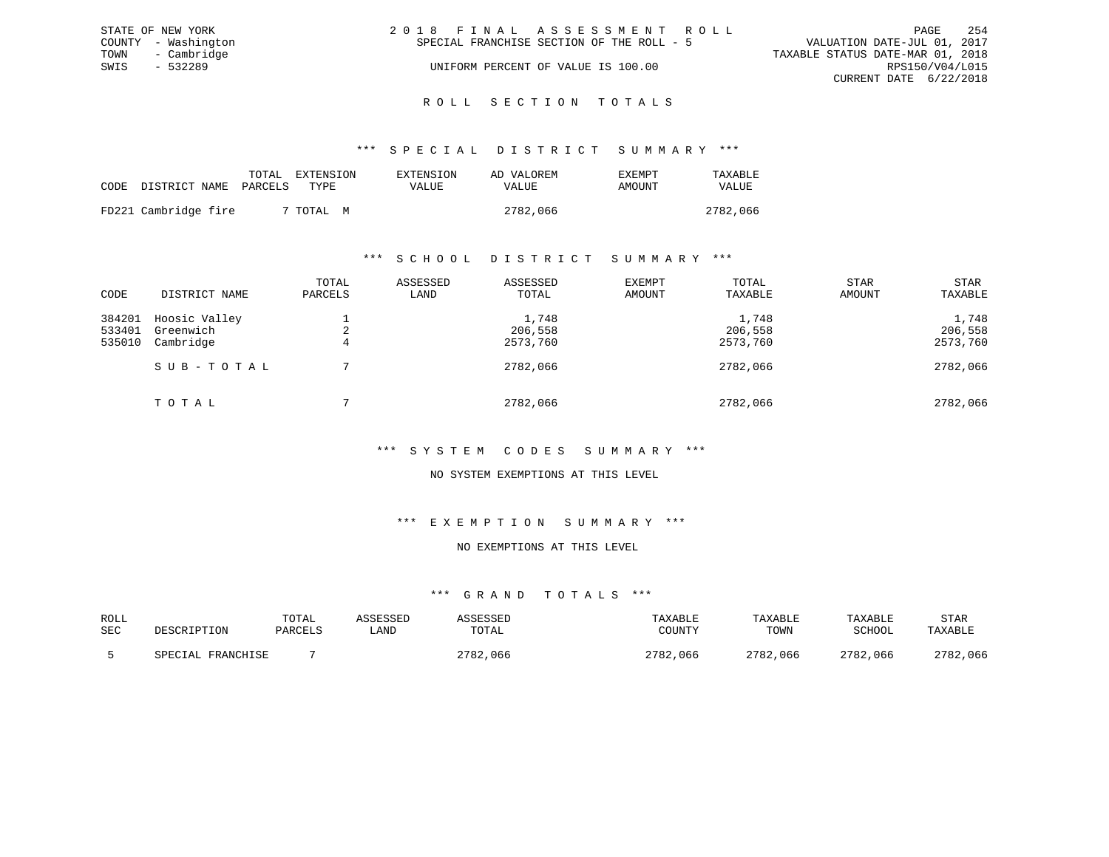|      | STATE OF NEW YORK   | 2018 FINAL ASSESSMENT ROLL                                               | PAGE            | 254 |
|------|---------------------|--------------------------------------------------------------------------|-----------------|-----|
|      | COUNTY - Washington | VALUATION DATE-JUL 01, 2017<br>SPECIAL FRANCHISE SECTION OF THE ROLL - 5 |                 |     |
|      | TOWN - Cambridge    | TAXABLE STATUS DATE-MAR 01, 2018                                         |                 |     |
| SWIS | $-532289$           | UNIFORM PERCENT OF VALUE IS 100.00                                       | RPS150/V04/L015 |     |
|      |                     | CURRENT DATE 6/22/2018                                                   |                 |     |
|      |                     |                                                                          |                 |     |

# ROLL SECTION TOTALS

#### \*\*\* S P E C I A L D I S T R I C T S U M M A R Y \*\*\*

|      |                       | TOTAL | EXTENSION | EXTENSION | AD VALOREM | <b>EXEMPT</b> | TAXABLE  |
|------|-----------------------|-------|-----------|-----------|------------|---------------|----------|
| CODE | DISTRICT NAME PARCELS |       | TYPR.     | VALUE     | VALUE      | AMOUNT        | VALUE    |
|      | FD221 Cambridge fire  |       | 7 TOTAL M |           | 2782,066   |               | 2782,066 |

### \*\*\* S C H O O L D I S T R I C T S U M M A R Y \*\*\*

| CODE                       | DISTRICT NAME                           | TOTAL<br>PARCELS | ASSESSED<br>LAND | ASSESSED<br>TOTAL            | EXEMPT<br>AMOUNT | TOTAL<br>TAXABLE             | <b>STAR</b><br>AMOUNT | STAR<br>TAXABLE              |
|----------------------------|-----------------------------------------|------------------|------------------|------------------------------|------------------|------------------------------|-----------------------|------------------------------|
| 384201<br>533401<br>535010 | Hoosic Valley<br>Greenwich<br>Cambridge | 4                |                  | 1,748<br>206,558<br>2573,760 |                  | 1,748<br>206,558<br>2573,760 |                       | 1,748<br>206,558<br>2573,760 |
|                            | SUB-TOTAL                               |                  |                  | 2782,066                     |                  | 2782,066                     |                       | 2782,066                     |
|                            | TOTAL                                   |                  |                  | 2782,066                     |                  | 2782,066                     |                       | 2782,066                     |

# \*\*\* S Y S T E M C O D E S S U M M A R Y \*\*\*

### NO SYSTEM EXEMPTIONS AT THIS LEVEL

#### \*\*\* E X E M P T I O N S U M M A R Y \*\*\*

### NO EXEMPTIONS AT THIS LEVEL

| ROLL       | DESCRIPTION       | TOTAL   | ASSESSED | ASSESSED | TAXABLE  | TAXABLE  | TAXABLE  | STAR     |
|------------|-------------------|---------|----------|----------|----------|----------|----------|----------|
| <b>SEC</b> |                   | PARCELS | ≒AND     | TOTAL    | COUNTY   | TOWN     | SCHOOL   | TAXABLE  |
|            | SPECIAL FRANCHISE |         |          | 2782,066 | 2782,066 | 2782,066 | 2782,066 | 2782,066 |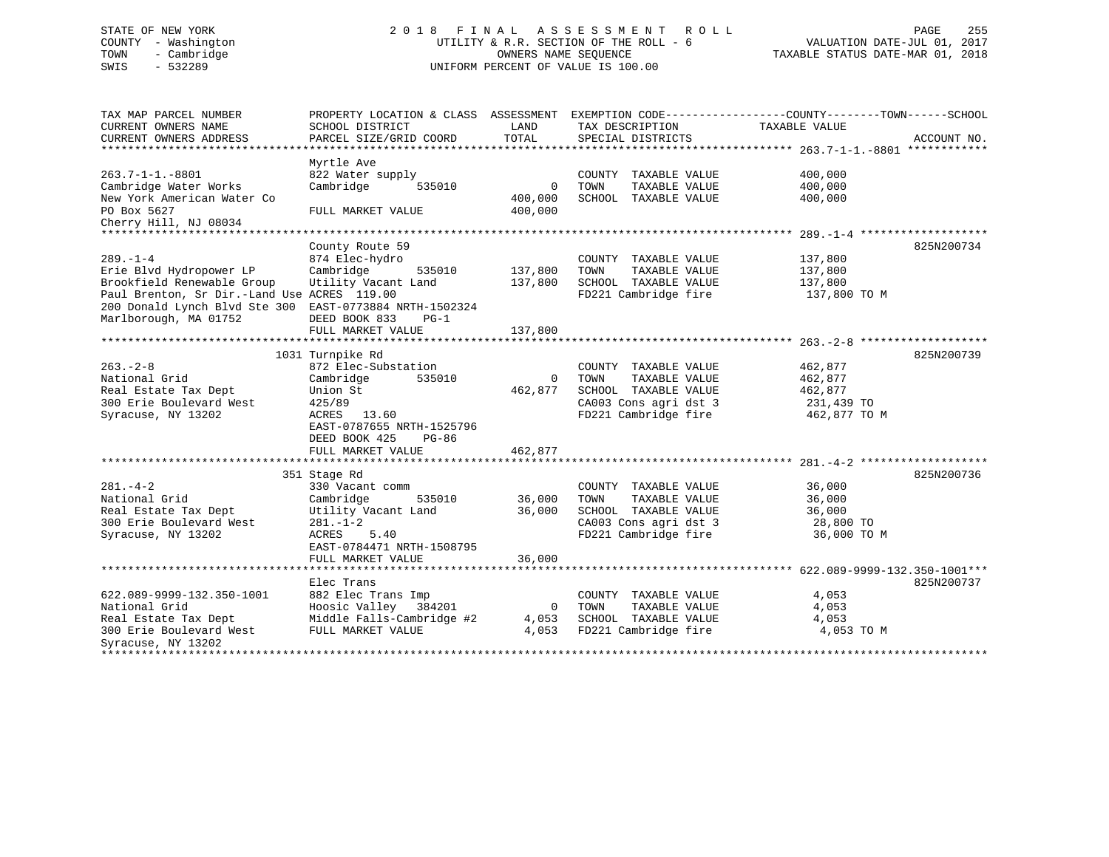# STATE OF NEW YORK 2 0 1 8 F I N A L A S S E S S M E N T R O L L PAGE 255COUNTY - Washington UTILITY & R.R. SECTION OF THE ROLL - 6 VALUATION DATE-JUL 01, 2017 TOWN - Cambridge OWNERS NAME SEQUENCE TAXABLE STATUS DATE-MAR 01, 2018 SWIS - 532289 UNIFORM PERCENT OF VALUE IS 100.00

| TAX MAP PARCEL NUMBER<br>CURRENT OWNERS NAME<br>CURRENT OWNERS ADDRESS<br>******************************                                                                         | PROPERTY LOCATION & CLASS ASSESSMENT EXEMPTION CODE----------------COUNTY-------TOWN-----SCHOOL<br>SCHOOL DISTRICT<br>PARCEL SIZE/GRID COORD               | LAND<br>TOTAL                     | TAX DESCRIPTION<br>SPECIAL DISTRICTS                                                                                   | TAXABLE VALUE                                               | ACCOUNT NO. |
|----------------------------------------------------------------------------------------------------------------------------------------------------------------------------------|------------------------------------------------------------------------------------------------------------------------------------------------------------|-----------------------------------|------------------------------------------------------------------------------------------------------------------------|-------------------------------------------------------------|-------------|
| $263.7 - 1 - 1. - 8801$<br>Cambridge Water Works<br>New York American Water Co<br>PO Box 5627<br>Cherry Hill, NJ 08034                                                           | Myrtle Ave<br>822 Water supply<br>Cambridge<br>535010<br>FULL MARKET VALUE                                                                                 | $\mathbf 0$<br>400,000<br>400,000 | COUNTY TAXABLE VALUE<br>TOWN<br>TAXABLE VALUE<br>SCHOOL TAXABLE VALUE                                                  | 400,000<br>400,000<br>400,000                               |             |
| ******************************                                                                                                                                                   |                                                                                                                                                            |                                   |                                                                                                                        |                                                             |             |
| $289. - 1 - 4$<br>Erie Blvd Hydropower LP<br>Brookfield Renewable Group<br>Paul Brenton, Sr Dir.-Land Use ACRES 119.00<br>200 Donald Lynch Blvd Ste 300<br>Marlborough, MA 01752 | County Route 59<br>874 Elec-hydro<br>Cambridge<br>535010<br>Utility Vacant Land<br>EAST-0773884 NRTH-1502324<br>DEED BOOK 833<br>PG-1<br>FULL MARKET VALUE | 137,800<br>137,800<br>137,800     | COUNTY TAXABLE VALUE<br>TOWN<br>TAXABLE VALUE<br>SCHOOL TAXABLE VALUE<br>FD221 Cambridge fire                          | 137,800<br>137,800<br>137,800<br>137,800 TO M               | 825N200734  |
|                                                                                                                                                                                  | 1031 Turnpike Rd                                                                                                                                           |                                   |                                                                                                                        |                                                             | 825N200739  |
| $263 - 2 - 8$<br>National Grid<br>Real Estate Tax Dept<br>300 Erie Boulevard West<br>Syracuse, NY 13202                                                                          | 872 Elec-Substation<br>Cambridge<br>535010<br>Union St<br>425/89<br>ACRES 13.60<br>EAST-0787655 NRTH-1525796<br>DEED BOOK 425<br>PG-86                     | $\Omega$<br>462,877               | COUNTY TAXABLE VALUE<br>TOWN<br>TAXABLE VALUE<br>SCHOOL TAXABLE VALUE<br>CA003 Cons agri dst 3<br>FD221 Cambridge fire | 462,877<br>462,877<br>462,877<br>231,439 TO<br>462,877 TO M |             |
|                                                                                                                                                                                  | FULL MARKET VALUE                                                                                                                                          | 462,877                           |                                                                                                                        |                                                             |             |
| $281 - 4 - 2$<br>National Grid<br>Real Estate Tax Dept<br>300 Erie Boulevard West<br>Syracuse, NY 13202                                                                          | 351 Stage Rd<br>330 Vacant comm<br>535010<br>Cambridge<br>Utility Vacant Land<br>$281. - 1 - 2$<br>5.40<br>ACRES<br>EAST-0784471 NRTH-1508795              | 36,000<br>36,000                  | COUNTY TAXABLE VALUE<br>TOWN<br>TAXABLE VALUE<br>SCHOOL TAXABLE VALUE<br>CA003 Cons agri dst 3<br>FD221 Cambridge fire | 36,000<br>36,000<br>36,000<br>28,800 TO<br>36,000 TO M      | 825N200736  |
|                                                                                                                                                                                  | FULL MARKET VALUE                                                                                                                                          | 36,000                            |                                                                                                                        |                                                             |             |
|                                                                                                                                                                                  | Elec Trans                                                                                                                                                 |                                   |                                                                                                                        |                                                             | 825N200737  |
| 622.089-9999-132.350-1001<br>National Grid<br>Real Estate Tax Dept<br>300 Erie Boulevard West<br>Syracuse, NY 13202                                                              | 882 Elec Trans Imp<br>Hoosic Valley 384201<br>Middle Falls-Cambridge #2<br>FULL MARKET VALUE                                                               | $\mathbf 0$<br>4,053<br>4,053     | COUNTY TAXABLE VALUE<br>TOWN<br>TAXABLE VALUE<br>SCHOOL TAXABLE VALUE<br>FD221 Cambridge fire                          | 4,053<br>4,053<br>4,053<br>4,053 TO M                       |             |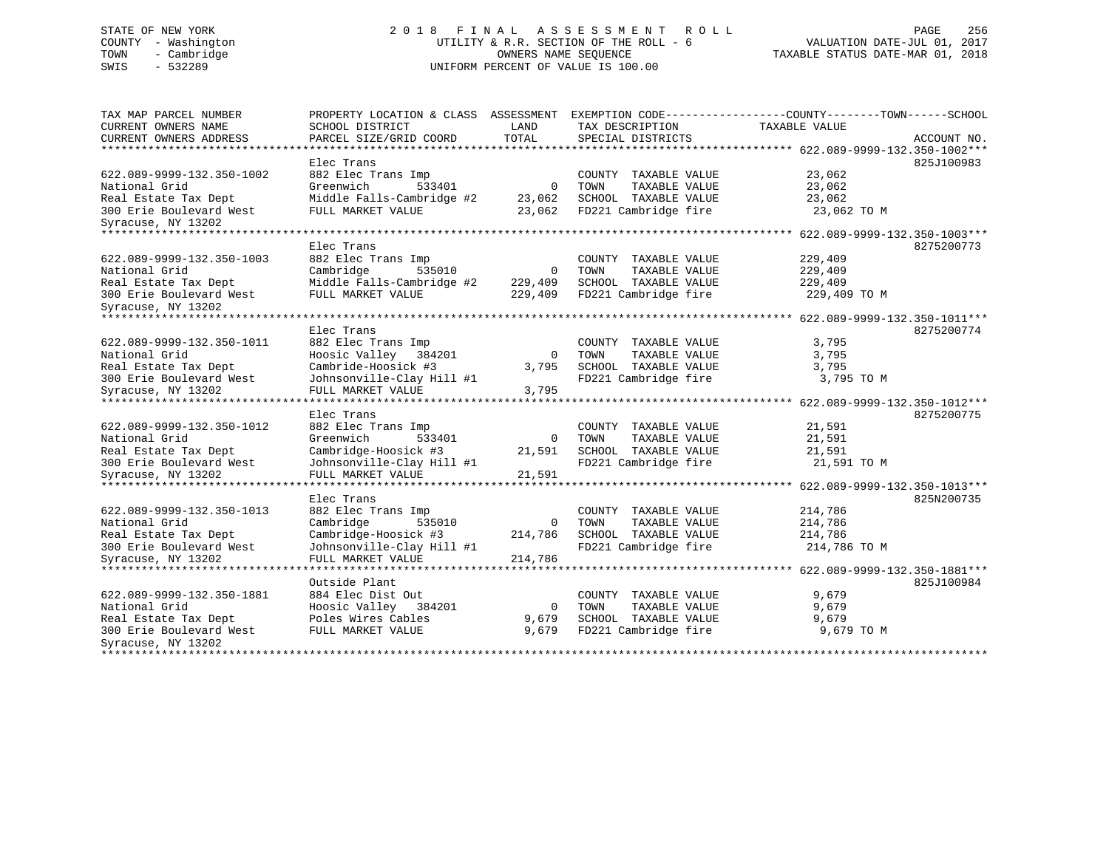# STATE OF NEW YORK 256 256 220 1 8 F I N A L A S S E S S M E N T R O L L PAGE 256 COUNTY - Washington UTILITY & R.R. SECTION OF THE ROLL - 6 VALUATION DATE-JUL 01, 2017 TOWN - Cambridge OWNERS NAME SEQUENCE TAXABLE STATUS DATE-MAR 01, 2018 SWIS - 532289 UNIFORM PERCENT OF VALUE IS 100.00

| TAX MAP PARCEL NUMBER<br>CURRENT OWNERS NAME       | PROPERTY LOCATION & CLASS ASSESSMENT<br>SCHOOL DISTRICT | LAND           | EXEMPTION CODE----------------COUNTY-------TOWN------SCHOOL<br>TAX DESCRIPTION | TAXABLE VALUE                                        |             |
|----------------------------------------------------|---------------------------------------------------------|----------------|--------------------------------------------------------------------------------|------------------------------------------------------|-------------|
| CURRENT OWNERS ADDRESS                             | PARCEL SIZE/GRID COORD                                  | TOTAL          | SPECIAL DISTRICTS                                                              |                                                      | ACCOUNT NO. |
| ************************                           |                                                         |                |                                                                                |                                                      |             |
|                                                    | Elec Trans                                              |                |                                                                                |                                                      | 825J100983  |
| 622.089-9999-132.350-1002                          | 882 Elec Trans Imp                                      |                | COUNTY TAXABLE VALUE                                                           | 23,062                                               |             |
| National Grid                                      | Greenwich<br>533401                                     | $\mathbf 0$    | TAXABLE VALUE<br>TOWN                                                          | 23,062                                               |             |
| Real Estate Tax Dept                               | Middle Falls-Cambridge #2                               | 23,062         | SCHOOL TAXABLE VALUE                                                           | 23,062                                               |             |
| 300 Erie Boulevard West                            | FULL MARKET VALUE                                       | 23,062         | FD221 Cambridge fire                                                           | 23,062 TO M                                          |             |
| Syracuse, NY 13202                                 |                                                         |                |                                                                                |                                                      |             |
| ************************                           |                                                         |                |                                                                                |                                                      |             |
|                                                    | Elec Trans                                              |                |                                                                                |                                                      | 8275200773  |
| 622.089-9999-132.350-1003                          | 882 Elec Trans Imp                                      |                | COUNTY TAXABLE VALUE                                                           | 229,409                                              |             |
| National Grid                                      | Cambridge<br>535010                                     | $\mathbf 0$    | TOWN<br>TAXABLE VALUE                                                          | 229,409                                              |             |
|                                                    |                                                         |                |                                                                                |                                                      |             |
| Real Estate Tax Dept                               | Middle Falls-Cambridge #2                               | 229,409        | SCHOOL TAXABLE VALUE                                                           | 229,409                                              |             |
| 300 Erie Boulevard West                            | FULL MARKET VALUE                                       | 229,409        | FD221 Cambridge fire                                                           | 229,409 TO M                                         |             |
| Syracuse, NY 13202<br>**************************** |                                                         |                |                                                                                | ********* 622.089-9999-132.350-1011***               |             |
|                                                    | Elec Trans                                              |                |                                                                                |                                                      | 8275200774  |
|                                                    |                                                         |                |                                                                                |                                                      |             |
| 622.089-9999-132.350-1011                          | 882 Elec Trans Imp                                      |                | COUNTY TAXABLE VALUE                                                           | 3,795                                                |             |
| National Grid                                      | Hoosic Valley<br>384201                                 | $\overline{0}$ | TOWN<br>TAXABLE VALUE                                                          | 3,795                                                |             |
| Real Estate Tax Dept                               | Cambride-Hoosick #3                                     | 3,795          | SCHOOL TAXABLE VALUE                                                           | 3,795                                                |             |
| 300 Erie Boulevard West                            | Johnsonville-Clay Hill #1                               |                | FD221 Cambridge fire                                                           | 3,795 TO M                                           |             |
| Syracuse, NY 13202                                 | FULL MARKET VALUE<br>************************           | 3,795          |                                                                                |                                                      |             |
|                                                    |                                                         |                |                                                                                | *********************** 622.089-9999-132.350-1012*** |             |
|                                                    | Elec Trans                                              |                |                                                                                |                                                      | 8275200775  |
| 622.089-9999-132.350-1012                          | 882 Elec Trans Imp                                      |                | COUNTY TAXABLE VALUE                                                           | 21,591                                               |             |
| National Grid                                      | Greenwich<br>533401                                     | $\mathbf 0$    | TOWN<br>TAXABLE VALUE                                                          | 21,591                                               |             |
| Real Estate Tax Dept                               | Cambridge-Hoosick #3                                    | 21,591         | SCHOOL TAXABLE VALUE                                                           | 21,591                                               |             |
| 300 Erie Boulevard West                            | Johnsonville-Clay Hill #1                               |                | FD221 Cambridge fire                                                           | 21,591 TO M                                          |             |
| Syracuse, NY 13202                                 | FULL MARKET VALUE                                       | 21,591         |                                                                                |                                                      |             |
|                                                    |                                                         |                |                                                                                | *********** 622.089-9999-132.350-1013***             |             |
|                                                    | Elec Trans                                              |                |                                                                                |                                                      | 825N200735  |
| 622.089-9999-132.350-1013                          | 882 Elec Trans Imp                                      |                | COUNTY TAXABLE VALUE                                                           | 214,786                                              |             |
| National Grid                                      | Cambridge<br>535010                                     | $\overline{0}$ | TAXABLE VALUE<br>TOWN                                                          | 214,786                                              |             |
| Real Estate Tax Dept                               | Cambridge-Hoosick #3                                    | 214,786        | SCHOOL TAXABLE VALUE                                                           | 214,786                                              |             |
| 300 Erie Boulevard West                            | Johnsonville-Clay Hill #1                               |                | FD221 Cambridge fire                                                           | 214,786 TO M                                         |             |
| Syracuse, NY 13202                                 | FULL MARKET VALUE                                       | 214,786        |                                                                                |                                                      |             |
| ********************                               | *******************                                     |                |                                                                                | ******** 622.089-9999-132.350-1881***                |             |
|                                                    | Outside Plant                                           |                |                                                                                |                                                      | 825J100984  |
| 622.089-9999-132.350-1881                          | 884 Elec Dist Out                                       |                | COUNTY<br>TAXABLE VALUE                                                        | 9,679                                                |             |
| National Grid                                      | Hoosic Valley<br>384201                                 | 0              | TOWN<br>TAXABLE VALUE                                                          | 9,679                                                |             |
| Real Estate Tax Dept                               | Poles Wires Cables                                      | 9,679          | SCHOOL TAXABLE VALUE                                                           | 9,679                                                |             |
| 300 Erie Boulevard West                            | FULL MARKET VALUE                                       | 9,679          | FD221 Cambridge fire                                                           | 9,679 TO M                                           |             |
| Syracuse, NY 13202                                 |                                                         |                |                                                                                |                                                      |             |
|                                                    |                                                         |                |                                                                                |                                                      |             |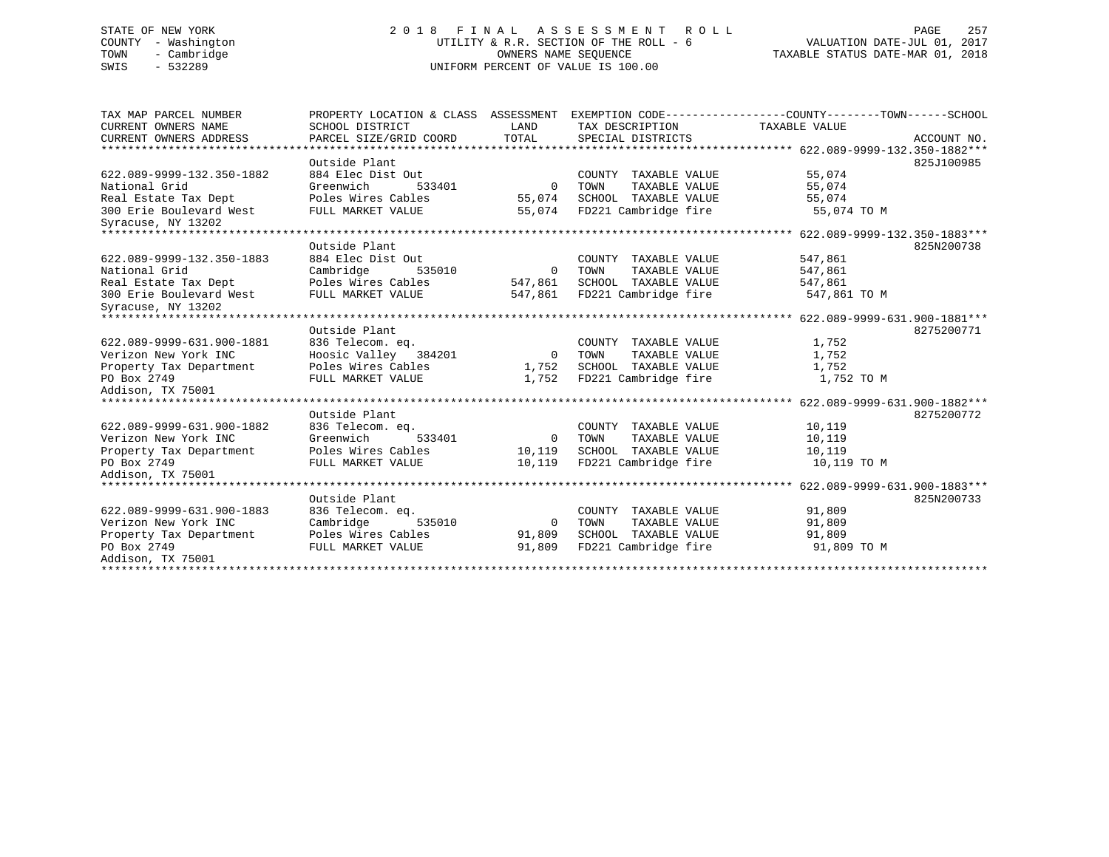# STATE OF NEW YORK 257 2018 FINAL ASSESSMENT ROLL 2012 PAGE 257 COUNTY - Washington UTILITY & R.R. SECTION OF THE ROLL - 6 VALUATION DATE-JUL 01, 2017 TOWN - Cambridge OWNERS NAME SEQUENCE TAXABLE STATUS DATE-MAR 01, 2018 SWIS - 532289 UNIFORM PERCENT OF VALUE IS 100.00

| TAX MAP PARCEL NUMBER                         | PROPERTY LOCATION & CLASS ASSESSMENT |                |                       | EXEMPTION CODE-----------------COUNTY-------TOWN------SCHOOL |
|-----------------------------------------------|--------------------------------------|----------------|-----------------------|--------------------------------------------------------------|
| CURRENT OWNERS NAME                           | SCHOOL DISTRICT                      | LAND           | TAX DESCRIPTION       | TAXABLE VALUE                                                |
| CURRENT OWNERS ADDRESS                        | PARCEL SIZE/GRID COORD               | TOTAL          | SPECIAL DISTRICTS     | ACCOUNT NO.                                                  |
|                                               |                                      |                |                       |                                                              |
|                                               | Outside Plant                        |                |                       | 825J100985                                                   |
| 622.089-9999-132.350-1882                     | 884 Elec Dist Out                    |                | COUNTY TAXABLE VALUE  | 55,074                                                       |
| National Grid                                 | Greenwich<br>533401                  | $\overline{0}$ | TOWN<br>TAXABLE VALUE | 55,074                                                       |
| Real Estate Tax Dept                          | Poles Wires Cables                   | 55,074         | SCHOOL TAXABLE VALUE  | 55,074                                                       |
| 300 Erie Boulevard West<br>Syracuse, NY 13202 | FULL MARKET VALUE                    | 55,074         | FD221 Cambridge fire  | 55,074 TO M                                                  |
|                                               |                                      |                |                       |                                                              |
|                                               | Outside Plant                        |                |                       | 825N200738                                                   |
| 622.089-9999-132.350-1883                     | 884 Elec Dist Out                    |                | COUNTY TAXABLE VALUE  | 547,861                                                      |
| National Grid                                 | Cambridge<br>535010                  | $\Omega$       | TOWN<br>TAXABLE VALUE | 547,861                                                      |
| Real Estate Tax Dept                          | Poles Wires Cables                   | 547,861        | SCHOOL TAXABLE VALUE  | 547,861                                                      |
| 300 Erie Boulevard West                       | FULL MARKET VALUE                    | 547,861        | FD221 Cambridge fire  | 547,861 TO M                                                 |
| Syracuse, NY 13202                            |                                      |                |                       |                                                              |
|                                               |                                      |                |                       |                                                              |
|                                               | Outside Plant                        |                |                       | 8275200771                                                   |
| 622.089-9999-631.900-1881                     | 836 Telecom. eq.                     |                | COUNTY TAXABLE VALUE  | 1,752                                                        |
| Verizon New York INC                          | Hoosic Valley 384201                 | $\overline{0}$ | TOWN<br>TAXABLE VALUE | 1,752                                                        |
| Property Tax Department                       | Poles Wires Cables                   | 1,752          | SCHOOL TAXABLE VALUE  | 1,752                                                        |
| PO Box 2749                                   | FULL MARKET VALUE                    | 1,752          | FD221 Cambridge fire  | 1,752 TO M                                                   |
| Addison, TX 75001                             |                                      |                |                       |                                                              |
|                                               |                                      |                |                       |                                                              |
|                                               | Outside Plant                        |                |                       | 8275200772                                                   |
| 622.089-9999-631.900-1882                     | 836 Telecom. eq.                     |                | COUNTY TAXABLE VALUE  | 10,119                                                       |
| Verizon New York INC                          | Greenwich<br>533401                  | $\mathbf{0}$   | TAXABLE VALUE<br>TOWN | 10,119                                                       |
| Property Tax Department                       | Poles Wires Cables                   | 10,119         | SCHOOL TAXABLE VALUE  | 10,119                                                       |
| PO Box 2749                                   | FULL MARKET VALUE                    | 10,119         | FD221 Cambridge fire  | 10,119 TO M                                                  |
| Addison, TX 75001                             |                                      |                |                       |                                                              |
|                                               |                                      |                |                       |                                                              |
|                                               | Outside Plant                        |                |                       | 825N200733                                                   |
| 622.089-9999-631.900-1883                     | 836 Telecom. eq.                     |                | COUNTY TAXABLE VALUE  | 91,809                                                       |
| Verizon New York INC                          | Cambridge<br>535010                  | $\overline{0}$ | TAXABLE VALUE<br>TOWN | 91,809                                                       |
| Property Tax Department                       | Poles Wires Cables                   | 91,809         | SCHOOL TAXABLE VALUE  | 91,809                                                       |
| PO Box 2749                                   | FULL MARKET VALUE                    | 91,809         | FD221 Cambridge fire  | 91,809 TO M                                                  |
| Addison, TX 75001                             |                                      |                |                       |                                                              |
|                                               |                                      |                |                       |                                                              |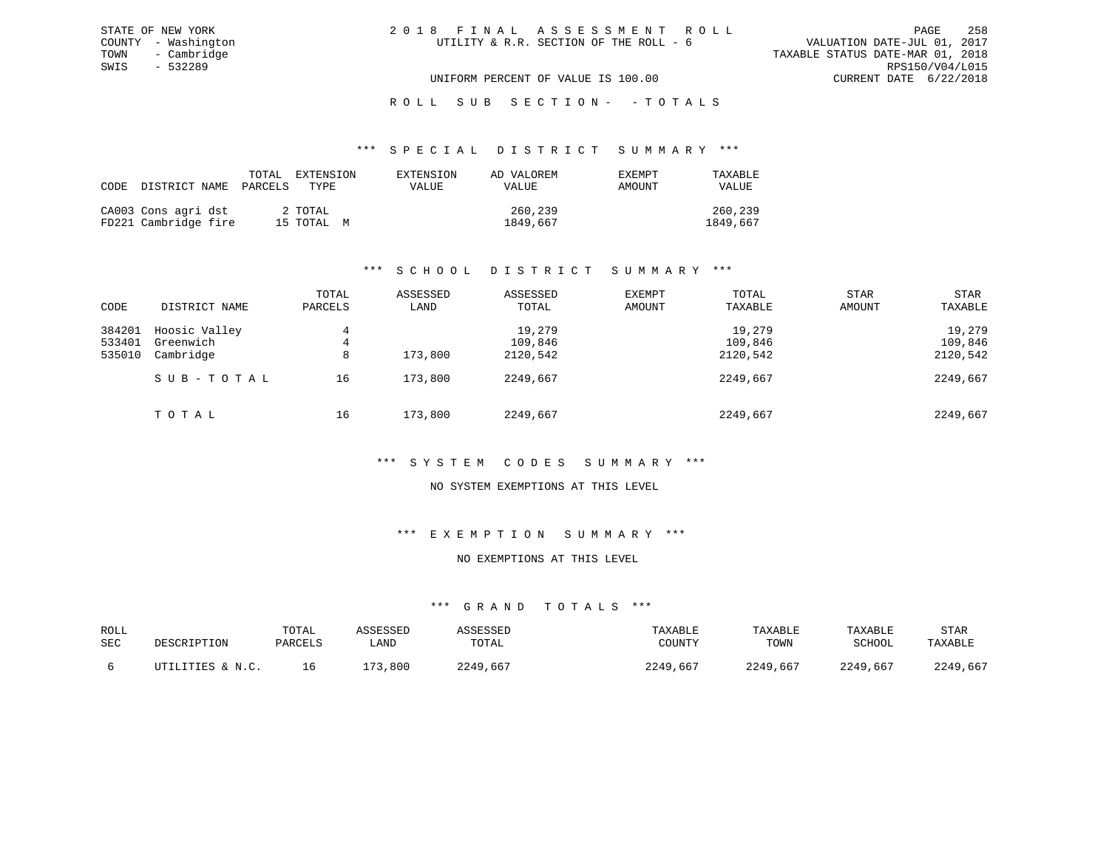# ROLL SUB SECTION - - TOTALS

#### \*\*\* S P E C I A L D I S T R I C T S U M M A R Y \*\*\*

|                                             | TOTAL<br>CODE DISTRICT NAME PARCELS | EXTENSION<br>TYPE.    | EXTENSION<br>VALUE | AD VALOREM<br>VALUE | EXEMPT<br>AMOUNT | TAXABLE<br>VALUE    |
|---------------------------------------------|-------------------------------------|-----------------------|--------------------|---------------------|------------------|---------------------|
| CA003 Cons agri dst<br>FD221 Cambridge fire |                                     | 2 TOTAL<br>15 TOTAL M |                    | 260,239<br>1849,667 |                  | 260,239<br>1849,667 |

# \*\*\* S C H O O L D I S T R I C T S U M M A R Y \*\*\*

| CODE                       | DISTRICT NAME                           | TOTAL<br>PARCELS | ASSESSED<br>LAND | ASSESSED<br>TOTAL             | <b>EXEMPT</b><br>AMOUNT | TOTAL<br>TAXABLE              | <b>STAR</b><br>AMOUNT | <b>STAR</b><br>TAXABLE        |
|----------------------------|-----------------------------------------|------------------|------------------|-------------------------------|-------------------------|-------------------------------|-----------------------|-------------------------------|
| 384201<br>533401<br>535010 | Hoosic Valley<br>Greenwich<br>Cambridge | 4<br>4<br>8      | 173,800          | 19,279<br>109,846<br>2120,542 |                         | 19,279<br>109,846<br>2120,542 |                       | 19,279<br>109,846<br>2120,542 |
|                            | SUB-TOTAL                               | 16               | 173,800          | 2249,667                      |                         | 2249,667                      |                       | 2249,667                      |
|                            | TOTAL                                   | 16               | 173,800          | 2249,667                      |                         | 2249,667                      |                       | 2249,667                      |

# \*\*\* S Y S T E M C O D E S S U M M A R Y \*\*\*

# NO SYSTEM EXEMPTIONS AT THIS LEVEL

# \*\*\* E X E M P T I O N S U M M A R Y \*\*\*

#### NO EXEMPTIONS AT THIS LEVEL

| ROLL<br>SEC | DESCRIPTION      | TOTAL<br>PARCELS | <b>LAND</b> | TOTAL    | TAXABLE<br>COUNTY | TAXABLE<br>TOWN | TAXABLE<br>SCHOOL | STAR<br><b>TAYARLE</b> |
|-------------|------------------|------------------|-------------|----------|-------------------|-----------------|-------------------|------------------------|
|             | ITTILITIES & N C |                  | 800<br>ר ה  | 2249.667 | 2249<br>,667      | 2249,667        | 2249,667          | 2249,667               |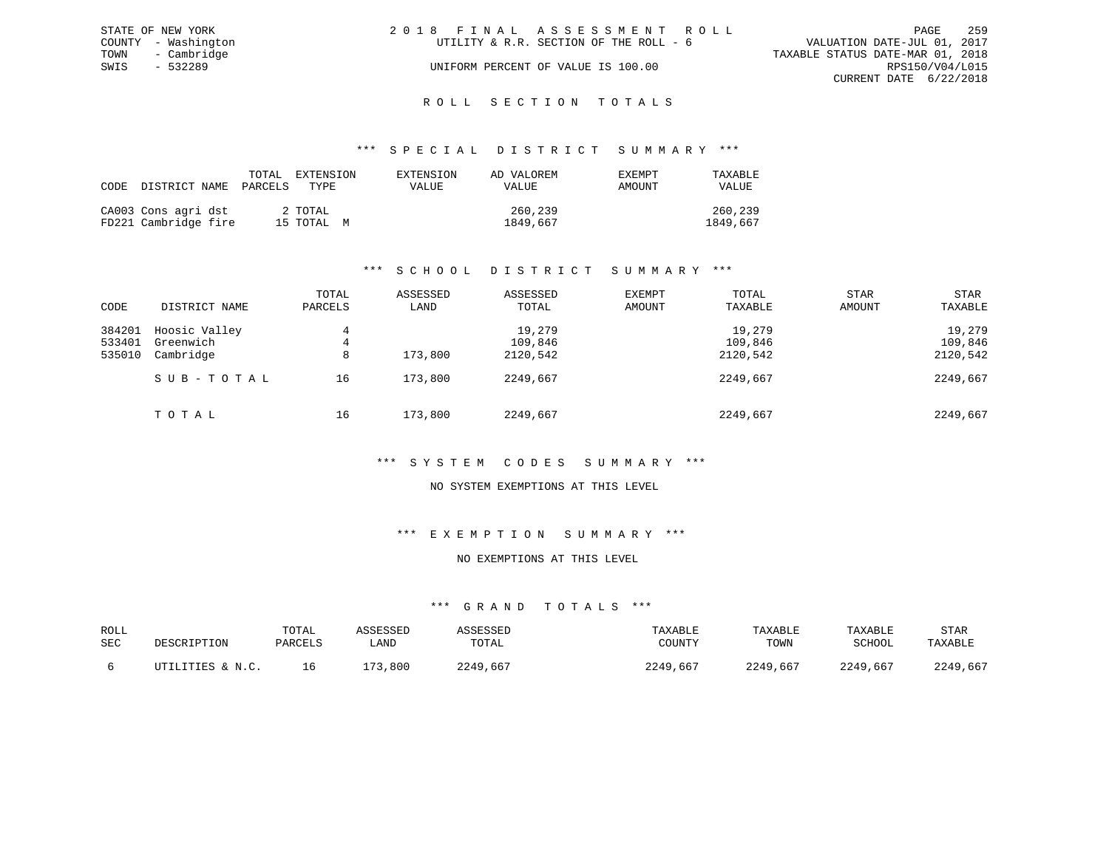|      | STATE OF NEW YORK   | 2018 FINAL ASSESSMENT ROLL |                                        |                                  |                        | PAGE | 259 |
|------|---------------------|----------------------------|----------------------------------------|----------------------------------|------------------------|------|-----|
|      | COUNTY - Washington |                            | UTILITY & R.R. SECTION OF THE ROLL - 6 | VALUATION DATE-JUL 01, 2017      |                        |      |     |
|      | TOWN - Cambridge    |                            |                                        | TAXABLE STATUS DATE-MAR 01, 2018 |                        |      |     |
| SWIS | - 532289            |                            | UNIFORM PERCENT OF VALUE IS 100.00     |                                  | RPS150/V04/L015        |      |     |
|      |                     |                            |                                        |                                  | CURRENT DATE 6/22/2018 |      |     |
|      |                     |                            |                                        |                                  |                        |      |     |

# ROLL SECTION TOTALS

#### \*\*\* S P E C I A L D I S T R I C T S U M M A R Y \*\*\*

| CODE DISTRICT NAME                          | TOTAL<br>PARCELS | EXTENSION<br>TYPE.    | EXTENSION<br>VALUE | AD VALOREM<br><b>VALUE</b> | <b>EXEMPT</b><br>AMOUNT | TAXABLE<br><b>VALUE</b> |
|---------------------------------------------|------------------|-----------------------|--------------------|----------------------------|-------------------------|-------------------------|
| CA003 Cons agri dst<br>FD221 Cambridge fire |                  | 2 TOTAL<br>15 TOTAL M |                    | 260,239<br>1849,667        |                         | 260,239<br>1849,667     |

# \*\*\* S C H O O L D I S T R I C T S U M M A R Y \*\*\*

| CODE             | DISTRICT NAME              | TOTAL<br>PARCELS | ASSESSED<br>LAND | ASSESSED<br>TOTAL | <b>EXEMPT</b><br>AMOUNT | TOTAL<br>TAXABLE  | STAR<br>AMOUNT | <b>STAR</b><br>TAXABLE |
|------------------|----------------------------|------------------|------------------|-------------------|-------------------------|-------------------|----------------|------------------------|
| 384201<br>533401 | Hoosic Valley<br>Greenwich | 4                |                  | 19,279<br>109,846 |                         | 19,279<br>109,846 |                | 19,279<br>109,846      |
| 535010           | Cambridge                  | 4<br>8           | 173,800          | 2120,542          |                         | 2120,542          |                | 2120,542               |
|                  | SUB-TOTAL                  | 16               | 173,800          | 2249,667          |                         | 2249,667          |                | 2249,667               |
|                  | TOTAL                      | 16               | 173,800          | 2249,667          |                         | 2249,667          |                | 2249,667               |

# \*\*\* S Y S T E M C O D E S S U M M A R Y \*\*\*

# NO SYSTEM EXEMPTIONS AT THIS LEVEL

### \*\*\* E X E M P T I O N S U M M A R Y \*\*\*

#### NO EXEMPTIONS AT THIS LEVEL

| ROLL<br>SEC | DESCRIPTION      | TOTAL<br>PARCELS | ASSESSED<br>LAND | ASSESSED<br>TOTAL | TAXABLE<br>COUNTY | TAXABLE<br>TOWN | TAXABLE<br>SCHOOL | STAR<br>TAXABLE |
|-------------|------------------|------------------|------------------|-------------------|-------------------|-----------------|-------------------|-----------------|
|             | UTILITIES & N.C. | 16               | 173,800          | 2249,667          | 2249,667          | 2249,667        | 2249,667          | 2249,667        |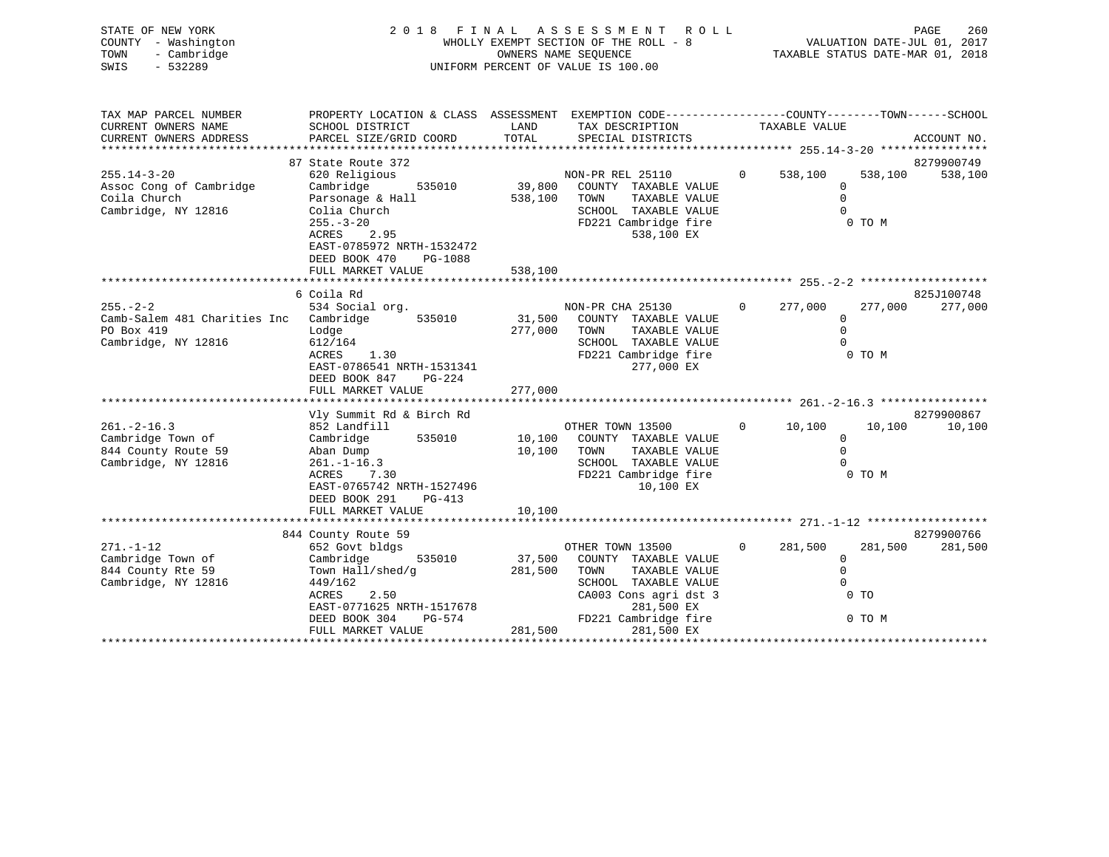| STATE OF NEW YORK<br>COUNTY - Washington<br>- Cambridge<br>TOWN<br>$-532289$<br>SWIS          |                                                                                                                                                                                             |                   | 2018 FINAL ASSESSMENT<br>ROLL<br>WHOLLY EXEMPT SECTION OF THE ROLL - 8<br>OWNERS NAME SEQUENCE<br>UNIFORM PERCENT OF VALUE IS 100.00 |                     | PAGE<br>260<br>VALUATION DATE-JUL 01, 2017<br>TAXABLE STATUS DATE-MAR 01, 2018             |
|-----------------------------------------------------------------------------------------------|---------------------------------------------------------------------------------------------------------------------------------------------------------------------------------------------|-------------------|--------------------------------------------------------------------------------------------------------------------------------------|---------------------|--------------------------------------------------------------------------------------------|
| TAX MAP PARCEL NUMBER<br>CURRENT OWNERS NAME<br>CURRENT OWNERS ADDRESS                        | PROPERTY LOCATION & CLASS ASSESSMENT EXEMPTION CODE----------------COUNTY-------TOWN------SCHOOL<br>SCHOOL DISTRICT<br>PARCEL SIZE/GRID COORD                                               | LAND<br>TOTAL     | TAX DESCRIPTION<br>SPECIAL DISTRICTS                                                                                                 | TAXABLE VALUE       | ACCOUNT NO.                                                                                |
| $255.14 - 3 - 20$<br>Assoc Cong of Cambridge<br>Coila Church<br>Cambridge, NY 12816           | 87 State Route 372<br>620 Religious<br>Cambridge<br>535010<br>Parsonage & Hall<br>Colia Church<br>$255. - 3 - 20$<br>ACRES<br>2.95<br>EAST-0785972 NRTH-1532472<br>DEED BOOK 470<br>PG-1088 | 538,100 TOWN      | NON-PR REL 25110<br>39,800 COUNTY TAXABLE VALUE<br>TAXABLE VALUE<br>SCHOOL TAXABLE VALUE<br>FD221 Cambridge fire<br>538,100 EX       | $\Omega$<br>538,100 | 8279900749<br>538,100<br>538,100<br>$\Omega$<br>$\Omega$<br>$\Omega$<br>0 TO M             |
|                                                                                               | FULL MARKET VALUE<br>6 Coila Rd                                                                                                                                                             | 538,100           |                                                                                                                                      |                     | 825J100748                                                                                 |
| $255. - 2 - 2$<br>Camb-Salem 481 Charities Inc Cambridge<br>PO Box 419<br>Cambridge, NY 12816 | 534 Social org.<br>535010<br>Lodge<br>612/164<br>ACRES<br>1.30<br>EAST-0786541 NRTH-1531341<br>DEED BOOK 847<br>PG-224                                                                      | 31,500<br>277,000 | NON-PR CHA 25130<br>COUNTY TAXABLE VALUE<br>TOWN<br>TAXABLE VALUE<br>SCHOOL TAXABLE VALUE<br>FD221 Cambridge fire<br>277,000 EX      | $\Omega$<br>277,000 | 277,000<br>277,000<br>$\mathbf{0}$<br>$\Omega$<br>$\Omega$<br>0 TO M                       |
|                                                                                               | FULL MARKET VALUE                                                                                                                                                                           | 277,000           |                                                                                                                                      |                     |                                                                                            |
| $261. - 2 - 16.3$<br>Cambridge Town of<br>844 County Route 59<br>Cambridge, NY 12816          | Vly Summit Rd & Birch Rd<br>852 Landfill<br>Cambridge<br>535010<br>Aban Dump<br>$261. - 1 - 16.3$<br>ACRES<br>7.30<br>EAST-0765742 NRTH-1527496<br>DEED BOOK 291<br>PG-413                  | 10,100<br>10,100  | OTHER TOWN 13500<br>COUNTY TAXABLE VALUE<br>TOWN<br>TAXABLE VALUE<br>SCHOOL TAXABLE VALUE<br>FD221 Cambridge fire<br>10,100 EX       | 10,100<br>$\Omega$  | 8279900867<br>10,100<br>10,100<br>$\mathbf{0}$<br>$\Omega$<br>0 TO M                       |
|                                                                                               | FULL MARKET VALUE                                                                                                                                                                           | 10,100            |                                                                                                                                      |                     |                                                                                            |
| $271. - 1 - 12$<br>Cambridge Town of<br>844 County Rte 59<br>Cambridge, NY 12816              | 844 County Route 59<br>652 Govt bldgs<br>Cambridge<br>535010<br>Town Hall/shed/g<br>449/162<br>2.50<br>ACRES<br>EAST-0771625 NRTH-1517678                                                   | 37,500<br>281,500 | OTHER TOWN 13500<br>COUNTY TAXABLE VALUE<br>TOWN<br>TAXABLE VALUE<br>SCHOOL TAXABLE VALUE<br>CA003 Cons agri dst 3<br>281,500 EX     | $\Omega$<br>281,500 | 8279900766<br>281,500<br>281,500<br>$\mathbf{0}$<br>$\Omega$<br>$\Omega$<br>0 <sub>T</sub> |

DEED BOOK 304 PG-574 FD221 Cambridge fire 0 TO M

FULL MARKET VALUE 281,500 281,500 EX \*\*\*\*\*\*\*\*\*\*\*\*\*\*\*\*\*\*\*\*\*\*\*\*\*\*\*\*\*\*\*\*\*\*\*\*\*\*\*\*\*\*\*\*\*\*\*\*\*\*\*\*\*\*\*\*\*\*\*\*\*\*\*\*\*\*\*\*\*\*\*\*\*\*\*\*\*\*\*\*\*\*\*\*\*\*\*\*\*\*\*\*\*\*\*\*\*\*\*\*\*\*\*\*\*\*\*\*\*\*\*\*\*\*\*\*\*\*\*\*\*\*\*\*\*\*\*\*\*\*\*\*

EAST-0771625 NRTH-1517678<br>DEED BOOK 304 PG-574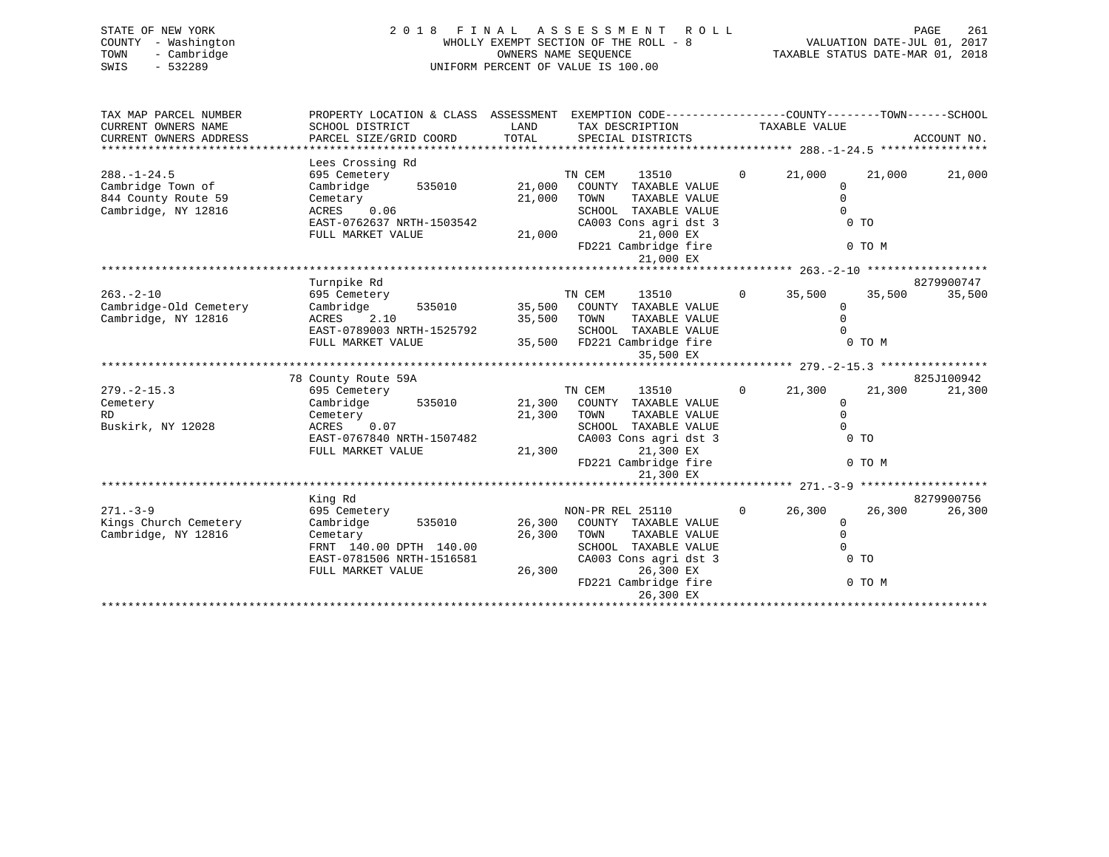| STATE OF NEW YORK   | 2018 FINAL ASSESSMENT ROLL            | 261<br>PAGE                      |
|---------------------|---------------------------------------|----------------------------------|
| COUNTY - Washington | WHOLLY EXEMPT SECTION OF THE ROLL - 8 | VALUATION DATE-JUL 01, 2017      |
| - Cambridge<br>TOWN | OWNERS NAME SEOUENCE                  | TAXABLE STATUS DATE-MAR 01, 2018 |
| SWIS<br>$-532289$   | UNIFORM PERCENT OF VALUE IS 100.00    |                                  |
|                     |                                       |                                  |

| TAX MAP PARCEL NUMBER  | PROPERTY LOCATION & CLASS ASSESSMENT EXEMPTION CODE----------------COUNTY-------TOWN-----SCHOOL |        |                       |                |                |        |             |
|------------------------|-------------------------------------------------------------------------------------------------|--------|-----------------------|----------------|----------------|--------|-------------|
| CURRENT OWNERS NAME    | SCHOOL DISTRICT                                                                                 | LAND   | TAX DESCRIPTION       |                | TAXABLE VALUE  |        |             |
| CURRENT OWNERS ADDRESS | PARCEL SIZE/GRID COORD                                                                          | TOTAL  | SPECIAL DISTRICTS     |                |                |        | ACCOUNT NO. |
|                        |                                                                                                 |        |                       |                |                |        |             |
|                        | Lees Crossing Rd                                                                                |        |                       |                |                |        |             |
| $288. - 1 - 24.5$      | 695 Cemetery                                                                                    |        | TN CEM<br>13510       | $\overline{0}$ | 21,000         | 21,000 | 21,000      |
| Cambridge Town of      | Cambridge<br>535010                                                                             | 21,000 | COUNTY TAXABLE VALUE  |                | $\mathbf 0$    |        |             |
| 844 County Route 59    | Cemetary                                                                                        | 21,000 | TOWN<br>TAXABLE VALUE |                | $\Omega$       |        |             |
| Cambridge, NY 12816    | ACRES 0.06                                                                                      |        | SCHOOL TAXABLE VALUE  |                | $\Omega$       |        |             |
|                        | EAST-0762637 NRTH-1503542                                                                       |        | CA003 Cons agri dst 3 |                | $0$ TO         |        |             |
|                        | FULL MARKET VALUE                                                                               | 21,000 | 21,000 EX             |                |                |        |             |
|                        |                                                                                                 |        | FD221 Cambridge fire  |                | 0 TO M         |        |             |
|                        |                                                                                                 |        | 21,000 EX             |                |                |        |             |
|                        |                                                                                                 |        |                       |                |                |        |             |
|                        | Turnpike Rd                                                                                     |        |                       |                |                |        | 8279900747  |
| $263. - 2 - 10$        | 695 Cemetery                                                                                    |        | TN CEM<br>13510       | $\overline{0}$ | 35,500         | 35,500 | 35,500      |
| Cambridge-Old Cemetery | Cambridge<br>535010                                                                             | 35,500 | COUNTY TAXABLE VALUE  |                | $\Omega$       |        |             |
| Cambridge, NY 12816    | 2.10<br>ACRES                                                                                   | 35,500 | TOWN<br>TAXABLE VALUE |                | $\Omega$       |        |             |
|                        | EAST-0789003 NRTH-1525792                                                                       |        | SCHOOL TAXABLE VALUE  |                |                |        |             |
|                        | FULL MARKET VALUE                                                                               | 35,500 | FD221 Cambridge fire  |                | 0 TO M         |        |             |
|                        |                                                                                                 |        | 35,500 EX             |                |                |        |             |
|                        |                                                                                                 |        |                       |                |                |        |             |
|                        | 78 County Route 59A                                                                             |        |                       |                |                |        | 825J100942  |
| $279. - 2 - 15.3$      | 695 Cemetery                                                                                    |        | TN CEM<br>13510       | $\Omega$       | 21,300         | 21,300 | 21,300      |
| Cemetery               | 535010<br>Cambridge                                                                             | 21,300 | COUNTY TAXABLE VALUE  |                | $\Omega$       |        |             |
| RD.                    | Cemetery                                                                                        | 21,300 | TOWN<br>TAXABLE VALUE |                | $\Omega$       |        |             |
| Buskirk, NY 12028      | 0.07<br>ACRES                                                                                   |        | SCHOOL TAXABLE VALUE  |                | $\Omega$       |        |             |
|                        | EAST-0767840 NRTH-1507482                                                                       |        | CA003 Cons agri dst 3 |                | 0 <sub>T</sub> |        |             |
|                        | FULL MARKET VALUE                                                                               | 21,300 | 21,300 EX             |                |                |        |             |
|                        |                                                                                                 |        | FD221 Cambridge fire  |                | 0 TO M         |        |             |
|                        |                                                                                                 |        | 21,300 EX             |                |                |        |             |
|                        |                                                                                                 |        |                       |                |                |        |             |
|                        | King Rd                                                                                         |        |                       |                |                |        | 8279900756  |
| $271 - 3 - 9$          | 695 Cemetery                                                                                    |        | NON-PR REL 25110      | $\Omega$       | 26,300         | 26,300 | 26,300      |
| Kings Church Cemetery  | Cambridge<br>535010                                                                             | 26,300 | COUNTY TAXABLE VALUE  |                | 0              |        |             |
| Cambridge, NY 12816    | Cemetary                                                                                        | 26,300 | TOWN<br>TAXABLE VALUE |                | $\mathbf 0$    |        |             |
|                        | FRNT 140.00 DPTH 140.00                                                                         |        | SCHOOL TAXABLE VALUE  |                | $\Omega$       |        |             |
|                        | EAST-0781506 NRTH-1516581                                                                       |        | CA003 Cons agri dst 3 |                | $0$ TO         |        |             |
|                        | FULL MARKET VALUE                                                                               | 26,300 | 26,300 EX             |                |                |        |             |
|                        |                                                                                                 |        | FD221 Cambridge fire  |                | 0 TO M         |        |             |
|                        |                                                                                                 |        | 26,300 EX             |                |                |        |             |
|                        |                                                                                                 |        |                       |                |                |        |             |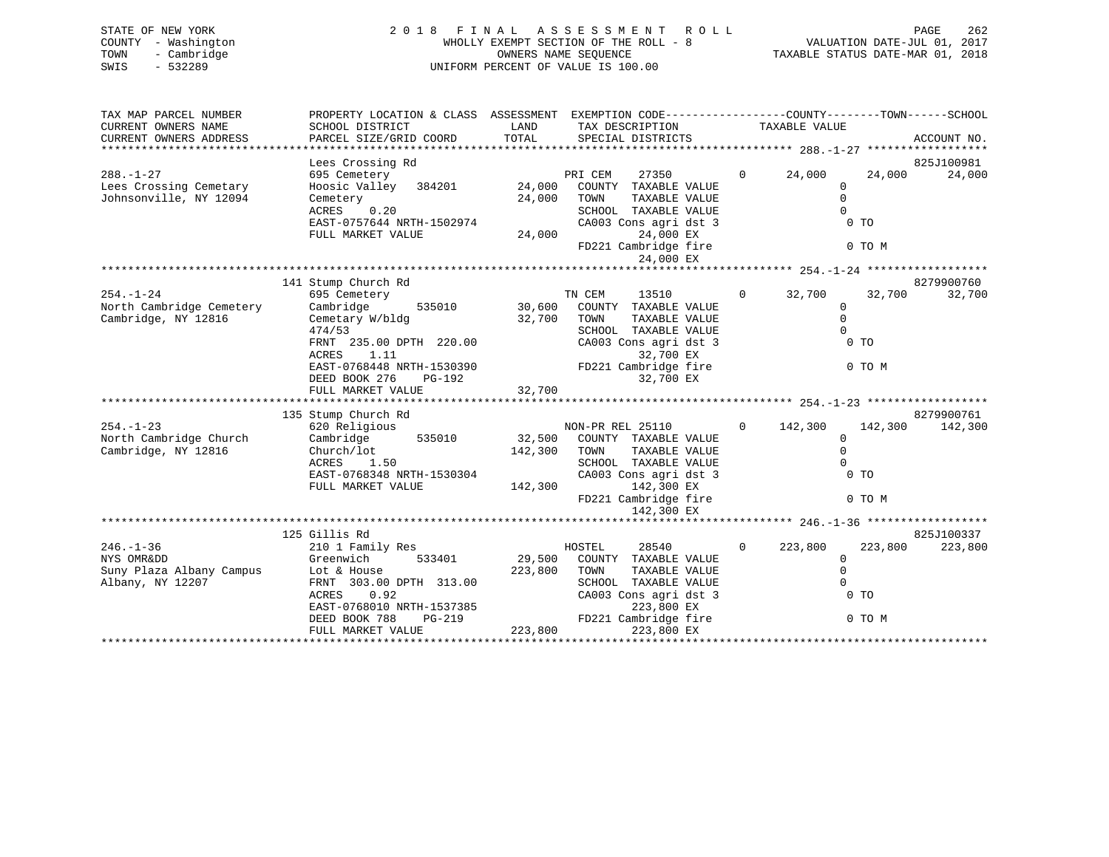| STATE OF NEW YORK   | 2018 FINAL ASSESSMENT ROLL            | 262<br>PAGE                      |
|---------------------|---------------------------------------|----------------------------------|
| COUNTY - Washington | WHOLLY EXEMPT SECTION OF THE ROLL - 8 | VALUATION DATE-JUL 01, 2017      |
| - Cambridge<br>TOWN | OWNERS NAME SEOUENCE                  | TAXABLE STATUS DATE-MAR 01, 2018 |
| SWIS<br>$-532289$   | UNIFORM PERCENT OF VALUE IS 100.00    |                                  |
|                     |                                       |                                  |

| TAX MAP PARCEL NUMBER                         |                                           |                                                                                                                                                                                                                                                                                                                                                             | PROPERTY LOCATION & CLASS ASSESSMENT EXEMPTION CODE----------------COUNTY-------TOWN------SCHOOL |
|-----------------------------------------------|-------------------------------------------|-------------------------------------------------------------------------------------------------------------------------------------------------------------------------------------------------------------------------------------------------------------------------------------------------------------------------------------------------------------|--------------------------------------------------------------------------------------------------|
| CURRENT OWNERS NAME<br>CURRENT OWNERS ADDRESS | SCHOOL DISTRICT<br>PARCEL SIZE/GRID COORD | LAND TAX DESCRIPTION                                                                                                                                                                                                                                                                                                                                        | TAXABLE VALUE<br>ACCOUNT NO.                                                                     |
|                                               |                                           | TOTAL SPECIAL DISTRICTS                                                                                                                                                                                                                                                                                                                                     |                                                                                                  |
|                                               |                                           |                                                                                                                                                                                                                                                                                                                                                             | 825J100981                                                                                       |
| $288. - 1 - 27$                               |                                           | 27350                                                                                                                                                                                                                                                                                                                                                       | $0 \t 24,000$<br>24,000<br>24,000                                                                |
| Lees Crossing Cemetary                        |                                           |                                                                                                                                                                                                                                                                                                                                                             | $\mathbf 0$                                                                                      |
| Johnsonville, NY 12094                        | Cemetery<br>ACRES 0.20                    | TAXABLE VALUE                                                                                                                                                                                                                                                                                                                                               | $\Omega$                                                                                         |
|                                               |                                           | SCHOOL TAXABLE VALUE                                                                                                                                                                                                                                                                                                                                        | $\Omega$                                                                                         |
|                                               |                                           | CA003 Cons agri dst 3<br>24,000 EX                                                                                                                                                                                                                                                                                                                          | $0$ TO                                                                                           |
|                                               |                                           | FD221 Cambridge fire                                                                                                                                                                                                                                                                                                                                        | 0 TO M                                                                                           |
|                                               |                                           | 24,000 EX                                                                                                                                                                                                                                                                                                                                                   |                                                                                                  |
|                                               |                                           |                                                                                                                                                                                                                                                                                                                                                             |                                                                                                  |
|                                               | 141 Stump Church Rd                       |                                                                                                                                                                                                                                                                                                                                                             | 8279900760                                                                                       |
| $254. - 1 - 24$                               | 695 Cemetery                              | $\begin{tabular}{lllllllll} \multicolumn{2}{c}{\textbf{TN} & \textbf{CEM} & \textbf{13510}}\\ \multicolumn{2}{c}{\textbf{535010}} & \multicolumn{2}{c}{\textbf{30,600}} & \textbf{COUNTY} & \textbf{TXABLE VALUE} \end{tabular}$                                                                                                                            | $0 \t 32,700$<br>32,700<br>32,700                                                                |
| North Cambridge Cemetery                      | Cambridge                                 |                                                                                                                                                                                                                                                                                                                                                             | $\mathbf{0}$                                                                                     |
| Cambridge, NY 12816                           | Cemetary W/bldg 32,700 TOWN<br>474/53     | TAXABLE VALUE<br>SCHOOL TAXABLE VALUE                                                                                                                                                                                                                                                                                                                       | $\mathbf 0$<br>$\bigcap$                                                                         |
|                                               |                                           | FRNT 235.00 DPTH 220.00 CA003 Cons agri dst 3                                                                                                                                                                                                                                                                                                               | 0 TO                                                                                             |
|                                               |                                           |                                                                                                                                                                                                                                                                                                                                                             |                                                                                                  |
|                                               |                                           |                                                                                                                                                                                                                                                                                                                                                             | 0 TO M                                                                                           |
|                                               |                                           |                                                                                                                                                                                                                                                                                                                                                             |                                                                                                  |
|                                               |                                           | $\begin{tabular}{lllllllllll} & & & & & & & . & . & . & . & . & . \\ \hline EAST-0768448 \; NRTH-1530390 & & & & & 32,700 \; \; \text{EX} \\ DEED \; \; \text{BOOK} \; \; 276 \; & & \; \text{PG}-192 & & & & 32,700 \; \; \text{EX} \\ FULL \; \; \; \text{MARKET} \; \; \text{VALUE} & & & 32,700 \; \; \text{EX} \\ & & & & 32,700 \; \; \text{EX} \\ &$ |                                                                                                  |
|                                               |                                           |                                                                                                                                                                                                                                                                                                                                                             |                                                                                                  |
| $254. - 1 - 23$                               | 135 Stump Church Rd                       |                                                                                                                                                                                                                                                                                                                                                             | 8279900761                                                                                       |
| North Cambridge Church                        |                                           | 620 Religious 1935010 MON-PR REL 25110 (Cambridge 1935010 12,500 COUNTY TAXABLE VALUE                                                                                                                                                                                                                                                                       | $0 \qquad 142,300 \qquad 142,300$<br>142,300<br>$\Omega$                                         |
| Cambridge, NY 12816                           | Church/lot                                | 142,300 TOWN<br>TAXABLE VALUE                                                                                                                                                                                                                                                                                                                               | $\Omega$                                                                                         |
|                                               | 1.50<br>ACRES                             | SCHOOL TAXABLE VALUE                                                                                                                                                                                                                                                                                                                                        | $\Omega$                                                                                         |
|                                               | EAST-0768348 NRTH-1530304                 | CA003 Cons agri dst 3                                                                                                                                                                                                                                                                                                                                       | $0$ TO                                                                                           |
|                                               | FULL MARKET VALUE                         | 142,300 142,300 EX                                                                                                                                                                                                                                                                                                                                          |                                                                                                  |
|                                               |                                           |                                                                                                                                                                                                                                                                                                                                                             | FD221 Cambridge fire 0 TO M                                                                      |
|                                               |                                           | 142,300 EX                                                                                                                                                                                                                                                                                                                                                  |                                                                                                  |
|                                               | 125 Gillis Rd                             |                                                                                                                                                                                                                                                                                                                                                             | 825J100337                                                                                       |
| $246. - 1 - 36$                               | 210 1 Family Res                          | HOSTEL<br>28540                                                                                                                                                                                                                                                                                                                                             | $0 \t 223,800$<br>223,800<br>223,800                                                             |
| NYS OMRⅅ                                      | Greenwich                                 | 533401 29,500 COUNTY TAXABLE VALUE                                                                                                                                                                                                                                                                                                                          | $\Omega$                                                                                         |
| Suny Plaza Albany Campus Lot & House          |                                           | 223,800 TOWN<br>TAXABLE VALUE                                                                                                                                                                                                                                                                                                                               | $\overline{0}$                                                                                   |
| Albany, NY 12207                              | FRNT 303.00 DPTH 313.00                   | SCHOOL TAXABLE VALUE                                                                                                                                                                                                                                                                                                                                        | $\Omega$                                                                                         |
|                                               | ACRES 0.92                                | CA003 Cons agri dst 3                                                                                                                                                                                                                                                                                                                                       | 0 <sub>T</sub>                                                                                   |
|                                               |                                           |                                                                                                                                                                                                                                                                                                                                                             |                                                                                                  |
|                                               |                                           | EAST-0768010 NRTH-1537385<br>DEED BOOK 788 PG-219 FD221 Cambridge fire                                                                                                                                                                                                                                                                                      | $0$ TO M                                                                                         |
|                                               | FULL MARKET VALUE                         | 223,800<br>223,800 EX                                                                                                                                                                                                                                                                                                                                       |                                                                                                  |
|                                               |                                           |                                                                                                                                                                                                                                                                                                                                                             |                                                                                                  |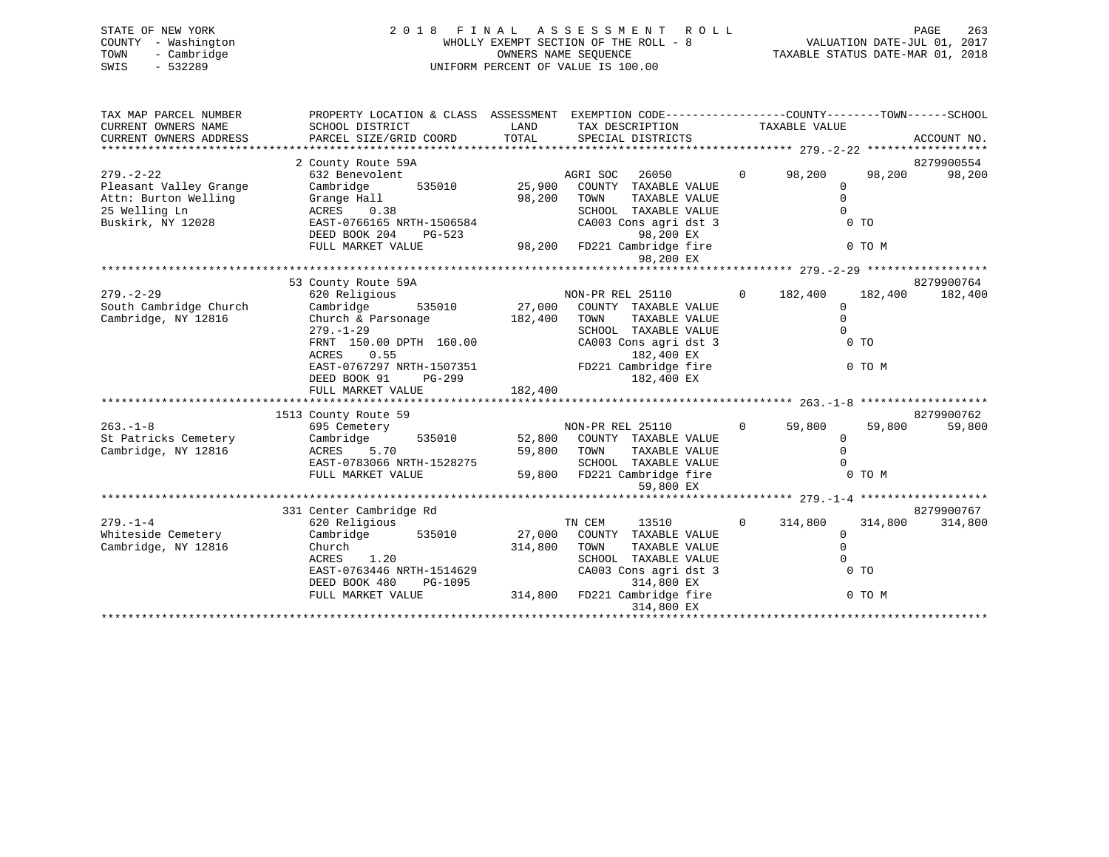| STATE OF NEW YORK   | 2018 FINAL ASSESSMENT ROLL            | 263<br>PAGE                      |
|---------------------|---------------------------------------|----------------------------------|
| COUNTY - Washington | WHOLLY EXEMPT SECTION OF THE ROLL - 8 | VALUATION DATE-JUL 01, 2017      |
| - Cambridge<br>TOWN | OWNERS NAME SEOUENCE                  | TAXABLE STATUS DATE-MAR 01, 2018 |
| $-532289$<br>SWIS   | UNIFORM PERCENT OF VALUE IS 100.00    |                                  |
|                     |                                       |                                  |
|                     |                                       |                                  |

| TAX MAP PARCEL NUMBER  | PROPERTY LOCATION & CLASS ASSESSMENT EXEMPTION CODE--------------COUNTY-------TOWN-----SCHOOL |         |                                          |                |                |         |             |
|------------------------|-----------------------------------------------------------------------------------------------|---------|------------------------------------------|----------------|----------------|---------|-------------|
| CURRENT OWNERS NAME    | SCHOOL DISTRICT                                                                               | LAND    | TAX DESCRIPTION                          |                | TAXABLE VALUE  |         |             |
| CURRENT OWNERS ADDRESS | PARCEL SIZE/GRID COORD                                                                        | TOTAL   | SPECIAL DISTRICTS                        |                |                |         | ACCOUNT NO. |
|                        |                                                                                               |         |                                          |                |                |         |             |
|                        | 2 County Route 59A                                                                            |         |                                          |                |                |         | 8279900554  |
| $279. - 2 - 22$        | 632 Benevolent                                                                                |         | 26050<br>AGRI SOC                        |                | $0 \t 98,200$  | 98,200  | 98,200      |
| Pleasant Valley Grange | Cambridge<br>535010                                                                           | 25,900  | COUNTY TAXABLE VALUE                     |                | $\mathbf{0}$   |         |             |
| Attn: Burton Welling   | Grange Hall                                                                                   | 98,200  | TOWN<br>TAXABLE VALUE                    |                | $\Omega$       |         |             |
| 25 Welling Ln          | ACRES 0.38                                                                                    |         | SCHOOL TAXABLE VALUE                     |                | $\Omega$       |         |             |
| Buskirk, NY 12028      | EAST-0766165 NRTH-1506584                                                                     |         | CA003 Cons agri dst 3                    |                | 0 <sub>T</sub> |         |             |
|                        | DEED BOOK 204<br>PG-523                                                                       |         | 98,200 EX                                |                |                |         |             |
|                        | FULL MARKET VALUE                                                                             |         | 98,200 EX<br>98,200 FD221 Cambridge fire |                | 0 TO M         |         |             |
|                        |                                                                                               |         | 98,200 EX                                |                |                |         |             |
|                        |                                                                                               |         |                                          |                |                |         |             |
|                        | 53 County Route 59A                                                                           |         |                                          |                |                |         | 8279900764  |
| $279. - 2 - 29$        | 620 Religious                                                                                 |         | NON-PR REL 25110                         |                | $0 \t 182,400$ | 182,400 | 182,400     |
| South Cambridge Church | Cambridge                                                                                     |         | 535010 27,000 COUNTY TAXABLE VALUE       |                | $\Omega$       |         |             |
| Cambridge, NY 12816    | Church & Parsonage 182,400 TOWN                                                               |         | TAXABLE VALUE                            |                | $\Omega$       |         |             |
|                        | $279. - 1 - 29$                                                                               |         | SCHOOL TAXABLE VALUE                     |                | $\Omega$       |         |             |
|                        | FRNT 150.00 DPTH 160.00                                                                       |         | CA003 Cons agri dst 3                    |                | 0 <sub>T</sub> |         |             |
|                        | ACRES 0.55                                                                                    |         | 182,400 EX                               |                |                |         |             |
|                        | EAST-0767297 NRTH-1507351 FD221 Cambridge fire                                                |         |                                          |                | 0 TO M         |         |             |
|                        | DEED BOOK 91<br>PG-299                                                                        |         | 182,400 EX                               |                |                |         |             |
|                        | FULL MARKET VALUE                                                                             | 182,400 |                                          |                |                |         |             |
|                        |                                                                                               |         |                                          |                |                |         |             |
|                        | 1513 County Route 59                                                                          |         |                                          |                |                |         | 8279900762  |
| $263. -1 - 8$          | 695 Cemetery                                                                                  |         | NON-PR REL 25110                         | $\Omega$       | 59,800         | 59,800  | 59,800      |
| St Patricks Cemetery   | Cambridge<br>535010                                                                           |         | 52,800 COUNTY TAXABLE VALUE              |                | $\Omega$       |         |             |
| Cambridge, NY 12816    | 5.70<br>ACRES                                                                                 |         | 59,800 TOWN<br>TAXABLE VALUE             |                | $\Omega$       |         |             |
|                        | EAST-0783066 NRTH-1528275                                                                     |         | SCHOOL TAXABLE VALUE                     |                |                |         |             |
|                        | FULL MARKET VALUE                                                                             |         | 59,800 FD221 Cambridge fire              |                | 0 TO M         |         |             |
|                        |                                                                                               |         | 59,800 EX                                |                |                |         |             |
|                        |                                                                                               |         |                                          |                |                |         |             |
|                        | 331 Center Cambridge Rd                                                                       |         |                                          |                |                |         | 8279900767  |
| $279. - 1 - 4$         | 620 Religious                                                                                 |         | TN CEM<br>13510                          | $\overline{0}$ | 314,800        | 314,800 | 314,800     |
| Whiteside Cemetery     | Cambridge 535010                                                                              |         | 27,000 COUNTY TAXABLE VALUE              |                | $\mathbf{0}$   |         |             |
| Cambridge, NY 12816    | Church                                                                                        | 314,800 | TOWN<br>TAXABLE VALUE                    |                | $\Omega$       |         |             |
|                        | ACRES<br>1.20                                                                                 |         | SCHOOL TAXABLE VALUE                     |                | $\cap$         |         |             |
|                        | EAST-0763446 NRTH-1514629                                                                     |         | CA003 Cons agri dst 3                    |                | 0 <sub>T</sub> |         |             |
|                        | DEED BOOK 480<br>PG-1095                                                                      |         | 314,800 EX                               |                |                |         |             |
|                        | FULL MARKET VALUE                                                                             |         | 314,800 FD221 Cambridge fire             |                | 0 TO M         |         |             |
|                        |                                                                                               |         | 314,800 EX                               |                |                |         |             |
|                        |                                                                                               |         |                                          |                |                |         |             |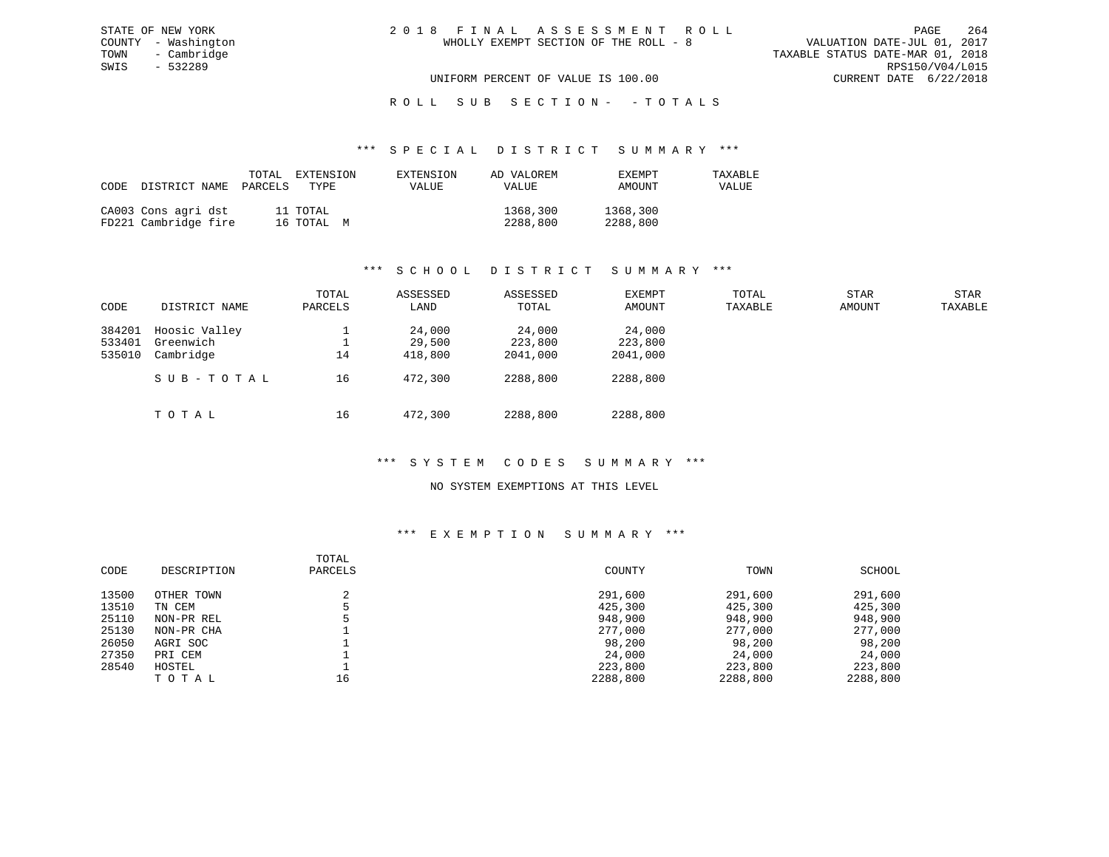# UNIFORM PERCENT OF VALUE IS 100.00 CURRENT DATE 6/22/2018

# R O L L S U B S E C T I O N - - T O T A L S

# \*\*\* S P E C I A L D I S T R I C T S U M M A R Y \*\*\*

| CODE | DISTRICT NAME                               | TOTAL<br>PARCELS | EXTENSION<br>TYPE      | EXTENSION<br>VALUE | AD VALOREM<br><b>VALUE</b> | <b>EXEMPT</b><br>AMOUNT | TAXABLE<br>VALUE |
|------|---------------------------------------------|------------------|------------------------|--------------------|----------------------------|-------------------------|------------------|
|      | CA003 Cons agri dst<br>FD221 Cambridge fire |                  | 11 TOTAL<br>16 TOTAL M |                    | 1368,300<br>2288,800       | 1368,300<br>2288,800    |                  |

# \*\*\* S C H O O L D I S T R I C T S U M M A R Y \*\*\*

| CODE                       | DISTRICT NAME                                        | TOTAL<br>PARCELS | ASSESSED<br>LAND                       | ASSESSED<br>TOTAL                         | EXEMPT<br>AMOUNT                          | TOTAL<br>TAXABLE | STAR<br>AMOUNT | STAR<br>TAXABLE |
|----------------------------|------------------------------------------------------|------------------|----------------------------------------|-------------------------------------------|-------------------------------------------|------------------|----------------|-----------------|
| 384201<br>533401<br>535010 | Hoosic Valley<br>Greenwich<br>Cambridge<br>SUB-TOTAL | 14<br>16         | 24,000<br>29,500<br>418,800<br>472,300 | 24,000<br>223,800<br>2041,000<br>2288,800 | 24,000<br>223,800<br>2041,000<br>2288,800 |                  |                |                 |
|                            | тотаь                                                | 16               | 472,300                                | 2288,800                                  | 2288,800                                  |                  |                |                 |

# \*\*\* S Y S T E M C O D E S S U M M A R Y \*\*\*

# NO SYSTEM EXEMPTIONS AT THIS LEVEL

| CODE  | DESCRIPTION | TOTAL<br>PARCELS | COUNTY   | TOWN     | SCHOOL   |
|-------|-------------|------------------|----------|----------|----------|
| 13500 | OTHER TOWN  |                  | 291,600  | 291,600  | 291,600  |
| 13510 | TN CEM      |                  | 425,300  | 425,300  | 425,300  |
| 25110 | NON-PR REL  |                  | 948,900  | 948,900  | 948,900  |
| 25130 | NON-PR CHA  |                  | 277,000  | 277,000  | 277,000  |
| 26050 | AGRI SOC    |                  | 98,200   | 98,200   | 98,200   |
| 27350 | PRI CEM     |                  | 24,000   | 24,000   | 24,000   |
| 28540 | HOSTEL      |                  | 223,800  | 223,800  | 223,800  |
|       | TOTAL       | 16               | 2288,800 | 2288,800 | 2288,800 |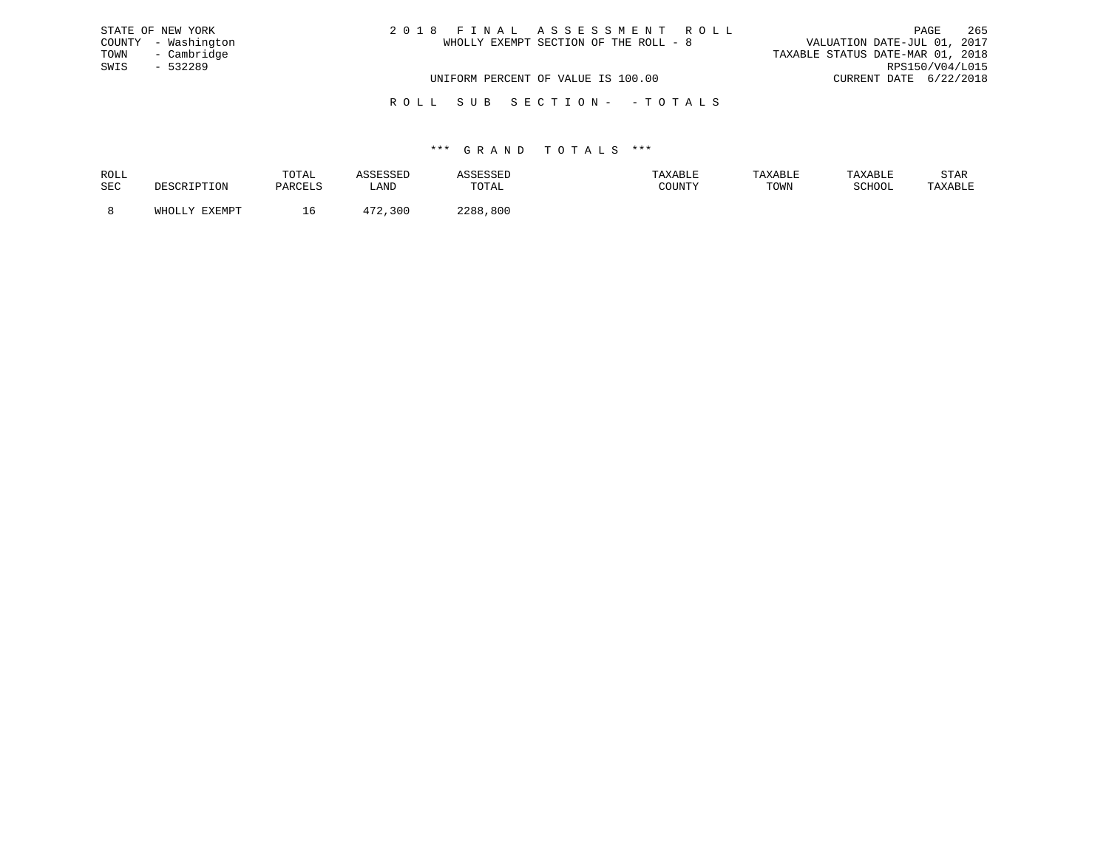| STATE OF NEW YORK   | 2018 FINAL ASSESSMENT ROLL            | 265<br>PAGE                      |
|---------------------|---------------------------------------|----------------------------------|
| COUNTY - Washington | WHOLLY EXEMPT SECTION OF THE ROLL - 8 | VALUATION DATE-JUL 01, 2017      |
| TOWN<br>- Cambridge |                                       | TAXABLE STATUS DATE-MAR 01, 2018 |
| SWIS<br>$-532289$   |                                       | RPS150/V04/L015                  |
|                     | UNIFORM PERCENT OF VALUE IS 100.00    | CURRENT DATE 6/22/2018           |
|                     |                                       |                                  |

R O L L S U B S E C T I O N - - T O T A L S

| ROLL |                        | TOTAL                        |             | SESSED   |        | TAXABLE | TAXARI.F | STAR    |
|------|------------------------|------------------------------|-------------|----------|--------|---------|----------|---------|
| SEC  |                        | $DA$ $R$ $R$ $T$ $T$ $T$ $T$ | <b>ANTT</b> | TOTAL    | COUNTY | TOWN    | SCHOOL   | TAXABLE |
|      | <b>TYTMDT</b><br>™HOT. |                              | 30C         | 2288,800 |        |         |          |         |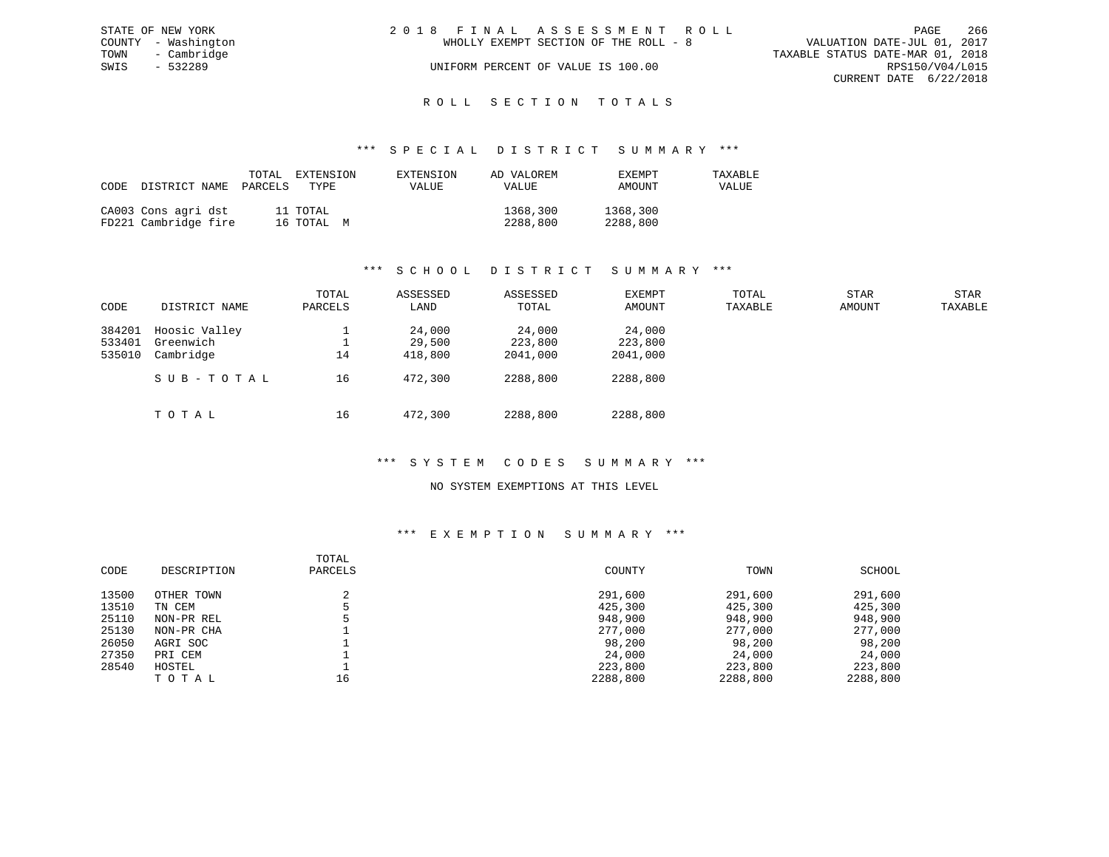|      | STATE OF NEW YORK   | 2018 FINAL ASSESSMENT ROLL |                                       |                                  | PAGE                   | 266 |
|------|---------------------|----------------------------|---------------------------------------|----------------------------------|------------------------|-----|
|      | COUNTY - Washington |                            | WHOLLY EXEMPT SECTION OF THE ROLL - 8 | VALUATION DATE-JUL 01, 2017      |                        |     |
| TOWN | - Cambridge         |                            |                                       | TAXABLE STATUS DATE-MAR 01, 2018 |                        |     |
| SWIS | - 532289            |                            | UNIFORM PERCENT OF VALUE IS 100.00    |                                  | RPS150/V04/L015        |     |
|      |                     |                            |                                       |                                  | CURRENT DATE 6/22/2018 |     |
|      |                     |                            |                                       |                                  |                        |     |

# ROLL SECTION TOTALS

#### \*\*\* S P E C I A L D I S T R I C T S U M M A R Y \*\*\*

| CODE | DISTRICT NAME                               | TOTAL<br>PARCELS | EXTENSION<br>TYPE      | EXTENSION<br>VALUE | AD VALOREM<br>VALUE  | EXEMPT<br>AMOUNT     | TAXABLE<br>VALUE |
|------|---------------------------------------------|------------------|------------------------|--------------------|----------------------|----------------------|------------------|
|      | CA003 Cons agri dst<br>FD221 Cambridge fire |                  | 11 TOTAL<br>16 TOTAL M |                    | 1368,300<br>2288,800 | 1368,300<br>2288,800 |                  |

# \*\*\* S C H O O L D I S T R I C T S U M M A R Y \*\*\*

| CODE             | DISTRICT NAME              | TOTAL<br>PARCELS | ASSESSED<br>LAND | ASSESSED<br>TOTAL | EXEMPT<br>AMOUNT  | TOTAL<br>TAXABLE | <b>STAR</b><br>AMOUNT | STAR<br>TAXABLE |
|------------------|----------------------------|------------------|------------------|-------------------|-------------------|------------------|-----------------------|-----------------|
| 384201<br>533401 | Hoosic Valley<br>Greenwich |                  | 24,000<br>29,500 | 24,000<br>223,800 | 24,000<br>223,800 |                  |                       |                 |
| 535010           | Cambridge                  | 14               | 418,800          | 2041,000          | 2041,000          |                  |                       |                 |
|                  | SUB-TOTAL                  | 16               | 472,300          | 2288,800          | 2288,800          |                  |                       |                 |
|                  | TOTAL                      | 16               | 472,300          | 2288,800          | 2288,800          |                  |                       |                 |

# \*\*\* S Y S T E M C O D E S S U M M A R Y \*\*\*

#### NO SYSTEM EXEMPTIONS AT THIS LEVEL

|       |             | TOTAL   |          |          |          |
|-------|-------------|---------|----------|----------|----------|
| CODE  | DESCRIPTION | PARCELS | COUNTY   | TOWN     | SCHOOL   |
| 13500 | OTHER TOWN  | ◠       | 291,600  | 291,600  | 291,600  |
| 13510 | TN CEM      |         | 425,300  | 425,300  | 425,300  |
| 25110 | NON-PR REL  |         | 948,900  | 948,900  | 948,900  |
| 25130 | NON-PR CHA  |         | 277,000  | 277,000  | 277,000  |
| 26050 | AGRI SOC    |         | 98,200   | 98,200   | 98,200   |
| 27350 | PRI CEM     |         | 24,000   | 24,000   | 24,000   |
| 28540 | HOSTEL      |         | 223,800  | 223,800  | 223,800  |
|       | TOTAL       | 16      | 2288,800 | 2288,800 | 2288,800 |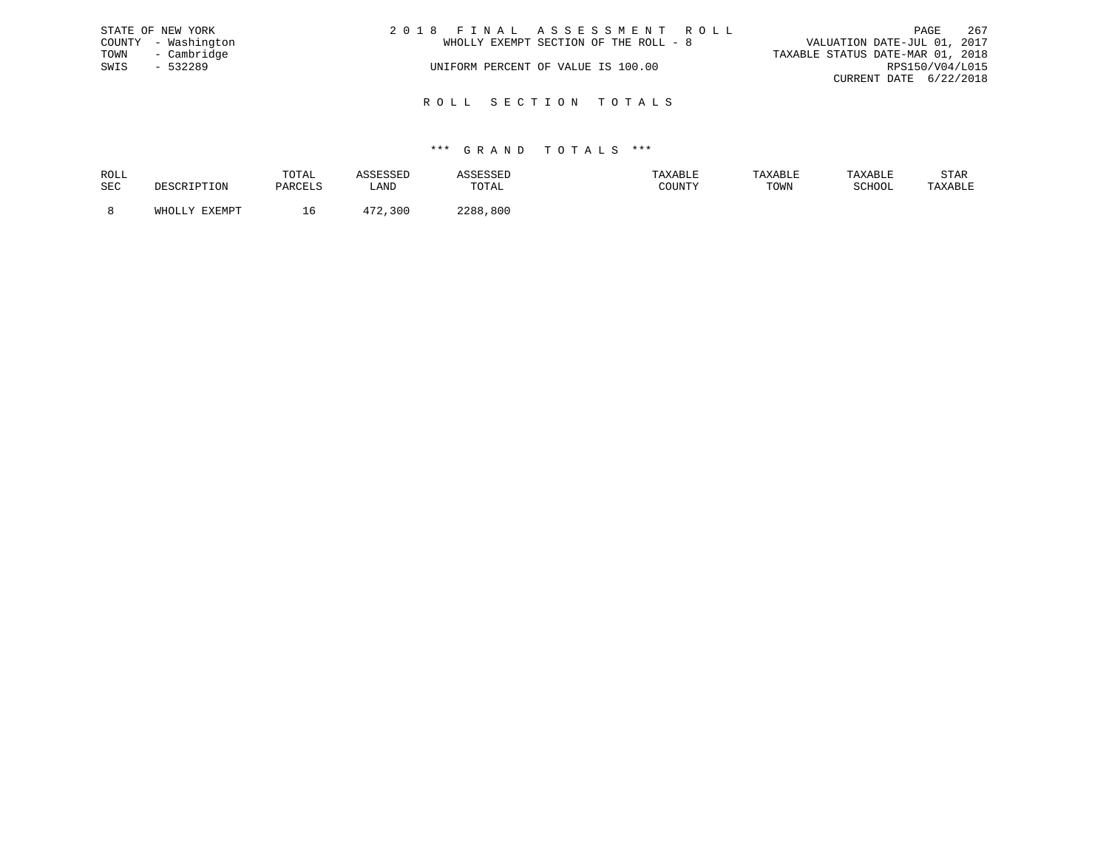|      | STATE OF NEW YORK   | 2018 FINAL ASSESSMENT ROLL            | 267<br>PAGE                      |
|------|---------------------|---------------------------------------|----------------------------------|
|      | COUNTY - Washington | WHOLLY EXEMPT SECTION OF THE ROLL - 8 | VALUATION DATE-JUL 01, 2017      |
|      | TOWN - Cambridge    |                                       | TAXABLE STATUS DATE-MAR 01, 2018 |
| SWIS | - 532289            | UNIFORM PERCENT OF VALUE IS 100.00    | RPS150/V04/L015                  |
|      |                     |                                       | CURRENT DATE 6/22/2018           |
|      |                     |                                       |                                  |

R O L L S E C T I O N T O T A L S

| ROLL |        | TOTAL |      | .           | <b>AXABLF</b> | "ABL. |        | STAR    |
|------|--------|-------|------|-------------|---------------|-------|--------|---------|
| SEC  |        |       | ∴AND | TOTAL       | CCTNTM        | TOWN  | SCHOOL | 'AXABLE |
|      |        |       |      |             |               |       |        |         |
|      | FYFMDT |       |      | 800<br>ววฉฉ |               |       |        |         |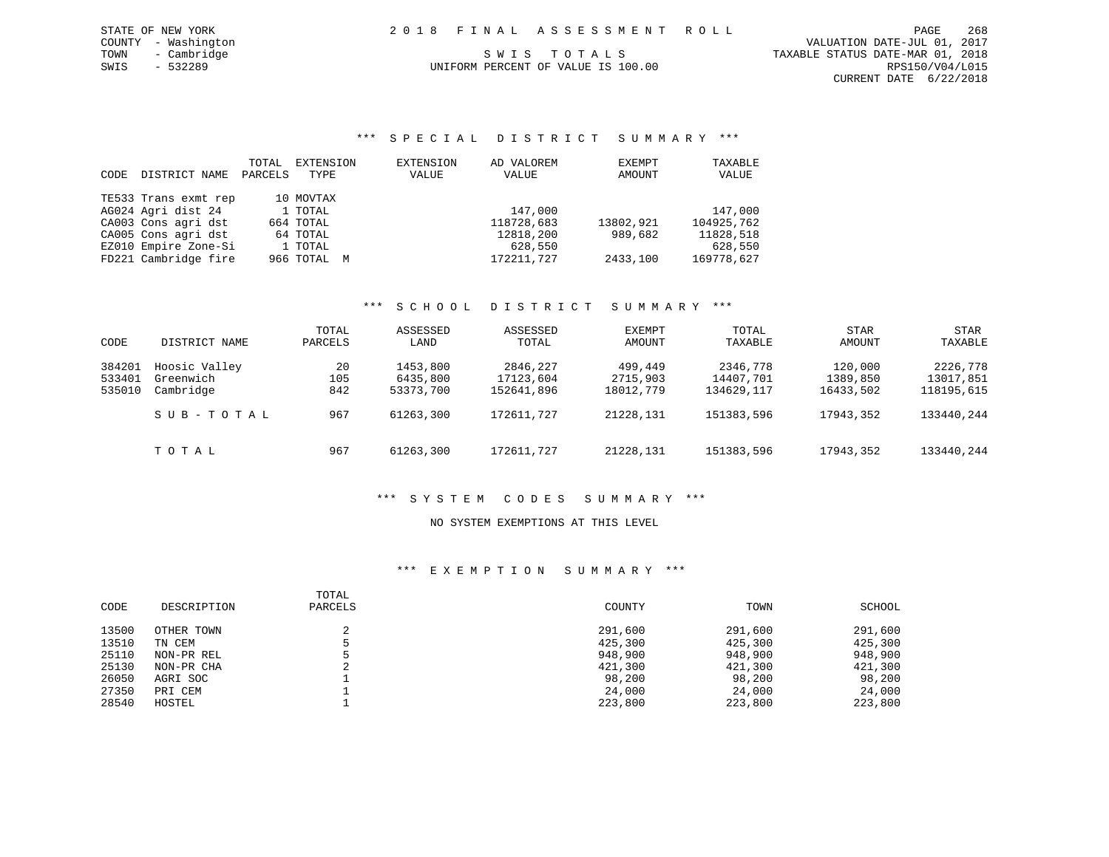COUNTY - Washington VALUATION DATE-JUL 01, 2017 TOWN - Cambridge TOWN - Cambridge S W I S T O T A L S TOO TO TOWN - CAMBLE STATUS DATE-MAR 01, 2018<br>TAXABLE STATUS DATE-MAR 01, 2018 CURRENT DATE 6/22/2018

# UNIFORM PERCENT OF VALUE IS 100.00

# \*\*\* S P E C I A L D I S T R I C T S U M M A R Y \*\*\*

| CODE | DISTRICT NAME        | TOTAL<br>PARCELS | EXTENSION<br>TYPE | EXTENSION<br>VALUE | AD VALOREM<br>VALUE | EXEMPT<br>AMOUNT | TAXABLE<br>VALUE |
|------|----------------------|------------------|-------------------|--------------------|---------------------|------------------|------------------|
|      | TE533 Trans exmt rep |                  | 10 MOVTAX         |                    |                     |                  |                  |
|      | AG024 Agri dist 24   |                  | 1 TOTAL           |                    | 147,000             |                  | 147,000          |
|      | CA003 Cons agri dst  |                  | 664 TOTAL         |                    | 118728,683          | 13802,921        | 104925,762       |
|      | CA005 Cons agri dst  |                  | 64 TOTAL          |                    | 12818,200           | 989,682          | 11828,518        |
|      | EZ010 Empire Zone-Si |                  | 1 TOTAL           |                    | 628,550             |                  | 628,550          |
|      | FD221 Cambridge fire |                  | 966 TOTAL M       |                    | 172211,727          | 2433,100         | 169778,627       |

### \*\*\* S C H O O L D I S T R I C T S U M M A R Y \*\*\*

| CODE   | DISTRICT NAME | TOTAL<br>PARCELS | ASSESSED<br>LAND | ASSESSED<br>TOTAL | EXEMPT<br>AMOUNT | TOTAL<br>TAXABLE | STAR<br>AMOUNT | STAR<br>TAXABLE |
|--------|---------------|------------------|------------------|-------------------|------------------|------------------|----------------|-----------------|
| 384201 | Hoosic Valley | 20               | 1453,800         | 2846,227          | 499,449          | 2346,778         | 120,000        | 2226,778        |
| 533401 | Greenwich     | 105              | 6435,800         | 17123,604         | 2715,903         | 14407,701        | 1389,850       | 13017,851       |
| 535010 | Cambridge     | 842              | 53373,700        | 152641,896        | 18012,779        | 134629, 117      | 16433,502      | 118195,615      |
|        | SUB-TOTAL     | 967              | 61263,300        | 172611,727        | 21228,131        | 151383,596       | 17943,352      | 133440,244      |
|        | TOTAL         | 967              | 61263,300        | 172611,727        | 21228,131        | 151383,596       | 17943,352      | 133440,244      |

### \*\*\* S Y S T E M C O D E S S U M M A R Y \*\*\*

### NO SYSTEM EXEMPTIONS AT THIS LEVEL

| CODE  | DESCRIPTION | TOTAL<br>PARCELS | COUNTY  | TOWN    | SCHOOL  |
|-------|-------------|------------------|---------|---------|---------|
| 13500 | OTHER TOWN  | ▵                | 291,600 | 291,600 | 291,600 |
| 13510 | TN CEM      |                  | 425,300 | 425,300 | 425,300 |
| 25110 | NON-PR REL  |                  | 948,900 | 948,900 | 948,900 |
| 25130 | NON-PR CHA  |                  | 421,300 | 421,300 | 421,300 |
| 26050 | AGRI SOC    |                  | 98,200  | 98,200  | 98,200  |
| 27350 | PRI CEM     |                  | 24,000  | 24,000  | 24,000  |
| 28540 | HOSTEL      |                  | 223,800 | 223,800 | 223,800 |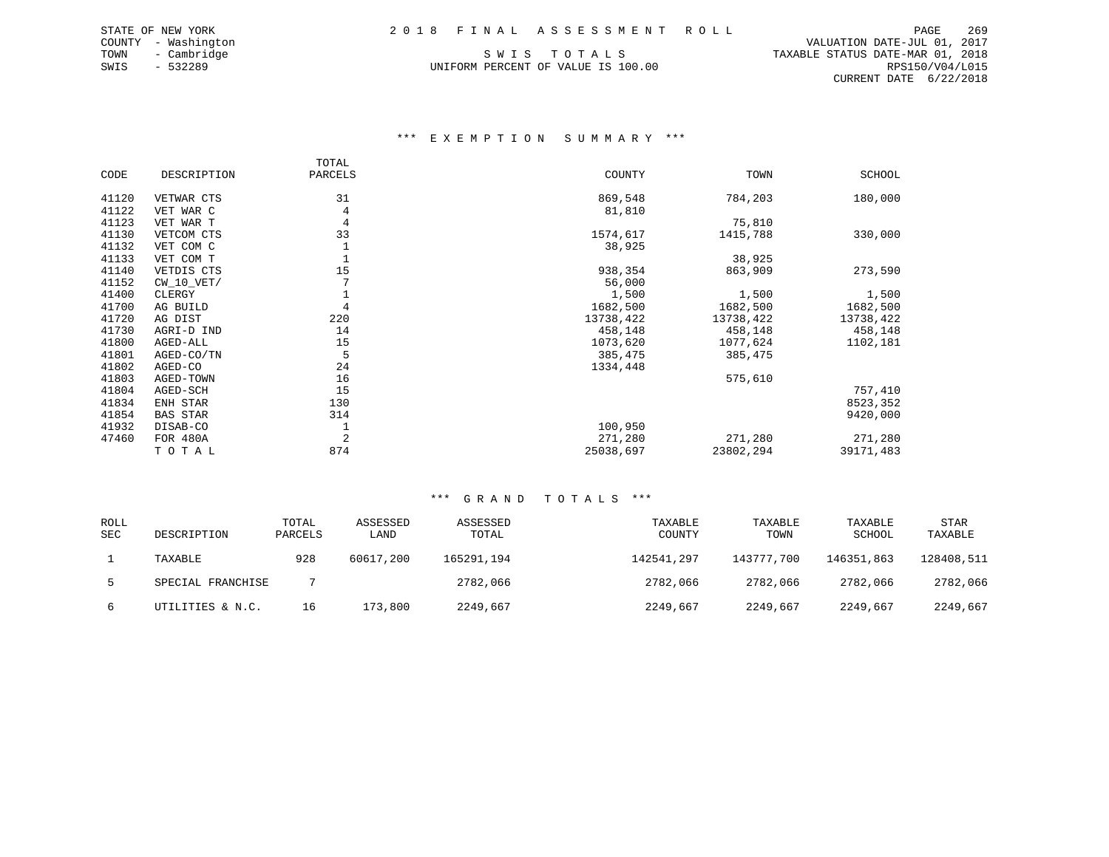COUNTY - Washington VALUATION DATE-JUL 01, 2017 CURRENT DATE 6/22/2018

# TOWN - Cambridge TOWN - Cambridge S W I S T O T A L S TOO TO TOWN - CAMBLE STATUS DATE-MAR 01, 2018<br>TAXABLE STATUS DATE-MAR 01, 2018 UNIFORM PERCENT OF VALUE IS 100.00

# \*\*\* E X E M P T I O N S U M M A R Y \*\*\*

|       |                 | TOTAL   |           |           |           |
|-------|-----------------|---------|-----------|-----------|-----------|
| CODE  | DESCRIPTION     | PARCELS | COUNTY    | TOWN      | SCHOOL    |
| 41120 | VETWAR CTS      | 31      | 869,548   | 784,203   | 180,000   |
| 41122 | VET WAR C       | 4       | 81,810    |           |           |
| 41123 | VET WAR T       | 4       |           | 75,810    |           |
| 41130 | VETCOM CTS      | 33      | 1574,617  | 1415,788  | 330,000   |
| 41132 | VET COM C       |         | 38,925    |           |           |
| 41133 | VET COM T       |         |           | 38,925    |           |
| 41140 | VETDIS CTS      | 15      | 938,354   | 863,909   | 273,590   |
| 41152 | $CW_10_VET/$    |         | 56,000    |           |           |
| 41400 | CLERGY          |         | 1,500     | 1,500     | 1,500     |
| 41700 | AG BUILD        | 4       | 1682,500  | 1682,500  | 1682,500  |
| 41720 | AG DIST         | 220     | 13738,422 | 13738,422 | 13738,422 |
| 41730 | AGRI-D IND      | 14      | 458,148   | 458,148   | 458,148   |
| 41800 | AGED-ALL        | 15      | 1073,620  | 1077,624  | 1102,181  |
| 41801 | AGED-CO/TN      | 5       | 385,475   | 385,475   |           |
| 41802 | AGED-CO         | 24      | 1334,448  |           |           |
| 41803 | AGED-TOWN       | 16      |           | 575,610   |           |
| 41804 | AGED-SCH        | 15      |           |           | 757,410   |
| 41834 | ENH STAR        | 130     |           |           | 8523,352  |
| 41854 | <b>BAS STAR</b> | 314     |           |           | 9420,000  |
| 41932 | DISAB-CO        |         | 100,950   |           |           |
| 47460 | FOR 480A        | 2       | 271,280   | 271,280   | 271,280   |
|       | TOTAL           | 874     | 25038,697 | 23802,294 | 39171,483 |

| <b>ROLL</b> |                   | TOTAL   | ASSESSED  | ASSESSED   | TAXABLE    | TAXABLE    | TAXABLE    | <b>STAR</b> |
|-------------|-------------------|---------|-----------|------------|------------|------------|------------|-------------|
| <b>SEC</b>  | DESCRIPTION       | PARCELS | LAND      | TOTAL      | COUNTY     | TOWN       | SCHOOL     | TAXABLE     |
|             | TAXABLE           | 928     | 60617,200 | 165291,194 | 142541,297 | 143777,700 | 146351,863 | 128408,511  |
|             | SPECIAL FRANCHISE |         |           | 2782,066   | 2782,066   | 2782,066   | 2782,066   | 2782,066    |
| 6           | UTILITIES & N.C.  | 16      | 173,800   | 2249,667   | 2249,667   | 2249,667   | 2249,667   | 2249,667    |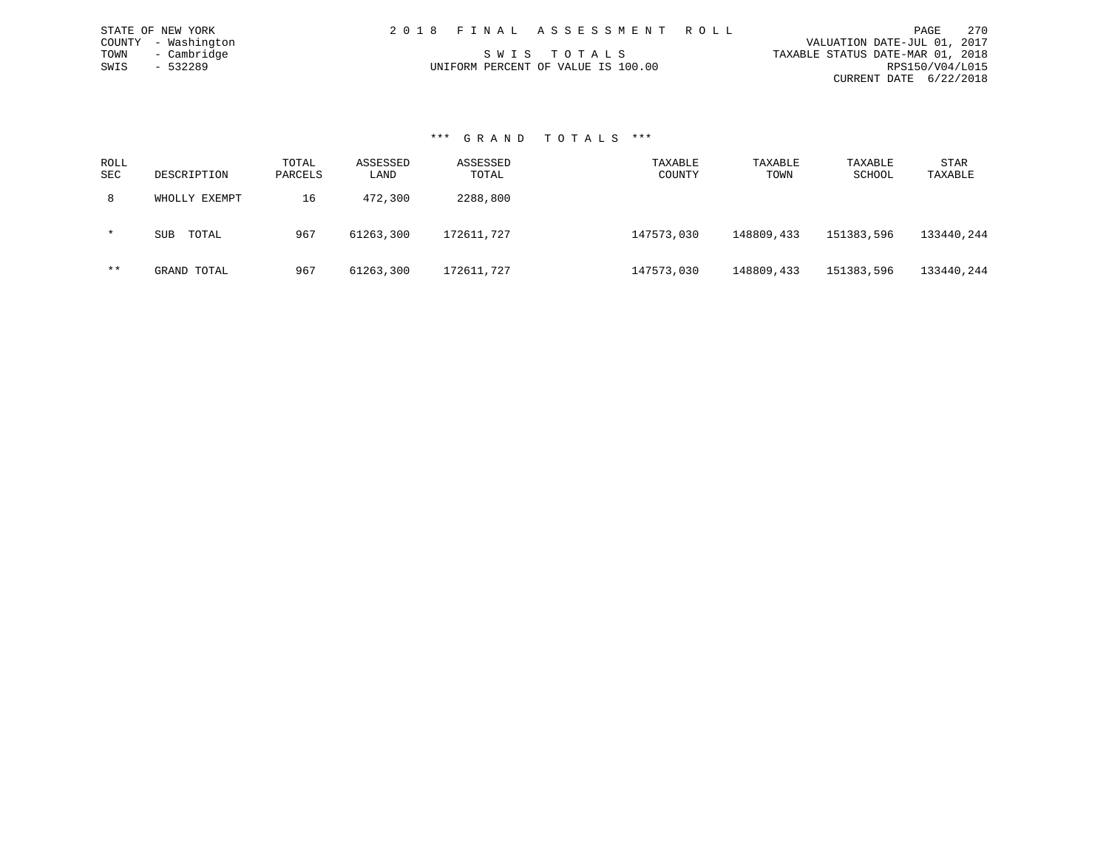| STATE OF NEW YORK   | 2018 FINAL ASSESSMENT ROLL         | 270<br>PAGE                      |
|---------------------|------------------------------------|----------------------------------|
| COUNTY - Washington |                                    | VALUATION DATE-JUL 01, 2017      |
| - Cambridge<br>TOWN | SWIS TOTALS                        | TAXABLE STATUS DATE-MAR 01, 2018 |
| SWIS<br>- 532289    | UNIFORM PERCENT OF VALUE IS 100.00 | RPS150/V04/L015                  |
|                     |                                    | CURRENT DATE 6/22/2018           |

#### \*\*\* G R A N D T O T A L S \*\*\*

| ROLL<br>SEC | DESCRIPTION         | TOTAL<br>PARCELS | ASSESSED<br>LAND | ASSESSED<br>TOTAL | TAXABLE<br>COUNTY | TAXABLE<br>TOWN | TAXABLE<br>SCHOOL | STAR<br>TAXABLE |
|-------------|---------------------|------------------|------------------|-------------------|-------------------|-----------------|-------------------|-----------------|
| 8           | WHOLLY EXEMPT       | 16               | 472,300          | 2288,800          |                   |                 |                   |                 |
| $\star$     | TOTAL<br><b>SUB</b> | 967              | 61263,300        | 172611,727        | 147573,030        | 148809,433      | 151383,596        | 133440,244      |
| $***$       | GRAND TOTAL         | 967              | 61263,300        | 172611,727        | 147573,030        | 148809,433      | 151383,596        | 133440,244      |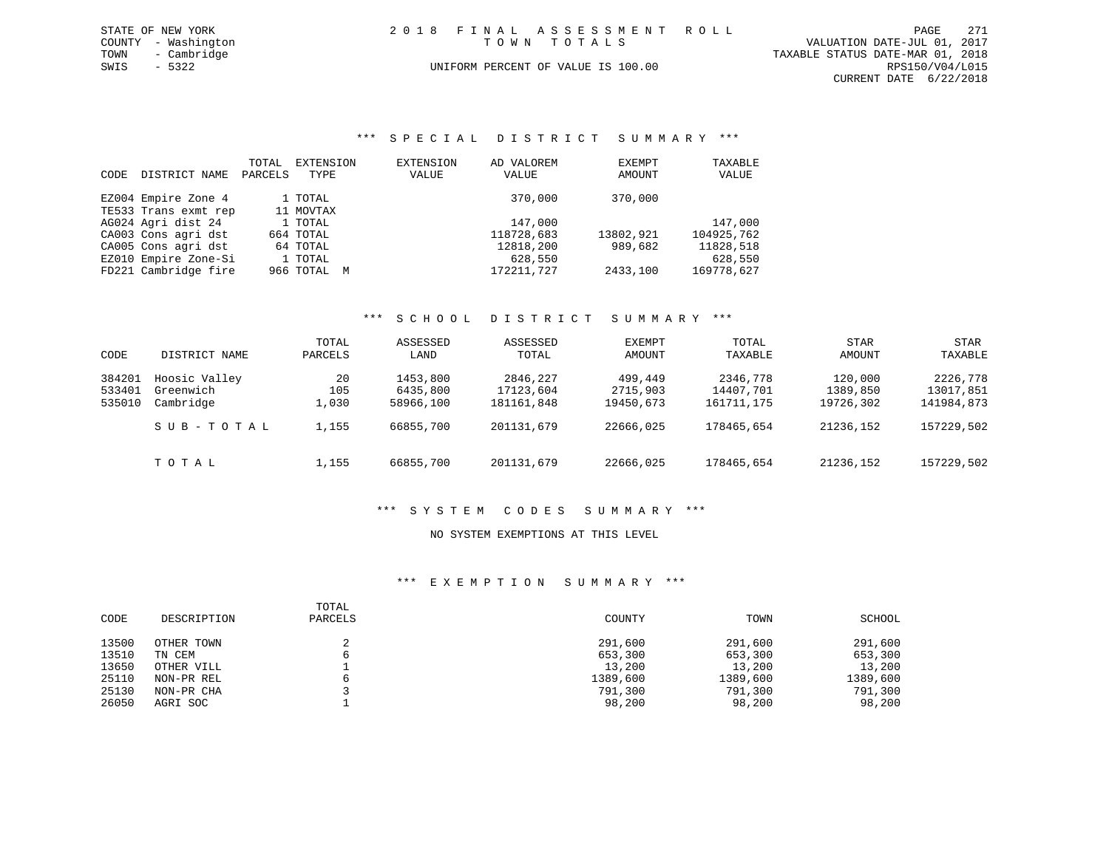| STATE OF NEW YORK   | 2018 FINAL ASSESSMENT ROLL         | 2.71<br>PAGE                     |
|---------------------|------------------------------------|----------------------------------|
| COUNTY - Washington | TOWN TOTALS                        | VALUATION DATE-JUL 01, 2017      |
| - Cambridge<br>TOWN |                                    | TAXABLE STATUS DATE-MAR 01, 2018 |
| SWIS<br>$-5322$     | UNIFORM PERCENT OF VALUE IS 100.00 | RPS150/V04/L015                  |
|                     |                                    | CURRENT DATE 6/22/2018           |

\*\*\* S P E C I A L D I S T R I C T S U M M A R Y \*\*\*

| CODE | DISTRICT NAME        | TOTAL<br>PARCELS | EXTENSION<br>TYPE | EXTENSION<br>VALUE | AD VALOREM<br>VALUE | EXEMPT<br>AMOUNT | TAXABLE<br>VALUE |
|------|----------------------|------------------|-------------------|--------------------|---------------------|------------------|------------------|
|      | EZ004 Empire Zone 4  |                  | 1 TOTAL           |                    | 370,000             | 370,000          |                  |
|      | TE533 Trans exmt rep |                  | 11 MOVTAX         |                    |                     |                  |                  |
|      | AG024 Agri dist 24   |                  | 1 TOTAL           |                    | 147,000             |                  | 147,000          |
|      | CA003 Cons agri dst  |                  | 664 TOTAL         |                    | 118728,683          | 13802,921        | 104925,762       |
|      | CA005 Cons agri dst  |                  | 64 TOTAL          |                    | 12818,200           | 989,682          | 11828,518        |
|      | EZ010 Empire Zone-Si |                  | 1 TOTAL           |                    | 628,550             |                  | 628,550          |
|      | FD221 Cambridge fire |                  | 966 ТОТАL         | M                  | 172211,727          | 2433,100         | 169778,627       |

# \*\*\* S C H O O L D I S T R I C T S U M M A R Y \*\*\*

| CODE                       | DISTRICT NAME                           | TOTAL<br>PARCELS   | ASSESSED<br>LAND                  | ASSESSED<br>TOTAL                   | EXEMPT<br>AMOUNT                 | TOTAL<br>TAXABLE                    | <b>STAR</b><br>AMOUNT            | STAR<br>TAXABLE                     |
|----------------------------|-----------------------------------------|--------------------|-----------------------------------|-------------------------------------|----------------------------------|-------------------------------------|----------------------------------|-------------------------------------|
| 384201<br>533401<br>535010 | Hoosic Valley<br>Greenwich<br>Cambridge | 20<br>105<br>⊥,030 | 1453,800<br>6435,800<br>58966,100 | 2846,227<br>17123,604<br>181161,848 | 499,449<br>2715,903<br>19450,673 | 2346,778<br>14407,701<br>161711,175 | 120,000<br>1389,850<br>19726,302 | 2226,778<br>13017,851<br>141984,873 |
|                            | SUB-TOTAL                               | 1,155              | 66855,700                         | 201131,679                          | 22666,025                        | 178465,654                          | 21236,152                        | 157229,502                          |
|                            | TOTAL                                   | 1,155              | 66855,700                         | 201131,679                          | 22666,025                        | 178465,654                          | 21236,152                        | 157229,502                          |

# \*\*\* S Y S T E M C O D E S S U M M A R Y \*\*\*

#### NO SYSTEM EXEMPTIONS AT THIS LEVEL

| CODE  | DESCRIPTION | TOTAL<br>PARCELS | COUNTY   | TOWN     | SCHOOL   |
|-------|-------------|------------------|----------|----------|----------|
| 13500 | OTHER TOWN  |                  | 291,600  | 291,600  | 291,600  |
| 13510 | TN CEM      | 6                | 653,300  | 653,300  | 653,300  |
| 13650 | OTHER VILL  |                  | 13,200   | 13,200   | 13,200   |
| 25110 | NON-PR REL  |                  | 1389,600 | 1389,600 | 1389,600 |
| 25130 | NON-PR CHA  |                  | 791,300  | 791,300  | 791,300  |
| 26050 | AGRI SOC    |                  | 98,200   | 98,200   | 98,200   |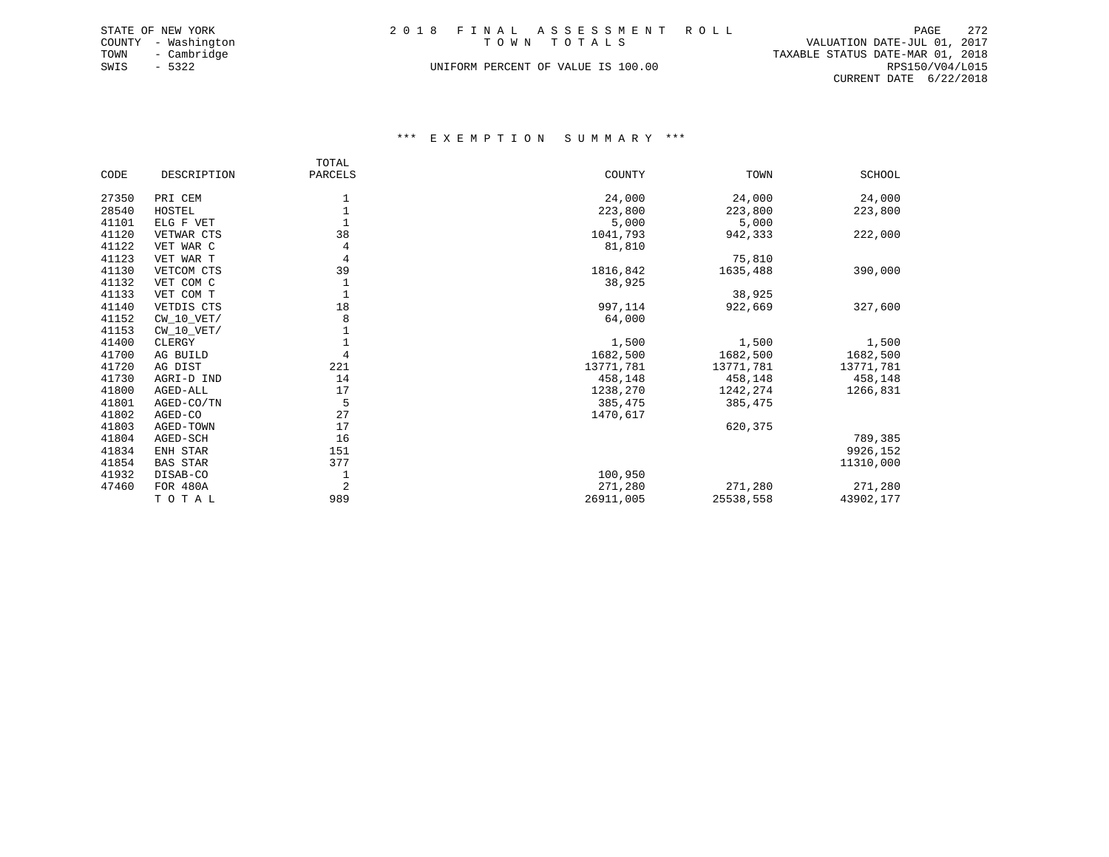|      | STATE OF NEW YORK   |  | 2018 FINAL ASSESSMENT ROLL         |                                  | PAGE            | 272 |
|------|---------------------|--|------------------------------------|----------------------------------|-----------------|-----|
|      | COUNTY - Washington |  | TOWN TOTALS                        | VALUATION DATE-JUL 01, 2017      |                 |     |
| TOWN | - Cambridge         |  |                                    | TAXABLE STATUS DATE-MAR 01, 2018 |                 |     |
| SWIS | $-5322$             |  | UNIFORM PERCENT OF VALUE IS 100.00 |                                  | RPS150/V04/L015 |     |
|      |                     |  |                                    | CURRENT DATE 6/22/2018           |                 |     |

|       |                 | TOTAL   |           |           |           |
|-------|-----------------|---------|-----------|-----------|-----------|
| CODE  | DESCRIPTION     | PARCELS | COUNTY    | TOWN      | SCHOOL    |
| 27350 | PRI CEM         |         | 24,000    | 24,000    | 24,000    |
| 28540 | HOSTEL          |         | 223,800   | 223,800   | 223,800   |
| 41101 | ELG F VET       |         | 5,000     | 5,000     |           |
| 41120 | VETWAR CTS      | 38      | 1041,793  | 942,333   | 222,000   |
| 41122 | VET WAR C       | 4       | 81,810    |           |           |
| 41123 | VET WAR T       | 4       |           | 75,810    |           |
| 41130 | VETCOM CTS      | 39      | 1816,842  | 1635,488  | 390,000   |
| 41132 | VET COM C       |         | 38,925    |           |           |
| 41133 | VET COM T       |         |           | 38,925    |           |
| 41140 | VETDIS CTS      | 18      | 997,114   | 922,669   | 327,600   |
| 41152 | CW 10 VET/      | 8       | 64,000    |           |           |
| 41153 | $CW_10_VET/$    |         |           |           |           |
| 41400 | CLERGY          |         | 1,500     | 1,500     | 1,500     |
| 41700 | AG BUILD        | 4       | 1682,500  | 1682,500  | 1682,500  |
| 41720 | AG DIST         | 221     | 13771,781 | 13771,781 | 13771,781 |
| 41730 | AGRI-D IND      | 14      | 458,148   | 458,148   | 458,148   |
| 41800 | AGED-ALL        | 17      | 1238,270  | 1242,274  | 1266,831  |
| 41801 | AGED-CO/TN      | 5       | 385,475   | 385,475   |           |
| 41802 | AGED-CO         | 27      | 1470,617  |           |           |
| 41803 | AGED-TOWN       | 17      |           | 620,375   |           |
| 41804 | AGED-SCH        | 16      |           |           | 789,385   |
| 41834 | ENH STAR        | 151     |           |           | 9926,152  |
| 41854 | <b>BAS STAR</b> | 377     |           |           | 11310,000 |
| 41932 | DISAB-CO        |         | 100,950   |           |           |
| 47460 | <b>FOR 480A</b> | 2       | 271,280   | 271,280   | 271,280   |
|       | TOTAL           | 989     | 26911,005 | 25538,558 | 43902,177 |